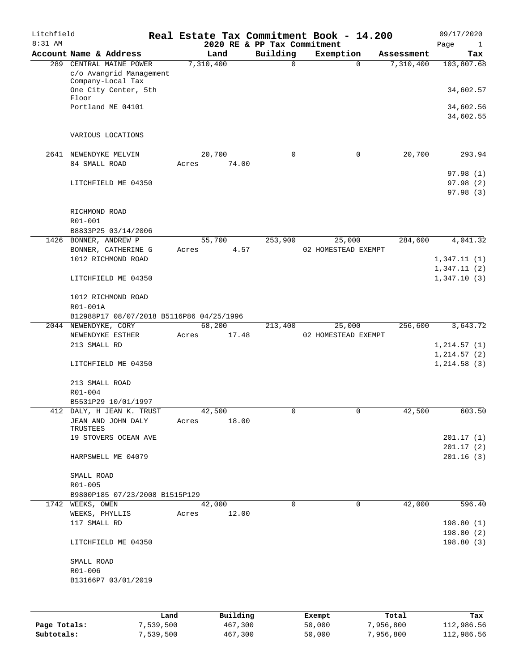| Litchfield<br>8:31 AM |                                                                         |           |                 | 2020 RE & PP Tax Commitment | Real Estate Tax Commitment Book - 14.200 |                       | 09/17/2020<br>Page<br>1      |
|-----------------------|-------------------------------------------------------------------------|-----------|-----------------|-----------------------------|------------------------------------------|-----------------------|------------------------------|
|                       | Account Name & Address                                                  |           | Land            | Building                    | Exemption                                | Assessment            | Tax                          |
|                       | 289 CENTRAL MAINE POWER<br>c/o Avangrid Management<br>Company-Local Tax | 7,310,400 |                 | 0                           |                                          | 7,310,400<br>$\Omega$ | 103,807.68                   |
|                       | One City Center, 5th<br>Floor                                           |           |                 |                             |                                          |                       | 34,602.57                    |
|                       | Portland ME 04101                                                       |           |                 |                             |                                          |                       | 34,602.56<br>34,602.55       |
|                       | VARIOUS LOCATIONS                                                       |           |                 |                             |                                          |                       |                              |
| 2641                  | NEWENDYKE MELVIN<br>84 SMALL ROAD                                       | Acres     | 20,700<br>74.00 | $\mathbf 0$                 |                                          | 0<br>20,700           | 293.94                       |
|                       |                                                                         |           |                 |                             |                                          |                       | 97.98(1)                     |
|                       | LITCHFIELD ME 04350                                                     |           |                 |                             |                                          |                       | 97.98 (2)<br>97.98 (3)       |
|                       | RICHMOND ROAD<br>R01-001                                                |           |                 |                             |                                          |                       |                              |
|                       | B8833P25 03/14/2006                                                     |           |                 |                             |                                          |                       |                              |
|                       | 1426 BONNER, ANDREW P                                                   |           | 55,700          | 253,900                     | 25,000                                   | 284,600               | 4,041.32                     |
|                       | BONNER, CATHERINE G                                                     | Acres     | 4.57            |                             | 02 HOMESTEAD EXEMPT                      |                       |                              |
|                       | 1012 RICHMOND ROAD                                                      |           |                 |                             |                                          |                       | 1,347.11(1)                  |
|                       | LITCHFIELD ME 04350                                                     |           |                 |                             |                                          |                       | 1,347.11(2)<br>1,347.10(3)   |
|                       | 1012 RICHMOND ROAD<br>R01-001A                                          |           |                 |                             |                                          |                       |                              |
|                       | B12988P17 08/07/2018 B5116P86 04/25/1996                                |           |                 |                             |                                          |                       |                              |
|                       | 2044 NEWENDYKE, CORY                                                    |           | 68,200          | 213,400                     | 25,000                                   | 256,600               | 3,643.72                     |
|                       | NEWENDYKE ESTHER                                                        | Acres     | 17.48           |                             | 02 HOMESTEAD EXEMPT                      |                       |                              |
|                       | 213 SMALL RD                                                            |           |                 |                             |                                          |                       | 1, 214.57(1)                 |
|                       | LITCHFIELD ME 04350                                                     |           |                 |                             |                                          |                       | 1, 214.57(2)<br>1, 214.58(3) |
|                       | 213 SMALL ROAD<br>R01-004                                               |           |                 |                             |                                          |                       |                              |
|                       | B5531P29 10/01/1997                                                     |           |                 |                             |                                          |                       |                              |
|                       | 412 DALY, H JEAN K. TRUST                                               |           | 42,500          | 0                           |                                          | 42,500<br>0           | 603.50                       |
|                       | JEAN AND JOHN DALY<br>TRUSTEES                                          | Acres     | 18.00           |                             |                                          |                       |                              |
|                       | 19 STOVERS OCEAN AVE                                                    |           |                 |                             |                                          |                       | 201.17(1)                    |
|                       | HARPSWELL ME 04079                                                      |           |                 |                             |                                          |                       | 201.17(2)<br>201.16(3)       |
|                       | SMALL ROAD                                                              |           |                 |                             |                                          |                       |                              |
|                       | R01-005<br>B9800P185 07/23/2008 B1515P129                               |           |                 |                             |                                          |                       |                              |
|                       | 1742 WEEKS, OWEN                                                        |           | 42,000          | 0                           |                                          | 42,000<br>0           | 596.40                       |
|                       | WEEKS, PHYLLIS                                                          | Acres     | 12.00           |                             |                                          |                       |                              |
|                       | 117 SMALL RD                                                            |           |                 |                             |                                          |                       | 198.80(1)                    |
|                       | LITCHFIELD ME 04350                                                     |           |                 |                             |                                          |                       | 198.80(2)<br>198.80(3)       |
|                       | SMALL ROAD                                                              |           |                 |                             |                                          |                       |                              |
|                       | R01-006                                                                 |           |                 |                             |                                          |                       |                              |
|                       | B13166P7 03/01/2019                                                     |           |                 |                             |                                          |                       |                              |
|                       |                                                                         |           |                 |                             |                                          |                       |                              |
|                       | Land                                                                    |           | Building        |                             | Exempt                                   | Total                 | Tax                          |
| Page Totals:          | 7,539,500                                                               |           | 467,300         |                             | 50,000                                   | 7,956,800             | 112,986.56                   |

**Subtotals:** 7,539,500 467,300 50,000 7,956,800 112,986.56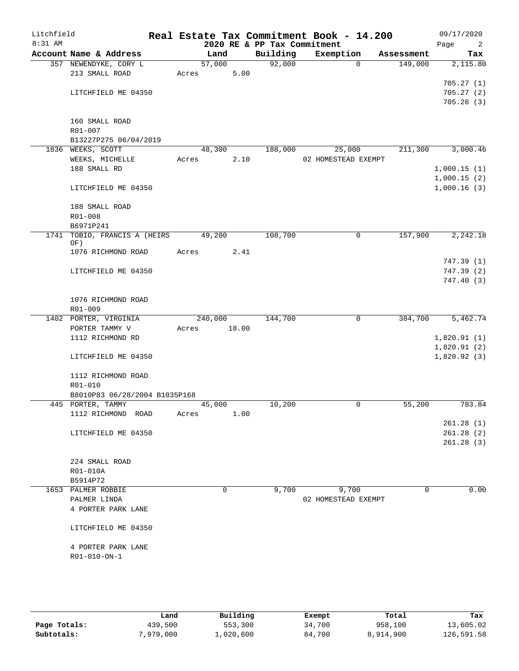| Litchfield<br>8:31 AM |                               |       |          | 2020 RE & PP Tax Commitment | Real Estate Tax Commitment Book - 14.200 |                     | 09/17/2020<br>Page<br>2 |
|-----------------------|-------------------------------|-------|----------|-----------------------------|------------------------------------------|---------------------|-------------------------|
|                       | Account Name & Address        |       | Land     | Building                    | Exemption                                | Assessment          | Tax                     |
|                       | 357 NEWENDYKE, CORY L         |       | 57,000   | 92,000                      |                                          | 149,000<br>$\Omega$ | 2,115.80                |
|                       | 213 SMALL ROAD                | Acres | 5.00     |                             |                                          |                     |                         |
|                       |                               |       |          |                             |                                          |                     | 705.27(1)               |
|                       | LITCHFIELD ME 04350           |       |          |                             |                                          |                     | 705.27(2)               |
|                       |                               |       |          |                             |                                          |                     | 705.26(3)               |
|                       |                               |       |          |                             |                                          |                     |                         |
|                       | 160 SMALL ROAD                |       |          |                             |                                          |                     |                         |
|                       | R01-007                       |       |          |                             |                                          |                     |                         |
|                       | B13227P275 06/04/2019         |       |          |                             |                                          |                     |                         |
|                       | 1836 WEEKS, SCOTT             |       | 48,300   | 188,000                     | 25,000                                   | 211,300             | 3,000.46                |
|                       | WEEKS, MICHELLE               | Acres | 2.10     |                             | 02 HOMESTEAD EXEMPT                      |                     |                         |
|                       | 188 SMALL RD                  |       |          |                             |                                          |                     | 1,000.15(1)             |
|                       |                               |       |          |                             |                                          |                     | 1,000.15(2)             |
|                       | LITCHFIELD ME 04350           |       |          |                             |                                          |                     | 1,000.16(3)             |
|                       | 188 SMALL ROAD                |       |          |                             |                                          |                     |                         |
|                       | $R01 - 008$                   |       |          |                             |                                          |                     |                         |
|                       | B6971P241                     |       |          |                             |                                          |                     |                         |
| 1741                  | TOBIO, FRANCIS A (HEIRS       |       | 49,200   | 108,700                     |                                          | 157,900<br>0        | 2,242.18                |
|                       | OF)                           |       |          |                             |                                          |                     |                         |
|                       | 1076 RICHMOND ROAD            | Acres | 2.41     |                             |                                          |                     |                         |
|                       |                               |       |          |                             |                                          |                     | 747.39 (1)              |
|                       | LITCHFIELD ME 04350           |       |          |                             |                                          |                     | 747.39(2)               |
|                       |                               |       |          |                             |                                          |                     | 747.40(3)               |
|                       |                               |       |          |                             |                                          |                     |                         |
|                       | 1076 RICHMOND ROAD            |       |          |                             |                                          |                     |                         |
|                       | R01-009                       |       |          |                             |                                          |                     |                         |
|                       | 1402 PORTER, VIRGINIA         |       | 240,000  | 144,700                     |                                          | 0<br>384,700        | 5,462.74                |
|                       | PORTER TAMMY V                | Acres | 18.00    |                             |                                          |                     |                         |
|                       | 1112 RICHMOND RD              |       |          |                             |                                          |                     | 1,820.91(1)             |
|                       |                               |       |          |                             |                                          |                     | 1,820.91(2)             |
|                       | LITCHFIELD ME 04350           |       |          |                             |                                          |                     | 1,820.92(3)             |
|                       | 1112 RICHMOND ROAD            |       |          |                             |                                          |                     |                         |
|                       | R01-010                       |       |          |                             |                                          |                     |                         |
|                       | B8010P83 06/28/2004 B1035P168 |       |          |                             |                                          |                     |                         |
|                       | 445 PORTER, TAMMY             |       | 45,000   | 10,200                      |                                          | 55,200<br>0         | 783.84                  |
|                       | 1112 RICHMOND ROAD            | Acres | 1.00     |                             |                                          |                     |                         |
|                       |                               |       |          |                             |                                          |                     | 261.28(1)               |
|                       | LITCHFIELD ME 04350           |       |          |                             |                                          |                     | 261.28(2)               |
|                       |                               |       |          |                             |                                          |                     | 261.28(3)               |
|                       |                               |       |          |                             |                                          |                     |                         |
|                       | 224 SMALL ROAD                |       |          |                             |                                          |                     |                         |
|                       | R01-010A                      |       |          |                             |                                          |                     |                         |
|                       | B5914P72                      |       |          |                             |                                          |                     |                         |
|                       | 1653 PALMER ROBBIE            |       | $\Omega$ | 9,700                       | 9,700                                    | 0                   | 0.00                    |
|                       | PALMER LINDA                  |       |          |                             | 02 HOMESTEAD EXEMPT                      |                     |                         |
|                       | 4 PORTER PARK LANE            |       |          |                             |                                          |                     |                         |
|                       |                               |       |          |                             |                                          |                     |                         |
|                       | LITCHFIELD ME 04350           |       |          |                             |                                          |                     |                         |
|                       |                               |       |          |                             |                                          |                     |                         |
|                       | 4 PORTER PARK LANE            |       |          |                             |                                          |                     |                         |
|                       | R01-010-ON-1                  |       |          |                             |                                          |                     |                         |
|                       |                               |       |          |                             |                                          |                     |                         |
|                       |                               |       |          |                             |                                          |                     |                         |

|              | Land      | Building  | Exempt | Total     | Tax        |
|--------------|-----------|-----------|--------|-----------|------------|
| Page Totals: | 439,500   | 553,300   | 34,700 | 958,100   | 13,605.02  |
| Subtotals:   | 7,979,000 | ⊥,020,600 | 84,700 | 8,914,900 | 126,591.58 |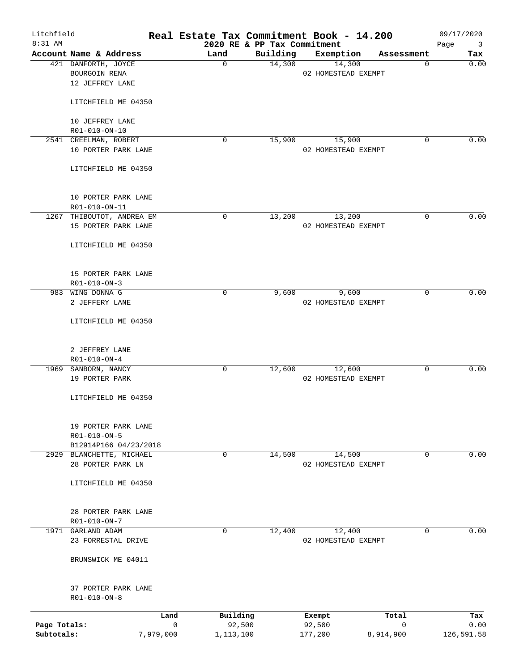| Litchfield<br>$8:31$ AM |                                     |             |             | 2020 RE & PP Tax Commitment | Real Estate Tax Commitment Book - 14.200 |            | 09/17/2020  |                                |
|-------------------------|-------------------------------------|-------------|-------------|-----------------------------|------------------------------------------|------------|-------------|--------------------------------|
|                         | Account Name & Address              |             | Land        | Building                    | Exemption                                | Assessment | Page        | $\overline{\mathbf{3}}$<br>Tax |
|                         | 421 DANFORTH, JOYCE                 |             | $\Omega$    | 14,300                      | 14,300                                   |            | 0           | 0.00                           |
|                         | BOURGOIN RENA                       |             |             |                             | 02 HOMESTEAD EXEMPT                      |            |             |                                |
|                         | 12 JEFFREY LANE                     |             |             |                             |                                          |            |             |                                |
|                         | LITCHFIELD ME 04350                 |             |             |                             |                                          |            |             |                                |
|                         |                                     |             |             |                             |                                          |            |             |                                |
|                         | 10 JEFFREY LANE                     |             |             |                             |                                          |            |             |                                |
|                         | R01-010-ON-10                       |             |             |                             |                                          |            |             |                                |
|                         | 2541 CREELMAN, ROBERT               |             | 0           | 15,900                      | 15,900<br>02 HOMESTEAD EXEMPT            |            | 0           | 0.00                           |
|                         | 10 PORTER PARK LANE                 |             |             |                             |                                          |            |             |                                |
|                         | LITCHFIELD ME 04350                 |             |             |                             |                                          |            |             |                                |
|                         | 10 PORTER PARK LANE                 |             |             |                             |                                          |            |             |                                |
|                         | R01-010-ON-11                       |             |             |                             |                                          |            |             |                                |
|                         | 1267 THIBOUTOT, ANDREA EM           |             | $\mathbf 0$ | 13,200                      | 13,200                                   |            | 0           | 0.00                           |
|                         | 15 PORTER PARK LANE                 |             |             |                             | 02 HOMESTEAD EXEMPT                      |            |             |                                |
|                         | LITCHFIELD ME 04350                 |             |             |                             |                                          |            |             |                                |
|                         |                                     |             |             |                             |                                          |            |             |                                |
|                         | 15 PORTER PARK LANE<br>R01-010-ON-3 |             |             |                             |                                          |            |             |                                |
|                         | 983 WING DONNA G                    |             | 0           | 9,600                       | 9,600                                    |            | $\mathbf 0$ | 0.00                           |
|                         | 2 JEFFERY LANE                      |             |             |                             | 02 HOMESTEAD EXEMPT                      |            |             |                                |
|                         |                                     |             |             |                             |                                          |            |             |                                |
|                         | LITCHFIELD ME 04350                 |             |             |                             |                                          |            |             |                                |
|                         | 2 JEFFREY LANE                      |             |             |                             |                                          |            |             |                                |
|                         | $R01 - 010 - ON - 4$                |             |             |                             |                                          |            |             |                                |
|                         | 1969 SANBORN, NANCY                 |             | 0           | 12,600                      | 12,600                                   |            | 0           | 0.00                           |
|                         | 19 PORTER PARK                      |             |             |                             | 02 HOMESTEAD EXEMPT                      |            |             |                                |
|                         | LITCHFIELD ME 04350                 |             |             |                             |                                          |            |             |                                |
|                         |                                     |             |             |                             |                                          |            |             |                                |
|                         | 19 PORTER PARK LANE<br>R01-010-ON-5 |             |             |                             |                                          |            |             |                                |
|                         | B12914P166 04/23/2018               |             |             |                             |                                          |            |             |                                |
|                         | 2929 BLANCHETTE, MICHAEL            |             | 0           | 14,500                      | 14,500                                   |            | 0           | 0.00                           |
|                         | 28 PORTER PARK LN                   |             |             |                             | 02 HOMESTEAD EXEMPT                      |            |             |                                |
|                         |                                     |             |             |                             |                                          |            |             |                                |
|                         | LITCHFIELD ME 04350                 |             |             |                             |                                          |            |             |                                |
|                         | 28 PORTER PARK LANE                 |             |             |                             |                                          |            |             |                                |
|                         | R01-010-ON-7                        |             |             |                             |                                          |            |             |                                |
|                         | 1971 GARLAND ADAM                   |             | 0           | 12,400                      | 12,400                                   |            | 0           | 0.00                           |
|                         | 23 FORRESTAL DRIVE                  |             |             |                             | 02 HOMESTEAD EXEMPT                      |            |             |                                |
|                         | BRUNSWICK ME 04011                  |             |             |                             |                                          |            |             |                                |
|                         |                                     |             |             |                             |                                          |            |             |                                |
|                         | 37 PORTER PARK LANE<br>R01-010-ON-8 |             |             |                             |                                          |            |             |                                |
|                         |                                     |             |             |                             |                                          |            |             |                                |
|                         |                                     | Land        | Building    |                             | Exempt                                   | Total      |             | Tax                            |
| Page Totals:            |                                     | $\mathbf 0$ | 92,500      |                             | 92,500                                   | 0          |             | 0.00                           |
| Subtotals:              |                                     | 7,979,000   | 1,113,100   |                             | 177,200                                  | 8,914,900  | 126,591.58  |                                |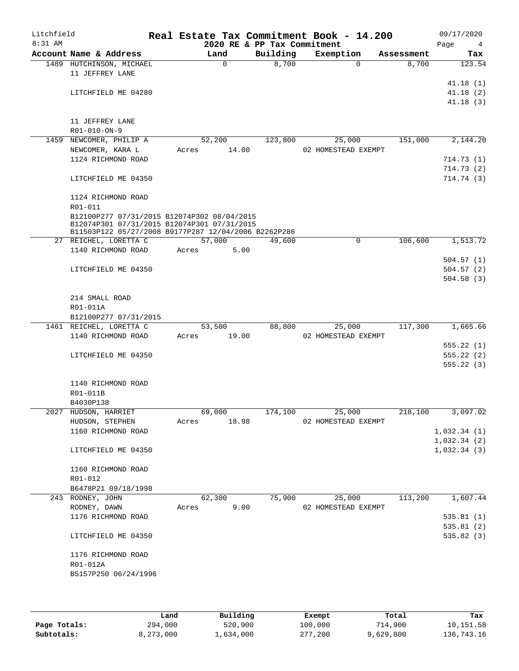| Litchfield<br>8:31 AM |                                                                                            |                | 2020 RE & PP Tax Commitment | Real Estate Tax Commitment Book - 14.200 |            | 09/17/2020<br>Page<br>4 |
|-----------------------|--------------------------------------------------------------------------------------------|----------------|-----------------------------|------------------------------------------|------------|-------------------------|
|                       | Account Name & Address                                                                     | Land           | Building                    | Exemption                                | Assessment | Tax                     |
|                       | 1489 HUTCHINSON, MICHAEL                                                                   | $\mathbf 0$    | 8,700                       | $\Omega$                                 | 8,700      | 123.54                  |
|                       | 11 JEFFREY LANE                                                                            |                |                             |                                          |            |                         |
|                       |                                                                                            |                |                             |                                          |            | 41.18(1)                |
|                       | LITCHFIELD ME 04280                                                                        |                |                             |                                          |            | 41.18(2)                |
|                       |                                                                                            |                |                             |                                          |            | 41.18(3)                |
|                       |                                                                                            |                |                             |                                          |            |                         |
|                       | 11 JEFFREY LANE                                                                            |                |                             |                                          |            |                         |
|                       | R01-010-ON-9                                                                               |                |                             |                                          |            |                         |
|                       | 1459 NEWCOMER, PHILIP A                                                                    | 52,200         | 123,800                     | 25,000                                   | 151,000    | 2,144.20                |
|                       | NEWCOMER, KARA L                                                                           | 14.00<br>Acres |                             | 02 HOMESTEAD EXEMPT                      |            |                         |
|                       | 1124 RICHMOND ROAD                                                                         |                |                             |                                          |            | 714.73(1)               |
|                       |                                                                                            |                |                             |                                          |            | 714.73(2)               |
|                       | LITCHFIELD ME 04350                                                                        |                |                             |                                          |            | 714.74 (3)              |
|                       |                                                                                            |                |                             |                                          |            |                         |
|                       | 1124 RICHMOND ROAD                                                                         |                |                             |                                          |            |                         |
|                       | R01-011                                                                                    |                |                             |                                          |            |                         |
|                       | B12100P277 07/31/2015 B12074P302 08/04/2015<br>B12074P301 07/31/2015 B12074P301 07/31/2015 |                |                             |                                          |            |                         |
|                       | B11503P122 05/27/2008 B9177P287 12/04/2006 B2262P286                                       |                |                             |                                          |            |                         |
|                       | 27 REICHEL, LORETTA C                                                                      | 57,000         | 49,600                      | $\mathbf 0$                              | 106,600    | 1, 513.72               |
|                       | 1140 RICHMOND ROAD                                                                         | 5.00<br>Acres  |                             |                                          |            |                         |
|                       |                                                                                            |                |                             |                                          |            | 504.57(1)               |
|                       | LITCHFIELD ME 04350                                                                        |                |                             |                                          |            | 504.57(2)               |
|                       |                                                                                            |                |                             |                                          |            | 504.58(3)               |
|                       |                                                                                            |                |                             |                                          |            |                         |
|                       | 214 SMALL ROAD                                                                             |                |                             |                                          |            |                         |
|                       | R01-011A                                                                                   |                |                             |                                          |            |                         |
|                       | B12100P277 07/31/2015                                                                      |                |                             |                                          |            |                         |
|                       | 1461 REICHEL, LORETTA C                                                                    | 53,500         | 88,800                      | 25,000                                   | 117,300    | 1,665.66                |
|                       | 1140 RICHMOND ROAD                                                                         | 19.00<br>Acres |                             | 02 HOMESTEAD EXEMPT                      |            |                         |
|                       |                                                                                            |                |                             |                                          |            | 555.22(1)               |
|                       | LITCHFIELD ME 04350                                                                        |                |                             |                                          |            | 555.22(2)               |
|                       |                                                                                            |                |                             |                                          |            | 555.22(3)               |
|                       |                                                                                            |                |                             |                                          |            |                         |
|                       | 1140 RICHMOND ROAD                                                                         |                |                             |                                          |            |                         |
|                       | R01-011B                                                                                   |                |                             |                                          |            |                         |
|                       | B4030P138                                                                                  |                |                             |                                          |            |                         |
| 2027                  | HUDSON, HARRIET                                                                            | 69,000         | 174,100                     | 25,000                                   | 218,100    | 3,097.02                |
|                       | HUDSON, STEPHEN                                                                            | 18.98<br>Acres |                             | 02 HOMESTEAD EXEMPT                      |            |                         |
|                       | 1160 RICHMOND ROAD                                                                         |                |                             |                                          |            | 1,032.34(1)             |
|                       |                                                                                            |                |                             |                                          |            | 1,032.34(2)             |
|                       | LITCHFIELD ME 04350                                                                        |                |                             |                                          |            | 1,032.34(3)             |
|                       |                                                                                            |                |                             |                                          |            |                         |
|                       | 1160 RICHMOND ROAD<br>R01-012                                                              |                |                             |                                          |            |                         |
|                       | B6478P21 09/18/1998                                                                        |                |                             |                                          |            |                         |
|                       | 243 RODNEY, JOHN                                                                           | 62,300         | 75,900                      | 25,000                                   | 113,200    | 1,607.44                |
|                       | RODNEY, DAWN                                                                               | 9.00<br>Acres  |                             | 02 HOMESTEAD EXEMPT                      |            |                         |
|                       | 1176 RICHMOND ROAD                                                                         |                |                             |                                          |            | 535.81(1)               |
|                       |                                                                                            |                |                             |                                          |            | 535.81(2)               |
|                       | LITCHFIELD ME 04350                                                                        |                |                             |                                          |            | 535.82(3)               |
|                       |                                                                                            |                |                             |                                          |            |                         |
|                       | 1176 RICHMOND ROAD                                                                         |                |                             |                                          |            |                         |
|                       | R01-012A                                                                                   |                |                             |                                          |            |                         |
|                       | B5157P250 06/24/1996                                                                       |                |                             |                                          |            |                         |
|                       |                                                                                            |                |                             |                                          |            |                         |
|                       |                                                                                            |                |                             |                                          |            |                         |

|              | Land      | Building  | Exempt  | Total     | Tax        |
|--------------|-----------|-----------|---------|-----------|------------|
| Page Totals: | 294,000   | 520,900   | 100,000 | 714,900   | 10,151.58  |
| Subtotals:   | 8,273,000 | 1,634,000 | 277,200 | 9,629,800 | 136,743.16 |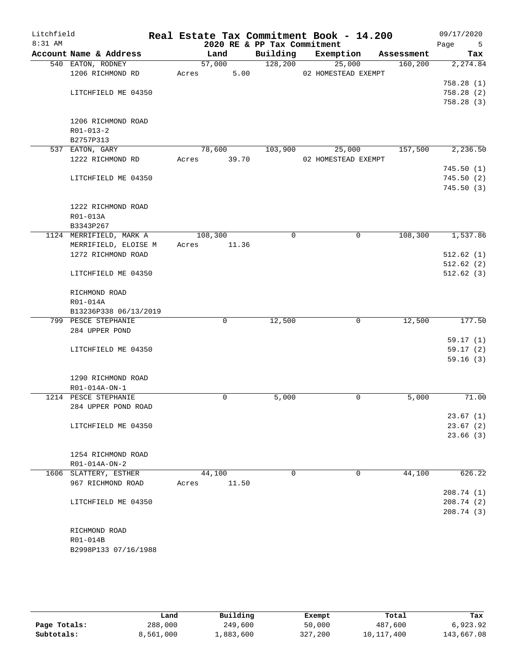| Litchfield<br>8:31 AM |                                              | 2020 RE & PP Tax Commitment |          | Real Estate Tax Commitment Book - 14.200 |            | 09/17/2020<br>Page<br>5 |
|-----------------------|----------------------------------------------|-----------------------------|----------|------------------------------------------|------------|-------------------------|
|                       | Account Name & Address                       | Land                        | Building | Exemption                                | Assessment | Tax                     |
|                       | 540 EATON, RODNEY                            | 57,000                      | 128,200  | 25,000                                   | 160, 200   | 2, 274.84               |
|                       | 1206 RICHMOND RD                             | 5.00<br>Acres               |          | 02 HOMESTEAD EXEMPT                      |            |                         |
|                       |                                              |                             |          |                                          |            | 758.28(1)               |
|                       | LITCHFIELD ME 04350                          |                             |          |                                          |            | 758.28(2)               |
|                       |                                              |                             |          |                                          |            | 758.28(3)               |
|                       |                                              |                             |          |                                          |            |                         |
|                       | 1206 RICHMOND ROAD                           |                             |          |                                          |            |                         |
|                       | $R01 - 013 - 2$                              |                             |          |                                          |            |                         |
|                       | B2757P313                                    |                             |          |                                          |            |                         |
|                       | 537 EATON, GARY                              | 78,600                      | 103,900  | 25,000                                   | 157,500    | 2,236.50                |
|                       | 1222 RICHMOND RD                             | 39.70<br>Acres              |          | 02 HOMESTEAD EXEMPT                      |            |                         |
|                       |                                              |                             |          |                                          |            | 745.50(1)               |
|                       | LITCHFIELD ME 04350                          |                             |          |                                          |            | 745.50(2)               |
|                       |                                              |                             |          |                                          |            | 745.50(3)               |
|                       |                                              |                             |          |                                          |            |                         |
|                       | 1222 RICHMOND ROAD                           |                             |          |                                          |            |                         |
|                       | R01-013A                                     |                             |          |                                          |            |                         |
|                       | B3343P267                                    |                             |          |                                          |            |                         |
|                       | 1124 MERRIFIELD, MARK A                      | 108,300                     | 0        | $\mathbf 0$                              | 108,300    | 1,537.86                |
|                       | MERRIFIELD, ELOISE M                         | 11.36<br>Acres              |          |                                          |            |                         |
|                       | 1272 RICHMOND ROAD                           |                             |          |                                          |            | 512.62(1)               |
|                       |                                              |                             |          |                                          |            | 512.62(2)               |
|                       | LITCHFIELD ME 04350                          |                             |          |                                          |            | 512.62(3)               |
|                       |                                              |                             |          |                                          |            |                         |
|                       | RICHMOND ROAD                                |                             |          |                                          |            |                         |
|                       | R01-014A                                     |                             |          |                                          |            |                         |
|                       | B13236P338 06/13/2019<br>799 PESCE STEPHANIE | $\mathbf 0$                 | 12,500   | $\mathbf 0$                              | 12,500     | 177.50                  |
|                       | 284 UPPER POND                               |                             |          |                                          |            |                         |
|                       |                                              |                             |          |                                          |            | 59.17(1)                |
|                       | LITCHFIELD ME 04350                          |                             |          |                                          |            | 59.17(2)                |
|                       |                                              |                             |          |                                          |            | 59.16(3)                |
|                       |                                              |                             |          |                                          |            |                         |
|                       | 1290 RICHMOND ROAD                           |                             |          |                                          |            |                         |
|                       | R01-014A-ON-1                                |                             |          |                                          |            |                         |
|                       | 1214 PESCE STEPHANIE                         | 0                           | 5,000    | 0                                        | 5,000      | 71.00                   |
|                       | 284 UPPER POND ROAD                          |                             |          |                                          |            |                         |
|                       |                                              |                             |          |                                          |            | 23.67(1)                |
|                       | LITCHFIELD ME 04350                          |                             |          |                                          |            | 23.67(2)                |
|                       |                                              |                             |          |                                          |            | 23.66(3)                |
|                       |                                              |                             |          |                                          |            |                         |
|                       | 1254 RICHMOND ROAD                           |                             |          |                                          |            |                         |
|                       | R01-014A-ON-2                                |                             |          |                                          |            |                         |
|                       | 1606 SLATTERY, ESTHER                        | 44,100                      | 0        | 0                                        | 44,100     | 626.22                  |
|                       | 967 RICHMOND ROAD                            | 11.50<br>Acres              |          |                                          |            |                         |
|                       |                                              |                             |          |                                          |            | 208.74 (1)              |
|                       | LITCHFIELD ME 04350                          |                             |          |                                          |            | 208.74(2)               |
|                       |                                              |                             |          |                                          |            | 208.74 (3)              |
|                       |                                              |                             |          |                                          |            |                         |
|                       | RICHMOND ROAD                                |                             |          |                                          |            |                         |
|                       | R01-014B                                     |                             |          |                                          |            |                         |
|                       | B2998P133 07/16/1988                         |                             |          |                                          |            |                         |

|              | Land      | Building  | Exempt  | Total      | Tax        |
|--------------|-----------|-----------|---------|------------|------------|
| Page Totals: | 288,000   | 249,600   | 50,000  | 487,600    | 6,923.92   |
| Subtotals:   | 8,561,000 | l,883,600 | 327,200 | 10,117,400 | 143,667.08 |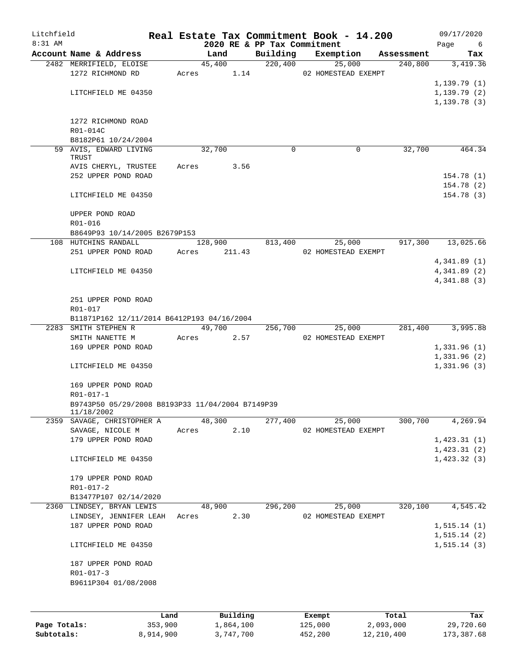| Litchfield<br>$8:31$ AM |                                                  |           |           | 2020 RE & PP Tax Commitment | Real Estate Tax Commitment Book - 14.200 |              | 09/17/2020<br>Page<br>6 |
|-------------------------|--------------------------------------------------|-----------|-----------|-----------------------------|------------------------------------------|--------------|-------------------------|
|                         | Account Name & Address                           |           | Land      | Building                    | Exemption                                | Assessment   | Tax                     |
|                         | 2482 MERRIFIELD, ELOISE                          |           | 45,400    | 220,400                     | 25,000                                   | 240,800      | 3,419.36                |
|                         | 1272 RICHMOND RD                                 | Acres     | 1.14      |                             | 02 HOMESTEAD EXEMPT                      |              |                         |
|                         |                                                  |           |           |                             |                                          |              | 1,139.79(1)             |
|                         | LITCHFIELD ME 04350                              |           |           |                             |                                          |              | 1,139.79(2)             |
|                         |                                                  |           |           |                             |                                          |              | 1,139.78(3)             |
|                         |                                                  |           |           |                             |                                          |              |                         |
|                         | 1272 RICHMOND ROAD                               |           |           |                             |                                          |              |                         |
|                         | R01-014C                                         |           |           |                             |                                          |              |                         |
|                         | B8182P61 10/24/2004                              |           |           |                             |                                          |              |                         |
|                         | 59 AVIS, EDWARD LIVING                           |           | 32,700    | $\Omega$                    | 0                                        | 32,700       | 464.34                  |
|                         | TRUST                                            |           |           |                             |                                          |              |                         |
|                         | AVIS CHERYL, TRUSTEE                             | Acres     | 3.56      |                             |                                          |              |                         |
|                         | 252 UPPER POND ROAD                              |           |           |                             |                                          |              | 154.78 (1)              |
|                         |                                                  |           |           |                             |                                          |              | 154.78(2)               |
|                         | LITCHFIELD ME 04350                              |           |           |                             |                                          |              | 154.78 (3)              |
|                         |                                                  |           |           |                             |                                          |              |                         |
|                         | UPPER POND ROAD                                  |           |           |                             |                                          |              |                         |
|                         | R01-016                                          |           |           |                             |                                          |              |                         |
|                         | B8649P93 10/14/2005 B2679P153                    |           |           |                             |                                          |              |                         |
|                         | 108 HUTCHINS RANDALL                             |           | 128,900   | 813,400                     | 25,000                                   | 917,300      | 13,025.66               |
|                         | 251 UPPER POND ROAD                              | Acres     | 211.43    |                             | 02 HOMESTEAD EXEMPT                      |              |                         |
|                         |                                                  |           |           |                             |                                          |              | 4,341.89(1)             |
|                         | LITCHFIELD ME 04350                              |           |           |                             |                                          |              | 4,341.89 (2)            |
|                         |                                                  |           |           |                             |                                          |              | 4,341.88(3)             |
|                         |                                                  |           |           |                             |                                          |              |                         |
|                         | 251 UPPER POND ROAD                              |           |           |                             |                                          |              |                         |
|                         | R01-017                                          |           |           |                             |                                          |              |                         |
|                         | B11871P162 12/11/2014 B6412P193 04/16/2004       |           |           |                             |                                          |              |                         |
|                         | 2283 SMITH STEPHEN R                             |           | 49,700    | 256,700                     | 25,000                                   | 281,400      | 3,995.88                |
|                         | SMITH NANETTE M                                  | Acres     | 2.57      |                             | 02 HOMESTEAD EXEMPT                      |              |                         |
|                         | 169 UPPER POND ROAD                              |           |           |                             |                                          |              | 1,331.96(1)             |
|                         |                                                  |           |           |                             |                                          |              | 1,331.96(2)             |
|                         | LITCHFIELD ME 04350                              |           |           |                             |                                          |              | 1,331.96(3)             |
|                         |                                                  |           |           |                             |                                          |              |                         |
|                         | 169 UPPER POND ROAD                              |           |           |                             |                                          |              |                         |
|                         | $R01 - 017 - 1$                                  |           |           |                             |                                          |              |                         |
|                         | B9743P50 05/29/2008 B8193P33 11/04/2004 B7149P39 |           |           |                             |                                          |              |                         |
| 2359                    | 11/18/2002<br>SAVAGE, CHRISTOPHER A              |           | 48,300    | 277,400                     | 25,000                                   | 300,700      | 4,269.94                |
|                         | SAVAGE, NICOLE M                                 | Acres     | 2.10      |                             | 02 HOMESTEAD EXEMPT                      |              |                         |
|                         | 179 UPPER POND ROAD                              |           |           |                             |                                          |              | 1,423.31(1)             |
|                         |                                                  |           |           |                             |                                          |              | 1,423.31(2)             |
|                         | LITCHFIELD ME 04350                              |           |           |                             |                                          |              | 1,423.32(3)             |
|                         |                                                  |           |           |                             |                                          |              |                         |
|                         | 179 UPPER POND ROAD                              |           |           |                             |                                          |              |                         |
|                         | R01-017-2                                        |           |           |                             |                                          |              |                         |
|                         | B13477P107 02/14/2020                            |           |           |                             |                                          |              |                         |
|                         | 2360 LINDSEY, BRYAN LEWIS                        |           | 48,900    | 296,200                     | 25,000                                   | 320,100      | 4,545.42                |
|                         | LINDSEY, JENNIFER LEAH                           | Acres     | 2.30      |                             | 02 HOMESTEAD EXEMPT                      |              |                         |
|                         | 187 UPPER POND ROAD                              |           |           |                             |                                          |              | 1, 515.14(1)            |
|                         |                                                  |           |           |                             |                                          |              | 1, 515.14 (2)           |
|                         | LITCHFIELD ME 04350                              |           |           |                             |                                          |              | 1, 515.14(3)            |
|                         |                                                  |           |           |                             |                                          |              |                         |
|                         | 187 UPPER POND ROAD                              |           |           |                             |                                          |              |                         |
|                         | $R01 - 017 - 3$                                  |           |           |                             |                                          |              |                         |
|                         | B9611P304 01/08/2008                             |           |           |                             |                                          |              |                         |
|                         |                                                  |           |           |                             |                                          |              |                         |
|                         |                                                  |           |           |                             |                                          |              |                         |
|                         |                                                  |           |           |                             |                                          |              |                         |
|                         |                                                  | Land      | Building  |                             | Exempt                                   | Total        | Tax                     |
| Page Totals:            |                                                  | 353,900   | 1,864,100 |                             | 125,000                                  | 2,093,000    | 29,720.60               |
| Subtotals:              |                                                  | 8,914,900 | 3,747,700 |                             | 452,200                                  | 12, 210, 400 | 173,387.68              |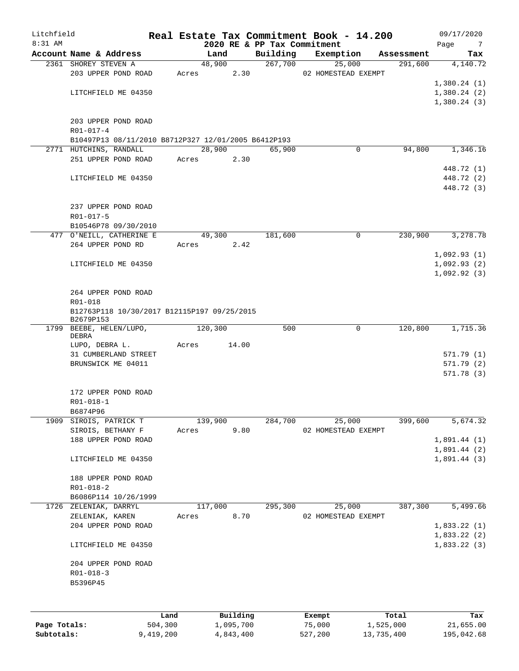| Litchfield   |                                                          |           |       |         |           |                                         | Real Estate Tax Commitment Book - 14.200 |             |            | 09/17/2020               |
|--------------|----------------------------------------------------------|-----------|-------|---------|-----------|-----------------------------------------|------------------------------------------|-------------|------------|--------------------------|
| 8:31 AM      | Account Name & Address                                   |           |       | Land    |           | 2020 RE & PP Tax Commitment<br>Building | Exemption                                |             | Assessment | Page<br>7                |
|              | 2361 SHOREY STEVEN A                                     |           |       | 48,900  |           | 267,700                                 | 25,000                                   |             | 291,600    | Tax<br>4,140.72          |
|              | 203 UPPER POND ROAD                                      |           | Acres |         | 2.30      |                                         | 02 HOMESTEAD EXEMPT                      |             |            |                          |
|              |                                                          |           |       |         |           |                                         |                                          |             |            | 1,380.24(1)              |
|              | LITCHFIELD ME 04350                                      |           |       |         |           |                                         |                                          |             |            | 1,380.24(2)              |
|              |                                                          |           |       |         |           |                                         |                                          |             |            | 1,380.24(3)              |
|              |                                                          |           |       |         |           |                                         |                                          |             |            |                          |
|              | 203 UPPER POND ROAD                                      |           |       |         |           |                                         |                                          |             |            |                          |
|              | R01-017-4                                                |           |       |         |           |                                         |                                          |             |            |                          |
|              | B10497P13 08/11/2010 B8712P327 12/01/2005 B6412P193      |           |       |         |           |                                         |                                          |             |            |                          |
|              | 2771 HUTCHINS, RANDALL                                   |           |       | 28,900  |           | 65,900                                  |                                          | $\mathbf 0$ | 94,800     | 1,346.16                 |
|              | 251 UPPER POND ROAD                                      |           | Acres |         | 2.30      |                                         |                                          |             |            |                          |
|              | LITCHFIELD ME 04350                                      |           |       |         |           |                                         |                                          |             |            | 448.72 (1)<br>448.72 (2) |
|              |                                                          |           |       |         |           |                                         |                                          |             |            | 448.72 (3)               |
|              |                                                          |           |       |         |           |                                         |                                          |             |            |                          |
|              | 237 UPPER POND ROAD                                      |           |       |         |           |                                         |                                          |             |            |                          |
|              | R01-017-5                                                |           |       |         |           |                                         |                                          |             |            |                          |
|              | B10546P78 09/30/2010                                     |           |       |         |           |                                         |                                          |             |            |                          |
|              | 477 O'NEILL, CATHERINE E                                 |           |       | 49,300  |           | 181,600                                 |                                          | 0           | 230,900    | 3,278.78                 |
|              | 264 UPPER POND RD                                        |           | Acres |         | 2.42      |                                         |                                          |             |            |                          |
|              |                                                          |           |       |         |           |                                         |                                          |             |            | 1,092.93(1)              |
|              | LITCHFIELD ME 04350                                      |           |       |         |           |                                         |                                          |             |            | 1,092.93(2)              |
|              |                                                          |           |       |         |           |                                         |                                          |             |            | 1,092.92(3)              |
|              |                                                          |           |       |         |           |                                         |                                          |             |            |                          |
|              | 264 UPPER POND ROAD                                      |           |       |         |           |                                         |                                          |             |            |                          |
|              | R01-018                                                  |           |       |         |           |                                         |                                          |             |            |                          |
|              | B12763P118 10/30/2017 B12115P197 09/25/2015<br>B2679P153 |           |       |         |           |                                         |                                          |             |            |                          |
|              | 1799 BEEBE, HELEN/LUPO,                                  |           |       | 120,300 |           | 500                                     |                                          | 0           | 120,800    | 1,715.36                 |
|              | DEBRA                                                    |           |       |         |           |                                         |                                          |             |            |                          |
|              | LUPO, DEBRA L.                                           |           | Acres |         | 14.00     |                                         |                                          |             |            |                          |
|              | 31 CUMBERLAND STREET                                     |           |       |         |           |                                         |                                          |             |            | 571.79 (1)               |
|              | BRUNSWICK ME 04011                                       |           |       |         |           |                                         |                                          |             |            | 571.79 (2)               |
|              |                                                          |           |       |         |           |                                         |                                          |             |            | 571.78(3)                |
|              | 172 UPPER POND ROAD                                      |           |       |         |           |                                         |                                          |             |            |                          |
|              | $R01 - 018 - 1$                                          |           |       |         |           |                                         |                                          |             |            |                          |
|              | B6874P96                                                 |           |       |         |           |                                         |                                          |             |            |                          |
| 1909         | SIROIS, PATRICK T                                        |           |       | 139,900 |           | 284,700                                 | 25,000                                   |             | 399,600    | 5,674.32                 |
|              | SIROIS, BETHANY F                                        |           | Acres |         | 9.80      |                                         | 02 HOMESTEAD EXEMPT                      |             |            |                          |
|              | 188 UPPER POND ROAD                                      |           |       |         |           |                                         |                                          |             |            | 1,891.44(1)              |
|              |                                                          |           |       |         |           |                                         |                                          |             |            | 1,891.44(2)              |
|              | LITCHFIELD ME 04350                                      |           |       |         |           |                                         |                                          |             |            | 1,891.44(3)              |
|              |                                                          |           |       |         |           |                                         |                                          |             |            |                          |
|              | 188 UPPER POND ROAD                                      |           |       |         |           |                                         |                                          |             |            |                          |
|              | $R01 - 018 - 2$                                          |           |       |         |           |                                         |                                          |             |            |                          |
|              | B6086P114 10/26/1999<br>1726 ZELENIAK, DARRYL            |           |       | 117,000 |           | 295,300                                 | 25,000                                   |             | 387,300    | 5,499.66                 |
|              | ZELENIAK, KAREN                                          |           | Acres |         | 8.70      |                                         | 02 HOMESTEAD EXEMPT                      |             |            |                          |
|              | 204 UPPER POND ROAD                                      |           |       |         |           |                                         |                                          |             |            | 1,833.22(1)              |
|              |                                                          |           |       |         |           |                                         |                                          |             |            | 1,833.22(2)              |
|              | LITCHFIELD ME 04350                                      |           |       |         |           |                                         |                                          |             |            | 1,833.22(3)              |
|              |                                                          |           |       |         |           |                                         |                                          |             |            |                          |
|              | 204 UPPER POND ROAD                                      |           |       |         |           |                                         |                                          |             |            |                          |
|              | $R01 - 018 - 3$                                          |           |       |         |           |                                         |                                          |             |            |                          |
|              | B5396P45                                                 |           |       |         |           |                                         |                                          |             |            |                          |
|              |                                                          |           |       |         |           |                                         |                                          |             |            |                          |
|              |                                                          | Land      |       |         | Building  |                                         | Exempt                                   |             | Total      | Tax                      |
| Page Totals: |                                                          | 504,300   |       |         | 1,095,700 |                                         | 75,000                                   |             | 1,525,000  | 21,655.00                |
| Subtotals:   |                                                          | 9,419,200 |       |         | 4,843,400 |                                         | 527,200                                  |             | 13,735,400 | 195,042.68               |

527,200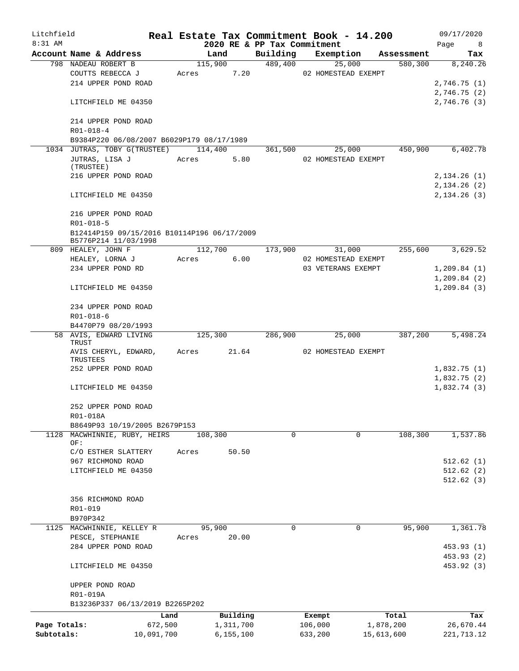| Litchfield   |                                             |            |       |                 |                             | Real Estate Tax Commitment Book - 14.200 |            | 09/17/2020             |
|--------------|---------------------------------------------|------------|-------|-----------------|-----------------------------|------------------------------------------|------------|------------------------|
| $8:31$ AM    |                                             |            |       |                 | 2020 RE & PP Tax Commitment |                                          |            | Page<br>8 <sup>8</sup> |
|              | Account Name & Address                      |            |       | Land            | Building                    | Exemption                                | Assessment | Tax                    |
|              | 798 NADEAU ROBERT B                         |            |       | 115,900<br>7.20 | 489,400                     | 25,000<br>02 HOMESTEAD EXEMPT            | 580,300    | 8,240.26               |
|              | COUTTS REBECCA J<br>214 UPPER POND ROAD     |            | Acres |                 |                             |                                          |            |                        |
|              |                                             |            |       |                 |                             |                                          |            | 2,746.75 (1)           |
|              |                                             |            |       |                 |                             |                                          |            | 2,746.75(2)            |
|              | LITCHFIELD ME 04350                         |            |       |                 |                             |                                          |            | 2,746.76 (3)           |
|              |                                             |            |       |                 |                             |                                          |            |                        |
|              | 214 UPPER POND ROAD                         |            |       |                 |                             |                                          |            |                        |
|              | $R01 - 018 - 4$                             |            |       |                 |                             |                                          |            |                        |
|              | B9384P220 06/08/2007 B6029P179 08/17/1989   |            |       |                 |                             |                                          |            |                        |
|              | 1034 JUTRAS, TOBY G(TRUSTEE)                |            |       | 114,400         | 361,500                     | 25,000                                   | 450,900    | 6,402.78               |
|              | JUTRAS, LISA J<br>(TRUSTEE)                 |            | Acres | 5.80            |                             | 02 HOMESTEAD EXEMPT                      |            |                        |
|              | 216 UPPER POND ROAD                         |            |       |                 |                             |                                          |            | 2,134.26 (1)           |
|              |                                             |            |       |                 |                             |                                          |            | 2,134.26(2)            |
|              | LITCHFIELD ME 04350                         |            |       |                 |                             |                                          |            | 2,134.26 (3)           |
|              |                                             |            |       |                 |                             |                                          |            |                        |
|              | 216 UPPER POND ROAD                         |            |       |                 |                             |                                          |            |                        |
|              | $R01 - 018 - 5$                             |            |       |                 |                             |                                          |            |                        |
|              | B12414P159 09/15/2016 B10114P196 06/17/2009 |            |       |                 |                             |                                          |            |                        |
|              | B5776P214 11/03/1998                        |            |       |                 |                             |                                          |            |                        |
|              | 809 HEALEY, JOHN F                          |            |       | 112,700         | 173,900                     | 31,000                                   | 255,600    | 3,629.52               |
|              | HEALEY, LORNA J                             |            | Acres | 6.00            |                             | 02 HOMESTEAD EXEMPT                      |            |                        |
|              | 234 UPPER POND RD                           |            |       |                 |                             | 03 VETERANS EXEMPT                       |            | 1,209.84(1)            |
|              |                                             |            |       |                 |                             |                                          |            | 1, 209.84(2)           |
|              | LITCHFIELD ME 04350                         |            |       |                 |                             |                                          |            | 1,209.84(3)            |
|              |                                             |            |       |                 |                             |                                          |            |                        |
|              | 234 UPPER POND ROAD                         |            |       |                 |                             |                                          |            |                        |
|              | $R01 - 018 - 6$                             |            |       |                 |                             |                                          |            |                        |
|              | B4470P79 08/20/1993                         |            |       |                 |                             |                                          |            |                        |
|              | 58 AVIS, EDWARD LIVING                      |            |       | 125,300         | 286,900                     | 25,000                                   | 387,200    | 5,498.24               |
|              | TRUST                                       |            |       |                 |                             |                                          |            |                        |
|              | AVIS CHERYL, EDWARD,                        |            | Acres | 21.64           |                             | 02 HOMESTEAD EXEMPT                      |            |                        |
|              | TRUSTEES                                    |            |       |                 |                             |                                          |            |                        |
|              | 252 UPPER POND ROAD                         |            |       |                 |                             |                                          |            | 1,832.75(1)            |
|              |                                             |            |       |                 |                             |                                          |            | 1,832.75(2)            |
|              | LITCHFIELD ME 04350                         |            |       |                 |                             |                                          |            | 1,832.74(3)            |
|              |                                             |            |       |                 |                             |                                          |            |                        |
|              | 252 UPPER POND ROAD                         |            |       |                 |                             |                                          |            |                        |
|              | R01-018A                                    |            |       |                 |                             |                                          |            |                        |
|              | B8649P93 10/19/2005 B2679P153               |            |       |                 |                             |                                          |            |                        |
| 1128         | MACWHINNIE, RUBY, HEIRS                     |            |       | 108,300         | 0                           | $\mathbf 0$                              | 108,300    | 1,537.86               |
|              | OF:                                         |            |       |                 |                             |                                          |            |                        |
|              | C/O ESTHER SLATTERY                         |            | Acres | 50.50           |                             |                                          |            |                        |
|              | 967 RICHMOND ROAD                           |            |       |                 |                             |                                          |            | 512.62(1)              |
|              | LITCHFIELD ME 04350                         |            |       |                 |                             |                                          |            | 512.62(2)              |
|              |                                             |            |       |                 |                             |                                          |            | 512.62(3)              |
|              |                                             |            |       |                 |                             |                                          |            |                        |
|              | 356 RICHMOND ROAD                           |            |       |                 |                             |                                          |            |                        |
|              | R01-019                                     |            |       |                 |                             |                                          |            |                        |
|              | B970P342                                    |            |       |                 | $\mathbf 0$                 | $\mathbf 0$                              |            |                        |
|              | 1125 MACWHINNIE, KELLEY R                   |            |       | 95,900          |                             |                                          | 95,900     | 1,361.78               |
|              | PESCE, STEPHANIE                            |            | Acres | 20.00           |                             |                                          |            |                        |
|              | 284 UPPER POND ROAD                         |            |       |                 |                             |                                          |            | 453.93 (1)             |
|              |                                             |            |       |                 |                             |                                          |            | 453.93 (2)             |
|              | LITCHFIELD ME 04350                         |            |       |                 |                             |                                          |            | 453.92 (3)             |
|              |                                             |            |       |                 |                             |                                          |            |                        |
|              | UPPER POND ROAD                             |            |       |                 |                             |                                          |            |                        |
|              | R01-019A                                    |            |       |                 |                             |                                          |            |                        |
|              | B13236P337 06/13/2019 B2265P202             |            |       |                 |                             |                                          |            |                        |
|              |                                             | Land       |       | Building        |                             | Exempt                                   | Total      | Tax                    |
| Page Totals: |                                             | 672,500    |       | 1,311,700       |                             | 106,000<br>1,878,200                     |            | 26,670.44              |
| Subtotals:   |                                             | 10,091,700 |       | 6, 155, 100     |                             | 633,200<br>15,613,600                    |            | 221, 713.12            |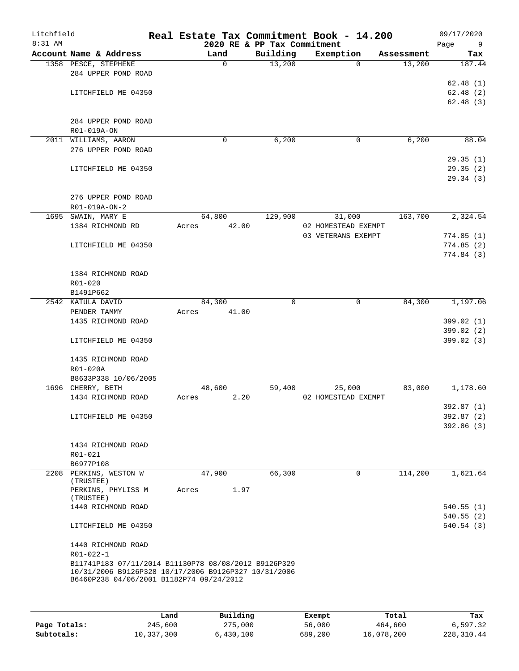| Litchfield<br>8:31 AM |                                                      |       |        | 2020 RE & PP Tax Commitment | Real Estate Tax Commitment Book - 14.200 |            | 09/17/2020<br>Page<br>9 |
|-----------------------|------------------------------------------------------|-------|--------|-----------------------------|------------------------------------------|------------|-------------------------|
|                       | Account Name & Address                               |       | Land   | Building                    | Exemption                                | Assessment | Tax                     |
|                       | 1358 PESCE, STEPHENE                                 |       | 0      | 13,200                      | $\Omega$                                 | 13,200     | 187.44                  |
|                       | 284 UPPER POND ROAD                                  |       |        |                             |                                          |            |                         |
|                       |                                                      |       |        |                             |                                          |            | 62.48(1)                |
|                       | LITCHFIELD ME 04350                                  |       |        |                             |                                          |            | 62.48(2)                |
|                       |                                                      |       |        |                             |                                          |            | 62.48(3)                |
|                       |                                                      |       |        |                             |                                          |            |                         |
|                       | 284 UPPER POND ROAD                                  |       |        |                             |                                          |            |                         |
|                       |                                                      |       |        |                             |                                          |            |                         |
|                       | R01-019A-ON                                          |       |        |                             |                                          |            |                         |
|                       | 2011 WILLIAMS, AARON                                 |       | 0      | 6,200                       | 0                                        | 6,200      | 88.04                   |
|                       | 276 UPPER POND ROAD                                  |       |        |                             |                                          |            |                         |
|                       |                                                      |       |        |                             |                                          |            | 29.35(1)                |
|                       | LITCHFIELD ME 04350                                  |       |        |                             |                                          |            | 29.35(2)                |
|                       |                                                      |       |        |                             |                                          |            | 29.34(3)                |
|                       |                                                      |       |        |                             |                                          |            |                         |
|                       | 276 UPPER POND ROAD                                  |       |        |                             |                                          |            |                         |
|                       | R01-019A-ON-2                                        |       |        |                             |                                          |            |                         |
|                       | 1695 SWAIN, MARY E                                   |       | 64,800 | 129,900                     | 31,000                                   | 163,700    | 2,324.54                |
|                       | 1384 RICHMOND RD                                     | Acres | 42.00  |                             | 02 HOMESTEAD EXEMPT                      |            |                         |
|                       |                                                      |       |        |                             | 03 VETERANS EXEMPT                       |            | 774.85(1)               |
|                       | LITCHFIELD ME 04350                                  |       |        |                             |                                          |            | 774.85(2)               |
|                       |                                                      |       |        |                             |                                          |            | 774.84(3)               |
|                       |                                                      |       |        |                             |                                          |            |                         |
|                       | 1384 RICHMOND ROAD                                   |       |        |                             |                                          |            |                         |
|                       | R01-020                                              |       |        |                             |                                          |            |                         |
|                       | B1491P662                                            |       |        |                             |                                          |            |                         |
|                       | 2542 KATULA DAVID                                    |       | 84,300 | $\mathbf 0$                 | $\mathsf{O}$                             | 84,300     | 1,197.06                |
|                       | PENDER TAMMY                                         | Acres | 41.00  |                             |                                          |            |                         |
|                       | 1435 RICHMOND ROAD                                   |       |        |                             |                                          |            | 399.02 (1)              |
|                       |                                                      |       |        |                             |                                          |            | 399.02 (2)              |
|                       | LITCHFIELD ME 04350                                  |       |        |                             |                                          |            | 399.02 (3)              |
|                       |                                                      |       |        |                             |                                          |            |                         |
|                       | 1435 RICHMOND ROAD                                   |       |        |                             |                                          |            |                         |
|                       | R01-020A                                             |       |        |                             |                                          |            |                         |
|                       | B8633P338 10/06/2005                                 |       |        |                             |                                          |            |                         |
|                       | 1696 CHERRY, BETH                                    |       | 48,600 | 59,400                      | 25,000                                   | 83,000     | 1,178.60                |
|                       | 1434 RICHMOND ROAD                                   | Acres | 2.20   |                             | 02 HOMESTEAD EXEMPT                      |            |                         |
|                       |                                                      |       |        |                             |                                          |            | 392.87 (1)              |
|                       | LITCHFIELD ME 04350                                  |       |        |                             |                                          |            | 392.87 (2)              |
|                       |                                                      |       |        |                             |                                          |            | 392.86(3)               |
|                       |                                                      |       |        |                             |                                          |            |                         |
|                       | 1434 RICHMOND ROAD                                   |       |        |                             |                                          |            |                         |
|                       | R01-021                                              |       |        |                             |                                          |            |                         |
|                       | B6977P108                                            |       |        |                             |                                          |            |                         |
|                       | 2208 PERKINS, WESTON W                               |       | 47,900 | 66,300                      | 0                                        | 114,200    | 1,621.64                |
|                       | (TRUSTEE)                                            |       |        |                             |                                          |            |                         |
|                       | PERKINS, PHYLISS M                                   | Acres | 1.97   |                             |                                          |            |                         |
|                       | (TRUSTEE)                                            |       |        |                             |                                          |            |                         |
|                       | 1440 RICHMOND ROAD                                   |       |        |                             |                                          |            | 540.55(1)               |
|                       |                                                      |       |        |                             |                                          |            | 540.55(2)               |
|                       | LITCHFIELD ME 04350                                  |       |        |                             |                                          |            | 540.54(3)               |
|                       |                                                      |       |        |                             |                                          |            |                         |
|                       | 1440 RICHMOND ROAD                                   |       |        |                             |                                          |            |                         |
|                       | R01-022-1                                            |       |        |                             |                                          |            |                         |
|                       | B11741P183 07/11/2014 B11130P78 08/08/2012 B9126P329 |       |        |                             |                                          |            |                         |
|                       | 10/31/2006 B9126P328 10/17/2006 B9126P327 10/31/2006 |       |        |                             |                                          |            |                         |
|                       | B6460P238 04/06/2001 B1182P74 09/24/2012             |       |        |                             |                                          |            |                         |
|                       |                                                      |       |        |                             |                                          |            |                         |
|                       |                                                      |       |        |                             |                                          |            |                         |

|              | Land       | Building  | Exempt  | Total      | Tax         |
|--------------|------------|-----------|---------|------------|-------------|
| Page Totals: | 245,600    | 275,000   | 56,000  | 464,600    | 6,597.32    |
| Subtotals:   | 10,337,300 | 6,430,100 | 689,200 | 16,078,200 | 228, 310.44 |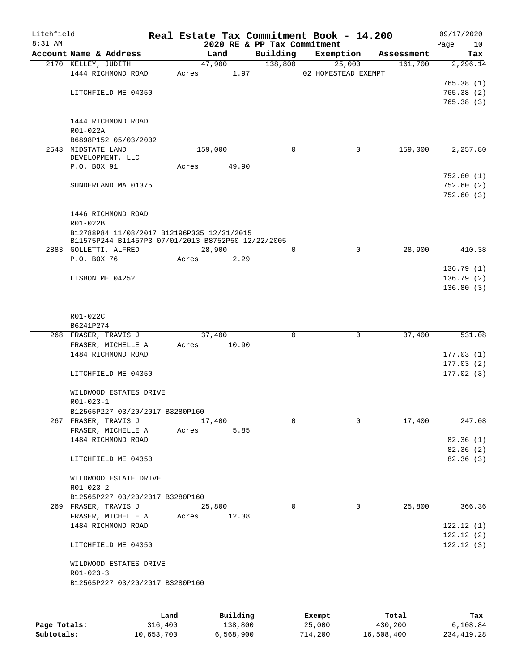| Litchfield<br>$8:31$ AM |                                                    |      |       |             |       | 2020 RE & PP Tax Commitment |         | Real Estate Tax Commitment Book - 14.200 |            | 09/17/2020<br>Page<br>10 |
|-------------------------|----------------------------------------------------|------|-------|-------------|-------|-----------------------------|---------|------------------------------------------|------------|--------------------------|
|                         | Account Name & Address                             |      |       | Land        |       | Building                    |         | Exemption                                | Assessment | Tax                      |
|                         | 2170 KELLEY, JUDITH                                |      |       | 47,900      |       |                             | 138,800 | 25,000                                   | 161,700    | 2,296.14                 |
|                         | 1444 RICHMOND ROAD                                 |      | Acres |             | 1.97  |                             |         | 02 HOMESTEAD EXEMPT                      |            |                          |
|                         |                                                    |      |       |             |       |                             |         |                                          |            | 765.38(1)                |
|                         | LITCHFIELD ME 04350                                |      |       |             |       |                             |         |                                          |            | 765.38(2)                |
|                         |                                                    |      |       |             |       |                             |         |                                          |            | 765.38(3)                |
|                         | 1444 RICHMOND ROAD                                 |      |       |             |       |                             |         |                                          |            |                          |
|                         | R01-022A                                           |      |       |             |       |                             |         |                                          |            |                          |
|                         | B6898P152 05/03/2002                               |      |       |             |       |                             |         |                                          |            |                          |
|                         | 2543 MIDSTATE LAND                                 |      |       | 159,000     |       | $\Omega$                    |         | 0                                        | 159,000    | 2,257.80                 |
|                         | DEVELOPMENT, LLC                                   |      |       |             |       |                             |         |                                          |            |                          |
|                         | P.O. BOX 91                                        |      | Acres |             | 49.90 |                             |         |                                          |            | 752.60(1)                |
|                         | SUNDERLAND MA 01375                                |      |       |             |       |                             |         |                                          |            | 752.60(2)                |
|                         |                                                    |      |       |             |       |                             |         |                                          |            | 752.60(3)                |
|                         |                                                    |      |       |             |       |                             |         |                                          |            |                          |
|                         | 1446 RICHMOND ROAD                                 |      |       |             |       |                             |         |                                          |            |                          |
|                         | R01-022B                                           |      |       |             |       |                             |         |                                          |            |                          |
|                         | B12788P84 11/08/2017 B12196P335 12/31/2015         |      |       |             |       |                             |         |                                          |            |                          |
|                         | B11575P244 B11457P3 07/01/2013 B8752P50 12/22/2005 |      |       |             |       |                             |         |                                          |            |                          |
|                         | 2883 GOLLETTI, ALFRED<br>P.O. BOX 76               |      |       | 28,900      |       | $\mathbf 0$                 |         | $\mathbf 0$                              | 28,900     | 410.38                   |
|                         |                                                    |      | Acres |             | 2.29  |                             |         |                                          |            | 136.79(1)                |
|                         | LISBON ME 04252                                    |      |       |             |       |                             |         |                                          |            | 136.79(2)                |
|                         |                                                    |      |       |             |       |                             |         |                                          |            | 136.80(3)                |
|                         |                                                    |      |       |             |       |                             |         |                                          |            |                          |
|                         |                                                    |      |       |             |       |                             |         |                                          |            |                          |
|                         | R01-022C                                           |      |       |             |       |                             |         |                                          |            |                          |
|                         | B6241P274                                          |      |       |             |       |                             |         |                                          |            |                          |
|                         | 268 FRASER, TRAVIS J                               |      |       | 37,400      |       |                             | 0       | $\mathbf 0$                              | 37,400     | 531.08                   |
|                         | FRASER, MICHELLE A<br>1484 RICHMOND ROAD           |      |       | Acres 10.90 |       |                             |         |                                          |            | 177.03(1)                |
|                         |                                                    |      |       |             |       |                             |         |                                          |            | 177.03(2)                |
|                         | LITCHFIELD ME 04350                                |      |       |             |       |                             |         |                                          |            | 177.02(3)                |
|                         |                                                    |      |       |             |       |                             |         |                                          |            |                          |
|                         | WILDWOOD ESTATES DRIVE                             |      |       |             |       |                             |         |                                          |            |                          |
|                         | $R01 - 023 - 1$                                    |      |       |             |       |                             |         |                                          |            |                          |
|                         | B12565P227 03/20/2017 B3280P160                    |      |       |             |       |                             |         |                                          |            |                          |
|                         | 267 FRASER, TRAVIS J                               |      |       | 17,400      |       | 0                           |         | $\Omega$                                 | 17,400     | 247.08                   |
|                         | FRASER, MICHELLE A                                 |      | Acres |             | 5.85  |                             |         |                                          |            |                          |
|                         | 1484 RICHMOND ROAD                                 |      |       |             |       |                             |         |                                          |            | 82.36(1)                 |
|                         | LITCHFIELD ME 04350                                |      |       |             |       |                             |         |                                          |            | 82.36(2)<br>82.36 (3)    |
|                         |                                                    |      |       |             |       |                             |         |                                          |            |                          |
|                         | WILDWOOD ESTATE DRIVE                              |      |       |             |       |                             |         |                                          |            |                          |
|                         | $R01 - 023 - 2$                                    |      |       |             |       |                             |         |                                          |            |                          |
|                         | B12565P227 03/20/2017 B3280P160                    |      |       |             |       |                             |         |                                          |            |                          |
|                         | 269 FRASER, TRAVIS J                               |      |       | 25,800      |       | 0                           |         | $\mathbf 0$                              | 25,800     | 366.36                   |
|                         | FRASER, MICHELLE A                                 |      | Acres |             | 12.38 |                             |         |                                          |            |                          |
|                         | 1484 RICHMOND ROAD                                 |      |       |             |       |                             |         |                                          |            | 122.12(1)                |
|                         |                                                    |      |       |             |       |                             |         |                                          |            | 122.12(2)                |
|                         | LITCHFIELD ME 04350                                |      |       |             |       |                             |         |                                          |            | 122.12(3)                |
|                         | WILDWOOD ESTATES DRIVE                             |      |       |             |       |                             |         |                                          |            |                          |
|                         | $R01 - 023 - 3$                                    |      |       |             |       |                             |         |                                          |            |                          |
|                         | B12565P227 03/20/2017 B3280P160                    |      |       |             |       |                             |         |                                          |            |                          |
|                         |                                                    |      |       |             |       |                             |         |                                          |            |                          |
|                         |                                                    |      |       |             |       |                             |         |                                          |            |                          |
|                         |                                                    | Land |       | Building    |       |                             | Exempt  |                                          | Total      | Tax                      |

|              | ⊥and       | Building  | Exempt  | Total      | Tax        |
|--------------|------------|-----------|---------|------------|------------|
| Page Totals: | 316,400    | 138,800   | 25,000  | 430,200    | 6,108.84   |
| Subtotals:   | 10,653,700 | 6.568.900 | 714,200 | 16,508,400 | 234,419.28 |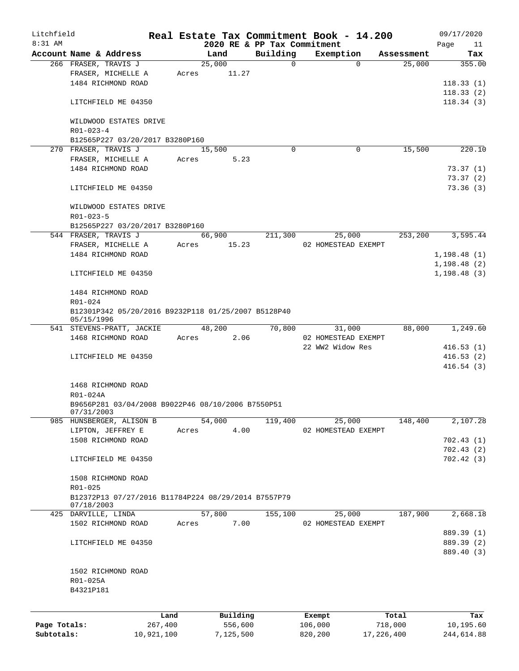| Litchfield   |                                                     |         |       |          |                                         | Real Estate Tax Commitment Book - 14.200 |            | 09/17/2020        |
|--------------|-----------------------------------------------------|---------|-------|----------|-----------------------------------------|------------------------------------------|------------|-------------------|
| $8:31$ AM    | Account Name & Address                              |         |       | Land     | 2020 RE & PP Tax Commitment<br>Building | Exemption                                | Assessment | Page<br>11<br>Tax |
|              | 266 FRASER, TRAVIS J                                |         |       | 25,000   | 0                                       | $\Omega$                                 | 25,000     | 355.00            |
|              | FRASER, MICHELLE A                                  |         | Acres | 11.27    |                                         |                                          |            |                   |
|              | 1484 RICHMOND ROAD                                  |         |       |          |                                         |                                          |            | 118.33(1)         |
|              |                                                     |         |       |          |                                         |                                          |            | 118.33(2)         |
|              | LITCHFIELD ME 04350                                 |         |       |          |                                         |                                          |            | 118.34(3)         |
|              |                                                     |         |       |          |                                         |                                          |            |                   |
|              | WILDWOOD ESTATES DRIVE                              |         |       |          |                                         |                                          |            |                   |
|              | $R01 - 023 - 4$                                     |         |       |          |                                         |                                          |            |                   |
|              | B12565P227 03/20/2017 B3280P160                     |         |       |          |                                         |                                          |            |                   |
|              | 270 FRASER, TRAVIS J                                |         |       | 15,500   | $\Omega$                                | 0                                        | 15,500     | 220.10            |
|              | FRASER, MICHELLE A                                  |         | Acres | 5.23     |                                         |                                          |            |                   |
|              | 1484 RICHMOND ROAD                                  |         |       |          |                                         |                                          |            | 73.37(1)          |
|              |                                                     |         |       |          |                                         |                                          |            | 73.37(2)          |
|              | LITCHFIELD ME 04350                                 |         |       |          |                                         |                                          |            | 73.36(3)          |
|              |                                                     |         |       |          |                                         |                                          |            |                   |
|              | WILDWOOD ESTATES DRIVE                              |         |       |          |                                         |                                          |            |                   |
|              | R01-023-5                                           |         |       |          |                                         |                                          |            |                   |
|              | B12565P227 03/20/2017 B3280P160                     |         |       |          |                                         |                                          |            |                   |
|              | 544 FRASER, TRAVIS J                                |         |       | 66,900   | 211,300                                 | 25,000                                   | 253, 200   | 3,595.44          |
|              | FRASER, MICHELLE A                                  |         | Acres | 15.23    |                                         | 02 HOMESTEAD EXEMPT                      |            |                   |
|              | 1484 RICHMOND ROAD                                  |         |       |          |                                         |                                          |            | 1,198.48(1)       |
|              |                                                     |         |       |          |                                         |                                          |            | 1,198.48(2)       |
|              | LITCHFIELD ME 04350                                 |         |       |          |                                         |                                          |            | 1,198.48(3)       |
|              |                                                     |         |       |          |                                         |                                          |            |                   |
|              | 1484 RICHMOND ROAD                                  |         |       |          |                                         |                                          |            |                   |
|              | R01-024                                             |         |       |          |                                         |                                          |            |                   |
|              | B12301P342 05/20/2016 B9232P118 01/25/2007 B5128P40 |         |       |          |                                         |                                          |            |                   |
|              | 05/15/1996                                          |         |       |          |                                         |                                          |            |                   |
|              | 541 STEVENS-PRATT, JACKIE                           |         |       | 48,200   | 70,800                                  | 31,000                                   | 88,000     | 1,249.60          |
|              | 1468 RICHMOND ROAD                                  |         | Acres | 2.06     |                                         | 02 HOMESTEAD EXEMPT                      |            |                   |
|              |                                                     |         |       |          |                                         | 22 WW2 Widow Res                         |            | 416.53(1)         |
|              | LITCHFIELD ME 04350                                 |         |       |          |                                         |                                          |            | 416.53(2)         |
|              |                                                     |         |       |          |                                         |                                          |            | 416.54(3)         |
|              |                                                     |         |       |          |                                         |                                          |            |                   |
|              | 1468 RICHMOND ROAD                                  |         |       |          |                                         |                                          |            |                   |
|              | R01-024A                                            |         |       |          |                                         |                                          |            |                   |
|              | B9656P281 03/04/2008 B9022P46 08/10/2006 B7550P51   |         |       |          |                                         |                                          |            |                   |
|              | 07/31/2003                                          |         |       |          |                                         |                                          |            | 2,107.28          |
|              | 985 HUNSBERGER, ALISON B                            |         |       | 54,000   | 119,400                                 | 25,000                                   | 148,400    |                   |
|              | LIPTON, JEFFREY E                                   |         | Acres | 4.00     |                                         | 02 HOMESTEAD EXEMPT                      |            |                   |
|              | 1508 RICHMOND ROAD                                  |         |       |          |                                         |                                          |            | 702.43 (1)        |
|              |                                                     |         |       |          |                                         |                                          |            | 702.43(2)         |
|              | LITCHFIELD ME 04350                                 |         |       |          |                                         |                                          |            | 702.42 (3)        |
|              | 1508 RICHMOND ROAD                                  |         |       |          |                                         |                                          |            |                   |
|              | R01-025                                             |         |       |          |                                         |                                          |            |                   |
|              | B12372P13 07/27/2016 B11784P224 08/29/2014 B7557P79 |         |       |          |                                         |                                          |            |                   |
|              | 07/18/2003                                          |         |       |          |                                         |                                          |            |                   |
|              | 425 DARVILLE, LINDA                                 |         |       | 57,800   | 155,100                                 | 25,000                                   | 187,900    | 2,668.18          |
|              | 1502 RICHMOND ROAD                                  |         | Acres | 7.00     |                                         | 02 HOMESTEAD EXEMPT                      |            |                   |
|              |                                                     |         |       |          |                                         |                                          |            | 889.39 (1)        |
|              | LITCHFIELD ME 04350                                 |         |       |          |                                         |                                          |            | 889.39 (2)        |
|              |                                                     |         |       |          |                                         |                                          |            | 889.40 (3)        |
|              |                                                     |         |       |          |                                         |                                          |            |                   |
|              | 1502 RICHMOND ROAD                                  |         |       |          |                                         |                                          |            |                   |
|              | R01-025A                                            |         |       |          |                                         |                                          |            |                   |
|              | B4321P181                                           |         |       |          |                                         |                                          |            |                   |
|              |                                                     |         |       |          |                                         |                                          |            |                   |
|              |                                                     |         |       |          |                                         |                                          |            |                   |
|              |                                                     | Land    |       | Building |                                         | Exempt                                   | Total      | Tax               |
| Page Totals: |                                                     | 267,400 |       | 556,600  |                                         | 106,000                                  | 718,000    | 10,195.60         |

**Subtotals:** 10,921,100 7,125,500 820,200 17,226,400 244,614.88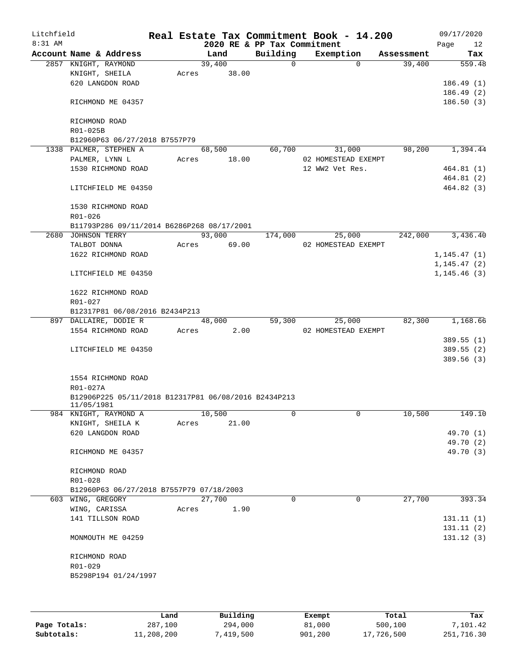| Litchfield |                                                                    |       |        | Real Estate Tax Commitment Book - 14.200 |                     |            | 09/17/2020             |     |
|------------|--------------------------------------------------------------------|-------|--------|------------------------------------------|---------------------|------------|------------------------|-----|
| $8:31$ AM  |                                                                    |       |        | 2020 RE & PP Tax Commitment              |                     |            | Page                   | 12  |
|            | Account Name & Address                                             |       | Land   | Building                                 | Exemption           | Assessment |                        | Tax |
|            | 2857 KNIGHT, RAYMOND                                               |       | 39,400 | $\Omega$                                 | $\Omega$            | 39,400     | 559.48                 |     |
|            | KNIGHT, SHEILA                                                     | Acres | 38.00  |                                          |                     |            |                        |     |
|            | 620 LANGDON ROAD                                                   |       |        |                                          |                     |            | 186.49(1)              |     |
|            |                                                                    |       |        |                                          |                     |            | 186.49(2)              |     |
|            | RICHMOND ME 04357                                                  |       |        |                                          |                     |            | 186.50(3)              |     |
|            | RICHMOND ROAD                                                      |       |        |                                          |                     |            |                        |     |
|            | R01-025B                                                           |       |        |                                          |                     |            |                        |     |
|            | B12960P63 06/27/2018 B7557P79                                      |       |        |                                          |                     |            |                        |     |
|            | 1338 PALMER, STEPHEN A                                             |       | 68,500 | 60,700                                   | 31,000              | 98,200     | 1,394.44               |     |
|            | PALMER, LYNN L                                                     | Acres | 18.00  |                                          | 02 HOMESTEAD EXEMPT |            |                        |     |
|            | 1530 RICHMOND ROAD                                                 |       |        |                                          | 12 WW2 Vet Res.     |            | 464.81(1)              |     |
|            |                                                                    |       |        |                                          |                     |            | 464.81 (2)             |     |
|            | LITCHFIELD ME 04350                                                |       |        |                                          |                     |            | 464.82 (3)             |     |
|            | 1530 RICHMOND ROAD                                                 |       |        |                                          |                     |            |                        |     |
|            | $R01 - 026$                                                        |       |        |                                          |                     |            |                        |     |
|            | B11793P286 09/11/2014 B6286P268 08/17/2001                         |       |        |                                          |                     |            |                        |     |
|            | 2680 JOHNSON TERRY                                                 |       | 93,000 | 174,000                                  | 25,000              | 242,000    | 3,436.40               |     |
|            | TALBOT DONNA                                                       | Acres | 69.00  |                                          | 02 HOMESTEAD EXEMPT |            |                        |     |
|            | 1622 RICHMOND ROAD                                                 |       |        |                                          |                     |            | 1, 145.47(1)           |     |
|            |                                                                    |       |        |                                          |                     |            | 1, 145.47(2)           |     |
|            | LITCHFIELD ME 04350                                                |       |        |                                          |                     |            | 1, 145.46(3)           |     |
|            | 1622 RICHMOND ROAD                                                 |       |        |                                          |                     |            |                        |     |
|            | R01-027                                                            |       |        |                                          |                     |            |                        |     |
|            | B12317P81 06/08/2016 B2434P213                                     |       |        |                                          |                     |            |                        |     |
|            | 897 DALLAIRE, DODIE R                                              |       | 48,000 | 59,300                                   | 25,000              | 82,300     | 1,168.66               |     |
|            | 1554 RICHMOND ROAD                                                 | Acres | 2.00   |                                          | 02 HOMESTEAD EXEMPT |            |                        |     |
|            |                                                                    |       |        |                                          |                     |            | 389.55(1)              |     |
|            | LITCHFIELD ME 04350                                                |       |        |                                          |                     |            | 389.55(2)              |     |
|            |                                                                    |       |        |                                          |                     |            | 389.56 (3)             |     |
|            |                                                                    |       |        |                                          |                     |            |                        |     |
|            | 1554 RICHMOND ROAD                                                 |       |        |                                          |                     |            |                        |     |
|            | R01-027A                                                           |       |        |                                          |                     |            |                        |     |
|            | B12906P225 05/11/2018 B12317P81 06/08/2016 B2434P213<br>11/05/1981 |       |        |                                          |                     |            |                        |     |
|            | 984 KNIGHT, RAYMOND A                                              |       | 10,500 | 0                                        | 0                   | 10,500     | 149.10                 |     |
|            | KNIGHT, SHEILA K                                                   | Acres | 21.00  |                                          |                     |            |                        |     |
|            | 620 LANGDON ROAD                                                   |       |        |                                          |                     |            | 49.70 (1)              |     |
|            |                                                                    |       |        |                                          |                     |            | 49.70 (2)              |     |
|            | RICHMOND ME 04357                                                  |       |        |                                          |                     |            | 49.70 (3)              |     |
|            |                                                                    |       |        |                                          |                     |            |                        |     |
|            | RICHMOND ROAD<br>R01-028                                           |       |        |                                          |                     |            |                        |     |
|            |                                                                    |       |        |                                          |                     |            |                        |     |
|            | B12960P63 06/27/2018 B7557P79 07/18/2003                           |       |        |                                          |                     | 27,700     |                        |     |
|            | 603 WING, GREGORY                                                  |       | 27,700 | $\Omega$                                 | $\mathbf 0$         |            | 393.34                 |     |
|            | WING, CARISSA                                                      | Acres | 1.90   |                                          |                     |            |                        |     |
|            | 141 TILLSON ROAD                                                   |       |        |                                          |                     |            | 131.11(1)              |     |
|            | MONMOUTH ME 04259                                                  |       |        |                                          |                     |            | 131.11(2)<br>131.12(3) |     |
|            |                                                                    |       |        |                                          |                     |            |                        |     |
|            | RICHMOND ROAD                                                      |       |        |                                          |                     |            |                        |     |
|            | R01-029                                                            |       |        |                                          |                     |            |                        |     |
|            | B5298P194 01/24/1997                                               |       |        |                                          |                     |            |                        |     |
|            |                                                                    |       |        |                                          |                     |            |                        |     |
|            |                                                                    |       |        |                                          |                     |            |                        |     |
|            |                                                                    |       |        |                                          |                     |            |                        |     |

|              | Land       | Building  | Exempt  | Total      | Tax        |
|--------------|------------|-----------|---------|------------|------------|
| Page Totals: | 287,100    | 294,000   | 81,000  | 500,100    | 7,101.42   |
| Subtotals:   | 11,208,200 | 7,419,500 | 901,200 | 17,726,500 | 251,716.30 |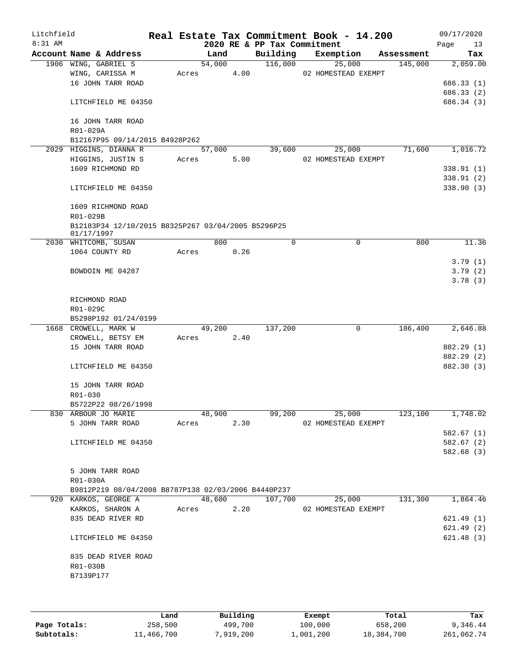| Litchfield<br>$8:31$ AM |                                                     |       |        |      | 2020 RE & PP Tax Commitment | Real Estate Tax Commitment Book - 14.200 |            | 09/17/2020<br>Page       | 13    |
|-------------------------|-----------------------------------------------------|-------|--------|------|-----------------------------|------------------------------------------|------------|--------------------------|-------|
|                         | Account Name & Address                              |       | Land   |      | Building                    | Exemption                                | Assessment |                          | Tax   |
|                         | 1906 WING, GABRIEL S                                |       | 54,000 |      | 116,000                     | 25,000                                   | 145,000    | 2,059.00                 |       |
|                         | WING, CARISSA M                                     | Acres |        | 4.00 |                             | 02 HOMESTEAD EXEMPT                      |            |                          |       |
|                         | 16 JOHN TARR ROAD                                   |       |        |      |                             |                                          |            | 686.33 (1)               |       |
|                         | LITCHFIELD ME 04350                                 |       |        |      |                             |                                          |            | 686.33 (2)<br>686.34 (3) |       |
|                         |                                                     |       |        |      |                             |                                          |            |                          |       |
|                         | 16 JOHN TARR ROAD                                   |       |        |      |                             |                                          |            |                          |       |
|                         | R01-029A                                            |       |        |      |                             |                                          |            |                          |       |
|                         | B12167P95 09/14/2015 B4928P262                      |       |        |      |                             |                                          |            |                          |       |
|                         | 2029 HIGGINS, DIANNA R                              |       | 57,000 |      | 39,600                      | 25,000                                   | 71,600     | 1,016.72                 |       |
|                         | HIGGINS, JUSTIN S                                   | Acres |        | 5.00 |                             | 02 HOMESTEAD EXEMPT                      |            |                          |       |
|                         | 1609 RICHMOND RD                                    |       |        |      |                             |                                          |            | 338.91(1)                |       |
|                         |                                                     |       |        |      |                             |                                          |            | 338.91 (2)               |       |
|                         | LITCHFIELD ME 04350                                 |       |        |      |                             |                                          |            | 338.90 (3)               |       |
|                         | 1609 RICHMOND ROAD                                  |       |        |      |                             |                                          |            |                          |       |
|                         | R01-029B                                            |       |        |      |                             |                                          |            |                          |       |
|                         | B12183P34 12/10/2015 B8325P267 03/04/2005 B5296P25  |       |        |      |                             |                                          |            |                          |       |
|                         | 01/17/1997                                          |       |        |      |                             |                                          |            |                          |       |
|                         | 2030 WHITCOMB, SUSAN                                |       | 800    |      | 0                           | 0                                        | 800        |                          | 11.36 |
|                         | 1064 COUNTY RD                                      | Acres |        | 0.26 |                             |                                          |            |                          |       |
|                         |                                                     |       |        |      |                             |                                          |            | 3.79(1)                  |       |
|                         | BOWDOIN ME 04287                                    |       |        |      |                             |                                          |            | 3.79(2)<br>3.78(3)       |       |
|                         |                                                     |       |        |      |                             |                                          |            |                          |       |
|                         | RICHMOND ROAD                                       |       |        |      |                             |                                          |            |                          |       |
|                         | R01-029C                                            |       |        |      |                             |                                          |            |                          |       |
|                         | B5298P192 01/24/0199                                |       |        |      |                             |                                          |            |                          |       |
|                         | 1668 CROWELL, MARK W                                |       | 49,200 |      | 137,200                     | 0                                        | 186,400    | 2,646.88                 |       |
|                         | CROWELL, BETSY EM                                   | Acres |        | 2.40 |                             |                                          |            |                          |       |
|                         | 15 JOHN TARR ROAD                                   |       |        |      |                             |                                          |            | 882.29 (1)               |       |
|                         |                                                     |       |        |      |                             |                                          |            | 882.29 (2)               |       |
|                         | LITCHFIELD ME 04350                                 |       |        |      |                             |                                          |            | 882.30 (3)               |       |
|                         | 15 JOHN TARR ROAD                                   |       |        |      |                             |                                          |            |                          |       |
|                         | R01-030                                             |       |        |      |                             |                                          |            |                          |       |
|                         | B5722P22 08/26/1998                                 |       |        |      |                             |                                          |            |                          |       |
|                         | 830 ARBOUR JO MARIE                                 |       | 48,900 |      | 99,200                      | 25,000                                   | 123,100    | 1,748.02                 |       |
|                         | 5 JOHN TARR ROAD                                    | Acres |        | 2.30 |                             | 02 HOMESTEAD EXEMPT                      |            |                          |       |
|                         |                                                     |       |        |      |                             |                                          |            | 582.67(1)                |       |
|                         | LITCHFIELD ME 04350                                 |       |        |      |                             |                                          |            | 582.67 (2)               |       |
|                         |                                                     |       |        |      |                             |                                          |            | 582.68(3)                |       |
|                         | 5 JOHN TARR ROAD                                    |       |        |      |                             |                                          |            |                          |       |
|                         | R01-030A                                            |       |        |      |                             |                                          |            |                          |       |
|                         | B9812P219 08/04/2008 B8787P138 02/03/2006 B4440P237 |       |        |      |                             |                                          |            |                          |       |
|                         | 920 KARKOS, GEORGE A                                |       | 48,600 |      | 107,700                     | 25,000                                   | 131,300    | 1,864.46                 |       |
|                         | KARKOS, SHARON A                                    | Acres |        | 2.20 |                             | 02 HOMESTEAD EXEMPT                      |            |                          |       |
|                         | 835 DEAD RIVER RD                                   |       |        |      |                             |                                          |            | 621.49(1)                |       |
|                         |                                                     |       |        |      |                             |                                          |            | 621.49(2)                |       |
|                         | LITCHFIELD ME 04350                                 |       |        |      |                             |                                          |            | 621.48(3)                |       |
|                         |                                                     |       |        |      |                             |                                          |            |                          |       |
|                         | 835 DEAD RIVER ROAD                                 |       |        |      |                             |                                          |            |                          |       |
|                         | R01-030B<br>B7139P177                               |       |        |      |                             |                                          |            |                          |       |
|                         |                                                     |       |        |      |                             |                                          |            |                          |       |
|                         |                                                     |       |        |      |                             |                                          |            |                          |       |
|                         |                                                     |       |        |      |                             |                                          |            |                          |       |

|              | Land       | Building  | Exempt    | Total      | Tax        |
|--------------|------------|-----------|-----------|------------|------------|
| Page Totals: | 258,500    | 499,700   | 100,000   | 658,200    | 9,346.44   |
| Subtotals:   | 11,466,700 | 7,919,200 | 1,001,200 | 18,384,700 | 261,062.74 |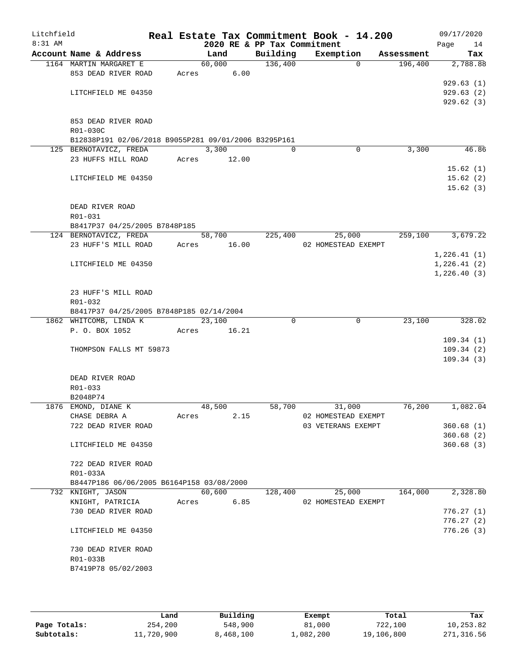| Litchfield<br>8:31 AM |                                                                    |       |        | 2020 RE & PP Tax Commitment | Real Estate Tax Commitment Book - 14.200 |            | 09/17/2020<br>Page<br>14 |
|-----------------------|--------------------------------------------------------------------|-------|--------|-----------------------------|------------------------------------------|------------|--------------------------|
|                       | Account Name & Address                                             |       | Land   | Building                    | Exemption                                | Assessment | Tax                      |
|                       | 1164 MARTIN MARGARET E                                             |       | 60,000 | 136,400                     | $\Omega$                                 | 196,400    | 2,788.88                 |
|                       | 853 DEAD RIVER ROAD                                                | Acres | 6.00   |                             |                                          |            |                          |
|                       |                                                                    |       |        |                             |                                          |            | 929.63(1)                |
|                       | LITCHFIELD ME 04350                                                |       |        |                             |                                          |            | 929.63(2)                |
|                       |                                                                    |       |        |                             |                                          |            | 929.62(3)                |
|                       |                                                                    |       |        |                             |                                          |            |                          |
|                       | 853 DEAD RIVER ROAD                                                |       |        |                             |                                          |            |                          |
|                       | R01-030C<br>B12838P191 02/06/2018 B9055P281 09/01/2006 B3295P161   |       |        |                             |                                          |            |                          |
|                       | 125 BERNOTAVICZ, FREDA                                             |       | 3,300  | $\Omega$                    | $\mathbf 0$                              | 3,300      | 46.86                    |
|                       | 23 HUFFS HILL ROAD                                                 | Acres | 12.00  |                             |                                          |            |                          |
|                       |                                                                    |       |        |                             |                                          |            | 15.62(1)                 |
|                       | LITCHFIELD ME 04350                                                |       |        |                             |                                          |            | 15.62(2)                 |
|                       |                                                                    |       |        |                             |                                          |            | 15.62(3)                 |
|                       |                                                                    |       |        |                             |                                          |            |                          |
|                       | DEAD RIVER ROAD                                                    |       |        |                             |                                          |            |                          |
|                       | R01-031                                                            |       |        |                             |                                          |            |                          |
|                       | B8417P37 04/25/2005 B7848P185                                      |       |        |                             |                                          |            |                          |
|                       | 124 BERNOTAVICZ, FREDA                                             |       | 58,700 | 225,400                     | 25,000                                   | 259,100    | 3,679.22                 |
|                       | 23 HUFF'S MILL ROAD                                                | Acres | 16.00  |                             | 02 HOMESTEAD EXEMPT                      |            |                          |
|                       |                                                                    |       |        |                             |                                          |            | 1,226.41(1)              |
|                       | LITCHFIELD ME 04350                                                |       |        |                             |                                          |            | 1,226.41(2)              |
|                       |                                                                    |       |        |                             |                                          |            | 1,226.40(3)              |
|                       |                                                                    |       |        |                             |                                          |            |                          |
|                       | 23 HUFF'S MILL ROAD                                                |       |        |                             |                                          |            |                          |
|                       | R01-032                                                            |       |        |                             |                                          |            |                          |
|                       | B8417P37 04/25/2005 B7848P185 02/14/2004<br>1862 WHITCOMB, LINDA K |       | 23,100 | $\Omega$                    | $\mathbf 0$                              | 23,100     | 328.02                   |
|                       | P. O. BOX 1052                                                     | Acres | 16.21  |                             |                                          |            |                          |
|                       |                                                                    |       |        |                             |                                          |            | 109.34(1)                |
|                       | THOMPSON FALLS MT 59873                                            |       |        |                             |                                          |            | 109.34(2)                |
|                       |                                                                    |       |        |                             |                                          |            | 109.34(3)                |
|                       |                                                                    |       |        |                             |                                          |            |                          |
|                       | DEAD RIVER ROAD                                                    |       |        |                             |                                          |            |                          |
|                       | R01-033                                                            |       |        |                             |                                          |            |                          |
|                       | B2048P74                                                           |       |        |                             |                                          |            |                          |
|                       | 1876 EMOND, DIANE K                                                |       | 48,500 | 58,700                      | 31,000                                   | 76,200     | 1,082.04                 |
|                       | CHASE DEBRA A                                                      | Acres | 2.15   |                             | 02 HOMESTEAD EXEMPT                      |            |                          |
|                       | 722 DEAD RIVER ROAD                                                |       |        |                             | 03 VETERANS EXEMPT                       |            | 360.68(1)                |
|                       |                                                                    |       |        |                             |                                          |            | 360.68(2)                |
|                       | LITCHFIELD ME 04350                                                |       |        |                             |                                          |            | 360.68(3)                |
|                       |                                                                    |       |        |                             |                                          |            |                          |
|                       | 722 DEAD RIVER ROAD                                                |       |        |                             |                                          |            |                          |
|                       | R01-033A<br>B8447P186 06/06/2005 B6164P158 03/08/2000              |       |        |                             |                                          |            |                          |
|                       | 732 KNIGHT, JASON                                                  |       | 60,600 | 128,400                     | 25,000                                   | 164,000    | 2,328.80                 |
|                       | KNIGHT, PATRICIA                                                   | Acres | 6.85   |                             | 02 HOMESTEAD EXEMPT                      |            |                          |
|                       | 730 DEAD RIVER ROAD                                                |       |        |                             |                                          |            | 776.27(1)                |
|                       |                                                                    |       |        |                             |                                          |            | 776.27(2)                |
|                       | LITCHFIELD ME 04350                                                |       |        |                             |                                          |            | 776.26(3)                |
|                       |                                                                    |       |        |                             |                                          |            |                          |
|                       | 730 DEAD RIVER ROAD                                                |       |        |                             |                                          |            |                          |
|                       | R01-033B                                                           |       |        |                             |                                          |            |                          |
|                       | B7419P78 05/02/2003                                                |       |        |                             |                                          |            |                          |
|                       |                                                                    |       |        |                             |                                          |            |                          |
|                       |                                                                    |       |        |                             |                                          |            |                          |

|              | Land       | Building  | Exempt    | Total      | Tax        |
|--------------|------------|-----------|-----------|------------|------------|
| Page Totals: | 254,200    | 548,900   | 81,000    | 722,100    | 10,253.82  |
| Subtotals:   | 11,720,900 | 8,468,100 | ⊥,082,200 | 19,106,800 | 271,316.56 |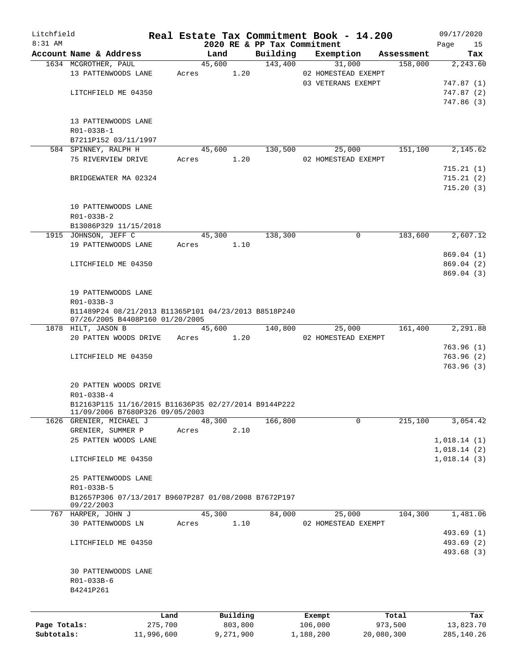| Litchfield<br>$8:31$ AM |                                                                                         |         |            | 2020 RE & PP Tax Commitment | Real Estate Tax Commitment Book - 14.200 |            | 09/17/2020<br>Page<br>15 |
|-------------------------|-----------------------------------------------------------------------------------------|---------|------------|-----------------------------|------------------------------------------|------------|--------------------------|
|                         | Account Name & Address                                                                  |         | Land       | Building                    | Exemption                                | Assessment | Tax                      |
|                         | 1634 MCGROTHER, PAUL                                                                    |         | 45,600     | 143,400                     | 31,000                                   | 158,000    | 2,243.60                 |
|                         | 13 PATTENWOODS LANE                                                                     | Acres   | 1.20       |                             | 02 HOMESTEAD EXEMPT                      |            |                          |
|                         |                                                                                         |         |            |                             | 03 VETERANS EXEMPT                       |            | 747.87 (1)               |
|                         | LITCHFIELD ME 04350                                                                     |         |            |                             |                                          |            | 747.87(2)                |
|                         |                                                                                         |         |            |                             |                                          |            | 747.86 (3)               |
|                         | 13 PATTENWOODS LANE                                                                     |         |            |                             |                                          |            |                          |
|                         | R01-033B-1                                                                              |         |            |                             |                                          |            |                          |
|                         | B7211P152 03/11/1997                                                                    |         |            |                             |                                          |            |                          |
|                         | 584 SPINNEY, RALPH H                                                                    |         | 45,600     | 130,500                     | 25,000                                   | 151,100    | 2,145.62                 |
|                         | 75 RIVERVIEW DRIVE                                                                      | Acres   | 1.20       |                             | 02 HOMESTEAD EXEMPT                      |            |                          |
|                         |                                                                                         |         |            |                             |                                          |            | 715.21(1)                |
|                         | BRIDGEWATER MA 02324                                                                    |         |            |                             |                                          |            | 715.21(2)                |
|                         |                                                                                         |         |            |                             |                                          |            | 715.20(3)                |
|                         | 10 PATTENWOODS LANE                                                                     |         |            |                             |                                          |            |                          |
|                         | R01-033B-2                                                                              |         |            |                             |                                          |            |                          |
|                         | B13086P329 11/15/2018                                                                   |         |            |                             |                                          |            |                          |
|                         | 1915 JOHNSON, JEFF C                                                                    |         | 45,300     | 138,300                     | $\mathbf 0$                              | 183,600    | 2,607.12                 |
|                         | 19 PATTENWOODS LANE                                                                     | Acres   | 1.10       |                             |                                          |            |                          |
|                         |                                                                                         |         |            |                             |                                          |            | 869.04 (1)               |
|                         | LITCHFIELD ME 04350                                                                     |         |            |                             |                                          |            | 869.04 (2)               |
|                         |                                                                                         |         |            |                             |                                          |            | 869.04(3)                |
|                         |                                                                                         |         |            |                             |                                          |            |                          |
|                         | 19 PATTENWOODS LANE                                                                     |         |            |                             |                                          |            |                          |
|                         | R01-033B-3                                                                              |         |            |                             |                                          |            |                          |
|                         | B11489P24 08/21/2013 B11365P101 04/23/2013 B8518P240<br>07/26/2005 B4408P160 01/20/2005 |         |            |                             |                                          |            |                          |
|                         | 1878 HILT, JASON B                                                                      |         | 45,600     | 140,800                     | 25,000                                   | 161,400    | 2,291.88                 |
|                         | 20 PATTEN WOODS DRIVE                                                                   |         | Acres 1.20 |                             | 02 HOMESTEAD EXEMPT                      |            |                          |
|                         |                                                                                         |         |            |                             |                                          |            | 763.96(1)                |
|                         | LITCHFIELD ME 04350                                                                     |         |            |                             |                                          |            | 763.96(2)                |
|                         |                                                                                         |         |            |                             |                                          |            | 763.96(3)                |
|                         | 20 PATTEN WOODS DRIVE                                                                   |         |            |                             |                                          |            |                          |
|                         | R01-033B-4                                                                              |         |            |                             |                                          |            |                          |
|                         | B12163P115 11/16/2015 B11636P35 02/27/2014 B9144P222<br>11/09/2006 B7680P326 09/05/2003 |         |            |                             |                                          |            |                          |
|                         | 1626 GRENIER, MICHAEL J                                                                 |         | 48,300     | 166,800                     | 0                                        | 215,100    | 3,054.42                 |
|                         | GRENIER, SUMMER P                                                                       | Acres   | 2.10       |                             |                                          |            |                          |
|                         | 25 PATTEN WOODS LANE                                                                    |         |            |                             |                                          |            | 1,018.14(1)              |
|                         |                                                                                         |         |            |                             |                                          |            | 1,018.14(2)              |
|                         | LITCHFIELD ME 04350                                                                     |         |            |                             |                                          |            | 1,018.14(3)              |
|                         | 25 PATTENWOODS LANE                                                                     |         |            |                             |                                          |            |                          |
|                         | R01-033B-5                                                                              |         |            |                             |                                          |            |                          |
|                         | B12657P306 07/13/2017 B9607P287 01/08/2008 B7672P197                                    |         |            |                             |                                          |            |                          |
|                         | 09/22/2003                                                                              |         |            |                             |                                          |            |                          |
|                         | 767 HARPER, JOHN J                                                                      |         | 45,300     | 84,000                      | 25,000                                   | 104,300    | 1,481.06                 |
|                         | 30 PATTENWOODS LN                                                                       | Acres   | 1.10       |                             | 02 HOMESTEAD EXEMPT                      |            |                          |
|                         |                                                                                         |         |            |                             |                                          |            | 493.69 (1)               |
|                         | LITCHFIELD ME 04350                                                                     |         |            |                             |                                          |            | 493.69 (2)               |
|                         |                                                                                         |         |            |                             |                                          |            | 493.68 (3)               |
|                         | 30 PATTENWOODS LANE                                                                     |         |            |                             |                                          |            |                          |
|                         | R01-033B-6                                                                              |         |            |                             |                                          |            |                          |
|                         | B4241P261                                                                               |         |            |                             |                                          |            |                          |
|                         |                                                                                         | Land    | Building   |                             | Exempt                                   | Total      | Tax                      |
| Page Totals:            |                                                                                         | 275,700 | 803,800    |                             | 106,000                                  | 973,500    | 13,823.70                |
|                         |                                                                                         |         |            |                             |                                          |            |                          |

**Subtotals:** 11,996,600 9,271,900 1,188,200 20,080,300 285,140.26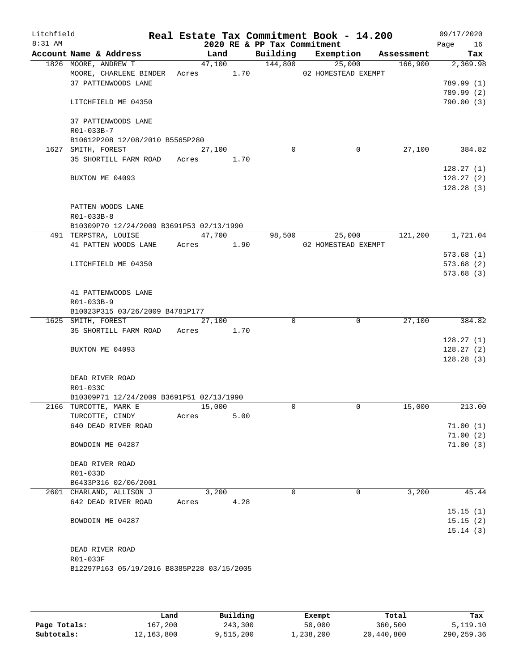| Litchfield<br>8:31 AM |                                            |        |        | 2020 RE & PP Tax Commitment | Real Estate Tax Commitment Book - 14.200 |            | 09/17/2020<br>Page<br>16 |
|-----------------------|--------------------------------------------|--------|--------|-----------------------------|------------------------------------------|------------|--------------------------|
|                       | Account Name & Address                     |        | Land   |                             | Building Exemption                       | Assessment | Tax                      |
|                       | 1826 MOORE, ANDREW T                       |        | 47,100 | 144,800                     | 25,000                                   | 166,900    | 2,369.98                 |
|                       | MOORE, CHARLENE BINDER                     | Acres  | 1.70   |                             | 02 HOMESTEAD EXEMPT                      |            |                          |
|                       | 37 PATTENWOODS LANE                        |        |        |                             |                                          |            | 789.99 (1)               |
|                       |                                            |        |        |                             |                                          |            | 789.99(2)                |
|                       | LITCHFIELD ME 04350                        |        |        |                             |                                          |            | 790.00(3)                |
|                       | 37 PATTENWOODS LANE                        |        |        |                             |                                          |            |                          |
|                       | R01-033B-7                                 |        |        |                             |                                          |            |                          |
|                       | B10612P208 12/08/2010 B5565P280            |        |        |                             |                                          |            |                          |
|                       | 1627 SMITH, FOREST                         | 27,100 |        | $\Omega$                    | $\mathbf 0$                              | 27,100     | 384.82                   |
|                       | 35 SHORTILL FARM ROAD                      | Acres  | 1.70   |                             |                                          |            |                          |
|                       |                                            |        |        |                             |                                          |            | 128.27(1)                |
|                       | BUXTON ME 04093                            |        |        |                             |                                          |            | 128.27(2)                |
|                       |                                            |        |        |                             |                                          |            | 128.28(3)                |
|                       | PATTEN WOODS LANE                          |        |        |                             |                                          |            |                          |
|                       | R01-033B-8                                 |        |        |                             |                                          |            |                          |
|                       | B10309P70 12/24/2009 B3691P53 02/13/1990   |        |        |                             |                                          |            |                          |
|                       | 491 TERPSTRA, LOUISE                       |        | 47,700 | 98,500                      | 25,000                                   | 121,200    | 1,721.04                 |
|                       | 41 PATTEN WOODS LANE                       | Acres  | 1.90   |                             | 02 HOMESTEAD EXEMPT                      |            |                          |
|                       |                                            |        |        |                             |                                          |            | 573.68(1)                |
|                       | LITCHFIELD ME 04350                        |        |        |                             |                                          |            | 573.68(2)                |
|                       |                                            |        |        |                             |                                          |            | 573.68(3)                |
|                       |                                            |        |        |                             |                                          |            |                          |
|                       | 41 PATTENWOODS LANE                        |        |        |                             |                                          |            |                          |
|                       | R01-033B-9                                 |        |        |                             |                                          |            |                          |
|                       | B10023P315 03/26/2009 B4781P177            |        |        |                             |                                          |            |                          |
|                       | 1625 SMITH, FOREST                         | 27,100 |        | $\Omega$                    | 0                                        | 27,100     | 384.82                   |
|                       | 35 SHORTILL FARM ROAD Acres                |        | 1.70   |                             |                                          |            |                          |
|                       |                                            |        |        |                             |                                          |            | 128.27(1)                |
|                       | BUXTON ME 04093                            |        |        |                             |                                          |            | 128.27(2)                |
|                       |                                            |        |        |                             |                                          |            | 128.28(3)                |
|                       |                                            |        |        |                             |                                          |            |                          |
|                       | DEAD RIVER ROAD                            |        |        |                             |                                          |            |                          |
|                       | R01-033C                                   |        |        |                             |                                          |            |                          |
|                       | B10309P71 12/24/2009 B3691P51 02/13/1990   |        |        |                             |                                          |            |                          |
|                       | 2166 TURCOTTE, MARK E                      | 15,000 |        | $\Omega$                    | 0                                        | 15,000     | 213.00                   |
|                       | TURCOTTE, CINDY                            | Acres  | 5.00   |                             |                                          |            |                          |
|                       | 640 DEAD RIVER ROAD                        |        |        |                             |                                          |            | 71.00(1)                 |
|                       |                                            |        |        |                             |                                          |            | 71.00(2)                 |
|                       | BOWDOIN ME 04287                           |        |        |                             |                                          |            | 71.00(3)                 |
|                       | DEAD RIVER ROAD                            |        |        |                             |                                          |            |                          |
|                       | R01-033D                                   |        |        |                             |                                          |            |                          |
|                       | B6433P316 02/06/2001                       |        |        |                             |                                          |            |                          |
|                       | 2601 CHARLAND, ALLISON J                   | 3,200  |        | $\Omega$                    | 0                                        | 3,200      | 45.44                    |
|                       | 642 DEAD RIVER ROAD                        | Acres  | 4.28   |                             |                                          |            |                          |
|                       |                                            |        |        |                             |                                          |            | 15.15(1)                 |
|                       | BOWDOIN ME 04287                           |        |        |                             |                                          |            | 15.15(2)                 |
|                       |                                            |        |        |                             |                                          |            | 15.14(3)                 |
|                       |                                            |        |        |                             |                                          |            |                          |
|                       | DEAD RIVER ROAD                            |        |        |                             |                                          |            |                          |
|                       | R01-033F                                   |        |        |                             |                                          |            |                          |
|                       | B12297P163 05/19/2016 B8385P228 03/15/2005 |        |        |                             |                                          |            |                          |
|                       |                                            |        |        |                             |                                          |            |                          |
|                       |                                            |        |        |                             |                                          |            |                          |

|              | Land         | Building  | Exempt    | Total      | Tax          |
|--------------|--------------|-----------|-----------|------------|--------------|
| Page Totals: | 167,200      | 243,300   | 50,000    | 360,500    | 5,119.10     |
| Subtotals:   | 12, 163, 800 | 9,515,200 | 1,238,200 | 20,440,800 | 290, 259. 36 |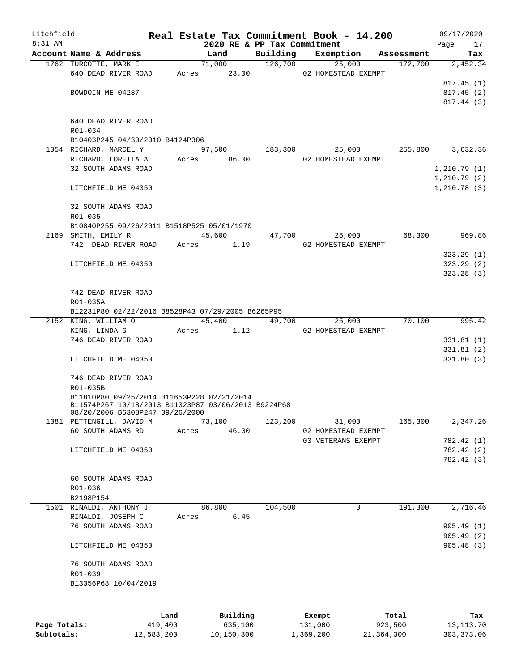| Litchfield   |                                                     |         |       |                       |                             | Real Estate Tax Commitment Book - 14.200 |   |                       | 09/17/2020       |
|--------------|-----------------------------------------------------|---------|-------|-----------------------|-----------------------------|------------------------------------------|---|-----------------------|------------------|
| $8:31$ AM    | Account Name & Address                              |         |       |                       | 2020 RE & PP Tax Commitment |                                          |   |                       | Page<br>17       |
|              | 1762 TURCOTTE, MARK E                               |         |       | Land<br>71,000        | Building                    | Exemption<br>126,700<br>25,000           |   | Assessment<br>172,700 | Tax<br>2,452.34  |
|              | 640 DEAD RIVER ROAD                                 |         |       |                       |                             | Acres 23.00 02 HOMESTEAD EXEMPT          |   |                       |                  |
|              |                                                     |         |       |                       |                             |                                          |   |                       | 817.45(1)        |
|              | BOWDOIN ME 04287                                    |         |       |                       |                             |                                          |   |                       | 817.45(2)        |
|              |                                                     |         |       |                       |                             |                                          |   |                       | 817.44(3)        |
|              |                                                     |         |       |                       |                             |                                          |   |                       |                  |
|              | 640 DEAD RIVER ROAD                                 |         |       |                       |                             |                                          |   |                       |                  |
|              | R01-034                                             |         |       |                       |                             |                                          |   |                       |                  |
|              | B10403P245 04/30/2010 B4124P306                     |         |       |                       |                             |                                          |   |                       |                  |
|              | 1054 RICHARD, MARCEL Y                              |         |       |                       | 97,500 183,300              | 25,000                                   |   |                       | 255,800 3,632.36 |
|              | RICHARD, LORETTA A Acres 86.00                      |         |       |                       |                             | 02 HOMESTEAD EXEMPT                      |   |                       |                  |
|              | 32 SOUTH ADAMS ROAD                                 |         |       |                       |                             |                                          |   |                       | 1,210.79(1)      |
|              |                                                     |         |       |                       |                             |                                          |   |                       | 1,210.79(2)      |
|              | LITCHFIELD ME 04350                                 |         |       |                       |                             |                                          |   |                       | 1, 210.78(3)     |
|              |                                                     |         |       |                       |                             |                                          |   |                       |                  |
|              | 32 SOUTH ADAMS ROAD                                 |         |       |                       |                             |                                          |   |                       |                  |
|              | $R01 - 035$                                         |         |       |                       |                             |                                          |   |                       |                  |
|              | B10840P255 09/26/2011 B1518P525 05/01/1970          |         |       |                       |                             |                                          |   |                       |                  |
|              | 2169 SMITH, EMILY R                                 |         |       | 45,600                | 47,700                      | 25,000                                   |   | 68,300                | 969.86           |
|              | 742 DEAD RIVER ROAD                                 |         |       | Acres 1.19            |                             | 02 HOMESTEAD EXEMPT                      |   |                       |                  |
|              |                                                     |         |       |                       |                             |                                          |   |                       | 323.29(1)        |
|              | LITCHFIELD ME 04350                                 |         |       |                       |                             |                                          |   |                       | 323.29(2)        |
|              |                                                     |         |       |                       |                             |                                          |   |                       | 323.28(3)        |
|              |                                                     |         |       |                       |                             |                                          |   |                       |                  |
|              | 742 DEAD RIVER ROAD                                 |         |       |                       |                             |                                          |   |                       |                  |
|              | R01-035A                                            |         |       |                       |                             |                                          |   |                       |                  |
|              | B12231P80 02/22/2016 B8528P43 07/29/2005 B6265P95   |         |       |                       |                             |                                          |   |                       |                  |
|              | 2152 KING, WILLIAM O                                |         |       | 45,400                | 49,700                      | 25,000                                   |   | 70,100                | 995.42           |
|              | KING, LINDA G                                       |         |       | Acres 1.12            |                             | 02 HOMESTEAD EXEMPT                      |   |                       |                  |
|              | 746 DEAD RIVER ROAD                                 |         |       |                       |                             |                                          |   |                       | 331.81(1)        |
|              |                                                     |         |       |                       |                             |                                          |   |                       | 331.81 (2)       |
|              | LITCHFIELD ME 04350                                 |         |       |                       |                             |                                          |   |                       | 331.80(3)        |
|              |                                                     |         |       |                       |                             |                                          |   |                       |                  |
|              | 746 DEAD RIVER ROAD                                 |         |       |                       |                             |                                          |   |                       |                  |
|              | R01-035B                                            |         |       |                       |                             |                                          |   |                       |                  |
|              | B11810P80 09/25/2014 B11653P228 02/21/2014          |         |       |                       |                             |                                          |   |                       |                  |
|              | B11574P267 10/18/2013 B11323P87 03/06/2013 B9224P68 |         |       |                       |                             |                                          |   |                       |                  |
|              | 08/20/2006 B6308P247 09/26/2000                     |         |       |                       |                             |                                          |   |                       |                  |
|              | 1381 PETTENGILL, DAVID M                            |         |       | $\overline{73}$ , 100 | 123,200                     | 31,000                                   |   | 165,300               | 2,347.26         |
|              | 60 SOUTH ADAMS RD                                   |         | Acres | 46.00                 |                             | 02 HOMESTEAD EXEMPT                      |   |                       |                  |
|              |                                                     |         |       |                       |                             | 03 VETERANS EXEMPT                       |   |                       | 782.42 (1)       |
|              | LITCHFIELD ME 04350                                 |         |       |                       |                             |                                          |   |                       | 782.42 (2)       |
|              |                                                     |         |       |                       |                             |                                          |   |                       | 782.42 (3)       |
|              |                                                     |         |       |                       |                             |                                          |   |                       |                  |
|              | 60 SOUTH ADAMS ROAD                                 |         |       |                       |                             |                                          |   |                       |                  |
|              | R01-036                                             |         |       |                       |                             |                                          |   |                       |                  |
|              | B2198P154                                           |         |       |                       |                             |                                          |   |                       |                  |
|              | 1501 RINALDI, ANTHONY J                             |         |       | 86,800                | 104,500                     |                                          | 0 | 191,300               | 2,716.46         |
|              | RINALDI, JOSEPH C                                   |         | Acres | 6.45                  |                             |                                          |   |                       |                  |
|              | 76 SOUTH ADAMS ROAD                                 |         |       |                       |                             |                                          |   |                       | 905.49(1)        |
|              |                                                     |         |       |                       |                             |                                          |   |                       | 905.49(2)        |
|              | LITCHFIELD ME 04350                                 |         |       |                       |                             |                                          |   |                       | 905.48(3)        |
|              |                                                     |         |       |                       |                             |                                          |   |                       |                  |
|              | 76 SOUTH ADAMS ROAD                                 |         |       |                       |                             |                                          |   |                       |                  |
|              | R01-039                                             |         |       |                       |                             |                                          |   |                       |                  |
|              | B13356P68 10/04/2019                                |         |       |                       |                             |                                          |   |                       |                  |
|              |                                                     |         |       |                       |                             |                                          |   |                       |                  |
|              |                                                     |         |       |                       |                             |                                          |   |                       |                  |
|              |                                                     | Land    |       | Building              |                             | Exempt                                   |   | Total                 | Tax              |
| Page Totals: |                                                     | 419,400 |       | 635,100               |                             | 131,000                                  |   | 923,500               | 13, 113. 70      |

**Subtotals:** 12,583,200 10,150,300 1,369,200 21,364,300 303,373.06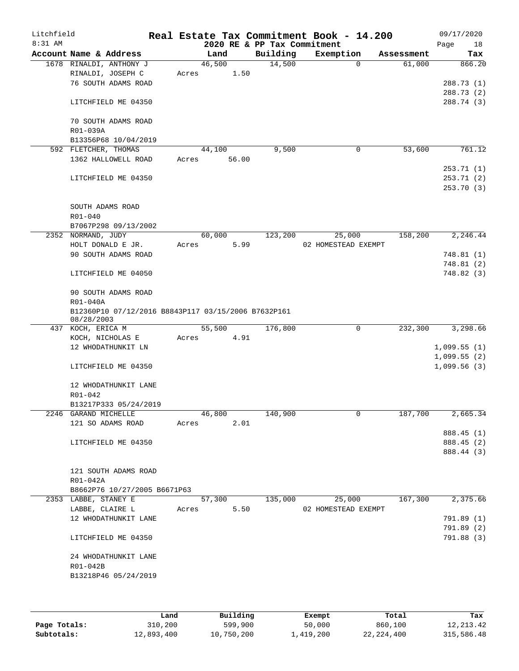| Litchfield<br>$8:31$ AM |                      |                                                     |       |        |       |                                         | Real Estate Tax Commitment Book - 14.200 |             |            | 09/17/2020    |
|-------------------------|----------------------|-----------------------------------------------------|-------|--------|-------|-----------------------------------------|------------------------------------------|-------------|------------|---------------|
|                         |                      | Account Name & Address                              |       |        |       | 2020 RE & PP Tax Commitment<br>Building |                                          |             |            | Page<br>18    |
|                         |                      |                                                     |       | Land   |       | 14,500                                  | Exemption                                | $\Omega$    | Assessment | Tax<br>866.20 |
|                         |                      | 1678 RINALDI, ANTHONY J<br>RINALDI, JOSEPH C        | Acres | 46,500 | 1.50  |                                         |                                          |             | 61,000     |               |
|                         |                      | 76 SOUTH ADAMS ROAD                                 |       |        |       |                                         |                                          |             |            | 288.73 (1)    |
|                         |                      |                                                     |       |        |       |                                         |                                          |             |            | 288.73 (2)    |
|                         |                      | LITCHFIELD ME 04350                                 |       |        |       |                                         |                                          |             |            | 288.74 (3)    |
|                         |                      |                                                     |       |        |       |                                         |                                          |             |            |               |
|                         |                      | 70 SOUTH ADAMS ROAD                                 |       |        |       |                                         |                                          |             |            |               |
|                         | R01-039A             |                                                     |       |        |       |                                         |                                          |             |            |               |
|                         |                      | B13356P68 10/04/2019                                |       |        |       |                                         |                                          |             |            |               |
|                         |                      | 592 FLETCHER, THOMAS                                |       | 44,100 |       | 9,500                                   |                                          | 0           | 53,600     | 761.12        |
|                         |                      | 1362 HALLOWELL ROAD                                 | Acres |        | 56.00 |                                         |                                          |             |            |               |
|                         |                      |                                                     |       |        |       |                                         |                                          |             |            | 253.71(1)     |
|                         |                      | LITCHFIELD ME 04350                                 |       |        |       |                                         |                                          |             |            | 253.71(2)     |
|                         |                      |                                                     |       |        |       |                                         |                                          |             |            | 253.70 (3)    |
|                         |                      |                                                     |       |        |       |                                         |                                          |             |            |               |
|                         |                      | SOUTH ADAMS ROAD                                    |       |        |       |                                         |                                          |             |            |               |
|                         | R01-040              |                                                     |       |        |       |                                         |                                          |             |            |               |
|                         |                      | B7067P298 09/13/2002                                |       |        |       |                                         |                                          |             |            |               |
|                         | 2352 NORMAND, JUDY   |                                                     |       | 60,000 |       | 123,200                                 |                                          | 25,000      | 158,200    | 2,246.44      |
|                         |                      | HOLT DONALD E JR.                                   | Acres |        | 5.99  |                                         | 02 HOMESTEAD EXEMPT                      |             |            |               |
|                         |                      | 90 SOUTH ADAMS ROAD                                 |       |        |       |                                         |                                          |             |            | 748.81 (1)    |
|                         |                      |                                                     |       |        |       |                                         |                                          |             |            | 748.81 (2)    |
|                         |                      | LITCHFIELD ME 04050                                 |       |        |       |                                         |                                          |             |            | 748.82 (3)    |
|                         |                      |                                                     |       |        |       |                                         |                                          |             |            |               |
|                         |                      | 90 SOUTH ADAMS ROAD                                 |       |        |       |                                         |                                          |             |            |               |
|                         | R01-040A             |                                                     |       |        |       |                                         |                                          |             |            |               |
|                         | 08/28/2003           | B12360P10 07/12/2016 B8843P117 03/15/2006 B7632P161 |       |        |       |                                         |                                          |             |            |               |
|                         | 437 KOCH, ERICA M    |                                                     |       | 55,500 |       | 176,800                                 |                                          | $\mathbf 0$ | 232,300    | 3,298.66      |
|                         |                      | KOCH, NICHOLAS E                                    | Acres |        | 4.91  |                                         |                                          |             |            |               |
|                         |                      | 12 WHODATHUNKIT LN                                  |       |        |       |                                         |                                          |             |            | 1,099.55(1)   |
|                         |                      |                                                     |       |        |       |                                         |                                          |             |            | 1,099.55(2)   |
|                         |                      | LITCHFIELD ME 04350                                 |       |        |       |                                         |                                          |             |            | 1,099.56(3)   |
|                         |                      |                                                     |       |        |       |                                         |                                          |             |            |               |
|                         |                      | 12 WHODATHUNKIT LANE                                |       |        |       |                                         |                                          |             |            |               |
|                         | R01-042              |                                                     |       |        |       |                                         |                                          |             |            |               |
|                         |                      | B13217P333 05/24/2019                               |       |        |       |                                         |                                          |             |            |               |
|                         | 2246 GARAND MICHELLE |                                                     |       | 46,800 |       | 140,900                                 |                                          | 0           | 187,700    | 2,665.34      |
|                         |                      | 121 SO ADAMS ROAD                                   | Acres |        | 2.01  |                                         |                                          |             |            |               |
|                         |                      |                                                     |       |        |       |                                         |                                          |             |            | 888.45 (1)    |
|                         |                      | LITCHFIELD ME 04350                                 |       |        |       |                                         |                                          |             |            | 888.45 (2)    |
|                         |                      |                                                     |       |        |       |                                         |                                          |             |            | 888.44 (3)    |
|                         |                      |                                                     |       |        |       |                                         |                                          |             |            |               |
|                         |                      | 121 SOUTH ADAMS ROAD                                |       |        |       |                                         |                                          |             |            |               |
|                         | R01-042A             |                                                     |       |        |       |                                         |                                          |             |            |               |
|                         |                      | B8662P76 10/27/2005 B6671P63                        |       |        |       |                                         |                                          |             |            |               |
|                         | 2353 LABBE, STANEY E |                                                     |       | 57,300 |       | 135,000                                 | 02 HOMESTEAD EXEMPT                      | 25,000      | 167,300    | 2,375.66      |
|                         | LABBE, CLAIRE L      | 12 WHODATHUNKIT LANE                                | Acres |        | 5.50  |                                         |                                          |             |            | 791.89 (1)    |
|                         |                      |                                                     |       |        |       |                                         |                                          |             |            | 791.89 (2)    |
|                         |                      | LITCHFIELD ME 04350                                 |       |        |       |                                         |                                          |             |            | 791.88 (3)    |
|                         |                      |                                                     |       |        |       |                                         |                                          |             |            |               |
|                         |                      | 24 WHODATHUNKIT LANE                                |       |        |       |                                         |                                          |             |            |               |
|                         | R01-042B             |                                                     |       |        |       |                                         |                                          |             |            |               |
|                         |                      | B13218P46 05/24/2019                                |       |        |       |                                         |                                          |             |            |               |
|                         |                      |                                                     |       |        |       |                                         |                                          |             |            |               |
|                         |                      |                                                     |       |        |       |                                         |                                          |             |            |               |
|                         |                      |                                                     |       |        |       |                                         |                                          |             |            |               |

|              | Land       | Building   | Exempt    | Total      | Tax        |
|--------------|------------|------------|-----------|------------|------------|
| Page Totals: | 310,200    | 599,900    | 50,000    | 860,100    | 12,213.42  |
| Subtotals:   | 12,893,400 | 10,750,200 | 1,419,200 | 22,224,400 | 315,586.48 |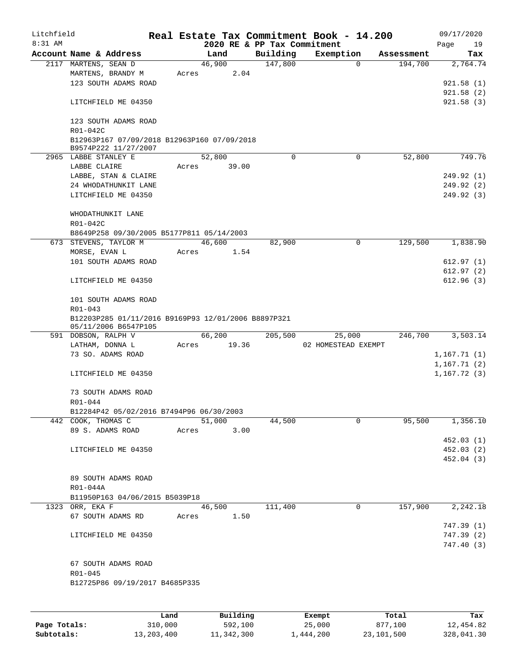| Litchfield |                                                                             |       |                |                             | Real Estate Tax Commitment Book - 14.200 |                       | 09/17/2020      |
|------------|-----------------------------------------------------------------------------|-------|----------------|-----------------------------|------------------------------------------|-----------------------|-----------------|
| 8:31 AM    |                                                                             |       |                | 2020 RE & PP Tax Commitment |                                          |                       | Page<br>19      |
|            | Account Name & Address<br>2117 MARTENS, SEAN D                              |       | Land<br>46,900 | Building<br>147,800         | Exemption<br>$\mathbf 0$                 | Assessment<br>194,700 | Tax<br>2,764.74 |
|            | MARTENS, BRANDY M                                                           | Acres | 2.04           |                             |                                          |                       |                 |
|            | 123 SOUTH ADAMS ROAD                                                        |       |                |                             |                                          |                       | 921.58(1)       |
|            |                                                                             |       |                |                             |                                          |                       | 921.58(2)       |
|            | LITCHFIELD ME 04350                                                         |       |                |                             |                                          |                       | 921.58(3)       |
|            |                                                                             |       |                |                             |                                          |                       |                 |
|            | 123 SOUTH ADAMS ROAD                                                        |       |                |                             |                                          |                       |                 |
|            | R01-042C                                                                    |       |                |                             |                                          |                       |                 |
|            | B12963P167 07/09/2018 B12963P160 07/09/2018                                 |       |                |                             |                                          |                       |                 |
|            | B9574P222 11/27/2007                                                        |       |                |                             |                                          |                       |                 |
|            | 2965 LABBE STANLEY E                                                        |       | 52,800         | $\Omega$                    | $\mathbf 0$                              | 52,800                | 749.76          |
|            | LABBE CLAIRE                                                                | Acres | 39.00          |                             |                                          |                       |                 |
|            | LABBE, STAN & CLAIRE                                                        |       |                |                             |                                          |                       | 249.92 (1)      |
|            | 24 WHODATHUNKIT LANE                                                        |       |                |                             |                                          |                       | 249.92 (2)      |
|            | LITCHFIELD ME 04350                                                         |       |                |                             |                                          |                       | 249.92 (3)      |
|            |                                                                             |       |                |                             |                                          |                       |                 |
|            | WHODATHUNKIT LANE                                                           |       |                |                             |                                          |                       |                 |
|            | R01-042C                                                                    |       |                |                             |                                          |                       |                 |
|            | B8649P258 09/30/2005 B5177P811 05/14/2003                                   |       |                |                             |                                          |                       |                 |
|            | 673 STEVENS, TAYLOR M                                                       |       | 46,600         | 82,900                      | 0                                        | 129,500               | 1,838.90        |
|            | MORSE, EVAN L                                                               | Acres | 1.54           |                             |                                          |                       |                 |
|            | 101 SOUTH ADAMS ROAD                                                        |       |                |                             |                                          |                       | 612.97(1)       |
|            |                                                                             |       |                |                             |                                          |                       | 612.97(2)       |
|            | LITCHFIELD ME 04350                                                         |       |                |                             |                                          |                       | 612.96(3)       |
|            |                                                                             |       |                |                             |                                          |                       |                 |
|            | 101 SOUTH ADAMS ROAD                                                        |       |                |                             |                                          |                       |                 |
|            | R01-043                                                                     |       |                |                             |                                          |                       |                 |
|            | B12203P285 01/11/2016 B9169P93 12/01/2006 B8897P321<br>05/11/2006 B6547P105 |       |                |                             |                                          |                       |                 |
|            | 591 DOBSON, RALPH V                                                         |       | 66,200         | 205,500                     | 25,000                                   | 246,700               | 3,503.14        |
|            | LATHAM, DONNA L                                                             | Acres | 19.36          |                             | 02 HOMESTEAD EXEMPT                      |                       |                 |
|            | 73 SO. ADAMS ROAD                                                           |       |                |                             |                                          |                       | 1,167.71(1)     |
|            |                                                                             |       |                |                             |                                          |                       | 1,167.71(2)     |
|            | LITCHFIELD ME 04350                                                         |       |                |                             |                                          |                       | 1, 167.72(3)    |
|            |                                                                             |       |                |                             |                                          |                       |                 |
|            | 73 SOUTH ADAMS ROAD                                                         |       |                |                             |                                          |                       |                 |
|            | R01-044                                                                     |       |                |                             |                                          |                       |                 |
|            | B12284P42 05/02/2016 B7494P96 06/30/2003                                    |       |                |                             |                                          |                       |                 |
|            | 442 COOK, THOMAS C                                                          |       | 51,000         | 44,500                      | 0                                        | 95,500                | 1,356.10        |
|            | 89 S. ADAMS ROAD                                                            | Acres | 3.00           |                             |                                          |                       |                 |
|            |                                                                             |       |                |                             |                                          |                       | 452.03(1)       |
|            | LITCHFIELD ME 04350                                                         |       |                |                             |                                          |                       | 452.03(2)       |
|            |                                                                             |       |                |                             |                                          |                       | 452.04(3)       |
|            |                                                                             |       |                |                             |                                          |                       |                 |
|            | 89 SOUTH ADAMS ROAD                                                         |       |                |                             |                                          |                       |                 |
|            | R01-044A                                                                    |       |                |                             |                                          |                       |                 |
|            | B11950P163 04/06/2015 B5039P18                                              |       |                |                             |                                          |                       |                 |
|            | 1323 ORR, EKA F                                                             |       | 46,500         | 111,400                     | 0                                        | 157,900               | 2,242.18        |
|            | 67 SOUTH ADAMS RD                                                           | Acres | 1.50           |                             |                                          |                       |                 |
|            |                                                                             |       |                |                             |                                          |                       | 747.39 (1)      |
|            | LITCHFIELD ME 04350                                                         |       |                |                             |                                          |                       | 747.39 (2)      |
|            |                                                                             |       |                |                             |                                          |                       | 747.40 (3)      |
|            |                                                                             |       |                |                             |                                          |                       |                 |
|            | 67 SOUTH ADAMS ROAD                                                         |       |                |                             |                                          |                       |                 |
|            | R01-045                                                                     |       |                |                             |                                          |                       |                 |
|            | B12725P86 09/19/2017 B4685P335                                              |       |                |                             |                                          |                       |                 |
|            |                                                                             |       |                |                             |                                          |                       |                 |
|            |                                                                             |       |                |                             |                                          |                       |                 |
|            |                                                                             |       |                |                             |                                          |                       |                 |

|              | Land       | Building   | Exempt    | Total      | Tax        |
|--------------|------------|------------|-----------|------------|------------|
| Page Totals: | 310,000    | 592,100    | 25,000    | 877,100    | 12,454.82  |
| Subtotals:   | 13,203,400 | 11,342,300 | 1,444,200 | 23,101,500 | 328,041.30 |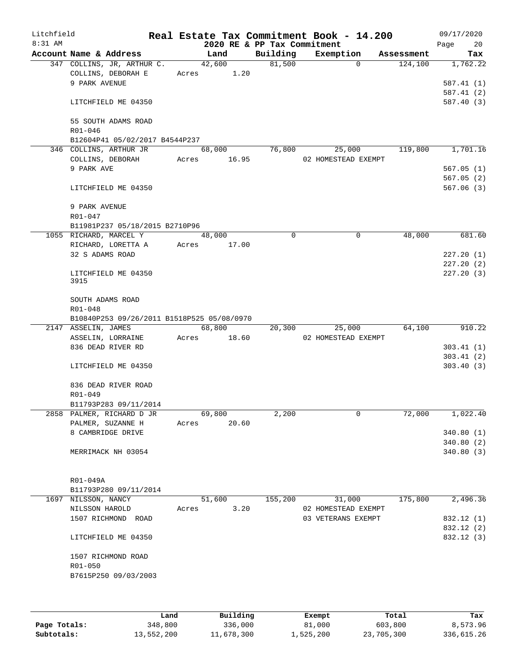| Litchfield |                                            |       |               |                             | Real Estate Tax Commitment Book - 14.200 |            | 09/17/2020 |            |
|------------|--------------------------------------------|-------|---------------|-----------------------------|------------------------------------------|------------|------------|------------|
| $8:31$ AM  |                                            |       |               | 2020 RE & PP Tax Commitment |                                          |            | Page       | 20         |
|            | Account Name & Address                     |       | Land          | Building                    | Exemption                                | Assessment |            | Tax        |
|            | 347 COLLINS, JR, ARTHUR C.                 |       | 42,600        | 81,500                      | $\mathbf{0}$                             | 124,100    |            | 1,762.22   |
|            | COLLINS, DEBORAH E                         |       | 1.20<br>Acres |                             |                                          |            |            |            |
|            | 9 PARK AVENUE                              |       |               |                             |                                          |            |            | 587.41(1)  |
|            |                                            |       |               |                             |                                          |            |            | 587.41 (2) |
|            | LITCHFIELD ME 04350                        |       |               |                             |                                          |            |            | 587.40 (3) |
|            |                                            |       |               |                             |                                          |            |            |            |
|            | 55 SOUTH ADAMS ROAD<br>R01-046             |       |               |                             |                                          |            |            |            |
|            | B12604P41 05/02/2017 B4544P237             |       |               |                             |                                          |            |            |            |
|            | 346 COLLINS, ARTHUR JR                     |       | 68,000        | 76,800                      | 25,000                                   | 119,800    |            | 1,701.16   |
|            | COLLINS, DEBORAH                           | Acres | 16.95         |                             | 02 HOMESTEAD EXEMPT                      |            |            |            |
|            | 9 PARK AVE                                 |       |               |                             |                                          |            |            | 567.05(1)  |
|            |                                            |       |               |                             |                                          |            |            | 567.05(2)  |
|            | LITCHFIELD ME 04350                        |       |               |                             |                                          |            |            | 567.06(3)  |
|            |                                            |       |               |                             |                                          |            |            |            |
|            | 9 PARK AVENUE                              |       |               |                             |                                          |            |            |            |
|            | R01-047                                    |       |               |                             |                                          |            |            |            |
|            | B11981P237 05/18/2015 B2710P96             |       |               |                             |                                          |            |            |            |
|            | 1055 RICHARD, MARCEL Y                     |       | 48,000        | $\mathbf 0$                 | 0                                        | 48,000     |            | 681.60     |
|            | RICHARD, LORETTA A                         | Acres | 17.00         |                             |                                          |            |            |            |
|            | 32 S ADAMS ROAD                            |       |               |                             |                                          |            | 227.20(1)  |            |
|            |                                            |       |               |                             |                                          |            |            | 227.20(2)  |
|            | LITCHFIELD ME 04350                        |       |               |                             |                                          |            |            | 227.20(3)  |
|            | 3915                                       |       |               |                             |                                          |            |            |            |
|            |                                            |       |               |                             |                                          |            |            |            |
|            | SOUTH ADAMS ROAD                           |       |               |                             |                                          |            |            |            |
|            | R01-048                                    |       |               |                             |                                          |            |            |            |
|            | B10840P253 09/26/2011 B1518P525 05/08/0970 |       | 68,800        |                             |                                          |            |            | 910.22     |
|            | 2147 ASSELIN, JAMES                        | Acres | 18.60         | 20,300                      | 25,000<br>02 HOMESTEAD EXEMPT            | 64,100     |            |            |
|            | ASSELIN, LORRAINE<br>836 DEAD RIVER RD     |       |               |                             |                                          |            |            | 303.41(1)  |
|            |                                            |       |               |                             |                                          |            |            | 303.41(2)  |
|            | LITCHFIELD ME 04350                        |       |               |                             |                                          |            |            | 303.40(3)  |
|            |                                            |       |               |                             |                                          |            |            |            |
|            | 836 DEAD RIVER ROAD                        |       |               |                             |                                          |            |            |            |
|            | R01-049                                    |       |               |                             |                                          |            |            |            |
|            | B11793P283 09/11/2014                      |       |               |                             |                                          |            |            |            |
|            | 2858 PALMER, RICHARD D JR                  |       | 69,800        | 2,200                       | 0                                        | 72,000     |            | 1,022.40   |
|            | PALMER, SUZANNE H                          | Acres | 20.60         |                             |                                          |            |            |            |
|            | 8 CAMBRIDGE DRIVE                          |       |               |                             |                                          |            |            | 340.80(1)  |
|            |                                            |       |               |                             |                                          |            |            | 340.80(2)  |
|            | MERRIMACK NH 03054                         |       |               |                             |                                          |            |            | 340.80 (3) |
|            |                                            |       |               |                             |                                          |            |            |            |
|            |                                            |       |               |                             |                                          |            |            |            |
|            | R01-049A                                   |       |               |                             |                                          |            |            |            |
|            | B11793P280 09/11/2014                      |       |               |                             |                                          |            |            |            |
|            | 1697 NILSSON, NANCY                        |       | 51,600        | 155,200                     | 31,000                                   | 175,800    |            | 2,496.36   |
|            | NILSSON HAROLD                             | Acres | 3.20          |                             | 02 HOMESTEAD EXEMPT                      |            |            |            |
|            | 1507 RICHMOND ROAD                         |       |               |                             | 03 VETERANS EXEMPT                       |            |            | 832.12 (1) |
|            |                                            |       |               |                             |                                          |            |            | 832.12 (2) |
|            | LITCHFIELD ME 04350                        |       |               |                             |                                          |            |            | 832.12 (3) |
|            |                                            |       |               |                             |                                          |            |            |            |
|            | 1507 RICHMOND ROAD                         |       |               |                             |                                          |            |            |            |
|            | R01-050                                    |       |               |                             |                                          |            |            |            |
|            | B7615P250 09/03/2003                       |       |               |                             |                                          |            |            |            |
|            |                                            |       |               |                             |                                          |            |            |            |
|            |                                            |       |               |                             |                                          |            |            |            |
|            |                                            |       |               |                             |                                          |            |            |            |

|              | Land       | Building   | Exempt    | Total      | Tax        |
|--------------|------------|------------|-----------|------------|------------|
| Page Totals: | 348,800    | 336,000    | 81,000    | 603,800    | 8,573.96   |
| Subtotals:   | 13,552,200 | 11,678,300 | 1,525,200 | 23,705,300 | 336,615.26 |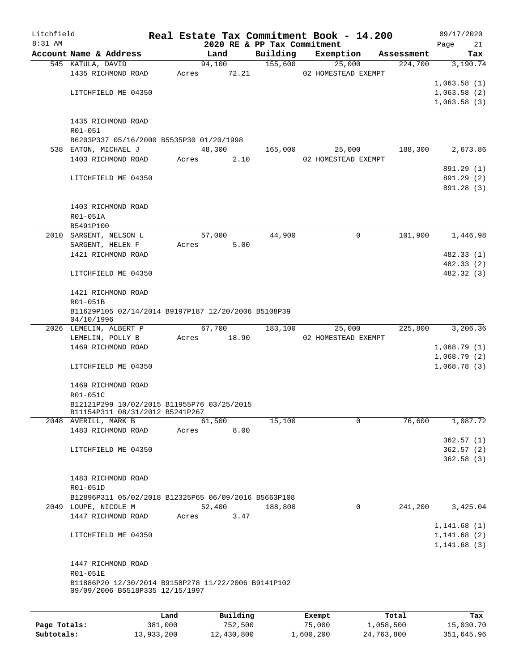| Litchfield |                                                                              |       |          |                             | Real Estate Tax Commitment Book - 14.200 |            | 09/17/2020  |
|------------|------------------------------------------------------------------------------|-------|----------|-----------------------------|------------------------------------------|------------|-------------|
| 8:31 AM    |                                                                              |       |          | 2020 RE & PP Tax Commitment |                                          |            | Page<br>21  |
|            | Account Name & Address                                                       |       | Land     | Building                    | Exemption                                | Assessment | Tax         |
|            | 545 KATULA, DAVID                                                            |       | 94,100   | 155,600                     | 25,000                                   | 224,700    | 3,190.74    |
|            | 1435 RICHMOND ROAD                                                           | Acres | 72.21    |                             | 02 HOMESTEAD EXEMPT                      |            | 1,063.58(1) |
|            | LITCHFIELD ME 04350                                                          |       |          |                             |                                          |            | 1,063.58(2) |
|            |                                                                              |       |          |                             |                                          |            | 1,063.58(3) |
|            |                                                                              |       |          |                             |                                          |            |             |
|            | 1435 RICHMOND ROAD                                                           |       |          |                             |                                          |            |             |
|            | R01-051                                                                      |       |          |                             |                                          |            |             |
|            | B6203P337 05/16/2000 B5535P30 01/20/1998                                     |       |          |                             |                                          |            |             |
|            | 538 EATON, MICHAEL J                                                         |       | 48,300   | 165,000                     | 25,000                                   | 188,300    | 2,673.86    |
|            | 1403 RICHMOND ROAD                                                           | Acres | 2.10     |                             | 02 HOMESTEAD EXEMPT                      |            |             |
|            |                                                                              |       |          |                             |                                          |            | 891.29 (1)  |
|            | LITCHFIELD ME 04350                                                          |       |          |                             |                                          |            | 891.29 (2)  |
|            |                                                                              |       |          |                             |                                          |            | 891.28 (3)  |
|            |                                                                              |       |          |                             |                                          |            |             |
|            | 1403 RICHMOND ROAD                                                           |       |          |                             |                                          |            |             |
|            | R01-051A                                                                     |       |          |                             |                                          |            |             |
|            | B5491P100                                                                    |       |          |                             |                                          |            |             |
|            | 2010 SARGENT, NELSON L                                                       |       | 57,000   | 44,900                      | 0                                        | 101,900    | 1,446.98    |
|            | SARGENT, HELEN F<br>1421 RICHMOND ROAD                                       | Acres | 5.00     |                             |                                          |            | 482.33(1)   |
|            |                                                                              |       |          |                             |                                          |            | 482.33 (2)  |
|            | LITCHFIELD ME 04350                                                          |       |          |                             |                                          |            | 482.32 (3)  |
|            |                                                                              |       |          |                             |                                          |            |             |
|            | 1421 RICHMOND ROAD                                                           |       |          |                             |                                          |            |             |
|            | R01-051B                                                                     |       |          |                             |                                          |            |             |
|            | B11629P105 02/14/2014 B9197P187 12/20/2006 B5108P39                          |       |          |                             |                                          |            |             |
|            | 04/10/1996                                                                   |       |          |                             |                                          |            |             |
|            | 2026 LEMELIN, ALBERT P                                                       |       | 67,700   | 183,100                     | 25,000                                   | 225,800    | 3,206.36    |
|            | LEMELIN, POLLY B                                                             | Acres | 18.90    |                             | 02 HOMESTEAD EXEMPT                      |            |             |
|            | 1469 RICHMOND ROAD                                                           |       |          |                             |                                          |            | 1,068.79(1) |
|            |                                                                              |       |          |                             |                                          |            | 1,068.79(2) |
|            | LITCHFIELD ME 04350                                                          |       |          |                             |                                          |            | 1,068.78(3) |
|            |                                                                              |       |          |                             |                                          |            |             |
|            | 1469 RICHMOND ROAD<br>R01-051C                                               |       |          |                             |                                          |            |             |
|            | B12121P299 10/02/2015 B11955P76 03/25/2015                                   |       |          |                             |                                          |            |             |
|            | B11154P311 08/31/2012 B5241P267                                              |       |          |                             |                                          |            |             |
|            | 2048 AVERILL, MARK B                                                         |       | 61,500   | 15,100                      | 0                                        | 76,600     | 1,087.72    |
|            | 1483 RICHMOND ROAD                                                           | Acres | 8.00     |                             |                                          |            |             |
|            |                                                                              |       |          |                             |                                          |            | 362.57(1)   |
|            | LITCHFIELD ME 04350                                                          |       |          |                             |                                          |            | 362.57(2)   |
|            |                                                                              |       |          |                             |                                          |            | 362.58(3)   |
|            |                                                                              |       |          |                             |                                          |            |             |
|            | 1483 RICHMOND ROAD                                                           |       |          |                             |                                          |            |             |
|            | R01-051D                                                                     |       |          |                             |                                          |            |             |
|            | B12896P311 05/02/2018 B12325P65 06/09/2016 B5663P108<br>2049 LOUPE, NICOLE M |       | 52,400   |                             | 0                                        | 241,200    | 3,425.04    |
|            | 1447 RICHMOND ROAD                                                           | Acres | 3.47     | 188,800                     |                                          |            |             |
|            |                                                                              |       |          |                             |                                          |            | 1,141.68(1) |
|            | LITCHFIELD ME 04350                                                          |       |          |                             |                                          |            | 1,141.68(2) |
|            |                                                                              |       |          |                             |                                          |            | 1,141.68(3) |
|            |                                                                              |       |          |                             |                                          |            |             |
|            | 1447 RICHMOND ROAD                                                           |       |          |                             |                                          |            |             |
|            | R01-051E                                                                     |       |          |                             |                                          |            |             |
|            | B11886P20 12/30/2014 B9158P278 11/22/2006 B9141P102                          |       |          |                             |                                          |            |             |
|            | 09/09/2006 B5518P335 12/15/1997                                              |       |          |                             |                                          |            |             |
|            |                                                                              |       |          |                             |                                          |            |             |
|            |                                                                              | Land  | Building |                             | Exempt                                   | Total      | Tax         |

|              | Land       | Building   | Exempt    | Total      | Tax        |
|--------------|------------|------------|-----------|------------|------------|
| Page Totals: | 381,000    | 752,500    | 75,000    | 1,058,500  | 15,030.70  |
| Subtotals:   | 13,933,200 | 12,430,800 | 1,600,200 | 24,763,800 | 351,645.96 |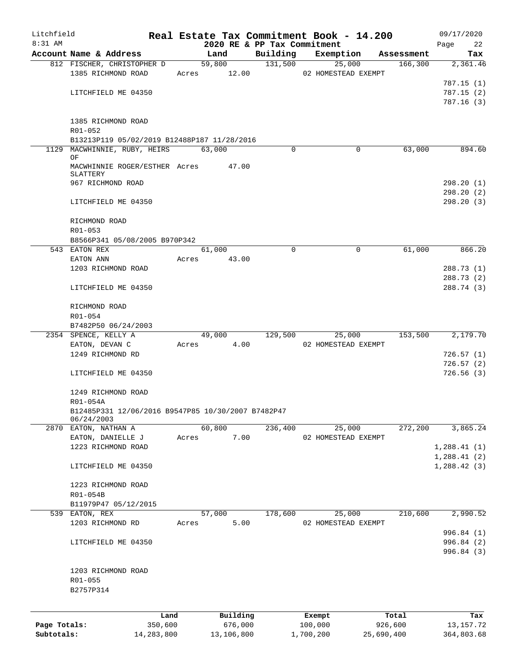| Litchfield   |                                                    |                 |       |                     |                             | Real Estate Tax Commitment Book - 14.200 |            |                  | 09/17/2020         |
|--------------|----------------------------------------------------|-----------------|-------|---------------------|-----------------------------|------------------------------------------|------------|------------------|--------------------|
| $8:31$ AM    |                                                    |                 |       |                     | 2020 RE & PP Tax Commitment |                                          |            |                  | Page<br>22         |
|              | Account Name & Address                             |                 |       | Land                | Building                    | Exemption                                |            | Assessment       | Tax                |
|              | 812 FISCHER, CHRISTOPHER D                         |                 |       | 59,800              | 131,500                     | 25,000                                   |            | 166,300          | 2,361.46           |
|              | 1385 RICHMOND ROAD                                 |                 |       | Acres 12.00         |                             | 02 HOMESTEAD EXEMPT                      |            |                  |                    |
|              |                                                    |                 |       |                     |                             |                                          |            |                  | 787.15 (1)         |
|              | LITCHFIELD ME 04350                                |                 |       |                     |                             |                                          |            |                  | 787.15(2)          |
|              |                                                    |                 |       |                     |                             |                                          |            |                  | 787.16(3)          |
|              | 1385 RICHMOND ROAD                                 |                 |       |                     |                             |                                          |            |                  |                    |
|              | R01-052                                            |                 |       |                     |                             |                                          |            |                  |                    |
|              | B13213P119 05/02/2019 B12488P187 11/28/2016        |                 |       |                     |                             |                                          |            |                  |                    |
| 1129         | MACWHINNIE, RUBY, HEIRS                            |                 |       | 63,000              | $\Omega$                    |                                          | 0          | 63,000           | 894.60             |
|              | ΟF                                                 |                 |       |                     |                             |                                          |            |                  |                    |
|              | MACWHINNIE ROGER/ESTHER Acres                      |                 |       | 47.00               |                             |                                          |            |                  |                    |
|              | SLATTERY                                           |                 |       |                     |                             |                                          |            |                  |                    |
|              | 967 RICHMOND ROAD                                  |                 |       |                     |                             |                                          |            |                  | 298.20 (1)         |
|              |                                                    |                 |       |                     |                             |                                          |            |                  | 298.20(2)          |
|              | LITCHFIELD ME 04350                                |                 |       |                     |                             |                                          |            |                  | 298.20(3)          |
|              |                                                    |                 |       |                     |                             |                                          |            |                  |                    |
|              | RICHMOND ROAD                                      |                 |       |                     |                             |                                          |            |                  |                    |
|              | R01-053                                            |                 |       |                     |                             |                                          |            |                  |                    |
|              | B8566P341 05/08/2005 B970P342                      |                 |       |                     |                             |                                          |            |                  |                    |
|              | 543 EATON REX                                      |                 |       | 61,000              | $\Omega$                    |                                          | $\Omega$   | 61,000           | 866.20             |
|              | EATON ANN                                          |                 | Acres | 43.00               |                             |                                          |            |                  |                    |
|              | 1203 RICHMOND ROAD                                 |                 |       |                     |                             |                                          |            |                  | 288.73(1)          |
|              |                                                    |                 |       |                     |                             |                                          |            |                  | 288.73(2)          |
|              | LITCHFIELD ME 04350                                |                 |       |                     |                             |                                          |            |                  | 288.74 (3)         |
|              |                                                    |                 |       |                     |                             |                                          |            |                  |                    |
|              | RICHMOND ROAD                                      |                 |       |                     |                             |                                          |            |                  |                    |
|              | R01-054                                            |                 |       |                     |                             |                                          |            |                  |                    |
|              | B7482P50 06/24/2003<br>2354 SPENCE, KELLY A        |                 |       | 49,000              | 129,500                     |                                          | 25,000     | 153,500          | 2,179.70           |
|              | EATON, DEVAN C                                     |                 | Acres | 4.00                |                             | 02 HOMESTEAD EXEMPT                      |            |                  |                    |
|              | 1249 RICHMOND RD                                   |                 |       |                     |                             |                                          |            |                  | 726.57(1)          |
|              |                                                    |                 |       |                     |                             |                                          |            |                  | 726.57(2)          |
|              | LITCHFIELD ME 04350                                |                 |       |                     |                             |                                          |            |                  | 726.56(3)          |
|              |                                                    |                 |       |                     |                             |                                          |            |                  |                    |
|              | 1249 RICHMOND ROAD                                 |                 |       |                     |                             |                                          |            |                  |                    |
|              | R01-054A                                           |                 |       |                     |                             |                                          |            |                  |                    |
|              | B12485P331 12/06/2016 B9547P85 10/30/2007 B7482P47 |                 |       |                     |                             |                                          |            |                  |                    |
|              | 06/24/2003                                         |                 |       |                     |                             |                                          |            |                  |                    |
|              | 2870 EATON, NATHAN A                               |                 |       | 60,800              | 236,400                     | 25,000                                   |            | 272,200          | 3,865.24           |
|              | EATON, DANIELLE J                                  |                 | Acres | 7.00                |                             | 02 HOMESTEAD EXEMPT                      |            |                  |                    |
|              | 1223 RICHMOND ROAD                                 |                 |       |                     |                             |                                          |            |                  | 1,288.41(1)        |
|              |                                                    |                 |       |                     |                             |                                          |            |                  | 1,288.41(2)        |
|              | LITCHFIELD ME 04350                                |                 |       |                     |                             |                                          |            |                  | 1,288.42(3)        |
|              |                                                    |                 |       |                     |                             |                                          |            |                  |                    |
|              | 1223 RICHMOND ROAD                                 |                 |       |                     |                             |                                          |            |                  |                    |
|              | R01-054B                                           |                 |       |                     |                             |                                          |            |                  |                    |
|              | B11979P47 05/12/2015                               |                 |       |                     |                             |                                          |            |                  |                    |
|              | 539 EATON, REX                                     |                 |       | 57,000              | 178,600                     | 25,000                                   |            | 210,600          | 2,990.52           |
|              | 1203 RICHMOND RD                                   |                 | Acres | 5.00                |                             | 02 HOMESTEAD EXEMPT                      |            |                  |                    |
|              |                                                    |                 |       |                     |                             |                                          |            |                  | 996.84 (1)         |
|              | LITCHFIELD ME 04350                                |                 |       |                     |                             |                                          |            |                  | 996.84 (2)         |
|              |                                                    |                 |       |                     |                             |                                          |            |                  | 996.84 (3)         |
|              |                                                    |                 |       |                     |                             |                                          |            |                  |                    |
|              | 1203 RICHMOND ROAD                                 |                 |       |                     |                             |                                          |            |                  |                    |
|              | R01-055                                            |                 |       |                     |                             |                                          |            |                  |                    |
|              | B2757P314                                          |                 |       |                     |                             |                                          |            |                  |                    |
|              |                                                    |                 |       |                     |                             |                                          |            |                  |                    |
|              |                                                    |                 |       |                     |                             |                                          |            |                  |                    |
| Page Totals: |                                                    | Land<br>350,600 |       | Building<br>676,000 |                             | Exempt<br>100,000                        |            | Total<br>926,600 | Tax<br>13, 157. 72 |
| Subtotals:   |                                                    | 14,283,800      |       | 13,106,800          |                             | 1,700,200                                | 25,690,400 |                  | 364,803.68         |
|              |                                                    |                 |       |                     |                             |                                          |            |                  |                    |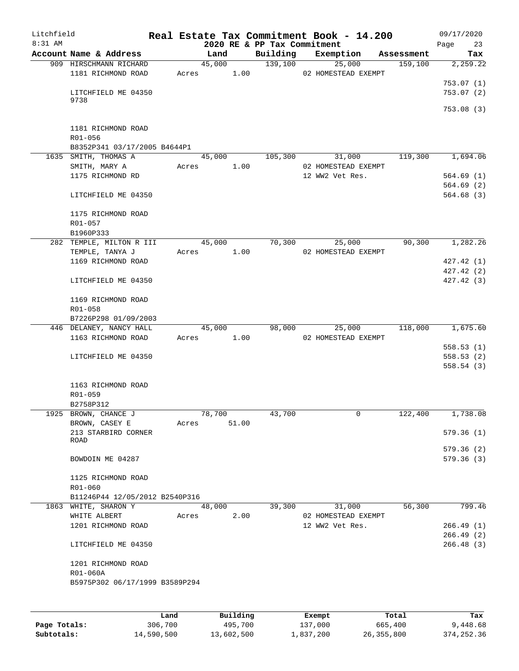| Litchfield |                                |       |        |       |                             | Real Estate Tax Commitment Book - 14.200 |            | 09/17/2020              |
|------------|--------------------------------|-------|--------|-------|-----------------------------|------------------------------------------|------------|-------------------------|
| 8:31 AM    |                                |       |        |       | 2020 RE & PP Tax Commitment |                                          |            | 23<br>Page              |
|            | Account Name & Address         |       | Land   |       | Building                    | Exemption                                | Assessment | Tax                     |
|            | 909 HIRSCHMANN RICHARD         |       | 45,000 |       | 139,100                     | 25,000                                   | 159,100    | 2,259.22                |
|            | 1181 RICHMOND ROAD             | Acres |        | 1.00  |                             | 02 HOMESTEAD EXEMPT                      |            |                         |
|            | LITCHFIELD ME 04350            |       |        |       |                             |                                          |            | 753.07 (1)<br>753.07(2) |
|            | 9738                           |       |        |       |                             |                                          |            |                         |
|            |                                |       |        |       |                             |                                          |            | 753.08(3)               |
|            |                                |       |        |       |                             |                                          |            |                         |
|            | 1181 RICHMOND ROAD             |       |        |       |                             |                                          |            |                         |
|            | R01-056                        |       |        |       |                             |                                          |            |                         |
|            | B8352P341 03/17/2005 B4644P1   |       |        |       |                             |                                          |            |                         |
|            | 1635 SMITH, THOMAS A           |       | 45,000 |       | 105,300                     | 31,000                                   | 119,300    | 1,694.06                |
|            | SMITH, MARY A                  | Acres |        | 1.00  |                             | 02 HOMESTEAD EXEMPT                      |            |                         |
|            | 1175 RICHMOND RD               |       |        |       |                             | 12 WW2 Vet Res.                          |            | 564.69(1)               |
|            |                                |       |        |       |                             |                                          |            | 564.69(2)               |
|            | LITCHFIELD ME 04350            |       |        |       |                             |                                          |            | 564.68(3)               |
|            |                                |       |        |       |                             |                                          |            |                         |
|            | 1175 RICHMOND ROAD             |       |        |       |                             |                                          |            |                         |
|            | $R01 - 057$                    |       |        |       |                             |                                          |            |                         |
|            | B1960P333                      |       |        |       |                             |                                          |            |                         |
|            | 282 TEMPLE, MILTON R III       |       | 45,000 |       | 70,300                      | 25,000                                   | 90,300     | 1,282.26                |
|            | TEMPLE, TANYA J                | Acres |        | 1.00  |                             | 02 HOMESTEAD EXEMPT                      |            |                         |
|            | 1169 RICHMOND ROAD             |       |        |       |                             |                                          |            | 427.42 (1)              |
|            |                                |       |        |       |                             |                                          |            | 427.42(2)               |
|            | LITCHFIELD ME 04350            |       |        |       |                             |                                          |            | 427.42(3)               |
|            |                                |       |        |       |                             |                                          |            |                         |
|            | 1169 RICHMOND ROAD<br>R01-058  |       |        |       |                             |                                          |            |                         |
|            | B7226P298 01/09/2003           |       |        |       |                             |                                          |            |                         |
|            | 446 DELANEY, NANCY HALL        |       | 45,000 |       | 98,000                      | 25,000                                   | 118,000    | 1,675.60                |
|            | 1163 RICHMOND ROAD             | Acres |        | 1.00  |                             | 02 HOMESTEAD EXEMPT                      |            |                         |
|            |                                |       |        |       |                             |                                          |            | 558.53(1)               |
|            | LITCHFIELD ME 04350            |       |        |       |                             |                                          |            | 558.53(2)               |
|            |                                |       |        |       |                             |                                          |            | 558.54(3)               |
|            |                                |       |        |       |                             |                                          |            |                         |
|            | 1163 RICHMOND ROAD             |       |        |       |                             |                                          |            |                         |
|            | R01-059                        |       |        |       |                             |                                          |            |                         |
|            | B2758P312                      |       |        |       |                             |                                          |            |                         |
|            | 1925 BROWN, CHANCE J           |       | 78,700 |       | 43,700                      | $\mathbf{0}$                             | 122,400    | 1,738.08                |
|            | BROWN, CASEY E                 | Acres |        | 51.00 |                             |                                          |            |                         |
|            | 213 STARBIRD CORNER            |       |        |       |                             |                                          |            | 579.36(1)               |
|            | ROAD                           |       |        |       |                             |                                          |            |                         |
|            |                                |       |        |       |                             |                                          |            | 579.36(2)               |
|            | BOWDOIN ME 04287               |       |        |       |                             |                                          |            | 579.36(3)               |
|            |                                |       |        |       |                             |                                          |            |                         |
|            | 1125 RICHMOND ROAD<br>R01-060  |       |        |       |                             |                                          |            |                         |
|            | B11246P44 12/05/2012 B2540P316 |       |        |       |                             |                                          |            |                         |
|            | 1863 WHITE, SHARON Y           |       | 48,000 |       | 39,300                      | 31,000                                   | 56,300     | 799.46                  |
|            | WHITE ALBERT                   |       | Acres  | 2.00  |                             | 02 HOMESTEAD EXEMPT                      |            |                         |
|            | 1201 RICHMOND ROAD             |       |        |       |                             | 12 WW2 Vet Res.                          |            | 266.49(1)               |
|            |                                |       |        |       |                             |                                          |            | 266.49(2)               |
|            | LITCHFIELD ME 04350            |       |        |       |                             |                                          |            | 266.48(3)               |
|            |                                |       |        |       |                             |                                          |            |                         |
|            | 1201 RICHMOND ROAD             |       |        |       |                             |                                          |            |                         |
|            | R01-060A                       |       |        |       |                             |                                          |            |                         |
|            | B5975P302 06/17/1999 B3589P294 |       |        |       |                             |                                          |            |                         |
|            |                                |       |        |       |                             |                                          |            |                         |
|            |                                |       |        |       |                             |                                          |            |                         |
|            |                                |       |        |       |                             |                                          |            |                         |

|              | Land       | Building   | Exempt    | Total      | Tax        |
|--------------|------------|------------|-----------|------------|------------|
| Page Totals: | 306,700    | 495,700    | 137,000   | 665,400    | 9,448.68   |
| Subtotals:   | 14,590,500 | 13,602,500 | 1,837,200 | 26,355,800 | 374,252.36 |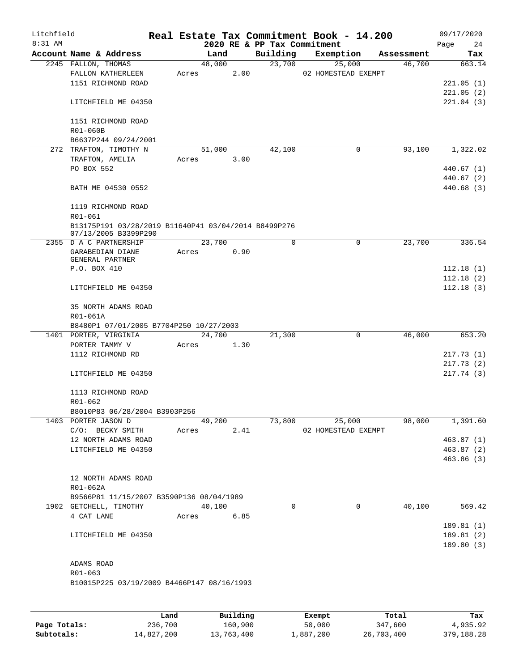| Litchfield<br>$8:31$ AM |                                                                              |       |            |      |                                         | Real Estate Tax Commitment Book - 14.200 |            | 09/17/2020        |
|-------------------------|------------------------------------------------------------------------------|-------|------------|------|-----------------------------------------|------------------------------------------|------------|-------------------|
|                         | Account Name & Address                                                       |       | Land       |      | 2020 RE & PP Tax Commitment<br>Building | Exemption                                | Assessment | Page<br>24<br>Tax |
|                         | 2245 FALLON, THOMAS                                                          |       | 48,000     |      | 23,700                                  | 25,000                                   | 46,700     | 663.14            |
|                         | FALLON KATHERLEEN                                                            | Acres |            | 2.00 |                                         | 02 HOMESTEAD EXEMPT                      |            |                   |
|                         | 1151 RICHMOND ROAD                                                           |       |            |      |                                         |                                          |            | 221.05(1)         |
|                         |                                                                              |       |            |      |                                         |                                          |            | 221.05(2)         |
|                         | LITCHFIELD ME 04350                                                          |       |            |      |                                         |                                          |            | 221.04(3)         |
|                         | 1151 RICHMOND ROAD                                                           |       |            |      |                                         |                                          |            |                   |
|                         | R01-060B                                                                     |       |            |      |                                         |                                          |            |                   |
|                         | B6637P244 09/24/2001                                                         |       |            |      |                                         |                                          |            |                   |
|                         | 272 TRAFTON, TIMOTHY N                                                       |       | 51,000     |      | 42,100                                  | 0                                        | 93,100     | 1,322.02          |
|                         | TRAFTON, AMELIA<br>PO BOX 552                                                | Acres |            | 3.00 |                                         |                                          |            | 440.67(1)         |
|                         |                                                                              |       |            |      |                                         |                                          |            | 440.67 (2)        |
|                         | BATH ME 04530 0552                                                           |       |            |      |                                         |                                          |            | 440.68(3)         |
|                         | 1119 RICHMOND ROAD                                                           |       |            |      |                                         |                                          |            |                   |
|                         | R01-061                                                                      |       |            |      |                                         |                                          |            |                   |
|                         | B13175P191 03/28/2019 B11640P41 03/04/2014 B8499P276<br>07/13/2005 B3399P290 |       |            |      |                                         |                                          |            |                   |
|                         | 2355 D A C PARTNERSHIP                                                       |       | 23,700     |      | $\mathbf 0$                             | $\mathbf 0$                              | 23,700     | 336.54            |
|                         | GARABEDIAN DIANE                                                             | Acres |            | 0.90 |                                         |                                          |            |                   |
|                         | GENERAL PARTNER<br>P.O. BOX 410                                              |       |            |      |                                         |                                          |            | 112.18(1)         |
|                         |                                                                              |       |            |      |                                         |                                          |            | 112.18(2)         |
|                         | LITCHFIELD ME 04350                                                          |       |            |      |                                         |                                          |            | 112.18(3)         |
|                         |                                                                              |       |            |      |                                         |                                          |            |                   |
|                         | 35 NORTH ADAMS ROAD                                                          |       |            |      |                                         |                                          |            |                   |
|                         | R01-061A                                                                     |       |            |      |                                         |                                          |            |                   |
|                         | B8480P1 07/01/2005 B7704P250 10/27/2003                                      |       |            |      |                                         |                                          |            |                   |
|                         | 1401 PORTER, VIRGINIA                                                        |       | 24,700     | 1.30 | 21,300                                  | $\mathbf 0$                              | 46,000     | 653.20            |
|                         | PORTER TAMMY V<br>1112 RICHMOND RD                                           | Acres |            |      |                                         |                                          |            | 217.73(1)         |
|                         |                                                                              |       |            |      |                                         |                                          |            | 217.73(2)         |
|                         | LITCHFIELD ME 04350                                                          |       |            |      |                                         |                                          |            | 217.74 (3)        |
|                         | 1113 RICHMOND ROAD                                                           |       |            |      |                                         |                                          |            |                   |
|                         | $R01 - 062$                                                                  |       |            |      |                                         |                                          |            |                   |
|                         | B8010P83 06/28/2004 B3903P256                                                |       |            |      |                                         |                                          |            |                   |
|                         | 1403 PORTER JASON D                                                          |       | 49,200     |      | 73,800                                  | 25,000                                   | 98,000     | 1,391.60          |
|                         | C/O: BECKY SMITH                                                             |       | Acres 2.41 |      |                                         | 02 HOMESTEAD EXEMPT                      |            |                   |
|                         | 12 NORTH ADAMS ROAD                                                          |       |            |      |                                         |                                          |            | 463.87(1)         |
|                         | LITCHFIELD ME 04350                                                          |       |            |      |                                         |                                          |            | 463.87(2)         |
|                         |                                                                              |       |            |      |                                         |                                          |            | 463.86(3)         |
|                         | 12 NORTH ADAMS ROAD                                                          |       |            |      |                                         |                                          |            |                   |
|                         | R01-062A                                                                     |       |            |      |                                         |                                          |            |                   |
|                         | B9566P81 11/15/2007 B3590P136 08/04/1989                                     |       |            |      |                                         |                                          |            |                   |
|                         | 1902 GETCHELL, TIMOTHY                                                       |       | 40,100     |      | 0                                       | $\mathbf 0$                              | 40,100     | 569.42            |
|                         | 4 CAT LANE                                                                   |       | Acres 6.85 |      |                                         |                                          |            |                   |
|                         |                                                                              |       |            |      |                                         |                                          |            | 189.81(1)         |
|                         | LITCHFIELD ME 04350                                                          |       |            |      |                                         |                                          |            | 189.81 (2)        |
|                         |                                                                              |       |            |      |                                         |                                          |            | 189.80(3)         |
|                         | ADAMS ROAD                                                                   |       |            |      |                                         |                                          |            |                   |
|                         | R01-063                                                                      |       |            |      |                                         |                                          |            |                   |
|                         | B10015P225 03/19/2009 B4466P147 08/16/1993                                   |       |            |      |                                         |                                          |            |                   |
|                         |                                                                              |       |            |      |                                         |                                          |            |                   |
|                         |                                                                              |       |            |      |                                         |                                          |            |                   |

|              | Land       | Building   | Exempt    | Total      | Tax        |
|--------------|------------|------------|-----------|------------|------------|
| Page Totals: | 236,700    | 160,900    | 50,000    | 347,600    | 4,935.92   |
| Subtotals:   | 14,827,200 | 13,763,400 | 1,887,200 | 26,703,400 | 379,188.28 |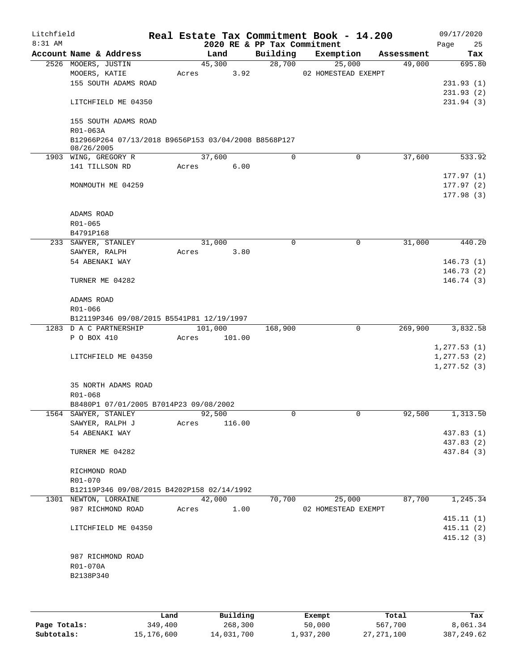| Litchfield<br>$8:31$ AM |                                                                    |       |         |      | Real Estate Tax Commitment Book - 14.200<br>2020 RE & PP Tax Commitment |                     |             |            | Page | 09/17/2020<br>25       |
|-------------------------|--------------------------------------------------------------------|-------|---------|------|-------------------------------------------------------------------------|---------------------|-------------|------------|------|------------------------|
|                         | Account Name & Address                                             |       | Land    |      | Building                                                                | Exemption           |             | Assessment |      | Tax                    |
|                         | 2526 MOOERS, JUSTIN                                                |       | 45,300  |      | 28,700                                                                  |                     | 25,000      | 49,000     |      | 695.80                 |
|                         | MOOERS, KATIE                                                      | Acres |         | 3.92 |                                                                         | 02 HOMESTEAD EXEMPT |             |            |      |                        |
|                         | 155 SOUTH ADAMS ROAD                                               |       |         |      |                                                                         |                     |             |            |      | 231.93(1)              |
|                         |                                                                    |       |         |      |                                                                         |                     |             |            |      | 231.93(2)              |
|                         | LITCHFIELD ME 04350                                                |       |         |      |                                                                         |                     |             |            |      | 231.94(3)              |
|                         | 155 SOUTH ADAMS ROAD                                               |       |         |      |                                                                         |                     |             |            |      |                        |
|                         | R01-063A                                                           |       |         |      |                                                                         |                     |             |            |      |                        |
|                         | B12966P264 07/13/2018 B9656P153 03/04/2008 B8568P127<br>08/26/2005 |       |         |      |                                                                         |                     |             |            |      |                        |
|                         | 1903 WING, GREGORY R                                               |       | 37,600  |      | $\Omega$                                                                |                     | 0           | 37,600     |      | 533.92                 |
|                         | 141 TILLSON RD                                                     | Acres | 6.00    |      |                                                                         |                     |             |            |      |                        |
|                         |                                                                    |       |         |      |                                                                         |                     |             |            |      | 177.97(1)              |
|                         | MONMOUTH ME 04259                                                  |       |         |      |                                                                         |                     |             |            |      | 177.97(2)<br>177.98(3) |
|                         |                                                                    |       |         |      |                                                                         |                     |             |            |      |                        |
|                         | ADAMS ROAD                                                         |       |         |      |                                                                         |                     |             |            |      |                        |
|                         | R01-065<br>B4791P168                                               |       |         |      |                                                                         |                     |             |            |      |                        |
|                         | 233 SAWYER, STANLEY                                                |       | 31,000  |      | 0                                                                       |                     | 0           | 31,000     |      | 440.20                 |
|                         | SAWYER, RALPH                                                      | Acres | 3.80    |      |                                                                         |                     |             |            |      |                        |
|                         | 54 ABENAKI WAY                                                     |       |         |      |                                                                         |                     |             |            |      | 146.73(1)              |
|                         |                                                                    |       |         |      |                                                                         |                     |             |            |      | 146.73(2)              |
|                         | TURNER ME 04282                                                    |       |         |      |                                                                         |                     |             |            |      | 146.74 (3)             |
|                         | ADAMS ROAD                                                         |       |         |      |                                                                         |                     |             |            |      |                        |
|                         | R01-066                                                            |       |         |      |                                                                         |                     |             |            |      |                        |
|                         | B12119P346 09/08/2015 B5541P81 12/19/1997                          |       |         |      |                                                                         |                     |             |            |      |                        |
|                         | 1283 D A C PARTNERSHIP                                             |       | 101,000 |      | 168,900                                                                 |                     | $\mathbf 0$ | 269,900    |      | 3,832.58               |
|                         | P O BOX 410                                                        | Acres | 101.00  |      |                                                                         |                     |             |            |      |                        |
|                         |                                                                    |       |         |      |                                                                         |                     |             |            |      | 1, 277.53(1)           |
|                         | LITCHFIELD ME 04350                                                |       |         |      |                                                                         |                     |             |            |      | 1, 277.53(2)           |
|                         |                                                                    |       |         |      |                                                                         |                     |             |            |      | 1, 277.52(3)           |
|                         | 35 NORTH ADAMS ROAD                                                |       |         |      |                                                                         |                     |             |            |      |                        |
|                         | R01-068                                                            |       |         |      |                                                                         |                     |             |            |      |                        |
|                         | B8480P1 07/01/2005 B7014P23 09/08/2002                             |       |         |      |                                                                         |                     |             |            |      |                        |
|                         | 1564 SAWYER, STANLEY                                               |       | 92,500  |      | 0                                                                       |                     | 0           | 92,500     |      | 1,313.50               |
|                         | SAWYER, RALPH J                                                    | Acres | 116.00  |      |                                                                         |                     |             |            |      |                        |
|                         | 54 ABENAKI WAY                                                     |       |         |      |                                                                         |                     |             |            |      | 437.83 (1)             |
|                         |                                                                    |       |         |      |                                                                         |                     |             |            |      | 437.83 (2)             |
|                         | TURNER ME 04282                                                    |       |         |      |                                                                         |                     |             |            |      | 437.84 (3)             |
|                         | RICHMOND ROAD                                                      |       |         |      |                                                                         |                     |             |            |      |                        |
|                         | R01-070                                                            |       |         |      |                                                                         |                     |             |            |      |                        |
|                         | B12119P346 09/08/2015 B4202P158 02/14/1992                         |       |         |      |                                                                         |                     |             |            |      |                        |
|                         | 1301 NEWTON, LORRAINE                                              |       | 42,000  |      | 70,700                                                                  |                     | 25,000      | 87,700     |      | 1,245.34               |
|                         | 987 RICHMOND ROAD                                                  | Acres |         | 1.00 |                                                                         | 02 HOMESTEAD EXEMPT |             |            |      |                        |
|                         |                                                                    |       |         |      |                                                                         |                     |             |            |      | 415.11(1)              |
|                         | LITCHFIELD ME 04350                                                |       |         |      |                                                                         |                     |             |            |      | 415.11(2)              |
|                         |                                                                    |       |         |      |                                                                         |                     |             |            |      | 415.12(3)              |
|                         | 987 RICHMOND ROAD                                                  |       |         |      |                                                                         |                     |             |            |      |                        |
|                         | R01-070A                                                           |       |         |      |                                                                         |                     |             |            |      |                        |
|                         | B2138P340                                                          |       |         |      |                                                                         |                     |             |            |      |                        |
|                         |                                                                    |       |         |      |                                                                         |                     |             |            |      |                        |
|                         |                                                                    |       |         |      |                                                                         |                     |             |            |      |                        |

|              | Land       | Building   | Exempt    | Total        | Tax         |
|--------------|------------|------------|-----------|--------------|-------------|
| Page Totals: | 349,400    | 268,300    | 50,000    | 567,700      | 8,061.34    |
| Subtotals:   | 15,176,600 | 14,031,700 | 1,937,200 | 27, 271, 100 | 387, 249.62 |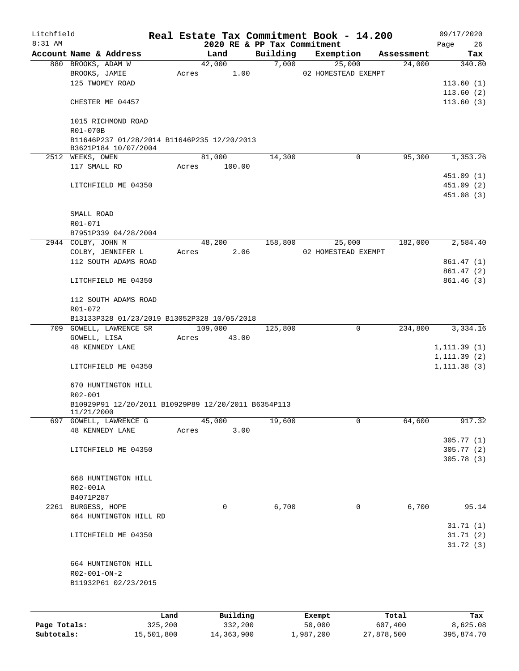| Litchfield<br>8:31 AM |                                                                   |         |                 |         |          | Real Estate Tax Commitment Book - 14.200 |            | 09/17/2020           |
|-----------------------|-------------------------------------------------------------------|---------|-----------------|---------|----------|------------------------------------------|------------|----------------------|
|                       | Account Name & Address                                            |         | Land            |         | Building | 2020 RE & PP Tax Commitment<br>Exemption | Assessment | Page<br>26<br>Tax    |
|                       | 880 BROOKS, ADAM W                                                |         | 42,000          |         | 7,000    | 25,000                                   | 24,000     | 340.80               |
|                       | BROOKS, JAMIE                                                     |         | Acres           | 1.00    |          | 02 HOMESTEAD EXEMPT                      |            |                      |
|                       | 125 TWOMEY ROAD                                                   |         |                 |         |          |                                          |            | 113.60(1)            |
|                       |                                                                   |         |                 |         |          |                                          |            | 113.60(2)            |
|                       | CHESTER ME 04457                                                  |         |                 |         |          |                                          |            | 113.60(3)            |
|                       | 1015 RICHMOND ROAD<br>R01-070B                                    |         |                 |         |          |                                          |            |                      |
|                       | B11646P237 01/28/2014 B11646P235 12/20/2013                       |         |                 |         |          |                                          |            |                      |
|                       | B3621P184 10/07/2004<br>2512 WEEKS, OWEN                          |         | 81,000          |         | 14,300   | 0                                        | 95,300     | 1,353.26             |
|                       | 117 SMALL RD                                                      |         | 100.00<br>Acres |         |          |                                          |            |                      |
|                       |                                                                   |         |                 |         |          |                                          |            | 451.09(1)            |
|                       | LITCHFIELD ME 04350                                               |         |                 |         |          |                                          |            | 451.09 (2)           |
|                       |                                                                   |         |                 |         |          |                                          |            | 451.08(3)            |
|                       |                                                                   |         |                 |         |          |                                          |            |                      |
|                       | SMALL ROAD                                                        |         |                 |         |          |                                          |            |                      |
|                       | R01-071                                                           |         |                 |         |          |                                          |            |                      |
|                       | B7951P339 04/28/2004                                              |         |                 |         |          |                                          |            |                      |
|                       | 2944 COLBY, JOHN M                                                |         | 48,200          |         | 158,800  | 25,000                                   | 182,000    | 2,584.40             |
|                       | COLBY, JENNIFER L                                                 |         | Acres           | 2.06    |          | 02 HOMESTEAD EXEMPT                      |            |                      |
|                       | 112 SOUTH ADAMS ROAD                                              |         |                 |         |          |                                          |            | 861.47 (1)           |
|                       |                                                                   |         |                 |         |          |                                          |            | 861.47(2)            |
|                       | LITCHFIELD ME 04350                                               |         |                 |         |          |                                          |            | 861.46(3)            |
|                       | 112 SOUTH ADAMS ROAD                                              |         |                 |         |          |                                          |            |                      |
|                       | R01-072                                                           |         |                 |         |          |                                          |            |                      |
|                       | B13133P328 01/23/2019 B13052P328 10/05/2018                       |         |                 |         |          |                                          |            |                      |
|                       | 709 GOWELL, LAWRENCE SR                                           |         | 109,000         |         | 125,800  | 0                                        | 234,800    | 3,334.16             |
|                       | GOWELL, LISA                                                      |         | 43.00<br>Acres  |         |          |                                          |            |                      |
|                       | <b>48 KENNEDY LANE</b>                                            |         |                 |         |          |                                          |            | 1, 111.39(1)         |
|                       |                                                                   |         |                 |         |          |                                          |            | 1, 111.39(2)         |
|                       | LITCHFIELD ME 04350                                               |         |                 |         |          |                                          |            | 1, 111.38(3)         |
|                       | 670 HUNTINGTON HILL                                               |         |                 |         |          |                                          |            |                      |
|                       | R02-001                                                           |         |                 |         |          |                                          |            |                      |
|                       | B10929P91 12/20/2011 B10929P89 12/20/2011 B6354P113<br>11/21/2000 |         |                 |         |          |                                          |            |                      |
|                       | 697 GOWELL, LAWRENCE G                                            |         | 45,000          |         | 19,600   | 0                                        | 64,600     | 917.32               |
|                       | <b>48 KENNEDY LANE</b>                                            |         | Acres           | 3.00    |          |                                          |            |                      |
|                       |                                                                   |         |                 |         |          |                                          |            | 305.77(1)            |
|                       | LITCHFIELD ME 04350                                               |         |                 |         |          |                                          |            | 305.77(2)            |
|                       |                                                                   |         |                 |         |          |                                          |            | 305.78(3)            |
|                       |                                                                   |         |                 |         |          |                                          |            |                      |
|                       | 668 HUNTINGTON HILL                                               |         |                 |         |          |                                          |            |                      |
|                       | R02-001A                                                          |         |                 |         |          |                                          |            |                      |
|                       | B4071P287                                                         |         |                 |         |          |                                          |            |                      |
|                       | 2261 BURGESS, HOPE                                                |         | 0               |         | 6,700    | 0                                        | 6,700      | 95.14                |
|                       | 664 HUNTINGTON HILL RD                                            |         |                 |         |          |                                          |            |                      |
|                       | LITCHFIELD ME 04350                                               |         |                 |         |          |                                          |            | 31.71(1)<br>31.71(2) |
|                       |                                                                   |         |                 |         |          |                                          |            | 31.72(3)             |
|                       |                                                                   |         |                 |         |          |                                          |            |                      |
|                       | 664 HUNTINGTON HILL                                               |         |                 |         |          |                                          |            |                      |
|                       | $R02 - 001 - ON - 2$                                              |         |                 |         |          |                                          |            |                      |
|                       | B11932P61 02/23/2015                                              |         |                 |         |          |                                          |            |                      |
|                       |                                                                   |         |                 |         |          |                                          |            |                      |
|                       |                                                                   |         |                 |         |          |                                          |            |                      |
|                       |                                                                   | Land    | Building        |         |          | Exempt                                   | Total      | Tax                  |
| Page Totals:          |                                                                   | 325,200 |                 | 332,200 |          | 50,000                                   | 607,400    | 8,625.08             |

**Subtotals:** 15,501,800 14,363,900 1,987,200 27,878,500 395,874.70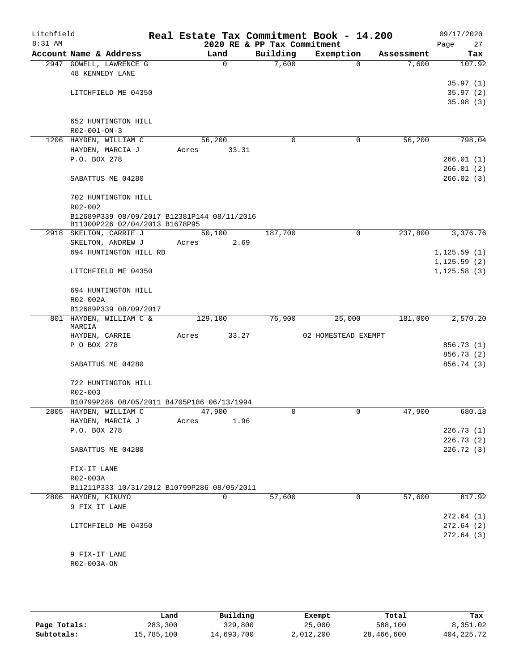| Litchfield<br>8:31 AM |                                                   |       |             | 2020 RE & PP Tax Commitment | Real Estate Tax Commitment Book - 14.200 |                        | 09/17/2020<br>27<br>Page |
|-----------------------|---------------------------------------------------|-------|-------------|-----------------------------|------------------------------------------|------------------------|--------------------------|
|                       | Account Name & Address                            |       | Land        | Building                    | Exemption                                | Assessment             | Tax                      |
|                       | 2947 GOWELL, LAWRENCE G<br><b>48 KENNEDY LANE</b> |       | $\mathbf 0$ | 7,600                       |                                          | 7,600<br>$\Omega$      | 107.92                   |
|                       |                                                   |       |             |                             |                                          |                        | 35.97(1)                 |
|                       | LITCHFIELD ME 04350                               |       |             |                             |                                          |                        | 35.97(2)                 |
|                       |                                                   |       |             |                             |                                          |                        | 35.98(3)                 |
|                       |                                                   |       |             |                             |                                          |                        |                          |
|                       | 652 HUNTINGTON HILL                               |       |             |                             |                                          |                        |                          |
|                       | R02-001-ON-3                                      |       |             |                             |                                          |                        |                          |
|                       | 1206 HAYDEN, WILLIAM C                            |       | 56,200      | $\mathbf 0$                 |                                          | 56,200<br>$\mathbf 0$  | 798.04                   |
|                       | HAYDEN, MARCIA J                                  | Acres | 33.31       |                             |                                          |                        |                          |
|                       | P.O. BOX 278                                      |       |             |                             |                                          |                        | 266.01(1)                |
|                       |                                                   |       |             |                             |                                          |                        | 266.01(2)                |
|                       | SABATTUS ME 04280                                 |       |             |                             |                                          |                        | 266.02(3)                |
|                       | 702 HUNTINGTON HILL                               |       |             |                             |                                          |                        |                          |
|                       | R02-002                                           |       |             |                             |                                          |                        |                          |
|                       | B12689P339 08/09/2017 B12381P144 08/11/2016       |       |             |                             |                                          |                        |                          |
|                       | B11300P226 02/04/2013 B1678P95                    |       |             |                             |                                          |                        |                          |
|                       | 2918 SKELTON, CARRIE J                            |       | 50,100      | 187,700                     |                                          | 237,800<br>$\mathbf 0$ | 3,376.76                 |
|                       | SKELTON, ANDREW J                                 | Acres | 2.69        |                             |                                          |                        |                          |
|                       | 694 HUNTINGTON HILL RD                            |       |             |                             |                                          |                        | 1, 125.59(1)             |
|                       |                                                   |       |             |                             |                                          |                        | 1, 125.59(2)             |
|                       | LITCHFIELD ME 04350                               |       |             |                             |                                          |                        | 1, 125.58(3)             |
|                       | 694 HUNTINGTON HILL                               |       |             |                             |                                          |                        |                          |
|                       | R02-002A                                          |       |             |                             |                                          |                        |                          |
|                       | B12689P339 08/09/2017                             |       |             |                             |                                          |                        |                          |
|                       | 801 HAYDEN, WILLIAM C &                           |       | 129,100     | 76,900                      | 25,000                                   | 181,000                | 2,570.20                 |
|                       | MARCIA<br>HAYDEN, CARRIE                          | Acres | 33.27       |                             | 02 HOMESTEAD EXEMPT                      |                        |                          |
|                       | P O BOX 278                                       |       |             |                             |                                          |                        | 856.73 (1)               |
|                       |                                                   |       |             |                             |                                          |                        | 856.73 (2)               |
|                       | SABATTUS ME 04280                                 |       |             |                             |                                          |                        | 856.74 (3)               |
|                       |                                                   |       |             |                             |                                          |                        |                          |
|                       | 722 HUNTINGTON HILL                               |       |             |                             |                                          |                        |                          |
|                       | R02-003                                           |       |             |                             |                                          |                        |                          |
|                       | B10799P286 08/05/2011 B4705P186 06/13/1994        |       |             |                             |                                          |                        |                          |
|                       | 2805 HAYDEN, WILLIAM C                            |       | 47,900      |                             |                                          | 47,900<br>0            | 680.18                   |
|                       | HAYDEN, MARCIA J                                  | Acres | 1.96        |                             |                                          |                        |                          |
|                       | P.O. BOX 278                                      |       |             |                             |                                          |                        | 226.73(1)                |
|                       |                                                   |       |             |                             |                                          |                        | 226.73(2)                |
|                       | SABATTUS ME 04280                                 |       |             |                             |                                          |                        | 226.72(3)                |
|                       | FIX-IT LANE                                       |       |             |                             |                                          |                        |                          |
|                       | R02-003A                                          |       |             |                             |                                          |                        |                          |
|                       | B11211P333 10/31/2012 B10799P286 08/05/2011       |       |             |                             |                                          |                        |                          |
|                       | 2806 HAYDEN, KINUYO                               |       | 0           | 57,600                      |                                          | 57,600<br>0            | 817.92                   |
|                       | 9 FIX IT LANE                                     |       |             |                             |                                          |                        |                          |
|                       |                                                   |       |             |                             |                                          |                        | 272.64(1)                |
|                       | LITCHFIELD ME 04350                               |       |             |                             |                                          |                        | 272.64(2)                |
|                       |                                                   |       |             |                             |                                          |                        | 272.64(3)                |
|                       |                                                   |       |             |                             |                                          |                        |                          |
|                       | 9 FIX-IT LANE<br>R02-003A-ON                      |       |             |                             |                                          |                        |                          |
|                       |                                                   |       |             |                             |                                          |                        |                          |

|              | Land       | Building   | Exempt    | Total      | Tax          |
|--------------|------------|------------|-----------|------------|--------------|
| Page Totals: | 283,300    | 329,800    | 25,000    | 588,100    | 8,351.02     |
| Subtotals:   | 15,785,100 | 14,693,700 | 2,012,200 | 28,466,600 | 404, 225, 72 |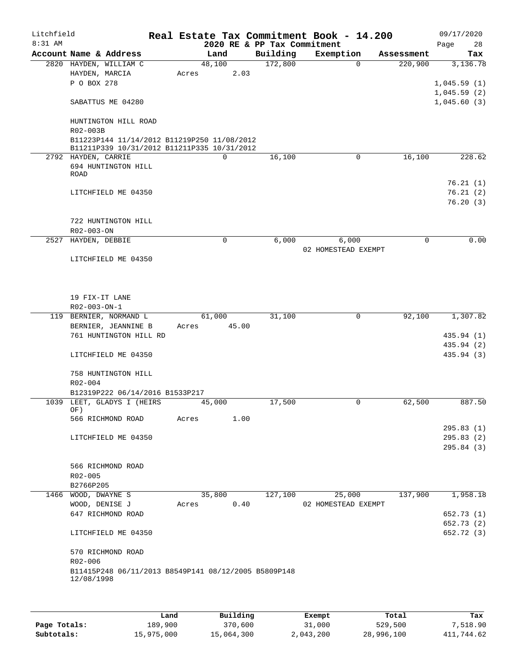| Litchfield |                     |                                             |       |          |       |                                                      | Real Estate Tax Commitment Book - 14.200 |             |      | 09/17/2020  |
|------------|---------------------|---------------------------------------------|-------|----------|-------|------------------------------------------------------|------------------------------------------|-------------|------|-------------|
| $8:31$ AM  |                     |                                             |       |          |       | 2020 RE & PP Tax Commitment                          |                                          |             | Page | 28          |
|            |                     | Account Name & Address                      |       | Land     |       | Building                                             | Exemption                                | Assessment  |      | Tax         |
|            |                     | 2820 HAYDEN, WILLIAM C                      |       | 48,100   |       | 172,800                                              | $\Omega$                                 | 220,900     |      | 3,136.78    |
|            | HAYDEN, MARCIA      |                                             | Acres |          | 2.03  |                                                      |                                          |             |      |             |
|            | P O BOX 278         |                                             |       |          |       |                                                      |                                          |             |      | 1,045.59(1) |
|            |                     |                                             |       |          |       |                                                      |                                          |             |      | 1,045.59(2) |
|            |                     | SABATTUS ME 04280                           |       |          |       |                                                      |                                          |             |      | 1,045.60(3) |
|            |                     | HUNTINGTON HILL ROAD                        |       |          |       |                                                      |                                          |             |      |             |
|            | R02-003B            | B11223P144 11/14/2012 B11219P250 11/08/2012 |       |          |       |                                                      |                                          |             |      |             |
|            |                     | B11211P339 10/31/2012 B11211P335 10/31/2012 |       |          |       |                                                      |                                          |             |      |             |
|            | 2792 HAYDEN, CARRIE |                                             |       | $\Omega$ |       | 16,100                                               |                                          | 0<br>16,100 |      | 228.62      |
|            |                     | 694 HUNTINGTON HILL                         |       |          |       |                                                      |                                          |             |      |             |
|            | ROAD                |                                             |       |          |       |                                                      |                                          |             |      |             |
|            |                     |                                             |       |          |       |                                                      |                                          |             |      | 76.21(1)    |
|            |                     | LITCHFIELD ME 04350                         |       |          |       |                                                      |                                          |             |      | 76.21(2)    |
|            |                     |                                             |       |          |       |                                                      |                                          |             |      | 76.20(3)    |
|            |                     |                                             |       |          |       |                                                      |                                          |             |      |             |
|            |                     | 722 HUNTINGTON HILL                         |       |          |       |                                                      |                                          |             |      |             |
|            | R02-003-ON          |                                             |       |          |       |                                                      |                                          |             |      |             |
|            | 2527 HAYDEN, DEBBIE |                                             |       | 0        |       | 6,000                                                | 6,000                                    | $\mathbf 0$ |      | 0.00        |
|            |                     |                                             |       |          |       |                                                      | 02 HOMESTEAD EXEMPT                      |             |      |             |
|            |                     | LITCHFIELD ME 04350                         |       |          |       |                                                      |                                          |             |      |             |
|            |                     |                                             |       |          |       |                                                      |                                          |             |      |             |
|            |                     |                                             |       |          |       |                                                      |                                          |             |      |             |
|            |                     |                                             |       |          |       |                                                      |                                          |             |      |             |
|            | 19 FIX-IT LANE      |                                             |       |          |       |                                                      |                                          |             |      |             |
|            | R02-003-ON-1        |                                             |       |          |       |                                                      |                                          |             |      |             |
|            |                     | 119 BERNIER, NORMAND L                      |       | 61,000   |       | 31,100                                               | 0                                        | 92,100      |      | 1,307.82    |
|            |                     | BERNIER, JEANNINE B                         | Acres |          | 45.00 |                                                      |                                          |             |      |             |
|            |                     | 761 HUNTINGTON HILL RD                      |       |          |       |                                                      |                                          |             |      | 435.94 (1)  |
|            |                     |                                             |       |          |       |                                                      |                                          |             |      | 435.94 (2)  |
|            |                     | LITCHFIELD ME 04350                         |       |          |       |                                                      |                                          |             |      | 435.94 (3)  |
|            |                     |                                             |       |          |       |                                                      |                                          |             |      |             |
|            |                     | 758 HUNTINGTON HILL                         |       |          |       |                                                      |                                          |             |      |             |
|            | R02-004             |                                             |       |          |       |                                                      |                                          |             |      |             |
|            |                     | B12319P222 06/14/2016 B1533P217             |       |          |       |                                                      |                                          |             |      |             |
|            |                     | 1039 LEET, GLADYS I (HEIRS                  |       | 45,000   |       | 17,500                                               | 0                                        | 62,500      |      | 887.50      |
|            | OF)                 |                                             |       |          |       |                                                      |                                          |             |      |             |
|            |                     | 566 RICHMOND ROAD                           | Acres |          | 1.00  |                                                      |                                          |             |      |             |
|            |                     |                                             |       |          |       |                                                      |                                          |             |      | 295.83(1)   |
|            |                     | LITCHFIELD ME 04350                         |       |          |       |                                                      |                                          |             |      | 295.83(2)   |
|            |                     |                                             |       |          |       |                                                      |                                          |             |      | 295.84 (3)  |
|            |                     |                                             |       |          |       |                                                      |                                          |             |      |             |
|            |                     | 566 RICHMOND ROAD                           |       |          |       |                                                      |                                          |             |      |             |
|            | R02-005             |                                             |       |          |       |                                                      |                                          |             |      |             |
|            | B2766P205           |                                             |       |          |       |                                                      |                                          |             |      |             |
|            | 1466 WOOD, DWAYNE S |                                             |       | 35,800   |       | 127,100                                              | 25,000                                   | 137,900     |      | 1,958.18    |
|            | WOOD, DENISE J      |                                             | Acres |          | 0.40  |                                                      | 02 HOMESTEAD EXEMPT                      |             |      |             |
|            |                     | 647 RICHMOND ROAD                           |       |          |       |                                                      |                                          |             |      | 652.73 (1)  |
|            |                     |                                             |       |          |       |                                                      |                                          |             |      | 652.73 (2)  |
|            |                     | LITCHFIELD ME 04350                         |       |          |       |                                                      |                                          |             |      | 652.72 (3)  |
|            |                     |                                             |       |          |       |                                                      |                                          |             |      |             |
|            |                     | 570 RICHMOND ROAD                           |       |          |       |                                                      |                                          |             |      |             |
|            | R02-006             |                                             |       |          |       |                                                      |                                          |             |      |             |
|            | 12/08/1998          |                                             |       |          |       | B11415P248 06/11/2013 B8549P141 08/12/2005 B5809P148 |                                          |             |      |             |
|            |                     |                                             |       |          |       |                                                      |                                          |             |      |             |
|            |                     |                                             |       |          |       |                                                      |                                          |             |      |             |
|            |                     |                                             |       |          |       |                                                      |                                          |             |      |             |

|              | Land       | Building   | Exempt    | Total      | Tax        |
|--------------|------------|------------|-----------|------------|------------|
| Page Totals: | 189,900    | 370,600    | 31,000    | 529,500    | 7,518.90   |
| Subtotals:   | 15,975,000 | 15,064,300 | 2,043,200 | 28,996,100 | 411,744.62 |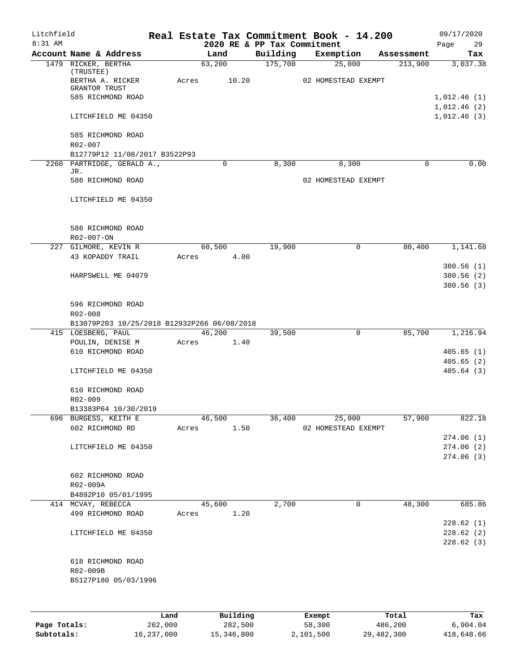| Litchfield |                                             |      |       |                |       |                             | Real Estate Tax Commitment Book - 14.200 |       |                       | 09/17/2020                 |
|------------|---------------------------------------------|------|-------|----------------|-------|-----------------------------|------------------------------------------|-------|-----------------------|----------------------------|
| 8:31 AM    |                                             |      |       |                |       | 2020 RE & PP Tax Commitment |                                          |       |                       | 29<br>Page                 |
|            | Account Name & Address                      |      |       | Land<br>63,200 |       | Building<br>175,700         | Exemption<br>25,000                      |       | Assessment<br>213,900 | Tax<br>3,037.38            |
|            | 1479 RICKER, BERTHA<br>(TRUSTEE)            |      |       |                |       |                             |                                          |       |                       |                            |
|            | BERTHA A. RICKER                            |      | Acres |                | 10.20 |                             | 02 HOMESTEAD EXEMPT                      |       |                       |                            |
|            | <b>GRANTOR TRUST</b>                        |      |       |                |       |                             |                                          |       |                       |                            |
|            | 585 RICHMOND ROAD                           |      |       |                |       |                             |                                          |       |                       | 1,012.46(1)                |
|            | LITCHFIELD ME 04350                         |      |       |                |       |                             |                                          |       |                       | 1,012.46(2)<br>1,012.46(3) |
|            |                                             |      |       |                |       |                             |                                          |       |                       |                            |
|            | 585 RICHMOND ROAD                           |      |       |                |       |                             |                                          |       |                       |                            |
|            | R02-007                                     |      |       |                |       |                             |                                          |       |                       |                            |
|            | B12779P12 11/08/2017 B3522P93               |      |       |                |       |                             |                                          |       |                       |                            |
|            | 2260 PARTRIDGE, GERALD A.,                  |      |       | $\mathbf 0$    |       | 8,300                       | 8,300                                    |       | 0                     | 0.00                       |
|            | JR.                                         |      |       |                |       |                             |                                          |       |                       |                            |
|            | 586 RICHMOND ROAD                           |      |       |                |       |                             | 02 HOMESTEAD EXEMPT                      |       |                       |                            |
|            | LITCHFIELD ME 04350                         |      |       |                |       |                             |                                          |       |                       |                            |
|            |                                             |      |       |                |       |                             |                                          |       |                       |                            |
|            |                                             |      |       |                |       |                             |                                          |       |                       |                            |
|            | 586 RICHMOND ROAD                           |      |       |                |       |                             |                                          |       |                       |                            |
|            | R02-007-ON                                  |      |       |                |       |                             |                                          |       |                       |                            |
|            | 227 GILMORE, KEVIN R                        |      |       | 60,500         |       | 19,900                      | 0                                        |       | 80,400                | 1,141.68                   |
|            | 43 KOPADDY TRAIL                            |      | Acres |                | 4.00  |                             |                                          |       |                       |                            |
|            |                                             |      |       |                |       |                             |                                          |       |                       | 380.56 (1)                 |
|            | HARPSWELL ME 04079                          |      |       |                |       |                             |                                          |       |                       | 380.56 (2)                 |
|            |                                             |      |       |                |       |                             |                                          |       |                       | 380.56(3)                  |
|            |                                             |      |       |                |       |                             |                                          |       |                       |                            |
|            | 596 RICHMOND ROAD<br>R02-008                |      |       |                |       |                             |                                          |       |                       |                            |
|            | B13079P203 10/25/2018 B12932P266 06/08/2018 |      |       |                |       |                             |                                          |       |                       |                            |
|            | 415 LOESBERG, PAUL                          |      |       | 46,200         |       | 39,500                      | $\mathbf 0$                              |       | 85,700                | 1,216.94                   |
|            | POULIN, DENISE M                            |      | Acres |                | 1.40  |                             |                                          |       |                       |                            |
|            | 610 RICHMOND ROAD                           |      |       |                |       |                             |                                          |       |                       | 405.65(1)                  |
|            |                                             |      |       |                |       |                             |                                          |       |                       | 405.65(2)                  |
|            | LITCHFIELD ME 04350                         |      |       |                |       |                             |                                          |       |                       | 405.64(3)                  |
|            |                                             |      |       |                |       |                             |                                          |       |                       |                            |
|            | 610 RICHMOND ROAD                           |      |       |                |       |                             |                                          |       |                       |                            |
|            | R02-009<br>B13383P64 10/30/2019             |      |       |                |       |                             |                                          |       |                       |                            |
|            | 696 BURGESS, KEITH E                        |      |       | 46,500         |       | 36,400                      | 25,000                                   |       | 57,900                | 822.18                     |
|            | 602 RICHMOND RD                             |      | Acres |                | 1.50  |                             | 02 HOMESTEAD EXEMPT                      |       |                       |                            |
|            |                                             |      |       |                |       |                             |                                          |       |                       | 274.06(1)                  |
|            | LITCHFIELD ME 04350                         |      |       |                |       |                             |                                          |       |                       | 274.06(2)                  |
|            |                                             |      |       |                |       |                             |                                          |       |                       | 274.06 (3)                 |
|            |                                             |      |       |                |       |                             |                                          |       |                       |                            |
|            | 602 RICHMOND ROAD                           |      |       |                |       |                             |                                          |       |                       |                            |
|            | R02-009A                                    |      |       |                |       |                             |                                          |       |                       |                            |
|            | B4892P10 05/01/1995                         |      |       |                |       |                             |                                          |       |                       |                            |
|            | 414 MCVAY, REBECCA<br>499 RICHMOND ROAD     |      | Acres | 45,600         | 1.20  | 2,700                       | 0                                        |       | 48,300                | 685.86                     |
|            |                                             |      |       |                |       |                             |                                          |       |                       | 228.62(1)                  |
|            | LITCHFIELD ME 04350                         |      |       |                |       |                             |                                          |       |                       | 228.62(2)                  |
|            |                                             |      |       |                |       |                             |                                          |       |                       | 228.62 (3)                 |
|            |                                             |      |       |                |       |                             |                                          |       |                       |                            |
|            | 618 RICHMOND ROAD                           |      |       |                |       |                             |                                          |       |                       |                            |
|            | R02-009B                                    |      |       |                |       |                             |                                          |       |                       |                            |
|            | B5127P180 05/03/1996                        |      |       |                |       |                             |                                          |       |                       |                            |
|            |                                             |      |       |                |       |                             |                                          |       |                       |                            |
|            |                                             |      |       |                |       |                             |                                          |       |                       |                            |
|            |                                             | Land |       | Building       |       |                             | Exempt                                   | Total |                       | Tax                        |

|              | Land       | Building   | Exempt    | Total      | Tax        |
|--------------|------------|------------|-----------|------------|------------|
| Page Totals: | 262,000    | 282,500    | 58,300    | 486,200    | 6,904.04   |
| Subtotals:   | 16,237,000 | 15,346,800 | 2,101,500 | 29,482,300 | 418,648.66 |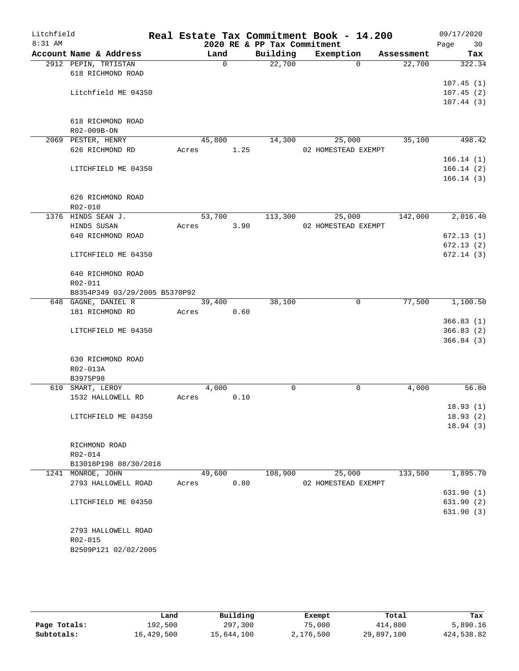| Litchfield<br>$8:31$ AM |                               |        |              | 2020 RE & PP Tax Commitment | Real Estate Tax Commitment Book - 14.200 |            | 09/17/2020<br>Page<br>30 |
|-------------------------|-------------------------------|--------|--------------|-----------------------------|------------------------------------------|------------|--------------------------|
|                         | Account Name & Address        | Land   |              | Building                    | Exemption                                | Assessment | Tax                      |
|                         | 2912 PEPIN, TRTISTAN          |        | $\mathsf{O}$ | 22,700                      | $\Omega$                                 | 22,700     | 322.34                   |
|                         | 618 RICHMOND ROAD             |        |              |                             |                                          |            |                          |
|                         |                               |        |              |                             |                                          |            | 107.45(1)                |
|                         | Litchfield ME 04350           |        |              |                             |                                          |            | 107.45(2)                |
|                         |                               |        |              |                             |                                          |            | 107.44(3)                |
|                         |                               |        |              |                             |                                          |            |                          |
|                         | 618 RICHMOND ROAD             |        |              |                             |                                          |            |                          |
|                         | R02-009B-ON                   |        |              |                             |                                          |            |                          |
|                         | 2069 PESTER, HENRY            | 45,800 |              | 14,300                      | 25,000                                   | 35,100     | 498.42                   |
|                         | 626 RICHMOND RD               | Acres  | 1.25         |                             | 02 HOMESTEAD EXEMPT                      |            |                          |
|                         |                               |        |              |                             |                                          |            | 166.14(1)                |
|                         | LITCHFIELD ME 04350           |        |              |                             |                                          |            | 166.14(2)<br>166.14(3)   |
|                         |                               |        |              |                             |                                          |            |                          |
|                         | 626 RICHMOND ROAD             |        |              |                             |                                          |            |                          |
|                         | R02-010                       |        |              |                             |                                          |            |                          |
|                         | 1376 HINDS SEAN J.            | 53,700 |              | 113,300                     | 25,000                                   | 142,000    | 2,016.40                 |
|                         | HINDS SUSAN                   | Acres  | 3.90         |                             | 02 HOMESTEAD EXEMPT                      |            |                          |
|                         | 640 RICHMOND ROAD             |        |              |                             |                                          |            | 672.13(1)                |
|                         |                               |        |              |                             |                                          |            | 672.13(2)                |
|                         | LITCHFIELD ME 04350           |        |              |                             |                                          |            | 672.14(3)                |
|                         |                               |        |              |                             |                                          |            |                          |
|                         | 640 RICHMOND ROAD             |        |              |                             |                                          |            |                          |
|                         | R02-011                       |        |              |                             |                                          |            |                          |
|                         | B8354P349 03/29/2005 B5370P92 |        |              |                             |                                          |            |                          |
|                         | 648 GAGNE, DANIEL R           | 39,400 |              | 38,100                      | 0                                        | 77,500     | 1,100.50                 |
|                         | 181 RICHMOND RD               | Acres  | 0.60         |                             |                                          |            | 366.83(1)                |
|                         | LITCHFIELD ME 04350           |        |              |                             |                                          |            | 366.83(2)                |
|                         |                               |        |              |                             |                                          |            | 366.84(3)                |
|                         |                               |        |              |                             |                                          |            |                          |
|                         | 630 RICHMOND ROAD             |        |              |                             |                                          |            |                          |
|                         | R02-013A                      |        |              |                             |                                          |            |                          |
|                         | B3975P98                      |        |              |                             |                                          |            |                          |
|                         | 610 SMART, LEROY              | 4,000  |              | 0                           | 0                                        | 4,000      | 56.80                    |
|                         | 1532 HALLOWELL RD             | Acres  | 0.10         |                             |                                          |            |                          |
|                         |                               |        |              |                             |                                          |            | 18.93(1)                 |
|                         | LITCHFIELD ME 04350           |        |              |                             |                                          |            | 18.93(2)                 |
|                         |                               |        |              |                             |                                          |            | 18.94(3)                 |
|                         |                               |        |              |                             |                                          |            |                          |
|                         | RICHMOND ROAD<br>R02-014      |        |              |                             |                                          |            |                          |
|                         | B13018P198 08/30/2018         |        |              |                             |                                          |            |                          |
|                         | 1241 MONROE, JOHN             | 49,600 |              | 108,900                     | 25,000                                   | 133,500    | 1,895.70                 |
|                         | 2793 HALLOWELL ROAD           | Acres  | 0.80         |                             | 02 HOMESTEAD EXEMPT                      |            |                          |
|                         |                               |        |              |                             |                                          |            | 631.90(1)                |
|                         | LITCHFIELD ME 04350           |        |              |                             |                                          |            | 631.90(2)                |
|                         |                               |        |              |                             |                                          |            | 631.90(3)                |
|                         |                               |        |              |                             |                                          |            |                          |
|                         | 2793 HALLOWELL ROAD           |        |              |                             |                                          |            |                          |
|                         | R02-015                       |        |              |                             |                                          |            |                          |
|                         | B2509P121 02/02/2005          |        |              |                             |                                          |            |                          |
|                         |                               |        |              |                             |                                          |            |                          |

|              | Land       | Building   | Exempt    | Total      | Tax        |
|--------------|------------|------------|-----------|------------|------------|
| Page Totals: | 192,500    | 297,300    | 75,000    | 414,800    | 5,890.16   |
| Subtotals:   | 16,429,500 | 15,644,100 | 2,176,500 | 29,897,100 | 424,538.82 |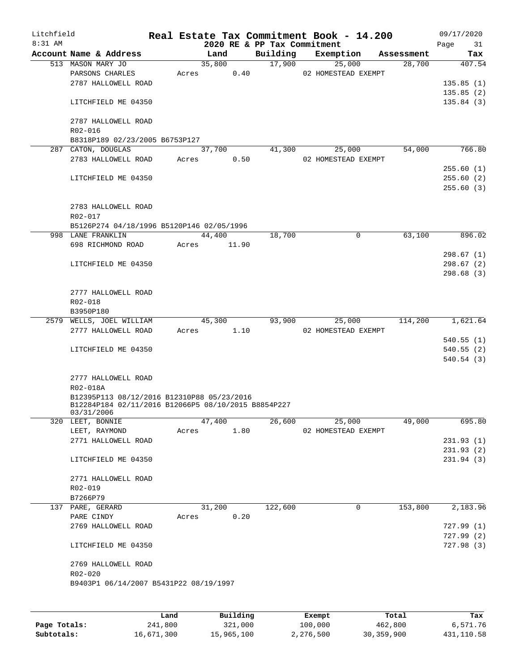| Litchfield<br>8:31 AM |                                                                   |       |        |       | 2020 RE & PP Tax Commitment | Real Estate Tax Commitment Book - 14.200 |            | 09/17/2020<br>Page<br>31 |
|-----------------------|-------------------------------------------------------------------|-------|--------|-------|-----------------------------|------------------------------------------|------------|--------------------------|
|                       | Account Name & Address                                            |       | Land   |       | Building                    | Exemption                                | Assessment | Tax                      |
|                       | 513 MASON MARY JO<br>PARSONS CHARLES                              | Acres | 35,800 | 0.40  | 17,900                      | 25,000<br>02 HOMESTEAD EXEMPT            | 28,700     | 407.54                   |
|                       | 2787 HALLOWELL ROAD                                               |       |        |       |                             |                                          |            | 135.85(1)                |
|                       |                                                                   |       |        |       |                             |                                          |            | 135.85(2)                |
|                       | LITCHFIELD ME 04350                                               |       |        |       |                             |                                          |            | 135.84(3)                |
|                       | 2787 HALLOWELL ROAD<br>R02-016                                    |       |        |       |                             |                                          |            |                          |
|                       | B8318P189 02/23/2005 B6753P127                                    |       |        |       |                             |                                          |            |                          |
|                       | 287 CATON, DOUGLAS                                                |       | 37,700 |       | 41,300                      | 25,000                                   | 54,000     | 766.80                   |
|                       | 2783 HALLOWELL ROAD                                               | Acres |        | 0.50  |                             | 02 HOMESTEAD EXEMPT                      |            | 255.60(1)                |
|                       |                                                                   |       |        |       |                             |                                          |            | 255.60(2)                |
|                       | LITCHFIELD ME 04350                                               |       |        |       |                             |                                          |            | 255.60(3)                |
|                       | 2783 HALLOWELL ROAD                                               |       |        |       |                             |                                          |            |                          |
|                       | R02-017                                                           |       |        |       |                             |                                          |            |                          |
|                       | B5126P274 04/18/1996 B5120P146 02/05/1996                         |       |        |       |                             |                                          |            |                          |
|                       | 998 LANE FRANKLIN                                                 |       | 44,400 |       | 18,700                      | 0                                        | 63,100     | 896.02                   |
|                       | 698 RICHMOND ROAD                                                 | Acres |        | 11.90 |                             |                                          |            |                          |
|                       |                                                                   |       |        |       |                             |                                          |            | 298.67(1)                |
|                       | LITCHFIELD ME 04350                                               |       |        |       |                             |                                          |            | 298.67(2)                |
|                       |                                                                   |       |        |       |                             |                                          |            | 298.68 (3)               |
|                       | 2777 HALLOWELL ROAD                                               |       |        |       |                             |                                          |            |                          |
|                       | R02-018                                                           |       |        |       |                             |                                          |            |                          |
|                       | B3950P180                                                         |       |        |       |                             |                                          |            |                          |
|                       | 2579 WELLS, JOEL WILLIAM                                          |       | 45,300 |       | 93,900                      | 25,000                                   | 114,200    | 1,621.64                 |
|                       | 2777 HALLOWELL ROAD                                               | Acres |        | 1.10  |                             | 02 HOMESTEAD EXEMPT                      |            |                          |
|                       |                                                                   |       |        |       |                             |                                          |            | 540.55(1)                |
|                       | LITCHFIELD ME 04350                                               |       |        |       |                             |                                          |            | 540.55(2)                |
|                       |                                                                   |       |        |       |                             |                                          |            | 540.54(3)                |
|                       | 2777 HALLOWELL ROAD                                               |       |        |       |                             |                                          |            |                          |
|                       | R02-018A                                                          |       |        |       |                             |                                          |            |                          |
|                       | B12395P113 08/12/2016 B12310P88 05/23/2016                        |       |        |       |                             |                                          |            |                          |
|                       | B12284P184 02/11/2016 B12066P5 08/10/2015 B8854P227<br>03/31/2006 |       |        |       |                             |                                          |            |                          |
|                       | 320 LEET, BONNIE                                                  |       | 47,400 |       | 26,600                      | 25,000                                   | 49,000     | 695.80                   |
|                       | LEET, RAYMOND                                                     | Acres |        | 1.80  |                             | 02 HOMESTEAD EXEMPT                      |            |                          |
|                       | 2771 HALLOWELL ROAD                                               |       |        |       |                             |                                          |            | 231.93(1)                |
|                       |                                                                   |       |        |       |                             |                                          |            | 231.93(2)                |
|                       | LITCHFIELD ME 04350                                               |       |        |       |                             |                                          |            | 231.94(3)                |
|                       | 2771 HALLOWELL ROAD                                               |       |        |       |                             |                                          |            |                          |
|                       | R02-019                                                           |       |        |       |                             |                                          |            |                          |
|                       | B7266P79                                                          |       |        |       |                             |                                          |            |                          |
|                       | 137 PARE, GERARD                                                  |       | 31,200 |       | 122,600                     | 0                                        | 153,800    | 2,183.96                 |
|                       | PARE CINDY                                                        | Acres |        | 0.20  |                             |                                          |            |                          |
|                       | 2769 HALLOWELL ROAD                                               |       |        |       |                             |                                          |            | 727.99(1)                |
|                       |                                                                   |       |        |       |                             |                                          |            | 727.99(2)                |
|                       | LITCHFIELD ME 04350                                               |       |        |       |                             |                                          |            | 727.98(3)                |
|                       | 2769 HALLOWELL ROAD                                               |       |        |       |                             |                                          |            |                          |
|                       | R02-020                                                           |       |        |       |                             |                                          |            |                          |
|                       | B9403P1 06/14/2007 B5431P22 08/19/1997                            |       |        |       |                             |                                          |            |                          |
|                       |                                                                   |       |        |       |                             |                                          |            |                          |
|                       |                                                                   |       |        |       |                             |                                          |            |                          |
|                       |                                                                   |       |        |       |                             |                                          |            |                          |

|              | Land       | Building   | Exempt    | Total      | Tax        |
|--------------|------------|------------|-----------|------------|------------|
| Page Totals: | 241,800    | 321,000    | 100,000   | 462,800    | 6,571.76   |
| Subtotals:   | 16,671,300 | 15,965,100 | 2,276,500 | 30,359,900 | 431,110.58 |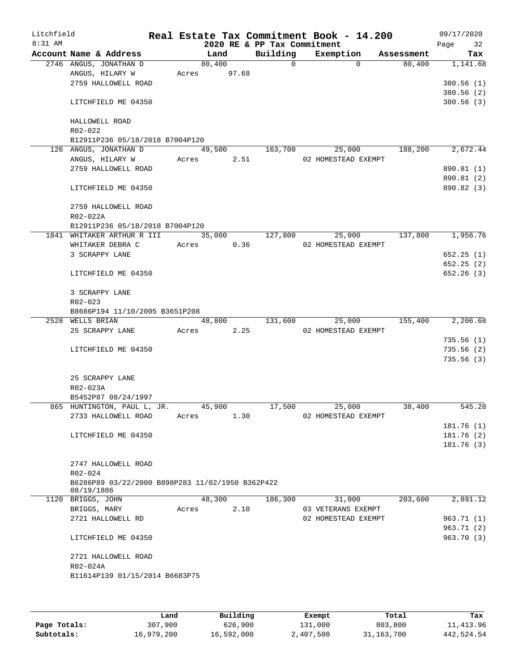| Litchfield<br>$8:31$ AM |                                                  |             |        | 2020 RE & PP Tax Commitment | Real Estate Tax Commitment Book - 14.200 |            | 09/17/2020<br>32<br>Page |
|-------------------------|--------------------------------------------------|-------------|--------|-----------------------------|------------------------------------------|------------|--------------------------|
|                         | Account Name & Address                           | Land        |        | Building                    | Exemption                                | Assessment | Tax                      |
|                         | 2746 ANGUS, JONATHAN D                           | 80,400      |        | $\Omega$                    | $\Omega$                                 | 80,400     | 1,141.68                 |
|                         | ANGUS, HILARY W                                  | Acres 97.68 |        |                             |                                          |            |                          |
|                         | 2759 HALLOWELL ROAD                              |             |        |                             |                                          |            | 380.56(1)                |
|                         |                                                  |             |        |                             |                                          |            | 380.56(2)                |
|                         | LITCHFIELD ME 04350                              |             |        |                             |                                          |            | 380.56 (3)               |
|                         | HALLOWELL ROAD                                   |             |        |                             |                                          |            |                          |
|                         | R02-022                                          |             |        |                             |                                          |            |                          |
|                         | B12911P236 05/18/2018 B7004P120                  |             |        |                             |                                          |            |                          |
|                         | 126 ANGUS, JONATHAN D                            |             | 49,500 | 163,700                     | 25,000                                   | 188,200    | 2,672.44                 |
|                         | ANGUS, HILARY W                                  | Acres       | 2.51   |                             | 02 HOMESTEAD EXEMPT                      |            |                          |
|                         | 2759 HALLOWELL ROAD                              |             |        |                             |                                          |            | 890.81 (1)               |
|                         | LITCHFIELD ME 04350                              |             |        |                             |                                          |            | 890.81 (2)<br>890.82 (3) |
|                         |                                                  |             |        |                             |                                          |            |                          |
|                         | 2759 HALLOWELL ROAD                              |             |        |                             |                                          |            |                          |
|                         | R02-022A                                         |             |        |                             |                                          |            |                          |
|                         | B12911P236 05/18/2018 B7004P120                  |             |        |                             |                                          |            |                          |
|                         | 1841 WHITAKER ARTHUR R III                       |             | 35,000 | 127,800                     | 25,000                                   | 137,800    | 1,956.76                 |
|                         | WHITAKER DEBRA C                                 | Acres       | 0.36   |                             | 02 HOMESTEAD EXEMPT                      |            |                          |
|                         | 3 SCRAPPY LANE                                   |             |        |                             |                                          |            | 652.25(1)                |
|                         |                                                  |             |        |                             |                                          |            | 652.25(2)                |
|                         | LITCHFIELD ME 04350                              |             |        |                             |                                          |            | 652.26(3)                |
|                         | 3 SCRAPPY LANE                                   |             |        |                             |                                          |            |                          |
|                         | $R02 - 023$                                      |             |        |                             |                                          |            |                          |
|                         | B8686P194 11/10/2005 B3651P208                   |             |        |                             |                                          |            |                          |
|                         | 2528 WELLS BRIAN                                 |             | 48,800 | 131,600                     | 25,000                                   | 155,400    | 2,206.68                 |
|                         | 25 SCRAPPY LANE                                  | Acres       | 2.25   |                             | 02 HOMESTEAD EXEMPT                      |            |                          |
|                         |                                                  |             |        |                             |                                          |            | 735.56(1)                |
|                         | LITCHFIELD ME 04350                              |             |        |                             |                                          |            | 735.56(2)                |
|                         |                                                  |             |        |                             |                                          |            | 735.56(3)                |
|                         | 25 SCRAPPY LANE                                  |             |        |                             |                                          |            |                          |
|                         | R02-023A                                         |             |        |                             |                                          |            |                          |
|                         | B5452P87 08/24/1997                              |             |        |                             |                                          |            |                          |
|                         | 865 HUNTINGTON, PAUL L, JR.                      | 45,900      |        | 17,500                      | 25,000                                   | 38,400     | 545.28                   |
|                         | 2733 HALLOWELL ROAD                              | Acres       | 1.30   |                             | 02 HOMESTEAD EXEMPT                      |            |                          |
|                         |                                                  |             |        |                             |                                          |            | 181.76 (1)               |
|                         | LITCHFIELD ME 04350                              |             |        |                             |                                          |            | 181.76(2)                |
|                         |                                                  |             |        |                             |                                          |            | 181.76 (3)               |
|                         |                                                  |             |        |                             |                                          |            |                          |
|                         | 2747 HALLOWELL ROAD                              |             |        |                             |                                          |            |                          |
|                         | R02-024                                          |             |        |                             |                                          |            |                          |
|                         | B6286P89 03/22/2000 B898P283 11/02/1950 B362P422 |             |        |                             |                                          |            |                          |
|                         | 08/19/1886                                       | 48,300      |        | 186,300                     |                                          | 203,600    | 2,891.12                 |
|                         | 1120 BRIGGS, JOHN                                |             |        |                             | 31,000<br>03 VETERANS EXEMPT             |            |                          |
|                         | BRIGGS, MARY                                     | Acres       | 2.10   |                             | 02 HOMESTEAD EXEMPT                      |            |                          |
|                         | 2721 HALLOWELL RD                                |             |        |                             |                                          |            | 963.71 (1)               |
|                         | LITCHFIELD ME 04350                              |             |        |                             |                                          |            | 963.71 (2)<br>963.70(3)  |
|                         |                                                  |             |        |                             |                                          |            |                          |
|                         | 2721 HALLOWELL ROAD<br>R02-024A                  |             |        |                             |                                          |            |                          |
|                         | B11614P139 01/15/2014 B6683P75                   |             |        |                             |                                          |            |                          |
|                         |                                                  |             |        |                             |                                          |            |                          |
|                         |                                                  |             |        |                             |                                          |            |                          |
|                         |                                                  |             |        |                             |                                          |            |                          |

|              | Land       | Building   | Exempt    | Total      | Tax        |
|--------------|------------|------------|-----------|------------|------------|
| Page Totals: | 307,900    | 626,900    | 131,000   | 803,800    | 11,413.96  |
| Subtotals:   | 16,979,200 | 16,592,000 | 2,407,500 | 31,163,700 | 442,524.54 |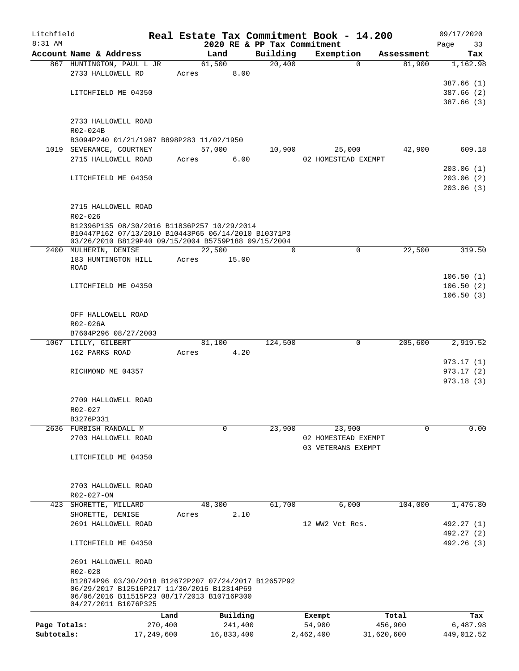| Litchfield   |                                                                                                            |            |       |            | Real Estate Tax Commitment Book - 14.200 |                 |                     |            | 09/17/2020 |
|--------------|------------------------------------------------------------------------------------------------------------|------------|-------|------------|------------------------------------------|-----------------|---------------------|------------|------------|
| $8:31$ AM    |                                                                                                            |            |       |            | 2020 RE & PP Tax Commitment              |                 |                     |            | Page<br>33 |
|              | Account Name & Address                                                                                     |            |       | Land       | Building                                 | Exemption       |                     | Assessment | Tax        |
|              | 867 HUNTINGTON, PAUL L JR<br>2733 HALLOWELL RD                                                             |            |       | 61,500     | 20,400                                   |                 | $\Omega$            | 81,900     | 1,162.98   |
|              |                                                                                                            |            | Acres | 8.00       |                                          |                 |                     |            | 387.66(1)  |
|              | LITCHFIELD ME 04350                                                                                        |            |       |            |                                          |                 |                     |            | 387.66(2)  |
|              |                                                                                                            |            |       |            |                                          |                 |                     |            | 387.66(3)  |
|              |                                                                                                            |            |       |            |                                          |                 |                     |            |            |
|              | 2733 HALLOWELL ROAD                                                                                        |            |       |            |                                          |                 |                     |            |            |
|              | R02-024B                                                                                                   |            |       |            |                                          |                 |                     |            |            |
|              | B3094P240 01/21/1987 B898P283 11/02/1950                                                                   |            |       |            |                                          |                 |                     |            |            |
|              | 1019 SEVERANCE, COURTNEY                                                                                   |            |       | 57,000     | 10,900                                   |                 | 25,000              | 42,900     | 609.18     |
|              | 2715 HALLOWELL ROAD                                                                                        |            | Acres | 6.00       |                                          |                 | 02 HOMESTEAD EXEMPT |            |            |
|              |                                                                                                            |            |       |            |                                          |                 |                     |            | 203.06(1)  |
|              | LITCHFIELD ME 04350                                                                                        |            |       |            |                                          |                 |                     |            | 203.06(2)  |
|              |                                                                                                            |            |       |            |                                          |                 |                     |            | 203.06(3)  |
|              |                                                                                                            |            |       |            |                                          |                 |                     |            |            |
|              | 2715 HALLOWELL ROAD                                                                                        |            |       |            |                                          |                 |                     |            |            |
|              | R02-026                                                                                                    |            |       |            |                                          |                 |                     |            |            |
|              | B12396P135 08/30/2016 B11836P257 10/29/2014                                                                |            |       |            |                                          |                 |                     |            |            |
|              | B10447P162 07/13/2010 B10443P65 06/14/2010 B10371P3<br>03/26/2010 B8129P40 09/15/2004 B5759P188 09/15/2004 |            |       |            |                                          |                 |                     |            |            |
|              | 2400 MULHERIN, DENISE                                                                                      |            |       | 22,500     | $\Omega$                                 |                 | 0                   | 22,500     | 319.50     |
|              | 183 HUNTINGTON HILL                                                                                        |            | Acres | 15.00      |                                          |                 |                     |            |            |
|              | <b>ROAD</b>                                                                                                |            |       |            |                                          |                 |                     |            |            |
|              |                                                                                                            |            |       |            |                                          |                 |                     |            | 106.50(1)  |
|              | LITCHFIELD ME 04350                                                                                        |            |       |            |                                          |                 |                     |            | 106.50(2)  |
|              |                                                                                                            |            |       |            |                                          |                 |                     |            | 106.50(3)  |
|              |                                                                                                            |            |       |            |                                          |                 |                     |            |            |
|              | OFF HALLOWELL ROAD                                                                                         |            |       |            |                                          |                 |                     |            |            |
|              | R02-026A                                                                                                   |            |       |            |                                          |                 |                     |            |            |
|              | B7604P296 08/27/2003                                                                                       |            |       |            |                                          |                 |                     |            |            |
|              | 1067 LILLY, GILBERT                                                                                        |            |       | 81,100     | 124,500                                  |                 | 0                   | 205,600    | 2,919.52   |
|              | 162 PARKS ROAD                                                                                             |            | Acres | 4.20       |                                          |                 |                     |            |            |
|              |                                                                                                            |            |       |            |                                          |                 |                     |            | 973.17(1)  |
|              | RICHMOND ME 04357                                                                                          |            |       |            |                                          |                 |                     |            | 973.17(2)  |
|              |                                                                                                            |            |       |            |                                          |                 |                     |            | 973.18(3)  |
|              |                                                                                                            |            |       |            |                                          |                 |                     |            |            |
|              | 2709 HALLOWELL ROAD<br>R02-027                                                                             |            |       |            |                                          |                 |                     |            |            |
|              | B3276P331                                                                                                  |            |       |            |                                          |                 |                     |            |            |
|              | 2636 FURBISH RANDALL M                                                                                     |            |       | 0          | 23,900                                   |                 | 23,900              | $\Omega$   | 0.00       |
|              | 2703 HALLOWELL ROAD                                                                                        |            |       |            |                                          |                 | 02 HOMESTEAD EXEMPT |            |            |
|              |                                                                                                            |            |       |            |                                          |                 | 03 VETERANS EXEMPT  |            |            |
|              | LITCHFIELD ME 04350                                                                                        |            |       |            |                                          |                 |                     |            |            |
|              |                                                                                                            |            |       |            |                                          |                 |                     |            |            |
|              |                                                                                                            |            |       |            |                                          |                 |                     |            |            |
|              | 2703 HALLOWELL ROAD                                                                                        |            |       |            |                                          |                 |                     |            |            |
|              | R02-027-ON                                                                                                 |            |       |            |                                          |                 |                     |            |            |
|              | 423 SHORETTE, MILLARD                                                                                      |            |       | 48,300     | 61,700                                   |                 | 6,000               | 104,000    | 1,476.80   |
|              | SHORETTE, DENISE                                                                                           |            | Acres | 2.10       |                                          |                 |                     |            |            |
|              | 2691 HALLOWELL ROAD                                                                                        |            |       |            |                                          | 12 WW2 Vet Res. |                     |            | 492.27 (1) |
|              |                                                                                                            |            |       |            |                                          |                 |                     |            | 492.27 (2) |
|              | LITCHFIELD ME 04350                                                                                        |            |       |            |                                          |                 |                     |            | 492.26 (3) |
|              |                                                                                                            |            |       |            |                                          |                 |                     |            |            |
|              | 2691 HALLOWELL ROAD                                                                                        |            |       |            |                                          |                 |                     |            |            |
|              | R02-028                                                                                                    |            |       |            |                                          |                 |                     |            |            |
|              | B12874P96 03/30/2018 B12672P207 07/24/2017 B12657P92<br>06/29/2017 B12516P217 11/30/2016 B12314P69         |            |       |            |                                          |                 |                     |            |            |
|              | 06/06/2016 B11515P23 08/17/2013 B10716P300                                                                 |            |       |            |                                          |                 |                     |            |            |
|              | 04/27/2011 B1076P325                                                                                       |            |       |            |                                          |                 |                     |            |            |
|              |                                                                                                            | Land       |       | Building   |                                          | Exempt          |                     | Total      | Tax        |
| Page Totals: |                                                                                                            | 270,400    |       | 241,400    |                                          | 54,900          |                     | 456,900    | 6,487.98   |
| Subtotals:   |                                                                                                            | 17,249,600 |       | 16,833,400 |                                          | 2,462,400       |                     | 31,620,600 | 449,012.52 |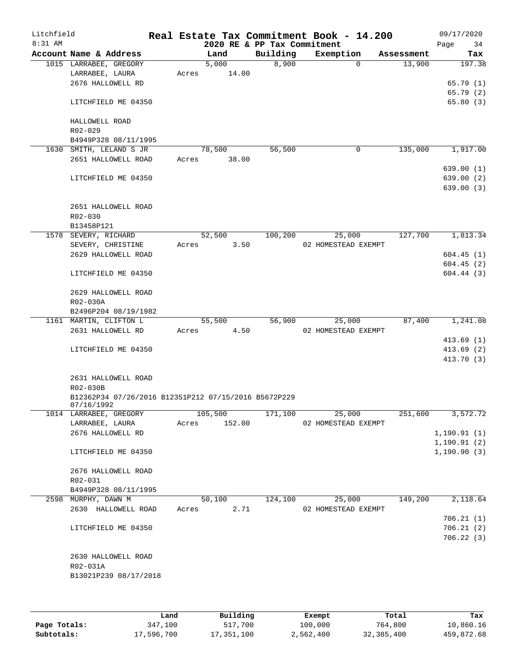| Litchfield<br>$8:31$ AM |                                                                    |       |                | 2020 RE & PP Tax Commitment | Real Estate Tax Commitment Book - 14.200 |            | 09/17/2020<br>Page<br>34 |
|-------------------------|--------------------------------------------------------------------|-------|----------------|-----------------------------|------------------------------------------|------------|--------------------------|
|                         | Account Name & Address                                             |       | Land           | Building                    | Exemption                                | Assessment | Tax                      |
|                         | 1015 LARRABEE, GREGORY                                             |       | 5,000          | 8,900                       | $\Omega$                                 | 13,900     | 197.38                   |
|                         | LARRABEE, LAURA                                                    | Acres | 14.00          |                             |                                          |            |                          |
|                         | 2676 HALLOWELL RD                                                  |       |                |                             |                                          |            | 65.79(1)                 |
|                         |                                                                    |       |                |                             |                                          |            | 65.79 (2)                |
|                         | LITCHFIELD ME 04350                                                |       |                |                             |                                          |            | 65.80(3)                 |
|                         | HALLOWELL ROAD                                                     |       |                |                             |                                          |            |                          |
|                         | $R02 - 029$                                                        |       |                |                             |                                          |            |                          |
|                         | B4949P328 08/11/1995                                               |       |                |                             |                                          |            |                          |
|                         | 1630 SMITH, LELAND S JR                                            |       | 78,500         | 56,500                      | 0                                        | 135,000    | 1,917.00                 |
|                         | 2651 HALLOWELL ROAD                                                | Acres | 38.00          |                             |                                          |            |                          |
|                         |                                                                    |       |                |                             |                                          |            | 639.00 (1)               |
|                         | LITCHFIELD ME 04350                                                |       |                |                             |                                          |            | 639.00 (2)               |
|                         |                                                                    |       |                |                             |                                          |            | 639.00(3)                |
|                         | 2651 HALLOWELL ROAD                                                |       |                |                             |                                          |            |                          |
|                         | R02-030                                                            |       |                |                             |                                          |            |                          |
|                         | B13458P121                                                         |       |                |                             |                                          |            |                          |
|                         | 1578 SEVERY, RICHARD                                               |       | 52,500         | 100,200                     | 25,000                                   | 127,700    | 1,813.34                 |
|                         | SEVERY, CHRISTINE                                                  | Acres | 3.50           |                             | 02 HOMESTEAD EXEMPT                      |            |                          |
|                         | 2629 HALLOWELL ROAD                                                |       |                |                             |                                          |            | 604.45(1)                |
|                         |                                                                    |       |                |                             |                                          |            | 604.45(2)                |
|                         | LITCHFIELD ME 04350                                                |       |                |                             |                                          |            | 604.44(3)                |
|                         |                                                                    |       |                |                             |                                          |            |                          |
|                         | 2629 HALLOWELL ROAD                                                |       |                |                             |                                          |            |                          |
|                         | R02-030A                                                           |       |                |                             |                                          |            |                          |
|                         | B2496P204 08/19/1982<br>1161 MARTIN, CLIFTON L                     |       | 55,500         | 56,900                      | 25,000                                   | 87,400     | 1,241.08                 |
|                         | 2631 HALLOWELL RD                                                  | Acres | 4.50           |                             | 02 HOMESTEAD EXEMPT                      |            |                          |
|                         |                                                                    |       |                |                             |                                          |            | 413.69(1)                |
|                         | LITCHFIELD ME 04350                                                |       |                |                             |                                          |            | 413.69(2)                |
|                         |                                                                    |       |                |                             |                                          |            | 413.70 (3)               |
|                         |                                                                    |       |                |                             |                                          |            |                          |
|                         | 2631 HALLOWELL ROAD                                                |       |                |                             |                                          |            |                          |
|                         | R02-030B                                                           |       |                |                             |                                          |            |                          |
|                         | B12362P34 07/26/2016 B12351P212 07/15/2016 B5672P229<br>07/16/1992 |       |                |                             |                                          |            |                          |
|                         | 1014 LARRABEE, GREGORY                                             |       | 105,500        | 171,100                     | 25,000                                   | 251,600    | 3,572.72                 |
|                         | LARRABEE, LAURA                                                    | Acres | 152.00         |                             | 02 HOMESTEAD EXEMPT                      |            |                          |
|                         | 2676 HALLOWELL RD                                                  |       |                |                             |                                          |            | 1, 190.91(1)             |
|                         |                                                                    |       |                |                             |                                          |            | 1, 190.91(2)             |
|                         | LITCHFIELD ME 04350                                                |       |                |                             |                                          |            | 1, 190.90(3)             |
|                         |                                                                    |       |                |                             |                                          |            |                          |
|                         | 2676 HALLOWELL ROAD                                                |       |                |                             |                                          |            |                          |
|                         | R02-031                                                            |       |                |                             |                                          |            |                          |
|                         | B4949P328 08/11/1995                                               |       |                | 124,100                     |                                          | 149,200    |                          |
| 2598                    | MURPHY, DAWN M<br>2630 HALLOWELL ROAD                              |       | 50,100<br>2.71 |                             | 25,000<br>02 HOMESTEAD EXEMPT            |            | 2,118.64                 |
|                         |                                                                    | Acres |                |                             |                                          |            | 706.21(1)                |
|                         | LITCHFIELD ME 04350                                                |       |                |                             |                                          |            | 706.21(2)                |
|                         |                                                                    |       |                |                             |                                          |            | 706.22(3)                |
|                         |                                                                    |       |                |                             |                                          |            |                          |
|                         | 2630 HALLOWELL ROAD                                                |       |                |                             |                                          |            |                          |
|                         | R02-031A                                                           |       |                |                             |                                          |            |                          |
|                         | B13021P239 08/17/2018                                              |       |                |                             |                                          |            |                          |
|                         |                                                                    |       |                |                             |                                          |            |                          |
|                         |                                                                    |       |                |                             |                                          |            |                          |

|              | Land       | Building   | Exempt    | Total      | Tax        |
|--------------|------------|------------|-----------|------------|------------|
| Page Totals: | 347,100    | 517,700    | 100,000   | 764,800    | 10,860.16  |
| Subtotals:   | 17,596,700 | 17,351,100 | 2,562,400 | 32,385,400 | 459,872.68 |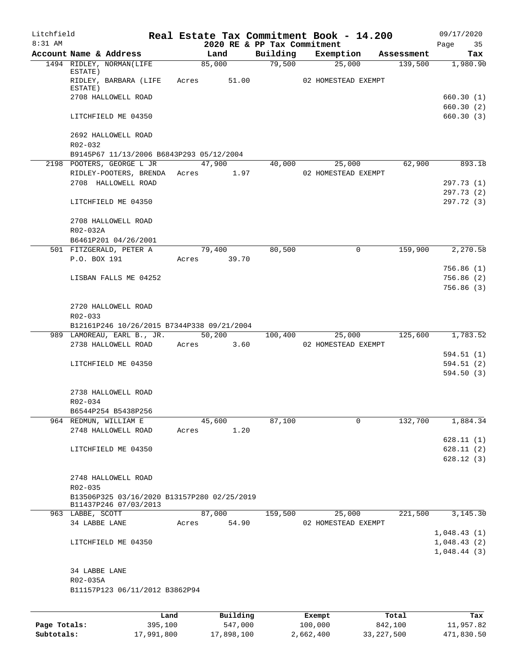| Litchfield<br>8:31 AM |                                              |                                             |       |                                     |          | Real Estate Tax Commitment Book - 14.200 |            | 09/17/2020               |
|-----------------------|----------------------------------------------|---------------------------------------------|-------|-------------------------------------|----------|------------------------------------------|------------|--------------------------|
|                       | Account Name & Address                       |                                             |       | 2020 RE & PP Tax Commitment<br>Land | Building | Exemption                                | Assessment | Page<br>35<br>Tax        |
|                       | 1494 RIDLEY, NORMAN(LIFE                     |                                             |       | 85,000                              | 79,500   | 25,000                                   | 139,500    | 1,980.90                 |
|                       | ESTATE)<br>ESTATE)                           | RIDLEY, BARBARA (LIFE Acres 51.00           |       |                                     |          | 02 HOMESTEAD EXEMPT                      |            |                          |
|                       | 2708 HALLOWELL ROAD                          |                                             |       |                                     |          |                                          |            | 660.30(1)<br>660.30(2)   |
|                       | LITCHFIELD ME 04350                          |                                             |       |                                     |          |                                          |            | 660.30(3)                |
|                       | 2692 HALLOWELL ROAD<br>$R02 - 032$           |                                             |       |                                     |          |                                          |            |                          |
|                       |                                              | B9145P67 11/13/2006 B6843P293 05/12/2004    |       |                                     |          |                                          |            |                          |
|                       |                                              | 2198 POOTERS, GEORGE L JR                   |       | 47,900                              | 40,000   | 25,000                                   | 62,900     | 893.18                   |
|                       |                                              | RIDLEY-POOTERS, BRENDA Acres 1.97           |       |                                     |          | 02 HOMESTEAD EXEMPT                      |            |                          |
|                       |                                              | 2708 HALLOWELL ROAD                         |       |                                     |          |                                          |            | 297.73 (1)               |
|                       | LITCHFIELD ME 04350                          |                                             |       |                                     |          |                                          |            | 297.73 (2)<br>297.72 (3) |
|                       | 2708 HALLOWELL ROAD                          |                                             |       |                                     |          |                                          |            |                          |
|                       | R02-032A                                     |                                             |       |                                     |          |                                          |            |                          |
|                       |                                              | B6461P201 04/26/2001                        |       |                                     |          |                                          |            |                          |
|                       | 501 FITZGERALD, PETER A                      |                                             |       | 79,400                              | 80,500   | $\Omega$                                 | 159,900    | 2,270.58                 |
|                       | P.O. BOX 191                                 |                                             |       | Acres 39.70                         |          |                                          |            | 756.86(1)                |
|                       |                                              | LISBAN FALLS ME 04252                       |       |                                     |          |                                          |            | 756.86(2)                |
|                       |                                              |                                             |       |                                     |          |                                          |            | 756.86(3)                |
|                       | 2720 HALLOWELL ROAD<br>R02-033               |                                             |       |                                     |          |                                          |            |                          |
|                       |                                              | B12161P246 10/26/2015 B7344P338 09/21/2004  |       |                                     |          |                                          |            |                          |
|                       |                                              | 989 LAMOREAU, EARL B., JR. 50,200           |       |                                     | 100,400  | 25,000                                   | 125,600    | 1,783.52                 |
|                       |                                              | 2738 HALLOWELL ROAD                         |       | Acres 3.60                          |          | 02 HOMESTEAD EXEMPT                      |            |                          |
|                       | LITCHFIELD ME 04350                          |                                             |       |                                     |          |                                          |            | 594.51 (1)<br>594.51(2)  |
|                       |                                              |                                             |       |                                     |          |                                          |            | 594.50(3)                |
|                       | 2738 HALLOWELL ROAD                          |                                             |       |                                     |          |                                          |            |                          |
|                       | R02-034                                      |                                             |       |                                     |          |                                          |            |                          |
|                       | B6544P254 B5438P256                          |                                             |       |                                     |          |                                          |            |                          |
|                       | 964 REDMUN, WILLIAM E<br>2748 HALLOWELL ROAD |                                             | Acres | 45,600<br>1.20                      | 87,100   | 0                                        | 132,700    | 1,884.34                 |
|                       |                                              |                                             |       |                                     |          |                                          |            | 628.11(1)                |
|                       | LITCHFIELD ME 04350                          |                                             |       |                                     |          |                                          |            | 628.11(2)                |
|                       |                                              |                                             |       |                                     |          |                                          |            | 628.12(3)                |
|                       | 2748 HALLOWELL ROAD                          |                                             |       |                                     |          |                                          |            |                          |
|                       | $R02 - 035$                                  | B13506P325 03/16/2020 B13157P280 02/25/2019 |       |                                     |          |                                          |            |                          |
|                       | 963 LABBE, SCOTT                             | B11437P246 07/03/2013                       |       | 87,000                              | 159,500  | 25,000                                   | 221,500    | 3,145.30                 |
|                       | 34 LABBE LANE                                |                                             | Acres | 54.90                               |          | 02 HOMESTEAD EXEMPT                      |            |                          |
|                       |                                              |                                             |       |                                     |          |                                          |            | 1,048.43(1)              |
|                       | LITCHFIELD ME 04350                          |                                             |       |                                     |          |                                          |            | 1,048.43(2)              |
|                       |                                              |                                             |       |                                     |          |                                          |            | 1,048.44(3)              |
|                       | 34 LABBE LANE<br>R02-035A                    |                                             |       |                                     |          |                                          |            |                          |
|                       |                                              | B11157P123 06/11/2012 B3862P94              |       |                                     |          |                                          |            |                          |
|                       |                                              |                                             |       |                                     |          |                                          |            |                          |
|                       |                                              | Land,                                       |       | Building                            |          | Exempt                                   | Total      | Tax                      |

|              | Land       | Building   | Exempt    | Total        | Tax        |
|--------------|------------|------------|-----------|--------------|------------|
| Page Totals: | 395,100    | 547,000    | 100,000   | 842,100      | 11,957.82  |
| Subtotals:   | 17,991,800 | 17,898,100 | 2,662,400 | 33, 227, 500 | 471,830.50 |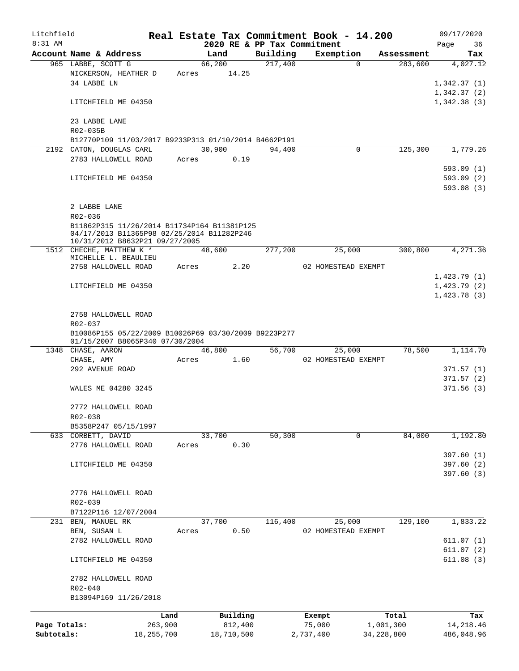| Litchfield   |                                                      |              |       |        |            |                             | Real Estate Tax Commitment Book - 14.200 |            |            | 09/17/2020  |
|--------------|------------------------------------------------------|--------------|-------|--------|------------|-----------------------------|------------------------------------------|------------|------------|-------------|
| 8:31 AM      |                                                      |              |       |        |            | 2020 RE & PP Tax Commitment |                                          |            |            | 36<br>Page  |
|              | Account Name & Address                               |              |       | Land   |            | Building                    | Exemption                                |            | Assessment | Tax         |
|              | 965 LABBE, SCOTT G<br>NICKERSON, HEATHER D           |              | Acres | 66,200 | 14.25      | 217,400                     |                                          | $\Omega$   | 283,600    | 4,027.12    |
|              | 34 LABBE LN                                          |              |       |        |            |                             |                                          |            |            | 1,342.37(1) |
|              |                                                      |              |       |        |            |                             |                                          |            |            | 1,342.37(2) |
|              | LITCHFIELD ME 04350                                  |              |       |        |            |                             |                                          |            |            | 1,342.38(3) |
|              |                                                      |              |       |        |            |                             |                                          |            |            |             |
|              | 23 LABBE LANE                                        |              |       |        |            |                             |                                          |            |            |             |
|              | R02-035B                                             |              |       |        |            |                             |                                          |            |            |             |
|              | B12770P109 11/03/2017 B9233P313 01/10/2014 B4662P191 |              |       |        |            |                             |                                          |            |            |             |
|              | 2192 CATON, DOUGLAS CARL                             |              |       | 30,900 |            | 94,400                      |                                          | 0          | 125,300    | 1,779.26    |
|              | 2783 HALLOWELL ROAD                                  |              | Acres |        | 0.19       |                             |                                          |            |            |             |
|              |                                                      |              |       |        |            |                             |                                          |            |            | 593.09(1)   |
|              | LITCHFIELD ME 04350                                  |              |       |        |            |                             |                                          |            |            | 593.09(2)   |
|              |                                                      |              |       |        |            |                             |                                          |            |            | 593.08(3)   |
|              | 2 LABBE LANE                                         |              |       |        |            |                             |                                          |            |            |             |
|              | $R02 - 036$                                          |              |       |        |            |                             |                                          |            |            |             |
|              | B11862P315 11/26/2014 B11734P164 B11381P125          |              |       |        |            |                             |                                          |            |            |             |
|              | 04/17/2013 B11365P98 02/25/2014 B11282P246           |              |       |        |            |                             |                                          |            |            |             |
|              | 10/31/2012 B8632P21 09/27/2005                       |              |       |        |            |                             |                                          |            |            |             |
|              | 1512 CHECHE, MATTHEW K *<br>MICHELLE L. BEAULIEU     |              |       | 48,600 |            | 277,200                     | 25,000                                   |            | 300,800    | 4,271.36    |
|              | 2758 HALLOWELL ROAD                                  |              | Acres |        | 2.20       |                             | 02 HOMESTEAD EXEMPT                      |            |            |             |
|              |                                                      |              |       |        |            |                             |                                          |            |            | 1,423.79(1) |
|              | LITCHFIELD ME 04350                                  |              |       |        |            |                             |                                          |            |            | 1,423.79(2) |
|              |                                                      |              |       |        |            |                             |                                          |            |            | 1,423.78(3) |
|              |                                                      |              |       |        |            |                             |                                          |            |            |             |
|              | 2758 HALLOWELL ROAD                                  |              |       |        |            |                             |                                          |            |            |             |
|              | R02-037                                              |              |       |        |            |                             |                                          |            |            |             |
|              | B10086P155 05/22/2009 B10026P69 03/30/2009 B9223P277 |              |       |        |            |                             |                                          |            |            |             |
|              | 01/15/2007 B8065P340 07/30/2004<br>1348 CHASE, AARON |              |       | 46,800 |            | 56,700                      | 25,000                                   |            | 78,500     | 1,114.70    |
|              | CHASE, AMY                                           |              | Acres |        | 1.60       |                             | 02 HOMESTEAD EXEMPT                      |            |            |             |
|              | 292 AVENUE ROAD                                      |              |       |        |            |                             |                                          |            |            | 371.57(1)   |
|              |                                                      |              |       |        |            |                             |                                          |            |            | 371.57(2)   |
|              | WALES ME 04280 3245                                  |              |       |        |            |                             |                                          |            |            | 371.56(3)   |
|              |                                                      |              |       |        |            |                             |                                          |            |            |             |
|              | 2772 HALLOWELL ROAD                                  |              |       |        |            |                             |                                          |            |            |             |
|              | R02-038                                              |              |       |        |            |                             |                                          |            |            |             |
|              | B5358P247 05/15/1997                                 |              |       |        |            |                             |                                          |            |            |             |
|              | 633 CORBETT, DAVID                                   |              |       | 33,700 |            | 50,300                      |                                          | 0          | 84,000     | 1,192.80    |
|              | 2776 HALLOWELL ROAD                                  |              | Acres |        | 0.30       |                             |                                          |            |            | 397.60(1)   |
|              | LITCHFIELD ME 04350                                  |              |       |        |            |                             |                                          |            |            | 397.60(2)   |
|              |                                                      |              |       |        |            |                             |                                          |            |            | 397.60(3)   |
|              |                                                      |              |       |        |            |                             |                                          |            |            |             |
|              | 2776 HALLOWELL ROAD                                  |              |       |        |            |                             |                                          |            |            |             |
|              | R02-039                                              |              |       |        |            |                             |                                          |            |            |             |
|              | B7122P116 12/07/2004                                 |              |       |        |            |                             |                                          |            |            |             |
| 231          | BEN, MANUEL RK                                       |              |       | 37,700 |            | 116,400                     | 25,000                                   |            | 129,100    | 1,833.22    |
|              | BEN, SUSAN L                                         |              | Acres |        | 0.50       |                             | 02 HOMESTEAD EXEMPT                      |            |            |             |
|              | 2782 HALLOWELL ROAD                                  |              |       |        |            |                             |                                          |            |            | 611.07(1)   |
|              |                                                      |              |       |        |            |                             |                                          |            |            | 611.07(2)   |
|              | LITCHFIELD ME 04350                                  |              |       |        |            |                             |                                          |            |            | 611.08(3)   |
|              |                                                      |              |       |        |            |                             |                                          |            |            |             |
|              | 2782 HALLOWELL ROAD                                  |              |       |        |            |                             |                                          |            |            |             |
|              | R02-040<br>B13094P169 11/26/2018                     |              |       |        |            |                             |                                          |            |            |             |
|              |                                                      |              |       |        |            |                             |                                          |            |            |             |
|              |                                                      | Land         |       |        | Building   |                             | Exempt                                   |            | Total      | Tax         |
| Page Totals: |                                                      | 263,900      |       |        | 812,400    |                             | 75,000                                   |            | 1,001,300  | 14,218.46   |
| Subtotals:   |                                                      | 18, 255, 700 |       |        | 18,710,500 |                             | 2,737,400                                | 34,228,800 |            | 486,048.96  |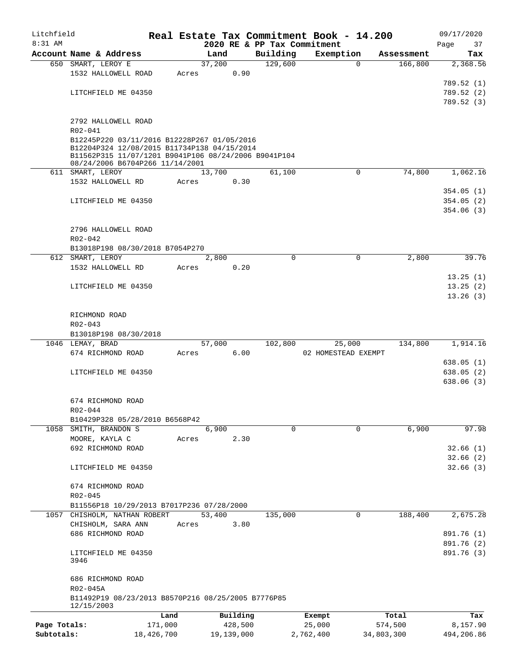| Litchfield   |                                                                  |            |       |        |            |                             | Real Estate Tax Commitment Book - 14.200 |             |            | 09/17/2020 |
|--------------|------------------------------------------------------------------|------------|-------|--------|------------|-----------------------------|------------------------------------------|-------------|------------|------------|
| $8:31$ AM    |                                                                  |            |       |        |            | 2020 RE & PP Tax Commitment |                                          |             |            | Page<br>37 |
|              | Account Name & Address                                           |            |       | Land   |            | Building                    | Exemption                                |             | Assessment | Tax        |
|              | 650 SMART, LEROY E                                               |            |       | 37,200 |            | 129,600                     |                                          | $\Omega$    | 166,800    | 2,368.56   |
|              | 1532 HALLOWELL ROAD                                              |            | Acres |        | 0.90       |                             |                                          |             |            |            |
|              |                                                                  |            |       |        |            |                             |                                          |             |            | 789.52 (1) |
|              | LITCHFIELD ME 04350                                              |            |       |        |            |                             |                                          |             |            | 789.52 (2) |
|              |                                                                  |            |       |        |            |                             |                                          |             |            | 789.52 (3) |
|              | 2792 HALLOWELL ROAD                                              |            |       |        |            |                             |                                          |             |            |            |
|              | R02-041                                                          |            |       |        |            |                             |                                          |             |            |            |
|              | B12245P220 03/11/2016 B12228P267 01/05/2016                      |            |       |        |            |                             |                                          |             |            |            |
|              | B12204P324 12/08/2015 B11734P138 04/15/2014                      |            |       |        |            |                             |                                          |             |            |            |
|              | B11562P315 11/07/1201 B9041P106 08/24/2006 B9041P104             |            |       |        |            |                             |                                          |             |            |            |
|              | 08/24/2006 B6704P266 11/14/2001                                  |            |       |        |            |                             |                                          |             |            |            |
|              | 611 SMART, LEROY                                                 |            |       | 13,700 |            | 61,100                      |                                          | 0           | 74,800     | 1,062.16   |
|              | 1532 HALLOWELL RD                                                |            | Acres |        | 0.30       |                             |                                          |             |            |            |
|              |                                                                  |            |       |        |            |                             |                                          |             |            | 354.05(1)  |
|              | LITCHFIELD ME 04350                                              |            |       |        |            |                             |                                          |             |            | 354.05(2)  |
|              |                                                                  |            |       |        |            |                             |                                          |             |            | 354.06(3)  |
|              |                                                                  |            |       |        |            |                             |                                          |             |            |            |
|              | 2796 HALLOWELL ROAD                                              |            |       |        |            |                             |                                          |             |            |            |
|              | $R02 - 042$                                                      |            |       |        |            |                             |                                          |             |            |            |
|              | B13018P198 08/30/2018 B7054P270                                  |            |       |        |            |                             |                                          |             |            |            |
|              | 612 SMART, LEROY                                                 |            |       | 2,800  |            | $\Omega$                    |                                          | $\mathbf 0$ | 2,800      | 39.76      |
|              | 1532 HALLOWELL RD                                                |            | Acres |        | 0.20       |                             |                                          |             |            |            |
|              |                                                                  |            |       |        |            |                             |                                          |             |            | 13.25(1)   |
|              | LITCHFIELD ME 04350                                              |            |       |        |            |                             |                                          |             |            | 13.25(2)   |
|              |                                                                  |            |       |        |            |                             |                                          |             |            | 13.26(3)   |
|              |                                                                  |            |       |        |            |                             |                                          |             |            |            |
|              | RICHMOND ROAD                                                    |            |       |        |            |                             |                                          |             |            |            |
|              | R02-043                                                          |            |       |        |            |                             |                                          |             |            |            |
|              | B13018P198 08/30/2018<br>1046 LEMAY, BRAD                        |            |       | 57,000 |            | 102,800                     | 25,000                                   |             | 134,800    | 1,914.16   |
|              | 674 RICHMOND ROAD                                                |            | Acres |        | 6.00       |                             | 02 HOMESTEAD EXEMPT                      |             |            |            |
|              |                                                                  |            |       |        |            |                             |                                          |             |            | 638.05(1)  |
|              | LITCHFIELD ME 04350                                              |            |       |        |            |                             |                                          |             |            | 638.05(2)  |
|              |                                                                  |            |       |        |            |                             |                                          |             |            | 638.06(3)  |
|              |                                                                  |            |       |        |            |                             |                                          |             |            |            |
|              | 674 RICHMOND ROAD                                                |            |       |        |            |                             |                                          |             |            |            |
|              | R02-044                                                          |            |       |        |            |                             |                                          |             |            |            |
|              | B10429P328 05/28/2010 B6568P42                                   |            |       |        |            |                             |                                          |             |            |            |
|              | 1058 SMITH, BRANDON S                                            |            |       | 6,900  |            | $\Omega$                    |                                          | 0           | 6,900      | 97.98      |
|              | MOORE, KAYLA C                                                   |            | Acres |        | 2.30       |                             |                                          |             |            |            |
|              | 692 RICHMOND ROAD                                                |            |       |        |            |                             |                                          |             |            | 32.66(1)   |
|              |                                                                  |            |       |        |            |                             |                                          |             |            | 32.66(2)   |
|              | LITCHFIELD ME 04350                                              |            |       |        |            |                             |                                          |             |            | 32.66(3)   |
|              |                                                                  |            |       |        |            |                             |                                          |             |            |            |
|              | 674 RICHMOND ROAD                                                |            |       |        |            |                             |                                          |             |            |            |
|              | R02-045                                                          |            |       |        |            |                             |                                          |             |            |            |
|              | B11556P18 10/29/2013 B7017P236 07/28/2000                        |            |       |        |            |                             |                                          |             |            |            |
|              | 1057 CHISHOLM, NATHAN ROBERT                                     |            |       | 53,400 |            | 135,000                     |                                          | 0           | 188,400    | 2,675.28   |
|              | CHISHOLM, SARA ANN                                               |            | Acres |        | 3.80       |                             |                                          |             |            |            |
|              | 686 RICHMOND ROAD                                                |            |       |        |            |                             |                                          |             |            | 891.76 (1) |
|              |                                                                  |            |       |        |            |                             |                                          |             |            | 891.76 (2) |
|              | LITCHFIELD ME 04350                                              |            |       |        |            |                             |                                          |             |            | 891.76 (3) |
|              | 3946                                                             |            |       |        |            |                             |                                          |             |            |            |
|              |                                                                  |            |       |        |            |                             |                                          |             |            |            |
|              | 686 RICHMOND ROAD                                                |            |       |        |            |                             |                                          |             |            |            |
|              | R02-045A                                                         |            |       |        |            |                             |                                          |             |            |            |
|              | B11492P19 08/23/2013 B8570P216 08/25/2005 B7776P85<br>12/15/2003 |            |       |        |            |                             |                                          |             |            |            |
|              |                                                                  | Land       |       |        | Building   |                             | Exempt                                   |             | Total      | Tax        |
| Page Totals: |                                                                  | 171,000    |       |        | 428,500    |                             | 25,000                                   | 574,500     |            | 8,157.90   |
| Subtotals:   |                                                                  | 18,426,700 |       |        | 19,139,000 |                             | 2,762,400                                | 34,803,300  |            | 494,206.86 |
|              |                                                                  |            |       |        |            |                             |                                          |             |            |            |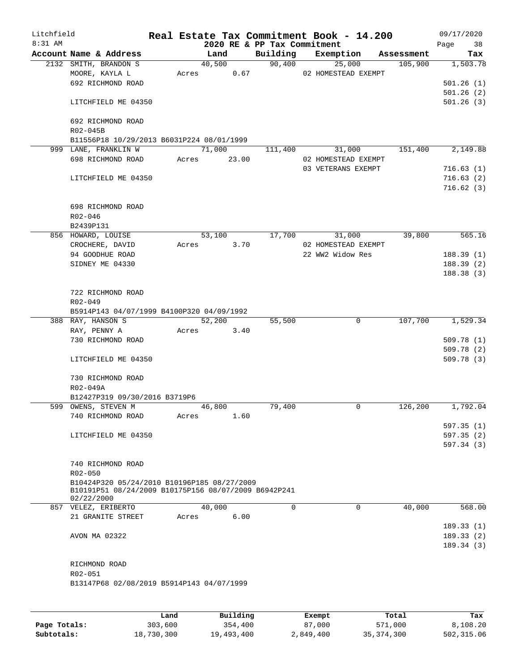| Litchfield<br>$8:31$ AM |                                                                    |       |        |       | 2020 RE & PP Tax Commitment | Real Estate Tax Commitment Book - 14.200 |            | 09/17/2020<br>Page<br>38 |
|-------------------------|--------------------------------------------------------------------|-------|--------|-------|-----------------------------|------------------------------------------|------------|--------------------------|
|                         | Account Name & Address                                             |       | Land   |       | Building                    | Exemption                                | Assessment | Tax                      |
|                         | 2132 SMITH, BRANDON S                                              |       | 40,500 |       | 90,400                      | 25,000                                   | 105,900    | 1,503.78                 |
|                         | MOORE, KAYLA L                                                     |       | Acres  | 0.67  |                             | 02 HOMESTEAD EXEMPT                      |            |                          |
|                         | 692 RICHMOND ROAD                                                  |       |        |       |                             |                                          |            | 501.26(1)                |
|                         |                                                                    |       |        |       |                             |                                          |            | 501.26(2)                |
|                         | LITCHFIELD ME 04350                                                |       |        |       |                             |                                          |            | 501.26(3)                |
|                         | 692 RICHMOND ROAD                                                  |       |        |       |                             |                                          |            |                          |
|                         | R02-045B                                                           |       |        |       |                             |                                          |            |                          |
|                         | B11556P18 10/29/2013 B6031P224 08/01/1999                          |       |        |       |                             |                                          |            |                          |
|                         | 999 LANE, FRANKLIN W                                               |       | 71,000 |       | 111,400                     | 31,000                                   | 151,400    | 2,149.88                 |
|                         | 698 RICHMOND ROAD                                                  | Acres |        | 23.00 |                             | 02 HOMESTEAD EXEMPT                      |            |                          |
|                         |                                                                    |       |        |       |                             | 03 VETERANS EXEMPT                       |            | 716.63(1)                |
|                         | LITCHFIELD ME 04350                                                |       |        |       |                             |                                          |            | 716.63(2)                |
|                         |                                                                    |       |        |       |                             |                                          |            | 716.62(3)                |
|                         | 698 RICHMOND ROAD                                                  |       |        |       |                             |                                          |            |                          |
|                         | R02-046                                                            |       |        |       |                             |                                          |            |                          |
|                         | B2439P131                                                          |       |        |       |                             |                                          |            |                          |
|                         | 856 HOWARD, LOUISE                                                 |       | 53,100 |       | 17,700                      | 31,000                                   | 39,800     | 565.16                   |
|                         | CROCHERE, DAVID                                                    | Acres |        | 3.70  |                             | 02 HOMESTEAD EXEMPT                      |            |                          |
|                         | 94 GOODHUE ROAD                                                    |       |        |       |                             | 22 WW2 Widow Res                         |            | 188.39(1)                |
|                         | SIDNEY ME 04330                                                    |       |        |       |                             |                                          |            | 188.39(2)                |
|                         |                                                                    |       |        |       |                             |                                          |            | 188.38 (3)               |
|                         |                                                                    |       |        |       |                             |                                          |            |                          |
|                         | 722 RICHMOND ROAD                                                  |       |        |       |                             |                                          |            |                          |
|                         | R02-049                                                            |       |        |       |                             |                                          |            |                          |
|                         | B5914P143 04/07/1999 B4100P320 04/09/1992                          |       |        |       |                             |                                          |            |                          |
|                         | 388 RAY, HANSON S                                                  |       | 52,200 |       | 55,500                      | 0                                        | 107,700    | 1,529.34                 |
|                         | RAY, PENNY A                                                       | Acres |        | 3.40  |                             |                                          |            |                          |
|                         | 730 RICHMOND ROAD                                                  |       |        |       |                             |                                          |            | 509.78(1)                |
|                         |                                                                    |       |        |       |                             |                                          |            | 509.78 (2)               |
|                         | LITCHFIELD ME 04350                                                |       |        |       |                             |                                          |            | 509.78(3)                |
|                         |                                                                    |       |        |       |                             |                                          |            |                          |
|                         | 730 RICHMOND ROAD                                                  |       |        |       |                             |                                          |            |                          |
|                         | R02-049A                                                           |       |        |       |                             |                                          |            |                          |
|                         | B12427P319 09/30/2016 B3719P6                                      |       |        |       |                             |                                          |            |                          |
|                         | 599 OWENS, STEVEN M                                                |       | 46,800 |       | 79,400                      | 0                                        | 126,200    | 1,792.04                 |
|                         | 740 RICHMOND ROAD                                                  | Acres |        | 1.60  |                             |                                          |            |                          |
|                         |                                                                    |       |        |       |                             |                                          |            | 597.35 (1)               |
|                         | LITCHFIELD ME 04350                                                |       |        |       |                             |                                          |            | 597.35(2)                |
|                         |                                                                    |       |        |       |                             |                                          |            | 597.34 (3)               |
|                         |                                                                    |       |        |       |                             |                                          |            |                          |
|                         | 740 RICHMOND ROAD                                                  |       |        |       |                             |                                          |            |                          |
|                         | R02-050                                                            |       |        |       |                             |                                          |            |                          |
|                         | B10424P320 05/24/2010 B10196P185 08/27/2009                        |       |        |       |                             |                                          |            |                          |
|                         | B10191P51 08/24/2009 B10175P156 08/07/2009 B6942P241<br>02/22/2000 |       |        |       |                             |                                          |            |                          |
|                         | 857 VELEZ, ERIBERTO                                                |       | 40,000 |       | $\Omega$                    | $\Omega$                                 | 40,000     | 568.00                   |
|                         | 21 GRANITE STREET                                                  | Acres |        | 6.00  |                             |                                          |            |                          |
|                         |                                                                    |       |        |       |                             |                                          |            | 189.33(1)                |
|                         | AVON MA 02322                                                      |       |        |       |                             |                                          |            | 189.33(2)                |
|                         |                                                                    |       |        |       |                             |                                          |            | 189.34(3)                |
|                         |                                                                    |       |        |       |                             |                                          |            |                          |
|                         |                                                                    |       |        |       |                             |                                          |            |                          |
|                         | RICHMOND ROAD                                                      |       |        |       |                             |                                          |            |                          |
|                         | R02-051                                                            |       |        |       |                             |                                          |            |                          |
|                         | B13147P68 02/08/2019 B5914P143 04/07/1999                          |       |        |       |                             |                                          |            |                          |
|                         |                                                                    |       |        |       |                             |                                          |            |                          |
|                         |                                                                    |       |        |       |                             |                                          |            |                          |

|              | Land       | Building   | Exempt    | Total        | Tax        |
|--------------|------------|------------|-----------|--------------|------------|
| Page Totals: | 303,600    | 354,400    | 87,000    | 571,000      | 8,108.20   |
| Subtotals:   | 18,730,300 | 19,493,400 | 2,849,400 | 35, 374, 300 | 502,315.06 |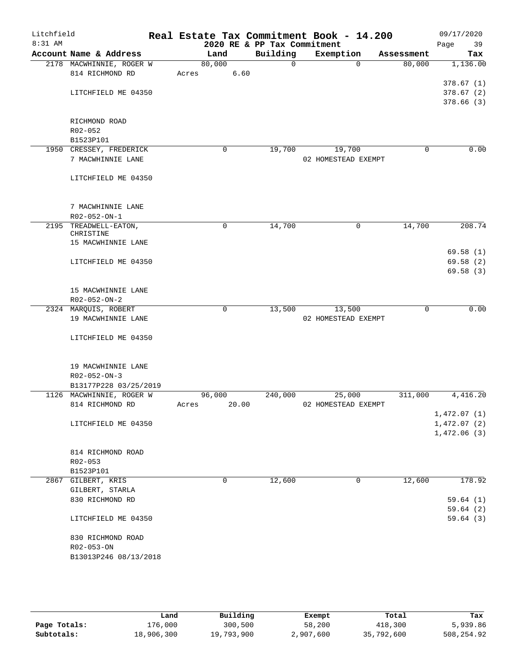| Litchfield |                                              |       |             |       | Real Estate Tax Commitment Book - 14.200 |                     |             |             | 09/17/2020                 |  |
|------------|----------------------------------------------|-------|-------------|-------|------------------------------------------|---------------------|-------------|-------------|----------------------------|--|
| 8:31 AM    |                                              |       |             |       | 2020 RE & PP Tax Commitment              |                     |             |             | Page<br>39                 |  |
|            | Account Name & Address                       |       | Land        |       | Building                                 | Exemption           |             | Assessment  | Tax                        |  |
|            | 2178 MACWHINNIE, ROGER W                     |       | 80,000      |       | $\overline{0}$                           |                     | $\Omega$    | 80,000      | 1,136.00                   |  |
|            | 814 RICHMOND RD                              | Acres |             | 6.60  |                                          |                     |             |             |                            |  |
|            |                                              |       |             |       |                                          |                     |             |             | 378.67(1)                  |  |
|            | LITCHFIELD ME 04350                          |       |             |       |                                          |                     |             |             | 378.67(2)                  |  |
|            |                                              |       |             |       |                                          |                     |             |             | 378.66(3)                  |  |
|            |                                              |       |             |       |                                          |                     |             |             |                            |  |
|            | RICHMOND ROAD                                |       |             |       |                                          |                     |             |             |                            |  |
|            | R02-052                                      |       |             |       |                                          |                     |             |             |                            |  |
|            | B1523P101                                    |       | 0           |       |                                          | 19,700              |             | $\mathbf 0$ | 0.00                       |  |
|            | 1950 CRESSEY, FREDERICK<br>7 MACWHINNIE LANE |       |             |       | 19,700                                   | 02 HOMESTEAD EXEMPT |             |             |                            |  |
|            |                                              |       |             |       |                                          |                     |             |             |                            |  |
|            | LITCHFIELD ME 04350                          |       |             |       |                                          |                     |             |             |                            |  |
|            |                                              |       |             |       |                                          |                     |             |             |                            |  |
|            |                                              |       |             |       |                                          |                     |             |             |                            |  |
|            | 7 MACWHINNIE LANE                            |       |             |       |                                          |                     |             |             |                            |  |
|            | $R02 - 052 - ON - 1$                         |       |             |       |                                          |                     |             |             |                            |  |
|            | 2195 TREADWELL-EATON,                        |       | $\mathbf 0$ |       | 14,700                                   |                     | $\mathbf 0$ | 14,700      | 208.74                     |  |
|            | CHRISTINE                                    |       |             |       |                                          |                     |             |             |                            |  |
|            | 15 MACWHINNIE LANE                           |       |             |       |                                          |                     |             |             |                            |  |
|            |                                              |       |             |       |                                          |                     |             |             | 69.58(1)                   |  |
|            | LITCHFIELD ME 04350                          |       |             |       |                                          |                     |             |             | 69.58(2)                   |  |
|            |                                              |       |             |       |                                          |                     |             |             | 69.58(3)                   |  |
|            |                                              |       |             |       |                                          |                     |             |             |                            |  |
|            | 15 MACWHINNIE LANE                           |       |             |       |                                          |                     |             |             |                            |  |
|            | R02-052-ON-2                                 |       |             |       |                                          |                     |             |             |                            |  |
|            | 2324 MARQUIS, ROBERT                         |       | $\mathbf 0$ |       | 13,500                                   | 13,500              |             | $\mathbf 0$ | 0.00                       |  |
|            | 19 MACWHINNIE LANE                           |       |             |       |                                          | 02 HOMESTEAD EXEMPT |             |             |                            |  |
|            |                                              |       |             |       |                                          |                     |             |             |                            |  |
|            | LITCHFIELD ME 04350                          |       |             |       |                                          |                     |             |             |                            |  |
|            |                                              |       |             |       |                                          |                     |             |             |                            |  |
|            |                                              |       |             |       |                                          |                     |             |             |                            |  |
|            | 19 MACWHINNIE LANE                           |       |             |       |                                          |                     |             |             |                            |  |
|            | $R02 - 052 - ON - 3$                         |       |             |       |                                          |                     |             |             |                            |  |
|            | B13177P228 03/25/2019                        |       |             |       |                                          |                     |             |             |                            |  |
|            | 1126 MACWHINNIE, ROGER W                     | Acres | 96,000      |       | 240,000                                  | 25,000              |             | 311,000     | 4,416.20                   |  |
|            | 814 RICHMOND RD                              |       |             | 20.00 |                                          | 02 HOMESTEAD EXEMPT |             |             | 1,472.07(1)                |  |
|            | LITCHFIELD ME 04350                          |       |             |       |                                          |                     |             |             |                            |  |
|            |                                              |       |             |       |                                          |                     |             |             | 1,472.07(2)<br>1,472.06(3) |  |
|            |                                              |       |             |       |                                          |                     |             |             |                            |  |
|            | 814 RICHMOND ROAD                            |       |             |       |                                          |                     |             |             |                            |  |
|            | R02-053                                      |       |             |       |                                          |                     |             |             |                            |  |
|            | B1523P101                                    |       |             |       |                                          |                     |             |             |                            |  |
|            | 2867 GILBERT, KRIS                           |       | 0           |       | 12,600                                   |                     | 0           | 12,600      | 178.92                     |  |
|            | GILBERT, STARLA                              |       |             |       |                                          |                     |             |             |                            |  |
|            | 830 RICHMOND RD                              |       |             |       |                                          |                     |             |             | 59.64(1)                   |  |
|            |                                              |       |             |       |                                          |                     |             |             | 59.64(2)                   |  |
|            | LITCHFIELD ME 04350                          |       |             |       |                                          |                     |             |             | 59.64(3)                   |  |
|            |                                              |       |             |       |                                          |                     |             |             |                            |  |
|            | 830 RICHMOND ROAD                            |       |             |       |                                          |                     |             |             |                            |  |
|            | R02-053-ON                                   |       |             |       |                                          |                     |             |             |                            |  |
|            | B13013P246 08/13/2018                        |       |             |       |                                          |                     |             |             |                            |  |
|            |                                              |       |             |       |                                          |                     |             |             |                            |  |
|            |                                              |       |             |       |                                          |                     |             |             |                            |  |

|              | Land       | Building   | Exempt    | Total      | Tax         |
|--------------|------------|------------|-----------|------------|-------------|
| Page Totals: | 176,000    | 300,500    | 58,200    | 418,300    | 5,939.86    |
| Subtotals:   | 18,906,300 | 19,793,900 | 2,907,600 | 35,792,600 | 508, 254.92 |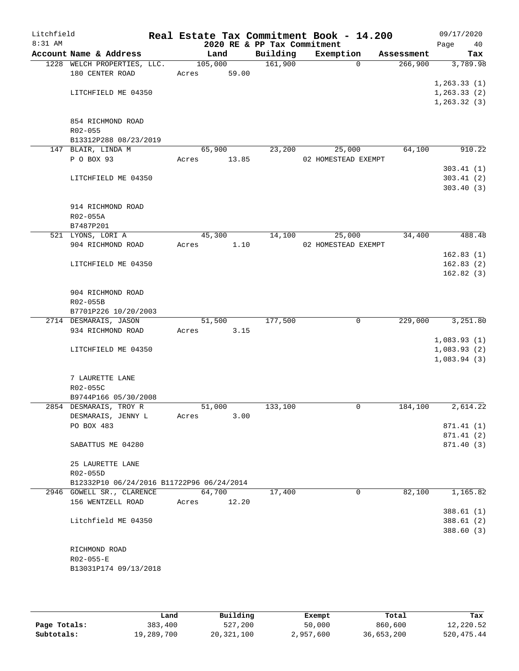| Litchfield |                                           |       |         |                             | Real Estate Tax Commitment Book - 14.200 |             |            |      | 09/17/2020                   |
|------------|-------------------------------------------|-------|---------|-----------------------------|------------------------------------------|-------------|------------|------|------------------------------|
| 8:31 AM    |                                           |       |         | 2020 RE & PP Tax Commitment |                                          |             |            | Page | 40                           |
|            | Account Name & Address                    |       | Land    | Building                    | Exemption                                |             | Assessment |      | Tax                          |
|            | 1228 WELCH PROPERTIES, LLC.               |       | 105,000 | 161,900                     |                                          | $\Omega$    | 266,900    |      | 3,789.98                     |
|            | 180 CENTER ROAD                           | Acres | 59.00   |                             |                                          |             |            |      |                              |
|            | LITCHFIELD ME 04350                       |       |         |                             |                                          |             |            |      | 1, 263.33(1)<br>1, 263.33(2) |
|            |                                           |       |         |                             |                                          |             |            |      | 1, 263.32(3)                 |
|            |                                           |       |         |                             |                                          |             |            |      |                              |
|            | 854 RICHMOND ROAD                         |       |         |                             |                                          |             |            |      |                              |
|            | R02-055                                   |       |         |                             |                                          |             |            |      |                              |
|            | B13312P288 08/23/2019                     |       |         |                             |                                          |             |            |      |                              |
|            | 147 BLAIR, LINDA M                        |       | 65,900  | 23,200                      | 25,000                                   |             | 64,100     |      | 910.22                       |
|            | P O BOX 93                                | Acres | 13.85   |                             | 02 HOMESTEAD EXEMPT                      |             |            |      |                              |
|            |                                           |       |         |                             |                                          |             |            |      | 303.41(1)                    |
|            | LITCHFIELD ME 04350                       |       |         |                             |                                          |             |            |      | 303.41(2)                    |
|            |                                           |       |         |                             |                                          |             |            |      | 303.40(3)                    |
|            |                                           |       |         |                             |                                          |             |            |      |                              |
|            | 914 RICHMOND ROAD                         |       |         |                             |                                          |             |            |      |                              |
|            | R02-055A                                  |       |         |                             |                                          |             |            |      |                              |
|            | B7487P201                                 |       |         |                             |                                          |             |            |      |                              |
|            | 521 LYONS, LORI A                         |       | 45,300  | 14,100                      | 25,000                                   |             | 34,400     |      | 488.48                       |
|            | 904 RICHMOND ROAD                         | Acres | 1.10    |                             | 02 HOMESTEAD EXEMPT                      |             |            |      |                              |
|            |                                           |       |         |                             |                                          |             |            |      | 162.83(1)                    |
|            | LITCHFIELD ME 04350                       |       |         |                             |                                          |             |            |      | 162.83(2)<br>162.82(3)       |
|            |                                           |       |         |                             |                                          |             |            |      |                              |
|            | 904 RICHMOND ROAD                         |       |         |                             |                                          |             |            |      |                              |
|            | R02-055B                                  |       |         |                             |                                          |             |            |      |                              |
|            | B7701P226 10/20/2003                      |       |         |                             |                                          |             |            |      |                              |
|            | 2714 DESMARAIS, JASON                     |       | 51,500  | 177,500                     |                                          | $\mathbf 0$ | 229,000    |      | 3,251.80                     |
|            | 934 RICHMOND ROAD                         | Acres | 3.15    |                             |                                          |             |            |      |                              |
|            |                                           |       |         |                             |                                          |             |            |      | 1,083.93(1)                  |
|            | LITCHFIELD ME 04350                       |       |         |                             |                                          |             |            |      | 1,083.93(2)                  |
|            |                                           |       |         |                             |                                          |             |            |      | 1,083.94(3)                  |
|            |                                           |       |         |                             |                                          |             |            |      |                              |
|            | 7 LAURETTE LANE                           |       |         |                             |                                          |             |            |      |                              |
|            | R02-055C                                  |       |         |                             |                                          |             |            |      |                              |
|            | B9744P166 05/30/2008                      |       |         |                             |                                          |             |            |      |                              |
|            | 2854 DESMARAIS, TROY R                    |       | 51,000  | 133,100                     |                                          | 0           | 184,100    |      | 2,614.22                     |
|            | DESMARAIS, JENNY L                        | Acres | 3.00    |                             |                                          |             |            |      |                              |
|            | PO BOX 483                                |       |         |                             |                                          |             |            |      | 871.41 (1)                   |
|            |                                           |       |         |                             |                                          |             |            |      | 871.41 (2)                   |
|            | SABATTUS ME 04280                         |       |         |                             |                                          |             |            |      | 871.40 (3)                   |
|            | 25 LAURETTE LANE                          |       |         |                             |                                          |             |            |      |                              |
|            | R02-055D                                  |       |         |                             |                                          |             |            |      |                              |
|            | B12332P10 06/24/2016 B11722P96 06/24/2014 |       |         |                             |                                          |             |            |      |                              |
|            | 2946 GOWELL SR., CLARENCE                 |       | 64,700  | 17,400                      |                                          | $\mathbf 0$ | 82,100     |      | 1,165.82                     |
|            | 156 WENTZELL ROAD                         | Acres | 12.20   |                             |                                          |             |            |      |                              |
|            |                                           |       |         |                             |                                          |             |            |      | 388.61(1)                    |
|            | Litchfield ME 04350                       |       |         |                             |                                          |             |            |      | 388.61(2)                    |
|            |                                           |       |         |                             |                                          |             |            |      | 388.60 (3)                   |
|            |                                           |       |         |                             |                                          |             |            |      |                              |
|            | RICHMOND ROAD                             |       |         |                             |                                          |             |            |      |                              |
|            | $R02 - 055 - E$                           |       |         |                             |                                          |             |            |      |                              |
|            | B13031P174 09/13/2018                     |       |         |                             |                                          |             |            |      |                              |
|            |                                           |       |         |                             |                                          |             |            |      |                              |

|              | Land       | Building     | Exempt    | Total      | Tax          |
|--------------|------------|--------------|-----------|------------|--------------|
| Page Totals: | 383,400    | 527,200      | 50,000    | 860,600    | 12,220.52    |
| Subtotals:   | 19,289,700 | 20, 321, 100 | 2,957,600 | 36,653,200 | 520, 475. 44 |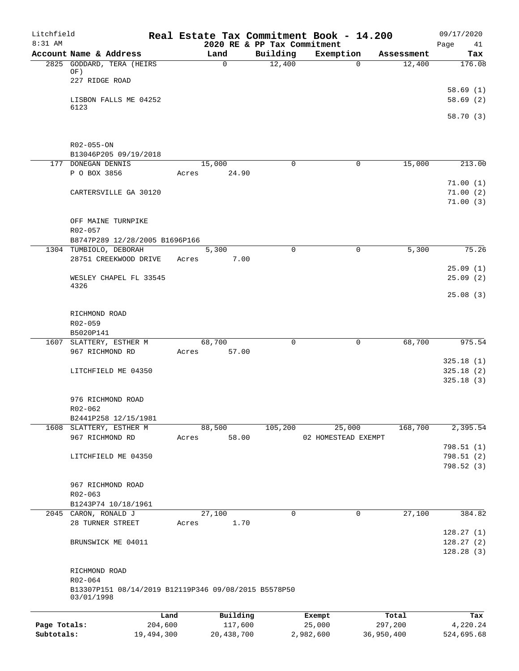| Litchfield<br>8:31 AM |                                                                 |                 |       |                     | 2020 RE & PP Tax Commitment | Real Estate Tax Commitment Book - 14.200 |                  | 09/17/2020<br>Page<br>41 |
|-----------------------|-----------------------------------------------------------------|-----------------|-------|---------------------|-----------------------------|------------------------------------------|------------------|--------------------------|
|                       | Account Name & Address                                          |                 |       | Land                | Building                    | Exemption                                | Assessment       | Tax                      |
|                       | 2825 GODDARD, TERA (HEIRS                                       |                 |       | $\mathsf{O}$        | 12,400                      |                                          | $\overline{0}$   | 12,400<br>176.08         |
|                       | OF)                                                             |                 |       |                     |                             |                                          |                  |                          |
|                       | 227 RIDGE ROAD                                                  |                 |       |                     |                             |                                          |                  |                          |
|                       |                                                                 |                 |       |                     |                             |                                          |                  | 58.69(1)                 |
|                       | LISBON FALLS ME 04252                                           |                 |       |                     |                             |                                          |                  | 58.69(2)                 |
|                       | 6123                                                            |                 |       |                     |                             |                                          |                  | 58.70 (3)                |
|                       |                                                                 |                 |       |                     |                             |                                          |                  |                          |
|                       |                                                                 |                 |       |                     |                             |                                          |                  |                          |
|                       | R02-055-ON                                                      |                 |       |                     |                             |                                          |                  |                          |
|                       | B13046P205 09/19/2018                                           |                 |       |                     | $\mathbf 0$                 |                                          | $\mathbf 0$      |                          |
|                       | 177 DONEGAN DENNIS<br>P O BOX 3856                              |                 | Acres | 15,000<br>24.90     |                             |                                          |                  | 15,000<br>213.00         |
|                       |                                                                 |                 |       |                     |                             |                                          |                  | 71.00(1)                 |
|                       | CARTERSVILLE GA 30120                                           |                 |       |                     |                             |                                          |                  | 71.00(2)                 |
|                       |                                                                 |                 |       |                     |                             |                                          |                  | 71.00(3)                 |
|                       |                                                                 |                 |       |                     |                             |                                          |                  |                          |
|                       | OFF MAINE TURNPIKE                                              |                 |       |                     |                             |                                          |                  |                          |
|                       | R02-057                                                         |                 |       |                     |                             |                                          |                  |                          |
|                       | B8747P289 12/28/2005 B1696P166                                  |                 |       |                     |                             |                                          |                  |                          |
|                       | 1304 TUMBIOLO, DEBORAH<br>28751 CREEKWOOD DRIVE                 |                 | Acres | 5,300<br>7.00       | $\Omega$                    |                                          | 0                | 5,300<br>75.26           |
|                       |                                                                 |                 |       |                     |                             |                                          |                  | 25.09(1)                 |
|                       | WESLEY CHAPEL FL 33545                                          |                 |       |                     |                             |                                          |                  | 25.09(2)                 |
|                       | 4326                                                            |                 |       |                     |                             |                                          |                  |                          |
|                       |                                                                 |                 |       |                     |                             |                                          |                  | 25.08(3)                 |
|                       |                                                                 |                 |       |                     |                             |                                          |                  |                          |
|                       | RICHMOND ROAD                                                   |                 |       |                     |                             |                                          |                  |                          |
|                       | R02-059<br>B5020P141                                            |                 |       |                     |                             |                                          |                  |                          |
|                       | 1607 SLATTERY, ESTHER M                                         |                 |       | 68,700              | 0                           |                                          | 0                | 68,700<br>975.54         |
|                       | 967 RICHMOND RD                                                 |                 | Acres | 57.00               |                             |                                          |                  |                          |
|                       |                                                                 |                 |       |                     |                             |                                          |                  | 325.18(1)                |
|                       | LITCHFIELD ME 04350                                             |                 |       |                     |                             |                                          |                  | 325.18(2)                |
|                       |                                                                 |                 |       |                     |                             |                                          |                  | 325.18(3)                |
|                       |                                                                 |                 |       |                     |                             |                                          |                  |                          |
|                       | 976 RICHMOND ROAD                                               |                 |       |                     |                             |                                          |                  |                          |
|                       | R02-062<br>B2441P258 12/15/1981                                 |                 |       |                     |                             |                                          |                  |                          |
|                       | 1608 SLATTERY, ESTHER M                                         |                 |       | 88,500              | 105,200                     | 25,000                                   |                  | 168,700<br>2,395.54      |
|                       | 967 RICHMOND RD                                                 |                 | Acres | 58.00               |                             | 02 HOMESTEAD EXEMPT                      |                  |                          |
|                       |                                                                 |                 |       |                     |                             |                                          |                  | 798.51 (1)               |
|                       | LITCHFIELD ME 04350                                             |                 |       |                     |                             |                                          |                  | 798.51 (2)               |
|                       |                                                                 |                 |       |                     |                             |                                          |                  | 798.52 (3)               |
|                       |                                                                 |                 |       |                     |                             |                                          |                  |                          |
|                       | 967 RICHMOND ROAD                                               |                 |       |                     |                             |                                          |                  |                          |
|                       | R02-063                                                         |                 |       |                     |                             |                                          |                  |                          |
|                       | B1243P74 10/18/1961                                             |                 |       |                     | $\mathbf 0$                 |                                          |                  |                          |
|                       | 2045 CARON, RONALD J<br>28 TURNER STREET                        |                 | Acres | 27,100<br>1.70      |                             |                                          | 0                | 27,100<br>384.82         |
|                       |                                                                 |                 |       |                     |                             |                                          |                  | 128.27(1)                |
|                       | BRUNSWICK ME 04011                                              |                 |       |                     |                             |                                          |                  | 128.27(2)                |
|                       |                                                                 |                 |       |                     |                             |                                          |                  | 128.28(3)                |
|                       |                                                                 |                 |       |                     |                             |                                          |                  |                          |
|                       | RICHMOND ROAD                                                   |                 |       |                     |                             |                                          |                  |                          |
|                       | R02-064<br>B13307P151 08/14/2019 B12119P346 09/08/2015 B5578P50 |                 |       |                     |                             |                                          |                  |                          |
|                       | 03/01/1998                                                      |                 |       |                     |                             |                                          |                  |                          |
|                       |                                                                 |                 |       |                     |                             |                                          |                  |                          |
| Page Totals:          |                                                                 | Land<br>204,600 |       | Building<br>117,600 |                             | Exempt<br>25,000                         | Total<br>297,200 | Tax<br>4,220.24          |
|                       |                                                                 |                 |       |                     |                             |                                          |                  |                          |

**Subtotals:** 19,494,300 20,438,700 2,982,600 36,950,400 524,695.68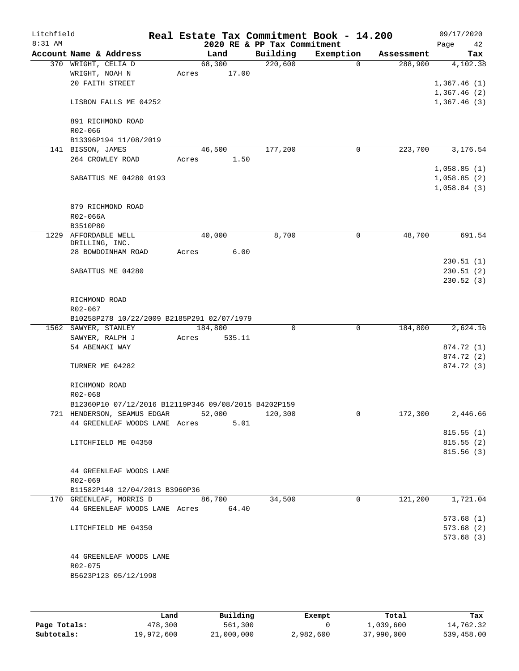| Litchfield<br>$8:31$ AM |                                                                    |       |         | Real Estate Tax Commitment Book - 14.200<br>2020 RE & PP Tax Commitment |             |   |            | 09/17/2020<br>Page | 42         |
|-------------------------|--------------------------------------------------------------------|-------|---------|-------------------------------------------------------------------------|-------------|---|------------|--------------------|------------|
|                         | Account Name & Address                                             |       | Land    | Building                                                                | Exemption   |   | Assessment |                    | Tax        |
|                         | 370 WRIGHT, CELIA D                                                |       | 68,300  | 220,600                                                                 | $\Omega$    |   | 288,900    |                    | 4,102.38   |
|                         | WRIGHT, NOAH N                                                     | Acres | 17.00   |                                                                         |             |   |            |                    |            |
|                         | 20 FAITH STREET                                                    |       |         |                                                                         |             |   |            | 1,367.46(1)        |            |
|                         |                                                                    |       |         |                                                                         |             |   |            | 1,367.46(2)        |            |
|                         | LISBON FALLS ME 04252                                              |       |         |                                                                         |             |   |            | 1,367.46(3)        |            |
|                         | 891 RICHMOND ROAD                                                  |       |         |                                                                         |             |   |            |                    |            |
|                         | R02-066                                                            |       |         |                                                                         |             |   |            |                    |            |
|                         | B13396P194 11/08/2019                                              |       |         |                                                                         |             |   |            |                    |            |
|                         | 141 BISSON, JAMES                                                  |       | 46,500  | 177,200                                                                 | 0           |   | 223,700    |                    | 3,176.54   |
|                         | 264 CROWLEY ROAD                                                   | Acres | 1.50    |                                                                         |             |   |            |                    |            |
|                         |                                                                    |       |         |                                                                         |             |   |            | 1,058.85(1)        |            |
|                         | SABATTUS ME 04280 0193                                             |       |         |                                                                         |             |   |            | 1,058.85(2)        |            |
|                         |                                                                    |       |         |                                                                         |             |   |            | 1,058.84(3)        |            |
|                         |                                                                    |       |         |                                                                         |             |   |            |                    |            |
|                         | 879 RICHMOND ROAD                                                  |       |         |                                                                         |             |   |            |                    |            |
|                         | R02-066A                                                           |       |         |                                                                         |             |   |            |                    |            |
| 1229                    | B3510P80<br>AFFORDABLE WELL                                        |       |         |                                                                         | 0           |   | 48,700     |                    | 691.54     |
|                         | DRILLING, INC.                                                     |       | 40,000  | 8,700                                                                   |             |   |            |                    |            |
|                         | 28 BOWDOINHAM ROAD                                                 | Acres | 6.00    |                                                                         |             |   |            |                    |            |
|                         |                                                                    |       |         |                                                                         |             |   |            |                    | 230.51(1)  |
|                         | SABATTUS ME 04280                                                  |       |         |                                                                         |             |   |            |                    | 230.51(2)  |
|                         |                                                                    |       |         |                                                                         |             |   |            |                    | 230.52(3)  |
|                         |                                                                    |       |         |                                                                         |             |   |            |                    |            |
|                         | RICHMOND ROAD                                                      |       |         |                                                                         |             |   |            |                    |            |
|                         | R02-067                                                            |       |         |                                                                         |             |   |            |                    |            |
|                         | B10258P278 10/22/2009 B2185P291 02/07/1979<br>1562 SAWYER, STANLEY |       | 184,800 | 0                                                                       | $\mathbf 0$ |   | 184,800    |                    | 2,624.16   |
|                         | SAWYER, RALPH J                                                    | Acres | 535.11  |                                                                         |             |   |            |                    |            |
|                         | 54 ABENAKI WAY                                                     |       |         |                                                                         |             |   |            |                    | 874.72 (1) |
|                         |                                                                    |       |         |                                                                         |             |   |            |                    | 874.72 (2) |
|                         | TURNER ME 04282                                                    |       |         |                                                                         |             |   |            |                    | 874.72 (3) |
|                         |                                                                    |       |         |                                                                         |             |   |            |                    |            |
|                         | RICHMOND ROAD                                                      |       |         |                                                                         |             |   |            |                    |            |
|                         | R02-068                                                            |       |         |                                                                         |             |   |            |                    |            |
|                         | B12360P10 07/12/2016 B12119P346 09/08/2015 B4202P159               |       |         |                                                                         |             |   |            |                    |            |
|                         | 721 HENDERSON, SEAMUS EDGAR                                        |       | 52,000  | 120,300                                                                 |             | 0 | 172,300    |                    | 2,446.66   |
|                         | 44 GREENLEAF WOODS LANE Acres                                      |       | 5.01    |                                                                         |             |   |            |                    | 815.55(1)  |
|                         | LITCHFIELD ME 04350                                                |       |         |                                                                         |             |   |            |                    | 815.55(2)  |
|                         |                                                                    |       |         |                                                                         |             |   |            |                    | 815.56(3)  |
|                         |                                                                    |       |         |                                                                         |             |   |            |                    |            |
|                         | 44 GREENLEAF WOODS LANE                                            |       |         |                                                                         |             |   |            |                    |            |
|                         | R02-069                                                            |       |         |                                                                         |             |   |            |                    |            |
|                         | B11582P140 12/04/2013 B3960P36                                     |       |         |                                                                         |             |   |            |                    |            |
|                         | 170 GREENLEAF, MORRIS D                                            |       | 86,700  | 34,500                                                                  | $\Omega$    |   | 121,200    |                    | 1,721.04   |
|                         | 44 GREENLEAF WOODS LANE Acres 64.40                                |       |         |                                                                         |             |   |            |                    |            |
|                         |                                                                    |       |         |                                                                         |             |   |            |                    | 573.68(1)  |
|                         | LITCHFIELD ME 04350                                                |       |         |                                                                         |             |   |            |                    | 573.68(2)  |
|                         |                                                                    |       |         |                                                                         |             |   |            |                    | 573.68(3)  |
|                         |                                                                    |       |         |                                                                         |             |   |            |                    |            |
|                         | 44 GREENLEAF WOODS LANE<br>R02-075                                 |       |         |                                                                         |             |   |            |                    |            |
|                         | B5623P123 05/12/1998                                               |       |         |                                                                         |             |   |            |                    |            |
|                         |                                                                    |       |         |                                                                         |             |   |            |                    |            |
|                         |                                                                    |       |         |                                                                         |             |   |            |                    |            |
|                         |                                                                    |       |         |                                                                         |             |   |            |                    |            |

|              | Land       | Building   | Exempt    | Total      | Tax        |
|--------------|------------|------------|-----------|------------|------------|
| Page Totals: | 478,300    | 561,300    |           | 1,039,600  | 14,762.32  |
| Subtotals:   | 19,972,600 | 21,000,000 | 2,982,600 | 37,990,000 | 539,458.00 |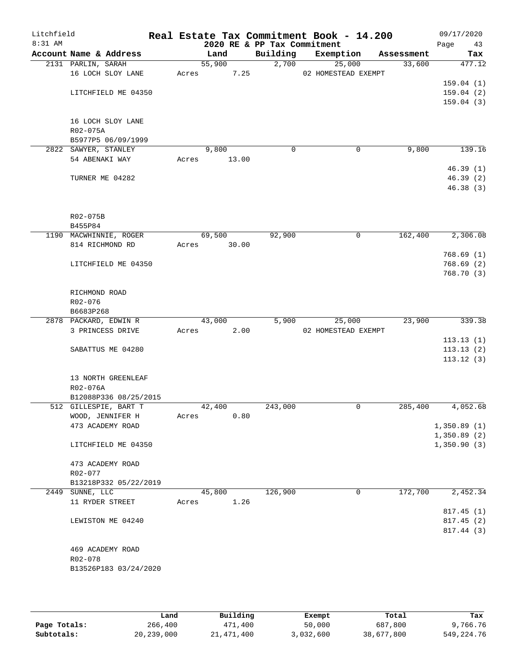| Litchfield<br>8:31 AM |                      |                        |       |        | 2020 RE & PP Tax Commitment | Real Estate Tax Commitment Book - 14.200 |            | 09/17/2020<br>Page<br>43 |
|-----------------------|----------------------|------------------------|-------|--------|-----------------------------|------------------------------------------|------------|--------------------------|
|                       |                      | Account Name & Address |       | Land   | Building                    | Exemption                                | Assessment | Tax                      |
|                       | 2131 PARLIN, SARAH   |                        |       | 55,900 |                             | 2,700<br>25,000                          | 33,600     | 477.12                   |
|                       |                      | 16 LOCH SLOY LANE      | Acres | 7.25   |                             | 02 HOMESTEAD EXEMPT                      |            |                          |
|                       |                      |                        |       |        |                             |                                          |            | 159.04(1)                |
|                       |                      | LITCHFIELD ME 04350    |       |        |                             |                                          |            | 159.04(2)                |
|                       |                      |                        |       |        |                             |                                          |            | 159.04(3)                |
|                       |                      |                        |       |        |                             |                                          |            |                          |
|                       |                      | 16 LOCH SLOY LANE      |       |        |                             |                                          |            |                          |
|                       | R02-075A             |                        |       |        |                             |                                          |            |                          |
|                       |                      | B5977P5 06/09/1999     |       |        |                             |                                          |            |                          |
|                       | 2822 SAWYER, STANLEY |                        |       | 9,800  | 0                           | 0                                        | 9,800      | 139.16                   |
|                       | 54 ABENAKI WAY       |                        | Acres | 13.00  |                             |                                          |            |                          |
|                       | TURNER ME 04282      |                        |       |        |                             |                                          |            | 46.39(1)<br>46.39(2)     |
|                       |                      |                        |       |        |                             |                                          |            | 46.38(3)                 |
|                       |                      |                        |       |        |                             |                                          |            |                          |
|                       |                      |                        |       |        |                             |                                          |            |                          |
|                       | R02-075B             |                        |       |        |                             |                                          |            |                          |
|                       | B455P84              |                        |       |        |                             |                                          |            |                          |
|                       |                      | 1190 MACWHINNIE, ROGER |       | 69,500 | 92,900                      | 0                                        | 162,400    | 2,306.08                 |
|                       | 814 RICHMOND RD      |                        | Acres | 30.00  |                             |                                          |            |                          |
|                       |                      |                        |       |        |                             |                                          |            | 768.69(1)                |
|                       |                      | LITCHFIELD ME 04350    |       |        |                             |                                          |            | 768.69(2)                |
|                       |                      |                        |       |        |                             |                                          |            | 768.70 (3)               |
|                       |                      |                        |       |        |                             |                                          |            |                          |
|                       | RICHMOND ROAD        |                        |       |        |                             |                                          |            |                          |
|                       | R02-076              |                        |       |        |                             |                                          |            |                          |
|                       | B6683P268            |                        |       |        |                             |                                          |            |                          |
|                       |                      | 2878 PACKARD, EDWIN R  |       | 43,000 | 5,900                       | 25,000                                   | 23,900     | 339.38                   |
|                       |                      | 3 PRINCESS DRIVE       | Acres | 2.00   |                             | 02 HOMESTEAD EXEMPT                      |            |                          |
|                       |                      |                        |       |        |                             |                                          |            | 113.13(1)                |
|                       |                      | SABATTUS ME 04280      |       |        |                             |                                          |            | 113.13(2)                |
|                       |                      |                        |       |        |                             |                                          |            | 113.12(3)                |
|                       |                      |                        |       |        |                             |                                          |            |                          |
|                       |                      | 13 NORTH GREENLEAF     |       |        |                             |                                          |            |                          |
|                       | R02-076A             | B12088P336 08/25/2015  |       |        |                             |                                          |            |                          |
|                       |                      | 512 GILLESPIE, BART T  |       | 42,400 | 243,000                     | 0                                        | 285,400    | 4,052.68                 |
|                       |                      | WOOD, JENNIFER H       | Acres | 0.80   |                             |                                          |            |                          |
|                       |                      | 473 ACADEMY ROAD       |       |        |                             |                                          |            | 1,350.89(1)              |
|                       |                      |                        |       |        |                             |                                          |            | 1,350.89(2)              |
|                       |                      | LITCHFIELD ME 04350    |       |        |                             |                                          |            | 1,350.90(3)              |
|                       |                      |                        |       |        |                             |                                          |            |                          |
|                       |                      | 473 ACADEMY ROAD       |       |        |                             |                                          |            |                          |
|                       | R02-077              |                        |       |        |                             |                                          |            |                          |
|                       |                      | B13218P332 05/22/2019  |       |        |                             |                                          |            |                          |
|                       | 2449 SUNNE, LLC      |                        |       | 45,800 | 126,900                     | 0                                        | 172,700    | 2,452.34                 |
|                       | 11 RYDER STREET      |                        | Acres | 1.26   |                             |                                          |            |                          |
|                       |                      |                        |       |        |                             |                                          |            | 817.45(1)                |
|                       |                      | LEWISTON ME 04240      |       |        |                             |                                          |            | 817.45 (2)               |
|                       |                      |                        |       |        |                             |                                          |            | 817.44 (3)               |
|                       |                      |                        |       |        |                             |                                          |            |                          |
|                       |                      | 469 ACADEMY ROAD       |       |        |                             |                                          |            |                          |
|                       | R02-078              |                        |       |        |                             |                                          |            |                          |
|                       |                      | B13526P183 03/24/2020  |       |        |                             |                                          |            |                          |
|                       |                      |                        |       |        |                             |                                          |            |                          |

|              | Land       | Building     | Exempt    | Total      | Tax          |
|--------------|------------|--------------|-----------|------------|--------------|
| Page Totals: | 266,400    | 471,400      | 50,000    | 687,800    | 9,766.76     |
| Subtotals:   | 20,239,000 | 21, 471, 400 | 3,032,600 | 38,677,800 | 549, 224, 76 |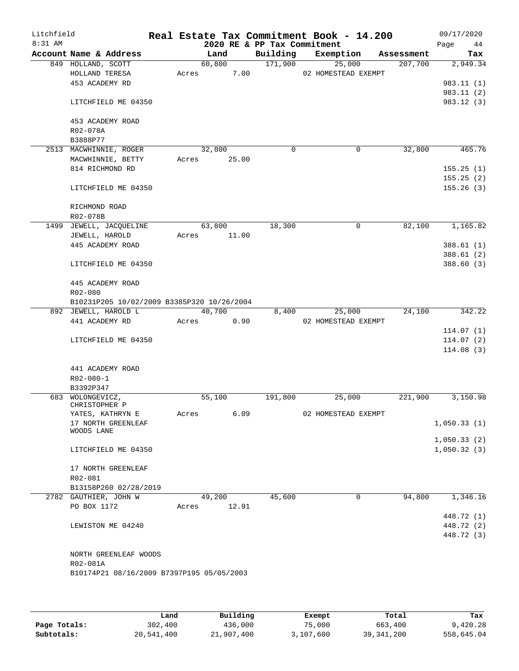| Litchfield<br>8:31 AM |                                            |       |        | 2020 RE & PP Tax Commitment | Real Estate Tax Commitment Book - 14.200 |            | 09/17/2020<br>Page<br>44 |
|-----------------------|--------------------------------------------|-------|--------|-----------------------------|------------------------------------------|------------|--------------------------|
|                       | Account Name & Address                     |       | Land   | Building                    | Exemption                                | Assessment | Tax                      |
|                       | 849 HOLLAND, SCOTT                         |       | 60,800 | 171,900                     | 25,000                                   | 207,700    | 2,949.34                 |
|                       | HOLLAND TERESA                             | Acres | 7.00   |                             | 02 HOMESTEAD EXEMPT                      |            |                          |
|                       | 453 ACADEMY RD                             |       |        |                             |                                          |            | 983.11(1)                |
|                       |                                            |       |        |                             |                                          |            | 983.11(2)                |
|                       | LITCHFIELD ME 04350                        |       |        |                             |                                          |            | 983.12 (3)               |
|                       | 453 ACADEMY ROAD                           |       |        |                             |                                          |            |                          |
|                       | R02-078A                                   |       |        |                             |                                          |            |                          |
|                       | B3888P77                                   |       |        |                             |                                          |            |                          |
|                       | 2513 MACWHINNIE, ROGER                     |       | 32,800 | $\mathbf 0$                 | $\mathbf 0$                              | 32,800     | 465.76                   |
|                       | MACWHINNIE, BETTY                          | Acres | 25.00  |                             |                                          |            |                          |
|                       | 814 RICHMOND RD                            |       |        |                             |                                          |            | 155.25(1)                |
|                       | LITCHFIELD ME 04350                        |       |        |                             |                                          |            | 155.25(2)                |
|                       |                                            |       |        |                             |                                          |            | 155.26(3)                |
|                       | RICHMOND ROAD                              |       |        |                             |                                          |            |                          |
|                       | R02-078B                                   |       |        |                             |                                          |            |                          |
|                       | 1499 JEWELL, JACQUELINE                    |       | 63,800 | 18,300                      | $\mathbf 0$                              | 82,100     | 1,165.82                 |
|                       | JEWELL, HAROLD                             | Acres | 11.00  |                             |                                          |            |                          |
|                       | 445 ACADEMY ROAD                           |       |        |                             |                                          |            | 388.61(1)                |
|                       |                                            |       |        |                             |                                          |            | 388.61(2)                |
|                       | LITCHFIELD ME 04350                        |       |        |                             |                                          |            | 388.60(3)                |
|                       | 445 ACADEMY ROAD                           |       |        |                             |                                          |            |                          |
|                       | R02-080                                    |       |        |                             |                                          |            |                          |
|                       | B10231P205 10/02/2009 B3385P320 10/26/2004 |       |        |                             |                                          |            |                          |
|                       | 892 JEWELL, HAROLD L                       |       | 40,700 | 8,400                       | 25,000                                   | 24,100     | 342.22                   |
|                       | 441 ACADEMY RD                             | Acres | 0.90   |                             | 02 HOMESTEAD EXEMPT                      |            |                          |
|                       |                                            |       |        |                             |                                          |            | 114.07(1)                |
|                       | LITCHFIELD ME 04350                        |       |        |                             |                                          |            | 114.07(2)                |
|                       |                                            |       |        |                             |                                          |            | 114.08(3)                |
|                       | 441 ACADEMY ROAD                           |       |        |                             |                                          |            |                          |
|                       | $R02 - 080 - 1$                            |       |        |                             |                                          |            |                          |
|                       | B3392P347                                  |       |        |                             |                                          |            |                          |
|                       | 683 WOLONGEVICZ,                           |       | 55,100 | 191,800                     | 25,000                                   | 221,900    | 3,150.98                 |
|                       | CHRISTOPHER P                              |       |        |                             |                                          |            |                          |
|                       | YATES, KATHRYN E<br>17 NORTH GREENLEAF     | Acres | 6.09   |                             | 02 HOMESTEAD EXEMPT                      |            |                          |
|                       | WOODS LANE                                 |       |        |                             |                                          |            | 1,050.33(1)              |
|                       |                                            |       |        |                             |                                          |            | 1,050.33(2)              |
|                       | LITCHFIELD ME 04350                        |       |        |                             |                                          |            | 1,050.32(3)              |
|                       |                                            |       |        |                             |                                          |            |                          |
|                       | 17 NORTH GREENLEAF<br>R02-081              |       |        |                             |                                          |            |                          |
|                       | B13158P260 02/28/2019                      |       |        |                             |                                          |            |                          |
|                       | 2782 GAUTHIER, JOHN W                      |       | 49,200 | 45,600                      | $\mathbf 0$                              | 94,800     | 1,346.16                 |
|                       | PO BOX 1172                                | Acres | 12.91  |                             |                                          |            |                          |
|                       |                                            |       |        |                             |                                          |            | 448.72 (1)               |
|                       | LEWISTON ME 04240                          |       |        |                             |                                          |            | 448.72 (2)               |
|                       |                                            |       |        |                             |                                          |            | 448.72 (3)               |
|                       |                                            |       |        |                             |                                          |            |                          |
|                       | NORTH GREENLEAF WOODS                      |       |        |                             |                                          |            |                          |
|                       | R02-081A                                   |       |        |                             |                                          |            |                          |
|                       | B10174P21 08/16/2009 B7397P195 05/05/2003  |       |        |                             |                                          |            |                          |
|                       |                                            |       |        |                             |                                          |            |                          |
|                       |                                            |       |        |                             |                                          |            |                          |

|              | Land       | Building   | Exempt    | Total        | Tax        |
|--------------|------------|------------|-----------|--------------|------------|
| Page Totals: | 302,400    | 436,000    | 75,000    | 663,400      | 9,420.28   |
| Subtotals:   | 20,541,400 | 21,907,400 | 3,107,600 | 39, 341, 200 | 558,645.04 |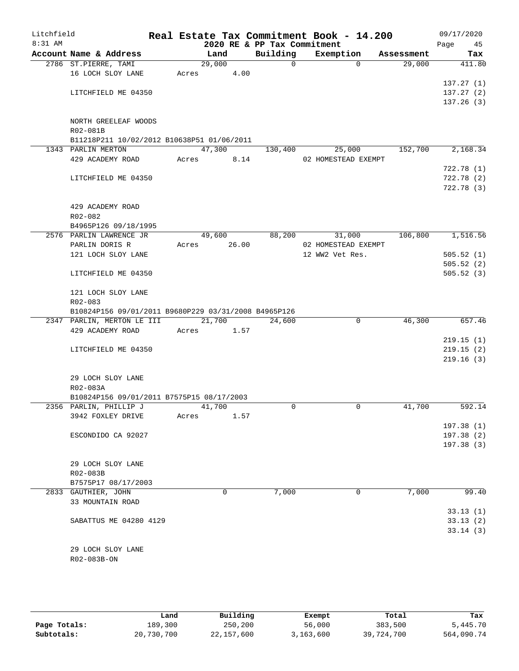| Litchfield<br>8:31 AM |                                                      |       |                 | 2020 RE & PP Tax Commitment | Real Estate Tax Commitment Book - 14.200 |            | 09/17/2020<br>Page<br>45 |
|-----------------------|------------------------------------------------------|-------|-----------------|-----------------------------|------------------------------------------|------------|--------------------------|
|                       | Account Name & Address                               |       | Land            | Building                    | Exemption                                | Assessment | Tax                      |
|                       | 2786 ST.PIERRE, TAMI                                 |       | 29,000          | $\mathbf 0$                 | $\Omega$                                 | 29,000     | 411.80                   |
|                       | 16 LOCH SLOY LANE                                    | Acres | 4.00            |                             |                                          |            |                          |
|                       |                                                      |       |                 |                             |                                          |            | 137.27(1)                |
|                       | LITCHFIELD ME 04350                                  |       |                 |                             |                                          |            | 137.27(2)                |
|                       |                                                      |       |                 |                             |                                          |            | 137.26(3)                |
|                       |                                                      |       |                 |                             |                                          |            |                          |
|                       | NORTH GREELEAF WOODS                                 |       |                 |                             |                                          |            |                          |
|                       | R02-081B                                             |       |                 |                             |                                          |            |                          |
|                       | B11218P211 10/02/2012 B10638P51 01/06/2011           |       |                 |                             |                                          |            |                          |
|                       | 1343 PARLIN MERTON                                   |       | 47,300          | 130,400                     | 25,000                                   | 152,700    | 2,168.34                 |
|                       | 429 ACADEMY ROAD                                     | Acres | 8.14            |                             | 02 HOMESTEAD EXEMPT                      |            |                          |
|                       |                                                      |       |                 |                             |                                          |            | 722.78(1)                |
|                       | LITCHFIELD ME 04350                                  |       |                 |                             |                                          |            | 722.78(2)                |
|                       |                                                      |       |                 |                             |                                          |            | 722.78 (3)               |
|                       |                                                      |       |                 |                             |                                          |            |                          |
|                       | 429 ACADEMY ROAD                                     |       |                 |                             |                                          |            |                          |
|                       | R02-082                                              |       |                 |                             |                                          |            |                          |
|                       | B4965P126 09/18/1995<br>2576 PARLIN LAWRENCE JR      |       |                 | 88,200                      |                                          | 106,800    | 1,516.56                 |
|                       |                                                      | Acres | 49,600<br>26.00 |                             | 31,000                                   |            |                          |
|                       | PARLIN DORIS R                                       |       |                 |                             | 02 HOMESTEAD EXEMPT<br>12 WW2 Vet Res.   |            |                          |
|                       | 121 LOCH SLOY LANE                                   |       |                 |                             |                                          |            | 505.52(1)                |
|                       | LITCHFIELD ME 04350                                  |       |                 |                             |                                          |            | 505.52(2)<br>505.52(3)   |
|                       |                                                      |       |                 |                             |                                          |            |                          |
|                       | 121 LOCH SLOY LANE                                   |       |                 |                             |                                          |            |                          |
|                       | R02-083                                              |       |                 |                             |                                          |            |                          |
|                       | B10824P156 09/01/2011 B9680P229 03/31/2008 B4965P126 |       |                 |                             |                                          |            |                          |
|                       | 2347 PARLIN, MERTON LE III                           |       | 21,700          | 24,600                      | 0                                        | 46,300     | 657.46                   |
|                       | 429 ACADEMY ROAD                                     | Acres | 1.57            |                             |                                          |            |                          |
|                       |                                                      |       |                 |                             |                                          |            | 219.15(1)                |
|                       | LITCHFIELD ME 04350                                  |       |                 |                             |                                          |            | 219.15(2)                |
|                       |                                                      |       |                 |                             |                                          |            | 219.16(3)                |
|                       |                                                      |       |                 |                             |                                          |            |                          |
|                       | 29 LOCH SLOY LANE                                    |       |                 |                             |                                          |            |                          |
|                       | R02-083A                                             |       |                 |                             |                                          |            |                          |
|                       | B10824P156 09/01/2011 B7575P15 08/17/2003            |       |                 |                             |                                          |            |                          |
|                       | 2356 PARLIN, PHILLIP J                               |       | 41,700          | $\Omega$                    | 0                                        | 41,700     | 592.14                   |
|                       | 3942 FOXLEY DRIVE                                    | Acres | 1.57            |                             |                                          |            |                          |
|                       |                                                      |       |                 |                             |                                          |            | 197.38(1)                |
|                       | ESCONDIDO CA 92027                                   |       |                 |                             |                                          |            | 197.38(2)                |
|                       |                                                      |       |                 |                             |                                          |            | 197.38(3)                |
|                       |                                                      |       |                 |                             |                                          |            |                          |
|                       | 29 LOCH SLOY LANE                                    |       |                 |                             |                                          |            |                          |
|                       | R02-083B                                             |       |                 |                             |                                          |            |                          |
|                       | B7575P17 08/17/2003                                  |       |                 |                             |                                          |            |                          |
|                       | 2833 GAUTHIER, JOHN                                  |       | 0               | 7,000                       | 0                                        | 7,000      | 99.40                    |
|                       | 33 MOUNTAIN ROAD                                     |       |                 |                             |                                          |            |                          |
|                       |                                                      |       |                 |                             |                                          |            | 33.13(1)                 |
|                       | SABATTUS ME 04280 4129                               |       |                 |                             |                                          |            | 33.13(2)                 |
|                       |                                                      |       |                 |                             |                                          |            | 33.14(3)                 |
|                       |                                                      |       |                 |                             |                                          |            |                          |
|                       | 29 LOCH SLOY LANE                                    |       |                 |                             |                                          |            |                          |
|                       | R02-083B-ON                                          |       |                 |                             |                                          |            |                          |
|                       |                                                      |       |                 |                             |                                          |            |                          |

|              | Land       | Building   | Exempt    | Total      | Tax        |
|--------------|------------|------------|-----------|------------|------------|
| Page Totals: | 189,300    | 250,200    | 56,000    | 383,500    | 5,445.70   |
| Subtotals:   | 20,730,700 | 22,157,600 | 3,163,600 | 39,724,700 | 564,090.74 |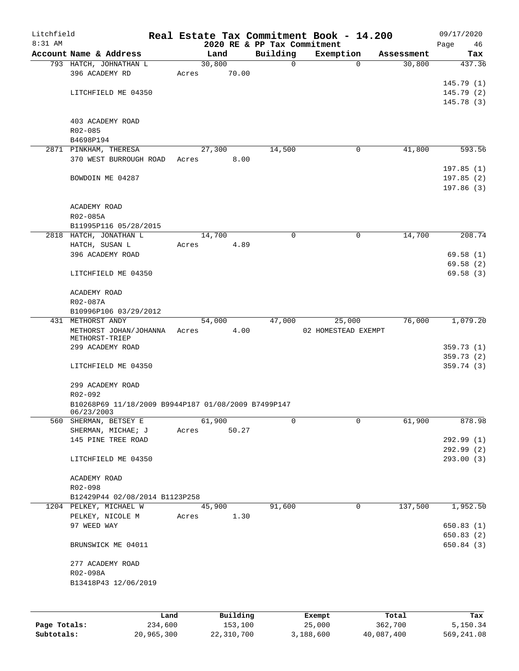| Litchfield<br>8:31 AM |                                                     |       |          |                                         | Real Estate Tax Commitment Book - 14.200 |            | 09/17/2020              |
|-----------------------|-----------------------------------------------------|-------|----------|-----------------------------------------|------------------------------------------|------------|-------------------------|
|                       | Account Name & Address                              |       | Land     | 2020 RE & PP Tax Commitment<br>Building | Exemption                                | Assessment | Page<br>46<br>Tax       |
|                       | 793 HATCH, JOHNATHAN L                              |       | 30,800   | $\mathbf 0$                             | $\Omega$                                 | 30,800     | 437.36                  |
|                       | 396 ACADEMY RD                                      | Acres | 70.00    |                                         |                                          |            |                         |
|                       |                                                     |       |          |                                         |                                          |            | 145.79(1)               |
|                       | LITCHFIELD ME 04350                                 |       |          |                                         |                                          |            | 145.79(2)               |
|                       |                                                     |       |          |                                         |                                          |            | 145.78 (3)              |
|                       |                                                     |       |          |                                         |                                          |            |                         |
|                       | 403 ACADEMY ROAD<br>R02-085                         |       |          |                                         |                                          |            |                         |
|                       | B4698P194                                           |       |          |                                         |                                          |            |                         |
|                       | 2871 PINKHAM, THERESA                               |       | 27,300   | 14,500                                  | 0                                        | 41,800     | 593.56                  |
|                       | 370 WEST BURROUGH ROAD                              | Acres | 8.00     |                                         |                                          |            |                         |
|                       |                                                     |       |          |                                         |                                          |            | 197.85(1)               |
|                       | BOWDOIN ME 04287                                    |       |          |                                         |                                          |            | 197.85(2)               |
|                       |                                                     |       |          |                                         |                                          |            | 197.86(3)               |
|                       |                                                     |       |          |                                         |                                          |            |                         |
|                       | ACADEMY ROAD<br>R02-085A                            |       |          |                                         |                                          |            |                         |
|                       | B11995P116 05/28/2015                               |       |          |                                         |                                          |            |                         |
|                       | 2818 HATCH, JONATHAN L                              |       | 14,700   | 0                                       | 0                                        | 14,700     | 208.74                  |
|                       | HATCH, SUSAN L                                      | Acres | 4.89     |                                         |                                          |            |                         |
|                       | 396 ACADEMY ROAD                                    |       |          |                                         |                                          |            | 69.58(1)                |
|                       |                                                     |       |          |                                         |                                          |            | 69.58(2)                |
|                       | LITCHFIELD ME 04350                                 |       |          |                                         |                                          |            | 69.58(3)                |
|                       | ACADEMY ROAD                                        |       |          |                                         |                                          |            |                         |
|                       | R02-087A                                            |       |          |                                         |                                          |            |                         |
|                       | B10996P106 03/29/2012                               |       |          |                                         |                                          |            |                         |
|                       | 431 METHORST ANDY                                   |       | 54,000   | 47,000                                  | 25,000                                   | 76,000     | 1,079.20                |
|                       | METHORST JOHAN/JOHANNA                              | Acres | 4.00     |                                         | 02 HOMESTEAD EXEMPT                      |            |                         |
|                       | METHORST-TRIEP                                      |       |          |                                         |                                          |            |                         |
|                       | 299 ACADEMY ROAD                                    |       |          |                                         |                                          |            | 359.73(1)<br>359.73 (2) |
|                       | LITCHFIELD ME 04350                                 |       |          |                                         |                                          |            | 359.74(3)               |
|                       |                                                     |       |          |                                         |                                          |            |                         |
|                       | 299 ACADEMY ROAD                                    |       |          |                                         |                                          |            |                         |
|                       | R02-092                                             |       |          |                                         |                                          |            |                         |
|                       | B10268P69 11/18/2009 B9944P187 01/08/2009 B7499P147 |       |          |                                         |                                          |            |                         |
| 560                   | 06/23/2003<br>SHERMAN, BETSEY E                     |       | 61,900   | 0                                       | $\Omega$                                 | 61,900     | 878.98                  |
|                       | SHERMAN, MICHAE; J                                  | Acres | 50.27    |                                         |                                          |            |                         |
|                       | 145 PINE TREE ROAD                                  |       |          |                                         |                                          |            | 292.99 (1)              |
|                       |                                                     |       |          |                                         |                                          |            | 292.99(2)               |
|                       | LITCHFIELD ME 04350                                 |       |          |                                         |                                          |            | 293.00(3)               |
|                       |                                                     |       |          |                                         |                                          |            |                         |
|                       | ACADEMY ROAD<br>R02-098                             |       |          |                                         |                                          |            |                         |
|                       | B12429P44 02/08/2014 B1123P258                      |       |          |                                         |                                          |            |                         |
|                       | 1204 PELKEY, MICHAEL W                              |       | 45,900   | 91,600                                  | $\mathbf 0$                              | 137,500    | 1,952.50                |
|                       | PELKEY, NICOLE M                                    | Acres | 1.30     |                                         |                                          |            |                         |
|                       | 97 WEED WAY                                         |       |          |                                         |                                          |            | 650.83(1)               |
|                       |                                                     |       |          |                                         |                                          |            | 650.83(2)               |
|                       | BRUNSWICK ME 04011                                  |       |          |                                         |                                          |            | 650.84(3)               |
|                       | 277 ACADEMY ROAD                                    |       |          |                                         |                                          |            |                         |
|                       | R02-098A                                            |       |          |                                         |                                          |            |                         |
|                       | B13418P43 12/06/2019                                |       |          |                                         |                                          |            |                         |
|                       |                                                     |       |          |                                         |                                          |            |                         |
|                       |                                                     |       |          |                                         |                                          |            |                         |
|                       | Land                                                |       | Building |                                         | Exempt                                   | Total      | Tax                     |
| Page Totals:          | 234,600                                             |       | 153,100  |                                         | 25,000                                   | 362,700    | 5,150.34                |

**Subtotals:** 20,965,300 22,310,700 3,188,600 40,087,400 569,241.08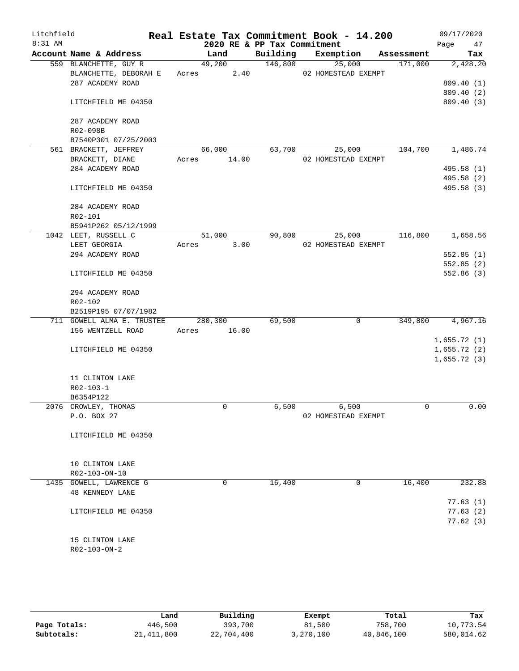| Litchfield<br>$8:31$ AM |                            |       |             | 2020 RE & PP Tax Commitment | Real Estate Tax Commitment Book - 14.200 |            | 09/17/2020<br>Page<br>47 |
|-------------------------|----------------------------|-------|-------------|-----------------------------|------------------------------------------|------------|--------------------------|
|                         | Account Name & Address     |       | Land        |                             | Building Exemption                       | Assessment | Tax                      |
|                         | 559 BLANCHETTE, GUY R      |       | 49,200      | 146,800                     | 25,000                                   | 171,000    | 2,428.20                 |
|                         | BLANCHETTE, DEBORAH E      |       | Acres 2.40  |                             | 02 HOMESTEAD EXEMPT                      |            |                          |
|                         | 287 ACADEMY ROAD           |       |             |                             |                                          |            | 809.40 (1)               |
|                         |                            |       |             |                             |                                          |            | 809.40 (2)               |
|                         | LITCHFIELD ME 04350        |       |             |                             |                                          |            | 809.40 (3)               |
|                         | 287 ACADEMY ROAD           |       |             |                             |                                          |            |                          |
|                         | R02-098B                   |       |             |                             |                                          |            |                          |
|                         | B7540P301 07/25/2003       |       |             |                             |                                          |            |                          |
|                         | 561 BRACKETT, JEFFREY      |       | 66,000      | 63,700                      | 25,000                                   | 104,700    | 1,486.74                 |
|                         | BRACKETT, DIANE            |       | Acres 14.00 |                             | 02 HOMESTEAD EXEMPT                      |            |                          |
|                         | 284 ACADEMY ROAD           |       |             |                             |                                          |            | 495.58 (1)               |
|                         |                            |       |             |                             |                                          |            | 495.58 (2)               |
|                         | LITCHFIELD ME 04350        |       |             |                             |                                          |            | 495.58 (3)               |
|                         | 284 ACADEMY ROAD           |       |             |                             |                                          |            |                          |
|                         | R02-101                    |       |             |                             |                                          |            |                          |
|                         | B5941P262 05/12/1999       |       |             |                             |                                          |            |                          |
|                         | 1042 LEET, RUSSELL C       |       | 51,000      | 90,800                      | 25,000                                   | 116,800    | 1,658.56                 |
|                         | LEET GEORGIA               | Acres | 3.00        |                             | 02 HOMESTEAD EXEMPT                      |            |                          |
|                         | 294 ACADEMY ROAD           |       |             |                             |                                          |            | 552.85(1)                |
|                         |                            |       |             |                             |                                          |            | 552.85(2)                |
|                         | LITCHFIELD ME 04350        |       |             |                             |                                          |            | 552.86(3)                |
|                         | 294 ACADEMY ROAD           |       |             |                             |                                          |            |                          |
|                         | R02-102                    |       |             |                             |                                          |            |                          |
|                         | B2519P195 07/07/1982       |       |             |                             |                                          |            |                          |
|                         | 711 GOWELL ALMA E. TRUSTEE |       | 280,300     | 69,500                      | $\mathbf 0$                              | 349,800    | 4,967.16                 |
|                         | 156 WENTZELL ROAD          | Acres | 16.00       |                             |                                          |            |                          |
|                         |                            |       |             |                             |                                          |            | 1,655.72(1)              |
|                         | LITCHFIELD ME 04350        |       |             |                             |                                          |            | 1,655.72(2)              |
|                         |                            |       |             |                             |                                          |            | 1,655.72(3)              |
|                         | 11 CLINTON LANE            |       |             |                             |                                          |            |                          |
|                         | R02-103-1                  |       |             |                             |                                          |            |                          |
|                         | B6354P122                  |       |             |                             |                                          |            |                          |
|                         | 2076 CROWLEY, THOMAS       |       | 0           | 6,500                       | 6,500                                    | 0          | 0.00                     |
|                         | P.O. BOX 27                |       |             |                             | 02 HOMESTEAD EXEMPT                      |            |                          |
|                         | LITCHFIELD ME 04350        |       |             |                             |                                          |            |                          |
|                         |                            |       |             |                             |                                          |            |                          |
|                         | 10 CLINTON LANE            |       |             |                             |                                          |            |                          |
|                         | R02-103-ON-10              |       |             |                             |                                          |            |                          |
|                         | 1435 GOWELL, LAWRENCE G    |       | 0           | 16,400                      | 0                                        | 16,400     | 232.88                   |
|                         | <b>48 KENNEDY LANE</b>     |       |             |                             |                                          |            |                          |
|                         |                            |       |             |                             |                                          |            | 77.63(1)                 |
|                         | LITCHFIELD ME 04350        |       |             |                             |                                          |            | 77.63(2)                 |
|                         |                            |       |             |                             |                                          |            | 77.62(3)                 |
|                         | 15 CLINTON LANE            |       |             |                             |                                          |            |                          |
|                         | R02-103-ON-2               |       |             |                             |                                          |            |                          |
|                         |                            |       |             |                             |                                          |            |                          |
|                         |                            |       |             |                             |                                          |            |                          |

|              | Land         | Building   | Exempt    | Total      | Tax        |
|--------------|--------------|------------|-----------|------------|------------|
| Page Totals: | 446,500      | 393,700    | 81,500    | 758,700    | 10,773.54  |
| Subtotals:   | 21, 411, 800 | 22,704,400 | 3,270,100 | 40,846,100 | 580,014.62 |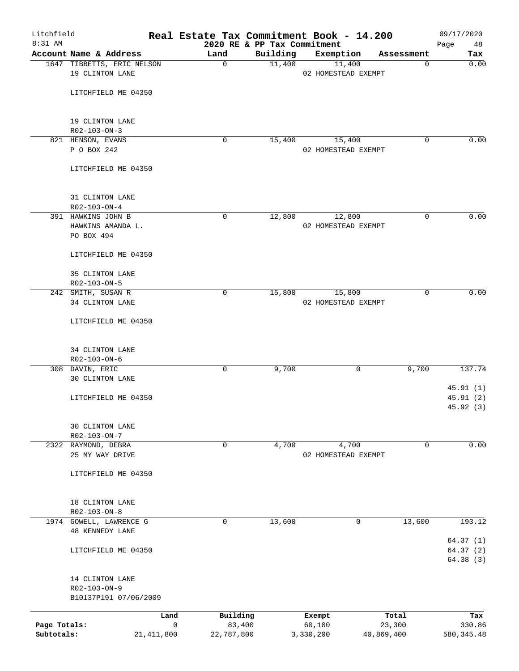| Litchfield<br>8:31 AM |                                                   |              |                    |                                         | Real Estate Tax Commitment Book - 14.200 |                 | 09/17/2020           |
|-----------------------|---------------------------------------------------|--------------|--------------------|-----------------------------------------|------------------------------------------|-----------------|----------------------|
|                       | Account Name & Address                            |              | Land               | 2020 RE & PP Tax Commitment<br>Building | Exemption                                | Assessment      | 48<br>Page<br>Tax    |
|                       | 1647 TIBBETTS, ERIC NELSON                        |              | 0                  | 11,400                                  | 11,400                                   | 0               | 0.00                 |
|                       | 19 CLINTON LANE                                   |              |                    |                                         | 02 HOMESTEAD EXEMPT                      |                 |                      |
|                       | LITCHFIELD ME 04350                               |              |                    |                                         |                                          |                 |                      |
|                       |                                                   |              |                    |                                         |                                          |                 |                      |
|                       | 19 CLINTON LANE<br>R02-103-ON-3                   |              |                    |                                         |                                          |                 |                      |
|                       | 821 HENSON, EVANS                                 |              | 0                  | 15,400                                  | 15,400                                   | 0               | 0.00                 |
|                       | P O BOX 242                                       |              |                    |                                         | 02 HOMESTEAD EXEMPT                      |                 |                      |
|                       | LITCHFIELD ME 04350                               |              |                    |                                         |                                          |                 |                      |
|                       | 31 CLINTON LANE                                   |              |                    |                                         |                                          |                 |                      |
|                       | R02-103-ON-4                                      |              |                    |                                         |                                          |                 |                      |
|                       | 391 HAWKINS JOHN B                                |              | 0                  | 12,800                                  | 12,800                                   | 0               | 0.00                 |
|                       | HAWKINS AMANDA L.                                 |              |                    |                                         | 02 HOMESTEAD EXEMPT                      |                 |                      |
|                       | PO BOX 494                                        |              |                    |                                         |                                          |                 |                      |
|                       | LITCHFIELD ME 04350                               |              |                    |                                         |                                          |                 |                      |
|                       | 35 CLINTON LANE                                   |              |                    |                                         |                                          |                 |                      |
|                       | R02-103-ON-5                                      |              |                    |                                         |                                          |                 |                      |
|                       | 242 SMITH, SUSAN R                                |              | 0                  | 15,800                                  | 15,800                                   | 0               | 0.00                 |
|                       | 34 CLINTON LANE                                   |              |                    |                                         | 02 HOMESTEAD EXEMPT                      |                 |                      |
|                       | LITCHFIELD ME 04350                               |              |                    |                                         |                                          |                 |                      |
|                       | 34 CLINTON LANE                                   |              |                    |                                         |                                          |                 |                      |
|                       | R02-103-ON-6                                      |              |                    |                                         |                                          |                 |                      |
|                       | 308 DAVIN, ERIC                                   |              | 0                  | 9,700                                   | 0                                        | 9,700           | 137.74               |
|                       | 30 CLINTON LANE                                   |              |                    |                                         |                                          |                 |                      |
|                       | LITCHFIELD ME 04350                               |              |                    |                                         |                                          |                 | 45.91(1)<br>45.91(2) |
|                       |                                                   |              |                    |                                         |                                          |                 | 45.92(3)             |
|                       | 30 CLINTON LANE                                   |              |                    |                                         |                                          |                 |                      |
|                       | $R02 - 103 - ON - 7$                              |              |                    |                                         |                                          |                 |                      |
|                       | 2322 RAYMOND, DEBRA                               |              | 0                  | 4,700                                   | 4,700                                    | 0               | 0.00                 |
|                       | 25 MY WAY DRIVE                                   |              |                    |                                         | 02 HOMESTEAD EXEMPT                      |                 |                      |
|                       | LITCHFIELD ME 04350                               |              |                    |                                         |                                          |                 |                      |
|                       | 18 CLINTON LANE                                   |              |                    |                                         |                                          |                 |                      |
|                       | $R02 - 103 - ON - 8$                              |              |                    |                                         |                                          |                 |                      |
|                       | 1974 GOWELL, LAWRENCE G<br><b>48 KENNEDY LANE</b> |              | 0                  | 13,600                                  | 0                                        | 13,600          | 193.12               |
|                       |                                                   |              |                    |                                         |                                          |                 | 64.37(1)             |
|                       | LITCHFIELD ME 04350                               |              |                    |                                         |                                          |                 | 64.37 (2)            |
|                       |                                                   |              |                    |                                         |                                          |                 | 64.38 (3)            |
|                       | 14 CLINTON LANE                                   |              |                    |                                         |                                          |                 |                      |
|                       | R02-103-ON-9<br>B10137P191 07/06/2009             |              |                    |                                         |                                          |                 |                      |
|                       |                                                   |              |                    |                                         |                                          |                 |                      |
| Page Totals:          |                                                   | Land<br>0    | Building<br>83,400 |                                         | Exempt<br>60,100                         | Total<br>23,300 | Tax<br>330.86        |
| Subtotals:            |                                                   | 21, 411, 800 | 22,787,800         |                                         | 3,330,200                                | 40,869,400      | 580, 345.48          |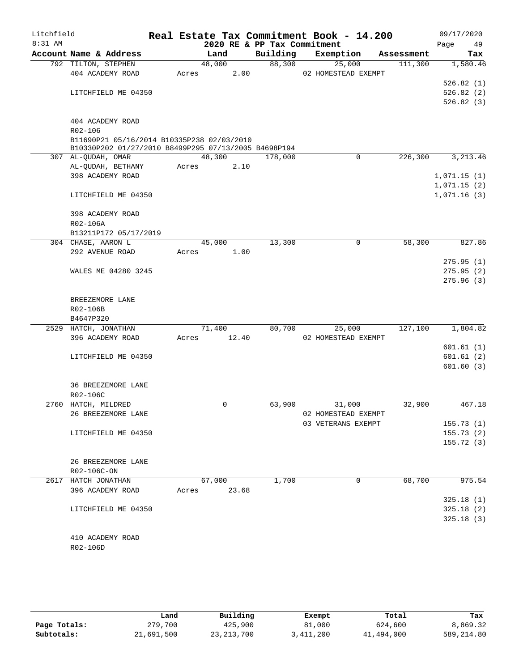| Litchfield |                                                      |       |        |       |                             | Real Estate Tax Commitment Book - 14.200 |            | 09/17/2020  |
|------------|------------------------------------------------------|-------|--------|-------|-----------------------------|------------------------------------------|------------|-------------|
| 8:31 AM    |                                                      |       |        |       | 2020 RE & PP Tax Commitment |                                          |            | Page<br>49  |
|            | Account Name & Address                               |       | Land   |       | Building                    | Exemption                                | Assessment | Tax         |
|            | 792 TILTON, STEPHEN<br>404 ACADEMY ROAD              |       | 48,000 |       | 88,300                      | 25,000                                   | 111,300    | 1,580.46    |
|            |                                                      | Acres |        | 2.00  |                             | 02 HOMESTEAD EXEMPT                      |            | 526.82(1)   |
|            | LITCHFIELD ME 04350                                  |       |        |       |                             |                                          |            | 526.82(2)   |
|            |                                                      |       |        |       |                             |                                          |            | 526.82(3)   |
|            |                                                      |       |        |       |                             |                                          |            |             |
|            | 404 ACADEMY ROAD                                     |       |        |       |                             |                                          |            |             |
|            | R02-106                                              |       |        |       |                             |                                          |            |             |
|            | B11690P21 05/16/2014 B10335P238 02/03/2010           |       |        |       |                             |                                          |            |             |
|            | B10330P202 01/27/2010 B8499P295 07/13/2005 B4698P194 |       |        |       |                             |                                          |            |             |
|            | 307 AL-QUDAH, OMAR                                   |       | 48,300 |       | 178,000                     | $\mathbf 0$                              | 226,300    | 3, 213.46   |
|            | AL-QUDAH, BETHANY                                    | Acres |        | 2.10  |                             |                                          |            |             |
|            | 398 ACADEMY ROAD                                     |       |        |       |                             |                                          |            | 1,071.15(1) |
|            |                                                      |       |        |       |                             |                                          |            | 1,071.15(2) |
|            | LITCHFIELD ME 04350                                  |       |        |       |                             |                                          |            | 1,071.16(3) |
|            |                                                      |       |        |       |                             |                                          |            |             |
|            | 398 ACADEMY ROAD                                     |       |        |       |                             |                                          |            |             |
|            | R02-106A                                             |       |        |       |                             |                                          |            |             |
|            | B13211P172 05/17/2019                                |       |        |       |                             |                                          |            |             |
|            | 304 CHASE, AARON L                                   |       | 45,000 |       | 13,300                      | 0                                        | 58,300     | 827.86      |
|            | 292 AVENUE ROAD                                      | Acres |        | 1.00  |                             |                                          |            |             |
|            |                                                      |       |        |       |                             |                                          |            | 275.95(1)   |
|            | WALES ME 04280 3245                                  |       |        |       |                             |                                          |            | 275.95(2)   |
|            |                                                      |       |        |       |                             |                                          |            | 275.96(3)   |
|            |                                                      |       |        |       |                             |                                          |            |             |
|            | BREEZEMORE LANE<br>R02-106B                          |       |        |       |                             |                                          |            |             |
|            | B4647P320                                            |       |        |       |                             |                                          |            |             |
|            | 2529 HATCH, JONATHAN                                 |       | 71,400 |       | 80,700                      | 25,000                                   | 127,100    | 1,804.82    |
|            | 396 ACADEMY ROAD                                     | Acres |        | 12.40 |                             | 02 HOMESTEAD EXEMPT                      |            |             |
|            |                                                      |       |        |       |                             |                                          |            | 601.61(1)   |
|            | LITCHFIELD ME 04350                                  |       |        |       |                             |                                          |            | 601.61(2)   |
|            |                                                      |       |        |       |                             |                                          |            | 601.60(3)   |
|            |                                                      |       |        |       |                             |                                          |            |             |
|            | 36 BREEZEMORE LANE                                   |       |        |       |                             |                                          |            |             |
|            | R02-106C                                             |       |        |       |                             |                                          |            |             |
|            | 2760 HATCH, MILDRED                                  |       | 0      |       | 63,900                      | 31,000                                   | 32,900     | 467.18      |
|            | 26 BREEZEMORE LANE                                   |       |        |       |                             | 02 HOMESTEAD EXEMPT                      |            |             |
|            |                                                      |       |        |       |                             | 03 VETERANS EXEMPT                       |            | 155.73(1)   |
|            | LITCHFIELD ME 04350                                  |       |        |       |                             |                                          |            | 155.73(2)   |
|            |                                                      |       |        |       |                             |                                          |            | 155.72 (3)  |
|            |                                                      |       |        |       |                             |                                          |            |             |
|            | 26 BREEZEMORE LANE                                   |       |        |       |                             |                                          |            |             |
|            | R02-106C-ON                                          |       |        |       |                             |                                          |            |             |
|            | 2617 HATCH JONATHAN                                  |       | 67,000 |       | 1,700                       | $\Omega$                                 | 68,700     | 975.54      |
|            | 396 ACADEMY ROAD                                     | Acres |        | 23.68 |                             |                                          |            |             |
|            |                                                      |       |        |       |                             |                                          |            | 325.18(1)   |
|            | LITCHFIELD ME 04350                                  |       |        |       |                             |                                          |            | 325.18(2)   |
|            |                                                      |       |        |       |                             |                                          |            | 325.18(3)   |
|            |                                                      |       |        |       |                             |                                          |            |             |
|            | 410 ACADEMY ROAD                                     |       |        |       |                             |                                          |            |             |
|            | R02-106D                                             |       |        |       |                             |                                          |            |             |

|              | Land       | Building     | Exempt    | Total      | Tax          |
|--------------|------------|--------------|-----------|------------|--------------|
| Page Totals: | 279,700    | 425,900      | 81,000    | 624,600    | 8,869.32     |
| Subtotals:   | 21,691,500 | 23, 213, 700 | 3,411,200 | 41,494,000 | 589, 214, 80 |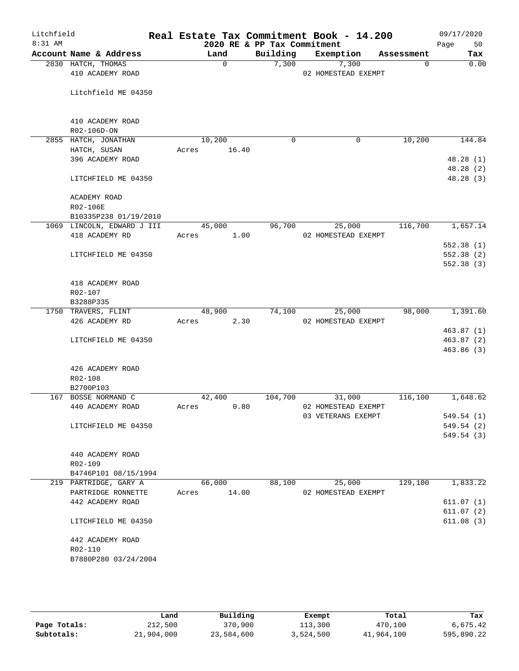| Litchfield |                                              | Real Estate Tax Commitment Book - 14.200 |                             |                     |                        | 09/17/2020              |
|------------|----------------------------------------------|------------------------------------------|-----------------------------|---------------------|------------------------|-------------------------|
| 8:31 AM    |                                              |                                          | 2020 RE & PP Tax Commitment |                     |                        | 50<br>Page              |
|            | Account Name & Address<br>2830 HATCH, THOMAS | Land<br>$\mathbf 0$                      | Building<br>7,300           | Exemption<br>7,300  | Assessment<br>$\Omega$ | Tax<br>0.00             |
|            | 410 ACADEMY ROAD                             |                                          |                             | 02 HOMESTEAD EXEMPT |                        |                         |
|            |                                              |                                          |                             |                     |                        |                         |
|            | Litchfield ME 04350                          |                                          |                             |                     |                        |                         |
|            |                                              |                                          |                             |                     |                        |                         |
|            |                                              |                                          |                             |                     |                        |                         |
|            | 410 ACADEMY ROAD<br>R02-106D-ON              |                                          |                             |                     |                        |                         |
|            | 2855 HATCH, JONATHAN                         | 10,200                                   | $\mathbf 0$                 | 0                   | 10,200                 | 144.84                  |
|            | HATCH, SUSAN                                 | 16.40<br>Acres                           |                             |                     |                        |                         |
|            | 396 ACADEMY ROAD                             |                                          |                             |                     |                        | 48.28(1)                |
|            |                                              |                                          |                             |                     |                        | 48.28(2)                |
|            | LITCHFIELD ME 04350                          |                                          |                             |                     |                        | 48.28(3)                |
|            | ACADEMY ROAD                                 |                                          |                             |                     |                        |                         |
|            | R02-106E                                     |                                          |                             |                     |                        |                         |
|            | B10335P238 01/19/2010                        |                                          |                             |                     |                        |                         |
|            | 1069 LINCOLN, EDWARD J III                   | 45,000                                   | 96,700                      | 25,000              | 116,700                | 1,657.14                |
|            | 418 ACADEMY RD                               | 1.00<br>Acres                            |                             | 02 HOMESTEAD EXEMPT |                        |                         |
|            |                                              |                                          |                             |                     |                        | 552.38(1)               |
|            | LITCHFIELD ME 04350                          |                                          |                             |                     |                        | 552.38 (2)<br>552.38(3) |
|            |                                              |                                          |                             |                     |                        |                         |
|            | 418 ACADEMY ROAD                             |                                          |                             |                     |                        |                         |
|            | R02-107                                      |                                          |                             |                     |                        |                         |
|            | B3288P335                                    |                                          |                             |                     |                        |                         |
|            | 1750 TRAVERS, FLINT                          | 48,900                                   | 74,100                      | 25,000              | 98,000                 | 1,391.60                |
|            | 426 ACADEMY RD                               | 2.30<br>Acres                            |                             | 02 HOMESTEAD EXEMPT |                        | 463.87(1)               |
|            | LITCHFIELD ME 04350                          |                                          |                             |                     |                        | 463.87(2)               |
|            |                                              |                                          |                             |                     |                        | 463.86(3)               |
|            |                                              |                                          |                             |                     |                        |                         |
|            | 426 ACADEMY ROAD                             |                                          |                             |                     |                        |                         |
|            | R02-108<br>B2700P103                         |                                          |                             |                     |                        |                         |
|            | 167 BOSSE NORMAND C                          | 42,400                                   | 104,700                     | 31,000              | 116,100                | 1,648.62                |
|            | 440 ACADEMY ROAD                             | 0.80<br>Acres                            |                             | 02 HOMESTEAD EXEMPT |                        |                         |
|            |                                              |                                          |                             | 03 VETERANS EXEMPT  |                        | 549.54 (1)              |
|            | LITCHFIELD ME 04350                          |                                          |                             |                     |                        | 549.54 (2)              |
|            |                                              |                                          |                             |                     |                        | 549.54 (3)              |
|            | 440 ACADEMY ROAD                             |                                          |                             |                     |                        |                         |
|            | R02-109                                      |                                          |                             |                     |                        |                         |
|            | B4746P101 08/15/1994                         |                                          |                             |                     |                        |                         |
|            | 219 PARTRIDGE, GARY A                        | 66,000                                   | 88,100                      | 25,000              | 129,100                | 1,833.22                |
|            | PARTRIDGE RONNETTE                           | 14.00<br>Acres                           |                             | 02 HOMESTEAD EXEMPT |                        |                         |
|            | 442 ACADEMY ROAD                             |                                          |                             |                     |                        | 611.07(1)               |
|            | LITCHFIELD ME 04350                          |                                          |                             |                     |                        | 611.07(2)<br>611.08(3)  |
|            |                                              |                                          |                             |                     |                        |                         |
|            | 442 ACADEMY ROAD                             |                                          |                             |                     |                        |                         |
|            | R02-110                                      |                                          |                             |                     |                        |                         |
|            | B7880P280 03/24/2004                         |                                          |                             |                     |                        |                         |
|            |                                              |                                          |                             |                     |                        |                         |

|              | Land       | Building   | Exempt    | Total      | Tax        |
|--------------|------------|------------|-----------|------------|------------|
| Page Totals: | 212,500    | 370,900    | 113,300   | 470,100    | 6.675.42   |
| Subtotals:   | 21,904,000 | 23,584,600 | 3,524,500 | 41,964,100 | 595,890.22 |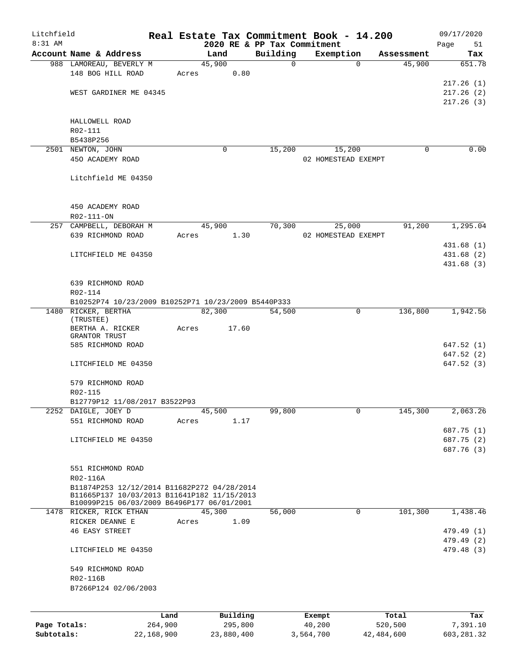| Litchfield   |                                                                                           |         |          |                             | Real Estate Tax Commitment Book - 14.200 |            | 09/17/2020 |
|--------------|-------------------------------------------------------------------------------------------|---------|----------|-----------------------------|------------------------------------------|------------|------------|
| 8:31 AM      |                                                                                           |         |          | 2020 RE & PP Tax Commitment |                                          |            | Page<br>51 |
|              | Account Name & Address                                                                    |         | Land     | Building                    | Exemption                                | Assessment | Tax        |
|              | 988 LAMOREAU, BEVERLY M                                                                   |         | 45,900   | $\mathbf 0$                 | $\Omega$                                 | 45,900     | 651.78     |
|              | 148 BOG HILL ROAD                                                                         | Acres   | 0.80     |                             |                                          |            |            |
|              |                                                                                           |         |          |                             |                                          |            | 217.26(1)  |
|              | WEST GARDINER ME 04345                                                                    |         |          |                             |                                          |            | 217.26(2)  |
|              |                                                                                           |         |          |                             |                                          |            | 217.26(3)  |
|              |                                                                                           |         |          |                             |                                          |            |            |
|              | HALLOWELL ROAD                                                                            |         |          |                             |                                          |            |            |
|              | R02-111                                                                                   |         |          |                             |                                          |            |            |
|              | B5438P256                                                                                 |         |          |                             |                                          |            |            |
|              | 2501 NEWTON, JOHN                                                                         |         | $\Omega$ | 15,200                      | 15,200                                   | $\Omega$   | 0.00       |
|              | 450 ACADEMY ROAD                                                                          |         |          |                             | 02 HOMESTEAD EXEMPT                      |            |            |
|              |                                                                                           |         |          |                             |                                          |            |            |
|              | Litchfield ME 04350                                                                       |         |          |                             |                                          |            |            |
|              |                                                                                           |         |          |                             |                                          |            |            |
|              |                                                                                           |         |          |                             |                                          |            |            |
|              | 450 ACADEMY ROAD                                                                          |         |          |                             |                                          |            |            |
|              | R02-111-ON                                                                                |         |          |                             |                                          |            |            |
|              | 257 CAMPBELL, DEBORAH M                                                                   |         | 45,900   | 70,300                      | 25,000                                   | 91,200     | 1,295.04   |
|              | 639 RICHMOND ROAD                                                                         | Acres   | 1.30     |                             | 02 HOMESTEAD EXEMPT                      |            |            |
|              |                                                                                           |         |          |                             |                                          |            | 431.68 (1) |
|              | LITCHFIELD ME 04350                                                                       |         |          |                             |                                          |            | 431.68(2)  |
|              |                                                                                           |         |          |                             |                                          |            | 431.68 (3) |
|              |                                                                                           |         |          |                             |                                          |            |            |
|              | 639 RICHMOND ROAD                                                                         |         |          |                             |                                          |            |            |
|              | R02-114                                                                                   |         |          |                             |                                          |            |            |
|              | B10252P74 10/23/2009 B10252P71 10/23/2009 B5440P333                                       |         |          |                             |                                          |            |            |
|              | 1480 RICKER, BERTHA                                                                       |         | 82,300   | 54,500                      | 0                                        | 136,800    | 1,942.56   |
|              | (TRUSTEE)                                                                                 |         |          |                             |                                          |            |            |
|              | BERTHA A. RICKER                                                                          | Acres   | 17.60    |                             |                                          |            |            |
|              | GRANTOR TRUST                                                                             |         |          |                             |                                          |            |            |
|              | 585 RICHMOND ROAD                                                                         |         |          |                             |                                          |            | 647.52(1)  |
|              |                                                                                           |         |          |                             |                                          |            | 647.52 (2) |
|              | LITCHFIELD ME 04350                                                                       |         |          |                             |                                          |            | 647.52(3)  |
|              |                                                                                           |         |          |                             |                                          |            |            |
|              | 579 RICHMOND ROAD                                                                         |         |          |                             |                                          |            |            |
|              | R02-115                                                                                   |         |          |                             |                                          |            |            |
|              | B12779P12 11/08/2017 B3522P93                                                             |         |          |                             |                                          |            |            |
|              | 2252 DAIGLE, JOEY D                                                                       |         | 45,500   | 99,800                      |                                          | 145,300    | 2,063.26   |
|              | 551 RICHMOND ROAD                                                                         | Acres   | 1.17     |                             |                                          |            |            |
|              |                                                                                           |         |          |                             |                                          |            | 687.75 (1) |
|              | LITCHFIELD ME 04350                                                                       |         |          |                             |                                          |            | 687.75 (2) |
|              |                                                                                           |         |          |                             |                                          |            | 687.76 (3) |
|              |                                                                                           |         |          |                             |                                          |            |            |
|              | 551 RICHMOND ROAD                                                                         |         |          |                             |                                          |            |            |
|              | R02-116A                                                                                  |         |          |                             |                                          |            |            |
|              | B11874P253 12/12/2014 B11682P272 04/28/2014                                               |         |          |                             |                                          |            |            |
|              | B11665P137 10/03/2013 B11641P182 11/15/2013<br>B10099P215 06/03/2009 B6496P177 06/01/2001 |         |          |                             |                                          |            |            |
|              | 1478 RICKER, RICK ETHAN                                                                   |         | 45,300   | 56,000                      | $\mathbf 0$                              | 101,300    | 1,438.46   |
|              | RICKER DEANNE E                                                                           | Acres   | 1.09     |                             |                                          |            |            |
|              | <b>46 EASY STREET</b>                                                                     |         |          |                             |                                          |            | 479.49 (1) |
|              |                                                                                           |         |          |                             |                                          |            | 479.49 (2) |
|              |                                                                                           |         |          |                             |                                          |            |            |
|              | LITCHFIELD ME 04350                                                                       |         |          |                             |                                          |            | 479.48 (3) |
|              |                                                                                           |         |          |                             |                                          |            |            |
|              | 549 RICHMOND ROAD                                                                         |         |          |                             |                                          |            |            |
|              | R02-116B                                                                                  |         |          |                             |                                          |            |            |
|              | B7266P124 02/06/2003                                                                      |         |          |                             |                                          |            |            |
|              |                                                                                           |         |          |                             |                                          |            |            |
|              |                                                                                           | Land    | Building |                             | Exempt                                   | Total      | Tax        |
| Page Totals: |                                                                                           | 264,900 | 295,800  |                             | 40,200                                   | 520,500    | 7,391.10   |
|              |                                                                                           |         |          |                             |                                          |            |            |

**Subtotals:** 22,168,900 23,880,400 3,564,700 42,484,600 603,281.32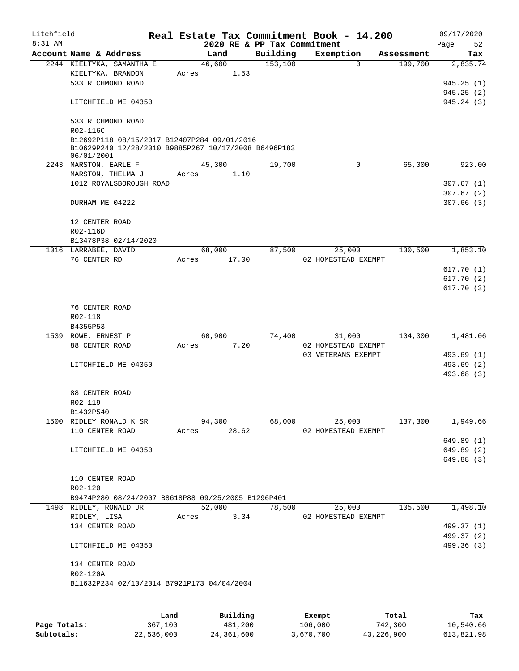| Litchfield<br>$8:31$ AM |                                                                                                                   |       |             | 2020 RE & PP Tax Commitment | Real Estate Tax Commitment Book - 14.200 |            | 09/17/2020<br>Page<br>52 |
|-------------------------|-------------------------------------------------------------------------------------------------------------------|-------|-------------|-----------------------------|------------------------------------------|------------|--------------------------|
|                         | Account Name & Address                                                                                            |       | Land        | Building                    | Exemption                                | Assessment | Tax                      |
|                         | 2244 KIELTYKA, SAMANTHA E                                                                                         |       | 46,600      | 153,100                     | $\Omega$                                 | 199,700    | 2,835.74                 |
|                         | KIELTYKA, BRANDON                                                                                                 | Acres | 1.53        |                             |                                          |            |                          |
|                         | 533 RICHMOND ROAD                                                                                                 |       |             |                             |                                          |            | 945.25(1)                |
|                         |                                                                                                                   |       |             |                             |                                          |            | 945.25(2)                |
|                         | LITCHFIELD ME 04350                                                                                               |       |             |                             |                                          |            | 945.24(3)                |
|                         | 533 RICHMOND ROAD<br>R02-116C                                                                                     |       |             |                             |                                          |            |                          |
|                         | B12692P118 08/15/2017 B12407P284 09/01/2016<br>B10629P240 12/28/2010 B9885P267 10/17/2008 B6496P183<br>06/01/2001 |       |             |                             |                                          |            |                          |
|                         | 2243 MARSTON, EARLE F                                                                                             |       | 45,300      | 19,700                      | $\mathbf 0$                              | 65,000     | 923.00                   |
|                         | MARSTON, THELMA J                                                                                                 | Acres | 1.10        |                             |                                          |            |                          |
|                         | 1012 ROYALSBOROUGH ROAD                                                                                           |       |             |                             |                                          |            | 307.67(1)                |
|                         |                                                                                                                   |       |             |                             |                                          |            | 307.67(2)                |
|                         | DURHAM ME 04222                                                                                                   |       |             |                             |                                          |            | 307.66(3)                |
|                         | 12 CENTER ROAD                                                                                                    |       |             |                             |                                          |            |                          |
|                         | R02-116D                                                                                                          |       |             |                             |                                          |            |                          |
|                         | B13478P38 02/14/2020                                                                                              |       |             |                             |                                          |            |                          |
|                         | 1016 LARRABEE, DAVID                                                                                              |       | 68,000      | 87,500                      | 25,000                                   | 130,500    | 1,853.10                 |
|                         | 76 CENTER RD                                                                                                      | Acres | 17.00       |                             | 02 HOMESTEAD EXEMPT                      |            |                          |
|                         |                                                                                                                   |       |             |                             |                                          |            | 617.70(1)                |
|                         |                                                                                                                   |       |             |                             |                                          |            | 617.70(2)                |
|                         |                                                                                                                   |       |             |                             |                                          |            | 617.70(3)                |
|                         | 76 CENTER ROAD                                                                                                    |       |             |                             |                                          |            |                          |
|                         | R02-118                                                                                                           |       |             |                             |                                          |            |                          |
|                         | B4355P53                                                                                                          |       |             |                             |                                          |            |                          |
|                         | 1539 ROWE, ERNEST P                                                                                               |       | 60,900      | 74,400                      | 31,000                                   | 104,300    | 1,481.06                 |
|                         | 88 CENTER ROAD                                                                                                    | Acres | 7.20        |                             | 02 HOMESTEAD EXEMPT                      |            |                          |
|                         |                                                                                                                   |       |             |                             | 03 VETERANS EXEMPT                       |            | 493.69 (1)               |
|                         | LITCHFIELD ME 04350                                                                                               |       |             |                             |                                          |            | 493.69 (2)               |
|                         |                                                                                                                   |       |             |                             |                                          |            | 493.68 (3)               |
|                         | 88 CENTER ROAD                                                                                                    |       |             |                             |                                          |            |                          |
|                         | R02-119                                                                                                           |       |             |                             |                                          |            |                          |
|                         | B1432P540                                                                                                         |       |             |                             |                                          |            |                          |
|                         | 1500 RIDLEY RONALD K SR                                                                                           |       | 94,300      | 68,000                      | 25,000                                   | 137,300    | 1,949.66                 |
|                         | 110 CENTER ROAD                                                                                                   |       | Acres 28.62 |                             | 02 HOMESTEAD EXEMPT                      |            |                          |
|                         |                                                                                                                   |       |             |                             |                                          |            | 649.89(1)                |
|                         | LITCHFIELD ME 04350                                                                                               |       |             |                             |                                          |            | 649.89 (2)               |
|                         |                                                                                                                   |       |             |                             |                                          |            | 649.88 (3)               |
|                         |                                                                                                                   |       |             |                             |                                          |            |                          |
|                         | 110 CENTER ROAD                                                                                                   |       |             |                             |                                          |            |                          |
|                         | R02-120                                                                                                           |       |             |                             |                                          |            |                          |
|                         | B9474P280 08/24/2007 B8618P88 09/25/2005 B1296P401                                                                |       |             |                             |                                          |            |                          |
|                         | 1498 RIDLEY, RONALD JR                                                                                            |       | 52,000      | 78,500                      | 25,000                                   | 105,500    | 1,498.10                 |
|                         | RIDLEY, LISA                                                                                                      |       | Acres 3.34  |                             | 02 HOMESTEAD EXEMPT                      |            |                          |
|                         | 134 CENTER ROAD                                                                                                   |       |             |                             |                                          |            | 499.37 (1)               |
|                         |                                                                                                                   |       |             |                             |                                          |            | 499.37 (2)               |
|                         | LITCHFIELD ME 04350                                                                                               |       |             |                             |                                          |            | 499.36 (3)               |
|                         | 134 CENTER ROAD                                                                                                   |       |             |                             |                                          |            |                          |
|                         | R02-120A                                                                                                          |       |             |                             |                                          |            |                          |
|                         | B11632P234 02/10/2014 B7921P173 04/04/2004                                                                        |       |             |                             |                                          |            |                          |
|                         |                                                                                                                   |       |             |                             |                                          |            |                          |
|                         |                                                                                                                   |       |             |                             |                                          |            |                          |

|              | Land       | Building   | Exempt    | Total      | Tax        |
|--------------|------------|------------|-----------|------------|------------|
| Page Totals: | 367,100    | 481,200    | 106,000   | 742,300    | 10,540.66  |
| Subtotals:   | 22,536,000 | 24,361,600 | 3,670,700 | 43,226,900 | 613,821.98 |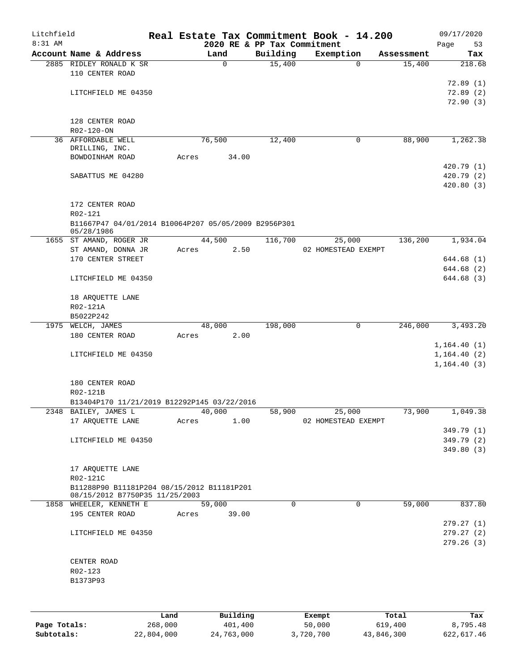| Litchfield |                                                                              |       |             |                             | Real Estate Tax Commitment Book - 14.200 |            | 09/17/2020               |
|------------|------------------------------------------------------------------------------|-------|-------------|-----------------------------|------------------------------------------|------------|--------------------------|
| 8:31 AM    |                                                                              |       |             | 2020 RE & PP Tax Commitment |                                          |            | Page<br>53               |
|            | Account Name & Address                                                       |       | Land        | Building                    | Exemption                                | Assessment | Tax                      |
|            | 2885 RIDLEY RONALD K SR<br>110 CENTER ROAD                                   |       | $\mathbf 0$ | 15,400                      | 0                                        | 15,400     | 218.68                   |
|            |                                                                              |       |             |                             |                                          |            | 72.89(1)                 |
|            | LITCHFIELD ME 04350                                                          |       |             |                             |                                          |            | 72.89(2)                 |
|            |                                                                              |       |             |                             |                                          |            | 72.90(3)                 |
|            | 128 CENTER ROAD                                                              |       |             |                             |                                          |            |                          |
|            | R02-120-ON                                                                   |       |             |                             |                                          |            |                          |
|            | 36 AFFORDABLE WELL<br>DRILLING, INC.                                         |       | 76,500      | 12,400                      | 0                                        | 88,900     | 1,262.38                 |
|            | BOWDOINHAM ROAD                                                              | Acres | 34.00       |                             |                                          |            |                          |
|            |                                                                              |       |             |                             |                                          |            | 420.79(1)                |
|            | SABATTUS ME 04280                                                            |       |             |                             |                                          |            | 420.79(2)                |
|            |                                                                              |       |             |                             |                                          |            | 420.80(3)                |
|            | 172 CENTER ROAD                                                              |       |             |                             |                                          |            |                          |
|            | R02-121<br>B11667P47 04/01/2014 B10064P207 05/05/2009 B2956P301              |       |             |                             |                                          |            |                          |
|            | 05/28/1986                                                                   |       |             |                             |                                          |            |                          |
|            | 1655 ST AMAND, ROGER JR                                                      |       | 44,500      | 116,700                     | 25,000                                   | 136,200    | 1,934.04                 |
|            | ST AMAND, DONNA JR                                                           | Acres | 2.50        |                             | 02 HOMESTEAD EXEMPT                      |            |                          |
|            | 170 CENTER STREET                                                            |       |             |                             |                                          |            | 644.68(1)                |
|            |                                                                              |       |             |                             |                                          |            | 644.68 (2)               |
|            | LITCHFIELD ME 04350                                                          |       |             |                             |                                          |            | 644.68 (3)               |
|            | 18 ARQUETTE LANE                                                             |       |             |                             |                                          |            |                          |
|            | R02-121A                                                                     |       |             |                             |                                          |            |                          |
|            | B5022P242                                                                    |       |             |                             |                                          |            |                          |
|            | 1975 WELCH, JAMES                                                            |       | 48,000      | 198,000                     | 0                                        | 246,000    | 3,493.20                 |
|            | 180 CENTER ROAD                                                              | Acres | 2.00        |                             |                                          |            | 1, 164.40(1)             |
|            | LITCHFIELD ME 04350                                                          |       |             |                             |                                          |            | 1, 164.40(2)             |
|            |                                                                              |       |             |                             |                                          |            | 1,164.40(3)              |
|            |                                                                              |       |             |                             |                                          |            |                          |
|            | 180 CENTER ROAD                                                              |       |             |                             |                                          |            |                          |
|            | R02-121B                                                                     |       |             |                             |                                          |            |                          |
|            | B13404P170 11/21/2019 B12292P145 03/22/2016                                  |       |             |                             |                                          |            |                          |
|            | 2348 BAILEY, JAMES L                                                         |       | 40,000      | 58,900                      | 25,000                                   | 73,900     | 1,049.38                 |
|            | 17 ARQUETTE LANE                                                             | Acres | 1.00        |                             | 02 HOMESTEAD EXEMPT                      |            |                          |
|            | LITCHFIELD ME 04350                                                          |       |             |                             |                                          |            | 349.79 (1)<br>349.79 (2) |
|            |                                                                              |       |             |                             |                                          |            | 349.80 (3)               |
|            |                                                                              |       |             |                             |                                          |            |                          |
|            | 17 ARQUETTE LANE                                                             |       |             |                             |                                          |            |                          |
|            | R02-121C                                                                     |       |             |                             |                                          |            |                          |
|            | B11288P90 B11181P204 08/15/2012 B11181P201<br>08/15/2012 B7750P35 11/25/2003 |       |             |                             |                                          |            |                          |
|            | 1858 WHEELER, KENNETH E                                                      |       | 59,000      | $\mathbf 0$                 | $\mathbf 0$                              | 59,000     | 837.80                   |
|            | 195 CENTER ROAD                                                              | Acres | 39.00       |                             |                                          |            |                          |
|            |                                                                              |       |             |                             |                                          |            | 279.27 (1)               |
|            | LITCHFIELD ME 04350                                                          |       |             |                             |                                          |            | 279.27(2)<br>279.26(3)   |
|            |                                                                              |       |             |                             |                                          |            |                          |
|            | CENTER ROAD                                                                  |       |             |                             |                                          |            |                          |
|            | R02-123                                                                      |       |             |                             |                                          |            |                          |
|            | B1373P93                                                                     |       |             |                             |                                          |            |                          |
|            |                                                                              |       |             |                             |                                          |            |                          |
|            |                                                                              |       |             |                             |                                          |            |                          |
|            |                                                                              |       |             |                             |                                          |            |                          |

|              | Land       | Building   | Exempt    | Total      | Tax        |
|--------------|------------|------------|-----------|------------|------------|
| Page Totals: | 268,000    | 401,400    | 50,000    | 619,400    | 8,795.48   |
| Subtotals:   | 22,804,000 | 24,763,000 | 3,720,700 | 43,846,300 | 622,617.46 |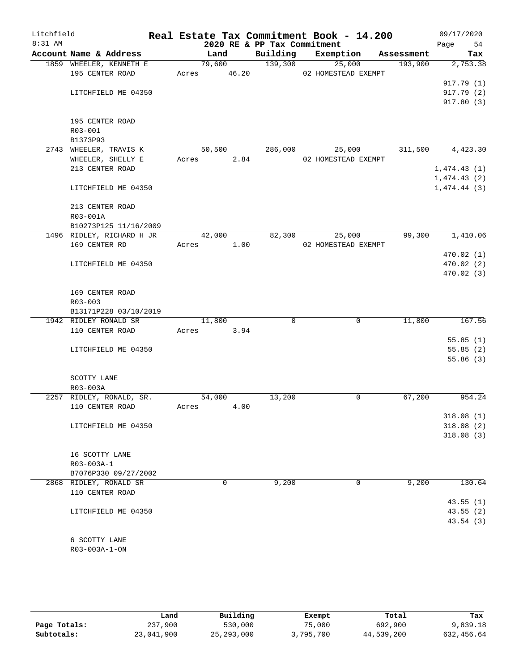| Litchfield |                                    |             |        |      |                             | Real Estate Tax Commitment Book - 14.200 |            | 09/17/2020  |            |
|------------|------------------------------------|-------------|--------|------|-----------------------------|------------------------------------------|------------|-------------|------------|
| $8:31$ AM  |                                    |             |        |      | 2020 RE & PP Tax Commitment |                                          |            | Page        | 54         |
|            | Account Name & Address             |             | Land   |      | Building                    | Exemption                                | Assessment |             | Tax        |
|            | 1859 WHEELER, KENNETH E            |             | 79,600 |      | 139,300                     | 25,000                                   | 193,900    |             | 2,753.38   |
|            | 195 CENTER ROAD                    | Acres 46.20 |        |      |                             | 02 HOMESTEAD EXEMPT                      |            |             |            |
|            |                                    |             |        |      |                             |                                          |            |             | 917.79 (1) |
|            | LITCHFIELD ME 04350                |             |        |      |                             |                                          |            |             | 917.79 (2) |
|            |                                    |             |        |      |                             |                                          |            |             | 917.80(3)  |
|            |                                    |             |        |      |                             |                                          |            |             |            |
|            | 195 CENTER ROAD                    |             |        |      |                             |                                          |            |             |            |
|            | R03-001                            |             |        |      |                             |                                          |            |             |            |
|            | B1373P93<br>2743 WHEELER, TRAVIS K |             | 50,500 |      | 286,000                     | 25,000                                   | 311,500    |             | 4,423.30   |
|            | WHEELER, SHELLY E                  | Acres       |        | 2.84 |                             | 02 HOMESTEAD EXEMPT                      |            |             |            |
|            | 213 CENTER ROAD                    |             |        |      |                             |                                          |            | 1,474.43(1) |            |
|            |                                    |             |        |      |                             |                                          |            | 1,474.43(2) |            |
|            | LITCHFIELD ME 04350                |             |        |      |                             |                                          |            | 1,474.44(3) |            |
|            |                                    |             |        |      |                             |                                          |            |             |            |
|            | 213 CENTER ROAD                    |             |        |      |                             |                                          |            |             |            |
|            | R03-001A                           |             |        |      |                             |                                          |            |             |            |
|            | B10273P125 11/16/2009              |             |        |      |                             |                                          |            |             |            |
|            | 1496 RIDLEY, RICHARD H JR          |             | 42,000 |      | 82,300                      | 25,000                                   | 99,300     |             | 1,410.06   |
|            | 169 CENTER RD                      | Acres       |        | 1.00 |                             | 02 HOMESTEAD EXEMPT                      |            |             |            |
|            |                                    |             |        |      |                             |                                          |            |             | 470.02(1)  |
|            | LITCHFIELD ME 04350                |             |        |      |                             |                                          |            |             | 470.02(2)  |
|            |                                    |             |        |      |                             |                                          |            |             | 470.02(3)  |
|            |                                    |             |        |      |                             |                                          |            |             |            |
|            | 169 CENTER ROAD                    |             |        |      |                             |                                          |            |             |            |
|            | $R03 - 003$                        |             |        |      |                             |                                          |            |             |            |
|            | B13171P228 03/10/2019              |             |        |      |                             |                                          |            |             |            |
|            | 1942 RIDLEY RONALD SR              |             | 11,800 |      | 0                           | $\mathbf 0$                              | 11,800     |             | 167.56     |
|            | 110 CENTER ROAD                    | Acres       | 3.94   |      |                             |                                          |            |             |            |
|            |                                    |             |        |      |                             |                                          |            |             | 55.85(1)   |
|            | LITCHFIELD ME 04350                |             |        |      |                             |                                          |            |             | 55.85(2)   |
|            |                                    |             |        |      |                             |                                          |            |             | 55.86(3)   |
|            |                                    |             |        |      |                             |                                          |            |             |            |
|            | SCOTTY LANE                        |             |        |      |                             |                                          |            |             |            |
|            | R03-003A                           |             |        |      |                             |                                          |            |             |            |
|            | 2257 RIDLEY, RONALD, SR.           |             | 54,000 |      | 13,200                      | 0                                        | 67,200     |             | 954.24     |
|            | 110 CENTER ROAD                    | Acres       |        | 4.00 |                             |                                          |            |             |            |
|            |                                    |             |        |      |                             |                                          |            |             | 318.08(1)  |
|            | LITCHFIELD ME 04350                |             |        |      |                             |                                          |            |             | 318.08(2)  |
|            |                                    |             |        |      |                             |                                          |            |             | 318.08(3)  |
|            |                                    |             |        |      |                             |                                          |            |             |            |
|            | 16 SCOTTY LANE                     |             |        |      |                             |                                          |            |             |            |
|            | R03-003A-1                         |             |        |      |                             |                                          |            |             |            |
|            | B7076P330 09/27/2002               |             |        |      |                             |                                          |            |             |            |
|            | 2868 RIDLEY, RONALD SR             |             | 0      |      | 9,200                       | 0                                        | 9,200      |             | 130.64     |
|            | 110 CENTER ROAD                    |             |        |      |                             |                                          |            |             |            |
|            |                                    |             |        |      |                             |                                          |            |             | 43.55(1)   |
|            | LITCHFIELD ME 04350                |             |        |      |                             |                                          |            |             | 43.55(2)   |
|            |                                    |             |        |      |                             |                                          |            |             | 43.54 (3)  |
|            |                                    |             |        |      |                             |                                          |            |             |            |
|            | 6 SCOTTY LANE                      |             |        |      |                             |                                          |            |             |            |
|            | R03-003A-1-ON                      |             |        |      |                             |                                          |            |             |            |
|            |                                    |             |        |      |                             |                                          |            |             |            |

|              | Land       | Building     | Exempt    | Total      | Tax        |
|--------------|------------|--------------|-----------|------------|------------|
| Page Totals: | 237,900    | 530,000      | 75,000    | 692,900    | 9,839.18   |
| Subtotals:   | 23,041,900 | 25, 293, 000 | 3,795,700 | 44,539,200 | 632,456.64 |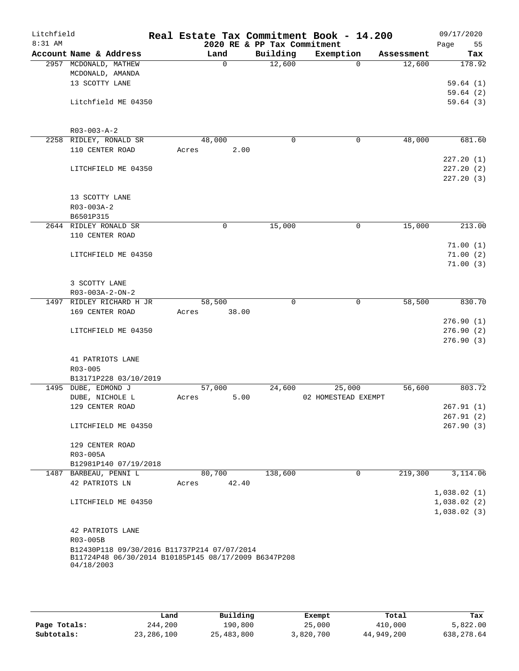| Litchfield<br>$8:31$ AM |                                                                                                     |       |        | 2020 RE & PP Tax Commitment | Real Estate Tax Commitment Book - 14.200 |             |            | 09/17/2020<br>55<br>Page |
|-------------------------|-----------------------------------------------------------------------------------------------------|-------|--------|-----------------------------|------------------------------------------|-------------|------------|--------------------------|
|                         | Account Name & Address                                                                              |       | Land   | Building                    | Exemption                                |             | Assessment | Tax                      |
|                         | 2957 MCDONALD, MATHEW                                                                               |       | 0      | 12,600                      |                                          | $\Omega$    | 12,600     | 178.92                   |
|                         | MCDONALD, AMANDA                                                                                    |       |        |                             |                                          |             |            |                          |
|                         | 13 SCOTTY LANE                                                                                      |       |        |                             |                                          |             |            | 59.64(1)                 |
|                         |                                                                                                     |       |        |                             |                                          |             |            | 59.64(2)                 |
|                         | Litchfield ME 04350                                                                                 |       |        |                             |                                          |             |            | 59.64(3)                 |
|                         |                                                                                                     |       |        |                             |                                          |             |            |                          |
|                         | $R03 - 003 - A - 2$                                                                                 |       |        |                             |                                          |             |            |                          |
|                         | 2258 RIDLEY, RONALD SR                                                                              |       | 48,000 | 0                           |                                          | 0           | 48,000     | 681.60                   |
|                         | 110 CENTER ROAD                                                                                     | Acres | 2.00   |                             |                                          |             |            |                          |
|                         |                                                                                                     |       |        |                             |                                          |             |            | 227.20(1)                |
|                         | LITCHFIELD ME 04350                                                                                 |       |        |                             |                                          |             |            | 227.20(2)<br>227.20(3)   |
|                         |                                                                                                     |       |        |                             |                                          |             |            |                          |
|                         | 13 SCOTTY LANE                                                                                      |       |        |                             |                                          |             |            |                          |
|                         | R03-003A-2                                                                                          |       |        |                             |                                          |             |            |                          |
|                         | B6501P315                                                                                           |       |        |                             |                                          |             |            |                          |
|                         | 2644 RIDLEY RONALD SR                                                                               |       | 0      | 15,000                      |                                          | $\mathbf 0$ | 15,000     | 213.00                   |
|                         | 110 CENTER ROAD                                                                                     |       |        |                             |                                          |             |            |                          |
|                         |                                                                                                     |       |        |                             |                                          |             |            | 71.00(1)                 |
|                         | LITCHFIELD ME 04350                                                                                 |       |        |                             |                                          |             |            | 71.00(2)                 |
|                         |                                                                                                     |       |        |                             |                                          |             |            | 71.00(3)                 |
|                         |                                                                                                     |       |        |                             |                                          |             |            |                          |
|                         | 3 SCOTTY LANE                                                                                       |       |        |                             |                                          |             |            |                          |
|                         | $R03 - 003A - 2 - ON - 2$                                                                           |       |        |                             |                                          |             |            |                          |
|                         | 1497 RIDLEY RICHARD H JR                                                                            |       | 58,500 | $\mathbf 0$                 |                                          | 0           | 58,500     | 830.70                   |
|                         | 169 CENTER ROAD                                                                                     | Acres | 38.00  |                             |                                          |             |            | 276.90(1)                |
|                         | LITCHFIELD ME 04350                                                                                 |       |        |                             |                                          |             |            | 276.90(2)                |
|                         |                                                                                                     |       |        |                             |                                          |             |            | 276.90(3)                |
|                         |                                                                                                     |       |        |                             |                                          |             |            |                          |
|                         | 41 PATRIOTS LANE                                                                                    |       |        |                             |                                          |             |            |                          |
|                         | R03-005                                                                                             |       |        |                             |                                          |             |            |                          |
|                         | B13171P228 03/10/2019                                                                               |       |        |                             |                                          |             |            |                          |
|                         | 1495 DUBE, EDMOND J                                                                                 |       | 57,000 | 24,600                      | 25,000                                   |             | 56,600     | 803.72                   |
|                         | DUBE, NICHOLE L                                                                                     | Acres | 5.00   |                             | 02 HOMESTEAD EXEMPT                      |             |            |                          |
|                         | 129 CENTER ROAD                                                                                     |       |        |                             |                                          |             |            | 267.91(1)                |
|                         |                                                                                                     |       |        |                             |                                          |             |            | 267.91(2)                |
|                         | LITCHFIELD ME 04350                                                                                 |       |        |                             |                                          |             |            | 267.90(3)                |
|                         | 129 CENTER ROAD                                                                                     |       |        |                             |                                          |             |            |                          |
|                         | R03-005A                                                                                            |       |        |                             |                                          |             |            |                          |
|                         | B12981P140 07/19/2018                                                                               |       |        |                             |                                          |             |            |                          |
|                         | 1487 BARBEAU, PENNI L                                                                               |       | 80,700 | 138,600                     |                                          | $\mathbf 0$ | 219,300    | 3,114.06                 |
|                         | 42 PATRIOTS LN                                                                                      | Acres | 42.40  |                             |                                          |             |            |                          |
|                         |                                                                                                     |       |        |                             |                                          |             |            | 1,038.02(1)              |
|                         | LITCHFIELD ME 04350                                                                                 |       |        |                             |                                          |             |            | 1,038.02(2)              |
|                         |                                                                                                     |       |        |                             |                                          |             |            | 1,038.02(3)              |
|                         |                                                                                                     |       |        |                             |                                          |             |            |                          |
|                         | 42 PATRIOTS LANE                                                                                    |       |        |                             |                                          |             |            |                          |
|                         | R03-005B                                                                                            |       |        |                             |                                          |             |            |                          |
|                         | B12430P118 09/30/2016 B11737P214 07/07/2014<br>B11724P48 06/30/2014 B10185P145 08/17/2009 B6347P208 |       |        |                             |                                          |             |            |                          |
|                         | 04/18/2003                                                                                          |       |        |                             |                                          |             |            |                          |
|                         |                                                                                                     |       |        |                             |                                          |             |            |                          |
|                         |                                                                                                     |       |        |                             |                                          |             |            |                          |

|              | Land         | Building   | Exempt    | Total      | Tax         |
|--------------|--------------|------------|-----------|------------|-------------|
| Page Totals: | 244,200      | 190,800    | 25,000    | 410,000    | 5,822.00    |
| Subtotals:   | 23, 286, 100 | 25,483,800 | 3,820,700 | 44,949,200 | 638, 278.64 |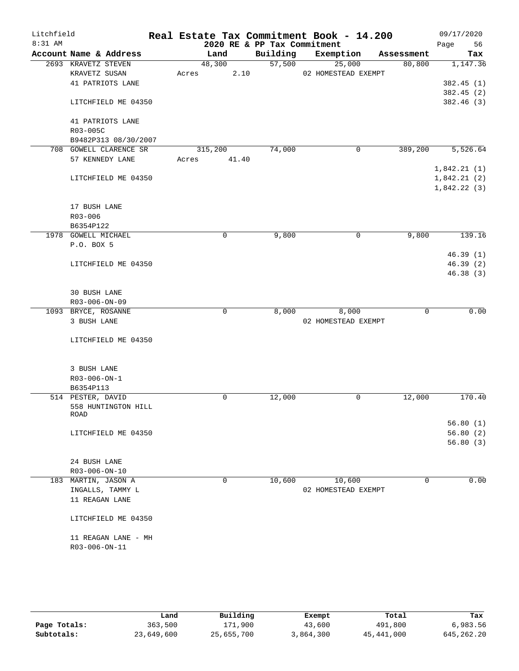| Litchfield |                              |       |         |              |                             | Real Estate Tax Commitment Book - 14.200 |             |             | 09/17/2020 |
|------------|------------------------------|-------|---------|--------------|-----------------------------|------------------------------------------|-------------|-------------|------------|
| $8:31$ AM  |                              |       |         |              | 2020 RE & PP Tax Commitment |                                          |             | Page        | 56         |
|            | Account Name & Address       |       | Land    |              | Building                    | Exemption                                | Assessment  |             | Tax        |
|            | 2693 KRAVETZ STEVEN          |       | 48,300  |              | 57,500                      | 25,000                                   | 80,800      |             | 1,147.36   |
|            | KRAVETZ SUSAN                | Acres |         | 2.10         |                             | 02 HOMESTEAD EXEMPT                      |             |             |            |
|            | 41 PATRIOTS LANE             |       |         |              |                             |                                          |             |             | 382.45(1)  |
|            |                              |       |         |              |                             |                                          |             |             | 382.45 (2) |
|            | LITCHFIELD ME 04350          |       |         |              |                             |                                          |             |             | 382.46 (3) |
|            | 41 PATRIOTS LANE<br>R03-005C |       |         |              |                             |                                          |             |             |            |
|            | B9482P313 08/30/2007         |       |         |              |                             |                                          |             |             |            |
|            | 708 GOWELL CLARENCE SR       |       | 315,200 |              | 74,000                      | $\mathsf{O}$                             | 389,200     |             | 5,526.64   |
|            | 57 KENNEDY LANE              | Acres |         | 41.40        |                             |                                          |             |             |            |
|            |                              |       |         |              |                             |                                          |             | 1,842.21(1) |            |
|            | LITCHFIELD ME 04350          |       |         |              |                             |                                          |             | 1,842.21(2) |            |
|            |                              |       |         |              |                             |                                          |             | 1,842.22(3) |            |
|            | 17 BUSH LANE                 |       |         |              |                             |                                          |             |             |            |
|            | $R03 - 006$                  |       |         |              |                             |                                          |             |             |            |
|            | B6354P122                    |       |         |              |                             |                                          |             |             |            |
|            | 1978 GOWELL MICHAEL          |       |         | 0            | 9,800                       | $\mathsf{O}$                             | 9,800       |             | 139.16     |
|            | P.O. BOX 5                   |       |         |              |                             |                                          |             |             |            |
|            |                              |       |         |              |                             |                                          |             |             | 46.39(1)   |
|            | LITCHFIELD ME 04350          |       |         |              |                             |                                          |             |             | 46.39(2)   |
|            |                              |       |         |              |                             |                                          |             |             | 46.38(3)   |
|            |                              |       |         |              |                             |                                          |             |             |            |
|            | 30 BUSH LANE                 |       |         |              |                             |                                          |             |             |            |
|            | R03-006-ON-09                |       |         |              |                             |                                          |             |             |            |
|            | 1093 BRYCE, ROSANNE          |       |         | $\mathsf{O}$ | 8,000                       | 8,000                                    | $\mathbf 0$ |             | 0.00       |
|            | 3 BUSH LANE                  |       |         |              |                             | 02 HOMESTEAD EXEMPT                      |             |             |            |
|            |                              |       |         |              |                             |                                          |             |             |            |
|            | LITCHFIELD ME 04350          |       |         |              |                             |                                          |             |             |            |
|            |                              |       |         |              |                             |                                          |             |             |            |
|            | 3 BUSH LANE                  |       |         |              |                             |                                          |             |             |            |
|            | R03-006-ON-1                 |       |         |              |                             |                                          |             |             |            |
|            | B6354P113                    |       |         |              |                             |                                          |             |             |            |
|            | 514 PESTER, DAVID            |       |         | 0            | 12,000                      | 0                                        | 12,000      |             | 170.40     |
|            | 558 HUNTINGTON HILL          |       |         |              |                             |                                          |             |             |            |
|            | ROAD                         |       |         |              |                             |                                          |             |             | 56.80(1)   |
|            | LITCHFIELD ME 04350          |       |         |              |                             |                                          |             |             | 56.80(2)   |
|            |                              |       |         |              |                             |                                          |             |             | 56.80(3)   |
|            |                              |       |         |              |                             |                                          |             |             |            |
|            | 24 BUSH LANE                 |       |         |              |                             |                                          |             |             |            |
|            | $R03 - 006 - ON - 10$        |       |         |              |                             |                                          |             |             |            |
|            | 183 MARTIN, JASON A          |       |         | 0            | 10,600                      | 10,600                                   | $\mathbf 0$ |             | 0.00       |
|            | INGALLS, TAMMY L             |       |         |              |                             | 02 HOMESTEAD EXEMPT                      |             |             |            |
|            | 11 REAGAN LANE               |       |         |              |                             |                                          |             |             |            |
|            | LITCHFIELD ME 04350          |       |         |              |                             |                                          |             |             |            |
|            |                              |       |         |              |                             |                                          |             |             |            |
|            | 11 REAGAN LANE - MH          |       |         |              |                             |                                          |             |             |            |
|            | R03-006-ON-11                |       |         |              |                             |                                          |             |             |            |
|            |                              |       |         |              |                             |                                          |             |             |            |
|            |                              |       |         |              |                             |                                          |             |             |            |

|              | Land       | Building   | Exempt    | Total      | Tax          |
|--------------|------------|------------|-----------|------------|--------------|
| Page Totals: | 363,500    | 171,900    | 43,600    | 491,800    | 6,983.56     |
| Subtotals:   | 23,649,600 | 25,655,700 | 3,864,300 | 45,441,000 | 645, 262, 20 |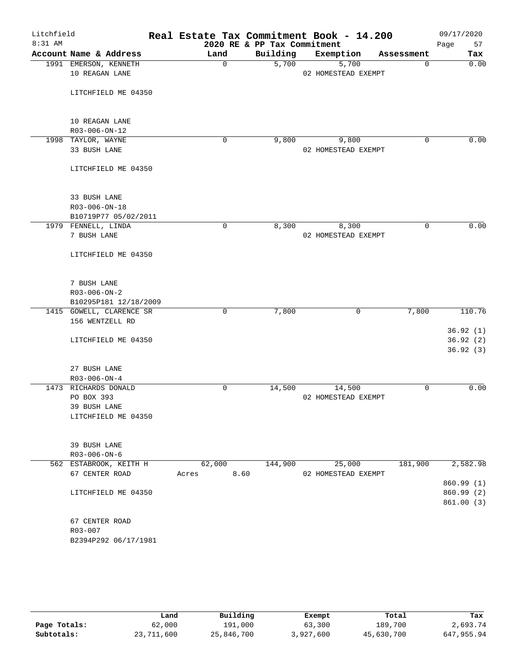| Litchfield |                          | Real Estate Tax Commitment Book - 14.200 |                             |                     |             | 09/17/2020 |
|------------|--------------------------|------------------------------------------|-----------------------------|---------------------|-------------|------------|
| 8:31 AM    |                          |                                          | 2020 RE & PP Tax Commitment |                     |             | Page<br>57 |
|            | Account Name & Address   | Land                                     | Building                    | Exemption           | Assessment  | Tax        |
|            | 1991 EMERSON, KENNETH    | $\Omega$                                 | 5,700                       | 5,700               | $\Omega$    | 0.00       |
|            | 10 REAGAN LANE           |                                          |                             | 02 HOMESTEAD EXEMPT |             |            |
|            | LITCHFIELD ME 04350      |                                          |                             |                     |             |            |
|            |                          |                                          |                             |                     |             |            |
|            | 10 REAGAN LANE           |                                          |                             |                     |             |            |
|            | R03-006-ON-12            |                                          |                             |                     |             |            |
|            | 1998 TAYLOR, WAYNE       | 0                                        | 9,800                       | 9,800               | 0           | 0.00       |
|            | 33 BUSH LANE             |                                          |                             | 02 HOMESTEAD EXEMPT |             |            |
|            | LITCHFIELD ME 04350      |                                          |                             |                     |             |            |
|            | 33 BUSH LANE             |                                          |                             |                     |             |            |
|            | R03-006-ON-18            |                                          |                             |                     |             |            |
|            | B10719P77 05/02/2011     |                                          |                             |                     |             |            |
|            | 1979 FENNELL, LINDA      | $\mathbf 0$                              | 8,300                       | 8,300               | $\mathbf 0$ | 0.00       |
|            | 7 BUSH LANE              |                                          |                             | 02 HOMESTEAD EXEMPT |             |            |
|            |                          |                                          |                             |                     |             |            |
|            | LITCHFIELD ME 04350      |                                          |                             |                     |             |            |
|            | 7 BUSH LANE              |                                          |                             |                     |             |            |
|            | $R03 - 006 - ON - 2$     |                                          |                             |                     |             |            |
|            | B10295P181 12/18/2009    |                                          |                             |                     |             |            |
|            | 1415 GOWELL, CLARENCE SR | 0                                        | 7,800                       | 0                   | 7,800       | 110.76     |
|            | 156 WENTZELL RD          |                                          |                             |                     |             |            |
|            |                          |                                          |                             |                     |             | 36.92(1)   |
|            | LITCHFIELD ME 04350      |                                          |                             |                     |             | 36.92(2)   |
|            |                          |                                          |                             |                     |             | 36.92(3)   |
|            | 27 BUSH LANE             |                                          |                             |                     |             |            |
|            | R03-006-ON-4             |                                          |                             |                     |             |            |
|            | 1473 RICHARDS DONALD     | 0                                        | 14,500                      | 14,500              | 0           | 0.00       |
|            | PO BOX 393               |                                          |                             | 02 HOMESTEAD EXEMPT |             |            |
|            | 39 BUSH LANE             |                                          |                             |                     |             |            |
|            | LITCHFIELD ME 04350      |                                          |                             |                     |             |            |
|            | 39 BUSH LANE             |                                          |                             |                     |             |            |
|            | $R03 - 006 - ON - 6$     |                                          |                             |                     |             |            |
|            | 562 ESTABROOK, KEITH H   | 62,000                                   | 144,900                     | 25,000              | 181,900     | 2,582.98   |
|            | 67 CENTER ROAD           | 8.60<br>Acres                            |                             | 02 HOMESTEAD EXEMPT |             |            |
|            |                          |                                          |                             |                     |             | 860.99 (1) |
|            | LITCHFIELD ME 04350      |                                          |                             |                     |             | 860.99 (2) |
|            |                          |                                          |                             |                     |             | 861.00(3)  |
|            | 67 CENTER ROAD           |                                          |                             |                     |             |            |
|            | R03-007                  |                                          |                             |                     |             |            |
|            | B2394P292 06/17/1981     |                                          |                             |                     |             |            |
|            |                          |                                          |                             |                     |             |            |

|              | Land       | Building   | Exempt    | Total      | Tax        |
|--------------|------------|------------|-----------|------------|------------|
| Page Totals: | 62,000     | 191,000    | 63,300    | 189,700    | 2,693.74   |
| Subtotals:   | 23,711,600 | 25,846,700 | 3,927,600 | 45,630,700 | 647,955.94 |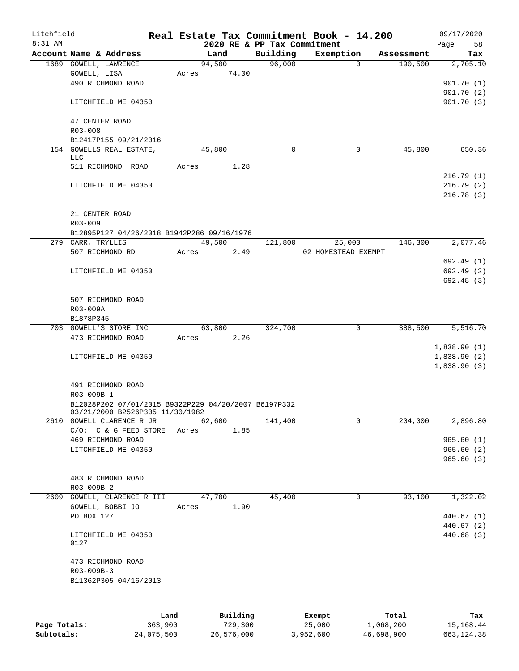| Litchfield<br>$8:31$ AM |                                                              |       |        | 2020 RE & PP Tax Commitment | Real Estate Tax Commitment Book - 14.200 |          |            | 09/17/2020<br>58<br>Page   |
|-------------------------|--------------------------------------------------------------|-------|--------|-----------------------------|------------------------------------------|----------|------------|----------------------------|
|                         | Account Name & Address                                       |       | Land   | Building                    | Exemption                                |          | Assessment | Tax                        |
|                         | 1689 GOWELL, LAWRENCE                                        |       | 94,500 | 96,000                      |                                          | $\Omega$ | 190,500    | 2,705.10                   |
|                         | GOWELL, LISA                                                 | Acres | 74.00  |                             |                                          |          |            |                            |
|                         | 490 RICHMOND ROAD                                            |       |        |                             |                                          |          |            | 901.70(1)                  |
|                         |                                                              |       |        |                             |                                          |          |            | 901.70(2)                  |
|                         | LITCHFIELD ME 04350                                          |       |        |                             |                                          |          |            | 901.70 (3)                 |
|                         | 47 CENTER ROAD<br>R03-008                                    |       |        |                             |                                          |          |            |                            |
|                         | B12417P155 09/21/2016                                        |       |        |                             |                                          |          |            |                            |
|                         | 154 GOWELLS REAL ESTATE,                                     |       | 45,800 | $\mathbf 0$                 |                                          | 0        | 45,800     | 650.36                     |
|                         | LLC                                                          |       |        |                             |                                          |          |            |                            |
|                         | 511 RICHMOND ROAD                                            | Acres | 1.28   |                             |                                          |          |            |                            |
|                         |                                                              |       |        |                             |                                          |          |            | 216.79(1)                  |
|                         | LITCHFIELD ME 04350                                          |       |        |                             |                                          |          |            | 216.79(2)                  |
|                         |                                                              |       |        |                             |                                          |          |            | 216.78(3)                  |
|                         | 21 CENTER ROAD                                               |       |        |                             |                                          |          |            |                            |
|                         | R03-009                                                      |       |        |                             |                                          |          |            |                            |
|                         | B12895P127 04/26/2018 B1942P286 09/16/1976                   |       |        |                             |                                          |          |            |                            |
|                         | 279 CARR, TRYLLIS                                            |       | 49,500 | 121,800                     | 25,000                                   |          | 146,300    | 2,077.46                   |
|                         | 507 RICHMOND RD                                              | Acres | 2.49   |                             | 02 HOMESTEAD EXEMPT                      |          |            |                            |
|                         |                                                              |       |        |                             |                                          |          |            | 692.49(1)                  |
|                         | LITCHFIELD ME 04350                                          |       |        |                             |                                          |          |            | 692.49(2)                  |
|                         |                                                              |       |        |                             |                                          |          |            | 692.48(3)                  |
|                         |                                                              |       |        |                             |                                          |          |            |                            |
|                         | 507 RICHMOND ROAD                                            |       |        |                             |                                          |          |            |                            |
|                         | R03-009A                                                     |       |        |                             |                                          |          |            |                            |
|                         | B1878P345                                                    |       |        |                             |                                          |          |            |                            |
|                         | 703 GOWELL'S STORE INC                                       |       | 63,800 | 324,700                     |                                          | 0        | 388,500    | 5,516.70                   |
|                         | 473 RICHMOND ROAD                                            | Acres | 2.26   |                             |                                          |          |            |                            |
|                         | LITCHFIELD ME 04350                                          |       |        |                             |                                          |          |            | 1,838.90(1)                |
|                         |                                                              |       |        |                             |                                          |          |            | 1,838.90(2)<br>1,838.90(3) |
|                         |                                                              |       |        |                             |                                          |          |            |                            |
|                         | 491 RICHMOND ROAD                                            |       |        |                             |                                          |          |            |                            |
|                         | R03-009B-1                                                   |       |        |                             |                                          |          |            |                            |
|                         | B12028P202 07/01/2015 B9322P229 04/20/2007 B6197P332         |       |        |                             |                                          |          |            |                            |
|                         | 03/21/2000 B2526P305 11/30/1982<br>2610 GOWELL CLARENCE R JR |       | 62,600 | 141,400                     |                                          | 0        | 204,000    | 2,896.80                   |
|                         | C/O: C & G FEED STORE ACres                                  |       | 1.85   |                             |                                          |          |            |                            |
|                         | 469 RICHMOND ROAD                                            |       |        |                             |                                          |          |            | 965.60(1)                  |
|                         | LITCHFIELD ME 04350                                          |       |        |                             |                                          |          |            | 965.60(2)                  |
|                         |                                                              |       |        |                             |                                          |          |            | 965.60(3)                  |
|                         |                                                              |       |        |                             |                                          |          |            |                            |
|                         | 483 RICHMOND ROAD                                            |       |        |                             |                                          |          |            |                            |
|                         | R03-009B-2                                                   |       |        |                             |                                          |          |            |                            |
|                         | 2609 GOWELL, CLARENCE R III                                  |       | 47,700 | 45,400                      |                                          | 0        | 93,100     | 1,322.02                   |
|                         | GOWELL, BOBBI JO                                             | Acres | 1.90   |                             |                                          |          |            |                            |
|                         | PO BOX 127                                                   |       |        |                             |                                          |          |            | 440.67(1)                  |
|                         |                                                              |       |        |                             |                                          |          |            | 440.67(2)                  |
|                         | LITCHFIELD ME 04350<br>0127                                  |       |        |                             |                                          |          |            | 440.68 (3)                 |
|                         |                                                              |       |        |                             |                                          |          |            |                            |
|                         | 473 RICHMOND ROAD                                            |       |        |                             |                                          |          |            |                            |
|                         | R03-009B-3                                                   |       |        |                             |                                          |          |            |                            |
|                         | B11362P305 04/16/2013                                        |       |        |                             |                                          |          |            |                            |
|                         |                                                              |       |        |                             |                                          |          |            |                            |
|                         |                                                              |       |        |                             |                                          |          |            |                            |
|                         |                                                              |       |        |                             |                                          |          |            |                            |

|              | Land       | Building   | Exempt    | Total      | Tax          |
|--------------|------------|------------|-----------|------------|--------------|
| Page Totals: | 363,900    | 729,300    | 25,000    | 1,068,200  | 15,168.44    |
| Subtotals:   | 24,075,500 | 26,576,000 | 3,952,600 | 46,698,900 | 663, 124. 38 |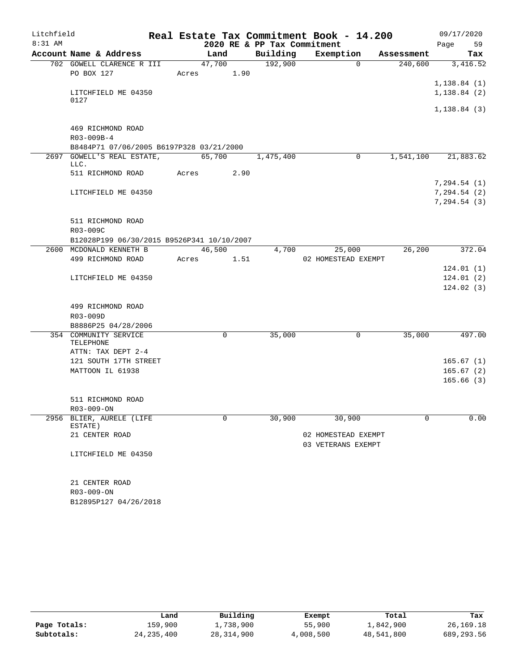| Litchfield |                                             |       |        |                             | Real Estate Tax Commitment Book - 14.200 |            | 09/17/2020   |        |
|------------|---------------------------------------------|-------|--------|-----------------------------|------------------------------------------|------------|--------------|--------|
| 8:31 AM    |                                             |       |        | 2020 RE & PP Tax Commitment |                                          |            | Page         | 59     |
|            | Account Name & Address                      |       | Land   | Building                    | Exemption                                | Assessment |              | Tax    |
|            | 702 GOWELL CLARENCE R III                   |       | 47,700 | 192,900                     | $\Omega$                                 | 240,600    | 3,416.52     |        |
|            | PO BOX 127                                  | Acres | 1.90   |                             |                                          |            |              |        |
|            |                                             |       |        |                             |                                          |            | 1,138.84(1)  |        |
|            | LITCHFIELD ME 04350                         |       |        |                             |                                          |            | 1, 138.84(2) |        |
|            | 0127                                        |       |        |                             |                                          |            | 1,138.84(3)  |        |
|            |                                             |       |        |                             |                                          |            |              |        |
|            | 469 RICHMOND ROAD                           |       |        |                             |                                          |            |              |        |
|            | R03-009B-4                                  |       |        |                             |                                          |            |              |        |
|            | B8484P71 07/06/2005 B6197P328 03/21/2000    |       |        |                             |                                          |            |              |        |
|            | 2697 GOWELL'S REAL ESTATE,                  |       | 65,700 | 1,475,400                   | 0                                        | 1,541,100  | 21,883.62    |        |
|            | LLC.                                        |       |        |                             |                                          |            |              |        |
|            | 511 RICHMOND ROAD                           | Acres | 2.90   |                             |                                          |            |              |        |
|            |                                             |       |        |                             |                                          |            | 7,294.54(1)  |        |
|            | LITCHFIELD ME 04350                         |       |        |                             |                                          |            | 7,294.54(2)  |        |
|            |                                             |       |        |                             |                                          |            | 7, 294.54(3) |        |
|            |                                             |       |        |                             |                                          |            |              |        |
|            | 511 RICHMOND ROAD<br>R03-009C               |       |        |                             |                                          |            |              |        |
|            | B12028P199 06/30/2015 B9526P341 10/10/2007  |       |        |                             |                                          |            |              |        |
|            | 2600 MCDONALD KENNETH B                     |       | 46,500 | 4,700                       | 25,000                                   | 26,200     |              | 372.04 |
|            | 499 RICHMOND ROAD                           | Acres | 1.51   |                             | 02 HOMESTEAD EXEMPT                      |            |              |        |
|            |                                             |       |        |                             |                                          |            | 124.01(1)    |        |
|            | LITCHFIELD ME 04350                         |       |        |                             |                                          |            | 124.01(2)    |        |
|            |                                             |       |        |                             |                                          |            | 124.02(3)    |        |
|            |                                             |       |        |                             |                                          |            |              |        |
|            | 499 RICHMOND ROAD                           |       |        |                             |                                          |            |              |        |
|            | R03-009D                                    |       |        |                             |                                          |            |              |        |
|            | B8886P25 04/28/2006                         |       |        |                             |                                          |            |              |        |
|            | 354 COMMUNITY SERVICE                       |       | 0      | 35,000                      | $\mathsf{O}$                             | 35,000     |              | 497.00 |
|            | TELEPHONE                                   |       |        |                             |                                          |            |              |        |
|            | ATTN: TAX DEPT 2-4<br>121 SOUTH 17TH STREET |       |        |                             |                                          |            | 165.67(1)    |        |
|            | MATTOON IL 61938                            |       |        |                             |                                          |            | 165.67(2)    |        |
|            |                                             |       |        |                             |                                          |            | 165.66(3)    |        |
|            |                                             |       |        |                             |                                          |            |              |        |
|            | 511 RICHMOND ROAD                           |       |        |                             |                                          |            |              |        |
|            | R03-009-ON                                  |       |        |                             |                                          |            |              |        |
|            | 2956 BLIER, AURELE (LIFE                    |       | 0      | 30,900                      | 30,900                                   | $\Omega$   |              | 0.00   |
|            | ESTATE)                                     |       |        |                             |                                          |            |              |        |
|            | 21 CENTER ROAD                              |       |        |                             | 02 HOMESTEAD EXEMPT                      |            |              |        |
|            |                                             |       |        |                             | 03 VETERANS EXEMPT                       |            |              |        |
|            | LITCHFIELD ME 04350                         |       |        |                             |                                          |            |              |        |
|            |                                             |       |        |                             |                                          |            |              |        |
|            | 21 CENTER ROAD                              |       |        |                             |                                          |            |              |        |
|            | R03-009-ON                                  |       |        |                             |                                          |            |              |        |
|            | B12895P127 04/26/2018                       |       |        |                             |                                          |            |              |        |
|            |                                             |       |        |                             |                                          |            |              |        |

|              | Land         | Building   | Exempt    | Total      | Tax        |
|--------------|--------------|------------|-----------|------------|------------|
| Page Totals: | 159,900      | L,738,900  | 55,900    | 1,842,900  | 26,169.18  |
| Subtotals:   | 24, 235, 400 | 28,314,900 | 4,008,500 | 48,541,800 | 689,293.56 |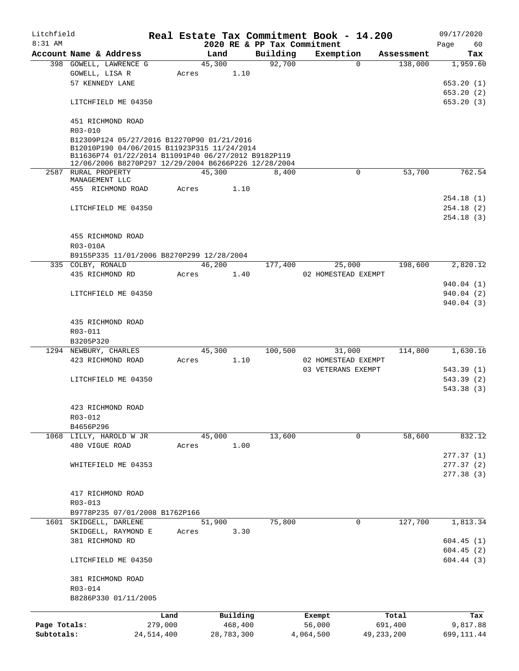| Litchfield                 |                                                                                                                                                                                                          |            |       |        |            |                             | Real Estate Tax Commitment Book - 14.200 |            | 09/17/2020             |
|----------------------------|----------------------------------------------------------------------------------------------------------------------------------------------------------------------------------------------------------|------------|-------|--------|------------|-----------------------------|------------------------------------------|------------|------------------------|
| $8:31$ AM                  |                                                                                                                                                                                                          |            |       |        |            | 2020 RE & PP Tax Commitment |                                          |            | Page<br>60             |
|                            | Account Name & Address                                                                                                                                                                                   |            |       | Land   |            | Building                    | Exemption                                | Assessment | Tax                    |
|                            | 398 GOWELL, LAWRENCE G                                                                                                                                                                                   |            |       | 45,300 |            | 92,700                      | $\Omega$                                 | 138,000    | 1,959.60               |
|                            | GOWELL, LISA R                                                                                                                                                                                           |            | Acres |        | 1.10       |                             |                                          |            |                        |
|                            | 57 KENNEDY LANE                                                                                                                                                                                          |            |       |        |            |                             |                                          |            | 653.20(1)              |
|                            |                                                                                                                                                                                                          |            |       |        |            |                             |                                          |            | 653.20(2)              |
|                            | LITCHFIELD ME 04350                                                                                                                                                                                      |            |       |        |            |                             |                                          |            | 653.20(3)              |
|                            | 451 RICHMOND ROAD<br>R03-010                                                                                                                                                                             |            |       |        |            |                             |                                          |            |                        |
|                            | B12309P124 05/27/2016 B12270P90 01/21/2016<br>B12010P190 04/06/2015 B11923P315 11/24/2014<br>B11636P74 01/22/2014 B11091P40 06/27/2012 B9182P119<br>12/06/2006 B8270P297 12/29/2004 B6266P226 12/28/2004 |            |       |        |            |                             |                                          |            |                        |
|                            | 2587 RURAL PROPERTY<br>MANAGEMENT LLC                                                                                                                                                                    |            |       | 45,300 |            | 8,400                       | $\mathbf 0$                              | 53,700     | 762.54                 |
|                            | 455 RICHMOND ROAD                                                                                                                                                                                        |            | Acres |        | 1.10       |                             |                                          |            |                        |
|                            |                                                                                                                                                                                                          |            |       |        |            |                             |                                          |            | 254.18(1)              |
|                            | LITCHFIELD ME 04350                                                                                                                                                                                      |            |       |        |            |                             |                                          |            | 254.18(2)              |
|                            |                                                                                                                                                                                                          |            |       |        |            |                             |                                          |            | 254.18(3)              |
|                            | 455 RICHMOND ROAD                                                                                                                                                                                        |            |       |        |            |                             |                                          |            |                        |
|                            | R03-010A                                                                                                                                                                                                 |            |       |        |            |                             |                                          |            |                        |
|                            | B9155P335 11/01/2006 B8270P299 12/28/2004                                                                                                                                                                |            |       |        |            |                             |                                          |            |                        |
|                            | 335 COLBY, RONALD                                                                                                                                                                                        |            |       | 46,200 |            | 177,400                     | 25,000                                   | 198,600    | 2,820.12               |
|                            | 435 RICHMOND RD                                                                                                                                                                                          |            | Acres |        | 1.40       |                             | 02 HOMESTEAD EXEMPT                      |            |                        |
|                            |                                                                                                                                                                                                          |            |       |        |            |                             |                                          |            | 940.04 (1)             |
|                            | LITCHFIELD ME 04350                                                                                                                                                                                      |            |       |        |            |                             |                                          |            | 940.04(2)              |
|                            |                                                                                                                                                                                                          |            |       |        |            |                             |                                          |            | 940.04 (3)             |
|                            |                                                                                                                                                                                                          |            |       |        |            |                             |                                          |            |                        |
|                            | 435 RICHMOND ROAD                                                                                                                                                                                        |            |       |        |            |                             |                                          |            |                        |
|                            | R03-011                                                                                                                                                                                                  |            |       |        |            |                             |                                          |            |                        |
|                            | B3205P320                                                                                                                                                                                                |            |       |        |            |                             |                                          |            |                        |
|                            | 1294 NEWBURY, CHARLES                                                                                                                                                                                    |            |       | 45,300 |            | 100,500                     | 31,000                                   | 114,800    | 1,630.16               |
|                            | 423 RICHMOND ROAD                                                                                                                                                                                        |            | Acres |        | 1.10       |                             | 02 HOMESTEAD EXEMPT                      |            |                        |
|                            |                                                                                                                                                                                                          |            |       |        |            |                             | 03 VETERANS EXEMPT                       |            | 543.39(1)              |
|                            | LITCHFIELD ME 04350                                                                                                                                                                                      |            |       |        |            |                             |                                          |            | 543.39(2)              |
|                            |                                                                                                                                                                                                          |            |       |        |            |                             |                                          |            | 543.38 (3)             |
|                            | 423 RICHMOND ROAD                                                                                                                                                                                        |            |       |        |            |                             |                                          |            |                        |
|                            | R03-012                                                                                                                                                                                                  |            |       |        |            |                             |                                          |            |                        |
|                            | B4656P296                                                                                                                                                                                                |            |       |        |            |                             |                                          |            |                        |
|                            | 1068 LILLY, HAROLD W JR                                                                                                                                                                                  |            |       | 45,000 |            | 13,600                      | 0                                        | 58,600     | 832.12                 |
|                            | 480 VIGUE ROAD                                                                                                                                                                                           |            | Acres |        | 1.00       |                             |                                          |            |                        |
|                            |                                                                                                                                                                                                          |            |       |        |            |                             |                                          |            | 277.37(1)              |
|                            | WHITEFIELD ME 04353                                                                                                                                                                                      |            |       |        |            |                             |                                          |            | 277.37(2)              |
|                            |                                                                                                                                                                                                          |            |       |        |            |                             |                                          |            | 277.38(3)              |
|                            |                                                                                                                                                                                                          |            |       |        |            |                             |                                          |            |                        |
|                            | 417 RICHMOND ROAD                                                                                                                                                                                        |            |       |        |            |                             |                                          |            |                        |
|                            | R03-013                                                                                                                                                                                                  |            |       |        |            |                             |                                          |            |                        |
|                            | B9778P235 07/01/2008 B1762P166                                                                                                                                                                           |            |       |        |            |                             |                                          |            |                        |
| 1601                       | SKIDGELL, DARLENE                                                                                                                                                                                        |            |       | 51,900 |            | 75,800                      | 0                                        | 127,700    | 1,813.34               |
|                            | SKIDGELL, RAYMOND E                                                                                                                                                                                      |            | Acres |        | 3.30       |                             |                                          |            |                        |
|                            | 381 RICHMOND RD                                                                                                                                                                                          |            |       |        |            |                             |                                          |            | 604.45(1)              |
|                            | LITCHFIELD ME 04350                                                                                                                                                                                      |            |       |        |            |                             |                                          |            | 604.45(2)<br>604.44(3) |
|                            |                                                                                                                                                                                                          |            |       |        |            |                             |                                          |            |                        |
|                            | 381 RICHMOND ROAD                                                                                                                                                                                        |            |       |        |            |                             |                                          |            |                        |
|                            | R03-014<br>B8286P330 01/11/2005                                                                                                                                                                          |            |       |        |            |                             |                                          |            |                        |
|                            |                                                                                                                                                                                                          |            |       |        |            |                             |                                          |            |                        |
|                            |                                                                                                                                                                                                          | Land       |       |        | Building   |                             | Exempt                                   | Total      | Tax                    |
| Page Totals:<br>Subtotals: |                                                                                                                                                                                                          | 279,000    |       |        | 468,400    |                             | 56,000                                   | 691,400    | 9,817.88               |
|                            |                                                                                                                                                                                                          | 24,514,400 |       |        | 28,783,300 |                             | 4,064,500<br>49, 233, 200                |            | 699, 111.44            |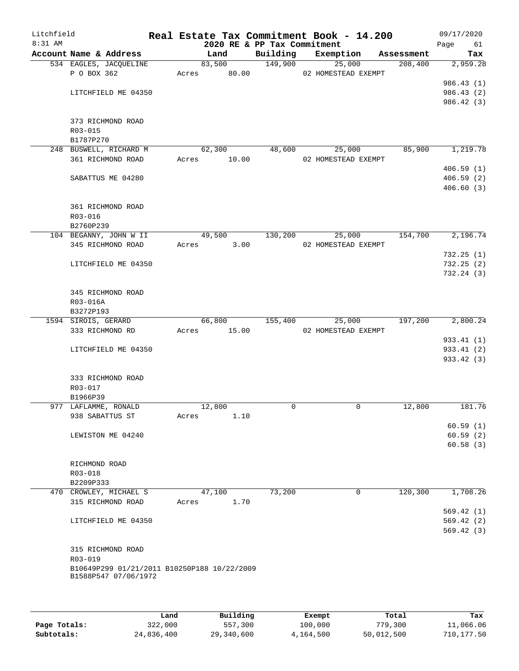| Litchfield<br>$8:31$ AM |                     |                                             |       |                | 2020 RE & PP Tax Commitment | Real Estate Tax Commitment Book - 14.200 |         | 09/17/2020<br>Page<br>61 |
|-------------------------|---------------------|---------------------------------------------|-------|----------------|-----------------------------|------------------------------------------|---------|--------------------------|
|                         |                     | Account Name & Address                      |       | Land           |                             | Building Exemption Assessment            |         | Tax                      |
|                         |                     | 534 EAGLES, JACQUELINE                      |       | 83,500         | 149,900                     | 25,000                                   | 208,400 | 2,959.28                 |
|                         | P O BOX 362         |                                             |       | Acres 80.00    |                             | 02 HOMESTEAD EXEMPT                      |         |                          |
|                         |                     |                                             |       |                |                             |                                          |         | 986.43(1)                |
|                         |                     | LITCHFIELD ME 04350                         |       |                |                             |                                          |         | 986.43 (2)               |
|                         |                     |                                             |       |                |                             |                                          |         | 986.42 (3)               |
|                         |                     | 373 RICHMOND ROAD                           |       |                |                             |                                          |         |                          |
|                         | R03-015             |                                             |       |                |                             |                                          |         |                          |
|                         | B1787P270           |                                             |       |                |                             |                                          |         |                          |
|                         |                     | 248 BUSWELL, RICHARD M                      |       | 62,300         | 48,600                      | 25,000                                   | 85,900  | 1,219.78                 |
|                         |                     | 361 RICHMOND ROAD                           |       | Acres 10.00    |                             | 02 HOMESTEAD EXEMPT                      |         |                          |
|                         |                     |                                             |       |                |                             |                                          |         | 406.59(1)                |
|                         |                     | SABATTUS ME 04280                           |       |                |                             |                                          |         | 406.59 (2)               |
|                         |                     |                                             |       |                |                             |                                          |         | 406.60(3)                |
|                         |                     |                                             |       |                |                             |                                          |         |                          |
|                         |                     | 361 RICHMOND ROAD                           |       |                |                             |                                          |         |                          |
|                         | R03-016             |                                             |       |                |                             |                                          |         |                          |
|                         | B2760P239           |                                             |       |                |                             |                                          |         |                          |
|                         |                     | 104 BEGANNY, JOHN W II                      |       | 49,500         | 130,200                     | 25,000<br>02 HOMESTEAD EXEMPT            | 154,700 | 2,196.74                 |
|                         |                     | 345 RICHMOND ROAD                           |       | Acres 3.00     |                             |                                          |         | 732.25(1)                |
|                         |                     | LITCHFIELD ME 04350                         |       |                |                             |                                          |         | 732.25(2)                |
|                         |                     |                                             |       |                |                             |                                          |         | 732.24 (3)               |
|                         |                     |                                             |       |                |                             |                                          |         |                          |
|                         |                     | 345 RICHMOND ROAD                           |       |                |                             |                                          |         |                          |
|                         | R03-016A            |                                             |       |                |                             |                                          |         |                          |
|                         | B3272P193           |                                             |       |                |                             |                                          |         |                          |
|                         | 1594 SIROIS, GERARD |                                             |       | 66,800         | 155,400                     | 25,000                                   | 197,200 | 2,800.24                 |
|                         |                     | 333 RICHMOND RD                             | Acres | 15.00          |                             | 02 HOMESTEAD EXEMPT                      |         |                          |
|                         |                     |                                             |       |                |                             |                                          |         | 933.41 (1)               |
|                         |                     | LITCHFIELD ME 04350                         |       |                |                             |                                          |         | 933.41 (2)               |
|                         |                     |                                             |       |                |                             |                                          |         | 933.42 (3)               |
|                         |                     | 333 RICHMOND ROAD                           |       |                |                             |                                          |         |                          |
|                         | R03-017             |                                             |       |                |                             |                                          |         |                          |
|                         | B1966P39            |                                             |       |                |                             |                                          |         |                          |
|                         |                     | 977 LAFLAMME, RONALD                        |       | 12,800         | $\mathbf 0$                 | $\mathbf 0$                              | 12,800  | 181.76                   |
|                         |                     | 938 SABATTUS ST                             | Acres | 1.10           |                             |                                          |         |                          |
|                         |                     |                                             |       |                |                             |                                          |         | 60.59(1)                 |
|                         |                     | LEWISTON ME 04240                           |       |                |                             |                                          |         | 60.59(2)                 |
|                         |                     |                                             |       |                |                             |                                          |         | 60.58(3)                 |
|                         |                     |                                             |       |                |                             |                                          |         |                          |
|                         | RICHMOND ROAD       |                                             |       |                |                             |                                          |         |                          |
|                         | R03-018             |                                             |       |                |                             |                                          |         |                          |
|                         | B2209P333           | 470 CROWLEY, MICHAEL S                      |       |                | 73,200                      | $\mathbf 0$                              | 120,300 | 1,708.26                 |
|                         |                     | 315 RICHMOND ROAD                           | Acres | 47,100<br>1.70 |                             |                                          |         |                          |
|                         |                     |                                             |       |                |                             |                                          |         | 569.42(1)                |
|                         |                     | LITCHFIELD ME 04350                         |       |                |                             |                                          |         | 569.42(2)                |
|                         |                     |                                             |       |                |                             |                                          |         | 569.42(3)                |
|                         |                     |                                             |       |                |                             |                                          |         |                          |
|                         |                     | 315 RICHMOND ROAD                           |       |                |                             |                                          |         |                          |
|                         | R03-019             |                                             |       |                |                             |                                          |         |                          |
|                         |                     | B10649P299 01/21/2011 B10250P188 10/22/2009 |       |                |                             |                                          |         |                          |
|                         |                     | B1588P547 07/06/1972                        |       |                |                             |                                          |         |                          |
|                         |                     |                                             |       |                |                             |                                          |         |                          |
|                         |                     |                                             |       |                |                             |                                          |         |                          |
|                         |                     |                                             |       |                |                             |                                          |         |                          |

|              | Land       | Building   | Exempt    | Total      | Tax        |
|--------------|------------|------------|-----------|------------|------------|
| Page Totals: | 322,000    | 557,300    | 100,000   | 779,300    | 11,066.06  |
| Subtotals:   | 24,836,400 | 29,340,600 | 4,164,500 | 50,012,500 | 710,177.50 |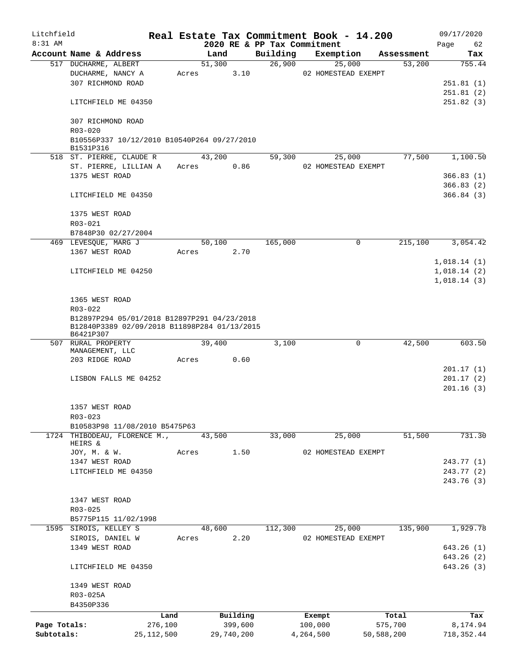| Litchfield   |                                                           |              |        |            |          | Real Estate Tax Commitment Book - 14.200 |              | 09/17/2020  |
|--------------|-----------------------------------------------------------|--------------|--------|------------|----------|------------------------------------------|--------------|-------------|
| 8:31 AM      |                                                           |              |        |            |          | 2020 RE & PP Tax Commitment              |              | Page<br>62  |
|              | Account Name & Address                                    |              | Land   |            | Building | Exemption                                | Assessment   | Tax         |
|              | 517 DUCHARME, ALBERT                                      |              | 51,300 |            | 26,900   | 25,000                                   | 53,200       | 755.44      |
|              | DUCHARME, NANCY A<br>307 RICHMOND ROAD                    |              | Acres  | 3.10       |          | 02 HOMESTEAD EXEMPT                      |              |             |
|              |                                                           |              |        |            |          |                                          |              | 251.81(1)   |
|              |                                                           |              |        |            |          |                                          |              | 251.81(2)   |
|              | LITCHFIELD ME 04350                                       |              |        |            |          |                                          |              | 251.82(3)   |
|              | 307 RICHMOND ROAD                                         |              |        |            |          |                                          |              |             |
|              | R03-020                                                   |              |        |            |          |                                          |              |             |
|              | B10556P337 10/12/2010 B10540P264 09/27/2010               |              |        |            |          |                                          |              |             |
|              | B1531P316                                                 |              |        |            |          |                                          |              |             |
|              | 518 ST. PIERRE, CLAUDE R                                  |              | 43,200 |            | 59,300   | 25,000                                   | 77,500       | 1,100.50    |
|              | ST. PIERRE, LILLIAN A                                     |              | Acres  | 0.86       |          | 02 HOMESTEAD EXEMPT                      |              |             |
|              | 1375 WEST ROAD                                            |              |        |            |          |                                          |              | 366.83(1)   |
|              |                                                           |              |        |            |          |                                          |              | 366.83(2)   |
|              | LITCHFIELD ME 04350                                       |              |        |            |          |                                          |              | 366.84(3)   |
|              |                                                           |              |        |            |          |                                          |              |             |
|              | 1375 WEST ROAD                                            |              |        |            |          |                                          |              |             |
|              | R03-021                                                   |              |        |            |          |                                          |              |             |
|              | B7848P30 02/27/2004                                       |              |        |            |          |                                          |              |             |
|              | 469 LEVESOUE, MARG J                                      |              | 50,100 |            | 165,000  |                                          | 0<br>215,100 | 3,054.42    |
|              | 1367 WEST ROAD                                            |              | Acres  | 2.70       |          |                                          |              |             |
|              |                                                           |              |        |            |          |                                          |              | 1,018.14(1) |
|              | LITCHFIELD ME 04250                                       |              |        |            |          |                                          |              | 1,018.14(2) |
|              |                                                           |              |        |            |          |                                          |              | 1,018.14(3) |
|              |                                                           |              |        |            |          |                                          |              |             |
|              | 1365 WEST ROAD                                            |              |        |            |          |                                          |              |             |
|              | R03-022                                                   |              |        |            |          |                                          |              |             |
|              | B12897P294 05/01/2018 B12897P291 04/23/2018               |              |        |            |          |                                          |              |             |
|              | B12840P3389 02/09/2018 B11898P284 01/13/2015<br>B6421P307 |              |        |            |          |                                          |              |             |
|              | 507 RURAL PROPERTY                                        |              | 39,400 |            | 3,100    |                                          | 0<br>42,500  | 603.50      |
|              | MANAGEMENT, LLC                                           |              |        |            |          |                                          |              |             |
|              | 203 RIDGE ROAD                                            |              | Acres  | 0.60       |          |                                          |              |             |
|              |                                                           |              |        |            |          |                                          |              | 201.17(1)   |
|              | LISBON FALLS ME 04252                                     |              |        |            |          |                                          |              | 201.17(2)   |
|              |                                                           |              |        |            |          |                                          |              | 201.16(3)   |
|              |                                                           |              |        |            |          |                                          |              |             |
|              | 1357 WEST ROAD                                            |              |        |            |          |                                          |              |             |
|              | $R03 - 023$                                               |              |        |            |          |                                          |              |             |
|              | B10583P98 11/08/2010 B5475P63                             |              |        |            |          |                                          |              |             |
|              | 1724 THIBODEAU, FLORENCE M.,                              |              | 43,500 |            | 33,000   | 25,000                                   | 51,500       | 731.30      |
|              | HEIRS &                                                   |              |        |            |          |                                          |              |             |
|              | JOY, M. & W.<br>1347 WEST ROAD                            |              | Acres  | 1.50       |          | 02 HOMESTEAD EXEMPT                      |              | 243.77 (1)  |
|              | LITCHFIELD ME 04350                                       |              |        |            |          |                                          |              | 243.77 (2)  |
|              |                                                           |              |        |            |          |                                          |              | 243.76 (3)  |
|              |                                                           |              |        |            |          |                                          |              |             |
|              | 1347 WEST ROAD                                            |              |        |            |          |                                          |              |             |
|              | R03-025                                                   |              |        |            |          |                                          |              |             |
|              | B5775P115 11/02/1998                                      |              |        |            |          |                                          |              |             |
|              | 1595 SIROIS, KELLEY S                                     |              | 48,600 |            | 112,300  | 25,000                                   | 135,900      | 1,929.78    |
|              | SIROIS, DANIEL W                                          |              | Acres  | 2.20       |          | 02 HOMESTEAD EXEMPT                      |              |             |
|              | 1349 WEST ROAD                                            |              |        |            |          |                                          |              | 643.26(1)   |
|              |                                                           |              |        |            |          |                                          |              | 643.26 (2)  |
|              | LITCHFIELD ME 04350                                       |              |        |            |          |                                          |              | 643.26 (3)  |
|              |                                                           |              |        |            |          |                                          |              |             |
|              | 1349 WEST ROAD                                            |              |        |            |          |                                          |              |             |
|              | R03-025A                                                  |              |        |            |          |                                          |              |             |
|              | B4350P336                                                 |              |        |            |          |                                          |              |             |
|              |                                                           | Land         |        | Building   |          | Exempt                                   | Total        | Tax         |
| Page Totals: |                                                           | 276,100      |        | 399,600    |          | 100,000                                  | 575,700      | 8,174.94    |
| Subtotals:   |                                                           | 25, 112, 500 |        | 29,740,200 |          | 4,264,500                                | 50,588,200   | 718, 352.44 |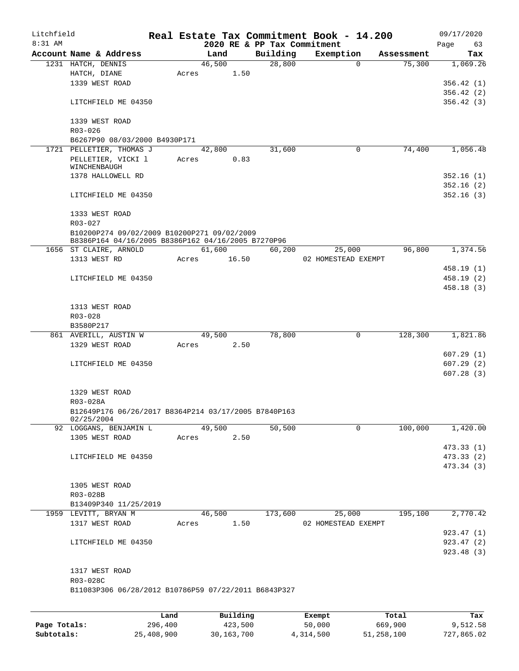| Litchfield |                                                                              |      |       |        |          |                                         | Real Estate Tax Commitment Book - 14.200 |       |            | 09/17/2020        |
|------------|------------------------------------------------------------------------------|------|-------|--------|----------|-----------------------------------------|------------------------------------------|-------|------------|-------------------|
| 8:31 AM    | Account Name & Address                                                       |      |       | Land   |          | 2020 RE & PP Tax Commitment<br>Building | Exemption                                |       | Assessment | Page<br>63<br>Tax |
|            | 1231 HATCH, DENNIS                                                           |      |       | 46,500 |          | 28,800                                  | $\Omega$                                 |       | 75,300     | 1,069.26          |
|            | HATCH, DIANE                                                                 |      | Acres |        | 1.50     |                                         |                                          |       |            |                   |
|            | 1339 WEST ROAD                                                               |      |       |        |          |                                         |                                          |       |            | 356.42(1)         |
|            |                                                                              |      |       |        |          |                                         |                                          |       |            | 356.42(2)         |
|            | LITCHFIELD ME 04350                                                          |      |       |        |          |                                         |                                          |       |            | 356.42(3)         |
|            | 1339 WEST ROAD<br>$R03 - 026$                                                |      |       |        |          |                                         |                                          |       |            |                   |
|            | B6267P90 08/03/2000 B4930P171                                                |      |       |        |          |                                         |                                          |       |            |                   |
|            | 1721 PELLETIER, THOMAS J                                                     |      |       | 42,800 |          | 31,600                                  | 0                                        |       | 74,400     | 1,056.48          |
|            | PELLETIER, VICKI 1<br>WINCHENBAUGH                                           |      | Acres |        | 0.83     |                                         |                                          |       |            |                   |
|            | 1378 HALLOWELL RD                                                            |      |       |        |          |                                         |                                          |       |            | 352.16(1)         |
|            |                                                                              |      |       |        |          |                                         |                                          |       |            | 352.16(2)         |
|            | LITCHFIELD ME 04350                                                          |      |       |        |          |                                         |                                          |       |            | 352.16(3)         |
|            | 1333 WEST ROAD                                                               |      |       |        |          |                                         |                                          |       |            |                   |
|            | R03-027                                                                      |      |       |        |          |                                         |                                          |       |            |                   |
|            | B10200P274 09/02/2009 B10200P271 09/02/2009                                  |      |       |        |          |                                         |                                          |       |            |                   |
|            | B8386P164 04/16/2005 B8386P162 04/16/2005 B7270P96<br>1656 ST CLAIRE, ARNOLD |      |       | 61,600 |          | 60,200                                  | 25,000                                   |       | 96,800     | 1,374.56          |
|            | 1313 WEST RD                                                                 |      | Acres |        | 16.50    |                                         | 02 HOMESTEAD EXEMPT                      |       |            |                   |
|            |                                                                              |      |       |        |          |                                         |                                          |       |            | 458.19 (1)        |
|            | LITCHFIELD ME 04350                                                          |      |       |        |          |                                         |                                          |       |            | 458.19 (2)        |
|            |                                                                              |      |       |        |          |                                         |                                          |       |            | 458.18 (3)        |
|            | 1313 WEST ROAD                                                               |      |       |        |          |                                         |                                          |       |            |                   |
|            | R03-028                                                                      |      |       |        |          |                                         |                                          |       |            |                   |
|            | B3580P217                                                                    |      |       |        |          |                                         |                                          |       |            |                   |
|            | 861 AVERILL, AUSTIN W<br>1329 WEST ROAD                                      |      | Acres | 49,500 | 2.50     | 78,800                                  | $\mathbf 0$                              |       | 128,300    | 1,821.86          |
|            |                                                                              |      |       |        |          |                                         |                                          |       |            | 607.29(1)         |
|            | LITCHFIELD ME 04350                                                          |      |       |        |          |                                         |                                          |       |            | 607.29(2)         |
|            |                                                                              |      |       |        |          |                                         |                                          |       |            | 607.28(3)         |
|            | 1329 WEST ROAD                                                               |      |       |        |          |                                         |                                          |       |            |                   |
|            | R03-028A                                                                     |      |       |        |          |                                         |                                          |       |            |                   |
|            | B12649P176 06/26/2017 B8364P214 03/17/2005 B7840P163<br>02/25/2004           |      |       |        |          |                                         |                                          |       |            |                   |
|            | 92 LOGGANS, BENJAMIN L                                                       |      |       | 49,500 |          | 50,500                                  | $\Omega$                                 |       | 100,000    | 1,420.00          |
|            | 1305 WEST ROAD                                                               |      | Acres |        | 2.50     |                                         |                                          |       |            |                   |
|            |                                                                              |      |       |        |          |                                         |                                          |       |            | 473.33(1)         |
|            | LITCHFIELD ME 04350                                                          |      |       |        |          |                                         |                                          |       |            | 473.33 (2)        |
|            |                                                                              |      |       |        |          |                                         |                                          |       |            | 473.34 (3)        |
|            | 1305 WEST ROAD                                                               |      |       |        |          |                                         |                                          |       |            |                   |
|            | R03-028B                                                                     |      |       |        |          |                                         |                                          |       |            |                   |
|            | B13409P340 11/25/2019                                                        |      |       |        |          |                                         |                                          |       |            |                   |
|            | 1959 LEVITT, BRYAN M                                                         |      |       | 46,500 |          | 173,600                                 | 25,000                                   |       | 195,100    | 2,770.42          |
|            | 1317 WEST ROAD                                                               |      | Acres |        | 1.50     |                                         | 02 HOMESTEAD EXEMPT                      |       |            |                   |
|            |                                                                              |      |       |        |          |                                         |                                          |       |            | 923.47 (1)        |
|            | LITCHFIELD ME 04350                                                          |      |       |        |          |                                         |                                          |       |            | 923.47 (2)        |
|            |                                                                              |      |       |        |          |                                         |                                          |       |            | 923.48 (3)        |
|            | 1317 WEST ROAD                                                               |      |       |        |          |                                         |                                          |       |            |                   |
|            | R03-028C                                                                     |      |       |        |          |                                         |                                          |       |            |                   |
|            | B11083P306 06/28/2012 B10786P59 07/22/2011 B6843P327                         |      |       |        |          |                                         |                                          |       |            |                   |
|            |                                                                              |      |       |        |          |                                         |                                          |       |            |                   |
|            |                                                                              | Land |       |        | Building |                                         | Exempt                                   | Total |            | Tax               |

|              | Land       | Building   | Exempt    | Total      | Tax        |
|--------------|------------|------------|-----------|------------|------------|
| Page Totals: | 296,400    | 423,500    | 50,000    | 669,900    | 9,512.58   |
| Subtotals:   | 25,408,900 | 30,163,700 | 4,314,500 | 51,258,100 | 727,865.02 |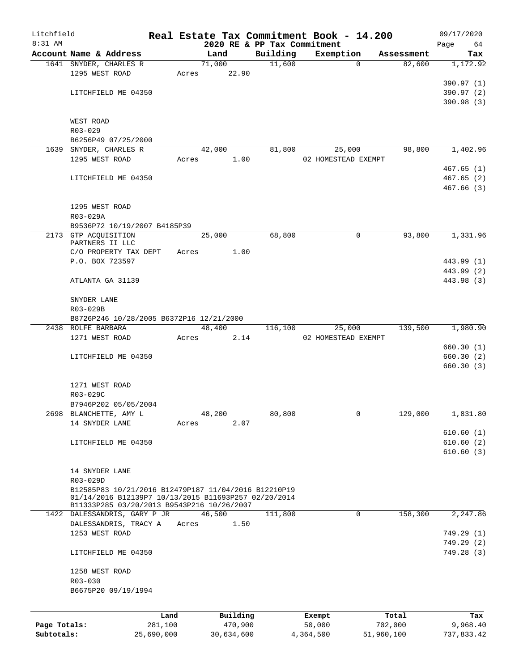| Litchfield   |                                          |                                                                                                    |       |            |          |                             |           | Real Estate Tax Commitment Book - 14.200 |            | 09/17/2020 |
|--------------|------------------------------------------|----------------------------------------------------------------------------------------------------|-------|------------|----------|-----------------------------|-----------|------------------------------------------|------------|------------|
| 8:31 AM      |                                          |                                                                                                    |       |            |          | 2020 RE & PP Tax Commitment |           |                                          |            | Page<br>64 |
|              | Account Name & Address                   |                                                                                                    |       | Land       |          | Building                    |           | Exemption                                | Assessment | Tax        |
|              | 1641 SNYDER, CHARLES R<br>1295 WEST ROAD |                                                                                                    | Acres | 71,000     | 22.90    | 11,600                      |           | $\Omega$                                 | 82,600     | 1,172.92   |
|              |                                          |                                                                                                    |       |            |          |                             |           |                                          |            | 390.97 (1) |
|              | LITCHFIELD ME 04350                      |                                                                                                    |       |            |          |                             |           |                                          |            | 390.97 (2) |
|              |                                          |                                                                                                    |       |            |          |                             |           |                                          |            | 390.98 (3) |
|              |                                          |                                                                                                    |       |            |          |                             |           |                                          |            |            |
|              | WEST ROAD                                |                                                                                                    |       |            |          |                             |           |                                          |            |            |
|              | R03-029                                  |                                                                                                    |       |            |          |                             |           |                                          |            |            |
|              | B6256P49 07/25/2000                      |                                                                                                    |       |            |          |                             |           |                                          |            |            |
|              | 1639 SNYDER, CHARLES R                   |                                                                                                    |       | 42,000     |          | 81,800                      |           | 25,000                                   | 98,800     | 1,402.96   |
|              | 1295 WEST ROAD                           |                                                                                                    | Acres |            | 1.00     |                             |           | 02 HOMESTEAD EXEMPT                      |            |            |
|              |                                          |                                                                                                    |       |            |          |                             |           |                                          |            | 467.65(1)  |
|              | LITCHFIELD ME 04350                      |                                                                                                    |       |            |          |                             |           |                                          |            | 467.65(2)  |
|              |                                          |                                                                                                    |       |            |          |                             |           |                                          |            | 467.66(3)  |
|              | 1295 WEST ROAD                           |                                                                                                    |       |            |          |                             |           |                                          |            |            |
|              | R03-029A                                 |                                                                                                    |       |            |          |                             |           |                                          |            |            |
|              |                                          | B9536P72 10/19/2007 B4185P39                                                                       |       |            |          |                             |           |                                          |            |            |
|              | 2173 GTP ACQUISITION                     |                                                                                                    |       | 25,000     |          | 68,800                      |           | $\mathsf{O}$                             | 93,800     | 1,331.96   |
|              | PARTNERS II LLC                          |                                                                                                    |       |            |          |                             |           |                                          |            |            |
|              | C/O PROPERTY TAX DEPT                    |                                                                                                    | Acres |            | 1.00     |                             |           |                                          |            |            |
|              | P.O. BOX 723597                          |                                                                                                    |       |            |          |                             |           |                                          |            | 443.99 (1) |
|              |                                          |                                                                                                    |       |            |          |                             |           |                                          |            | 443.99 (2) |
|              | ATLANTA GA 31139                         |                                                                                                    |       |            |          |                             |           |                                          |            | 443.98 (3) |
|              |                                          |                                                                                                    |       |            |          |                             |           |                                          |            |            |
|              | SNYDER LANE<br>R03-029B                  |                                                                                                    |       |            |          |                             |           |                                          |            |            |
|              |                                          | B8726P246 10/28/2005 B6372P16 12/21/2000                                                           |       |            |          |                             |           |                                          |            |            |
|              | 2438 ROLFE BARBARA                       |                                                                                                    |       | 48,400     |          | 116,100                     |           | 25,000                                   | 139,500    | 1,980.90   |
|              | 1271 WEST ROAD                           |                                                                                                    | Acres |            | 2.14     |                             |           | 02 HOMESTEAD EXEMPT                      |            |            |
|              |                                          |                                                                                                    |       |            |          |                             |           |                                          |            | 660.30(1)  |
|              | LITCHFIELD ME 04350                      |                                                                                                    |       |            |          |                             |           |                                          |            | 660.30(2)  |
|              |                                          |                                                                                                    |       |            |          |                             |           |                                          |            | 660.30(3)  |
|              |                                          |                                                                                                    |       |            |          |                             |           |                                          |            |            |
|              | 1271 WEST ROAD                           |                                                                                                    |       |            |          |                             |           |                                          |            |            |
|              | R03-029C                                 |                                                                                                    |       |            |          |                             |           |                                          |            |            |
|              | B7946P202 05/05/2004                     |                                                                                                    |       |            |          |                             |           |                                          |            |            |
|              | 2698 BLANCHETTE, AMY L<br>14 SNYDER LANE |                                                                                                    | Acres | 48,200     | 2.07     | 80,800                      |           | 0                                        | 129,000    | 1,831.80   |
|              |                                          |                                                                                                    |       |            |          |                             |           |                                          |            | 610.60(1)  |
|              | LITCHFIELD ME 04350                      |                                                                                                    |       |            |          |                             |           |                                          |            | 610.60(2)  |
|              |                                          |                                                                                                    |       |            |          |                             |           |                                          |            | 610.60(3)  |
|              |                                          |                                                                                                    |       |            |          |                             |           |                                          |            |            |
|              | 14 SNYDER LANE                           |                                                                                                    |       |            |          |                             |           |                                          |            |            |
|              | R03-029D                                 |                                                                                                    |       |            |          |                             |           |                                          |            |            |
|              |                                          | B12585P83 10/21/2016 B12479P187 11/04/2016 B12210P19                                               |       |            |          |                             |           |                                          |            |            |
|              |                                          | 01/14/2016 B12139P7 10/13/2015 B11693P257 02/20/2014<br>B11333P285 03/20/2013 B9543P216 10/26/2007 |       |            |          |                             |           |                                          |            |            |
|              |                                          | 1422 DALESSANDRIS, GARY P JR                                                                       |       | 46,500     |          | 111,800                     |           | 0                                        | 158,300    | 2,247.86   |
|              | DALESSANDRIS, TRACY A                    |                                                                                                    | Acres |            | 1.50     |                             |           |                                          |            |            |
|              | 1253 WEST ROAD                           |                                                                                                    |       |            |          |                             |           |                                          |            | 749.29 (1) |
|              |                                          |                                                                                                    |       |            |          |                             |           |                                          |            | 749.29(2)  |
|              | LITCHFIELD ME 04350                      |                                                                                                    |       |            |          |                             |           |                                          |            | 749.28(3)  |
|              |                                          |                                                                                                    |       |            |          |                             |           |                                          |            |            |
|              | 1258 WEST ROAD                           |                                                                                                    |       |            |          |                             |           |                                          |            |            |
|              | $R03 - 030$                              |                                                                                                    |       |            |          |                             |           |                                          |            |            |
|              | B6675P20 09/19/1994                      |                                                                                                    |       |            |          |                             |           |                                          |            |            |
|              |                                          |                                                                                                    |       |            |          |                             |           |                                          |            |            |
|              |                                          | Land                                                                                               |       |            | Building |                             | Exempt    |                                          | Total      | Tax        |
| Page Totals: |                                          | 281,100                                                                                            |       |            | 470,900  |                             | 50,000    |                                          | 702,000    | 9,968.40   |
| Subtotals:   |                                          | 25,690,000                                                                                         |       | 30,634,600 |          |                             | 4,364,500 |                                          | 51,960,100 | 737,833.42 |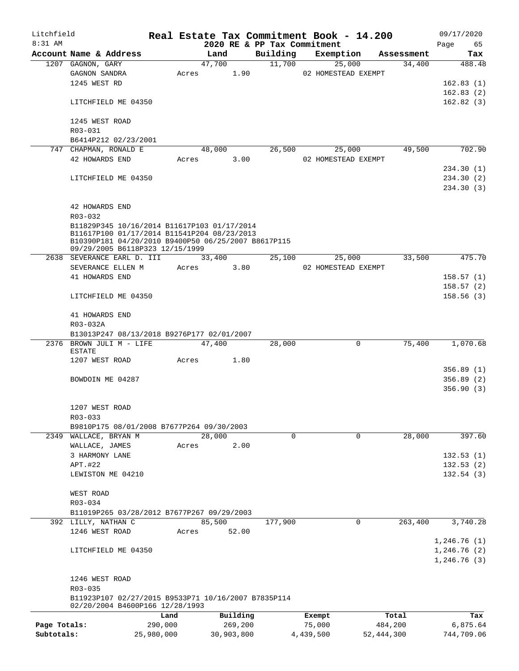| Litchfield   |                                                                                        | Real Estate Tax Commitment Book - 14.200 |        |            |                             |           |                     |            | 09/17/2020  |
|--------------|----------------------------------------------------------------------------------------|------------------------------------------|--------|------------|-----------------------------|-----------|---------------------|------------|-------------|
| 8:31 AM      |                                                                                        |                                          |        |            | 2020 RE & PP Tax Commitment |           |                     |            | Page<br>65  |
|              | Account Name & Address                                                                 |                                          | Land   |            | Building                    |           | Exemption           | Assessment | Tax         |
|              | 1207 GAGNON, GARY                                                                      |                                          | 47,700 |            | 11,700                      |           | 25,000              | 34,400     | 488.48      |
|              | GAGNON SANDRA                                                                          | Acres                                    |        | 1.90       |                             |           | 02 HOMESTEAD EXEMPT |            |             |
|              | 1245 WEST RD                                                                           |                                          |        |            |                             |           |                     |            | 162.83(1)   |
|              |                                                                                        |                                          |        |            |                             |           |                     |            | 162.83(2)   |
|              | LITCHFIELD ME 04350                                                                    |                                          |        |            |                             |           |                     |            | 162.82(3)   |
|              | 1245 WEST ROAD<br>$R03 - 031$                                                          |                                          |        |            |                             |           |                     |            |             |
|              | B6414P212 02/23/2001                                                                   |                                          |        |            |                             |           |                     |            |             |
|              | 747 CHAPMAN, RONALD E                                                                  |                                          | 48,000 |            | 26,500                      |           | 25,000              | 49,500     | 702.90      |
|              | 42 HOWARDS END                                                                         | Acres                                    |        | 3.00       |                             |           | 02 HOMESTEAD EXEMPT |            |             |
|              |                                                                                        |                                          |        |            |                             |           |                     |            | 234.30(1)   |
|              | LITCHFIELD ME 04350                                                                    |                                          |        |            |                             |           |                     |            | 234.30(2)   |
|              |                                                                                        |                                          |        |            |                             |           |                     |            | 234.30(3)   |
|              |                                                                                        |                                          |        |            |                             |           |                     |            |             |
|              | 42 HOWARDS END                                                                         |                                          |        |            |                             |           |                     |            |             |
|              | $R03 - 032$                                                                            |                                          |        |            |                             |           |                     |            |             |
|              | B11829P345 10/16/2014 B11617P103 01/17/2014                                            |                                          |        |            |                             |           |                     |            |             |
|              | B11617P100 01/17/2014 B11541P204 08/23/2013                                            |                                          |        |            |                             |           |                     |            |             |
|              | B10390P181 04/20/2010 B9400P50 06/25/2007 B8617P115<br>09/29/2005 B6118P323 12/15/1999 |                                          |        |            |                             |           |                     |            |             |
|              | 2638 SEVERANCE EARL D. III                                                             |                                          | 33,400 |            | 25,100                      |           | 25,000              | 33,500     | 475.70      |
|              | SEVERANCE ELLEN M                                                                      | Acres                                    |        | 3.80       |                             |           | 02 HOMESTEAD EXEMPT |            |             |
|              | 41 HOWARDS END                                                                         |                                          |        |            |                             |           |                     |            | 158.57(1)   |
|              |                                                                                        |                                          |        |            |                             |           |                     |            | 158.57(2)   |
|              | LITCHFIELD ME 04350                                                                    |                                          |        |            |                             |           |                     |            | 158.56(3)   |
|              | 41 HOWARDS END                                                                         |                                          |        |            |                             |           |                     |            |             |
|              | R03-032A                                                                               |                                          |        |            |                             |           |                     |            |             |
|              | B13013P247 08/13/2018 B9276P177 02/01/2007                                             |                                          |        |            |                             |           |                     |            |             |
|              | 2376 BROWN JULI M - LIFE                                                               |                                          | 47,400 |            | 28,000                      |           | $\mathbf 0$         | 75,400     | 1,070.68    |
|              | <b>ESTATE</b>                                                                          |                                          |        |            |                             |           |                     |            |             |
|              | 1207 WEST ROAD                                                                         | Acres                                    |        | 1.80       |                             |           |                     |            |             |
|              |                                                                                        |                                          |        |            |                             |           |                     |            | 356.89(1)   |
|              | BOWDOIN ME 04287                                                                       |                                          |        |            |                             |           |                     |            | 356.89(2)   |
|              |                                                                                        |                                          |        |            |                             |           |                     |            | 356.90(3)   |
|              |                                                                                        |                                          |        |            |                             |           |                     |            |             |
|              | 1207 WEST ROAD                                                                         |                                          |        |            |                             |           |                     |            |             |
|              | R03-033                                                                                |                                          |        |            |                             |           |                     |            |             |
|              | B9810P175 08/01/2008 B7677P264 09/30/2003                                              |                                          |        |            |                             |           |                     |            |             |
|              | 2349 WALLACE, BRYAN M                                                                  |                                          | 28,000 |            | $\Omega$                    |           | 0                   | 28,000     | 397.60      |
|              | WALLACE, JAMES                                                                         | Acres                                    |        | 2.00       |                             |           |                     |            |             |
|              | 3 HARMONY LANE                                                                         |                                          |        |            |                             |           |                     |            | 132.53(1)   |
|              | APT.#22                                                                                |                                          |        |            |                             |           |                     |            | 132.53(2)   |
|              | LEWISTON ME 04210                                                                      |                                          |        |            |                             |           |                     |            | 132.54(3)   |
|              |                                                                                        |                                          |        |            |                             |           |                     |            |             |
|              | WEST ROAD                                                                              |                                          |        |            |                             |           |                     |            |             |
|              | R03-034                                                                                |                                          |        |            |                             |           |                     |            |             |
|              | B11019P265 03/28/2012 B7677P267 09/29/2003                                             |                                          |        |            |                             |           |                     |            |             |
|              | 392 LILLY, NATHAN C                                                                    |                                          | 85,500 |            | 177,900                     |           | 0                   | 263,400    | 3,740.28    |
|              | 1246 WEST ROAD                                                                         | Acres                                    |        | 52.00      |                             |           |                     |            |             |
|              |                                                                                        |                                          |        |            |                             |           |                     |            | 1,246.76(1) |
|              | LITCHFIELD ME 04350                                                                    |                                          |        |            |                             |           |                     |            | 1,246.76(2) |
|              |                                                                                        |                                          |        |            |                             |           |                     |            | 1,246.76(3) |
|              | 1246 WEST ROAD                                                                         |                                          |        |            |                             |           |                     |            |             |
|              | R03-035                                                                                |                                          |        |            |                             |           |                     |            |             |
|              | B11923P107 02/27/2015 B9533P71 10/16/2007 B7835P114<br>02/20/2004 B4600P166 12/28/1993 |                                          |        |            |                             |           |                     |            |             |
|              |                                                                                        | Land                                     |        | Building   |                             | Exempt    |                     | Total      | Tax         |
| Page Totals: |                                                                                        | 290,000                                  |        | 269,200    |                             | 75,000    |                     | 484,200    | 6,875.64    |
| Subtotals:   |                                                                                        | 25,980,000                               |        | 30,903,800 |                             | 4,439,500 |                     | 52,444,300 | 744,709.06  |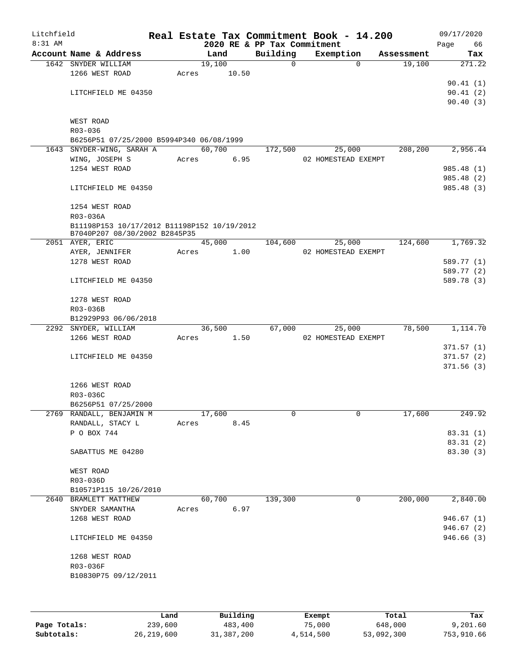| Litchfield<br>$8:31$ AM |                                                                              |       |        |       |                                         | Real Estate Tax Commitment Book - 14.200 |            | 09/17/2020             |
|-------------------------|------------------------------------------------------------------------------|-------|--------|-------|-----------------------------------------|------------------------------------------|------------|------------------------|
|                         | Account Name & Address                                                       |       | Land   |       | 2020 RE & PP Tax Commitment<br>Building | Exemption                                | Assessment | Page<br>66             |
|                         | 1642 SNYDER WILLIAM                                                          |       | 19,100 |       | 0                                       | $\Omega$                                 | 19,100     | Tax<br>271.22          |
|                         | 1266 WEST ROAD                                                               | Acres |        | 10.50 |                                         |                                          |            |                        |
|                         |                                                                              |       |        |       |                                         |                                          |            | 90.41(1)               |
|                         | LITCHFIELD ME 04350                                                          |       |        |       |                                         |                                          |            | 90.41(2)               |
|                         |                                                                              |       |        |       |                                         |                                          |            | 90.40(3)               |
|                         |                                                                              |       |        |       |                                         |                                          |            |                        |
|                         | WEST ROAD                                                                    |       |        |       |                                         |                                          |            |                        |
|                         | R03-036                                                                      |       |        |       |                                         |                                          |            |                        |
|                         | B6256P51 07/25/2000 B5994P340 06/08/1999<br>1643 SNYDER-WING, SARAH A        |       | 60,700 |       | 172,500                                 |                                          |            | 2,956.44               |
|                         | WING, JOSEPH S                                                               | Acres |        | 6.95  |                                         | 25,000<br>02 HOMESTEAD EXEMPT            | 208,200    |                        |
|                         | 1254 WEST ROAD                                                               |       |        |       |                                         |                                          |            | 985.48 (1)             |
|                         |                                                                              |       |        |       |                                         |                                          |            | 985.48 (2)             |
|                         | LITCHFIELD ME 04350                                                          |       |        |       |                                         |                                          |            | 985.48 (3)             |
|                         |                                                                              |       |        |       |                                         |                                          |            |                        |
|                         | 1254 WEST ROAD                                                               |       |        |       |                                         |                                          |            |                        |
|                         | R03-036A                                                                     |       |        |       |                                         |                                          |            |                        |
|                         | B11198P153 10/17/2012 B11198P152 10/19/2012<br>B7040P207 08/30/2002 B2845P35 |       |        |       |                                         |                                          |            |                        |
|                         | 2051 AYER, ERIC                                                              |       | 45,000 |       | 104,600                                 | 25,000                                   | 124,600    | 1,769.32               |
|                         | AYER, JENNIFER                                                               | Acres |        | 1.00  |                                         | 02 HOMESTEAD EXEMPT                      |            |                        |
|                         | 1278 WEST ROAD                                                               |       |        |       |                                         |                                          |            | 589.77 (1)             |
|                         |                                                                              |       |        |       |                                         |                                          |            | 589.77 (2)             |
|                         | LITCHFIELD ME 04350                                                          |       |        |       |                                         |                                          |            | 589.78 (3)             |
|                         | 1278 WEST ROAD                                                               |       |        |       |                                         |                                          |            |                        |
|                         | R03-036B                                                                     |       |        |       |                                         |                                          |            |                        |
|                         | B12929P93 06/06/2018                                                         |       |        |       |                                         |                                          |            |                        |
|                         | 2292 SNYDER, WILLIAM                                                         |       | 36,500 |       | 67,000                                  | 25,000                                   | 78,500     | 1,114.70               |
|                         | 1266 WEST ROAD                                                               | Acres |        | 1.50  |                                         | 02 HOMESTEAD EXEMPT                      |            |                        |
|                         |                                                                              |       |        |       |                                         |                                          |            | 371.57(1)              |
|                         | LITCHFIELD ME 04350                                                          |       |        |       |                                         |                                          |            | 371.57(2)<br>371.56(3) |
|                         |                                                                              |       |        |       |                                         |                                          |            |                        |
|                         | 1266 WEST ROAD                                                               |       |        |       |                                         |                                          |            |                        |
|                         | R03-036C                                                                     |       |        |       |                                         |                                          |            |                        |
|                         | B6256P51 07/25/2000                                                          |       |        |       |                                         |                                          |            |                        |
|                         | 2769 RANDALL, BENJAMIN M                                                     |       | 17,600 |       | 0                                       | 0                                        | 17,600     | 249.92                 |
|                         | RANDALL, STACY L                                                             | Acres |        | 8.45  |                                         |                                          |            |                        |
|                         | P O BOX 744                                                                  |       |        |       |                                         |                                          |            | 83.31(1)               |
|                         |                                                                              |       |        |       |                                         |                                          |            | 83.31(2)               |
|                         | SABATTUS ME 04280                                                            |       |        |       |                                         |                                          |            | 83.30 (3)              |
|                         | WEST ROAD                                                                    |       |        |       |                                         |                                          |            |                        |
|                         | R03-036D                                                                     |       |        |       |                                         |                                          |            |                        |
|                         | B10571P115 10/26/2010                                                        |       |        |       |                                         |                                          |            |                        |
|                         | 2640 BRAMLETT MATTHEW                                                        |       | 60,700 |       | 139,300                                 | 0                                        | 200,000    | 2,840.00               |
|                         | SNYDER SAMANTHA                                                              | Acres |        | 6.97  |                                         |                                          |            |                        |
|                         | 1268 WEST ROAD                                                               |       |        |       |                                         |                                          |            | 946.67(1)              |
|                         |                                                                              |       |        |       |                                         |                                          |            | 946.67 (2)             |
|                         | LITCHFIELD ME 04350                                                          |       |        |       |                                         |                                          |            | 946.66(3)              |
|                         | 1268 WEST ROAD                                                               |       |        |       |                                         |                                          |            |                        |
|                         | R03-036F                                                                     |       |        |       |                                         |                                          |            |                        |
|                         | B10830P75 09/12/2011                                                         |       |        |       |                                         |                                          |            |                        |
|                         |                                                                              |       |        |       |                                         |                                          |            |                        |
|                         |                                                                              |       |        |       |                                         |                                          |            |                        |

|              | Land       | Building   | Exempt    | Total      | Tax        |
|--------------|------------|------------|-----------|------------|------------|
| Page Totals: | 239,600    | 483,400    | 75,000    | 648,000    | 9,201.60   |
| Subtotals:   | 26,219,600 | 31,387,200 | 4,514,500 | 53,092,300 | 753,910.66 |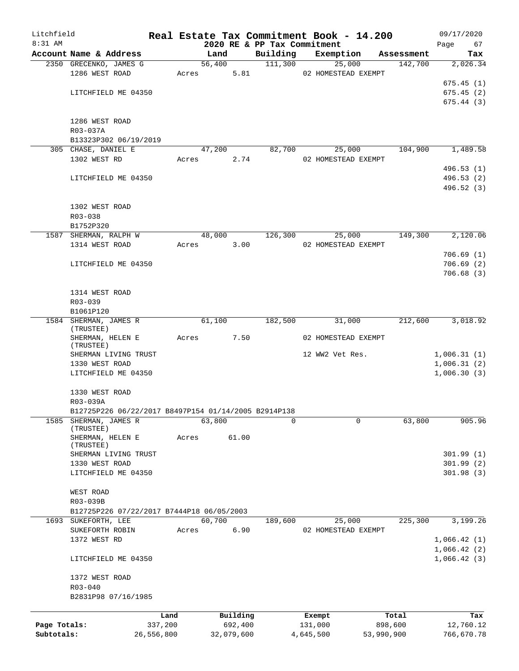| Litchfield   |                                                             |            |       |        |            |                             |           | Real Estate Tax Commitment Book - 14.200 |            | 09/17/2020                 |
|--------------|-------------------------------------------------------------|------------|-------|--------|------------|-----------------------------|-----------|------------------------------------------|------------|----------------------------|
| 8:31 AM      |                                                             |            |       |        |            | 2020 RE & PP Tax Commitment |           |                                          |            | 67<br>Page                 |
|              | Account Name & Address                                      |            |       | Land   |            | Building                    |           | Exemption                                | Assessment | Tax                        |
|              | 2350 GRECENKO, JAMES G                                      |            |       | 56,400 |            | 111,300                     |           | 25,000                                   | 142,700    | 2,026.34                   |
|              | 1286 WEST ROAD                                              |            |       | Acres  | 5.81       |                             |           | 02 HOMESTEAD EXEMPT                      |            | 675.45(1)                  |
|              |                                                             |            |       |        |            |                             |           |                                          |            |                            |
|              | LITCHFIELD ME 04350                                         |            |       |        |            |                             |           |                                          |            | 675.45(2)<br>675.44(3)     |
|              |                                                             |            |       |        |            |                             |           |                                          |            |                            |
|              | 1286 WEST ROAD                                              |            |       |        |            |                             |           |                                          |            |                            |
|              | R03-037A                                                    |            |       |        |            |                             |           |                                          |            |                            |
|              | B13323P302 06/19/2019                                       |            |       |        |            |                             |           |                                          |            |                            |
|              | 305 CHASE, DANIEL E                                         |            |       | 47,200 |            | 82,700                      |           | 25,000                                   | 104,900    | 1,489.58                   |
|              | 1302 WEST RD                                                |            | Acres |        | 2.74       |                             |           | 02 HOMESTEAD EXEMPT                      |            |                            |
|              |                                                             |            |       |        |            |                             |           |                                          |            | 496.53 (1)                 |
|              | LITCHFIELD ME 04350                                         |            |       |        |            |                             |           |                                          |            | 496.53(2)                  |
|              |                                                             |            |       |        |            |                             |           |                                          |            | 496.52 (3)                 |
|              |                                                             |            |       |        |            |                             |           |                                          |            |                            |
|              | 1302 WEST ROAD                                              |            |       |        |            |                             |           |                                          |            |                            |
|              |                                                             |            |       |        |            |                             |           |                                          |            |                            |
|              | R03-038                                                     |            |       |        |            |                             |           |                                          |            |                            |
|              | B1752P320                                                   |            |       | 48,000 |            | 126,300                     |           | 25,000                                   | 149,300    | 2,120.06                   |
|              | 1587 SHERMAN, RALPH W                                       |            |       |        |            |                             |           |                                          |            |                            |
|              | 1314 WEST ROAD                                              |            | Acres |        | 3.00       |                             |           | 02 HOMESTEAD EXEMPT                      |            |                            |
|              |                                                             |            |       |        |            |                             |           |                                          |            | 706.69(1)                  |
|              | LITCHFIELD ME 04350                                         |            |       |        |            |                             |           |                                          |            | 706.69(2)                  |
|              |                                                             |            |       |        |            |                             |           |                                          |            | 706.68(3)                  |
|              | 1314 WEST ROAD                                              |            |       |        |            |                             |           |                                          |            |                            |
|              |                                                             |            |       |        |            |                             |           |                                          |            |                            |
|              | R03-039<br>B1061P120                                        |            |       |        |            |                             |           |                                          |            |                            |
|              | 1584 SHERMAN, JAMES R                                       |            |       | 61,100 |            |                             |           |                                          |            |                            |
|              | (TRUSTEE)                                                   |            |       |        |            | 182,500                     |           | 31,000                                   | 212,600    | 3,018.92                   |
|              | SHERMAN, HELEN E                                            |            | Acres |        | 7.50       |                             |           | 02 HOMESTEAD EXEMPT                      |            |                            |
|              | (TRUSTEE)                                                   |            |       |        |            |                             |           |                                          |            |                            |
|              | SHERMAN LIVING TRUST                                        |            |       |        |            |                             |           | 12 WW2 Vet Res.                          |            | 1,006.31(1)                |
|              | 1330 WEST ROAD                                              |            |       |        |            |                             |           |                                          |            | 1,006.31(2)                |
|              | LITCHFIELD ME 04350                                         |            |       |        |            |                             |           |                                          |            | 1,006.30(3)                |
|              |                                                             |            |       |        |            |                             |           |                                          |            |                            |
|              | 1330 WEST ROAD                                              |            |       |        |            |                             |           |                                          |            |                            |
|              | R03-039A                                                    |            |       |        |            |                             |           |                                          |            |                            |
|              | B12725P226 06/22/2017 B8497P154 01/14/2005 B2914P138        |            |       |        |            |                             |           |                                          |            |                            |
| 1585         | SHERMAN, JAMES R                                            |            |       | 63,800 |            | 0                           |           | 0                                        | 63,800     | 905.96                     |
|              | (TRUSTEE)                                                   |            |       |        |            |                             |           |                                          |            |                            |
|              | SHERMAN, HELEN E                                            |            | Acres |        | 61.00      |                             |           |                                          |            |                            |
|              | (TRUSTEE)                                                   |            |       |        |            |                             |           |                                          |            |                            |
|              | SHERMAN LIVING TRUST<br>1330 WEST ROAD                      |            |       |        |            |                             |           |                                          |            | 301.99(1)<br>301.99(2)     |
|              | LITCHFIELD ME 04350                                         |            |       |        |            |                             |           |                                          |            | 301.98(3)                  |
|              |                                                             |            |       |        |            |                             |           |                                          |            |                            |
|              | WEST ROAD                                                   |            |       |        |            |                             |           |                                          |            |                            |
|              |                                                             |            |       |        |            |                             |           |                                          |            |                            |
|              | R03-039B                                                    |            |       |        |            |                             |           |                                          |            |                            |
| 1693         | B12725P226 07/22/2017 B7444P18 06/05/2003<br>SUKEFORTH, LEE |            |       | 60,700 |            | 189,600                     |           | 25,000                                   | 225,300    | 3,199.26                   |
|              | SUKEFORTH ROBIN                                             |            | Acres |        | 6.90       |                             |           | 02 HOMESTEAD EXEMPT                      |            |                            |
|              | 1372 WEST RD                                                |            |       |        |            |                             |           |                                          |            | 1,066.42(1)                |
|              |                                                             |            |       |        |            |                             |           |                                          |            |                            |
|              | LITCHFIELD ME 04350                                         |            |       |        |            |                             |           |                                          |            | 1,066.42(2)<br>1,066.42(3) |
|              |                                                             |            |       |        |            |                             |           |                                          |            |                            |
|              |                                                             |            |       |        |            |                             |           |                                          |            |                            |
|              | 1372 WEST ROAD<br>$R03 - 040$                               |            |       |        |            |                             |           |                                          |            |                            |
|              | B2831P98 07/16/1985                                         |            |       |        |            |                             |           |                                          |            |                            |
|              |                                                             |            |       |        |            |                             |           |                                          |            |                            |
|              |                                                             | Land       |       |        | Building   |                             | Exempt    |                                          | Total      | Tax                        |
| Page Totals: |                                                             | 337,200    |       |        | 692,400    |                             | 131,000   |                                          | 898,600    | 12,760.12                  |
| Subtotals:   |                                                             | 26,556,800 |       |        | 32,079,600 |                             | 4,645,500 |                                          | 53,990,900 | 766,670.78                 |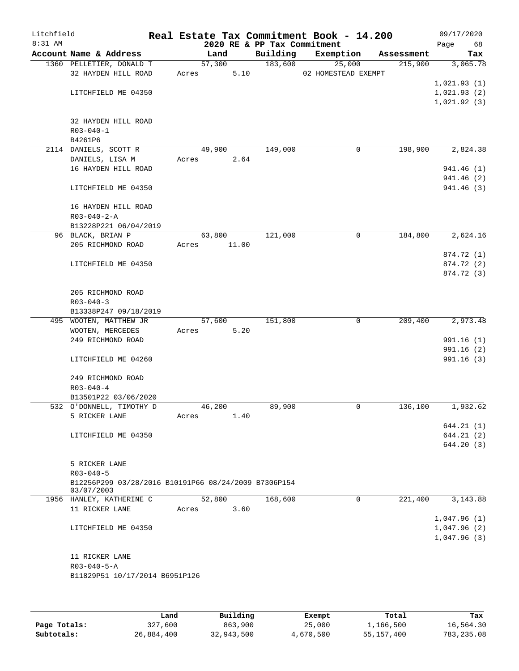| Litchfield<br>$8:31$ AM |                                                      |                | 2020 RE & PP Tax Commitment | Real Estate Tax Commitment Book - 14.200 |            | 09/17/2020<br>Page<br>68 |
|-------------------------|------------------------------------------------------|----------------|-----------------------------|------------------------------------------|------------|--------------------------|
|                         | Account Name & Address                               | Land           | Building                    | Exemption                                | Assessment | Tax                      |
|                         | 1360 PELLETIER, DONALD T                             | 57,300         | 183,600                     | 25,000                                   | 215,900    | 3,065.78                 |
|                         | 32 HAYDEN HILL ROAD                                  | 5.10<br>Acres  |                             | 02 HOMESTEAD EXEMPT                      |            |                          |
|                         |                                                      |                |                             |                                          |            | 1,021.93(1)              |
|                         | LITCHFIELD ME 04350                                  |                |                             |                                          |            | 1,021.93(2)              |
|                         |                                                      |                |                             |                                          |            | 1,021.92(3)              |
|                         |                                                      |                |                             |                                          |            |                          |
|                         | 32 HAYDEN HILL ROAD                                  |                |                             |                                          |            |                          |
|                         | $R03 - 040 - 1$                                      |                |                             |                                          |            |                          |
|                         | B4261P6<br>2114 DANIELS, SCOTT R                     | 49,900         | 149,000                     | 0                                        | 198,900    | 2,824.38                 |
|                         | DANIELS, LISA M                                      | 2.64<br>Acres  |                             |                                          |            |                          |
|                         | 16 HAYDEN HILL ROAD                                  |                |                             |                                          |            | 941.46 (1)               |
|                         |                                                      |                |                             |                                          |            | 941.46 (2)               |
|                         | LITCHFIELD ME 04350                                  |                |                             |                                          |            | 941.46 (3)               |
|                         | 16 HAYDEN HILL ROAD                                  |                |                             |                                          |            |                          |
|                         | $R03 - 040 - 2 - A$                                  |                |                             |                                          |            |                          |
|                         | B13228P221 06/04/2019                                |                |                             |                                          |            |                          |
|                         | 96 BLACK, BRIAN P                                    | 63,800         | 121,000                     | $\mathsf{O}$                             | 184,800    | 2,624.16                 |
|                         | 205 RICHMOND ROAD                                    | 11.00<br>Acres |                             |                                          |            |                          |
|                         |                                                      |                |                             |                                          |            | 874.72 (1)               |
|                         | LITCHFIELD ME 04350                                  |                |                             |                                          |            | 874.72 (2)               |
|                         |                                                      |                |                             |                                          |            | 874.72 (3)               |
|                         | 205 RICHMOND ROAD                                    |                |                             |                                          |            |                          |
|                         | $R03 - 040 - 3$                                      |                |                             |                                          |            |                          |
|                         | B13338P247 09/18/2019                                |                |                             |                                          |            |                          |
|                         | 495 WOOTEN, MATTHEW JR                               | 57,600         | 151,800                     | $\mathbf 0$                              | 209,400    | 2,973.48                 |
|                         | WOOTEN, MERCEDES                                     | 5.20<br>Acres  |                             |                                          |            |                          |
|                         | 249 RICHMOND ROAD                                    |                |                             |                                          |            | 991.16(1)                |
|                         |                                                      |                |                             |                                          |            | 991.16 (2)               |
|                         | LITCHFIELD ME 04260                                  |                |                             |                                          |            | 991.16(3)                |
|                         | 249 RICHMOND ROAD                                    |                |                             |                                          |            |                          |
|                         | $R03 - 040 - 4$                                      |                |                             |                                          |            |                          |
|                         | B13501P22 03/06/2020                                 |                |                             |                                          |            |                          |
|                         | 532 O'DONNELL, TIMOTHY D                             | 46,200         | 89,900                      | 0                                        | 136,100    | 1,932.62                 |
|                         | 5 RICKER LANE                                        | 1.40<br>Acres  |                             |                                          |            |                          |
|                         |                                                      |                |                             |                                          |            | 644.21 (1)               |
|                         | LITCHFIELD ME 04350                                  |                |                             |                                          |            | 644.21 (2)               |
|                         |                                                      |                |                             |                                          |            | 644.20 (3)               |
|                         | 5 RICKER LANE                                        |                |                             |                                          |            |                          |
|                         | $R03 - 040 - 5$                                      |                |                             |                                          |            |                          |
|                         | B12256P299 03/28/2016 B10191P66 08/24/2009 B7306P154 |                |                             |                                          |            |                          |
|                         | 03/07/2003                                           |                |                             |                                          |            |                          |
|                         | 1956 HANLEY, KATHERINE C                             | 52,800         | 168,600                     | 0                                        | 221,400    | 3, 143.88                |
|                         | 11 RICKER LANE                                       | 3.60<br>Acres  |                             |                                          |            |                          |
|                         |                                                      |                |                             |                                          |            | 1,047.96(1)              |
|                         | LITCHFIELD ME 04350                                  |                |                             |                                          |            | 1,047.96(2)              |
|                         |                                                      |                |                             |                                          |            | 1,047.96(3)              |
|                         |                                                      |                |                             |                                          |            |                          |
|                         | 11 RICKER LANE<br>$R03 - 040 - 5 - A$                |                |                             |                                          |            |                          |
|                         | B11829P51 10/17/2014 B6951P126                       |                |                             |                                          |            |                          |
|                         |                                                      |                |                             |                                          |            |                          |
|                         |                                                      |                |                             |                                          |            |                          |
|                         |                                                      |                |                             |                                          |            |                          |

|              | Land       | Building   | Exempt    | Total      | Tax         |
|--------------|------------|------------|-----------|------------|-------------|
| Page Totals: | 327,600    | 863,900    | 25,000    | 1,166,500  | 16,564.30   |
| Subtotals:   | 26,884,400 | 32,943,500 | 4,670,500 | 55,157,400 | 783, 235.08 |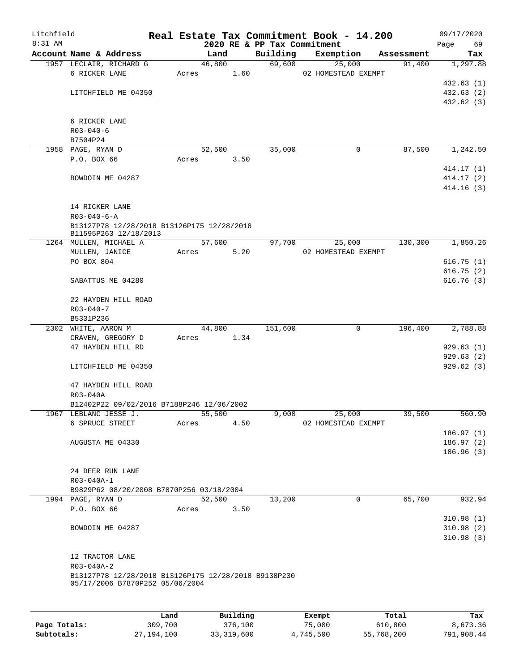| Litchfield |                                                                                         |             |                |                        |                             | Real Estate Tax Commitment Book - 14.200 |                      | 09/17/2020      |
|------------|-----------------------------------------------------------------------------------------|-------------|----------------|------------------------|-----------------------------|------------------------------------------|----------------------|-----------------|
| 8:31 AM    |                                                                                         |             |                |                        | 2020 RE & PP Tax Commitment |                                          |                      | 69<br>Page      |
|            | Account Name & Address                                                                  |             | Land<br>46,800 |                        | Building<br>69,600          | Exemption<br>25,000                      | Assessment<br>91,400 | Tax<br>1,297.88 |
|            | 1957 LECLAIR, RICHARD G<br>6 RICKER LANE                                                | Acres       |                | 1.60                   |                             | 02 HOMESTEAD EXEMPT                      |                      |                 |
|            |                                                                                         |             |                |                        |                             |                                          |                      | 432.63(1)       |
|            | LITCHFIELD ME 04350                                                                     |             |                |                        |                             |                                          |                      | 432.63 (2)      |
|            |                                                                                         |             |                |                        |                             |                                          |                      | 432.62(3)       |
|            |                                                                                         |             |                |                        |                             |                                          |                      |                 |
|            | 6 RICKER LANE                                                                           |             |                |                        |                             |                                          |                      |                 |
|            | $R03 - 040 - 6$                                                                         |             |                |                        |                             |                                          |                      |                 |
|            | B7504P24                                                                                |             |                |                        |                             |                                          |                      |                 |
|            | 1958 PAGE, RYAN D                                                                       |             | 52,500         |                        | 35,000                      | 0                                        | 87,500               | 1,242.50        |
|            | P.O. BOX 66                                                                             | Acres       |                | 3.50                   |                             |                                          |                      |                 |
|            |                                                                                         |             |                |                        |                             |                                          |                      | 414.17 (1)      |
|            | BOWDOIN ME 04287                                                                        |             |                |                        |                             |                                          |                      | 414.17 (2)      |
|            |                                                                                         |             |                |                        |                             |                                          |                      | 414.16(3)       |
|            | 14 RICKER LANE                                                                          |             |                |                        |                             |                                          |                      |                 |
|            | $R03 - 040 - 6 - A$                                                                     |             |                |                        |                             |                                          |                      |                 |
|            | B13127P78 12/28/2018 B13126P175 12/28/2018                                              |             |                |                        |                             |                                          |                      |                 |
|            | B11595P263 12/18/2013                                                                   |             |                |                        |                             |                                          |                      |                 |
|            | 1264 MULLEN, MICHAEL A                                                                  |             | 57,600         |                        | 97,700                      | 25,000                                   | 130,300              | 1,850.26        |
|            | MULLEN, JANICE                                                                          | Acres       |                | 5.20                   |                             | 02 HOMESTEAD EXEMPT                      |                      |                 |
|            | PO BOX 804                                                                              |             |                |                        |                             |                                          |                      | 616.75(1)       |
|            |                                                                                         |             |                |                        |                             |                                          |                      | 616.75(2)       |
|            | SABATTUS ME 04280                                                                       |             |                |                        |                             |                                          |                      | 616.76(3)       |
|            | 22 HAYDEN HILL ROAD                                                                     |             |                |                        |                             |                                          |                      |                 |
|            | $R03 - 040 - 7$                                                                         |             |                |                        |                             |                                          |                      |                 |
|            | B5331P236                                                                               |             |                |                        |                             |                                          |                      |                 |
|            | 2302 WHITE, AARON M                                                                     |             | 44,800         |                        | 151,600                     | 0                                        | 196,400              | 2,788.88        |
|            | CRAVEN, GREGORY D                                                                       | Acres       |                | 1.34                   |                             |                                          |                      |                 |
|            | 47 HAYDEN HILL RD                                                                       |             |                |                        |                             |                                          |                      | 929.63(1)       |
|            |                                                                                         |             |                |                        |                             |                                          |                      | 929.63(2)       |
|            | LITCHFIELD ME 04350                                                                     |             |                |                        |                             |                                          |                      | 929.62(3)       |
|            | 47 HAYDEN HILL ROAD                                                                     |             |                |                        |                             |                                          |                      |                 |
|            | R03-040A                                                                                |             |                |                        |                             |                                          |                      |                 |
|            | B12402P22 09/02/2016 B7188P246 12/06/2002                                               |             |                |                        |                             |                                          |                      |                 |
|            | 1967 LEBLANC JESSE J.                                                                   |             | 55,500         |                        | 9,000                       | 25,000                                   | 39,500               | 560.90          |
|            | 6 SPRUCE STREET                                                                         | Acres       |                | 4.50                   |                             | 02 HOMESTEAD EXEMPT                      |                      |                 |
|            |                                                                                         |             |                |                        |                             |                                          |                      | 186.97(1)       |
|            | AUGUSTA ME 04330                                                                        |             |                |                        |                             |                                          |                      | 186.97(2)       |
|            |                                                                                         |             |                |                        |                             |                                          |                      | 186.96(3)       |
|            |                                                                                         |             |                |                        |                             |                                          |                      |                 |
|            | 24 DEER RUN LANE                                                                        |             |                |                        |                             |                                          |                      |                 |
|            | R03-040A-1                                                                              |             |                |                        |                             |                                          |                      |                 |
|            | B9829P62 08/20/2008 B7870P256 03/18/2004<br>1994 PAGE, RYAN D                           |             | 52,500         |                        | 13,200                      | 0                                        | 65,700               | 932.94          |
|            | P.O. BOX 66                                                                             | Acres       |                | 3.50                   |                             |                                          |                      |                 |
|            |                                                                                         |             |                |                        |                             |                                          |                      | 310.98(1)       |
|            | BOWDOIN ME 04287                                                                        |             |                |                        |                             |                                          |                      | 310.98(2)       |
|            |                                                                                         |             |                |                        |                             |                                          |                      | 310.98(3)       |
|            |                                                                                         |             |                |                        |                             |                                          |                      |                 |
|            | 12 TRACTOR LANE                                                                         |             |                |                        |                             |                                          |                      |                 |
|            | R03-040A-2                                                                              |             |                |                        |                             |                                          |                      |                 |
|            | B13127P78 12/28/2018 B13126P175 12/28/2018 B9138P230<br>05/17/2006 B7870P252 05/06/2004 |             |                |                        |                             |                                          |                      |                 |
|            |                                                                                         |             |                |                        |                             |                                          |                      |                 |
|            |                                                                                         |             |                |                        |                             |                                          |                      |                 |
|            |                                                                                         | <b>Tond</b> |                | $P_{\text{II}}$ ilding |                             | $F$ vomnt                                | $T - 1$              | Tou             |

|              | Land       | Building   | Exempt    | Total      | Tax        |
|--------------|------------|------------|-----------|------------|------------|
| Page Totals: | 309,700    | 376,100    | 75,000    | 610,800    | 8,673.36   |
| Subtotals:   | 27,194,100 | 33,319,600 | 4,745,500 | 55,768,200 | 791,908.44 |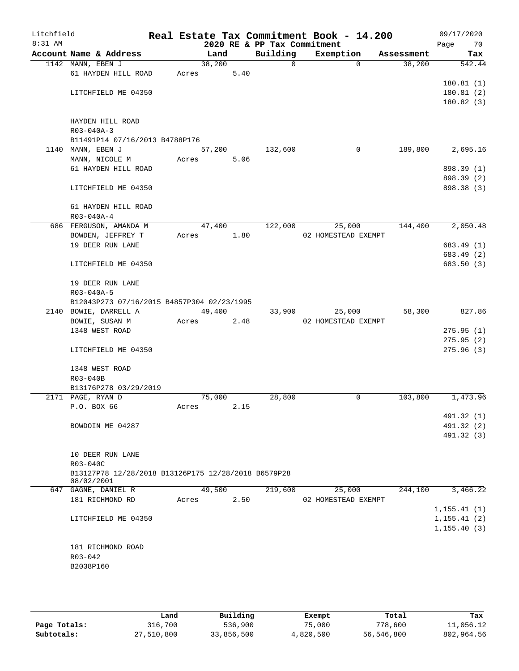| Litchfield<br>$8:31$ AM |             |                                                     |       |        |      | 2020 RE & PP Tax Commitment | Real Estate Tax Commitment Book - 14.200 |                    | 09/17/2020<br>Page<br>70 |
|-------------------------|-------------|-----------------------------------------------------|-------|--------|------|-----------------------------|------------------------------------------|--------------------|--------------------------|
|                         |             | Account Name & Address                              |       | Land   |      | Building                    | Exemption                                | Assessment         | Tax                      |
|                         |             | 1142 MANN, EBEN J                                   |       | 38,200 |      | $\mathbf 0$                 |                                          | 38,200<br>$\Omega$ | 542.44                   |
|                         |             | 61 HAYDEN HILL ROAD                                 | Acres |        | 5.40 |                             |                                          |                    |                          |
|                         |             |                                                     |       |        |      |                             |                                          |                    | 180.81(1)                |
|                         |             | LITCHFIELD ME 04350                                 |       |        |      |                             |                                          |                    | 180.81(2)                |
|                         |             |                                                     |       |        |      |                             |                                          |                    | 180.82(3)                |
|                         |             |                                                     |       |        |      |                             |                                          |                    |                          |
|                         |             | HAYDEN HILL ROAD                                    |       |        |      |                             |                                          |                    |                          |
|                         | R03-040A-3  |                                                     |       |        |      |                             |                                          |                    |                          |
|                         |             | B11491P14 07/16/2013 B4788P176                      |       |        |      |                             |                                          |                    |                          |
|                         |             | 1140 MANN, EBEN J                                   |       | 57,200 |      | 132,600                     |                                          | 189,800<br>0       | 2,695.16                 |
|                         |             | MANN, NICOLE M<br>61 HAYDEN HILL ROAD               | Acres |        | 5.06 |                             |                                          |                    | 898.39 (1)               |
|                         |             |                                                     |       |        |      |                             |                                          |                    | 898.39 (2)               |
|                         |             | LITCHFIELD ME 04350                                 |       |        |      |                             |                                          |                    | 898.38 (3)               |
|                         |             |                                                     |       |        |      |                             |                                          |                    |                          |
|                         |             | 61 HAYDEN HILL ROAD                                 |       |        |      |                             |                                          |                    |                          |
|                         |             | R03-040A-4                                          |       |        |      |                             |                                          |                    |                          |
|                         |             | 686 FERGUSON, AMANDA M                              |       | 47,400 |      | 122,000                     | 25,000                                   | 144,400            | 2,050.48                 |
|                         |             | BOWDEN, JEFFREY T                                   | Acres |        | 1.80 |                             | 02 HOMESTEAD EXEMPT                      |                    |                          |
|                         |             | 19 DEER RUN LANE                                    |       |        |      |                             |                                          |                    | 683.49 (1)               |
|                         |             |                                                     |       |        |      |                             |                                          |                    | 683.49 (2)               |
|                         |             | LITCHFIELD ME 04350                                 |       |        |      |                             |                                          |                    | 683.50 (3)               |
|                         |             |                                                     |       |        |      |                             |                                          |                    |                          |
|                         |             | 19 DEER RUN LANE                                    |       |        |      |                             |                                          |                    |                          |
|                         | R03-040A-5  |                                                     |       |        |      |                             |                                          |                    |                          |
|                         |             | B12043P273 07/16/2015 B4857P304 02/23/1995          |       |        |      |                             |                                          |                    |                          |
|                         |             | 2140 BOWIE, DARRELL A                               |       | 49,400 |      | 33,900                      | 25,000                                   | 58,300             | 827.86                   |
|                         |             | BOWIE, SUSAN M                                      | Acres |        | 2.48 |                             | 02 HOMESTEAD EXEMPT                      |                    |                          |
|                         |             | 1348 WEST ROAD                                      |       |        |      |                             |                                          |                    | 275.95(1)                |
|                         |             |                                                     |       |        |      |                             |                                          |                    | 275.95(2)                |
|                         |             | LITCHFIELD ME 04350                                 |       |        |      |                             |                                          |                    | 275.96(3)                |
|                         |             | 1348 WEST ROAD                                      |       |        |      |                             |                                          |                    |                          |
|                         | R03-040B    |                                                     |       |        |      |                             |                                          |                    |                          |
|                         |             | B13176P278 03/29/2019                               |       |        |      |                             |                                          |                    |                          |
|                         |             | 2171 PAGE, RYAN D                                   |       | 75,000 |      | 28,800                      |                                          | 103,800<br>0       | 1,473.96                 |
|                         |             | P.O. BOX 66                                         | Acres |        | 2.15 |                             |                                          |                    |                          |
|                         |             |                                                     |       |        |      |                             |                                          |                    | 491.32 (1)               |
|                         |             | BOWDOIN ME 04287                                    |       |        |      |                             |                                          |                    | 491.32 (2)               |
|                         |             |                                                     |       |        |      |                             |                                          |                    | 491.32 (3)               |
|                         |             |                                                     |       |        |      |                             |                                          |                    |                          |
|                         |             | 10 DEER RUN LANE                                    |       |        |      |                             |                                          |                    |                          |
|                         | R03-040C    |                                                     |       |        |      |                             |                                          |                    |                          |
|                         |             | B13127P78 12/28/2018 B13126P175 12/28/2018 B6579P28 |       |        |      |                             |                                          |                    |                          |
|                         |             | 08/02/2001                                          |       |        |      |                             |                                          |                    |                          |
|                         |             | 647 GAGNE, DANIEL R                                 |       | 49,500 |      | 219,600                     | 25,000                                   | 244,100            | 3,466.22                 |
|                         |             | 181 RICHMOND RD                                     | Acres |        | 2.50 |                             | 02 HOMESTEAD EXEMPT                      |                    | 1, 155.41(1)             |
|                         |             | LITCHFIELD ME 04350                                 |       |        |      |                             |                                          |                    | 1, 155.41(2)             |
|                         |             |                                                     |       |        |      |                             |                                          |                    | 1, 155.40(3)             |
|                         |             |                                                     |       |        |      |                             |                                          |                    |                          |
|                         |             | 181 RICHMOND ROAD                                   |       |        |      |                             |                                          |                    |                          |
|                         | $R03 - 042$ |                                                     |       |        |      |                             |                                          |                    |                          |
|                         | B2038P160   |                                                     |       |        |      |                             |                                          |                    |                          |
|                         |             |                                                     |       |        |      |                             |                                          |                    |                          |
|                         |             |                                                     |       |        |      |                             |                                          |                    |                          |

|              | Land       | Building   | Exempt    | Total      | Tax        |
|--------------|------------|------------|-----------|------------|------------|
| Page Totals: | 316,700    | 536,900    | 75,000    | 778,600    | 11,056.12  |
| Subtotals:   | 27,510,800 | 33,856,500 | 4,820,500 | 56,546,800 | 802,964.56 |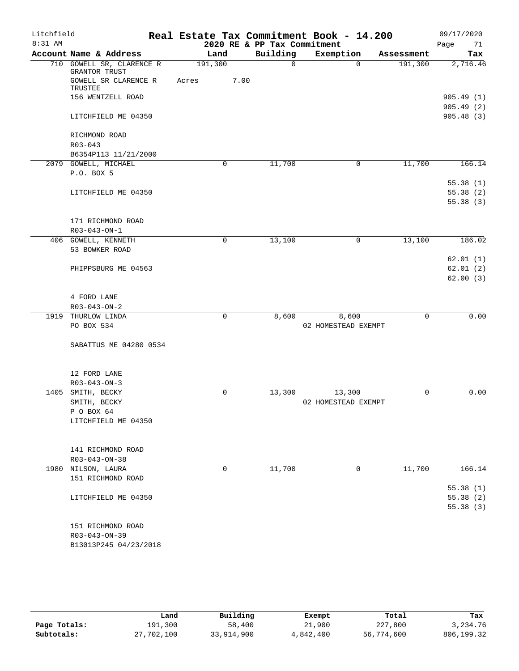| Litchfield |                                              |       |         |                             | Real Estate Tax Commitment Book - 14.200 |            | 09/17/2020             |
|------------|----------------------------------------------|-------|---------|-----------------------------|------------------------------------------|------------|------------------------|
| 8:31 AM    |                                              |       |         | 2020 RE & PP Tax Commitment |                                          |            | Page<br>71             |
|            | Account Name & Address                       |       | Land    | Building                    | Exemption                                | Assessment | Tax                    |
|            | 710 GOWELL SR, CLARENCE R<br>GRANTOR TRUST   |       | 191,300 | $\Omega$                    | $\Omega$                                 | 191,300    | 2,716.46               |
|            | GOWELL SR CLARENCE R<br>TRUSTEE              | Acres | 7.00    |                             |                                          |            |                        |
|            | 156 WENTZELL ROAD                            |       |         |                             |                                          |            | 905.49(1)<br>905.49(2) |
|            | LITCHFIELD ME 04350                          |       |         |                             |                                          |            | 905.48(3)              |
|            | RICHMOND ROAD                                |       |         |                             |                                          |            |                        |
|            | $R03 - 043$                                  |       |         |                             |                                          |            |                        |
|            | B6354P113 11/21/2000<br>2079 GOWELL, MICHAEL |       | 0       | 11,700                      | $\mathbf 0$                              | 11,700     | 166.14                 |
|            | P.O. BOX 5                                   |       |         |                             |                                          |            |                        |
|            |                                              |       |         |                             |                                          |            | 55.38(1)               |
|            | LITCHFIELD ME 04350                          |       |         |                             |                                          |            | 55.38(2)               |
|            |                                              |       |         |                             |                                          |            | 55.38(3)               |
|            |                                              |       |         |                             |                                          |            |                        |
|            | 171 RICHMOND ROAD                            |       |         |                             |                                          |            |                        |
|            | R03-043-ON-1                                 |       |         |                             |                                          |            |                        |
|            | 406 GOWELL, KENNETH                          |       | 0       | 13,100                      | $\mathbf 0$                              | 13,100     | 186.02                 |
|            | 53 BOWKER ROAD                               |       |         |                             |                                          |            |                        |
|            |                                              |       |         |                             |                                          |            | 62.01(1)               |
|            | PHIPPSBURG ME 04563                          |       |         |                             |                                          |            | 62.01(2)               |
|            |                                              |       |         |                             |                                          |            | 62.00(3)               |
|            |                                              |       |         |                             |                                          |            |                        |
|            | 4 FORD LANE<br>R03-043-ON-2                  |       |         |                             |                                          |            |                        |
|            | 1919 THURLOW LINDA                           |       | 0       | 8,600                       | 8,600                                    | 0          | 0.00                   |
|            | PO BOX 534                                   |       |         |                             | 02 HOMESTEAD EXEMPT                      |            |                        |
|            |                                              |       |         |                             |                                          |            |                        |
|            | SABATTUS ME 04280 0534                       |       |         |                             |                                          |            |                        |
|            | 12 FORD LANE                                 |       |         |                             |                                          |            |                        |
|            | $R03 - 043 - ON - 3$                         |       |         |                             |                                          |            |                        |
| 1405       | SMITH, BECKY                                 |       | 0       | 13,300                      | 13,300                                   | 0          | 0.00                   |
|            | SMITH, BECKY                                 |       |         |                             | 02 HOMESTEAD EXEMPT                      |            |                        |
|            | P O BOX 64                                   |       |         |                             |                                          |            |                        |
|            | LITCHFIELD ME 04350                          |       |         |                             |                                          |            |                        |
|            | 141 RICHMOND ROAD                            |       |         |                             |                                          |            |                        |
|            | R03-043-ON-38                                |       |         |                             |                                          |            |                        |
|            | 1980 NILSON, LAURA                           |       | 0       | 11,700                      | 0                                        | 11,700     | 166.14                 |
|            | 151 RICHMOND ROAD                            |       |         |                             |                                          |            |                        |
|            |                                              |       |         |                             |                                          |            | 55.38(1)               |
|            | LITCHFIELD ME 04350                          |       |         |                             |                                          |            | 55.38(2)               |
|            |                                              |       |         |                             |                                          |            | 55.38(3)               |
|            |                                              |       |         |                             |                                          |            |                        |
|            | 151 RICHMOND ROAD                            |       |         |                             |                                          |            |                        |
|            | $R03 - 043 - ON - 39$                        |       |         |                             |                                          |            |                        |
|            | B13013P245 04/23/2018                        |       |         |                             |                                          |            |                        |
|            |                                              |       |         |                             |                                          |            |                        |

|              | Land       | Building   | Exempt    | Total      | Tax        |
|--------------|------------|------------|-----------|------------|------------|
| Page Totals: | 191,300    | 58,400     | 21,900    | 227,800    | 3, 234, 76 |
| Subtotals:   | 27,702,100 | 33,914,900 | 4,842,400 | 56,774,600 | 806,199.32 |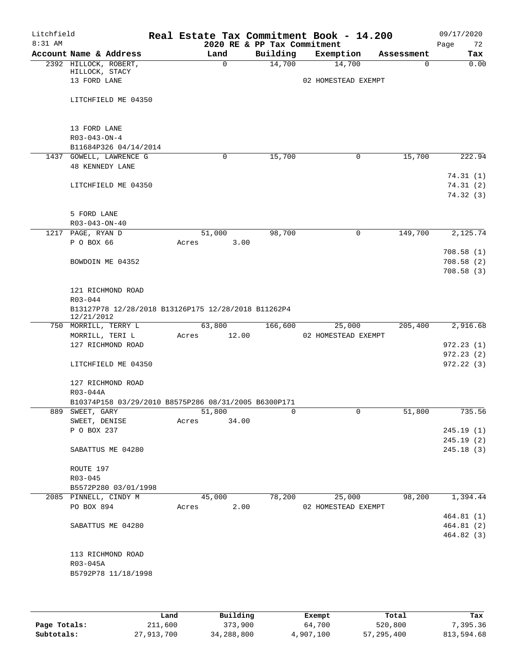| Litchfield<br>8:31 AM |                                                      |                         |  |       |          | 2020 RE & PP Tax Commitment                         | Real Estate Tax Commitment Book - 14.200 |              |            | 09/17/2020<br>72<br>Page         |
|-----------------------|------------------------------------------------------|-------------------------|--|-------|----------|-----------------------------------------------------|------------------------------------------|--------------|------------|----------------------------------|
|                       |                                                      | Account Name & Address  |  |       | Land     | Building                                            | Exemption                                |              | Assessment | Tax                              |
|                       | HILLOCK, STACY<br>13 FORD LANE                       | 2392 HILLOCK, ROBERT,   |  |       | $\Omega$ | 14,700                                              | 14,700<br>02 HOMESTEAD EXEMPT            |              | $\Omega$   | 0.00                             |
|                       |                                                      | LITCHFIELD ME 04350     |  |       |          |                                                     |                                          |              |            |                                  |
|                       | 13 FORD LANE                                         |                         |  |       |          |                                                     |                                          |              |            |                                  |
|                       | $R03 - 043 - ON - 4$                                 | B11684P326 04/14/2014   |  |       |          |                                                     |                                          |              |            |                                  |
|                       | <b>48 KENNEDY LANE</b>                               | 1437 GOWELL, LAWRENCE G |  |       | 0        | 15,700                                              |                                          | 0            | 15,700     | 222.94                           |
|                       |                                                      | LITCHFIELD ME 04350     |  |       |          |                                                     |                                          |              |            | 74.31(1)<br>74.31(2)<br>74.32(3) |
|                       | 5 FORD LANE<br>$R03 - 043 - ON - 40$                 |                         |  |       |          |                                                     |                                          |              |            |                                  |
|                       | 1217 PAGE, RYAN D                                    |                         |  |       | 51,000   | 98,700                                              |                                          | $\mathsf{O}$ | 149,700    | 2,125.74                         |
|                       | P O BOX 66                                           |                         |  | Acres | 3.00     |                                                     |                                          |              |            |                                  |
|                       |                                                      |                         |  |       |          |                                                     |                                          |              |            | 708.58(1)                        |
|                       |                                                      | BOWDOIN ME 04352        |  |       |          |                                                     |                                          |              |            | 708.58(2)                        |
|                       |                                                      |                         |  |       |          |                                                     |                                          |              |            | 708.58(3)                        |
|                       | R03-044                                              | 121 RICHMOND ROAD       |  |       |          |                                                     |                                          |              |            |                                  |
|                       | 12/21/2012                                           |                         |  |       |          | B13127P78 12/28/2018 B13126P175 12/28/2018 B11262P4 |                                          |              |            |                                  |
|                       |                                                      | 750 MORRILL, TERRY L    |  |       | 63,800   | 166,600                                             | 25,000                                   |              | 205,400    | 2,916.68                         |
|                       | MORRILL, TERI L                                      |                         |  | Acres | 12.00    |                                                     | 02 HOMESTEAD EXEMPT                      |              |            |                                  |
|                       |                                                      | 127 RICHMOND ROAD       |  |       |          |                                                     |                                          |              |            | 972.23(1)<br>972.23(2)           |
|                       |                                                      | LITCHFIELD ME 04350     |  |       |          |                                                     |                                          |              |            | 972.22(3)                        |
|                       | R03-044A                                             | 127 RICHMOND ROAD       |  |       |          |                                                     |                                          |              |            |                                  |
|                       | B10374P158 03/29/2010 B8575P286 08/31/2005 B6300P171 |                         |  |       |          |                                                     |                                          |              |            |                                  |
| 889                   | SWEET, GARY                                          |                         |  |       | 51,800   | 0                                                   |                                          | U            | 51,800     | 735.56                           |
|                       | SWEET, DENISE                                        |                         |  | Acres | 34.00    |                                                     |                                          |              |            |                                  |
|                       | P O BOX 237                                          |                         |  |       |          |                                                     |                                          |              |            | 245.19(1)                        |
|                       |                                                      | SABATTUS ME 04280       |  |       |          |                                                     |                                          |              |            | 245.19(2)<br>245.18(3)           |
|                       | ROUTE 197                                            |                         |  |       |          |                                                     |                                          |              |            |                                  |
|                       | R03-045                                              |                         |  |       |          |                                                     |                                          |              |            |                                  |
|                       |                                                      | B5572P280 03/01/1998    |  |       |          |                                                     |                                          |              |            |                                  |
|                       |                                                      | 2085 PINNELL, CINDY M   |  |       | 45,000   | 78,200                                              | 25,000                                   |              | 98,200     | 1,394.44                         |
|                       | PO BOX 894                                           |                         |  | Acres | 2.00     |                                                     | 02 HOMESTEAD EXEMPT                      |              |            |                                  |
|                       |                                                      |                         |  |       |          |                                                     |                                          |              |            | 464.81(1)                        |
|                       |                                                      | SABATTUS ME 04280       |  |       |          |                                                     |                                          |              |            | 464.81(2)<br>464.82(3)           |
|                       |                                                      |                         |  |       |          |                                                     |                                          |              |            |                                  |
|                       | R03-045A                                             | 113 RICHMOND ROAD       |  |       |          |                                                     |                                          |              |            |                                  |
|                       |                                                      | B5792P78 11/18/1998     |  |       |          |                                                     |                                          |              |            |                                  |
|                       |                                                      |                         |  |       |          |                                                     |                                          |              |            |                                  |

|              | Land       | Building   | Exempt    | Total      | Tax        |
|--------------|------------|------------|-----------|------------|------------|
| Page Totals: | 211,600    | 373,900    | 64,700    | 520,800    | 7,395.36   |
| Subtotals:   | 27,913,700 | 34,288,800 | 4,907,100 | 57,295,400 | 813,594.68 |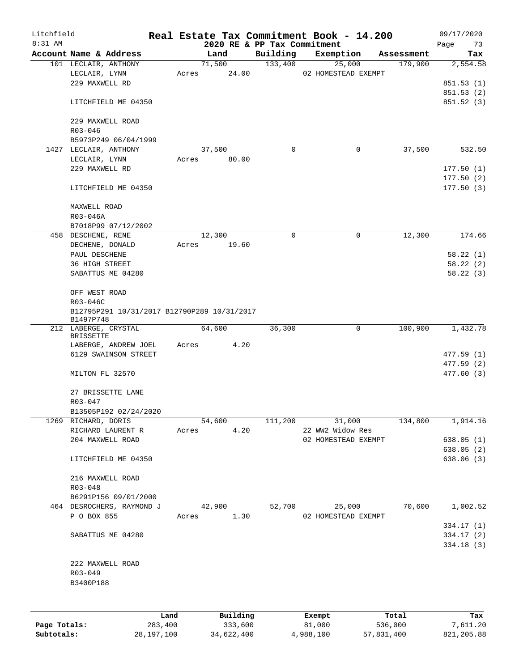| Litchfield<br>$8:31$ AM |                                             |         |       |            |          | 2020 RE & PP Tax Commitment | Real Estate Tax Commitment Book - 14.200 |            | 09/17/2020<br>Page<br>73 |
|-------------------------|---------------------------------------------|---------|-------|------------|----------|-----------------------------|------------------------------------------|------------|--------------------------|
|                         | Account Name & Address                      |         |       | Land       |          | Building                    | Exemption                                | Assessment | Tax                      |
|                         | 101 LECLAIR, ANTHONY                        |         |       | 71,500     |          | 133,400                     | 25,000                                   | 179,900    | 2,554.58                 |
|                         | LECLAIR, LYNN                               |         | Acres |            | 24.00    |                             | 02 HOMESTEAD EXEMPT                      |            |                          |
|                         | 229 MAXWELL RD                              |         |       |            |          |                             |                                          |            | 851.53 (1)               |
|                         |                                             |         |       |            |          |                             |                                          |            | 851.53(2)                |
|                         | LITCHFIELD ME 04350                         |         |       |            |          |                             |                                          |            | 851.52(3)                |
|                         | 229 MAXWELL ROAD                            |         |       |            |          |                             |                                          |            |                          |
|                         | R03-046                                     |         |       |            |          |                             |                                          |            |                          |
|                         | B5973P249 06/04/1999                        |         |       |            |          |                             |                                          |            |                          |
|                         | 1427 LECLAIR, ANTHONY                       |         |       | 37,500     |          | $\Omega$                    | 0                                        | 37,500     | 532.50                   |
|                         | LECLAIR, LYNN                               |         | Acres |            | 80.00    |                             |                                          |            |                          |
|                         | 229 MAXWELL RD                              |         |       |            |          |                             |                                          |            | 177.50(1)                |
|                         |                                             |         |       |            |          |                             |                                          |            | 177.50(2)                |
|                         | LITCHFIELD ME 04350                         |         |       |            |          |                             |                                          |            | 177.50(3)                |
|                         | MAXWELL ROAD                                |         |       |            |          |                             |                                          |            |                          |
|                         | R03-046A                                    |         |       |            |          |                             |                                          |            |                          |
|                         | B7018P99 07/12/2002                         |         |       |            |          |                             |                                          |            |                          |
|                         | 458 DESCHENE, RENE                          |         |       | 12,300     |          | 0                           | $\mathbf 0$                              | 12,300     | 174.66                   |
|                         | DECHENE, DONALD                             |         | Acres |            | 19.60    |                             |                                          |            |                          |
|                         | PAUL DESCHENE                               |         |       |            |          |                             |                                          |            | 58.22(1)                 |
|                         | 36 HIGH STREET                              |         |       |            |          |                             |                                          |            | 58.22(2)                 |
|                         | SABATTUS ME 04280                           |         |       |            |          |                             |                                          |            | 58.22(3)                 |
|                         |                                             |         |       |            |          |                             |                                          |            |                          |
|                         | OFF WEST ROAD                               |         |       |            |          |                             |                                          |            |                          |
|                         | R03-046C                                    |         |       |            |          |                             |                                          |            |                          |
|                         | B12795P291 10/31/2017 B12790P289 10/31/2017 |         |       |            |          |                             |                                          |            |                          |
|                         | B1497P748                                   |         |       |            |          |                             |                                          |            |                          |
|                         | 212 LABERGE, CRYSTAL                        |         |       | 64,600     |          | 36,300                      | $\mathbf 0$                              | 100,900    | 1,432.78                 |
|                         | <b>BRISSETTE</b>                            |         |       |            |          |                             |                                          |            |                          |
|                         | LABERGE, ANDREW JOEL                        |         |       | Acres      | 4.20     |                             |                                          |            |                          |
|                         | 6129 SWAINSON STREET                        |         |       |            |          |                             |                                          |            | 477.59(1)                |
|                         |                                             |         |       |            |          |                             |                                          |            | 477.59(2)                |
|                         | MILTON FL 32570                             |         |       |            |          |                             |                                          |            | 477.60(3)                |
|                         | 27 BRISSETTE LANE                           |         |       |            |          |                             |                                          |            |                          |
|                         | R03-047                                     |         |       |            |          |                             |                                          |            |                          |
|                         | B13505P192 02/24/2020                       |         |       |            |          |                             |                                          |            |                          |
|                         | 1269 RICHARD, DORIS                         |         |       | 54,600     |          | 111,200                     | 31,000                                   | 134,800    | 1,914.16                 |
|                         | RICHARD LAURENT R                           |         | Acres |            | 4.20     |                             | 22 WW2 Widow Res                         |            |                          |
|                         | 204 MAXWELL ROAD                            |         |       |            |          |                             | 02 HOMESTEAD EXEMPT                      |            | 638.05 (1)               |
|                         |                                             |         |       |            |          |                             |                                          |            | 638.05(2)                |
|                         | LITCHFIELD ME 04350                         |         |       |            |          |                             |                                          |            | 638.06(3)                |
|                         | 216 MAXWELL ROAD                            |         |       |            |          |                             |                                          |            |                          |
|                         | R03-048                                     |         |       |            |          |                             |                                          |            |                          |
|                         | B6291P156 09/01/2000                        |         |       |            |          |                             |                                          |            |                          |
|                         | 464 DESROCHERS, RAYMOND J                   |         |       | 42,900     |          | 52,700                      | 25,000                                   | 70,600     | 1,002.52                 |
|                         | P O BOX 855                                 |         |       | Acres 1.30 |          |                             | 02 HOMESTEAD EXEMPT                      |            |                          |
|                         |                                             |         |       |            |          |                             |                                          |            | 334.17 (1)               |
|                         | SABATTUS ME 04280                           |         |       |            |          |                             |                                          |            | 334.17(2)                |
|                         |                                             |         |       |            |          |                             |                                          |            | 334.18(3)                |
|                         |                                             |         |       |            |          |                             |                                          |            |                          |
|                         | 222 MAXWELL ROAD                            |         |       |            |          |                             |                                          |            |                          |
|                         | R03-049                                     |         |       |            |          |                             |                                          |            |                          |
|                         |                                             |         |       |            |          |                             |                                          |            |                          |
|                         | B3400P188                                   |         |       |            |          |                             |                                          |            |                          |
|                         |                                             |         |       |            |          |                             |                                          |            |                          |
|                         |                                             | Land    |       |            | Building |                             | Exempt                                   | Total      | Tax                      |
| Page Totals:            |                                             | 283,400 |       |            | 333,600  |                             | 81,000                                   | 536,000    | 7,611.20                 |

**Subtotals:** 28,197,100 34,622,400 4,988,100 57,831,400 821,205.88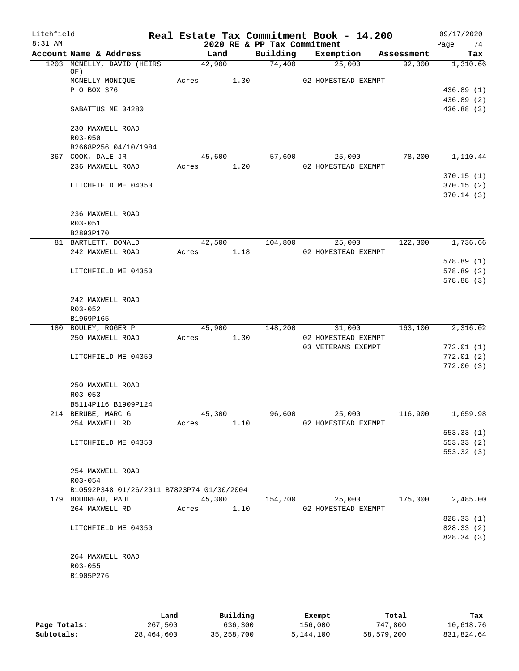| Litchfield<br>8:31 AM |                                           |       |        |      | 2020 RE & PP Tax Commitment | Real Estate Tax Commitment Book - 14.200 |            | 09/17/2020<br>74<br>Page |
|-----------------------|-------------------------------------------|-------|--------|------|-----------------------------|------------------------------------------|------------|--------------------------|
|                       | Account Name & Address                    |       | Land   |      | Building                    | Exemption                                | Assessment | Tax                      |
|                       | 1203 MCNELLY, DAVID (HEIRS<br>OF)         |       | 42,900 |      | 74,400                      | 25,000                                   | 92,300     | 1,310.66                 |
|                       | MCNELLY MONIQUE                           | Acres |        | 1.30 |                             | 02 HOMESTEAD EXEMPT                      |            |                          |
|                       | P O BOX 376                               |       |        |      |                             |                                          |            | 436.89 (1)               |
|                       |                                           |       |        |      |                             |                                          |            | 436.89 (2)               |
|                       | SABATTUS ME 04280                         |       |        |      |                             |                                          |            | 436.88 (3)               |
|                       | 230 MAXWELL ROAD                          |       |        |      |                             |                                          |            |                          |
|                       | $R03 - 050$                               |       |        |      |                             |                                          |            |                          |
|                       | B2668P256 04/10/1984                      |       |        |      |                             |                                          |            |                          |
|                       | 367 COOK, DALE JR                         |       | 45,600 |      | 57,600                      | 25,000                                   | 78,200     | 1,110.44                 |
|                       | 236 MAXWELL ROAD                          | Acres |        | 1.20 |                             | 02 HOMESTEAD EXEMPT                      |            |                          |
|                       |                                           |       |        |      |                             |                                          |            | 370.15(1)                |
|                       | LITCHFIELD ME 04350                       |       |        |      |                             |                                          |            | 370.15(2)                |
|                       |                                           |       |        |      |                             |                                          |            | 370.14(3)                |
|                       | 236 MAXWELL ROAD                          |       |        |      |                             |                                          |            |                          |
|                       | R03-051                                   |       |        |      |                             |                                          |            |                          |
|                       | B2893P170                                 |       |        |      |                             |                                          |            |                          |
|                       | 81 BARTLETT, DONALD                       |       | 42,500 |      | 104,800                     | 25,000                                   | 122,300    | 1,736.66                 |
|                       | 242 MAXWELL ROAD                          | Acres |        | 1.18 |                             | 02 HOMESTEAD EXEMPT                      |            |                          |
|                       |                                           |       |        |      |                             |                                          |            | 578.89 (1)               |
|                       | LITCHFIELD ME 04350                       |       |        |      |                             |                                          |            | 578.89(2)                |
|                       |                                           |       |        |      |                             |                                          |            | 578.88 (3)               |
|                       | 242 MAXWELL ROAD                          |       |        |      |                             |                                          |            |                          |
|                       | $R03 - 052$                               |       |        |      |                             |                                          |            |                          |
|                       | B1969P165                                 |       |        |      |                             |                                          |            |                          |
|                       | 180 BOULEY, ROGER P                       |       | 45,900 |      | 148,200                     | 31,000                                   | 163,100    | 2,316.02                 |
|                       | 250 MAXWELL ROAD                          | Acres |        | 1.30 |                             | 02 HOMESTEAD EXEMPT                      |            |                          |
|                       |                                           |       |        |      |                             | 03 VETERANS EXEMPT                       |            | 772.01(1)                |
|                       | LITCHFIELD ME 04350                       |       |        |      |                             |                                          |            | 772.01(2)                |
|                       |                                           |       |        |      |                             |                                          |            | 772.00(3)                |
|                       | 250 MAXWELL ROAD                          |       |        |      |                             |                                          |            |                          |
|                       | R03-053                                   |       |        |      |                             |                                          |            |                          |
|                       | B5114P116 B1909P124                       |       |        |      |                             |                                          |            |                          |
|                       | 214 BERUBE, MARC G                        |       | 45,300 |      | 96,600                      | 25,000                                   | 116,900    | 1,659.98                 |
|                       | 254 MAXWELL RD                            | Acres |        | 1.10 |                             | 02 HOMESTEAD EXEMPT                      |            |                          |
|                       |                                           |       |        |      |                             |                                          |            | 553.33(1)                |
|                       | LITCHFIELD ME 04350                       |       |        |      |                             |                                          |            | 553.33(2)                |
|                       |                                           |       |        |      |                             |                                          |            | 553.32 (3)               |
|                       |                                           |       |        |      |                             |                                          |            |                          |
|                       | 254 MAXWELL ROAD<br>R03-054               |       |        |      |                             |                                          |            |                          |
|                       | B10592P348 01/26/2011 B7823P74 01/30/2004 |       |        |      |                             |                                          |            |                          |
|                       | 179 BOUDREAU, PAUL                        |       | 45,300 |      | 154,700                     | 25,000                                   | 175,000    | 2,485.00                 |
|                       | 264 MAXWELL RD                            | Acres |        | 1.10 |                             | 02 HOMESTEAD EXEMPT                      |            |                          |
|                       |                                           |       |        |      |                             |                                          |            | 828.33 (1)               |
|                       | LITCHFIELD ME 04350                       |       |        |      |                             |                                          |            | 828.33 (2)               |
|                       |                                           |       |        |      |                             |                                          |            | 828.34 (3)               |
|                       |                                           |       |        |      |                             |                                          |            |                          |
|                       | 264 MAXWELL ROAD                          |       |        |      |                             |                                          |            |                          |
|                       | R03-055                                   |       |        |      |                             |                                          |            |                          |
|                       | B1905P276                                 |       |        |      |                             |                                          |            |                          |
|                       |                                           |       |        |      |                             |                                          |            |                          |
|                       |                                           |       |        |      |                             |                                          |            |                          |

|              | Land       | Building     | Exempt    | Total      | Tax        |
|--------------|------------|--------------|-----------|------------|------------|
| Page Totals: | 267,500    | 636,300      | 156,000   | 747,800    | 10,618.76  |
| Subtotals:   | 28,464,600 | 35, 258, 700 | 5,144,100 | 58,579,200 | 831,824.64 |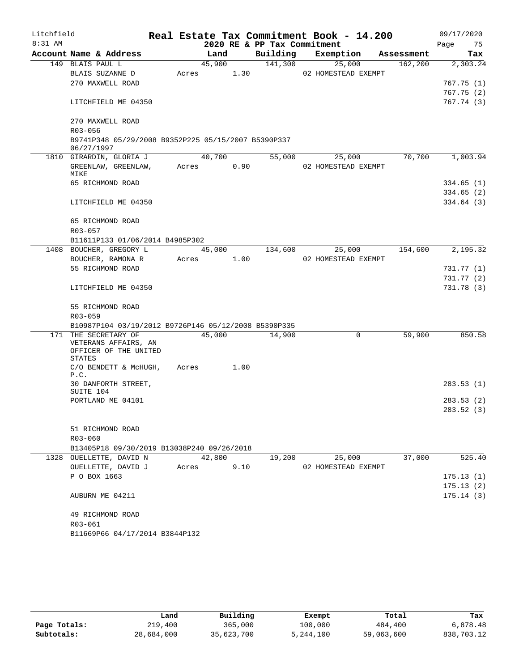| Litchfield |                                                      |       |        |      |                             | Real Estate Tax Commitment Book - 14.200 |            | 09/17/2020 |  |
|------------|------------------------------------------------------|-------|--------|------|-----------------------------|------------------------------------------|------------|------------|--|
| 8:31 AM    |                                                      |       |        |      | 2020 RE & PP Tax Commitment |                                          |            | 75<br>Page |  |
|            | Account Name & Address                               |       | Land   |      | Building                    | Exemption                                | Assessment | Tax        |  |
|            | 149 BLAIS PAUL L                                     |       | 45,900 |      | 141,300                     | 25,000                                   | 162, 200   | 2,303.24   |  |
|            | BLAIS SUZANNE D                                      | Acres |        | 1.30 |                             | 02 HOMESTEAD EXEMPT                      |            |            |  |
|            | 270 MAXWELL ROAD                                     |       |        |      |                             |                                          |            | 767.75 (1) |  |
|            |                                                      |       |        |      |                             |                                          |            | 767.75(2)  |  |
|            | LITCHFIELD ME 04350                                  |       |        |      |                             |                                          |            | 767.74 (3) |  |
|            | 270 MAXWELL ROAD                                     |       |        |      |                             |                                          |            |            |  |
|            | R03-056                                              |       |        |      |                             |                                          |            |            |  |
|            | B9741P348 05/29/2008 B9352P225 05/15/2007 B5390P337  |       |        |      |                             |                                          |            |            |  |
|            | 06/27/1997                                           |       | 40,700 |      |                             |                                          | 70,700     |            |  |
|            | 1810 GIRARDIN, GLORIA J                              |       |        |      | 55,000                      | 25,000                                   |            | 1,003.94   |  |
|            | GREENLAW, GREENLAW,<br>MIKE                          | Acres |        | 0.90 |                             | 02 HOMESTEAD EXEMPT                      |            |            |  |
|            | 65 RICHMOND ROAD                                     |       |        |      |                             |                                          |            | 334.65(1)  |  |
|            |                                                      |       |        |      |                             |                                          |            | 334.65(2)  |  |
|            | LITCHFIELD ME 04350                                  |       |        |      |                             |                                          |            | 334.64(3)  |  |
|            |                                                      |       |        |      |                             |                                          |            |            |  |
|            | 65 RICHMOND ROAD                                     |       |        |      |                             |                                          |            |            |  |
|            | $R03 - 057$                                          |       |        |      |                             |                                          |            |            |  |
|            | B11611P133 01/06/2014 B4985P302                      |       |        |      |                             |                                          |            |            |  |
|            | 1408 BOUCHER, GREGORY L                              |       | 45,000 |      | 134,600                     | 25,000                                   | 154,600    | 2,195.32   |  |
|            | BOUCHER, RAMONA R                                    | Acres |        | 1.00 |                             | 02 HOMESTEAD EXEMPT                      |            |            |  |
|            | 55 RICHMOND ROAD                                     |       |        |      |                             |                                          |            | 731.77 (1) |  |
|            |                                                      |       |        |      |                             |                                          |            | 731.77 (2) |  |
|            | LITCHFIELD ME 04350                                  |       |        |      |                             |                                          |            | 731.78 (3) |  |
|            |                                                      |       |        |      |                             |                                          |            |            |  |
|            | 55 RICHMOND ROAD                                     |       |        |      |                             |                                          |            |            |  |
|            | R03-059                                              |       |        |      |                             |                                          |            |            |  |
|            | B10987P104 03/19/2012 B9726P146 05/12/2008 B5390P335 |       |        |      |                             |                                          |            |            |  |
|            | 171 THE SECRETARY OF                                 |       | 45,000 |      | 14,900                      | 0                                        | 59,900     | 850.58     |  |
|            | VETERANS AFFAIRS, AN                                 |       |        |      |                             |                                          |            |            |  |
|            | OFFICER OF THE UNITED<br>STATES                      |       |        |      |                             |                                          |            |            |  |
|            | C/O BENDETT & MCHUGH,                                | Acres |        | 1.00 |                             |                                          |            |            |  |
|            | P.C.                                                 |       |        |      |                             |                                          |            |            |  |
|            | 30 DANFORTH STREET,                                  |       |        |      |                             |                                          |            | 283.53(1)  |  |
|            | SUITE 104                                            |       |        |      |                             |                                          |            |            |  |
|            | PORTLAND ME 04101                                    |       |        |      |                             |                                          |            | 283.53(2)  |  |
|            |                                                      |       |        |      |                             |                                          |            | 283.52 (3) |  |
|            |                                                      |       |        |      |                             |                                          |            |            |  |
|            | 51 RICHMOND ROAD                                     |       |        |      |                             |                                          |            |            |  |
|            | $R03 - 060$                                          |       |        |      |                             |                                          |            |            |  |
|            | B13405P18 09/30/2019 B13038P240 09/26/2018           |       |        |      |                             |                                          |            |            |  |
|            | 1328 OUELLETTE, DAVID N                              |       | 42,800 |      | 19,200                      | 25,000                                   | 37,000     | 525.40     |  |
|            | OUELLETTE, DAVID J                                   | Acres |        | 9.10 |                             | 02 HOMESTEAD EXEMPT                      |            |            |  |
|            | P O BOX 1663                                         |       |        |      |                             |                                          |            | 175.13(1)  |  |
|            |                                                      |       |        |      |                             |                                          |            | 175.13(2)  |  |
|            | AUBURN ME 04211                                      |       |        |      |                             |                                          |            | 175.14(3)  |  |
|            |                                                      |       |        |      |                             |                                          |            |            |  |
|            | 49 RICHMOND ROAD                                     |       |        |      |                             |                                          |            |            |  |
|            | R03-061<br>B11669P66 04/17/2014 B3844P132            |       |        |      |                             |                                          |            |            |  |
|            |                                                      |       |        |      |                             |                                          |            |            |  |

|              | Land       | Building   | Exempt    | Total      | Tax        |
|--------------|------------|------------|-----------|------------|------------|
| Page Totals: | 219,400    | 365,000    | 100,000   | 484,400    | 6,878.48   |
| Subtotals:   | 28,684,000 | 35,623,700 | 5,244,100 | 59,063,600 | 838,703.12 |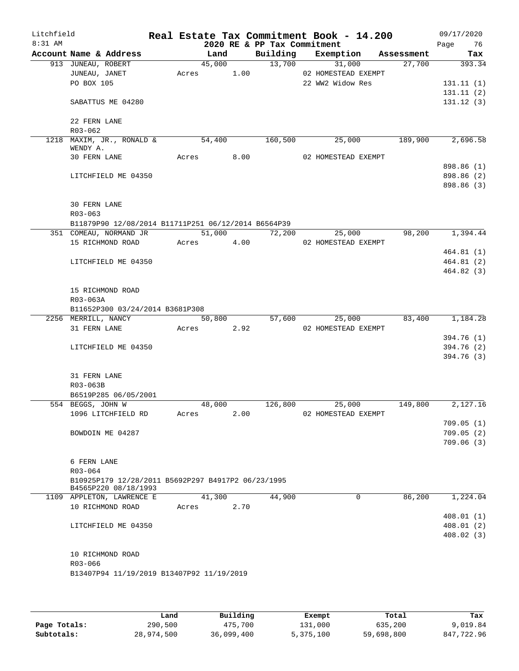| Litchfield<br>$8:31$ AM |                                                                            |       |            |      | 2020 RE & PP Tax Commitment | Real Estate Tax Commitment Book - 14.200 |            | 09/17/2020<br>Page 76 |
|-------------------------|----------------------------------------------------------------------------|-------|------------|------|-----------------------------|------------------------------------------|------------|-----------------------|
|                         | Account Name & Address                                                     |       | Land       |      |                             | Building Exemption                       | Assessment | Tax                   |
|                         | 913 JUNEAU, ROBERT                                                         |       | 45,000     |      | 13,700                      | 31,000                                   | 27,700     | 393.34                |
|                         | JUNEAU, JANET                                                              |       | Acres      | 1.00 |                             | 02 HOMESTEAD EXEMPT                      |            |                       |
|                         | PO BOX 105                                                                 |       |            |      |                             | 22 WW2 Widow Res                         |            | 131.11(1)             |
|                         |                                                                            |       |            |      |                             |                                          |            | 131.11(2)             |
|                         | SABATTUS ME 04280                                                          |       |            |      |                             |                                          |            | 131.12(3)             |
|                         | 22 FERN LANE                                                               |       |            |      |                             |                                          |            |                       |
|                         | $R03 - 062$                                                                |       |            |      |                             |                                          |            |                       |
|                         | 1218 MAXIM, JR., RONALD &                                                  |       | 54,400     |      | 160,500                     | 25,000                                   | 189,900    | 2,696.58              |
|                         | WENDY A.<br>30 FERN LANE                                                   |       | Acres 8.00 |      |                             | 02 HOMESTEAD EXEMPT                      |            |                       |
|                         |                                                                            |       |            |      |                             |                                          |            | 898.86 (1)            |
|                         | LITCHFIELD ME 04350                                                        |       |            |      |                             |                                          |            | 898.86 (2)            |
|                         |                                                                            |       |            |      |                             |                                          |            | 898.86 (3)            |
|                         |                                                                            |       |            |      |                             |                                          |            |                       |
|                         | <b>30 FERN LANE</b>                                                        |       |            |      |                             |                                          |            |                       |
|                         | $R03 - 063$                                                                |       |            |      |                             |                                          |            |                       |
|                         | B11879P90 12/08/2014 B11711P251 06/12/2014 B6564P39                        |       |            |      |                             |                                          |            |                       |
|                         | 351 COMEAU, NORMAND JR                                                     |       | 51,000     |      | 72,200                      | 25,000                                   | 98,200     | 1,394.44              |
|                         | 15 RICHMOND ROAD                                                           |       | Acres 4.00 |      |                             | 02 HOMESTEAD EXEMPT                      |            |                       |
|                         |                                                                            |       |            |      |                             |                                          |            | 464.81(1)             |
|                         | LITCHFIELD ME 04350                                                        |       |            |      |                             |                                          |            | 464.81(2)             |
|                         |                                                                            |       |            |      |                             |                                          |            | 464.82(3)             |
|                         |                                                                            |       |            |      |                             |                                          |            |                       |
|                         | 15 RICHMOND ROAD                                                           |       |            |      |                             |                                          |            |                       |
|                         | R03-063A                                                                   |       |            |      |                             |                                          |            |                       |
|                         | B11652P300 03/24/2014 B3681P308                                            |       |            |      |                             |                                          |            |                       |
|                         | 2256 MERRILL, NANCY                                                        |       | 50,800     |      | 57,600                      | 25,000                                   | 83,400     | 1,184.28              |
|                         | 31 FERN LANE                                                               |       | Acres 2.92 |      |                             | 02 HOMESTEAD EXEMPT                      |            |                       |
|                         |                                                                            |       |            |      |                             |                                          |            | 394.76 (1)            |
|                         | LITCHFIELD ME 04350                                                        |       |            |      |                             |                                          |            | 394.76 (2)            |
|                         |                                                                            |       |            |      |                             |                                          |            | 394.76 (3)            |
|                         | 31 FERN LANE                                                               |       |            |      |                             |                                          |            |                       |
|                         | R03-063B                                                                   |       |            |      |                             |                                          |            |                       |
|                         | B6519P285 06/05/2001                                                       |       |            |      |                             |                                          |            |                       |
|                         | 554 BEGGS, JOHN W                                                          |       | 48,000     |      | 126,800                     | 25,000                                   | 149,800    | 2,127.16              |
|                         | 1096 LITCHFIELD RD                                                         | Acres |            | 2.00 |                             | 02 HOMESTEAD EXEMPT                      |            |                       |
|                         |                                                                            |       |            |      |                             |                                          |            | 709.05(1)             |
|                         | BOWDOIN ME 04287                                                           |       |            |      |                             |                                          |            | 709.05(2)             |
|                         |                                                                            |       |            |      |                             |                                          |            | 709.06(3)             |
|                         |                                                                            |       |            |      |                             |                                          |            |                       |
|                         | 6 FERN LANE                                                                |       |            |      |                             |                                          |            |                       |
|                         | $R03 - 064$                                                                |       |            |      |                             |                                          |            |                       |
|                         | B10925P179 12/28/2011 B5692P297 B4917P2 06/23/1995<br>B4565P220 08/18/1993 |       |            |      |                             |                                          |            |                       |
|                         | 1109 APPLETON, LAWRENCE E                                                  |       | 41,300     |      | 44,900                      | $\Omega$                                 | 86,200     | 1,224.04              |
|                         | 10 RICHMOND ROAD                                                           | Acres |            | 2.70 |                             |                                          |            |                       |
|                         |                                                                            |       |            |      |                             |                                          |            | 408.01(1)             |
|                         | LITCHFIELD ME 04350                                                        |       |            |      |                             |                                          |            | 408.01(2)             |
|                         |                                                                            |       |            |      |                             |                                          |            | 408.02(3)             |
|                         |                                                                            |       |            |      |                             |                                          |            |                       |
|                         | 10 RICHMOND ROAD                                                           |       |            |      |                             |                                          |            |                       |
|                         | R03-066                                                                    |       |            |      |                             |                                          |            |                       |
|                         | B13407P94 11/19/2019 B13407P92 11/19/2019                                  |       |            |      |                             |                                          |            |                       |
|                         |                                                                            |       |            |      |                             |                                          |            |                       |
|                         |                                                                            |       |            |      |                             |                                          |            |                       |

|              | Land       | Building   | Exempt    | Total      | Tax        |
|--------------|------------|------------|-----------|------------|------------|
| Page Totals: | 290,500    | 475,700    | 131,000   | 635,200    | 9,019.84   |
| Subtotals:   | 28,974,500 | 36,099,400 | 5,375,100 | 59,698,800 | 847,722.96 |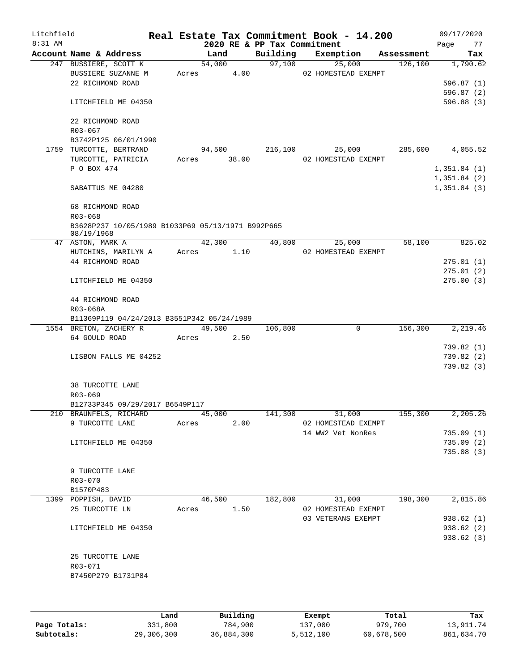| Litchfield<br>8:31 AM |                                                   |       |             |      | 2020 RE & PP Tax Commitment | Real Estate Tax Commitment Book - 14.200 |            | 09/17/2020<br>77<br>Page |
|-----------------------|---------------------------------------------------|-------|-------------|------|-----------------------------|------------------------------------------|------------|--------------------------|
|                       | Account Name & Address                            |       | Land        |      | Building                    | Exemption                                | Assessment | Tax                      |
|                       | 247 BUSSIERE, SCOTT K                             |       | 54,000      |      | 97,100                      | 25,000                                   | 126,100    | 1,790.62                 |
|                       | BUSSIERE SUZANNE M                                | Acres |             | 4.00 |                             | 02 HOMESTEAD EXEMPT                      |            |                          |
|                       | 22 RICHMOND ROAD                                  |       |             |      |                             |                                          |            | 596.87 (1)               |
|                       |                                                   |       |             |      |                             |                                          |            | 596.87(2)                |
|                       | LITCHFIELD ME 04350                               |       |             |      |                             |                                          |            | 596.88 (3)               |
|                       | 22 RICHMOND ROAD                                  |       |             |      |                             |                                          |            |                          |
|                       | R03-067                                           |       |             |      |                             |                                          |            |                          |
|                       | B3742P125 06/01/1990                              |       |             |      |                             |                                          |            |                          |
|                       | 1759 TURCOTTE, BERTRAND                           |       | 94,500      |      | 216,100                     | 25,000                                   | 285,600    | 4,055.52                 |
|                       | TURCOTTE, PATRICIA                                |       | Acres 38.00 |      |                             | 02 HOMESTEAD EXEMPT                      |            |                          |
|                       | P O BOX 474                                       |       |             |      |                             |                                          |            | 1,351.84(1)              |
|                       |                                                   |       |             |      |                             |                                          |            | 1,351.84(2)              |
|                       | SABATTUS ME 04280                                 |       |             |      |                             |                                          |            | 1,351.84(3)              |
|                       | 68 RICHMOND ROAD                                  |       |             |      |                             |                                          |            |                          |
|                       | R03-068                                           |       |             |      |                             |                                          |            |                          |
|                       | B3628P237 10/05/1989 B1033P69 05/13/1971 B992P665 |       |             |      |                             |                                          |            |                          |
|                       | 08/19/1968                                        |       |             |      |                             |                                          |            |                          |
|                       | 47 ASTON, MARK A                                  |       | 42,300      |      | 40,800                      | 25,000                                   | 58,100     | 825.02                   |
|                       | HUTCHINS, MARILYN A                               | Acres |             | 1.10 |                             | 02 HOMESTEAD EXEMPT                      |            |                          |
|                       | 44 RICHMOND ROAD                                  |       |             |      |                             |                                          |            | 275.01(1)                |
|                       |                                                   |       |             |      |                             |                                          |            | 275.01 (2)               |
|                       | LITCHFIELD ME 04350                               |       |             |      |                             |                                          |            | 275.00 (3)               |
|                       | 44 RICHMOND ROAD                                  |       |             |      |                             |                                          |            |                          |
|                       | R03-068A                                          |       |             |      |                             |                                          |            |                          |
|                       | B11369P119 04/24/2013 B3551P342 05/24/1989        |       |             |      |                             |                                          |            |                          |
|                       | 1554 BRETON, ZACHERY R                            |       | 49,500      |      | 106,800                     | 0                                        | 156,300    | 2,219.46                 |
|                       | 64 GOULD ROAD                                     | Acres |             | 2.50 |                             |                                          |            |                          |
|                       |                                                   |       |             |      |                             |                                          |            | 739.82 (1)               |
|                       | LISBON FALLS ME 04252                             |       |             |      |                             |                                          |            | 739.82 (2)               |
|                       |                                                   |       |             |      |                             |                                          |            | 739.82 (3)               |
|                       | <b>38 TURCOTTE LANE</b>                           |       |             |      |                             |                                          |            |                          |
|                       | R03-069                                           |       |             |      |                             |                                          |            |                          |
|                       | B12733P345 09/29/2017 B6549P117                   |       |             |      |                             |                                          |            |                          |
|                       | 210 BRAUNFELS, RICHARD                            |       | 45,000      |      | 141,300                     | 31,000                                   | 155,300    | 2,205.26                 |
|                       | 9 TURCOTTE LANE                                   | Acres |             | 2.00 |                             | 02 HOMESTEAD EXEMPT                      |            |                          |
|                       |                                                   |       |             |      |                             | 14 WW2 Vet NonRes                        |            | 735.09(1)                |
|                       | LITCHFIELD ME 04350                               |       |             |      |                             |                                          |            | 735.09(2)                |
|                       |                                                   |       |             |      |                             |                                          |            | 735.08(3)                |
|                       | 9 TURCOTTE LANE                                   |       |             |      |                             |                                          |            |                          |
|                       | R03-070                                           |       |             |      |                             |                                          |            |                          |
|                       | B1570P483                                         |       |             |      |                             |                                          |            |                          |
|                       | 1399 POPPISH, DAVID                               |       |             |      |                             |                                          | 198,300    | 2,815.86                 |
|                       |                                                   |       | 46,500      |      | 182,800                     | 31,000                                   |            |                          |
|                       | 25 TURCOTTE LN                                    | Acres |             | 1.50 |                             | 02 HOMESTEAD EXEMPT                      |            |                          |
|                       |                                                   |       |             |      |                             | 03 VETERANS EXEMPT                       |            | 938.62 (1)               |
|                       | LITCHFIELD ME 04350                               |       |             |      |                             |                                          |            | 938.62 (2)<br>938.62(3)  |
|                       |                                                   |       |             |      |                             |                                          |            |                          |
|                       | 25 TURCOTTE LANE                                  |       |             |      |                             |                                          |            |                          |
|                       | R03-071                                           |       |             |      |                             |                                          |            |                          |
|                       | B7450P279 B1731P84                                |       |             |      |                             |                                          |            |                          |
|                       |                                                   |       |             |      |                             |                                          |            |                          |
|                       |                                                   |       |             |      |                             |                                          |            |                          |
|                       |                                                   |       |             |      |                             |                                          |            |                          |

|              | Land       | Building   | Exempt    | Total      | Tax        |
|--------------|------------|------------|-----------|------------|------------|
| Page Totals: | 331,800    | 784,900    | 137,000   | 979,700    | 13,911.74  |
| Subtotals:   | 29,306,300 | 36,884,300 | 5,512,100 | 60,678,500 | 861,634.70 |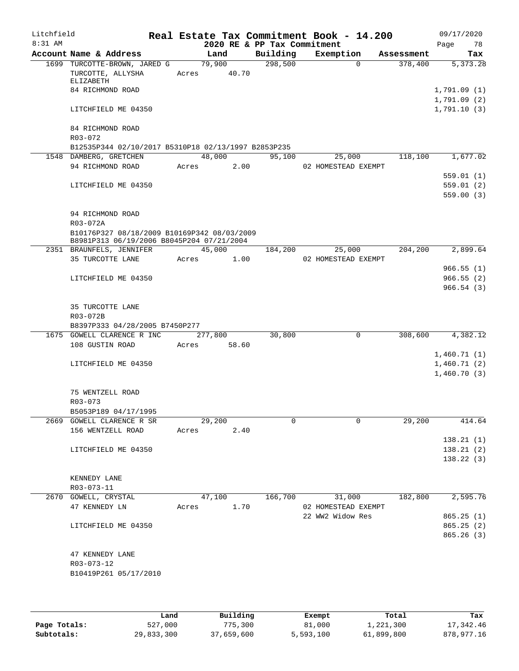| Litchfield |                                                                                          |             |         |       |                             | Real Estate Tax Commitment Book - 14.200 |             |            | 09/17/2020  |        |
|------------|------------------------------------------------------------------------------------------|-------------|---------|-------|-----------------------------|------------------------------------------|-------------|------------|-------------|--------|
| $8:31$ AM  |                                                                                          |             |         |       | 2020 RE & PP Tax Commitment |                                          |             |            | Page        | 78     |
|            | Account Name & Address                                                                   |             | Land    |       | Building                    | Exemption                                |             | Assessment |             | Tax    |
|            | 1699 TURCOTTE-BROWN, JARED G                                                             |             | 79,900  |       | 298,500                     |                                          | $\Omega$    | 378,400    | 5,373.28    |        |
|            | TURCOTTE, ALLYSHA                                                                        | Acres 40.70 |         |       |                             |                                          |             |            |             |        |
|            | ELIZABETH<br>84 RICHMOND ROAD                                                            |             |         |       |                             |                                          |             |            | 1,791.09(1) |        |
|            |                                                                                          |             |         |       |                             |                                          |             |            | 1,791.09(2) |        |
|            | LITCHFIELD ME 04350                                                                      |             |         |       |                             |                                          |             |            | 1,791.10(3) |        |
|            |                                                                                          |             |         |       |                             |                                          |             |            |             |        |
|            | 84 RICHMOND ROAD<br>R03-072                                                              |             |         |       |                             |                                          |             |            |             |        |
|            | B12535P344 02/10/2017 B5310P18 02/13/1997 B2853P235                                      |             |         |       |                             |                                          |             |            |             |        |
|            | 1548 DAMBERG, GRETCHEN                                                                   |             | 48,000  |       | 95,100                      | 25,000                                   |             | 118,100    | 1,677.02    |        |
|            | 94 RICHMOND ROAD                                                                         | Acres       |         | 2.00  |                             | 02 HOMESTEAD EXEMPT                      |             |            |             |        |
|            |                                                                                          |             |         |       |                             |                                          |             |            | 559.01(1)   |        |
|            | LITCHFIELD ME 04350                                                                      |             |         |       |                             |                                          |             |            | 559.01(2)   |        |
|            |                                                                                          |             |         |       |                             |                                          |             |            | 559.00(3)   |        |
|            |                                                                                          |             |         |       |                             |                                          |             |            |             |        |
|            | 94 RICHMOND ROAD                                                                         |             |         |       |                             |                                          |             |            |             |        |
|            | R03-072A                                                                                 |             |         |       |                             |                                          |             |            |             |        |
|            | B10176P327 08/18/2009 B10169P342 08/03/2009<br>B8981P313 06/19/2006 B8045P204 07/21/2004 |             |         |       |                             |                                          |             |            |             |        |
|            | 2351 BRAUNFELS, JENNIFER                                                                 |             | 45,000  |       | 184,200                     | 25,000                                   |             | 204,200    | 2,899.64    |        |
|            | 35 TURCOTTE LANE                                                                         | Acres       |         | 1.00  |                             | 02 HOMESTEAD EXEMPT                      |             |            |             |        |
|            |                                                                                          |             |         |       |                             |                                          |             |            | 966.55(1)   |        |
|            | LITCHFIELD ME 04350                                                                      |             |         |       |                             |                                          |             |            | 966.55(2)   |        |
|            |                                                                                          |             |         |       |                             |                                          |             |            | 966.54(3)   |        |
|            |                                                                                          |             |         |       |                             |                                          |             |            |             |        |
|            | 35 TURCOTTE LANE                                                                         |             |         |       |                             |                                          |             |            |             |        |
|            | R03-072B                                                                                 |             |         |       |                             |                                          |             |            |             |        |
|            | B8397P333 04/28/2005 B7450P277                                                           |             |         |       |                             |                                          |             |            |             |        |
|            | 1675 GOWELL CLARENCE R INC                                                               |             | 277,800 |       | 30,800                      |                                          | $\mathbf 0$ | 308,600    | 4,382.12    |        |
|            | 108 GUSTIN ROAD                                                                          | Acres       |         | 58.60 |                             |                                          |             |            |             |        |
|            |                                                                                          |             |         |       |                             |                                          |             |            | 1,460.71(1) |        |
|            | LITCHFIELD ME 04350                                                                      |             |         |       |                             |                                          |             |            | 1,460.71(2) |        |
|            |                                                                                          |             |         |       |                             |                                          |             |            | 1,460.70(3) |        |
|            |                                                                                          |             |         |       |                             |                                          |             |            |             |        |
|            | 75 WENTZELL ROAD                                                                         |             |         |       |                             |                                          |             |            |             |        |
|            | R03-073                                                                                  |             |         |       |                             |                                          |             |            |             |        |
|            | B5053P189 04/17/1995<br>2669 GOWELL CLARENCE R SR                                        |             | 29,200  |       | $\Omega$                    |                                          | $\mathbf 0$ | 29,200     |             | 414.64 |
|            | 156 WENTZELL ROAD                                                                        | Acres       |         | 2.40  |                             |                                          |             |            |             |        |
|            |                                                                                          |             |         |       |                             |                                          |             |            | 138.21(1)   |        |
|            | LITCHFIELD ME 04350                                                                      |             |         |       |                             |                                          |             |            | 138.21(2)   |        |
|            |                                                                                          |             |         |       |                             |                                          |             |            | 138.22(3)   |        |
|            |                                                                                          |             |         |       |                             |                                          |             |            |             |        |
|            | KENNEDY LANE                                                                             |             |         |       |                             |                                          |             |            |             |        |
|            | R03-073-11                                                                               |             |         |       |                             |                                          |             |            |             |        |
|            | 2670 GOWELL, CRYSTAL                                                                     |             | 47,100  |       | 166,700                     | 31,000                                   |             | 182,800    | 2,595.76    |        |
|            | 47 KENNEDY LN                                                                            | Acres       |         | 1.70  |                             | 02 HOMESTEAD EXEMPT                      |             |            |             |        |
|            |                                                                                          |             |         |       |                             | 22 WW2 Widow Res                         |             |            | 865.25(1)   |        |
|            | LITCHFIELD ME 04350                                                                      |             |         |       |                             |                                          |             |            | 865.25(2)   |        |
|            |                                                                                          |             |         |       |                             |                                          |             |            | 865.26(3)   |        |
|            |                                                                                          |             |         |       |                             |                                          |             |            |             |        |
|            | 47 KENNEDY LANE                                                                          |             |         |       |                             |                                          |             |            |             |        |
|            | R03-073-12                                                                               |             |         |       |                             |                                          |             |            |             |        |
|            | B10419P261 05/17/2010                                                                    |             |         |       |                             |                                          |             |            |             |        |
|            |                                                                                          |             |         |       |                             |                                          |             |            |             |        |
|            |                                                                                          |             |         |       |                             |                                          |             |            |             |        |

|              | Land       | Building   | Exempt    | Total      | Tax        |
|--------------|------------|------------|-----------|------------|------------|
| Page Totals: | 527,000    | 775,300    | 81,000    | 1,221,300  | 17,342.46  |
| Subtotals:   | 29,833,300 | 37,659,600 | 5,593,100 | 61,899,800 | 878,977.16 |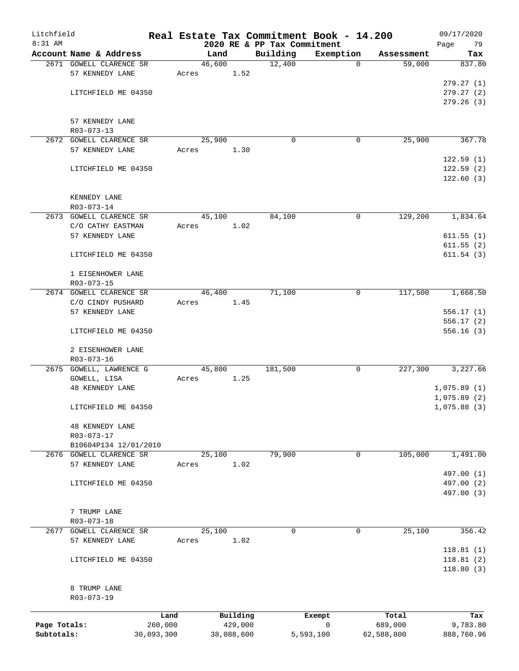| Litchfield   |                                       |            |       |        |            |                             |             | Real Estate Tax Commitment Book - 14.200 |             |            | 09/17/2020               |
|--------------|---------------------------------------|------------|-------|--------|------------|-----------------------------|-------------|------------------------------------------|-------------|------------|--------------------------|
| $8:31$ AM    |                                       |            |       |        |            | 2020 RE & PP Tax Commitment |             |                                          |             |            | Page<br>79               |
|              | Account Name & Address                |            |       | Land   |            | Building                    |             | Exemption                                |             | Assessment | Tax                      |
|              | 2671 GOWELL CLARENCE SR               |            |       | 46,600 |            | 12,400                      |             |                                          | $\Omega$    | 59,000     | 837.80                   |
|              | 57 KENNEDY LANE                       |            | Acres |        | 1.52       |                             |             |                                          |             |            | 279.27(1)                |
|              | LITCHFIELD ME 04350                   |            |       |        |            |                             |             |                                          |             |            |                          |
|              |                                       |            |       |        |            |                             |             |                                          |             |            | 279.27 (2)<br>279.26 (3) |
|              |                                       |            |       |        |            |                             |             |                                          |             |            |                          |
|              | 57 KENNEDY LANE                       |            |       |        |            |                             |             |                                          |             |            |                          |
|              | R03-073-13                            |            |       |        |            |                             |             |                                          |             |            |                          |
|              | 2672 GOWELL CLARENCE SR               |            |       | 25,900 |            |                             | $\mathbf 0$ |                                          | 0           | 25,900     | 367.78                   |
|              | 57 KENNEDY LANE                       |            | Acres |        | 1.30       |                             |             |                                          |             |            |                          |
|              |                                       |            |       |        |            |                             |             |                                          |             |            | 122.59(1)                |
|              | LITCHFIELD ME 04350                   |            |       |        |            |                             |             |                                          |             |            | 122.59(2)                |
|              |                                       |            |       |        |            |                             |             |                                          |             |            | 122.60(3)                |
|              |                                       |            |       |        |            |                             |             |                                          |             |            |                          |
|              | KENNEDY LANE                          |            |       |        |            |                             |             |                                          |             |            |                          |
|              | R03-073-14                            |            |       |        |            |                             |             |                                          |             |            |                          |
|              | 2673 GOWELL CLARENCE SR               |            |       | 45,100 |            | 84,100                      |             |                                          | 0           | 129,200    | 1,834.64                 |
|              | C/O CATHY EASTMAN                     |            | Acres |        | 1.02       |                             |             |                                          |             |            |                          |
|              | 57 KENNEDY LANE                       |            |       |        |            |                             |             |                                          |             |            | 611.55(1)                |
|              |                                       |            |       |        |            |                             |             |                                          |             |            | 611.55(2)                |
|              | LITCHFIELD ME 04350                   |            |       |        |            |                             |             |                                          |             |            | 611.54(3)                |
|              |                                       |            |       |        |            |                             |             |                                          |             |            |                          |
|              | 1 EISENHOWER LANE                     |            |       |        |            |                             |             |                                          |             |            |                          |
|              | R03-073-15                            |            |       |        |            |                             |             |                                          |             |            |                          |
|              | 2674 GOWELL CLARENCE SR               |            |       | 46,400 |            | 71,100                      |             |                                          | $\mathbf 0$ | 117,500    | 1,668.50                 |
|              | C/O CINDY PUSHARD                     |            | Acres |        | 1.45       |                             |             |                                          |             |            |                          |
|              | 57 KENNEDY LANE                       |            |       |        |            |                             |             |                                          |             |            | 556.17(1)                |
|              |                                       |            |       |        |            |                             |             |                                          |             |            | 556.17(2)                |
|              | LITCHFIELD ME 04350                   |            |       |        |            |                             |             |                                          |             |            | 556.16(3)                |
|              |                                       |            |       |        |            |                             |             |                                          |             |            |                          |
|              | 2 EISENHOWER LANE                     |            |       |        |            |                             |             |                                          |             |            |                          |
|              | R03-073-16<br>2675 GOWELL, LAWRENCE G |            |       | 45,800 |            | 181,500                     |             |                                          | 0           | 227,300    | 3,227.66                 |
|              | GOWELL, LISA                          |            | Acres |        | 1.25       |                             |             |                                          |             |            |                          |
|              | <b>48 KENNEDY LANE</b>                |            |       |        |            |                             |             |                                          |             |            | 1,075.89(1)              |
|              |                                       |            |       |        |            |                             |             |                                          |             |            | 1,075.89(2)              |
|              | LITCHFIELD ME 04350                   |            |       |        |            |                             |             |                                          |             |            | 1,075.88(3)              |
|              |                                       |            |       |        |            |                             |             |                                          |             |            |                          |
|              | <b>48 KENNEDY LANE</b>                |            |       |        |            |                             |             |                                          |             |            |                          |
|              | R03-073-17                            |            |       |        |            |                             |             |                                          |             |            |                          |
|              | B10604P134 12/01/2010                 |            |       |        |            |                             |             |                                          |             |            |                          |
|              | 2676 GOWELL CLARENCE SR               |            |       | 25,100 |            | 79,900                      |             |                                          | 0           | 105,000    | 1,491.00                 |
|              | 57 KENNEDY LANE                       |            | Acres |        | 1.02       |                             |             |                                          |             |            |                          |
|              |                                       |            |       |        |            |                             |             |                                          |             |            | 497.00 (1)               |
|              | LITCHFIELD ME 04350                   |            |       |        |            |                             |             |                                          |             |            | 497.00 (2)               |
|              |                                       |            |       |        |            |                             |             |                                          |             |            | 497.00 (3)               |
|              |                                       |            |       |        |            |                             |             |                                          |             |            |                          |
|              | 7 TRUMP LANE                          |            |       |        |            |                             |             |                                          |             |            |                          |
|              | R03-073-18                            |            |       |        |            |                             |             |                                          |             |            |                          |
| 2677         | GOWELL CLARENCE SR                    |            |       | 25,100 |            |                             | 0           |                                          | $\mathbf 0$ | 25,100     | 356.42                   |
|              | 57 KENNEDY LANE                       |            | Acres |        | 1.02       |                             |             |                                          |             |            |                          |
|              |                                       |            |       |        |            |                             |             |                                          |             |            | 118.81(1)                |
|              | LITCHFIELD ME 04350                   |            |       |        |            |                             |             |                                          |             |            | 118.81(2)                |
|              |                                       |            |       |        |            |                             |             |                                          |             |            | 118.80(3)                |
|              |                                       |            |       |        |            |                             |             |                                          |             |            |                          |
|              | 8 TRUMP LANE                          |            |       |        |            |                             |             |                                          |             |            |                          |
|              | R03-073-19                            |            |       |        |            |                             |             |                                          |             |            |                          |
|              |                                       | Land       |       |        | Building   |                             |             | Exempt                                   |             | Total      | Tax                      |
| Page Totals: |                                       | 260,000    |       |        | 429,000    |                             |             | 0                                        |             | 689,000    | 9,783.80                 |
| Subtotals:   |                                       | 30,093,300 |       |        | 38,088,600 |                             |             | 5,593,100                                |             | 62,588,800 | 888,760.96               |
|              |                                       |            |       |        |            |                             |             |                                          |             |            |                          |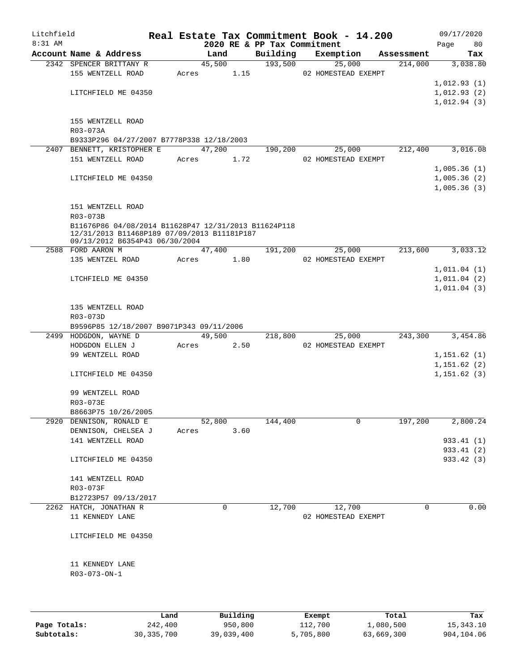| Litchfield |                                                                                                                                       |       |                |      |                             | Real Estate Tax Commitment Book - 14.200 |                       | 09/17/2020               |
|------------|---------------------------------------------------------------------------------------------------------------------------------------|-------|----------------|------|-----------------------------|------------------------------------------|-----------------------|--------------------------|
| $8:31$ AM  |                                                                                                                                       |       |                |      | 2020 RE & PP Tax Commitment |                                          |                       | Page<br>80               |
|            | Account Name & Address<br>2342 SPENCER BRITTANY R                                                                                     |       | Land<br>45,500 |      | Building<br>193,500         | Exemption<br>25,000                      | Assessment<br>214,000 | Tax<br>3,038.80          |
|            | 155 WENTZELL ROAD                                                                                                                     |       | Acres          | 1.15 |                             | 02 HOMESTEAD EXEMPT                      |                       |                          |
|            |                                                                                                                                       |       |                |      |                             |                                          |                       | 1,012.93(1)              |
|            | LITCHFIELD ME 04350                                                                                                                   |       |                |      |                             |                                          |                       | 1,012.93(2)              |
|            |                                                                                                                                       |       |                |      |                             |                                          |                       | 1,012.94(3)              |
|            | 155 WENTZELL ROAD<br>R03-073A                                                                                                         |       |                |      |                             |                                          |                       |                          |
|            | B9333P296 04/27/2007 B7778P338 12/18/2003                                                                                             |       |                |      |                             |                                          |                       |                          |
|            | 2407 BENNETT, KRISTOPHER E                                                                                                            |       | 47,200         |      | 190,200                     | 25,000                                   | 212,400               | 3,016.08                 |
|            | 151 WENTZELL ROAD                                                                                                                     |       | Acres 1.72     |      |                             | 02 HOMESTEAD EXEMPT                      |                       |                          |
|            |                                                                                                                                       |       |                |      |                             |                                          |                       | 1,005.36(1)              |
|            | LITCHFIELD ME 04350                                                                                                                   |       |                |      |                             |                                          |                       | 1,005.36(2)              |
|            |                                                                                                                                       |       |                |      |                             |                                          |                       | 1,005.36(3)              |
|            | 151 WENTZELL ROAD                                                                                                                     |       |                |      |                             |                                          |                       |                          |
|            | R03-073B                                                                                                                              |       |                |      |                             |                                          |                       |                          |
|            | B11676P86 04/08/2014 B11628P47 12/31/2013 B11624P118<br>12/31/2013 B11468P189 07/09/2013 B11181P187<br>09/13/2012 B6354P43 06/30/2004 |       |                |      |                             |                                          |                       |                          |
|            | 2588 FORD AARON M                                                                                                                     |       | 47,400         |      | 191,200                     | 25,000                                   | 213,600               | 3,033.12                 |
|            | 135 WENTZEL ROAD                                                                                                                      |       | Acres          | 1.80 |                             | 02 HOMESTEAD EXEMPT                      |                       |                          |
|            |                                                                                                                                       |       |                |      |                             |                                          |                       | 1,011.04(1)              |
|            | LTCHFIELD ME 04350                                                                                                                    |       |                |      |                             |                                          |                       | 1,011.04(2)              |
|            |                                                                                                                                       |       |                |      |                             |                                          |                       | 1,011.04(3)              |
|            | 135 WENTZELL ROAD<br>R03-073D                                                                                                         |       |                |      |                             |                                          |                       |                          |
|            | B9596P85 12/18/2007 B9071P343 09/11/2006                                                                                              |       |                |      |                             |                                          |                       |                          |
|            | 2499 HODGDON, WAYNE D                                                                                                                 |       | 49,500         |      | 218,800                     | 25,000                                   | 243,300               | 3,454.86                 |
|            | HODGDON ELLEN J                                                                                                                       | Acres |                | 2.50 |                             | 02 HOMESTEAD EXEMPT                      |                       |                          |
|            | 99 WENTZELL ROAD                                                                                                                      |       |                |      |                             |                                          |                       | 1,151.62(1)              |
|            |                                                                                                                                       |       |                |      |                             |                                          |                       | 1,151.62(2)              |
|            | LITCHFIELD ME 04350                                                                                                                   |       |                |      |                             |                                          |                       | 1, 151.62(3)             |
|            | 99 WENTZELL ROAD                                                                                                                      |       |                |      |                             |                                          |                       |                          |
|            | R03-073E                                                                                                                              |       |                |      |                             |                                          |                       |                          |
|            | B8663P75 10/26/2005                                                                                                                   |       |                |      |                             |                                          |                       |                          |
|            | 2920 DENNISON, RONALD E                                                                                                               |       | 52,800         |      | 144,400                     | 0                                        | 197,200               | 2,800.24                 |
|            | DENNISON, CHELSEA J                                                                                                                   | Acres |                | 3.60 |                             |                                          |                       |                          |
|            | 141 WENTZELL ROAD                                                                                                                     |       |                |      |                             |                                          |                       | 933.41 (1)               |
|            | LITCHFIELD ME 04350                                                                                                                   |       |                |      |                             |                                          |                       | 933.41 (2)<br>933.42 (3) |
|            |                                                                                                                                       |       |                |      |                             |                                          |                       |                          |
|            | 141 WENTZELL ROAD                                                                                                                     |       |                |      |                             |                                          |                       |                          |
|            | R03-073F                                                                                                                              |       |                |      |                             |                                          |                       |                          |
|            | B12723P57 09/13/2017                                                                                                                  |       |                |      |                             |                                          |                       |                          |
|            | 2262 HATCH, JONATHAN R                                                                                                                |       | 0              |      | 12,700                      | 12,700                                   | 0                     | 0.00                     |
|            | 11 KENNEDY LANE                                                                                                                       |       |                |      |                             | 02 HOMESTEAD EXEMPT                      |                       |                          |
|            | LITCHFIELD ME 04350                                                                                                                   |       |                |      |                             |                                          |                       |                          |
|            | 11 KENNEDY LANE                                                                                                                       |       |                |      |                             |                                          |                       |                          |
|            | $R03 - 073 - ON - 1$                                                                                                                  |       |                |      |                             |                                          |                       |                          |
|            |                                                                                                                                       |       |                |      |                             |                                          |                       |                          |
|            |                                                                                                                                       |       |                |      |                             |                                          |                       |                          |

|              | Land         | Building   | Exempt    | Total      | Tax        |
|--------------|--------------|------------|-----------|------------|------------|
| Page Totals: | 242,400      | 950,800    | 112,700   | 1,080,500  | 15,343.10  |
| Subtotals:   | 30, 335, 700 | 39,039,400 | 5,705,800 | 63,669,300 | 904,104.06 |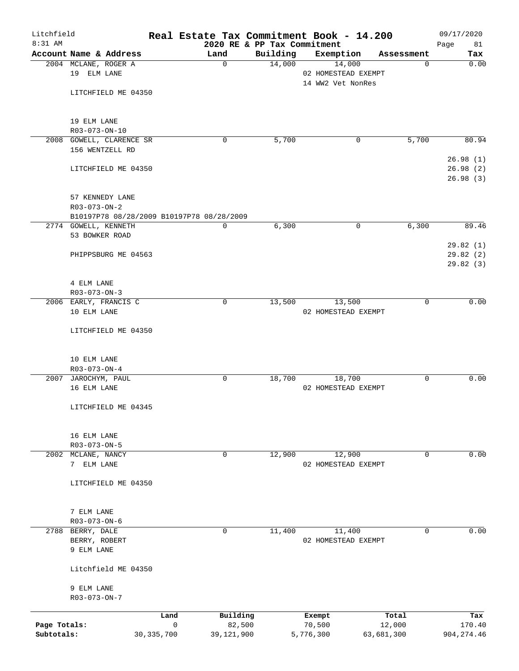| Litchfield<br>$8:31$ AM |                                          |              | Real Estate Tax Commitment Book - 14.200<br>2020 RE & PP Tax Commitment |          |                     |            |             | 09/17/2020        |
|-------------------------|------------------------------------------|--------------|-------------------------------------------------------------------------|----------|---------------------|------------|-------------|-------------------|
|                         | Account Name & Address                   |              | Land                                                                    | Building | Exemption           |            | Assessment  | Page<br>81<br>Tax |
|                         | 2004 MCLANE, ROGER A                     |              | $\mathbf 0$                                                             | 14,000   | 14,000              |            | 0           | 0.00              |
|                         | 19 ELM LANE                              |              |                                                                         |          | 02 HOMESTEAD EXEMPT |            |             |                   |
|                         |                                          |              |                                                                         |          | 14 WW2 Vet NonRes   |            |             |                   |
|                         | LITCHFIELD ME 04350                      |              |                                                                         |          |                     |            |             |                   |
|                         |                                          |              |                                                                         |          |                     |            |             |                   |
|                         | 19 ELM LANE                              |              |                                                                         |          |                     |            |             |                   |
|                         | R03-073-ON-10                            |              |                                                                         |          |                     |            |             |                   |
|                         | 2008 GOWELL, CLARENCE SR                 |              | 0                                                                       | 5,700    |                     | 0          | 5,700       | 80.94             |
|                         | 156 WENTZELL RD                          |              |                                                                         |          |                     |            |             |                   |
|                         |                                          |              |                                                                         |          |                     |            |             | 26.98(1)          |
|                         | LITCHFIELD ME 04350                      |              |                                                                         |          |                     |            |             | 26.98(2)          |
|                         |                                          |              |                                                                         |          |                     |            |             | 26.98(3)          |
|                         | 57 KENNEDY LANE                          |              |                                                                         |          |                     |            |             |                   |
|                         | R03-073-ON-2                             |              |                                                                         |          |                     |            |             |                   |
|                         |                                          |              | B10197P78 08/28/2009 B10197P78 08/28/2009                               |          |                     |            |             |                   |
|                         | 2774 GOWELL, KENNETH                     |              | $\mathbf 0$                                                             | 6,300    |                     | 0          | 6,300       | 89.46             |
|                         | 53 BOWKER ROAD                           |              |                                                                         |          |                     |            |             |                   |
|                         |                                          |              |                                                                         |          |                     |            |             | 29.82(1)          |
|                         | PHIPPSBURG ME 04563                      |              |                                                                         |          |                     |            |             | 29.82 (2)         |
|                         |                                          |              |                                                                         |          |                     |            |             | 29.82(3)          |
|                         |                                          |              |                                                                         |          |                     |            |             |                   |
|                         | 4 ELM LANE<br>$R03 - 073 - ON - 3$       |              |                                                                         |          |                     |            |             |                   |
|                         | 2006 EARLY, FRANCIS C                    |              | 0                                                                       | 13,500   | 13,500              |            | 0           | 0.00              |
|                         | 10 ELM LANE                              |              |                                                                         |          | 02 HOMESTEAD EXEMPT |            |             |                   |
|                         |                                          |              |                                                                         |          |                     |            |             |                   |
|                         | LITCHFIELD ME 04350                      |              |                                                                         |          |                     |            |             |                   |
|                         |                                          |              |                                                                         |          |                     |            |             |                   |
|                         |                                          |              |                                                                         |          |                     |            |             |                   |
|                         | 10 ELM LANE                              |              |                                                                         |          |                     |            |             |                   |
|                         | R03-073-ON-4<br>2007 JAROCHYM, PAUL      |              | 0                                                                       | 18,700   | 18,700              |            | 0           | 0.00              |
|                         | 16 ELM LANE                              |              |                                                                         |          | 02 HOMESTEAD EXEMPT |            |             |                   |
|                         |                                          |              |                                                                         |          |                     |            |             |                   |
|                         | LITCHFIELD ME 04345                      |              |                                                                         |          |                     |            |             |                   |
|                         |                                          |              |                                                                         |          |                     |            |             |                   |
|                         |                                          |              |                                                                         |          |                     |            |             |                   |
|                         | 16 ELM LANE                              |              |                                                                         |          |                     |            |             |                   |
| 2002                    | R03-073-ON-5<br>MCLANE, NANCY            |              | 0                                                                       | 12,900   | 12,900              |            | 0           | 0.00              |
|                         | 7 ELM LANE                               |              |                                                                         |          | 02 HOMESTEAD EXEMPT |            |             |                   |
|                         |                                          |              |                                                                         |          |                     |            |             |                   |
|                         | LITCHFIELD ME 04350                      |              |                                                                         |          |                     |            |             |                   |
|                         |                                          |              |                                                                         |          |                     |            |             |                   |
|                         |                                          |              |                                                                         |          |                     |            |             |                   |
|                         | 7 ELM LANE                               |              |                                                                         |          |                     |            |             |                   |
|                         | $R03 - 073 - ON - 6$<br>2788 BERRY, DALE |              | 0                                                                       | 11,400   | 11,400              |            | $\mathbf 0$ | 0.00              |
|                         | BERRY, ROBERT                            |              |                                                                         |          | 02 HOMESTEAD EXEMPT |            |             |                   |
|                         | 9 ELM LANE                               |              |                                                                         |          |                     |            |             |                   |
|                         |                                          |              |                                                                         |          |                     |            |             |                   |
|                         | Litchfield ME 04350                      |              |                                                                         |          |                     |            |             |                   |
|                         |                                          |              |                                                                         |          |                     |            |             |                   |
|                         | 9 ELM LANE                               |              |                                                                         |          |                     |            |             |                   |
|                         | R03-073-ON-7                             |              |                                                                         |          |                     |            |             |                   |
|                         |                                          | Land         | Building                                                                |          | Exempt              | Total      |             | Tax               |
| Page Totals:            |                                          | 0            | 82,500                                                                  |          | 70,500              | 12,000     |             | 170.40            |
| Subtotals:              |                                          | 30, 335, 700 | 39,121,900                                                              |          | 5,776,300           | 63,681,300 |             | 904, 274.46       |
|                         |                                          |              |                                                                         |          |                     |            |             |                   |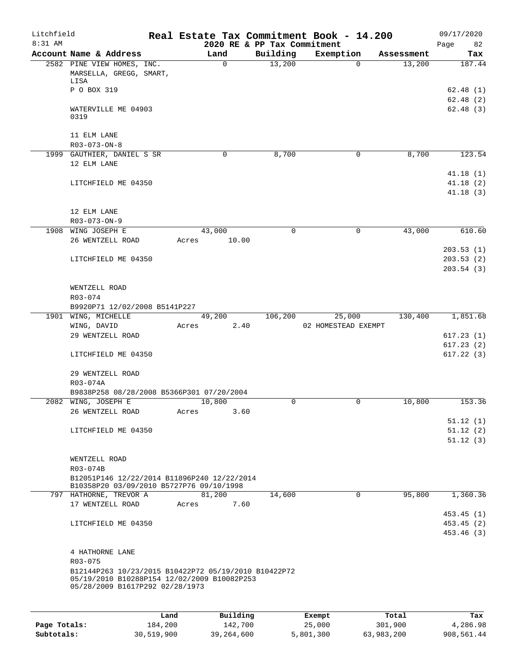| Litchfield<br>8:31 AM |                                                                                |      |       |             |          | 2020 RE & PP Tax Commitment | Real Estate Tax Commitment Book - 14.200 |          |            | 09/17/2020<br>Page<br>82 |
|-----------------------|--------------------------------------------------------------------------------|------|-------|-------------|----------|-----------------------------|------------------------------------------|----------|------------|--------------------------|
|                       | Account Name & Address                                                         |      |       | Land        |          | Building                    | Exemption                                |          | Assessment | Tax                      |
|                       | 2582 PINE VIEW HOMES, INC.<br>MARSELLA, GREGG, SMART,<br>LISA                  |      |       | $\mathbf 0$ |          | 13,200                      |                                          | $\Omega$ | 13,200     | 187.44                   |
|                       | P O BOX 319                                                                    |      |       |             |          |                             |                                          |          |            | 62.48(1)<br>62.48(2)     |
|                       | WATERVILLE ME 04903<br>0319                                                    |      |       |             |          |                             |                                          |          |            | 62.48(3)                 |
|                       | 11 ELM LANE<br>R03-073-ON-8                                                    |      |       |             |          |                             |                                          |          |            |                          |
|                       | 1999 GAUTHIER, DANIEL S SR                                                     |      |       | $\mathbf 0$ |          | 8,700                       |                                          | 0        | 8,700      | 123.54                   |
|                       | 12 ELM LANE                                                                    |      |       |             |          |                             |                                          |          |            | 41.18(1)                 |
|                       | LITCHFIELD ME 04350                                                            |      |       |             |          |                             |                                          |          |            | 41.18(2)<br>41.18(3)     |
|                       | 12 ELM LANE                                                                    |      |       |             |          |                             |                                          |          |            |                          |
|                       | R03-073-ON-9                                                                   |      |       |             |          |                             |                                          |          |            |                          |
|                       | 1908 WING JOSEPH E<br>26 WENTZELL ROAD                                         |      |       | 43,000      | 10.00    | $\mathbf 0$                 |                                          | 0        | 43,000     | 610.60                   |
|                       |                                                                                |      | Acres |             |          |                             |                                          |          |            | 203.53(1)                |
|                       | LITCHFIELD ME 04350                                                            |      |       |             |          |                             |                                          |          |            | 203.53(2)                |
|                       |                                                                                |      |       |             |          |                             |                                          |          |            | 203.54(3)                |
|                       | WENTZELL ROAD                                                                  |      |       |             |          |                             |                                          |          |            |                          |
|                       | R03-074                                                                        |      |       |             |          |                             |                                          |          |            |                          |
|                       | B9920P71 12/02/2008 B5141P227                                                  |      |       |             |          |                             |                                          |          |            |                          |
|                       | 1901 WING, MICHELLE                                                            |      |       | 49,200      |          | 106,200                     | 25,000                                   |          | 130,400    | 1,851.68                 |
|                       | WING, DAVID                                                                    |      | Acres |             | 2.40     |                             | 02 HOMESTEAD EXEMPT                      |          |            |                          |
|                       | 29 WENTZELL ROAD                                                               |      |       |             |          |                             |                                          |          |            | 617.23(1)                |
|                       |                                                                                |      |       |             |          |                             |                                          |          |            | 617.23(2)                |
|                       | LITCHFIELD ME 04350                                                            |      |       |             |          |                             |                                          |          |            | 617.22(3)                |
|                       | 29 WENTZELL ROAD<br>R03-074A                                                   |      |       |             |          |                             |                                          |          |            |                          |
|                       | B9838P258 08/28/2008 B5366P301 07/20/2004                                      |      |       |             |          |                             |                                          |          |            |                          |
|                       | 2082 WING, JOSEPH E                                                            |      |       | 10,800      |          | 0                           |                                          | 0        | 10,800     | 153.36                   |
|                       | 26 WENTZELL ROAD                                                               |      | Acres |             | 3.60     |                             |                                          |          |            |                          |
|                       |                                                                                |      |       |             |          |                             |                                          |          |            | 51.12(1)                 |
|                       | LITCHFIELD ME 04350                                                            |      |       |             |          |                             |                                          |          |            | 51.12(2)                 |
|                       |                                                                                |      |       |             |          |                             |                                          |          |            | 51.12(3)                 |
|                       |                                                                                |      |       |             |          |                             |                                          |          |            |                          |
|                       | WENTZELL ROAD                                                                  |      |       |             |          |                             |                                          |          |            |                          |
|                       | R03-074B<br>B12051P146 12/22/2014 B11896P240 12/22/2014                        |      |       |             |          |                             |                                          |          |            |                          |
|                       | B10358P20 03/09/2010 B5727P76 09/10/1998                                       |      |       |             |          |                             |                                          |          |            |                          |
|                       | 797 HATHORNE, TREVOR A                                                         |      |       | 81,200      |          | 14,600                      |                                          | $\Omega$ | 95,800     | 1,360.36                 |
|                       | 17 WENTZELL ROAD                                                               |      | Acres |             | 7.60     |                             |                                          |          |            |                          |
|                       |                                                                                |      |       |             |          |                             |                                          |          |            | 453.45(1)                |
|                       | LITCHFIELD ME 04350                                                            |      |       |             |          |                             |                                          |          |            | 453.45(2)                |
|                       |                                                                                |      |       |             |          |                             |                                          |          |            | 453.46 (3)               |
|                       |                                                                                |      |       |             |          |                             |                                          |          |            |                          |
|                       | 4 HATHORNE LANE<br>R03-075                                                     |      |       |             |          |                             |                                          |          |            |                          |
|                       | B12144P263 10/23/2015 B10422P72 05/19/2010 B10422P72                           |      |       |             |          |                             |                                          |          |            |                          |
|                       | 05/19/2010 B10288P154 12/02/2009 B10082P253<br>05/28/2009 B1617P292 02/28/1973 |      |       |             |          |                             |                                          |          |            |                          |
|                       |                                                                                |      |       |             |          |                             |                                          |          |            |                          |
|                       |                                                                                | Land |       |             | Building |                             | Exempt                                   |          | Total      | Tax                      |

|              | Land       | Building   | Exempt    | Total      | Tax        |
|--------------|------------|------------|-----------|------------|------------|
| Page Totals: | 184,200    | 142,700    | 25,000    | 301,900    | 4,286.98   |
| Subtotals:   | 30,519,900 | 39,264,600 | 5,801,300 | 63,983,200 | 908,561.44 |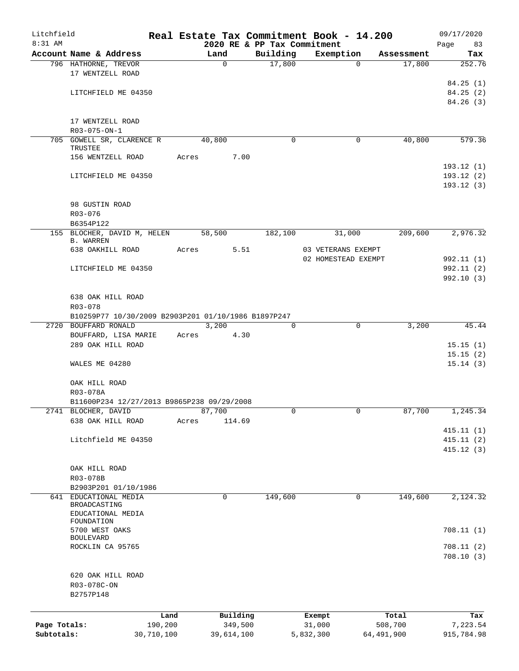| Litchfield<br>8:31 AM |                                                                   |            |             |                                         | Real Estate Tax Commitment Book - 14.200 |            | 09/17/2020        |
|-----------------------|-------------------------------------------------------------------|------------|-------------|-----------------------------------------|------------------------------------------|------------|-------------------|
|                       | Account Name & Address                                            |            | Land        | 2020 RE & PP Tax Commitment<br>Building | Exemption                                | Assessment | Page<br>83<br>Tax |
|                       | 796 HATHORNE, TREVOR                                              |            | 0           | 17,800                                  | 0                                        | 17,800     | 252.76            |
|                       | 17 WENTZELL ROAD                                                  |            |             |                                         |                                          |            |                   |
|                       |                                                                   |            |             |                                         |                                          |            | 84.25(1)          |
|                       | LITCHFIELD ME 04350                                               |            |             |                                         |                                          |            | 84.25 (2)         |
|                       |                                                                   |            |             |                                         |                                          |            | 84.26(3)          |
|                       |                                                                   |            |             |                                         |                                          |            |                   |
|                       | 17 WENTZELL ROAD                                                  |            |             |                                         |                                          |            |                   |
|                       | R03-075-ON-1                                                      |            |             |                                         |                                          |            |                   |
|                       | 705 GOWELL SR, CLARENCE R<br>TRUSTEE                              |            | 40,800      | 0                                       | 0                                        | 40,800     | 579.36            |
|                       | 156 WENTZELL ROAD                                                 | Acres      | 7.00        |                                         |                                          |            |                   |
|                       |                                                                   |            |             |                                         |                                          |            | 193.12(1)         |
|                       | LITCHFIELD ME 04350                                               |            |             |                                         |                                          |            | 193.12(2)         |
|                       |                                                                   |            |             |                                         |                                          |            | 193.12(3)         |
|                       |                                                                   |            |             |                                         |                                          |            |                   |
|                       | 98 GUSTIN ROAD                                                    |            |             |                                         |                                          |            |                   |
|                       | R03-076                                                           |            |             |                                         |                                          |            |                   |
|                       | B6354P122<br>155 BLOCHER, DAVID M, HELEN                          |            | 58,500      | 182,100                                 | 31,000                                   | 209,600    | 2,976.32          |
|                       | <b>B. WARREN</b>                                                  |            |             |                                         |                                          |            |                   |
|                       | 638 OAKHILL ROAD                                                  | Acres      | 5.51        |                                         | 03 VETERANS EXEMPT                       |            |                   |
|                       |                                                                   |            |             |                                         | 02 HOMESTEAD EXEMPT                      |            | 992.11 (1)        |
|                       | LITCHFIELD ME 04350                                               |            |             |                                         |                                          |            | 992.11 (2)        |
|                       |                                                                   |            |             |                                         |                                          |            | 992.10(3)         |
|                       |                                                                   |            |             |                                         |                                          |            |                   |
|                       | 638 OAK HILL ROAD                                                 |            |             |                                         |                                          |            |                   |
|                       | R03-078<br>B10259P77 10/30/2009 B2903P201 01/10/1986 B1897P247    |            |             |                                         |                                          |            |                   |
|                       | 2720 BOUFFARD RONALD                                              |            | 3,200       | 0                                       | $\mathbf 0$                              | 3,200      | 45.44             |
|                       | BOUFFARD, LISA MARIE                                              | Acres      | 4.30        |                                         |                                          |            |                   |
|                       | 289 OAK HILL ROAD                                                 |            |             |                                         |                                          |            | 15.15(1)          |
|                       |                                                                   |            |             |                                         |                                          |            | 15.15(2)          |
|                       | WALES ME 04280                                                    |            |             |                                         |                                          |            | 15.14(3)          |
|                       |                                                                   |            |             |                                         |                                          |            |                   |
|                       | OAK HILL ROAD                                                     |            |             |                                         |                                          |            |                   |
|                       | R03-078A                                                          |            |             |                                         |                                          |            |                   |
|                       | B11600P234 12/27/2013 B9865P238 09/29/2008<br>2741 BLOCHER, DAVID |            | 87,700      |                                         | 0                                        | 87,700     | 1,245.34          |
|                       | 638 OAK HILL ROAD                                                 | Acres      | 114.69      |                                         |                                          |            |                   |
|                       |                                                                   |            |             |                                         |                                          |            | 415.11(1)         |
|                       | Litchfield ME 04350                                               |            |             |                                         |                                          |            | 415.11(2)         |
|                       |                                                                   |            |             |                                         |                                          |            | 415.12(3)         |
|                       |                                                                   |            |             |                                         |                                          |            |                   |
|                       | OAK HILL ROAD                                                     |            |             |                                         |                                          |            |                   |
|                       | R03-078B                                                          |            |             |                                         |                                          |            |                   |
|                       | B2903P201 01/10/1986                                              |            |             |                                         |                                          |            |                   |
|                       | 641 EDUCATIONAL MEDIA<br>BROADCASTING                             |            | $\mathbf 0$ | 149,600                                 | $\mathbf 0$                              | 149,600    | 2,124.32          |
|                       | EDUCATIONAL MEDIA                                                 |            |             |                                         |                                          |            |                   |
|                       | FOUNDATION                                                        |            |             |                                         |                                          |            |                   |
|                       | 5700 WEST OAKS                                                    |            |             |                                         |                                          |            | 708.11(1)         |
|                       | <b>BOULEVARD</b><br>ROCKLIN CA 95765                              |            |             |                                         |                                          |            | 708.11(2)         |
|                       |                                                                   |            |             |                                         |                                          |            | 708.10(3)         |
|                       |                                                                   |            |             |                                         |                                          |            |                   |
|                       | 620 OAK HILL ROAD                                                 |            |             |                                         |                                          |            |                   |
|                       | R03-078C-ON                                                       |            |             |                                         |                                          |            |                   |
|                       | B2757P148                                                         |            |             |                                         |                                          |            |                   |
|                       |                                                                   |            |             |                                         |                                          |            |                   |
|                       |                                                                   | Land       | Building    |                                         | Exempt                                   | Total      | Tax               |
| Page Totals:          |                                                                   | 190,200    | 349,500     |                                         | 31,000                                   | 508,700    | 7,223.54          |
| Subtotals:            |                                                                   | 30,710,100 | 39,614,100  |                                         | 5,832,300                                | 64,491,900 | 915,784.98        |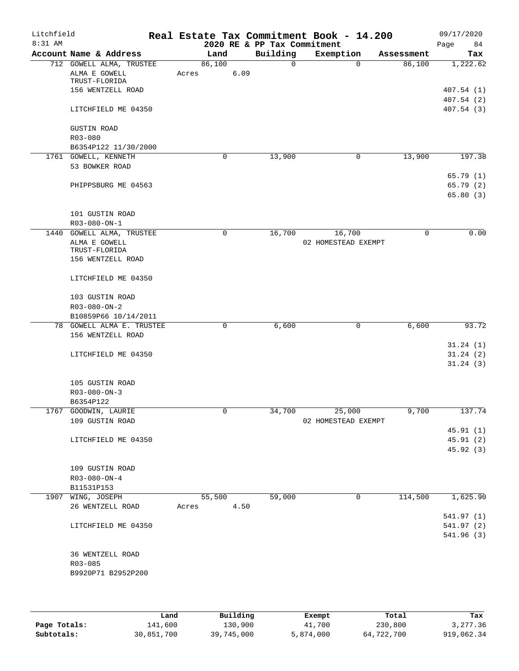| Litchfield<br>8:31 AM |                           | Real Estate Tax Commitment Book - 14.200 | 2020 RE & PP Tax Commitment |                     |            | 09/17/2020<br>84 |
|-----------------------|---------------------------|------------------------------------------|-----------------------------|---------------------|------------|------------------|
|                       | Account Name & Address    | Land                                     | Building                    | Exemption           | Assessment | Page<br>Tax      |
|                       | 712 GOWELL ALMA, TRUSTEE  | 86,100                                   | $\Omega$                    | $\Omega$            | 86,100     | 1,222.62         |
|                       | ALMA E GOWELL             | 6.09<br>Acres                            |                             |                     |            |                  |
|                       | TRUST-FLORIDA             |                                          |                             |                     |            |                  |
|                       | 156 WENTZELL ROAD         |                                          |                             |                     |            | 407.54(1)        |
|                       |                           |                                          |                             |                     |            | 407.54(2)        |
|                       | LITCHFIELD ME 04350       |                                          |                             |                     |            | 407.54(3)        |
|                       | <b>GUSTIN ROAD</b>        |                                          |                             |                     |            |                  |
|                       | R03-080                   |                                          |                             |                     |            |                  |
|                       | B6354P122 11/30/2000      |                                          |                             |                     |            |                  |
|                       | 1761 GOWELL, KENNETH      | 0                                        | 13,900                      | 0                   | 13,900     | 197.38           |
|                       | 53 BOWKER ROAD            |                                          |                             |                     |            |                  |
|                       |                           |                                          |                             |                     |            | 65.79(1)         |
|                       | PHIPPSBURG ME 04563       |                                          |                             |                     |            | 65.79(2)         |
|                       |                           |                                          |                             |                     |            | 65.80(3)         |
|                       | 101 GUSTIN ROAD           |                                          |                             |                     |            |                  |
|                       | R03-080-ON-1              |                                          |                             |                     |            |                  |
|                       | 1440 GOWELL ALMA, TRUSTEE | 0                                        | 16,700                      | 16,700              | 0          | 0.00             |
|                       | ALMA E GOWELL             |                                          |                             | 02 HOMESTEAD EXEMPT |            |                  |
|                       | TRUST-FLORIDA             |                                          |                             |                     |            |                  |
|                       | 156 WENTZELL ROAD         |                                          |                             |                     |            |                  |
|                       | LITCHFIELD ME 04350       |                                          |                             |                     |            |                  |
|                       |                           |                                          |                             |                     |            |                  |
|                       | 103 GUSTIN ROAD           |                                          |                             |                     |            |                  |
|                       | R03-080-ON-2              |                                          |                             |                     |            |                  |
|                       | B10859P66 10/14/2011      |                                          |                             |                     |            |                  |
|                       | 78 GOWELL ALMA E. TRUSTEE | 0                                        | 6,600                       | 0                   | 6,600      | 93.72            |
|                       | 156 WENTZELL ROAD         |                                          |                             |                     |            |                  |
|                       |                           |                                          |                             |                     |            | 31.24(1)         |
|                       | LITCHFIELD ME 04350       |                                          |                             |                     |            | 31.24(2)         |
|                       |                           |                                          |                             |                     |            | 31.24(3)         |
|                       |                           |                                          |                             |                     |            |                  |
|                       | 105 GUSTIN ROAD           |                                          |                             |                     |            |                  |
|                       | $R03 - 080 - ON - 3$      |                                          |                             |                     |            |                  |
|                       | B6354P122                 |                                          |                             |                     |            |                  |
|                       | 1767 GOODWIN, LAURIE      | U                                        | 34,700                      | 25,000              | 9,700      | 137.74           |
|                       | 109 GUSTIN ROAD           |                                          |                             | 02 HOMESTEAD EXEMPT |            |                  |
|                       |                           |                                          |                             |                     |            | 45.91(1)         |
|                       | LITCHFIELD ME 04350       |                                          |                             |                     |            | 45.91 (2)        |
|                       |                           |                                          |                             |                     |            | 45.92 (3)        |
|                       |                           |                                          |                             |                     |            |                  |
|                       | 109 GUSTIN ROAD           |                                          |                             |                     |            |                  |
|                       | $R03 - 080 - ON - 4$      |                                          |                             |                     |            |                  |
|                       | B11531P153                |                                          |                             |                     |            |                  |
|                       | 1907 WING, JOSEPH         | 55,500                                   | 59,000                      | 0                   | 114,500    | 1,625.90         |
|                       | 26 WENTZELL ROAD          | 4.50<br>Acres                            |                             |                     |            |                  |
|                       |                           |                                          |                             |                     |            | 541.97 (1)       |
|                       | LITCHFIELD ME 04350       |                                          |                             |                     |            | 541.97 (2)       |
|                       |                           |                                          |                             |                     |            | 541.96 (3)       |
|                       |                           |                                          |                             |                     |            |                  |
|                       | 36 WENTZELL ROAD          |                                          |                             |                     |            |                  |
|                       | R03-085                   |                                          |                             |                     |            |                  |
|                       | B9920P71 B2952P200        |                                          |                             |                     |            |                  |
|                       |                           |                                          |                             |                     |            |                  |
|                       |                           |                                          |                             |                     |            |                  |

|              | Land       | Building   | Exempt    | Total      | Tax        |
|--------------|------------|------------|-----------|------------|------------|
| Page Totals: | 141,600    | 130,900    | 41,700    | 230,800    | 3,277.36   |
| Subtotals:   | 30,851,700 | 39,745,000 | 5,874,000 | 64,722,700 | 919,062.34 |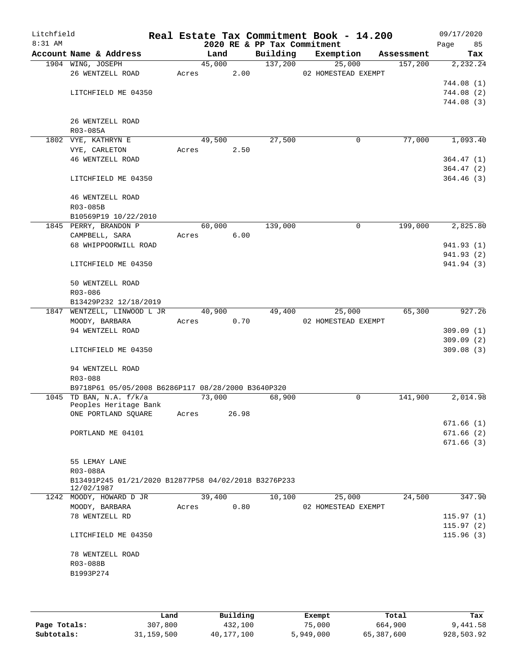| Litchfield<br>$8:31$ AM |                                                                    |       |        |       |          | Real Estate Tax Commitment Book - 14.200<br>2020 RE & PP Tax Commitment |             |            | 09/17/2020<br>Page | 85         |
|-------------------------|--------------------------------------------------------------------|-------|--------|-------|----------|-------------------------------------------------------------------------|-------------|------------|--------------------|------------|
|                         | Account Name & Address                                             |       | Land   |       | Building | Exemption                                                               |             | Assessment |                    | Tax        |
|                         | 1904 WING, JOSEPH                                                  |       | 45,000 |       | 137,200  | 25,000                                                                  |             | 157,200    |                    | 2,232.24   |
|                         | 26 WENTZELL ROAD                                                   | Acres |        | 2.00  |          | 02 HOMESTEAD EXEMPT                                                     |             |            |                    |            |
|                         |                                                                    |       |        |       |          |                                                                         |             |            |                    | 744.08 (1) |
|                         | LITCHFIELD ME 04350                                                |       |        |       |          |                                                                         |             |            |                    | 744.08(2)  |
|                         |                                                                    |       |        |       |          |                                                                         |             |            |                    | 744.08 (3) |
|                         | 26 WENTZELL ROAD                                                   |       |        |       |          |                                                                         |             |            |                    |            |
|                         | R03-085A                                                           |       |        |       |          |                                                                         |             |            |                    |            |
|                         | 1802 VYE, KATHRYN E                                                |       | 49,500 |       | 27,500   |                                                                         | $\mathbf 0$ | 77,000     |                    | 1,093.40   |
|                         | VYE, CARLETON                                                      | Acres |        | 2.50  |          |                                                                         |             |            |                    |            |
|                         | 46 WENTZELL ROAD                                                   |       |        |       |          |                                                                         |             |            |                    | 364.47(1)  |
|                         |                                                                    |       |        |       |          |                                                                         |             |            |                    | 364.47(2)  |
|                         | LITCHFIELD ME 04350                                                |       |        |       |          |                                                                         |             |            |                    | 364.46(3)  |
|                         |                                                                    |       |        |       |          |                                                                         |             |            |                    |            |
|                         | 46 WENTZELL ROAD                                                   |       |        |       |          |                                                                         |             |            |                    |            |
|                         | R03-085B                                                           |       |        |       |          |                                                                         |             |            |                    |            |
|                         | B10569P19 10/22/2010<br>1845 PERRY, BRANDON P                      |       | 60,000 |       | 139,000  |                                                                         | 0           | 199,000    |                    | 2,825.80   |
|                         | CAMPBELL, SARA                                                     | Acres |        | 6.00  |          |                                                                         |             |            |                    |            |
|                         | 68 WHIPPOORWILL ROAD                                               |       |        |       |          |                                                                         |             |            |                    | 941.93 (1) |
|                         |                                                                    |       |        |       |          |                                                                         |             |            |                    | 941.93 (2) |
|                         | LITCHFIELD ME 04350                                                |       |        |       |          |                                                                         |             |            |                    | 941.94 (3) |
|                         |                                                                    |       |        |       |          |                                                                         |             |            |                    |            |
|                         | 50 WENTZELL ROAD                                                   |       |        |       |          |                                                                         |             |            |                    |            |
|                         | R03-086                                                            |       |        |       |          |                                                                         |             |            |                    |            |
|                         | B13429P232 12/18/2019                                              |       |        |       |          |                                                                         |             |            |                    |            |
|                         | 1847 WENTZELL, LINWOOD L JR                                        |       | 40,900 |       | 49,400   | 25,000                                                                  |             | 65,300     |                    | 927.26     |
|                         | MOODY, BARBARA<br>94 WENTZELL ROAD                                 | Acres |        | 0.70  |          | 02 HOMESTEAD EXEMPT                                                     |             |            |                    | 309.09(1)  |
|                         |                                                                    |       |        |       |          |                                                                         |             |            |                    | 309.09(2)  |
|                         | LITCHFIELD ME 04350                                                |       |        |       |          |                                                                         |             |            |                    | 309.08(3)  |
|                         |                                                                    |       |        |       |          |                                                                         |             |            |                    |            |
|                         | 94 WENTZELL ROAD                                                   |       |        |       |          |                                                                         |             |            |                    |            |
|                         | R03-088                                                            |       |        |       |          |                                                                         |             |            |                    |            |
|                         | B9718P61 05/05/2008 B6286P117 08/28/2000 B3640P320                 |       |        |       |          |                                                                         |             |            |                    |            |
|                         | 1045 TD BAN, N.A. $f/k/a$<br>Peoples Heritage Bank                 |       | 73,000 |       | 68,900   |                                                                         | 0           | 141,900    |                    | 2,014.98   |
|                         | ONE PORTLAND SQUARE                                                | Acres |        | 26.98 |          |                                                                         |             |            |                    |            |
|                         |                                                                    |       |        |       |          |                                                                         |             |            |                    | 671.66(1)  |
|                         | PORTLAND ME 04101                                                  |       |        |       |          |                                                                         |             |            |                    | 671.66(2)  |
|                         |                                                                    |       |        |       |          |                                                                         |             |            |                    | 671.66(3)  |
|                         |                                                                    |       |        |       |          |                                                                         |             |            |                    |            |
|                         | 55 LEMAY LANE                                                      |       |        |       |          |                                                                         |             |            |                    |            |
|                         | R03-088A                                                           |       |        |       |          |                                                                         |             |            |                    |            |
|                         | B13491P245 01/21/2020 B12877P58 04/02/2018 B3276P233<br>12/02/1987 |       |        |       |          |                                                                         |             |            |                    |            |
|                         | 1242 MOODY, HOWARD D JR                                            |       | 39,400 |       | 10,100   | 25,000                                                                  |             | 24,500     |                    | 347.90     |
|                         | MOODY, BARBARA                                                     | Acres |        | 0.80  |          | 02 HOMESTEAD EXEMPT                                                     |             |            |                    |            |
|                         | 78 WENTZELL RD                                                     |       |        |       |          |                                                                         |             |            |                    | 115.97(1)  |
|                         |                                                                    |       |        |       |          |                                                                         |             |            |                    | 115.97(2)  |
|                         | LITCHFIELD ME 04350                                                |       |        |       |          |                                                                         |             |            |                    | 115.96(3)  |
|                         |                                                                    |       |        |       |          |                                                                         |             |            |                    |            |
|                         | 78 WENTZELL ROAD<br>R03-088B                                       |       |        |       |          |                                                                         |             |            |                    |            |
|                         | B1993P274                                                          |       |        |       |          |                                                                         |             |            |                    |            |
|                         |                                                                    |       |        |       |          |                                                                         |             |            |                    |            |
|                         |                                                                    |       |        |       |          |                                                                         |             |            |                    |            |
|                         |                                                                    |       |        |       |          |                                                                         |             |            |                    |            |

|              | Land       | Building   | Exempt    | Total      | Tax        |
|--------------|------------|------------|-----------|------------|------------|
| Page Totals: | 307,800    | 432,100    | 75,000    | 664,900    | 9,441.58   |
| Subtotals:   | 31,159,500 | 40,177,100 | 5,949,000 | 65,387,600 | 928,503.92 |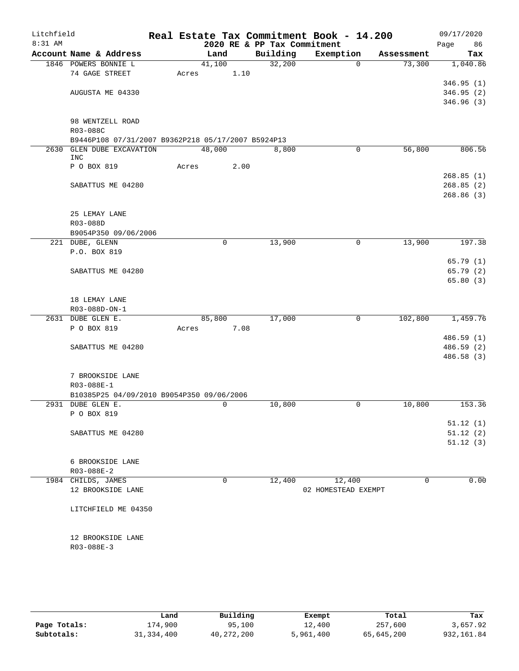| Litchfield<br>8:31 AM |                                                    |       |             |      | 2020 RE & PP Tax Commitment | Real Estate Tax Commitment Book - 14.200 |            |         | 09/17/2020<br>Page<br>86 |
|-----------------------|----------------------------------------------------|-------|-------------|------|-----------------------------|------------------------------------------|------------|---------|--------------------------|
|                       | Account Name & Address                             |       | Land        |      | Building                    | Exemption                                | Assessment |         | Tax                      |
|                       | 1846 POWERS BONNIE L                               |       | 41,100      |      | 32,200                      |                                          | $\Omega$   | 73,300  | 1,040.86                 |
|                       | 74 GAGE STREET                                     | Acres |             | 1.10 |                             |                                          |            |         |                          |
|                       |                                                    |       |             |      |                             |                                          |            |         | 346.95(1)                |
|                       | AUGUSTA ME 04330                                   |       |             |      |                             |                                          |            |         | 346.95(2)                |
|                       |                                                    |       |             |      |                             |                                          |            |         | 346.96(3)                |
|                       |                                                    |       |             |      |                             |                                          |            |         |                          |
|                       | 98 WENTZELL ROAD                                   |       |             |      |                             |                                          |            |         |                          |
|                       | R03-088C                                           |       |             |      |                             |                                          |            |         |                          |
|                       | B9446P108 07/31/2007 B9362P218 05/17/2007 B5924P13 |       |             |      |                             |                                          |            |         |                          |
|                       | 2630 GLEN DUBE EXCAVATION                          |       | 48,000      |      | 8,800                       |                                          | 0          | 56,800  | 806.56                   |
|                       | <b>INC</b>                                         |       |             |      |                             |                                          |            |         |                          |
|                       | P O BOX 819                                        | Acres |             | 2.00 |                             |                                          |            |         |                          |
|                       |                                                    |       |             |      |                             |                                          |            |         | 268.85(1)                |
|                       | SABATTUS ME 04280                                  |       |             |      |                             |                                          |            |         | 268.85(2)<br>268.86(3)   |
|                       |                                                    |       |             |      |                             |                                          |            |         |                          |
|                       | 25 LEMAY LANE                                      |       |             |      |                             |                                          |            |         |                          |
|                       | R03-088D                                           |       |             |      |                             |                                          |            |         |                          |
|                       | B9054P350 09/06/2006                               |       |             |      |                             |                                          |            |         |                          |
|                       | 221 DUBE, GLENN                                    |       | $\mathbf 0$ |      | 13,900                      |                                          | 0          | 13,900  | 197.38                   |
|                       | P.O. BOX 819                                       |       |             |      |                             |                                          |            |         |                          |
|                       |                                                    |       |             |      |                             |                                          |            |         | 65.79(1)                 |
|                       | SABATTUS ME 04280                                  |       |             |      |                             |                                          |            |         | 65.79 (2)                |
|                       |                                                    |       |             |      |                             |                                          |            |         | 65.80(3)                 |
|                       |                                                    |       |             |      |                             |                                          |            |         |                          |
|                       | 18 LEMAY LANE                                      |       |             |      |                             |                                          |            |         |                          |
|                       | R03-088D-ON-1                                      |       |             |      |                             |                                          |            |         |                          |
|                       | 2631 DUBE GLEN E.                                  |       | 85,800      |      | 17,000                      |                                          | 0          | 102,800 | 1,459.76                 |
|                       | P O BOX 819                                        | Acres |             | 7.08 |                             |                                          |            |         |                          |
|                       |                                                    |       |             |      |                             |                                          |            |         | 486.59(1)                |
|                       | SABATTUS ME 04280                                  |       |             |      |                             |                                          |            |         | 486.59 (2)               |
|                       |                                                    |       |             |      |                             |                                          |            |         | 486.58 (3)               |
|                       |                                                    |       |             |      |                             |                                          |            |         |                          |
|                       | 7 BROOKSIDE LANE                                   |       |             |      |                             |                                          |            |         |                          |
|                       | R03-088E-1                                         |       |             |      |                             |                                          |            |         |                          |
|                       | B10385P25 04/09/2010 B9054P350 09/06/2006          |       |             |      |                             |                                          |            |         |                          |
|                       | 2931 DUBE GLEN E.                                  |       | 0           |      | 10,800                      |                                          | 0          | 10,800  | 153.36                   |
|                       | P O BOX 819                                        |       |             |      |                             |                                          |            |         |                          |
|                       |                                                    |       |             |      |                             |                                          |            |         | 51.12(1)                 |
|                       | SABATTUS ME 04280                                  |       |             |      |                             |                                          |            |         | 51.12(2)                 |
|                       |                                                    |       |             |      |                             |                                          |            |         | 51.12(3)                 |
|                       |                                                    |       |             |      |                             |                                          |            |         |                          |
|                       | 6 BROOKSIDE LANE                                   |       |             |      |                             |                                          |            |         |                          |
|                       | $R03 - 088E - 2$                                   |       |             |      |                             |                                          |            |         |                          |
|                       | 1984 CHILDS, JAMES                                 |       | $\mathbf 0$ |      | 12,400                      | 12,400                                   |            | 0       | 0.00                     |
|                       | 12 BROOKSIDE LANE                                  |       |             |      |                             | 02 HOMESTEAD EXEMPT                      |            |         |                          |
|                       |                                                    |       |             |      |                             |                                          |            |         |                          |
|                       | LITCHFIELD ME 04350                                |       |             |      |                             |                                          |            |         |                          |
|                       |                                                    |       |             |      |                             |                                          |            |         |                          |
|                       | 12 BROOKSIDE LANE                                  |       |             |      |                             |                                          |            |         |                          |
|                       | R03-088E-3                                         |       |             |      |                             |                                          |            |         |                          |
|                       |                                                    |       |             |      |                             |                                          |            |         |                          |
|                       |                                                    |       |             |      |                             |                                          |            |         |                          |
|                       |                                                    |       |             |      |                             |                                          |            |         |                          |

|              | Land         | Building     | Exempt    | Total      | Tax         |
|--------------|--------------|--------------|-----------|------------|-------------|
| Page Totals: | 174,900      | 95,100       | 12,400    | 257,600    | 3,657.92    |
| Subtotals:   | 31, 334, 400 | 40, 272, 200 | 5,961,400 | 65,645,200 | 932, 161.84 |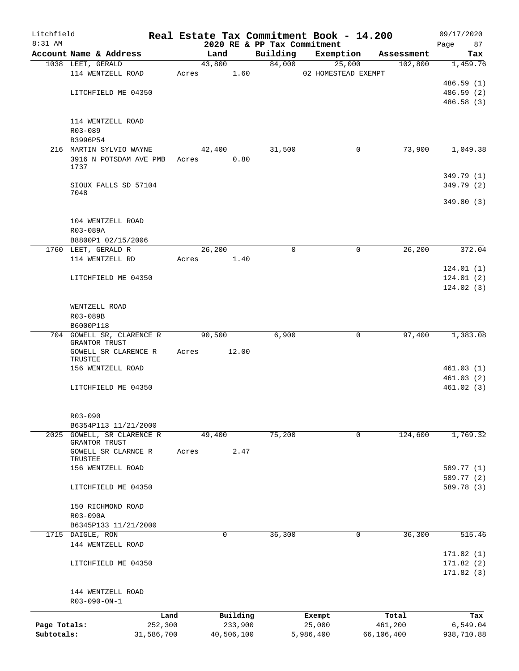| Litchfield   |                                 |            |       |                |            |                                         | Real Estate Tax Commitment Book - 14.200 |   |                       | 09/17/2020      |
|--------------|---------------------------------|------------|-------|----------------|------------|-----------------------------------------|------------------------------------------|---|-----------------------|-----------------|
| 8:31 AM      | Account Name & Address          |            |       |                |            | 2020 RE & PP Tax Commitment<br>Building |                                          |   |                       | Page<br>87      |
|              | 1038 LEET, GERALD               |            |       | Land<br>43,800 |            | 84,000                                  | Exemption<br>25,000                      |   | Assessment<br>102,800 | Tax<br>1,459.76 |
|              | 114 WENTZELL ROAD               |            | Acres |                | 1.60       |                                         | 02 HOMESTEAD EXEMPT                      |   |                       |                 |
|              |                                 |            |       |                |            |                                         |                                          |   |                       | 486.59 (1)      |
|              | LITCHFIELD ME 04350             |            |       |                |            |                                         |                                          |   |                       | 486.59 (2)      |
|              |                                 |            |       |                |            |                                         |                                          |   |                       | 486.58 (3)      |
|              |                                 |            |       |                |            |                                         |                                          |   |                       |                 |
|              | 114 WENTZELL ROAD               |            |       |                |            |                                         |                                          |   |                       |                 |
|              | R03-089                         |            |       |                |            |                                         |                                          |   |                       |                 |
|              | B3996P54                        |            |       |                |            |                                         |                                          |   |                       |                 |
|              | 216 MARTIN SYLVIO WAYNE         |            |       | 42,400         |            | 31,500                                  |                                          | 0 | 73,900                | 1,049.38        |
|              | 3916 N POTSDAM AVE PMB          |            | Acres |                | 0.80       |                                         |                                          |   |                       |                 |
|              | 1737                            |            |       |                |            |                                         |                                          |   |                       |                 |
|              |                                 |            |       |                |            |                                         |                                          |   |                       | 349.79 (1)      |
|              | SIOUX FALLS SD 57104            |            |       |                |            |                                         |                                          |   |                       | 349.79 (2)      |
|              | 7048                            |            |       |                |            |                                         |                                          |   |                       | 349.80(3)       |
|              |                                 |            |       |                |            |                                         |                                          |   |                       |                 |
|              | 104 WENTZELL ROAD               |            |       |                |            |                                         |                                          |   |                       |                 |
|              | R03-089A                        |            |       |                |            |                                         |                                          |   |                       |                 |
|              | B8800P1 02/15/2006              |            |       |                |            |                                         |                                          |   |                       |                 |
|              | 1760 LEET, GERALD R             |            |       | 26,200         |            | $\Omega$                                |                                          | 0 | 26,200                | 372.04          |
|              | 114 WENTZELL RD                 |            |       | Acres          | 1.40       |                                         |                                          |   |                       |                 |
|              |                                 |            |       |                |            |                                         |                                          |   |                       | 124.01(1)       |
|              | LITCHFIELD ME 04350             |            |       |                |            |                                         |                                          |   |                       | 124.01(2)       |
|              |                                 |            |       |                |            |                                         |                                          |   |                       | 124.02(3)       |
|              |                                 |            |       |                |            |                                         |                                          |   |                       |                 |
|              | WENTZELL ROAD                   |            |       |                |            |                                         |                                          |   |                       |                 |
|              | R03-089B                        |            |       |                |            |                                         |                                          |   |                       |                 |
|              | B6000P118                       |            |       |                |            |                                         |                                          |   |                       |                 |
|              | 704 GOWELL SR, CLARENCE R       |            |       | 90,500         |            | 6,900                                   |                                          | 0 | 97,400                | 1,383.08        |
|              | GRANTOR TRUST                   |            |       |                |            |                                         |                                          |   |                       |                 |
|              | GOWELL SR CLARENCE R<br>TRUSTEE |            | Acres |                | 12.00      |                                         |                                          |   |                       |                 |
|              | 156 WENTZELL ROAD               |            |       |                |            |                                         |                                          |   |                       | 461.03(1)       |
|              |                                 |            |       |                |            |                                         |                                          |   |                       | 461.03(2)       |
|              | LITCHFIELD ME 04350             |            |       |                |            |                                         |                                          |   |                       | 461.02(3)       |
|              |                                 |            |       |                |            |                                         |                                          |   |                       |                 |
|              |                                 |            |       |                |            |                                         |                                          |   |                       |                 |
|              | R03-090                         |            |       |                |            |                                         |                                          |   |                       |                 |
|              | B6354P113 11/21/2000            |            |       |                |            |                                         |                                          |   |                       |                 |
| 2025         | GOWELL, SR CLARENCE R           |            |       | 49,400         |            | 75,200                                  |                                          | 0 | 124,600               | 1,769.32        |
|              | GRANTOR TRUST                   |            |       |                |            |                                         |                                          |   |                       |                 |
|              | GOWELL SR CLARNCE R<br>TRUSTEE  |            | Acres |                | 2.47       |                                         |                                          |   |                       |                 |
|              | 156 WENTZELL ROAD               |            |       |                |            |                                         |                                          |   |                       | 589.77 (1)      |
|              |                                 |            |       |                |            |                                         |                                          |   |                       | 589.77 (2)      |
|              | LITCHFIELD ME 04350             |            |       |                |            |                                         |                                          |   |                       | 589.78 (3)      |
|              |                                 |            |       |                |            |                                         |                                          |   |                       |                 |
|              | 150 RICHMOND ROAD               |            |       |                |            |                                         |                                          |   |                       |                 |
|              | R03-090A                        |            |       |                |            |                                         |                                          |   |                       |                 |
|              | B6345P133 11/21/2000            |            |       |                |            |                                         |                                          |   |                       |                 |
|              | 1715 DAIGLE, RON                |            |       | 0              |            | 36,300                                  |                                          | 0 | 36,300                | 515.46          |
|              | 144 WENTZELL ROAD               |            |       |                |            |                                         |                                          |   |                       |                 |
|              |                                 |            |       |                |            |                                         |                                          |   |                       | 171.82(1)       |
|              | LITCHFIELD ME 04350             |            |       |                |            |                                         |                                          |   |                       | 171.82(2)       |
|              |                                 |            |       |                |            |                                         |                                          |   |                       | 171.82(3)       |
|              |                                 |            |       |                |            |                                         |                                          |   |                       |                 |
|              | 144 WENTZELL ROAD               |            |       |                |            |                                         |                                          |   |                       |                 |
|              | R03-090-ON-1                    |            |       |                |            |                                         |                                          |   |                       |                 |
|              |                                 | Land       |       |                | Building   |                                         | Exempt                                   |   | Total                 | Tax             |
| Page Totals: |                                 | 252,300    |       |                | 233,900    |                                         | 25,000                                   |   | 461,200               | 6,549.04        |
| Subtotals:   |                                 | 31,586,700 |       |                | 40,506,100 |                                         | 5,986,400                                |   | 66,106,400            | 938,710.88      |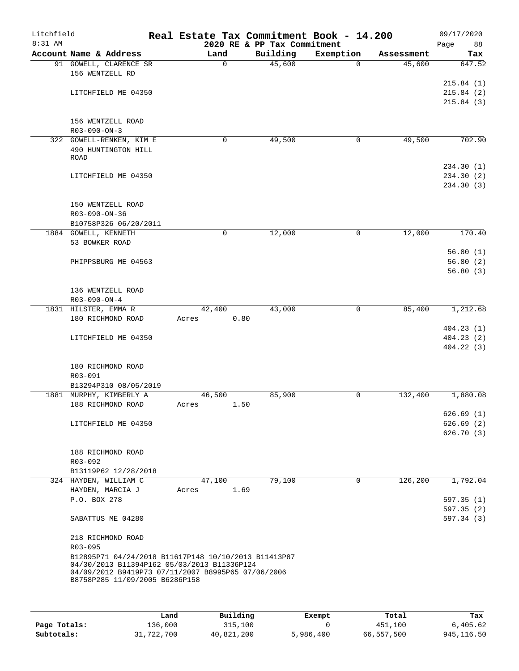| Litchfield<br>$8:31$ AM |                                                                                                                                                           |          |      | 2020 RE & PP Tax Commitment | Real Estate Tax Commitment Book - 14.200 |            | 09/17/2020<br>88<br>Page |
|-------------------------|-----------------------------------------------------------------------------------------------------------------------------------------------------------|----------|------|-----------------------------|------------------------------------------|------------|--------------------------|
|                         | Account Name & Address                                                                                                                                    | Land     |      | Building                    | Exemption                                | Assessment | Tax                      |
|                         | 91 GOWELL, CLARENCE SR<br>156 WENTZELL RD                                                                                                                 | $\Omega$ |      | 45,600                      | $\Omega$                                 | 45,600     | 647.52                   |
|                         | LITCHFIELD ME 04350                                                                                                                                       |          |      |                             |                                          |            | 215.84(1)<br>215.84(2)   |
|                         |                                                                                                                                                           |          |      |                             |                                          |            | 215.84(3)                |
|                         | 156 WENTZELL ROAD<br>R03-090-ON-3                                                                                                                         |          |      |                             |                                          |            |                          |
|                         | 322 GOWELL-RENKEN, KIM E                                                                                                                                  | 0        |      | 49,500                      | 0                                        | 49,500     | 702.90                   |
|                         | 490 HUNTINGTON HILL<br>ROAD                                                                                                                               |          |      |                             |                                          |            |                          |
|                         |                                                                                                                                                           |          |      |                             |                                          |            | 234.30 (1)               |
|                         | LITCHFIELD ME 04350                                                                                                                                       |          |      |                             |                                          |            | 234.30 (2)<br>234.30 (3) |
|                         | 150 WENTZELL ROAD<br>R03-090-ON-36                                                                                                                        |          |      |                             |                                          |            |                          |
|                         | B10758P326 06/20/2011                                                                                                                                     |          |      |                             |                                          |            |                          |
|                         | 1884 GOWELL, KENNETH                                                                                                                                      | 0        |      | 12,000                      | 0                                        | 12,000     | 170.40                   |
|                         | 53 BOWKER ROAD                                                                                                                                            |          |      |                             |                                          |            |                          |
|                         |                                                                                                                                                           |          |      |                             |                                          |            | 56.80(1)                 |
|                         | PHIPPSBURG ME 04563                                                                                                                                       |          |      |                             |                                          |            | 56.80(2)                 |
|                         |                                                                                                                                                           |          |      |                             |                                          |            | 56.80(3)                 |
|                         | 136 WENTZELL ROAD                                                                                                                                         |          |      |                             |                                          |            |                          |
|                         | $R03 - 090 - ON - 4$                                                                                                                                      |          |      |                             |                                          |            |                          |
|                         | 1831 HILSTER, EMMA R                                                                                                                                      | 42,400   |      | 43,000                      | $\mathbf 0$                              | 85,400     | 1,212.68                 |
|                         | 180 RICHMOND ROAD                                                                                                                                         | Acres    | 0.80 |                             |                                          |            | 404.23(1)                |
|                         | LITCHFIELD ME 04350                                                                                                                                       |          |      |                             |                                          |            | 404.23(2)                |
|                         |                                                                                                                                                           |          |      |                             |                                          |            | 404.22(3)                |
|                         | 180 RICHMOND ROAD                                                                                                                                         |          |      |                             |                                          |            |                          |
|                         | R03-091                                                                                                                                                   |          |      |                             |                                          |            |                          |
|                         | B13294P310 08/05/2019                                                                                                                                     |          |      |                             |                                          |            |                          |
|                         | 1881 MURPHY, KIMBERLY A                                                                                                                                   | 46,500   |      | 85,900                      | 0                                        | 132,400    | 1,880.08                 |
|                         | 188 RICHMOND ROAD                                                                                                                                         | Acres    | 1.50 |                             |                                          |            |                          |
|                         |                                                                                                                                                           |          |      |                             |                                          |            | 626.69(1)                |
|                         | LITCHFIELD ME 04350                                                                                                                                       |          |      |                             |                                          |            | 626.69(2)                |
|                         |                                                                                                                                                           |          |      |                             |                                          |            | 626.70(3)                |
|                         | 188 RICHMOND ROAD                                                                                                                                         |          |      |                             |                                          |            |                          |
|                         | R03-092                                                                                                                                                   |          |      |                             |                                          |            |                          |
|                         | B13119P62 12/28/2018                                                                                                                                      |          |      |                             |                                          |            |                          |
|                         | 324 HAYDEN, WILLIAM C                                                                                                                                     | 47,100   |      | 79,100                      | $\mathbf 0$                              | 126,200    | 1,792.04                 |
|                         | HAYDEN, MARCIA J                                                                                                                                          | Acres    | 1.69 |                             |                                          |            |                          |
|                         | P.O. BOX 278                                                                                                                                              |          |      |                             |                                          |            | 597.35(1)                |
|                         |                                                                                                                                                           |          |      |                             |                                          |            | 597.35(2)                |
|                         | SABATTUS ME 04280                                                                                                                                         |          |      |                             |                                          |            | 597.34(3)                |
|                         | 218 RICHMOND ROAD                                                                                                                                         |          |      |                             |                                          |            |                          |
|                         | R03-095                                                                                                                                                   |          |      |                             |                                          |            |                          |
|                         | B12895P71 04/24/2018 B11617P148 10/10/2013 B11413P87<br>04/30/2013 B11394P162 05/03/2013 B11336P124<br>04/09/2012 B9419P73 07/11/2007 B8995P65 07/06/2006 |          |      |                             |                                          |            |                          |
|                         | B8758P285 11/09/2005 B6286P158                                                                                                                            |          |      |                             |                                          |            |                          |

|              | Land       | Building   | Exempt    | Total      | Tax         |
|--------------|------------|------------|-----------|------------|-------------|
| Page Totals: | 136,000    | 315,100    |           | 451,100    | 6,405.62    |
| Subtotals:   | 31,722,700 | 40,821,200 | 5,986,400 | 66,557,500 | 945, 116.50 |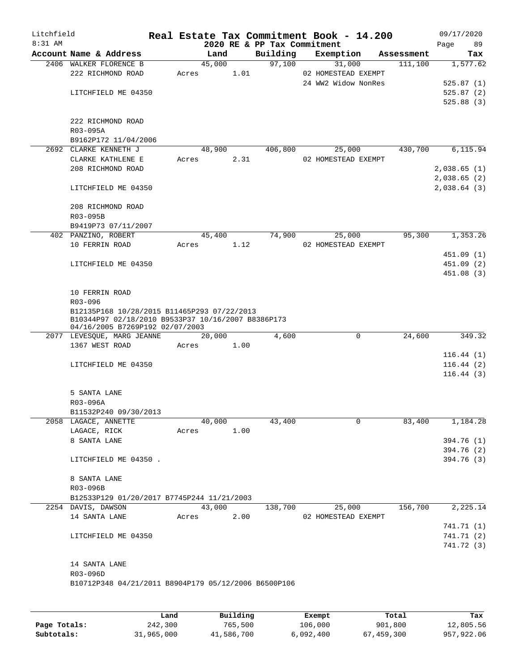| Litchfield<br>8:31 AM |                                                      |       |        | 2020 RE & PP Tax Commitment | Real Estate Tax Commitment Book - 14.200 |            | 09/17/2020<br>Page | 89         |
|-----------------------|------------------------------------------------------|-------|--------|-----------------------------|------------------------------------------|------------|--------------------|------------|
|                       | Account Name & Address                               |       | Land   | Building                    | Exemption                                | Assessment |                    | Tax        |
|                       | 2406 WALKER FLORENCE B                               |       | 45,000 | 97,100                      | 31,000                                   | 111,100    |                    | 1,577.62   |
|                       | 222 RICHMOND ROAD                                    | Acres | 1.01   |                             | 02 HOMESTEAD EXEMPT                      |            |                    |            |
|                       |                                                      |       |        |                             | 24 WW2 Widow NonRes                      |            |                    | 525.87(1)  |
|                       | LITCHFIELD ME 04350                                  |       |        |                             |                                          |            |                    | 525.87(2)  |
|                       |                                                      |       |        |                             |                                          |            |                    | 525.88(3)  |
|                       |                                                      |       |        |                             |                                          |            |                    |            |
|                       | 222 RICHMOND ROAD                                    |       |        |                             |                                          |            |                    |            |
|                       | R03-095A                                             |       |        |                             |                                          |            |                    |            |
|                       | B9162P172 11/04/2006                                 |       |        |                             |                                          |            |                    |            |
|                       | 2692 CLARKE KENNETH J                                |       | 48,900 | 406,800                     | 25,000                                   | 430,700    |                    | 6,115.94   |
|                       | CLARKE KATHLENE E                                    | Acres | 2.31   |                             | 02 HOMESTEAD EXEMPT                      |            |                    |            |
|                       | 208 RICHMOND ROAD                                    |       |        |                             |                                          |            | 2,038.65 (1)       |            |
|                       |                                                      |       |        |                             |                                          |            | 2,038.65(2)        |            |
|                       | LITCHFIELD ME 04350                                  |       |        |                             |                                          |            | 2,038.64(3)        |            |
|                       | 208 RICHMOND ROAD                                    |       |        |                             |                                          |            |                    |            |
|                       | R03-095B                                             |       |        |                             |                                          |            |                    |            |
|                       | B9419P73 07/11/2007                                  |       |        |                             |                                          |            |                    |            |
|                       | 402 PANZINO, ROBERT                                  |       | 45,400 | 74,900                      | 25,000                                   | 95,300     |                    | 1,353.26   |
|                       | 10 FERRIN ROAD                                       | Acres | 1.12   |                             | 02 HOMESTEAD EXEMPT                      |            |                    |            |
|                       |                                                      |       |        |                             |                                          |            |                    | 451.09 (1) |
|                       | LITCHFIELD ME 04350                                  |       |        |                             |                                          |            |                    | 451.09 (2) |
|                       |                                                      |       |        |                             |                                          |            |                    | 451.08 (3) |
|                       |                                                      |       |        |                             |                                          |            |                    |            |
|                       | 10 FERRIN ROAD                                       |       |        |                             |                                          |            |                    |            |
|                       | R03-096                                              |       |        |                             |                                          |            |                    |            |
|                       | B12135P168 10/28/2015 B11465P293 07/22/2013          |       |        |                             |                                          |            |                    |            |
|                       | B10344P97 02/18/2010 B9533P37 10/16/2007 B8386P173   |       |        |                             |                                          |            |                    |            |
|                       | 04/16/2005 B7269P192 02/07/2003                      |       |        |                             |                                          |            |                    |            |
|                       | 2077 LEVESQUE, MARG JEANNE                           |       | 20,000 | 4,600                       | $\mathsf{O}$                             | 24,600     |                    | 349.32     |
|                       | 1367 WEST ROAD                                       | Acres | 1.00   |                             |                                          |            |                    |            |
|                       |                                                      |       |        |                             |                                          |            |                    | 116.44(1)  |
|                       | LITCHFIELD ME 04350                                  |       |        |                             |                                          |            |                    | 116.44(2)  |
|                       |                                                      |       |        |                             |                                          |            |                    | 116.44(3)  |
|                       |                                                      |       |        |                             |                                          |            |                    |            |
|                       | 5 SANTA LANE                                         |       |        |                             |                                          |            |                    |            |
|                       | R03-096A                                             |       |        |                             |                                          |            |                    |            |
|                       | B11532P240 09/30/2013                                |       |        |                             |                                          |            |                    |            |
|                       | 2058 LAGACE, ANNETTE                                 |       | 40,000 | 43,400                      | 0                                        | 83,400     |                    | 1,184.28   |
|                       | LAGACE, RICK                                         | Acres | 1.00   |                             |                                          |            |                    |            |
|                       | 8 SANTA LANE                                         |       |        |                             |                                          |            |                    | 394.76 (1) |
|                       |                                                      |       |        |                             |                                          |            |                    | 394.76 (2) |
|                       | LITCHFIELD ME 04350.                                 |       |        |                             |                                          |            |                    | 394.76 (3) |
|                       | 8 SANTA LANE                                         |       |        |                             |                                          |            |                    |            |
|                       | R03-096B                                             |       |        |                             |                                          |            |                    |            |
|                       | B12533P129 01/20/2017 B7745P244 11/21/2003           |       |        |                             |                                          |            |                    |            |
|                       | 2254 DAVIS, DAWSON                                   |       | 43,000 | 138,700                     | 25,000                                   | 156,700    |                    | 2,225.14   |
|                       | 14 SANTA LANE                                        | Acres | 2.00   |                             | 02 HOMESTEAD EXEMPT                      |            |                    |            |
|                       |                                                      |       |        |                             |                                          |            |                    |            |
|                       |                                                      |       |        |                             |                                          |            |                    | 741.71 (1) |
|                       | LITCHFIELD ME 04350                                  |       |        |                             |                                          |            |                    | 741.71(2)  |
|                       |                                                      |       |        |                             |                                          |            |                    | 741.72 (3) |
|                       | 14 SANTA LANE                                        |       |        |                             |                                          |            |                    |            |
|                       | R03-096D                                             |       |        |                             |                                          |            |                    |            |
|                       | B10712P348 04/21/2011 B8904P179 05/12/2006 B6500P106 |       |        |                             |                                          |            |                    |            |
|                       |                                                      |       |        |                             |                                          |            |                    |            |

|              | Land       | Building   | Exempt    | Total      | Tax        |
|--------------|------------|------------|-----------|------------|------------|
| Page Totals: | 242,300    | 765,500    | 106,000   | 901,800    | 12,805.56  |
| Subtotals:   | 31,965,000 | 41,586,700 | 6,092,400 | 67,459,300 | 957,922.06 |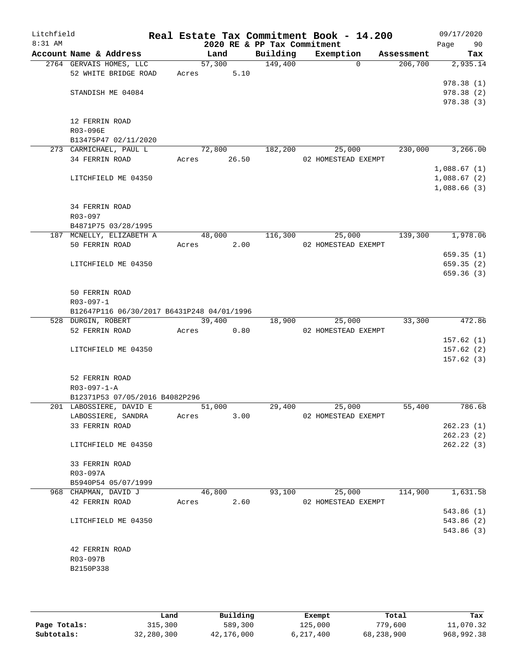| Litchfield |                                                           |       |        |       |                             | Real Estate Tax Commitment Book - 14.200 |            | 09/17/2020                 |
|------------|-----------------------------------------------------------|-------|--------|-------|-----------------------------|------------------------------------------|------------|----------------------------|
| 8:31 AM    |                                                           |       |        |       | 2020 RE & PP Tax Commitment |                                          |            | 90<br>Page                 |
|            | Account Name & Address                                    |       | Land   |       | Building<br>149,400         | Exemption<br>$\Omega$                    | Assessment | Tax                        |
|            | 2764 GERVAIS HOMES, LLC<br>52 WHITE BRIDGE ROAD           | Acres | 57,300 | 5.10  |                             |                                          | 206,700    | 2,935.14                   |
|            |                                                           |       |        |       |                             |                                          |            | 978.38(1)                  |
|            | STANDISH ME 04084                                         |       |        |       |                             |                                          |            | 978.38(2)                  |
|            |                                                           |       |        |       |                             |                                          |            | 978.38 (3)                 |
|            |                                                           |       |        |       |                             |                                          |            |                            |
|            | 12 FERRIN ROAD                                            |       |        |       |                             |                                          |            |                            |
|            | R03-096E                                                  |       |        |       |                             |                                          |            |                            |
|            | B13475P47 02/11/2020                                      |       |        |       |                             |                                          |            |                            |
|            | 273 CARMICHAEL, PAUL L                                    |       | 72,800 |       | 182,200                     | 25,000                                   | 230,000    | 3,266.00                   |
|            | 34 FERRIN ROAD                                            | Acres |        | 26.50 |                             | 02 HOMESTEAD EXEMPT                      |            |                            |
|            | LITCHFIELD ME 04350                                       |       |        |       |                             |                                          |            | 1,088.67(1)                |
|            |                                                           |       |        |       |                             |                                          |            | 1,088.67(2)<br>1,088.66(3) |
|            |                                                           |       |        |       |                             |                                          |            |                            |
|            | 34 FERRIN ROAD                                            |       |        |       |                             |                                          |            |                            |
|            | R03-097                                                   |       |        |       |                             |                                          |            |                            |
|            | B4871P75 03/28/1995                                       |       |        |       |                             |                                          |            |                            |
|            | 187 MCNELLY, ELIZABETH A                                  |       | 48,000 |       | 116,300                     | 25,000                                   | 139,300    | 1,978.06                   |
|            | 50 FERRIN ROAD                                            | Acres |        | 2.00  |                             | 02 HOMESTEAD EXEMPT                      |            |                            |
|            |                                                           |       |        |       |                             |                                          |            | 659.35(1)                  |
|            | LITCHFIELD ME 04350                                       |       |        |       |                             |                                          |            | 659.35(2)                  |
|            |                                                           |       |        |       |                             |                                          |            | 659.36(3)                  |
|            |                                                           |       |        |       |                             |                                          |            |                            |
|            | 50 FERRIN ROAD<br>$R03 - 097 - 1$                         |       |        |       |                             |                                          |            |                            |
|            | B12647P116 06/30/2017 B6431P248 04/01/1996                |       |        |       |                             |                                          |            |                            |
|            | 528 DURGIN, ROBERT                                        |       | 39,400 |       | 18,900                      | 25,000                                   | 33,300     | 472.86                     |
|            | 52 FERRIN ROAD                                            | Acres |        | 0.80  |                             | 02 HOMESTEAD EXEMPT                      |            |                            |
|            |                                                           |       |        |       |                             |                                          |            | 157.62(1)                  |
|            | LITCHFIELD ME 04350                                       |       |        |       |                             |                                          |            | 157.62(2)                  |
|            |                                                           |       |        |       |                             |                                          |            | 157.62(3)                  |
|            |                                                           |       |        |       |                             |                                          |            |                            |
|            | 52 FERRIN ROAD                                            |       |        |       |                             |                                          |            |                            |
|            | $R03 - 097 - 1 - A$                                       |       |        |       |                             |                                          |            |                            |
|            | B12371P53 07/05/2016 B4082P296<br>201 LABOSSIERE, DAVID E |       | 51,000 |       | 29,400                      | 25,000                                   | 55,400     | 786.68                     |
|            | LABOSSIERE, SANDRA                                        | Acres |        | 3.00  |                             | 02 HOMESTEAD EXEMPT                      |            |                            |
|            | 33 FERRIN ROAD                                            |       |        |       |                             |                                          |            | 262.23(1)                  |
|            |                                                           |       |        |       |                             |                                          |            | 262.23(2)                  |
|            | LITCHFIELD ME 04350                                       |       |        |       |                             |                                          |            | 262.22(3)                  |
|            |                                                           |       |        |       |                             |                                          |            |                            |
|            | 33 FERRIN ROAD                                            |       |        |       |                             |                                          |            |                            |
|            | R03-097A                                                  |       |        |       |                             |                                          |            |                            |
|            | B5940P54 05/07/1999                                       |       |        |       |                             |                                          |            |                            |
|            | 968 CHAPMAN, DAVID J                                      |       | 46,800 |       | 93,100                      | 25,000                                   | 114,900    | 1,631.58                   |
|            | 42 FERRIN ROAD                                            | Acres |        | 2.60  |                             | 02 HOMESTEAD EXEMPT                      |            |                            |
|            |                                                           |       |        |       |                             |                                          |            | 543.86 (1)                 |
|            | LITCHFIELD ME 04350                                       |       |        |       |                             |                                          |            | 543.86 (2)                 |
|            |                                                           |       |        |       |                             |                                          |            | 543.86 (3)                 |
|            | 42 FERRIN ROAD                                            |       |        |       |                             |                                          |            |                            |
|            | R03-097B                                                  |       |        |       |                             |                                          |            |                            |
|            | B2150P338                                                 |       |        |       |                             |                                          |            |                            |
|            |                                                           |       |        |       |                             |                                          |            |                            |
|            |                                                           |       |        |       |                             |                                          |            |                            |

|              | Land       | Building   | Exempt    | Total      | Tax        |
|--------------|------------|------------|-----------|------------|------------|
| Page Totals: | 315,300    | 589,300    | 125,000   | 779,600    | 11,070.32  |
| Subtotals:   | 32,280,300 | 42,176,000 | 6,217,400 | 68,238,900 | 968,992.38 |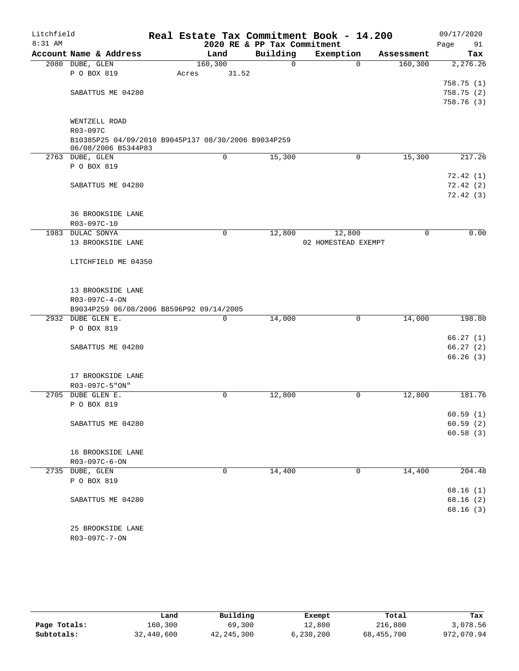| Litchfield |                                                     | Real Estate Tax Commitment Book - 14.200 |                             |                     |            | 09/17/2020 |
|------------|-----------------------------------------------------|------------------------------------------|-----------------------------|---------------------|------------|------------|
| 8:31 AM    |                                                     |                                          | 2020 RE & PP Tax Commitment |                     |            | Page<br>91 |
|            | Account Name & Address                              | Land                                     | Building                    | Exemption           | Assessment | Tax        |
|            | 2080 DUBE, GLEN                                     | 160, 300                                 | $\mathsf{O}$                | $\Omega$            | 160, 300   | 2,276.26   |
|            | P O BOX 819                                         | 31.52<br>Acres                           |                             |                     |            | 758.75(1)  |
|            | SABATTUS ME 04280                                   |                                          |                             |                     |            | 758.75(2)  |
|            |                                                     |                                          |                             |                     |            | 758.76 (3) |
|            |                                                     |                                          |                             |                     |            |            |
|            | WENTZELL ROAD                                       |                                          |                             |                     |            |            |
|            | R03-097C                                            |                                          |                             |                     |            |            |
|            | B10385P25 04/09/2010 B9045P137 08/30/2006 B9034P259 |                                          |                             |                     |            |            |
|            | 06/08/2006 B5344P83<br>2763 DUBE, GLEN              | $\mathbf 0$                              | 15,300                      | 0                   | 15,300     | 217.26     |
|            | P O BOX 819                                         |                                          |                             |                     |            |            |
|            |                                                     |                                          |                             |                     |            | 72.42(1)   |
|            | SABATTUS ME 04280                                   |                                          |                             |                     |            | 72.42(2)   |
|            |                                                     |                                          |                             |                     |            | 72.42(3)   |
|            |                                                     |                                          |                             |                     |            |            |
|            | <b>36 BROOKSIDE LANE</b>                            |                                          |                             |                     |            |            |
|            | R03-097C-10                                         |                                          |                             |                     |            |            |
|            | 1983 DULAC SONYA                                    | $\mathbf 0$                              | 12,800                      | 12,800              | 0          | 0.00       |
|            | 13 BROOKSIDE LANE                                   |                                          |                             | 02 HOMESTEAD EXEMPT |            |            |
|            |                                                     |                                          |                             |                     |            |            |
|            | LITCHFIELD ME 04350                                 |                                          |                             |                     |            |            |
|            |                                                     |                                          |                             |                     |            |            |
|            | 13 BROOKSIDE LANE                                   |                                          |                             |                     |            |            |
|            | R03-097C-4-ON                                       |                                          |                             |                     |            |            |
|            | B9034P259 06/08/2006 B8596P92 09/14/2005            |                                          |                             |                     |            |            |
|            | 2932 DUBE GLEN E.                                   | $\mathbf 0$                              | 14,000                      | $\mathbf 0$         | 14,000     | 198.80     |
|            | P O BOX 819                                         |                                          |                             |                     |            |            |
|            |                                                     |                                          |                             |                     |            | 66.27(1)   |
|            | SABATTUS ME 04280                                   |                                          |                             |                     |            | 66.27(2)   |
|            |                                                     |                                          |                             |                     |            | 66.26(3)   |
|            |                                                     |                                          |                             |                     |            |            |
|            | 17 BROOKSIDE LANE<br>R03-097C-5"ON"                 |                                          |                             |                     |            |            |
|            | 2705 DUBE GLEN E.                                   | $\mathbf 0$                              | 12,800                      | 0                   | 12,800     | 181.76     |
|            | P O BOX 819                                         |                                          |                             |                     |            |            |
|            |                                                     |                                          |                             |                     |            | 60.59(1)   |
|            | SABATTUS ME 04280                                   |                                          |                             |                     |            | 60.59(2)   |
|            |                                                     |                                          |                             |                     |            | 60.58(3)   |
|            |                                                     |                                          |                             |                     |            |            |
|            | 16 BROOKSIDE LANE                                   |                                          |                             |                     |            |            |
|            | R03-097C-6-ON                                       |                                          |                             |                     |            |            |
|            | 2735 DUBE, GLEN                                     | $\mathbf 0$                              | 14,400                      | $\mathbf 0$         | 14,400     | 204.48     |
|            | P O BOX 819                                         |                                          |                             |                     |            | 68.16(1)   |
|            | SABATTUS ME 04280                                   |                                          |                             |                     |            | 68.16(2)   |
|            |                                                     |                                          |                             |                     |            | 68.16(3)   |
|            |                                                     |                                          |                             |                     |            |            |
|            | 25 BROOKSIDE LANE                                   |                                          |                             |                     |            |            |
|            | R03-097C-7-ON                                       |                                          |                             |                     |            |            |
|            |                                                     |                                          |                             |                     |            |            |

|              | Land       | Building   | Exempt    | Total      | Tax        |
|--------------|------------|------------|-----------|------------|------------|
| Page Totals: | 160,300    | 69,300     | 12,800    | 216,800    | 3,078.56   |
| Subtotals:   | 32,440,600 | 42,245,300 | 6,230,200 | 68,455,700 | 972,070.94 |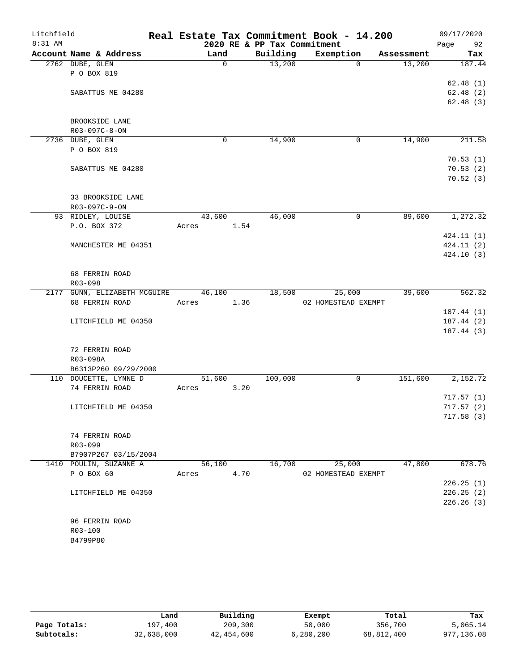| Litchfield<br>8:31 AM |                                    |             | 2020 RE & PP Tax Commitment | Real Estate Tax Commitment Book - 14.200 |            | 09/17/2020<br>Page<br>92 |
|-----------------------|------------------------------------|-------------|-----------------------------|------------------------------------------|------------|--------------------------|
|                       | Account Name & Address             | Land        | Building                    | Exemption                                | Assessment | Tax                      |
|                       | 2762 DUBE, GLEN                    | $\mathbf 0$ | 13,200                      | $\overline{0}$                           | 13,200     | 187.44                   |
|                       | P O BOX 819                        |             |                             |                                          |            |                          |
|                       |                                    |             |                             |                                          |            | 62.48(1)                 |
|                       | SABATTUS ME 04280                  |             |                             |                                          |            | 62.48(2)                 |
|                       |                                    |             |                             |                                          |            | 62.48(3)                 |
|                       |                                    |             |                             |                                          |            |                          |
|                       | BROOKSIDE LANE<br>R03-097C-8-ON    |             |                             |                                          |            |                          |
|                       | 2736 DUBE, GLEN                    | 0           | 14,900                      | 0                                        | 14,900     | 211.58                   |
|                       | P O BOX 819                        |             |                             |                                          |            |                          |
|                       |                                    |             |                             |                                          |            | 70.53(1)                 |
|                       | SABATTUS ME 04280                  |             |                             |                                          |            | 70.53(2)                 |
|                       |                                    |             |                             |                                          |            | 70.52(3)                 |
|                       |                                    |             |                             |                                          |            |                          |
|                       | 33 BROOKSIDE LANE<br>R03-097C-9-ON |             |                             |                                          |            |                          |
|                       | 93 RIDLEY, LOUISE                  | 43,600      | 46,000                      | 0                                        | 89,600     | 1,272.32                 |
|                       | P.O. BOX 372                       | Acres       | 1.54                        |                                          |            |                          |
|                       |                                    |             |                             |                                          |            | 424.11(1)                |
|                       | MANCHESTER ME 04351                |             |                             |                                          |            | 424.11(2)                |
|                       |                                    |             |                             |                                          |            | 424.10(3)                |
|                       |                                    |             |                             |                                          |            |                          |
|                       | 68 FERRIN ROAD<br>$R03 - 098$      |             |                             |                                          |            |                          |
|                       | 2177 GUNN, ELIZABETH MCGUIRE       | 46,100      | 18,500                      | 25,000                                   | 39,600     | 562.32                   |
|                       | 68 FERRIN ROAD                     | Acres       | 1.36                        | 02 HOMESTEAD EXEMPT                      |            |                          |
|                       |                                    |             |                             |                                          |            | 187.44(1)                |
|                       | LITCHFIELD ME 04350                |             |                             |                                          |            | 187.44(2)                |
|                       |                                    |             |                             |                                          |            | 187.44(3)                |
|                       | 72 FERRIN ROAD                     |             |                             |                                          |            |                          |
|                       | R03-098A                           |             |                             |                                          |            |                          |
|                       | B6313P260 09/29/2000               |             |                             |                                          |            |                          |
|                       | 110 DOUCETTE, LYNNE D              | 51,600      | 100,000                     | 0                                        | 151,600    | 2,152.72                 |
|                       | 74 FERRIN ROAD                     | Acres       | 3.20                        |                                          |            |                          |
|                       |                                    |             |                             |                                          |            | 717.57(1)                |
|                       | LITCHFIELD ME 04350                |             |                             |                                          |            | 717.57(2)                |
|                       |                                    |             |                             |                                          |            | 717.58(3)                |
|                       | 74 FERRIN ROAD                     |             |                             |                                          |            |                          |
|                       | R03-099                            |             |                             |                                          |            |                          |
|                       | B7907P267 03/15/2004               |             |                             |                                          |            |                          |
|                       | 1410 POULIN, SUZANNE A             | 56,100      | 16,700                      | 25,000                                   | 47,800     | 678.76                   |
|                       | P O BOX 60                         | Acres       | 4.70                        | 02 HOMESTEAD EXEMPT                      |            |                          |
|                       |                                    |             |                             |                                          |            | 226.25(1)                |
|                       | LITCHFIELD ME 04350                |             |                             |                                          |            | 226.25(2)                |
|                       |                                    |             |                             |                                          |            | 226.26(3)                |
|                       | 96 FERRIN ROAD                     |             |                             |                                          |            |                          |
|                       | R03-100                            |             |                             |                                          |            |                          |
|                       | B4799P80                           |             |                             |                                          |            |                          |
|                       |                                    |             |                             |                                          |            |                          |

|              | Land       | Building   | Exempt    | Total      | Tax        |
|--------------|------------|------------|-----------|------------|------------|
| Page Totals: | 197.400    | 209,300    | 50,000    | 356,700    | 5,065.14   |
| Subtotals:   | 32,638,000 | 42,454,600 | 6,280,200 | 68,812,400 | 977,136.08 |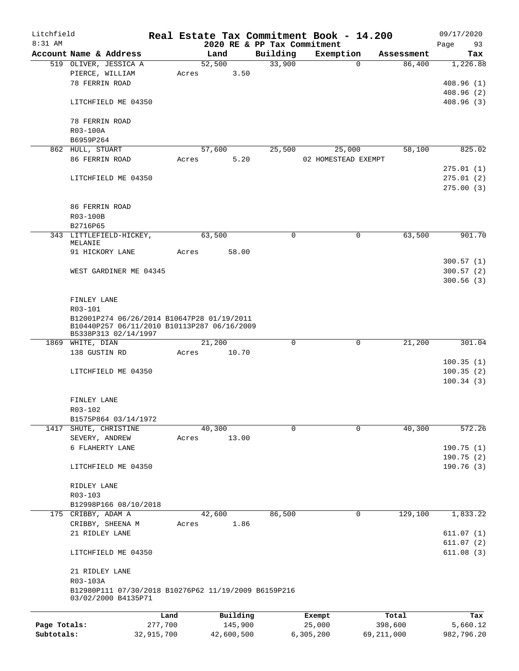| Litchfield   |                                                      |         |       |                |          |                             |             | Real Estate Tax Commitment Book - 14.200 |          |                      | 09/17/2020      |
|--------------|------------------------------------------------------|---------|-------|----------------|----------|-----------------------------|-------------|------------------------------------------|----------|----------------------|-----------------|
| 8:31 AM      |                                                      |         |       |                |          | 2020 RE & PP Tax Commitment |             |                                          |          |                      | 93<br>Page      |
|              | Account Name & Address<br>519 OLIVER, JESSICA A      |         |       | Land<br>52,500 |          | Building<br>33,900          |             | Exemption                                | $\Omega$ | Assessment<br>86,400 | Tax<br>1,226.88 |
|              | PIERCE, WILLIAM                                      |         | Acres |                | 3.50     |                             |             |                                          |          |                      |                 |
|              | 78 FERRIN ROAD                                       |         |       |                |          |                             |             |                                          |          |                      | 408.96(1)       |
|              |                                                      |         |       |                |          |                             |             |                                          |          |                      | 408.96(2)       |
|              | LITCHFIELD ME 04350                                  |         |       |                |          |                             |             |                                          |          |                      | 408.96(3)       |
|              |                                                      |         |       |                |          |                             |             |                                          |          |                      |                 |
|              | 78 FERRIN ROAD                                       |         |       |                |          |                             |             |                                          |          |                      |                 |
|              | R03-100A                                             |         |       |                |          |                             |             |                                          |          |                      |                 |
|              | B6959P264                                            |         |       |                |          |                             |             |                                          |          |                      |                 |
|              | 862 HULL, STUART                                     |         |       | 57,600         |          | 25,500                      |             | 25,000                                   |          | 58,100               | 825.02          |
|              | 86 FERRIN ROAD                                       |         | Acres |                | 5.20     |                             |             | 02 HOMESTEAD EXEMPT                      |          |                      |                 |
|              |                                                      |         |       |                |          |                             |             |                                          |          |                      | 275.01(1)       |
|              | LITCHFIELD ME 04350                                  |         |       |                |          |                             |             |                                          |          |                      | 275.01(2)       |
|              |                                                      |         |       |                |          |                             |             |                                          |          |                      | 275.00(3)       |
|              |                                                      |         |       |                |          |                             |             |                                          |          |                      |                 |
|              | 86 FERRIN ROAD                                       |         |       |                |          |                             |             |                                          |          |                      |                 |
|              | R03-100B                                             |         |       |                |          |                             |             |                                          |          |                      |                 |
|              | B2716P65                                             |         |       |                |          |                             |             |                                          |          |                      |                 |
|              | 343 LITTLEFIELD-HICKEY,                              |         |       | 63,500         |          |                             | 0           |                                          | 0        | 63,500               | 901.70          |
|              | MELANIE                                              |         |       |                |          |                             |             |                                          |          |                      |                 |
|              | 91 HICKORY LANE                                      |         | Acres |                | 58.00    |                             |             |                                          |          |                      |                 |
|              |                                                      |         |       |                |          |                             |             |                                          |          |                      | 300.57(1)       |
|              | WEST GARDINER ME 04345                               |         |       |                |          |                             |             |                                          |          |                      | 300.57(2)       |
|              |                                                      |         |       |                |          |                             |             |                                          |          |                      | 300.56(3)       |
|              |                                                      |         |       |                |          |                             |             |                                          |          |                      |                 |
|              | FINLEY LANE                                          |         |       |                |          |                             |             |                                          |          |                      |                 |
|              | R03-101                                              |         |       |                |          |                             |             |                                          |          |                      |                 |
|              | B12001P274 06/26/2014 B10647P28 01/19/2011           |         |       |                |          |                             |             |                                          |          |                      |                 |
|              | B10440P257 06/11/2010 B10113P287 06/16/2009          |         |       |                |          |                             |             |                                          |          |                      |                 |
|              | B5338P313 02/14/1997<br>1869 WHITE, DIAN             |         |       | 21,200         |          |                             | $\mathbf 0$ |                                          | 0        | 21,200               | 301.04          |
|              | 138 GUSTIN RD                                        |         | Acres |                | 10.70    |                             |             |                                          |          |                      |                 |
|              |                                                      |         |       |                |          |                             |             |                                          |          |                      | 100.35(1)       |
|              | LITCHFIELD ME 04350                                  |         |       |                |          |                             |             |                                          |          |                      | 100.35(2)       |
|              |                                                      |         |       |                |          |                             |             |                                          |          |                      | 100.34(3)       |
|              |                                                      |         |       |                |          |                             |             |                                          |          |                      |                 |
|              | FINLEY LANE                                          |         |       |                |          |                             |             |                                          |          |                      |                 |
|              | R03-102                                              |         |       |                |          |                             |             |                                          |          |                      |                 |
|              | B1575P864 03/14/1972                                 |         |       |                |          |                             |             |                                          |          |                      |                 |
|              | 1417 SHUTE, CHRISTINE                                |         |       | 40,300         |          |                             | $\Omega$    |                                          | $\Omega$ | 40,300               | 572.26          |
|              | SEVERY, ANDREW                                       |         | Acres |                | 13.00    |                             |             |                                          |          |                      |                 |
|              | 6 FLAHERTY LANE                                      |         |       |                |          |                             |             |                                          |          |                      | 190.75(1)       |
|              |                                                      |         |       |                |          |                             |             |                                          |          |                      | 190.75(2)       |
|              | LITCHFIELD ME 04350                                  |         |       |                |          |                             |             |                                          |          |                      | 190.76(3)       |
|              |                                                      |         |       |                |          |                             |             |                                          |          |                      |                 |
|              | RIDLEY LANE                                          |         |       |                |          |                             |             |                                          |          |                      |                 |
|              | R03-103                                              |         |       |                |          |                             |             |                                          |          |                      |                 |
|              | B12998P166 08/10/2018                                |         |       |                |          |                             |             |                                          |          |                      |                 |
|              | 175 CRIBBY, ADAM A                                   |         |       | 42,600         |          | 86,500                      |             |                                          | 0        | 129,100              | 1,833.22        |
|              | CRIBBY, SHEENA M                                     |         | Acres |                | 1.86     |                             |             |                                          |          |                      |                 |
|              | 21 RIDLEY LANE                                       |         |       |                |          |                             |             |                                          |          |                      | 611.07(1)       |
|              |                                                      |         |       |                |          |                             |             |                                          |          |                      | 611.07(2)       |
|              | LITCHFIELD ME 04350                                  |         |       |                |          |                             |             |                                          |          |                      | 611.08(3)       |
|              |                                                      |         |       |                |          |                             |             |                                          |          |                      |                 |
|              | 21 RIDLEY LANE                                       |         |       |                |          |                             |             |                                          |          |                      |                 |
|              | R03-103A                                             |         |       |                |          |                             |             |                                          |          |                      |                 |
|              | B12980P111 07/30/2018 B10276P62 11/19/2009 B6159P216 |         |       |                |          |                             |             |                                          |          |                      |                 |
|              | 03/02/2000 B4135P71                                  |         |       |                |          |                             |             |                                          |          |                      |                 |
|              |                                                      | Land    |       |                | Building |                             |             | Exempt                                   |          | Total                | Tax             |
| Page Totals: |                                                      | 277,700 |       |                | 145,900  |                             |             | 25,000                                   |          | 398,600              | 5,660.12        |

**Subtotals:** 32,915,700 42,600,500 6,305,200 69,211,000 982,796.20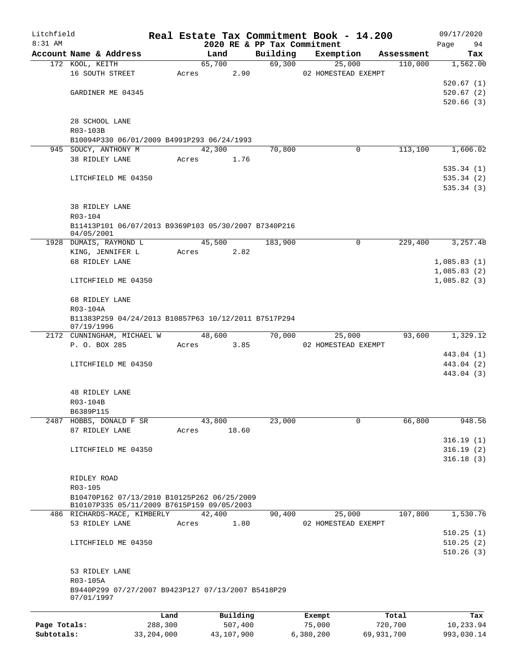| Litchfield   |                            |                                                      |        |          |                             | Real Estate Tax Commitment Book - 14.200 |            | 09/17/2020  |
|--------------|----------------------------|------------------------------------------------------|--------|----------|-----------------------------|------------------------------------------|------------|-------------|
| 8:31 AM      |                            |                                                      |        |          | 2020 RE & PP Tax Commitment |                                          |            | 94<br>Page  |
|              | Account Name & Address     |                                                      |        | Land     | Building                    | Exemption                                | Assessment | Tax         |
|              | 172 KOOL, KEITH            |                                                      | 65,700 |          | 69,300                      | 25,000                                   | 110,000    | 1,562.00    |
|              | 16 SOUTH STREET            |                                                      | Acres  | 2.90     |                             | 02 HOMESTEAD EXEMPT                      |            |             |
|              |                            |                                                      |        |          |                             |                                          |            | 520.67(1)   |
|              | GARDINER ME 04345          |                                                      |        |          |                             |                                          |            | 520.67(2)   |
|              |                            |                                                      |        |          |                             |                                          |            | 520.66(3)   |
|              | 28 SCHOOL LANE             |                                                      |        |          |                             |                                          |            |             |
|              | R03-103B                   |                                                      |        |          |                             |                                          |            |             |
|              |                            | B10094P330 06/01/2009 B4991P293 06/24/1993           |        |          |                             |                                          |            |             |
|              | 945 SOUCY, ANTHONY M       |                                                      | 42,300 |          | 70,800                      | 0                                        | 113,100    | 1,606.02    |
|              | 38 RIDLEY LANE             |                                                      | Acres  | 1.76     |                             |                                          |            |             |
|              |                            |                                                      |        |          |                             |                                          |            | 535.34(1)   |
|              |                            |                                                      |        |          |                             |                                          |            | 535.34(2)   |
|              | LITCHFIELD ME 04350        |                                                      |        |          |                             |                                          |            |             |
|              |                            |                                                      |        |          |                             |                                          |            | 535.34(3)   |
|              |                            |                                                      |        |          |                             |                                          |            |             |
|              | <b>38 RIDLEY LANE</b>      |                                                      |        |          |                             |                                          |            |             |
|              | R03-104                    |                                                      |        |          |                             |                                          |            |             |
|              | 04/05/2001                 | B11413P101 06/07/2013 B9369P103 05/30/2007 B7340P216 |        |          |                             |                                          |            |             |
|              | 1928 DUMAIS, RAYMOND L     |                                                      | 45,500 |          | 183,900                     | 0                                        | 229,400    | 3,257.48    |
|              | KING, JENNIFER L           |                                                      | Acres  | 2.82     |                             |                                          |            |             |
|              | 68 RIDLEY LANE             |                                                      |        |          |                             |                                          |            | 1,085.83(1) |
|              |                            |                                                      |        |          |                             |                                          |            | 1,085.83(2) |
|              | LITCHFIELD ME 04350        |                                                      |        |          |                             |                                          |            | 1,085.82(3) |
|              |                            |                                                      |        |          |                             |                                          |            |             |
|              | 68 RIDLEY LANE             |                                                      |        |          |                             |                                          |            |             |
|              | R03-104A                   |                                                      |        |          |                             |                                          |            |             |
|              |                            | B11383P259 04/24/2013 B10857P63 10/12/2011 B7517P294 |        |          |                             |                                          |            |             |
|              | 07/19/1996                 |                                                      |        |          |                             |                                          |            |             |
|              | 2172 CUNNINGHAM, MICHAEL W |                                                      | 48,600 |          | 70,000                      | 25,000                                   | 93,600     | 1,329.12    |
|              | P. O. BOX 285              |                                                      | Acres  | 3.85     |                             | 02 HOMESTEAD EXEMPT                      |            |             |
|              |                            |                                                      |        |          |                             |                                          |            | 443.04 (1)  |
|              | LITCHFIELD ME 04350        |                                                      |        |          |                             |                                          |            | 443.04 (2)  |
|              |                            |                                                      |        |          |                             |                                          |            | 443.04 (3)  |
|              |                            |                                                      |        |          |                             |                                          |            |             |
|              | 48 RIDLEY LANE             |                                                      |        |          |                             |                                          |            |             |
|              | R03-104B                   |                                                      |        |          |                             |                                          |            |             |
|              | B6389P115                  |                                                      |        |          |                             |                                          |            |             |
|              | 2487 HOBBS, DONALD F SR    |                                                      | 43,800 |          | 23,000                      | $\mathbf 0$                              | 66,800     | 948.56      |
|              | 87 RIDLEY LANE             |                                                      | Acres  | 18.60    |                             |                                          |            |             |
|              |                            |                                                      |        |          |                             |                                          |            | 316.19(1)   |
|              | LITCHFIELD ME 04350        |                                                      |        |          |                             |                                          |            | 316.19(2)   |
|              |                            |                                                      |        |          |                             |                                          |            | 316.18(3)   |
|              |                            |                                                      |        |          |                             |                                          |            |             |
|              | RIDLEY ROAD                |                                                      |        |          |                             |                                          |            |             |
|              | R03-105                    |                                                      |        |          |                             |                                          |            |             |
|              |                            | B10470P162 07/13/2010 B10125P262 06/25/2009          |        |          |                             |                                          |            |             |
|              |                            | B10107P335 05/11/2009 B7615P159 09/05/2003           |        |          |                             |                                          |            |             |
|              |                            | 486 RICHARDS-MACE, KIMBERLY                          | 42,400 |          | 90,400                      | 25,000                                   | 107,800    | 1,530.76    |
|              | 53 RIDLEY LANE             |                                                      | Acres  | 1.80     |                             | 02 HOMESTEAD EXEMPT                      |            |             |
|              |                            |                                                      |        |          |                             |                                          |            | 510.25(1)   |
|              | LITCHFIELD ME 04350        |                                                      |        |          |                             |                                          |            | 510.25(2)   |
|              |                            |                                                      |        |          |                             |                                          |            | 510.26(3)   |
|              |                            |                                                      |        |          |                             |                                          |            |             |
|              | 53 RIDLEY LANE             |                                                      |        |          |                             |                                          |            |             |
|              | R03-105A                   |                                                      |        |          |                             |                                          |            |             |
|              |                            | B9440P299 07/27/2007 B9423P127 07/13/2007 B5418P29   |        |          |                             |                                          |            |             |
|              | 07/01/1997                 |                                                      |        |          |                             |                                          |            |             |
|              |                            |                                                      |        |          |                             |                                          |            |             |
|              |                            | Land                                                 |        | Building |                             | Exempt                                   | Total      | Tax         |
| Page Totals: |                            | 288,300                                              |        | 507,400  |                             | 75,000                                   | 720,700    | 10,233.94   |

**Subtotals:** 33,204,000 43,107,900 6,380,200 69,931,700 993,030.14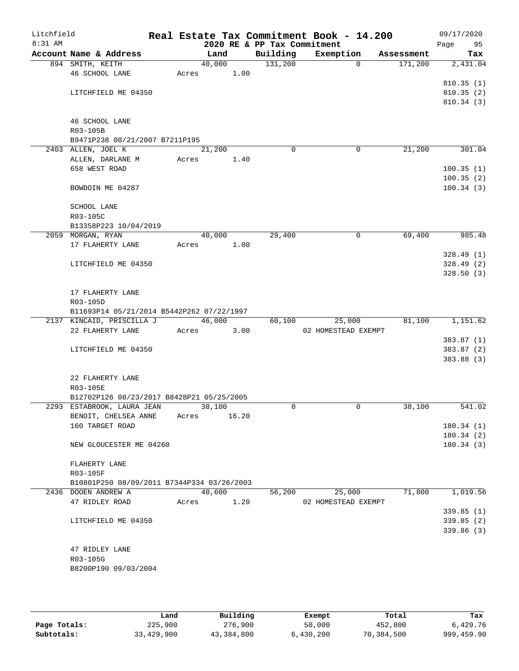| Litchfield<br>8:31 AM |                                               |       |        |       | 2020 RE & PP Tax Commitment | Real Estate Tax Commitment Book - 14.200 |            | 09/17/2020<br>Page<br>95 |
|-----------------------|-----------------------------------------------|-------|--------|-------|-----------------------------|------------------------------------------|------------|--------------------------|
|                       | Account Name & Address                        |       | Land   |       | Building                    | Exemption                                | Assessment | Tax                      |
|                       | 894 SMITH, KEITH                              |       | 40,000 |       | 131,200                     | $\Omega$                                 | 171,200    | 2,431.04                 |
|                       | 46 SCHOOL LANE                                | Acres |        | 1.00  |                             |                                          |            |                          |
|                       |                                               |       |        |       |                             |                                          |            | 810.35(1)                |
|                       | LITCHFIELD ME 04350                           |       |        |       |                             |                                          |            | 810.35(2)                |
|                       |                                               |       |        |       |                             |                                          |            | 810.34(3)                |
|                       |                                               |       |        |       |                             |                                          |            |                          |
|                       | 46 SCHOOL LANE<br>R03-105B                    |       |        |       |                             |                                          |            |                          |
|                       | B9471P238 08/21/2007 B7211P195                |       |        |       |                             |                                          |            |                          |
|                       | 2403 ALLEN, JOEL K                            |       | 21,200 |       | $\Omega$                    | 0                                        | 21,200     | 301.04                   |
|                       | ALLEN, DARLANE M                              | Acres |        | 1.40  |                             |                                          |            |                          |
|                       | 658 WEST ROAD                                 |       |        |       |                             |                                          |            | 100.35(1)                |
|                       |                                               |       |        |       |                             |                                          |            | 100.35(2)                |
|                       | BOWDOIN ME 04287                              |       |        |       |                             |                                          |            | 100.34(3)                |
|                       |                                               |       |        |       |                             |                                          |            |                          |
|                       | <b>SCHOOL LANE</b>                            |       |        |       |                             |                                          |            |                          |
|                       | R03-105C                                      |       |        |       |                             |                                          |            |                          |
|                       | B13358P223 10/04/2019<br>2059 MORGAN, RYAN    |       | 40,000 |       | 29,400                      | 0                                        | 69,400     | 985.48                   |
|                       | 17 FLAHERTY LANE                              | Acres |        | 1.00  |                             |                                          |            |                          |
|                       |                                               |       |        |       |                             |                                          |            | 328.49(1)                |
|                       | LITCHFIELD ME 04350                           |       |        |       |                             |                                          |            | 328.49(2)                |
|                       |                                               |       |        |       |                             |                                          |            | 328.50(3)                |
|                       |                                               |       |        |       |                             |                                          |            |                          |
|                       | 17 FLAHERTY LANE                              |       |        |       |                             |                                          |            |                          |
|                       | R03-105D                                      |       |        |       |                             |                                          |            |                          |
|                       | B11693P14 05/21/2014 B5442P262 07/22/1997     |       |        |       |                             |                                          |            | 1,151.62                 |
|                       | 2137 KINCAID, PRISCILLA J<br>22 FLAHERTY LANE | Acres | 46,000 | 3.00  | 60,100                      | 25,000<br>02 HOMESTEAD EXEMPT            | 81,100     |                          |
|                       |                                               |       |        |       |                             |                                          |            | 383.87(1)                |
|                       | LITCHFIELD ME 04350                           |       |        |       |                             |                                          |            | 383.87 (2)               |
|                       |                                               |       |        |       |                             |                                          |            | 383.88 (3)               |
|                       |                                               |       |        |       |                             |                                          |            |                          |
|                       | 22 FLAHERTY LANE                              |       |        |       |                             |                                          |            |                          |
|                       | R03-105E                                      |       |        |       |                             |                                          |            |                          |
|                       | B12702P126 08/23/2017 B8428P21 05/25/2005     |       |        |       |                             |                                          |            |                          |
|                       | 2293 ESTABROOK, LAURA JEAN                    |       | 38,100 |       | $\Omega$                    | 0                                        | 38,100     | 541.02                   |
|                       | BENOIT, CHELSEA ANNE<br>160 TARGET ROAD       | Acres |        | 16.20 |                             |                                          |            | 180.34(1)                |
|                       |                                               |       |        |       |                             |                                          |            | 180.34(2)                |
|                       | NEW GLOUCESTER ME 04260                       |       |        |       |                             |                                          |            | 180.34(3)                |
|                       |                                               |       |        |       |                             |                                          |            |                          |
|                       | FLAHERTY LANE                                 |       |        |       |                             |                                          |            |                          |
|                       | R03-105F                                      |       |        |       |                             |                                          |            |                          |
|                       | B10801P250 08/09/2011 B7344P334 03/26/2003    |       |        |       |                             |                                          |            |                          |
|                       | 2436 DOOEN ANDREW A                           |       | 40,600 |       | 56,200                      | 25,000                                   | 71,800     | 1,019.56                 |
|                       | 47 RIDLEY ROAD                                | Acres |        | 1.20  |                             | 02 HOMESTEAD EXEMPT                      |            | 339.85(1)                |
|                       | LITCHFIELD ME 04350                           |       |        |       |                             |                                          |            | 339.85(2)                |
|                       |                                               |       |        |       |                             |                                          |            | 339.86 (3)               |
|                       |                                               |       |        |       |                             |                                          |            |                          |
|                       | 47 RIDLEY LANE                                |       |        |       |                             |                                          |            |                          |
|                       | R03-105G                                      |       |        |       |                             |                                          |            |                          |
|                       | B8200P190 09/03/2004                          |       |        |       |                             |                                          |            |                          |
|                       |                                               |       |        |       |                             |                                          |            |                          |

|              | Land       | Building   | Exempt    | Total      | Tax        |
|--------------|------------|------------|-----------|------------|------------|
| Page Totals: | 225,900    | 276,900    | 50,000    | 452,800    | 6,429.76   |
| Subtotals:   | 33,429,900 | 43,384,800 | 6,430,200 | 70,384,500 | 999,459.90 |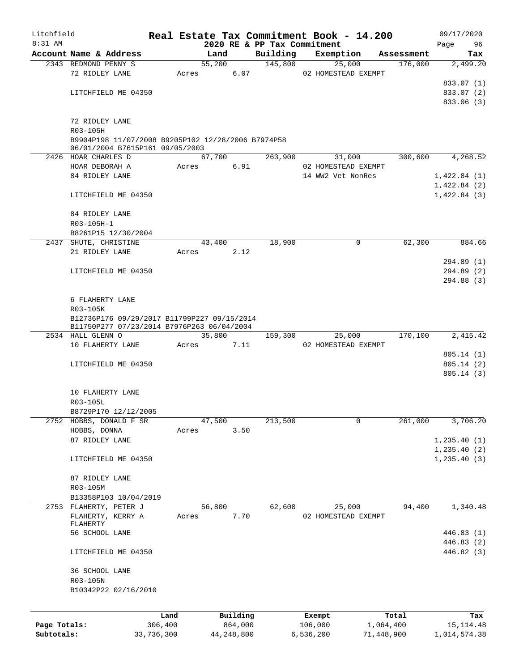| Litchfield   |                                                    |            |       |        |              |                             | Real Estate Tax Commitment Book - 14.200 |             |            | 09/17/2020    |        |
|--------------|----------------------------------------------------|------------|-------|--------|--------------|-----------------------------|------------------------------------------|-------------|------------|---------------|--------|
| $8:31$ AM    |                                                    |            |       |        |              | 2020 RE & PP Tax Commitment |                                          |             |            | Page          | 96     |
|              | Account Name & Address                             |            |       | Land   |              | Building                    | Exemption                                |             | Assessment |               | Tax    |
|              | 2343 REDMOND PENNY S                               |            |       | 55,200 |              | 145,800                     | 25,000                                   |             | 176,000    | 2,499.20      |        |
|              | 72 RIDLEY LANE                                     |            | Acres |        | 6.07         |                             | 02 HOMESTEAD EXEMPT                      |             |            |               |        |
|              |                                                    |            |       |        |              |                             |                                          |             |            | 833.07 (1)    |        |
|              | LITCHFIELD ME 04350                                |            |       |        |              |                             |                                          |             |            | 833.07 (2)    |        |
|              |                                                    |            |       |        |              |                             |                                          |             |            | 833.06 (3)    |        |
|              | 72 RIDLEY LANE                                     |            |       |        |              |                             |                                          |             |            |               |        |
|              | R03-105H                                           |            |       |        |              |                             |                                          |             |            |               |        |
|              | B9904P198 11/07/2008 B9205P102 12/28/2006 B7974P58 |            |       |        |              |                             |                                          |             |            |               |        |
|              | 06/01/2004 B7615P161 09/05/2003                    |            |       |        |              |                             |                                          |             |            |               |        |
|              | 2426 HOAR CHARLES D                                |            |       | 67,700 |              | 263,900                     | 31,000                                   |             | 300,600    | 4,268.52      |        |
|              | HOAR DEBORAH A                                     |            | Acres |        | 6.91         |                             | 02 HOMESTEAD EXEMPT                      |             |            |               |        |
|              | 84 RIDLEY LANE                                     |            |       |        |              |                             | 14 WW2 Vet NonRes                        |             |            | 1,422.84(1)   |        |
|              |                                                    |            |       |        |              |                             |                                          |             |            | 1,422.84(2)   |        |
|              | LITCHFIELD ME 04350                                |            |       |        |              |                             |                                          |             |            | 1,422.84(3)   |        |
|              |                                                    |            |       |        |              |                             |                                          |             |            |               |        |
|              | 84 RIDLEY LANE                                     |            |       |        |              |                             |                                          |             |            |               |        |
|              | R03-105H-1                                         |            |       |        |              |                             |                                          |             |            |               |        |
|              | B8261P15 12/30/2004                                |            |       |        |              |                             |                                          |             |            |               |        |
|              | 2437 SHUTE, CHRISTINE                              |            |       | 43,400 |              | 18,900                      |                                          | 0           | 62,300     |               | 884.66 |
|              | 21 RIDLEY LANE                                     |            | Acres |        | 2.12         |                             |                                          |             |            |               |        |
|              |                                                    |            |       |        |              |                             |                                          |             |            | 294.89 (1)    |        |
|              | LITCHFIELD ME 04350                                |            |       |        |              |                             |                                          |             |            | 294.89 (2)    |        |
|              |                                                    |            |       |        |              |                             |                                          |             |            | 294.88 (3)    |        |
|              |                                                    |            |       |        |              |                             |                                          |             |            |               |        |
|              | 6 FLAHERTY LANE                                    |            |       |        |              |                             |                                          |             |            |               |        |
|              | R03-105K                                           |            |       |        |              |                             |                                          |             |            |               |        |
|              | B12736P176 09/29/2017 B11799P227 09/15/2014        |            |       |        |              |                             |                                          |             |            |               |        |
|              | B11750P277 07/23/2014 B7976P263 06/04/2004         |            |       |        |              |                             |                                          |             |            |               |        |
|              | 2534 HALL GLENN O                                  |            |       | 35,800 |              | 159,300                     | 25,000                                   |             | 170,100    | 2,415.42      |        |
|              | 10 FLAHERTY LANE                                   |            | Acres |        | 7.11         |                             | 02 HOMESTEAD EXEMPT                      |             |            |               |        |
|              |                                                    |            |       |        |              |                             |                                          |             |            | 805.14(1)     |        |
|              | LITCHFIELD ME 04350                                |            |       |        |              |                             |                                          |             |            | 805.14(2)     |        |
|              |                                                    |            |       |        |              |                             |                                          |             |            | 805.14(3)     |        |
|              |                                                    |            |       |        |              |                             |                                          |             |            |               |        |
|              | 10 FLAHERTY LANE<br>R03-105L                       |            |       |        |              |                             |                                          |             |            |               |        |
|              |                                                    |            |       |        |              |                             |                                          |             |            |               |        |
|              | B8729P170 12/12/2005<br>HOBBS, DONALD F SR         |            |       |        |              |                             |                                          | $\mathbf 0$ | 261,000    |               |        |
| 2752         |                                                    |            | Acres | 47,500 |              | 213,500                     |                                          |             |            | 3,706.20      |        |
|              | HOBBS, DONNA<br>87 RIDLEY LANE                     |            |       |        | 3.50         |                             |                                          |             |            |               |        |
|              |                                                    |            |       |        |              |                             |                                          |             |            | 1, 235.40(1)  |        |
|              | LITCHFIELD ME 04350                                |            |       |        |              |                             |                                          |             |            | 1, 235.40 (2) |        |
|              |                                                    |            |       |        |              |                             |                                          |             |            | 1, 235.40(3)  |        |
|              | 87 RIDLEY LANE                                     |            |       |        |              |                             |                                          |             |            |               |        |
|              | R03-105M                                           |            |       |        |              |                             |                                          |             |            |               |        |
|              | B13358P103 10/04/2019                              |            |       |        |              |                             |                                          |             |            |               |        |
|              | 2753 FLAHERTY, PETER J                             |            |       | 56,800 |              | 62,600                      | 25,000                                   |             | 94,400     | 1,340.48      |        |
|              | FLAHERTY, KERRY A                                  |            | Acres |        | 7.70         |                             | 02 HOMESTEAD EXEMPT                      |             |            |               |        |
|              | FLAHERTY                                           |            |       |        |              |                             |                                          |             |            |               |        |
|              | 56 SCHOOL LANE                                     |            |       |        |              |                             |                                          |             |            | 446.83 (1)    |        |
|              |                                                    |            |       |        |              |                             |                                          |             |            | 446.83 (2)    |        |
|              | LITCHFIELD ME 04350                                |            |       |        |              |                             |                                          |             |            | 446.82 (3)    |        |
|              |                                                    |            |       |        |              |                             |                                          |             |            |               |        |
|              | 36 SCHOOL LANE                                     |            |       |        |              |                             |                                          |             |            |               |        |
|              | R03-105N                                           |            |       |        |              |                             |                                          |             |            |               |        |
|              | B10342P22 02/16/2010                               |            |       |        |              |                             |                                          |             |            |               |        |
|              |                                                    |            |       |        |              |                             |                                          |             |            |               |        |
|              |                                                    |            |       |        |              |                             |                                          |             |            |               |        |
|              |                                                    | Land       |       |        | Building     |                             | Exempt                                   |             | Total      |               | Tax    |
| Page Totals: |                                                    | 306,400    |       |        | 864,000      |                             | 106,000                                  | 1,064,400   |            | 15, 114. 48   |        |
| Subtotals:   |                                                    | 33,736,300 |       |        | 44, 248, 800 |                             | 6,536,200                                | 71,448,900  |            | 1,014,574.38  |        |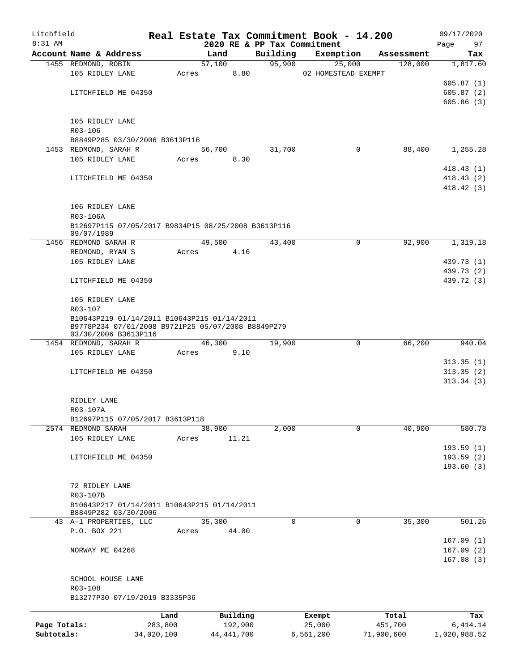| Litchfield   |                                                                                                   |            |       |              |                             | Real Estate Tax Commitment Book - 14.200 |            |            | 09/17/2020   |            |
|--------------|---------------------------------------------------------------------------------------------------|------------|-------|--------------|-----------------------------|------------------------------------------|------------|------------|--------------|------------|
| 8:31 AM      |                                                                                                   |            |       |              | 2020 RE & PP Tax Commitment |                                          |            |            | Page         | 97         |
|              | Account Name & Address                                                                            |            |       | Land         | Building                    | Exemption                                |            | Assessment |              | Tax        |
|              | 1455 REDMOND, ROBIN                                                                               |            |       | 57,100       | 95,900                      | 25,000                                   |            | 128,000    |              | 1,817.60   |
|              | 105 RIDLEY LANE                                                                                   |            | Acres | 8.80         |                             | 02 HOMESTEAD EXEMPT                      |            |            |              |            |
|              |                                                                                                   |            |       |              |                             |                                          |            |            |              | 605.87(1)  |
|              | LITCHFIELD ME 04350                                                                               |            |       |              |                             |                                          |            |            |              | 605.87(2)  |
|              |                                                                                                   |            |       |              |                             |                                          |            |            |              | 605.86(3)  |
|              | 105 RIDLEY LANE                                                                                   |            |       |              |                             |                                          |            |            |              |            |
|              | R03-106                                                                                           |            |       |              |                             |                                          |            |            |              |            |
|              | B8849P285 03/30/2006 B3613P116                                                                    |            |       |              |                             |                                          |            |            |              |            |
|              | 1453 REDMOND, SARAH R                                                                             |            |       | 56,700       | 31,700                      | $\mathbf 0$                              |            | 88,400     |              | 1,255.28   |
|              | 105 RIDLEY LANE                                                                                   |            | Acres | 8.30         |                             |                                          |            |            |              |            |
|              |                                                                                                   |            |       |              |                             |                                          |            |            |              | 418.43(1)  |
|              | LITCHFIELD ME 04350                                                                               |            |       |              |                             |                                          |            |            |              | 418.43(2)  |
|              |                                                                                                   |            |       |              |                             |                                          |            |            |              | 418.42(3)  |
|              |                                                                                                   |            |       |              |                             |                                          |            |            |              |            |
|              | 106 RIDLEY LANE                                                                                   |            |       |              |                             |                                          |            |            |              |            |
|              | R03-106A                                                                                          |            |       |              |                             |                                          |            |            |              |            |
|              | B12697P115 07/05/2017 B9834P15 08/25/2008 B3613P116                                               |            |       |              |                             |                                          |            |            |              |            |
|              | 09/07/1989                                                                                        |            |       |              |                             |                                          |            |            |              |            |
|              | 1456 REDMOND SARAH R                                                                              |            |       | 49,500       | 43,400                      | 0                                        |            | 92,900     |              | 1,319.18   |
|              | REDMOND, RYAN S                                                                                   |            | Acres | 4.16         |                             |                                          |            |            |              |            |
|              | 105 RIDLEY LANE                                                                                   |            |       |              |                             |                                          |            |            |              | 439.73 (1) |
|              |                                                                                                   |            |       |              |                             |                                          |            |            |              | 439.73 (2) |
|              | LITCHFIELD ME 04350                                                                               |            |       |              |                             |                                          |            |            |              | 439.72 (3) |
|              |                                                                                                   |            |       |              |                             |                                          |            |            |              |            |
|              | 105 RIDLEY LANE                                                                                   |            |       |              |                             |                                          |            |            |              |            |
|              | R03-107                                                                                           |            |       |              |                             |                                          |            |            |              |            |
|              | B10643P219 01/14/2011 B10643P215 01/14/2011<br>B9778P234 07/01/2008 B9721P25 05/07/2008 B8849P279 |            |       |              |                             |                                          |            |            |              |            |
|              | 03/30/2006 B3613P116                                                                              |            |       |              |                             |                                          |            |            |              |            |
|              | 1454 REDMOND, SARAH R                                                                             |            |       | 46,300       | 19,900                      | $\mathbf 0$                              |            | 66,200     |              | 940.04     |
|              | 105 RIDLEY LANE                                                                                   |            | Acres | 9.10         |                             |                                          |            |            |              |            |
|              |                                                                                                   |            |       |              |                             |                                          |            |            |              | 313.35(1)  |
|              | LITCHFIELD ME 04350                                                                               |            |       |              |                             |                                          |            |            |              | 313.35(2)  |
|              |                                                                                                   |            |       |              |                             |                                          |            |            |              | 313.34(3)  |
|              |                                                                                                   |            |       |              |                             |                                          |            |            |              |            |
|              | RIDLEY LANE                                                                                       |            |       |              |                             |                                          |            |            |              |            |
|              | R03-107A                                                                                          |            |       |              |                             |                                          |            |            |              |            |
|              | B12697P115 07/05/2017 B3613P118                                                                   |            |       |              |                             |                                          |            |            |              |            |
|              | 2574 REDMOND SARAH                                                                                |            |       | 38,900       | 2,000                       | $\Omega$                                 |            | 40,900     |              | 580.78     |
|              | 105 RIDLEY LANE                                                                                   |            | Acres | 11.21        |                             |                                          |            |            |              |            |
|              |                                                                                                   |            |       |              |                             |                                          |            |            |              | 193.59(1)  |
|              | LITCHFIELD ME 04350                                                                               |            |       |              |                             |                                          |            |            |              | 193.59(2)  |
|              |                                                                                                   |            |       |              |                             |                                          |            |            |              | 193.60(3)  |
|              |                                                                                                   |            |       |              |                             |                                          |            |            |              |            |
|              | 72 RIDLEY LANE                                                                                    |            |       |              |                             |                                          |            |            |              |            |
|              | R03-107B<br>B10643P217 01/14/2011 B10643P215 01/14/2011                                           |            |       |              |                             |                                          |            |            |              |            |
|              | B8849P282 03/30/2006                                                                              |            |       |              |                             |                                          |            |            |              |            |
|              | 43 A-1 PROPERTIES, LLC                                                                            |            |       | 35,300       | $\Omega$                    | 0                                        |            | 35,300     |              | 501.26     |
|              | P.O. BOX 221                                                                                      |            | Acres | 44.00        |                             |                                          |            |            |              |            |
|              |                                                                                                   |            |       |              |                             |                                          |            |            |              | 167.09(1)  |
|              | NORWAY ME 04268                                                                                   |            |       |              |                             |                                          |            |            |              | 167.09(2)  |
|              |                                                                                                   |            |       |              |                             |                                          |            |            |              | 167.08(3)  |
|              |                                                                                                   |            |       |              |                             |                                          |            |            |              |            |
|              | SCHOOL HOUSE LANE                                                                                 |            |       |              |                             |                                          |            |            |              |            |
|              | R03-108                                                                                           |            |       |              |                             |                                          |            |            |              |            |
|              | B13277P30 07/19/2019 B3335P36                                                                     |            |       |              |                             |                                          |            |            |              |            |
|              |                                                                                                   | Land       |       | Building     |                             | Exempt                                   | Total      |            |              | Tax        |
| Page Totals: |                                                                                                   | 283,800    |       | 192,900      |                             | 25,000                                   | 451,700    |            |              | 6, 414.14  |
| Subtotals:   |                                                                                                   | 34,020,100 |       | 44, 441, 700 |                             | 6,561,200                                | 71,900,600 |            | 1,020,988.52 |            |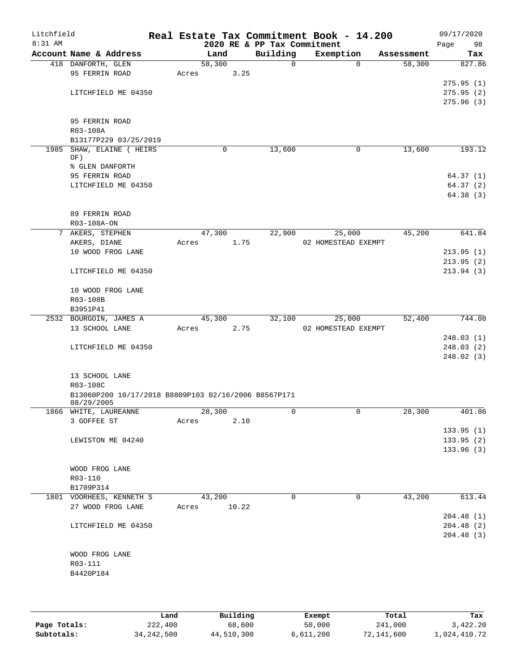| Litchfield<br>8:31 AM |                                                      |             |      | 2020 RE & PP Tax Commitment | Real Estate Tax Commitment Book - 14.200 |             |            | 09/17/2020<br>Page<br>98 |
|-----------------------|------------------------------------------------------|-------------|------|-----------------------------|------------------------------------------|-------------|------------|--------------------------|
|                       | Account Name & Address                               | Land        |      | Building                    | Exemption                                |             | Assessment | Tax                      |
|                       | 418 DANFORTH, GLEN                                   | 58,300      |      | $\mathsf{O}$                |                                          | $\Omega$    | 58,300     | 827.86                   |
|                       | 95 FERRIN ROAD                                       | Acres       | 3.25 |                             |                                          |             |            |                          |
|                       |                                                      |             |      |                             |                                          |             |            | 275.95(1)                |
|                       | LITCHFIELD ME 04350                                  |             |      |                             |                                          |             |            | 275.95(2)                |
|                       |                                                      |             |      |                             |                                          |             |            | 275.96(3)                |
|                       | 95 FERRIN ROAD                                       |             |      |                             |                                          |             |            |                          |
|                       | R03-108A                                             |             |      |                             |                                          |             |            |                          |
|                       | B13177P229 03/25/2019                                |             |      |                             |                                          |             |            |                          |
|                       | 1985 SHAW, ELAINE ( HEIRS                            |             | 0    | 13,600                      |                                          | 0           | 13,600     | 193.12                   |
|                       | OF)                                                  |             |      |                             |                                          |             |            |                          |
|                       | % GLEN DANFORTH                                      |             |      |                             |                                          |             |            |                          |
|                       | 95 FERRIN ROAD                                       |             |      |                             |                                          |             |            | 64.37(1)                 |
|                       | LITCHFIELD ME 04350                                  |             |      |                             |                                          |             |            | 64.37(2)                 |
|                       |                                                      |             |      |                             |                                          |             |            | 64.38 (3)                |
|                       | 89 FERRIN ROAD                                       |             |      |                             |                                          |             |            |                          |
|                       | R03-108A-ON                                          |             |      |                             |                                          |             |            |                          |
|                       | 7 AKERS, STEPHEN                                     | 47,300      |      | 22,900                      | 25,000                                   |             | 45,200     | 641.84                   |
|                       | AKERS, DIANE                                         | Acres       | 1.75 |                             | 02 HOMESTEAD EXEMPT                      |             |            |                          |
|                       | 10 WOOD FROG LANE                                    |             |      |                             |                                          |             |            | 213.95(1)                |
|                       |                                                      |             |      |                             |                                          |             |            | 213.95(2)                |
|                       | LITCHFIELD ME 04350                                  |             |      |                             |                                          |             |            | 213.94(3)                |
|                       | 10 WOOD FROG LANE                                    |             |      |                             |                                          |             |            |                          |
|                       | R03-108B                                             |             |      |                             |                                          |             |            |                          |
|                       | B3951P41                                             |             |      |                             |                                          |             |            |                          |
|                       | 2532 BOURGOIN, JAMES A                               | 45,300      |      | 32,100                      | 25,000                                   |             | 52,400     | 744.08                   |
|                       | 13 SCHOOL LANE                                       | Acres       | 2.75 |                             | 02 HOMESTEAD EXEMPT                      |             |            |                          |
|                       |                                                      |             |      |                             |                                          |             |            | 248.03(1)                |
|                       | LITCHFIELD ME 04350                                  |             |      |                             |                                          |             |            | 248.03(2)                |
|                       |                                                      |             |      |                             |                                          |             |            | 248.02(3)                |
|                       | 13 SCHOOL LANE                                       |             |      |                             |                                          |             |            |                          |
|                       | R03-108C                                             |             |      |                             |                                          |             |            |                          |
|                       | B13060P200 10/17/2018 B8809P103 02/16/2006 B8567P171 |             |      |                             |                                          |             |            |                          |
|                       | 08/29/2005                                           |             |      |                             |                                          |             |            |                          |
|                       | 1866 WHITE, LAUREANNE                                | 28,300      |      | 0                           |                                          |             | 28,300     | 401.86                   |
|                       | 3 GOFFEE ST                                          | Acres       | 2.10 |                             |                                          |             |            |                          |
|                       | LEWISTON ME 04240                                    |             |      |                             |                                          |             |            | 133.95(1)<br>133.95(2)   |
|                       |                                                      |             |      |                             |                                          |             |            | 133.96(3)                |
|                       |                                                      |             |      |                             |                                          |             |            |                          |
|                       | WOOD FROG LANE                                       |             |      |                             |                                          |             |            |                          |
|                       | R03-110                                              |             |      |                             |                                          |             |            |                          |
|                       | B1709P314                                            |             |      |                             |                                          |             |            |                          |
|                       | 1801 VOORHEES, KENNETH S                             | 43,200      |      | $\Omega$                    |                                          | $\mathbf 0$ | 43,200     | 613.44                   |
|                       | 27 WOOD FROG LANE                                    | Acres 10.22 |      |                             |                                          |             |            |                          |
|                       |                                                      |             |      |                             |                                          |             |            | 204.48(1)                |
|                       | LITCHFIELD ME 04350                                  |             |      |                             |                                          |             |            | 204.48(2)<br>204.48(3)   |
|                       |                                                      |             |      |                             |                                          |             |            |                          |
|                       | WOOD FROG LANE                                       |             |      |                             |                                          |             |            |                          |
|                       | R03-111                                              |             |      |                             |                                          |             |            |                          |
|                       | B4420P184                                            |             |      |                             |                                          |             |            |                          |
|                       |                                                      |             |      |                             |                                          |             |            |                          |
|                       |                                                      |             |      |                             |                                          |             |            |                          |

|              | Land       | Building   | Exempt    | Total      | Tax          |
|--------------|------------|------------|-----------|------------|--------------|
| Page Totals: | 222,400    | 68,600     | 50,000    | 241,000    | 3,422.20     |
| Subtotals:   | 34,242,500 | 44,510,300 | 6,611,200 | 72,141,600 | 1,024,410.72 |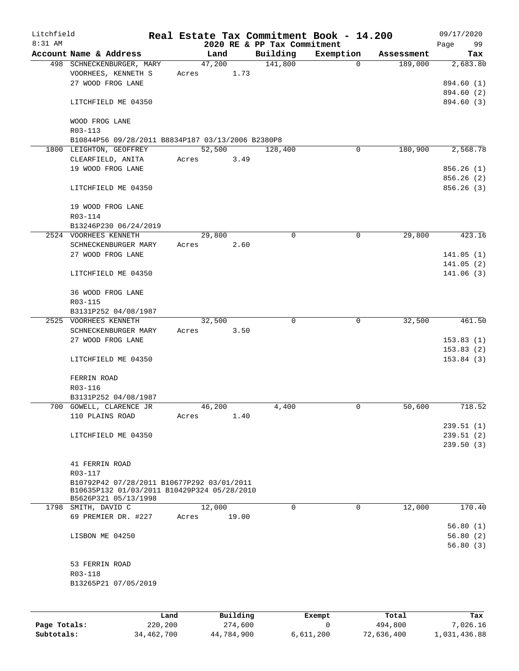| Litchfield |                                                                                                                   |      |       |        |          |                                         | Real Estate Tax Commitment Book - 14.200 |                |            | 09/17/2020             |
|------------|-------------------------------------------------------------------------------------------------------------------|------|-------|--------|----------|-----------------------------------------|------------------------------------------|----------------|------------|------------------------|
| 8:31 AM    | Account Name & Address                                                                                            |      |       | Land   |          | 2020 RE & PP Tax Commitment<br>Building | Exemption                                |                | Assessment | 99<br>Page<br>Tax      |
|            | 498 SCHNECKENBURGER, MARY                                                                                         |      |       | 47,200 |          | 141,800                                 |                                          | $\overline{0}$ | 189,000    | 2,683.80               |
|            | VOORHEES, KENNETH S                                                                                               |      | Acres |        | 1.73     |                                         |                                          |                |            |                        |
|            | 27 WOOD FROG LANE                                                                                                 |      |       |        |          |                                         |                                          |                |            | 894.60 (1)             |
|            |                                                                                                                   |      |       |        |          |                                         |                                          |                |            | 894.60 (2)             |
|            | LITCHFIELD ME 04350                                                                                               |      |       |        |          |                                         |                                          |                |            | 894.60 (3)             |
|            | WOOD FROG LANE<br>R03-113                                                                                         |      |       |        |          |                                         |                                          |                |            |                        |
|            | B10844P56 09/28/2011 B8834P187 03/13/2006 B2380P8                                                                 |      |       |        |          |                                         |                                          |                |            |                        |
|            | 1800 LEIGHTON, GEOFFREY                                                                                           |      |       | 52,500 |          | 128,400                                 |                                          | 0              | 180,900    | 2,568.78               |
|            | CLEARFIELD, ANITA                                                                                                 |      | Acres |        | 3.49     |                                         |                                          |                |            |                        |
|            | 19 WOOD FROG LANE                                                                                                 |      |       |        |          |                                         |                                          |                |            | 856.26(1)              |
|            |                                                                                                                   |      |       |        |          |                                         |                                          |                |            | 856.26(2)              |
|            | LITCHFIELD ME 04350                                                                                               |      |       |        |          |                                         |                                          |                |            | 856.26(3)              |
|            | 19 WOOD FROG LANE                                                                                                 |      |       |        |          |                                         |                                          |                |            |                        |
|            | R03-114                                                                                                           |      |       |        |          |                                         |                                          |                |            |                        |
|            | B13246P230 06/24/2019                                                                                             |      |       |        |          |                                         |                                          |                |            |                        |
|            | 2524 VOORHEES KENNETH                                                                                             |      |       | 29,800 |          | 0                                       |                                          | 0              | 29,800     | 423.16                 |
|            | SCHNECKENBURGER MARY                                                                                              |      | Acres |        | 2.60     |                                         |                                          |                |            |                        |
|            | 27 WOOD FROG LANE                                                                                                 |      |       |        |          |                                         |                                          |                |            | 141.05(1)              |
|            |                                                                                                                   |      |       |        |          |                                         |                                          |                |            | 141.05(2)              |
|            | LITCHFIELD ME 04350                                                                                               |      |       |        |          |                                         |                                          |                |            | 141.06(3)              |
|            | 36 WOOD FROG LANE                                                                                                 |      |       |        |          |                                         |                                          |                |            |                        |
|            | R03-115                                                                                                           |      |       |        |          |                                         |                                          |                |            |                        |
|            | B3131P252 04/08/1987                                                                                              |      |       |        |          |                                         |                                          |                |            |                        |
|            | 2525 VOORHEES KENNETH                                                                                             |      |       | 32,500 |          | $\mathbf 0$                             |                                          | $\mathbf 0$    | 32,500     | 461.50                 |
|            | SCHNECKENBURGER MARY                                                                                              |      | Acres |        | 3.50     |                                         |                                          |                |            |                        |
|            | 27 WOOD FROG LANE                                                                                                 |      |       |        |          |                                         |                                          |                |            | 153.83(1)              |
|            | LITCHFIELD ME 04350                                                                                               |      |       |        |          |                                         |                                          |                |            | 153.83(2)<br>153.84(3) |
|            |                                                                                                                   |      |       |        |          |                                         |                                          |                |            |                        |
|            | FERRIN ROAD                                                                                                       |      |       |        |          |                                         |                                          |                |            |                        |
|            | R03-116                                                                                                           |      |       |        |          |                                         |                                          |                |            |                        |
|            | B3131P252 04/08/1987                                                                                              |      |       |        |          |                                         |                                          |                |            |                        |
|            | 700 GOWELL, CLARENCE JR                                                                                           |      |       | 46,200 |          | 4,400                                   |                                          | 0              | 50,600     | 718.52                 |
|            | 110 PLAINS ROAD                                                                                                   |      | Acres |        | 1.40     |                                         |                                          |                |            |                        |
|            | LITCHFIELD ME 04350                                                                                               |      |       |        |          |                                         |                                          |                |            | 239.51(1)<br>239.51(2) |
|            |                                                                                                                   |      |       |        |          |                                         |                                          |                |            | 239.50(3)              |
|            |                                                                                                                   |      |       |        |          |                                         |                                          |                |            |                        |
|            | 41 FERRIN ROAD                                                                                                    |      |       |        |          |                                         |                                          |                |            |                        |
|            | R03-117                                                                                                           |      |       |        |          |                                         |                                          |                |            |                        |
|            | B10792P42 07/28/2011 B10677P292 03/01/2011<br>B10635P132 01/03/2011 B10429P324 05/28/2010<br>B5626P321 05/13/1998 |      |       |        |          |                                         |                                          |                |            |                        |
|            | 1798 SMITH, DAVID C                                                                                               |      |       | 12,000 |          | 0                                       |                                          | $\Omega$       | 12,000     | 170.40                 |
|            | 69 PREMIER DR. #227                                                                                               |      | Acres |        | 19.00    |                                         |                                          |                |            |                        |
|            |                                                                                                                   |      |       |        |          |                                         |                                          |                |            | 56.80(1)               |
|            | LISBON ME 04250                                                                                                   |      |       |        |          |                                         |                                          |                |            | 56.80(2)               |
|            |                                                                                                                   |      |       |        |          |                                         |                                          |                |            | 56.80(3)               |
|            | 53 FERRIN ROAD                                                                                                    |      |       |        |          |                                         |                                          |                |            |                        |
|            | R03-118                                                                                                           |      |       |        |          |                                         |                                          |                |            |                        |
|            | B13265P21 07/05/2019                                                                                              |      |       |        |          |                                         |                                          |                |            |                        |
|            |                                                                                                                   |      |       |        |          |                                         |                                          |                |            |                        |
|            |                                                                                                                   | Land |       |        | Building |                                         | Exempt.                                  |                | Total      | Tax                    |

|              | Land       | Building   | Exempt    | Total      | Tax          |
|--------------|------------|------------|-----------|------------|--------------|
| Page Totals: | 220,200    | 274,600    |           | 494,800    | 7,026.16     |
| Subtotals:   | 34,462,700 | 44,784,900 | 6,611,200 | 72,636,400 | 1,031,436.88 |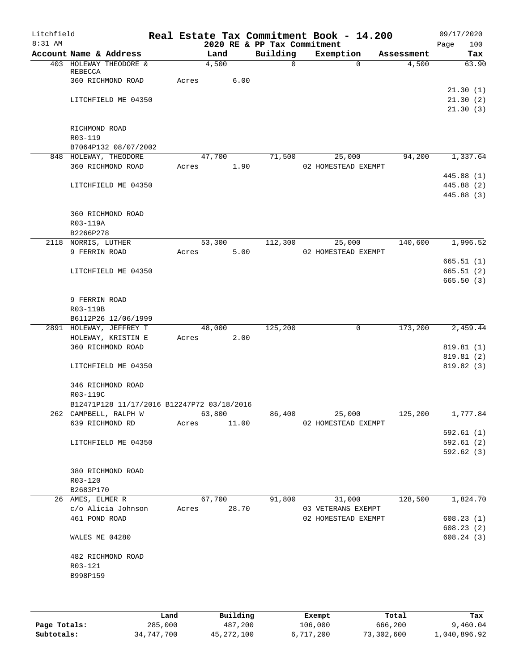| Litchfield |                                            |       |        |       |                             | Real Estate Tax Commitment Book - 14.200 |            |         | 09/17/2020             |     |
|------------|--------------------------------------------|-------|--------|-------|-----------------------------|------------------------------------------|------------|---------|------------------------|-----|
| $8:31$ AM  |                                            |       |        |       | 2020 RE & PP Tax Commitment |                                          |            |         | Page                   | 100 |
|            | Account Name & Address                     |       | Land   |       | Building                    | Exemption                                | Assessment |         |                        | Tax |
|            | 403 HOLEWAY THEODORE &<br>REBECCA          |       | 4,500  |       | $\Omega$                    | $\Omega$                                 |            | 4,500   | 63.90                  |     |
|            | 360 RICHMOND ROAD                          | Acres |        | 6.00  |                             |                                          |            |         |                        |     |
|            |                                            |       |        |       |                             |                                          |            |         | 21.30(1)               |     |
|            | LITCHFIELD ME 04350                        |       |        |       |                             |                                          |            |         | 21.30(2)               |     |
|            |                                            |       |        |       |                             |                                          |            |         | 21.30(3)               |     |
|            |                                            |       |        |       |                             |                                          |            |         |                        |     |
|            | RICHMOND ROAD                              |       |        |       |                             |                                          |            |         |                        |     |
|            | R03-119                                    |       |        |       |                             |                                          |            |         |                        |     |
|            | B7064P132 08/07/2002                       |       |        |       |                             |                                          |            |         |                        |     |
|            | 848 HOLEWAY, THEODORE                      |       | 47,700 |       | 71,500                      | 25,000                                   |            | 94,200  | 1,337.64               |     |
|            | 360 RICHMOND ROAD                          | Acres |        | 1.90  |                             | 02 HOMESTEAD EXEMPT                      |            |         |                        |     |
|            |                                            |       |        |       |                             |                                          |            |         | 445.88 (1)             |     |
|            | LITCHFIELD ME 04350                        |       |        |       |                             |                                          |            |         | 445.88 (2)             |     |
|            |                                            |       |        |       |                             |                                          |            |         | 445.88 (3)             |     |
|            |                                            |       |        |       |                             |                                          |            |         |                        |     |
|            | 360 RICHMOND ROAD                          |       |        |       |                             |                                          |            |         |                        |     |
|            | R03-119A                                   |       |        |       |                             |                                          |            |         |                        |     |
|            | B2266P278                                  |       |        |       |                             |                                          |            |         |                        |     |
|            | 2118 NORRIS, LUTHER                        |       | 53,300 |       | 112,300                     | 25,000                                   |            | 140,600 | 1,996.52               |     |
|            | 9 FERRIN ROAD                              | Acres |        | 5.00  |                             | 02 HOMESTEAD EXEMPT                      |            |         |                        |     |
|            |                                            |       |        |       |                             |                                          |            |         | 665.51(1)              |     |
|            | LITCHFIELD ME 04350                        |       |        |       |                             |                                          |            |         | 665.51(2)              |     |
|            |                                            |       |        |       |                             |                                          |            |         | 665.50(3)              |     |
|            | 9 FERRIN ROAD                              |       |        |       |                             |                                          |            |         |                        |     |
|            | R03-119B                                   |       |        |       |                             |                                          |            |         |                        |     |
|            | B6112P26 12/06/1999                        |       |        |       |                             |                                          |            |         |                        |     |
|            | 2891 HOLEWAY, JEFFREY T                    |       | 48,000 |       | 125,200                     | 0                                        |            | 173,200 | 2,459.44               |     |
|            | HOLEWAY, KRISTIN E                         | Acres |        | 2.00  |                             |                                          |            |         |                        |     |
|            | 360 RICHMOND ROAD                          |       |        |       |                             |                                          |            |         | 819.81 (1)             |     |
|            |                                            |       |        |       |                             |                                          |            |         | 819.81 (2)             |     |
|            | LITCHFIELD ME 04350                        |       |        |       |                             |                                          |            |         | 819.82 (3)             |     |
|            | 346 RICHMOND ROAD                          |       |        |       |                             |                                          |            |         |                        |     |
|            | R03-119C                                   |       |        |       |                             |                                          |            |         |                        |     |
|            | B12471P128 11/17/2016 B12247P72 03/18/2016 |       |        |       |                             |                                          |            |         |                        |     |
|            | 262 CAMPBELL, RALPH W                      |       | 63,800 |       | 86,400                      | 25,000                                   |            | 125,200 | 1,777.84               |     |
|            | 639 RICHMOND RD                            | Acres |        | 11.00 |                             | 02 HOMESTEAD EXEMPT                      |            |         |                        |     |
|            |                                            |       |        |       |                             |                                          |            |         | 592.61(1)              |     |
|            | LITCHFIELD ME 04350                        |       |        |       |                             |                                          |            |         | 592.61(2)              |     |
|            |                                            |       |        |       |                             |                                          |            |         | 592.62(3)              |     |
|            |                                            |       |        |       |                             |                                          |            |         |                        |     |
|            | 380 RICHMOND ROAD                          |       |        |       |                             |                                          |            |         |                        |     |
|            | R03-120                                    |       |        |       |                             |                                          |            |         |                        |     |
|            | B2683P170                                  |       |        |       |                             |                                          |            |         |                        |     |
|            | 26 AMES, ELMER R                           |       | 67,700 |       | 91,800                      | 31,000                                   |            | 128,500 | 1,824.70               |     |
|            | c/o Alicia Johnson                         | Acres |        | 28.70 |                             | 03 VETERANS EXEMPT                       |            |         |                        |     |
|            | 461 POND ROAD                              |       |        |       |                             | 02 HOMESTEAD EXEMPT                      |            |         | 608.23(1)              |     |
|            | WALES ME 04280                             |       |        |       |                             |                                          |            |         | 608.23(2)<br>608.24(3) |     |
|            | 482 RICHMOND ROAD                          |       |        |       |                             |                                          |            |         |                        |     |
|            | R03-121                                    |       |        |       |                             |                                          |            |         |                        |     |
|            | B998P159                                   |       |        |       |                             |                                          |            |         |                        |     |
|            |                                            |       |        |       |                             |                                          |            |         |                        |     |
|            |                                            |       |        |       |                             |                                          |            |         |                        |     |
|            |                                            |       |        |       |                             |                                          |            |         |                        |     |
|            |                                            |       |        |       |                             |                                          |            |         |                        |     |

|              | Land       | Building   | Exempt    | Total      | Tax          |
|--------------|------------|------------|-----------|------------|--------------|
| Page Totals: | 285,000    | 487,200    | 106,000   | 666,200    | 9,460.04     |
| Subtotals:   | 34,747,700 | 45,272,100 | 6,717,200 | 73,302,600 | 1,040,896.92 |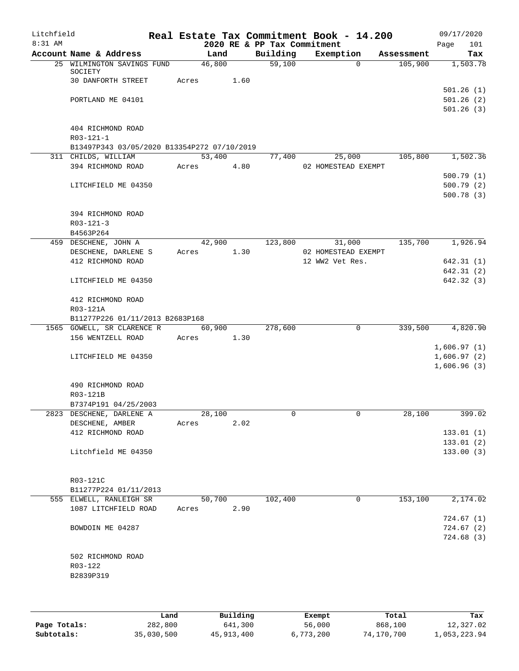| Litchfield |                                             |       |        |      |                             | Real Estate Tax Commitment Book - 14.200 |            | 09/17/2020  |
|------------|---------------------------------------------|-------|--------|------|-----------------------------|------------------------------------------|------------|-------------|
| 8:31 AM    |                                             |       |        |      | 2020 RE & PP Tax Commitment |                                          |            | 101<br>Page |
|            | Account Name & Address                      |       | Land   |      | Building                    | Exemption                                | Assessment | Tax         |
|            | 25 WILMINGTON SAVINGS FUND<br>SOCIETY       |       | 46,800 |      | $\overline{59,100}$         | $\Omega$                                 | 105,900    | 1,503.78    |
|            | 30 DANFORTH STREET                          | Acres |        | 1.60 |                             |                                          |            |             |
|            |                                             |       |        |      |                             |                                          |            | 501.26(1)   |
|            | PORTLAND ME 04101                           |       |        |      |                             |                                          |            | 501.26(2)   |
|            |                                             |       |        |      |                             |                                          |            | 501.26(3)   |
|            | 404 RICHMOND ROAD                           |       |        |      |                             |                                          |            |             |
|            | R03-121-1                                   |       |        |      |                             |                                          |            |             |
|            | B13497P343 03/05/2020 B13354P272 07/10/2019 |       |        |      |                             |                                          |            |             |
|            |                                             |       |        |      |                             |                                          |            |             |
|            | 311 CHILDS, WILLIAM                         |       | 53,400 |      | 77,400                      | 25,000                                   | 105,800    | 1,502.36    |
|            | 394 RICHMOND ROAD                           | Acres |        | 4.80 |                             | 02 HOMESTEAD EXEMPT                      |            |             |
|            |                                             |       |        |      |                             |                                          |            | 500.79(1)   |
|            | LITCHFIELD ME 04350                         |       |        |      |                             |                                          |            | 500.79(2)   |
|            |                                             |       |        |      |                             |                                          |            | 500.78(3)   |
|            | 394 RICHMOND ROAD                           |       |        |      |                             |                                          |            |             |
|            | $R03 - 121 - 3$                             |       |        |      |                             |                                          |            |             |
|            | B4563P264                                   |       |        |      |                             |                                          |            |             |
|            |                                             |       |        |      |                             |                                          |            |             |
|            | 459 DESCHENE, JOHN A                        |       | 42,900 |      | 123,800                     | 31,000                                   | 135,700    | 1,926.94    |
|            | DESCHENE, DARLENE S                         | Acres |        | 1.30 |                             | 02 HOMESTEAD EXEMPT                      |            |             |
|            | 412 RICHMOND ROAD                           |       |        |      |                             | 12 WW2 Vet Res.                          |            | 642.31(1)   |
|            |                                             |       |        |      |                             |                                          |            | 642.31(2)   |
|            | LITCHFIELD ME 04350                         |       |        |      |                             |                                          |            | 642.32 (3)  |
|            | 412 RICHMOND ROAD                           |       |        |      |                             |                                          |            |             |
|            | R03-121A                                    |       |        |      |                             |                                          |            |             |
|            | B11277P226 01/11/2013 B2683P168             |       |        |      |                             |                                          |            |             |
|            | 1565 GOWELL, SR CLARENCE R                  |       | 60,900 |      | 278,600                     | 0                                        | 339,500    | 4,820.90    |
|            | 156 WENTZELL ROAD                           | Acres |        | 1.30 |                             |                                          |            |             |
|            |                                             |       |        |      |                             |                                          |            | 1,606.97(1) |
|            | LITCHFIELD ME 04350                         |       |        |      |                             |                                          |            | 1,606.97(2) |
|            |                                             |       |        |      |                             |                                          |            | 1,606.96(3) |
|            |                                             |       |        |      |                             |                                          |            |             |
|            | 490 RICHMOND ROAD                           |       |        |      |                             |                                          |            |             |
|            | R03-121B                                    |       |        |      |                             |                                          |            |             |
|            | B7374P191 04/25/2003                        |       |        |      |                             |                                          |            |             |
|            | 2823 DESCHENE, DARLENE A                    |       | 28,100 |      | 0                           | 0                                        | 28,100     | 399.02      |
|            | DESCHENE, AMBER                             | Acres |        | 2.02 |                             |                                          |            |             |
|            | 412 RICHMOND ROAD                           |       |        |      |                             |                                          |            | 133.01(1)   |
|            |                                             |       |        |      |                             |                                          |            | 133.01(2)   |
|            | Litchfield ME 04350                         |       |        |      |                             |                                          |            | 133.00(3)   |
|            |                                             |       |        |      |                             |                                          |            |             |
|            |                                             |       |        |      |                             |                                          |            |             |
|            | R03-121C                                    |       |        |      |                             |                                          |            |             |
|            | B11277P224 01/11/2013                       |       |        |      |                             |                                          |            |             |
|            | 555 ELWELL, RANLEIGH SR                     |       | 50,700 |      | 102,400                     | 0                                        | 153,100    | 2,174.02    |
|            | 1087 LITCHFIELD ROAD                        | Acres |        | 2.90 |                             |                                          |            |             |
|            |                                             |       |        |      |                             |                                          |            | 724.67(1)   |
|            | BOWDOIN ME 04287                            |       |        |      |                             |                                          |            | 724.67(2)   |
|            |                                             |       |        |      |                             |                                          |            | 724.68(3)   |
|            |                                             |       |        |      |                             |                                          |            |             |
|            | 502 RICHMOND ROAD                           |       |        |      |                             |                                          |            |             |
|            | R03-122                                     |       |        |      |                             |                                          |            |             |
|            | B2839P319                                   |       |        |      |                             |                                          |            |             |
|            |                                             |       |        |      |                             |                                          |            |             |
|            |                                             |       |        |      |                             |                                          |            |             |
|            |                                             |       |        |      |                             |                                          |            |             |

|              | Land       | Building   | Exempt    | Total      | Tax          |
|--------------|------------|------------|-----------|------------|--------------|
| Page Totals: | 282,800    | 641,300    | 56,000    | 868,100    | 12,327.02    |
| Subtotals:   | 35,030,500 | 45,913,400 | 6,773,200 | 74,170,700 | 1,053,223.94 |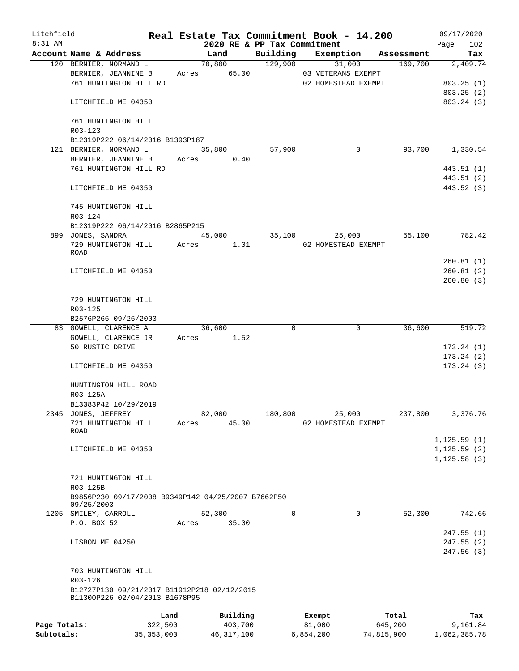| Litchfield   |                                                    |       |                 |                                         | Real Estate Tax Commitment Book - 14.200 |            | 09/17/2020         |
|--------------|----------------------------------------------------|-------|-----------------|-----------------------------------------|------------------------------------------|------------|--------------------|
| $8:31$ AM    | Account Name & Address                             |       | Land            | 2020 RE & PP Tax Commitment<br>Building | Exemption                                | Assessment | 102<br>Page<br>Tax |
|              | 120 BERNIER, NORMAND L                             |       | 70,800          | 129,900                                 | 31,000                                   | 169,700    | 2,409.74           |
|              | BERNIER, JEANNINE B                                |       | Acres 65.00     |                                         | 03 VETERANS EXEMPT                       |            |                    |
|              | 761 HUNTINGTON HILL RD                             |       |                 |                                         | 02 HOMESTEAD EXEMPT                      |            | 803.25(1)          |
|              |                                                    |       |                 |                                         |                                          |            | 803.25(2)          |
|              | LITCHFIELD ME 04350                                |       |                 |                                         |                                          |            | 803.24 (3)         |
|              | 761 HUNTINGTON HILL<br>R03-123                     |       |                 |                                         |                                          |            |                    |
|              | B12319P222 06/14/2016 B1393P187                    |       |                 |                                         |                                          |            |                    |
|              | 121 BERNIER, NORMAND L                             |       | 35,800          | 57,900                                  | 0                                        | 93,700     | 1,330.54           |
|              | BERNIER, JEANNINE B                                |       | Acres<br>0.40   |                                         |                                          |            |                    |
|              | 761 HUNTINGTON HILL RD                             |       |                 |                                         |                                          |            | 443.51 (1)         |
|              |                                                    |       |                 |                                         |                                          |            | 443.51 (2)         |
|              | LITCHFIELD ME 04350                                |       |                 |                                         |                                          |            | 443.52 (3)         |
|              | 745 HUNTINGTON HILL<br>R03-124                     |       |                 |                                         |                                          |            |                    |
|              | B12319P222 06/14/2016 B2865P215                    |       |                 |                                         |                                          |            |                    |
|              | 899 JONES, SANDRA                                  |       | 45,000          | 35,100                                  | 25,000                                   | 55,100     | 782.42             |
|              | 729 HUNTINGTON HILL<br>ROAD                        | Acres | 1.01            |                                         | 02 HOMESTEAD EXEMPT                      |            |                    |
|              |                                                    |       |                 |                                         |                                          |            | 260.81(1)          |
|              | LITCHFIELD ME 04350                                |       |                 |                                         |                                          |            | 260.81(2)          |
|              |                                                    |       |                 |                                         |                                          |            | 260.80(3)          |
|              | 729 HUNTINGTON HILL                                |       |                 |                                         |                                          |            |                    |
|              | R03-125                                            |       |                 |                                         |                                          |            |                    |
|              | B2576P266 09/26/2003                               |       |                 |                                         |                                          |            |                    |
|              | 83 GOWELL, CLARENCE A                              |       | 36,600          | $\Omega$                                | 0                                        | 36,600     | 519.72             |
|              | GOWELL, CLARENCE JR                                |       | Acres 1.52      |                                         |                                          |            |                    |
|              | 50 RUSTIC DRIVE                                    |       |                 |                                         |                                          |            | 173.24(1)          |
|              |                                                    |       |                 |                                         |                                          |            | 173.24(2)          |
|              | LITCHFIELD ME 04350                                |       |                 |                                         |                                          |            | 173.24(3)          |
|              | HUNTINGTON HILL ROAD                               |       |                 |                                         |                                          |            |                    |
|              | R03-125A                                           |       |                 |                                         |                                          |            |                    |
|              | B13383P42 10/29/2019                               |       |                 |                                         |                                          |            |                    |
|              | 2345 JONES, JEFFREY                                |       | 82,000          | 180,800                                 | 25,000                                   | 237,800    | 3,376.76           |
|              | 721 HUNTINGTON HILL<br>ROAD                        | Acres | 45.00           |                                         | 02 HOMESTEAD EXEMPT                      |            |                    |
|              |                                                    |       |                 |                                         |                                          |            | 1, 125.59(1)       |
|              | LITCHFIELD ME 04350                                |       |                 |                                         |                                          |            | 1, 125.59(2)       |
|              |                                                    |       |                 |                                         |                                          |            | 1, 125.58(3)       |
|              | 721 HUNTINGTON HILL                                |       |                 |                                         |                                          |            |                    |
|              | R03-125B                                           |       |                 |                                         |                                          |            |                    |
|              | B9856P230 09/17/2008 B9349P142 04/25/2007 B7662P50 |       |                 |                                         |                                          |            |                    |
|              | 09/25/2003                                         |       |                 | $\mathbf 0$                             | $\mathbf 0$                              | 52,300     |                    |
|              | 1205 SMILEY, CARROLL<br>P.O. BOX 52                | Acres | 52,300<br>35.00 |                                         |                                          |            | 742.66             |
|              |                                                    |       |                 |                                         |                                          |            | 247.55(1)          |
|              | LISBON ME 04250                                    |       |                 |                                         |                                          |            | 247.55(2)          |
|              |                                                    |       |                 |                                         |                                          |            | 247.56(3)          |
|              | 703 HUNTINGTON HILL                                |       |                 |                                         |                                          |            |                    |
|              | R03-126                                            |       |                 |                                         |                                          |            |                    |
|              | B12727P130 09/21/2017 B11912P218 02/12/2015        |       |                 |                                         |                                          |            |                    |
|              | B11300P226 02/04/2013 B1678P95                     |       |                 |                                         |                                          |            |                    |
|              |                                                    | Land  | Building        |                                         | Exempt                                   | Total      | Tax                |
| Page Totals: | 322,500                                            |       | 403,700         |                                         | 81,000                                   | 645,200    | 9,161.84           |

**Subtotals:** 35,353,000 46,317,100 6,854,200 74,815,900 1,062,385.78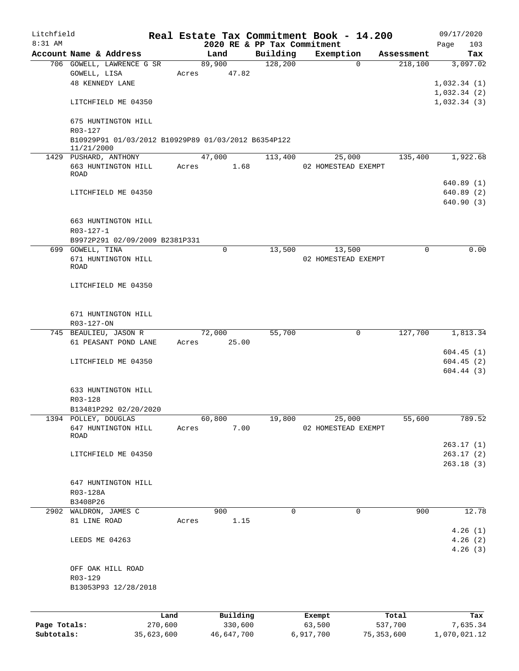| Litchfield<br>8:31 AM |                                                     |            |       | Real Estate Tax Commitment Book - 14.200<br>2020 RE & PP Tax Commitment |          |           |                     |              | 09/17/2020<br>103 |
|-----------------------|-----------------------------------------------------|------------|-------|-------------------------------------------------------------------------|----------|-----------|---------------------|--------------|-------------------|
|                       | Account Name & Address                              |            |       | Land                                                                    | Building |           | Exemption           | Assessment   | Page<br>Tax       |
|                       | 706 GOWELL, LAWRENCE G SR                           |            |       | 89,900                                                                  | 128,200  |           | $\Omega$            | 218,100      | 3,097.02          |
|                       | GOWELL, LISA                                        |            | Acres | 47.82                                                                   |          |           |                     |              |                   |
|                       | <b>48 KENNEDY LANE</b>                              |            |       |                                                                         |          |           |                     |              | 1,032.34(1)       |
|                       |                                                     |            |       |                                                                         |          |           |                     |              | 1,032.34(2)       |
|                       | LITCHFIELD ME 04350                                 |            |       |                                                                         |          |           |                     |              | 1,032.34(3)       |
|                       | 675 HUNTINGTON HILL<br>R03-127                      |            |       |                                                                         |          |           |                     |              |                   |
|                       | B10929P91 01/03/2012 B10929P89 01/03/2012 B6354P122 |            |       |                                                                         |          |           |                     |              |                   |
|                       | 11/21/2000<br>1429 PUSHARD, ANTHONY                 |            |       | 47,000                                                                  | 113,400  |           | 25,000              | 135,400      | 1,922.68          |
|                       | 663 HUNTINGTON HILL                                 |            | Acres | 1.68                                                                    |          |           | 02 HOMESTEAD EXEMPT |              |                   |
|                       | ROAD                                                |            |       |                                                                         |          |           |                     |              |                   |
|                       |                                                     |            |       |                                                                         |          |           |                     |              | 640.89 (1)        |
|                       | LITCHFIELD ME 04350                                 |            |       |                                                                         |          |           |                     |              | 640.89(2)         |
|                       |                                                     |            |       |                                                                         |          |           |                     |              | 640.90 (3)        |
|                       | 663 HUNTINGTON HILL                                 |            |       |                                                                         |          |           |                     |              |                   |
|                       |                                                     |            |       |                                                                         |          |           |                     |              |                   |
|                       | $R03 - 127 - 1$                                     |            |       |                                                                         |          |           |                     |              |                   |
|                       | B9972P291 02/09/2009 B2381P331                      |            |       |                                                                         | 13,500   |           |                     |              | 0.00              |
|                       | 699 GOWELL, TINA                                    |            |       | 0                                                                       |          |           | 13,500              | $\Omega$     |                   |
|                       | 671 HUNTINGTON HILL<br><b>ROAD</b>                  |            |       |                                                                         |          |           | 02 HOMESTEAD EXEMPT |              |                   |
|                       |                                                     |            |       |                                                                         |          |           |                     |              |                   |
|                       | LITCHFIELD ME 04350                                 |            |       |                                                                         |          |           |                     |              |                   |
|                       |                                                     |            |       |                                                                         |          |           |                     |              |                   |
|                       | 671 HUNTINGTON HILL                                 |            |       |                                                                         |          |           |                     |              |                   |
|                       | R03-127-ON                                          |            |       |                                                                         |          |           |                     |              |                   |
|                       | 745 BEAULIEU, JASON R                               |            |       | 72,000                                                                  | 55,700   |           | $\mathsf{O}$        | 127,700      | 1,813.34          |
|                       | 61 PEASANT POND LANE                                |            | Acres | 25.00                                                                   |          |           |                     |              |                   |
|                       |                                                     |            |       |                                                                         |          |           |                     |              | 604.45(1)         |
|                       | LITCHFIELD ME 04350                                 |            |       |                                                                         |          |           |                     |              | 604.45(2)         |
|                       |                                                     |            |       |                                                                         |          |           |                     |              | 604.44(3)         |
|                       | 633 HUNTINGTON HILL                                 |            |       |                                                                         |          |           |                     |              |                   |
|                       | R03-128                                             |            |       |                                                                         |          |           |                     |              |                   |
|                       |                                                     |            |       |                                                                         |          |           |                     |              |                   |
|                       | B13481P292 02/20/2020                               |            |       |                                                                         |          |           |                     |              |                   |
|                       | 1394 POLLEY, DOUGLAS                                |            |       | 60,800                                                                  | 19,800   |           | 25,000              | 55,600       | 789.52            |
|                       | 647 HUNTINGTON HILL<br>ROAD                         |            | Acres | 7.00                                                                    |          |           | 02 HOMESTEAD EXEMPT |              |                   |
|                       |                                                     |            |       |                                                                         |          |           |                     |              | 263.17(1)         |
|                       | LITCHFIELD ME 04350                                 |            |       |                                                                         |          |           |                     |              | 263.17(2)         |
|                       |                                                     |            |       |                                                                         |          |           |                     |              | 263.18(3)         |
|                       |                                                     |            |       |                                                                         |          |           |                     |              |                   |
|                       | 647 HUNTINGTON HILL                                 |            |       |                                                                         |          |           |                     |              |                   |
|                       | R03-128A                                            |            |       |                                                                         |          |           |                     |              |                   |
|                       | B3408P26                                            |            |       |                                                                         |          |           |                     |              |                   |
| 2902                  | WALDRON, JAMES C                                    |            |       | 900                                                                     | 0        |           | 0                   | 900          | 12.78             |
|                       | 81 LINE ROAD                                        |            | Acres | 1.15                                                                    |          |           |                     |              |                   |
|                       |                                                     |            |       |                                                                         |          |           |                     |              | 4.26(1)           |
|                       | LEEDS ME 04263                                      |            |       |                                                                         |          |           |                     |              | 4.26(2)           |
|                       |                                                     |            |       |                                                                         |          |           |                     |              | 4.26(3)           |
|                       | OFF OAK HILL ROAD                                   |            |       |                                                                         |          |           |                     |              |                   |
|                       | $R03 - 129$                                         |            |       |                                                                         |          |           |                     |              |                   |
|                       | B13053P93 12/28/2018                                |            |       |                                                                         |          |           |                     |              |                   |
|                       |                                                     |            |       |                                                                         |          |           |                     |              |                   |
|                       |                                                     | Land       |       | Building                                                                |          | Exempt    |                     | Total        | Tax               |
| Page Totals:          |                                                     | 270,600    |       | 330,600                                                                 |          | 63,500    |                     | 537,700      | 7,635.34          |
| Subtotals:            |                                                     | 35,623,600 |       | 46,647,700                                                              |          | 6,917,700 |                     | 75, 353, 600 | 1,070,021.12      |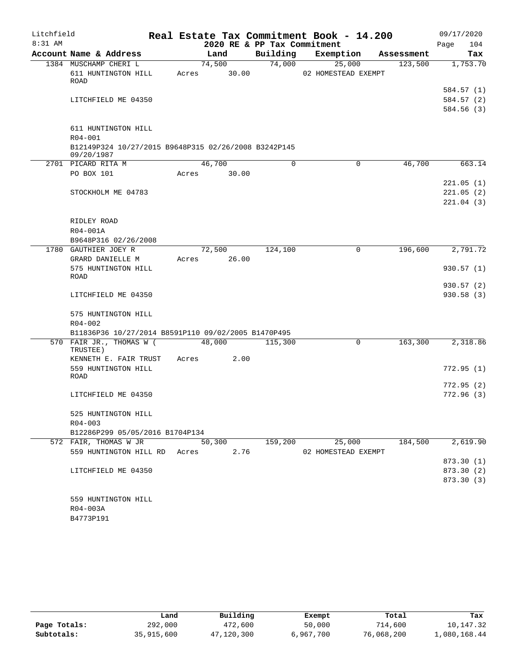| Litchfield |                                                      |                |                             | Real Estate Tax Commitment Book - 14.200 |            | 09/17/2020  |
|------------|------------------------------------------------------|----------------|-----------------------------|------------------------------------------|------------|-------------|
| 8:31 AM    |                                                      |                | 2020 RE & PP Tax Commitment |                                          |            | Page<br>104 |
|            | Account Name & Address                               | Land           | Building                    | Exemption                                | Assessment | Tax         |
|            | 1384 MUSCHAMP CHERI L                                | 74,500         | 74,000                      | 25,000                                   | 123,500    | 1,753.70    |
|            | 611 HUNTINGTON HILL                                  | 30.00<br>Acres |                             | 02 HOMESTEAD EXEMPT                      |            |             |
|            | ROAD                                                 |                |                             |                                          |            | 584.57 (1)  |
|            | LITCHFIELD ME 04350                                  |                |                             |                                          |            | 584.57 (2)  |
|            |                                                      |                |                             |                                          |            | 584.56(3)   |
|            |                                                      |                |                             |                                          |            |             |
|            | 611 HUNTINGTON HILL                                  |                |                             |                                          |            |             |
|            | $R04 - 001$                                          |                |                             |                                          |            |             |
|            | B12149P324 10/27/2015 B9648P315 02/26/2008 B3242P145 |                |                             |                                          |            |             |
|            | 09/20/1987                                           |                |                             |                                          |            |             |
|            | 2701 PICARD RITA M                                   | 46,700         | 0                           | 0                                        | 46,700     | 663.14      |
|            | PO BOX 101                                           | 30.00<br>Acres |                             |                                          |            |             |
|            |                                                      |                |                             |                                          |            | 221.05(1)   |
|            | STOCKHOLM ME 04783                                   |                |                             |                                          |            | 221.05(2)   |
|            |                                                      |                |                             |                                          |            | 221.04(3)   |
|            |                                                      |                |                             |                                          |            |             |
|            | RIDLEY ROAD                                          |                |                             |                                          |            |             |
|            | R04-001A                                             |                |                             |                                          |            |             |
|            | B9648P316 02/26/2008                                 |                |                             |                                          |            |             |
|            | 1780 GAUTHIER JOEY R                                 | 72,500         | 124,100                     | 0                                        | 196,600    | 2,791.72    |
|            | GRARD DANIELLE M<br>575 HUNTINGTON HILL              | 26.00<br>Acres |                             |                                          |            |             |
|            | <b>ROAD</b>                                          |                |                             |                                          |            | 930.57(1)   |
|            |                                                      |                |                             |                                          |            | 930.57(2)   |
|            | LITCHFIELD ME 04350                                  |                |                             |                                          |            | 930.58(3)   |
|            |                                                      |                |                             |                                          |            |             |
|            | 575 HUNTINGTON HILL                                  |                |                             |                                          |            |             |
|            | $R04 - 002$                                          |                |                             |                                          |            |             |
|            | B11836P36 10/27/2014 B8591P110 09/02/2005 B1470P495  |                |                             |                                          |            |             |
|            | 570 FAIR JR., THOMAS W (                             | 48,000         | 115,300                     | $\mathbf 0$                              | 163,300    | 2,318.86    |
|            | TRUSTEE)<br>KENNETH E. FAIR TRUST                    | 2.00<br>Acres  |                             |                                          |            |             |
|            | 559 HUNTINGTON HILL                                  |                |                             |                                          |            | 772.95(1)   |
|            | ROAD                                                 |                |                             |                                          |            |             |
|            |                                                      |                |                             |                                          |            | 772.95(2)   |
|            | LITCHFIELD ME 04350                                  |                |                             |                                          |            | 772.96(3)   |
|            |                                                      |                |                             |                                          |            |             |
|            | 525 HUNTINGTON HILL                                  |                |                             |                                          |            |             |
|            | $R04 - 003$                                          |                |                             |                                          |            |             |
|            | B12286P299 05/05/2016 B1704P134                      |                |                             |                                          |            |             |
|            | 572 FAIR, THOMAS W JR                                | 50,300         | 159,200                     | 25,000                                   | 184,500    | 2,619.90    |
|            | 559 HUNTINGTON HILL RD Acres                         | 2.76           |                             | 02 HOMESTEAD EXEMPT                      |            |             |
|            |                                                      |                |                             |                                          |            | 873.30 (1)  |
|            | LITCHFIELD ME 04350                                  |                |                             |                                          |            | 873.30 (2)  |
|            |                                                      |                |                             |                                          |            | 873.30 (3)  |
|            |                                                      |                |                             |                                          |            |             |
|            | 559 HUNTINGTON HILL<br>R04-003A                      |                |                             |                                          |            |             |
|            | B4773P191                                            |                |                             |                                          |            |             |
|            |                                                      |                |                             |                                          |            |             |

|              | Land       | Building   | Exempt    | Total      | Tax          |
|--------------|------------|------------|-----------|------------|--------------|
| Page Totals: | 292,000    | 472,600    | 50,000    | 714,600    | 10,147.32    |
| Subtotals:   | 35,915,600 | 47,120,300 | 6,967,700 | 76,068,200 | 1,080,168.44 |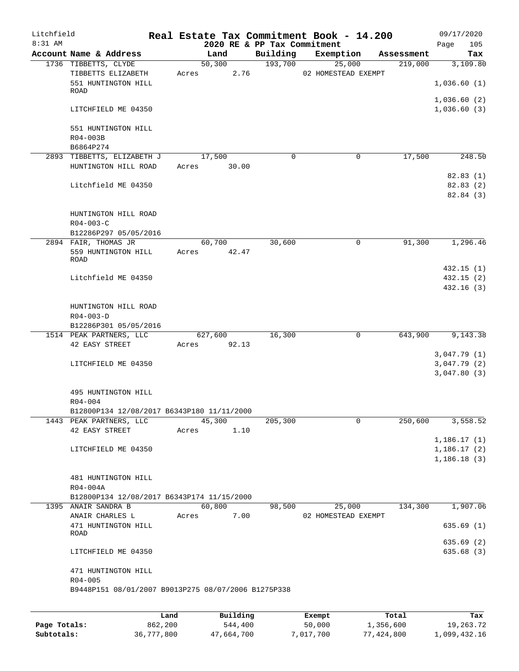| Litchfield<br>$8:31$ AM |                                                                    |       |             |          | 2020 RE & PP Tax Commitment | Real Estate Tax Commitment Book - 14.200 |            | 09/17/2020<br>105<br>Page  |
|-------------------------|--------------------------------------------------------------------|-------|-------------|----------|-----------------------------|------------------------------------------|------------|----------------------------|
|                         | Account Name & Address                                             |       | Land        |          | Building                    | Exemption                                | Assessment | Tax                        |
|                         | 1736 TIBBETTS, CLYDE                                               |       | 50,300      |          | 193,700                     | 25,000                                   | 219,000    | 3,109.80                   |
|                         | TIBBETTS ELIZABETH                                                 | Acres |             | 2.76     |                             | 02 HOMESTEAD EXEMPT                      |            |                            |
|                         | 551 HUNTINGTON HILL                                                |       |             |          |                             |                                          |            | 1,036.60(1)                |
|                         | ROAD                                                               |       |             |          |                             |                                          |            |                            |
|                         | LITCHFIELD ME 04350                                                |       |             |          |                             |                                          |            | 1,036.60(2)<br>1,036.60(3) |
|                         | 551 HUNTINGTON HILL                                                |       |             |          |                             |                                          |            |                            |
|                         | R04-003B                                                           |       |             |          |                             |                                          |            |                            |
|                         | B6864P274                                                          |       |             |          |                             |                                          |            |                            |
|                         | 2893 TIBBETTS, ELIZABETH J                                         |       | 17,500      |          | $\Omega$                    | 0                                        | 17,500     | 248.50                     |
|                         | HUNTINGTON HILL ROAD                                               |       | Acres 30.00 |          |                             |                                          |            |                            |
|                         |                                                                    |       |             |          |                             |                                          |            | 82.83(1)                   |
|                         | Litchfield ME 04350                                                |       |             |          |                             |                                          |            | 82.83 (2)                  |
|                         |                                                                    |       |             |          |                             |                                          |            | 82.84 (3)                  |
|                         | HUNTINGTON HILL ROAD                                               |       |             |          |                             |                                          |            |                            |
|                         | $R04 - 003 - C$                                                    |       |             |          |                             |                                          |            |                            |
|                         | B12286P297 05/05/2016                                              |       |             |          |                             |                                          |            |                            |
|                         | 2894 FAIR, THOMAS JR                                               |       | 60,700      |          | 30,600                      | 0                                        | 91,300     | 1,296.46                   |
|                         | 559 HUNTINGTON HILL                                                |       | Acres 42.47 |          |                             |                                          |            |                            |
|                         | <b>ROAD</b>                                                        |       |             |          |                             |                                          |            |                            |
|                         |                                                                    |       |             |          |                             |                                          |            | 432.15(1)                  |
|                         | Litchfield ME 04350                                                |       |             |          |                             |                                          |            | 432.15(2)                  |
|                         |                                                                    |       |             |          |                             |                                          |            | 432.16(3)                  |
|                         |                                                                    |       |             |          |                             |                                          |            |                            |
|                         | HUNTINGTON HILL ROAD                                               |       |             |          |                             |                                          |            |                            |
|                         | $R04 - 003 - D$                                                    |       |             |          |                             |                                          |            |                            |
|                         | B12286P301 05/05/2016<br>1514 PEAK PARTNERS, LLC                   |       | 627,600     |          | 16,300                      | $\mathbf 0$                              | 643,900    | 9,143.38                   |
|                         | 42 EASY STREET                                                     | Acres | 92.13       |          |                             |                                          |            |                            |
|                         |                                                                    |       |             |          |                             |                                          |            | 3,047.79(1)                |
|                         | LITCHFIELD ME 04350                                                |       |             |          |                             |                                          |            | 3,047.79(2)                |
|                         |                                                                    |       |             |          |                             |                                          |            | 3,047.80(3)                |
|                         |                                                                    |       |             |          |                             |                                          |            |                            |
|                         | 495 HUNTINGTON HILL                                                |       |             |          |                             |                                          |            |                            |
|                         | $R04 - 004$                                                        |       |             |          |                             |                                          |            |                            |
|                         | B12800P134 12/08/2017 B6343P180 11/11/2000                         |       |             |          |                             |                                          |            |                            |
|                         | 1443 PEAK PARTNERS, LLC                                            |       | 45,300      |          | 205,300                     | 0                                        | 250,600    | 3,558.52                   |
|                         | 42 EASY STREET                                                     | Acres |             | 1.10     |                             |                                          |            |                            |
|                         |                                                                    |       |             |          |                             |                                          |            | 1,186.17(1)                |
|                         | LITCHFIELD ME 04350                                                |       |             |          |                             |                                          |            | 1,186.17(2)                |
|                         |                                                                    |       |             |          |                             |                                          |            | 1,186.18(3)                |
|                         |                                                                    |       |             |          |                             |                                          |            |                            |
|                         | 481 HUNTINGTON HILL<br>R04-004A                                    |       |             |          |                             |                                          |            |                            |
|                         | B12800P134 12/08/2017 B6343P174 11/15/2000                         |       |             |          |                             |                                          |            |                            |
|                         | 1395 ANAIR SANDRA B                                                |       | 60,800      |          | 98,500                      | 25,000                                   | 134,300    | 1,907.06                   |
|                         | ANAIR CHARLES L                                                    | Acres |             | 7.00     |                             | 02 HOMESTEAD EXEMPT                      |            |                            |
|                         | 471 HUNTINGTON HILL                                                |       |             |          |                             |                                          |            | 635.69(1)                  |
|                         | ROAD                                                               |       |             |          |                             |                                          |            |                            |
|                         |                                                                    |       |             |          |                             |                                          |            | 635.69 (2)                 |
|                         | LITCHFIELD ME 04350                                                |       |             |          |                             |                                          |            | 635.68 (3)                 |
|                         |                                                                    |       |             |          |                             |                                          |            |                            |
|                         | 471 HUNTINGTON HILL                                                |       |             |          |                             |                                          |            |                            |
|                         | $R04 - 005$<br>B9448P151 08/01/2007 B9013P275 08/07/2006 B1275P338 |       |             |          |                             |                                          |            |                            |
|                         |                                                                    |       |             |          |                             |                                          |            |                            |
|                         |                                                                    |       |             |          |                             |                                          |            |                            |
|                         |                                                                    | Land  |             | Building |                             | Exempt                                   | Total      | Tax                        |

**Page Totals:** 862,200 544,400 50,000 1,356,600 19,263.72 **Subtotals:** 36,777,800 47,664,700 7,017,700 77,424,800 1,099,432.16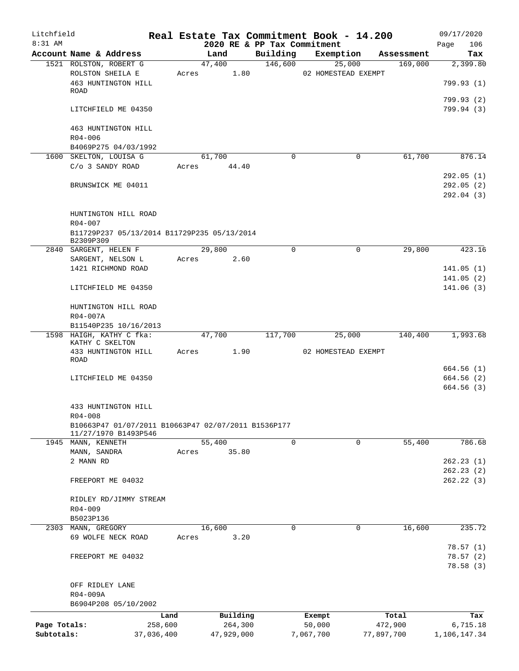| Litchfield<br>8:31 AM |                                                          |            |       |            | Real Estate Tax Commitment Book - 14.200<br>2020 RE & PP Tax Commitment |                     |        |            | 09/17/2020         |
|-----------------------|----------------------------------------------------------|------------|-------|------------|-------------------------------------------------------------------------|---------------------|--------|------------|--------------------|
|                       | Account Name & Address                                   |            |       | Land       | Building                                                                | Exemption           |        | Assessment | 106<br>Page<br>Tax |
|                       | 1521 ROLSTON, ROBERT G                                   |            |       | 47,400     | 146,600                                                                 |                     | 25,000 | 169,000    | 2,399.80           |
|                       | ROLSTON SHEILA E                                         |            | Acres | 1.80       |                                                                         | 02 HOMESTEAD EXEMPT |        |            |                    |
|                       | 463 HUNTINGTON HILL                                      |            |       |            |                                                                         |                     |        |            | 799.93(1)          |
|                       | ROAD                                                     |            |       |            |                                                                         |                     |        |            |                    |
|                       |                                                          |            |       |            |                                                                         |                     |        |            | 799.93 (2)         |
|                       | LITCHFIELD ME 04350                                      |            |       |            |                                                                         |                     |        |            | 799.94 (3)         |
|                       | 463 HUNTINGTON HILL                                      |            |       |            |                                                                         |                     |        |            |                    |
|                       | $R04 - 006$                                              |            |       |            |                                                                         |                     |        |            |                    |
|                       | B4069P275 04/03/1992                                     |            |       |            |                                                                         |                     |        |            |                    |
|                       | 1600 SKELTON, LOUISA G                                   |            |       | 61,700     | $\Omega$                                                                |                     | 0      | 61,700     | 876.14             |
|                       | C/o 3 SANDY ROAD                                         |            | Acres | 44.40      |                                                                         |                     |        |            |                    |
|                       |                                                          |            |       |            |                                                                         |                     |        |            | 292.05(1)          |
|                       | BRUNSWICK ME 04011                                       |            |       |            |                                                                         |                     |        |            | 292.05(2)          |
|                       |                                                          |            |       |            |                                                                         |                     |        |            | 292.04 (3)         |
|                       |                                                          |            |       |            |                                                                         |                     |        |            |                    |
|                       | HUNTINGTON HILL ROAD                                     |            |       |            |                                                                         |                     |        |            |                    |
|                       | R04-007                                                  |            |       |            |                                                                         |                     |        |            |                    |
|                       | B11729P237 05/13/2014 B11729P235 05/13/2014<br>B2309P309 |            |       |            |                                                                         |                     |        |            |                    |
|                       | 2840 SARGENT, HELEN F                                    |            |       | 29,800     | $\Omega$                                                                |                     | 0      | 29,800     | 423.16             |
|                       | SARGENT, NELSON L                                        |            | Acres | 2.60       |                                                                         |                     |        |            |                    |
|                       | 1421 RICHMOND ROAD                                       |            |       |            |                                                                         |                     |        |            | 141.05(1)          |
|                       |                                                          |            |       |            |                                                                         |                     |        |            | 141.05(2)          |
|                       | LITCHFIELD ME 04350                                      |            |       |            |                                                                         |                     |        |            | 141.06(3)          |
|                       |                                                          |            |       |            |                                                                         |                     |        |            |                    |
|                       | HUNTINGTON HILL ROAD                                     |            |       |            |                                                                         |                     |        |            |                    |
|                       | R04-007A                                                 |            |       |            |                                                                         |                     |        |            |                    |
|                       | B11540P235 10/16/2013                                    |            |       |            |                                                                         |                     |        |            |                    |
|                       | 1598 HAIGH, KATHY C fka:<br>KATHY C SKELTON              |            |       | 47,700     | 117,700                                                                 |                     | 25,000 | 140,400    | 1,993.68           |
|                       | 433 HUNTINGTON HILL                                      |            | Acres | 1.90       |                                                                         | 02 HOMESTEAD EXEMPT |        |            |                    |
|                       | <b>ROAD</b>                                              |            |       |            |                                                                         |                     |        |            |                    |
|                       |                                                          |            |       |            |                                                                         |                     |        |            | 664.56 (1)         |
|                       | LITCHFIELD ME 04350                                      |            |       |            |                                                                         |                     |        |            | 664.56(2)          |
|                       |                                                          |            |       |            |                                                                         |                     |        |            | 664.56(3)          |
|                       |                                                          |            |       |            |                                                                         |                     |        |            |                    |
|                       | 433 HUNTINGTON HILL<br>$R04 - 008$                       |            |       |            |                                                                         |                     |        |            |                    |
|                       | B10663P47 01/07/2011 B10663P47 02/07/2011 B1536P177      |            |       |            |                                                                         |                     |        |            |                    |
|                       | 11/27/1970 B1493P546                                     |            |       |            |                                                                         |                     |        |            |                    |
|                       | 1945 MANN, KENNETH                                       |            |       | 55,400     | 0                                                                       |                     | 0      | 55,400     | 786.68             |
|                       | MANN, SANDRA                                             |            | Acres | 35.80      |                                                                         |                     |        |            |                    |
|                       | 2 MANN RD                                                |            |       |            |                                                                         |                     |        |            | 262.23(1)          |
|                       |                                                          |            |       |            |                                                                         |                     |        |            | 262.23(2)          |
|                       | FREEPORT ME 04032                                        |            |       |            |                                                                         |                     |        |            | 262.22(3)          |
|                       |                                                          |            |       |            |                                                                         |                     |        |            |                    |
|                       | RIDLEY RD/JIMMY STREAM<br>R04-009                        |            |       |            |                                                                         |                     |        |            |                    |
|                       | B5023P136                                                |            |       |            |                                                                         |                     |        |            |                    |
|                       | 2303 MANN, GREGORY                                       |            |       | 16,600     | $\Omega$                                                                |                     | 0      | 16,600     | 235.72             |
|                       | 69 WOLFE NECK ROAD                                       |            | Acres | 3.20       |                                                                         |                     |        |            |                    |
|                       |                                                          |            |       |            |                                                                         |                     |        |            | 78.57(1)           |
|                       | FREEPORT ME 04032                                        |            |       |            |                                                                         |                     |        |            | 78.57(2)           |
|                       |                                                          |            |       |            |                                                                         |                     |        |            | 78.58(3)           |
|                       |                                                          |            |       |            |                                                                         |                     |        |            |                    |
|                       | OFF RIDLEY LANE                                          |            |       |            |                                                                         |                     |        |            |                    |
|                       | R04-009A                                                 |            |       |            |                                                                         |                     |        |            |                    |
|                       | B6904P208 05/10/2002                                     |            |       |            |                                                                         |                     |        |            |                    |
|                       |                                                          | Land       |       | Building   |                                                                         | Exempt              |        | Total      | Tax                |
| Page Totals:          |                                                          | 258,600    |       | 264,300    |                                                                         | 50,000              |        | 472,900    | 6,715.18           |
| Subtotals:            |                                                          | 37,036,400 |       | 47,929,000 |                                                                         | 7,067,700           |        | 77,897,700 | 1,106,147.34       |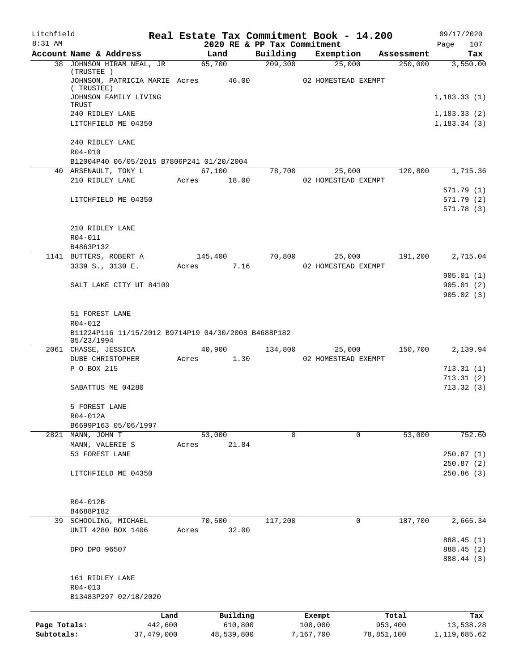| Litchfield   |                                                      |         |                |                             | Real Estate Tax Commitment Book - 14.200 |                       | 09/17/2020             |
|--------------|------------------------------------------------------|---------|----------------|-----------------------------|------------------------------------------|-----------------------|------------------------|
| $8:31$ AM    | Account Name & Address                               |         |                | 2020 RE & PP Tax Commitment |                                          |                       | 107<br>Page            |
|              | 38 JOHNSON HIRAM NEAL, JR                            |         | Land<br>65,700 | Building<br>209,300         | Exemption<br>25,000                      | Assessment<br>250,000 | Tax<br>3,550.00        |
|              | (TRUSTEE)<br>JOHNSON, PATRICIA MARIE Acres 46.00     |         |                |                             | 02 HOMESTEAD EXEMPT                      |                       |                        |
|              | (TRUSTEE)<br>JOHNSON FAMILY LIVING                   |         |                |                             |                                          |                       | 1,183.33(1)            |
|              | TRUST<br>240 RIDLEY LANE                             |         |                |                             |                                          |                       | 1, 183.33(2)           |
|              | LITCHFIELD ME 04350                                  |         |                |                             |                                          |                       | 1, 183.34(3)           |
|              | 240 RIDLEY LANE                                      |         |                |                             |                                          |                       |                        |
|              | R04-010<br>B12004P40 06/05/2015 B7806P241 01/20/2004 |         |                |                             |                                          |                       |                        |
|              | 40 ARSENAULT, TONY L                                 |         | 67,100         | 78,700                      | 25,000                                   | 120,800               | 1,715.36               |
|              | 210 RIDLEY LANE                                      | Acres   | 18.00          |                             | 02 HOMESTEAD EXEMPT                      |                       |                        |
|              |                                                      |         |                |                             |                                          |                       | 571.79(1)              |
|              | LITCHFIELD ME 04350                                  |         |                |                             |                                          |                       | 571.79(2)              |
|              |                                                      |         |                |                             |                                          |                       | 571.78(3)              |
|              | 210 RIDLEY LANE                                      |         |                |                             |                                          |                       |                        |
|              | $R04 - 011$                                          |         |                |                             |                                          |                       |                        |
|              | B4863P132                                            |         |                |                             |                                          |                       |                        |
|              | 1141 BUTTERS, ROBERT A                               |         | 145,400        | 70,800                      | 25,000                                   | 191,200               | 2,715.04               |
|              | 3339 S., 3130 E.                                     | Acres   | 7.16           |                             | 02 HOMESTEAD EXEMPT                      |                       |                        |
|              | SALT LAKE CITY UT 84109                              |         |                |                             |                                          |                       | 905.01(1)<br>905.01(2) |
|              |                                                      |         |                |                             |                                          |                       | 905.02(3)              |
|              |                                                      |         |                |                             |                                          |                       |                        |
|              | 51 FOREST LANE<br>R04-012                            |         |                |                             |                                          |                       |                        |
|              | B11224P116 11/15/2012 B9714P19 04/30/2008 B4688P182  |         |                |                             |                                          |                       |                        |
|              | 05/23/1994                                           |         |                |                             |                                          |                       |                        |
|              | 2061 CHASSE, JESSICA                                 |         | 40,900         | 134,800                     | 25,000                                   | 150,700               | 2,139.94               |
|              | DUBE CHRISTOPHER<br>P O BOX 215                      | Acres   | 1.30           |                             | 02 HOMESTEAD EXEMPT                      |                       |                        |
|              |                                                      |         |                |                             |                                          |                       | 713.31(1)<br>713.31(2) |
|              | SABATTUS ME 04280                                    |         |                |                             |                                          |                       | 713.32(3)              |
|              | 5 FOREST LANE                                        |         |                |                             |                                          |                       |                        |
|              | R04-012A                                             |         |                |                             |                                          |                       |                        |
|              | B6699P163 05/06/1997                                 |         |                |                             |                                          |                       |                        |
|              | 2821 MANN, JOHN T                                    |         | 53,000         | 0                           | 0                                        | 53,000                | 752.60                 |
|              | MANN, VALERIE S                                      | Acres   | 21.84          |                             |                                          |                       |                        |
|              | 53 FOREST LANE                                       |         |                |                             |                                          |                       | 250.87(1)              |
|              | LITCHFIELD ME 04350                                  |         |                |                             |                                          |                       | 250.87(2)<br>250.86(3) |
|              |                                                      |         |                |                             |                                          |                       |                        |
|              |                                                      |         |                |                             |                                          |                       |                        |
|              | R04-012B<br>B4688P182                                |         |                |                             |                                          |                       |                        |
|              | 39 SCHOOLING, MICHAEL                                |         | 70,500         | 117,200                     | 0                                        | 187,700               | 2,665.34               |
|              | UNIT 4280 BOX 1406                                   | Acres   | 32.00          |                             |                                          |                       |                        |
|              |                                                      |         |                |                             |                                          |                       | 888.45 (1)             |
|              | DPO DPO 96507                                        |         |                |                             |                                          |                       | 888.45 (2)             |
|              |                                                      |         |                |                             |                                          |                       | 888.44 (3)             |
|              | 161 RIDLEY LANE                                      |         |                |                             |                                          |                       |                        |
|              | R04-013                                              |         |                |                             |                                          |                       |                        |
|              | B13483P297 02/18/2020                                |         |                |                             |                                          |                       |                        |
|              |                                                      | Land    | Building       |                             | Exempt                                   | Total                 | Tax                    |
| Page Totals: |                                                      | 442,600 | 610,800        |                             | 100,000                                  | 953,400               | 13,538.28              |
| Subtotals:   | 37,479,000                                           |         | 48,539,800     |                             | 7,167,700                                | 78,851,100            | 1,119,685.62           |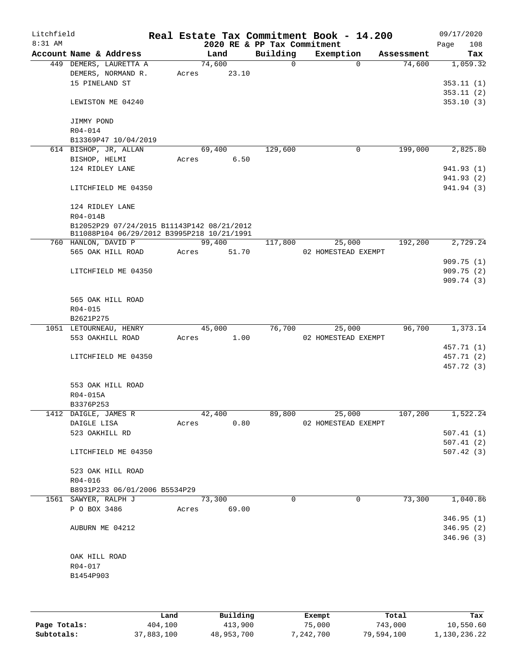| Litchfield<br>8:31 AM |                                        |                                                                                          |       |                | 2020 RE & PP Tax Commitment | Real Estate Tax Commitment Book - 14.200 |            | 09/17/2020<br>108<br>Page |
|-----------------------|----------------------------------------|------------------------------------------------------------------------------------------|-------|----------------|-----------------------------|------------------------------------------|------------|---------------------------|
|                       | Account Name & Address                 |                                                                                          |       | Land           | Building                    | Exemption                                | Assessment | Tax                       |
|                       | 449 DEMERS, LAURETTA A                 |                                                                                          |       | 74,600         | 0                           | $\Omega$                                 | 74,600     | 1,059.32                  |
|                       | DEMERS, NORMAND R.                     |                                                                                          | Acres | 23.10          |                             |                                          |            |                           |
|                       | 15 PINELAND ST                         |                                                                                          |       |                |                             |                                          |            | 353.11 (1)                |
|                       |                                        |                                                                                          |       |                |                             |                                          |            | 353.11(2)                 |
|                       | LEWISTON ME 04240                      |                                                                                          |       |                |                             |                                          |            | 353.10(3)                 |
|                       | JIMMY POND                             |                                                                                          |       |                |                             |                                          |            |                           |
|                       | R04-014                                |                                                                                          |       |                |                             |                                          |            |                           |
|                       | B13369P47 10/04/2019                   |                                                                                          |       |                |                             |                                          |            |                           |
|                       | 614 BISHOP, JR, ALLAN<br>BISHOP, HELMI |                                                                                          |       | 69,400<br>6.50 | 129,600                     | 0                                        | 199,000    | 2,825.80                  |
|                       | 124 RIDLEY LANE                        |                                                                                          | Acres |                |                             |                                          |            | 941.93 (1)                |
|                       |                                        |                                                                                          |       |                |                             |                                          |            | 941.93 (2)                |
|                       | LITCHFIELD ME 04350                    |                                                                                          |       |                |                             |                                          |            | 941.94 (3)                |
|                       | 124 RIDLEY LANE                        |                                                                                          |       |                |                             |                                          |            |                           |
|                       | R04-014B                               |                                                                                          |       |                |                             |                                          |            |                           |
|                       |                                        | B12052P29 07/24/2015 B11143P142 08/21/2012<br>B11088P104 06/29/2012 B3995P218 10/21/1991 |       |                |                             |                                          |            |                           |
|                       | 760 HANLON, DAVID P                    |                                                                                          |       | 99,400         | 117,800                     | 25,000                                   | 192,200    | 2,729.24                  |
|                       | 565 OAK HILL ROAD                      |                                                                                          | Acres | 51.70          |                             | 02 HOMESTEAD EXEMPT                      |            |                           |
|                       |                                        |                                                                                          |       |                |                             |                                          |            | 909.75(1)                 |
|                       | LITCHFIELD ME 04350                    |                                                                                          |       |                |                             |                                          |            | 909.75(2)                 |
|                       |                                        |                                                                                          |       |                |                             |                                          |            | 909.74(3)                 |
|                       | 565 OAK HILL ROAD                      |                                                                                          |       |                |                             |                                          |            |                           |
|                       | R04-015                                |                                                                                          |       |                |                             |                                          |            |                           |
|                       | B2621P275                              |                                                                                          |       |                |                             |                                          |            |                           |
|                       | 1051 LETOURNEAU, HENRY                 |                                                                                          |       | 45,000         | 76,700                      | 25,000                                   | 96,700     | 1,373.14                  |
|                       | 553 OAKHILL ROAD                       |                                                                                          | Acres | 1.00           |                             | 02 HOMESTEAD EXEMPT                      |            |                           |
|                       |                                        |                                                                                          |       |                |                             |                                          |            | 457.71 (1)                |
|                       | LITCHFIELD ME 04350                    |                                                                                          |       |                |                             |                                          |            | 457.71 (2)                |
|                       |                                        |                                                                                          |       |                |                             |                                          |            | 457.72 (3)                |
|                       | 553 OAK HILL ROAD                      |                                                                                          |       |                |                             |                                          |            |                           |
|                       | R04-015A                               |                                                                                          |       |                |                             |                                          |            |                           |
|                       | B3376P253                              |                                                                                          |       |                |                             |                                          |            |                           |
|                       | 1412 DAIGLE, JAMES R                   |                                                                                          |       | 42,400         | 89,800                      | 25,000                                   | 107,200    | 1,522.24                  |
|                       | DAIGLE LISA                            |                                                                                          | Acres | 0.80           |                             | 02 HOMESTEAD EXEMPT                      |            |                           |
|                       | 523 OAKHILL RD                         |                                                                                          |       |                |                             |                                          |            | 507.41(1)<br>507.41(2)    |
|                       | LITCHFIELD ME 04350                    |                                                                                          |       |                |                             |                                          |            | 507.42(3)                 |
|                       |                                        |                                                                                          |       |                |                             |                                          |            |                           |
|                       | 523 OAK HILL ROAD                      |                                                                                          |       |                |                             |                                          |            |                           |
|                       | R04-016                                |                                                                                          |       |                |                             |                                          |            |                           |
|                       |                                        | B8931P233 06/01/2006 B5534P29                                                            |       |                |                             |                                          |            |                           |
|                       | 1561 SAWYER, RALPH J                   |                                                                                          |       | 73,300         | $\Omega$                    | 0                                        | 73,300     | 1,040.86                  |
|                       | P O BOX 3486                           |                                                                                          | Acres | 69.00          |                             |                                          |            |                           |
|                       |                                        |                                                                                          |       |                |                             |                                          |            | 346.95(1)                 |
|                       | AUBURN ME 04212                        |                                                                                          |       |                |                             |                                          |            | 346.95(2)                 |
|                       |                                        |                                                                                          |       |                |                             |                                          |            | 346.96 (3)                |
|                       |                                        |                                                                                          |       |                |                             |                                          |            |                           |
|                       | OAK HILL ROAD                          |                                                                                          |       |                |                             |                                          |            |                           |
|                       | R04-017                                |                                                                                          |       |                |                             |                                          |            |                           |
|                       | B1454P903                              |                                                                                          |       |                |                             |                                          |            |                           |
|                       |                                        |                                                                                          |       |                |                             |                                          |            |                           |
|                       |                                        |                                                                                          |       |                |                             |                                          |            |                           |
|                       |                                        |                                                                                          |       |                |                             |                                          |            |                           |

|              | Land       | Building   | Exempt    | Total      | Tax          |
|--------------|------------|------------|-----------|------------|--------------|
| Page Totals: | 404,100    | 413,900    | 75,000    | 743,000    | 10,550.60    |
| Subtotals:   | 37,883,100 | 48,953,700 | 7,242,700 | 79,594,100 | 1,130,236.22 |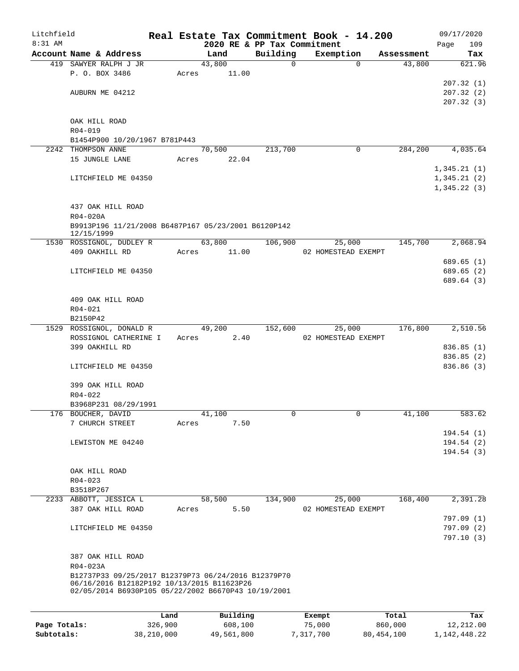| Litchfield |                                                                                                   |      |       |        |          |                                         | Real Estate Tax Commitment Book - 14.200 |            |      | 09/17/2020               |
|------------|---------------------------------------------------------------------------------------------------|------|-------|--------|----------|-----------------------------------------|------------------------------------------|------------|------|--------------------------|
| 8:31 AM    | Account Name & Address                                                                            |      |       | Land   |          | 2020 RE & PP Tax Commitment<br>Building | Exemption                                | Assessment | Page | 109<br>Tax               |
|            | 419 SAWYER RALPH J JR                                                                             |      |       | 43,800 |          | 0                                       | $\Omega$                                 | 43,800     |      | 621.96                   |
|            | P. O. BOX 3486                                                                                    |      | Acres |        | 11.00    |                                         |                                          |            |      |                          |
|            |                                                                                                   |      |       |        |          |                                         |                                          |            |      | 207.32(1)                |
|            | AUBURN ME 04212                                                                                   |      |       |        |          |                                         |                                          |            |      | 207.32(2)                |
|            |                                                                                                   |      |       |        |          |                                         |                                          |            |      | 207.32(3)                |
|            |                                                                                                   |      |       |        |          |                                         |                                          |            |      |                          |
|            | OAK HILL ROAD<br>R04-019                                                                          |      |       |        |          |                                         |                                          |            |      |                          |
|            | B1454P900 10/20/1967 B781P443                                                                     |      |       |        |          |                                         |                                          |            |      |                          |
|            | 2242 THOMPSON ANNE                                                                                |      |       | 70,500 |          | 213,700                                 | 0                                        | 284,200    |      | 4,035.64                 |
|            | 15 JUNGLE LANE                                                                                    |      | Acres |        | 22.04    |                                         |                                          |            |      |                          |
|            |                                                                                                   |      |       |        |          |                                         |                                          |            |      | 1,345.21(1)              |
|            | LITCHFIELD ME 04350                                                                               |      |       |        |          |                                         |                                          |            |      | 1,345.21(2)              |
|            |                                                                                                   |      |       |        |          |                                         |                                          |            |      | 1,345.22(3)              |
|            | 437 OAK HILL ROAD                                                                                 |      |       |        |          |                                         |                                          |            |      |                          |
|            | R04-020A                                                                                          |      |       |        |          |                                         |                                          |            |      |                          |
|            | B9913P196 11/21/2008 B6487P167 05/23/2001 B6120P142<br>12/15/1999                                 |      |       |        |          |                                         |                                          |            |      |                          |
|            | 1530 ROSSIGNOL, DUDLEY R                                                                          |      |       | 63,800 |          | 106,900                                 | 25,000                                   | 145,700    |      | 2,068.94                 |
|            | 409 OAKHILL RD                                                                                    |      | Acres |        | 11.00    |                                         | 02 HOMESTEAD EXEMPT                      |            |      |                          |
|            |                                                                                                   |      |       |        |          |                                         |                                          |            |      | 689.65 (1)               |
|            | LITCHFIELD ME 04350                                                                               |      |       |        |          |                                         |                                          |            |      | 689.65 (2)<br>689.64 (3) |
|            |                                                                                                   |      |       |        |          |                                         |                                          |            |      |                          |
|            | 409 OAK HILL ROAD                                                                                 |      |       |        |          |                                         |                                          |            |      |                          |
|            | R04-021                                                                                           |      |       |        |          |                                         |                                          |            |      |                          |
|            | B2150P42                                                                                          |      |       |        |          |                                         |                                          |            |      |                          |
|            | 1529 ROSSIGNOL, DONALD R                                                                          |      |       | 49,200 |          | 152,600                                 | 25,000                                   | 176,800    |      | 2,510.56                 |
|            | ROSSIGNOL CATHERINE I                                                                             |      | Acres |        | 2.40     |                                         | 02 HOMESTEAD EXEMPT                      |            |      |                          |
|            | 399 OAKHILL RD                                                                                    |      |       |        |          |                                         |                                          |            |      | 836.85 (1)               |
|            | LITCHFIELD ME 04350                                                                               |      |       |        |          |                                         |                                          |            |      | 836.85 (2)<br>836.86(3)  |
|            |                                                                                                   |      |       |        |          |                                         |                                          |            |      |                          |
|            | 399 OAK HILL ROAD                                                                                 |      |       |        |          |                                         |                                          |            |      |                          |
|            | R04-022                                                                                           |      |       |        |          |                                         |                                          |            |      |                          |
|            | B3968P231 08/29/1991                                                                              |      |       |        |          |                                         |                                          |            |      |                          |
|            | 176 BOUCHER, DAVID                                                                                |      |       | 41,100 |          | 0                                       | 0                                        | 41,100     |      | 583.62                   |
|            | 7 CHURCH STREET                                                                                   |      | Acres |        | 7.50     |                                         |                                          |            |      | 194.54(1)                |
|            | LEWISTON ME 04240                                                                                 |      |       |        |          |                                         |                                          |            |      | 194.54(2)                |
|            |                                                                                                   |      |       |        |          |                                         |                                          |            |      | 194.54(3)                |
|            |                                                                                                   |      |       |        |          |                                         |                                          |            |      |                          |
|            | OAK HILL ROAD                                                                                     |      |       |        |          |                                         |                                          |            |      |                          |
|            | $R04 - 023$                                                                                       |      |       |        |          |                                         |                                          |            |      |                          |
|            | B3518P267                                                                                         |      |       |        |          |                                         |                                          |            |      |                          |
|            | 2233 ABBOTT, JESSICA L<br>387 OAK HILL ROAD                                                       |      | Acres | 58,500 | 5.50     | 134,900                                 | 25,000<br>02 HOMESTEAD EXEMPT            | 168,400    |      | 2,391.28                 |
|            |                                                                                                   |      |       |        |          |                                         |                                          |            |      | 797.09 (1)               |
|            | LITCHFIELD ME 04350                                                                               |      |       |        |          |                                         |                                          |            |      | 797.09 (2)               |
|            |                                                                                                   |      |       |        |          |                                         |                                          |            |      | 797.10 (3)               |
|            |                                                                                                   |      |       |        |          |                                         |                                          |            |      |                          |
|            | 387 OAK HILL ROAD                                                                                 |      |       |        |          |                                         |                                          |            |      |                          |
|            | R04-023A                                                                                          |      |       |        |          |                                         |                                          |            |      |                          |
|            | B12737P33 09/25/2017 B12379P73 06/24/2016 B12379P70<br>06/16/2016 B12182P192 10/13/2015 B11623P26 |      |       |        |          |                                         |                                          |            |      |                          |
|            | 02/05/2014 B6930P105 05/22/2002 B6670P43 10/19/2001                                               |      |       |        |          |                                         |                                          |            |      |                          |
|            |                                                                                                   |      |       |        |          |                                         |                                          |            |      |                          |
|            |                                                                                                   | Land |       |        | Building |                                         | Exempt                                   | Total      |      | Tax                      |

|              | Land       | Building   | Exempt    | Total      | Tax             |
|--------------|------------|------------|-----------|------------|-----------------|
| Page Totals: | 326,900    | 608,100    | 75,000    | 860,000    | 12,212.00       |
| Subtotals:   | 38,210,000 | 49,561,800 | 7,317,700 | 80,454,100 | 1, 142, 448, 22 |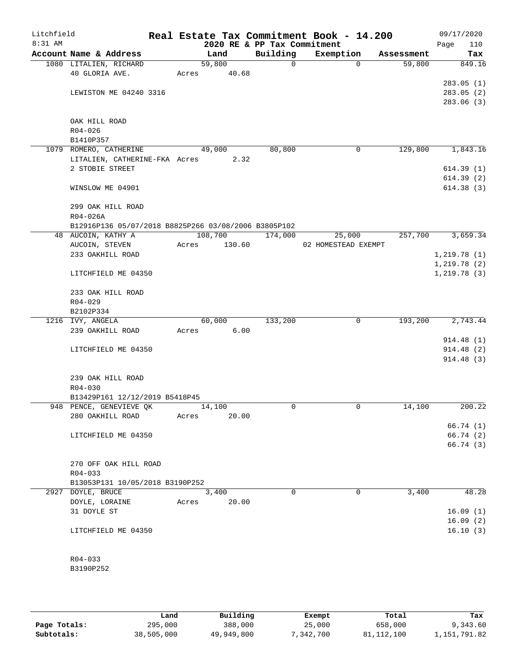| Litchfield<br>$8:31$ AM |                                                      |       |        |         | 2020 RE & PP Tax Commitment | Real Estate Tax Commitment Book - 14.200 |            | 09/17/2020<br>110<br>Page |
|-------------------------|------------------------------------------------------|-------|--------|---------|-----------------------------|------------------------------------------|------------|---------------------------|
|                         | Account Name & Address                               |       | Land   |         | Building                    | Exemption                                | Assessment | Tax                       |
|                         | 1080 LITALIEN, RICHARD                               |       | 59,800 |         | $\mathsf{O}$                | $\Omega$                                 | 59,800     | 849.16                    |
|                         | 40 GLORIA AVE.                                       | Acres |        | 40.68   |                             |                                          |            |                           |
|                         |                                                      |       |        |         |                             |                                          |            | 283.05(1)                 |
|                         | LEWISTON ME 04240 3316                               |       |        |         |                             |                                          |            | 283.05(2)                 |
|                         |                                                      |       |        |         |                             |                                          |            | 283.06(3)                 |
|                         |                                                      |       |        |         |                             |                                          |            |                           |
|                         | OAK HILL ROAD                                        |       |        |         |                             |                                          |            |                           |
|                         | $R04 - 026$                                          |       |        |         |                             |                                          |            |                           |
|                         | B1410P357                                            |       |        |         |                             |                                          |            |                           |
|                         | 1079 ROMERO, CATHERINE                               |       | 49,000 |         | 80,800                      | 0                                        | 129,800    | 1,843.16                  |
|                         | LITALIEN, CATHERINE-FKA Acres                        |       |        | 2.32    |                             |                                          |            |                           |
|                         | 2 STOBIE STREET                                      |       |        |         |                             |                                          |            | 614.39(1)<br>614.39(2)    |
|                         | WINSLOW ME 04901                                     |       |        |         |                             |                                          |            | 614.38(3)                 |
|                         |                                                      |       |        |         |                             |                                          |            |                           |
|                         | 299 OAK HILL ROAD                                    |       |        |         |                             |                                          |            |                           |
|                         | $R04 - 026A$                                         |       |        |         |                             |                                          |            |                           |
|                         | B12916P136 05/07/2018 B8825P266 03/08/2006 B3805P102 |       |        |         |                             |                                          |            |                           |
|                         | 48 AUCOIN, KATHY A                                   |       |        | 108,700 | 174,000                     | 25,000                                   | 257,700    | 3,659.34                  |
|                         | AUCOIN, STEVEN                                       | Acres |        | 130.60  |                             | 02 HOMESTEAD EXEMPT                      |            |                           |
|                         | 233 OAKHILL ROAD                                     |       |        |         |                             |                                          |            | 1,219.78(1)               |
|                         |                                                      |       |        |         |                             |                                          |            | 1, 219.78(2)              |
|                         | LITCHFIELD ME 04350                                  |       |        |         |                             |                                          |            | 1, 219.78(3)              |
|                         | 233 OAK HILL ROAD                                    |       |        |         |                             |                                          |            |                           |
|                         | $R04 - 029$                                          |       |        |         |                             |                                          |            |                           |
|                         | B2102P334                                            |       |        |         |                             |                                          |            |                           |
|                         | 1216 IVY, ANGELA                                     |       | 60,000 |         | 133,200                     | 0                                        | 193,200    | 2,743.44                  |
|                         | 239 OAKHILL ROAD                                     | Acres |        | 6.00    |                             |                                          |            |                           |
|                         |                                                      |       |        |         |                             |                                          |            | 914.48 (1)                |
|                         | LITCHFIELD ME 04350                                  |       |        |         |                             |                                          |            | 914.48 (2)                |
|                         |                                                      |       |        |         |                             |                                          |            | 914.48 (3)                |
|                         | 239 OAK HILL ROAD                                    |       |        |         |                             |                                          |            |                           |
|                         | $R04 - 030$                                          |       |        |         |                             |                                          |            |                           |
|                         | B13429P161 12/12/2019 B5418P45                       |       |        |         |                             |                                          |            |                           |
|                         | 948 PENCE, GENEVIEVE QK                              |       | 14,100 |         | 0                           | 0                                        | 14,100     | 200.22                    |
|                         | 280 OAKHILL ROAD                                     | Acres |        | 20.00   |                             |                                          |            |                           |
|                         |                                                      |       |        |         |                             |                                          |            | 66.74 (1)                 |
|                         | LITCHFIELD ME 04350                                  |       |        |         |                             |                                          |            | 66.74(2)                  |
|                         |                                                      |       |        |         |                             |                                          |            | 66.74(3)                  |
|                         |                                                      |       |        |         |                             |                                          |            |                           |
|                         | 270 OFF OAK HILL ROAD                                |       |        |         |                             |                                          |            |                           |
|                         | $R04 - 033$                                          |       |        |         |                             |                                          |            |                           |
|                         | B13053P131 10/05/2018 B3190P252                      |       |        |         |                             |                                          |            |                           |
|                         | 2927 DOYLE, BRUCE                                    |       | 3,400  |         | $\Omega$                    | 0                                        | 3,400      | 48.28                     |
|                         | DOYLE, LORAINE                                       | Acres |        | 20.00   |                             |                                          |            |                           |
|                         | 31 DOYLE ST                                          |       |        |         |                             |                                          |            | 16.09(1)                  |
|                         |                                                      |       |        |         |                             |                                          |            | 16.09(2)                  |
|                         | LITCHFIELD ME 04350                                  |       |        |         |                             |                                          |            | 16.10(3)                  |
|                         | $R04 - 033$                                          |       |        |         |                             |                                          |            |                           |
|                         | B3190P252                                            |       |        |         |                             |                                          |            |                           |
|                         |                                                      |       |        |         |                             |                                          |            |                           |
|                         |                                                      |       |        |         |                             |                                          |            |                           |

**Page Totals:** 295,000 388,000 25,000 658,000 9,343.60<br>**295,000 51,112,100** 58,000 38,505,000 49,949,800 7,342,700 81,112,100 1,151,791.82 **Subtotals:** 38,505,000 49,949,800 7,342,700 81,112,100 1,151,791.82 **Land Building Exempt Total Tax**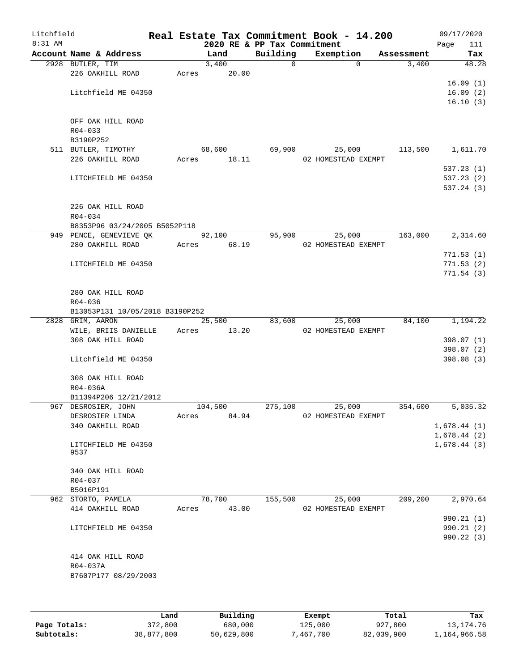| Litchfield<br>8:31 AM |                                                          |       |         | 2020 RE & PP Tax Commitment | Real Estate Tax Commitment Book - 14.200 |            | 09/17/2020<br>Page<br>111 |
|-----------------------|----------------------------------------------------------|-------|---------|-----------------------------|------------------------------------------|------------|---------------------------|
|                       | Account Name & Address                                   |       | Land    | Building                    | Exemption                                | Assessment | Tax                       |
|                       | 2928 BUTLER, TIM                                         |       | 3,400   | $\Omega$                    | $\Omega$                                 | 3,400      | 48.28                     |
|                       | 226 OAKHILL ROAD                                         | Acres | 20.00   |                             |                                          |            |                           |
|                       |                                                          |       |         |                             |                                          |            | 16.09(1)                  |
|                       | Litchfield ME 04350                                      |       |         |                             |                                          |            | 16.09(2)                  |
|                       |                                                          |       |         |                             |                                          |            | 16.10(3)                  |
|                       |                                                          |       |         |                             |                                          |            |                           |
|                       | OFF OAK HILL ROAD                                        |       |         |                             |                                          |            |                           |
|                       | $R04 - 033$                                              |       |         |                             |                                          |            |                           |
|                       | B3190P252                                                |       |         |                             |                                          |            |                           |
|                       | 511 BUTLER, TIMOTHY                                      |       | 68,600  | 69,900                      | 25,000                                   | 113,500    | 1,611.70                  |
|                       | 226 OAKHILL ROAD                                         | Acres | 18.11   |                             | 02 HOMESTEAD EXEMPT                      |            |                           |
|                       |                                                          |       |         |                             |                                          |            | 537.23(1)                 |
|                       | LITCHFIELD ME 04350                                      |       |         |                             |                                          |            | 537.23(2)                 |
|                       |                                                          |       |         |                             |                                          |            | 537.24 (3)                |
|                       |                                                          |       |         |                             |                                          |            |                           |
|                       | 226 OAK HILL ROAD                                        |       |         |                             |                                          |            |                           |
|                       | $R04 - 034$                                              |       |         |                             |                                          |            |                           |
|                       | B8353P96 03/24/2005 B5052P118<br>949 PENCE, GENEVIEVE QK |       | 92,100  | 95,900                      | 25,000                                   | 163,000    | 2,314.60                  |
|                       | 280 OAKHILL ROAD                                         | Acres | 68.19   |                             | 02 HOMESTEAD EXEMPT                      |            |                           |
|                       |                                                          |       |         |                             |                                          |            | 771.53(1)                 |
|                       | LITCHFIELD ME 04350                                      |       |         |                             |                                          |            | 771.53(2)                 |
|                       |                                                          |       |         |                             |                                          |            | 771.54(3)                 |
|                       |                                                          |       |         |                             |                                          |            |                           |
|                       | 280 OAK HILL ROAD                                        |       |         |                             |                                          |            |                           |
|                       | R04-036                                                  |       |         |                             |                                          |            |                           |
|                       | B13053P131 10/05/2018 B3190P252                          |       |         |                             |                                          |            |                           |
|                       | 2828 GRIM, AARON                                         |       | 25,500  | 83,600                      | 25,000                                   | 84,100     | 1,194.22                  |
|                       | WILE, BRIIS DANIELLE                                     | Acres | 13.20   |                             | 02 HOMESTEAD EXEMPT                      |            |                           |
|                       | 308 OAK HILL ROAD                                        |       |         |                             |                                          |            | 398.07 (1)                |
|                       |                                                          |       |         |                             |                                          |            | 398.07 (2)                |
|                       | Litchfield ME 04350                                      |       |         |                             |                                          |            | 398.08(3)                 |
|                       |                                                          |       |         |                             |                                          |            |                           |
|                       | 308 OAK HILL ROAD                                        |       |         |                             |                                          |            |                           |
|                       | R04-036A                                                 |       |         |                             |                                          |            |                           |
|                       | B11394P206 12/21/2012                                    |       |         |                             |                                          |            |                           |
|                       | 967 DESROSIER, JOHN                                      |       | 104,500 | 275,100                     | 25,000                                   | 354,600    | 5,035.32                  |
|                       | DESROSIER LINDA                                          | Acres | 84.94   |                             | 02 HOMESTEAD EXEMPT                      |            |                           |
|                       | 340 OAKHILL ROAD                                         |       |         |                             |                                          |            | 1,678.44(1)               |
|                       |                                                          |       |         |                             |                                          |            | 1,678.44(2)               |
|                       | LITCHFIELD ME 04350                                      |       |         |                             |                                          |            | 1,678.44(3)               |
|                       | 9537                                                     |       |         |                             |                                          |            |                           |
|                       |                                                          |       |         |                             |                                          |            |                           |
|                       | 340 OAK HILL ROAD<br>R04-037                             |       |         |                             |                                          |            |                           |
|                       | B5016P191                                                |       |         |                             |                                          |            |                           |
|                       | 962 STORTO, PAMELA                                       |       | 78,700  | 155,500                     | 25,000                                   | 209,200    | 2,970.64                  |
|                       | 414 OAKHILL ROAD                                         | Acres | 43.00   |                             | 02 HOMESTEAD EXEMPT                      |            |                           |
|                       |                                                          |       |         |                             |                                          |            | 990.21 (1)                |
|                       | LITCHFIELD ME 04350                                      |       |         |                             |                                          |            | 990.21(2)                 |
|                       |                                                          |       |         |                             |                                          |            | 990.22 (3)                |
|                       |                                                          |       |         |                             |                                          |            |                           |
|                       | 414 OAK HILL ROAD                                        |       |         |                             |                                          |            |                           |
|                       | R04-037A                                                 |       |         |                             |                                          |            |                           |
|                       | B7607P177 08/29/2003                                     |       |         |                             |                                          |            |                           |
|                       |                                                          |       |         |                             |                                          |            |                           |
|                       |                                                          |       |         |                             |                                          |            |                           |
|                       |                                                          |       |         |                             |                                          |            |                           |

|              | Land       | Building   | Exempt    | Total      | Tax          |
|--------------|------------|------------|-----------|------------|--------------|
| Page Totals: | 372,800    | 680,000    | 125,000   | 927,800    | 13, 174. 76  |
| Subtotals:   | 38,877,800 | 50,629,800 | 467,700 ' | 82,039,900 | 1,164,966.58 |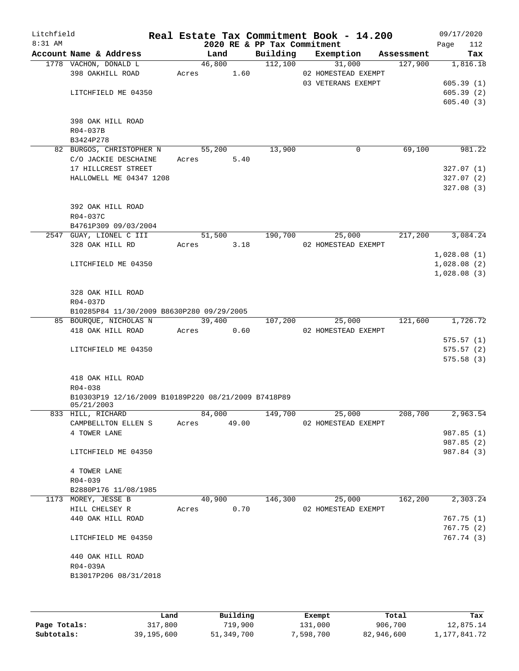| Litchfield<br>8:31 AM |                                                     |       |        |       | 2020 RE & PP Tax Commitment | Real Estate Tax Commitment Book - 14.200 |            | 09/17/2020<br>112<br>Page |
|-----------------------|-----------------------------------------------------|-------|--------|-------|-----------------------------|------------------------------------------|------------|---------------------------|
|                       | Account Name & Address                              |       | Land   |       | Building                    | Exemption                                | Assessment | Tax                       |
|                       | 1778 VACHON, DONALD L                               |       | 46,800 |       | 112,100                     | 31,000                                   | 127,900    | 1,816.18                  |
|                       | 398 OAKHILL ROAD                                    | Acres |        | 1.60  |                             | 02 HOMESTEAD EXEMPT                      |            |                           |
|                       |                                                     |       |        |       |                             | 03 VETERANS EXEMPT                       |            | 605.39(1)                 |
|                       | LITCHFIELD ME 04350                                 |       |        |       |                             |                                          |            | 605.39(2)                 |
|                       |                                                     |       |        |       |                             |                                          |            | 605.40(3)                 |
|                       | 398 OAK HILL ROAD                                   |       |        |       |                             |                                          |            |                           |
|                       | R04-037B                                            |       |        |       |                             |                                          |            |                           |
|                       | B3424P278                                           |       |        |       |                             |                                          |            |                           |
|                       | 82 BURGOS, CHRISTOPHER N                            |       | 55,200 |       | 13,900                      | 0                                        | 69,100     | 981.22                    |
|                       | C/O JACKIE DESCHAINE                                | Acres |        | 5.40  |                             |                                          |            |                           |
|                       | 17 HILLCREST STREET                                 |       |        |       |                             |                                          |            | 327.07(1)                 |
|                       | HALLOWELL ME 04347 1208                             |       |        |       |                             |                                          |            | 327.07(2)                 |
|                       |                                                     |       |        |       |                             |                                          |            | 327.08(3)                 |
|                       |                                                     |       |        |       |                             |                                          |            |                           |
|                       | 392 OAK HILL ROAD                                   |       |        |       |                             |                                          |            |                           |
|                       | R04-037C                                            |       |        |       |                             |                                          |            |                           |
|                       | B4761P309 09/03/2004                                |       |        |       |                             |                                          |            |                           |
|                       | 2547 GUAY, LIONEL C III                             |       | 51,500 |       | 190,700                     | 25,000                                   | 217,200    | 3,084.24                  |
|                       | 328 OAK HILL RD                                     | Acres |        | 3.18  |                             | 02 HOMESTEAD EXEMPT                      |            |                           |
|                       |                                                     |       |        |       |                             |                                          |            | 1,028.08(1)               |
|                       | LITCHFIELD ME 04350                                 |       |        |       |                             |                                          |            | 1,028.08(2)               |
|                       |                                                     |       |        |       |                             |                                          |            | 1,028.08(3)               |
|                       |                                                     |       |        |       |                             |                                          |            |                           |
|                       | 328 OAK HILL ROAD                                   |       |        |       |                             |                                          |            |                           |
|                       | R04-037D                                            |       |        |       |                             |                                          |            |                           |
|                       | B10285P84 11/30/2009 B8630P280 09/29/2005           |       |        |       |                             |                                          |            |                           |
|                       | 85 BOURQUE, NICHOLAS N                              |       | 39,400 |       | 107,200                     | 25,000                                   | 121,600    | 1,726.72                  |
|                       | 418 OAK HILL ROAD                                   | Acres |        | 0.60  |                             | 02 HOMESTEAD EXEMPT                      |            |                           |
|                       |                                                     |       |        |       |                             |                                          |            | 575.57(1)                 |
|                       | LITCHFIELD ME 04350                                 |       |        |       |                             |                                          |            | 575.57(2)                 |
|                       |                                                     |       |        |       |                             |                                          |            | 575.58(3)                 |
|                       |                                                     |       |        |       |                             |                                          |            |                           |
|                       | 418 OAK HILL ROAD                                   |       |        |       |                             |                                          |            |                           |
|                       | $R04 - 038$                                         |       |        |       |                             |                                          |            |                           |
|                       | B10303P19 12/16/2009 B10189P220 08/21/2009 B7418P89 |       |        |       |                             |                                          |            |                           |
|                       | 05/21/2003<br>833 HILL, RICHARD                     |       | 84,000 |       | 149,700                     | 25,000                                   | 208,700    | 2,963.54                  |
|                       | CAMPBELLTON ELLEN S                                 | Acres |        | 49.00 |                             | 02 HOMESTEAD EXEMPT                      |            |                           |
|                       | 4 TOWER LANE                                        |       |        |       |                             |                                          |            | 987.85 (1)                |
|                       |                                                     |       |        |       |                             |                                          |            | 987.85 (2)                |
|                       | LITCHFIELD ME 04350                                 |       |        |       |                             |                                          |            | 987.84 (3)                |
|                       |                                                     |       |        |       |                             |                                          |            |                           |
|                       | 4 TOWER LANE                                        |       |        |       |                             |                                          |            |                           |
|                       | R04-039                                             |       |        |       |                             |                                          |            |                           |
|                       | B2880P176 11/08/1985                                |       |        |       |                             |                                          |            |                           |
|                       | 1173 MOREY, JESSE B                                 |       | 40,900 |       | 146,300                     | 25,000                                   | 162,200    | 2,303.24                  |
|                       | HILL CHELSEY R                                      | Acres |        | 0.70  |                             | 02 HOMESTEAD EXEMPT                      |            |                           |
|                       | 440 OAK HILL ROAD                                   |       |        |       |                             |                                          |            | 767.75(1)                 |
|                       |                                                     |       |        |       |                             |                                          |            | 767.75(2)                 |
|                       | LITCHFIELD ME 04350                                 |       |        |       |                             |                                          |            | 767.74(3)                 |
|                       |                                                     |       |        |       |                             |                                          |            |                           |
|                       | 440 OAK HILL ROAD                                   |       |        |       |                             |                                          |            |                           |
|                       | R04-039A                                            |       |        |       |                             |                                          |            |                           |
|                       | B13017P206 08/31/2018                               |       |        |       |                             |                                          |            |                           |
|                       |                                                     |       |        |       |                             |                                          |            |                           |
|                       |                                                     |       |        |       |                             |                                          |            |                           |
|                       |                                                     |       |        |       |                             |                                          |            |                           |

|              | Land       | Building   | Exempt    | Total      | Tax          |
|--------------|------------|------------|-----------|------------|--------------|
| Page Totals: | 317,800    | 719,900    | 131,000   | 906,700    | 12,875.14    |
| Subtotals:   | 39,195,600 | 51,349,700 | 7,598,700 | 82,946,600 | 1,177,841.72 |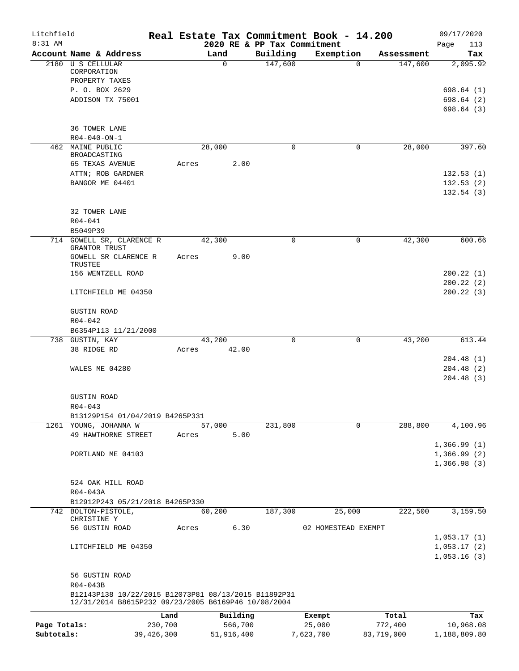| Litchfield<br>8:31 AM |                                                                                                             |            |       |          |            |                                         | Real Estate Tax Commitment Book - 14.200 |             |            | 09/17/2020                                |
|-----------------------|-------------------------------------------------------------------------------------------------------------|------------|-------|----------|------------|-----------------------------------------|------------------------------------------|-------------|------------|-------------------------------------------|
|                       | Account Name & Address                                                                                      |            |       | Land     |            | 2020 RE & PP Tax Commitment<br>Building | Exemption                                |             | Assessment | 113<br>Page<br>Tax                        |
|                       | 2180 U S CELLULAR                                                                                           |            |       | $\Omega$ |            | 147,600                                 |                                          | $\mathbf 0$ | 147,600    | 2,095.92                                  |
|                       | CORPORATION<br>PROPERTY TAXES                                                                               |            |       |          |            |                                         |                                          |             |            |                                           |
|                       | P. O. BOX 2629                                                                                              |            |       |          |            |                                         |                                          |             |            | 698.64 (1)                                |
|                       | ADDISON TX 75001                                                                                            |            |       |          |            |                                         |                                          |             |            | 698.64(2)<br>698.64(3)                    |
|                       | 36 TOWER LANE                                                                                               |            |       |          |            |                                         |                                          |             |            |                                           |
|                       | $R04 - 040 - ON - 1$                                                                                        |            |       |          |            |                                         |                                          |             |            |                                           |
|                       | 462 MAINE PUBLIC<br>BROADCASTING                                                                            |            |       | 28,000   |            | 0                                       |                                          | $\mathbf 0$ | 28,000     | 397.60                                    |
|                       | 65 TEXAS AVENUE<br>ATTN; ROB GARDNER                                                                        |            | Acres |          | 2.00       |                                         |                                          |             |            | 132.53(1)                                 |
|                       | BANGOR ME 04401                                                                                             |            |       |          |            |                                         |                                          |             |            | 132.53(2)                                 |
|                       |                                                                                                             |            |       |          |            |                                         |                                          |             |            | 132.54(3)                                 |
|                       | 32 TOWER LANE                                                                                               |            |       |          |            |                                         |                                          |             |            |                                           |
|                       | $R04 - 041$<br>B5049P39                                                                                     |            |       |          |            |                                         |                                          |             |            |                                           |
|                       | 714 GOWELL SR, CLARENCE R                                                                                   |            |       | 42,300   |            | $\Omega$                                |                                          | $\mathbf 0$ | 42,300     | 600.66                                    |
|                       | GRANTOR TRUST<br>GOWELL SR CLARENCE R                                                                       |            | Acres |          | 9.00       |                                         |                                          |             |            |                                           |
|                       | TRUSTEE<br>156 WENTZELL ROAD                                                                                |            |       |          |            |                                         |                                          |             |            | 200.22(1)                                 |
|                       | LITCHFIELD ME 04350                                                                                         |            |       |          |            |                                         |                                          |             |            | 200.22(2)<br>200.22(3)                    |
|                       |                                                                                                             |            |       |          |            |                                         |                                          |             |            |                                           |
|                       | <b>GUSTIN ROAD</b>                                                                                          |            |       |          |            |                                         |                                          |             |            |                                           |
|                       | $R04 - 042$                                                                                                 |            |       |          |            |                                         |                                          |             |            |                                           |
|                       | B6354P113 11/21/2000<br>738 GUSTIN, KAY                                                                     |            |       | 43,200   |            | $\Omega$                                |                                          | $\mathbf 0$ | 43,200     | 613.44                                    |
|                       | 38 RIDGE RD                                                                                                 |            | Acres |          | 42.00      |                                         |                                          |             |            |                                           |
|                       |                                                                                                             |            |       |          |            |                                         |                                          |             |            | 204.48(1)                                 |
|                       | WALES ME 04280                                                                                              |            |       |          |            |                                         |                                          |             |            | 204.48(2)                                 |
|                       |                                                                                                             |            |       |          |            |                                         |                                          |             |            | 204.48(3)                                 |
|                       | <b>GUSTIN ROAD</b>                                                                                          |            |       |          |            |                                         |                                          |             |            |                                           |
|                       | $R04 - 043$                                                                                                 |            |       |          |            |                                         |                                          |             |            |                                           |
|                       | B13129P154 01/04/2019 B4265P331                                                                             |            |       |          |            |                                         |                                          |             |            |                                           |
|                       | 1261 YOUNG, JOHANNA W<br>49 HAWTHORNE STREET                                                                |            |       | 57,000   | 5.00       | 231,800                                 |                                          | $\Omega$    | 288,800    | 4,100.96                                  |
|                       |                                                                                                             |            | Acres |          |            |                                         |                                          |             |            | 1,366.99(1)                               |
|                       | PORTLAND ME 04103                                                                                           |            |       |          |            |                                         |                                          |             |            | 1,366.99(2)<br>1,366.98(3)                |
|                       | 524 OAK HILL ROAD                                                                                           |            |       |          |            |                                         |                                          |             |            |                                           |
|                       | R04-043A                                                                                                    |            |       |          |            |                                         |                                          |             |            |                                           |
|                       | B12912P243 05/21/2018 B4265P330                                                                             |            |       |          |            |                                         |                                          |             |            |                                           |
|                       | 742 BOLTON-PISTOLE,<br>CHRISTINE Y                                                                          |            |       | 60,200   |            | 187,300                                 | 25,000                                   |             | 222,500    | 3,159.50                                  |
|                       | 56 GUSTIN ROAD                                                                                              |            | Acres |          | 6.30       |                                         | 02 HOMESTEAD EXEMPT                      |             |            |                                           |
|                       | LITCHFIELD ME 04350                                                                                         |            |       |          |            |                                         |                                          |             |            | 1,053.17(1)<br>1,053.17(2)<br>1,053.16(3) |
|                       | 56 GUSTIN ROAD                                                                                              |            |       |          |            |                                         |                                          |             |            |                                           |
|                       | R04-043B                                                                                                    |            |       |          |            |                                         |                                          |             |            |                                           |
|                       | B12143P138 10/22/2015 B12073P81 08/13/2015 B11892P31<br>12/31/2014 B8615P232 09/23/2005 B6169P46 10/08/2004 |            |       |          |            |                                         |                                          |             |            |                                           |
|                       |                                                                                                             | Land       |       |          | Building   |                                         | Exempt                                   |             | Total      | Tax                                       |
| Page Totals:          |                                                                                                             | 230,700    |       |          | 566,700    |                                         | 25,000                                   |             | 772,400    | 10,968.08                                 |
| Subtotals:            |                                                                                                             | 39,426,300 |       |          | 51,916,400 |                                         | 7,623,700                                |             | 83,719,000 | 1,188,809.80                              |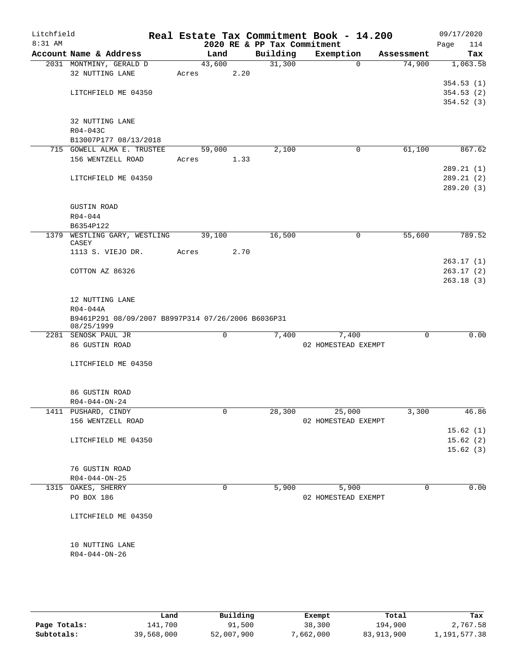| Litchfield<br>8:31 AM |                                                    |        |             | 2020 RE & PP Tax Commitment | Real Estate Tax Commitment Book - 14.200 |            | 09/17/2020<br>Page<br>114 |
|-----------------------|----------------------------------------------------|--------|-------------|-----------------------------|------------------------------------------|------------|---------------------------|
|                       | Account Name & Address                             | Land   |             | Building                    | Exemption                                | Assessment | Tax                       |
|                       | 2031 MONTMINY, GERALD D                            | 43,600 |             | 31,300                      | 0                                        | 74,900     | 1,063.58                  |
|                       | 32 NUTTING LANE                                    | Acres  | 2.20        |                             |                                          |            |                           |
|                       |                                                    |        |             |                             |                                          |            | 354.53(1)                 |
|                       | LITCHFIELD ME 04350                                |        |             |                             |                                          |            | 354.53(2)                 |
|                       |                                                    |        |             |                             |                                          |            | 354.52(3)                 |
|                       |                                                    |        |             |                             |                                          |            |                           |
|                       | 32 NUTTING LANE                                    |        |             |                             |                                          |            |                           |
|                       | R04-043C                                           |        |             |                             |                                          |            |                           |
|                       | B13007P177 08/13/2018                              |        |             |                             |                                          |            |                           |
|                       | 715 GOWELL ALMA E. TRUSTEE                         | 59,000 |             | 2,100                       | 0                                        | 61,100     | 867.62                    |
|                       | 156 WENTZELL ROAD                                  | Acres  | 1.33        |                             |                                          |            |                           |
|                       |                                                    |        |             |                             |                                          |            | 289.21(1)                 |
|                       | LITCHFIELD ME 04350                                |        |             |                             |                                          |            | 289.21(2)                 |
|                       |                                                    |        |             |                             |                                          |            | 289.20 (3)                |
|                       |                                                    |        |             |                             |                                          |            |                           |
|                       | <b>GUSTIN ROAD</b>                                 |        |             |                             |                                          |            |                           |
|                       | $R04 - 044$<br>B6354P122                           |        |             |                             |                                          |            |                           |
|                       | 1379 WESTLING GARY, WESTLING                       | 39,100 |             | 16,500                      | 0                                        | 55,600     | 789.52                    |
|                       | CASEY                                              |        |             |                             |                                          |            |                           |
|                       | 1113 S. VIEJO DR.                                  | Acres  | 2.70        |                             |                                          |            |                           |
|                       |                                                    |        |             |                             |                                          |            | 263.17(1)                 |
|                       | COTTON AZ 86326                                    |        |             |                             |                                          |            | 263.17(2)                 |
|                       |                                                    |        |             |                             |                                          |            | 263.18(3)                 |
|                       |                                                    |        |             |                             |                                          |            |                           |
|                       | 12 NUTTING LANE                                    |        |             |                             |                                          |            |                           |
|                       | $R04 - 044A$                                       |        |             |                             |                                          |            |                           |
|                       | B9461P291 08/09/2007 B8997P314 07/26/2006 B6036P31 |        |             |                             |                                          |            |                           |
|                       | 08/25/1999<br>2281 SENOSK PAUL JR                  |        | 0           | 7,400                       | 7,400                                    | 0          | 0.00                      |
|                       | 86 GUSTIN ROAD                                     |        |             |                             | 02 HOMESTEAD EXEMPT                      |            |                           |
|                       |                                                    |        |             |                             |                                          |            |                           |
|                       | LITCHFIELD ME 04350                                |        |             |                             |                                          |            |                           |
|                       |                                                    |        |             |                             |                                          |            |                           |
|                       |                                                    |        |             |                             |                                          |            |                           |
|                       | 86 GUSTIN ROAD                                     |        |             |                             |                                          |            |                           |
|                       | $R04 - 044 - ON - 24$                              |        |             |                             |                                          |            |                           |
|                       | 1411 PUSHARD, CINDY                                |        | 0           | 28,300                      | 25,000                                   | 3,300      | 46.86                     |
|                       | 156 WENTZELL ROAD                                  |        |             |                             | 02 HOMESTEAD EXEMPT                      |            |                           |
|                       |                                                    |        |             |                             |                                          |            | 15.62(1)                  |
|                       | LITCHFIELD ME 04350                                |        |             |                             |                                          |            | 15.62(2)                  |
|                       |                                                    |        |             |                             |                                          |            | 15.62(3)                  |
|                       |                                                    |        |             |                             |                                          |            |                           |
|                       | 76 GUSTIN ROAD                                     |        |             |                             |                                          |            |                           |
|                       | $R04 - 044 - ON - 25$                              |        |             |                             |                                          |            |                           |
|                       | 1315 OAKES, SHERRY                                 |        | $\mathbf 0$ | 5,900                       | 5,900                                    | $\Omega$   | 0.00                      |
|                       | PO BOX 186                                         |        |             |                             | 02 HOMESTEAD EXEMPT                      |            |                           |
|                       |                                                    |        |             |                             |                                          |            |                           |
|                       | LITCHFIELD ME 04350                                |        |             |                             |                                          |            |                           |
|                       |                                                    |        |             |                             |                                          |            |                           |
|                       | 10 NUTTING LANE                                    |        |             |                             |                                          |            |                           |
|                       | R04-044-ON-26                                      |        |             |                             |                                          |            |                           |
|                       |                                                    |        |             |                             |                                          |            |                           |
|                       |                                                    |        |             |                             |                                          |            |                           |
|                       |                                                    |        |             |                             |                                          |            |                           |

|              | Land       | Building   | Exempt    | Total      | Tax          |
|--------------|------------|------------|-----------|------------|--------------|
| Page Totals: | 141,700    | 91,500     | 38,300    | 194,900    | 2,767.58     |
| Subtotals:   | 39,568,000 | 52,007,900 | 7,662,000 | 83,913,900 | 1,191,577.38 |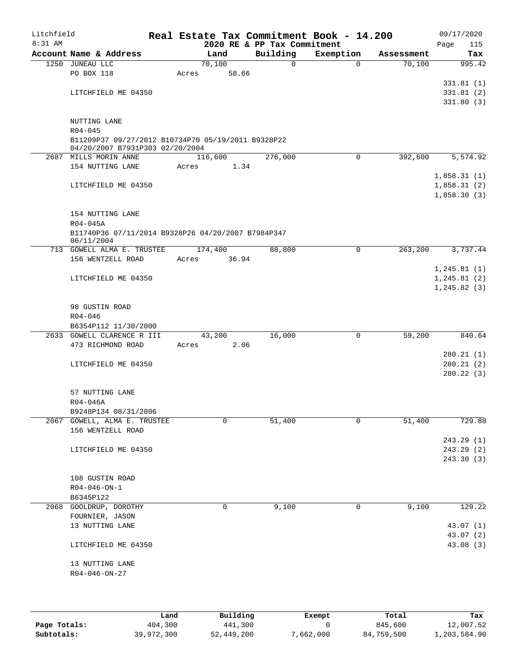| Litchfield |                                                                                       |       |                     |          | Real Estate Tax Commitment Book - 14.200 |            | 09/17/2020                  |
|------------|---------------------------------------------------------------------------------------|-------|---------------------|----------|------------------------------------------|------------|-----------------------------|
| 8:31 AM    |                                                                                       |       |                     |          | 2020 RE & PP Tax Commitment              |            | Page<br>115                 |
|            | Account Name & Address<br>1250 JUNEAU LLC                                             |       | Land<br>70,100      | Building | Exemption<br>$\mathbf 0$<br>$\Omega$     | Assessment | Tax                         |
|            | PO BOX 118                                                                            | Acres | 58.66               |          |                                          | 70,100     | 995.42                      |
|            |                                                                                       |       |                     |          |                                          |            | 331.81(1)                   |
|            | LITCHFIELD ME 04350                                                                   |       |                     |          |                                          |            | 331.81(2)                   |
|            |                                                                                       |       |                     |          |                                          |            | 331.80(3)                   |
|            | NUTTING LANE                                                                          |       |                     |          |                                          |            |                             |
|            | $R04 - 045$                                                                           |       |                     |          |                                          |            |                             |
|            | B11209P37 09/27/2012 B10734P70 05/19/2011 B9328P22<br>04/20/2007 B7931P303 02/20/2004 |       |                     |          |                                          |            |                             |
|            | 2687 MILLS MORIN ANNE                                                                 |       | 116,600             | 276,000  | $\Omega$                                 | 392,600    | 5,574.92                    |
|            | 154 NUTTING LANE                                                                      | Acres | 1.34                |          |                                          |            |                             |
|            |                                                                                       |       |                     |          |                                          |            | 1,858.31(1)                 |
|            | LITCHFIELD ME 04350                                                                   |       |                     |          |                                          |            | 1,858.31(2)                 |
|            |                                                                                       |       |                     |          |                                          |            | 1,858.30(3)                 |
|            | 154 NUTTING LANE                                                                      |       |                     |          |                                          |            |                             |
|            | R04-045A                                                                              |       |                     |          |                                          |            |                             |
|            | B11740P36 07/11/2014 B9328P26 04/20/2007 B7984P347<br>06/11/2004                      |       |                     |          |                                          |            |                             |
|            | 713 GOWELL ALMA E. TRUSTEE                                                            |       | 174,400             | 88,800   | $\mathbf 0$                              | 263,200    | 3,737.44                    |
|            | 156 WENTZELL ROAD                                                                     | Acres | 36.94               |          |                                          |            |                             |
|            |                                                                                       |       |                     |          |                                          |            | 1, 245.81(1)                |
|            | LITCHFIELD ME 04350                                                                   |       |                     |          |                                          |            | 1, 245.81(2)<br>1,245.82(3) |
|            |                                                                                       |       |                     |          |                                          |            |                             |
|            | 98 GUSTIN ROAD                                                                        |       |                     |          |                                          |            |                             |
|            | R04-046                                                                               |       |                     |          |                                          |            |                             |
|            | B6354P112 11/30/2000                                                                  |       |                     |          |                                          |            |                             |
|            | 2633 GOWELL CLARENCE R III                                                            |       | 43,200              | 16,000   | 0                                        | 59,200     | 840.64                      |
|            | 473 RICHMOND ROAD                                                                     | Acres | 2.06                |          |                                          |            |                             |
|            |                                                                                       |       |                     |          |                                          |            | 280.21(1)<br>280.21(2)      |
|            | LITCHFIELD ME 04350                                                                   |       |                     |          |                                          |            | 280.22(3)                   |
|            |                                                                                       |       |                     |          |                                          |            |                             |
|            | 57 NUTTING LANE                                                                       |       |                     |          |                                          |            |                             |
|            | $R04 - 046A$                                                                          |       |                     |          |                                          |            |                             |
|            | B9248P134 08/31/2006                                                                  |       |                     |          |                                          |            |                             |
|            | 2067 GOWELL, ALMA E. TRUSTEE                                                          |       | 0                   | 51,400   | 0                                        | 51,400     | 729.88                      |
|            | 156 WENTZELL ROAD                                                                     |       |                     |          |                                          |            |                             |
|            |                                                                                       |       |                     |          |                                          |            | 243.29 (1)                  |
|            | LITCHFIELD ME 04350                                                                   |       |                     |          |                                          |            | 243.29(2)<br>243.30(3)      |
|            |                                                                                       |       |                     |          |                                          |            |                             |
|            | 108 GUSTIN ROAD                                                                       |       |                     |          |                                          |            |                             |
|            | $R04 - 046 - ON - 1$                                                                  |       |                     |          |                                          |            |                             |
|            | B6345P122                                                                             |       |                     |          |                                          |            |                             |
|            | 2068 GOOLDRUP, DOROTHY                                                                |       | 0                   | 9,100    | 0                                        | 9,100      | 129.22                      |
|            | FOURNIER, JASON                                                                       |       |                     |          |                                          |            |                             |
|            | 13 NUTTING LANE                                                                       |       |                     |          |                                          |            | 43.07 (1)                   |
|            | LITCHFIELD ME 04350                                                                   |       |                     |          |                                          |            | 43.07 (2)<br>43.08 (3)      |
|            |                                                                                       |       |                     |          |                                          |            |                             |
|            | 13 NUTTING LANE                                                                       |       |                     |          |                                          |            |                             |
|            | $R04 - 046 - ON - 27$                                                                 |       |                     |          |                                          |            |                             |
|            |                                                                                       |       |                     |          |                                          |            |                             |
|            |                                                                                       |       |                     |          |                                          |            |                             |
|            |                                                                                       |       | <b>D.,; 1,4; .,</b> |          |                                          |            |                             |

|              | Land       | Building   | Exempt    | Total      | Tax          |
|--------------|------------|------------|-----------|------------|--------------|
| Page Totals: | 404,300    | 441,300    |           | 845,600    | 12,007.52    |
| Subtotals:   | 39,972,300 | 52,449,200 | 7,662,000 | 84,759,500 | 1,203,584.90 |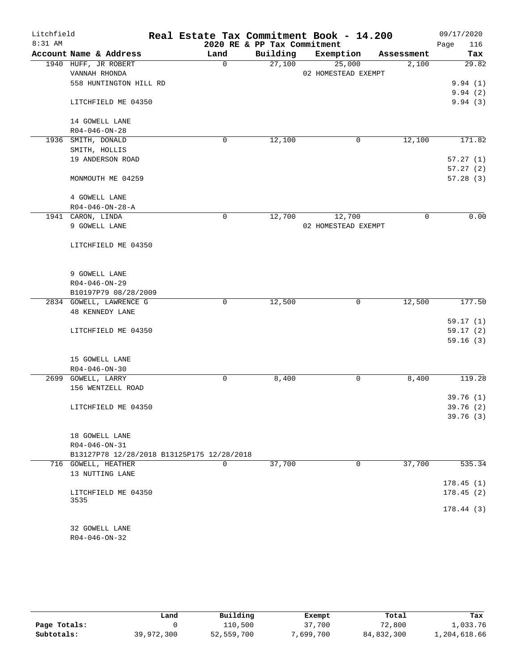| Litchfield |                                            | Real Estate Tax Commitment Book - 14.200 |                             |                     |            | 09/17/2020  |
|------------|--------------------------------------------|------------------------------------------|-----------------------------|---------------------|------------|-------------|
| 8:31 AM    |                                            |                                          | 2020 RE & PP Tax Commitment |                     |            | Page<br>116 |
|            | Account Name & Address                     | Land                                     | Building                    | Exemption           | Assessment | Tax         |
|            | 1940 HUFF, JR ROBERT                       | 0                                        | 27,100                      | 25,000              | 2,100      | 29.82       |
|            | VANNAH RHONDA                              |                                          |                             | 02 HOMESTEAD EXEMPT |            |             |
|            | 558 HUNTINGTON HILL RD                     |                                          |                             |                     |            | 9.94(1)     |
|            |                                            |                                          |                             |                     |            | 9.94(2)     |
|            | LITCHFIELD ME 04350                        |                                          |                             |                     |            | 9.94(3)     |
|            | 14 GOWELL LANE                             |                                          |                             |                     |            |             |
|            | $R04 - 046 - ON - 28$                      |                                          |                             |                     |            |             |
|            | 1936 SMITH, DONALD                         | 0                                        | 12,100                      | 0                   | 12,100     | 171.82      |
|            | SMITH, HOLLIS                              |                                          |                             |                     |            |             |
|            | 19 ANDERSON ROAD                           |                                          |                             |                     |            | 57.27(1)    |
|            |                                            |                                          |                             |                     |            | 57.27(2)    |
|            | MONMOUTH ME 04259                          |                                          |                             |                     |            | 57.28(3)    |
|            | 4 GOWELL LANE                              |                                          |                             |                     |            |             |
|            | $R04 - 046 - ON - 28 - A$                  |                                          |                             |                     |            |             |
|            | 1941 CARON, LINDA                          | $\mathbf 0$                              | 12,700                      | 12,700              | 0          | 0.00        |
|            | 9 GOWELL LANE                              |                                          |                             | 02 HOMESTEAD EXEMPT |            |             |
|            | LITCHFIELD ME 04350                        |                                          |                             |                     |            |             |
|            | 9 GOWELL LANE                              |                                          |                             |                     |            |             |
|            | $R04 - 046 - ON - 29$                      |                                          |                             |                     |            |             |
|            | B10197P79 08/28/2009                       |                                          |                             |                     |            |             |
|            | 2834 GOWELL, LAWRENCE G                    | 0                                        | 12,500                      | 0                   | 12,500     | 177.50      |
|            | <b>48 KENNEDY LANE</b>                     |                                          |                             |                     |            |             |
|            |                                            |                                          |                             |                     |            | 59.17(1)    |
|            | LITCHFIELD ME 04350                        |                                          |                             |                     |            | 59.17(2)    |
|            |                                            |                                          |                             |                     |            | 59.16(3)    |
|            | 15 GOWELL LANE                             |                                          |                             |                     |            |             |
|            | $R04 - 046 - ON - 30$                      |                                          |                             |                     |            |             |
|            | 2699 GOWELL, LARRY                         | 0                                        | 8,400                       | 0                   | 8,400      | 119.28      |
|            | 156 WENTZELL ROAD                          |                                          |                             |                     |            |             |
|            |                                            |                                          |                             |                     |            | 39.76(1)    |
|            | LITCHFIELD ME 04350                        |                                          |                             |                     |            | 39.76(2)    |
|            |                                            |                                          |                             |                     |            | 39.76 (3)   |
|            | 18 GOWELL LANE                             |                                          |                             |                     |            |             |
|            | R04-046-ON-31                              |                                          |                             |                     |            |             |
|            | B13127P78 12/28/2018 B13125P175 12/28/2018 |                                          |                             |                     |            |             |
|            | 716 GOWELL, HEATHER                        | $\mathbf 0$                              | 37,700                      | 0                   | 37,700     | 535.34      |
|            | 13 NUTTING LANE                            |                                          |                             |                     |            |             |
|            |                                            |                                          |                             |                     |            | 178.45(1)   |
|            | LITCHFIELD ME 04350                        |                                          |                             |                     |            | 178.45(2)   |
|            | 3535                                       |                                          |                             |                     |            |             |
|            |                                            |                                          |                             |                     |            | 178.44(3)   |
|            | 32 GOWELL LANE                             |                                          |                             |                     |            |             |
|            | $R04 - 046 - ON - 32$                      |                                          |                             |                     |            |             |

|              | Land       | Building   | Exempt    | Total      | Tax          |
|--------------|------------|------------|-----------|------------|--------------|
| Page Totals: |            | 110,500    | 37,700    | 72,800     | 1,033.76     |
| Subtotals:   | 39,972,300 | 52,559,700 | 7,699,700 | 84,832,300 | 1,204,618.66 |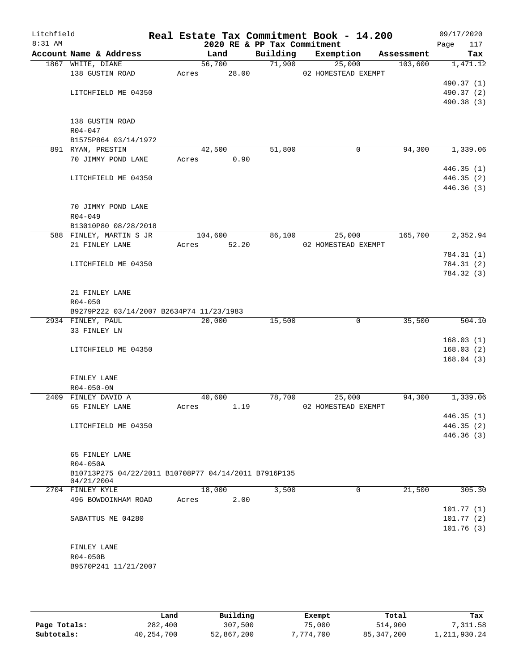| Litchfield<br>8:31 AM |                                                                  | 2020 RE & PP Tax Commitment |          | Real Estate Tax Commitment Book - 14.200 |            | 09/17/2020<br>Page<br>117 |
|-----------------------|------------------------------------------------------------------|-----------------------------|----------|------------------------------------------|------------|---------------------------|
|                       | Account Name & Address                                           | Land                        | Building | Exemption                                | Assessment | Tax                       |
|                       | 1867 WHITE, DIANE                                                | 56,700                      | 71,900   | 25,000                                   | 103,600    | 1,471.12                  |
|                       | 138 GUSTIN ROAD                                                  | 28.00<br>Acres              |          | 02 HOMESTEAD EXEMPT                      |            |                           |
|                       |                                                                  |                             |          |                                          |            | 490.37 (1)                |
|                       | LITCHFIELD ME 04350                                              |                             |          |                                          |            | 490.37 (2)                |
|                       |                                                                  |                             |          |                                          |            | 490.38 (3)                |
|                       |                                                                  |                             |          |                                          |            |                           |
|                       | 138 GUSTIN ROAD                                                  |                             |          |                                          |            |                           |
|                       | $R04 - 047$                                                      |                             |          |                                          |            |                           |
|                       | B1575P864 03/14/1972                                             |                             |          |                                          |            | 1,339.06                  |
|                       | 891 RYAN, PRESTIN                                                | 42,500                      | 51,800   | 0                                        | 94,300     |                           |
|                       | 70 JIMMY POND LANE                                               | 0.90<br>Acres               |          |                                          |            | 446.35(1)                 |
|                       | LITCHFIELD ME 04350                                              |                             |          |                                          |            | 446.35(2)                 |
|                       |                                                                  |                             |          |                                          |            | 446.36(3)                 |
|                       |                                                                  |                             |          |                                          |            |                           |
|                       | 70 JIMMY POND LANE                                               |                             |          |                                          |            |                           |
|                       | $R04 - 049$                                                      |                             |          |                                          |            |                           |
|                       | B13010P80 08/28/2018                                             |                             |          |                                          |            |                           |
|                       | 588 FINLEY, MARTIN S JR                                          | 104,600                     | 86,100   | 25,000                                   | 165,700    | 2,352.94                  |
|                       | 21 FINLEY LANE                                                   | 52.20<br>Acres              |          | 02 HOMESTEAD EXEMPT                      |            |                           |
|                       |                                                                  |                             |          |                                          |            | 784.31 (1)                |
|                       | LITCHFIELD ME 04350                                              |                             |          |                                          |            | 784.31 (2)                |
|                       |                                                                  |                             |          |                                          |            | 784.32 (3)                |
|                       |                                                                  |                             |          |                                          |            |                           |
|                       | 21 FINLEY LANE                                                   |                             |          |                                          |            |                           |
|                       | $R04 - 050$                                                      |                             |          |                                          |            |                           |
|                       | B9279P222 03/14/2007 B2634P74 11/23/1983                         |                             |          |                                          |            |                           |
|                       | 2934 FINLEY, PAUL<br>33 FINLEY LN                                | 20,000                      | 15,500   | $\mathbf{0}$                             | 35,500     | 504.10                    |
|                       |                                                                  |                             |          |                                          |            | 168.03(1)                 |
|                       | LITCHFIELD ME 04350                                              |                             |          |                                          |            | 168.03(2)                 |
|                       |                                                                  |                             |          |                                          |            | 168.04(3)                 |
|                       |                                                                  |                             |          |                                          |            |                           |
|                       | FINLEY LANE                                                      |                             |          |                                          |            |                           |
|                       | $R04 - 050 - 0N$                                                 |                             |          |                                          |            |                           |
|                       | 2409 FINLEY DAVID A                                              | 40,600                      | 78,700   | 25,000                                   | 94,300     | 1,339.06                  |
|                       | 65 FINLEY LANE                                                   | 1.19<br>Acres               |          | 02 HOMESTEAD EXEMPT                      |            |                           |
|                       |                                                                  |                             |          |                                          |            | 446.35(1)                 |
|                       | LITCHFIELD ME 04350                                              |                             |          |                                          |            | 446.35(2)                 |
|                       |                                                                  |                             |          |                                          |            | 446.36(3)                 |
|                       |                                                                  |                             |          |                                          |            |                           |
|                       | 65 FINLEY LANE                                                   |                             |          |                                          |            |                           |
|                       | R04-050A<br>B10713P275 04/22/2011 B10708P77 04/14/2011 B7916P135 |                             |          |                                          |            |                           |
|                       | 04/21/2004                                                       |                             |          |                                          |            |                           |
|                       | 2704 FINLEY KYLE                                                 | 18,000                      | 3,500    | 0                                        | 21,500     | 305.30                    |
|                       | 496 BOWDOINHAM ROAD                                              | 2.00<br>Acres               |          |                                          |            |                           |
|                       |                                                                  |                             |          |                                          |            | 101.77(1)                 |
|                       | SABATTUS ME 04280                                                |                             |          |                                          |            | 101.77(2)                 |
|                       |                                                                  |                             |          |                                          |            | 101.76(3)                 |
|                       |                                                                  |                             |          |                                          |            |                           |
|                       | FINLEY LANE                                                      |                             |          |                                          |            |                           |
|                       | R04-050B<br>B9570P241 11/21/2007                                 |                             |          |                                          |            |                           |
|                       |                                                                  |                             |          |                                          |            |                           |
|                       |                                                                  |                             |          |                                          |            |                           |

|              | Land       | Building   | Exempt    | Total        | Tax          |
|--------------|------------|------------|-----------|--------------|--------------|
| Page Totals: | 282,400    | 307,500    | 75,000    | 514,900      | 7,311.58     |
| Subtotals:   | 40,254,700 | 52,867,200 | 7,774,700 | 85, 347, 200 | 1,211,930.24 |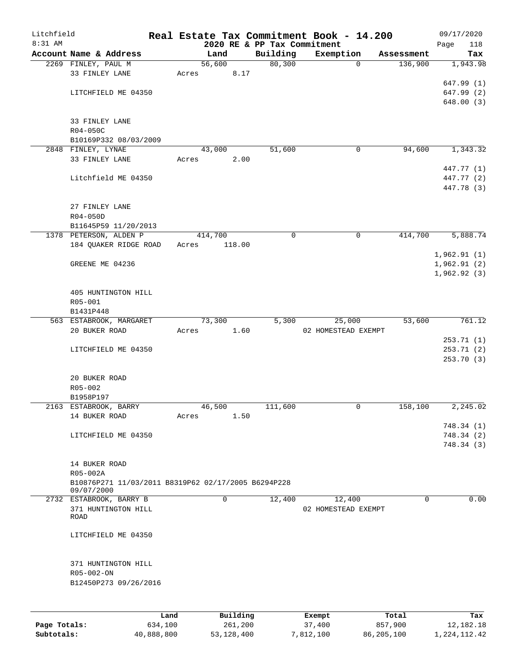| Litchfield |                                                                 |             |       |         |                                   |                             | Real Estate Tax Commitment Book - 14.200 |              |                       |      | 09/17/2020                 |
|------------|-----------------------------------------------------------------|-------------|-------|---------|-----------------------------------|-----------------------------|------------------------------------------|--------------|-----------------------|------|----------------------------|
| 8:31 AM    | Account Name & Address                                          |             |       | Land    |                                   | 2020 RE & PP Tax Commitment |                                          |              |                       | Page | 118                        |
|            | 2269 FINLEY, PAUL M                                             |             |       | 56,600  |                                   | Building<br>80, 300         | Exemption                                | $\mathbf 0$  | Assessment<br>136,900 |      | Tax<br>1,943.98            |
|            | 33 FINLEY LANE                                                  |             | Acres |         | 8.17                              |                             |                                          |              |                       |      |                            |
|            |                                                                 |             |       |         |                                   |                             |                                          |              |                       |      | 647.99(1)                  |
|            | LITCHFIELD ME 04350                                             |             |       |         |                                   |                             |                                          |              |                       |      | 647.99 (2)                 |
|            |                                                                 |             |       |         |                                   |                             |                                          |              |                       |      | 648.00 (3)                 |
|            |                                                                 |             |       |         |                                   |                             |                                          |              |                       |      |                            |
|            | 33 FINLEY LANE<br>R04-050C                                      |             |       |         |                                   |                             |                                          |              |                       |      |                            |
|            | B10169P332 08/03/2009                                           |             |       |         |                                   |                             |                                          |              |                       |      |                            |
|            | 2848 FINLEY, LYNAE                                              |             |       | 43,000  |                                   | 51,600                      |                                          | $\mathsf{O}$ | 94,600                |      | 1,343.32                   |
|            | 33 FINLEY LANE                                                  |             | Acres |         | 2.00                              |                             |                                          |              |                       |      |                            |
|            |                                                                 |             |       |         |                                   |                             |                                          |              |                       |      | 447.77 (1)                 |
|            | Litchfield ME 04350                                             |             |       |         |                                   |                             |                                          |              |                       |      | 447.77 (2)                 |
|            |                                                                 |             |       |         |                                   |                             |                                          |              |                       |      | 447.78 (3)                 |
|            | 27 FINLEY LANE                                                  |             |       |         |                                   |                             |                                          |              |                       |      |                            |
|            | R04-050D                                                        |             |       |         |                                   |                             |                                          |              |                       |      |                            |
|            | B11645P59 11/20/2013                                            |             |       |         |                                   |                             |                                          |              |                       |      |                            |
|            | 1378 PETERSON, ALDEN P                                          |             |       | 414,700 |                                   | 0                           |                                          | 0            | 414,700               |      | 5,888.74                   |
|            | 184 QUAKER RIDGE ROAD                                           |             | Acres |         | 118.00                            |                             |                                          |              |                       |      |                            |
|            |                                                                 |             |       |         |                                   |                             |                                          |              |                       |      | 1,962.91(1)                |
|            | GREENE ME 04236                                                 |             |       |         |                                   |                             |                                          |              |                       |      | 1,962.91(2)<br>1,962.92(3) |
|            |                                                                 |             |       |         |                                   |                             |                                          |              |                       |      |                            |
|            | 405 HUNTINGTON HILL                                             |             |       |         |                                   |                             |                                          |              |                       |      |                            |
|            | $R05 - 001$                                                     |             |       |         |                                   |                             |                                          |              |                       |      |                            |
|            | B1431P448                                                       |             |       |         |                                   |                             |                                          |              |                       |      |                            |
|            | 563 ESTABROOK, MARGARET                                         |             |       | 73,300  |                                   | 5,300                       | 25,000                                   |              | 53,600                |      | 761.12                     |
|            | 20 BUKER ROAD                                                   |             | Acres |         | 1.60                              |                             | 02 HOMESTEAD EXEMPT                      |              |                       |      |                            |
|            | LITCHFIELD ME 04350                                             |             |       |         |                                   |                             |                                          |              |                       |      | 253.71(1)<br>253.71(2)     |
|            |                                                                 |             |       |         |                                   |                             |                                          |              |                       |      | 253.70 (3)                 |
|            |                                                                 |             |       |         |                                   |                             |                                          |              |                       |      |                            |
|            | 20 BUKER ROAD                                                   |             |       |         |                                   |                             |                                          |              |                       |      |                            |
|            | R05-002                                                         |             |       |         |                                   |                             |                                          |              |                       |      |                            |
|            | B1958P197                                                       |             |       |         |                                   |                             |                                          |              |                       |      |                            |
|            | 2163 ESTABROOK, BARRY<br>14 BUKER ROAD                          |             | Acres | 46,500  | 1.50                              | 111,600                     |                                          | 0            | 158,100               |      | 2,245.02                   |
|            |                                                                 |             |       |         |                                   |                             |                                          |              |                       |      | 748.34 (1)                 |
|            | LITCHFIELD ME 04350                                             |             |       |         |                                   |                             |                                          |              |                       |      | 748.34 (2)                 |
|            |                                                                 |             |       |         |                                   |                             |                                          |              |                       |      | 748.34 (3)                 |
|            |                                                                 |             |       |         |                                   |                             |                                          |              |                       |      |                            |
|            | 14 BUKER ROAD                                                   |             |       |         |                                   |                             |                                          |              |                       |      |                            |
|            | R05-002A<br>B10876P271 11/03/2011 B8319P62 02/17/2005 B6294P228 |             |       |         |                                   |                             |                                          |              |                       |      |                            |
|            | 09/07/2000                                                      |             |       |         |                                   |                             |                                          |              |                       |      |                            |
|            | 2732 ESTABROOK, BARRY B                                         |             |       | 0       |                                   | 12,400                      | 12,400                                   |              | $\Omega$              |      | 0.00                       |
|            | 371 HUNTINGTON HILL                                             |             |       |         |                                   |                             | 02 HOMESTEAD EXEMPT                      |              |                       |      |                            |
|            | ROAD                                                            |             |       |         |                                   |                             |                                          |              |                       |      |                            |
|            | LITCHFIELD ME 04350                                             |             |       |         |                                   |                             |                                          |              |                       |      |                            |
|            |                                                                 |             |       |         |                                   |                             |                                          |              |                       |      |                            |
|            |                                                                 |             |       |         |                                   |                             |                                          |              |                       |      |                            |
|            | 371 HUNTINGTON HILL                                             |             |       |         |                                   |                             |                                          |              |                       |      |                            |
|            | R05-002-ON                                                      |             |       |         |                                   |                             |                                          |              |                       |      |                            |
|            | B12450P273 09/26/2016                                           |             |       |         |                                   |                             |                                          |              |                       |      |                            |
|            |                                                                 |             |       |         |                                   |                             |                                          |              |                       |      |                            |
|            |                                                                 | <b>Tand</b> |       |         | $P_{\text{rel}}$ $R_{\text{rel}}$ |                             | $F$ vomnt                                |              | $T$ otal              |      | ma:                        |

|              | Land       | Building   | Exempt    | Total      | Tax             |
|--------------|------------|------------|-----------|------------|-----------------|
| Page Totals: | 634,100    | 261,200    | 37,400    | 857,900    | 12,182.18       |
| Subtotals:   | 40,888,800 | 53,128,400 | 7,812,100 | 86,205,100 | 1, 224, 112, 42 |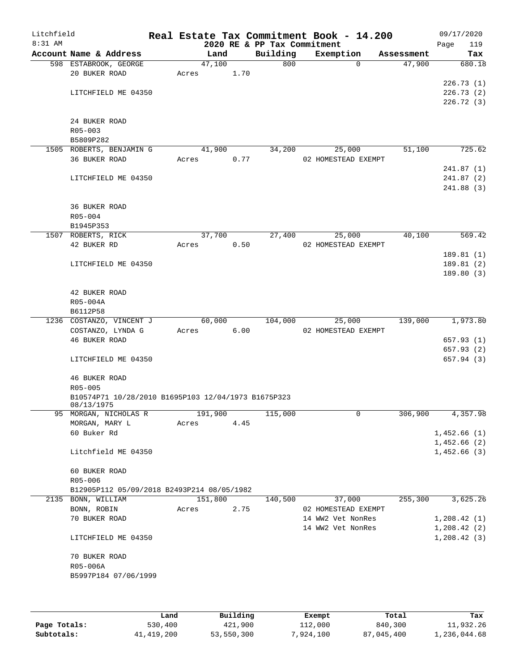| Litchfield |                                                                   |      |       |                |          |                             | Real Estate Tax Commitment Book - 14.200 |                                  | 09/17/2020    |
|------------|-------------------------------------------------------------------|------|-------|----------------|----------|-----------------------------|------------------------------------------|----------------------------------|---------------|
| 8:31 AM    |                                                                   |      |       |                |          | 2020 RE & PP Tax Commitment |                                          |                                  | 119<br>Page   |
|            | Account Name & Address<br>598 ESTABROOK, GEORGE                   |      |       | Land<br>47,100 |          | Building<br>800             | Exemption                                | Assessment<br>47,900<br>$\Omega$ | Tax<br>680.18 |
|            | 20 BUKER ROAD                                                     |      | Acres |                | 1.70     |                             |                                          |                                  |               |
|            |                                                                   |      |       |                |          |                             |                                          |                                  | 226.73(1)     |
|            | LITCHFIELD ME 04350                                               |      |       |                |          |                             |                                          |                                  | 226.73(2)     |
|            |                                                                   |      |       |                |          |                             |                                          |                                  | 226.72(3)     |
|            | 24 BUKER ROAD                                                     |      |       |                |          |                             |                                          |                                  |               |
|            | R05-003                                                           |      |       |                |          |                             |                                          |                                  |               |
|            | B5809P282                                                         |      |       |                |          |                             |                                          |                                  |               |
|            | 1505 ROBERTS, BENJAMIN G                                          |      |       | 41,900         |          | 34,200                      | 25,000                                   | 51,100                           | 725.62        |
|            | 36 BUKER ROAD                                                     |      | Acres |                | 0.77     |                             | 02 HOMESTEAD EXEMPT                      |                                  |               |
|            |                                                                   |      |       |                |          |                             |                                          |                                  | 241.87(1)     |
|            | LITCHFIELD ME 04350                                               |      |       |                |          |                             |                                          |                                  | 241.87 (2)    |
|            |                                                                   |      |       |                |          |                             |                                          |                                  | 241.88 (3)    |
|            | 36 BUKER ROAD                                                     |      |       |                |          |                             |                                          |                                  |               |
|            | R05-004                                                           |      |       |                |          |                             |                                          |                                  |               |
|            | B1945P353                                                         |      |       |                |          |                             |                                          |                                  |               |
|            | 1507 ROBERTS, RICK                                                |      |       | 37,700         |          | 27,400                      | 25,000                                   | 40,100                           | 569.42        |
|            | 42 BUKER RD                                                       |      | Acres |                | 0.50     |                             | 02 HOMESTEAD EXEMPT                      |                                  |               |
|            |                                                                   |      |       |                |          |                             |                                          |                                  | 189.81(1)     |
|            | LITCHFIELD ME 04350                                               |      |       |                |          |                             |                                          |                                  | 189.81(2)     |
|            |                                                                   |      |       |                |          |                             |                                          |                                  | 189.80(3)     |
|            | 42 BUKER ROAD                                                     |      |       |                |          |                             |                                          |                                  |               |
|            | R05-004A                                                          |      |       |                |          |                             |                                          |                                  |               |
|            | B6112P58                                                          |      |       |                |          |                             |                                          |                                  |               |
|            | 1236 COSTANZO, VINCENT J                                          |      |       | 60,000         |          | 104,000                     | 25,000                                   | 139,000                          | 1,973.80      |
|            | COSTANZO, LYNDA G                                                 |      | Acres |                | 6.00     |                             | 02 HOMESTEAD EXEMPT                      |                                  |               |
|            | <b>46 BUKER ROAD</b>                                              |      |       |                |          |                             |                                          |                                  | 657.93(1)     |
|            |                                                                   |      |       |                |          |                             |                                          |                                  | 657.93 (2)    |
|            | LITCHFIELD ME 04350                                               |      |       |                |          |                             |                                          |                                  | 657.94 (3)    |
|            | 46 BUKER ROAD                                                     |      |       |                |          |                             |                                          |                                  |               |
|            | R05-005                                                           |      |       |                |          |                             |                                          |                                  |               |
|            | B10574P71 10/28/2010 B1695P103 12/04/1973 B1675P323<br>08/13/1975 |      |       |                |          |                             |                                          |                                  |               |
|            | 95 MORGAN, NICHOLAS R                                             |      |       | 191,900        |          | 115,000                     |                                          | 0<br>306,900                     | 4,357.98      |
|            | MORGAN, MARY L                                                    |      | Acres |                | 4.45     |                             |                                          |                                  |               |
|            | 60 Buker Rd                                                       |      |       |                |          |                             |                                          |                                  | 1,452.66(1)   |
|            |                                                                   |      |       |                |          |                             |                                          |                                  | 1,452.66(2)   |
|            | Litchfield ME 04350                                               |      |       |                |          |                             |                                          |                                  | 1,452.66(3)   |
|            | 60 BUKER ROAD                                                     |      |       |                |          |                             |                                          |                                  |               |
|            | R05-006                                                           |      |       |                |          |                             |                                          |                                  |               |
|            | B12905P112 05/09/2018 B2493P214 08/05/1982                        |      |       |                |          |                             |                                          |                                  |               |
|            | 2135 BONN, WILLIAM                                                |      |       | 151,800        |          | 140,500                     | 37,000                                   | 255,300                          | 3,625.26      |
|            | BONN, ROBIN                                                       |      | Acres |                | 2.75     |                             | 02 HOMESTEAD EXEMPT                      |                                  |               |
|            | 70 BUKER ROAD                                                     |      |       |                |          |                             | 14 WW2 Vet NonRes                        |                                  | 1,208.42(1)   |
|            |                                                                   |      |       |                |          |                             | 14 WW2 Vet NonRes                        |                                  | 1,208.42(2)   |
|            | LITCHFIELD ME 04350                                               |      |       |                |          |                             |                                          |                                  | 1, 208.42(3)  |
|            | 70 BUKER ROAD                                                     |      |       |                |          |                             |                                          |                                  |               |
|            | R05-006A                                                          |      |       |                |          |                             |                                          |                                  |               |
|            | B5997P184 07/06/1999                                              |      |       |                |          |                             |                                          |                                  |               |
|            |                                                                   |      |       |                |          |                             |                                          |                                  |               |
|            |                                                                   |      |       |                |          |                             |                                          |                                  |               |
|            |                                                                   | Land |       |                | Building |                             | Exempt                                   | Total                            | Tax           |

|              | úand       | Building   | Exempt    | Total      | тах          |
|--------------|------------|------------|-----------|------------|--------------|
| Page Totals: | 530,400    | 421,900    | 112,000   | 840,300    | 11,932.26    |
| Subtotals:   | 41,419,200 | 53,550,300 | 7,924,100 | 87,045,400 | 1,236,044.68 |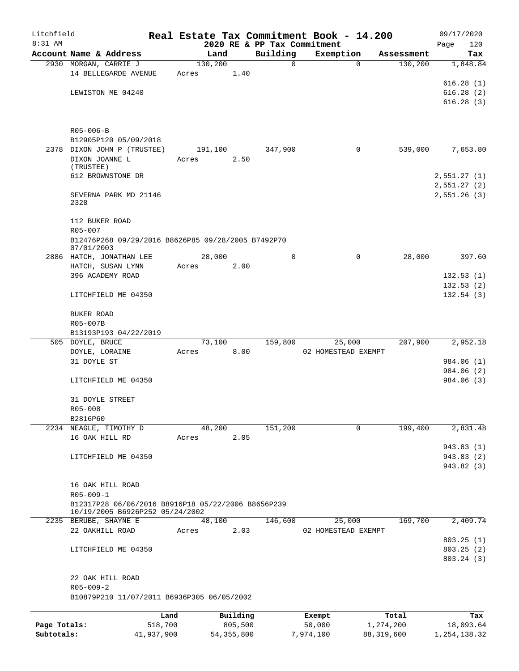| Litchfield   |                                                                  |         |                |                             | Real Estate Tax Commitment Book - 14.200 |              | 09/17/2020                 |
|--------------|------------------------------------------------------------------|---------|----------------|-----------------------------|------------------------------------------|--------------|----------------------------|
| 8:31 AM      |                                                                  |         |                | 2020 RE & PP Tax Commitment |                                          |              | Page<br>120                |
|              | Account Name & Address                                           |         | Land           | Building                    | Exemption                                | Assessment   | Tax                        |
|              | 2930 MORGAN, CARRIE J                                            | 130,200 |                | 0                           | $\mathbf 0$                              | 130,200      | 1,848.84                   |
|              | 14 BELLEGARDE AVENUE                                             | Acres   | 1.40           |                             |                                          |              |                            |
|              |                                                                  |         |                |                             |                                          |              | 616.28(1)                  |
|              | LEWISTON ME 04240                                                |         |                |                             |                                          |              | 616.28(2)                  |
|              |                                                                  |         |                |                             |                                          |              | 616.28(3)                  |
|              | $R05 - 006 - B$                                                  |         |                |                             |                                          |              |                            |
|              | B12905P120 05/09/2018                                            |         |                |                             |                                          |              |                            |
|              | 2378 DIXON JOHN P (TRUSTEE)                                      | 191,100 |                | 347,900                     | 0                                        | 539,000      | 7,653.80                   |
|              | DIXON JOANNE L                                                   | Acres   | 2.50           |                             |                                          |              |                            |
|              | (TRUSTEE)                                                        |         |                |                             |                                          |              |                            |
|              | 612 BROWNSTONE DR                                                |         |                |                             |                                          |              | 2,551.27(1)                |
|              | SEVERNA PARK MD 21146<br>2328                                    |         |                |                             |                                          |              | 2,551.27(2)<br>2,551.26(3) |
|              | 112 BUKER ROAD                                                   |         |                |                             |                                          |              |                            |
|              | R05-007                                                          |         |                |                             |                                          |              |                            |
|              | B12476P268 09/29/2016 B8626P85 09/28/2005 B7492P70<br>07/01/2003 |         |                |                             |                                          |              |                            |
|              | 2886 HATCH, JONATHAN LEE                                         |         | 28,000         | $\Omega$                    | $\mathbf 0$                              | 28,000       | 397.60                     |
|              | HATCH, SUSAN LYNN                                                | Acres   | 2.00           |                             |                                          |              |                            |
|              | 396 ACADEMY ROAD                                                 |         |                |                             |                                          |              | 132.53(1)                  |
|              |                                                                  |         |                |                             |                                          |              | 132.53(2)                  |
|              | LITCHFIELD ME 04350                                              |         |                |                             |                                          |              | 132.54(3)                  |
|              | BUKER ROAD                                                       |         |                |                             |                                          |              |                            |
|              | R05-007B                                                         |         |                |                             |                                          |              |                            |
|              | B13193P193 04/22/2019                                            |         |                |                             |                                          |              |                            |
|              | 505 DOYLE, BRUCE                                                 |         | 73,100         | 159,800                     | 25,000                                   | 207,900      | 2,952.18                   |
|              | DOYLE, LORAINE                                                   | Acres   | 8.00           |                             | 02 HOMESTEAD EXEMPT                      |              |                            |
|              | 31 DOYLE ST                                                      |         |                |                             |                                          |              | 984.06 (1)                 |
|              |                                                                  |         |                |                             |                                          |              | 984.06 (2)                 |
|              | LITCHFIELD ME 04350                                              |         |                |                             |                                          |              | 984.06 (3)                 |
|              | 31 DOYLE STREET<br>R05-008                                       |         |                |                             |                                          |              |                            |
|              |                                                                  |         |                |                             |                                          |              |                            |
|              | B2816P60<br>2234 NEAGLE, TIMOTHY D                               |         |                | 151,200                     | 0                                        | 199,400      |                            |
|              | 16 OAK HILL RD                                                   | Acres   | 48,200<br>2.05 |                             |                                          |              | 2,831.48                   |
|              |                                                                  |         |                |                             |                                          |              | 943.83 (1)                 |
|              | LITCHFIELD ME 04350                                              |         |                |                             |                                          |              | 943.83 (2)                 |
|              |                                                                  |         |                |                             |                                          |              | 943.82 (3)                 |
|              |                                                                  |         |                |                             |                                          |              |                            |
|              | 16 OAK HILL ROAD                                                 |         |                |                             |                                          |              |                            |
|              | $R05 - 009 - 1$                                                  |         |                |                             |                                          |              |                            |
|              | B12317P28 06/06/2016 B8916P18 05/22/2006 B8656P239               |         |                |                             |                                          |              |                            |
|              | 10/19/2005 B6926P252 05/24/2002                                  |         |                |                             |                                          |              |                            |
|              | 2235 BERUBE, SHAYNE E                                            |         | 48,100         | 146,600                     | 25,000                                   | 169,700      | 2,409.74                   |
|              | 22 OAKHILL ROAD                                                  | Acres   | 2.03           |                             | 02 HOMESTEAD EXEMPT                      |              |                            |
|              |                                                                  |         |                |                             |                                          |              | 803.25(1)                  |
|              | LITCHFIELD ME 04350                                              |         |                |                             |                                          |              | 803.25(2)<br>803.24 (3)    |
|              | 22 OAK HILL ROAD                                                 |         |                |                             |                                          |              |                            |
|              | $R05 - 009 - 2$                                                  |         |                |                             |                                          |              |                            |
|              | B10879P210 11/07/2011 B6936P305 06/05/2002                       |         |                |                             |                                          |              |                            |
|              | Land                                                             |         | Building       |                             | Exempt                                   | Total        | Tax                        |
| Page Totals: | 518,700                                                          |         | 805,500        |                             | 50,000                                   | 1,274,200    | 18,093.64                  |
| Subtotals:   | 41,937,900                                                       |         | 54, 355, 800   |                             | 7,974,100                                | 88, 319, 600 | 1, 254, 138.32             |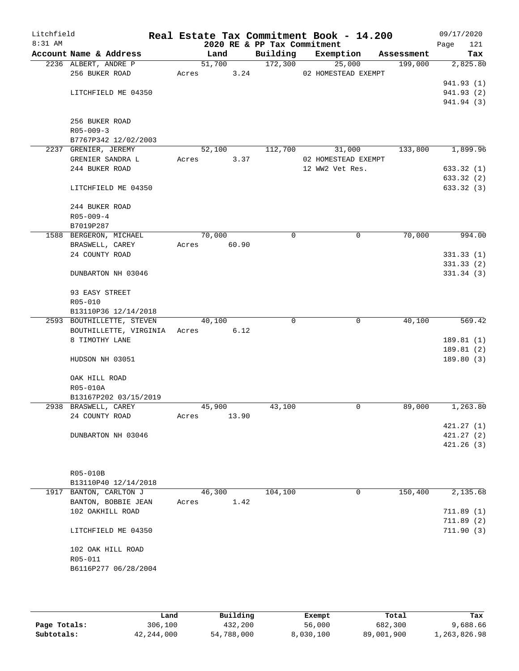| Litchfield<br>8:31 AM |                                   |                |       | 2020 RE & PP Tax Commitment | Real Estate Tax Commitment Book - 14.200 |            | 09/17/2020<br>121<br>Page |
|-----------------------|-----------------------------------|----------------|-------|-----------------------------|------------------------------------------|------------|---------------------------|
|                       | Account Name & Address            | Land           |       | Building                    | Exemption                                | Assessment | Tax                       |
|                       | 2236 ALBERT, ANDRE P              | 51,700         |       | 172,300                     | 25,000                                   | 199,000    | 2,825.80                  |
|                       | 256 BUKER ROAD                    | Acres          | 3.24  |                             | 02 HOMESTEAD EXEMPT                      |            |                           |
|                       |                                   |                |       |                             |                                          |            | 941.93 (1)                |
|                       | LITCHFIELD ME 04350               |                |       |                             |                                          |            | 941.93 (2)                |
|                       |                                   |                |       |                             |                                          |            | 941.94 (3)                |
|                       |                                   |                |       |                             |                                          |            |                           |
|                       | 256 BUKER ROAD<br>$R05 - 009 - 3$ |                |       |                             |                                          |            |                           |
|                       | B7767P342 12/02/2003              |                |       |                             |                                          |            |                           |
|                       | 2237 GRENIER, JEREMY              | 52,100         |       | 112,700                     | 31,000                                   | 133,800    | 1,899.96                  |
|                       | GRENIER SANDRA L                  | Acres          | 3.37  |                             | 02 HOMESTEAD EXEMPT                      |            |                           |
|                       | 244 BUKER ROAD                    |                |       |                             | 12 WW2 Vet Res.                          |            | 633.32(1)                 |
|                       |                                   |                |       |                             |                                          |            | 633.32 (2)                |
|                       | LITCHFIELD ME 04350               |                |       |                             |                                          |            | 633.32 (3)                |
|                       |                                   |                |       |                             |                                          |            |                           |
|                       | 244 BUKER ROAD                    |                |       |                             |                                          |            |                           |
|                       | $R05 - 009 - 4$                   |                |       |                             |                                          |            |                           |
|                       | B7019P287                         |                |       |                             |                                          |            |                           |
|                       | 1588 BERGERON, MICHAEL            | 70,000         |       | $\mathbf 0$                 | 0                                        | 70,000     | 994.00                    |
|                       | BRASWELL, CAREY<br>24 COUNTY ROAD | 60.90<br>Acres |       |                             |                                          |            | 331.33(1)                 |
|                       |                                   |                |       |                             |                                          |            | 331.33(2)                 |
|                       | DUNBARTON NH 03046                |                |       |                             |                                          |            | 331.34(3)                 |
|                       |                                   |                |       |                             |                                          |            |                           |
|                       | 93 EASY STREET                    |                |       |                             |                                          |            |                           |
|                       | R05-010                           |                |       |                             |                                          |            |                           |
|                       | B13110P36 12/14/2018              |                |       |                             |                                          |            |                           |
|                       | 2593 BOUTHILLETTE, STEVEN         | 40,100         |       | $\Omega$                    | $\mathbf 0$                              | 40,100     | 569.42                    |
|                       | BOUTHILLETTE, VIRGINIA Acres 6.12 |                |       |                             |                                          |            |                           |
|                       | 8 TIMOTHY LANE                    |                |       |                             |                                          |            | 189.81(1)                 |
|                       |                                   |                |       |                             |                                          |            | 189.81 (2)                |
|                       | HUDSON NH 03051                   |                |       |                             |                                          |            | 189.80 (3)                |
|                       | OAK HILL ROAD                     |                |       |                             |                                          |            |                           |
|                       | R05-010A                          |                |       |                             |                                          |            |                           |
|                       | B13167P202 03/15/2019             |                |       |                             |                                          |            |                           |
|                       | 2938 BRASWELL, CAREY              | 45,900         |       | 43,100                      | $\mathbf 0$                              | 89,000     | 1,263.80                  |
|                       | 24 COUNTY ROAD                    | Acres          | 13.90 |                             |                                          |            |                           |
|                       |                                   |                |       |                             |                                          |            | 421.27(1)                 |
|                       | DUNBARTON NH 03046                |                |       |                             |                                          |            | 421.27(2)                 |
|                       |                                   |                |       |                             |                                          |            | 421.26(3)                 |
|                       |                                   |                |       |                             |                                          |            |                           |
|                       |                                   |                |       |                             |                                          |            |                           |
|                       | R05-010B                          |                |       |                             |                                          |            |                           |
|                       | B13110P40 12/14/2018              |                |       |                             |                                          |            |                           |
|                       | 1917 BANTON, CARLTON J            | 46,300         |       | 104,100                     | 0                                        | 150,400    | 2,135.68                  |
|                       | BANTON, BOBBIE JEAN               | Acres          | 1.42  |                             |                                          |            |                           |
|                       | 102 OAKHILL ROAD                  |                |       |                             |                                          |            | 711.89(1)                 |
|                       | LITCHFIELD ME 04350               |                |       |                             |                                          |            | 711.89(2)<br>711.90(3)    |
|                       |                                   |                |       |                             |                                          |            |                           |
|                       | 102 OAK HILL ROAD                 |                |       |                             |                                          |            |                           |
|                       | R05-011                           |                |       |                             |                                          |            |                           |
|                       | B6116P277 06/28/2004              |                |       |                             |                                          |            |                           |
|                       |                                   |                |       |                             |                                          |            |                           |
|                       |                                   |                |       |                             |                                          |            |                           |

|              | Land         | Building   | Exempt    | Total      | Tax          |
|--------------|--------------|------------|-----------|------------|--------------|
| Page Totals: | 306,100      | 432,200    | 56,000    | 682,300    | 9,688.66     |
| Subtotals:   | 42, 244, 000 | 54,788,000 | 8,030,100 | 89,001,900 | 1,263,826.98 |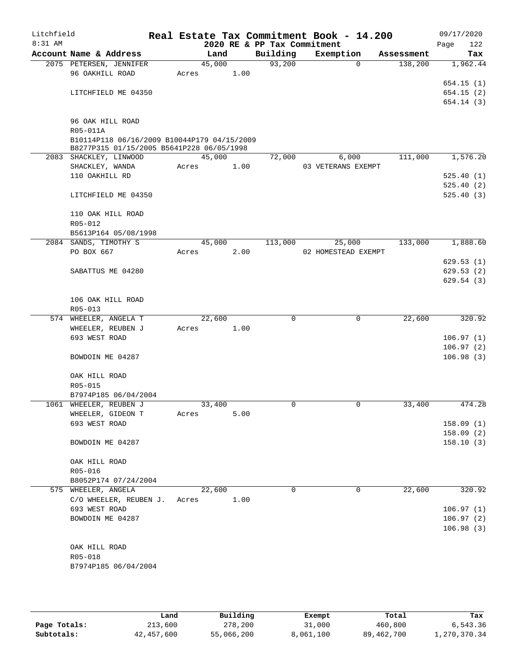| Litchfield<br>$8:31$ AM |                                                                                          |        |      | 2020 RE & PP Tax Commitment | Real Estate Tax Commitment Book - 14.200 |            | 09/17/2020<br>122 |
|-------------------------|------------------------------------------------------------------------------------------|--------|------|-----------------------------|------------------------------------------|------------|-------------------|
|                         | Account Name & Address                                                                   | Land   |      | Building                    | Exemption                                | Assessment | Page<br>Tax       |
|                         | 2075 PETERSEN, JENNIFER                                                                  | 45,000 |      | 93,200                      | $\Omega$                                 | 138,200    | 1,962.44          |
|                         | 96 OAKHILL ROAD                                                                          | Acres  | 1.00 |                             |                                          |            |                   |
|                         |                                                                                          |        |      |                             |                                          |            | 654.15(1)         |
|                         | LITCHFIELD ME 04350                                                                      |        |      |                             |                                          |            | 654.15(2)         |
|                         |                                                                                          |        |      |                             |                                          |            | 654.14(3)         |
|                         |                                                                                          |        |      |                             |                                          |            |                   |
|                         | 96 OAK HILL ROAD                                                                         |        |      |                             |                                          |            |                   |
|                         | R05-011A                                                                                 |        |      |                             |                                          |            |                   |
|                         | B10114P118 06/16/2009 B10044P179 04/15/2009<br>B8277P315 01/15/2005 B5641P228 06/05/1998 |        |      |                             |                                          |            |                   |
|                         | 2083 SHACKLEY, LINWOOD                                                                   | 45,000 |      | 72,000                      | 6,000                                    | 111,000    | 1,576.20          |
|                         | SHACKLEY, WANDA                                                                          | Acres  | 1.00 |                             | 03 VETERANS EXEMPT                       |            |                   |
|                         | 110 OAKHILL RD                                                                           |        |      |                             |                                          |            | 525.40(1)         |
|                         |                                                                                          |        |      |                             |                                          |            | 525.40(2)         |
|                         | LITCHFIELD ME 04350                                                                      |        |      |                             |                                          |            | 525.40(3)         |
|                         | 110 OAK HILL ROAD                                                                        |        |      |                             |                                          |            |                   |
|                         | R05-012                                                                                  |        |      |                             |                                          |            |                   |
|                         | B5613P164 05/08/1998                                                                     |        |      |                             |                                          |            |                   |
|                         | 2084 SANDS, TIMOTHY S                                                                    | 45,000 |      | 113,000                     | 25,000                                   | 133,000    | 1,888.60          |
|                         | PO BOX 667                                                                               | Acres  | 2.00 |                             | 02 HOMESTEAD EXEMPT                      |            |                   |
|                         |                                                                                          |        |      |                             |                                          |            | 629.53(1)         |
|                         | SABATTUS ME 04280                                                                        |        |      |                             |                                          |            | 629.53(2)         |
|                         |                                                                                          |        |      |                             |                                          |            | 629.54(3)         |
|                         |                                                                                          |        |      |                             |                                          |            |                   |
|                         | 106 OAK HILL ROAD<br>R05-013                                                             |        |      |                             |                                          |            |                   |
|                         | 574 WHEELER, ANGELA T                                                                    | 22,600 |      | $\mathbf 0$                 | $\mathbf 0$                              | 22,600     | 320.92            |
|                         | WHEELER, REUBEN J                                                                        | Acres  | 1.00 |                             |                                          |            |                   |
|                         | 693 WEST ROAD                                                                            |        |      |                             |                                          |            | 106.97(1)         |
|                         |                                                                                          |        |      |                             |                                          |            | 106.97(2)         |
|                         | BOWDOIN ME 04287                                                                         |        |      |                             |                                          |            | 106.98(3)         |
|                         |                                                                                          |        |      |                             |                                          |            |                   |
|                         | OAK HILL ROAD                                                                            |        |      |                             |                                          |            |                   |
|                         | R05-015                                                                                  |        |      |                             |                                          |            |                   |
|                         | B7974P185 06/04/2004                                                                     |        |      |                             |                                          |            |                   |
|                         | 1061 WHEELER, REUBEN J                                                                   | 33,400 |      | 0                           | 0                                        | 33,400     | 474.28            |
|                         | WHEELER, GIDEON T                                                                        | Acres  | 5.00 |                             |                                          |            |                   |
|                         | 693 WEST ROAD                                                                            |        |      |                             |                                          |            | 158.09(1)         |
|                         |                                                                                          |        |      |                             |                                          |            | 158.09(2)         |
|                         | BOWDOIN ME 04287                                                                         |        |      |                             |                                          |            | 158.10(3)         |
|                         | OAK HILL ROAD                                                                            |        |      |                             |                                          |            |                   |
|                         | R05-016                                                                                  |        |      |                             |                                          |            |                   |
|                         | B8052P174 07/24/2004                                                                     |        |      |                             |                                          |            |                   |
|                         | 575 WHEELER, ANGELA                                                                      | 22,600 |      | $\Omega$                    | 0                                        | 22,600     | 320.92            |
|                         | C/O WHEELER, REUBEN J.                                                                   | Acres  | 1.00 |                             |                                          |            |                   |
|                         | 693 WEST ROAD                                                                            |        |      |                             |                                          |            | 106.97(1)         |
|                         | BOWDOIN ME 04287                                                                         |        |      |                             |                                          |            | 106.97(2)         |
|                         |                                                                                          |        |      |                             |                                          |            | 106.98(3)         |
|                         | OAK HILL ROAD                                                                            |        |      |                             |                                          |            |                   |
|                         | R05-018                                                                                  |        |      |                             |                                          |            |                   |
|                         | B7974P185 06/04/2004                                                                     |        |      |                             |                                          |            |                   |
|                         |                                                                                          |        |      |                             |                                          |            |                   |

|              | Land       | Building   | Exempt    | Total        | Tax          |
|--------------|------------|------------|-----------|--------------|--------------|
| Page Totals: | 213,600    | 278,200    | 31,000    | 460,800      | 6,543.36     |
| Subtotals:   | 42,457,600 | 55,066,200 | 8,061,100 | 89, 462, 700 | 1,270,370.34 |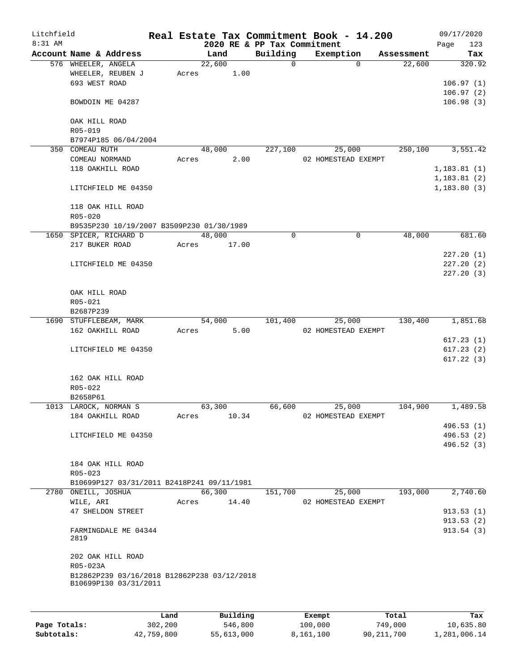| Litchfield |                                             |       |          |                             | Real Estate Tax Commitment Book - 14.200 |            | 09/17/2020             |
|------------|---------------------------------------------|-------|----------|-----------------------------|------------------------------------------|------------|------------------------|
| 8:31 AM    |                                             |       |          | 2020 RE & PP Tax Commitment |                                          |            | 123<br>Page            |
|            | Account Name & Address                      |       | Land     | Building                    | Exemption                                | Assessment | Tax                    |
|            | 576 WHEELER, ANGELA                         |       | 22,600   | $\mathsf{O}$                | $\Omega$                                 | 22,600     | 320.92                 |
|            | WHEELER, REUBEN J<br>693 WEST ROAD          | Acres | 1.00     |                             |                                          |            | 106.97(1)              |
|            |                                             |       |          |                             |                                          |            | 106.97(2)              |
|            | BOWDOIN ME 04287                            |       |          |                             |                                          |            | 106.98(3)              |
|            | OAK HILL ROAD                               |       |          |                             |                                          |            |                        |
|            | R05-019                                     |       |          |                             |                                          |            |                        |
|            | B7974P185 06/04/2004                        |       |          |                             |                                          |            |                        |
|            | 350 COMEAU RUTH                             |       | 48,000   | 227,100                     | 25,000                                   | 250,100    | 3,551.42               |
|            | COMEAU NORMAND                              | Acres | 2.00     |                             | 02 HOMESTEAD EXEMPT                      |            |                        |
|            | 118 OAKHILL ROAD                            |       |          |                             |                                          |            | 1, 183.81(1)           |
|            |                                             |       |          |                             |                                          |            | 1, 183.81(2)           |
|            | LITCHFIELD ME 04350                         |       |          |                             |                                          |            | 1, 183.80(3)           |
|            | 118 OAK HILL ROAD                           |       |          |                             |                                          |            |                        |
|            | $R05 - 020$                                 |       |          |                             |                                          |            |                        |
|            | B9535P230 10/19/2007 B3509P230 01/30/1989   |       |          |                             |                                          |            |                        |
|            | 1650 SPICER, RICHARD D                      |       | 48,000   | $\Omega$                    | 0                                        | 48,000     | 681.60                 |
|            | 217 BUKER ROAD                              | Acres | 17.00    |                             |                                          |            |                        |
|            |                                             |       |          |                             |                                          |            | 227.20(1)              |
|            | LITCHFIELD ME 04350                         |       |          |                             |                                          |            | 227.20(2)              |
|            |                                             |       |          |                             |                                          |            | 227.20(3)              |
|            |                                             |       |          |                             |                                          |            |                        |
|            | OAK HILL ROAD                               |       |          |                             |                                          |            |                        |
|            | R05-021                                     |       |          |                             |                                          |            |                        |
|            | B2687P239                                   |       |          |                             |                                          |            |                        |
|            | 1690 STUFFLEBEAM, MARK                      |       | 54,000   | 101,400                     | 25,000                                   | 130,400    | 1,851.68               |
|            | 162 OAKHILL ROAD                            | Acres | 5.00     |                             | 02 HOMESTEAD EXEMPT                      |            |                        |
|            | LITCHFIELD ME 04350                         |       |          |                             |                                          |            | 617.23(1)<br>617.23(2) |
|            |                                             |       |          |                             |                                          |            | 617.22(3)              |
|            |                                             |       |          |                             |                                          |            |                        |
|            | 162 OAK HILL ROAD                           |       |          |                             |                                          |            |                        |
|            | R05-022                                     |       |          |                             |                                          |            |                        |
|            | B2658P61<br>1013 LAROCK, NORMAN S           |       | 63,300   | 66,600                      |                                          | 104,900    | 1,489.58               |
|            | 184 OAKHILL ROAD                            | Acres | 10.34    |                             | 25,000<br>02 HOMESTEAD EXEMPT            |            |                        |
|            |                                             |       |          |                             |                                          |            | 496.53(1)              |
|            | LITCHFIELD ME 04350                         |       |          |                             |                                          |            | 496.53(2)              |
|            |                                             |       |          |                             |                                          |            | 496.52 (3)             |
|            |                                             |       |          |                             |                                          |            |                        |
|            | 184 OAK HILL ROAD                           |       |          |                             |                                          |            |                        |
|            | R05-023                                     |       |          |                             |                                          |            |                        |
|            | B10699P127 03/31/2011 B2418P241 09/11/1981  |       |          |                             |                                          |            |                        |
|            | 2780 ONEILL, JOSHUA                         |       | 66,300   | 151,700                     | 25,000                                   | 193,000    | 2,740.60               |
|            | WILE, ARI                                   | Acres | 14.40    |                             | 02 HOMESTEAD EXEMPT                      |            |                        |
|            | 47 SHELDON STREET                           |       |          |                             |                                          |            | 913.53(1)              |
|            |                                             |       |          |                             |                                          |            | 913.53(2)              |
|            | FARMINGDALE ME 04344<br>2819                |       |          |                             |                                          |            | 913.54 (3)             |
|            | 202 OAK HILL ROAD                           |       |          |                             |                                          |            |                        |
|            | R05-023A                                    |       |          |                             |                                          |            |                        |
|            | B12862P239 03/16/2018 B12862P238 03/12/2018 |       |          |                             |                                          |            |                        |
|            | B10699P130 03/31/2011                       |       |          |                             |                                          |            |                        |
|            |                                             |       |          |                             |                                          |            |                        |
|            |                                             | Land  | Building |                             | Exempt                                   | Total      | Tax                    |

**Page Totals:** 302,200 546,800 100,000 749,000 10,635.80 **Subtotals:** 42,759,800 55,613,000 8,161,100 90,211,700 1,281,006.14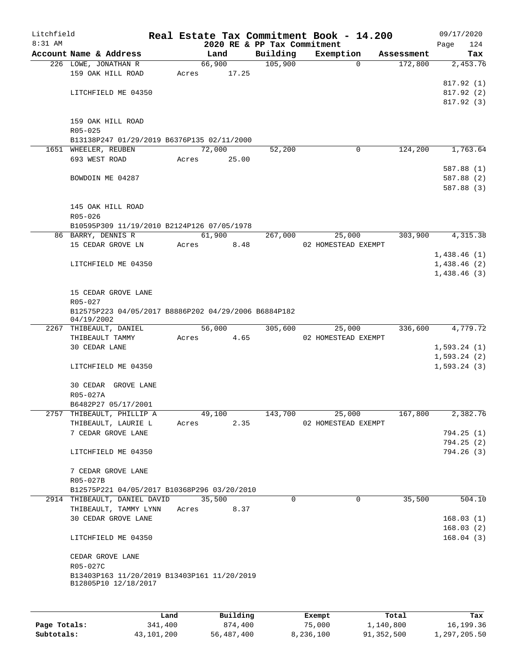| Litchfield |                                                                 |       |                 |                             | Real Estate Tax Commitment Book - 14.200 |            | 09/17/2020   |
|------------|-----------------------------------------------------------------|-------|-----------------|-----------------------------|------------------------------------------|------------|--------------|
| $8:31$ AM  |                                                                 |       |                 | 2020 RE & PP Tax Commitment |                                          |            | 124<br>Page  |
|            | Account Name & Address                                          |       | Land            | Building                    | Exemption                                | Assessment | Tax          |
|            | 226 LOWE, JONATHAN R<br>159 OAK HILL ROAD                       | Acres | 66,900<br>17.25 | 105,900                     | $\Omega$                                 | 172,800    | 2,453.76     |
|            |                                                                 |       |                 |                             |                                          |            | 817.92 (1)   |
|            | LITCHFIELD ME 04350                                             |       |                 |                             |                                          |            | 817.92 (2)   |
|            |                                                                 |       |                 |                             |                                          |            | 817.92 (3)   |
|            |                                                                 |       |                 |                             |                                          |            |              |
|            | 159 OAK HILL ROAD                                               |       |                 |                             |                                          |            |              |
|            | R05-025<br>B13138P247 01/29/2019 B6376P135 02/11/2000           |       |                 |                             |                                          |            |              |
|            | 1651 WHEELER, REUBEN                                            |       | 72,000          | 52,200                      | 0                                        | 124,200    | 1,763.64     |
|            | 693 WEST ROAD                                                   | Acres | 25.00           |                             |                                          |            |              |
|            |                                                                 |       |                 |                             |                                          |            | 587.88 (1)   |
|            | BOWDOIN ME 04287                                                |       |                 |                             |                                          |            | 587.88 (2)   |
|            |                                                                 |       |                 |                             |                                          |            | 587.88 (3)   |
|            |                                                                 |       |                 |                             |                                          |            |              |
|            | 145 OAK HILL ROAD<br>R05-026                                    |       |                 |                             |                                          |            |              |
|            | B10595P309 11/19/2010 B2124P126 07/05/1978                      |       |                 |                             |                                          |            |              |
|            | 86 BARRY, DENNIS R                                              |       | 61,900          | 267,000                     | 25,000                                   | 303,900    | 4,315.38     |
|            | 15 CEDAR GROVE LN                                               | Acres | 8.48            |                             | 02 HOMESTEAD EXEMPT                      |            |              |
|            |                                                                 |       |                 |                             |                                          |            | 1,438.46(1)  |
|            | LITCHFIELD ME 04350                                             |       |                 |                             |                                          |            | 1,438.46(2)  |
|            |                                                                 |       |                 |                             |                                          |            | 1,438.46(3)  |
|            |                                                                 |       |                 |                             |                                          |            |              |
|            | 15 CEDAR GROVE LANE                                             |       |                 |                             |                                          |            |              |
|            | R05-027<br>B12575P223 04/05/2017 B8886P202 04/29/2006 B6884P182 |       |                 |                             |                                          |            |              |
|            | 04/19/2002                                                      |       |                 |                             |                                          |            |              |
|            | 2267 THIBEAULT, DANIEL                                          |       | 56,000          | 305,600                     | 25,000                                   | 336,600    | 4,779.72     |
|            | THIBEAULT TAMMY                                                 | Acres | 4.65            |                             | 02 HOMESTEAD EXEMPT                      |            |              |
|            | 30 CEDAR LANE                                                   |       |                 |                             |                                          |            | 1,593.24(1)  |
|            |                                                                 |       |                 |                             |                                          |            | 1,593.24(2)  |
|            | LITCHFIELD ME 04350                                             |       |                 |                             |                                          |            | 1, 593.24(3) |
|            | 30 CEDAR<br>GROVE LANE                                          |       |                 |                             |                                          |            |              |
|            | R05-027A                                                        |       |                 |                             |                                          |            |              |
|            | B6482P27 05/17/2001                                             |       |                 |                             |                                          |            |              |
| 2757       | THIBEAULT, PHILLIP A                                            |       | 49,100          | 143,700                     | 25,000                                   | 167,800    | 2,382.76     |
|            | THIBEAULT, LAURIE L                                             | Acres | 2.35            |                             | 02 HOMESTEAD EXEMPT                      |            |              |
|            | 7 CEDAR GROVE LANE                                              |       |                 |                             |                                          |            | 794.25(1)    |
|            |                                                                 |       |                 |                             |                                          |            | 794.25(2)    |
|            | LITCHFIELD ME 04350                                             |       |                 |                             |                                          |            | 794.26(3)    |
|            | 7 CEDAR GROVE LANE                                              |       |                 |                             |                                          |            |              |
|            | R05-027B                                                        |       |                 |                             |                                          |            |              |
|            | B12575P221 04/05/2017 B10368P296 03/20/2010                     |       |                 |                             |                                          |            |              |
|            | 2914 THIBEAULT, DANIEL DAVID                                    |       | 35,500          | $\Omega$                    | $\Omega$                                 | 35,500     | 504.10       |
|            | THIBEAULT, TAMMY LYNN                                           | Acres | 8.37            |                             |                                          |            |              |
|            | 30 CEDAR GROVE LANE                                             |       |                 |                             |                                          |            | 168.03(1)    |
|            |                                                                 |       |                 |                             |                                          |            | 168.03(2)    |
|            | LITCHFIELD ME 04350                                             |       |                 |                             |                                          |            | 168.04(3)    |
|            | CEDAR GROVE LANE                                                |       |                 |                             |                                          |            |              |
|            | R05-027C                                                        |       |                 |                             |                                          |            |              |
|            | B13403P163 11/20/2019 B13403P161 11/20/2019                     |       |                 |                             |                                          |            |              |
|            | B12805P10 12/18/2017                                            |       |                 |                             |                                          |            |              |
|            |                                                                 |       |                 |                             |                                          |            |              |
|            |                                                                 | Land  | Building        |                             | Exempt                                   | Total      | Tax          |
|            |                                                                 |       |                 |                             |                                          |            |              |

|              | Land       | Building   | Exempt    | Total      | Tax          |
|--------------|------------|------------|-----------|------------|--------------|
| Page Totals: | 341,400    | 874,400    | 75,000    | 1,140,800  | 16,199.36    |
| Subtotals:   | 43,101,200 | 56,487,400 | 8,236,100 | 91,352,500 | 1,297,205.50 |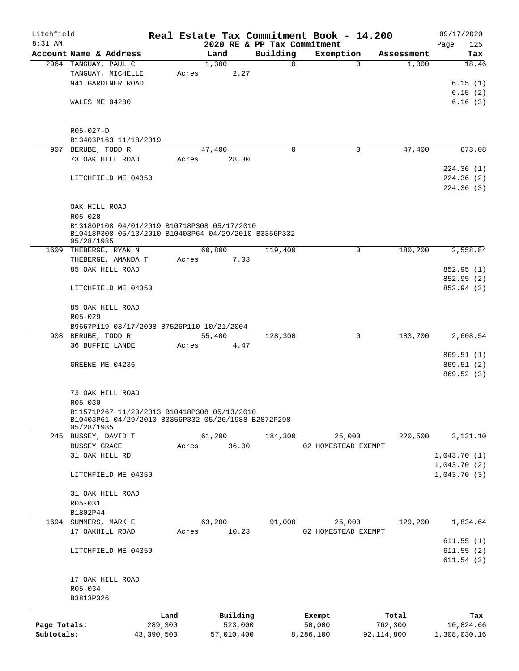| Litchfield<br>8:31 AM |                                                                                                    |            |       |            |       | 2020 RE & PP Tax Commitment | Real Estate Tax Commitment Book - 14.200 |              |            | 09/17/2020<br>125<br>Page |
|-----------------------|----------------------------------------------------------------------------------------------------|------------|-------|------------|-------|-----------------------------|------------------------------------------|--------------|------------|---------------------------|
|                       | Account Name & Address                                                                             |            |       | Land       |       | Building                    | Exemption                                |              | Assessment | Tax                       |
|                       | 2964 TANGUAY, PAUL C                                                                               |            |       | 1,300      |       | $\Omega$                    |                                          | $\Omega$     | 1,300      | 18.46                     |
|                       | TANGUAY, MICHELLE                                                                                  |            | Acres |            | 2.27  |                             |                                          |              |            |                           |
|                       | 941 GARDINER ROAD                                                                                  |            |       |            |       |                             |                                          |              |            | 6.15(1)                   |
|                       |                                                                                                    |            |       |            |       |                             |                                          |              |            | 6.15(2)                   |
|                       | WALES ME 04280                                                                                     |            |       |            |       |                             |                                          |              |            | 6.16(3)                   |
|                       |                                                                                                    |            |       |            |       |                             |                                          |              |            |                           |
|                       |                                                                                                    |            |       |            |       |                             |                                          |              |            |                           |
|                       | R05-027-D<br>B13403P163 11/18/2019                                                                 |            |       |            |       |                             |                                          |              |            |                           |
|                       | 907 BERUBE, TODD R                                                                                 |            |       | 47,400     |       | $\mathbf 0$                 |                                          | 0            | 47,400     | 673.08                    |
|                       |                                                                                                    |            |       |            |       |                             |                                          |              |            |                           |
|                       | 73 OAK HILL ROAD                                                                                   |            | Acres |            | 28.30 |                             |                                          |              |            |                           |
|                       |                                                                                                    |            |       |            |       |                             |                                          |              |            | 224.36 (1)                |
|                       | LITCHFIELD ME 04350                                                                                |            |       |            |       |                             |                                          |              |            | 224.36 (2)                |
|                       |                                                                                                    |            |       |            |       |                             |                                          |              |            | 224.36(3)                 |
|                       |                                                                                                    |            |       |            |       |                             |                                          |              |            |                           |
|                       | OAK HILL ROAD                                                                                      |            |       |            |       |                             |                                          |              |            |                           |
|                       | $R05 - 028$                                                                                        |            |       |            |       |                             |                                          |              |            |                           |
|                       | B13180P108 04/01/2019 B10718P308 05/17/2010                                                        |            |       |            |       |                             |                                          |              |            |                           |
|                       | B10418P308 05/13/2010 B10403P64 04/29/2010 B3356P332<br>05/28/1985                                 |            |       |            |       |                             |                                          |              |            |                           |
|                       | 1609 THEBERGE, RYAN N                                                                              |            |       | 60,800     |       | 119,400                     |                                          | 0            | 180,200    | 2,558.84                  |
|                       | THEBERGE, AMANDA T                                                                                 |            |       |            | 7.03  |                             |                                          |              |            |                           |
|                       |                                                                                                    |            | Acres |            |       |                             |                                          |              |            |                           |
|                       | 85 OAK HILL ROAD                                                                                   |            |       |            |       |                             |                                          |              |            | 852.95 (1)                |
|                       |                                                                                                    |            |       |            |       |                             |                                          |              |            | 852.95 (2)                |
|                       | LITCHFIELD ME 04350                                                                                |            |       |            |       |                             |                                          |              |            | 852.94 (3)                |
|                       | 85 OAK HILL ROAD                                                                                   |            |       |            |       |                             |                                          |              |            |                           |
|                       | R05-029                                                                                            |            |       |            |       |                             |                                          |              |            |                           |
|                       | B9667P119 03/17/2008 B7526P110 10/21/2004                                                          |            |       |            |       |                             |                                          |              |            |                           |
|                       | 908 BERUBE, TODD R                                                                                 |            |       | 55,400     |       | 128,300                     |                                          | $\mathbf 0$  | 183,700    | 2,608.54                  |
|                       | 36 BUFFIE LANDE                                                                                    |            | Acres |            | 4.47  |                             |                                          |              |            |                           |
|                       |                                                                                                    |            |       |            |       |                             |                                          |              |            |                           |
|                       |                                                                                                    |            |       |            |       |                             |                                          |              |            | 869.51 (1)                |
|                       | GREENE ME 04236                                                                                    |            |       |            |       |                             |                                          |              |            | 869.51(2)                 |
|                       |                                                                                                    |            |       |            |       |                             |                                          |              |            | 869.52(3)                 |
|                       |                                                                                                    |            |       |            |       |                             |                                          |              |            |                           |
|                       | 73 OAK HILL ROAD                                                                                   |            |       |            |       |                             |                                          |              |            |                           |
|                       | R05-030                                                                                            |            |       |            |       |                             |                                          |              |            |                           |
|                       | B11571P267 11/20/2013 B10418P308 05/13/2010<br>B10403P61 04/29/2010 B3356P332 05/26/1988 B2872P298 |            |       |            |       |                             |                                          |              |            |                           |
|                       | 05/28/1985                                                                                         |            |       |            |       |                             |                                          |              |            |                           |
|                       | 245 BUSSEY, DAVID T                                                                                |            |       | 61,200     |       | 184,300                     | 25,000                                   |              | 220,500    | 3,131.10                  |
|                       | <b>BUSSEY GRACE</b>                                                                                |            | Acres |            | 36.00 |                             | 02 HOMESTEAD EXEMPT                      |              |            |                           |
|                       | 31 OAK HILL RD                                                                                     |            |       |            |       |                             |                                          |              |            | 1,043.70(1)               |
|                       |                                                                                                    |            |       |            |       |                             |                                          |              |            | 1,043.70(2)               |
|                       | LITCHFIELD ME 04350                                                                                |            |       |            |       |                             |                                          |              |            | 1,043.70(3)               |
|                       |                                                                                                    |            |       |            |       |                             |                                          |              |            |                           |
|                       | 31 OAK HILL ROAD                                                                                   |            |       |            |       |                             |                                          |              |            |                           |
|                       | R05-031                                                                                            |            |       |            |       |                             |                                          |              |            |                           |
|                       | B1802P44                                                                                           |            |       |            |       |                             |                                          |              |            |                           |
|                       |                                                                                                    |            |       | 63,200     |       | 91,000                      |                                          |              | 129,200    |                           |
|                       | 1694 SUMMERS, MARK E                                                                               |            |       |            |       |                             | 25,000                                   |              |            | 1,834.64                  |
|                       | 17 OAKHILL ROAD                                                                                    |            | Acres |            | 10.23 |                             | 02 HOMESTEAD EXEMPT                      |              |            |                           |
|                       |                                                                                                    |            |       |            |       |                             |                                          |              |            | 611.55(1)                 |
|                       | LITCHFIELD ME 04350                                                                                |            |       |            |       |                             |                                          |              |            | 611.55(2)<br>611.54(3)    |
|                       |                                                                                                    |            |       |            |       |                             |                                          |              |            |                           |
|                       | 17 OAK HILL ROAD                                                                                   |            |       |            |       |                             |                                          |              |            |                           |
|                       | $R05 - 034$                                                                                        |            |       |            |       |                             |                                          |              |            |                           |
|                       | B3813P326                                                                                          |            |       |            |       |                             |                                          |              |            |                           |
|                       |                                                                                                    |            |       |            |       |                             |                                          |              |            |                           |
|                       |                                                                                                    | Land       |       | Building   |       |                             | Exempt                                   |              | Total      | Tax                       |
| Page Totals:          |                                                                                                    | 289,300    |       | 523,000    |       |                             | 50,000                                   |              | 762,300    | 10,824.66                 |
| Subtotals:            |                                                                                                    | 43,390,500 |       | 57,010,400 |       |                             | 8,286,100                                | 92, 114, 800 |            | 1,308,030.16              |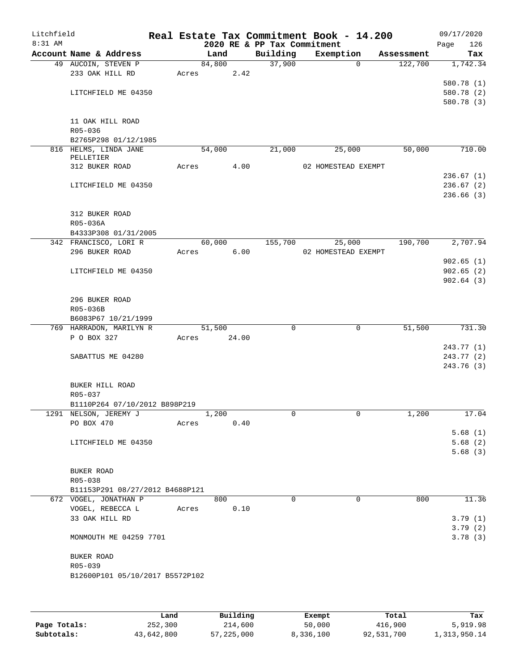| Litchfield |                 |                                 |       |        |       |                             | Real Estate Tax Commitment Book - 14.200 |             |            |      | 09/17/2020         |
|------------|-----------------|---------------------------------|-------|--------|-------|-----------------------------|------------------------------------------|-------------|------------|------|--------------------|
| 8:31 AM    |                 |                                 |       |        |       | 2020 RE & PP Tax Commitment |                                          |             |            | Page | 126                |
|            |                 | Account Name & Address          |       | Land   |       | Building                    | Exemption                                |             | Assessment |      | Tax                |
|            |                 | 49 AUCOIN, STEVEN P             |       | 84,800 |       | 37,900                      |                                          | 0           | 122,700    |      | 1,742.34           |
|            |                 | 233 OAK HILL RD                 | Acres |        | 2.42  |                             |                                          |             |            |      |                    |
|            |                 |                                 |       |        |       |                             |                                          |             |            |      | 580.78 (1)         |
|            |                 | LITCHFIELD ME 04350             |       |        |       |                             |                                          |             |            |      | 580.78 (2)         |
|            |                 |                                 |       |        |       |                             |                                          |             |            |      | 580.78 (3)         |
|            |                 | 11 OAK HILL ROAD                |       |        |       |                             |                                          |             |            |      |                    |
|            | $R05 - 036$     |                                 |       |        |       |                             |                                          |             |            |      |                    |
|            |                 | B2765P298 01/12/1985            |       |        |       |                             |                                          |             |            |      |                    |
|            |                 | 816 HELMS, LINDA JANE           |       | 54,000 |       | 21,000                      | 25,000                                   |             | 50,000     |      | 710.00             |
|            | PELLETIER       |                                 |       |        |       |                             |                                          |             |            |      |                    |
|            | 312 BUKER ROAD  |                                 | Acres |        | 4.00  |                             | 02 HOMESTEAD EXEMPT                      |             |            |      |                    |
|            |                 |                                 |       |        |       |                             |                                          |             |            |      | 236.67(1)          |
|            |                 | LITCHFIELD ME 04350             |       |        |       |                             |                                          |             |            |      | 236.67(2)          |
|            |                 |                                 |       |        |       |                             |                                          |             |            |      | 236.66(3)          |
|            | 312 BUKER ROAD  |                                 |       |        |       |                             |                                          |             |            |      |                    |
|            | R05-036A        |                                 |       |        |       |                             |                                          |             |            |      |                    |
|            |                 | B4333P308 01/31/2005            |       |        |       |                             |                                          |             |            |      |                    |
|            |                 | 342 FRANCISCO, LORI R           |       | 60,000 |       | 155,700                     | 25,000                                   |             | 190,700    |      | 2,707.94           |
|            | 296 BUKER ROAD  |                                 | Acres |        | 6.00  |                             | 02 HOMESTEAD EXEMPT                      |             |            |      |                    |
|            |                 |                                 |       |        |       |                             |                                          |             |            |      | 902.65(1)          |
|            |                 | LITCHFIELD ME 04350             |       |        |       |                             |                                          |             |            |      | 902.65(2)          |
|            |                 |                                 |       |        |       |                             |                                          |             |            |      | 902.64(3)          |
|            |                 |                                 |       |        |       |                             |                                          |             |            |      |                    |
|            | 296 BUKER ROAD  |                                 |       |        |       |                             |                                          |             |            |      |                    |
|            | R05-036B        |                                 |       |        |       |                             |                                          |             |            |      |                    |
|            |                 | B6083P67 10/21/1999             |       |        |       |                             |                                          |             |            |      |                    |
|            |                 | 769 HARRADON, MARILYN R         |       | 51,500 |       | $\mathbf 0$                 |                                          | $\mathbf 0$ | 51,500     |      | 731.30             |
|            | P O BOX 327     |                                 | Acres |        | 24.00 |                             |                                          |             |            |      |                    |
|            |                 |                                 |       |        |       |                             |                                          |             |            |      | 243.77 (1)         |
|            |                 | SABATTUS ME 04280               |       |        |       |                             |                                          |             |            |      | 243.77 (2)         |
|            |                 |                                 |       |        |       |                             |                                          |             |            |      | 243.76 (3)         |
|            | BUKER HILL ROAD |                                 |       |        |       |                             |                                          |             |            |      |                    |
|            | R05-037         |                                 |       |        |       |                             |                                          |             |            |      |                    |
|            |                 | B1110P264 07/10/2012 B898P219   |       |        |       |                             |                                          |             |            |      |                    |
|            |                 | 1291 NELSON, JEREMY J           |       | 1,200  |       | 0                           |                                          | 0           | 1,200      |      | 17.04              |
|            | PO BOX 470      |                                 | Acres |        | 0.40  |                             |                                          |             |            |      |                    |
|            |                 |                                 |       |        |       |                             |                                          |             |            |      | 5.68(1)            |
|            |                 | LITCHFIELD ME 04350             |       |        |       |                             |                                          |             |            |      | 5.68(2)            |
|            |                 |                                 |       |        |       |                             |                                          |             |            |      | 5.68(3)            |
|            |                 |                                 |       |        |       |                             |                                          |             |            |      |                    |
|            | BUKER ROAD      |                                 |       |        |       |                             |                                          |             |            |      |                    |
|            | R05-038         |                                 |       |        |       |                             |                                          |             |            |      |                    |
|            |                 | B11153P291 08/27/2012 B4688P121 |       |        |       |                             |                                          |             |            |      |                    |
|            |                 | 672 VOGEL, JONATHAN P           |       | 800    |       | $\Omega$                    |                                          | $\Omega$    | 800        |      | 11.36              |
|            | 33 OAK HILL RD  | VOGEL, REBECCA L                | Acres |        | 0.10  |                             |                                          |             |            |      |                    |
|            |                 |                                 |       |        |       |                             |                                          |             |            |      | 3.79(1)<br>3.79(2) |
|            |                 | MONMOUTH ME 04259 7701          |       |        |       |                             |                                          |             |            |      | 3.78(3)            |
|            |                 |                                 |       |        |       |                             |                                          |             |            |      |                    |
|            | BUKER ROAD      |                                 |       |        |       |                             |                                          |             |            |      |                    |
|            | R05-039         |                                 |       |        |       |                             |                                          |             |            |      |                    |
|            |                 | B12600P101 05/10/2017 B5572P102 |       |        |       |                             |                                          |             |            |      |                    |
|            |                 |                                 |       |        |       |                             |                                          |             |            |      |                    |
|            |                 |                                 |       |        |       |                             |                                          |             |            |      |                    |
|            |                 |                                 |       |        |       |                             |                                          |             |            |      |                    |

|              | Land       | Building     | Exempt    | Total      | Tax          |
|--------------|------------|--------------|-----------|------------|--------------|
| Page Totals: | 252,300    | 214,600      | 50,000    | 416,900    | 5,919.98     |
| Subtotals:   | 43,642,800 | 57, 225, 000 | 8,336,100 | 92,531,700 | 1,313,950.14 |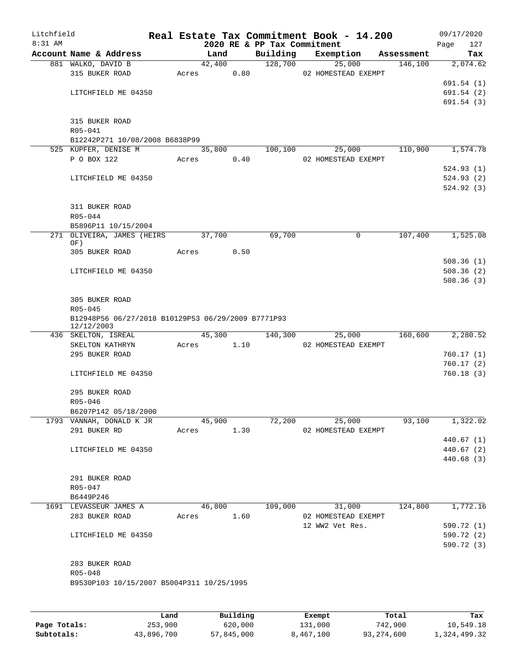| Litchfield<br>8:31 AM |                                                    |       |            |      |                                         | Real Estate Tax Commitment Book - 14.200 |            | 09/17/2020               |
|-----------------------|----------------------------------------------------|-------|------------|------|-----------------------------------------|------------------------------------------|------------|--------------------------|
|                       | Account Name & Address                             |       | Land       |      | 2020 RE & PP Tax Commitment<br>Building | Exemption                                | Assessment | 127<br>Page<br>Tax       |
|                       | 881 WALKO, DAVID B                                 |       | 42,400     |      | 128,700                                 | 25,000                                   |            | 146,100<br>2,074.62      |
|                       | 315 BUKER ROAD                                     | Acres | 0.80       |      |                                         | 02 HOMESTEAD EXEMPT                      |            |                          |
|                       |                                                    |       |            |      |                                         |                                          |            | 691.54(1)                |
|                       | LITCHFIELD ME 04350                                |       |            |      |                                         |                                          |            | 691.54(2)                |
|                       |                                                    |       |            |      |                                         |                                          |            | 691.54(3)                |
|                       |                                                    |       |            |      |                                         |                                          |            |                          |
|                       | 315 BUKER ROAD                                     |       |            |      |                                         |                                          |            |                          |
|                       | R05-041<br>B12242P271 10/08/2008 B6838P99          |       |            |      |                                         |                                          |            |                          |
|                       | 525 KUPFER, DENISE M                               |       | 35,800     |      | 100,100                                 | 25,000                                   | 110,900    | 1,574.78                 |
|                       | P O BOX 122                                        | Acres |            | 0.40 |                                         | 02 HOMESTEAD EXEMPT                      |            |                          |
|                       |                                                    |       |            |      |                                         |                                          |            | 524.93(1)                |
|                       | LITCHFIELD ME 04350                                |       |            |      |                                         |                                          |            | 524.93(2)                |
|                       |                                                    |       |            |      |                                         |                                          |            | 524.92(3)                |
|                       |                                                    |       |            |      |                                         |                                          |            |                          |
|                       | 311 BUKER ROAD                                     |       |            |      |                                         |                                          |            |                          |
|                       | $R05 - 044$                                        |       |            |      |                                         |                                          |            |                          |
|                       | B5896P11 10/15/2004<br>271 OLIVEIRA, JAMES (HEIRS  |       | 37,700     |      | 69,700                                  | 0                                        |            | 107,400<br>1,525.08      |
|                       | OF)                                                |       |            |      |                                         |                                          |            |                          |
|                       | 305 BUKER ROAD                                     | Acres |            | 0.50 |                                         |                                          |            |                          |
|                       |                                                    |       |            |      |                                         |                                          |            | 508.36(1)                |
|                       | LITCHFIELD ME 04350                                |       |            |      |                                         |                                          |            | 508.36(2)                |
|                       |                                                    |       |            |      |                                         |                                          |            | 508.36(3)                |
|                       | 305 BUKER ROAD                                     |       |            |      |                                         |                                          |            |                          |
|                       | $R05 - 045$                                        |       |            |      |                                         |                                          |            |                          |
|                       | B12948P56 06/27/2018 B10129P53 06/29/2009 B7771P93 |       |            |      |                                         |                                          |            |                          |
|                       | 12/12/2003                                         |       |            |      |                                         |                                          |            |                          |
|                       | 436 SKELTON, ISREAL                                |       | 45,300     |      | 140,300                                 | 25,000                                   | 160,600    | 2,280.52                 |
|                       | SKELTON KATHRYN                                    | Acres | 1.10       |      |                                         | 02 HOMESTEAD EXEMPT                      |            |                          |
|                       | 295 BUKER ROAD                                     |       |            |      |                                         |                                          |            | 760.17(1)<br>760.17(2)   |
|                       | LITCHFIELD ME 04350                                |       |            |      |                                         |                                          |            | 760.18(3)                |
|                       |                                                    |       |            |      |                                         |                                          |            |                          |
|                       | 295 BUKER ROAD                                     |       |            |      |                                         |                                          |            |                          |
|                       | R05-046                                            |       |            |      |                                         |                                          |            |                          |
|                       | B6207P142 05/18/2000                               |       |            |      |                                         |                                          |            |                          |
|                       | 1793 VANNAH, DONALD K JR                           |       |            |      | 45,900 72,200                           | 25,000                                   |            | 1,322.02<br>93,100       |
|                       | 291 BUKER RD                                       |       | Acres 1.30 |      |                                         | 02 HOMESTEAD EXEMPT                      |            |                          |
|                       |                                                    |       |            |      |                                         |                                          |            | 440.67(1)                |
|                       | LITCHFIELD ME 04350                                |       |            |      |                                         |                                          |            | 440.67 (2)<br>440.68 (3) |
|                       |                                                    |       |            |      |                                         |                                          |            |                          |
|                       | 291 BUKER ROAD                                     |       |            |      |                                         |                                          |            |                          |
|                       | R05-047                                            |       |            |      |                                         |                                          |            |                          |
|                       | B6449P246                                          |       |            |      |                                         |                                          |            |                          |
|                       | 1691 LEVASSEUR JAMES A                             |       | 46,800     |      |                                         | $109,000$ $31,000$                       |            | 1,772.16<br>124,800      |
|                       | 283 BUKER ROAD                                     |       | Acres 1.60 |      |                                         | 02 HOMESTEAD EXEMPT                      |            |                          |
|                       |                                                    |       |            |      |                                         | 12 WW2 Vet Res.                          |            | 590.72 (1)               |
|                       | LITCHFIELD ME 04350                                |       |            |      |                                         |                                          |            | 590.72 (2)               |
|                       |                                                    |       |            |      |                                         |                                          |            | 590.72 (3)               |
|                       | 283 BUKER ROAD                                     |       |            |      |                                         |                                          |            |                          |
|                       | R05-048                                            |       |            |      |                                         |                                          |            |                          |
|                       | B9530P103 10/15/2007 B5004P311 10/25/1995          |       |            |      |                                         |                                          |            |                          |
|                       |                                                    |       |            |      |                                         |                                          |            |                          |
|                       |                                                    |       |            |      |                                         |                                          |            |                          |
|                       |                                                    |       |            |      |                                         |                                          |            |                          |

|              | Land       | Building   | Exempt    | Total      | Tax          |
|--------------|------------|------------|-----------|------------|--------------|
| Page Totals: | 253,900    | 620,000    | 131,000   | 742,900    | 10,549.18    |
| Subtotals:   | 43,896,700 | 57,845,000 | 8,467,100 | 93,274,600 | 1,324,499.32 |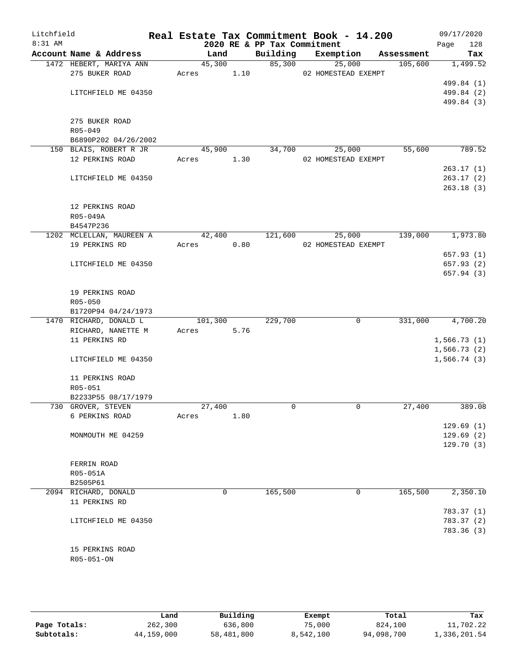| Litchfield<br>8:31 AM |                            |            |      | 2020 RE & PP Tax Commitment | Real Estate Tax Commitment Book - 14.200 |            | 09/17/2020<br>128<br>Page |
|-----------------------|----------------------------|------------|------|-----------------------------|------------------------------------------|------------|---------------------------|
|                       | Account Name & Address     | Land       |      | Building                    | Exemption                                | Assessment | Tax                       |
|                       | 1472 HEBERT, MARIYA ANN    | 45,300     |      |                             | 85,300<br>25,000                         | 105,600    | 1,499.52                  |
|                       | 275 BUKER ROAD             | Acres 1.10 |      |                             | 02 HOMESTEAD EXEMPT                      |            |                           |
|                       |                            |            |      |                             |                                          |            | 499.84 (1)                |
|                       | LITCHFIELD ME 04350        |            |      |                             |                                          |            | 499.84 (2)                |
|                       |                            |            |      |                             |                                          |            | 499.84 (3)                |
|                       |                            |            |      |                             |                                          |            |                           |
|                       | 275 BUKER ROAD             |            |      |                             |                                          |            |                           |
|                       | R05-049                    |            |      |                             |                                          |            |                           |
|                       | B6890P202 04/26/2002       |            |      |                             |                                          |            |                           |
|                       | 150 BLAIS, ROBERT R JR     | 45,900     |      | 34,700                      | 25,000                                   | 55,600     | 789.52                    |
|                       | 12 PERKINS ROAD            | Acres 1.30 |      |                             | 02 HOMESTEAD EXEMPT                      |            |                           |
|                       |                            |            |      |                             |                                          |            | 263.17(1)<br>263.17(2)    |
|                       | LITCHFIELD ME 04350        |            |      |                             |                                          |            | 263.18(3)                 |
|                       |                            |            |      |                             |                                          |            |                           |
|                       | 12 PERKINS ROAD            |            |      |                             |                                          |            |                           |
|                       | R05-049A                   |            |      |                             |                                          |            |                           |
|                       | B4547P236                  |            |      |                             |                                          |            |                           |
|                       | 1202 MCLELLAN, MAUREEN A   | 42,400     |      | 121,600                     | 25,000                                   | 139,000    | 1,973.80                  |
|                       | 19 PERKINS RD              | Acres      | 0.80 |                             | 02 HOMESTEAD EXEMPT                      |            |                           |
|                       |                            |            |      |                             |                                          |            | 657.93(1)                 |
|                       | LITCHFIELD ME 04350        |            |      |                             |                                          |            | 657.93 (2)                |
|                       |                            |            |      |                             |                                          |            | 657.94(3)                 |
|                       |                            |            |      |                             |                                          |            |                           |
|                       | 19 PERKINS ROAD            |            |      |                             |                                          |            |                           |
|                       | $R05 - 050$                |            |      |                             |                                          |            |                           |
|                       | B1720P94 04/24/1973        |            |      |                             |                                          |            |                           |
|                       | 1470 RICHARD, DONALD L     | 101,300    |      | 229,700                     | $\mathbf 0$                              | 331,000    | $\overline{4,700.20}$     |
|                       | RICHARD, NANETTE M         | Acres      | 5.76 |                             |                                          |            |                           |
|                       | 11 PERKINS RD              |            |      |                             |                                          |            | 1,566.73(1)               |
|                       |                            |            |      |                             |                                          |            | 1,566.73(2)               |
|                       | LITCHFIELD ME 04350        |            |      |                             |                                          |            | 1,566.74(3)               |
|                       |                            |            |      |                             |                                          |            |                           |
|                       | 11 PERKINS ROAD<br>R05-051 |            |      |                             |                                          |            |                           |
|                       | B2233P55 08/17/1979        |            |      |                             |                                          |            |                           |
|                       | 730 GROVER, STEVEN         | 27,400     |      | $\Omega$                    | $\mathbf 0$                              | 27,400     | 389.08                    |
|                       | 6 PERKINS ROAD             | Acres      | 1.80 |                             |                                          |            |                           |
|                       |                            |            |      |                             |                                          |            | 129.69(1)                 |
|                       | MONMOUTH ME 04259          |            |      |                             |                                          |            | 129.69(2)                 |
|                       |                            |            |      |                             |                                          |            | 129.70(3)                 |
|                       |                            |            |      |                             |                                          |            |                           |
|                       | FERRIN ROAD                |            |      |                             |                                          |            |                           |
|                       | R05-051A                   |            |      |                             |                                          |            |                           |
|                       | B2505P61                   |            |      |                             |                                          |            |                           |
|                       | 2094 RICHARD, DONALD       | 0          |      | 165,500                     | 0                                        | 165,500    | 2,350.10                  |
|                       | 11 PERKINS RD              |            |      |                             |                                          |            |                           |
|                       |                            |            |      |                             |                                          |            | 783.37 (1)                |
|                       | LITCHFIELD ME 04350        |            |      |                             |                                          |            | 783.37 (2)                |
|                       |                            |            |      |                             |                                          |            | 783.36(3)                 |
|                       |                            |            |      |                             |                                          |            |                           |
|                       | 15 PERKINS ROAD            |            |      |                             |                                          |            |                           |
|                       | R05-051-ON                 |            |      |                             |                                          |            |                           |
|                       |                            |            |      |                             |                                          |            |                           |

|              | Land       | Building   | Exempt    | Total      | Tax          |
|--------------|------------|------------|-----------|------------|--------------|
| Page Totals: | 262,300    | 636,800    | 75,000    | 824,100    | 11,702.22    |
| Subtotals:   | 44,159,000 | 58,481,800 | 8,542,100 | 94,098,700 | 1,336,201.54 |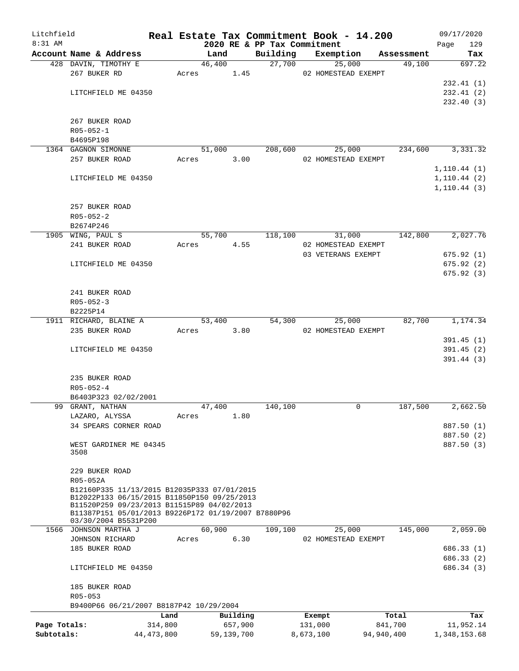| Litchfield   |                                                                                            | Real Estate Tax Commitment Book - 14.200 |                 |            |                             |           |                                           |            | 09/17/2020   |
|--------------|--------------------------------------------------------------------------------------------|------------------------------------------|-----------------|------------|-----------------------------|-----------|-------------------------------------------|------------|--------------|
| 8:31 AM      |                                                                                            |                                          |                 |            | 2020 RE & PP Tax Commitment |           |                                           |            | Page<br>129  |
|              | Account Name & Address                                                                     |                                          | Land            |            | Building                    |           | Exemption                                 | Assessment | Tax          |
|              | 428 DAVIN, TIMOTHY E<br>267 BUKER RD                                                       |                                          | 46,400<br>Acres | 1.45       | 27,700                      |           | 25,000<br>02 HOMESTEAD EXEMPT             | 49,100     | 697.22       |
|              |                                                                                            |                                          |                 |            |                             |           |                                           |            | 232.41(1)    |
|              | LITCHFIELD ME 04350                                                                        |                                          |                 |            |                             |           |                                           |            | 232.41(2)    |
|              |                                                                                            |                                          |                 |            |                             |           |                                           |            | 232.40 (3)   |
|              |                                                                                            |                                          |                 |            |                             |           |                                           |            |              |
|              | 267 BUKER ROAD                                                                             |                                          |                 |            |                             |           |                                           |            |              |
|              | $R05 - 052 - 1$                                                                            |                                          |                 |            |                             |           |                                           |            |              |
|              | B4695P198                                                                                  |                                          |                 |            |                             |           |                                           |            |              |
|              | 1364 GAGNON SIMONNE                                                                        |                                          | 51,000          |            | 208,600                     |           | 25,000                                    | 234,600    | 3,331.32     |
|              | 257 BUKER ROAD                                                                             | Acres                                    |                 | 3.00       |                             |           | 02 HOMESTEAD EXEMPT                       |            |              |
|              |                                                                                            |                                          |                 |            |                             |           |                                           |            | 1, 110.44(1) |
|              | LITCHFIELD ME 04350                                                                        |                                          |                 |            |                             |           |                                           |            | 1, 110.44(2) |
|              |                                                                                            |                                          |                 |            |                             |           |                                           |            | 1, 110.44(3) |
|              |                                                                                            |                                          |                 |            |                             |           |                                           |            |              |
|              | 257 BUKER ROAD                                                                             |                                          |                 |            |                             |           |                                           |            |              |
|              | $R05 - 052 - 2$                                                                            |                                          |                 |            |                             |           |                                           |            |              |
|              | B2674P246                                                                                  |                                          |                 |            |                             |           |                                           |            |              |
|              | 1905 WING, PAUL S                                                                          |                                          | 55,700          |            | 118,100                     |           | 31,000                                    | 142,800    | 2,027.76     |
|              | 241 BUKER ROAD                                                                             | Acres                                    |                 | 4.55       |                             |           | 02 HOMESTEAD EXEMPT<br>03 VETERANS EXEMPT |            | 675.92(1)    |
|              | LITCHFIELD ME 04350                                                                        |                                          |                 |            |                             |           |                                           |            | 675.92(2)    |
|              |                                                                                            |                                          |                 |            |                             |           |                                           |            | 675.92(3)    |
|              |                                                                                            |                                          |                 |            |                             |           |                                           |            |              |
|              | 241 BUKER ROAD                                                                             |                                          |                 |            |                             |           |                                           |            |              |
|              | $R05 - 052 - 3$                                                                            |                                          |                 |            |                             |           |                                           |            |              |
|              | B2225P14                                                                                   |                                          |                 |            |                             |           |                                           |            |              |
|              | 1911 RICHARD, BLAINE A                                                                     |                                          | 53,400          |            | 54,300                      |           | 25,000                                    | 82,700     | 1,174.34     |
|              | 235 BUKER ROAD                                                                             |                                          | Acres           | 3.80       |                             |           | 02 HOMESTEAD EXEMPT                       |            |              |
|              |                                                                                            |                                          |                 |            |                             |           |                                           |            | 391.45(1)    |
|              | LITCHFIELD ME 04350                                                                        |                                          |                 |            |                             |           |                                           |            | 391.45(2)    |
|              |                                                                                            |                                          |                 |            |                             |           |                                           |            | 391.44 (3)   |
|              |                                                                                            |                                          |                 |            |                             |           |                                           |            |              |
|              | 235 BUKER ROAD                                                                             |                                          |                 |            |                             |           |                                           |            |              |
|              | $R05 - 052 - 4$                                                                            |                                          |                 |            |                             |           |                                           |            |              |
|              | B6403P323 02/02/2001<br>99 GRANT, NATHAN                                                   |                                          | 47,400          |            | 140,100                     |           | 0                                         | 187,500    | 2,662.50     |
|              | LAZARO, ALYSSA                                                                             | Acres                                    |                 | 1.80       |                             |           |                                           |            |              |
|              | 34 SPEARS CORNER ROAD                                                                      |                                          |                 |            |                             |           |                                           |            | 887.50 (1)   |
|              |                                                                                            |                                          |                 |            |                             |           |                                           |            | 887.50 (2)   |
|              | WEST GARDINER ME 04345                                                                     |                                          |                 |            |                             |           |                                           |            | 887.50 (3)   |
|              | 3508                                                                                       |                                          |                 |            |                             |           |                                           |            |              |
|              |                                                                                            |                                          |                 |            |                             |           |                                           |            |              |
|              | 229 BUKER ROAD                                                                             |                                          |                 |            |                             |           |                                           |            |              |
|              | R05-052A                                                                                   |                                          |                 |            |                             |           |                                           |            |              |
|              | B12160P335 11/13/2015 B12035P333 07/01/2015<br>B12022P133 06/15/2015 B11850P150 09/25/2013 |                                          |                 |            |                             |           |                                           |            |              |
|              | B11520P259 09/23/2013 B11515P89 04/02/2013                                                 |                                          |                 |            |                             |           |                                           |            |              |
|              | B11387P151 05/01/2013 B9226P172 01/19/2007 B7880P96                                        |                                          |                 |            |                             |           |                                           |            |              |
|              | 03/30/2004 B5531P200<br>1566 JOHNSON MARTHA J                                              |                                          | 60,900          |            | 109,100                     |           | 25,000                                    | 145,000    | 2,059.00     |
|              | JOHNSON RICHARD                                                                            | Acres                                    |                 | 6.30       |                             |           | 02 HOMESTEAD EXEMPT                       |            |              |
|              | 185 BUKER ROAD                                                                             |                                          |                 |            |                             |           |                                           |            | 686.33(1)    |
|              |                                                                                            |                                          |                 |            |                             |           |                                           |            | 686.33(2)    |
|              | LITCHFIELD ME 04350                                                                        |                                          |                 |            |                             |           |                                           |            | 686.34 (3)   |
|              |                                                                                            |                                          |                 |            |                             |           |                                           |            |              |
|              | 185 BUKER ROAD                                                                             |                                          |                 |            |                             |           |                                           |            |              |
|              | $R05 - 053$                                                                                |                                          |                 |            |                             |           |                                           |            |              |
|              | B9400P66 06/21/2007 B8187P42 10/29/2004                                                    |                                          |                 |            |                             |           |                                           |            |              |
|              |                                                                                            | Land                                     |                 | Building   |                             | Exempt    |                                           | Total      | Tax          |
| Page Totals: |                                                                                            | 314,800                                  |                 | 657,900    |                             | 131,000   |                                           | 841,700    | 11,952.14    |
| Subtotals:   |                                                                                            | 44, 473, 800                             |                 | 59,139,700 |                             | 8,673,100 |                                           | 94,940,400 | 1,348,153.68 |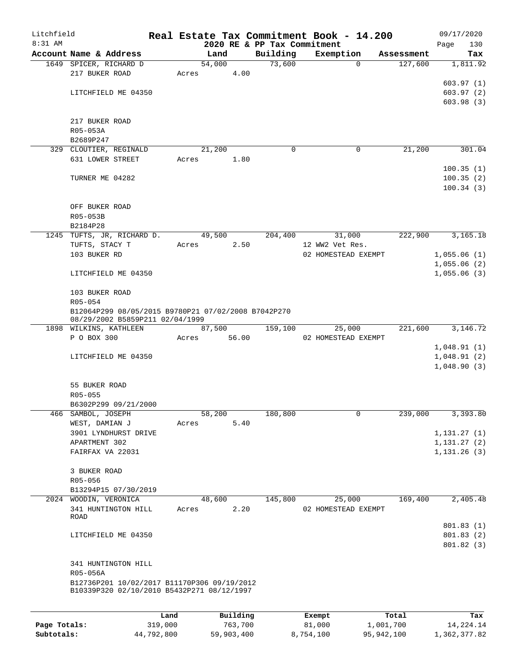| Litchfield |                                                     |       |        |       |                             | Real Estate Tax Commitment Book - 14.200 |            | 09/17/2020   |
|------------|-----------------------------------------------------|-------|--------|-------|-----------------------------|------------------------------------------|------------|--------------|
| $8:31$ AM  |                                                     |       |        |       | 2020 RE & PP Tax Commitment |                                          |            | 130<br>Page  |
|            | Account Name & Address                              |       | Land   |       | Building                    | Exemption                                | Assessment | Tax          |
|            | 1649 SPICER, RICHARD D                              |       | 54,000 |       | 73,600                      | $\mathbf 0$                              | 127,600    | 1,811.92     |
|            | 217 BUKER ROAD                                      | Acres |        | 4.00  |                             |                                          |            |              |
|            |                                                     |       |        |       |                             |                                          |            | 603.97(1)    |
|            | LITCHFIELD ME 04350                                 |       |        |       |                             |                                          |            | 603.97(2)    |
|            |                                                     |       |        |       |                             |                                          |            | 603.98(3)    |
|            |                                                     |       |        |       |                             |                                          |            |              |
|            | 217 BUKER ROAD                                      |       |        |       |                             |                                          |            |              |
|            | R05-053A                                            |       |        |       |                             |                                          |            |              |
|            | B2689P247<br>329 CLOUTIER, REGINALD                 |       | 21,200 |       | $\Omega$                    | 0                                        | 21,200     | 301.04       |
|            | 631 LOWER STREET                                    | Acres |        | 1.80  |                             |                                          |            |              |
|            |                                                     |       |        |       |                             |                                          |            | 100.35(1)    |
|            | TURNER ME 04282                                     |       |        |       |                             |                                          |            | 100.35(2)    |
|            |                                                     |       |        |       |                             |                                          |            | 100.34(3)    |
|            |                                                     |       |        |       |                             |                                          |            |              |
|            | OFF BUKER ROAD                                      |       |        |       |                             |                                          |            |              |
|            | R05-053B                                            |       |        |       |                             |                                          |            |              |
|            | B2184P28                                            |       |        |       |                             |                                          |            |              |
|            | 1245 TUFTS, JR, RICHARD D.                          |       | 49,500 |       | 204,400                     | 31,000                                   | 222,900    | 3,165.18     |
|            | TUFTS, STACY T                                      | Acres |        | 2.50  |                             | 12 WW2 Vet Res.                          |            |              |
|            | 103 BUKER RD                                        |       |        |       |                             | 02 HOMESTEAD EXEMPT                      |            | 1,055.06(1)  |
|            |                                                     |       |        |       |                             |                                          |            | 1,055.06(2)  |
|            | LITCHFIELD ME 04350                                 |       |        |       |                             |                                          |            | 1,055.06(3)  |
|            |                                                     |       |        |       |                             |                                          |            |              |
|            | 103 BUKER ROAD                                      |       |        |       |                             |                                          |            |              |
|            | R05-054                                             |       |        |       |                             |                                          |            |              |
|            | B12064P299 08/05/2015 B9780P21 07/02/2008 B7042P270 |       |        |       |                             |                                          |            |              |
|            | 08/29/2002 B5859P211 02/04/1999                     |       |        |       |                             |                                          |            |              |
|            | 1898 WILKINS, KATHLEEN                              |       | 87,500 |       | 159,100                     | 25,000                                   | 221,600    | 3,146.72     |
|            | P O BOX 300                                         | Acres |        | 56.00 |                             | 02 HOMESTEAD EXEMPT                      |            |              |
|            |                                                     |       |        |       |                             |                                          |            | 1,048.91(1)  |
|            | LITCHFIELD ME 04350                                 |       |        |       |                             |                                          |            | 1,048.91(2)  |
|            |                                                     |       |        |       |                             |                                          |            | 1,048.90(3)  |
|            |                                                     |       |        |       |                             |                                          |            |              |
|            | 55 BUKER ROAD                                       |       |        |       |                             |                                          |            |              |
|            | R05-055                                             |       |        |       |                             |                                          |            |              |
|            | B6302P299 09/21/2000                                |       |        |       |                             |                                          |            |              |
| 466        | SAMBOL, JOSEPH                                      |       | 58,200 |       | 180,800                     | 0                                        | 239,000    | 3,393.80     |
|            | WEST, DAMIAN J                                      | Acres |        | 5.40  |                             |                                          |            |              |
|            | 3901 LYNDHURST DRIVE                                |       |        |       |                             |                                          |            | 1,131.27(1)  |
|            | APARTMENT 302                                       |       |        |       |                             |                                          |            | 1, 131.27(2) |
|            | FAIRFAX VA 22031                                    |       |        |       |                             |                                          |            | 1, 131.26(3) |
|            | 3 BUKER ROAD                                        |       |        |       |                             |                                          |            |              |
|            | R05-056                                             |       |        |       |                             |                                          |            |              |
|            | B13294P15 07/30/2019                                |       |        |       |                             |                                          |            |              |
|            | 2024 WOODIN, VERONICA                               |       | 48,600 |       | 145,800                     | 25,000                                   | 169,400    | 2,405.48     |
|            | 341 HUNTINGTON HILL                                 | Acres |        | 2.20  |                             | 02 HOMESTEAD EXEMPT                      |            |              |
|            | ROAD                                                |       |        |       |                             |                                          |            |              |
|            |                                                     |       |        |       |                             |                                          |            | 801.83(1)    |
|            | LITCHFIELD ME 04350                                 |       |        |       |                             |                                          |            | 801.83(2)    |
|            |                                                     |       |        |       |                             |                                          |            | 801.82(3)    |
|            |                                                     |       |        |       |                             |                                          |            |              |
|            | 341 HUNTINGTON HILL                                 |       |        |       |                             |                                          |            |              |
|            | R05-056A                                            |       |        |       |                             |                                          |            |              |
|            | B12736P201 10/02/2017 B11170P306 09/19/2012         |       |        |       |                             |                                          |            |              |
|            | B10339P320 02/10/2010 B5432P271 08/12/1997          |       |        |       |                             |                                          |            |              |
|            |                                                     |       |        |       |                             |                                          |            |              |
|            |                                                     |       |        |       |                             |                                          |            |              |

|              | Land       | Building   | Exempt    | Total      | Tax          |
|--------------|------------|------------|-----------|------------|--------------|
| Page Totals: | 319,000    | 763,700    | 81,000    | 1,001,700  | 14,224.14    |
| Subtotals:   | 44,792,800 | 59,903,400 | 8,754,100 | 95,942,100 | 1,362,377.82 |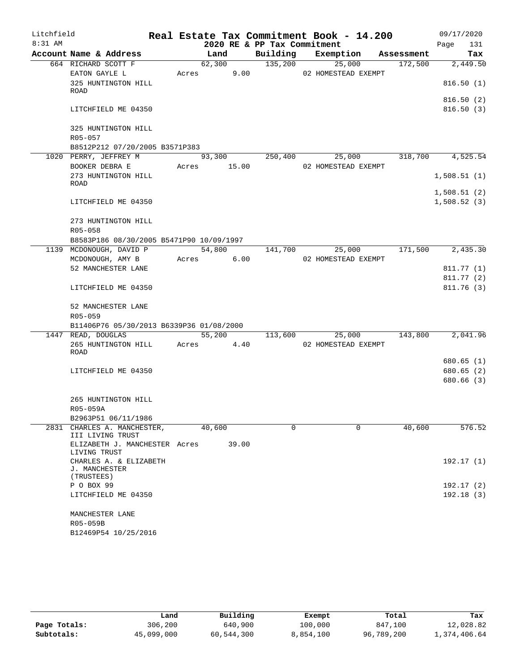| Litchfield |                                                                |       |             |                             | Real Estate Tax Commitment Book - 14.200 |            | 09/17/2020  |            |
|------------|----------------------------------------------------------------|-------|-------------|-----------------------------|------------------------------------------|------------|-------------|------------|
| 8:31 AM    |                                                                |       |             | 2020 RE & PP Tax Commitment |                                          |            | Page        | 131        |
|            | Account Name & Address                                         |       | Land        |                             | Building Exemption                       | Assessment |             | Tax        |
|            | 664 RICHARD SCOTT F                                            |       | 62,300      | 135,200                     | 25,000                                   | 172,500    |             | 2,449.50   |
|            | EATON GAYLE L                                                  | Acres | 9.00        |                             | 02 HOMESTEAD EXEMPT                      |            |             |            |
|            | 325 HUNTINGTON HILL                                            |       |             |                             |                                          |            |             | 816.50(1)  |
|            | ROAD                                                           |       |             |                             |                                          |            |             | 816.50(2)  |
|            | LITCHFIELD ME 04350                                            |       |             |                             |                                          |            |             | 816.50(3)  |
|            |                                                                |       |             |                             |                                          |            |             |            |
|            | 325 HUNTINGTON HILL                                            |       |             |                             |                                          |            |             |            |
|            | R05-057                                                        |       |             |                             |                                          |            |             |            |
|            | B8512P212 07/20/2005 B3571P383                                 |       |             |                             |                                          |            |             |            |
|            | 1020 PERRY, JEFFREY M                                          |       | 93,300      | 250,400                     | 25,000                                   | 318,700    |             | 4,525.54   |
|            | BOOKER DEBRA E                                                 |       | Acres 15.00 |                             | 02 HOMESTEAD EXEMPT                      |            |             |            |
|            | 273 HUNTINGTON HILL                                            |       |             |                             |                                          |            | 1,508.51(1) |            |
|            | ROAD                                                           |       |             |                             |                                          |            | 1,508.51(2) |            |
|            | LITCHFIELD ME 04350                                            |       |             |                             |                                          |            | 1,508.52(3) |            |
|            |                                                                |       |             |                             |                                          |            |             |            |
|            | 273 HUNTINGTON HILL                                            |       |             |                             |                                          |            |             |            |
|            | R05-058                                                        |       |             |                             |                                          |            |             |            |
|            | B8583P186 08/30/2005 B5471P90 10/09/1997                       |       |             |                             |                                          |            |             |            |
|            | 1139 MCDONOUGH, DAVID P                                        |       | 54,800      | $1\overline{41,700}$        | 25,000                                   | 171,500    |             | 2,435.30   |
|            | MCDONOUGH, AMY B                                               | Acres | 6.00        |                             | 02 HOMESTEAD EXEMPT                      |            |             |            |
|            | 52 MANCHESTER LANE                                             |       |             |                             |                                          |            |             | 811.77 (1) |
|            |                                                                |       |             |                             |                                          |            |             | 811.77(2)  |
|            | LITCHFIELD ME 04350                                            |       |             |                             |                                          |            |             | 811.76(3)  |
|            |                                                                |       |             |                             |                                          |            |             |            |
|            | 52 MANCHESTER LANE                                             |       |             |                             |                                          |            |             |            |
|            | R05-059                                                        |       |             |                             |                                          |            |             |            |
|            | B11406P76 05/30/2013 B6339P36 01/08/2000<br>1447 READ, DOUGLAS |       | 55,200      | 113,600                     | 25,000                                   | 143,800    |             | 2,041.96   |
|            | 265 HUNTINGTON HILL                                            | Acres | 4.40        |                             | 02 HOMESTEAD EXEMPT                      |            |             |            |
|            | ROAD                                                           |       |             |                             |                                          |            |             |            |
|            |                                                                |       |             |                             |                                          |            |             | 680.65 (1) |
|            | LITCHFIELD ME 04350                                            |       |             |                             |                                          |            |             | 680.65(2)  |
|            |                                                                |       |             |                             |                                          |            |             | 680.66 (3) |
|            |                                                                |       |             |                             |                                          |            |             |            |
|            | 265 HUNTINGTON HILL                                            |       |             |                             |                                          |            |             |            |
|            | R05-059A                                                       |       |             |                             |                                          |            |             |            |
|            | B2963P51 06/11/1986                                            |       |             |                             |                                          |            |             |            |
|            | 2831 CHARLES A. MANCHESTER,<br>III LIVING TRUST                |       | 40,600      | $\Omega$                    | $\Omega$                                 | 40,600     |             | 576.52     |
|            | ELIZABETH J. MANCHESTER Acres<br>LIVING TRUST                  |       | 39.00       |                             |                                          |            |             |            |
|            | CHARLES A. & ELIZABETH                                         |       |             |                             |                                          |            |             | 192.17 (1) |
|            | J. MANCHESTER                                                  |       |             |                             |                                          |            |             |            |
|            | (TRUSTEES)                                                     |       |             |                             |                                          |            |             |            |
|            | P O BOX 99                                                     |       |             |                             |                                          |            |             | 192.17 (2) |
|            | LITCHFIELD ME 04350                                            |       |             |                             |                                          |            |             | 192.18(3)  |
|            | MANCHESTER LANE                                                |       |             |                             |                                          |            |             |            |
|            | R05-059B                                                       |       |             |                             |                                          |            |             |            |
|            | B12469P54 10/25/2016                                           |       |             |                             |                                          |            |             |            |
|            |                                                                |       |             |                             |                                          |            |             |            |

|              | Land       | Building   | Exempt    | Total      | Tax          |
|--------------|------------|------------|-----------|------------|--------------|
| Page Totals: | 306,200    | 640,900    | 100,000   | 847,100    | 12,028.82    |
| Subtotals:   | 45,099,000 | 60,544,300 | 8,854,100 | 96,789,200 | 1,374,406.64 |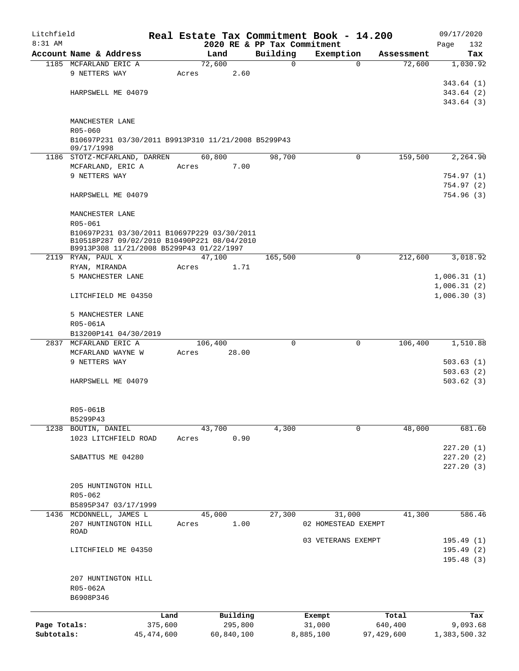| Litchfield<br>$8:31$ AM |                                                     |              |            |         | 2020 RE & PP Tax Commitment | Real Estate Tax Commitment Book - 14.200 |            |            | 09/17/2020<br>132<br>Page |
|-------------------------|-----------------------------------------------------|--------------|------------|---------|-----------------------------|------------------------------------------|------------|------------|---------------------------|
|                         | Account Name & Address                              |              | Land       |         | Building                    | Exemption                                |            | Assessment | Tax                       |
|                         | 1185 MCFARLAND ERIC A                               |              | 72,600     |         | $\Omega$                    | $\Omega$                                 |            | 72,600     | 1,030.92                  |
|                         | 9 NETTERS WAY                                       |              | Acres      | 2.60    |                             |                                          |            |            |                           |
|                         |                                                     |              |            |         |                             |                                          |            |            | 343.64 (1)                |
|                         | HARPSWELL ME 04079                                  |              |            |         |                             |                                          |            |            | 343.64(2)                 |
|                         |                                                     |              |            |         |                             |                                          |            |            | 343.64(3)                 |
|                         |                                                     |              |            |         |                             |                                          |            |            |                           |
|                         | MANCHESTER LANE                                     |              |            |         |                             |                                          |            |            |                           |
|                         | R05-060                                             |              |            |         |                             |                                          |            |            |                           |
|                         | B10697P231 03/30/2011 B9913P310 11/21/2008 B5299P43 |              |            |         |                             |                                          |            |            |                           |
|                         | 09/17/1998                                          |              |            |         |                             |                                          |            |            |                           |
|                         | 1186 STOTZ-MCFARLAND, DARREN                        |              | 60,800     |         | 98,700                      | $\Omega$                                 |            | 159,500    | 2,264.90                  |
|                         | MCFARLAND, ERIC A                                   |              | Acres      | 7.00    |                             |                                          |            |            |                           |
|                         | 9 NETTERS WAY                                       |              |            |         |                             |                                          |            |            | 754.97 (1)                |
|                         |                                                     |              |            |         |                             |                                          |            |            | 754.97 (2)                |
|                         | HARPSWELL ME 04079                                  |              |            |         |                             |                                          |            |            | 754.96 (3)                |
|                         |                                                     |              |            |         |                             |                                          |            |            |                           |
|                         | MANCHESTER LANE                                     |              |            |         |                             |                                          |            |            |                           |
|                         | R05-061                                             |              |            |         |                             |                                          |            |            |                           |
|                         | B10697P231 03/30/2011 B10697P229 03/30/2011         |              |            |         |                             |                                          |            |            |                           |
|                         | B10518P287 09/02/2010 B10490P221 08/04/2010         |              |            |         |                             |                                          |            |            |                           |
|                         | B9913P308 11/21/2008 B5299P43 01/22/1997            |              |            |         |                             |                                          |            |            |                           |
|                         | 2119 RYAN, PAUL X                                   |              | 47,100     |         | 165,500                     | 0                                        |            | 212,600    | 3,018.92                  |
|                         | RYAN, MIRANDA                                       |              | Acres      | 1.71    |                             |                                          |            |            |                           |
|                         | 5 MANCHESTER LANE                                   |              |            |         |                             |                                          |            |            | 1,006.31(1)               |
|                         |                                                     |              |            |         |                             |                                          |            |            | 1,006.31(2)               |
|                         | LITCHFIELD ME 04350                                 |              |            |         |                             |                                          |            |            | 1,006.30(3)               |
|                         |                                                     |              |            |         |                             |                                          |            |            |                           |
|                         | 5 MANCHESTER LANE                                   |              |            |         |                             |                                          |            |            |                           |
|                         | R05-061A                                            |              |            |         |                             |                                          |            |            |                           |
|                         | B13200P141 04/30/2019                               |              |            |         |                             |                                          |            |            |                           |
|                         | 2837 MCFARLAND ERIC A                               |              | 106,400    |         | $\Omega$                    | 0                                        |            | 106,400    | 1,510.88                  |
|                         | MCFARLAND WAYNE W                                   |              | Acres      | 28.00   |                             |                                          |            |            |                           |
|                         | 9 NETTERS WAY                                       |              |            |         |                             |                                          |            |            | 503.63(1)                 |
|                         |                                                     |              |            |         |                             |                                          |            |            | 503.63(2)                 |
|                         | HARPSWELL ME 04079                                  |              |            |         |                             |                                          |            |            | 503.62(3)                 |
|                         |                                                     |              |            |         |                             |                                          |            |            |                           |
|                         |                                                     |              |            |         |                             |                                          |            |            |                           |
|                         | R05-061B                                            |              |            |         |                             |                                          |            |            |                           |
|                         | B5299P43                                            |              |            |         |                             |                                          |            |            |                           |
| 1238                    | BOUTIN, DANIEL                                      |              | 43,700     |         | 4,300                       | 0                                        |            | 48,000     | 681.60                    |
|                         | 1023 LITCHFIELD ROAD                                |              | Acres      | 0.90    |                             |                                          |            |            |                           |
|                         |                                                     |              |            |         |                             |                                          |            |            | 227.20(1)                 |
|                         | SABATTUS ME 04280                                   |              |            |         |                             |                                          |            |            | 227.20(2)                 |
|                         |                                                     |              |            |         |                             |                                          |            |            | 227.20(3)                 |
|                         |                                                     |              |            |         |                             |                                          |            |            |                           |
|                         | 205 HUNTINGTON HILL                                 |              |            |         |                             |                                          |            |            |                           |
|                         | R05-062                                             |              |            |         |                             |                                          |            |            |                           |
|                         | B5895P347 03/17/1999                                |              |            |         |                             |                                          |            |            |                           |
|                         | 1436 MCDONNELL, JAMES L                             |              | 45,000     |         | 27,300                      | 31,000                                   |            | 41,300     | 586.46                    |
|                         | 207 HUNTINGTON HILL                                 |              | Acres      | 1.00    |                             | 02 HOMESTEAD EXEMPT                      |            |            |                           |
|                         | ROAD                                                |              |            |         |                             |                                          |            |            |                           |
|                         |                                                     |              |            |         |                             | 03 VETERANS EXEMPT                       |            |            | 195.49(1)                 |
|                         | LITCHFIELD ME 04350                                 |              |            |         |                             |                                          |            |            | 195.49(2)                 |
|                         |                                                     |              |            |         |                             |                                          |            |            | 195.48(3)                 |
|                         |                                                     |              |            |         |                             |                                          |            |            |                           |
|                         | 207 HUNTINGTON HILL                                 |              |            |         |                             |                                          |            |            |                           |
|                         | R05-062A                                            |              |            |         |                             |                                          |            |            |                           |
|                         | B6908P346                                           |              |            |         |                             |                                          |            |            |                           |
|                         |                                                     |              |            |         |                             |                                          |            |            |                           |
|                         |                                                     | Land         | Building   |         |                             | Exempt                                   |            | Total      | Tax                       |
| Page Totals:            |                                                     | 375,600      |            | 295,800 |                             | 31,000                                   | 640,400    |            | 9,093.68                  |
| Subtotals:              |                                                     | 45, 474, 600 | 60,840,100 |         |                             | 8,885,100                                | 97,429,600 |            | 1,383,500.32              |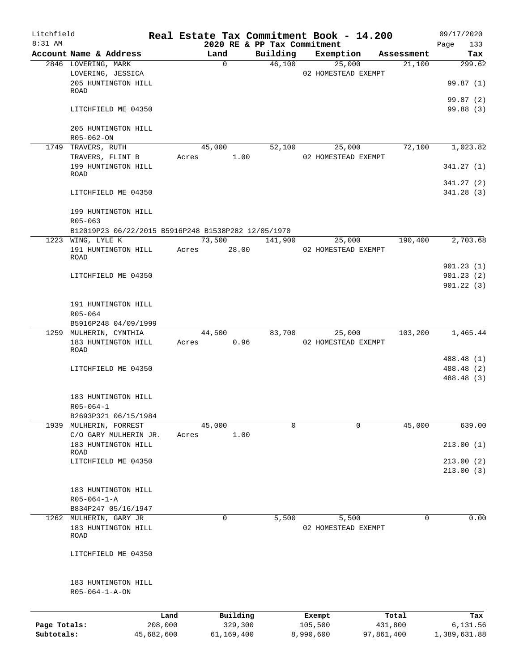| Litchfield   |                                                     |       |                     |                             | Real Estate Tax Commitment Book - 14.200 |                  | 09/17/2020               |
|--------------|-----------------------------------------------------|-------|---------------------|-----------------------------|------------------------------------------|------------------|--------------------------|
| 8:31 AM      |                                                     |       |                     | 2020 RE & PP Tax Commitment |                                          |                  | Page<br>133              |
|              | Account Name & Address                              |       | Land                | Building                    | Exemption                                | Assessment       | Tax                      |
|              | 2846 LOVERING, MARK                                 |       | 0                   | 46,100                      | 25,000                                   | 21,100           | 299.62                   |
|              | LOVERING, JESSICA<br>205 HUNTINGTON HILL            |       |                     |                             | 02 HOMESTEAD EXEMPT                      |                  | 99.87(1)                 |
|              | ROAD                                                |       |                     |                             |                                          |                  | 99.87 (2)                |
|              | LITCHFIELD ME 04350                                 |       |                     |                             |                                          |                  | 99.88 (3)                |
|              | 205 HUNTINGTON HILL<br>R05-062-ON                   |       |                     |                             |                                          |                  |                          |
|              | 1749 TRAVERS, RUTH                                  |       | 45,000              | 52,100                      | 25,000                                   | 72,100           | 1,023.82                 |
|              | TRAVERS, FLINT B                                    | Acres | 1.00                |                             | 02 HOMESTEAD EXEMPT                      |                  |                          |
|              | 199 HUNTINGTON HILL<br>ROAD                         |       |                     |                             |                                          |                  | 341.27(1)                |
|              |                                                     |       |                     |                             |                                          |                  | 341.27(2)                |
|              | LITCHFIELD ME 04350                                 |       |                     |                             |                                          |                  | 341.28(3)                |
|              | 199 HUNTINGTON HILL<br>$R05 - 063$                  |       |                     |                             |                                          |                  |                          |
|              | B12019P23 06/22/2015 B5916P248 B1538P282 12/05/1970 |       |                     |                             |                                          |                  |                          |
|              | 1223 WING, LYLE K                                   |       | 73,500              | 141,900                     | 25,000                                   | 190,400          | 2,703.68                 |
|              | 191 HUNTINGTON HILL<br><b>ROAD</b>                  | Acres | 28.00               |                             | 02 HOMESTEAD EXEMPT                      |                  |                          |
|              |                                                     |       |                     |                             |                                          |                  | 901.23(1)                |
|              | LITCHFIELD ME 04350                                 |       |                     |                             |                                          |                  | 901.23(2)                |
|              |                                                     |       |                     |                             |                                          |                  | 901.22(3)                |
|              | 191 HUNTINGTON HILL                                 |       |                     |                             |                                          |                  |                          |
|              | R05-064<br>B5916P248 04/09/1999                     |       |                     |                             |                                          |                  |                          |
|              | 1259 MULHERIN, CYNTHIA                              |       | 44,500              | 83,700                      | 25,000                                   | 103,200          | 1,465.44                 |
|              | 183 HUNTINGTON HILL<br><b>ROAD</b>                  | Acres | 0.96                |                             | 02 HOMESTEAD EXEMPT                      |                  |                          |
|              |                                                     |       |                     |                             |                                          |                  | 488.48 (1)               |
|              | LITCHFIELD ME 04350                                 |       |                     |                             |                                          |                  | 488.48 (2)<br>488.48 (3) |
|              | 183 HUNTINGTON HILL                                 |       |                     |                             |                                          |                  |                          |
|              | $R05 - 064 - 1$                                     |       |                     |                             |                                          |                  |                          |
|              | B2693P321 06/15/1984                                |       |                     |                             |                                          |                  |                          |
|              | 1939 MULHERIN, FORREST                              |       | 45,000              | $\Omega$                    | $\Omega$                                 | 45,000           | 639.00                   |
|              | C/O GARY MULHERIN JR.<br>183 HUNTINGTON HILL        | Acres | 1.00                |                             |                                          |                  | 213.00(1)                |
|              | ROAD                                                |       |                     |                             |                                          |                  |                          |
|              | LITCHFIELD ME 04350                                 |       |                     |                             |                                          |                  | 213.00(2)<br>213.00(3)   |
|              | 183 HUNTINGTON HILL                                 |       |                     |                             |                                          |                  |                          |
|              | $R05 - 064 - 1 - A$                                 |       |                     |                             |                                          |                  |                          |
|              | B834P247 05/16/1947                                 |       |                     |                             |                                          |                  |                          |
|              | 1262 MULHERIN, GARY JR                              |       | 0                   | 5,500                       | 5,500                                    | $\Omega$         | 0.00                     |
|              | 183 HUNTINGTON HILL<br>ROAD                         |       |                     |                             | 02 HOMESTEAD EXEMPT                      |                  |                          |
|              | LITCHFIELD ME 04350                                 |       |                     |                             |                                          |                  |                          |
|              | 183 HUNTINGTON HILL<br>$R05 - 064 - 1 - A - ON$     |       |                     |                             |                                          |                  |                          |
|              |                                                     |       |                     |                             |                                          |                  |                          |
| Page Totals: | 208,000                                             | Land  | Building<br>329,300 |                             | Exempt<br>105,500                        | Total<br>431,800 | Tax<br>6,131.56          |
|              |                                                     |       |                     |                             |                                          |                  |                          |

**Subtotals:** 45,682,600 61,169,400 8,990,600 97,861,400 1,389,631.88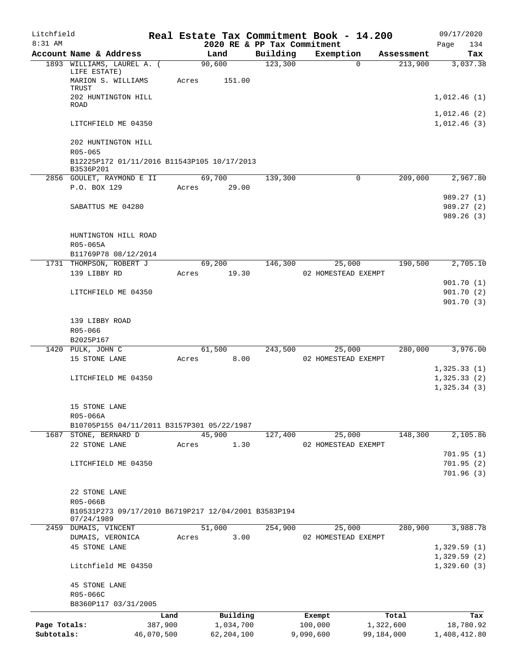| Litchfield   |                                                                    |            |       |                |                                         | Real Estate Tax Commitment Book - 14.200 |                                   | 09/17/2020                 |
|--------------|--------------------------------------------------------------------|------------|-------|----------------|-----------------------------------------|------------------------------------------|-----------------------------------|----------------------------|
| $8:31$ AM    | Account Name & Address                                             |            |       |                | 2020 RE & PP Tax Commitment<br>Building |                                          |                                   | 134<br>Page                |
|              | 1893 WILLIAMS, LAUREL A. (                                         |            |       | Land<br>90,600 | 123,300                                 | Exemption                                | Assessment<br>213,900<br>$\Omega$ | Tax<br>3,037.38            |
|              | LIFE ESTATE)<br>MARION S. WILLIAMS                                 |            | Acres | 151.00         |                                         |                                          |                                   |                            |
|              | TRUST<br>202 HUNTINGTON HILL<br><b>ROAD</b>                        |            |       |                |                                         |                                          |                                   | 1,012.46(1)                |
|              |                                                                    |            |       |                |                                         |                                          |                                   | 1,012.46(2)                |
|              | LITCHFIELD ME 04350                                                |            |       |                |                                         |                                          |                                   | 1,012.46(3)                |
|              | 202 HUNTINGTON HILL<br>R05-065                                     |            |       |                |                                         |                                          |                                   |                            |
|              | B12225P172 01/11/2016 B11543P105 10/17/2013<br>B3536P201           |            |       |                |                                         |                                          |                                   |                            |
|              | 2856 GOULET, RAYMOND E II                                          |            |       | 69,700         | 139,300                                 |                                          | 209,000<br>0                      | 2,967.80                   |
|              | P.O. BOX 129                                                       |            | Acres | 29.00          |                                         |                                          |                                   |                            |
|              |                                                                    |            |       |                |                                         |                                          |                                   | 989.27 (1)                 |
|              | SABATTUS ME 04280                                                  |            |       |                |                                         |                                          |                                   | 989.27 (2)                 |
|              |                                                                    |            |       |                |                                         |                                          |                                   | 989.26(3)                  |
|              | HUNTINGTON HILL ROAD<br>R05-065A                                   |            |       |                |                                         |                                          |                                   |                            |
|              | B11769P78 08/12/2014                                               |            |       |                |                                         |                                          |                                   |                            |
|              | 1731 THOMPSON, ROBERT J                                            |            |       | 69,200         | 146,300                                 | 25,000                                   | 190,500                           | 2,705.10                   |
|              | 139 LIBBY RD                                                       |            | Acres | 19.30          |                                         | 02 HOMESTEAD EXEMPT                      |                                   |                            |
|              |                                                                    |            |       |                |                                         |                                          |                                   | 901.70(1)                  |
|              | LITCHFIELD ME 04350                                                |            |       |                |                                         |                                          |                                   | 901.70(2)<br>901.70(3)     |
|              |                                                                    |            |       |                |                                         |                                          |                                   |                            |
|              | 139 LIBBY ROAD                                                     |            |       |                |                                         |                                          |                                   |                            |
|              | R05-066                                                            |            |       |                |                                         |                                          |                                   |                            |
|              | B2025P167                                                          |            |       |                |                                         |                                          |                                   |                            |
|              | 1420 PULK, JOHN C                                                  |            |       | 61,500         | 243,500                                 | 25,000                                   | 280,000                           | 3,976.00                   |
|              | 15 STONE LANE                                                      |            | Acres | 8.00           |                                         | 02 HOMESTEAD EXEMPT                      |                                   | 1,325.33(1)                |
|              | LITCHFIELD ME 04350                                                |            |       |                |                                         |                                          |                                   | 1,325.33(2)                |
|              |                                                                    |            |       |                |                                         |                                          |                                   | 1,325.34(3)                |
|              | 15 STONE LANE                                                      |            |       |                |                                         |                                          |                                   |                            |
|              | R05-066A                                                           |            |       |                |                                         |                                          |                                   |                            |
|              | B10705P155 04/11/2011 B3157P301 05/22/1987                         |            |       |                |                                         |                                          |                                   |                            |
|              | 1687 STONE, BERNARD D                                              |            |       | 45,900         | 127,400                                 | 25,000                                   | 148,300                           | 2,105.86                   |
|              | 22 STONE LANE                                                      |            | Acres | 1.30           |                                         | 02 HOMESTEAD EXEMPT                      |                                   | 701.95(1)                  |
|              | LITCHFIELD ME 04350                                                |            |       |                |                                         |                                          |                                   | 701.95(2)                  |
|              |                                                                    |            |       |                |                                         |                                          |                                   | 701.96(3)                  |
|              |                                                                    |            |       |                |                                         |                                          |                                   |                            |
|              | 22 STONE LANE                                                      |            |       |                |                                         |                                          |                                   |                            |
|              | R05-066B                                                           |            |       |                |                                         |                                          |                                   |                            |
|              | B10531P273 09/17/2010 B6719P217 12/04/2001 B3583P194<br>07/24/1989 |            |       |                |                                         |                                          |                                   |                            |
|              | 2459 DUMAIS, VINCENT                                               |            |       | 51,000         | 254,900                                 | 25,000                                   | 280,900                           | 3,988.78                   |
|              | DUMAIS, VERONICA                                                   |            | Acres | 3.00           |                                         | 02 HOMESTEAD EXEMPT                      |                                   |                            |
|              | <b>45 STONE LANE</b>                                               |            |       |                |                                         |                                          |                                   | 1,329.59(1)                |
|              | Litchfield ME 04350                                                |            |       |                |                                         |                                          |                                   | 1,329.59(2)<br>1,329.60(3) |
|              | <b>45 STONE LANE</b>                                               |            |       |                |                                         |                                          |                                   |                            |
|              | R05-066C                                                           |            |       |                |                                         |                                          |                                   |                            |
|              | B8360P117 03/31/2005                                               |            |       |                |                                         |                                          |                                   |                            |
|              |                                                                    | Land       |       | Building       |                                         | Exempt                                   | Total                             | Tax                        |
| Page Totals: |                                                                    | 387,900    |       | 1,034,700      |                                         | 100,000                                  | 1,322,600                         | 18,780.92                  |
| Subtotals:   |                                                                    | 46,070,500 |       | 62, 204, 100   |                                         | 9,090,600                                | 99,184,000                        | 1,408,412.80               |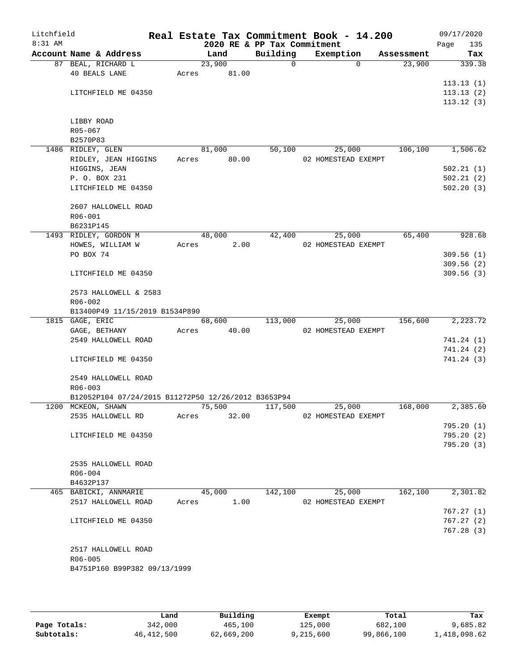| Litchfield<br>8:31 AM |                                                     |       | 2020 RE & PP Tax Commitment |          | Real Estate Tax Commitment Book - 14.200 |            | 09/17/2020<br>135<br>Page |
|-----------------------|-----------------------------------------------------|-------|-----------------------------|----------|------------------------------------------|------------|---------------------------|
|                       | Account Name & Address                              |       | Land                        | Building | Exemption                                | Assessment | Tax                       |
|                       | 87 BEAL, RICHARD L                                  |       | 23,900                      | 0        | $\Omega$                                 | 23,900     | 339.38                    |
|                       | <b>40 BEALS LANE</b>                                | Acres | 81.00                       |          |                                          |            |                           |
|                       |                                                     |       |                             |          |                                          |            | 113.13(1)                 |
|                       | LITCHFIELD ME 04350                                 |       |                             |          |                                          |            | 113.13(2)                 |
|                       |                                                     |       |                             |          |                                          |            | 113.12(3)                 |
|                       |                                                     |       |                             |          |                                          |            |                           |
|                       | LIBBY ROAD                                          |       |                             |          |                                          |            |                           |
|                       | R05-067                                             |       |                             |          |                                          |            |                           |
|                       | B2570P83                                            |       | 81,000                      |          |                                          | 106,100    | 1,506.62                  |
|                       | 1486 RIDLEY, GLEN<br>RIDLEY, JEAN HIGGINS           | Acres | 80.00                       | 50,100   | 25,000<br>02 HOMESTEAD EXEMPT            |            |                           |
|                       | HIGGINS, JEAN                                       |       |                             |          |                                          |            | 502.21(1)                 |
|                       | P. O. BOX 231                                       |       |                             |          |                                          |            | 502.21(2)                 |
|                       | LITCHFIELD ME 04350                                 |       |                             |          |                                          |            | 502.20(3)                 |
|                       |                                                     |       |                             |          |                                          |            |                           |
|                       | 2607 HALLOWELL ROAD                                 |       |                             |          |                                          |            |                           |
|                       | R06-001                                             |       |                             |          |                                          |            |                           |
|                       | B6231P145                                           |       |                             |          |                                          |            |                           |
|                       | 1493 RIDLEY, GORDON M                               |       | 48,000                      | 42,400   | 25,000                                   | 65,400     | 928.68                    |
|                       | HOWES, WILLIAM W                                    | Acres | 2.00                        |          | 02 HOMESTEAD EXEMPT                      |            |                           |
|                       | PO BOX 74                                           |       |                             |          |                                          |            | 309.56(1)                 |
|                       |                                                     |       |                             |          |                                          |            | 309.56(2)                 |
|                       | LITCHFIELD ME 04350                                 |       |                             |          |                                          |            | 309.56(3)                 |
|                       | 2573 HALLOWELL & 2583                               |       |                             |          |                                          |            |                           |
|                       | $R06 - 002$                                         |       |                             |          |                                          |            |                           |
|                       | B13400P49 11/15/2019 B1534P890                      |       |                             |          |                                          |            |                           |
|                       | 1815 GAGE, ERIC                                     |       | 68,600                      | 113,000  | 25,000                                   | 156,600    | 2,223.72                  |
|                       | GAGE, BETHANY                                       | Acres | 40.00                       |          | 02 HOMESTEAD EXEMPT                      |            |                           |
|                       | 2549 HALLOWELL ROAD                                 |       |                             |          |                                          |            | 741.24 (1)                |
|                       |                                                     |       |                             |          |                                          |            | 741.24 (2)                |
|                       | LITCHFIELD ME 04350                                 |       |                             |          |                                          |            | 741.24 (3)                |
|                       | 2549 HALLOWELL ROAD                                 |       |                             |          |                                          |            |                           |
|                       | $R06 - 003$                                         |       |                             |          |                                          |            |                           |
|                       | B12052P104 07/24/2015 B11272P50 12/26/2012 B3653P94 |       |                             |          |                                          |            |                           |
|                       | 1200 MCKEON, SHAWN                                  |       | 75,500                      | 117,500  | 25,000                                   | 168,000    | 2,385.60                  |
|                       | 2535 HALLOWELL RD                                   | Acres | 32.00                       |          | 02 HOMESTEAD EXEMPT                      |            |                           |
|                       |                                                     |       |                             |          |                                          |            | 795.20 (1)                |
|                       | LITCHFIELD ME 04350                                 |       |                             |          |                                          |            | 795.20(2)                 |
|                       |                                                     |       |                             |          |                                          |            | 795.20 (3)                |
|                       |                                                     |       |                             |          |                                          |            |                           |
|                       | 2535 HALLOWELL ROAD<br>$R06 - 004$                  |       |                             |          |                                          |            |                           |
|                       | B4632P137                                           |       |                             |          |                                          |            |                           |
|                       | 465 BABICKI, ANNMARIE                               |       | 45,000                      | 142,100  | 25,000                                   | 162, 100   | 2,301.82                  |
|                       | 2517 HALLOWELL ROAD                                 | Acres | 1.00                        |          | 02 HOMESTEAD EXEMPT                      |            |                           |
|                       |                                                     |       |                             |          |                                          |            | 767.27(1)                 |
|                       | LITCHFIELD ME 04350                                 |       |                             |          |                                          |            | 767.27(2)                 |
|                       |                                                     |       |                             |          |                                          |            | 767.28 (3)                |
|                       |                                                     |       |                             |          |                                          |            |                           |
|                       | 2517 HALLOWELL ROAD                                 |       |                             |          |                                          |            |                           |
|                       | R06-005                                             |       |                             |          |                                          |            |                           |
|                       | B4751P160 B99P382 09/13/1999                        |       |                             |          |                                          |            |                           |
|                       |                                                     |       |                             |          |                                          |            |                           |

|              | Land         | Building   | Exempt    | Total      | Tax          |
|--------------|--------------|------------|-----------|------------|--------------|
| Page Totals: | 342,000      | 465,100    | 125,000   | 682,100    | 9,685.82     |
| Subtotals:   | 46, 412, 500 | 62,669,200 | 9,215,600 | 99,866,100 | 1,418,098.62 |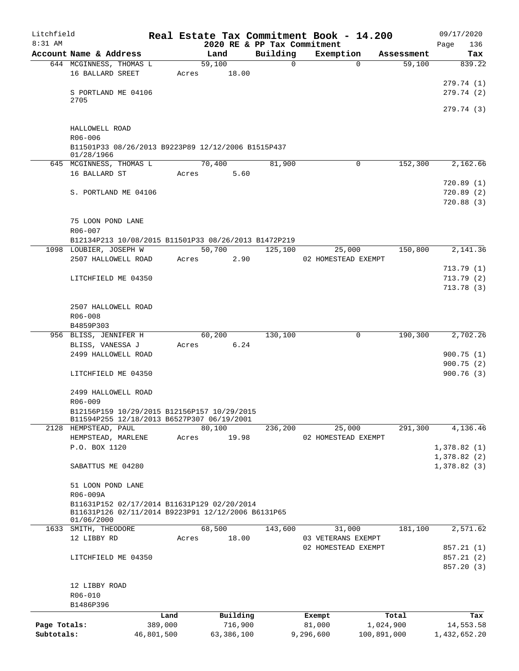| Litchfield   |                                                                  |            |       |                                     |          |             | Real Estate Tax Commitment Book - 14.200 |             | 09/17/2020             |
|--------------|------------------------------------------------------------------|------------|-------|-------------------------------------|----------|-------------|------------------------------------------|-------------|------------------------|
| $8:31$ AM    | Account Name & Address                                           |            |       | 2020 RE & PP Tax Commitment<br>Land | Building |             | Exemption                                | Assessment  | 136<br>Page<br>Tax     |
|              | 644 MCGINNESS, THOMAS L                                          |            |       | 59,100                              |          | $\mathbf 0$ | $\Omega$                                 | 59,100      | 839.22                 |
|              | 16 BALLARD SREET                                                 |            |       | Acres 18.00                         |          |             |                                          |             |                        |
|              |                                                                  |            |       |                                     |          |             |                                          |             | 279.74 (1)             |
|              | S PORTLAND ME 04106                                              |            |       |                                     |          |             |                                          |             | 279.74(2)              |
|              | 2705                                                             |            |       |                                     |          |             |                                          |             | 279.74 (3)             |
|              |                                                                  |            |       |                                     |          |             |                                          |             |                        |
|              | HALLOWELL ROAD                                                   |            |       |                                     |          |             |                                          |             |                        |
|              | R06-006                                                          |            |       |                                     |          |             |                                          |             |                        |
|              | B11501P33 08/26/2013 B9223P89 12/12/2006 B1515P437               |            |       |                                     |          |             |                                          |             |                        |
|              | 01/28/1966<br>645 MCGINNESS, THOMAS L                            |            |       | 70,400                              | 81,900   |             | 0                                        | 152,300     | 2,162.66               |
|              | 16 BALLARD ST                                                    |            |       | Acres 5.60                          |          |             |                                          |             |                        |
|              |                                                                  |            |       |                                     |          |             |                                          |             | 720.89(1)              |
|              | S. PORTLAND ME 04106                                             |            |       |                                     |          |             |                                          |             | 720.89(2)              |
|              |                                                                  |            |       |                                     |          |             |                                          |             | 720.88(3)              |
|              |                                                                  |            |       |                                     |          |             |                                          |             |                        |
|              | 75 LOON POND LANE                                                |            |       |                                     |          |             |                                          |             |                        |
|              | R06-007                                                          |            |       |                                     |          |             |                                          |             |                        |
|              | B12134P213 10/08/2015 B11501P33 08/26/2013 B1472P219             |            |       |                                     |          |             |                                          |             |                        |
|              | 1098 LOUBIER, JOSEPH W                                           |            |       | 50,700<br>Acres                     | 125,100  |             | 25,000                                   | 150,800     | 2,141.36               |
|              | 2507 HALLOWELL ROAD                                              |            |       | 2.90                                |          |             | 02 HOMESTEAD EXEMPT                      |             | 713.79(1)              |
|              | LITCHFIELD ME 04350                                              |            |       |                                     |          |             |                                          |             | 713.79(2)              |
|              |                                                                  |            |       |                                     |          |             |                                          |             | 713.78(3)              |
|              |                                                                  |            |       |                                     |          |             |                                          |             |                        |
|              | 2507 HALLOWELL ROAD                                              |            |       |                                     |          |             |                                          |             |                        |
|              | R06-008                                                          |            |       |                                     |          |             |                                          |             |                        |
|              | B4859P303                                                        |            |       |                                     |          |             |                                          |             |                        |
|              | 956 BLISS, JENNIFER H                                            |            |       | 60,200                              | 130,100  |             | $\mathbf 0$                              | 190,300     | 2,702.26               |
|              | BLISS, VANESSA J                                                 |            |       | Acres 6.24                          |          |             |                                          |             |                        |
|              | 2499 HALLOWELL ROAD                                              |            |       |                                     |          |             |                                          |             | 900.75(1)              |
|              | LITCHFIELD ME 04350                                              |            |       |                                     |          |             |                                          |             | 900.75(2)<br>900.76(3) |
|              |                                                                  |            |       |                                     |          |             |                                          |             |                        |
|              | 2499 HALLOWELL ROAD                                              |            |       |                                     |          |             |                                          |             |                        |
|              | R06-009                                                          |            |       |                                     |          |             |                                          |             |                        |
|              | B12156P159 10/29/2015 B12156P157 10/29/2015                      |            |       |                                     |          |             |                                          |             |                        |
|              | B11594P255 12/18/2013 B6527P307 06/19/2001                       |            |       |                                     |          |             |                                          |             |                        |
|              | 2128 HEMPSTEAD, PAUL<br>HEMPSTEAD, MARLENE                       |            |       | 80,100<br>19.98                     | 236,200  |             | 25,000<br>02 HOMESTEAD EXEMPT            | 291,300     | 4,136.46               |
|              | P.O. BOX 1120                                                    |            | Acres |                                     |          |             |                                          |             | 1,378.82(1)            |
|              |                                                                  |            |       |                                     |          |             |                                          |             | 1,378.82(2)            |
|              | SABATTUS ME 04280                                                |            |       |                                     |          |             |                                          |             | 1,378.82(3)            |
|              |                                                                  |            |       |                                     |          |             |                                          |             |                        |
|              | 51 LOON POND LANE                                                |            |       |                                     |          |             |                                          |             |                        |
|              | R06-009A                                                         |            |       |                                     |          |             |                                          |             |                        |
|              | B11631P152 02/17/2014 B11631P129 02/20/2014                      |            |       |                                     |          |             |                                          |             |                        |
|              | B11631P126 02/11/2014 B9223P91 12/12/2006 B6131P65<br>01/06/2000 |            |       |                                     |          |             |                                          |             |                        |
|              | 1633 SMITH, THEODORE                                             |            |       | 68,500                              | 143,600  |             | 31,000                                   | 181,100     | 2,571.62               |
|              | 12 LIBBY RD                                                      |            | Acres | 18.00                               |          |             | 03 VETERANS EXEMPT                       |             |                        |
|              |                                                                  |            |       |                                     |          |             | 02 HOMESTEAD EXEMPT                      |             | 857.21 (1)             |
|              | LITCHFIELD ME 04350                                              |            |       |                                     |          |             |                                          |             | 857.21 (2)             |
|              |                                                                  |            |       |                                     |          |             |                                          |             | 857.20 (3)             |
|              | 12 LIBBY ROAD                                                    |            |       |                                     |          |             |                                          |             |                        |
|              | R06-010                                                          |            |       |                                     |          |             |                                          |             |                        |
|              | B1486P396                                                        |            |       |                                     |          |             |                                          |             |                        |
|              |                                                                  | Land       |       | Building                            |          |             | Exempt                                   | Total       | Tax                    |
| Page Totals: |                                                                  | 389,000    |       | 716,900                             |          |             | 81,000                                   | 1,024,900   | 14,553.58              |
| Subtotals:   |                                                                  | 46,801,500 |       | 63,386,100                          |          | 9,296,600   |                                          | 100,891,000 | 1,432,652.20           |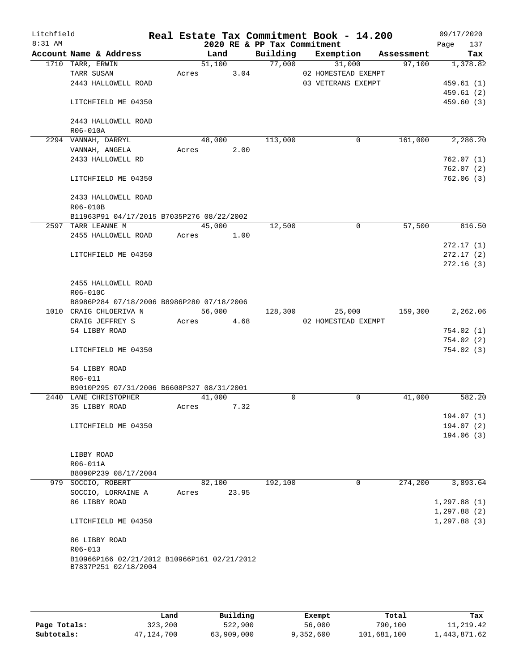| Litchfield |                                             |       |        |       |                             | Real Estate Tax Commitment Book - 14.200 |            | 09/17/2020   |
|------------|---------------------------------------------|-------|--------|-------|-----------------------------|------------------------------------------|------------|--------------|
| 8:31 AM    |                                             |       |        |       | 2020 RE & PP Tax Commitment |                                          |            | 137<br>Page  |
|            | Account Name & Address                      |       | Land   |       | Building                    | Exemption                                | Assessment | Tax          |
|            | 1710 TARR, ERWIN                            |       | 51,100 |       | 77,000                      | 31,000                                   | 97,100     | 1,378.82     |
|            | TARR SUSAN                                  | Acres |        | 3.04  |                             | 02 HOMESTEAD EXEMPT                      |            |              |
|            | 2443 HALLOWELL ROAD                         |       |        |       |                             | 03 VETERANS EXEMPT                       |            | 459.61(1)    |
|            |                                             |       |        |       |                             |                                          |            | 459.61(2)    |
|            | LITCHFIELD ME 04350                         |       |        |       |                             |                                          |            | 459.60(3)    |
|            | 2443 HALLOWELL ROAD                         |       |        |       |                             |                                          |            |              |
|            |                                             |       |        |       |                             |                                          |            |              |
|            | R06-010A<br>2294 VANNAH, DARRYL             |       | 48,000 |       | 113,000                     | 0                                        | 161,000    | 2,286.20     |
|            | VANNAH, ANGELA                              | Acres |        | 2.00  |                             |                                          |            |              |
|            | 2433 HALLOWELL RD                           |       |        |       |                             |                                          |            | 762.07(1)    |
|            |                                             |       |        |       |                             |                                          |            | 762.07(2)    |
|            | LITCHFIELD ME 04350                         |       |        |       |                             |                                          |            | 762.06(3)    |
|            |                                             |       |        |       |                             |                                          |            |              |
|            | 2433 HALLOWELL ROAD                         |       |        |       |                             |                                          |            |              |
|            | R06-010B                                    |       |        |       |                             |                                          |            |              |
|            | B11963P91 04/17/2015 B7035P276 08/22/2002   |       |        |       |                             |                                          |            |              |
|            | 2597 TARR LEANNE M                          |       | 45,000 |       | 12,500                      | 0                                        | 57,500     | 816.50       |
|            | 2455 HALLOWELL ROAD                         | Acres |        | 1.00  |                             |                                          |            |              |
|            |                                             |       |        |       |                             |                                          |            | 272.17(1)    |
|            | LITCHFIELD ME 04350                         |       |        |       |                             |                                          |            | 272.17(2)    |
|            |                                             |       |        |       |                             |                                          |            | 272.16(3)    |
|            |                                             |       |        |       |                             |                                          |            |              |
|            | 2455 HALLOWELL ROAD                         |       |        |       |                             |                                          |            |              |
|            | R06-010C                                    |       |        |       |                             |                                          |            |              |
|            | B8986P284 07/18/2006 B8986P280 07/18/2006   |       |        |       |                             |                                          |            |              |
|            | 1010 CRAIG CHLOERIVA N                      |       | 56,000 |       | 128,300                     | 25,000                                   | 159,300    | 2,262.06     |
|            | CRAIG JEFFREY S                             | Acres |        |       |                             | 02 HOMESTEAD EXEMPT                      |            |              |
|            | 54 LIBBY ROAD                               |       |        | 4.68  |                             |                                          |            | 754.02(1)    |
|            |                                             |       |        |       |                             |                                          |            | 754.02(2)    |
|            | LITCHFIELD ME 04350                         |       |        |       |                             |                                          |            | 754.02(3)    |
|            |                                             |       |        |       |                             |                                          |            |              |
|            | 54 LIBBY ROAD                               |       |        |       |                             |                                          |            |              |
|            | R06-011                                     |       |        |       |                             |                                          |            |              |
|            | B9010P295 07/31/2006 B6608P327 08/31/2001   |       |        |       |                             |                                          |            |              |
|            | 2440 LANE CHRISTOPHER                       |       | 41,000 |       | 0                           | 0                                        | 41,000     | 582.20       |
|            | 35 LIBBY ROAD                               | Acres |        | 7.32  |                             |                                          |            |              |
|            |                                             |       |        |       |                             |                                          |            | 194.07 (1)   |
|            | LITCHFIELD ME 04350                         |       |        |       |                             |                                          |            | 194.07(2)    |
|            |                                             |       |        |       |                             |                                          |            | 194.06(3)    |
|            |                                             |       |        |       |                             |                                          |            |              |
|            | LIBBY ROAD                                  |       |        |       |                             |                                          |            |              |
|            | R06-011A                                    |       |        |       |                             |                                          |            |              |
|            | B8090P239 08/17/2004                        |       |        |       |                             |                                          |            |              |
|            | 979 SOCCIO, ROBERT                          |       | 82,100 |       | 192,100                     | 0                                        | 274,200    | 3,893.64     |
|            | SOCCIO, LORRAINE A                          | Acres |        | 23.95 |                             |                                          |            |              |
|            | 86 LIBBY ROAD                               |       |        |       |                             |                                          |            | 1, 297.88(1) |
|            |                                             |       |        |       |                             |                                          |            | 1, 297.88(2) |
|            | LITCHFIELD ME 04350                         |       |        |       |                             |                                          |            | 1, 297.88(3) |
|            |                                             |       |        |       |                             |                                          |            |              |
|            | 86 LIBBY ROAD                               |       |        |       |                             |                                          |            |              |
|            | $R06 - 013$                                 |       |        |       |                             |                                          |            |              |
|            | B10966P166 02/21/2012 B10966P161 02/21/2012 |       |        |       |                             |                                          |            |              |
|            | B7837P251 02/18/2004                        |       |        |       |                             |                                          |            |              |
|            |                                             |       |        |       |                             |                                          |            |              |
|            |                                             |       |        |       |                             |                                          |            |              |

|              | Land       | Building   | Exempt    | Total       | Tax          |
|--------------|------------|------------|-----------|-------------|--------------|
| Page Totals: | 323,200    | 522,900    | 56,000    | 790,100     | 11,219.42    |
| Subtotals:   | 47,124,700 | 63,909,000 | 9,352,600 | 101,681,100 | 1,443,871.62 |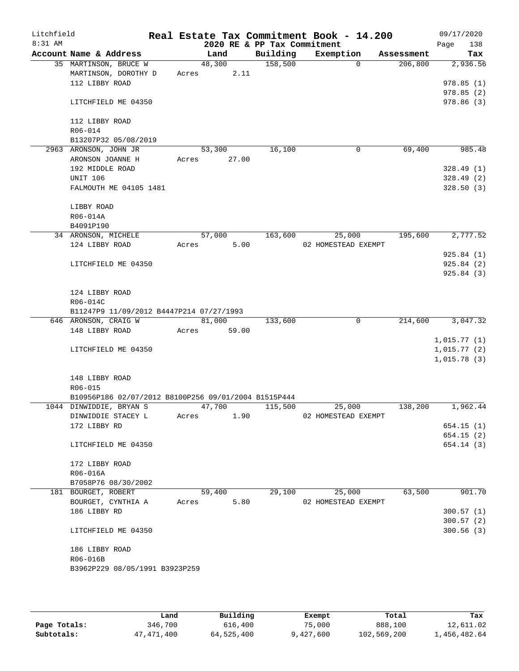| Litchfield<br>$8:31$ AM |                                                      |       |               | 2020 RE & PP Tax Commitment | Real Estate Tax Commitment Book - 14.200 |          |            | 09/17/2020<br>138<br>Page |
|-------------------------|------------------------------------------------------|-------|---------------|-----------------------------|------------------------------------------|----------|------------|---------------------------|
|                         | Account Name & Address                               |       | Land          | Building                    | Exemption                                |          | Assessment | Tax                       |
|                         | 35 MARTINSON, BRUCE W                                |       | 48,300        | 158,500                     |                                          | $\Omega$ | 206,800    | 2,936.56                  |
|                         | MARTINSON, DOROTHY D                                 | Acres | 2.11          |                             |                                          |          |            |                           |
|                         | 112 LIBBY ROAD                                       |       |               |                             |                                          |          |            | 978.85(1)                 |
|                         |                                                      |       |               |                             |                                          |          |            | 978.85(2)                 |
|                         | LITCHFIELD ME 04350                                  |       |               |                             |                                          |          |            | 978.86 (3)                |
|                         |                                                      |       |               |                             |                                          |          |            |                           |
|                         | 112 LIBBY ROAD                                       |       |               |                             |                                          |          |            |                           |
|                         | R06-014                                              |       |               |                             |                                          |          |            |                           |
|                         | B13207P32 05/08/2019                                 |       |               |                             |                                          |          |            |                           |
|                         | 2963 ARONSON, JOHN JR                                |       | 53,300        | 16,100                      |                                          | 0        | 69,400     | 985.48                    |
|                         | ARONSON JOANNE H                                     | Acres | 27.00         |                             |                                          |          |            |                           |
|                         | 192 MIDDLE ROAD                                      |       |               |                             |                                          |          |            | 328.49(1)                 |
|                         | <b>UNIT 106</b>                                      |       |               |                             |                                          |          |            | 328.49(2)                 |
|                         | FALMOUTH ME 04105 1481                               |       |               |                             |                                          |          |            | 328.50(3)                 |
|                         | LIBBY ROAD                                           |       |               |                             |                                          |          |            |                           |
|                         | R06-014A                                             |       |               |                             |                                          |          |            |                           |
|                         | B4091P190                                            |       |               |                             |                                          |          |            |                           |
|                         | 34 ARONSON, MICHELE                                  |       | 57,000        | 163,600                     | 25,000                                   |          | 195,600    | 2,777.52                  |
|                         | 124 LIBBY ROAD                                       | Acres | 5.00          |                             | 02 HOMESTEAD EXEMPT                      |          |            |                           |
|                         |                                                      |       |               |                             |                                          |          |            | 925.84(1)                 |
|                         | LITCHFIELD ME 04350                                  |       |               |                             |                                          |          |            | 925.84(2)                 |
|                         |                                                      |       |               |                             |                                          |          |            | 925.84 (3)                |
|                         |                                                      |       |               |                             |                                          |          |            |                           |
|                         | 124 LIBBY ROAD                                       |       |               |                             |                                          |          |            |                           |
|                         | R06-014C                                             |       |               |                             |                                          |          |            |                           |
|                         | B11247P9 11/09/2012 B4447P214 07/27/1993             |       |               |                             |                                          |          |            |                           |
|                         | 646 ARONSON, CRAIG W                                 |       | 81,000        | 133,600                     |                                          | 0        | 214,600    | 3,047.32                  |
|                         | 148 LIBBY ROAD                                       | Acres | 59.00         |                             |                                          |          |            |                           |
|                         |                                                      |       |               |                             |                                          |          |            | 1,015.77(1)               |
|                         | LITCHFIELD ME 04350                                  |       |               |                             |                                          |          |            | 1,015.77(2)               |
|                         |                                                      |       |               |                             |                                          |          |            | 1,015.78(3)               |
|                         |                                                      |       |               |                             |                                          |          |            |                           |
|                         | 148 LIBBY ROAD                                       |       |               |                             |                                          |          |            |                           |
|                         | R06-015                                              |       |               |                             |                                          |          |            |                           |
|                         | B10956P186 02/07/2012 B8100P256 09/01/2004 B1515P444 |       |               |                             |                                          |          |            |                           |
|                         | 1044 DINWIDDIE, BRYAN S                              |       | 47,700        | 115,500                     | 25,000                                   |          | 138,200    | 1,962.44                  |
|                         | DINWIDDIE STACEY L                                   | Acres | 1.90          |                             | 02 HOMESTEAD EXEMPT                      |          |            |                           |
|                         | 172 LIBBY RD                                         |       |               |                             |                                          |          |            | 654.15(1)                 |
|                         |                                                      |       |               |                             |                                          |          |            | 654.15(2)                 |
|                         | LITCHFIELD ME 04350                                  |       |               |                             |                                          |          |            | 654.14(3)                 |
|                         | 172 LIBBY ROAD                                       |       |               |                             |                                          |          |            |                           |
|                         | R06-016A                                             |       |               |                             |                                          |          |            |                           |
|                         | B7058P76 08/30/2002                                  |       |               |                             |                                          |          |            |                           |
|                         | 181 BOURGET, ROBERT                                  |       | 59,400        | 29,100                      | 25,000                                   |          | 63,500     | 901.70                    |
|                         | BOURGET, CYNTHIA A                                   |       | 5.80<br>Acres |                             | 02 HOMESTEAD EXEMPT                      |          |            |                           |
|                         | 186 LIBBY RD                                         |       |               |                             |                                          |          |            | 300.57(1)                 |
|                         |                                                      |       |               |                             |                                          |          |            | 300.57(2)                 |
|                         | LITCHFIELD ME 04350                                  |       |               |                             |                                          |          |            | 300.56(3)                 |
|                         |                                                      |       |               |                             |                                          |          |            |                           |
|                         | 186 LIBBY ROAD                                       |       |               |                             |                                          |          |            |                           |
|                         | R06-016B                                             |       |               |                             |                                          |          |            |                           |
|                         | B3962P229 08/05/1991 B3923P259                       |       |               |                             |                                          |          |            |                           |
|                         |                                                      |       |               |                             |                                          |          |            |                           |
|                         |                                                      |       |               |                             |                                          |          |            |                           |

|              | Land         | Building   | Exempt    | Total       | Tax          |
|--------------|--------------|------------|-----------|-------------|--------------|
| Page Totals: | 346,700      | 616,400    | 75,000    | 888,100     | 12,611.02    |
| Subtotals:   | 47, 471, 400 | 64,525,400 | 9,427,600 | 102,569,200 | 1,456,482.64 |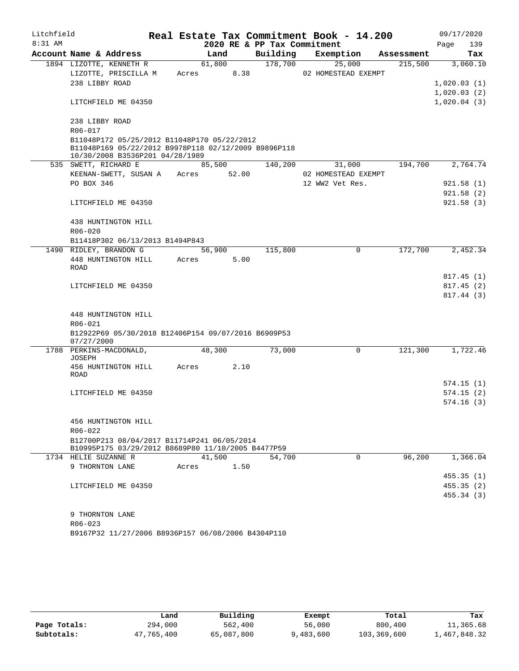| Litchfield |                                                                                                                                        |       |                             |          | Real Estate Tax Commitment Book - 14.200 |            | 09/17/2020  |            |
|------------|----------------------------------------------------------------------------------------------------------------------------------------|-------|-----------------------------|----------|------------------------------------------|------------|-------------|------------|
| $8:31$ AM  |                                                                                                                                        |       | 2020 RE & PP Tax Commitment |          |                                          |            | Page        | 139        |
|            | Account Name & Address                                                                                                                 |       | Land                        | Building | Exemption                                | Assessment |             | Tax        |
|            | 1894 LIZOTTE, KENNETH R                                                                                                                |       | 61,800                      | 178,700  | 25,000                                   | 215,500    |             | 3,060.10   |
|            | LIZOTTE, PRISCILLA M                                                                                                                   | Acres | 8.38                        |          | 02 HOMESTEAD EXEMPT                      |            |             |            |
|            | 238 LIBBY ROAD                                                                                                                         |       |                             |          |                                          |            | 1,020.03(1) |            |
|            |                                                                                                                                        |       |                             |          |                                          |            | 1,020.03(2) |            |
|            | LITCHFIELD ME 04350                                                                                                                    |       |                             |          |                                          |            | 1,020.04(3) |            |
|            | 238 LIBBY ROAD                                                                                                                         |       |                             |          |                                          |            |             |            |
|            | R06-017                                                                                                                                |       |                             |          |                                          |            |             |            |
|            | B11048P172 05/25/2012 B11048P170 05/22/2012<br>B11048P169 05/22/2012 B9978P118 02/12/2009 B9896P118<br>10/30/2008 B3536P201 04/28/1989 |       |                             |          |                                          |            |             |            |
|            | 535 SWETT, RICHARD E                                                                                                                   |       | 85,500                      | 140,200  | 31,000                                   | 194,700    |             | 2,764.74   |
|            | KEENAN-SWETT, SUSAN A                                                                                                                  |       | Acres 52.00                 |          | 02 HOMESTEAD EXEMPT                      |            |             |            |
|            | PO BOX 346                                                                                                                             |       |                             |          | 12 WW2 Vet Res.                          |            |             | 921.58(1)  |
|            |                                                                                                                                        |       |                             |          |                                          |            |             | 921.58(2)  |
|            | LITCHFIELD ME 04350                                                                                                                    |       |                             |          |                                          |            |             | 921.58(3)  |
|            | 438 HUNTINGTON HILL                                                                                                                    |       |                             |          |                                          |            |             |            |
|            | $R06 - 020$                                                                                                                            |       |                             |          |                                          |            |             |            |
|            | B11418P302 06/13/2013 B1494P843                                                                                                        |       |                             |          |                                          |            |             |            |
|            | 1490 RIDLEY, BRANDON G                                                                                                                 |       | 56,900                      | 115,800  | 0                                        | 172,700    |             | 2,452.34   |
|            | 448 HUNTINGTON HILL                                                                                                                    | Acres | 5.00                        |          |                                          |            |             |            |
|            | <b>ROAD</b>                                                                                                                            |       |                             |          |                                          |            |             |            |
|            |                                                                                                                                        |       |                             |          |                                          |            |             | 817.45(1)  |
|            | LITCHFIELD ME 04350                                                                                                                    |       |                             |          |                                          |            |             | 817.45(2)  |
|            |                                                                                                                                        |       |                             |          |                                          |            |             | 817.44(3)  |
|            | 448 HUNTINGTON HILL                                                                                                                    |       |                             |          |                                          |            |             |            |
|            | R06-021                                                                                                                                |       |                             |          |                                          |            |             |            |
|            | B12922P69 05/30/2018 B12406P154 09/07/2016 B6909P53<br>07/27/2000                                                                      |       |                             |          |                                          |            |             |            |
|            | 1788 PERKINS-MACDONALD,<br><b>JOSEPH</b>                                                                                               |       | 48,300                      | 73,000   | $\Omega$                                 | 121,300    |             | 1,722.46   |
|            | 456 HUNTINGTON HILL                                                                                                                    | Acres | 2.10                        |          |                                          |            |             |            |
|            | ROAD                                                                                                                                   |       |                             |          |                                          |            |             |            |
|            |                                                                                                                                        |       |                             |          |                                          |            |             | 574.15 (1) |
|            | LITCHFIELD ME 04350                                                                                                                    |       |                             |          |                                          |            |             | 574.15(2)  |
|            |                                                                                                                                        |       |                             |          |                                          |            |             | 574.16(3)  |
|            | 456 HUNTINGTON HILL                                                                                                                    |       |                             |          |                                          |            |             |            |
|            | R06-022                                                                                                                                |       |                             |          |                                          |            |             |            |
|            | B12700P213 08/04/2017 B11714P241 06/05/2014                                                                                            |       |                             |          |                                          |            |             |            |
|            | B10995P175 03/29/2012 B8689P80 11/10/2005 B4477P59                                                                                     |       |                             |          |                                          |            |             |            |
|            | 1734 HELIE SUZANNE R                                                                                                                   |       | 41,500                      | 54,700   | $\Omega$                                 | 96,200     |             | 1,366.04   |
|            | 9 THORNTON LANE                                                                                                                        | Acres | 1.50                        |          |                                          |            |             |            |
|            |                                                                                                                                        |       |                             |          |                                          |            |             | 455.35(1)  |
|            | LITCHFIELD ME 04350                                                                                                                    |       |                             |          |                                          |            |             | 455.35(2)  |
|            |                                                                                                                                        |       |                             |          |                                          |            |             | 455.34 (3) |
|            | 9 THORNTON LANE                                                                                                                        |       |                             |          |                                          |            |             |            |
|            | R06-023                                                                                                                                |       |                             |          |                                          |            |             |            |
|            |                                                                                                                                        |       |                             |          |                                          |            |             |            |

B9167P32 11/27/2006 B8936P157 06/08/2006 B4304P110

|              | Land       | Building   | Exempt    | Total       | Tax          |
|--------------|------------|------------|-----------|-------------|--------------|
| Page Totals: | 294,000    | 562,400    | 56,000    | 800,400     | 11,365.68    |
| Subtotals:   | 47,765,400 | 65,087,800 | 9,483,600 | 103,369,600 | 1,467,848.32 |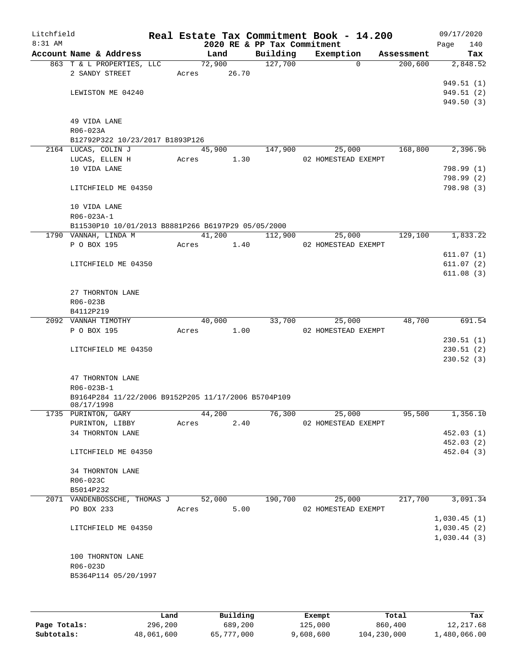| Litchfield<br>8:31 AM |                                                     |       |        |       | 2020 RE & PP Tax Commitment | Real Estate Tax Commitment Book - 14.200 |            | 09/17/2020<br>140<br>Page |
|-----------------------|-----------------------------------------------------|-------|--------|-------|-----------------------------|------------------------------------------|------------|---------------------------|
|                       | Account Name & Address                              |       | Land   |       | Building                    | Exemption                                | Assessment | Tax                       |
|                       | 863 T & L PROPERTIES, LLC<br>2 SANDY STREET         | Acres | 72,900 | 26.70 | 127,700                     | $\Omega$                                 | 200,600    | 2,848.52                  |
|                       |                                                     |       |        |       |                             |                                          |            | 949.51 (1)                |
|                       | LEWISTON ME 04240                                   |       |        |       |                             |                                          |            | 949.51 (2)                |
|                       |                                                     |       |        |       |                             |                                          |            | 949.50(3)                 |
|                       | 49 VIDA LANE                                        |       |        |       |                             |                                          |            |                           |
|                       | R06-023A                                            |       |        |       |                             |                                          |            |                           |
|                       | B12792P322 10/23/2017 B1893P126                     |       |        |       |                             |                                          |            |                           |
|                       | 2164 LUCAS, COLIN J                                 |       | 45,900 |       | 147,900                     | 25,000                                   | 168,800    | 2,396.96                  |
|                       | LUCAS, ELLEN H                                      | Acres |        | 1.30  |                             | 02 HOMESTEAD EXEMPT                      |            |                           |
|                       | 10 VIDA LANE                                        |       |        |       |                             |                                          |            | 798.99 (1)                |
|                       |                                                     |       |        |       |                             |                                          |            | 798.99 (2)                |
|                       | LITCHFIELD ME 04350                                 |       |        |       |                             |                                          |            | 798.98 (3)                |
|                       | 10 VIDA LANE                                        |       |        |       |                             |                                          |            |                           |
|                       | R06-023A-1                                          |       |        |       |                             |                                          |            |                           |
|                       | B11530P10 10/01/2013 B8881P266 B6197P29 05/05/2000  |       |        |       |                             |                                          |            |                           |
|                       | 1790 VANNAH, LINDA M                                | Acres | 41,200 |       | 112,900                     | 25,000<br>02 HOMESTEAD EXEMPT            | 129,100    | 1,833.22                  |
|                       | P O BOX 195                                         |       |        | 1.40  |                             |                                          |            | 611.07(1)                 |
|                       | LITCHFIELD ME 04350                                 |       |        |       |                             |                                          |            | 611.07(2)                 |
|                       |                                                     |       |        |       |                             |                                          |            | 611.08(3)                 |
|                       |                                                     |       |        |       |                             |                                          |            |                           |
|                       | 27 THORNTON LANE                                    |       |        |       |                             |                                          |            |                           |
|                       | R06-023B                                            |       |        |       |                             |                                          |            |                           |
|                       | B4112P219                                           |       |        |       |                             |                                          |            |                           |
|                       | 2092 VANNAH TIMOTHY                                 |       | 40,000 |       | 33,700                      | 25,000                                   | 48,700     | 691.54                    |
|                       | P O BOX 195                                         | Acres |        | 1.00  |                             | 02 HOMESTEAD EXEMPT                      |            |                           |
|                       |                                                     |       |        |       |                             |                                          |            | 230.51(1)                 |
|                       | LITCHFIELD ME 04350                                 |       |        |       |                             |                                          |            | 230.51(2)<br>230.52(3)    |
|                       |                                                     |       |        |       |                             |                                          |            |                           |
|                       | 47 THORNTON LANE                                    |       |        |       |                             |                                          |            |                           |
|                       | R06-023B-1                                          |       |        |       |                             |                                          |            |                           |
|                       | B9164P284 11/22/2006 B9152P205 11/17/2006 B5704P109 |       |        |       |                             |                                          |            |                           |
|                       | 08/17/1998<br>1735 PURINTON, GARY                   |       | 44,200 |       | 76,300                      | 25,000                                   | 95,500     | 1,356.10                  |
|                       | PURINTON, LIBBY                                     | Acres |        | 2.40  |                             | 02 HOMESTEAD EXEMPT                      |            |                           |
|                       | 34 THORNTON LANE                                    |       |        |       |                             |                                          |            | 452.03(1)                 |
|                       |                                                     |       |        |       |                             |                                          |            | 452.03(2)                 |
|                       | LITCHFIELD ME 04350                                 |       |        |       |                             |                                          |            | 452.04 (3)                |
|                       | 34 THORNTON LANE                                    |       |        |       |                             |                                          |            |                           |
|                       | R06-023C                                            |       |        |       |                             |                                          |            |                           |
|                       | B5014P232                                           |       |        |       |                             |                                          |            |                           |
|                       | 2071 VANDENBOSSCHE, THOMAS J                        |       | 52,000 |       | 190,700                     | 25,000                                   | 217,700    | 3,091.34                  |
|                       | PO BOX 233                                          | Acres |        | 5.00  |                             | 02 HOMESTEAD EXEMPT                      |            |                           |
|                       |                                                     |       |        |       |                             |                                          |            | 1,030.45(1)               |
|                       | LITCHFIELD ME 04350                                 |       |        |       |                             |                                          |            | 1,030.45(2)               |
|                       |                                                     |       |        |       |                             |                                          |            | 1,030.44(3)               |
|                       | 100 THORNTON LANE                                   |       |        |       |                             |                                          |            |                           |
|                       | R06-023D                                            |       |        |       |                             |                                          |            |                           |
|                       | B5364P114 05/20/1997                                |       |        |       |                             |                                          |            |                           |
|                       |                                                     |       |        |       |                             |                                          |            |                           |
|                       |                                                     |       |        |       |                             |                                          |            |                           |
|                       |                                                     |       |        |       |                             |                                          |            |                           |

|              | Land       | Building   | Exempt    | Total       | Tax          |
|--------------|------------|------------|-----------|-------------|--------------|
| Page Totals: | 296,200    | 689,200    | 125,000   | 860,400     | 12,217.68    |
| Subtotals:   | 48,061,600 | 65,777,000 | 9,608,600 | 104,230,000 | 1,480,066.00 |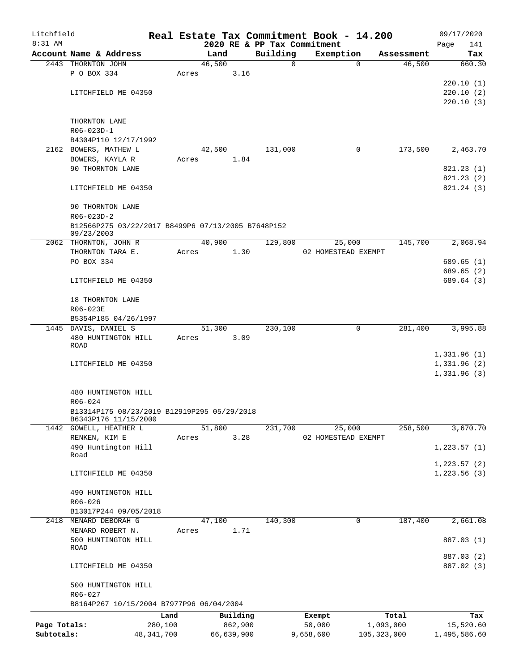| Litchfield   |                                                    |              |       |        |            |                             |             | Real Estate Tax Commitment Book - 14.200 |               | 09/17/2020   |
|--------------|----------------------------------------------------|--------------|-------|--------|------------|-----------------------------|-------------|------------------------------------------|---------------|--------------|
| $8:31$ AM    |                                                    |              |       |        |            | 2020 RE & PP Tax Commitment |             |                                          |               | Page<br>141  |
|              | Account Name & Address                             |              |       | Land   |            | Building                    |             | Exemption                                | Assessment    | Tax          |
|              | 2443 THORNTON JOHN                                 |              |       | 46,500 |            |                             | $\mathbf 0$ | $\Omega$                                 | 46,500        | 660.30       |
|              | P O BOX 334                                        |              | Acres |        | 3.16       |                             |             |                                          |               |              |
|              |                                                    |              |       |        |            |                             |             |                                          |               | 220.10(1)    |
|              | LITCHFIELD ME 04350                                |              |       |        |            |                             |             |                                          |               | 220.10(2)    |
|              |                                                    |              |       |        |            |                             |             |                                          |               | 220.10(3)    |
|              |                                                    |              |       |        |            |                             |             |                                          |               |              |
|              | THORNTON LANE<br>R06-023D-1                        |              |       |        |            |                             |             |                                          |               |              |
|              | B4304P110 12/17/1992                               |              |       |        |            |                             |             |                                          |               |              |
|              | 2162 BOWERS, MATHEW L                              |              |       | 42,500 |            | 131,000                     |             | 0                                        | 173,500       | 2,463.70     |
|              | BOWERS, KAYLA R                                    |              | Acres |        | 1.84       |                             |             |                                          |               |              |
|              | 90 THORNTON LANE                                   |              |       |        |            |                             |             |                                          |               | 821.23(1)    |
|              |                                                    |              |       |        |            |                             |             |                                          |               | 821.23(2)    |
|              | LITCHFIELD ME 04350                                |              |       |        |            |                             |             |                                          |               | 821.24 (3)   |
|              |                                                    |              |       |        |            |                             |             |                                          |               |              |
|              | 90 THORNTON LANE                                   |              |       |        |            |                             |             |                                          |               |              |
|              | $R06 - 023D - 2$                                   |              |       |        |            |                             |             |                                          |               |              |
|              | B12566P275 03/22/2017 B8499P6 07/13/2005 B7648P152 |              |       |        |            |                             |             |                                          |               |              |
|              | 09/23/2003                                         |              |       |        |            |                             |             |                                          |               |              |
|              | 2062 THORNTON, JOHN R                              |              |       | 40,900 |            | 129,800                     |             | 25,000                                   | 145,700       | 2,068.94     |
|              | THORNTON TARA E.                                   |              | Acres |        | 1.30       |                             |             | 02 HOMESTEAD EXEMPT                      |               |              |
|              | PO BOX 334                                         |              |       |        |            |                             |             |                                          |               | 689.65(1)    |
|              |                                                    |              |       |        |            |                             |             |                                          |               | 689.65 (2)   |
|              | LITCHFIELD ME 04350                                |              |       |        |            |                             |             |                                          |               | 689.64 (3)   |
|              |                                                    |              |       |        |            |                             |             |                                          |               |              |
|              | 18 THORNTON LANE                                   |              |       |        |            |                             |             |                                          |               |              |
|              | R06-023E                                           |              |       |        |            |                             |             |                                          |               |              |
|              | B5354P185 04/26/1997                               |              |       |        |            |                             |             |                                          |               |              |
|              | 1445 DAVIS, DANIEL S                               |              |       | 51,300 |            | 230,100                     |             | 0                                        | 281,400       | 3,995.88     |
|              | 480 HUNTINGTON HILL                                |              | Acres |        | 3.09       |                             |             |                                          |               |              |
|              | ROAD                                               |              |       |        |            |                             |             |                                          |               | 1,331.96(1)  |
|              | LITCHFIELD ME 04350                                |              |       |        |            |                             |             |                                          |               | 1,331.96(2)  |
|              |                                                    |              |       |        |            |                             |             |                                          |               | 1,331.96(3)  |
|              |                                                    |              |       |        |            |                             |             |                                          |               |              |
|              | 480 HUNTINGTON HILL                                |              |       |        |            |                             |             |                                          |               |              |
|              | $R06 - 024$                                        |              |       |        |            |                             |             |                                          |               |              |
|              | B13314P175 08/23/2019 B12919P295 05/29/2018        |              |       |        |            |                             |             |                                          |               |              |
|              | B6343P176 11/15/2000                               |              |       |        |            |                             |             |                                          |               |              |
|              | 1442 GOWELL, HEATHER L                             |              |       | 51,800 |            | 231,700                     |             | 25,000                                   | 258,500       | 3,670.70     |
|              | RENKEN, KIM E                                      |              | Acres |        | 3.28       |                             |             | 02 HOMESTEAD EXEMPT                      |               |              |
|              | 490 Huntington Hill                                |              |       |        |            |                             |             |                                          |               | 1, 223.57(1) |
|              | Road                                               |              |       |        |            |                             |             |                                          |               |              |
|              |                                                    |              |       |        |            |                             |             |                                          |               | 1,223.57(2)  |
|              | LITCHFIELD ME 04350                                |              |       |        |            |                             |             |                                          |               | 1,223.56(3)  |
|              |                                                    |              |       |        |            |                             |             |                                          |               |              |
|              | 490 HUNTINGTON HILL                                |              |       |        |            |                             |             |                                          |               |              |
|              | R06-026                                            |              |       |        |            |                             |             |                                          |               |              |
|              | B13017P244 09/05/2018                              |              |       |        |            |                             |             |                                          |               |              |
| 2418         | MENARD DEBORAH G                                   |              |       | 47,100 |            | 140,300                     |             | $\mathbf 0$                              | 187,400       | 2,661.08     |
|              | MENARD ROBERT N.<br>500 HUNTINGTON HILL            |              | Acres |        | 1.71       |                             |             |                                          |               | 887.03 (1)   |
|              | ROAD                                               |              |       |        |            |                             |             |                                          |               |              |
|              |                                                    |              |       |        |            |                             |             |                                          |               | 887.03 (2)   |
|              | LITCHFIELD ME 04350                                |              |       |        |            |                             |             |                                          |               | 887.02 (3)   |
|              |                                                    |              |       |        |            |                             |             |                                          |               |              |
|              | 500 HUNTINGTON HILL                                |              |       |        |            |                             |             |                                          |               |              |
|              | R06-027                                            |              |       |        |            |                             |             |                                          |               |              |
|              | B8164P267 10/15/2004 B7977P96 06/04/2004           |              |       |        |            |                             |             |                                          |               |              |
|              |                                                    | Land         |       |        | Building   |                             | Exempt      |                                          | Total         | Tax          |
| Page Totals: |                                                    | 280,100      |       |        | 862,900    |                             | 50,000      |                                          | 1,093,000     | 15,520.60    |
| Subtotals:   |                                                    | 48, 341, 700 |       |        | 66,639,900 |                             | 9,658,600   |                                          | 105, 323, 000 | 1,495,586.60 |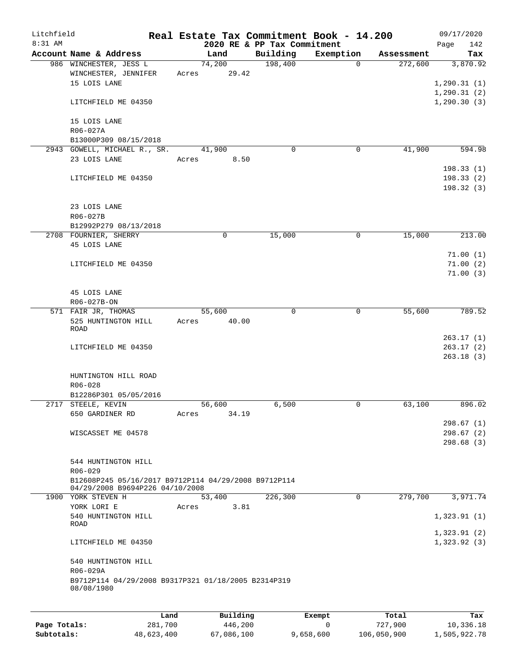| Litchfield   |                                                                                         | Real Estate Tax Commitment Book - 14.200 |                             |                       |            | 09/17/2020                   |
|--------------|-----------------------------------------------------------------------------------------|------------------------------------------|-----------------------------|-----------------------|------------|------------------------------|
| $8:31$ AM    |                                                                                         |                                          | 2020 RE & PP Tax Commitment |                       |            | Page<br>142                  |
|              | Account Name & Address                                                                  | Land<br>74,200                           | Building<br>198,400         | Exemption<br>$\Omega$ | Assessment | Tax                          |
|              | 986 WINCHESTER, JESS L<br>WINCHESTER, JENNIFER<br>15 LOIS LANE                          | 29.42<br>Acres                           |                             |                       | 272,600    | 3,870.92<br>1, 290.31(1)     |
|              | LITCHFIELD ME 04350                                                                     |                                          |                             |                       |            | 1, 290.31(2)<br>1, 290.30(3) |
|              | 15 LOIS LANE                                                                            |                                          |                             |                       |            |                              |
|              | R06-027A<br>B13000P309 08/15/2018                                                       |                                          |                             |                       |            |                              |
|              | 2943 GOWELL, MICHAEL R., SR.                                                            | 41,900                                   | $\mathbf 0$                 | 0                     | 41,900     | 594.98                       |
|              | 23 LOIS LANE                                                                            | 8.50<br>Acres                            |                             |                       |            | 198.33(1)                    |
|              | LITCHFIELD ME 04350                                                                     |                                          |                             |                       |            | 198.33(2)<br>198.32(3)       |
|              | 23 LOIS LANE<br>R06-027B                                                                |                                          |                             |                       |            |                              |
|              | B12992P279 08/13/2018                                                                   |                                          |                             |                       |            |                              |
|              | 2708 FOURNIER, SHERRY                                                                   | 0                                        | 15,000                      | 0                     | 15,000     | 213.00                       |
|              | 45 LOIS LANE                                                                            |                                          |                             |                       |            | 71.00(1)                     |
|              | LITCHFIELD ME 04350                                                                     |                                          |                             |                       |            | 71.00(2)                     |
|              |                                                                                         |                                          |                             |                       |            | 71.00(3)                     |
|              | 45 LOIS LANE                                                                            |                                          |                             |                       |            |                              |
|              | R06-027B-ON<br>571 FAIR JR, THOMAS                                                      | 55,600                                   | $\Omega$                    | 0                     | 55,600     | 789.52                       |
|              | 525 HUNTINGTON HILL<br>ROAD                                                             | 40.00<br>Acres                           |                             |                       |            |                              |
|              |                                                                                         |                                          |                             |                       |            | 263.17(1)                    |
|              | LITCHFIELD ME 04350                                                                     |                                          |                             |                       |            | 263.17(2)<br>263.18(3)       |
|              | HUNTINGTON HILL ROAD                                                                    |                                          |                             |                       |            |                              |
|              | $R06 - 028$                                                                             |                                          |                             |                       |            |                              |
|              | B12286P301 05/05/2016<br>2717 STEELE, KEVIN                                             | 56,600                                   | 6,500                       | 0                     | 63,100     | 896.02                       |
|              | 650 GARDINER RD                                                                         | 34.19<br>Acres                           |                             |                       |            | 298.67(1)                    |
|              | WISCASSET ME 04578                                                                      |                                          |                             |                       |            | 298.67(2)                    |
|              |                                                                                         |                                          |                             |                       |            | 298.68(3)                    |
|              | 544 HUNTINGTON HILL<br>$R06 - 029$                                                      |                                          |                             |                       |            |                              |
|              | B12608P245 05/16/2017 B9712P114 04/29/2008 B9712P114<br>04/29/2008 B9694P226 04/10/2008 |                                          |                             |                       |            |                              |
|              | 1900 YORK STEVEN H                                                                      | 53,400                                   | 226,300                     | $\Omega$              | 279,700    | 3,971.74                     |
|              | YORK LORI E                                                                             | 3.81<br>Acres                            |                             |                       |            |                              |
|              | 540 HUNTINGTON HILL<br>ROAD                                                             |                                          |                             |                       |            | 1,323.91(1)<br>1,323.91(2)   |
|              | LITCHFIELD ME 04350                                                                     |                                          |                             |                       |            | 1,323.92(3)                  |
|              | 540 HUNTINGTON HILL<br>R06-029A                                                         |                                          |                             |                       |            |                              |
|              | B9712P114 04/29/2008 B9317P321 01/18/2005 B2314P319<br>08/08/1980                       |                                          |                             |                       |            |                              |
|              |                                                                                         |                                          |                             |                       |            |                              |
|              | Land                                                                                    | Building                                 |                             | Exempt                | Total      | Tax                          |
| Page Totals: | 281,700                                                                                 | 446,200                                  |                             | $\mathbf 0$           | 727,900    | 10,336.18                    |

**Subtotals:** 48,623,400 67,086,100 9,658,600 106,050,900 1,505,922.78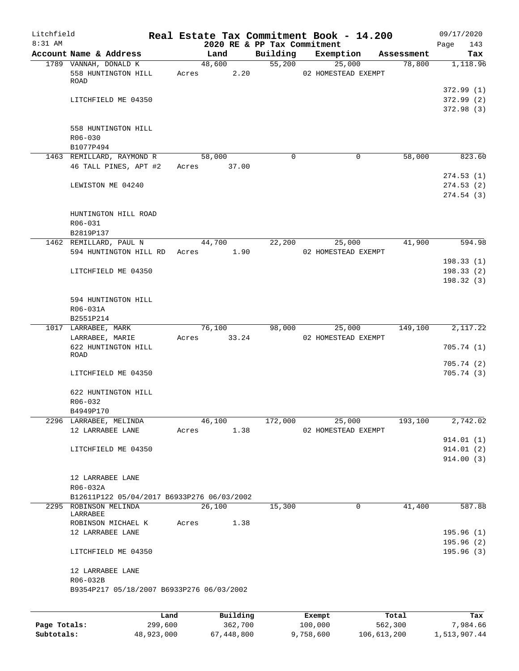| Litchfield   |                                                                |       |                                     |          | Real Estate Tax Commitment Book - 14.200 |            | 09/17/2020                           |
|--------------|----------------------------------------------------------------|-------|-------------------------------------|----------|------------------------------------------|------------|--------------------------------------|
| $8:31$ AM    | Account Name & Address                                         |       | 2020 RE & PP Tax Commitment<br>Land | Building | Exemption                                | Assessment | Page<br>143<br>Tax                   |
|              | 1789 VANNAH, DONALD K                                          |       | 48,600                              | 55,200   | 25,000                                   | 78,800     | 1,118.96                             |
|              | 558 HUNTINGTON HILL<br>ROAD                                    | Acres | 2.20                                |          | 02 HOMESTEAD EXEMPT                      |            |                                      |
|              | LITCHFIELD ME 04350                                            |       |                                     |          |                                          |            | 372.99(1)<br>372.99(2)<br>372.98 (3) |
|              | 558 HUNTINGTON HILL<br>$R06 - 030$<br>B1077P494                |       |                                     |          |                                          |            |                                      |
|              | 1463 REMILLARD, RAYMOND R                                      |       | 58,000                              | $\Omega$ | 0                                        | 58,000     | 823.60                               |
|              | 46 TALL PINES, APT #2                                          |       | Acres 37.00                         |          |                                          |            | 274.53(1)                            |
|              | LEWISTON ME 04240                                              |       |                                     |          |                                          |            | 274.53(2)<br>274.54 (3)              |
|              | HUNTINGTON HILL ROAD<br>$R06 - 031$<br>B2819P137               |       |                                     |          |                                          |            |                                      |
|              | 1462 REMILLARD, PAUL N<br>594 HUNTINGTON HILL RD               | Acres | 44,700<br>1.90                      | 22,200   | 25,000<br>02 HOMESTEAD EXEMPT            | 41,900     | 594.98                               |
|              |                                                                |       |                                     |          |                                          |            | 198.33(1)                            |
|              | LITCHFIELD ME 04350                                            |       |                                     |          |                                          |            | 198.33(2)<br>198.32(3)               |
|              | 594 HUNTINGTON HILL<br>R06-031A<br>B2551P214                   |       |                                     |          |                                          |            |                                      |
|              | 1017 LARRABEE, MARK                                            |       | 76,100                              | 98,000   | 25,000                                   | 149,100    | 2,117.22                             |
|              | LARRABEE, MARIE                                                | Acres | 33.24                               |          | 02 HOMESTEAD EXEMPT                      |            |                                      |
|              | 622 HUNTINGTON HILL<br>ROAD                                    |       |                                     |          |                                          |            | 705.74(1)<br>705.74(2)               |
|              | LITCHFIELD ME 04350                                            |       |                                     |          |                                          |            | 705.74 (3)                           |
|              | 622 HUNTINGTON HILL<br>$R06 - 032$<br>B4949P170                |       |                                     |          |                                          |            |                                      |
|              | 2296 LARRABEE, MELINDA                                         |       | 46,100                              | 172,000  | 25,000                                   | 193,100    | 2,742.02                             |
|              | 12 LARRABEE LANE                                               | Acres | 1.38                                |          | 02 HOMESTEAD EXEMPT                      |            |                                      |
|              | LITCHFIELD ME 04350                                            |       |                                     |          |                                          |            | 914.01(1)<br>914.01(2)<br>914.00(3)  |
|              | 12 LARRABEE LANE<br>R06-032A                                   |       |                                     |          |                                          |            |                                      |
| 2295         | B12611P122 05/04/2017 B6933P276 06/03/2002<br>ROBINSON MELINDA |       | 26,100                              | 15,300   | $\mathbf 0$                              | 41,400     | 587.88                               |
|              | LARRABEE                                                       |       |                                     |          |                                          |            |                                      |
|              | ROBINSON MICHAEL K<br>12 LARRABEE LANE                         | Acres | 1.38                                |          |                                          |            | 195.96(1)                            |
|              | LITCHFIELD ME 04350                                            |       |                                     |          |                                          |            | 195.96(2)<br>195.96(3)               |
|              | 12 LARRABEE LANE<br>R06-032B                                   |       |                                     |          |                                          |            |                                      |
|              | B9354P217 05/18/2007 B6933P276 06/03/2002                      |       |                                     |          |                                          |            |                                      |
|              | Land                                                           |       | Building                            |          | Exempt                                   | Total      | Tax                                  |
| Page Totals: | 299,600                                                        |       | 362,700                             |          | 100,000                                  | 562,300    | 7,984.66                             |

**Subtotals:** 48,923,000 67,448,800 9,758,600 106,613,200 1,513,907.44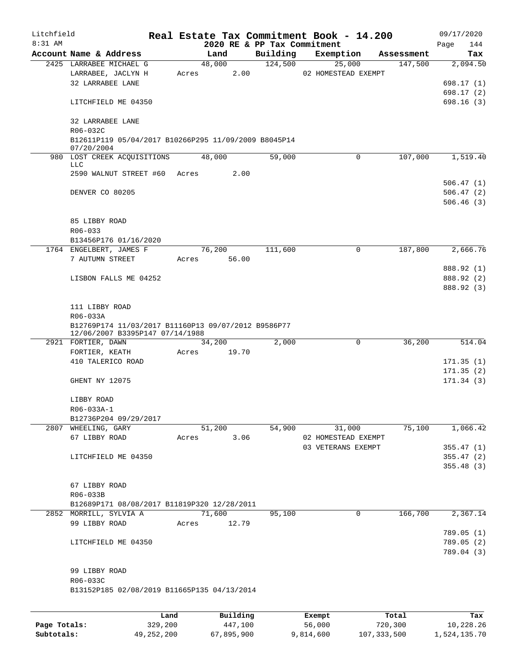| Litchfield |                                                                    |      |       |                 |          |                                         | Real Estate Tax Commitment Book - 14.200 |             |            | 09/17/2020 |                                     |
|------------|--------------------------------------------------------------------|------|-------|-----------------|----------|-----------------------------------------|------------------------------------------|-------------|------------|------------|-------------------------------------|
| 8:31 AM    | Account Name & Address                                             |      |       | Land            |          | 2020 RE & PP Tax Commitment<br>Building | Exemption                                |             | Assessment | Page       | 144<br>Tax                          |
|            | 2425 LARRABEE MICHAEL G                                            |      |       | 48,000          |          | 124,500                                 | 25,000                                   |             | 147,500    |            | 2,094.50                            |
|            | LARRABEE, JACLYN H<br>32 LARRABEE LANE                             |      | Acres |                 | 2.00     |                                         | 02 HOMESTEAD EXEMPT                      |             |            |            | 698.17(1)                           |
|            | LITCHFIELD ME 04350                                                |      |       |                 |          |                                         |                                          |             |            |            | 698.17(2)<br>698.16(3)              |
|            | 32 LARRABEE LANE<br>R06-032C                                       |      |       |                 |          |                                         |                                          |             |            |            |                                     |
|            | B12611P119 05/04/2017 B10266P295 11/09/2009 B8045P14<br>07/20/2004 |      |       |                 |          |                                         |                                          |             |            |            |                                     |
|            | 980 LOST CREEK ACQUISITIONS<br>LLC                                 |      |       | 48,000          |          | 59,000                                  |                                          | $\Omega$    | 107,000    |            | 1,519.40                            |
|            | 2590 WALNUT STREET #60                                             |      | Acres |                 | 2.00     |                                         |                                          |             |            |            |                                     |
|            | DENVER CO 80205                                                    |      |       |                 |          |                                         |                                          |             |            |            | 506.47(1)<br>506.47(2)<br>506.46(3) |
|            | 85 LIBBY ROAD<br>R06-033                                           |      |       |                 |          |                                         |                                          |             |            |            |                                     |
|            | B13456P176 01/16/2020                                              |      |       |                 |          |                                         |                                          |             |            |            |                                     |
|            | 1764 ENGELBERT, JAMES F<br>7 AUTUMN STREET                         |      |       | 76,200<br>Acres | 56.00    | 111,600                                 |                                          | $\mathbf 0$ | 187,800    |            | 2,666.76                            |
|            |                                                                    |      |       |                 |          |                                         |                                          |             |            |            | 888.92 (1)                          |
|            | LISBON FALLS ME 04252                                              |      |       |                 |          |                                         |                                          |             |            |            | 888.92 (2)                          |
|            |                                                                    |      |       |                 |          |                                         |                                          |             |            |            | 888.92 (3)                          |
|            | 111 LIBBY ROAD<br>R06-033A                                         |      |       |                 |          |                                         |                                          |             |            |            |                                     |
|            | B12769P174 11/03/2017 B11160P13 09/07/2012 B9586P77                |      |       |                 |          |                                         |                                          |             |            |            |                                     |
|            | 12/06/2007 B3395P147 07/14/1988<br>2921 FORTIER, DAWN              |      |       | 34,200          |          | 2,000                                   |                                          | 0           | 36,200     |            | 514.04                              |
|            | FORTIER, KEATH                                                     |      | Acres |                 | 19.70    |                                         |                                          |             |            |            |                                     |
|            | 410 TALERICO ROAD                                                  |      |       |                 |          |                                         |                                          |             |            |            | 171.35(1)                           |
|            |                                                                    |      |       |                 |          |                                         |                                          |             |            |            | 171.35(2)                           |
|            | GHENT NY 12075                                                     |      |       |                 |          |                                         |                                          |             |            |            | 171.34(3)                           |
|            | LIBBY ROAD                                                         |      |       |                 |          |                                         |                                          |             |            |            |                                     |
|            | R06-033A-1                                                         |      |       |                 |          |                                         |                                          |             |            |            |                                     |
|            | B12736P204 09/29/2017<br>2807 WHEELING, GARY                       |      |       | 51,200          |          | 54,900                                  | 31,000                                   |             | 75,100     |            | 1,066.42                            |
|            | 67 LIBBY ROAD                                                      |      | Acres |                 | 3.06     |                                         | 02 HOMESTEAD EXEMPT                      |             |            |            |                                     |
|            |                                                                    |      |       |                 |          |                                         | 03 VETERANS EXEMPT                       |             |            |            | 355.47(1)                           |
|            | LITCHFIELD ME 04350                                                |      |       |                 |          |                                         |                                          |             |            |            | 355.47(2)                           |
|            |                                                                    |      |       |                 |          |                                         |                                          |             |            |            | 355.48(3)                           |
|            | 67 LIBBY ROAD                                                      |      |       |                 |          |                                         |                                          |             |            |            |                                     |
|            | R06-033B                                                           |      |       |                 |          |                                         |                                          |             |            |            |                                     |
|            | B12689P171 08/08/2017 B11819P320 12/28/2011                        |      |       |                 |          |                                         |                                          |             |            |            |                                     |
|            | 2852 MORRILL, SYLVIA A                                             |      |       | 71,600          |          | 95,100                                  |                                          | 0           | 166,700    |            | 2,367.14                            |
|            | 99 LIBBY ROAD                                                      |      | Acres |                 | 12.79    |                                         |                                          |             |            |            |                                     |
|            |                                                                    |      |       |                 |          |                                         |                                          |             |            |            | 789.05(1)                           |
|            | LITCHFIELD ME 04350                                                |      |       |                 |          |                                         |                                          |             |            |            | 789.05(2)<br>789.04 (3)             |
|            | 99 LIBBY ROAD                                                      |      |       |                 |          |                                         |                                          |             |            |            |                                     |
|            | R06-033C                                                           |      |       |                 |          |                                         |                                          |             |            |            |                                     |
|            | B13152P185 02/08/2019 B11665P135 04/13/2014                        |      |       |                 |          |                                         |                                          |             |            |            |                                     |
|            |                                                                    |      |       |                 |          |                                         |                                          |             |            |            |                                     |
|            |                                                                    | Land |       |                 | Building |                                         | Exempt                                   | Total       |            |            | Tax                                 |

|              | --------     | ____________ | ______    | --------    | --------     |
|--------------|--------------|--------------|-----------|-------------|--------------|
| Page Totals: | 329,200      | 447,100      | 56,000    | 720,300     | 10,228.26    |
| Subtotals:   | 49, 252, 200 | 67,895,900   | 9,814,600 | 107,333,500 | 1,524,135.70 |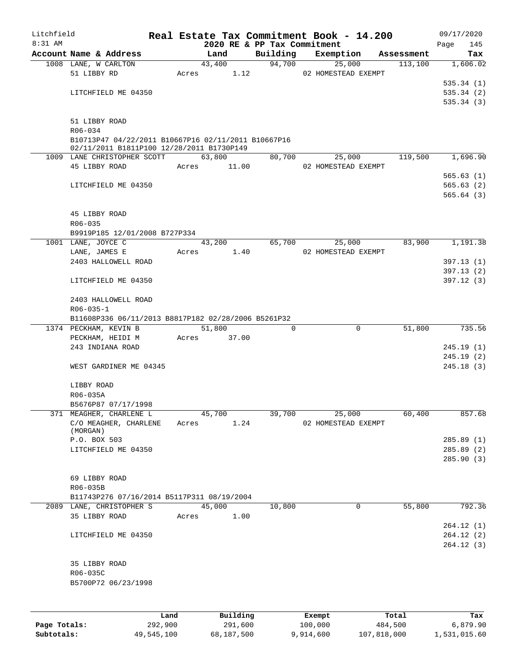| Litchfield |                                                     |       |                |                    | Real Estate Tax Commitment Book - 14.200 |                       | 09/17/2020      |
|------------|-----------------------------------------------------|-------|----------------|--------------------|------------------------------------------|-----------------------|-----------------|
| 8:31 AM    |                                                     |       |                |                    | 2020 RE & PP Tax Commitment              |                       | 145<br>Page     |
|            | Account Name & Address                              |       | Land           | Building<br>94,700 | Exemption                                | Assessment            | Tax<br>1,606.02 |
|            | 1008 LANE, W CARLTON<br>51 LIBBY RD                 | Acres | 43,400<br>1.12 |                    | 25,000<br>02 HOMESTEAD EXEMPT            | 113,100               |                 |
|            |                                                     |       |                |                    |                                          |                       | 535.34(1)       |
|            | LITCHFIELD ME 04350                                 |       |                |                    |                                          |                       | 535.34(2)       |
|            |                                                     |       |                |                    |                                          |                       | 535.34(3)       |
|            |                                                     |       |                |                    |                                          |                       |                 |
|            | 51 LIBBY ROAD                                       |       |                |                    |                                          |                       |                 |
|            | R06-034                                             |       |                |                    |                                          |                       |                 |
|            | B10713P47 04/22/2011 B10667P16 02/11/2011 B10667P16 |       |                |                    |                                          |                       |                 |
|            | 02/11/2011 B1811P100 12/28/2011 B1730P149           |       |                |                    |                                          |                       |                 |
|            | 1009 LANE CHRISTOPHER SCOTT                         |       | 63,800         | 80,700             | 25,000                                   | 119,500               | 1,696.90        |
|            | 45 LIBBY ROAD                                       | Acres | 11.00          |                    | 02 HOMESTEAD EXEMPT                      |                       |                 |
|            |                                                     |       |                |                    |                                          |                       | 565.63(1)       |
|            | LITCHFIELD ME 04350                                 |       |                |                    |                                          |                       | 565.63(2)       |
|            |                                                     |       |                |                    |                                          |                       | 565.64(3)       |
|            |                                                     |       |                |                    |                                          |                       |                 |
|            | 45 LIBBY ROAD                                       |       |                |                    |                                          |                       |                 |
|            | R06-035                                             |       |                |                    |                                          |                       |                 |
|            | B9919P185 12/01/2008 B727P334                       |       |                |                    |                                          |                       |                 |
|            | 1001 LANE, JOYCE C                                  |       | 43,200         | 65,700             | 25,000                                   | 83,900                | 1,191.38        |
|            | LANE, JAMES E                                       | Acres | 1.40           |                    | 02 HOMESTEAD EXEMPT                      |                       |                 |
|            | 2403 HALLOWELL ROAD                                 |       |                |                    |                                          |                       | 397.13(1)       |
|            |                                                     |       |                |                    |                                          |                       | 397.13(2)       |
|            | LITCHFIELD ME 04350                                 |       |                |                    |                                          |                       | 397.12(3)       |
|            | 2403 HALLOWELL ROAD                                 |       |                |                    |                                          |                       |                 |
|            | $R06 - 035 - 1$                                     |       |                |                    |                                          |                       |                 |
|            | B11608P336 06/11/2013 B8817P182 02/28/2006 B5261P32 |       |                |                    |                                          |                       |                 |
|            | 1374 PECKHAM, KEVIN B                               |       | 51,800         |                    | $\Omega$                                 | $\mathbf 0$<br>51,800 | 735.56          |
|            | PECKHAM, HEIDI M                                    | Acres | 37.00          |                    |                                          |                       |                 |
|            | 243 INDIANA ROAD                                    |       |                |                    |                                          |                       | 245.19(1)       |
|            |                                                     |       |                |                    |                                          |                       | 245.19(2)       |
|            | WEST GARDINER ME 04345                              |       |                |                    |                                          |                       | 245.18(3)       |
|            |                                                     |       |                |                    |                                          |                       |                 |
|            | LIBBY ROAD                                          |       |                |                    |                                          |                       |                 |
|            | R06-035A                                            |       |                |                    |                                          |                       |                 |
|            | B5676P87 07/17/1998                                 |       |                |                    |                                          |                       |                 |
|            | 371 MEAGHER, CHARLENE L                             |       | 45,700         | 39,700             | 25,000                                   | 60,400                | 857.68          |
|            | C/O MEAGHER, CHARLENE                               | Acres | 1.24           |                    | 02 HOMESTEAD EXEMPT                      |                       |                 |
|            | (MORGAN)                                            |       |                |                    |                                          |                       |                 |
|            | P.O. BOX 503                                        |       |                |                    |                                          |                       | 285.89(1)       |
|            | LITCHFIELD ME 04350                                 |       |                |                    |                                          |                       | 285.89(2)       |
|            |                                                     |       |                |                    |                                          |                       | 285.90(3)       |
|            |                                                     |       |                |                    |                                          |                       |                 |
|            | 69 LIBBY ROAD                                       |       |                |                    |                                          |                       |                 |
|            | R06-035B                                            |       |                |                    |                                          |                       |                 |
|            | B11743P276 07/16/2014 B5117P311 08/19/2004          |       |                |                    |                                          |                       |                 |
|            | 2089 LANE, CHRISTOPHER S                            |       | 45,000         | 10,800             |                                          | $\mathbf 0$<br>55,800 | 792.36          |
|            | 35 LIBBY ROAD                                       | Acres | 1.00           |                    |                                          |                       |                 |
|            |                                                     |       |                |                    |                                          |                       | 264.12(1)       |
|            | LITCHFIELD ME 04350                                 |       |                |                    |                                          |                       | 264.12(2)       |
|            |                                                     |       |                |                    |                                          |                       | 264.12(3)       |
|            |                                                     |       |                |                    |                                          |                       |                 |
|            | 35 LIBBY ROAD                                       |       |                |                    |                                          |                       |                 |
|            | R06-035C                                            |       |                |                    |                                          |                       |                 |
|            | B5700P72 06/23/1998                                 |       |                |                    |                                          |                       |                 |
|            |                                                     |       |                |                    |                                          |                       |                 |
|            |                                                     | Land  | Building       |                    | Exempt                                   | Total                 | Tax             |
|            |                                                     |       |                |                    |                                          |                       |                 |

|              | Land       | Building   | Exempt    | Total       | Tax          |
|--------------|------------|------------|-----------|-------------|--------------|
| Page Totals: | 292,900    | 291,600    | 100,000   | 484,500     | 6,879.90     |
| Subtotals:   | 49,545,100 | 68,187,500 | 9,914,600 | 107,818,000 | 1,531,015.60 |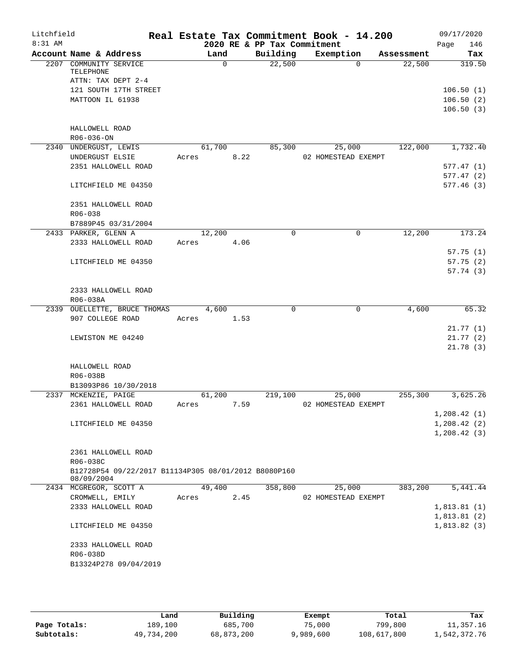| Litchfield |                                                      |                 |          | Real Estate Tax Commitment Book - 14.200 |                               |            | 09/17/2020           |
|------------|------------------------------------------------------|-----------------|----------|------------------------------------------|-------------------------------|------------|----------------------|
| 8:31 AM    |                                                      |                 |          | 2020 RE & PP Tax Commitment              |                               |            | 146<br>Page          |
|            | Account Name & Address                               | Land            |          | Building                                 | Exemption                     | Assessment | Tax                  |
|            | 2207 COMMUNITY SERVICE<br>TELEPHONE                  |                 | $\Omega$ | 22,500                                   | $\Omega$                      | 22,500     | 319.50               |
|            | ATTN: TAX DEPT 2-4                                   |                 |          |                                          |                               |            |                      |
|            | 121 SOUTH 17TH STREET                                |                 |          |                                          |                               |            | 106.50(1)            |
|            | MATTOON IL 61938                                     |                 |          |                                          |                               |            | 106.50(2)            |
|            |                                                      |                 |          |                                          |                               |            | 106.50(3)            |
|            | HALLOWELL ROAD<br>R06-036-ON                         |                 |          |                                          |                               |            |                      |
|            | 2340 UNDERGUST, LEWIS                                | 61,700          |          | 85,300                                   | 25,000                        | 122,000    | 1,732.40             |
|            | UNDERGUST ELSIE                                      | Acres           | 8.22     |                                          | 02 HOMESTEAD EXEMPT           |            |                      |
|            | 2351 HALLOWELL ROAD                                  |                 |          |                                          |                               |            | 577.47(1)            |
|            |                                                      |                 |          |                                          |                               |            | 577.47(2)            |
|            | LITCHFIELD ME 04350                                  |                 |          |                                          |                               |            | 577.46(3)            |
|            | 2351 HALLOWELL ROAD                                  |                 |          |                                          |                               |            |                      |
|            | R06-038                                              |                 |          |                                          |                               |            |                      |
|            | B7889P45 03/31/2004                                  |                 |          |                                          |                               |            |                      |
|            | 2433 PARKER, GLENN A                                 | 12,200          |          | 0                                        | $\mathbf 0$                   | 12,200     | 173.24               |
|            | 2333 HALLOWELL ROAD                                  | Acres           | 4.06     |                                          |                               |            |                      |
|            | LITCHFIELD ME 04350                                  |                 |          |                                          |                               |            | 57.75(1)             |
|            |                                                      |                 |          |                                          |                               |            | 57.75(2)<br>57.74(3) |
|            |                                                      |                 |          |                                          |                               |            |                      |
|            | 2333 HALLOWELL ROAD<br>R06-038A                      |                 |          |                                          |                               |            |                      |
|            | 2339 OUELLETTE, BRUCE THOMAS                         | 4,600           |          | $\Omega$                                 | $\Omega$                      | 4,600      | 65.32                |
|            | 907 COLLEGE ROAD                                     | Acres           | 1.53     |                                          |                               |            |                      |
|            |                                                      |                 |          |                                          |                               |            | 21.77(1)             |
|            | LEWISTON ME 04240                                    |                 |          |                                          |                               |            | 21.77(2)             |
|            |                                                      |                 |          |                                          |                               |            | 21.78(3)             |
|            | HALLOWELL ROAD                                       |                 |          |                                          |                               |            |                      |
|            | R06-038B                                             |                 |          |                                          |                               |            |                      |
|            | B13093P86 10/30/2018                                 |                 |          |                                          |                               | 255,300    |                      |
|            | 2337 MCKENZIE, PAIGE<br>2361 HALLOWELL ROAD          | 61,200<br>Acres | 7.59     | 219,100                                  | 25,000<br>02 HOMESTEAD EXEMPT |            | 3,625.26             |
|            |                                                      |                 |          |                                          |                               |            | 1,208.42(1)          |
|            | LITCHFIELD ME 04350                                  |                 |          |                                          |                               |            | 1,208.42(2)          |
|            |                                                      |                 |          |                                          |                               |            | 1,208.42(3)          |
|            | 2361 HALLOWELL ROAD                                  |                 |          |                                          |                               |            |                      |
|            | R06-038C                                             |                 |          |                                          |                               |            |                      |
|            | B12728P54 09/22/2017 B11134P305 08/01/2012 B8080P160 |                 |          |                                          |                               |            |                      |
|            | 08/09/2004                                           |                 |          |                                          |                               |            |                      |
|            | 2434 MCGREGOR, SCOTT A                               | 49,400          |          | 358,800                                  | 25,000                        | 383,200    | 5,441.44             |
|            | CROMWELL, EMILY                                      | Acres           | 2.45     |                                          | 02 HOMESTEAD EXEMPT           |            |                      |
|            | 2333 HALLOWELL ROAD                                  |                 |          |                                          |                               |            | 1,813.81(1)          |
|            |                                                      |                 |          |                                          |                               |            | 1,813.81(2)          |
|            | LITCHFIELD ME 04350                                  |                 |          |                                          |                               |            | 1,813.82(3)          |
|            | 2333 HALLOWELL ROAD                                  |                 |          |                                          |                               |            |                      |
|            | R06-038D                                             |                 |          |                                          |                               |            |                      |
|            | B13324P278 09/04/2019                                |                 |          |                                          |                               |            |                      |
|            |                                                      |                 |          |                                          |                               |            |                      |

|              | Land       | Building   | Exempt    | Total       | Tax          |
|--------------|------------|------------|-----------|-------------|--------------|
| Page Totals: | 189,100    | 685,700    | 75,000    | 799,800     | 11,357.16    |
| Subtotals:   | 49,734,200 | 68,873,200 | 9,989,600 | 108,617,800 | 1,542,372.76 |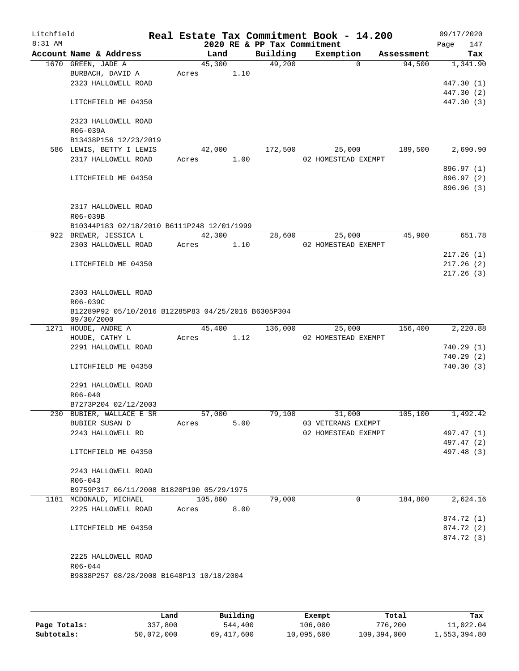| Litchfield<br>8:31 AM |                                                                   |         |      | 2020 RE & PP Tax Commitment | Real Estate Tax Commitment Book - 14.200 |            | 09/17/2020<br>147<br>Page |
|-----------------------|-------------------------------------------------------------------|---------|------|-----------------------------|------------------------------------------|------------|---------------------------|
|                       | Account Name & Address                                            | Land    |      | Building                    | Exemption                                | Assessment | Tax                       |
|                       | 1670 GREEN, JADE A                                                | 45,300  |      | 49,200                      | $\Omega$                                 | 94,500     | 1,341.90                  |
|                       | BURBACH, DAVID A                                                  | Acres   | 1.10 |                             |                                          |            |                           |
|                       | 2323 HALLOWELL ROAD                                               |         |      |                             |                                          |            | 447.30 (1)                |
|                       |                                                                   |         |      |                             |                                          |            | 447.30 (2)                |
|                       | LITCHFIELD ME 04350                                               |         |      |                             |                                          |            | 447.30 (3)                |
|                       | 2323 HALLOWELL ROAD                                               |         |      |                             |                                          |            |                           |
|                       | R06-039A                                                          |         |      |                             |                                          |            |                           |
|                       | B13438P156 12/23/2019                                             |         |      |                             |                                          |            |                           |
|                       | 586 LEWIS, BETTY I LEWIS                                          | 42,000  |      | 172,500                     | 25,000                                   | 189,500    | 2,690.90                  |
|                       | 2317 HALLOWELL ROAD                                               | Acres   | 1.00 |                             | 02 HOMESTEAD EXEMPT                      |            |                           |
|                       |                                                                   |         |      |                             |                                          |            | 896.97 (1)                |
|                       | LITCHFIELD ME 04350                                               |         |      |                             |                                          |            | 896.97 (2)                |
|                       |                                                                   |         |      |                             |                                          |            | 896.96 (3)                |
|                       | 2317 HALLOWELL ROAD                                               |         |      |                             |                                          |            |                           |
|                       | R06-039B                                                          |         |      |                             |                                          |            |                           |
|                       | B10344P183 02/18/2010 B6111P248 12/01/1999                        |         |      |                             |                                          |            |                           |
|                       | 922 BREWER, JESSICA L                                             | 42,300  |      | 28,600                      | 25,000                                   | 45,900     | 651.78                    |
|                       | 2303 HALLOWELL ROAD                                               | Acres   | 1.10 |                             | 02 HOMESTEAD EXEMPT                      |            |                           |
|                       |                                                                   |         |      |                             |                                          |            | 217.26(1)                 |
|                       | LITCHFIELD ME 04350                                               |         |      |                             |                                          |            | 217.26(2)                 |
|                       |                                                                   |         |      |                             |                                          |            | 217.26(3)                 |
|                       |                                                                   |         |      |                             |                                          |            |                           |
|                       | 2303 HALLOWELL ROAD                                               |         |      |                             |                                          |            |                           |
|                       | R06-039C                                                          |         |      |                             |                                          |            |                           |
|                       | B12289P92 05/10/2016 B12285P83 04/25/2016 B6305P304<br>09/30/2000 |         |      |                             |                                          |            |                           |
|                       | 1271 HOUDE, ANDRE A                                               | 45,400  |      | 136,000                     | 25,000                                   | 156,400    | 2,220.88                  |
|                       | HOUDE, CATHY L                                                    | Acres   | 1.12 |                             | 02 HOMESTEAD EXEMPT                      |            |                           |
|                       | 2291 HALLOWELL ROAD                                               |         |      |                             |                                          |            | 740.29 (1)                |
|                       |                                                                   |         |      |                             |                                          |            | 740.29(2)                 |
|                       | LITCHFIELD ME 04350                                               |         |      |                             |                                          |            | 740.30(3)                 |
|                       | 2291 HALLOWELL ROAD                                               |         |      |                             |                                          |            |                           |
|                       | $R06 - 040$                                                       |         |      |                             |                                          |            |                           |
|                       | B7273P204 02/12/2003                                              |         |      |                             |                                          |            |                           |
|                       | 230 BUBIER, WALLACE E SR                                          | 57,000  |      | 79,100                      | 31,000                                   | 105, 100   | 1,492.42                  |
|                       | BUBIER SUSAN D                                                    | Acres   | 5.00 |                             | 03 VETERANS EXEMPT                       |            |                           |
|                       | 2243 HALLOWELL RD                                                 |         |      |                             | 02 HOMESTEAD EXEMPT                      |            | 497.47 (1)                |
|                       |                                                                   |         |      |                             |                                          |            | 497.47 (2)                |
|                       | LITCHFIELD ME 04350                                               |         |      |                             |                                          |            | 497.48 (3)                |
|                       | 2243 HALLOWELL ROAD                                               |         |      |                             |                                          |            |                           |
|                       | $R06 - 043$                                                       |         |      |                             |                                          |            |                           |
|                       | B9759P317 06/11/2008 B1820P190 05/29/1975                         |         |      |                             |                                          |            |                           |
|                       | 1181 MCDONALD, MICHAEL                                            | 105,800 |      | 79,000                      | 0                                        | 184,800    | 2,624.16                  |
|                       | 2225 HALLOWELL ROAD                                               | Acres   | 8.00 |                             |                                          |            |                           |
|                       |                                                                   |         |      |                             |                                          |            | 874.72 (1)                |
|                       | LITCHFIELD ME 04350                                               |         |      |                             |                                          |            | 874.72 (2)                |
|                       |                                                                   |         |      |                             |                                          |            | 874.72 (3)                |
|                       |                                                                   |         |      |                             |                                          |            |                           |
|                       | 2225 HALLOWELL ROAD                                               |         |      |                             |                                          |            |                           |
|                       | R06-044                                                           |         |      |                             |                                          |            |                           |
|                       | B9838P257 08/28/2008 B1648P13 10/18/2004                          |         |      |                             |                                          |            |                           |
|                       |                                                                   |         |      |                             |                                          |            |                           |
|                       |                                                                   |         |      |                             |                                          |            |                           |

|              | Land       | Building   | Exempt     | Total       | Tax          |
|--------------|------------|------------|------------|-------------|--------------|
| Page Totals: | 337,800    | 544,400    | 106,000    | 776,200     | 11,022.04    |
| Subtotals:   | 50,072,000 | 69,417,600 | 10,095,600 | 109,394,000 | 1,553,394.80 |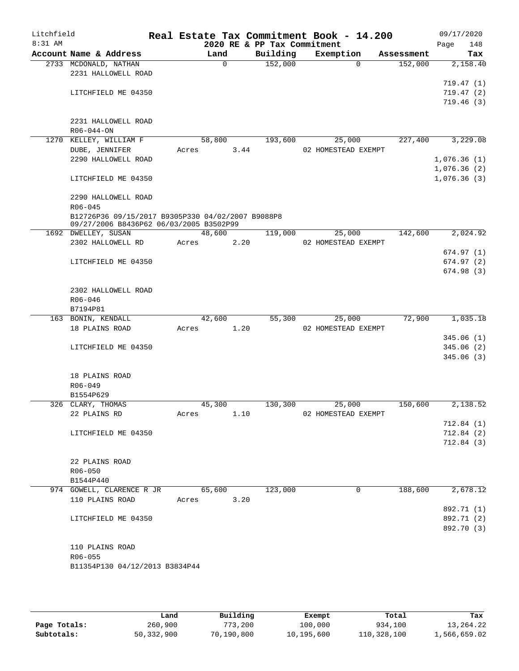| Litchfield |                                                   |        |          |                             | Real Estate Tax Commitment Book - 14.200 |            | 09/17/2020                 |          |
|------------|---------------------------------------------------|--------|----------|-----------------------------|------------------------------------------|------------|----------------------------|----------|
| $8:31$ AM  |                                                   |        |          | 2020 RE & PP Tax Commitment |                                          |            | Page                       | 148      |
|            | Account Name & Address                            | Land   | $\Omega$ | Building                    | Exemption<br>$\Omega$                    | Assessment |                            | Tax      |
|            | 2733 MCDONALD, NATHAN<br>2231 HALLOWELL ROAD      |        |          | 152,000                     |                                          | 152,000    |                            | 2,158.40 |
|            |                                                   |        |          |                             |                                          |            | 719.47(1)                  |          |
|            | LITCHFIELD ME 04350                               |        |          |                             |                                          |            | 719.47(2)                  |          |
|            |                                                   |        |          |                             |                                          |            | 719.46(3)                  |          |
|            |                                                   |        |          |                             |                                          |            |                            |          |
|            | 2231 HALLOWELL ROAD                               |        |          |                             |                                          |            |                            |          |
|            | $R06 - 044 - ON$                                  |        |          |                             |                                          |            |                            |          |
|            | 1270 KELLEY, WILLIAM F                            | 58,800 |          | 193,600                     | 25,000                                   | 227,400    |                            | 3,229.08 |
|            | DUBE, JENNIFER                                    | Acres  | 3.44     |                             | 02 HOMESTEAD EXEMPT                      |            |                            |          |
|            | 2290 HALLOWELL ROAD                               |        |          |                             |                                          |            | 1,076.36(1)                |          |
|            | LITCHFIELD ME 04350                               |        |          |                             |                                          |            | 1,076.36(2)<br>1,076.36(3) |          |
|            |                                                   |        |          |                             |                                          |            |                            |          |
|            | 2290 HALLOWELL ROAD                               |        |          |                             |                                          |            |                            |          |
|            | $R06 - 045$                                       |        |          |                             |                                          |            |                            |          |
|            | B12726P36 09/15/2017 B9305P330 04/02/2007 B9088P8 |        |          |                             |                                          |            |                            |          |
|            | 09/27/2006 B8436P62 06/03/2005 B3502P99           |        |          |                             |                                          |            |                            |          |
|            | 1692 DWELLEY, SUSAN                               | 48,600 |          | 119,000                     | 25,000                                   | 142,600    |                            | 2,024.92 |
|            | 2302 HALLOWELL RD                                 | Acres  | 2.20     |                             | 02 HOMESTEAD EXEMPT                      |            |                            |          |
|            | LITCHFIELD ME 04350                               |        |          |                             |                                          |            | 674.97(1)                  |          |
|            |                                                   |        |          |                             |                                          |            | 674.97(2)<br>674.98(3)     |          |
|            |                                                   |        |          |                             |                                          |            |                            |          |
|            | 2302 HALLOWELL ROAD                               |        |          |                             |                                          |            |                            |          |
|            | R06-046                                           |        |          |                             |                                          |            |                            |          |
|            | B7194P81                                          |        |          |                             |                                          |            |                            |          |
|            | 163 BONIN, KENDALL                                | 42,600 |          | 55,300                      | 25,000                                   | 72,900     |                            | 1,035.18 |
|            | 18 PLAINS ROAD                                    | Acres  | 1.20     |                             | 02 HOMESTEAD EXEMPT                      |            |                            |          |
|            |                                                   |        |          |                             |                                          |            | 345.06(1)                  |          |
|            | LITCHFIELD ME 04350                               |        |          |                             |                                          |            | 345.06(2)                  |          |
|            |                                                   |        |          |                             |                                          |            | 345.06(3)                  |          |
|            | 18 PLAINS ROAD                                    |        |          |                             |                                          |            |                            |          |
|            | R06-049                                           |        |          |                             |                                          |            |                            |          |
|            | B1554P629                                         |        |          |                             |                                          |            |                            |          |
|            | 326 CLARY, THOMAS                                 | 45,300 |          | 130,300                     | 25,000                                   | 150,600    |                            | 2,138.52 |
|            | 22 PLAINS RD                                      | Acres  | 1.10     |                             | 02 HOMESTEAD EXEMPT                      |            |                            |          |
|            |                                                   |        |          |                             |                                          |            | 712.84 (1)                 |          |
|            | LITCHFIELD ME 04350                               |        |          |                             |                                          |            | 712.84(2)                  |          |
|            |                                                   |        |          |                             |                                          |            | 712.84(3)                  |          |
|            |                                                   |        |          |                             |                                          |            |                            |          |
|            | 22 PLAINS ROAD                                    |        |          |                             |                                          |            |                            |          |
|            | $R06 - 050$                                       |        |          |                             |                                          |            |                            |          |
|            | B1544P440<br>974 GOWELL, CLARENCE R JR            | 65,600 |          | 123,000                     | 0                                        | 188,600    |                            | 2,678.12 |
|            | 110 PLAINS ROAD                                   | Acres  | 3.20     |                             |                                          |            |                            |          |
|            |                                                   |        |          |                             |                                          |            | 892.71 (1)                 |          |
|            | LITCHFIELD ME 04350                               |        |          |                             |                                          |            | 892.71 (2)                 |          |
|            |                                                   |        |          |                             |                                          |            | 892.70 (3)                 |          |
|            |                                                   |        |          |                             |                                          |            |                            |          |
|            | 110 PLAINS ROAD                                   |        |          |                             |                                          |            |                            |          |
|            | R06-055                                           |        |          |                             |                                          |            |                            |          |
|            | B11354P130 04/12/2013 B3834P44                    |        |          |                             |                                          |            |                            |          |
|            |                                                   |        |          |                             |                                          |            |                            |          |

|              | Land       | Building   | Exempt     | Total       | Tax          |
|--------------|------------|------------|------------|-------------|--------------|
| Page Totals: | 260,900    | 773,200    | 100,000    | 934,100     | 13,264.22    |
| Subtotals:   | 50,332,900 | 70,190,800 | 10,195,600 | 110,328,100 | 1,566,659.02 |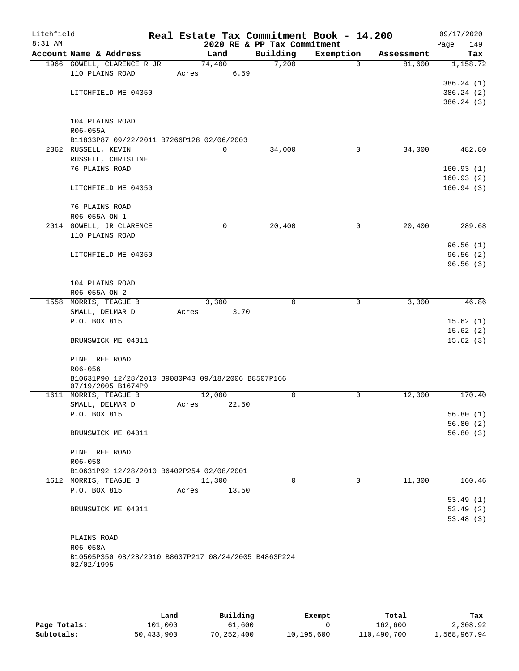| Litchfield<br>8:31 AM |                                                                          |       |             | 2020 RE & PP Tax Commitment | Real Estate Tax Commitment Book - 14.200 |            | 09/17/2020           |
|-----------------------|--------------------------------------------------------------------------|-------|-------------|-----------------------------|------------------------------------------|------------|----------------------|
|                       | Account Name & Address                                                   |       | Land        | Building                    | Exemption                                | Assessment | Page<br>149<br>Tax   |
|                       | 1966 GOWELL, CLARENCE R JR                                               |       | 74,400      | 7,200                       | $\Omega$                                 | 81,600     | 1,158.72             |
|                       | 110 PLAINS ROAD                                                          | Acres | 6.59        |                             |                                          |            |                      |
|                       |                                                                          |       |             |                             |                                          |            | 386.24 (1)           |
|                       | LITCHFIELD ME 04350                                                      |       |             |                             |                                          |            | 386.24 (2)           |
|                       |                                                                          |       |             |                             |                                          |            | 386.24(3)            |
|                       |                                                                          |       |             |                             |                                          |            |                      |
|                       | 104 PLAINS ROAD                                                          |       |             |                             |                                          |            |                      |
|                       | R06-055A                                                                 |       |             |                             |                                          |            |                      |
|                       | B11833P87 09/22/2011 B7266P128 02/06/2003                                |       |             |                             |                                          |            |                      |
|                       | 2362 RUSSELL, KEVIN                                                      |       | $\mathbf 0$ | 34,000                      | 0                                        | 34,000     | 482.80               |
|                       | RUSSELL, CHRISTINE                                                       |       |             |                             |                                          |            |                      |
|                       | 76 PLAINS ROAD                                                           |       |             |                             |                                          |            | 160.93(1)            |
|                       |                                                                          |       |             |                             |                                          |            | 160.93(2)            |
|                       | LITCHFIELD ME 04350                                                      |       |             |                             |                                          |            | 160.94(3)            |
|                       |                                                                          |       |             |                             |                                          |            |                      |
|                       | 76 PLAINS ROAD                                                           |       |             |                             |                                          |            |                      |
|                       | R06-055A-ON-1                                                            |       | $\mathbf 0$ | 20,400                      | $\mathbf 0$                              | 20,400     | 289.68               |
|                       | 2014 GOWELL, JR CLARENCE<br>110 PLAINS ROAD                              |       |             |                             |                                          |            |                      |
|                       |                                                                          |       |             |                             |                                          |            | 96.56(1)             |
|                       | LITCHFIELD ME 04350                                                      |       |             |                             |                                          |            | 96.56(2)             |
|                       |                                                                          |       |             |                             |                                          |            | 96.56(3)             |
|                       |                                                                          |       |             |                             |                                          |            |                      |
|                       | 104 PLAINS ROAD                                                          |       |             |                             |                                          |            |                      |
|                       | R06-055A-ON-2                                                            |       |             |                             |                                          |            |                      |
|                       | 1558 MORRIS, TEAGUE B                                                    |       | 3,300       | 0                           | 0                                        | 3,300      | 46.86                |
|                       | SMALL, DELMAR D                                                          | Acres | 3.70        |                             |                                          |            |                      |
|                       | P.O. BOX 815                                                             |       |             |                             |                                          |            | 15.62(1)             |
|                       |                                                                          |       |             |                             |                                          |            | 15.62(2)             |
|                       | BRUNSWICK ME 04011                                                       |       |             |                             |                                          |            | 15.62(3)             |
|                       |                                                                          |       |             |                             |                                          |            |                      |
|                       | PINE TREE ROAD                                                           |       |             |                             |                                          |            |                      |
|                       | $R06 - 056$                                                              |       |             |                             |                                          |            |                      |
|                       | B10631P90 12/28/2010 B9080P43 09/18/2006 B8507P166<br>07/19/2005 B1674P9 |       |             |                             |                                          |            |                      |
|                       | 1611 MORRIS, TEAGUE B                                                    |       | 12,000      | 0                           | 0                                        | 12,000     | 170.40               |
|                       | SMALL, DELMAR D                                                          | Acres | 22.50       |                             |                                          |            |                      |
|                       | P.O. BOX 815                                                             |       |             |                             |                                          |            | 56.80(1)             |
|                       |                                                                          |       |             |                             |                                          |            | 56.80(2)             |
|                       | BRUNSWICK ME 04011                                                       |       |             |                             |                                          |            | 56.80(3)             |
|                       |                                                                          |       |             |                             |                                          |            |                      |
|                       | PINE TREE ROAD                                                           |       |             |                             |                                          |            |                      |
|                       | $R06 - 058$                                                              |       |             |                             |                                          |            |                      |
|                       | B10631P92 12/28/2010 B6402P254 02/08/2001                                |       |             |                             |                                          |            |                      |
|                       | 1612 MORRIS, TEAGUE B                                                    |       | 11,300      | $\Omega$                    | $\mathbf 0$                              | 11,300     | 160.46               |
|                       | P.O. BOX 815                                                             | Acres | 13.50       |                             |                                          |            |                      |
|                       |                                                                          |       |             |                             |                                          |            | 53.49(1)<br>53.49(2) |
|                       | BRUNSWICK ME 04011                                                       |       |             |                             |                                          |            | 53.48(3)             |
|                       |                                                                          |       |             |                             |                                          |            |                      |
|                       | PLAINS ROAD                                                              |       |             |                             |                                          |            |                      |
|                       | R06-058A                                                                 |       |             |                             |                                          |            |                      |
|                       | B10505P350 08/28/2010 B8637P217 08/24/2005 B4863P224                     |       |             |                             |                                          |            |                      |
|                       | 02/02/1995                                                               |       |             |                             |                                          |            |                      |
|                       |                                                                          |       |             |                             |                                          |            |                      |

|              | Land       | Building   | Exempt     | Total       | Tax          |
|--------------|------------|------------|------------|-------------|--------------|
| Page Totals: | 101,000    | 61,600     |            | 162,600     | 2,308.92     |
| Subtotals:   | 50,433,900 | 70,252,400 | 10,195,600 | 110,490,700 | 1,568,967.94 |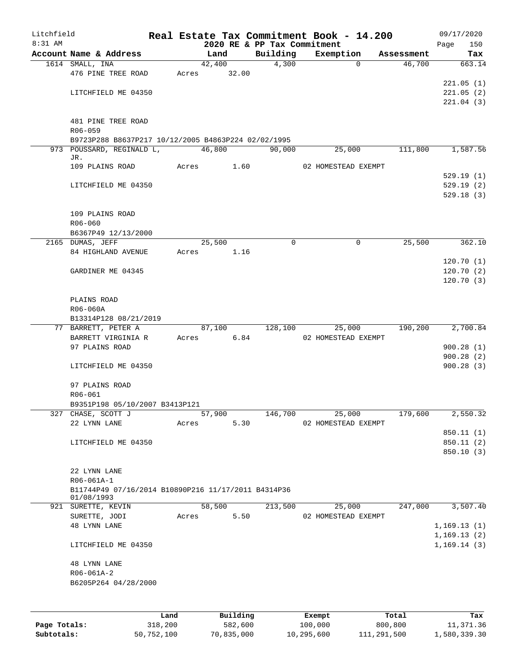| Litchfield |                                                     |       |        |          |                             | Real Estate Tax Commitment Book - 14.200 |            | 09/17/2020   |
|------------|-----------------------------------------------------|-------|--------|----------|-----------------------------|------------------------------------------|------------|--------------|
| 8:31 AM    |                                                     |       |        |          | 2020 RE & PP Tax Commitment |                                          |            | 150<br>Page  |
|            | Account Name & Address                              |       | Land   |          | Building                    | Exemption                                | Assessment | Tax          |
|            | 1614 SMALL, INA                                     |       | 42,400 |          | 4,300                       | $\Omega$                                 | 46,700     | 663.14       |
|            | 476 PINE TREE ROAD                                  | Acres |        | 32.00    |                             |                                          |            | 221.05(1)    |
|            | LITCHFIELD ME 04350                                 |       |        |          |                             |                                          |            | 221.05(2)    |
|            |                                                     |       |        |          |                             |                                          |            | 221.04(3)    |
|            |                                                     |       |        |          |                             |                                          |            |              |
|            | 481 PINE TREE ROAD                                  |       |        |          |                             |                                          |            |              |
|            | R06-059                                             |       |        |          |                             |                                          |            |              |
|            | B9723P288 B8637P217 10/12/2005 B4863P224 02/02/1995 |       |        |          |                             |                                          |            |              |
|            | 973 POUSSARD, REGINALD L,                           |       | 46,800 |          | 90,000                      | 25,000                                   | 111,800    | 1,587.56     |
|            | JR.                                                 |       |        |          |                             |                                          |            |              |
|            | 109 PLAINS ROAD                                     | Acres |        | 1.60     |                             | 02 HOMESTEAD EXEMPT                      |            |              |
|            |                                                     |       |        |          |                             |                                          |            | 529.19(1)    |
|            | LITCHFIELD ME 04350                                 |       |        |          |                             |                                          |            | 529.19(2)    |
|            |                                                     |       |        |          |                             |                                          |            | 529.18(3)    |
|            |                                                     |       |        |          |                             |                                          |            |              |
|            | 109 PLAINS ROAD                                     |       |        |          |                             |                                          |            |              |
|            | $R06 - 060$<br>B6367P49 12/13/2000                  |       |        |          |                             |                                          |            |              |
|            | 2165 DUMAS, JEFF                                    |       | 25,500 |          | $\mathbf 0$                 | $\mathbf 0$                              | 25,500     | 362.10       |
|            | 84 HIGHLAND AVENUE                                  | Acres |        | 1.16     |                             |                                          |            |              |
|            |                                                     |       |        |          |                             |                                          |            | 120.70(1)    |
|            | GARDINER ME 04345                                   |       |        |          |                             |                                          |            | 120.70(2)    |
|            |                                                     |       |        |          |                             |                                          |            | 120.70(3)    |
|            |                                                     |       |        |          |                             |                                          |            |              |
|            | PLAINS ROAD                                         |       |        |          |                             |                                          |            |              |
|            | R06-060A                                            |       |        |          |                             |                                          |            |              |
|            | B13314P128 08/21/2019                               |       |        |          |                             |                                          |            |              |
|            | 77 BARRETT, PETER A                                 |       | 87,100 |          | 128,100                     | 25,000                                   | 190,200    | 2,700.84     |
|            | BARRETT VIRGINIA R                                  | Acres |        | 6.84     |                             | 02 HOMESTEAD EXEMPT                      |            |              |
|            | 97 PLAINS ROAD                                      |       |        |          |                             |                                          |            | 900.28(1)    |
|            |                                                     |       |        |          |                             |                                          |            | 900.28(2)    |
|            | LITCHFIELD ME 04350                                 |       |        |          |                             |                                          |            | 900.28(3)    |
|            |                                                     |       |        |          |                             |                                          |            |              |
|            | 97 PLAINS ROAD                                      |       |        |          |                             |                                          |            |              |
|            | R06-061                                             |       |        |          |                             |                                          |            |              |
|            | B9351P198 05/10/2007 B3413P121                      |       |        |          |                             |                                          |            |              |
|            | 327 CHASE, SCOTT J                                  |       | 57,900 |          | 146,700                     | 25,000                                   | 179,600    | 2,550.32     |
|            | 22 LYNN LANE                                        | Acres |        | 5.30     |                             | 02 HOMESTEAD EXEMPT                      |            |              |
|            |                                                     |       |        |          |                             |                                          |            | 850.11 (1)   |
|            | LITCHFIELD ME 04350                                 |       |        |          |                             |                                          |            | 850.11(2)    |
|            |                                                     |       |        |          |                             |                                          |            | 850.10(3)    |
|            | 22 LYNN LANE                                        |       |        |          |                             |                                          |            |              |
|            | R06-061A-1                                          |       |        |          |                             |                                          |            |              |
|            | B11744P49 07/16/2014 B10890P216 11/17/2011 B4314P36 |       |        |          |                             |                                          |            |              |
|            | 01/08/1993                                          |       |        |          |                             |                                          |            |              |
|            | 921 SURETTE, KEVIN                                  |       | 58,500 |          | 213,500                     | 25,000                                   | 247,000    | 3,507.40     |
|            | SURETTE, JODI                                       | Acres |        | 5.50     |                             | 02 HOMESTEAD EXEMPT                      |            |              |
|            | <b>48 LYNN LANE</b>                                 |       |        |          |                             |                                          |            | 1,169.13(1)  |
|            |                                                     |       |        |          |                             |                                          |            | 1,169.13(2)  |
|            | LITCHFIELD ME 04350                                 |       |        |          |                             |                                          |            | 1, 169.14(3) |
|            |                                                     |       |        |          |                             |                                          |            |              |
|            | <b>48 LYNN LANE</b>                                 |       |        |          |                             |                                          |            |              |
|            | $R06 - 061A - 2$                                    |       |        |          |                             |                                          |            |              |
|            | B6205P264 04/28/2000                                |       |        |          |                             |                                          |            |              |
|            |                                                     |       |        |          |                             |                                          |            |              |
|            |                                                     |       |        |          |                             |                                          |            |              |
|            |                                                     | Land  |        | Building |                             | Exempt                                   | Total      | Tax          |

| Page Totals: | 318,200    | 582,600    | 100,000    | 800,800     | 11,371.36    |
|--------------|------------|------------|------------|-------------|--------------|
| Subtotals:   | 50,752,100 | 70,835,000 | 10,295,600 | 111,291,500 | 1,580,339.30 |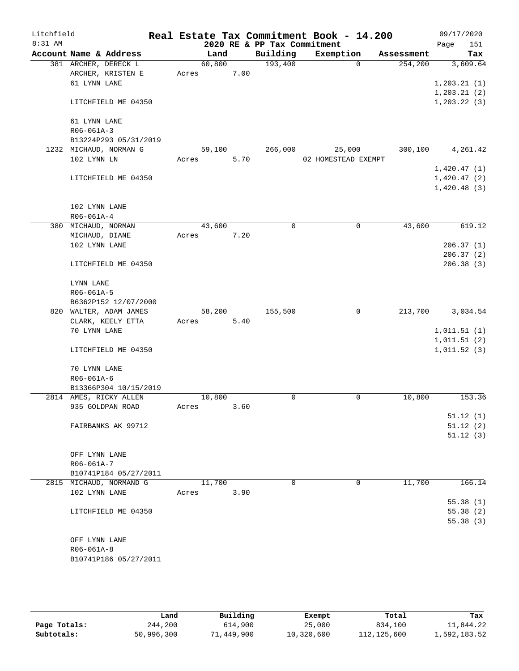| Litchfield |                     |                         |       |        |      |                             | Real Estate Tax Commitment Book - 14.200 |             |            |      | 09/17/2020   |
|------------|---------------------|-------------------------|-------|--------|------|-----------------------------|------------------------------------------|-------------|------------|------|--------------|
| 8:31 AM    |                     |                         |       |        |      | 2020 RE & PP Tax Commitment |                                          |             |            | Page | 151          |
|            |                     | Account Name & Address  |       | Land   |      | Building                    | Exemption                                |             | Assessment |      | Tax          |
|            |                     | 381 ARCHER, DERECK L    |       | 60,800 |      | 193,400                     |                                          | $\Omega$    | 254,200    |      | 3,609.64     |
|            |                     | ARCHER, KRISTEN E       | Acres |        | 7.00 |                             |                                          |             |            |      |              |
|            | 61 LYNN LANE        |                         |       |        |      |                             |                                          |             |            |      | 1, 203.21(1) |
|            |                     |                         |       |        |      |                             |                                          |             |            |      | 1, 203.21(2) |
|            |                     | LITCHFIELD ME 04350     |       |        |      |                             |                                          |             |            |      | 1, 203.22(3) |
|            | 61 LYNN LANE        |                         |       |        |      |                             |                                          |             |            |      |              |
|            | $R06 - 061A - 3$    |                         |       |        |      |                             |                                          |             |            |      |              |
|            |                     | B13224P293 05/31/2019   |       |        |      |                             |                                          |             |            |      |              |
|            |                     | 1232 MICHAUD, NORMAN G  |       | 59,100 |      | 266,000                     | 25,000                                   |             | 300,100    |      | 4,261.42     |
|            | 102 LYNN LN         |                         | Acres |        | 5.70 |                             | 02 HOMESTEAD EXEMPT                      |             |            |      |              |
|            |                     |                         |       |        |      |                             |                                          |             |            |      | 1,420.47(1)  |
|            |                     | LITCHFIELD ME 04350     |       |        |      |                             |                                          |             |            |      | 1,420.47(2)  |
|            |                     |                         |       |        |      |                             |                                          |             |            |      | 1,420.48(3)  |
|            |                     |                         |       |        |      |                             |                                          |             |            |      |              |
|            | 102 LYNN LANE       |                         |       |        |      |                             |                                          |             |            |      |              |
|            | R06-061A-4          |                         |       |        |      |                             |                                          |             |            |      |              |
|            | 380 MICHAUD, NORMAN |                         |       | 43,600 |      | $\mathbf 0$                 |                                          | $\mathbf 0$ | 43,600     |      | 619.12       |
|            | MICHAUD, DIANE      |                         | Acres |        | 7.20 |                             |                                          |             |            |      |              |
|            | 102 LYNN LANE       |                         |       |        |      |                             |                                          |             |            |      | 206.37(1)    |
|            |                     |                         |       |        |      |                             |                                          |             |            |      | 206.37(2)    |
|            |                     | LITCHFIELD ME 04350     |       |        |      |                             |                                          |             |            |      | 206.38(3)    |
|            | LYNN LANE           |                         |       |        |      |                             |                                          |             |            |      |              |
|            | R06-061A-5          |                         |       |        |      |                             |                                          |             |            |      |              |
|            |                     | B6362P152 12/07/2000    |       |        |      |                             |                                          |             |            |      |              |
|            |                     | 820 WALTER, ADAM JAMES  |       | 58,200 |      | 155,500                     |                                          | 0           | 213,700    |      | 3,034.54     |
|            |                     | CLARK, KEELY ETTA       | Acres |        | 5.40 |                             |                                          |             |            |      |              |
|            | 70 LYNN LANE        |                         |       |        |      |                             |                                          |             |            |      | 1,011.51(1)  |
|            |                     |                         |       |        |      |                             |                                          |             |            |      | 1,011.51(2)  |
|            |                     | LITCHFIELD ME 04350     |       |        |      |                             |                                          |             |            |      | 1,011.52(3)  |
|            |                     |                         |       |        |      |                             |                                          |             |            |      |              |
|            | 70 LYNN LANE        |                         |       |        |      |                             |                                          |             |            |      |              |
|            | R06-061A-6          |                         |       |        |      |                             |                                          |             |            |      |              |
|            |                     | B13366P304 10/15/2019   |       |        |      |                             |                                          |             |            |      |              |
|            |                     | 2814 AMES, RICKY ALLEN  |       | 10,800 |      | 0                           |                                          | $\mathbf 0$ | 10,800     |      | 153.36       |
|            |                     | 935 GOLDPAN ROAD        | Acres |        | 3.60 |                             |                                          |             |            |      |              |
|            |                     |                         |       |        |      |                             |                                          |             |            |      | 51.12(1)     |
|            |                     | FAIRBANKS AK 99712      |       |        |      |                             |                                          |             |            |      | 51.12(2)     |
|            |                     |                         |       |        |      |                             |                                          |             |            |      | 51.12(3)     |
|            | OFF LYNN LANE       |                         |       |        |      |                             |                                          |             |            |      |              |
|            | R06-061A-7          |                         |       |        |      |                             |                                          |             |            |      |              |
|            |                     | B10741P184 05/27/2011   |       |        |      |                             |                                          |             |            |      |              |
|            |                     | 2815 MICHAUD, NORMAND G |       | 11,700 |      | 0                           |                                          | $\mathbf 0$ | 11,700     |      | 166.14       |
|            | 102 LYNN LANE       |                         | Acres |        | 3.90 |                             |                                          |             |            |      |              |
|            |                     |                         |       |        |      |                             |                                          |             |            |      | 55.38(1)     |
|            |                     | LITCHFIELD ME 04350     |       |        |      |                             |                                          |             |            |      | 55.38(2)     |
|            |                     |                         |       |        |      |                             |                                          |             |            |      | 55.38(3)     |
|            |                     |                         |       |        |      |                             |                                          |             |            |      |              |
|            |                     |                         |       |        |      |                             |                                          |             |            |      |              |
|            | OFF LYNN LANE       |                         |       |        |      |                             |                                          |             |            |      |              |
|            | R06-061A-8          |                         |       |        |      |                             |                                          |             |            |      |              |
|            |                     | B10741P186 05/27/2011   |       |        |      |                             |                                          |             |            |      |              |
|            |                     |                         |       |        |      |                             |                                          |             |            |      |              |

|              | Land       | Building   | Exempt     | Total       | Tax          |
|--------------|------------|------------|------------|-------------|--------------|
| Page Totals: | 244,200    | 614,900    | 25,000     | 834,100     | 11,844.22    |
| Subtotals:   | 50,996,300 | 71,449,900 | 10,320,600 | 112,125,600 | 1,592,183.52 |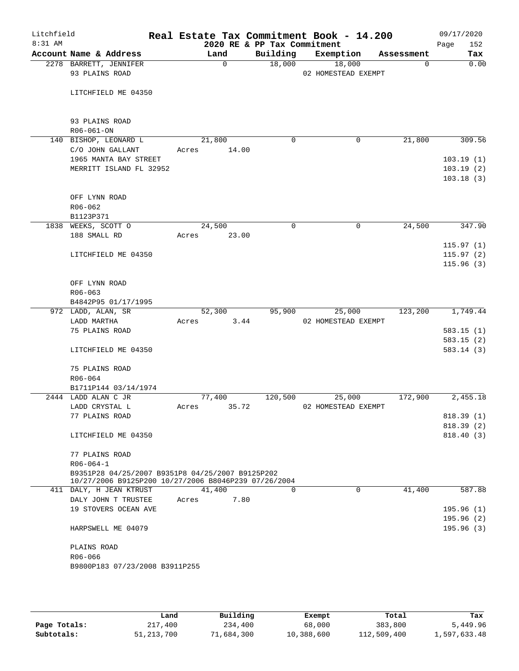| Litchfield<br>$8:31$ AM |                                                      |                | 2020 RE & PP Tax Commitment | Real Estate Tax Commitment Book - 14.200 |            | 09/17/2020<br>Page<br>152 |
|-------------------------|------------------------------------------------------|----------------|-----------------------------|------------------------------------------|------------|---------------------------|
|                         | Account Name & Address                               | Land           | Building                    | Exemption                                | Assessment | Tax                       |
|                         | 2278 BARRETT, JENNIFER<br>93 PLAINS ROAD             | $\mathbf 0$    | 18,000                      | 18,000<br>02 HOMESTEAD EXEMPT            | 0          | 0.00                      |
|                         | LITCHFIELD ME 04350                                  |                |                             |                                          |            |                           |
|                         | 93 PLAINS ROAD<br>R06-061-ON                         |                |                             |                                          |            |                           |
|                         | 140 BISHOP, LEONARD L                                | 21,800         | 0                           | 0                                        | 21,800     | 309.56                    |
|                         | C/O JOHN GALLANT                                     | 14.00<br>Acres |                             |                                          |            |                           |
|                         | 1965 MANTA BAY STREET                                |                |                             |                                          |            | 103.19(1)                 |
|                         | MERRITT ISLAND FL 32952                              |                |                             |                                          |            | 103.19(2)                 |
|                         |                                                      |                |                             |                                          |            | 103.18(3)                 |
|                         | OFF LYNN ROAD                                        |                |                             |                                          |            |                           |
|                         | $R06 - 062$                                          |                |                             |                                          |            |                           |
|                         | B1123P371<br>1838 WEEKS, SCOTT O                     | 24,500         | $\Omega$                    | $\mathbf 0$                              | 24,500     | 347.90                    |
|                         | 188 SMALL RD                                         | 23.00<br>Acres |                             |                                          |            |                           |
|                         |                                                      |                |                             |                                          |            | 115.97(1)                 |
|                         | LITCHFIELD ME 04350                                  |                |                             |                                          |            | 115.97(2)                 |
|                         |                                                      |                |                             |                                          |            | 115.96(3)                 |
|                         |                                                      |                |                             |                                          |            |                           |
|                         | OFF LYNN ROAD                                        |                |                             |                                          |            |                           |
|                         | $R06 - 063$                                          |                |                             |                                          |            |                           |
|                         | B4842P95 01/17/1995                                  |                |                             |                                          |            |                           |
|                         | 972 LADD, ALAN, SR                                   | 52,300         | 95,900                      | 25,000                                   | 123,200    | 1,749.44                  |
|                         | LADD MARTHA                                          | 3.44<br>Acres  |                             | 02 HOMESTEAD EXEMPT                      |            |                           |
|                         | 75 PLAINS ROAD                                       |                |                             |                                          |            | 583.15(1)                 |
|                         |                                                      |                |                             |                                          |            | 583.15(2)                 |
|                         | LITCHFIELD ME 04350                                  |                |                             |                                          |            | 583.14(3)                 |
|                         | 75 PLAINS ROAD                                       |                |                             |                                          |            |                           |
|                         | R06-064                                              |                |                             |                                          |            |                           |
|                         | B1711P144 03/14/1974                                 |                |                             |                                          |            |                           |
|                         | 2444 LADD ALAN C JR                                  | 77,400         | 120,500                     | 25,000                                   | 172,900    | 2,455.18                  |
|                         | LADD CRYSTAL L                                       | 35.72<br>Acres |                             | 02 HOMESTEAD EXEMPT                      |            |                           |
|                         | 77 PLAINS ROAD                                       |                |                             |                                          |            | 818.39(1)                 |
|                         |                                                      |                |                             |                                          |            | 818.39(2)                 |
|                         | LITCHFIELD ME 04350                                  |                |                             |                                          |            | 818.40(3)                 |
|                         | 77 PLAINS ROAD                                       |                |                             |                                          |            |                           |
|                         | $R06 - 064 - 1$                                      |                |                             |                                          |            |                           |
|                         | B9351P28 04/25/2007 B9351P8 04/25/2007 B9125P202     |                |                             |                                          |            |                           |
|                         | 10/27/2006 B9125P200 10/27/2006 B8046P239 07/26/2004 |                |                             |                                          |            |                           |
|                         | 411 DALY, H JEAN KTRUST                              | 41,400         | $\Omega$                    | $\Omega$                                 | 41,400     | 587.88                    |
|                         | DALY JOHN T TRUSTEE                                  | 7.80<br>Acres  |                             |                                          |            |                           |
|                         | 19 STOVERS OCEAN AVE                                 |                |                             |                                          |            | 195.96(1)<br>195.96 (2)   |
|                         | HARPSWELL ME 04079                                   |                |                             |                                          |            | 195.96(3)                 |
|                         | PLAINS ROAD                                          |                |                             |                                          |            |                           |
|                         | R06-066                                              |                |                             |                                          |            |                           |
|                         | B9800P183 07/23/2008 B3911P255                       |                |                             |                                          |            |                           |
|                         |                                                      |                |                             |                                          |            |                           |

|              | Land         | Building   | Exempt     | Total       | Tax          |
|--------------|--------------|------------|------------|-------------|--------------|
| Page Totals: | 217,400      | 234,400    | 68,000     | 383,800     | 5,449.96     |
| Subtotals:   | 51, 213, 700 | 71,684,300 | 10,388,600 | 112,509,400 | 1,597,633.48 |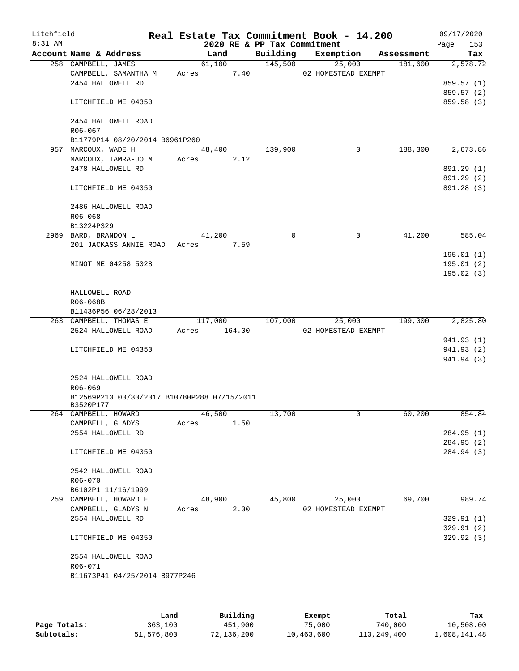| Litchfield<br>8:31 AM |                                             | 2020 RE & PP Tax Commitment |          | Real Estate Tax Commitment Book - 14.200 |            | 09/17/2020<br>Page<br>153 |
|-----------------------|---------------------------------------------|-----------------------------|----------|------------------------------------------|------------|---------------------------|
|                       | Account Name & Address                      | Land                        | Building | Exemption                                | Assessment | Tax                       |
|                       | 258 CAMPBELL, JAMES                         | 61,100                      | 145,500  | 25,000                                   | 181,600    | 2,578.72                  |
|                       | CAMPBELL, SAMANTHA M                        | 7.40<br>Acres               |          | 02 HOMESTEAD EXEMPT                      |            |                           |
|                       | 2454 HALLOWELL RD                           |                             |          |                                          |            | 859.57 (1)                |
|                       |                                             |                             |          |                                          |            | 859.57 (2)                |
|                       | LITCHFIELD ME 04350                         |                             |          |                                          |            | 859.58 (3)                |
|                       | 2454 HALLOWELL ROAD                         |                             |          |                                          |            |                           |
|                       | R06-067                                     |                             |          |                                          |            |                           |
|                       | B11779P14 08/20/2014 B6961P260              |                             |          |                                          |            |                           |
|                       | 957 MARCOUX, WADE H                         | 48,400                      | 139,900  | 0                                        | 188,300    | 2,673.86                  |
|                       | MARCOUX, TAMRA-JO M                         | 2.12<br>Acres               |          |                                          |            |                           |
|                       | 2478 HALLOWELL RD                           |                             |          |                                          |            | 891.29 (1)                |
|                       | LITCHFIELD ME 04350                         |                             |          |                                          |            | 891.29 (2)<br>891.28 (3)  |
|                       | 2486 HALLOWELL ROAD                         |                             |          |                                          |            |                           |
|                       | $R06 - 068$                                 |                             |          |                                          |            |                           |
|                       |                                             |                             |          |                                          |            |                           |
|                       | B13224P329                                  |                             |          |                                          |            |                           |
|                       | 2969 BARD, BRANDON L                        | 41,200                      | 0        | 0                                        | 41,200     | 585.04                    |
|                       | 201 JACKASS ANNIE ROAD                      | Acres<br>7.59               |          |                                          |            |                           |
|                       |                                             |                             |          |                                          |            | 195.01(1)                 |
|                       | MINOT ME 04258 5028                         |                             |          |                                          |            | 195.01 (2)                |
|                       |                                             |                             |          |                                          |            | 195.02(3)                 |
|                       |                                             |                             |          |                                          |            |                           |
|                       | HALLOWELL ROAD                              |                             |          |                                          |            |                           |
|                       | R06-068B                                    |                             |          |                                          |            |                           |
|                       | B11436P56 06/28/2013                        |                             |          |                                          |            |                           |
|                       | 263 CAMPBELL, THOMAS E                      | 117,000                     | 107,000  | 25,000                                   | 199,000    | 2,825.80                  |
|                       | 2524 HALLOWELL ROAD                         | 164.00<br>Acres             |          | 02 HOMESTEAD EXEMPT                      |            |                           |
|                       |                                             |                             |          |                                          |            | 941.93 (1)                |
|                       | LITCHFIELD ME 04350                         |                             |          |                                          |            | 941.93 (2)                |
|                       |                                             |                             |          |                                          |            | 941.94 (3)                |
|                       | 2524 HALLOWELL ROAD                         |                             |          |                                          |            |                           |
|                       | R06-069                                     |                             |          |                                          |            |                           |
|                       | B12569P213 03/30/2017 B10780P288 07/15/2011 |                             |          |                                          |            |                           |
|                       | B3520P177                                   |                             |          |                                          |            |                           |
|                       | 264 CAMPBELL, HOWARD                        | 46,500                      | 13,700   | $\mathsf{O}$                             | 60,200     | 854.84                    |
|                       | CAMPBELL, GLADYS                            | Acres<br>1.50               |          |                                          |            |                           |
|                       | 2554 HALLOWELL RD                           |                             |          |                                          |            | 284.95 (1)                |
|                       |                                             |                             |          |                                          |            | 284.95(2)                 |
|                       | LITCHFIELD ME 04350                         |                             |          |                                          |            | 284.94 (3)                |
|                       |                                             |                             |          |                                          |            |                           |
|                       | 2542 HALLOWELL ROAD                         |                             |          |                                          |            |                           |
|                       | R06-070                                     |                             |          |                                          |            |                           |
|                       | B6102P1 11/16/1999                          |                             |          |                                          |            |                           |
|                       | 259 CAMPBELL, HOWARD E                      | 48,900                      | 45,800   | 25,000                                   | 69,700     | 989.74                    |
|                       | CAMPBELL, GLADYS N                          | 2.30<br>Acres               |          | 02 HOMESTEAD EXEMPT                      |            |                           |
|                       | 2554 HALLOWELL RD                           |                             |          |                                          |            | 329.91(1)                 |
|                       |                                             |                             |          |                                          |            | 329.91(2)                 |
|                       | LITCHFIELD ME 04350                         |                             |          |                                          |            | 329.92 (3)                |
|                       |                                             |                             |          |                                          |            |                           |
|                       | 2554 HALLOWELL ROAD                         |                             |          |                                          |            |                           |
|                       | R06-071                                     |                             |          |                                          |            |                           |
|                       | B11673P41 04/25/2014 B977P246               |                             |          |                                          |            |                           |
|                       |                                             |                             |          |                                          |            |                           |
|                       |                                             |                             |          |                                          |            |                           |

|              | Land       | Building   | Exempt     | Total       | Tax          |
|--------------|------------|------------|------------|-------------|--------------|
| Page Totals: | 363,100    | 451,900    | 75,000     | 740,000     | 10,508.00    |
| Subtotals:   | 51,576,800 | 72,136,200 | 10,463,600 | 113,249,400 | 1,608,141.48 |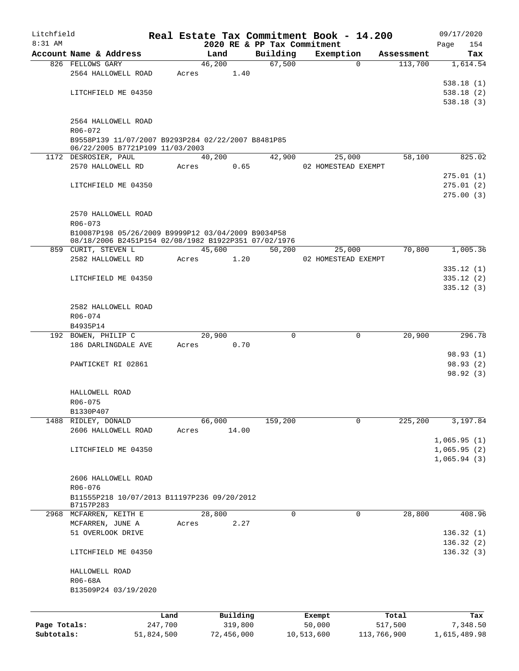| Litchfield   |                                                                                       |            |       |        |            |                                         |            | Real Estate Tax Commitment Book - 14.200 |            | 09/17/2020             |
|--------------|---------------------------------------------------------------------------------------|------------|-------|--------|------------|-----------------------------------------|------------|------------------------------------------|------------|------------------------|
| 8:31 AM      | Account Name & Address                                                                |            |       | Land   |            | 2020 RE & PP Tax Commitment<br>Building |            | Exemption                                | Assessment | 154<br>Page            |
|              | 826 FELLOWS GARY                                                                      |            |       | 46,200 |            | 67,500                                  |            | $\Omega$                                 | 113,700    | Tax<br>1,614.54        |
|              | 2564 HALLOWELL ROAD                                                                   |            | Acres |        | 1.40       |                                         |            |                                          |            |                        |
|              |                                                                                       |            |       |        |            |                                         |            |                                          |            | 538.18(1)              |
|              | LITCHFIELD ME 04350                                                                   |            |       |        |            |                                         |            |                                          |            | 538.18(2)              |
|              |                                                                                       |            |       |        |            |                                         |            |                                          |            | 538.18(3)              |
|              | 2564 HALLOWELL ROAD                                                                   |            |       |        |            |                                         |            |                                          |            |                        |
|              | R06-072                                                                               |            |       |        |            |                                         |            |                                          |            |                        |
|              | B9558P139 11/07/2007 B9293P284 02/22/2007 B8481P85<br>06/22/2005 B7721P109 11/03/2003 |            |       |        |            |                                         |            |                                          |            |                        |
|              | 1172 DESROSIER, PAUL                                                                  |            |       | 40,200 |            | 42,900                                  |            | 25,000                                   | 58,100     | 825.02                 |
|              | 2570 HALLOWELL RD                                                                     |            | Acres |        | 0.65       |                                         |            | 02 HOMESTEAD EXEMPT                      |            |                        |
|              |                                                                                       |            |       |        |            |                                         |            |                                          |            | 275.01(1)              |
|              | LITCHFIELD ME 04350                                                                   |            |       |        |            |                                         |            |                                          |            | 275.01(2)<br>275.00(3) |
|              |                                                                                       |            |       |        |            |                                         |            |                                          |            |                        |
|              | 2570 HALLOWELL ROAD                                                                   |            |       |        |            |                                         |            |                                          |            |                        |
|              | $R06 - 073$                                                                           |            |       |        |            |                                         |            |                                          |            |                        |
|              | B10087P198 05/26/2009 B9999P12 03/04/2009 B9034P58                                    |            |       |        |            |                                         |            |                                          |            |                        |
|              | 08/18/2006 B2451P154 02/08/1982 B1922P351 07/02/1976<br>859 CURIT, STEVEN L           |            |       | 45,600 |            | 50,200                                  |            |                                          | 70,800     | 1,005.36               |
|              | 2582 HALLOWELL RD                                                                     |            | Acres |        | 1.20       |                                         |            | 25,000<br>02 HOMESTEAD EXEMPT            |            |                        |
|              |                                                                                       |            |       |        |            |                                         |            |                                          |            | 335.12(1)              |
|              | LITCHFIELD ME 04350                                                                   |            |       |        |            |                                         |            |                                          |            | 335.12 (2)             |
|              |                                                                                       |            |       |        |            |                                         |            |                                          |            | 335.12(3)              |
|              |                                                                                       |            |       |        |            |                                         |            |                                          |            |                        |
|              | 2582 HALLOWELL ROAD                                                                   |            |       |        |            |                                         |            |                                          |            |                        |
|              | R06-074                                                                               |            |       |        |            |                                         |            |                                          |            |                        |
|              | B4935P14<br>192 BOWEN, PHILIP C                                                       |            |       | 20,900 |            | $\Omega$                                |            | 0                                        | 20,900     | 296.78                 |
|              | 186 DARLINGDALE AVE                                                                   |            | Acres |        | 0.70       |                                         |            |                                          |            |                        |
|              |                                                                                       |            |       |        |            |                                         |            |                                          |            | 98.93 (1)              |
|              | PAWTICKET RI 02861                                                                    |            |       |        |            |                                         |            |                                          |            | 98.93(2)               |
|              |                                                                                       |            |       |        |            |                                         |            |                                          |            | 98.92 (3)              |
|              |                                                                                       |            |       |        |            |                                         |            |                                          |            |                        |
|              | HALLOWELL ROAD                                                                        |            |       |        |            |                                         |            |                                          |            |                        |
|              | R06-075                                                                               |            |       |        |            |                                         |            |                                          |            |                        |
| 1488         | B1330P407<br>RIDLEY, DONALD                                                           |            |       | 66,000 |            | 159,200                                 |            | 0                                        | 225,200    | 3,197.84               |
|              | 2606 HALLOWELL ROAD                                                                   |            | Acres |        | 14.00      |                                         |            |                                          |            |                        |
|              |                                                                                       |            |       |        |            |                                         |            |                                          |            | 1,065.95(1)            |
|              | LITCHFIELD ME 04350                                                                   |            |       |        |            |                                         |            |                                          |            | 1,065.95(2)            |
|              |                                                                                       |            |       |        |            |                                         |            |                                          |            | 1,065.94(3)            |
|              |                                                                                       |            |       |        |            |                                         |            |                                          |            |                        |
|              | 2606 HALLOWELL ROAD                                                                   |            |       |        |            |                                         |            |                                          |            |                        |
|              | R06-076                                                                               |            |       |        |            |                                         |            |                                          |            |                        |
|              | B11555P218 10/07/2013 B11197P236 09/20/2012<br>B7157P283                              |            |       |        |            |                                         |            |                                          |            |                        |
|              | 2968 MCFARREN, KEITH E                                                                |            |       | 28,800 |            | 0                                       |            | 0                                        | 28,800     | 408.96                 |
|              | MCFARREN, JUNE A                                                                      |            | Acres |        | 2.27       |                                         |            |                                          |            |                        |
|              | 51 OVERLOOK DRIVE                                                                     |            |       |        |            |                                         |            |                                          |            | 136.32(1)              |
|              |                                                                                       |            |       |        |            |                                         |            |                                          |            | 136.32(2)              |
|              | LITCHFIELD ME 04350                                                                   |            |       |        |            |                                         |            |                                          |            | 136.32(3)              |
|              | HALLOWELL ROAD                                                                        |            |       |        |            |                                         |            |                                          |            |                        |
|              | R06-68A                                                                               |            |       |        |            |                                         |            |                                          |            |                        |
|              | B13509P24 03/19/2020                                                                  |            |       |        |            |                                         |            |                                          |            |                        |
|              |                                                                                       |            |       |        |            |                                         |            |                                          |            |                        |
|              |                                                                                       | Land       |       |        | Building   |                                         | Exempt     |                                          | Total      | Tax                    |
| Page Totals: |                                                                                       | 247,700    |       |        | 319,800    |                                         | 50,000     |                                          | 517,500    | 7,348.50               |
| Subtotals:   |                                                                                       | 51,824,500 |       |        | 72,456,000 |                                         | 10,513,600 | 113,766,900                              |            | 1,615,489.98           |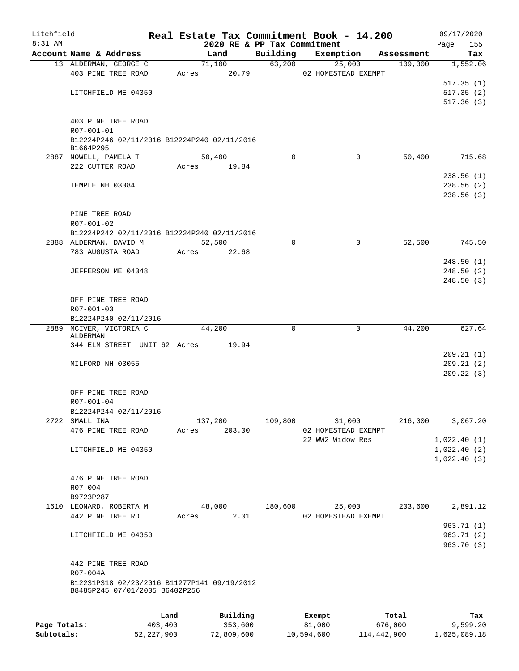| Litchfield   |                                                                               |         |                 |             | Real Estate Tax Commitment Book - 14.200 |            | 09/17/2020  |
|--------------|-------------------------------------------------------------------------------|---------|-----------------|-------------|------------------------------------------|------------|-------------|
| 8:31 AM      |                                                                               |         |                 |             | 2020 RE & PP Tax Commitment              |            | 155<br>Page |
|              | Account Name & Address                                                        |         | Land            | Building    | Exemption                                | Assessment | Tax         |
|              | 13 ALDERMAN, GEORGE C                                                         |         | 71,100          | 63,200      | 25,000                                   | 109,300    | 1,552.06    |
|              | 403 PINE TREE ROAD                                                            |         | Acres 20.79     |             | 02 HOMESTEAD EXEMPT                      |            |             |
|              |                                                                               |         |                 |             |                                          |            | 517.35(1)   |
|              | LITCHFIELD ME 04350                                                           |         |                 |             |                                          |            | 517.35(2)   |
|              |                                                                               |         |                 |             |                                          |            | 517.36(3)   |
|              |                                                                               |         |                 |             |                                          |            |             |
|              | 403 PINE TREE ROAD                                                            |         |                 |             |                                          |            |             |
|              | R07-001-01                                                                    |         |                 |             |                                          |            |             |
|              | B12224P246 02/11/2016 B12224P240 02/11/2016<br>B1664P295                      |         |                 |             |                                          |            |             |
|              | 2887 NOWELL, PAMELA T                                                         |         | 50,400          | $\Omega$    | $\Omega$                                 | 50,400     | 715.68      |
|              | 222 CUTTER ROAD                                                               |         | Acres 19.84     |             |                                          |            |             |
|              |                                                                               |         |                 |             |                                          |            | 238.56(1)   |
|              | TEMPLE NH 03084                                                               |         |                 |             |                                          |            | 238.56(2)   |
|              |                                                                               |         |                 |             |                                          |            | 238.56(3)   |
|              |                                                                               |         |                 |             |                                          |            |             |
|              | PINE TREE ROAD                                                                |         |                 |             |                                          |            |             |
|              | R07-001-02                                                                    |         |                 |             |                                          |            |             |
|              | B12224P242 02/11/2016 B12224P240 02/11/2016                                   |         |                 |             |                                          |            |             |
|              | 2888 ALDERMAN, DAVID M                                                        |         | 52,500          | $\mathbf 0$ | 0                                        | 52,500     | 745.50      |
|              | 783 AUGUSTA ROAD                                                              |         | Acres 22.68     |             |                                          |            |             |
|              |                                                                               |         |                 |             |                                          |            | 248.50(1)   |
|              | JEFFERSON ME 04348                                                            |         |                 |             |                                          |            | 248.50(2)   |
|              |                                                                               |         |                 |             |                                          |            | 248.50(3)   |
|              |                                                                               |         |                 |             |                                          |            |             |
|              |                                                                               |         |                 |             |                                          |            |             |
|              | OFF PINE TREE ROAD                                                            |         |                 |             |                                          |            |             |
|              | R07-001-03                                                                    |         |                 |             |                                          |            |             |
|              | B12224P240 02/11/2016                                                         |         |                 | $\Omega$    | $\Omega$                                 |            |             |
|              | 2889 MCIVER, VICTORIA C<br>ALDERMAN                                           |         | 44,200          |             |                                          | 44,200     | 627.64      |
|              | 344 ELM STREET UNIT 62 Acres 19.94                                            |         |                 |             |                                          |            |             |
|              |                                                                               |         |                 |             |                                          |            | 209.21(1)   |
|              | MILFORD NH 03055                                                              |         |                 |             |                                          |            | 209.21(2)   |
|              |                                                                               |         |                 |             |                                          |            | 209.22(3)   |
|              |                                                                               |         |                 |             |                                          |            |             |
|              | OFF PINE TREE ROAD                                                            |         |                 |             |                                          |            |             |
|              | R07-001-04                                                                    |         |                 |             |                                          |            |             |
|              | B12224P244 02/11/2016                                                         |         |                 |             |                                          |            |             |
| 2722         | SMALL INA                                                                     |         | 137,200         | 109,800     | 31,000                                   | 216,000    | 3,067.20    |
|              | 476 PINE TREE ROAD                                                            |         | 203.00<br>Acres |             | 02 HOMESTEAD EXEMPT                      |            |             |
|              |                                                                               |         |                 |             | 22 WW2 Widow Res                         |            | 1,022.40(1) |
|              | LITCHFIELD ME 04350                                                           |         |                 |             |                                          |            | 1,022.40(2) |
|              |                                                                               |         |                 |             |                                          |            | 1,022.40(3) |
|              |                                                                               |         |                 |             |                                          |            |             |
|              | 476 PINE TREE ROAD                                                            |         |                 |             |                                          |            |             |
|              | R07-004                                                                       |         |                 |             |                                          |            |             |
|              | B9723P287                                                                     |         |                 |             |                                          |            |             |
|              | 1610 LEONARD, ROBERTA M                                                       |         | 48,000          | 180,600     | 25,000                                   | 203,600    | 2,891.12    |
|              | 442 PINE TREE RD                                                              |         | 2.01<br>Acres   |             | 02 HOMESTEAD EXEMPT                      |            |             |
|              |                                                                               |         |                 |             |                                          |            | 963.71 (1)  |
|              | LITCHFIELD ME 04350                                                           |         |                 |             |                                          |            | 963.71 (2)  |
|              |                                                                               |         |                 |             |                                          |            | 963.70 (3)  |
|              |                                                                               |         |                 |             |                                          |            |             |
|              |                                                                               |         |                 |             |                                          |            |             |
|              | 442 PINE TREE ROAD                                                            |         |                 |             |                                          |            |             |
|              | R07-004A                                                                      |         |                 |             |                                          |            |             |
|              | B12231P318 02/23/2016 B11277P141 09/19/2012<br>B8485P245 07/01/2005 B6402P256 |         |                 |             |                                          |            |             |
|              |                                                                               |         |                 |             |                                          |            |             |
|              |                                                                               |         |                 |             |                                          |            |             |
|              |                                                                               | Land    | Building        |             | Exempt                                   | Total      | Tax         |
| Page Totals: |                                                                               | 403,400 | 353,600         |             | 81,000                                   | 676,000    | 9,599.20    |

**Subtotals:** 52,227,900 72,809,600 10,594,600 114,442,900 1,625,089.18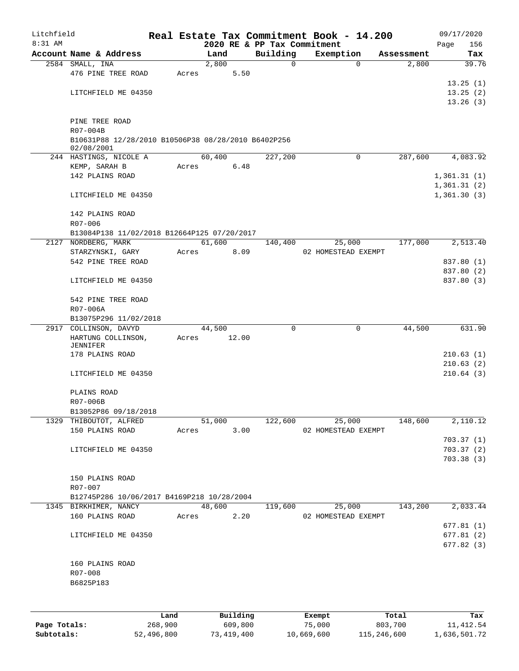| Litchfield |                                                     |            |        |              |                             |          | Real Estate Tax Commitment Book - 14.200 |            | 09/17/2020  |
|------------|-----------------------------------------------------|------------|--------|--------------|-----------------------------|----------|------------------------------------------|------------|-------------|
| $8:31$ AM  |                                                     |            |        |              | 2020 RE & PP Tax Commitment |          |                                          |            | 156<br>Page |
|            | Account Name & Address                              |            | Land   |              | Building                    |          | Exemption                                | Assessment | Tax         |
|            | 2584 SMALL, INA                                     |            | 2,800  |              |                             | 0        | $\Omega$                                 | 2,800      | 39.76       |
|            | 476 PINE TREE ROAD                                  | Acres      |        | 5.50         |                             |          |                                          |            |             |
|            |                                                     |            |        |              |                             |          |                                          |            | 13.25(1)    |
|            | LITCHFIELD ME 04350                                 |            |        |              |                             |          |                                          |            | 13.25(2)    |
|            |                                                     |            |        |              |                             |          |                                          |            | 13.26(3)    |
|            | PINE TREE ROAD                                      |            |        |              |                             |          |                                          |            |             |
|            | R07-004B                                            |            |        |              |                             |          |                                          |            |             |
|            | B10631P88 12/28/2010 B10506P38 08/28/2010 B6402P256 |            |        |              |                             |          |                                          |            |             |
|            | 02/08/2001                                          |            |        |              |                             |          |                                          |            |             |
|            | 244 HASTINGS, NICOLE A                              |            | 60,400 |              | 227,200                     |          | $\mathbf 0$                              | 287,600    | 4,083.92    |
|            | KEMP, SARAH B                                       | Acres      |        | 6.48         |                             |          |                                          |            |             |
|            | 142 PLAINS ROAD                                     |            |        |              |                             |          |                                          |            | 1,361.31(1) |
|            |                                                     |            |        |              |                             |          |                                          |            | 1,361.31(2) |
|            | LITCHFIELD ME 04350                                 |            |        |              |                             |          |                                          |            | 1,361.30(3) |
|            |                                                     |            |        |              |                             |          |                                          |            |             |
|            | 142 PLAINS ROAD                                     |            |        |              |                             |          |                                          |            |             |
|            | R07-006                                             |            |        |              |                             |          |                                          |            |             |
|            | B13084P138 11/02/2018 B12664P125 07/20/2017         |            |        |              |                             |          |                                          |            |             |
|            | 2127 NORDBERG, MARK                                 |            | 61,600 |              | 140,400                     |          | 25,000                                   | 177,000    | 2,513.40    |
|            | STARZYNSKI, GARY                                    | Acres      |        | 8.09         |                             |          | 02 HOMESTEAD EXEMPT                      |            |             |
|            | 542 PINE TREE ROAD                                  |            |        |              |                             |          |                                          |            | 837.80 (1)  |
|            |                                                     |            |        |              |                             |          |                                          |            | 837.80 (2)  |
|            | LITCHFIELD ME 04350                                 |            |        |              |                             |          |                                          |            | 837.80 (3)  |
|            |                                                     |            |        |              |                             |          |                                          |            |             |
|            | 542 PINE TREE ROAD<br>R07-006A                      |            |        |              |                             |          |                                          |            |             |
|            | B13075P296 11/02/2018                               |            |        |              |                             |          |                                          |            |             |
|            | 2917 COLLINSON, DAVYD                               |            | 44,500 |              |                             | $\Omega$ | 0                                        | 44,500     | 631.90      |
|            | HARTUNG COLLINSON,                                  | Acres      | 12.00  |              |                             |          |                                          |            |             |
|            | JENNIFER                                            |            |        |              |                             |          |                                          |            |             |
|            | 178 PLAINS ROAD                                     |            |        |              |                             |          |                                          |            | 210.63(1)   |
|            |                                                     |            |        |              |                             |          |                                          |            | 210.63(2)   |
|            | LITCHFIELD ME 04350                                 |            |        |              |                             |          |                                          |            | 210.64(3)   |
|            |                                                     |            |        |              |                             |          |                                          |            |             |
|            | PLAINS ROAD                                         |            |        |              |                             |          |                                          |            |             |
|            | R07-006B                                            |            |        |              |                             |          |                                          |            |             |
|            | B13052P86 09/18/2018                                |            |        |              |                             |          |                                          |            |             |
|            | 1329 THIBOUTOT, ALFRED                              |            |        |              | 51,000 122,600              |          | 25,000                                   | 148,600    | 2,110.12    |
|            | 150 PLAINS ROAD                                     | Acres 3.00 |        |              |                             |          | 02 HOMESTEAD EXEMPT                      |            |             |
|            |                                                     |            |        |              |                             |          |                                          |            | 703.37(1)   |
|            | LITCHFIELD ME 04350                                 |            |        |              |                             |          |                                          |            | 703.37(2)   |
|            |                                                     |            |        |              |                             |          |                                          |            | 703.38 (3)  |
|            |                                                     |            |        |              |                             |          |                                          |            |             |
|            | 150 PLAINS ROAD<br>R07-007                          |            |        |              |                             |          |                                          |            |             |
|            | B12745P286 10/06/2017 B4169P218 10/28/2004          |            |        |              |                             |          |                                          |            |             |
|            | 1345 BIRKHIMER, NANCY                               |            | 48,600 |              |                             |          | $119,600$ 25,000                         | 143,200    | 2,033.44    |
|            | 160 PLAINS ROAD                                     |            |        |              | Acres 2.20                  |          | 02 HOMESTEAD EXEMPT                      |            |             |
|            |                                                     |            |        |              |                             |          |                                          |            | 677.81(1)   |
|            | LITCHFIELD ME 04350                                 |            |        |              |                             |          |                                          |            | 677.81(2)   |
|            |                                                     |            |        |              |                             |          |                                          |            | 677.82(3)   |
|            |                                                     |            |        |              |                             |          |                                          |            |             |
|            | 160 PLAINS ROAD                                     |            |        |              |                             |          |                                          |            |             |
|            | R07-008                                             |            |        |              |                             |          |                                          |            |             |
|            | B6825P183                                           |            |        |              |                             |          |                                          |            |             |
|            |                                                     |            |        |              |                             |          |                                          |            |             |
|            |                                                     |            |        |              |                             |          |                                          |            |             |
|            |                                                     |            |        | maad 11 Ad a |                             |          |                                          |            |             |

|              | Land       | Building   | Exempt     | Total       | Tax          |
|--------------|------------|------------|------------|-------------|--------------|
| Page Totals: | 268,900    | 609,800    | 75,000     | 803,700     | 11,412.54    |
| Subtotals:   | 52,496,800 | 73,419,400 | 10,669,600 | 115,246,600 | 1,636,501.72 |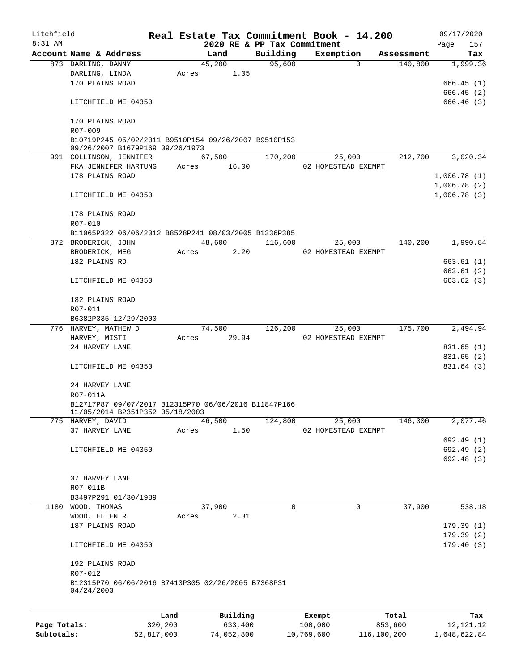| Litchfield   |                                                                                         |         |                 |          |                                         |          | Real Estate Tax Commitment Book - 14.200 |            |      | 09/17/2020                 |
|--------------|-----------------------------------------------------------------------------------------|---------|-----------------|----------|-----------------------------------------|----------|------------------------------------------|------------|------|----------------------------|
| $8:31$ AM    | Account Name & Address                                                                  |         |                 | Land     | 2020 RE & PP Tax Commitment<br>Building |          | Exemption                                | Assessment | Page | 157<br>Tax                 |
|              | 873 DARLING, DANNY                                                                      |         | 45,200          |          | 95,600                                  |          | $\Omega$                                 | 140,800    |      | 1,999.36                   |
|              | DARLING, LINDA                                                                          |         | Acres           | 1.05     |                                         |          |                                          |            |      |                            |
|              | 170 PLAINS ROAD                                                                         |         |                 |          |                                         |          |                                          |            |      | 666.45(1)                  |
|              |                                                                                         |         |                 |          |                                         |          |                                          |            |      | 666.45 (2)                 |
|              | LITCHFIELD ME 04350                                                                     |         |                 |          |                                         |          |                                          |            |      | 666.46(3)                  |
|              | 170 PLAINS ROAD                                                                         |         |                 |          |                                         |          |                                          |            |      |                            |
|              | R07-009                                                                                 |         |                 |          |                                         |          |                                          |            |      |                            |
|              | B10719P245 05/02/2011 B9510P154 09/26/2007 B9510P153<br>09/26/2007 B1679P169 09/26/1973 |         |                 |          |                                         |          |                                          |            |      |                            |
|              | 991 COLLINSON, JENNIFER                                                                 |         | 67,500          |          | 170,200                                 |          | 25,000                                   | 212,700    |      | 3,020.34                   |
|              | FKA JENNIFER HARTUNG                                                                    |         | Acres 16.00     |          |                                         |          | 02 HOMESTEAD EXEMPT                      |            |      |                            |
|              | 178 PLAINS ROAD                                                                         |         |                 |          |                                         |          |                                          |            |      | 1,006.78(1)                |
|              | LITCHFIELD ME 04350                                                                     |         |                 |          |                                         |          |                                          |            |      | 1,006.78(2)<br>1,006.78(3) |
|              |                                                                                         |         |                 |          |                                         |          |                                          |            |      |                            |
|              | 178 PLAINS ROAD                                                                         |         |                 |          |                                         |          |                                          |            |      |                            |
|              | R07-010                                                                                 |         |                 |          |                                         |          |                                          |            |      |                            |
|              | B11065P322 06/06/2012 B8528P241 08/03/2005 B1336P385<br>872 BRODERICK, JOHN             |         |                 | 48,600   | 116,600                                 |          | 25,000                                   | 140,200    |      | 1,990.84                   |
|              | BRODERICK, MEG                                                                          |         | Acres           | 2.20     |                                         |          | 02 HOMESTEAD EXEMPT                      |            |      |                            |
|              | 182 PLAINS RD                                                                           |         |                 |          |                                         |          |                                          |            |      | 663.61(1)                  |
|              |                                                                                         |         |                 |          |                                         |          |                                          |            |      | 663.61(2)                  |
|              | LITCHFIELD ME 04350                                                                     |         |                 |          |                                         |          |                                          |            |      | 663.62 (3)                 |
|              | 182 PLAINS ROAD                                                                         |         |                 |          |                                         |          |                                          |            |      |                            |
|              | R07-011                                                                                 |         |                 |          |                                         |          |                                          |            |      |                            |
|              | B6382P335 12/29/2000                                                                    |         |                 |          |                                         |          |                                          |            |      |                            |
|              | 776 HARVEY, MATHEW D                                                                    |         | 74,500          |          | 126,200                                 |          | 25,000                                   | 175,700    |      | 2,494.94                   |
|              | HARVEY, MISTI                                                                           |         | Acres           | 29.94    |                                         |          | 02 HOMESTEAD EXEMPT                      |            |      |                            |
|              | 24 HARVEY LANE                                                                          |         |                 |          |                                         |          |                                          |            |      | 831.65(1)                  |
|              |                                                                                         |         |                 |          |                                         |          |                                          |            |      | 831.65 (2)                 |
|              | LITCHFIELD ME 04350                                                                     |         |                 |          |                                         |          |                                          |            |      | 831.64 (3)                 |
|              | 24 HARVEY LANE                                                                          |         |                 |          |                                         |          |                                          |            |      |                            |
|              | R07-011A                                                                                |         |                 |          |                                         |          |                                          |            |      |                            |
|              | B12717P87 09/07/2017 B12315P70 06/06/2016 B11847P166                                    |         |                 |          |                                         |          |                                          |            |      |                            |
|              | 11/05/2014 B2351P352 05/18/2003                                                         |         |                 |          |                                         |          |                                          |            |      |                            |
|              | 775 HARVEY, DAVID                                                                       |         | 46,500<br>Acres |          | 124,800                                 |          | 25,000                                   | 146,300    |      | 2,077.46                   |
|              | 37 HARVEY LANE                                                                          |         |                 | 1.50     |                                         |          | 02 HOMESTEAD EXEMPT                      |            |      | 692.49 (1)                 |
|              | LITCHFIELD ME 04350                                                                     |         |                 |          |                                         |          |                                          |            |      | 692.49 (2)                 |
|              |                                                                                         |         |                 |          |                                         |          |                                          |            |      | 692.48 (3)                 |
|              |                                                                                         |         |                 |          |                                         |          |                                          |            |      |                            |
|              | 37 HARVEY LANE                                                                          |         |                 |          |                                         |          |                                          |            |      |                            |
|              | R07-011B                                                                                |         |                 |          |                                         |          |                                          |            |      |                            |
|              | B3497P291 01/30/1989<br>1180 WOOD, THOMAS                                               |         | 37,900          |          |                                         | $\Omega$ | $\mathbf 0$                              | 37,900     |      | 538.18                     |
|              | WOOD, ELLEN R                                                                           |         | Acres           | 2.31     |                                         |          |                                          |            |      |                            |
|              | 187 PLAINS ROAD                                                                         |         |                 |          |                                         |          |                                          |            |      | 179.39(1)                  |
|              |                                                                                         |         |                 |          |                                         |          |                                          |            |      | 179.39(2)                  |
|              | LITCHFIELD ME 04350                                                                     |         |                 |          |                                         |          |                                          |            |      | 179.40(3)                  |
|              | 192 PLAINS ROAD                                                                         |         |                 |          |                                         |          |                                          |            |      |                            |
|              | R07-012                                                                                 |         |                 |          |                                         |          |                                          |            |      |                            |
|              | B12315P70 06/06/2016 B7413P305 02/26/2005 B7368P31<br>04/24/2003                        |         |                 |          |                                         |          |                                          |            |      |                            |
|              |                                                                                         |         |                 |          |                                         |          |                                          |            |      |                            |
|              |                                                                                         | Land    |                 | Building |                                         |          | Exempt                                   | Total      |      | Tax                        |
| Page Totals: |                                                                                         | 320,200 |                 | 633,400  |                                         |          | 100,000                                  | 853,600    |      | 12, 121. 12                |

**Subtotals:** 52,817,000 74,052,800 10,769,600 116,100,200 1,648,622.84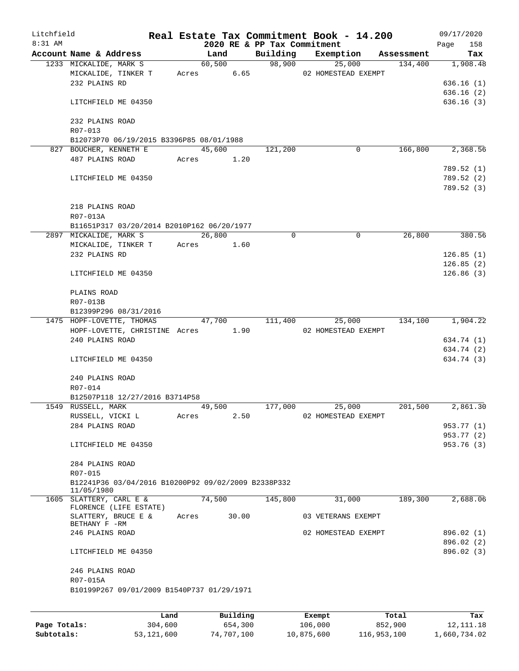| Litchfield   |                                                  |                                                     |       |                             |          | Real Estate Tax Commitment Book - 14.200 |                       | 09/17/2020      |
|--------------|--------------------------------------------------|-----------------------------------------------------|-------|-----------------------------|----------|------------------------------------------|-----------------------|-----------------|
| 8:31 AM      |                                                  |                                                     |       | 2020 RE & PP Tax Commitment |          |                                          |                       | 158<br>Page     |
|              | Account Name & Address<br>1233 MICKALIDE, MARK S |                                                     |       | Land<br>60,500              | Building | Exemption<br>98,900<br>25,000            | Assessment<br>134,400 | Tax<br>1,908.48 |
|              | MICKALIDE, TINKER T                              |                                                     |       | 6.65<br>Acres               |          | 02 HOMESTEAD EXEMPT                      |                       |                 |
|              | 232 PLAINS RD                                    |                                                     |       |                             |          |                                          |                       | 636.16(1)       |
|              |                                                  |                                                     |       |                             |          |                                          |                       | 636.16(2)       |
|              | LITCHFIELD ME 04350                              |                                                     |       |                             |          |                                          |                       | 636.16(3)       |
|              |                                                  |                                                     |       |                             |          |                                          |                       |                 |
|              | 232 PLAINS ROAD                                  |                                                     |       |                             |          |                                          |                       |                 |
|              | R07-013                                          |                                                     |       |                             |          |                                          |                       |                 |
|              |                                                  | B12073P70 06/19/2015 B3396P85 08/01/1988            |       |                             |          |                                          |                       |                 |
|              | 827 BOUCHER, KENNETH E                           |                                                     |       | 45,600                      | 121,200  | $\Omega$                                 | 166,800               | 2,368.56        |
|              | 487 PLAINS ROAD                                  |                                                     |       | Acres 1.20                  |          |                                          |                       |                 |
|              |                                                  |                                                     |       |                             |          |                                          |                       |                 |
|              |                                                  |                                                     |       |                             |          |                                          |                       | 789.52(1)       |
|              | LITCHFIELD ME 04350                              |                                                     |       |                             |          |                                          |                       | 789.52 (2)      |
|              |                                                  |                                                     |       |                             |          |                                          |                       | 789.52 (3)      |
|              |                                                  |                                                     |       |                             |          |                                          |                       |                 |
|              | 218 PLAINS ROAD                                  |                                                     |       |                             |          |                                          |                       |                 |
|              | R07-013A                                         |                                                     |       |                             |          |                                          |                       |                 |
|              |                                                  | B11651P317 03/20/2014 B2010P162 06/20/1977          |       |                             |          |                                          |                       |                 |
|              | 2897 MICKALIDE, MARK S                           |                                                     |       | 26,800                      | 0        | 0                                        | 26,800                | 380.56          |
|              |                                                  | MICKALIDE, TINKER T                                 | Acres | 1.60                        |          |                                          |                       |                 |
|              | 232 PLAINS RD                                    |                                                     |       |                             |          |                                          |                       | 126.85(1)       |
|              |                                                  |                                                     |       |                             |          |                                          |                       | 126.85(2)       |
|              | LITCHFIELD ME 04350                              |                                                     |       |                             |          |                                          |                       | 126.86(3)       |
|              |                                                  |                                                     |       |                             |          |                                          |                       |                 |
|              | PLAINS ROAD                                      |                                                     |       |                             |          |                                          |                       |                 |
|              | R07-013B                                         |                                                     |       |                             |          |                                          |                       |                 |
|              | B12399P296 08/31/2016                            |                                                     |       |                             |          |                                          |                       |                 |
|              | 1475 HOPF-LOVETTE, THOMAS                        |                                                     |       | 47,700                      | 111,400  | 25,000                                   | 134,100               | 1,904.22        |
|              |                                                  | HOPF-LOVETTE, CHRISTINE Acres                       |       | 1.90                        |          | 02 HOMESTEAD EXEMPT                      |                       |                 |
|              | 240 PLAINS ROAD                                  |                                                     |       |                             |          |                                          |                       | 634.74 (1)      |
|              |                                                  |                                                     |       |                             |          |                                          |                       | 634.74 (2)      |
|              | LITCHFIELD ME 04350                              |                                                     |       |                             |          |                                          |                       | 634.74 (3)      |
|              |                                                  |                                                     |       |                             |          |                                          |                       |                 |
|              | 240 PLAINS ROAD                                  |                                                     |       |                             |          |                                          |                       |                 |
|              | R07-014                                          |                                                     |       |                             |          |                                          |                       |                 |
|              |                                                  | B12507P118 12/27/2016 B3714P58                      |       |                             |          |                                          |                       |                 |
|              | 1549 RUSSELL, MARK                               |                                                     |       | 49,500                      | 177,000  | 25,000                                   | 201,500               | 2,861.30        |
|              | RUSSELL, VICKI L                                 |                                                     | Acres | 2.50                        |          | 02 HOMESTEAD EXEMPT                      |                       |                 |
|              | 284 PLAINS ROAD                                  |                                                     |       |                             |          |                                          |                       | 953.77 (1)      |
|              |                                                  |                                                     |       |                             |          |                                          |                       | 953.77 (2)      |
|              | LITCHFIELD ME 04350                              |                                                     |       |                             |          |                                          |                       | 953.76 (3)      |
|              |                                                  |                                                     |       |                             |          |                                          |                       |                 |
|              | 284 PLAINS ROAD                                  |                                                     |       |                             |          |                                          |                       |                 |
|              | R07-015                                          |                                                     |       |                             |          |                                          |                       |                 |
|              |                                                  | B12241P36 03/04/2016 B10200P92 09/02/2009 B2338P332 |       |                             |          |                                          |                       |                 |
|              | 11/05/1980                                       |                                                     |       |                             |          |                                          |                       |                 |
|              | 1605 SLATTERY, CARL E &                          |                                                     |       | 74,500                      | 145,800  | 31,000                                   | 189,300               | 2,688.06        |
|              | FLORENCE (LIFE ESTATE)                           |                                                     |       |                             |          |                                          |                       |                 |
|              | SLATTERY, BRUCE E &                              |                                                     | Acres | 30.00                       |          | 03 VETERANS EXEMPT                       |                       |                 |
|              | BETHANY F -RM                                    |                                                     |       |                             |          |                                          |                       |                 |
|              | 246 PLAINS ROAD                                  |                                                     |       |                             |          | 02 HOMESTEAD EXEMPT                      |                       | 896.02 (1)      |
|              |                                                  |                                                     |       |                             |          |                                          |                       | 896.02 (2)      |
|              | LITCHFIELD ME 04350                              |                                                     |       |                             |          |                                          |                       | 896.02(3)       |
|              |                                                  |                                                     |       |                             |          |                                          |                       |                 |
|              | 246 PLAINS ROAD                                  |                                                     |       |                             |          |                                          |                       |                 |
|              | R07-015A                                         |                                                     |       |                             |          |                                          |                       |                 |
|              |                                                  | B10199P267 09/01/2009 B1540P737 01/29/1971          |       |                             |          |                                          |                       |                 |
|              |                                                  |                                                     |       |                             |          |                                          |                       |                 |
|              |                                                  |                                                     |       |                             |          |                                          |                       |                 |
|              |                                                  | Land                                                |       | Building                    |          | Exempt                                   | Total                 | Tax             |
| Page Totals: |                                                  | 304,600                                             |       | 654,300                     |          | 106,000                                  | 852,900               | 12, 111.18      |

**Subtotals:** 53,121,600 74,707,100 10,875,600 116,953,100 1,660,734.02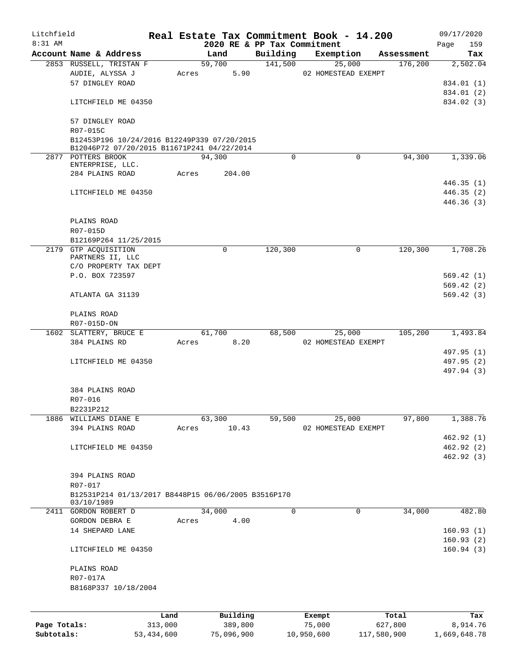| Litchfield   |                                                                   |              |       |            |                             | Real Estate Tax Commitment Book - 14.200 |             | 09/17/2020               |
|--------------|-------------------------------------------------------------------|--------------|-------|------------|-----------------------------|------------------------------------------|-------------|--------------------------|
| 8:31 AM      |                                                                   |              |       |            | 2020 RE & PP Tax Commitment |                                          |             | 159<br>Page              |
|              | Account Name & Address                                            |              |       | Land       | Building                    | Exemption                                | Assessment  | Tax                      |
|              | 2853 RUSSELL, TRISTAN F                                           |              |       | 59,700     | 141,500                     | 25,000                                   | 176,200     | 2,502.04                 |
|              | AUDIE, ALYSSA J<br>57 DINGLEY ROAD                                |              | Acres | 5.90       |                             | 02 HOMESTEAD EXEMPT                      |             |                          |
|              |                                                                   |              |       |            |                             |                                          |             | 834.01 (1)<br>834.01 (2) |
|              | LITCHFIELD ME 04350                                               |              |       |            |                             |                                          |             | 834.02 (3)               |
|              |                                                                   |              |       |            |                             |                                          |             |                          |
|              | 57 DINGLEY ROAD                                                   |              |       |            |                             |                                          |             |                          |
|              | R07-015C                                                          |              |       |            |                             |                                          |             |                          |
|              | B12453P196 10/24/2016 B12249P339 07/20/2015                       |              |       |            |                             |                                          |             |                          |
|              | B12046P72 07/20/2015 B11671P241 04/22/2014                        |              |       |            |                             |                                          |             |                          |
|              | 2877 POTTERS BROOK                                                |              |       | 94,300     | 0                           | $\Omega$                                 | 94,300      | 1,339.06                 |
|              | ENTERPRISE, LLC.                                                  |              |       |            |                             |                                          |             |                          |
|              | 284 PLAINS ROAD                                                   |              | Acres | 204.00     |                             |                                          |             |                          |
|              |                                                                   |              |       |            |                             |                                          |             | 446.35(1)                |
|              | LITCHFIELD ME 04350                                               |              |       |            |                             |                                          |             | 446.35 (2)               |
|              |                                                                   |              |       |            |                             |                                          |             | 446.36(3)                |
|              |                                                                   |              |       |            |                             |                                          |             |                          |
|              | PLAINS ROAD                                                       |              |       |            |                             |                                          |             |                          |
|              | R07-015D                                                          |              |       |            |                             |                                          |             |                          |
|              | B12169P264 11/25/2015                                             |              |       |            |                             |                                          |             |                          |
|              | 2179 GTP ACQUISITION<br>PARTNERS II, LLC                          |              |       | 0          | 120,300                     | 0                                        | 120,300     | 1,708.26                 |
|              | C/O PROPERTY TAX DEPT                                             |              |       |            |                             |                                          |             |                          |
|              | P.O. BOX 723597                                                   |              |       |            |                             |                                          |             | 569.42(1)                |
|              |                                                                   |              |       |            |                             |                                          |             | 569.42(2)                |
|              | ATLANTA GA 31139                                                  |              |       |            |                             |                                          |             | 569.42(3)                |
|              |                                                                   |              |       |            |                             |                                          |             |                          |
|              | PLAINS ROAD                                                       |              |       |            |                             |                                          |             |                          |
|              | R07-015D-ON                                                       |              |       |            |                             |                                          |             |                          |
|              | 1602 SLATTERY, BRUCE E                                            |              |       | 61,700     | 68,500                      | 25,000                                   | 105,200     | 1,493.84                 |
|              | 384 PLAINS RD                                                     |              | Acres | 8.20       |                             | 02 HOMESTEAD EXEMPT                      |             |                          |
|              |                                                                   |              |       |            |                             |                                          |             | 497.95 (1)               |
|              | LITCHFIELD ME 04350                                               |              |       |            |                             |                                          |             | 497.95 (2)               |
|              |                                                                   |              |       |            |                             |                                          |             | 497.94 (3)               |
|              |                                                                   |              |       |            |                             |                                          |             |                          |
|              | 384 PLAINS ROAD                                                   |              |       |            |                             |                                          |             |                          |
|              | R07-016                                                           |              |       |            |                             |                                          |             |                          |
|              | B2231P212                                                         |              |       |            |                             |                                          |             |                          |
|              | 1886 WILLIAMS DIANE E                                             |              |       | 63,300     | 59,500                      | 25,000                                   | 97,800      | 1,388.76                 |
|              | 394 PLAINS ROAD                                                   |              | Acres | 10.43      |                             | 02 HOMESTEAD EXEMPT                      |             |                          |
|              |                                                                   |              |       |            |                             |                                          |             | 462.92 (1)               |
|              | LITCHFIELD ME 04350                                               |              |       |            |                             |                                          |             | 462.92 (2)               |
|              |                                                                   |              |       |            |                             |                                          |             | 462.92 (3)               |
|              |                                                                   |              |       |            |                             |                                          |             |                          |
|              | 394 PLAINS ROAD                                                   |              |       |            |                             |                                          |             |                          |
|              | R07-017                                                           |              |       |            |                             |                                          |             |                          |
|              | B12531P214 01/13/2017 B8448P15 06/06/2005 B3516P170<br>03/10/1989 |              |       |            |                             |                                          |             |                          |
|              | 2411 GORDON ROBERT D                                              |              |       | 34,000     | $\Omega$                    | 0                                        | 34,000      | 482.80                   |
|              | GORDON DEBRA E                                                    |              | Acres | 4.00       |                             |                                          |             |                          |
|              | 14 SHEPARD LANE                                                   |              |       |            |                             |                                          |             | 160.93(1)                |
|              |                                                                   |              |       |            |                             |                                          |             | 160.93(2)                |
|              | LITCHFIELD ME 04350                                               |              |       |            |                             |                                          |             | 160.94(3)                |
|              |                                                                   |              |       |            |                             |                                          |             |                          |
|              | PLAINS ROAD                                                       |              |       |            |                             |                                          |             |                          |
|              | R07-017A                                                          |              |       |            |                             |                                          |             |                          |
|              | B8168P337 10/18/2004                                              |              |       |            |                             |                                          |             |                          |
|              |                                                                   |              |       |            |                             |                                          |             |                          |
|              |                                                                   |              |       |            |                             |                                          |             |                          |
|              |                                                                   | Land         |       | Building   |                             | Exempt                                   | Total       | Tax                      |
| Page Totals: |                                                                   | 313,000      |       | 389,800    |                             | 75,000                                   | 627,800     | 8,914.76                 |
| Subtotals:   |                                                                   | 53, 434, 600 |       | 75,096,900 |                             | 10,950,600                               | 117,580,900 | 1,669,648.78             |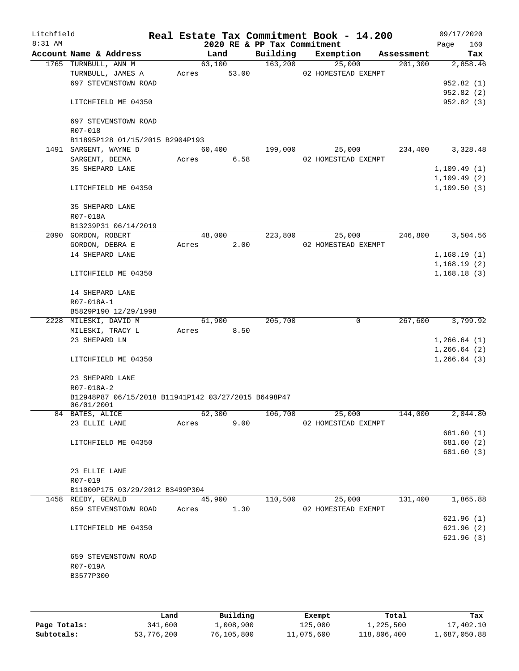| Litchfield |                                                                   |       |        |       |                             | Real Estate Tax Commitment Book - 14.200 |            |      | 09/17/2020   |
|------------|-------------------------------------------------------------------|-------|--------|-------|-----------------------------|------------------------------------------|------------|------|--------------|
| $8:31$ AM  |                                                                   |       |        |       | 2020 RE & PP Tax Commitment |                                          |            | Page | 160          |
|            | Account Name & Address                                            |       | Land   |       | Building                    | Exemption                                | Assessment |      | Tax          |
|            | 1765 TURNBULL, ANN M                                              |       | 63,100 |       | 163,200                     | 25,000                                   | 201,300    |      | 2,858.46     |
|            | TURNBULL, JAMES A                                                 | Acres |        | 53.00 |                             | 02 HOMESTEAD EXEMPT                      |            |      |              |
|            | 697 STEVENSTOWN ROAD                                              |       |        |       |                             |                                          |            |      | 952.82 (1)   |
|            |                                                                   |       |        |       |                             |                                          |            |      | 952.82(2)    |
|            | LITCHFIELD ME 04350                                               |       |        |       |                             |                                          |            |      | 952.82 (3)   |
|            | 697 STEVENSTOWN ROAD                                              |       |        |       |                             |                                          |            |      |              |
|            | R07-018                                                           |       |        |       |                             |                                          |            |      |              |
|            | B11895P128 01/15/2015 B2904P193                                   |       |        |       |                             |                                          |            |      |              |
|            | 1491 SARGENT, WAYNE D                                             |       | 60,400 |       | 199,000                     | 25,000                                   | 234,400    |      | 3,328.48     |
|            | SARGENT, DEEMA                                                    | Acres |        | 6.58  |                             | 02 HOMESTEAD EXEMPT                      |            |      |              |
|            | 35 SHEPARD LANE                                                   |       |        |       |                             |                                          |            |      | 1,109.49(1)  |
|            |                                                                   |       |        |       |                             |                                          |            |      | 1,109.49(2)  |
|            | LITCHFIELD ME 04350                                               |       |        |       |                             |                                          |            |      | 1,109.50(3)  |
|            | 35 SHEPARD LANE                                                   |       |        |       |                             |                                          |            |      |              |
|            | R07-018A                                                          |       |        |       |                             |                                          |            |      |              |
|            | B13239P31 06/14/2019                                              |       |        |       |                             |                                          |            |      |              |
|            | 2090 GORDON, ROBERT                                               |       | 48,000 |       | 223,800                     | 25,000                                   | 246,800    |      | 3,504.56     |
|            | GORDON, DEBRA E                                                   | Acres |        | 2.00  |                             | 02 HOMESTEAD EXEMPT                      |            |      |              |
|            | 14 SHEPARD LANE                                                   |       |        |       |                             |                                          |            |      | 1,168.19(1)  |
|            |                                                                   |       |        |       |                             |                                          |            |      | 1,168.19(2)  |
|            | LITCHFIELD ME 04350                                               |       |        |       |                             |                                          |            |      | 1,168.18(3)  |
|            | 14 SHEPARD LANE                                                   |       |        |       |                             |                                          |            |      |              |
|            | R07-018A-1                                                        |       |        |       |                             |                                          |            |      |              |
|            | B5829P190 12/29/1998                                              |       |        |       |                             |                                          |            |      |              |
|            | 2228 MILESKI, DAVID M                                             |       | 61,900 |       | 205,700                     | 0                                        | 267,600    |      | 3,799.92     |
|            | MILESKI, TRACY L                                                  | Acres |        | 8.50  |                             |                                          |            |      |              |
|            | 23 SHEPARD LN                                                     |       |        |       |                             |                                          |            |      | 1,266.64(1)  |
|            |                                                                   |       |        |       |                             |                                          |            |      | 1,266.64(2)  |
|            | LITCHFIELD ME 04350                                               |       |        |       |                             |                                          |            |      | 1, 266.64(3) |
|            | 23 SHEPARD LANE                                                   |       |        |       |                             |                                          |            |      |              |
|            | R07-018A-2                                                        |       |        |       |                             |                                          |            |      |              |
|            | B12948P87 06/15/2018 B11941P142 03/27/2015 B6498P47<br>06/01/2001 |       |        |       |                             |                                          |            |      |              |
|            | 84 BATES, ALICE                                                   |       | 62,300 |       | 106,700                     | 25,000                                   | 144,000    |      | 2,044.80     |
|            | 23 ELLIE LANE                                                     | Acres |        | 9.00  |                             | 02 HOMESTEAD EXEMPT                      |            |      |              |
|            |                                                                   |       |        |       |                             |                                          |            |      | 681.60 (1)   |
|            | LITCHFIELD ME 04350                                               |       |        |       |                             |                                          |            |      | 681.60 (2)   |
|            |                                                                   |       |        |       |                             |                                          |            |      | 681.60 (3)   |
|            |                                                                   |       |        |       |                             |                                          |            |      |              |
|            | 23 ELLIE LANE                                                     |       |        |       |                             |                                          |            |      |              |
|            | R07-019                                                           |       |        |       |                             |                                          |            |      |              |
|            | B11000P175 03/29/2012 B3499P304                                   |       |        |       |                             |                                          |            |      |              |
|            | 1458 REEDY, GERALD                                                |       | 45,900 |       | 110,500                     | 25,000                                   | 131,400    |      | 1,865.88     |
|            |                                                                   |       |        |       |                             | 02 HOMESTEAD EXEMPT                      |            |      |              |
|            | 659 STEVENSTOWN ROAD                                              | Acres |        | 1.30  |                             |                                          |            |      | 621.96(1)    |
|            |                                                                   |       |        |       |                             |                                          |            |      |              |
|            | LITCHFIELD ME 04350                                               |       |        |       |                             |                                          |            |      | 621.96(2)    |
|            |                                                                   |       |        |       |                             |                                          |            |      | 621.96(3)    |
|            | 659 STEVENSTOWN ROAD                                              |       |        |       |                             |                                          |            |      |              |
|            |                                                                   |       |        |       |                             |                                          |            |      |              |
|            | R07-019A                                                          |       |        |       |                             |                                          |            |      |              |
|            | B3577P300                                                         |       |        |       |                             |                                          |            |      |              |
|            |                                                                   |       |        |       |                             |                                          |            |      |              |
|            |                                                                   |       |        |       |                             |                                          |            |      |              |

|              | Land       | Building   | Exempt     | Total       | Tax          |
|--------------|------------|------------|------------|-------------|--------------|
| Page Totals: | 341,600    | 1,008,900  | 125,000    | 1,225,500   | 17,402.10    |
| Subtotals:   | 53,776,200 | 76,105,800 | 11,075,600 | 118,806,400 | 1,687,050.88 |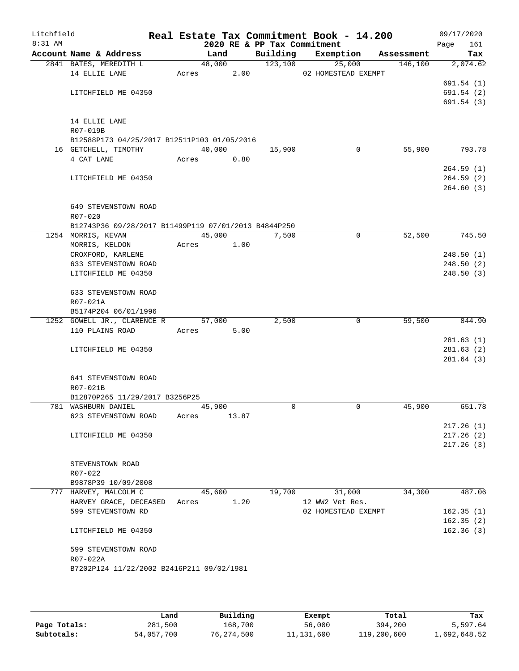| Litchfield<br>8:31 AM |                                                      |       |        |       | 2020 RE & PP Tax Commitment | Real Estate Tax Commitment Book - 14.200 |            | 09/17/2020<br>Page<br>161 |
|-----------------------|------------------------------------------------------|-------|--------|-------|-----------------------------|------------------------------------------|------------|---------------------------|
|                       | Account Name & Address                               |       | Land   |       | Building                    | Exemption                                | Assessment | Tax                       |
|                       | 2841 BATES, MEREDITH L                               |       | 48,000 |       | 123,100                     | 25,000                                   | 146,100    | 2,074.62                  |
|                       | 14 ELLIE LANE                                        | Acres |        | 2.00  |                             | 02 HOMESTEAD EXEMPT                      |            |                           |
|                       |                                                      |       |        |       |                             |                                          |            | 691.54(1)                 |
|                       | LITCHFIELD ME 04350                                  |       |        |       |                             |                                          |            | 691.54(2)                 |
|                       |                                                      |       |        |       |                             |                                          |            | 691.54(3)                 |
|                       | 14 ELLIE LANE                                        |       |        |       |                             |                                          |            |                           |
|                       | R07-019B                                             |       |        |       |                             |                                          |            |                           |
|                       | B12588P173 04/25/2017 B12511P103 01/05/2016          |       |        |       |                             |                                          |            |                           |
|                       | 16 GETCHELL, TIMOTHY                                 |       | 40,000 |       | 15,900                      | 0                                        | 55,900     | 793.78                    |
|                       | 4 CAT LANE                                           | Acres |        | 0.80  |                             |                                          |            |                           |
|                       |                                                      |       |        |       |                             |                                          |            | 264.59(1)                 |
|                       | LITCHFIELD ME 04350                                  |       |        |       |                             |                                          |            | 264.59(2)                 |
|                       |                                                      |       |        |       |                             |                                          |            | 264.60(3)                 |
|                       | 649 STEVENSTOWN ROAD                                 |       |        |       |                             |                                          |            |                           |
|                       | R07-020                                              |       |        |       |                             |                                          |            |                           |
|                       | B12743P36 09/28/2017 B11499P119 07/01/2013 B4844P250 |       |        |       |                             |                                          |            |                           |
|                       | 1254 MORRIS, KEVAN                                   |       | 45,000 |       | 7,500                       | 0                                        | 52,500     | 745.50                    |
|                       | MORRIS, KELDON                                       | Acres |        | 1.00  |                             |                                          |            |                           |
|                       | CROXFORD, KARLENE                                    |       |        |       |                             |                                          |            | 248.50(1)                 |
|                       | 633 STEVENSTOWN ROAD                                 |       |        |       |                             |                                          |            | 248.50(2)                 |
|                       | LITCHFIELD ME 04350                                  |       |        |       |                             |                                          |            | 248.50(3)                 |
|                       | 633 STEVENSTOWN ROAD                                 |       |        |       |                             |                                          |            |                           |
|                       | R07-021A                                             |       |        |       |                             |                                          |            |                           |
|                       | B5174P204 06/01/1996                                 |       |        |       |                             |                                          |            |                           |
|                       | 1252 GOWELL JR., CLARENCE R                          |       | 57,000 |       | 2,500                       | 0                                        | 59,500     | 844.90                    |
|                       | 110 PLAINS ROAD                                      | Acres |        | 5.00  |                             |                                          |            |                           |
|                       |                                                      |       |        |       |                             |                                          |            | 281.63(1)                 |
|                       | LITCHFIELD ME 04350                                  |       |        |       |                             |                                          |            | 281.63(2)                 |
|                       |                                                      |       |        |       |                             |                                          |            | 281.64(3)                 |
|                       | 641 STEVENSTOWN ROAD                                 |       |        |       |                             |                                          |            |                           |
|                       | R07-021B                                             |       |        |       |                             |                                          |            |                           |
|                       | B12870P265 11/29/2017 B3256P25                       |       |        |       |                             |                                          |            |                           |
|                       | 781 WASHBURN DANIEL                                  |       | 45,900 |       | 0                           | 0                                        | 45,900     | 651.78                    |
|                       | 623 STEVENSTOWN ROAD                                 | Acres |        | 13.87 |                             |                                          |            |                           |
|                       |                                                      |       |        |       |                             |                                          |            | 217.26(1)                 |
|                       | LITCHFIELD ME 04350                                  |       |        |       |                             |                                          |            | 217.26(2)                 |
|                       |                                                      |       |        |       |                             |                                          |            | 217.26(3)                 |
|                       |                                                      |       |        |       |                             |                                          |            |                           |
|                       | STEVENSTOWN ROAD<br>R07-022                          |       |        |       |                             |                                          |            |                           |
|                       | B9878P39 10/09/2008                                  |       |        |       |                             |                                          |            |                           |
|                       | 777 HARVEY, MALCOLM C                                |       | 45,600 |       | 19,700                      | 31,000                                   | 34,300     | 487.06                    |
|                       | HARVEY GRACE, DECEASED                               | Acres |        | 1.20  |                             | 12 WW2 Vet Res.                          |            |                           |
|                       | 599 STEVENSTOWN RD                                   |       |        |       |                             | 02 HOMESTEAD EXEMPT                      |            | 162.35(1)                 |
|                       |                                                      |       |        |       |                             |                                          |            | 162.35(2)                 |
|                       | LITCHFIELD ME 04350                                  |       |        |       |                             |                                          |            | 162.36(3)                 |
|                       | 599 STEVENSTOWN ROAD                                 |       |        |       |                             |                                          |            |                           |
|                       | R07-022A                                             |       |        |       |                             |                                          |            |                           |
|                       | B7202P124 11/22/2002 B2416P211 09/02/1981            |       |        |       |                             |                                          |            |                           |
|                       |                                                      |       |        |       |                             |                                          |            |                           |
|                       |                                                      |       |        |       |                             |                                          |            |                           |

|              | Land       | Building   | Exempt       | Total       | Tax          |
|--------------|------------|------------|--------------|-------------|--------------|
| Page Totals: | 281,500    | 168,700    | 56,000       | 394,200     | 5,597.64     |
| Subtotals:   | 54,057,700 | 76,274,500 | 11, 131, 600 | 119,200,600 | 1,692,648.52 |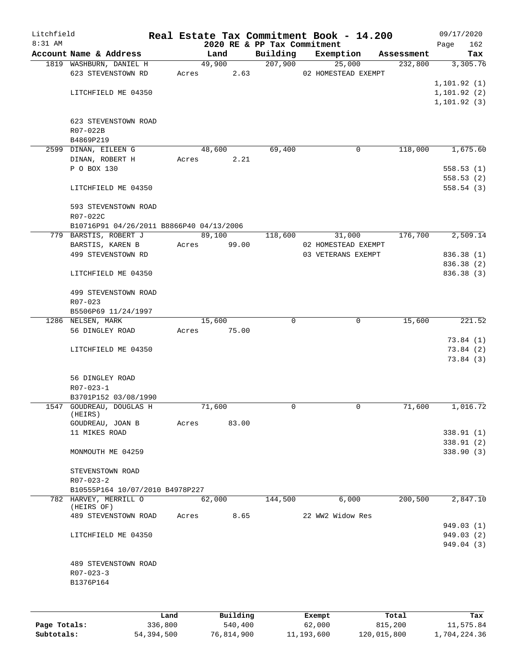| Litchfield |                                                          |       |                    |                             | Real Estate Tax Commitment Book - 14.200 |            | 09/17/2020                   |
|------------|----------------------------------------------------------|-------|--------------------|-----------------------------|------------------------------------------|------------|------------------------------|
| 8:31 AM    |                                                          |       |                    | 2020 RE & PP Tax Commitment |                                          |            | 162<br>Page                  |
|            | Account Name & Address                                   |       | Land               | Building                    | Exemption                                | Assessment | Tax                          |
|            | 1819 WASHBURN, DANIEL H                                  |       | $\frac{49,900}{ }$ | 207,900                     | 25,000                                   | 232,800    | 3,305.76                     |
|            | 623 STEVENSTOWN RD                                       |       | 2.63<br>Acres      |                             | 02 HOMESTEAD EXEMPT                      |            |                              |
|            |                                                          |       |                    |                             |                                          |            | 1, 101.92(1)                 |
|            | LITCHFIELD ME 04350                                      |       |                    |                             |                                          |            | 1, 101.92(2)<br>1, 101.92(3) |
|            |                                                          |       |                    |                             |                                          |            |                              |
|            | 623 STEVENSTOWN ROAD                                     |       |                    |                             |                                          |            |                              |
|            | R07-022B                                                 |       |                    |                             |                                          |            |                              |
|            | B4869P219                                                |       |                    |                             |                                          |            |                              |
|            | 2599 DINAN, EILEEN G                                     |       | 48,600             | 69,400                      | 0                                        | 118,000    | 1,675.60                     |
|            | DINAN, ROBERT H                                          | Acres | 2.21               |                             |                                          |            |                              |
|            | P O BOX 130                                              |       |                    |                             |                                          |            | 558.53(1)                    |
|            |                                                          |       |                    |                             |                                          |            | 558.53(2)                    |
|            | LITCHFIELD ME 04350                                      |       |                    |                             |                                          |            | 558.54(3)                    |
|            | 593 STEVENSTOWN ROAD                                     |       |                    |                             |                                          |            |                              |
|            | R07-022C                                                 |       |                    |                             |                                          |            |                              |
|            | B10716P91 04/26/2011 B8866P40 04/13/2006                 |       |                    |                             |                                          |            |                              |
|            | 779 BARSTIS, ROBERT J                                    |       | 89,100             | 118,600                     | 31,000                                   | 176,700    | 2,509.14                     |
|            | BARSTIS, KAREN B                                         | Acres | 99.00              |                             | 02 HOMESTEAD EXEMPT                      |            |                              |
|            | 499 STEVENSTOWN RD                                       |       |                    |                             | 03 VETERANS EXEMPT                       |            | 836.38 (1)                   |
|            |                                                          |       |                    |                             |                                          |            | 836.38 (2)                   |
|            | LITCHFIELD ME 04350                                      |       |                    |                             |                                          |            | 836.38 (3)                   |
|            |                                                          |       |                    |                             |                                          |            |                              |
|            | 499 STEVENSTOWN ROAD                                     |       |                    |                             |                                          |            |                              |
|            | R07-023<br>B5506P69 11/24/1997                           |       |                    |                             |                                          |            |                              |
|            | 1286 NELSEN, MARK                                        |       | 15,600             | $\Omega$                    | $\mathbf 0$                              | 15,600     | 221.52                       |
|            | 56 DINGLEY ROAD                                          | Acres | 75.00              |                             |                                          |            |                              |
|            |                                                          |       |                    |                             |                                          |            | 73.84(1)                     |
|            | LITCHFIELD ME 04350                                      |       |                    |                             |                                          |            | 73.84(2)                     |
|            |                                                          |       |                    |                             |                                          |            | 73.84(3)                     |
|            |                                                          |       |                    |                             |                                          |            |                              |
|            | 56 DINGLEY ROAD                                          |       |                    |                             |                                          |            |                              |
|            | $R07 - 023 - 1$                                          |       |                    |                             |                                          |            |                              |
|            | B3701P152 03/08/1990<br>1547 GOUDREAU, DOUGLAS H         |       | 71,600             | 0                           | 0                                        | 71,600     | 1,016.72                     |
|            | (HEIRS)                                                  |       |                    |                             |                                          |            |                              |
|            | GOUDREAU, JOAN B                                         | Acres | 83.00              |                             |                                          |            |                              |
|            | 11 MIKES ROAD                                            |       |                    |                             |                                          |            | 338.91 (1)                   |
|            |                                                          |       |                    |                             |                                          |            | 338.91 (2)                   |
|            | MONMOUTH ME 04259                                        |       |                    |                             |                                          |            | 338.90(3)                    |
|            |                                                          |       |                    |                             |                                          |            |                              |
|            | STEVENSTOWN ROAD                                         |       |                    |                             |                                          |            |                              |
|            | $R07 - 023 - 2$                                          |       |                    |                             |                                          |            |                              |
|            | B10555P164 10/07/2010 B4978P227<br>782 HARVEY, MERRILL O |       | 62,000             | 144,500                     | 6,000                                    | 200,500    | 2,847.10                     |
|            | (HEIRS OF)                                               |       |                    |                             |                                          |            |                              |
|            | 489 STEVENSTOWN ROAD                                     | Acres | 8.65               |                             | 22 WW2 Widow Res                         |            |                              |
|            |                                                          |       |                    |                             |                                          |            | 949.03 (1)                   |
|            | LITCHFIELD ME 04350                                      |       |                    |                             |                                          |            | 949.03 (2)                   |
|            |                                                          |       |                    |                             |                                          |            | 949.04 (3)                   |
|            |                                                          |       |                    |                             |                                          |            |                              |
|            | 489 STEVENSTOWN ROAD                                     |       |                    |                             |                                          |            |                              |
|            | $R07 - 023 - 3$                                          |       |                    |                             |                                          |            |                              |
|            | B1376P164                                                |       |                    |                             |                                          |            |                              |
|            |                                                          |       |                    |                             |                                          |            |                              |
|            |                                                          | Land. | Building           |                             | $F$ vemnt                                | $T$ ctal   | Tov                          |

|              | Land       | Building   | Exempt     | Total       | Tax          |
|--------------|------------|------------|------------|-------------|--------------|
| Page Totals: | 336,800    | 540,400    | 62,000     | 815,200     | 11,575.84    |
| Subtotals:   | 54,394,500 | 76,814,900 | 11,193,600 | 120,015,800 | 1,704,224.36 |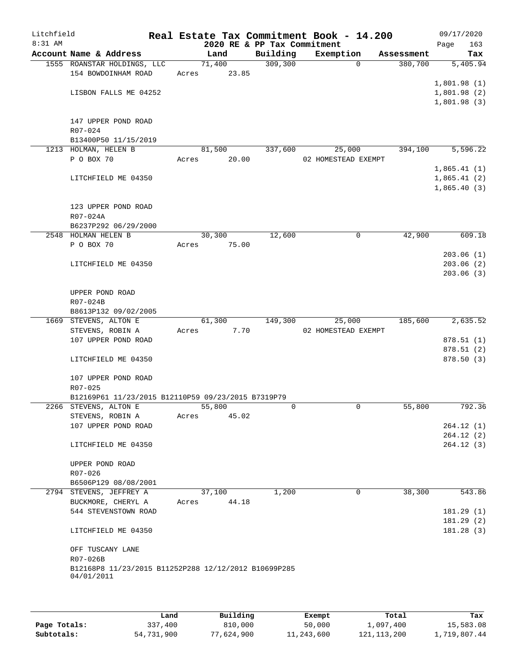| Litchfield |                                                                    |       |        |                             | Real Estate Tax Commitment Book - 14.200 |            | 09/17/2020  |            |
|------------|--------------------------------------------------------------------|-------|--------|-----------------------------|------------------------------------------|------------|-------------|------------|
| 8:31 AM    |                                                                    |       |        | 2020 RE & PP Tax Commitment |                                          |            | Page        | 163        |
|            | Account Name & Address                                             |       | Land   | Building                    | Exemption                                | Assessment |             | Tax        |
|            | 1555 ROANSTAR HOLDINGS, LLC                                        |       | 71,400 | 309,300                     | $\Omega$                                 | 380,700    |             | 5,405.94   |
|            | 154 BOWDOINHAM ROAD                                                | Acres | 23.85  |                             |                                          |            |             |            |
|            |                                                                    |       |        |                             |                                          |            | 1,801.98(1) |            |
|            | LISBON FALLS ME 04252                                              |       |        |                             |                                          |            | 1,801.98(2) |            |
|            |                                                                    |       |        |                             |                                          |            | 1,801.98(3) |            |
|            |                                                                    |       |        |                             |                                          |            |             |            |
|            | 147 UPPER POND ROAD                                                |       |        |                             |                                          |            |             |            |
|            | R07-024                                                            |       |        |                             |                                          |            |             |            |
|            | B13400P50 11/15/2019                                               |       |        |                             |                                          |            |             |            |
|            | 1213 HOLMAN, HELEN B                                               |       | 81,500 | 337,600                     | 25,000                                   | 394,100    |             | 5,596.22   |
|            | P O BOX 70                                                         | Acres | 20.00  |                             | 02 HOMESTEAD EXEMPT                      |            |             |            |
|            |                                                                    |       |        |                             |                                          |            | 1,865.41(1) |            |
|            | LITCHFIELD ME 04350                                                |       |        |                             |                                          |            | 1,865.41(2) |            |
|            |                                                                    |       |        |                             |                                          |            | 1,865.40(3) |            |
|            |                                                                    |       |        |                             |                                          |            |             |            |
|            |                                                                    |       |        |                             |                                          |            |             |            |
|            | 123 UPPER POND ROAD                                                |       |        |                             |                                          |            |             |            |
|            | R07-024A                                                           |       |        |                             |                                          |            |             |            |
|            | B6237P292 06/29/2000                                               |       |        |                             |                                          |            |             |            |
|            | 2548 HOLMAN HELEN B                                                |       | 30,300 | 12,600                      | 0                                        | 42,900     |             | 609.18     |
|            | P O BOX 70                                                         | Acres | 75.00  |                             |                                          |            |             |            |
|            |                                                                    |       |        |                             |                                          |            |             | 203.06(1)  |
|            | LITCHFIELD ME 04350                                                |       |        |                             |                                          |            |             | 203.06(2)  |
|            |                                                                    |       |        |                             |                                          |            |             | 203.06(3)  |
|            |                                                                    |       |        |                             |                                          |            |             |            |
|            | UPPER POND ROAD                                                    |       |        |                             |                                          |            |             |            |
|            | R07-024B                                                           |       |        |                             |                                          |            |             |            |
|            | B8613P132 09/02/2005                                               |       |        |                             |                                          |            |             |            |
|            | 1669 STEVENS, ALTON E                                              |       | 61,300 | 149,300                     | 25,000                                   | 185,600    |             | 2,635.52   |
|            | STEVENS, ROBIN A                                                   | Acres | 7.70   |                             | 02 HOMESTEAD EXEMPT                      |            |             |            |
|            | 107 UPPER POND ROAD                                                |       |        |                             |                                          |            |             | 878.51(1)  |
|            |                                                                    |       |        |                             |                                          |            |             | 878.51(2)  |
|            | LITCHFIELD ME 04350                                                |       |        |                             |                                          |            |             | 878.50 (3) |
|            |                                                                    |       |        |                             |                                          |            |             |            |
|            | 107 UPPER POND ROAD                                                |       |        |                             |                                          |            |             |            |
|            | R07-025                                                            |       |        |                             |                                          |            |             |            |
|            | B12169P61 11/23/2015 B12110P59 09/23/2015 B7319P79                 |       |        |                             |                                          |            |             |            |
|            | 2266 STEVENS, ALTON E                                              |       | 55,800 | 0                           | 0                                        | 55,800     |             | 792.36     |
|            | STEVENS, ROBIN A                                                   | Acres | 45.02  |                             |                                          |            |             |            |
|            | 107 UPPER POND ROAD                                                |       |        |                             |                                          |            |             | 264.12(1)  |
|            |                                                                    |       |        |                             |                                          |            |             | 264.12(2)  |
|            | LITCHFIELD ME 04350                                                |       |        |                             |                                          |            |             | 264.12(3)  |
|            |                                                                    |       |        |                             |                                          |            |             |            |
|            | UPPER POND ROAD                                                    |       |        |                             |                                          |            |             |            |
|            | R07-026                                                            |       |        |                             |                                          |            |             |            |
|            | B6506P129 08/08/2001                                               |       |        |                             |                                          |            |             |            |
|            | 2794 STEVENS, JEFFREY A                                            |       | 37,100 | 1,200                       | 0                                        | 38,300     |             | 543.86     |
|            | BUCKMORE, CHERYL A                                                 | Acres | 44.18  |                             |                                          |            |             |            |
|            | 544 STEVENSTOWN ROAD                                               |       |        |                             |                                          |            |             | 181.29(1)  |
|            |                                                                    |       |        |                             |                                          |            |             | 181.29(2)  |
|            | LITCHFIELD ME 04350                                                |       |        |                             |                                          |            |             | 181.28 (3) |
|            |                                                                    |       |        |                             |                                          |            |             |            |
|            |                                                                    |       |        |                             |                                          |            |             |            |
|            | OFF TUSCANY LANE                                                   |       |        |                             |                                          |            |             |            |
|            | R07-026B                                                           |       |        |                             |                                          |            |             |            |
|            | B12168P8 11/23/2015 B11252P288 12/12/2012 B10699P285<br>04/01/2011 |       |        |                             |                                          |            |             |            |
|            |                                                                    |       |        |                             |                                          |            |             |            |
|            |                                                                    |       |        |                             |                                          |            |             |            |
|            |                                                                    |       |        |                             |                                          |            |             |            |

|              | Land       | Building   | Exempt     | Total         | Tax          |
|--------------|------------|------------|------------|---------------|--------------|
| Page Totals: | 337,400    | 810,000    | 50,000     | 1,097,400     | 15,583.08    |
| Subtotals:   | 54,731,900 | 77,624,900 | 11,243,600 | 121, 113, 200 | 1,719,807.44 |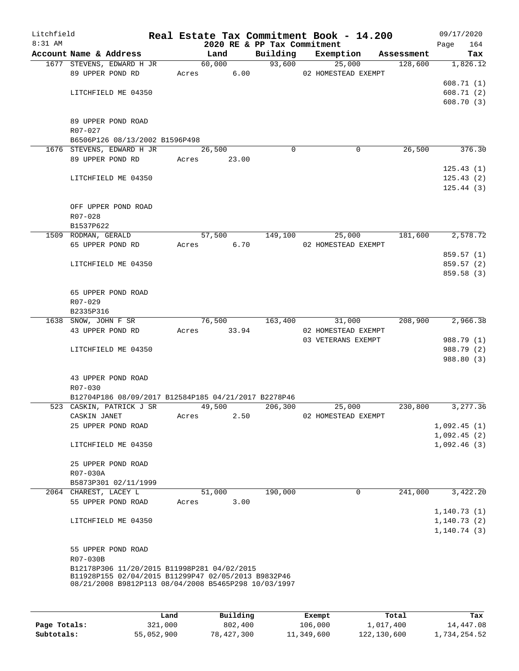| Litchfield<br>8:31 AM |                                                             |       |             | 2020 RE & PP Tax Commitment | Real Estate Tax Commitment Book - 14.200 |            | 09/17/2020<br>164<br>Page  |
|-----------------------|-------------------------------------------------------------|-------|-------------|-----------------------------|------------------------------------------|------------|----------------------------|
|                       | Account Name & Address                                      |       | Land        |                             | Building Exemption                       | Assessment | Tax                        |
|                       | 1677 STEVENS, EDWARD H JR                                   |       | 60,000      | 93,600                      | 25,000                                   | 128,600    | 1,826.12                   |
|                       | 89 UPPER POND RD                                            |       | Acres 6.00  |                             | 02 HOMESTEAD EXEMPT                      |            |                            |
|                       |                                                             |       |             |                             |                                          |            | 608.71(1)                  |
|                       | LITCHFIELD ME 04350                                         |       |             |                             |                                          |            | 608.71(2)                  |
|                       |                                                             |       |             |                             |                                          |            | 608.70(3)                  |
|                       |                                                             |       |             |                             |                                          |            |                            |
|                       | 89 UPPER POND ROAD                                          |       |             |                             |                                          |            |                            |
|                       | R07-027                                                     |       |             |                             |                                          |            |                            |
|                       | B6506P126 08/13/2002 B1596P498<br>1676 STEVENS, EDWARD H JR |       | 26,500      | $\Omega$                    | 0                                        | 26,500     | 376.30                     |
|                       | 89 UPPER POND RD Acres 23.00                                |       |             |                             |                                          |            |                            |
|                       |                                                             |       |             |                             |                                          |            | 125.43(1)                  |
|                       | LITCHFIELD ME 04350                                         |       |             |                             |                                          |            | 125.43(2)                  |
|                       |                                                             |       |             |                             |                                          |            | 125.44(3)                  |
|                       |                                                             |       |             |                             |                                          |            |                            |
|                       | OFF UPPER POND ROAD                                         |       |             |                             |                                          |            |                            |
|                       | $R07 - 028$                                                 |       |             |                             |                                          |            |                            |
|                       | B1537P622                                                   |       |             |                             |                                          |            |                            |
|                       | 1509 RODMAN, GERALD                                         |       | 57,500      | 149,100                     | 25,000                                   | 181,600    | 2,578.72                   |
|                       | 65 UPPER POND RD                                            |       | Acres 6.70  |                             | 02 HOMESTEAD EXEMPT                      |            |                            |
|                       |                                                             |       |             |                             |                                          |            | 859.57 (1)                 |
|                       | LITCHFIELD ME 04350                                         |       |             |                             |                                          |            | 859.57 (2)                 |
|                       |                                                             |       |             |                             |                                          |            | 859.58 (3)                 |
|                       |                                                             |       |             |                             |                                          |            |                            |
|                       | 65 UPPER POND ROAD<br>R07-029                               |       |             |                             |                                          |            |                            |
|                       | B2335P316                                                   |       |             |                             |                                          |            |                            |
|                       | 1638 SNOW, JOHN F SR                                        |       | 76,500      | 163,400                     | 31,000                                   | 208,900    | 2,966.38                   |
|                       | 43 UPPER POND RD                                            |       | Acres 33.94 |                             | 02 HOMESTEAD EXEMPT                      |            |                            |
|                       |                                                             |       |             |                             | 03 VETERANS EXEMPT                       |            | 988.79 (1)                 |
|                       | LITCHFIELD ME 04350                                         |       |             |                             |                                          |            | 988.79 (2)                 |
|                       |                                                             |       |             |                             |                                          |            | 988.80 (3)                 |
|                       |                                                             |       |             |                             |                                          |            |                            |
|                       | 43 UPPER POND ROAD                                          |       |             |                             |                                          |            |                            |
|                       | R07-030                                                     |       |             |                             |                                          |            |                            |
|                       | B12704P186 08/09/2017 B12584P185 04/21/2017 B2278P46        |       |             |                             |                                          |            |                            |
|                       | 523 CASKIN, PATRICK J SR                                    |       | 49,500      | 206,300                     | 25,000                                   | 230,800    | 3,277.36                   |
|                       | CASKIN JANET<br>25 UPPER POND ROAD                          | Acres | 2.50        |                             | 02 HOMESTEAD EXEMPT                      |            |                            |
|                       |                                                             |       |             |                             |                                          |            | 1,092.45(1)<br>1,092.45(2) |
|                       | LITCHFIELD ME 04350                                         |       |             |                             |                                          |            | 1,092.46(3)                |
|                       |                                                             |       |             |                             |                                          |            |                            |
|                       | 25 UPPER POND ROAD                                          |       |             |                             |                                          |            |                            |
|                       | R07-030A                                                    |       |             |                             |                                          |            |                            |
|                       | B5873P301 02/11/1999                                        |       |             |                             |                                          |            |                            |
|                       | 2064 CHAREST, LACEY L                                       |       | 51,000      | 190,000                     | 0                                        | 241,000    | 3,422.20                   |
|                       | 55 UPPER POND ROAD                                          | Acres | 3.00        |                             |                                          |            |                            |
|                       |                                                             |       |             |                             |                                          |            | 1, 140.73(1)               |
|                       | LITCHFIELD ME 04350                                         |       |             |                             |                                          |            | 1, 140.73(2)               |
|                       |                                                             |       |             |                             |                                          |            | 1,140.74(3)                |
|                       |                                                             |       |             |                             |                                          |            |                            |
|                       | 55 UPPER POND ROAD                                          |       |             |                             |                                          |            |                            |
|                       | R07-030B<br>B12178P306 11/20/2015 B11998P281 04/02/2015     |       |             |                             |                                          |            |                            |
|                       | B11928P155 02/04/2015 B11299P47 02/05/2013 B9832P46         |       |             |                             |                                          |            |                            |
|                       | 08/21/2008 B9812P113 08/04/2008 B5465P298 10/03/1997        |       |             |                             |                                          |            |                            |
|                       |                                                             |       |             |                             |                                          |            |                            |

|              | Land       | Building   | Exempt     | Total       | Tax          |
|--------------|------------|------------|------------|-------------|--------------|
| Page Totals: | 321,000    | 802,400    | 106,000    | 1,017,400   | 14,447.08    |
| Subtotals:   | 55,052,900 | 78,427,300 | 11,349,600 | 122,130,600 | 1,734,254.52 |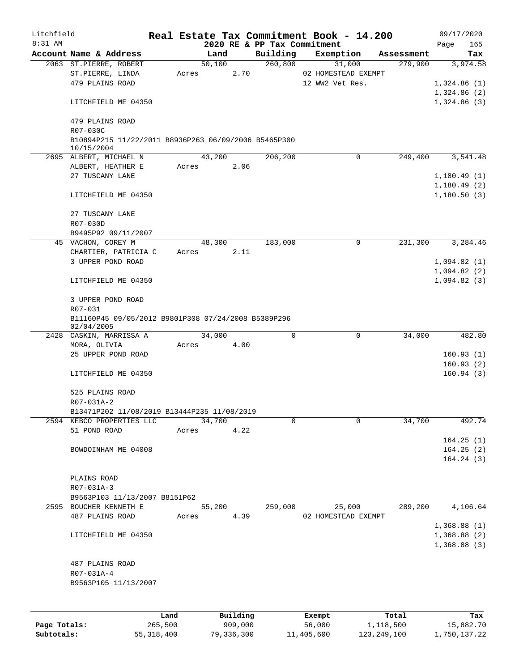| Litchfield |                                                                    |       |        |      |                             | Real Estate Tax Commitment Book - 14.200 |            | 09/17/2020  |  |
|------------|--------------------------------------------------------------------|-------|--------|------|-----------------------------|------------------------------------------|------------|-------------|--|
| $8:31$ AM  |                                                                    |       |        |      | 2020 RE & PP Tax Commitment |                                          |            | 165<br>Page |  |
|            | Account Name & Address                                             |       | Land   |      | Building                    | Exemption                                | Assessment | Tax         |  |
|            | 2063 ST.PIERRE, ROBERT                                             |       | 50,100 |      | 260,800                     | 31,000                                   | 279,900    | 3,974.58    |  |
|            | ST.PIERRE, LINDA                                                   | Acres |        | 2.70 |                             | 02 HOMESTEAD EXEMPT                      |            |             |  |
|            | 479 PLAINS ROAD                                                    |       |        |      |                             | 12 WW2 Vet Res.                          |            | 1,324.86(1) |  |
|            |                                                                    |       |        |      |                             |                                          |            | 1,324.86(2) |  |
|            | LITCHFIELD ME 04350                                                |       |        |      |                             |                                          |            | 1,324.86(3) |  |
|            |                                                                    |       |        |      |                             |                                          |            |             |  |
|            | 479 PLAINS ROAD                                                    |       |        |      |                             |                                          |            |             |  |
|            | R07-030C                                                           |       |        |      |                             |                                          |            |             |  |
|            | B10894P215 11/22/2011 B8936P263 06/09/2006 B5465P300<br>10/15/2004 |       |        |      |                             |                                          |            |             |  |
|            | 2695 ALBERT, MICHAEL N                                             |       | 43,200 |      | 206,200                     | $\Omega$                                 | 249,400    | 3,541.48    |  |
|            | ALBERT, HEATHER E                                                  |       | Acres  | 2.06 |                             |                                          |            |             |  |
|            | 27 TUSCANY LANE                                                    |       |        |      |                             |                                          |            | 1,180.49(1) |  |
|            |                                                                    |       |        |      |                             |                                          |            | 1,180.49(2) |  |
|            | LITCHFIELD ME 04350                                                |       |        |      |                             |                                          |            | 1,180.50(3) |  |
|            |                                                                    |       |        |      |                             |                                          |            |             |  |
|            | 27 TUSCANY LANE                                                    |       |        |      |                             |                                          |            |             |  |
|            | R07-030D                                                           |       |        |      |                             |                                          |            |             |  |
|            | B9495P92 09/11/2007                                                |       |        |      |                             |                                          |            |             |  |
|            | 45 VACHON, COREY M                                                 |       | 48,300 |      | 183,000                     | 0                                        | 231,300    | 3,284.46    |  |
|            | CHARTIER, PATRICIA C                                               | Acres |        | 2.11 |                             |                                          |            |             |  |
|            | 3 UPPER POND ROAD                                                  |       |        |      |                             |                                          |            | 1,094.82(1) |  |
|            |                                                                    |       |        |      |                             |                                          |            | 1,094.82(2) |  |
|            | LITCHFIELD ME 04350                                                |       |        |      |                             |                                          |            | 1,094.82(3) |  |
|            |                                                                    |       |        |      |                             |                                          |            |             |  |
|            | 3 UPPER POND ROAD                                                  |       |        |      |                             |                                          |            |             |  |
|            | R07-031                                                            |       |        |      |                             |                                          |            |             |  |
|            | B11160P45 09/05/2012 B9801P308 07/24/2008 B5389P296                |       |        |      |                             |                                          |            |             |  |
|            | 02/04/2005                                                         |       |        |      |                             |                                          |            |             |  |
|            | 2428 CASKIN, MARRISSA A                                            |       | 34,000 |      | 0                           | $\mathbf 0$                              | 34,000     | 482.80      |  |
|            | MORA, OLIVIA                                                       | Acres |        | 4.00 |                             |                                          |            |             |  |
|            | 25 UPPER POND ROAD                                                 |       |        |      |                             |                                          |            | 160.93(1)   |  |
|            |                                                                    |       |        |      |                             |                                          |            | 160.93(2)   |  |
|            | LITCHFIELD ME 04350                                                |       |        |      |                             |                                          |            | 160.94(3)   |  |
|            | 525 PLAINS ROAD                                                    |       |        |      |                             |                                          |            |             |  |
|            | R07-031A-2                                                         |       |        |      |                             |                                          |            |             |  |
|            | B13471P202 11/08/2019 B13444P235 11/08/2019                        |       |        |      |                             |                                          |            |             |  |
|            | 2594 KEBCO PROPERTIES LLC                                          |       | 34,700 |      | 0                           | $\Omega$                                 | 34,700     | 492.74      |  |
|            | 51 POND ROAD                                                       | Acres |        | 4.22 |                             |                                          |            |             |  |
|            |                                                                    |       |        |      |                             |                                          |            | 164.25(1)   |  |
|            | BOWDOINHAM ME 04008                                                |       |        |      |                             |                                          |            | 164.25(2)   |  |
|            |                                                                    |       |        |      |                             |                                          |            | 164.24(3)   |  |
|            |                                                                    |       |        |      |                             |                                          |            |             |  |
|            | PLAINS ROAD                                                        |       |        |      |                             |                                          |            |             |  |
|            | R07-031A-3                                                         |       |        |      |                             |                                          |            |             |  |
|            | B9563P103 11/13/2007 B8151P62                                      |       |        |      |                             |                                          |            |             |  |
|            | 2595 BOUCHER KENNETH E                                             |       | 55,200 |      | 259,000                     | 25,000                                   | 289,200    | 4,106.64    |  |
|            | 487 PLAINS ROAD                                                    |       | Acres  | 4.39 |                             | 02 HOMESTEAD EXEMPT                      |            |             |  |
|            |                                                                    |       |        |      |                             |                                          |            | 1,368.88(1) |  |
|            | LITCHFIELD ME 04350                                                |       |        |      |                             |                                          |            | 1,368.88(2) |  |
|            |                                                                    |       |        |      |                             |                                          |            | 1,368.88(3) |  |
|            |                                                                    |       |        |      |                             |                                          |            |             |  |
|            | 487 PLAINS ROAD                                                    |       |        |      |                             |                                          |            |             |  |
|            | R07-031A-4                                                         |       |        |      |                             |                                          |            |             |  |
|            | B9563P105 11/13/2007                                               |       |        |      |                             |                                          |            |             |  |
|            |                                                                    |       |        |      |                             |                                          |            |             |  |
|            |                                                                    |       |        |      |                             |                                          |            |             |  |
|            |                                                                    |       |        |      |                             |                                          |            |             |  |

|              | Land       | Building   | Exempt     | Total       | Tax          |
|--------------|------------|------------|------------|-------------|--------------|
| Page Totals: | 265,500    | 909,000    | 56,000     | 1,118,500   | 15,882.70    |
| Subtotals:   | 55,318,400 | 79,336,300 | 11,405,600 | 123,249,100 | 1,750,137.22 |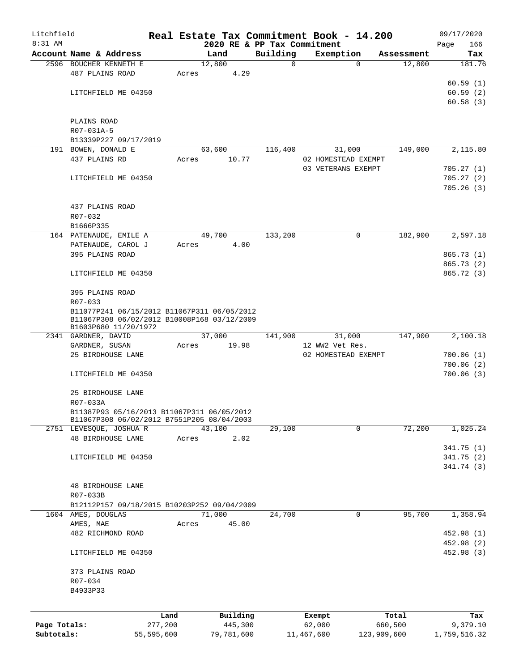| Litchfield   |                                                                     |            |       |                             |               | Real Estate Tax Commitment Book - 14.200 |                      | 09/17/2020              |
|--------------|---------------------------------------------------------------------|------------|-------|-----------------------------|---------------|------------------------------------------|----------------------|-------------------------|
| 8:31 AM      | Account Name & Address                                              |            |       | 2020 RE & PP Tax Commitment |               |                                          |                      | 166<br>Page             |
|              | 2596 BOUCHER KENNETH E                                              |            |       | Land<br>12,800              | Building<br>0 | Exemption<br>$\Omega$                    | Assessment<br>12,800 | Tax<br>181.76           |
|              | 487 PLAINS ROAD                                                     |            | Acres | 4.29                        |               |                                          |                      |                         |
|              |                                                                     |            |       |                             |               |                                          |                      | 60.59(1)                |
|              | LITCHFIELD ME 04350                                                 |            |       |                             |               |                                          |                      | 60.59(2)                |
|              |                                                                     |            |       |                             |               |                                          |                      | 60.58(3)                |
|              | PLAINS ROAD                                                         |            |       |                             |               |                                          |                      |                         |
|              | R07-031A-5                                                          |            |       |                             |               |                                          |                      |                         |
|              | B13339P227 09/17/2019                                               |            |       |                             |               |                                          |                      |                         |
|              | 191 BOWEN, DONALD E                                                 |            |       | 63,600                      | 116,400       | 31,000                                   | 149,000              | 2,115.80                |
|              | 437 PLAINS RD                                                       |            | Acres | 10.77                       |               | 02 HOMESTEAD EXEMPT                      |                      |                         |
|              |                                                                     |            |       |                             |               | 03 VETERANS EXEMPT                       |                      | 705.27 (1)              |
|              | LITCHFIELD ME 04350                                                 |            |       |                             |               |                                          |                      | 705.27(2)<br>705.26(3)  |
|              |                                                                     |            |       |                             |               |                                          |                      |                         |
|              | 437 PLAINS ROAD                                                     |            |       |                             |               |                                          |                      |                         |
|              | R07-032                                                             |            |       |                             |               |                                          |                      |                         |
|              | B1666P335                                                           |            |       |                             |               |                                          |                      |                         |
|              | 164 PATENAUDE, EMILE A                                              |            |       | 49,700                      | 133,200       | 0                                        | 182,900              | 2,597.18                |
|              | PATENAUDE, CAROL J                                                  |            | Acres | 4.00                        |               |                                          |                      |                         |
|              | 395 PLAINS ROAD                                                     |            |       |                             |               |                                          |                      | 865.73 (1)<br>865.73(2) |
|              | LITCHFIELD ME 04350                                                 |            |       |                             |               |                                          |                      | 865.72(3)               |
|              |                                                                     |            |       |                             |               |                                          |                      |                         |
|              | 395 PLAINS ROAD                                                     |            |       |                             |               |                                          |                      |                         |
|              | R07-033                                                             |            |       |                             |               |                                          |                      |                         |
|              | B11077P241 06/15/2012 B11067P311 06/05/2012                         |            |       |                             |               |                                          |                      |                         |
|              | B11067P308 06/02/2012 B10008P168 03/12/2009<br>B1603P680 11/20/1972 |            |       |                             |               |                                          |                      |                         |
|              | 2341 GARDNER, DAVID                                                 |            |       | 37,000                      | 141,900       | 31,000                                   | 147,900              | 2,100.18                |
|              | GARDNER, SUSAN                                                      |            | Acres | 19.98                       |               | 12 WW2 Vet Res.                          |                      |                         |
|              | 25 BIRDHOUSE LANE                                                   |            |       |                             |               | 02 HOMESTEAD EXEMPT                      |                      | 700.06(1)               |
|              |                                                                     |            |       |                             |               |                                          |                      | 700.06(2)               |
|              | LITCHFIELD ME 04350                                                 |            |       |                             |               |                                          |                      | 700.06(3)               |
|              | 25 BIRDHOUSE LANE                                                   |            |       |                             |               |                                          |                      |                         |
|              | R07-033A                                                            |            |       |                             |               |                                          |                      |                         |
|              | B11387P93 05/16/2013 B11067P311 06/05/2012                          |            |       |                             |               |                                          |                      |                         |
|              | B11067P308 06/02/2012 B7551P205 08/04/2003                          |            |       |                             |               |                                          |                      |                         |
|              | 2751 LEVESQUE, JOSHUA R                                             |            |       | 43,100                      | 29,100        | 0                                        | 72,200               | 1,025.24                |
|              | <b>48 BIRDHOUSE LANE</b>                                            |            | Acres | 2.02                        |               |                                          |                      | 341.75(1)               |
|              | LITCHFIELD ME 04350                                                 |            |       |                             |               |                                          |                      | 341.75(2)               |
|              |                                                                     |            |       |                             |               |                                          |                      | 341.74 (3)              |
|              |                                                                     |            |       |                             |               |                                          |                      |                         |
|              | <b>48 BIRDHOUSE LANE</b>                                            |            |       |                             |               |                                          |                      |                         |
|              | R07-033B                                                            |            |       |                             |               |                                          |                      |                         |
|              | B12112P157 09/18/2015 B10203P252 09/04/2009                         |            |       |                             |               |                                          |                      |                         |
|              | 1604 AMES, DOUGLAS<br>AMES, MAE                                     |            | Acres | 71,000<br>45.00             | 24,700        | 0                                        | 95,700               | 1,358.94                |
|              | 482 RICHMOND ROAD                                                   |            |       |                             |               |                                          |                      | 452.98 (1)              |
|              |                                                                     |            |       |                             |               |                                          |                      | 452.98 (2)              |
|              | LITCHFIELD ME 04350                                                 |            |       |                             |               |                                          |                      | 452.98 (3)              |
|              |                                                                     |            |       |                             |               |                                          |                      |                         |
|              | 373 PLAINS ROAD                                                     |            |       |                             |               |                                          |                      |                         |
|              | R07-034                                                             |            |       |                             |               |                                          |                      |                         |
|              | B4933P33                                                            |            |       |                             |               |                                          |                      |                         |
|              |                                                                     | Land       |       | Building                    |               | Exempt                                   | Total                | Tax                     |
| Page Totals: |                                                                     | 277,200    |       | 445,300                     |               | 62,000                                   | 660,500              | 9,379.10                |
| Subtotals:   |                                                                     | 55,595,600 |       | 79,781,600                  |               | 11,467,600<br>123,909,600                |                      | 1,759,516.32            |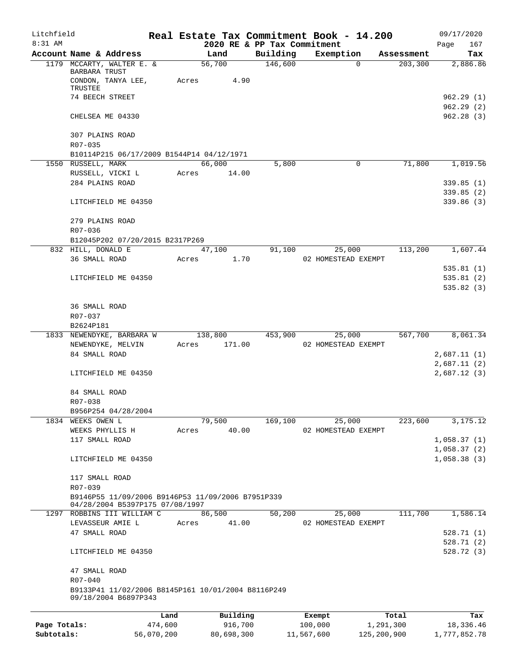| Litchfield   |                                                                                      |            |                |                             | Real Estate Tax Commitment Book - 14.200 |             | 09/17/2020   |
|--------------|--------------------------------------------------------------------------------------|------------|----------------|-----------------------------|------------------------------------------|-------------|--------------|
| $8:31$ AM    |                                                                                      |            |                | 2020 RE & PP Tax Commitment |                                          |             | Page<br>167  |
|              | Account Name & Address                                                               |            | Land           | Building                    | Exemption                                | Assessment  | Tax          |
|              | 1179 MCCARTY, WALTER E. &<br>BARBARA TRUST<br>CONDON, TANYA LEE,                     | Acres      | 56,700<br>4.90 | 146,600                     | $\Omega$                                 | 203,300     | 2,886.86     |
|              | TRUSTEE                                                                              |            |                |                             |                                          |             |              |
|              | 74 BEECH STREET                                                                      |            |                |                             |                                          |             | 962.29(1)    |
|              |                                                                                      |            |                |                             |                                          |             | 962.29(2)    |
|              | CHELSEA ME 04330                                                                     |            |                |                             |                                          |             | 962.28(3)    |
|              | 307 PLAINS ROAD<br>R07-035                                                           |            |                |                             |                                          |             |              |
|              | B10114P215 06/17/2009 B1544P14 04/12/1971                                            |            |                |                             |                                          |             |              |
|              | 1550 RUSSELL, MARK                                                                   |            | 66,000         | 5,800                       | $\mathbf 0$                              | 71,800      | 1,019.56     |
|              | RUSSELL, VICKI L                                                                     | Acres      | 14.00          |                             |                                          |             |              |
|              | 284 PLAINS ROAD                                                                      |            |                |                             |                                          |             | 339.85(1)    |
|              |                                                                                      |            |                |                             |                                          |             | 339.85(2)    |
|              | LITCHFIELD ME 04350                                                                  |            |                |                             |                                          |             | 339.86(3)    |
|              | 279 PLAINS ROAD                                                                      |            |                |                             |                                          |             |              |
|              | R07-036                                                                              |            |                |                             |                                          |             |              |
|              | B12045P202 07/20/2015 B2317P269                                                      |            |                |                             |                                          |             |              |
|              | 832 HILL, DONALD E                                                                   |            | 47,100         | 91,100                      | 25,000                                   | 113,200     | 1,607.44     |
|              | 36 SMALL ROAD                                                                        | Acres      | 1.70           |                             | 02 HOMESTEAD EXEMPT                      |             |              |
|              |                                                                                      |            |                |                             |                                          |             | 535.81(1)    |
|              | LITCHFIELD ME 04350                                                                  |            |                |                             |                                          |             | 535.81(2)    |
|              |                                                                                      |            |                |                             |                                          |             | 535.82(3)    |
|              | 36 SMALL ROAD                                                                        |            |                |                             |                                          |             |              |
|              | R07-037                                                                              |            |                |                             |                                          |             |              |
|              | B2624P181                                                                            |            |                |                             |                                          |             |              |
|              | 1833 NEWENDYKE, BARBARA W                                                            |            | 138,800        | 453,900                     | 25,000                                   | 567,700     | 8,061.34     |
|              | NEWENDYKE, MELVIN                                                                    | Acres      | 171.00         |                             | 02 HOMESTEAD EXEMPT                      |             |              |
|              | 84 SMALL ROAD                                                                        |            |                |                             |                                          |             | 2,687.11(1)  |
|              |                                                                                      |            |                |                             |                                          |             | 2,687.11(2)  |
|              | LITCHFIELD ME 04350                                                                  |            |                |                             |                                          |             | 2,687.12(3)  |
|              | 84 SMALL ROAD                                                                        |            |                |                             |                                          |             |              |
|              | R07-038                                                                              |            |                |                             |                                          |             |              |
|              | B956P254 04/28/2004                                                                  |            |                |                             |                                          |             |              |
|              | 1834 WEEKS OWEN L                                                                    |            | 79,500         | 169, 100                    | 25,000                                   | 223,600     | 3,175.12     |
|              | WEEKS PHYLLIS H                                                                      | Acres      | 40.00          |                             | 02 HOMESTEAD EXEMPT                      |             |              |
|              | 117 SMALL ROAD                                                                       |            |                |                             |                                          |             | 1,058.37(1)  |
|              |                                                                                      |            |                |                             |                                          |             | 1,058.37(2)  |
|              | LITCHFIELD ME 04350                                                                  |            |                |                             |                                          |             | 1,058.38(3)  |
|              | 117 SMALL ROAD                                                                       |            |                |                             |                                          |             |              |
|              | R07-039                                                                              |            |                |                             |                                          |             |              |
|              | B9146P55 11/09/2006 B9146P53 11/09/2006 B7951P339<br>04/28/2004 B5397P175 07/08/1997 |            |                |                             |                                          |             |              |
|              | 1297 ROBBINS III WILLIAM C                                                           |            | 86,500         | 50,200                      | 25,000                                   | 111,700     | 1,586.14     |
|              | LEVASSEUR AMIE L                                                                     | Acres      | 41.00          |                             | 02 HOMESTEAD EXEMPT                      |             |              |
|              | 47 SMALL ROAD                                                                        |            |                |                             |                                          |             | 528.71(1)    |
|              |                                                                                      |            |                |                             |                                          |             | 528.71(2)    |
|              | LITCHFIELD ME 04350                                                                  |            |                |                             |                                          |             | 528.72(3)    |
|              | 47 SMALL ROAD                                                                        |            |                |                             |                                          |             |              |
|              | R07-040                                                                              |            |                |                             |                                          |             |              |
|              | B9133P41 11/02/2006 B8145P161 10/01/2004 B8116P249                                   |            |                |                             |                                          |             |              |
|              | 09/18/2004 B6897P343                                                                 |            |                |                             |                                          |             |              |
|              |                                                                                      | Land       | Building       |                             | Exempt                                   | Total       | Tax          |
| Page Totals: |                                                                                      | 474,600    | 916,700        |                             | 100,000                                  | 1,291,300   | 18,336.46    |
| Subtotals:   |                                                                                      | 56,070,200 | 80,698,300     |                             | 11,567,600                               | 125,200,900 | 1,777,852.78 |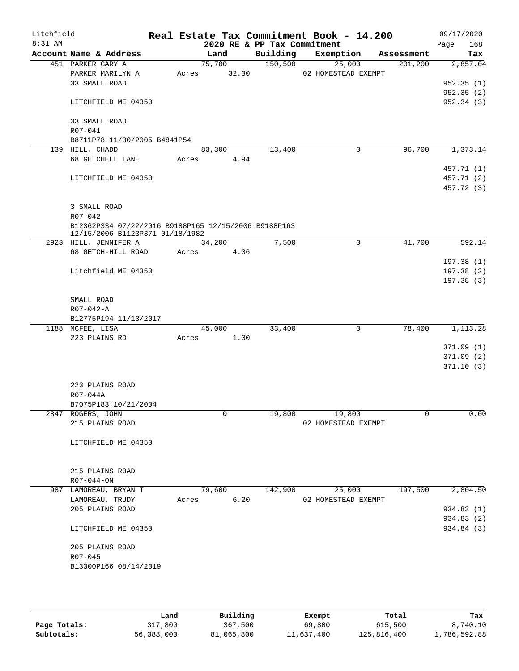| Litchfield<br>8:31 AM |                                                                                         |       |        | 2020 RE & PP Tax Commitment | Real Estate Tax Commitment Book - 14.200 |            | 09/17/2020<br>Page<br>168 |
|-----------------------|-----------------------------------------------------------------------------------------|-------|--------|-----------------------------|------------------------------------------|------------|---------------------------|
|                       | Account Name & Address                                                                  |       | Land   | Building                    | Exemption                                | Assessment | Tax                       |
|                       | 451 PARKER GARY A                                                                       |       | 75,700 | 150, 500                    | 25,000                                   | 201, 200   | 2,857.04                  |
|                       | PARKER MARILYN A                                                                        | Acres | 32.30  |                             | 02 HOMESTEAD EXEMPT                      |            |                           |
|                       | 33 SMALL ROAD                                                                           |       |        |                             |                                          |            | 952.35(1)                 |
|                       |                                                                                         |       |        |                             |                                          |            | 952.35(2)                 |
|                       | LITCHFIELD ME 04350                                                                     |       |        |                             |                                          |            | 952.34 (3)                |
|                       |                                                                                         |       |        |                             |                                          |            |                           |
|                       | 33 SMALL ROAD                                                                           |       |        |                             |                                          |            |                           |
|                       | R07-041                                                                                 |       |        |                             |                                          |            |                           |
|                       | B8711P78 11/30/2005 B4841P54<br>139 HILL, CHADD                                         |       | 83,300 | 13,400                      | $\mathbf 0$                              | 96,700     | 1,373.14                  |
|                       | 68 GETCHELL LANE                                                                        | Acres | 4.94   |                             |                                          |            |                           |
|                       |                                                                                         |       |        |                             |                                          |            | 457.71 (1)                |
|                       | LITCHFIELD ME 04350                                                                     |       |        |                             |                                          |            | 457.71 (2)                |
|                       |                                                                                         |       |        |                             |                                          |            | 457.72 (3)                |
|                       |                                                                                         |       |        |                             |                                          |            |                           |
|                       | 3 SMALL ROAD                                                                            |       |        |                             |                                          |            |                           |
|                       | R07-042                                                                                 |       |        |                             |                                          |            |                           |
|                       | B12362P334 07/22/2016 B9188P165 12/15/2006 B9188P163<br>12/15/2006 B1123P371 01/18/1982 |       |        |                             |                                          |            |                           |
|                       | 2923 HILL, JENNIFER A                                                                   |       | 34,200 | 7,500                       | 0                                        | 41,700     | 592.14                    |
|                       | 68 GETCH-HILL ROAD                                                                      | Acres | 4.06   |                             |                                          |            |                           |
|                       |                                                                                         |       |        |                             |                                          |            | 197.38(1)                 |
|                       | Litchfield ME 04350                                                                     |       |        |                             |                                          |            | 197.38(2)                 |
|                       |                                                                                         |       |        |                             |                                          |            | 197.38(3)                 |
|                       |                                                                                         |       |        |                             |                                          |            |                           |
|                       | SMALL ROAD                                                                              |       |        |                             |                                          |            |                           |
|                       | $R07 - 042 - A$                                                                         |       |        |                             |                                          |            |                           |
|                       | B12775P194 11/13/2017                                                                   |       |        |                             |                                          |            |                           |
|                       | 1188 MCFEE, LISA                                                                        |       | 45,000 | 33,400                      | $\mathbf 0$                              | 78,400     | 1,113.28                  |
|                       | 223 PLAINS RD                                                                           | Acres | 1.00   |                             |                                          |            |                           |
|                       |                                                                                         |       |        |                             |                                          |            | 371.09(1)                 |
|                       |                                                                                         |       |        |                             |                                          |            | 371.09(2)                 |
|                       |                                                                                         |       |        |                             |                                          |            | 371.10(3)                 |
|                       | 223 PLAINS ROAD                                                                         |       |        |                             |                                          |            |                           |
|                       | R07-044A                                                                                |       |        |                             |                                          |            |                           |
|                       | B7075P183 10/21/2004                                                                    |       |        |                             |                                          |            |                           |
|                       | 2847 ROGERS, JOHN                                                                       |       | 0      | 19,800                      | 19,800                                   | 0          | 0.00                      |
|                       | 215 PLAINS ROAD                                                                         |       |        |                             | 02 HOMESTEAD EXEMPT                      |            |                           |
|                       |                                                                                         |       |        |                             |                                          |            |                           |
|                       | LITCHFIELD ME 04350                                                                     |       |        |                             |                                          |            |                           |
|                       |                                                                                         |       |        |                             |                                          |            |                           |
|                       |                                                                                         |       |        |                             |                                          |            |                           |
|                       | 215 PLAINS ROAD                                                                         |       |        |                             |                                          |            |                           |
|                       | R07-044-ON                                                                              |       |        |                             |                                          |            |                           |
|                       | 987 LAMOREAU, BRYAN T                                                                   |       | 79,600 | 142,900                     | 25,000                                   | 197,500    | 2,804.50                  |
|                       | LAMOREAU, TRUDY<br>205 PLAINS ROAD                                                      | Acres | 6.20   |                             | 02 HOMESTEAD EXEMPT                      |            | 934.83 (1)                |
|                       |                                                                                         |       |        |                             |                                          |            | 934.83 (2)                |
|                       | LITCHFIELD ME 04350                                                                     |       |        |                             |                                          |            | 934.84 (3)                |
|                       |                                                                                         |       |        |                             |                                          |            |                           |
|                       | 205 PLAINS ROAD                                                                         |       |        |                             |                                          |            |                           |
|                       | R07-045                                                                                 |       |        |                             |                                          |            |                           |
|                       | B13300P166 08/14/2019                                                                   |       |        |                             |                                          |            |                           |
|                       |                                                                                         |       |        |                             |                                          |            |                           |
|                       |                                                                                         |       |        |                             |                                          |            |                           |

|              | Land       | Building   | Exempt     | Total       | Tax          |
|--------------|------------|------------|------------|-------------|--------------|
| Page Totals: | 317,800    | 367,500    | 69,800     | 615,500     | 8,740.10     |
| Subtotals:   | 56,388,000 | 81,065,800 | 11,637,400 | 125,816,400 | 1,786,592.88 |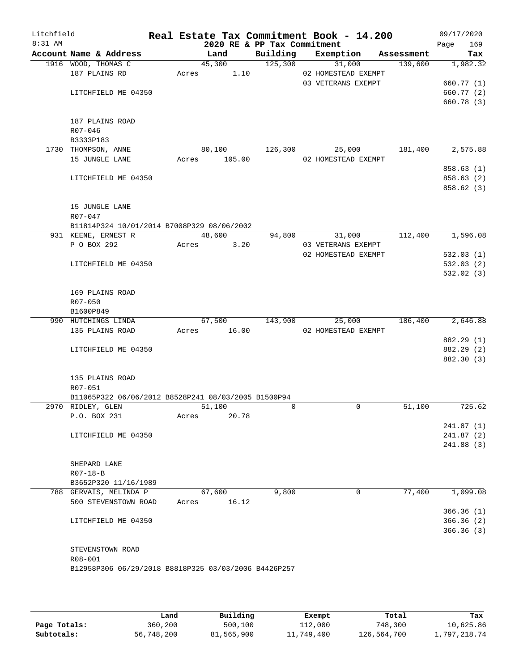| Litchfield<br>8:31 AM |                |                                                      |       |        |        | 2020 RE & PP Tax Commitment | Real Estate Tax Commitment Book - 14.200 |            | 09/17/2020<br>Page | 169                      |
|-----------------------|----------------|------------------------------------------------------|-------|--------|--------|-----------------------------|------------------------------------------|------------|--------------------|--------------------------|
|                       |                | Account Name & Address                               |       | Land   |        | Building                    | Exemption                                | Assessment |                    | Tax                      |
|                       |                | 1916 WOOD, THOMAS C                                  |       | 45,300 |        | 125,300                     | 31,000                                   | 139,600    |                    | 1,982.32                 |
|                       |                | 187 PLAINS RD                                        | Acres |        | 1.10   |                             | 02 HOMESTEAD EXEMPT                      |            |                    |                          |
|                       |                |                                                      |       |        |        |                             | 03 VETERANS EXEMPT                       |            |                    | 660.77 (1)               |
|                       |                | LITCHFIELD ME 04350                                  |       |        |        |                             |                                          |            |                    | 660.77 (2)               |
|                       |                |                                                      |       |        |        |                             |                                          |            |                    | 660.78 (3)               |
|                       |                |                                                      |       |        |        |                             |                                          |            |                    |                          |
|                       |                | 187 PLAINS ROAD                                      |       |        |        |                             |                                          |            |                    |                          |
|                       | R07-046        |                                                      |       |        |        |                             |                                          |            |                    |                          |
|                       | B3333P183      | 1730 THOMPSON, ANNE                                  |       | 80,100 |        | 126,300                     | 25,000                                   | 181,400    |                    | 2,575.88                 |
|                       |                | 15 JUNGLE LANE                                       | Acres |        | 105.00 |                             | 02 HOMESTEAD EXEMPT                      |            |                    |                          |
|                       |                |                                                      |       |        |        |                             |                                          |            |                    | 858.63(1)                |
|                       |                | LITCHFIELD ME 04350                                  |       |        |        |                             |                                          |            |                    | 858.63 (2)               |
|                       |                |                                                      |       |        |        |                             |                                          |            |                    | 858.62 (3)               |
|                       |                |                                                      |       |        |        |                             |                                          |            |                    |                          |
|                       |                | 15 JUNGLE LANE                                       |       |        |        |                             |                                          |            |                    |                          |
|                       | R07-047        |                                                      |       |        |        |                             |                                          |            |                    |                          |
|                       |                | B11814P324 10/01/2014 B7008P329 08/06/2002           |       |        |        |                             |                                          |            |                    |                          |
|                       |                | 931 KEENE, ERNEST R                                  |       | 48,600 |        | 94,800                      | 31,000                                   | 112,400    |                    | 1,596.08                 |
|                       |                | P O BOX 292                                          | Acres |        | 3.20   |                             | 03 VETERANS EXEMPT                       |            |                    |                          |
|                       |                |                                                      |       |        |        |                             | 02 HOMESTEAD EXEMPT                      |            |                    | 532.03(1)                |
|                       |                | LITCHFIELD ME 04350                                  |       |        |        |                             |                                          |            |                    | 532.03(2)                |
|                       |                |                                                      |       |        |        |                             |                                          |            |                    | 532.02(3)                |
|                       |                |                                                      |       |        |        |                             |                                          |            |                    |                          |
|                       |                | 169 PLAINS ROAD                                      |       |        |        |                             |                                          |            |                    |                          |
|                       | R07-050        |                                                      |       |        |        |                             |                                          |            |                    |                          |
|                       | B1600P849      |                                                      |       |        |        |                             |                                          |            |                    |                          |
|                       |                | 990 HUTCHINGS LINDA                                  |       | 67,500 |        | 143,900                     | 25,000                                   | 186,400    |                    | 2,646.88                 |
|                       |                | 135 PLAINS ROAD                                      | Acres |        | 16.00  |                             | 02 HOMESTEAD EXEMPT                      |            |                    |                          |
|                       |                | LITCHFIELD ME 04350                                  |       |        |        |                             |                                          |            |                    | 882.29 (1)<br>882.29 (2) |
|                       |                |                                                      |       |        |        |                             |                                          |            |                    | 882.30 (3)               |
|                       |                |                                                      |       |        |        |                             |                                          |            |                    |                          |
|                       |                | 135 PLAINS ROAD                                      |       |        |        |                             |                                          |            |                    |                          |
|                       | R07-051        |                                                      |       |        |        |                             |                                          |            |                    |                          |
|                       |                | B11065P322 06/06/2012 B8528P241 08/03/2005 B1500P94  |       |        |        |                             |                                          |            |                    |                          |
|                       |                | 2970 RIDLEY, GLEN                                    |       | 51,100 |        | $\mathbf 0$                 | 0                                        | 51,100     |                    | 725.62                   |
|                       |                | P.O. BOX 231                                         | Acres |        | 20.78  |                             |                                          |            |                    |                          |
|                       |                |                                                      |       |        |        |                             |                                          |            |                    | 241.87(1)                |
|                       |                | LITCHFIELD ME 04350                                  |       |        |        |                             |                                          |            |                    | 241.87(2)                |
|                       |                |                                                      |       |        |        |                             |                                          |            |                    | 241.88 (3)               |
|                       |                |                                                      |       |        |        |                             |                                          |            |                    |                          |
|                       |                | SHEPARD LANE                                         |       |        |        |                             |                                          |            |                    |                          |
|                       | $R07 - 18 - B$ |                                                      |       |        |        |                             |                                          |            |                    |                          |
|                       |                | B3652P320 11/16/1989                                 |       |        |        |                             |                                          |            |                    |                          |
|                       |                | 788 GERVAIS, MELINDA P                               |       | 67,600 |        | 9,800                       | 0                                        | 77,400     |                    | 1,099.08                 |
|                       |                | 500 STEVENSTOWN ROAD                                 | Acres |        | 16.12  |                             |                                          |            |                    |                          |
|                       |                |                                                      |       |        |        |                             |                                          |            |                    | 366.36(1)                |
|                       |                | LITCHFIELD ME 04350                                  |       |        |        |                             |                                          |            |                    | 366.36(2)                |
|                       |                |                                                      |       |        |        |                             |                                          |            |                    | 366.36(3)                |
|                       |                | STEVENSTOWN ROAD                                     |       |        |        |                             |                                          |            |                    |                          |
|                       | R08-001        |                                                      |       |        |        |                             |                                          |            |                    |                          |
|                       |                | B12958P306 06/29/2018 B8818P325 03/03/2006 B4426P257 |       |        |        |                             |                                          |            |                    |                          |
|                       |                |                                                      |       |        |        |                             |                                          |            |                    |                          |
|                       |                |                                                      |       |        |        |                             |                                          |            |                    |                          |

|              | Land       | Building   | Exempt     | Total       | Tax          |
|--------------|------------|------------|------------|-------------|--------------|
| Page Totals: | 360,200    | 500,100    | 112,000    | 748,300     | 10,625.86    |
| Subtotals:   | 56,748,200 | 81,565,900 | 11,749,400 | 126,564,700 | 1,797,218.74 |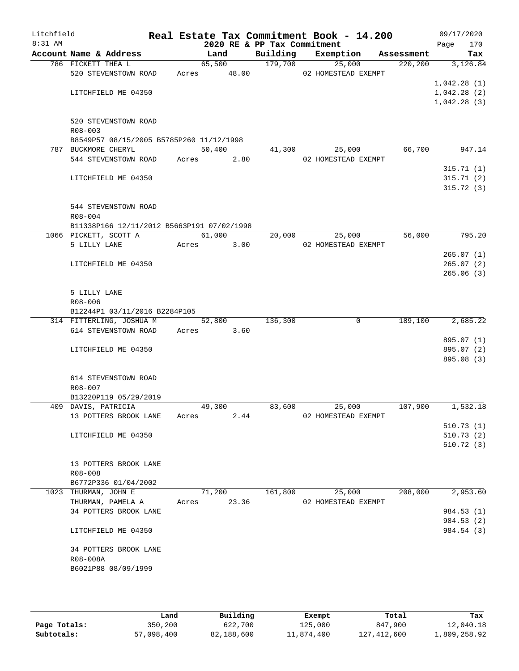| Litchfield |                                                                 |             |        |       |                             | Real Estate Tax Commitment Book - 14.200 |            |      | 09/17/2020  |
|------------|-----------------------------------------------------------------|-------------|--------|-------|-----------------------------|------------------------------------------|------------|------|-------------|
| 8:31 AM    |                                                                 |             |        |       | 2020 RE & PP Tax Commitment |                                          |            | Page | 170         |
|            | Account Name & Address                                          |             | Land   |       | Building                    | Exemption                                | Assessment |      | Tax         |
|            | 786 FICKETT THEA L<br>520 STEVENSTOWN ROAD                      | Acres 48.00 | 65,500 |       | 179,700                     | 25,000<br>02 HOMESTEAD EXEMPT            | 220, 200   |      | 3,126.84    |
|            |                                                                 |             |        |       |                             |                                          |            |      | 1,042.28(1) |
|            | LITCHFIELD ME 04350                                             |             |        |       |                             |                                          |            |      | 1,042.28(2) |
|            |                                                                 |             |        |       |                             |                                          |            |      | 1,042.28(3) |
|            |                                                                 |             |        |       |                             |                                          |            |      |             |
|            | 520 STEVENSTOWN ROAD                                            |             |        |       |                             |                                          |            |      |             |
|            | R08-003                                                         |             |        |       |                             |                                          |            |      |             |
|            | B8549P57 08/15/2005 B5785P260 11/12/1998<br>787 BUCKMORE CHERYL |             | 50,400 |       | 41,300                      | 25,000                                   | 66,700     |      | 947.14      |
|            | 544 STEVENSTOWN ROAD                                            | Acres       |        | 2.80  |                             | 02 HOMESTEAD EXEMPT                      |            |      |             |
|            |                                                                 |             |        |       |                             |                                          |            |      | 315.71(1)   |
|            | LITCHFIELD ME 04350                                             |             |        |       |                             |                                          |            |      | 315.71(2)   |
|            |                                                                 |             |        |       |                             |                                          |            |      | 315.72(3)   |
|            |                                                                 |             |        |       |                             |                                          |            |      |             |
|            | 544 STEVENSTOWN ROAD                                            |             |        |       |                             |                                          |            |      |             |
|            | $R08 - 004$<br>B11338P166 12/11/2012 B5663P191 07/02/1998       |             |        |       |                             |                                          |            |      |             |
|            | 1066 PICKETT, SCOTT A                                           |             | 61,000 |       | 20,000                      | 25,000                                   | 56,000     |      | 795.20      |
|            | 5 LILLY LANE                                                    | Acres       |        | 3.00  |                             | 02 HOMESTEAD EXEMPT                      |            |      |             |
|            |                                                                 |             |        |       |                             |                                          |            |      | 265.07(1)   |
|            | LITCHFIELD ME 04350                                             |             |        |       |                             |                                          |            |      | 265.07(2)   |
|            |                                                                 |             |        |       |                             |                                          |            |      | 265.06(3)   |
|            |                                                                 |             |        |       |                             |                                          |            |      |             |
|            | 5 LILLY LANE                                                    |             |        |       |                             |                                          |            |      |             |
|            | $R08 - 006$<br>B12244P1 03/11/2016 B2284P105                    |             |        |       |                             |                                          |            |      |             |
|            | 314 FITTERLING, JOSHUA M                                        |             | 52,800 |       | 136,300                     | 0                                        | 189,100    |      | 2,685.22    |
|            | 614 STEVENSTOWN ROAD                                            | Acres 3.60  |        |       |                             |                                          |            |      |             |
|            |                                                                 |             |        |       |                             |                                          |            |      | 895.07 (1)  |
|            | LITCHFIELD ME 04350                                             |             |        |       |                             |                                          |            |      | 895.07 (2)  |
|            |                                                                 |             |        |       |                             |                                          |            |      | 895.08 (3)  |
|            | 614 STEVENSTOWN ROAD                                            |             |        |       |                             |                                          |            |      |             |
|            | R08-007                                                         |             |        |       |                             |                                          |            |      |             |
|            | B13220P119 05/29/2019                                           |             |        |       |                             |                                          |            |      |             |
|            | 409 DAVIS, PATRICIA                                             |             | 49,300 |       | 83,600                      | 25,000                                   | 107,900    |      | 1,532.18    |
|            | 13 POTTERS BROOK LANE                                           | Acres       |        | 2.44  |                             | 02 HOMESTEAD EXEMPT                      |            |      |             |
|            |                                                                 |             |        |       |                             |                                          |            |      | 510.73(1)   |
|            | LITCHFIELD ME 04350                                             |             |        |       |                             |                                          |            |      | 510.73(2)   |
|            |                                                                 |             |        |       |                             |                                          |            |      | 510.72(3)   |
|            | 13 POTTERS BROOK LANE                                           |             |        |       |                             |                                          |            |      |             |
|            | R08-008                                                         |             |        |       |                             |                                          |            |      |             |
|            | B6772P336 01/04/2002                                            |             |        |       |                             |                                          |            |      |             |
|            | 1023 THURMAN, JOHN E                                            |             | 71,200 |       | 161,800                     | 25,000                                   | 208,000    |      | 2,953.60    |
|            | THURMAN, PAMELA A                                               | Acres       |        | 23.36 |                             | 02 HOMESTEAD EXEMPT                      |            |      |             |
|            | 34 POTTERS BROOK LANE                                           |             |        |       |                             |                                          |            |      | 984.53 (1)  |
|            |                                                                 |             |        |       |                             |                                          |            |      | 984.53 (2)  |
|            | LITCHFIELD ME 04350                                             |             |        |       |                             |                                          |            |      | 984.54 (3)  |
|            | 34 POTTERS BROOK LANE                                           |             |        |       |                             |                                          |            |      |             |
|            | R08-008A                                                        |             |        |       |                             |                                          |            |      |             |
|            | B6021P88 08/09/1999                                             |             |        |       |                             |                                          |            |      |             |
|            |                                                                 |             |        |       |                             |                                          |            |      |             |
|            |                                                                 |             |        |       |                             |                                          |            |      |             |

|              | Land       | Building   | Exempt     | Total       | Tax          |
|--------------|------------|------------|------------|-------------|--------------|
| Page Totals: | 350,200    | 622,700    | 125,000    | 847,900     | 12,040.18    |
| Subtotals:   | 57,098,400 | 82,188,600 | 11,874,400 | 127,412,600 | 1,809,258.92 |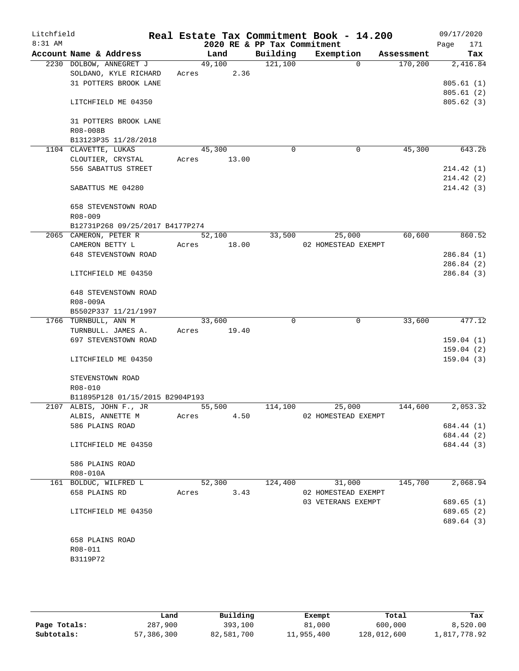| Litchfield<br>$8:31$ AM |                      |                                 |        |        | 2020 RE & PP Tax Commitment | Real Estate Tax Commitment Book - 14.200 |          |            | 09/17/2020<br>Page<br>171 |
|-------------------------|----------------------|---------------------------------|--------|--------|-----------------------------|------------------------------------------|----------|------------|---------------------------|
|                         |                      | Account Name & Address          |        | Land   | Building                    | Exemption                                |          | Assessment | Tax                       |
|                         |                      | 2230 DOLBOW, ANNEGRET J         | 49,100 |        | 121,100                     |                                          | $\Omega$ | 170,200    | 2,416.84                  |
|                         |                      | SOLDANO, KYLE RICHARD           | Acres  | 2.36   |                             |                                          |          |            |                           |
|                         |                      | 31 POTTERS BROOK LANE           |        |        |                             |                                          |          |            | 805.61(1)                 |
|                         |                      |                                 |        |        |                             |                                          |          |            | 805.61(2)                 |
|                         |                      | LITCHFIELD ME 04350             |        |        |                             |                                          |          |            | 805.62(3)                 |
|                         |                      | 31 POTTERS BROOK LANE           |        |        |                             |                                          |          |            |                           |
|                         | R08-008B             |                                 |        |        |                             |                                          |          |            |                           |
|                         |                      | B13123P35 11/28/2018            |        |        |                             |                                          |          |            |                           |
|                         | 1104 CLAVETTE, LUKAS |                                 | 45,300 |        | 0                           |                                          | 0        | 45,300     | 643.26                    |
|                         |                      | CLOUTIER, CRYSTAL               | Acres  | 13.00  |                             |                                          |          |            |                           |
|                         |                      | 556 SABATTUS STREET             |        |        |                             |                                          |          |            | 214.42(1)                 |
|                         |                      |                                 |        |        |                             |                                          |          |            | 214.42(2)                 |
|                         |                      | SABATTUS ME 04280               |        |        |                             |                                          |          |            | 214.42 (3)                |
|                         |                      | 658 STEVENSTOWN ROAD            |        |        |                             |                                          |          |            |                           |
|                         | $R08 - 009$          |                                 |        |        |                             |                                          |          |            |                           |
|                         |                      | B12731P268 09/25/2017 B4177P274 |        |        |                             |                                          |          |            |                           |
|                         |                      | 2065 CAMERON, PETER R           | 52,100 |        | 33,500                      | 25,000                                   |          | 60,600     | 860.52                    |
|                         |                      | CAMERON BETTY L                 | Acres  | 18.00  |                             | 02 HOMESTEAD EXEMPT                      |          |            |                           |
|                         |                      | 648 STEVENSTOWN ROAD            |        |        |                             |                                          |          |            | 286.84(1)                 |
|                         |                      |                                 |        |        |                             |                                          |          |            | 286.84 (2)                |
|                         |                      | LITCHFIELD ME 04350             |        |        |                             |                                          |          |            | 286.84(3)                 |
|                         |                      | 648 STEVENSTOWN ROAD            |        |        |                             |                                          |          |            |                           |
|                         | R08-009A             |                                 |        |        |                             |                                          |          |            |                           |
|                         |                      | B5502P337 11/21/1997            |        |        |                             |                                          |          |            |                           |
|                         | 1766 TURNBULL, ANN M |                                 | 33,600 |        | $\Omega$                    |                                          | 0        | 33,600     | 477.12                    |
|                         |                      | TURNBULL. JAMES A.              | Acres  | 19.40  |                             |                                          |          |            |                           |
|                         |                      | 697 STEVENSTOWN ROAD            |        |        |                             |                                          |          |            | 159.04(1)                 |
|                         |                      |                                 |        |        |                             |                                          |          |            | 159.04(2)                 |
|                         |                      | LITCHFIELD ME 04350             |        |        |                             |                                          |          |            | 159.04(3)                 |
|                         |                      | STEVENSTOWN ROAD                |        |        |                             |                                          |          |            |                           |
|                         | R08-010              |                                 |        |        |                             |                                          |          |            |                           |
|                         |                      | B11895P128 01/15/2015 B2904P193 |        |        |                             |                                          |          |            |                           |
|                         |                      | 2107 ALBIS, JOHN F., JR         | 55,500 |        | 114,100                     | 25,000                                   |          | 144,600    | 2,053.32                  |
|                         |                      | ALBIS, ANNETTE M                | Acres  | 4.50   |                             | 02 HOMESTEAD EXEMPT                      |          |            |                           |
|                         | 586 PLAINS ROAD      |                                 |        |        |                             |                                          |          |            | 684.44 (1)                |
|                         |                      |                                 |        |        |                             |                                          |          |            | 684.44 (2)                |
|                         |                      | LITCHFIELD ME 04350             |        |        |                             |                                          |          |            | 684.44 (3)                |
|                         | 586 PLAINS ROAD      |                                 |        |        |                             |                                          |          |            |                           |
|                         | R08-010A             |                                 |        |        |                             |                                          |          |            |                           |
|                         |                      | 161 BOLDUC, WILFRED L           |        | 52,300 | 124,400                     | 31,000                                   |          | 145,700    | 2,068.94                  |
|                         | 658 PLAINS RD        |                                 | Acres  | 3.43   |                             | 02 HOMESTEAD EXEMPT                      |          |            |                           |
|                         |                      |                                 |        |        |                             | 03 VETERANS EXEMPT                       |          |            | 689.65 (1)                |
|                         |                      | LITCHFIELD ME 04350             |        |        |                             |                                          |          |            | 689.65 (2)                |
|                         |                      |                                 |        |        |                             |                                          |          |            | 689.64 (3)                |
|                         | 658 PLAINS ROAD      |                                 |        |        |                             |                                          |          |            |                           |
|                         | R08-011              |                                 |        |        |                             |                                          |          |            |                           |
|                         | B3119P72             |                                 |        |        |                             |                                          |          |            |                           |
|                         |                      |                                 |        |        |                             |                                          |          |            |                           |

**Page Totals:** 287,900 393,100 81,000 600,000 8,520.00<br>**281,000 51,817,778.92 82,581,700** 82,581,700 11,955,400 128,012,600 1,817,778.92 **Subtotals:** 57,386,300 82,581,700 11,955,400 128,012,600 1,817,778.92 **Land Building Exempt Total Tax**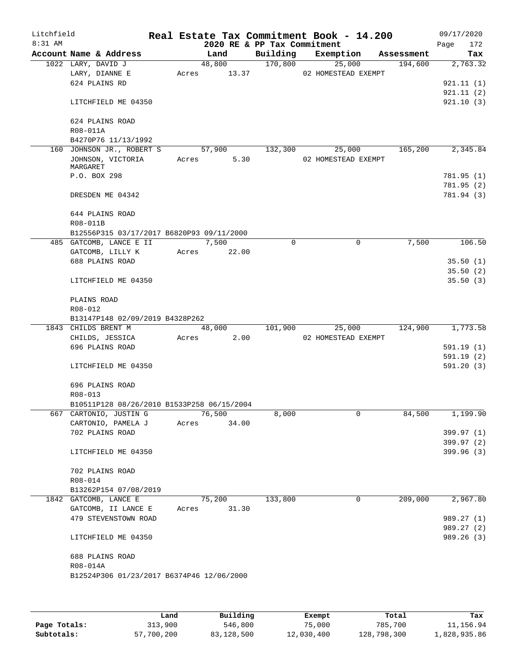| Litchfield<br>$8:31$ AM |                                            |       |        | Real Estate Tax Commitment Book - 14.200<br>2020 RE & PP Tax Commitment |                     |            | 09/17/2020<br>172<br>Page |
|-------------------------|--------------------------------------------|-------|--------|-------------------------------------------------------------------------|---------------------|------------|---------------------------|
|                         | Account Name & Address                     |       | Land   | Building                                                                | Exemption           | Assessment | Tax                       |
|                         | 1022 LARY, DAVID J                         |       | 48,800 | 170,800                                                                 | 25,000              | 194,600    | 2,763.32                  |
|                         | LARY, DIANNE E                             | Acres | 13.37  |                                                                         | 02 HOMESTEAD EXEMPT |            |                           |
|                         | 624 PLAINS RD                              |       |        |                                                                         |                     |            | 921.11(1)                 |
|                         |                                            |       |        |                                                                         |                     |            | 921.11(2)                 |
|                         | LITCHFIELD ME 04350                        |       |        |                                                                         |                     |            | 921.10(3)                 |
|                         | 624 PLAINS ROAD                            |       |        |                                                                         |                     |            |                           |
|                         | R08-011A                                   |       |        |                                                                         |                     |            |                           |
|                         | B4270P76 11/13/1992                        |       |        |                                                                         |                     |            |                           |
|                         | 160 JOHNSON JR., ROBERT S                  |       | 57,900 | 132,300                                                                 | 25,000              | 165,200    | 2,345.84                  |
|                         | JOHNSON, VICTORIA<br>MARGARET              | Acres | 5.30   |                                                                         | 02 HOMESTEAD EXEMPT |            |                           |
|                         | P.O. BOX 298                               |       |        |                                                                         |                     |            | 781.95 (1)                |
|                         |                                            |       |        |                                                                         |                     |            | 781.95 (2)                |
|                         | DRESDEN ME 04342                           |       |        |                                                                         |                     |            | 781.94 (3)                |
|                         | 644 PLAINS ROAD                            |       |        |                                                                         |                     |            |                           |
|                         | R08-011B                                   |       |        |                                                                         |                     |            |                           |
|                         | B12556P315 03/17/2017 B6820P93 09/11/2000  |       |        |                                                                         |                     |            |                           |
|                         | 485 GATCOMB, LANCE E II                    |       | 7,500  | $\Omega$                                                                | $\mathbf 0$         | 7,500      | 106.50                    |
|                         | GATCOMB, LILLY K                           | Acres | 22.00  |                                                                         |                     |            |                           |
|                         | 688 PLAINS ROAD                            |       |        |                                                                         |                     |            | 35.50(1)                  |
|                         |                                            |       |        |                                                                         |                     |            | 35.50(2)                  |
|                         | LITCHFIELD ME 04350                        |       |        |                                                                         |                     |            | 35.50(3)                  |
|                         | PLAINS ROAD                                |       |        |                                                                         |                     |            |                           |
|                         | R08-012                                    |       |        |                                                                         |                     |            |                           |
|                         | B13147P148 02/09/2019 B4328P262            |       |        |                                                                         |                     |            |                           |
|                         | 1843 CHILDS BRENT M                        |       | 48,000 | 101,900                                                                 | 25,000              | 124,900    | 1,773.58                  |
|                         | CHILDS, JESSICA                            | Acres | 2.00   |                                                                         | 02 HOMESTEAD EXEMPT |            |                           |
|                         | 696 PLAINS ROAD                            |       |        |                                                                         |                     |            | 591.19(1)                 |
|                         |                                            |       |        |                                                                         |                     |            | 591.19(2)                 |
|                         | LITCHFIELD ME 04350                        |       |        |                                                                         |                     |            | 591.20(3)                 |
|                         | 696 PLAINS ROAD                            |       |        |                                                                         |                     |            |                           |
|                         | R08-013                                    |       |        |                                                                         |                     |            |                           |
|                         | B10511P128 08/26/2010 B1533P258 06/15/2004 |       |        |                                                                         |                     |            |                           |
|                         | 667 CARTONIO, JUSTIN G                     |       | 76,500 | 8,000                                                                   | 0                   | 84,500     | 1,199.90                  |
|                         | CARTONIO, PAMELA J                         | Acres | 34.00  |                                                                         |                     |            |                           |
|                         | 702 PLAINS ROAD                            |       |        |                                                                         |                     |            | 399.97 (1)                |
|                         | LITCHFIELD ME 04350                        |       |        |                                                                         |                     |            | 399.97 (2)<br>399.96 (3)  |
|                         |                                            |       |        |                                                                         |                     |            |                           |
|                         | 702 PLAINS ROAD                            |       |        |                                                                         |                     |            |                           |
|                         | R08-014                                    |       |        |                                                                         |                     |            |                           |
|                         | B13262P154 07/08/2019                      |       |        |                                                                         |                     |            |                           |
|                         | 1842 GATCOMB, LANCE E                      |       | 75,200 | 133,800                                                                 | 0                   | 209,000    | 2,967.80                  |
|                         | GATCOMB, II LANCE E                        | Acres | 31.30  |                                                                         |                     |            |                           |
|                         | 479 STEVENSTOWN ROAD                       |       |        |                                                                         |                     |            | 989.27 (1)                |
|                         |                                            |       |        |                                                                         |                     |            | 989.27 (2)                |
|                         | LITCHFIELD ME 04350                        |       |        |                                                                         |                     |            | 989.26 (3)                |
|                         | 688 PLAINS ROAD                            |       |        |                                                                         |                     |            |                           |
|                         | R08-014A                                   |       |        |                                                                         |                     |            |                           |
|                         | B12524P306 01/23/2017 B6374P46 12/06/2000  |       |        |                                                                         |                     |            |                           |
|                         |                                            |       |        |                                                                         |                     |            |                           |
|                         |                                            |       |        |                                                                         |                     |            |                           |
|                         |                                            |       |        |                                                                         |                     |            |                           |

|              | Land       | Building   | Exempt     | Total       | Tax          |
|--------------|------------|------------|------------|-------------|--------------|
| Page Totals: | 313,900    | 546,800    | 75,000     | 785,700     | 11,156.94    |
| Subtotals:   | 57,700,200 | 83,128,500 | 12,030,400 | 128,798,300 | 1,828,935.86 |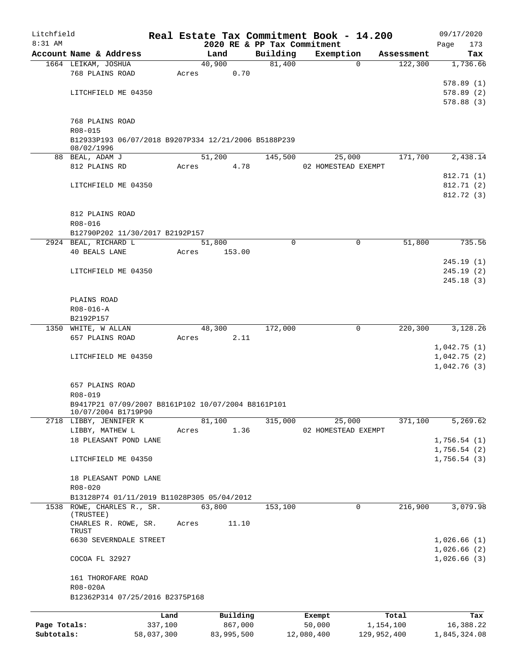| Litchfield   |                                                                          |         | Real Estate Tax Commitment Book - 14.200 |             |                               |            | 09/17/2020         |
|--------------|--------------------------------------------------------------------------|---------|------------------------------------------|-------------|-------------------------------|------------|--------------------|
| 8:31 AM      | Account Name & Address                                                   |         | 2020 RE & PP Tax Commitment<br>Land      | Building    | Exemption                     | Assessment | Page<br>173<br>Tax |
|              | 1664 LEIKAM, JOSHUA                                                      |         | 40,900                                   | 81,400      | $\mathbf 0$                   | 122,300    | 1,736.66           |
|              | 768 PLAINS ROAD                                                          |         | 0.70<br>Acres                            |             |                               |            |                    |
|              |                                                                          |         |                                          |             |                               |            | 578.89(1)          |
|              | LITCHFIELD ME 04350                                                      |         |                                          |             |                               |            | 578.89(2)          |
|              |                                                                          |         |                                          |             |                               |            | 578.88(3)          |
|              |                                                                          |         |                                          |             |                               |            |                    |
|              | 768 PLAINS ROAD                                                          |         |                                          |             |                               |            |                    |
|              | R08-015<br>B12933P193 06/07/2018 B9207P334 12/21/2006 B5188P239          |         |                                          |             |                               |            |                    |
|              | 08/02/1996                                                               |         |                                          |             |                               |            |                    |
|              | 88 BEAL, ADAM J                                                          |         | 51,200                                   | 145,500     | 25,000                        | 171,700    | 2,438.14           |
|              | 812 PLAINS RD                                                            |         | 4.78<br>Acres                            |             | 02 HOMESTEAD EXEMPT           |            |                    |
|              |                                                                          |         |                                          |             |                               |            | 812.71 (1)         |
|              | LITCHFIELD ME 04350                                                      |         |                                          |             |                               |            | 812.71 (2)         |
|              |                                                                          |         |                                          |             |                               |            | 812.72 (3)         |
|              | 812 PLAINS ROAD                                                          |         |                                          |             |                               |            |                    |
|              | R08-016                                                                  |         |                                          |             |                               |            |                    |
|              | B12790P202 11/30/2017 B2192P157                                          |         |                                          |             |                               |            |                    |
|              | 2924 BEAL, RICHARD L                                                     |         | 51,800                                   | $\mathbf 0$ | $\mathbf 0$                   | 51,800     | 735.56             |
|              | 40 BEALS LANE                                                            |         | Acres<br>153.00                          |             |                               |            |                    |
|              |                                                                          |         |                                          |             |                               |            | 245.19(1)          |
|              | LITCHFIELD ME 04350                                                      |         |                                          |             |                               |            | 245.19(2)          |
|              |                                                                          |         |                                          |             |                               |            | 245.18(3)          |
|              | PLAINS ROAD                                                              |         |                                          |             |                               |            |                    |
|              | $R08 - 016 - A$                                                          |         |                                          |             |                               |            |                    |
|              | B2192P157                                                                |         |                                          |             |                               |            |                    |
|              | 1350 WHITE, W ALLAN                                                      |         | 48,300                                   | 172,000     | 0                             | 220,300    | 3,128.26           |
|              | 657 PLAINS ROAD                                                          |         | 2.11<br>Acres                            |             |                               |            |                    |
|              |                                                                          |         |                                          |             |                               |            | 1,042.75(1)        |
|              | LITCHFIELD ME 04350                                                      |         |                                          |             |                               |            | 1,042.75(2)        |
|              |                                                                          |         |                                          |             |                               |            | 1,042.76(3)        |
|              | 657 PLAINS ROAD                                                          |         |                                          |             |                               |            |                    |
|              | R08-019                                                                  |         |                                          |             |                               |            |                    |
|              | B9417P21 07/09/2007 B8161P102 10/07/2004 B8161P101                       |         |                                          |             |                               |            |                    |
|              | 10/07/2004 BI719P90                                                      |         |                                          |             |                               |            |                    |
|              | 2718 LIBBY, JENNIFER K<br>LIBBY, MATHEW L                                |         | 81,100<br>1.36<br>Acres                  | 315,000     | 25,000<br>02 HOMESTEAD EXEMPT | 371,100    | 5,269.62           |
|              | 18 PLEASANT POND LANE                                                    |         |                                          |             |                               |            | 1,756.54(1)        |
|              |                                                                          |         |                                          |             |                               |            | 1,756.54(2)        |
|              | LITCHFIELD ME 04350                                                      |         |                                          |             |                               |            | 1,756.54(3)        |
|              |                                                                          |         |                                          |             |                               |            |                    |
|              | 18 PLEASANT POND LANE                                                    |         |                                          |             |                               |            |                    |
|              | $R08 - 020$                                                              |         |                                          |             |                               |            |                    |
|              | B13128P74 01/11/2019 B11028P305 05/04/2012<br>1538 ROWE, CHARLES R., SR. |         | 63,800                                   | 153,100     | 0                             | 216,900    | 3,079.98           |
|              | (TRUSTEE)                                                                |         |                                          |             |                               |            |                    |
|              | CHARLES R. ROWE, SR.                                                     |         | Acres<br>11.10                           |             |                               |            |                    |
|              | TRUST<br>6630 SEVERNDALE STREET                                          |         |                                          |             |                               |            | 1,026.66(1)        |
|              |                                                                          |         |                                          |             |                               |            | 1,026.66(2)        |
|              | COCOA FL 32927                                                           |         |                                          |             |                               |            | 1,026.66(3)        |
|              |                                                                          |         |                                          |             |                               |            |                    |
|              | 161 THOROFARE ROAD                                                       |         |                                          |             |                               |            |                    |
|              | R08-020A                                                                 |         |                                          |             |                               |            |                    |
|              | B12362P314 07/25/2016 B2375P168                                          |         |                                          |             |                               |            |                    |
|              |                                                                          | Land    | Building                                 |             | Exempt                        | Total      | Tax                |
| Page Totals: |                                                                          | 337,100 | 867,000                                  |             | 50,000                        | 1,154,100  | 16,388.22          |

**Subtotals:** 58,037,300 83,995,500 12,080,400 129,952,400 1,845,324.08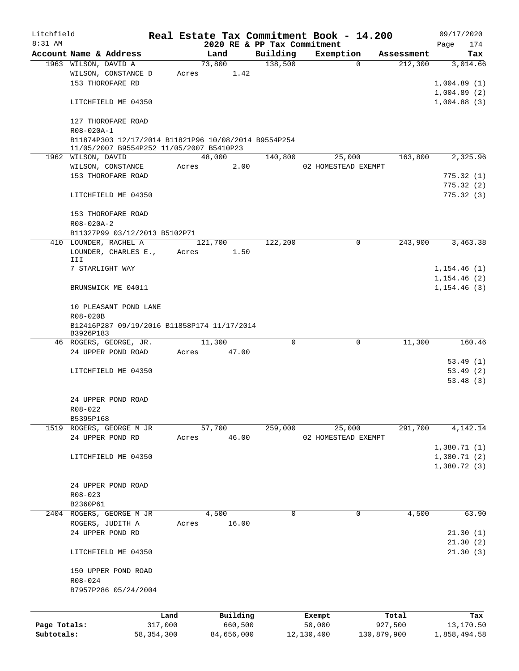| Litchfield   |                                                                |              |       |         |            | Real Estate Tax Commitment Book - 14.200 |            |                     |            | 09/17/2020   |
|--------------|----------------------------------------------------------------|--------------|-------|---------|------------|------------------------------------------|------------|---------------------|------------|--------------|
| 8:31 AM      |                                                                |              |       |         |            | 2020 RE & PP Tax Commitment              |            |                     |            | Page<br>174  |
|              | Account Name & Address                                         |              |       | Land    |            | Building<br>138,500                      | Exemption  | $\Omega$            | Assessment | Tax          |
|              | 1963 WILSON, DAVID A<br>WILSON, CONSTANCE D                    |              | Acres | 73,800  | 1.42       |                                          |            |                     | 212,300    | 3,014.66     |
|              | 153 THOROFARE RD                                               |              |       |         |            |                                          |            |                     |            | 1,004.89(1)  |
|              |                                                                |              |       |         |            |                                          |            |                     |            | 1,004.89(2)  |
|              | LITCHFIELD ME 04350                                            |              |       |         |            |                                          |            |                     |            | 1,004.88(3)  |
|              |                                                                |              |       |         |            |                                          |            |                     |            |              |
|              | 127 THOROFARE ROAD                                             |              |       |         |            |                                          |            |                     |            |              |
|              | R08-020A-1                                                     |              |       |         |            |                                          |            |                     |            |              |
|              | B11874P303 12/17/2014 B11821P96 10/08/2014 B9554P254           |              |       |         |            |                                          |            |                     |            |              |
|              | 11/05/2007 B9554P252 11/05/2007 B5410P23<br>1962 WILSON, DAVID |              |       | 48,000  |            | 140,800                                  |            | 25,000              | 163,800    | 2,325.96     |
|              | WILSON, CONSTANCE                                              |              | Acres |         | 2.00       |                                          |            | 02 HOMESTEAD EXEMPT |            |              |
|              | 153 THOROFARE ROAD                                             |              |       |         |            |                                          |            |                     |            | 775.32(1)    |
|              |                                                                |              |       |         |            |                                          |            |                     |            | 775.32(2)    |
|              | LITCHFIELD ME 04350                                            |              |       |         |            |                                          |            |                     |            | 775.32(3)    |
|              |                                                                |              |       |         |            |                                          |            |                     |            |              |
|              | 153 THOROFARE ROAD                                             |              |       |         |            |                                          |            |                     |            |              |
|              | R08-020A-2                                                     |              |       |         |            |                                          |            |                     |            |              |
|              | B11327P99 03/12/2013 B5102P71                                  |              |       |         |            |                                          |            |                     |            |              |
|              | 410 LOUNDER, RACHEL A                                          |              |       | 121,700 |            | 122,200                                  |            | 0                   | 243,900    | 3,463.38     |
|              | LOUNDER, CHARLES E.,                                           |              | Acres |         | 1.50       |                                          |            |                     |            |              |
|              | III                                                            |              |       |         |            |                                          |            |                     |            |              |
|              | 7 STARLIGHT WAY                                                |              |       |         |            |                                          |            |                     |            | 1, 154.46(1) |
|              |                                                                |              |       |         |            |                                          |            |                     |            | 1, 154.46(2) |
|              | BRUNSWICK ME 04011                                             |              |       |         |            |                                          |            |                     |            | 1, 154.46(3) |
|              | 10 PLEASANT POND LANE                                          |              |       |         |            |                                          |            |                     |            |              |
|              | R08-020B                                                       |              |       |         |            |                                          |            |                     |            |              |
|              | B12416P287 09/19/2016 B11858P174 11/17/2014                    |              |       |         |            |                                          |            |                     |            |              |
|              | B3926P183                                                      |              |       |         |            |                                          |            |                     |            |              |
|              | 46 ROGERS, GEORGE, JR.                                         |              |       | 11,300  |            | $\Omega$                                 |            | 0                   | 11,300     | 160.46       |
|              | 24 UPPER POND ROAD                                             |              | Acres |         | 47.00      |                                          |            |                     |            |              |
|              |                                                                |              |       |         |            |                                          |            |                     |            | 53.49(1)     |
|              | LITCHFIELD ME 04350                                            |              |       |         |            |                                          |            |                     |            | 53.49(2)     |
|              |                                                                |              |       |         |            |                                          |            |                     |            | 53.48(3)     |
|              |                                                                |              |       |         |            |                                          |            |                     |            |              |
|              | 24 UPPER POND ROAD                                             |              |       |         |            |                                          |            |                     |            |              |
|              | R08-022                                                        |              |       |         |            |                                          |            |                     |            |              |
|              | B5395P168                                                      |              |       |         |            |                                          |            |                     |            |              |
|              | 1519 ROGERS, GEORGE M JR                                       |              |       | 57,700  |            | 259,000                                  |            | 25,000              | 291,700    | 4,142.14     |
|              | 24 UPPER POND RD                                               |              | Acres |         | 46.00      |                                          |            | 02 HOMESTEAD EXEMPT |            |              |
|              |                                                                |              |       |         |            |                                          |            |                     |            | 1,380.71(1)  |
|              | LITCHFIELD ME 04350                                            |              |       |         |            |                                          |            |                     |            | 1,380.71(2)  |
|              |                                                                |              |       |         |            |                                          |            |                     |            | 1,380.72(3)  |
|              | 24 UPPER POND ROAD                                             |              |       |         |            |                                          |            |                     |            |              |
|              | R08-023                                                        |              |       |         |            |                                          |            |                     |            |              |
|              | B2360P61                                                       |              |       |         |            |                                          |            |                     |            |              |
|              | 2404 ROGERS, GEORGE M JR                                       |              |       | 4,500   |            | 0                                        |            | 0                   | 4,500      | 63.90        |
|              | ROGERS, JUDITH A                                               |              | Acres |         | 16.00      |                                          |            |                     |            |              |
|              | 24 UPPER POND RD                                               |              |       |         |            |                                          |            |                     |            | 21.30(1)     |
|              |                                                                |              |       |         |            |                                          |            |                     |            | 21.30(2)     |
|              | LITCHFIELD ME 04350                                            |              |       |         |            |                                          |            |                     |            | 21.30(3)     |
|              |                                                                |              |       |         |            |                                          |            |                     |            |              |
|              | 150 UPPER POND ROAD                                            |              |       |         |            |                                          |            |                     |            |              |
|              | R08-024                                                        |              |       |         |            |                                          |            |                     |            |              |
|              | B7957P286 05/24/2004                                           |              |       |         |            |                                          |            |                     |            |              |
|              |                                                                |              |       |         |            |                                          |            |                     |            |              |
|              |                                                                | Land         |       |         | Building   |                                          | Exempt     |                     | Total      | Tax          |
| Page Totals: |                                                                | 317,000      |       |         | 660,500    |                                          | 50,000     |                     | 927,500    | 13,170.50    |
| Subtotals:   |                                                                | 58, 354, 300 |       |         | 84,656,000 |                                          | 12,130,400 | 130,879,900         |            | 1,858,494.58 |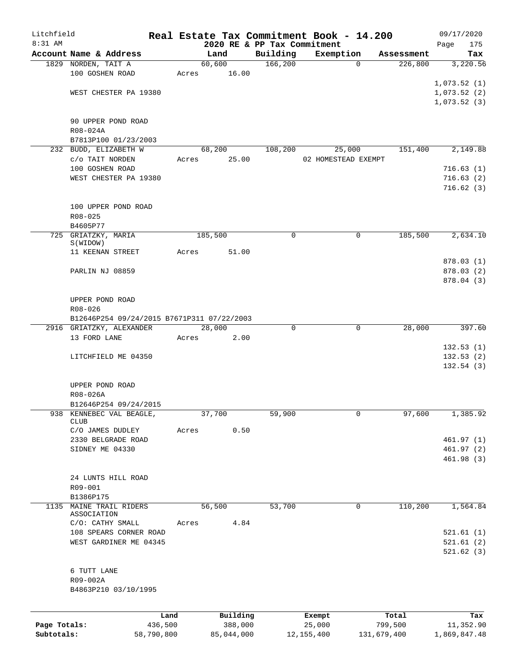| Litchfield   |                                            |            |       |                 |                             | Real Estate Tax Commitment Book - 14.200 |             |             | 09/17/2020   |
|--------------|--------------------------------------------|------------|-------|-----------------|-----------------------------|------------------------------------------|-------------|-------------|--------------|
| $8:31$ AM    |                                            |            |       |                 | 2020 RE & PP Tax Commitment |                                          |             |             | 175<br>Page  |
|              | Account Name & Address                     |            |       | Land            | Building                    | Exemption                                |             | Assessment  | Tax          |
|              | 1829 NORDEN, TAIT A<br>100 GOSHEN ROAD     |            |       | 60,600<br>16.00 | 166,200                     |                                          | $\Omega$    | 226,800     | 3,220.56     |
|              |                                            |            | Acres |                 |                             |                                          |             |             |              |
|              | WEST CHESTER PA 19380                      |            |       |                 |                             |                                          |             |             | 1,073.52(1)  |
|              |                                            |            |       |                 |                             |                                          |             |             | 1,073.52(2)  |
|              |                                            |            |       |                 |                             |                                          |             |             | 1,073.52(3)  |
|              | 90 UPPER POND ROAD                         |            |       |                 |                             |                                          |             |             |              |
|              | R08-024A                                   |            |       |                 |                             |                                          |             |             |              |
|              | B7813P100 01/23/2003                       |            |       |                 |                             |                                          |             |             |              |
|              | 232 BUDD, ELIZABETH W                      |            |       | 68,200          | 108,200                     | 25,000                                   |             | 151,400     | 2,149.88     |
|              | c/o TAIT NORDEN                            |            | Acres | 25.00           |                             | 02 HOMESTEAD EXEMPT                      |             |             |              |
|              | 100 GOSHEN ROAD                            |            |       |                 |                             |                                          |             |             | 716.63(1)    |
|              | WEST CHESTER PA 19380                      |            |       |                 |                             |                                          |             |             | 716.63(2)    |
|              |                                            |            |       |                 |                             |                                          |             |             | 716.62(3)    |
|              |                                            |            |       |                 |                             |                                          |             |             |              |
|              | 100 UPPER POND ROAD                        |            |       |                 |                             |                                          |             |             |              |
|              | $R08 - 025$                                |            |       |                 |                             |                                          |             |             |              |
|              | B4605P77                                   |            |       |                 |                             |                                          |             |             |              |
|              | 725 GRIATZKY, MARIA                        |            |       | 185,500         | 0                           |                                          | 0           | 185,500     | 2,634.10     |
|              | S(WIDOW)                                   |            |       |                 |                             |                                          |             |             |              |
|              | 11 KEENAN STREET                           |            | Acres | 51.00           |                             |                                          |             |             |              |
|              |                                            |            |       |                 |                             |                                          |             |             | 878.03 (1)   |
|              | PARLIN NJ 08859                            |            |       |                 |                             |                                          |             |             | 878.03(2)    |
|              |                                            |            |       |                 |                             |                                          |             |             | 878.04 (3)   |
|              |                                            |            |       |                 |                             |                                          |             |             |              |
|              | UPPER POND ROAD                            |            |       |                 |                             |                                          |             |             |              |
|              | R08-026                                    |            |       |                 |                             |                                          |             |             |              |
|              | B12646P254 09/24/2015 B7671P311 07/22/2003 |            |       |                 |                             |                                          |             |             |              |
|              | 2916 GRIATZKY, ALEXANDER                   |            |       | 28,000          | 0                           |                                          | $\mathbf 0$ | 28,000      | 397.60       |
|              | 13 FORD LANE                               |            | Acres | 2.00            |                             |                                          |             |             |              |
|              |                                            |            |       |                 |                             |                                          |             |             | 132.53(1)    |
|              | LITCHFIELD ME 04350                        |            |       |                 |                             |                                          |             |             | 132.53(2)    |
|              |                                            |            |       |                 |                             |                                          |             |             | 132.54(3)    |
|              |                                            |            |       |                 |                             |                                          |             |             |              |
|              | UPPER POND ROAD                            |            |       |                 |                             |                                          |             |             |              |
|              | R08-026A                                   |            |       |                 |                             |                                          |             |             |              |
|              | B12646P254 09/24/2015                      |            |       |                 |                             |                                          |             |             |              |
| 938          | KENNEBEC VAL BEAGLE,<br><b>CLUB</b>        |            |       | 37,700          | 59,900                      |                                          | 0           | 97,600      | 1,385.92     |
|              | C/O JAMES DUDLEY                           |            | Acres | 0.50            |                             |                                          |             |             |              |
|              | 2330 BELGRADE ROAD                         |            |       |                 |                             |                                          |             |             | 461.97(1)    |
|              | SIDNEY ME 04330                            |            |       |                 |                             |                                          |             |             | 461.97(2)    |
|              |                                            |            |       |                 |                             |                                          |             |             | 461.98 (3)   |
|              |                                            |            |       |                 |                             |                                          |             |             |              |
|              | 24 LUNTS HILL ROAD                         |            |       |                 |                             |                                          |             |             |              |
|              | R09-001                                    |            |       |                 |                             |                                          |             |             |              |
|              | B1386P175                                  |            |       |                 |                             |                                          |             |             |              |
| 1135         | MAINE TRAIL RIDERS                         |            |       | 56,500          | 53,700                      |                                          | 0           | 110,200     | 1,564.84     |
|              | ASSOCIATION                                |            |       |                 |                             |                                          |             |             |              |
|              | C/O: CATHY SMALL                           |            | Acres | 4.84            |                             |                                          |             |             |              |
|              | 108 SPEARS CORNER ROAD                     |            |       |                 |                             |                                          |             |             | 521.61(1)    |
|              | WEST GARDINER ME 04345                     |            |       |                 |                             |                                          |             |             | 521.61(2)    |
|              |                                            |            |       |                 |                             |                                          |             |             | 521.62(3)    |
|              |                                            |            |       |                 |                             |                                          |             |             |              |
|              | 6 TUTT LANE                                |            |       |                 |                             |                                          |             |             |              |
|              | R09-002A                                   |            |       |                 |                             |                                          |             |             |              |
|              | B4863P210 03/10/1995                       |            |       |                 |                             |                                          |             |             |              |
|              |                                            |            |       |                 |                             |                                          |             |             |              |
|              |                                            | Land       |       | Building        |                             | Exempt                                   |             | Total       | Tax          |
| Page Totals: |                                            | 436,500    |       | 388,000         |                             | 25,000                                   |             | 799,500     | 11,352.90    |
| Subtotals:   |                                            | 58,790,800 |       | 85,044,000      |                             | 12, 155, 400                             |             | 131,679,400 | 1,869,847.48 |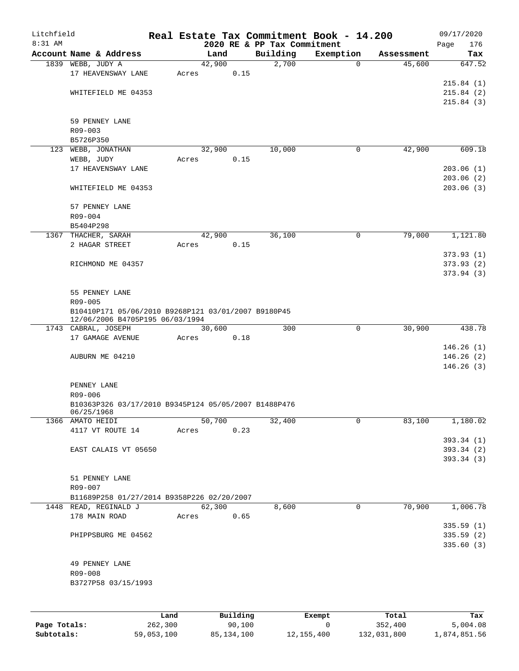| Litchfield<br>8:31 AM |                                                                                        |       |                | 2020 RE & PP Tax Commitment | Real Estate Tax Commitment Book - 14.200 |            | 09/17/2020<br>Page<br>176           |
|-----------------------|----------------------------------------------------------------------------------------|-------|----------------|-----------------------------|------------------------------------------|------------|-------------------------------------|
|                       | Account Name & Address                                                                 |       | Land           | Building                    | Exemption                                | Assessment | Tax                                 |
|                       | 1839 WEBB, JUDY A<br>17 HEAVENSWAY LANE                                                | Acres | 42,900<br>0.15 | 2,700                       | $\mathbf 0$                              | 45,600     | 647.52                              |
|                       | WHITEFIELD ME 04353                                                                    |       |                |                             |                                          |            | 215.84(1)<br>215.84(2)<br>215.84(3) |
|                       | 59 PENNEY LANE<br>$R09 - 003$                                                          |       |                |                             |                                          |            |                                     |
|                       | B5726P350                                                                              |       |                |                             |                                          |            |                                     |
|                       | 123 WEBB, JONATHAN<br>WEBB, JUDY                                                       | Acres | 32,900<br>0.15 | 10,000                      | 0                                        | 42,900     | 609.18                              |
|                       | 17 HEAVENSWAY LANE                                                                     |       |                |                             |                                          |            | 203.06(1)                           |
|                       |                                                                                        |       |                |                             |                                          |            | 203.06(2)                           |
|                       | WHITEFIELD ME 04353                                                                    |       |                |                             |                                          |            | 203.06(3)                           |
|                       | 57 PENNEY LANE                                                                         |       |                |                             |                                          |            |                                     |
|                       | R09-004                                                                                |       |                |                             |                                          |            |                                     |
|                       | B5404P298                                                                              |       |                |                             |                                          |            |                                     |
|                       | 1367 THACHER, SARAH                                                                    |       | 42,900         | 36,100                      | 0                                        | 79,000     | 1,121.80                            |
|                       | 2 HAGAR STREET                                                                         | Acres | 0.15           |                             |                                          |            |                                     |
|                       |                                                                                        |       |                |                             |                                          |            | 373.93(1)                           |
|                       | RICHMOND ME 04357                                                                      |       |                |                             |                                          |            | 373.93(2)                           |
|                       |                                                                                        |       |                |                             |                                          |            | 373.94(3)                           |
|                       | 55 PENNEY LANE<br>R09-005                                                              |       |                |                             |                                          |            |                                     |
|                       | B10410P171 05/06/2010 B9268P121 03/01/2007 B9180P45<br>12/06/2006 B4705P195 06/03/1994 |       |                |                             |                                          |            |                                     |
|                       | 1743 CABRAL, JOSEPH                                                                    |       | 30,600         | 300                         | $\mathbf 0$                              | 30,900     | 438.78                              |
|                       | 17 GAMAGE AVENUE                                                                       | Acres | 0.18           |                             |                                          |            |                                     |
|                       |                                                                                        |       |                |                             |                                          |            | 146.26(1)                           |
|                       | AUBURN ME 04210                                                                        |       |                |                             |                                          |            | 146.26(2)                           |
|                       |                                                                                        |       |                |                             |                                          |            | 146.26(3)                           |
|                       | PENNEY LANE                                                                            |       |                |                             |                                          |            |                                     |
|                       | R09-006                                                                                |       |                |                             |                                          |            |                                     |
|                       | B10363P326 03/17/2010 B9345P124 05/05/2007 B1488P476<br>06/25/1968                     |       |                |                             |                                          |            |                                     |
|                       | 1366 AMATO HEIDI                                                                       |       | 50,700         | 32,400                      | 0                                        | 83,100     | 1,180.02                            |
|                       | 4117 VT ROUTE 14                                                                       |       | 0.23<br>Acres  |                             |                                          |            |                                     |
|                       |                                                                                        |       |                |                             |                                          |            | 393.34(1)                           |
|                       | EAST CALAIS VT 05650                                                                   |       |                |                             |                                          |            | 393.34(2)                           |
|                       |                                                                                        |       |                |                             |                                          |            | 393.34 (3)                          |
|                       | 51 PENNEY LANE                                                                         |       |                |                             |                                          |            |                                     |
|                       | R09-007                                                                                |       |                |                             |                                          |            |                                     |
|                       | B11689P258 01/27/2014 B9358P226 02/20/2007                                             |       |                |                             |                                          |            |                                     |
|                       | 1448 READ, REGINALD J                                                                  |       | 62,300         | 8,600                       | 0                                        | 70,900     | 1,006.78                            |
|                       | 178 MAIN ROAD                                                                          |       | Acres<br>0.65  |                             |                                          |            |                                     |
|                       |                                                                                        |       |                |                             |                                          |            | 335.59(1)                           |
|                       | PHIPPSBURG ME 04562                                                                    |       |                |                             |                                          |            | 335.59(2)                           |
|                       |                                                                                        |       |                |                             |                                          |            | 335.60(3)                           |
|                       |                                                                                        |       |                |                             |                                          |            |                                     |
|                       | 49 PENNEY LANE<br>R09-008                                                              |       |                |                             |                                          |            |                                     |
|                       | B3727P58 03/15/1993                                                                    |       |                |                             |                                          |            |                                     |
|                       |                                                                                        |       |                |                             |                                          |            |                                     |
|                       |                                                                                        |       |                |                             |                                          |            |                                     |
|                       |                                                                                        |       |                |                             |                                          |            |                                     |

|              | Land       | Building   | Exempt     | Total       | Tax          |
|--------------|------------|------------|------------|-------------|--------------|
| Page Totals: | 262,300    | 90,100     |            | 352,400     | 5,004.08     |
| Subtotals:   | 59,053,100 | 85,134,100 | 12,155,400 | 132,031,800 | 1,874,851.56 |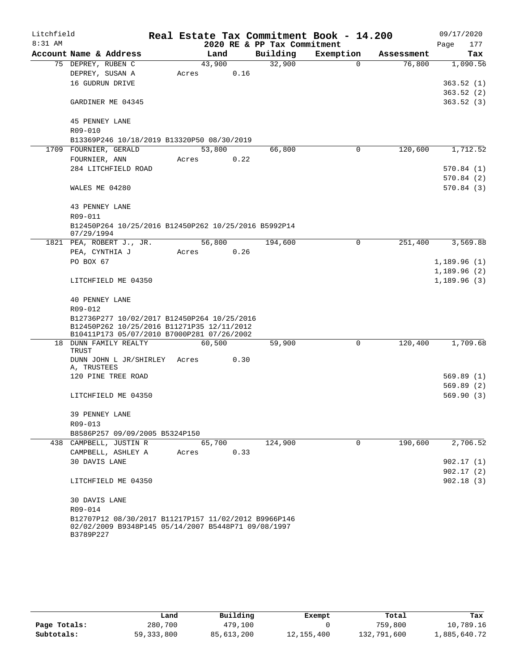| Litchfield |                                                                                                                          |        |      |                             | Real Estate Tax Commitment Book - 14.200 |            | 09/17/2020  |
|------------|--------------------------------------------------------------------------------------------------------------------------|--------|------|-----------------------------|------------------------------------------|------------|-------------|
| $8:31$ AM  |                                                                                                                          |        |      | 2020 RE & PP Tax Commitment |                                          |            | Page<br>177 |
|            | Account Name & Address                                                                                                   | Land   |      | Building                    | Exemption                                | Assessment | Tax         |
|            | 75 DEPREY, RUBEN C                                                                                                       | 43,900 |      | 32,900                      | $\mathbf 0$                              | 76,800     | 1,090.56    |
|            | DEPREY, SUSAN A                                                                                                          | Acres  | 0.16 |                             |                                          |            |             |
|            | 16 GUDRUN DRIVE                                                                                                          |        |      |                             |                                          |            | 363.52(1)   |
|            |                                                                                                                          |        |      |                             |                                          |            | 363.52(2)   |
|            | GARDINER ME 04345                                                                                                        |        |      |                             |                                          |            | 363.52(3)   |
|            | <b>45 PENNEY LANE</b>                                                                                                    |        |      |                             |                                          |            |             |
|            | R09-010                                                                                                                  |        |      |                             |                                          |            |             |
|            | B13369P246 10/18/2019 B13320P50 08/30/2019                                                                               |        |      |                             |                                          |            |             |
|            | 1709 FOURNIER, GERALD                                                                                                    | 53,800 |      | 66,800                      | 0                                        | 120,600    | 1,712.52    |
|            | FOURNIER, ANN                                                                                                            | Acres  | 0.22 |                             |                                          |            |             |
|            | 284 LITCHFIELD ROAD                                                                                                      |        |      |                             |                                          |            | 570.84 (1)  |
|            |                                                                                                                          |        |      |                             |                                          |            | 570.84(2)   |
|            | WALES ME 04280                                                                                                           |        |      |                             |                                          |            | 570.84(3)   |
|            | 43 PENNEY LANE                                                                                                           |        |      |                             |                                          |            |             |
|            | R09-011                                                                                                                  |        |      |                             |                                          |            |             |
|            | B12450P264 10/25/2016 B12450P262 10/25/2016 B5992P14                                                                     |        |      |                             |                                          |            |             |
|            | 07/29/1994<br>1821 PEA, ROBERT J., JR.                                                                                   | 56,800 |      | 194,600                     | $\mathbf 0$                              | 251,400    | 3,569.88    |
|            | PEA, CYNTHIA J                                                                                                           | Acres  | 0.26 |                             |                                          |            |             |
|            | PO BOX 67                                                                                                                |        |      |                             |                                          |            | 1,189.96(1) |
|            |                                                                                                                          |        |      |                             |                                          |            | 1,189.96(2) |
|            | LITCHFIELD ME 04350                                                                                                      |        |      |                             |                                          |            | 1,189.96(3) |
|            | <b>40 PENNEY LANE</b>                                                                                                    |        |      |                             |                                          |            |             |
|            | R09-012                                                                                                                  |        |      |                             |                                          |            |             |
|            | B12736P277 10/02/2017 B12450P264 10/25/2016                                                                              |        |      |                             |                                          |            |             |
|            | B12450P262 10/25/2016 B11271P35 12/11/2012                                                                               |        |      |                             |                                          |            |             |
|            | B10411P173 05/07/2010 B7000P281 07/26/2002                                                                               |        |      |                             |                                          |            |             |
|            | 18 DUNN FAMILY REALTY                                                                                                    | 60,500 |      | 59,900                      | 0                                        | 120,400    | 1,709.68    |
|            | <b>TRUST</b><br>DUNN JOHN L JR/SHIRLEY                                                                                   | Acres  | 0.30 |                             |                                          |            |             |
|            | A, TRUSTEES                                                                                                              |        |      |                             |                                          |            |             |
|            | 120 PINE TREE ROAD                                                                                                       |        |      |                             |                                          |            | 569.89(1)   |
|            |                                                                                                                          |        |      |                             |                                          |            | 569.89(2)   |
|            | LITCHFIELD ME 04350                                                                                                      |        |      |                             |                                          |            | 569.90(3)   |
|            | 39 PENNEY LANE                                                                                                           |        |      |                             |                                          |            |             |
|            | R09-013                                                                                                                  |        |      |                             |                                          |            |             |
|            | B8586P257 09/09/2005 B5324P150                                                                                           |        |      |                             |                                          |            |             |
|            | 438 CAMPBELL, JUSTIN R                                                                                                   | 65,700 |      | 124,900                     | 0                                        | 190,600    | 2,706.52    |
|            | CAMPBELL, ASHLEY A                                                                                                       | Acres  | 0.33 |                             |                                          |            |             |
|            | 30 DAVIS LANE                                                                                                            |        |      |                             |                                          |            | 902.17(1)   |
|            |                                                                                                                          |        |      |                             |                                          |            | 902.17(2)   |
|            | LITCHFIELD ME 04350                                                                                                      |        |      |                             |                                          |            | 902.18(3)   |
|            | 30 DAVIS LANE                                                                                                            |        |      |                             |                                          |            |             |
|            | R09-014                                                                                                                  |        |      |                             |                                          |            |             |
|            | B12707P12 08/30/2017 B11217P157 11/02/2012 B9966P146<br>02/02/2009 B9348P145 05/14/2007 B5448P71 09/08/1997<br>B3789P227 |        |      |                             |                                          |            |             |

|              | Land         | Building     | Exempt       | Total       | Tax          |
|--------------|--------------|--------------|--------------|-------------|--------------|
| Page Totals: | 280,700      | 479,100      |              | 759,800     | 10,789.16    |
| Subtotals:   | 59, 333, 800 | 85, 613, 200 | 12, 155, 400 | 132,791,600 | 1,885,640.72 |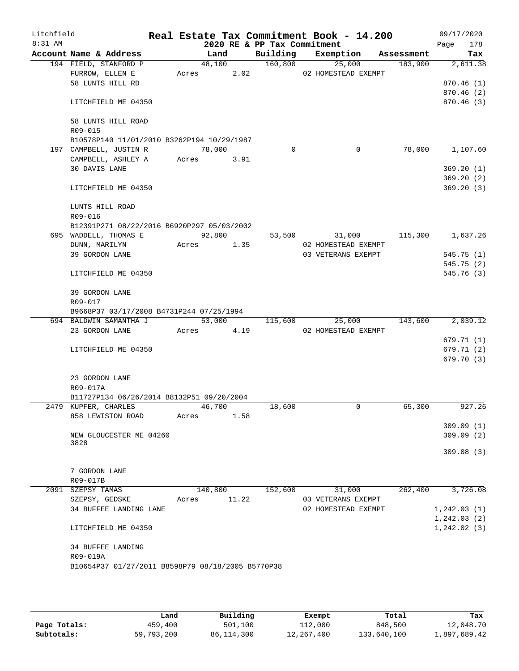| Litchfield<br>$8:31$ AM |                                                   |       |         |       | 2020 RE & PP Tax Commitment | Real Estate Tax Commitment Book - 14.200 |            | 09/17/2020<br>178<br>Page |
|-------------------------|---------------------------------------------------|-------|---------|-------|-----------------------------|------------------------------------------|------------|---------------------------|
|                         | Account Name & Address                            |       | Land    |       | Building                    | Exemption                                | Assessment | Tax                       |
|                         | 194 FIELD, STANFORD P                             |       | 48,100  |       | 160,800                     | 25,000                                   |            | 183,900<br>2,611.38       |
|                         | FURROW, ELLEN E                                   |       | Acres   | 2.02  |                             | 02 HOMESTEAD EXEMPT                      |            |                           |
|                         | 58 LUNTS HILL RD                                  |       |         |       |                             |                                          |            | 870.46 (1)                |
|                         |                                                   |       |         |       |                             |                                          |            | 870.46 (2)                |
|                         | LITCHFIELD ME 04350                               |       |         |       |                             |                                          |            | 870.46 (3)                |
|                         | 58 LUNTS HILL ROAD                                |       |         |       |                             |                                          |            |                           |
|                         | R09-015                                           |       |         |       |                             |                                          |            |                           |
|                         | B10578P140 11/01/2010 B3262P194 10/29/1987        |       |         |       |                             |                                          |            |                           |
|                         | 197 CAMPBELL, JUSTIN R                            |       | 78,000  |       | $\Omega$                    | $\mathbf 0$                              |            | 78,000<br>1,107.60        |
|                         | CAMPBELL, ASHLEY A                                | Acres |         | 3.91  |                             |                                          |            |                           |
|                         | 30 DAVIS LANE                                     |       |         |       |                             |                                          |            | 369.20(1)                 |
|                         |                                                   |       |         |       |                             |                                          |            | 369.20(2)                 |
|                         | LITCHFIELD ME 04350                               |       |         |       |                             |                                          |            | 369.20(3)                 |
|                         |                                                   |       |         |       |                             |                                          |            |                           |
|                         | LUNTS HILL ROAD                                   |       |         |       |                             |                                          |            |                           |
|                         | R09-016                                           |       |         |       |                             |                                          |            |                           |
|                         | B12391P271 08/22/2016 B6920P297 05/03/2002        |       |         |       |                             |                                          |            |                           |
|                         | 695 WADDELL, THOMAS E                             |       | 92,800  |       | 53,500                      | 31,000                                   |            | 115,300<br>1,637.26       |
|                         | DUNN, MARILYN                                     | Acres |         | 1.35  |                             | 02 HOMESTEAD EXEMPT                      |            |                           |
|                         | 39 GORDON LANE                                    |       |         |       |                             | 03 VETERANS EXEMPT                       |            | 545.75(1)                 |
|                         |                                                   |       |         |       |                             |                                          |            | 545.75 (2)                |
|                         | LITCHFIELD ME 04350                               |       |         |       |                             |                                          |            | 545.76 (3)                |
|                         | 39 GORDON LANE                                    |       |         |       |                             |                                          |            |                           |
|                         | R09-017                                           |       |         |       |                             |                                          |            |                           |
|                         | B9668P37 03/17/2008 B4731P244 07/25/1994          |       |         |       |                             |                                          |            |                           |
|                         | 694 BALDWIN SAMANTHA J                            |       | 53,000  |       | 115,600                     | 25,000                                   | 143,600    | 2,039.12                  |
|                         | 23 GORDON LANE                                    | Acres |         | 4.19  |                             | 02 HOMESTEAD EXEMPT                      |            |                           |
|                         |                                                   |       |         |       |                             |                                          |            | 679.71 (1)                |
|                         | LITCHFIELD ME 04350                               |       |         |       |                             |                                          |            | 679.71 (2)                |
|                         |                                                   |       |         |       |                             |                                          |            | 679.70 (3)                |
|                         |                                                   |       |         |       |                             |                                          |            |                           |
|                         | 23 GORDON LANE                                    |       |         |       |                             |                                          |            |                           |
|                         | R09-017A                                          |       |         |       |                             |                                          |            |                           |
|                         | B11727P134 06/26/2014 B8132P51 09/20/2004         |       |         |       |                             |                                          |            |                           |
|                         | 2479 KUPFER, CHARLES                              |       | 46,700  |       | 18,600                      | 0                                        |            | 927.26<br>65,300          |
|                         | 858 LEWISTON ROAD                                 | Acres |         | 1.58  |                             |                                          |            |                           |
|                         | NEW GLOUCESTER ME 04260                           |       |         |       |                             |                                          |            | 309.09(1)<br>309.09(2)    |
|                         | 3828                                              |       |         |       |                             |                                          |            |                           |
|                         |                                                   |       |         |       |                             |                                          |            | 309.08(3)                 |
|                         |                                                   |       |         |       |                             |                                          |            |                           |
|                         | 7 GORDON LANE                                     |       |         |       |                             |                                          |            |                           |
|                         | R09-017B                                          |       |         |       |                             |                                          |            |                           |
|                         | 2091 SZEPSY TAMAS                                 |       | 140,800 |       | 152,600                     | 31,000                                   |            | 3,726.08<br>262,400       |
|                         | SZEPSY, GEDSKE                                    | Acres |         | 11.22 |                             | 03 VETERANS EXEMPT                       |            |                           |
|                         | 34 BUFFEE LANDING LANE                            |       |         |       |                             | 02 HOMESTEAD EXEMPT                      |            | 1,242.03(1)               |
|                         |                                                   |       |         |       |                             |                                          |            | 1,242.03(2)               |
|                         | LITCHFIELD ME 04350                               |       |         |       |                             |                                          |            | 1, 242.02(3)              |
|                         | <b>34 BUFFEE LANDING</b>                          |       |         |       |                             |                                          |            |                           |
|                         | R09-019A                                          |       |         |       |                             |                                          |            |                           |
|                         | B10654P37 01/27/2011 B8598P79 08/18/2005 B5770P38 |       |         |       |                             |                                          |            |                           |
|                         |                                                   |       |         |       |                             |                                          |            |                           |
|                         |                                                   |       |         |       |                             |                                          |            |                           |

|              | Land       | Building     | Exempt     | Total       | Tax          |
|--------------|------------|--------------|------------|-------------|--------------|
| Page Totals: | 459,400    | 501,100      | 112,000    | 848,500     | 12,048.70    |
| Subtotals:   | 59,793,200 | 86, 114, 300 | 12,267,400 | 133,640,100 | 1,897,689.42 |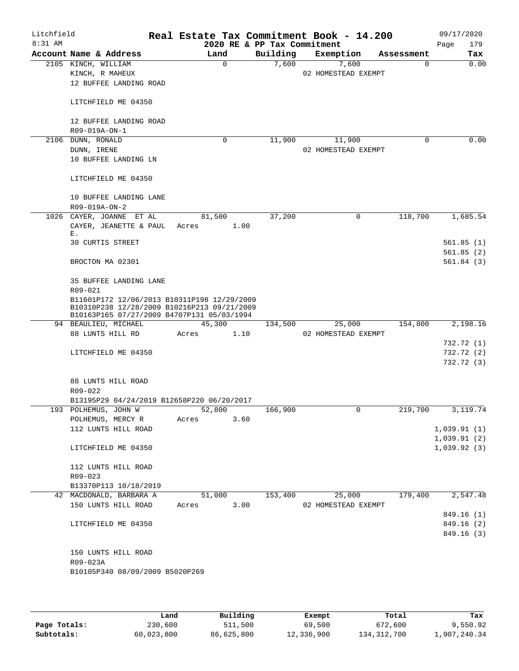| Litchfield<br>$8:31$ AM |                                                                                           |            |             | 2020 RE & PP Tax Commitment | Real Estate Tax Commitment Book - 14.200 |              | 09/17/2020<br>179<br>Page |
|-------------------------|-------------------------------------------------------------------------------------------|------------|-------------|-----------------------------|------------------------------------------|--------------|---------------------------|
|                         | Account Name & Address                                                                    | Land       |             | Building                    | Exemption                                | Assessment   | Tax                       |
|                         | 2105 KINCH, WILLIAM                                                                       |            | $\mathbf 0$ | 7,600                       | 7,600                                    |              | 0.00<br>0                 |
|                         | KINCH, R MAHEUX                                                                           |            |             |                             | 02 HOMESTEAD EXEMPT                      |              |                           |
|                         | 12 BUFFEE LANDING ROAD                                                                    |            |             |                             |                                          |              |                           |
|                         | LITCHFIELD ME 04350                                                                       |            |             |                             |                                          |              |                           |
|                         | 12 BUFFEE LANDING ROAD                                                                    |            |             |                             |                                          |              |                           |
|                         | R09-019A-ON-1                                                                             |            | 0           | 11,900                      |                                          |              | 0.00<br>0                 |
|                         | 2106 DUNN, RONALD<br>DUNN, IRENE                                                          |            |             |                             | 11,900<br>02 HOMESTEAD EXEMPT            |              |                           |
|                         | 10 BUFFEE LANDING LN                                                                      |            |             |                             |                                          |              |                           |
|                         | LITCHFIELD ME 04350                                                                       |            |             |                             |                                          |              |                           |
|                         | 10 BUFFEE LANDING LANE<br>R09-019A-ON-2                                                   |            |             |                             |                                          |              |                           |
|                         | 1026 CAYER, JOANNE ET AL                                                                  | 81,500     |             | 37,200                      |                                          | 118,700<br>0 | 1,685.54                  |
|                         | CAYER, JEANETTE & PAUL<br>Ε.                                                              | Acres      | 1.00        |                             |                                          |              |                           |
|                         | <b>30 CURTIS STREET</b>                                                                   |            |             |                             |                                          |              | 561.85(1)<br>561.85(2)    |
|                         | BROCTON MA 02301                                                                          |            |             |                             |                                          |              | 561.84(3)                 |
|                         | 35 BUFFEE LANDING LANE                                                                    |            |             |                             |                                          |              |                           |
|                         | R09-021<br>B11601P172 12/06/2013 B10311P198 12/29/2009                                    |            |             |                             |                                          |              |                           |
|                         | B10310P238 12/28/2009 B10216P213 09/21/2009<br>B10163P165 07/27/2009 B4707P131 05/03/1994 |            |             |                             |                                          |              |                           |
|                         | 94 BEAULIEU, MICHAEL                                                                      | 45,300     |             | 134,500                     | 25,000                                   | 154,800      | 2,198.16                  |
|                         | 88 LUNTS HILL RD                                                                          | Acres      | 1.10        |                             | 02 HOMESTEAD EXEMPT                      |              |                           |
|                         | LITCHFIELD ME 04350                                                                       |            |             |                             |                                          |              | 732.72 (1)<br>732.72 (2)  |
|                         |                                                                                           |            |             |                             |                                          |              | 732.72 (3)                |
|                         | 88 LUNTS HILL ROAD                                                                        |            |             |                             |                                          |              |                           |
|                         | $R09 - 022$                                                                               |            |             |                             |                                          |              |                           |
|                         | B13195P29 04/24/2019 B12658P220 06/20/2017                                                |            |             |                             |                                          |              |                           |
|                         | 193 POLHEMUS, JOHN W                                                                      | 52,800     |             | 166,900                     |                                          | 219,700<br>0 | 3,119.74                  |
|                         | POLHEMUS, MERCY R Acres                                                                   |            | 3.60        |                             |                                          |              |                           |
|                         | 112 LUNTS HILL ROAD                                                                       |            |             |                             |                                          |              | 1,039.91(1)               |
|                         |                                                                                           |            |             |                             |                                          |              | 1,039.91(2)               |
|                         | LITCHFIELD ME 04350                                                                       |            |             |                             |                                          |              | 1,039.92(3)               |
|                         | 112 LUNTS HILL ROAD                                                                       |            |             |                             |                                          |              |                           |
|                         | $R09 - 023$                                                                               |            |             |                             |                                          |              |                           |
|                         | B13370P113 10/18/2019                                                                     |            |             |                             |                                          |              |                           |
|                         | 42 MACDONALD, BARBARA A                                                                   | 51,000     |             | 153,400                     |                                          | 25,000       | 179,400<br>2,547.48       |
|                         | 150 LUNTS HILL ROAD                                                                       | Acres 3.00 |             |                             | 02 HOMESTEAD EXEMPT                      |              |                           |
|                         |                                                                                           |            |             |                             |                                          |              | 849.16 (1)                |
|                         | LITCHFIELD ME 04350                                                                       |            |             |                             |                                          |              | 849.16 (2)                |
|                         |                                                                                           |            |             |                             |                                          |              | 849.16 (3)                |
|                         | 150 LUNTS HILL ROAD                                                                       |            |             |                             |                                          |              |                           |
|                         | R09-023A                                                                                  |            |             |                             |                                          |              |                           |
|                         | B10105P340 08/09/2009 B5020P269                                                           |            |             |                             |                                          |              |                           |
|                         |                                                                                           |            |             |                             |                                          |              |                           |

|              | Land       | Building   | Exempt     | Total       | Tax          |
|--------------|------------|------------|------------|-------------|--------------|
| Page Totals: | 230,600    | 511,500    | 69,500     | 672,600     | 9,550.92     |
| Subtotals:   | 60,023,800 | 86,625,800 | 12,336,900 | 134,312,700 | 1,907,240.34 |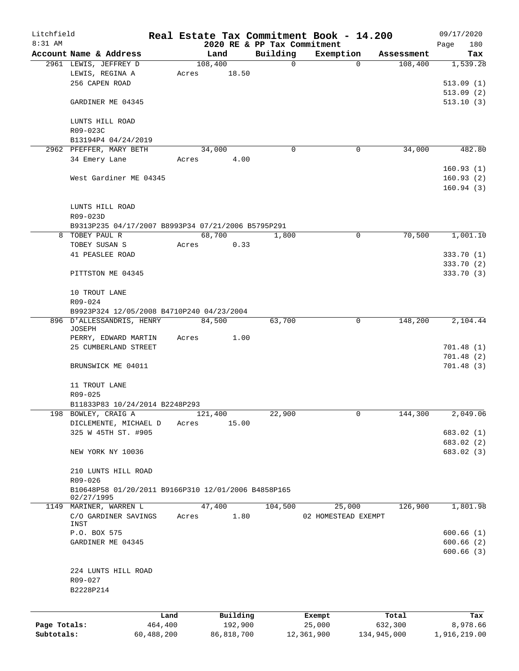| Litchfield   |                                                     |            |       |                 |      |                         | Real Estate Tax Commitment Book - 14.200 |              |                       | 09/17/2020      |
|--------------|-----------------------------------------------------|------------|-------|-----------------|------|-------------------------|------------------------------------------|--------------|-----------------------|-----------------|
| 8:31 AM      |                                                     |            |       |                 |      |                         | 2020 RE & PP Tax Commitment              |              |                       | 180<br>Page     |
|              | Account Name & Address<br>2961 LEWIS, JEFFREY D     |            |       | Land<br>108,400 |      | Building<br>$\mathbf 0$ | Exemption                                | $\Omega$     | Assessment<br>108,400 | Tax<br>1,539.28 |
|              | LEWIS, REGINA A                                     |            | Acres | 18.50           |      |                         |                                          |              |                       |                 |
|              | 256 CAPEN ROAD                                      |            |       |                 |      |                         |                                          |              |                       | 513.09(1)       |
|              |                                                     |            |       |                 |      |                         |                                          |              |                       | 513.09(2)       |
|              | GARDINER ME 04345                                   |            |       |                 |      |                         |                                          |              |                       | 513.10(3)       |
|              |                                                     |            |       |                 |      |                         |                                          |              |                       |                 |
|              | LUNTS HILL ROAD                                     |            |       |                 |      |                         |                                          |              |                       |                 |
|              | R09-023C                                            |            |       |                 |      |                         |                                          |              |                       |                 |
|              | B13194P4 04/24/2019                                 |            |       |                 |      |                         |                                          |              |                       |                 |
|              | 2962 PFEFFER, MARY BETH                             |            |       | 34,000          |      | 0                       |                                          | 0            | 34,000                | 482.80          |
|              | 34 Emery Lane                                       |            | Acres |                 | 4.00 |                         |                                          |              |                       |                 |
|              |                                                     |            |       |                 |      |                         |                                          |              |                       | 160.93(1)       |
|              | West Gardiner ME 04345                              |            |       |                 |      |                         |                                          |              |                       | 160.93(2)       |
|              |                                                     |            |       |                 |      |                         |                                          |              |                       | 160.94(3)       |
|              |                                                     |            |       |                 |      |                         |                                          |              |                       |                 |
|              | LUNTS HILL ROAD                                     |            |       |                 |      |                         |                                          |              |                       |                 |
|              | R09-023D                                            |            |       |                 |      |                         |                                          |              |                       |                 |
|              | B9313P235 04/17/2007 B8993P34 07/21/2006 B5795P291  |            |       |                 |      |                         |                                          |              |                       |                 |
| 8            | TOBEY PAUL R                                        |            |       | 68,700          |      | 1,800                   |                                          | 0            | 70,500                | 1,001.10        |
|              | TOBEY SUSAN S                                       |            | Acres |                 | 0.33 |                         |                                          |              |                       |                 |
|              | 41 PEASLEE ROAD                                     |            |       |                 |      |                         |                                          |              |                       | 333.70 (1)      |
|              |                                                     |            |       |                 |      |                         |                                          |              |                       | 333.70 (2)      |
|              | PITTSTON ME 04345                                   |            |       |                 |      |                         |                                          |              |                       | 333.70 (3)      |
|              |                                                     |            |       |                 |      |                         |                                          |              |                       |                 |
|              | 10 TROUT LANE                                       |            |       |                 |      |                         |                                          |              |                       |                 |
|              | R09-024                                             |            |       |                 |      |                         |                                          |              |                       |                 |
|              | B9923P324 12/05/2008 B4710P240 04/23/2004           |            |       |                 |      |                         |                                          |              |                       |                 |
|              | 896 D'ALLESSANDRIS, HENRY                           |            |       | 84,500          |      | 63,700                  |                                          | 0            | 148,200               | 2,104.44        |
|              | JOSEPH                                              |            |       |                 |      |                         |                                          |              |                       |                 |
|              | PERRY, EDWARD MARTIN                                |            | Acres |                 | 1.00 |                         |                                          |              |                       |                 |
|              | 25 CUMBERLAND STREET                                |            |       |                 |      |                         |                                          |              |                       | 701.48(1)       |
|              |                                                     |            |       |                 |      |                         |                                          |              |                       | 701.48(2)       |
|              | BRUNSWICK ME 04011                                  |            |       |                 |      |                         |                                          |              |                       | 701.48(3)       |
|              |                                                     |            |       |                 |      |                         |                                          |              |                       |                 |
|              | 11 TROUT LANE                                       |            |       |                 |      |                         |                                          |              |                       |                 |
|              | R09-025                                             |            |       |                 |      |                         |                                          |              |                       |                 |
|              | B11833P83 10/24/2014 B2248P293                      |            |       |                 |      |                         |                                          |              |                       |                 |
|              | 198 BOWLEY, CRAIG A                                 |            |       | 121,400         |      | 22,900                  |                                          | $\mathsf{O}$ | 144,300               | 2,049.06        |
|              | DICLEMENTE, MICHAEL D                               |            | Acres | 15.00           |      |                         |                                          |              |                       |                 |
|              | 325 W 45TH ST. #905                                 |            |       |                 |      |                         |                                          |              |                       | 683.02 (1)      |
|              |                                                     |            |       |                 |      |                         |                                          |              |                       | 683.02 (2)      |
|              | NEW YORK NY 10036                                   |            |       |                 |      |                         |                                          |              |                       | 683.02 (3)      |
|              |                                                     |            |       |                 |      |                         |                                          |              |                       |                 |
|              | 210 LUNTS HILL ROAD                                 |            |       |                 |      |                         |                                          |              |                       |                 |
|              | R09-026                                             |            |       |                 |      |                         |                                          |              |                       |                 |
|              | B10648P58 01/20/2011 B9166P310 12/01/2006 B4858P165 |            |       |                 |      |                         |                                          |              |                       |                 |
|              | 02/27/1995                                          |            |       |                 |      |                         |                                          |              |                       |                 |
|              | 1149 MARINER, WARREN L                              |            |       | 47,400          |      | 104,500                 | 25,000                                   |              | 126,900               | 1,801.98        |
|              | C/O GARDINER SAVINGS                                |            | Acres |                 | 1.80 |                         | 02 HOMESTEAD EXEMPT                      |              |                       |                 |
|              | INST<br>P.O. BOX 575                                |            |       |                 |      |                         |                                          |              |                       | 600.66(1)       |
|              |                                                     |            |       |                 |      |                         |                                          |              |                       |                 |
|              | GARDINER ME 04345                                   |            |       |                 |      |                         |                                          |              |                       | 600.66(2)       |
|              |                                                     |            |       |                 |      |                         |                                          |              |                       | 600.66(3)       |
|              |                                                     |            |       |                 |      |                         |                                          |              |                       |                 |
|              | 224 LUNTS HILL ROAD                                 |            |       |                 |      |                         |                                          |              |                       |                 |
|              | R09-027                                             |            |       |                 |      |                         |                                          |              |                       |                 |
|              | B2228P214                                           |            |       |                 |      |                         |                                          |              |                       |                 |
|              |                                                     |            |       |                 |      |                         |                                          |              |                       |                 |
|              |                                                     | Land       |       | Building        |      |                         | Exempt                                   |              | Total                 | Tax             |
| Page Totals: |                                                     | 464,400    |       | 192,900         |      |                         | 25,000                                   |              | 632,300               | 8,978.66        |
| Subtotals:   |                                                     | 60,488,200 |       | 86,818,700      |      |                         | 12,361,900                               |              | 134,945,000           | 1,916,219.00    |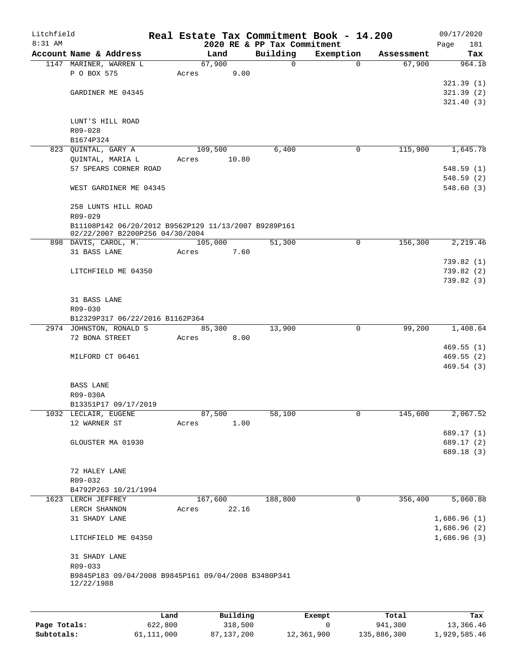| Litchfield |                                                                |       |       |         |          |                                         | Real Estate Tax Commitment Book - 14.200 |                       | 09/17/2020                 |
|------------|----------------------------------------------------------------|-------|-------|---------|----------|-----------------------------------------|------------------------------------------|-----------------------|----------------------------|
| $8:31$ AM  | Account Name & Address                                         |       |       | Land    |          | 2020 RE & PP Tax Commitment<br>Building | Exemption                                | Assessment            | Page<br>181<br>Tax         |
|            | 1147 MARINER, WARREN L                                         |       |       | 67,900  |          | 0                                       |                                          | 67,900<br>$\Omega$    | 964.18                     |
|            | P O BOX 575                                                    |       | Acres |         | 9.00     |                                         |                                          |                       |                            |
|            |                                                                |       |       |         |          |                                         |                                          |                       | 321.39(1)                  |
|            | GARDINER ME 04345                                              |       |       |         |          |                                         |                                          |                       | 321.39(2)                  |
|            |                                                                |       |       |         |          |                                         |                                          |                       | 321.40(3)                  |
|            |                                                                |       |       |         |          |                                         |                                          |                       |                            |
|            | LUNT'S HILL ROAD                                               |       |       |         |          |                                         |                                          |                       |                            |
|            | R09-028<br>B1674P324                                           |       |       |         |          |                                         |                                          |                       |                            |
|            | 823 QUINTAL, GARY A                                            |       |       | 109,500 |          | 6,400                                   |                                          | 115,900<br>0          | 1,645.78                   |
|            | QUINTAL, MARIA L                                               |       | Acres |         | 10.80    |                                         |                                          |                       |                            |
|            | 57 SPEARS CORNER ROAD                                          |       |       |         |          |                                         |                                          |                       | 548.59(1)                  |
|            |                                                                |       |       |         |          |                                         |                                          |                       | 548.59(2)                  |
|            | WEST GARDINER ME 04345                                         |       |       |         |          |                                         |                                          |                       | 548.60(3)                  |
|            | 258 LUNTS HILL ROAD                                            |       |       |         |          |                                         |                                          |                       |                            |
|            | R09-029                                                        |       |       |         |          |                                         |                                          |                       |                            |
|            | B11108P142 06/20/2012 B9562P129 11/13/2007 B9289P161           |       |       |         |          |                                         |                                          |                       |                            |
|            | 02/22/2007 B2200P256 04/30/2004                                |       |       |         |          |                                         |                                          |                       |                            |
|            | 898 DAVIS, CAROL, M.                                           |       |       | 105,000 |          | 51,300                                  |                                          | 156,300<br>0          | 2,219.46                   |
|            | 31 BASS LANE                                                   |       | Acres |         | 7.60     |                                         |                                          |                       |                            |
|            |                                                                |       |       |         |          |                                         |                                          |                       | 739.82(1)                  |
|            | LITCHFIELD ME 04350                                            |       |       |         |          |                                         |                                          |                       | 739.82(2)                  |
|            |                                                                |       |       |         |          |                                         |                                          |                       | 739.82(3)                  |
|            | 31 BASS LANE                                                   |       |       |         |          |                                         |                                          |                       |                            |
|            | R09-030                                                        |       |       |         |          |                                         |                                          |                       |                            |
|            | B12329P317 06/22/2016 B1162P364                                |       |       |         |          |                                         |                                          |                       |                            |
|            | 2974 JOHNSTON, RONALD S                                        |       |       | 85,300  |          | 13,900                                  |                                          | $\mathbf 0$<br>99,200 | 1,408.64                   |
|            | 72 BONA STREET                                                 |       | Acres |         | 8.00     |                                         |                                          |                       |                            |
|            |                                                                |       |       |         |          |                                         |                                          |                       | 469.55(1)                  |
|            | MILFORD CT 06461                                               |       |       |         |          |                                         |                                          |                       | 469.55 (2)<br>469.54(3)    |
|            |                                                                |       |       |         |          |                                         |                                          |                       |                            |
|            | <b>BASS LANE</b>                                               |       |       |         |          |                                         |                                          |                       |                            |
|            | R09-030A                                                       |       |       |         |          |                                         |                                          |                       |                            |
|            | B13351P17 09/17/2019                                           |       |       |         |          |                                         |                                          |                       |                            |
|            | 1032 LECLAIR, EUGENE                                           |       |       | 87,500  |          | 58,100                                  |                                          | 0<br>145,600          | 2,067.52                   |
|            | 12 WARNER ST                                                   |       | Acres |         | 1.00     |                                         |                                          |                       |                            |
|            |                                                                |       |       |         |          |                                         |                                          |                       | 689.17 (1)                 |
|            | GLOUSTER MA 01930                                              |       |       |         |          |                                         |                                          |                       | 689.17 (2)<br>689.18 (3)   |
|            |                                                                |       |       |         |          |                                         |                                          |                       |                            |
|            | 72 HALEY LANE                                                  |       |       |         |          |                                         |                                          |                       |                            |
|            | R09-032                                                        |       |       |         |          |                                         |                                          |                       |                            |
|            | B4792P263 10/21/1994                                           |       |       |         |          |                                         |                                          |                       |                            |
|            | 1623 LERCH JEFFREY                                             |       |       | 167,600 |          | 188,800                                 |                                          | 0<br>356,400          | 5,060.88                   |
|            | LERCH SHANNON                                                  |       | Acres |         | 22.16    |                                         |                                          |                       |                            |
|            | 31 SHADY LANE                                                  |       |       |         |          |                                         |                                          |                       | 1,686.96(1)                |
|            | LITCHFIELD ME 04350                                            |       |       |         |          |                                         |                                          |                       | 1,686.96(2)<br>1,686.96(3) |
|            |                                                                |       |       |         |          |                                         |                                          |                       |                            |
|            | 31 SHADY LANE                                                  |       |       |         |          |                                         |                                          |                       |                            |
|            | R09-033<br>B9845P183 09/04/2008 B9845P161 09/04/2008 B3480P341 |       |       |         |          |                                         |                                          |                       |                            |
|            | 12/22/1988                                                     |       |       |         |          |                                         |                                          |                       |                            |
|            |                                                                |       |       |         |          |                                         |                                          |                       |                            |
|            |                                                                | Land, |       |         | Building |                                         | Exempt                                   | Total                 | Tax                        |

|              | Land       | Building   | Exempt     | Total       | Tax          |
|--------------|------------|------------|------------|-------------|--------------|
| Page Totals: | 622,800    | 318,500    |            | 941,300     | 13,366.46    |
| Subtotals:   | 61,111,000 | 87,137,200 | 12,361,900 | 135,886,300 | 1,929,585.46 |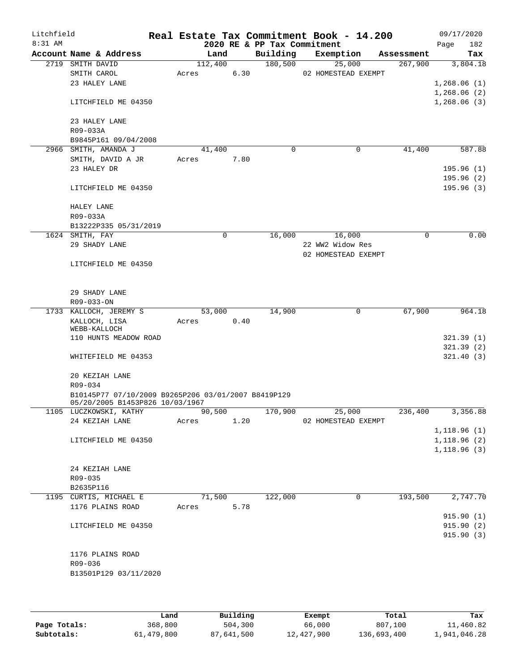| Litchfield |                  |                                                                                        |        |             |      | Real Estate Tax Commitment Book - 14.200 |                     |   |                  |      | 09/17/2020                 |
|------------|------------------|----------------------------------------------------------------------------------------|--------|-------------|------|------------------------------------------|---------------------|---|------------------|------|----------------------------|
| $8:31$ AM  |                  |                                                                                        |        |             |      | 2020 RE & PP Tax Commitment              |                     |   |                  | Page | 182                        |
|            |                  | Account Name & Address                                                                 |        | Land        |      | Building                                 | Exemption           |   | Assessment       |      | Tax                        |
|            | 2719 SMITH DAVID |                                                                                        |        | 112,400     |      | 180,500                                  | 25,000              |   | 267,900          |      | 3,804.18                   |
|            |                  | SMITH CAROL                                                                            | Acres  |             | 6.30 |                                          | 02 HOMESTEAD EXEMPT |   |                  |      |                            |
|            |                  | 23 HALEY LANE                                                                          |        |             |      |                                          |                     |   |                  |      | 1,268.06(1)                |
|            |                  | LITCHFIELD ME 04350                                                                    |        |             |      |                                          |                     |   |                  |      | 1,268.06(2)<br>1,268.06(3) |
|            |                  | 23 HALEY LANE                                                                          |        |             |      |                                          |                     |   |                  |      |                            |
|            | R09-033A         |                                                                                        |        |             |      |                                          |                     |   |                  |      |                            |
|            |                  | B9845P161 09/04/2008                                                                   |        |             |      |                                          |                     |   |                  |      |                            |
|            |                  | 2966 SMITH, AMANDA J                                                                   |        | 41,400      |      | $\mathbf 0$                              |                     | 0 | 41,400           |      | 587.88                     |
|            |                  | SMITH, DAVID A JR                                                                      | Acres  |             | 7.80 |                                          |                     |   |                  |      |                            |
|            |                  | 23 HALEY DR                                                                            |        |             |      |                                          |                     |   |                  |      | 195.96(1)<br>195.96(2)     |
|            |                  | LITCHFIELD ME 04350                                                                    |        |             |      |                                          |                     |   |                  |      | 195.96(3)                  |
|            | HALEY LANE       |                                                                                        |        |             |      |                                          |                     |   |                  |      |                            |
|            | R09-033A         |                                                                                        |        |             |      |                                          |                     |   |                  |      |                            |
|            |                  | B13222P335 05/31/2019                                                                  |        |             |      |                                          |                     |   |                  |      |                            |
|            | 1624 SMITH, FAY  |                                                                                        |        | $\mathbf 0$ |      | 16,000                                   | 16,000              |   | 0                |      | 0.00                       |
|            |                  | 29 SHADY LANE                                                                          |        |             |      |                                          | 22 WW2 Widow Res    |   |                  |      |                            |
|            |                  | LITCHFIELD ME 04350                                                                    |        |             |      |                                          | 02 HOMESTEAD EXEMPT |   |                  |      |                            |
|            |                  |                                                                                        |        |             |      |                                          |                     |   |                  |      |                            |
|            | R09-033-ON       | 29 SHADY LANE                                                                          |        |             |      |                                          |                     |   |                  |      |                            |
|            |                  | 1733 KALLOCH, JEREMY S                                                                 |        | 53,000      |      | 14,900                                   |                     | 0 | 67,900           |      | 964.18                     |
|            |                  | KALLOCH, LISA                                                                          | Acres  |             | 0.40 |                                          |                     |   |                  |      |                            |
|            |                  | WEBB-KALLOCH                                                                           |        |             |      |                                          |                     |   |                  |      |                            |
|            |                  | 110 HUNTS MEADOW ROAD                                                                  |        |             |      |                                          |                     |   |                  |      | 321.39(1)                  |
|            |                  |                                                                                        |        |             |      |                                          |                     |   |                  |      | 321.39(2)                  |
|            |                  | WHITEFIELD ME 04353                                                                    |        |             |      |                                          |                     |   |                  |      | 321.40(3)                  |
|            |                  | 20 KEZIAH LANE                                                                         |        |             |      |                                          |                     |   |                  |      |                            |
|            | R09-034          |                                                                                        |        |             |      |                                          |                     |   |                  |      |                            |
|            |                  | B10145P77 07/10/2009 B9265P206 03/01/2007 B8419P129<br>05/20/2005 B1453P826 10/03/1967 |        |             |      |                                          |                     |   |                  |      |                            |
|            |                  | 1105 LUCZKOWSKI, KATHY                                                                 | 90,500 |             |      |                                          | 170,900 25,000      |   | 236,400 3,356.88 |      |                            |
|            |                  | 24 KEZIAH LANE                                                                         | Acres  |             | 1.20 |                                          | 02 HOMESTEAD EXEMPT |   |                  |      | 1,118.96(1)                |
|            |                  | LITCHFIELD ME 04350                                                                    |        |             |      |                                          |                     |   |                  |      | 1,118.96(2)                |
|            |                  |                                                                                        |        |             |      |                                          |                     |   |                  |      | 1,118.96(3)                |
|            |                  |                                                                                        |        |             |      |                                          |                     |   |                  |      |                            |
|            |                  | 24 KEZIAH LANE                                                                         |        |             |      |                                          |                     |   |                  |      |                            |
|            | R09-035          |                                                                                        |        |             |      |                                          |                     |   |                  |      |                            |
|            | B2635P116        |                                                                                        |        |             |      |                                          |                     |   |                  |      |                            |
|            |                  | 1195 CURTIS, MICHAEL E                                                                 |        | 71,500      |      | 122,000                                  |                     | 0 | 193,500          |      | 2,747.70                   |
|            |                  | 1176 PLAINS ROAD                                                                       | Acres  |             | 5.78 |                                          |                     |   |                  |      |                            |
|            |                  |                                                                                        |        |             |      |                                          |                     |   |                  |      | 915.90 (1)                 |
|            |                  | LITCHFIELD ME 04350                                                                    |        |             |      |                                          |                     |   |                  |      | 915.90(2)<br>915.90(3)     |
|            |                  |                                                                                        |        |             |      |                                          |                     |   |                  |      |                            |
|            |                  | 1176 PLAINS ROAD                                                                       |        |             |      |                                          |                     |   |                  |      |                            |
|            | R09-036          |                                                                                        |        |             |      |                                          |                     |   |                  |      |                            |
|            |                  | B13501P129 03/11/2020                                                                  |        |             |      |                                          |                     |   |                  |      |                            |
|            |                  |                                                                                        |        |             |      |                                          |                     |   |                  |      |                            |
|            |                  |                                                                                        |        |             |      |                                          |                     |   |                  |      |                            |

|              | Land       | Building   | Exempt     | Total       | Tax          |
|--------------|------------|------------|------------|-------------|--------------|
| Page Totals: | 368,800    | 504,300    | 66,000     | 807,100     | 11,460.82    |
| Subtotals:   | 61,479,800 | 87,641,500 | 12,427,900 | 136,693,400 | 1,941,046.28 |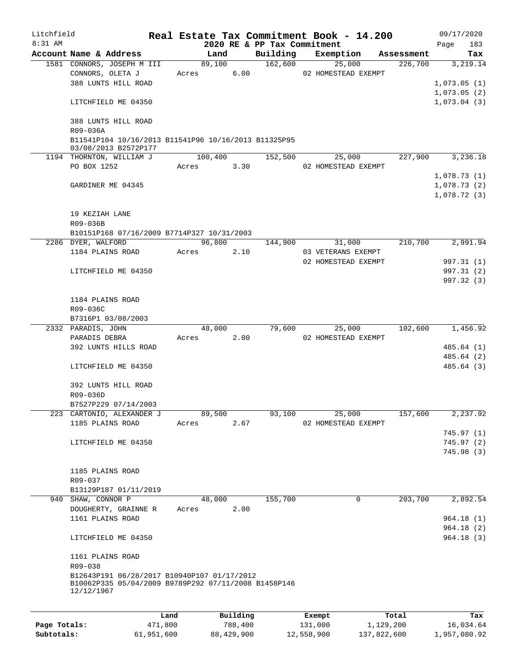| Litchfield   |                                                                                                                   |         |       |         |          |                             | Real Estate Tax Commitment Book - 14.200 |            | 09/17/2020  |     |
|--------------|-------------------------------------------------------------------------------------------------------------------|---------|-------|---------|----------|-----------------------------|------------------------------------------|------------|-------------|-----|
| $8:31$ AM    |                                                                                                                   |         |       |         |          | 2020 RE & PP Tax Commitment |                                          |            | Page        | 183 |
|              | Account Name & Address                                                                                            |         |       | Land    |          | Building<br>162,600         | Exemption                                | Assessment |             | Tax |
|              | 1581 CONNORS, JOSEPH M III<br>CONNORS, OLETA J                                                                    |         | Acres | 89,100  | 6.00     |                             | 25,000<br>02 HOMESTEAD EXEMPT            | 226,700    | 3,219.14    |     |
|              | 388 LUNTS HILL ROAD                                                                                               |         |       |         |          |                             |                                          |            | 1,073.05(1) |     |
|              |                                                                                                                   |         |       |         |          |                             |                                          |            | 1,073.05(2) |     |
|              | LITCHFIELD ME 04350                                                                                               |         |       |         |          |                             |                                          |            | 1,073.04(3) |     |
|              | 388 LUNTS HILL ROAD                                                                                               |         |       |         |          |                             |                                          |            |             |     |
|              | R09-036A                                                                                                          |         |       |         |          |                             |                                          |            |             |     |
|              | B11541P104 10/16/2013 B11541P96 10/16/2013 B11325P95<br>03/08/2013 B2572P177                                      |         |       |         |          |                             |                                          |            |             |     |
|              | 1194 THORNTON, WILLIAM J                                                                                          |         |       | 100,400 |          | 152,500                     | 25,000                                   | 227,900    | 3,236.18    |     |
|              | PO BOX 1252                                                                                                       |         | Acres |         | 3.30     |                             | 02 HOMESTEAD EXEMPT                      |            | 1,078.73(1) |     |
|              | GARDINER ME 04345                                                                                                 |         |       |         |          |                             |                                          |            | 1,078.73(2) |     |
|              |                                                                                                                   |         |       |         |          |                             |                                          |            | 1,078.72(3) |     |
|              | 19 KEZIAH LANE                                                                                                    |         |       |         |          |                             |                                          |            |             |     |
|              | R09-036B                                                                                                          |         |       |         |          |                             |                                          |            |             |     |
|              | B10151P168 07/16/2009 B7714P327 10/31/2003                                                                        |         |       |         |          |                             |                                          |            |             |     |
|              | 2286 DYER, WALFORD                                                                                                |         |       | 96,800  |          | 144,900                     | 31,000                                   | 210,700    | 2,991.94    |     |
|              | 1184 PLAINS ROAD                                                                                                  |         | Acres |         | 2.10     |                             | 03 VETERANS EXEMPT                       |            |             |     |
|              |                                                                                                                   |         |       |         |          |                             | 02 HOMESTEAD EXEMPT                      |            | 997.31 (1)  |     |
|              | LITCHFIELD ME 04350                                                                                               |         |       |         |          |                             |                                          |            | 997.31 (2)  |     |
|              |                                                                                                                   |         |       |         |          |                             |                                          |            | 997.32 (3)  |     |
|              |                                                                                                                   |         |       |         |          |                             |                                          |            |             |     |
|              | 1184 PLAINS ROAD                                                                                                  |         |       |         |          |                             |                                          |            |             |     |
|              | R09-036C                                                                                                          |         |       |         |          |                             |                                          |            |             |     |
|              | B7316P1 03/08/2003                                                                                                |         |       |         |          |                             |                                          |            |             |     |
|              | 2332 PARADIS, JOHN                                                                                                |         |       | 48,000  |          | 79,600                      | 25,000                                   | 102,600    | 1,456.92    |     |
|              | PARADIS DEBRA                                                                                                     |         | Acres |         | 2.00     |                             | 02 HOMESTEAD EXEMPT                      |            |             |     |
|              | 392 LUNTS HILLS ROAD                                                                                              |         |       |         |          |                             |                                          |            | 485.64 (1)  |     |
|              |                                                                                                                   |         |       |         |          |                             |                                          |            | 485.64 (2)  |     |
|              | LITCHFIELD ME 04350                                                                                               |         |       |         |          |                             |                                          |            | 485.64 (3)  |     |
|              | 392 LUNTS HILL ROAD                                                                                               |         |       |         |          |                             |                                          |            |             |     |
|              | R09-036D                                                                                                          |         |       |         |          |                             |                                          |            |             |     |
|              | B7527P229 07/14/2003                                                                                              |         |       |         |          |                             |                                          |            |             |     |
|              | 223 CARTONIO, ALEXANDER J                                                                                         |         |       | 89,500  |          | 93,100                      | 25,000                                   | 157,600    | 2,237.92    |     |
|              | 1185 PLAINS ROAD                                                                                                  |         | Acres |         | 2.67     |                             | 02 HOMESTEAD EXEMPT                      |            |             |     |
|              |                                                                                                                   |         |       |         |          |                             |                                          |            | 745.97(1)   |     |
|              | LITCHFIELD ME 04350                                                                                               |         |       |         |          |                             |                                          |            | 745.97(2)   |     |
|              |                                                                                                                   |         |       |         |          |                             |                                          |            | 745.98(3)   |     |
|              |                                                                                                                   |         |       |         |          |                             |                                          |            |             |     |
|              | 1185 PLAINS ROAD                                                                                                  |         |       |         |          |                             |                                          |            |             |     |
|              | R09-037                                                                                                           |         |       |         |          |                             |                                          |            |             |     |
|              | B13129P187 01/11/2019                                                                                             |         |       |         |          |                             |                                          |            |             |     |
|              | 940 SHAW, CONNOR P                                                                                                |         |       | 48,000  |          | 155,700                     | 0                                        | 203,700    | 2,892.54    |     |
|              | DOUGHERTY, GRAINNE R                                                                                              |         | Acres |         | 2.00     |                             |                                          |            |             |     |
|              | 1161 PLAINS ROAD                                                                                                  |         |       |         |          |                             |                                          |            | 964.18(1)   |     |
|              |                                                                                                                   |         |       |         |          |                             |                                          |            | 964.18 (2)  |     |
|              | LITCHFIELD ME 04350                                                                                               |         |       |         |          |                             |                                          |            | 964.18(3)   |     |
|              | 1161 PLAINS ROAD<br>R09-038                                                                                       |         |       |         |          |                             |                                          |            |             |     |
|              | B12643P191 06/28/2017 B10940P107 01/17/2012<br>B10062P335 05/04/2009 B9789P292 07/11/2008 B1458P146<br>12/12/1967 |         |       |         |          |                             |                                          |            |             |     |
|              |                                                                                                                   |         |       |         |          |                             |                                          |            |             |     |
|              |                                                                                                                   | Land    |       |         | Building |                             | Exempt                                   | Total      |             | Tax |
| Page Totals: |                                                                                                                   | 471,800 |       |         | 788,400  |                             | 131,000                                  | 1,129,200  | 16,034.64   |     |

**Subtotals:** 61,951,600 88,429,900 12,558,900 137,822,600 1,957,080.92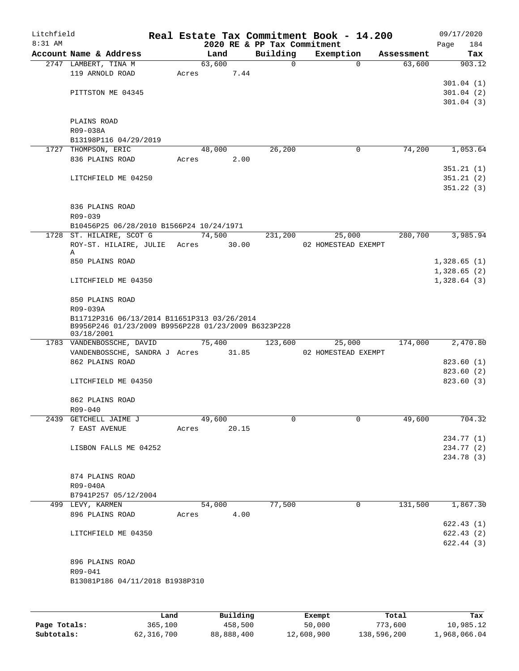| Litchfield |                                                     |       |        |                                         | Real Estate Tax Commitment Book - 14.200 |            | 09/17/2020         |
|------------|-----------------------------------------------------|-------|--------|-----------------------------------------|------------------------------------------|------------|--------------------|
| 8:31 AM    | Account Name & Address                              |       | Land   | 2020 RE & PP Tax Commitment<br>Building | Exemption                                | Assessment | 184<br>Page<br>Tax |
|            | 2747 LAMBERT, TINA M                                |       | 63,600 | $\Omega$                                | $\Omega$                                 | 63,600     | 903.12             |
|            | 119 ARNOLD ROAD                                     | Acres | 7.44   |                                         |                                          |            |                    |
|            |                                                     |       |        |                                         |                                          |            | 301.04(1)          |
|            | PITTSTON ME 04345                                   |       |        |                                         |                                          |            | 301.04(2)          |
|            |                                                     |       |        |                                         |                                          |            | 301.04(3)          |
|            |                                                     |       |        |                                         |                                          |            |                    |
|            | PLAINS ROAD<br>R09-038A                             |       |        |                                         |                                          |            |                    |
|            | B13198P116 04/29/2019                               |       |        |                                         |                                          |            |                    |
|            | 1727 THOMPSON, ERIC                                 |       | 48,000 | 26,200                                  | 0                                        | 74,200     | 1,053.64           |
|            | 836 PLAINS ROAD                                     | Acres | 2.00   |                                         |                                          |            |                    |
|            |                                                     |       |        |                                         |                                          |            | 351.21(1)          |
|            | LITCHFIELD ME 04250                                 |       |        |                                         |                                          |            | 351.21(2)          |
|            |                                                     |       |        |                                         |                                          |            | 351.22(3)          |
|            |                                                     |       |        |                                         |                                          |            |                    |
|            | 836 PLAINS ROAD                                     |       |        |                                         |                                          |            |                    |
|            | R09-039                                             |       |        |                                         |                                          |            |                    |
|            | B10456P25 06/28/2010 B1566P24 10/24/1971            |       |        |                                         |                                          |            |                    |
|            | 1728 ST. HILAIRE, SCOT G                            |       | 74,500 | 231,200                                 | 25,000                                   | 280,700    | 3,985.94           |
|            | ROY-ST. HILAIRE, JULIE Acres<br>Α                   |       | 30.00  |                                         | 02 HOMESTEAD EXEMPT                      |            |                    |
|            | 850 PLAINS ROAD                                     |       |        |                                         |                                          |            | 1,328.65(1)        |
|            |                                                     |       |        |                                         |                                          |            | 1,328.65(2)        |
|            | LITCHFIELD ME 04350                                 |       |        |                                         |                                          |            | 1,328.64(3)        |
|            | 850 PLAINS ROAD                                     |       |        |                                         |                                          |            |                    |
|            | R09-039A                                            |       |        |                                         |                                          |            |                    |
|            | B11712P316 06/13/2014 B11651P313 03/26/2014         |       |        |                                         |                                          |            |                    |
|            | B9956P246 01/23/2009 B9956P228 01/23/2009 B6323P228 |       |        |                                         |                                          |            |                    |
|            | 03/18/2001<br>1783 VANDENBOSSCHE, DAVID             |       | 75,400 | 123,600                                 | 25,000                                   | 174,000    | 2,470.80           |
|            | VANDENBOSSCHE, SANDRA J Acres                       |       | 31.85  |                                         | 02 HOMESTEAD EXEMPT                      |            |                    |
|            | 862 PLAINS ROAD                                     |       |        |                                         |                                          |            | 823.60(1)          |
|            |                                                     |       |        |                                         |                                          |            | 823.60 (2)         |
|            | LITCHFIELD ME 04350                                 |       |        |                                         |                                          |            | 823.60(3)          |
|            |                                                     |       |        |                                         |                                          |            |                    |
|            | 862 PLAINS ROAD                                     |       |        |                                         |                                          |            |                    |
|            | R09-040                                             |       |        |                                         |                                          |            |                    |
|            | 2439 GETCHELL JAIME J                               |       | 49,600 | $\Omega$                                | 0                                        | 49,600     | 704.32             |
|            | 7 EAST AVENUE                                       | Acres | 20.15  |                                         |                                          |            |                    |
|            |                                                     |       |        |                                         |                                          |            | 234.77 (1)         |
|            | LISBON FALLS ME 04252                               |       |        |                                         |                                          |            | 234.77 (2)         |
|            |                                                     |       |        |                                         |                                          |            | 234.78 (3)         |
|            |                                                     |       |        |                                         |                                          |            |                    |
|            | 874 PLAINS ROAD                                     |       |        |                                         |                                          |            |                    |
|            | R09-040A<br>B7941P257 05/12/2004                    |       |        |                                         |                                          |            |                    |
|            | 499 LEVY, KARMEN                                    |       | 54,000 | 77,500                                  | 0                                        | 131,500    | 1,867.30           |
|            | 896 PLAINS ROAD                                     | Acres | 4.00   |                                         |                                          |            |                    |
|            |                                                     |       |        |                                         |                                          |            | 622.43(1)          |
|            | LITCHFIELD ME 04350                                 |       |        |                                         |                                          |            | 622.43(2)          |
|            |                                                     |       |        |                                         |                                          |            | 622.44(3)          |
|            |                                                     |       |        |                                         |                                          |            |                    |
|            | 896 PLAINS ROAD                                     |       |        |                                         |                                          |            |                    |
|            | R09-041                                             |       |        |                                         |                                          |            |                    |
|            | B13081P186 04/11/2018 B1938P310                     |       |        |                                         |                                          |            |                    |
|            |                                                     |       |        |                                         |                                          |            |                    |
|            |                                                     |       |        |                                         |                                          |            |                    |
|            |                                                     |       |        |                                         |                                          |            |                    |

|              | Land       | Building   | Exempt     | Total       | Tax          |
|--------------|------------|------------|------------|-------------|--------------|
| Page Totals: | 365,100    | 458,500    | 50,000     | 773,600     | 10,985.12    |
| Subtotals:   | 62,316,700 | 88,888,400 | 12,608,900 | 138,596,200 | 1,968,066.04 |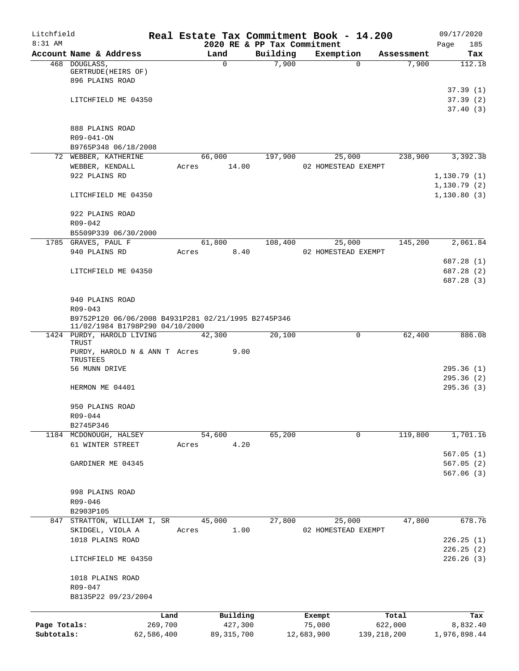| Litchfield   |                                                                                        |            |        |              |                   | Real Estate Tax Commitment Book - 14.200 |               |                     | 09/17/2020                  |
|--------------|----------------------------------------------------------------------------------------|------------|--------|--------------|-------------------|------------------------------------------|---------------|---------------------|-----------------------------|
| $8:31$ AM    |                                                                                        |            |        |              |                   | 2020 RE & PP Tax Commitment              |               |                     | Page<br>185                 |
|              | Account Name & Address                                                                 |            | Land   |              | Building<br>7,900 | Exemption                                |               | Assessment<br>7,900 | Tax<br>112.18               |
|              | 468 DOUGLASS,<br>GERTRUDE (HEIRS OF)<br>896 PLAINS ROAD                                |            |        | $\mathbf 0$  |                   |                                          | $\Omega$      |                     |                             |
|              |                                                                                        |            |        |              |                   |                                          |               |                     | 37.39(1)                    |
|              | LITCHFIELD ME 04350                                                                    |            |        |              |                   |                                          |               |                     | 37.39(2)<br>37.40(3)        |
|              | 888 PLAINS ROAD                                                                        |            |        |              |                   |                                          |               |                     |                             |
|              | R09-041-ON                                                                             |            |        |              |                   |                                          |               |                     |                             |
|              | B9765P348 06/18/2008                                                                   |            |        |              |                   |                                          |               |                     |                             |
|              | 72 WEBBER, KATHERINE                                                                   |            | 66,000 |              | 197,900           | 25,000                                   |               | 238,900             | 3,392.38                    |
|              | WEBBER, KENDALL                                                                        | Acres      |        | 14.00        |                   | 02 HOMESTEAD EXEMPT                      |               |                     |                             |
|              | 922 PLAINS RD                                                                          |            |        |              |                   |                                          |               |                     | 1,130.79(1)                 |
|              | LITCHFIELD ME 04350                                                                    |            |        |              |                   |                                          |               |                     | 1, 130.79(2)<br>1,130.80(3) |
|              | 922 PLAINS ROAD                                                                        |            |        |              |                   |                                          |               |                     |                             |
|              | $R09 - 042$                                                                            |            |        |              |                   |                                          |               |                     |                             |
|              | B5509P339 06/30/2000                                                                   |            |        |              |                   |                                          |               |                     |                             |
|              | 1785 GRAVES, PAUL F                                                                    |            | 61,800 |              | 108,400           | 25,000                                   |               | 145,200             | 2,061.84                    |
|              | 940 PLAINS RD                                                                          | Acres      |        | 8.40         |                   | 02 HOMESTEAD EXEMPT                      |               |                     |                             |
|              |                                                                                        |            |        |              |                   |                                          |               |                     | 687.28 (1)                  |
|              | LITCHFIELD ME 04350                                                                    |            |        |              |                   |                                          |               |                     | 687.28 (2)                  |
|              |                                                                                        |            |        |              |                   |                                          |               |                     | 687.28 (3)                  |
|              | 940 PLAINS ROAD                                                                        |            |        |              |                   |                                          |               |                     |                             |
|              | $R09 - 043$                                                                            |            |        |              |                   |                                          |               |                     |                             |
|              | B9752P120 06/06/2008 B4931P281 02/21/1995 B2745P346<br>11/02/1984 B1798P290 04/10/2000 |            |        |              |                   |                                          |               |                     |                             |
|              | 1424 PURDY, HAROLD LIVING<br>TRUST                                                     |            | 42,300 |              | 20,100            |                                          | 0             | 62,400              | 886.08                      |
|              | PURDY, HAROLD N & ANN T Acres<br>TRUSTEES                                              |            |        | 9.00         |                   |                                          |               |                     |                             |
|              | 56 MUNN DRIVE                                                                          |            |        |              |                   |                                          |               |                     | 295.36(1)                   |
|              |                                                                                        |            |        |              |                   |                                          |               |                     | 295.36(2)                   |
|              | HERMON ME 04401                                                                        |            |        |              |                   |                                          |               |                     | 295.36(3)                   |
|              | 950 PLAINS ROAD                                                                        |            |        |              |                   |                                          |               |                     |                             |
|              | R09-044                                                                                |            |        |              |                   |                                          |               |                     |                             |
|              | B2745P346<br>1184 MCDONOUGH, HALSEY                                                    |            | 54,600 |              | 65,200            |                                          | 0             | 119,800             | 1,701.16                    |
|              | 61 WINTER STREET                                                                       | Acres      |        | 4.20         |                   |                                          |               |                     |                             |
|              |                                                                                        |            |        |              |                   |                                          |               |                     | 567.05(1)                   |
|              | GARDINER ME 04345                                                                      |            |        |              |                   |                                          |               |                     | 567.05(2)                   |
|              |                                                                                        |            |        |              |                   |                                          |               |                     | 567.06(3)                   |
|              | 998 PLAINS ROAD                                                                        |            |        |              |                   |                                          |               |                     |                             |
|              | R09-046                                                                                |            |        |              |                   |                                          |               |                     |                             |
|              | B2903P105                                                                              |            |        |              |                   |                                          |               |                     |                             |
|              | 847 STRATTON, WILLIAM I, SR                                                            |            | 45,000 |              | 27,800            | 25,000                                   |               | 47,800              | 678.76                      |
|              | SKIDGEL, VIOLA A                                                                       | Acres      |        | 1.00         |                   | 02 HOMESTEAD EXEMPT                      |               |                     |                             |
|              | 1018 PLAINS ROAD                                                                       |            |        |              |                   |                                          |               |                     | 226.25(1)                   |
|              | LITCHFIELD ME 04350                                                                    |            |        |              |                   |                                          |               |                     | 226.25(2)<br>226.26(3)      |
|              | 1018 PLAINS ROAD                                                                       |            |        |              |                   |                                          |               |                     |                             |
|              | R09-047                                                                                |            |        |              |                   |                                          |               |                     |                             |
|              | B8135P22 09/23/2004                                                                    |            |        |              |                   |                                          |               |                     |                             |
|              |                                                                                        | Land       |        | Building     |                   | Exempt                                   |               | Total               | Tax                         |
| Page Totals: |                                                                                        | 269,700    |        | 427,300      |                   | 75,000                                   |               | 622,000             | 8,832.40                    |
| Subtotals:   |                                                                                        | 62,586,400 |        | 89, 315, 700 |                   | 12,683,900                               | 139, 218, 200 |                     | 1,976,898.44                |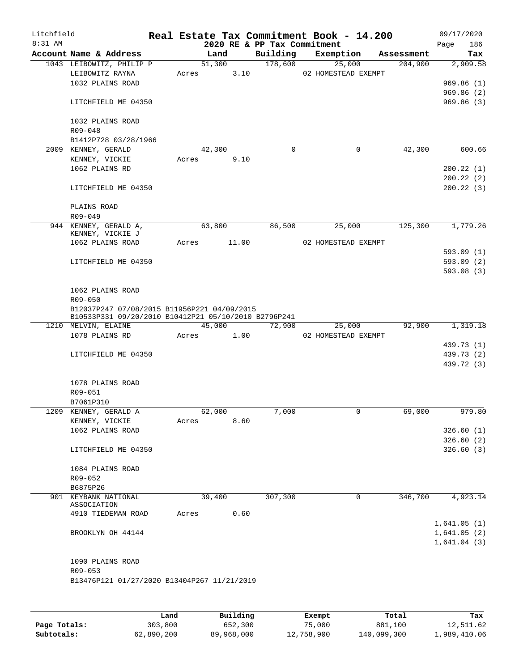| Litchfield<br>8:31 AM |                                                      |       |        |      | 2020 RE & PP Tax Commitment | Real Estate Tax Commitment Book - 14.200 |            | 09/17/2020<br>186<br>Page |
|-----------------------|------------------------------------------------------|-------|--------|------|-----------------------------|------------------------------------------|------------|---------------------------|
|                       | Account Name & Address                               |       | Land   |      | Building                    | Exemption                                | Assessment | Tax                       |
|                       | 1043 LEIBOWITZ, PHILIP P                             |       | 51,300 |      | 178,600                     | 25,000                                   | 204,900    | 2,909.58                  |
|                       | LEIBOWITZ RAYNA                                      | Acres |        | 3.10 |                             | 02 HOMESTEAD EXEMPT                      |            |                           |
|                       | 1032 PLAINS ROAD                                     |       |        |      |                             |                                          |            | 969.86(1)                 |
|                       |                                                      |       |        |      |                             |                                          |            | 969.86(2)                 |
|                       | LITCHFIELD ME 04350                                  |       |        |      |                             |                                          |            | 969.86(3)                 |
|                       | 1032 PLAINS ROAD                                     |       |        |      |                             |                                          |            |                           |
|                       | $R09 - 048$                                          |       |        |      |                             |                                          |            |                           |
|                       | B1412P728 03/28/1966                                 |       |        |      | $\mathbf 0$                 |                                          |            |                           |
|                       | 2009 KENNEY, GERALD                                  | Acres | 42,300 | 9.10 |                             | 0                                        | 42,300     | 600.66                    |
|                       | KENNEY, VICKIE<br>1062 PLAINS RD                     |       |        |      |                             |                                          |            | 200.22(1)                 |
|                       |                                                      |       |        |      |                             |                                          |            | 200.22(2)                 |
|                       | LITCHFIELD ME 04350                                  |       |        |      |                             |                                          |            | 200.22(3)                 |
|                       |                                                      |       |        |      |                             |                                          |            |                           |
|                       | PLAINS ROAD                                          |       |        |      |                             |                                          |            |                           |
|                       | R09-049                                              |       |        |      |                             |                                          |            |                           |
|                       | 944 KENNEY, GERALD A,                                |       | 63,800 |      | 86,500                      | 25,000                                   | 125,300    | 1,779.26                  |
|                       | KENNEY, VICKIE J                                     |       |        |      |                             |                                          |            |                           |
|                       | 1062 PLAINS ROAD                                     | Acres | 11.00  |      |                             | 02 HOMESTEAD EXEMPT                      |            |                           |
|                       |                                                      |       |        |      |                             |                                          |            | 593.09(1)                 |
|                       | LITCHFIELD ME 04350                                  |       |        |      |                             |                                          |            | 593.09(2)                 |
|                       |                                                      |       |        |      |                             |                                          |            | 593.08(3)                 |
|                       | 1062 PLAINS ROAD                                     |       |        |      |                             |                                          |            |                           |
|                       | R09-050                                              |       |        |      |                             |                                          |            |                           |
|                       | B12037P247 07/08/2015 B11956P221 04/09/2015          |       |        |      |                             |                                          |            |                           |
|                       | B10533P331 09/20/2010 B10412P21 05/10/2010 B2796P241 |       |        |      |                             |                                          |            |                           |
|                       | 1210 MELVIN, ELAINE                                  |       | 45,000 |      | 72,900                      | 25,000                                   | 92,900     | 1,319.18                  |
|                       | 1078 PLAINS RD                                       | Acres | 1.00   |      |                             | 02 HOMESTEAD EXEMPT                      |            |                           |
|                       |                                                      |       |        |      |                             |                                          |            | 439.73 (1)                |
|                       | LITCHFIELD ME 04350                                  |       |        |      |                             |                                          |            | 439.73 (2)                |
|                       |                                                      |       |        |      |                             |                                          |            | 439.72 (3)                |
|                       | 1078 PLAINS ROAD                                     |       |        |      |                             |                                          |            |                           |
|                       | R09-051                                              |       |        |      |                             |                                          |            |                           |
|                       | B7061P310                                            |       |        |      |                             |                                          |            |                           |
|                       | 1209 KENNEY, GERALD A                                |       | 62,000 |      | 7,000                       | $\overline{0}$                           | 69,000     | 979.80                    |
|                       | KENNEY, VICKIE                                       | Acres |        | 8.60 |                             |                                          |            |                           |
|                       | 1062 PLAINS ROAD                                     |       |        |      |                             |                                          |            | 326.60(1)                 |
|                       |                                                      |       |        |      |                             |                                          |            | 326.60(2)                 |
|                       | LITCHFIELD ME 04350                                  |       |        |      |                             |                                          |            | 326.60(3)                 |
|                       |                                                      |       |        |      |                             |                                          |            |                           |
|                       | 1084 PLAINS ROAD                                     |       |        |      |                             |                                          |            |                           |
|                       | R09-052                                              |       |        |      |                             |                                          |            |                           |
|                       | B6875P26                                             |       |        |      |                             |                                          |            |                           |
|                       | 901 KEYBANK NATIONAL<br>ASSOCIATION                  |       | 39,400 |      | 307,300                     | 0                                        | 346,700    | 4,923.14                  |
|                       | 4910 TIEDEMAN ROAD                                   | Acres |        | 0.60 |                             |                                          |            |                           |
|                       |                                                      |       |        |      |                             |                                          |            | 1,641.05(1)               |
|                       | BROOKLYN OH 44144                                    |       |        |      |                             |                                          |            | 1,641.05(2)               |
|                       |                                                      |       |        |      |                             |                                          |            | 1,641.04(3)               |
|                       |                                                      |       |        |      |                             |                                          |            |                           |
|                       | 1090 PLAINS ROAD                                     |       |        |      |                             |                                          |            |                           |
|                       | R09-053                                              |       |        |      |                             |                                          |            |                           |
|                       | B13476P121 01/27/2020 B13404P267 11/21/2019          |       |        |      |                             |                                          |            |                           |
|                       |                                                      |       |        |      |                             |                                          |            |                           |
|                       |                                                      |       |        |      |                             |                                          |            |                           |

|              | Land       | Building   | Exempt     | Total       | Tax          |
|--------------|------------|------------|------------|-------------|--------------|
| Page Totals: | 303,800    | 652,300    | 75,000     | 881,100     | 12,511.62    |
| Subtotals:   | 62,890,200 | 89,968,000 | 12,758,900 | 140,099,300 | 1,989,410.06 |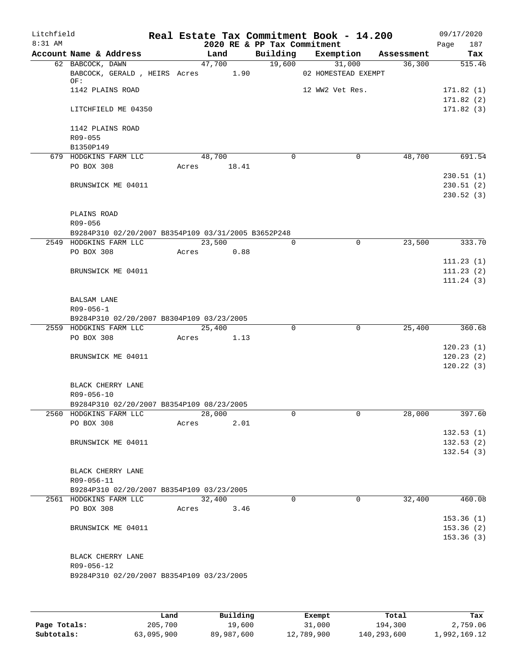| Litchfield |                                                              |       |             |      |                             | Real Estate Tax Commitment Book - 14.200 |            | 09/17/2020             |
|------------|--------------------------------------------------------------|-------|-------------|------|-----------------------------|------------------------------------------|------------|------------------------|
| $8:31$ AM  |                                                              |       |             |      | 2020 RE & PP Tax Commitment |                                          |            | 187<br>Page            |
|            | Account Name & Address                                       |       | Land        |      | Building                    | Exemption                                | Assessment | Tax                    |
|            | 62 BABCOCK, DAWN<br>BABCOCK, GERALD, HEIRS Acres 1.90<br>OF: |       | 47,700      |      | 19,600                      | 31,000<br>02 HOMESTEAD EXEMPT            | 36,300     | 515.46                 |
|            | 1142 PLAINS ROAD                                             |       |             |      |                             | 12 WW2 Vet Res.                          |            | 171.82(1)<br>171.82(2) |
|            | LITCHFIELD ME 04350                                          |       |             |      |                             |                                          |            | 171.82(3)              |
|            | 1142 PLAINS ROAD<br>$R09 - 055$                              |       |             |      |                             |                                          |            |                        |
|            | B1350P149                                                    |       |             |      |                             |                                          |            |                        |
|            | 679 HODGKINS FARM LLC                                        |       | 48,700      |      | $\Omega$                    | 0                                        | 48,700     | 691.54                 |
|            | PO BOX 308                                                   |       | Acres 18.41 |      |                             |                                          |            |                        |
|            |                                                              |       |             |      |                             |                                          |            | 230.51(1)              |
|            | BRUNSWICK ME 04011                                           |       |             |      |                             |                                          |            | 230.51(2)              |
|            |                                                              |       |             |      |                             |                                          |            | 230.52(3)              |
|            | PLAINS ROAD                                                  |       |             |      |                             |                                          |            |                        |
|            | R09-056                                                      |       |             |      |                             |                                          |            |                        |
|            | B9284P310 02/20/2007 B8354P109 03/31/2005 B3652P248          |       |             |      |                             |                                          |            |                        |
|            | 2549 HODGKINS FARM LLC                                       |       | 23,500      |      | 0                           | $\mathbf 0$                              | 23,500     | 333.70                 |
|            | PO BOX 308                                                   | Acres |             | 0.88 |                             |                                          |            |                        |
|            |                                                              |       |             |      |                             |                                          |            | 111.23(1)              |
|            | BRUNSWICK ME 04011                                           |       |             |      |                             |                                          |            | 111.23(2)              |
|            |                                                              |       |             |      |                             |                                          |            | 111.24(3)              |
|            | <b>BALSAM LANE</b><br>$R09 - 056 - 1$                        |       |             |      |                             |                                          |            |                        |
|            | B9284P310 02/20/2007 B8304P109 03/23/2005                    |       |             |      |                             |                                          |            |                        |
|            | 2559 HODGKINS FARM LLC                                       |       | 25,400      |      | 0                           | $\Omega$                                 | 25,400     | 360.68                 |
|            | PO BOX 308                                                   | Acres |             | 1.13 |                             |                                          |            |                        |
|            |                                                              |       |             |      |                             |                                          |            | 120.23(1)              |
|            | BRUNSWICK ME 04011                                           |       |             |      |                             |                                          |            | 120.23(2)              |
|            |                                                              |       |             |      |                             |                                          |            | 120.22(3)              |
|            | BLACK CHERRY LANE<br>R09-056-10                              |       |             |      |                             |                                          |            |                        |
|            | B9284P310 02/20/2007 B8354P109 08/23/2005                    |       |             |      |                             |                                          |            |                        |
|            | 2560 HODGKINS FARM LLC                                       |       | 28,000      |      | 0                           | 0                                        | 28,000     | 397.60                 |
|            | PO BOX 308                                                   | Acres |             | 2.01 |                             |                                          |            |                        |
|            |                                                              |       |             |      |                             |                                          |            | 132.53(1)              |
|            | BRUNSWICK ME 04011                                           |       |             |      |                             |                                          |            | 132.53(2)              |
|            |                                                              |       |             |      |                             |                                          |            | 132.54(3)              |
|            | BLACK CHERRY LANE                                            |       |             |      |                             |                                          |            |                        |
|            | R09-056-11                                                   |       |             |      |                             |                                          |            |                        |
|            | B9284P310 02/20/2007 B8354P109 03/23/2005                    |       |             |      |                             |                                          |            |                        |
|            | 2561 HODGKINS FARM LLC                                       |       | 32,400      |      | $\Omega$                    | $\Omega$                                 | 32,400     | 460.08                 |
|            | PO BOX 308                                                   | Acres |             | 3.46 |                             |                                          |            |                        |
|            |                                                              |       |             |      |                             |                                          |            | 153.36(1)              |
|            | BRUNSWICK ME 04011                                           |       |             |      |                             |                                          |            | 153.36(2)              |
|            |                                                              |       |             |      |                             |                                          |            | 153.36(3)              |
|            | BLACK CHERRY LANE                                            |       |             |      |                             |                                          |            |                        |
|            | R09-056-12                                                   |       |             |      |                             |                                          |            |                        |
|            | B9284P310 02/20/2007 B8354P109 03/23/2005                    |       |             |      |                             |                                          |            |                        |
|            |                                                              |       |             |      |                             |                                          |            |                        |
|            |                                                              |       |             |      |                             |                                          |            |                        |
|            |                                                              |       |             |      |                             |                                          |            |                        |
|            |                                                              |       |             |      |                             |                                          |            |                        |

|              | Land       | Building   | Exempt     | Total       | Tax          |
|--------------|------------|------------|------------|-------------|--------------|
| Page Totals: | 205,700    | 19,600     | 31,000     | 194,300     | 2,759.06     |
| Subtotals:   | 63,095,900 | 89,987,600 | 12,789,900 | 140,293,600 | 1,992,169.12 |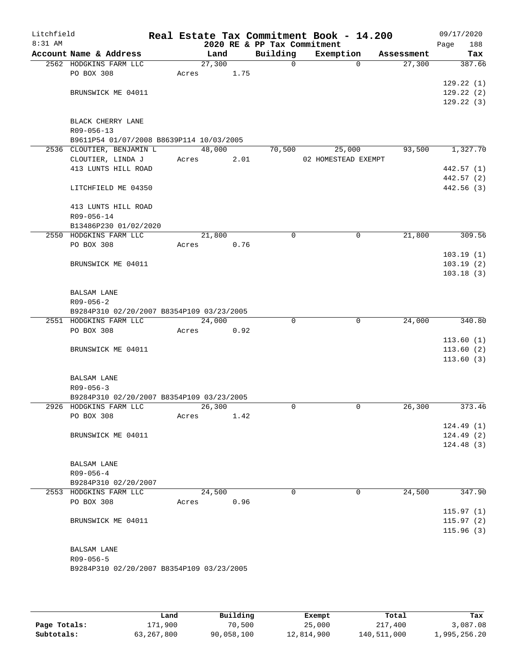| Litchfield |                                                              |       |        |      |                                         | Real Estate Tax Commitment Book - 14.200 |             |                      | 09/17/2020             |
|------------|--------------------------------------------------------------|-------|--------|------|-----------------------------------------|------------------------------------------|-------------|----------------------|------------------------|
| 8:31 AM    | Account Name & Address                                       |       | Land   |      | 2020 RE & PP Tax Commitment<br>Building |                                          |             |                      | Page<br>188            |
|            | 2562 HODGKINS FARM LLC                                       |       | 27,300 |      | $\mathbf 0$                             | Exemption                                | $\Omega$    | Assessment<br>27,300 | Tax<br>387.66          |
|            | PO BOX 308                                                   | Acres |        | 1.75 |                                         |                                          |             |                      |                        |
|            |                                                              |       |        |      |                                         |                                          |             |                      | 129.22(1)              |
|            | BRUNSWICK ME 04011                                           |       |        |      |                                         |                                          |             |                      | 129.22(2)              |
|            |                                                              |       |        |      |                                         |                                          |             |                      | 129.22(3)              |
|            |                                                              |       |        |      |                                         |                                          |             |                      |                        |
|            | BLACK CHERRY LANE                                            |       |        |      |                                         |                                          |             |                      |                        |
|            | R09-056-13<br>B9611P54 01/07/2008 B8639P114 10/03/2005       |       |        |      |                                         |                                          |             |                      |                        |
|            | 2536 CLOUTIER, BENJAMIN L                                    |       | 48,000 |      | 70,500                                  | 25,000                                   |             | 93,500               | 1,327.70               |
|            | CLOUTIER, LINDA J                                            | Acres |        | 2.01 |                                         | 02 HOMESTEAD EXEMPT                      |             |                      |                        |
|            | 413 LUNTS HILL ROAD                                          |       |        |      |                                         |                                          |             |                      | 442.57 (1)             |
|            |                                                              |       |        |      |                                         |                                          |             |                      | 442.57 (2)             |
|            | LITCHFIELD ME 04350                                          |       |        |      |                                         |                                          |             |                      | 442.56(3)              |
|            | 413 LUNTS HILL ROAD                                          |       |        |      |                                         |                                          |             |                      |                        |
|            | R09-056-14                                                   |       |        |      |                                         |                                          |             |                      |                        |
|            | B13486P230 01/02/2020                                        |       |        |      |                                         |                                          |             |                      |                        |
|            | 2550 HODGKINS FARM LLC<br>PO BOX 308                         | Acres | 21,800 | 0.76 | $\mathbf 0$                             |                                          | $\mathbf 0$ | 21,800               | 309.56                 |
|            |                                                              |       |        |      |                                         |                                          |             |                      | 103.19(1)              |
|            | BRUNSWICK ME 04011                                           |       |        |      |                                         |                                          |             |                      | 103.19(2)              |
|            |                                                              |       |        |      |                                         |                                          |             |                      | 103.18(3)              |
|            | <b>BALSAM LANE</b>                                           |       |        |      |                                         |                                          |             |                      |                        |
|            | $R09 - 056 - 2$                                              |       |        |      |                                         |                                          |             |                      |                        |
|            | B9284P310 02/20/2007 B8354P109 03/23/2005                    |       |        |      |                                         |                                          |             |                      |                        |
|            | 2551 HODGKINS FARM LLC                                       |       | 24,000 |      | 0                                       |                                          | $\mathbf 0$ | 24,000               | 340.80                 |
|            | PO BOX 308                                                   | Acres |        | 0.92 |                                         |                                          |             |                      |                        |
|            |                                                              |       |        |      |                                         |                                          |             |                      | 113.60(1)              |
|            | BRUNSWICK ME 04011                                           |       |        |      |                                         |                                          |             |                      | 113.60(2)<br>113.60(3) |
|            | <b>BALSAM LANE</b>                                           |       |        |      |                                         |                                          |             |                      |                        |
|            | $R09 - 056 - 3$                                              |       |        |      |                                         |                                          |             |                      |                        |
|            | B9284P310 02/20/2007 B8354P109 03/23/2005                    |       |        |      |                                         |                                          |             |                      |                        |
|            | 2926 HODGKINS FARM LLC                                       |       | 26,300 |      | $\Omega$                                |                                          | 0           | 26,300               | 373.46                 |
|            | PO BOX 308                                                   | Acres |        | 1.42 |                                         |                                          |             |                      |                        |
|            |                                                              |       |        |      |                                         |                                          |             |                      | 124.49(1)              |
|            | BRUNSWICK ME 04011                                           |       |        |      |                                         |                                          |             |                      | 124.49(2)              |
|            |                                                              |       |        |      |                                         |                                          |             |                      | 124.48(3)              |
|            | BALSAM LANE                                                  |       |        |      |                                         |                                          |             |                      |                        |
|            | $R09 - 056 - 4$                                              |       |        |      |                                         |                                          |             |                      |                        |
|            | B9284P310 02/20/2007                                         |       |        |      |                                         |                                          |             |                      |                        |
|            | 2553 HODGKINS FARM LLC                                       |       | 24,500 |      | $\Omega$                                |                                          | 0           | 24,500               | 347.90                 |
|            | PO BOX 308                                                   | Acres |        | 0.96 |                                         |                                          |             |                      |                        |
|            |                                                              |       |        |      |                                         |                                          |             |                      | 115.97(1)              |
|            | BRUNSWICK ME 04011                                           |       |        |      |                                         |                                          |             |                      | 115.97(2)              |
|            |                                                              |       |        |      |                                         |                                          |             |                      | 115.96(3)              |
|            | <b>BALSAM LANE</b>                                           |       |        |      |                                         |                                          |             |                      |                        |
|            | $R09 - 056 - 5$<br>B9284P310 02/20/2007 B8354P109 03/23/2005 |       |        |      |                                         |                                          |             |                      |                        |
|            |                                                              |       |        |      |                                         |                                          |             |                      |                        |
|            |                                                              |       |        |      |                                         |                                          |             |                      |                        |

|              | Land       | Building   | Exempt     | Total       | Tax          |
|--------------|------------|------------|------------|-------------|--------------|
| Page Totals: | 171,900    | 70,500     | 25,000     | 217,400     | 3,087.08     |
| Subtotals:   | 63,267,800 | 90,058,100 | 12,814,900 | 140,511,000 | 1,995,256.20 |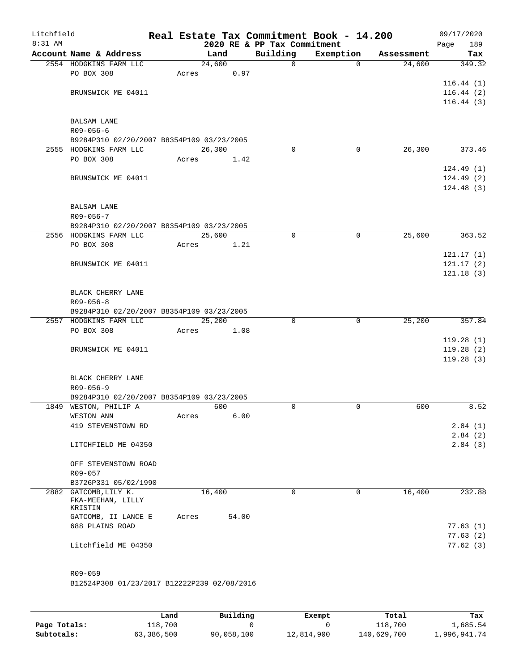| Litchfield<br>8:31 AM |                                                                     |       |        |       | 2020 RE & PP Tax Commitment | Real Estate Tax Commitment Book - 14.200 |            | 09/17/2020<br>189<br>Page |
|-----------------------|---------------------------------------------------------------------|-------|--------|-------|-----------------------------|------------------------------------------|------------|---------------------------|
|                       | Account Name & Address                                              |       | Land   |       | Building                    | Exemption                                | Assessment | Tax                       |
|                       | 2554 HODGKINS FARM LLC                                              |       | 24,600 |       | $\mathsf{O}$                | $\mathbf{0}$                             | 24,600     | 349.32                    |
|                       | PO BOX 308                                                          | Acres |        | 0.97  |                             |                                          |            |                           |
|                       |                                                                     |       |        |       |                             |                                          |            | 116.44(1)                 |
|                       | BRUNSWICK ME 04011                                                  |       |        |       |                             |                                          |            | 116.44(2)                 |
|                       |                                                                     |       |        |       |                             |                                          |            | 116.44(3)                 |
|                       |                                                                     |       |        |       |                             |                                          |            |                           |
|                       | <b>BALSAM LANE</b>                                                  |       |        |       |                             |                                          |            |                           |
|                       | $R09 - 056 - 6$                                                     |       |        |       |                             |                                          |            |                           |
|                       | B9284P310 02/20/2007 B8354P109 03/23/2005<br>2555 HODGKINS FARM LLC |       | 26,300 |       | $\Omega$                    | 0                                        | 26,300     | 373.46                    |
|                       | PO BOX 308                                                          | Acres |        | 1.42  |                             |                                          |            |                           |
|                       |                                                                     |       |        |       |                             |                                          |            | 124.49(1)                 |
|                       | BRUNSWICK ME 04011                                                  |       |        |       |                             |                                          |            | 124.49(2)                 |
|                       |                                                                     |       |        |       |                             |                                          |            | 124.48(3)                 |
|                       |                                                                     |       |        |       |                             |                                          |            |                           |
|                       | <b>BALSAM LANE</b>                                                  |       |        |       |                             |                                          |            |                           |
|                       | $R09 - 056 - 7$                                                     |       |        |       |                             |                                          |            |                           |
|                       | B9284P310 02/20/2007 B8354P109 03/23/2005                           |       |        |       |                             |                                          |            |                           |
|                       | 2556 HODGKINS FARM LLC                                              |       | 25,600 |       | 0                           | $\mathbf 0$                              | 25,600     | 363.52                    |
|                       | PO BOX 308                                                          | Acres |        | 1.21  |                             |                                          |            |                           |
|                       |                                                                     |       |        |       |                             |                                          |            | 121.17(1)                 |
|                       | BRUNSWICK ME 04011                                                  |       |        |       |                             |                                          |            | 121.17(2)                 |
|                       |                                                                     |       |        |       |                             |                                          |            | 121.18(3)                 |
|                       |                                                                     |       |        |       |                             |                                          |            |                           |
|                       | BLACK CHERRY LANE                                                   |       |        |       |                             |                                          |            |                           |
|                       | $R09 - 056 - 8$                                                     |       |        |       |                             |                                          |            |                           |
|                       | B9284P310 02/20/2007 B8354P109 03/23/2005                           |       |        |       |                             |                                          |            |                           |
|                       | 2557 HODGKINS FARM LLC                                              |       | 25,200 |       | $\Omega$                    | $\mathbf 0$                              | 25,200     | 357.84                    |
|                       | PO BOX 308                                                          | Acres |        | 1.08  |                             |                                          |            | 119.28(1)                 |
|                       | BRUNSWICK ME 04011                                                  |       |        |       |                             |                                          |            | 119.28(2)                 |
|                       |                                                                     |       |        |       |                             |                                          |            | 119.28(3)                 |
|                       |                                                                     |       |        |       |                             |                                          |            |                           |
|                       | BLACK CHERRY LANE                                                   |       |        |       |                             |                                          |            |                           |
|                       | $R09 - 056 - 9$                                                     |       |        |       |                             |                                          |            |                           |
|                       | B9284P310 02/20/2007 B8354P109 03/23/2005                           |       |        |       |                             |                                          |            |                           |
|                       | 1849 WESTON, PHILIP A                                               |       | 600    |       | $\Omega$                    | $\mathbf 0$                              | 600        | 8.52                      |
|                       | WESTON ANN                                                          | Acres |        | 6.00  |                             |                                          |            |                           |
|                       | 419 STEVENSTOWN RD                                                  |       |        |       |                             |                                          |            | 2.84(1)                   |
|                       |                                                                     |       |        |       |                             |                                          |            | 2.84(2)                   |
|                       | LITCHFIELD ME 04350                                                 |       |        |       |                             |                                          |            | 2.84(3)                   |
|                       |                                                                     |       |        |       |                             |                                          |            |                           |
|                       | OFF STEVENSTOWN ROAD                                                |       |        |       |                             |                                          |            |                           |
|                       | R09-057                                                             |       |        |       |                             |                                          |            |                           |
|                       | B3726P331 05/02/1990                                                |       |        |       |                             |                                          |            |                           |
|                       | 2882 GATCOMB, LILY K.<br>FKA-MEEHAN, LILLY                          |       | 16,400 |       | 0                           | 0                                        | 16,400     | 232.88                    |
|                       | KRISTIN                                                             |       |        |       |                             |                                          |            |                           |
|                       | GATCOMB, II LANCE E                                                 | Acres |        | 54.00 |                             |                                          |            |                           |
|                       | 688 PLAINS ROAD                                                     |       |        |       |                             |                                          |            | 77.63(1)                  |
|                       |                                                                     |       |        |       |                             |                                          |            | 77.63(2)                  |
|                       | Litchfield ME 04350                                                 |       |        |       |                             |                                          |            | 77.62(3)                  |
|                       |                                                                     |       |        |       |                             |                                          |            |                           |
|                       |                                                                     |       |        |       |                             |                                          |            |                           |
|                       | R09-059                                                             |       |        |       |                             |                                          |            |                           |
|                       | B12524P308 01/23/2017 B12222P239 02/08/2016                         |       |        |       |                             |                                          |            |                           |

**Page Totals:** 118,700 0 0 118,700 118,700 118,700 118,700 118,700 1,685.54<br>**Subtotals:** 63,386,500 90,058,100 12,814,900 140,629,700 1,996,941.74 **Subtotals:** 63,386,500 90,058,100 12,814,900 140,629,700 1,996,941.74 **Land Building Exempt Total Tax**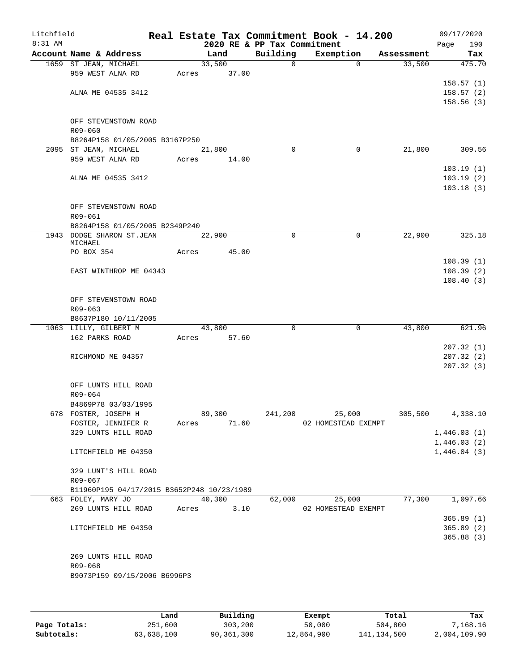| Litchfield<br>8:31 AM |                                                                  |       |                     | 2020 RE & PP Tax Commitment | Real Estate Tax Commitment Book - 14.200 |            | 09/17/2020<br>190<br>Page |
|-----------------------|------------------------------------------------------------------|-------|---------------------|-----------------------------|------------------------------------------|------------|---------------------------|
|                       | Account Name & Address                                           |       | Land                | Building                    | Exemption                                | Assessment | Tax                       |
|                       | 1659 ST JEAN, MICHAEL                                            |       | 33,500              | $\mathbf 0$                 | $\Omega$                                 | 33,500     | 475.70                    |
|                       | 959 WEST ALNA RD                                                 | Acres | 37.00               |                             |                                          |            |                           |
|                       |                                                                  |       |                     |                             |                                          |            | 158.57(1)                 |
|                       | ALNA ME 04535 3412                                               |       |                     |                             |                                          |            | 158.57(2)                 |
|                       |                                                                  |       |                     |                             |                                          |            | 158.56(3)                 |
|                       | OFF STEVENSTOWN ROAD                                             |       |                     |                             |                                          |            |                           |
|                       | R09-060                                                          |       |                     |                             |                                          |            |                           |
|                       | B8264P158 01/05/2005 B3167P250                                   |       |                     |                             |                                          |            |                           |
|                       | 2095 ST JEAN, MICHAEL                                            |       | $\overline{21,800}$ | 0                           | 0                                        | 21,800     | 309.56                    |
|                       | 959 WEST ALNA RD                                                 | Acres | 14.00               |                             |                                          |            |                           |
|                       |                                                                  |       |                     |                             |                                          |            | 103.19(1)                 |
|                       | ALNA ME 04535 3412                                               |       |                     |                             |                                          |            | 103.19(2)                 |
|                       |                                                                  |       |                     |                             |                                          |            | 103.18(3)                 |
|                       |                                                                  |       |                     |                             |                                          |            |                           |
|                       | OFF STEVENSTOWN ROAD                                             |       |                     |                             |                                          |            |                           |
|                       | R09-061<br>B8264P158 01/05/2005 B2349P240                        |       |                     |                             |                                          |            |                           |
|                       | 1943 DODGE SHARON ST.JEAN                                        |       | 22,900              | 0                           | 0                                        | 22,900     | 325.18                    |
|                       | MICHAEL                                                          |       |                     |                             |                                          |            |                           |
|                       | PO BOX 354                                                       | Acres | 45.00               |                             |                                          |            |                           |
|                       |                                                                  |       |                     |                             |                                          |            | 108.39(1)                 |
|                       | EAST WINTHROP ME 04343                                           |       |                     |                             |                                          |            | 108.39(2)                 |
|                       |                                                                  |       |                     |                             |                                          |            | 108.40(3)                 |
|                       | OFF STEVENSTOWN ROAD                                             |       |                     |                             |                                          |            |                           |
|                       | $R09 - 063$                                                      |       |                     |                             |                                          |            |                           |
|                       | B8637P180 10/11/2005                                             |       |                     |                             |                                          |            |                           |
|                       | 1063 LILLY, GILBERT M                                            |       | 43,800              | 0                           | 0                                        | 43,800     | 621.96                    |
|                       | 162 PARKS ROAD                                                   | Acres | 57.60               |                             |                                          |            |                           |
|                       |                                                                  |       |                     |                             |                                          |            | 207.32(1)                 |
|                       | RICHMOND ME 04357                                                |       |                     |                             |                                          |            | 207.32(2)                 |
|                       |                                                                  |       |                     |                             |                                          |            | 207.32(3)                 |
|                       |                                                                  |       |                     |                             |                                          |            |                           |
|                       | OFF LUNTS HILL ROAD<br>R09-064                                   |       |                     |                             |                                          |            |                           |
|                       | B4869P78 03/03/1995                                              |       |                     |                             |                                          |            |                           |
|                       | 678 FOSTER, JOSEPH H                                             |       | 89,300              | 241,200                     | 25,000                                   | 305,500    | 4,338.10                  |
|                       | FOSTER, JENNIFER R                                               |       | Acres 71.60         |                             | 02 HOMESTEAD EXEMPT                      |            |                           |
|                       | 329 LUNTS HILL ROAD                                              |       |                     |                             |                                          |            | 1,446.03(1)               |
|                       |                                                                  |       |                     |                             |                                          |            | 1,446.03(2)               |
|                       | LITCHFIELD ME 04350                                              |       |                     |                             |                                          |            | 1,446.04(3)               |
|                       |                                                                  |       |                     |                             |                                          |            |                           |
|                       | 329 LUNT'S HILL ROAD                                             |       |                     |                             |                                          |            |                           |
|                       | R09-067                                                          |       |                     |                             |                                          |            |                           |
|                       | B11960P195 04/17/2015 B3652P248 10/23/1989<br>663 FOLEY, MARY JO |       | 40,300              | 62,000                      | 25,000                                   | 77,300     | 1,097.66                  |
|                       | 269 LUNTS HILL ROAD                                              | Acres | 3.10                |                             | 02 HOMESTEAD EXEMPT                      |            |                           |
|                       |                                                                  |       |                     |                             |                                          |            | 365.89(1)                 |
|                       | LITCHFIELD ME 04350                                              |       |                     |                             |                                          |            | 365.89(2)                 |
|                       |                                                                  |       |                     |                             |                                          |            | 365.88(3)                 |
|                       |                                                                  |       |                     |                             |                                          |            |                           |
|                       | 269 LUNTS HILL ROAD                                              |       |                     |                             |                                          |            |                           |
|                       | R09-068                                                          |       |                     |                             |                                          |            |                           |
|                       | B9073P159 09/15/2006 B6996P3                                     |       |                     |                             |                                          |            |                           |
|                       |                                                                  |       |                     |                             |                                          |            |                           |
|                       |                                                                  |       |                     |                             |                                          |            |                           |

|              | Land       | Building   | Exempt     | Total         | Tax          |
|--------------|------------|------------|------------|---------------|--------------|
| Page Totals: | 251,600    | 303,200    | 50,000     | 504,800       | 7,168.16     |
| Subtotals:   | 63,638,100 | 90,361,300 | 12,864,900 | 141, 134, 500 | 2,004,109.90 |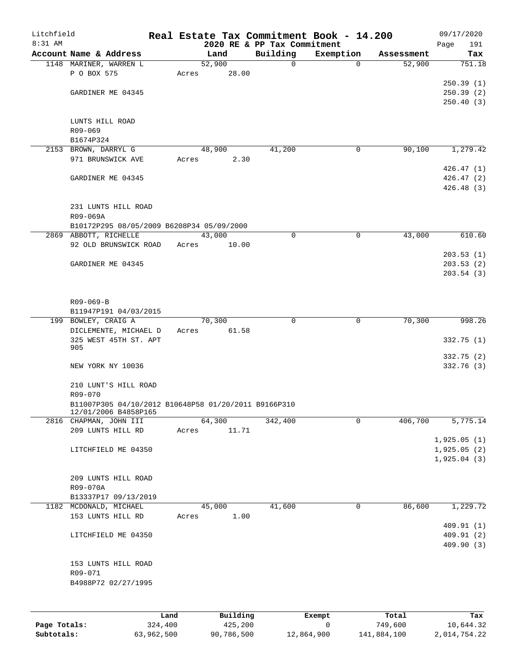| Litchfield |                                                                              |      |       |          |                                         | Real Estate Tax Commitment Book - 14.200 |            | 09/17/2020    |
|------------|------------------------------------------------------------------------------|------|-------|----------|-----------------------------------------|------------------------------------------|------------|---------------|
| 8:31 AM    | Account Name & Address                                                       |      |       | Land     | 2020 RE & PP Tax Commitment<br>Building | Exemption                                | Assessment | 191<br>Page   |
|            | 1148 MARINER, WARREN L                                                       |      |       | 52,900   | $\mathbf 0$                             | $\Omega$                                 | 52,900     | Tax<br>751.18 |
|            | P O BOX 575                                                                  |      | Acres | 28.00    |                                         |                                          |            |               |
|            |                                                                              |      |       |          |                                         |                                          |            | 250.39(1)     |
|            | GARDINER ME 04345                                                            |      |       |          |                                         |                                          |            | 250.39 (2)    |
|            |                                                                              |      |       |          |                                         |                                          |            | 250.40(3)     |
|            | LUNTS HILL ROAD                                                              |      |       |          |                                         |                                          |            |               |
|            | R09-069<br>B1674P324                                                         |      |       |          |                                         |                                          |            |               |
|            | 2153 BROWN, DARRYL G                                                         |      |       | 48,900   | 41,200                                  | 0                                        | 90,100     | 1,279.42      |
|            | 971 BRUNSWICK AVE                                                            |      | Acres | 2.30     |                                         |                                          |            |               |
|            |                                                                              |      |       |          |                                         |                                          |            | 426.47(1)     |
|            | GARDINER ME 04345                                                            |      |       |          |                                         |                                          |            | 426.47(2)     |
|            |                                                                              |      |       |          |                                         |                                          |            | 426.48(3)     |
|            | 231 LUNTS HILL ROAD<br>R09-069A                                              |      |       |          |                                         |                                          |            |               |
|            | B10172P295 08/05/2009 B6208P34 05/09/2000                                    |      |       |          |                                         |                                          |            |               |
|            | 2869 ABBOTT, RICHELLE                                                        |      |       | 43,000   | 0                                       | $\mathbf 0$                              | 43,000     | 610.60        |
|            | 92 OLD BRUNSWICK ROAD                                                        |      | Acres | 10.00    |                                         |                                          |            |               |
|            |                                                                              |      |       |          |                                         |                                          |            | 203.53(1)     |
|            | GARDINER ME 04345                                                            |      |       |          |                                         |                                          |            | 203.53(2)     |
|            |                                                                              |      |       |          |                                         |                                          |            | 203.54(3)     |
|            | R09-069-B                                                                    |      |       |          |                                         |                                          |            |               |
|            | B11947P191 04/03/2015                                                        |      |       |          |                                         |                                          |            |               |
|            | 199 BOWLEY, CRAIG A                                                          |      |       | 70,300   | $\Omega$                                | $\mathbf 0$                              | 70,300     | 998.26        |
|            | DICLEMENTE, MICHAEL D                                                        |      | Acres | 61.58    |                                         |                                          |            |               |
|            | 325 WEST 45TH ST. APT<br>905                                                 |      |       |          |                                         |                                          |            | 332.75(1)     |
|            |                                                                              |      |       |          |                                         |                                          |            | 332.75(2)     |
|            | NEW YORK NY 10036                                                            |      |       |          |                                         |                                          |            | 332.76 (3)    |
|            |                                                                              |      |       |          |                                         |                                          |            |               |
|            | 210 LUNT'S HILL ROAD                                                         |      |       |          |                                         |                                          |            |               |
|            | R09-070                                                                      |      |       |          |                                         |                                          |            |               |
|            | B11007P305 04/10/2012 B10648P58 01/20/2011 B9166P310<br>12/01/2006 B4858P165 |      |       |          |                                         |                                          |            |               |
|            | 2816 CHAPMAN, JOHN III                                                       |      |       | 64,300   | 342,400                                 | 0                                        | 406,700    | 5,775.14      |
|            | 209 LUNTS HILL RD                                                            |      | Acres | 11.71    |                                         |                                          |            |               |
|            |                                                                              |      |       |          |                                         |                                          |            | 1,925.05(1)   |
|            | LITCHFIELD ME 04350                                                          |      |       |          |                                         |                                          |            | 1,925.05(2)   |
|            |                                                                              |      |       |          |                                         |                                          |            | 1,925.04(3)   |
|            | 209 LUNTS HILL ROAD                                                          |      |       |          |                                         |                                          |            |               |
|            | R09-070A                                                                     |      |       |          |                                         |                                          |            |               |
|            | B13337P17 09/13/2019                                                         |      |       |          |                                         |                                          |            |               |
|            | 1182 MCDONALD, MICHAEL                                                       |      |       | 45,000   | 41,600                                  | 0                                        | 86,600     | 1,229.72      |
|            | 153 LUNTS HILL RD                                                            |      | Acres | 1.00     |                                         |                                          |            |               |
|            |                                                                              |      |       |          |                                         |                                          |            | 409.91(1)     |
|            | LITCHFIELD ME 04350                                                          |      |       |          |                                         |                                          |            | 409.91(2)     |
|            |                                                                              |      |       |          |                                         |                                          |            | 409.90 (3)    |
|            | 153 LUNTS HILL ROAD                                                          |      |       |          |                                         |                                          |            |               |
|            | R09-071                                                                      |      |       |          |                                         |                                          |            |               |
|            | B4988P72 02/27/1995                                                          |      |       |          |                                         |                                          |            |               |
|            |                                                                              |      |       |          |                                         |                                          |            |               |
|            |                                                                              | Land |       | Building |                                         | Exempt                                   | Total      | Tax           |

|              | -------    |            | -------    | ------      | ------       |
|--------------|------------|------------|------------|-------------|--------------|
| Page Totals: | 324,400    | 425,200    |            | 749,600     | 10,644.32    |
| Subtotals:   | 63,962,500 | 90,786,500 | 12,864,900 | 141,884,100 | 2,014,754.22 |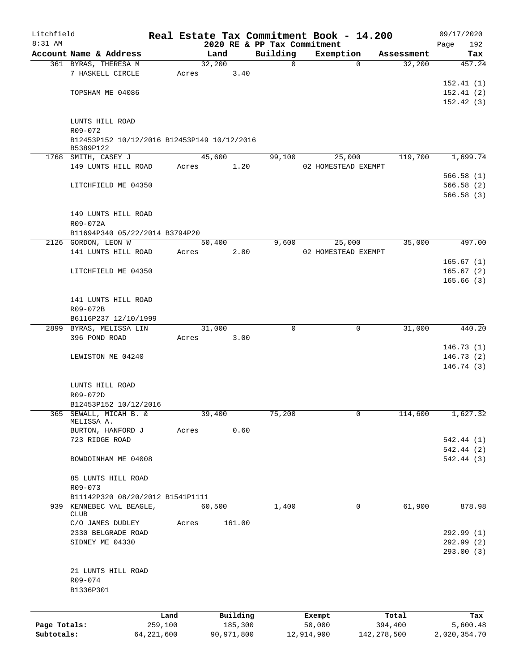| Litchfield   |                                             |              |       |                |            |                             | Real Estate Tax Commitment Book - 14.200 |               |                      | 09/17/2020         |
|--------------|---------------------------------------------|--------------|-------|----------------|------------|-----------------------------|------------------------------------------|---------------|----------------------|--------------------|
| 8:31 AM      | Account Name & Address                      |              |       |                |            | 2020 RE & PP Tax Commitment |                                          |               |                      | 192<br>Page<br>Tax |
|              | 361 BYRAS, THERESA M                        |              |       | Land<br>32,200 |            | Building<br>$\mathbf 0$     | Exemption                                | $\Omega$      | Assessment<br>32,200 | 457.24             |
|              | 7 HASKELL CIRCLE                            |              | Acres |                | 3.40       |                             |                                          |               |                      |                    |
|              |                                             |              |       |                |            |                             |                                          |               |                      | 152.41(1)          |
|              | TOPSHAM ME 04086                            |              |       |                |            |                             |                                          |               |                      | 152.41(2)          |
|              |                                             |              |       |                |            |                             |                                          |               |                      | 152.42(3)          |
|              |                                             |              |       |                |            |                             |                                          |               |                      |                    |
|              | LUNTS HILL ROAD                             |              |       |                |            |                             |                                          |               |                      |                    |
|              | R09-072                                     |              |       |                |            |                             |                                          |               |                      |                    |
|              | B12453P152 10/12/2016 B12453P149 10/12/2016 |              |       |                |            |                             |                                          |               |                      |                    |
|              | B5389P122                                   |              |       |                |            |                             |                                          |               |                      |                    |
|              | 1768 SMITH, CASEY J                         |              |       | 45,600         |            | 99,100                      | 25,000                                   |               | 119,700              | 1,699.74           |
|              | 149 LUNTS HILL ROAD                         |              | Acres |                | 1.20       |                             | 02 HOMESTEAD EXEMPT                      |               |                      |                    |
|              |                                             |              |       |                |            |                             |                                          |               |                      | 566.58(1)          |
|              | LITCHFIELD ME 04350                         |              |       |                |            |                             |                                          |               |                      | 566.58 (2)         |
|              |                                             |              |       |                |            |                             |                                          |               |                      | 566.58(3)          |
|              |                                             |              |       |                |            |                             |                                          |               |                      |                    |
|              | 149 LUNTS HILL ROAD                         |              |       |                |            |                             |                                          |               |                      |                    |
|              | R09-072A                                    |              |       |                |            |                             |                                          |               |                      |                    |
|              | B11694P340 05/22/2014 B3794P20              |              |       |                |            |                             |                                          |               |                      |                    |
|              | 2126 GORDON, LEON W                         |              |       | 50,400         |            | 9,600                       | 25,000                                   |               | 35,000               | 497.00             |
|              | 141 LUNTS HILL ROAD                         |              | Acres |                | 2.80       |                             | 02 HOMESTEAD EXEMPT                      |               |                      |                    |
|              |                                             |              |       |                |            |                             |                                          |               |                      | 165.67(1)          |
|              | LITCHFIELD ME 04350                         |              |       |                |            |                             |                                          |               |                      | 165.67(2)          |
|              |                                             |              |       |                |            |                             |                                          |               |                      | 165.66(3)          |
|              |                                             |              |       |                |            |                             |                                          |               |                      |                    |
|              | 141 LUNTS HILL ROAD<br>R09-072B             |              |       |                |            |                             |                                          |               |                      |                    |
|              | B6116P237 12/10/1999                        |              |       |                |            |                             |                                          |               |                      |                    |
|              | 2899 BYRAS, MELISSA LIN                     |              |       | 31,000         |            | $\Omega$                    |                                          | 0             | 31,000               | 440.20             |
|              | 396 POND ROAD                               |              | Acres |                | 3.00       |                             |                                          |               |                      |                    |
|              |                                             |              |       |                |            |                             |                                          |               |                      | 146.73(1)          |
|              | LEWISTON ME 04240                           |              |       |                |            |                             |                                          |               |                      | 146.73(2)          |
|              |                                             |              |       |                |            |                             |                                          |               |                      | 146.74 (3)         |
|              |                                             |              |       |                |            |                             |                                          |               |                      |                    |
|              | LUNTS HILL ROAD                             |              |       |                |            |                             |                                          |               |                      |                    |
|              | R09-072D                                    |              |       |                |            |                             |                                          |               |                      |                    |
|              | B12453P152 10/12/2016                       |              |       |                |            |                             |                                          |               |                      |                    |
| 365          | SEWALL, MICAH B. &                          |              |       | 39,400         |            | 75,200                      |                                          | 0             | 114,600              | 1,627.32           |
|              | MELISSA A.                                  |              |       |                |            |                             |                                          |               |                      |                    |
|              | BURTON, HANFORD J                           |              | Acres |                | 0.60       |                             |                                          |               |                      |                    |
|              | 723 RIDGE ROAD                              |              |       |                |            |                             |                                          |               |                      | 542.44 (1)         |
|              |                                             |              |       |                |            |                             |                                          |               |                      | 542.44 (2)         |
|              | BOWDOINHAM ME 04008                         |              |       |                |            |                             |                                          |               |                      | 542.44 (3)         |
|              |                                             |              |       |                |            |                             |                                          |               |                      |                    |
|              | 85 LUNTS HILL ROAD                          |              |       |                |            |                             |                                          |               |                      |                    |
|              | $R09 - 073$                                 |              |       |                |            |                             |                                          |               |                      |                    |
|              | B11142P320 08/20/2012 B1541P1111            |              |       |                |            |                             |                                          |               |                      |                    |
| 939          | KENNEBEC VAL BEAGLE,<br><b>CLUB</b>         |              |       | 60,500         |            | 1,400                       |                                          | 0             | 61,900               | 878.98             |
|              | C/O JAMES DUDLEY                            |              | Acres |                | 161.00     |                             |                                          |               |                      |                    |
|              | 2330 BELGRADE ROAD                          |              |       |                |            |                             |                                          |               |                      | 292.99 (1)         |
|              | SIDNEY ME 04330                             |              |       |                |            |                             |                                          |               |                      | 292.99(2)          |
|              |                                             |              |       |                |            |                             |                                          |               |                      | 293.00(3)          |
|              |                                             |              |       |                |            |                             |                                          |               |                      |                    |
|              | 21 LUNTS HILL ROAD                          |              |       |                |            |                             |                                          |               |                      |                    |
|              | R09-074                                     |              |       |                |            |                             |                                          |               |                      |                    |
|              | B1336P301                                   |              |       |                |            |                             |                                          |               |                      |                    |
|              |                                             |              |       |                |            |                             |                                          |               |                      |                    |
|              |                                             |              |       |                |            |                             |                                          |               |                      |                    |
|              |                                             | Land         |       |                | Building   |                             | Exempt                                   |               | Total                | Tax                |
| Page Totals: |                                             | 259,100      |       |                | 185,300    |                             | 50,000                                   |               | 394,400              | 5,600.48           |
| Subtotals:   |                                             | 64, 221, 600 |       |                | 90,971,800 |                             | 12,914,900                               | 142, 278, 500 |                      | 2,020,354.70       |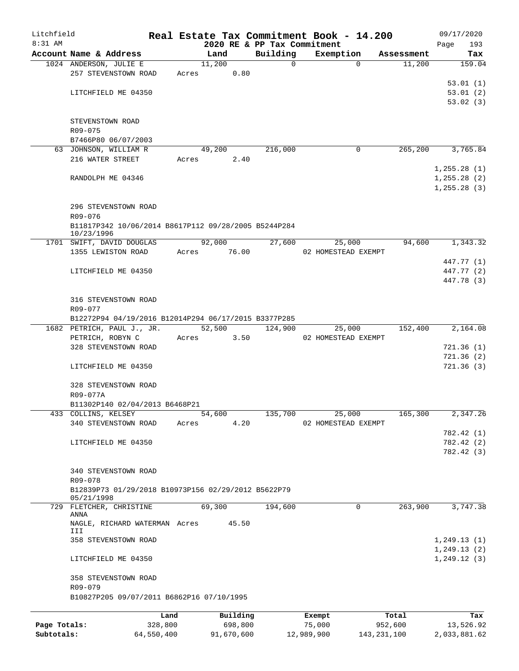| Litchfield   |                                                                   |         |                             |                         | Real Estate Tax Commitment Book - 14.200 |                      | 09/17/2020    |
|--------------|-------------------------------------------------------------------|---------|-----------------------------|-------------------------|------------------------------------------|----------------------|---------------|
| $8:31$ AM    | Account Name & Address                                            |         | 2020 RE & PP Tax Commitment |                         | Exemption                                |                      | 193<br>Page   |
|              | 1024 ANDERSON, JULIE E                                            |         | Land<br>11,200              | Building<br>$\mathbf 0$ | $\Omega$                                 | Assessment<br>11,200 | Tax<br>159.04 |
|              | 257 STEVENSTOWN ROAD                                              | Acres   | 0.80                        |                         |                                          |                      |               |
|              |                                                                   |         |                             |                         |                                          |                      | 53.01(1)      |
|              | LITCHFIELD ME 04350                                               |         |                             |                         |                                          |                      | 53.01(2)      |
|              |                                                                   |         |                             |                         |                                          |                      | 53.02(3)      |
|              |                                                                   |         |                             |                         |                                          |                      |               |
|              | STEVENSTOWN ROAD<br>$R09 - 075$                                   |         |                             |                         |                                          |                      |               |
|              | B7466P80 06/07/2003                                               |         |                             |                         |                                          |                      |               |
|              | 63 JOHNSON, WILLIAM R                                             |         | 49,200                      | 216,000                 | 0                                        | 265,200              | 3,765.84      |
|              | 216 WATER STREET                                                  | Acres   | 2.40                        |                         |                                          |                      |               |
|              |                                                                   |         |                             |                         |                                          |                      | 1, 255.28(1)  |
|              | RANDOLPH ME 04346                                                 |         |                             |                         |                                          |                      | 1, 255.28(2)  |
|              |                                                                   |         |                             |                         |                                          |                      | 1, 255.28(3)  |
|              |                                                                   |         |                             |                         |                                          |                      |               |
|              | 296 STEVENSTOWN ROAD                                              |         |                             |                         |                                          |                      |               |
|              | R09-076<br>B11817P342 10/06/2014 B8617P112 09/28/2005 B5244P284   |         |                             |                         |                                          |                      |               |
|              | 10/23/1996                                                        |         |                             |                         |                                          |                      |               |
|              | 1701 SWIFT, DAVID DOUGLAS                                         |         | 92,000                      | 27,600                  | 25,000                                   | 94,600               | 1,343.32      |
|              | 1355 LEWISTON ROAD                                                | Acres   | 76.00                       |                         | 02 HOMESTEAD EXEMPT                      |                      |               |
|              |                                                                   |         |                             |                         |                                          |                      | 447.77 (1)    |
|              | LITCHFIELD ME 04350                                               |         |                             |                         |                                          |                      | 447.77 (2)    |
|              |                                                                   |         |                             |                         |                                          |                      | 447.78 (3)    |
|              | 316 STEVENSTOWN ROAD                                              |         |                             |                         |                                          |                      |               |
|              | R09-077                                                           |         |                             |                         |                                          |                      |               |
|              | B12272P94 04/19/2016 B12014P294 06/17/2015 B3377P285              |         |                             |                         |                                          |                      |               |
|              | 1682 PETRICH, PAUL J., JR.                                        |         | 52,500                      | 124,900                 | 25,000                                   | 152,400              | 2,164.08      |
|              | PETRICH, ROBYN C                                                  | Acres   | 3.50                        |                         | 02 HOMESTEAD EXEMPT                      |                      |               |
|              | 328 STEVENSTOWN ROAD                                              |         |                             |                         |                                          |                      | 721.36(1)     |
|              |                                                                   |         |                             |                         |                                          |                      | 721.36(2)     |
|              | LITCHFIELD ME 04350                                               |         |                             |                         |                                          |                      | 721.36(3)     |
|              |                                                                   |         |                             |                         |                                          |                      |               |
|              | 328 STEVENSTOWN ROAD                                              |         |                             |                         |                                          |                      |               |
|              | R09-077A<br>B11302P140 02/04/2013 B6468P21                        |         |                             |                         |                                          |                      |               |
|              | 433 COLLINS, KELSEY                                               |         | 54,600                      | 135,700                 | 25,000                                   | 165,300              | 2,347.26      |
|              | 340 STEVENSTOWN ROAD                                              | Acres   | 4.20                        |                         | 02 HOMESTEAD EXEMPT                      |                      |               |
|              |                                                                   |         |                             |                         |                                          |                      | 782.42 (1)    |
|              | LITCHFIELD ME 04350                                               |         |                             |                         |                                          |                      | 782.42 (2)    |
|              |                                                                   |         |                             |                         |                                          |                      | 782.42 (3)    |
|              |                                                                   |         |                             |                         |                                          |                      |               |
|              | 340 STEVENSTOWN ROAD                                              |         |                             |                         |                                          |                      |               |
|              | R09-078                                                           |         |                             |                         |                                          |                      |               |
|              | B12839P73 01/29/2018 B10973P156 02/29/2012 B5622P79<br>05/21/1998 |         |                             |                         |                                          |                      |               |
|              | 729 FLETCHER, CHRISTINE                                           |         | 69,300                      | 194,600                 | 0                                        | 263,900              | 3,747.38      |
|              | ANNA                                                              |         |                             |                         |                                          |                      |               |
|              | NAGLE, RICHARD WATERMAN Acres<br>III                              |         | 45.50                       |                         |                                          |                      |               |
|              | 358 STEVENSTOWN ROAD                                              |         |                             |                         |                                          |                      | 1,249.13(1)   |
|              |                                                                   |         |                             |                         |                                          |                      | 1, 249.13(2)  |
|              | LITCHFIELD ME 04350                                               |         |                             |                         |                                          |                      | 1, 249.12(3)  |
|              |                                                                   |         |                             |                         |                                          |                      |               |
|              | 358 STEVENSTOWN ROAD                                              |         |                             |                         |                                          |                      |               |
|              | R09-079<br>B10827P205 09/07/2011 B6862P16 07/10/1995              |         |                             |                         |                                          |                      |               |
|              |                                                                   |         |                             |                         |                                          |                      |               |
|              |                                                                   | Land    | Building                    |                         | Exempt                                   | Total                | Tax           |
| Page Totals: |                                                                   | 328,800 | 698,800                     |                         | 75,000                                   | 952,600              | 13,526.92     |

**Subtotals:** 64,550,400 91,670,600 12,989,900 143,231,100 2,033,881.62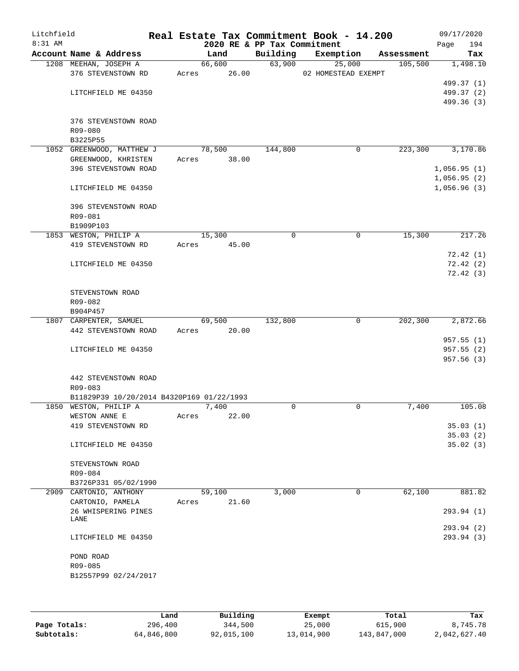| Litchfield<br>8:31 AM |                                           |       |        | 2020 RE & PP Tax Commitment | Real Estate Tax Commitment Book - 14.200 |            | 09/17/2020<br>Page<br>194 |
|-----------------------|-------------------------------------------|-------|--------|-----------------------------|------------------------------------------|------------|---------------------------|
|                       | Account Name & Address                    |       | Land   | Building                    | Exemption                                | Assessment | Tax                       |
|                       | 1208 MEEHAN, JOSEPH A                     |       | 66,600 | 63,900                      | 25,000                                   | 105,500    | 1,498.10                  |
|                       | 376 STEVENSTOWN RD                        | Acres | 26.00  |                             | 02 HOMESTEAD EXEMPT                      |            |                           |
|                       |                                           |       |        |                             |                                          |            | 499.37 (1)                |
|                       | LITCHFIELD ME 04350                       |       |        |                             |                                          |            | 499.37 (2)                |
|                       |                                           |       |        |                             |                                          |            | 499.36 (3)                |
|                       |                                           |       |        |                             |                                          |            |                           |
|                       | 376 STEVENSTOWN ROAD                      |       |        |                             |                                          |            |                           |
|                       | R09-080                                   |       |        |                             |                                          |            |                           |
|                       | B3225P55                                  |       |        |                             |                                          |            |                           |
|                       | 1052 GREENWOOD, MATTHEW J                 |       | 78,500 | 144,800                     | $\mathbf 0$                              | 223,300    | 3,170.86                  |
|                       | GREENWOOD, KHRISTEN                       | Acres | 38.00  |                             |                                          |            |                           |
|                       | 396 STEVENSTOWN ROAD                      |       |        |                             |                                          |            | 1,056.95(1)               |
|                       |                                           |       |        |                             |                                          |            | 1,056.95(2)               |
|                       | LITCHFIELD ME 04350                       |       |        |                             |                                          |            | 1,056.96(3)               |
|                       |                                           |       |        |                             |                                          |            |                           |
|                       | 396 STEVENSTOWN ROAD                      |       |        |                             |                                          |            |                           |
|                       | R09-081                                   |       |        |                             |                                          |            |                           |
|                       | B1909P103                                 |       |        |                             |                                          |            |                           |
|                       | 1853 WESTON, PHILIP A                     |       | 15,300 | 0                           | 0                                        | 15,300     | 217.26                    |
|                       | 419 STEVENSTOWN RD                        | Acres | 45.00  |                             |                                          |            |                           |
|                       |                                           |       |        |                             |                                          |            |                           |
|                       |                                           |       |        |                             |                                          |            | 72.42(1)                  |
|                       | LITCHFIELD ME 04350                       |       |        |                             |                                          |            | 72.42(2)                  |
|                       |                                           |       |        |                             |                                          |            | 72.42(3)                  |
|                       |                                           |       |        |                             |                                          |            |                           |
|                       | STEVENSTOWN ROAD                          |       |        |                             |                                          |            |                           |
|                       | R09-082                                   |       |        |                             |                                          |            |                           |
|                       | B904P457                                  |       |        |                             |                                          |            |                           |
|                       | 1807 CARPENTER, SAMUEL                    |       | 69,500 | 132,800                     | $\mathbf 0$                              | 202,300    | 2,872.66                  |
|                       | 442 STEVENSTOWN ROAD                      | Acres | 20.00  |                             |                                          |            |                           |
|                       |                                           |       |        |                             |                                          |            | 957.55(1)                 |
|                       | LITCHFIELD ME 04350                       |       |        |                             |                                          |            | 957.55(2)                 |
|                       |                                           |       |        |                             |                                          |            | 957.56(3)                 |
|                       |                                           |       |        |                             |                                          |            |                           |
|                       | 442 STEVENSTOWN ROAD                      |       |        |                             |                                          |            |                           |
|                       | R09-083                                   |       |        |                             |                                          |            |                           |
|                       | B11829P39 10/20/2014 B4320P169 01/22/1993 |       |        |                             |                                          |            |                           |
|                       | 1850 WESTON, PHILIP A                     |       | 7,400  | $\Omega$                    | $\mathbf 0$                              | 7,400      | 105.08                    |
|                       | WESTON ANNE E                             | Acres | 22.00  |                             |                                          |            |                           |
|                       | 419 STEVENSTOWN RD                        |       |        |                             |                                          |            | 35.03(1)                  |
|                       |                                           |       |        |                             |                                          |            | 35.03(2)                  |
|                       | LITCHFIELD ME 04350                       |       |        |                             |                                          |            | 35.02(3)                  |
|                       |                                           |       |        |                             |                                          |            |                           |
|                       | STEVENSTOWN ROAD                          |       |        |                             |                                          |            |                           |
|                       | R09-084                                   |       |        |                             |                                          |            |                           |
|                       | B3726P331 05/02/1990                      |       |        |                             |                                          |            |                           |
|                       | 2909 CARTONIO, ANTHONY                    |       | 59,100 | 3,000                       | 0                                        | 62,100     | 881.82                    |
|                       | CARTONIO, PAMELA                          | Acres | 21.60  |                             |                                          |            |                           |
|                       | 26 WHISPERING PINES                       |       |        |                             |                                          |            | 293.94 (1)                |
|                       | LANE                                      |       |        |                             |                                          |            |                           |
|                       |                                           |       |        |                             |                                          |            | 293.94 (2)                |
|                       | LITCHFIELD ME 04350                       |       |        |                             |                                          |            | 293.94 (3)                |
|                       |                                           |       |        |                             |                                          |            |                           |
|                       | POND ROAD                                 |       |        |                             |                                          |            |                           |
|                       | R09-085                                   |       |        |                             |                                          |            |                           |
|                       | B12557P99 02/24/2017                      |       |        |                             |                                          |            |                           |
|                       |                                           |       |        |                             |                                          |            |                           |
|                       |                                           |       |        |                             |                                          |            |                           |
|                       |                                           |       |        |                             |                                          |            |                           |

|              | Land       | Building   | Exempt     | Total       | Tax          |
|--------------|------------|------------|------------|-------------|--------------|
| Page Totals: | 296,400    | 344,500    | 25,000     | 615,900     | 8,745.78     |
| Subtotals:   | 64,846,800 | 92,015,100 | 13,014,900 | 143,847,000 | 2,042,627.40 |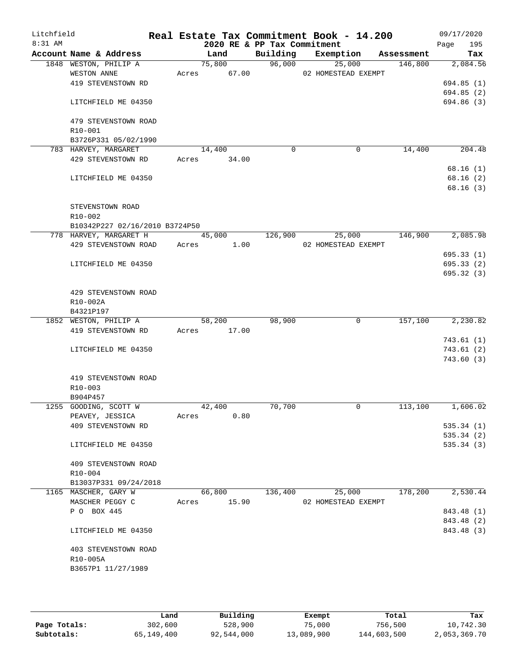| Litchfield<br>8:31 AM |                                               |       | 2020 RE & PP Tax Commitment |             | Real Estate Tax Commitment Book - 14.200 |            | 09/17/2020<br>195<br>Page |
|-----------------------|-----------------------------------------------|-------|-----------------------------|-------------|------------------------------------------|------------|---------------------------|
|                       | Account Name & Address                        |       | Land                        | Building    | Exemption                                | Assessment | Tax                       |
|                       | 1848 WESTON, PHILIP A                         |       | 75,800                      |             | 96,000<br>25,000                         | 146,800    | 2,084.56                  |
|                       | WESTON ANNE                                   | Acres | 67.00                       |             | 02 HOMESTEAD EXEMPT                      |            |                           |
|                       | 419 STEVENSTOWN RD                            |       |                             |             |                                          |            | 694.85(1)                 |
|                       |                                               |       |                             |             |                                          |            | 694.85(2)                 |
|                       | LITCHFIELD ME 04350                           |       |                             |             |                                          |            | 694.86 (3)                |
|                       |                                               |       |                             |             |                                          |            |                           |
|                       | 479 STEVENSTOWN ROAD                          |       |                             |             |                                          |            |                           |
|                       | R10-001<br>B3726P331 05/02/1990               |       |                             |             |                                          |            |                           |
|                       | 783 HARVEY, MARGARET                          |       | 14,400                      | $\mathbf 0$ | 0                                        | 14,400     | 204.48                    |
|                       | 429 STEVENSTOWN RD                            |       | Acres 34.00                 |             |                                          |            |                           |
|                       |                                               |       |                             |             |                                          |            | 68.16(1)                  |
|                       | LITCHFIELD ME 04350                           |       |                             |             |                                          |            | 68.16(2)                  |
|                       |                                               |       |                             |             |                                          |            | 68.16(3)                  |
|                       |                                               |       |                             |             |                                          |            |                           |
|                       | STEVENSTOWN ROAD                              |       |                             |             |                                          |            |                           |
|                       | R10-002                                       |       |                             |             |                                          |            |                           |
|                       | B10342P227 02/16/2010 B3724P50                |       |                             |             |                                          |            |                           |
|                       | 778 HARVEY, MARGARET H                        |       | 45,000                      | 126,900     | 25,000                                   | 146,900    | 2,085.98                  |
|                       | 429 STEVENSTOWN ROAD                          | Acres | 1.00                        |             | 02 HOMESTEAD EXEMPT                      |            |                           |
|                       |                                               |       |                             |             |                                          |            | 695.33(1)                 |
|                       | LITCHFIELD ME 04350                           |       |                             |             |                                          |            | 695.33(2)                 |
|                       |                                               |       |                             |             |                                          |            | 695.32(3)                 |
|                       |                                               |       |                             |             |                                          |            |                           |
|                       | 429 STEVENSTOWN ROAD                          |       |                             |             |                                          |            |                           |
|                       | R10-002A                                      |       |                             |             |                                          |            |                           |
|                       | B4321P197<br>1852 WESTON, PHILIP A            |       | $\overline{58,200}$         | 98,900      | $\mathbf 0$                              | 157,100    | 2,230.82                  |
|                       | 419 STEVENSTOWN RD                            | Acres | 17.00                       |             |                                          |            |                           |
|                       |                                               |       |                             |             |                                          |            | 743.61(1)                 |
|                       | LITCHFIELD ME 04350                           |       |                             |             |                                          |            | 743.61(2)                 |
|                       |                                               |       |                             |             |                                          |            | 743.60(3)                 |
|                       |                                               |       |                             |             |                                          |            |                           |
|                       | 419 STEVENSTOWN ROAD                          |       |                             |             |                                          |            |                           |
|                       | R10-003                                       |       |                             |             |                                          |            |                           |
|                       | B904P457                                      |       |                             |             |                                          |            |                           |
|                       | 1255 GOODING, SCOTT W                         |       | 42,400                      | 70,700      | 0                                        | 113,100    | 1,606.02                  |
|                       | PEAVEY, JESSICA                               | Acres | 0.80                        |             |                                          |            |                           |
|                       | 409 STEVENSTOWN RD                            |       |                             |             |                                          |            | 535.34(1)                 |
|                       |                                               |       |                             |             |                                          |            | 535.34(2)                 |
|                       | LITCHFIELD ME 04350                           |       |                             |             |                                          |            | 535.34(3)                 |
|                       |                                               |       |                             |             |                                          |            |                           |
|                       | 409 STEVENSTOWN ROAD                          |       |                             |             |                                          |            |                           |
|                       | $R10 - 004$                                   |       |                             |             |                                          |            |                           |
|                       | B13037P331 09/24/2018<br>1165 MASCHER, GARY W |       | 66,800                      | 136,400     | 25,000                                   | 178,200    | 2,530.44                  |
|                       | MASCHER PEGGY C                               | Acres | 15.90                       |             | 02 HOMESTEAD EXEMPT                      |            |                           |
|                       | P O BOX 445                                   |       |                             |             |                                          |            | 843.48 (1)                |
|                       |                                               |       |                             |             |                                          |            | 843.48 (2)                |
|                       | LITCHFIELD ME 04350                           |       |                             |             |                                          |            | 843.48 (3)                |
|                       |                                               |       |                             |             |                                          |            |                           |
|                       | 403 STEVENSTOWN ROAD                          |       |                             |             |                                          |            |                           |
|                       | R10-005A                                      |       |                             |             |                                          |            |                           |
|                       | B3657P1 11/27/1989                            |       |                             |             |                                          |            |                           |
|                       |                                               |       |                             |             |                                          |            |                           |
|                       |                                               |       |                             |             |                                          |            |                           |

|              | Land       | Building   | Exempt     | Total       | Tax          |
|--------------|------------|------------|------------|-------------|--------------|
| Page Totals: | 302,600    | 528,900    | 75,000     | 756,500     | 10,742.30    |
| Subtotals:   | 65,149,400 | 92,544,000 | 13,089,900 | 144,603,500 | 2,053,369.70 |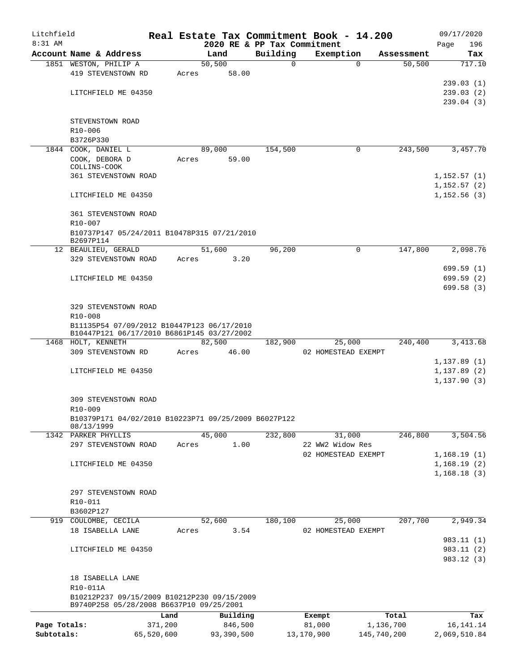| Litchfield   |                                                                                          |         |                 |                             | Real Estate Tax Commitment Book - 14.200 |             | 09/17/2020   |
|--------------|------------------------------------------------------------------------------------------|---------|-----------------|-----------------------------|------------------------------------------|-------------|--------------|
| $8:31$ AM    |                                                                                          |         |                 | 2020 RE & PP Tax Commitment |                                          |             | 196<br>Page  |
|              | Account Name & Address                                                                   |         | Land            | Building                    | Exemption                                | Assessment  | Tax          |
|              | 1851 WESTON, PHILIP A<br>419 STEVENSTOWN RD                                              | Acres   | 50,500<br>58.00 | 0                           | $\Omega$                                 | 50, 500     | 717.10       |
|              |                                                                                          |         |                 |                             |                                          |             | 239.03(1)    |
|              | LITCHFIELD ME 04350                                                                      |         |                 |                             |                                          |             | 239.03(2)    |
|              |                                                                                          |         |                 |                             |                                          |             | 239.04(3)    |
|              |                                                                                          |         |                 |                             |                                          |             |              |
|              | STEVENSTOWN ROAD                                                                         |         |                 |                             |                                          |             |              |
|              | R10-006                                                                                  |         |                 |                             |                                          |             |              |
|              | B3726P330                                                                                |         |                 |                             |                                          |             |              |
|              | 1844 COOK, DANIEL L                                                                      |         | 89,000          | 154,500                     | 0                                        | 243,500     | 3,457.70     |
|              | COOK, DEBORA D<br>COLLINS-COOK                                                           | Acres   | 59.00           |                             |                                          |             |              |
|              | <b>361 STEVENSTOWN ROAD</b>                                                              |         |                 |                             |                                          |             | 1,152.57(1)  |
|              |                                                                                          |         |                 |                             |                                          |             | 1,152.57(2)  |
|              | LITCHFIELD ME 04350                                                                      |         |                 |                             |                                          |             | 1,152.56(3)  |
|              |                                                                                          |         |                 |                             |                                          |             |              |
|              | <b>361 STEVENSTOWN ROAD</b>                                                              |         |                 |                             |                                          |             |              |
|              | $R10 - 007$                                                                              |         |                 |                             |                                          |             |              |
|              | B10737P147 05/24/2011 B10478P315 07/21/2010                                              |         |                 |                             |                                          |             |              |
|              | B2697P114<br>12 BEAULIEU, GERALD                                                         |         | 51,600          | 96,200                      | 0                                        | 147,800     | 2,098.76     |
|              | 329 STEVENSTOWN ROAD                                                                     | Acres   | 3.20            |                             |                                          |             |              |
|              |                                                                                          |         |                 |                             |                                          |             | 699.59 (1)   |
|              | LITCHFIELD ME 04350                                                                      |         |                 |                             |                                          |             | 699.59 (2)   |
|              |                                                                                          |         |                 |                             |                                          |             | 699.58(3)    |
|              |                                                                                          |         |                 |                             |                                          |             |              |
|              | 329 STEVENSTOWN ROAD                                                                     |         |                 |                             |                                          |             |              |
|              | R10-008                                                                                  |         |                 |                             |                                          |             |              |
|              | B11135P54 07/09/2012 B10447P123 06/17/2010<br>B10447P121 06/17/2010 B6861P145 03/27/2002 |         |                 |                             |                                          |             |              |
|              | 1468 HOLT, KENNETH                                                                       |         | 82,500          | 182,900                     | 25,000                                   | 240,400     | 3,413.68     |
|              | 309 STEVENSTOWN RD                                                                       | Acres   | 46.00           |                             | 02 HOMESTEAD EXEMPT                      |             |              |
|              |                                                                                          |         |                 |                             |                                          |             | 1,137.89(1)  |
|              | LITCHFIELD ME 04350                                                                      |         |                 |                             |                                          |             | 1,137.89(2)  |
|              |                                                                                          |         |                 |                             |                                          |             | 1, 137.90(3) |
|              |                                                                                          |         |                 |                             |                                          |             |              |
|              | 309 STEVENSTOWN ROAD<br>R10-009                                                          |         |                 |                             |                                          |             |              |
|              | B10379P171 04/02/2010 B10223P71 09/25/2009 B6027P122                                     |         |                 |                             |                                          |             |              |
|              | 08/13/1999                                                                               |         |                 |                             |                                          |             |              |
|              | 1342 PARKER PHYLLIS                                                                      |         | 45,000          | 232,800                     | 31,000                                   | 246,800     | 3,504.56     |
|              | 297 STEVENSTOWN ROAD                                                                     | Acres   | 1.00            |                             | 22 WW2 Widow Res                         |             |              |
|              |                                                                                          |         |                 |                             | 02 HOMESTEAD EXEMPT                      |             | 1,168.19(1)  |
|              | LITCHFIELD ME 04350                                                                      |         |                 |                             |                                          |             | 1,168.19(2)  |
|              |                                                                                          |         |                 |                             |                                          |             | 1,168.18(3)  |
|              | 297 STEVENSTOWN ROAD                                                                     |         |                 |                             |                                          |             |              |
|              | R10-011                                                                                  |         |                 |                             |                                          |             |              |
|              | B3602P127                                                                                |         |                 |                             |                                          |             |              |
| 919          | COULOMBE, CECILA                                                                         |         | 52,600          | 180,100                     | 25,000                                   | 207,700     | 2,949.34     |
|              | 18 ISABELLA LANE                                                                         | Acres   | 3.54            |                             | 02 HOMESTEAD EXEMPT                      |             |              |
|              |                                                                                          |         |                 |                             |                                          |             | 983.11 (1)   |
|              | LITCHFIELD ME 04350                                                                      |         |                 |                             |                                          |             | 983.11 (2)   |
|              |                                                                                          |         |                 |                             |                                          |             | 983.12 (3)   |
|              |                                                                                          |         |                 |                             |                                          |             |              |
|              | 18 ISABELLA LANE<br>R10-011A                                                             |         |                 |                             |                                          |             |              |
|              | B10212P237 09/15/2009 B10212P230 09/15/2009                                              |         |                 |                             |                                          |             |              |
|              | B9740P258 05/28/2008 B6637P10 09/25/2001                                                 |         |                 |                             |                                          |             |              |
|              |                                                                                          | Land    | Building        |                             | Exempt                                   | Total       | Tax          |
| Page Totals: |                                                                                          | 371,200 | 846,500         |                             | 81,000                                   | 1,136,700   | 16, 141. 14  |
| Subtotals:   | 65,520,600                                                                               |         | 93,390,500      |                             | 13,170,900                               | 145,740,200 | 2,069,510.84 |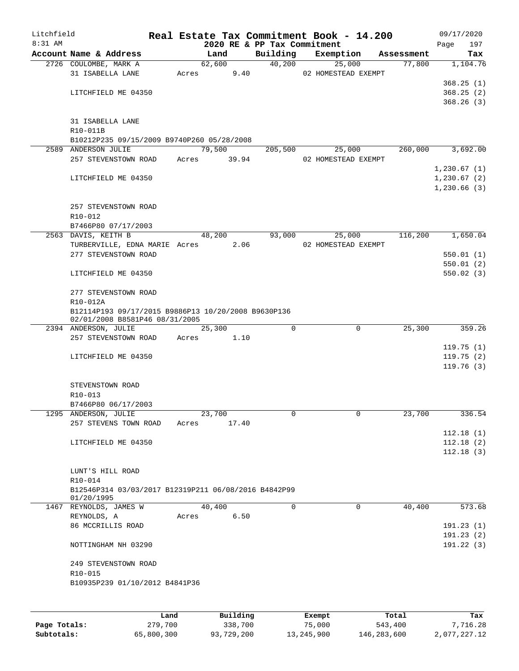| Litchfield |                                                                   |       |       |        | Real Estate Tax Commitment Book - 14.200 |                               |            |      | 09/17/2020  |
|------------|-------------------------------------------------------------------|-------|-------|--------|------------------------------------------|-------------------------------|------------|------|-------------|
| 8:31 AM    |                                                                   |       |       |        | 2020 RE & PP Tax Commitment              |                               |            | Page | 197         |
|            | Account Name & Address                                            |       |       | Land   | Building                                 | Exemption                     | Assessment |      | Tax         |
|            | 2726 COULOMBE, MARK A                                             |       |       | 62,600 | 40,200                                   | 25,000                        | 77,800     |      | 1,104.76    |
|            | 31 ISABELLA LANE                                                  |       | Acres | 9.40   |                                          | 02 HOMESTEAD EXEMPT           |            |      |             |
|            |                                                                   |       |       |        |                                          |                               |            |      | 368.25(1)   |
|            | LITCHFIELD ME 04350                                               |       |       |        |                                          |                               |            |      | 368.25(2)   |
|            |                                                                   |       |       |        |                                          |                               |            |      | 368.26(3)   |
|            |                                                                   |       |       |        |                                          |                               |            |      |             |
|            | 31 ISABELLA LANE                                                  |       |       |        |                                          |                               |            |      |             |
|            | R10-011B                                                          |       |       |        |                                          |                               |            |      |             |
|            | B10212P235 09/15/2009 B9740P260 05/28/2008<br>2589 ANDERSON JULIE |       |       | 79,500 |                                          |                               | 260,000    |      | 3,692.00    |
|            | 257 STEVENSTOWN ROAD                                              | Acres |       | 39.94  | 205,500                                  | 25,000<br>02 HOMESTEAD EXEMPT |            |      |             |
|            |                                                                   |       |       |        |                                          |                               |            |      | 1,230.67(1) |
|            | LITCHFIELD ME 04350                                               |       |       |        |                                          |                               |            |      | 1,230.67(2) |
|            |                                                                   |       |       |        |                                          |                               |            |      | 1,230.66(3) |
|            |                                                                   |       |       |        |                                          |                               |            |      |             |
|            | 257 STEVENSTOWN ROAD                                              |       |       |        |                                          |                               |            |      |             |
|            | R10-012                                                           |       |       |        |                                          |                               |            |      |             |
|            | B7466P80 07/17/2003                                               |       |       |        |                                          |                               |            |      |             |
|            | 2563 DAVIS, KEITH B                                               |       |       | 48,200 | 93,000                                   | 25,000                        | 116,200    |      | 1,650.04    |
|            | TURBERVILLE, EDNA MARIE Acres 2.06                                |       |       |        |                                          | 02 HOMESTEAD EXEMPT           |            |      |             |
|            | 277 STEVENSTOWN ROAD                                              |       |       |        |                                          |                               |            |      | 550.01(1)   |
|            |                                                                   |       |       |        |                                          |                               |            |      | 550.01(2)   |
|            | LITCHFIELD ME 04350                                               |       |       |        |                                          |                               |            |      | 550.02(3)   |
|            |                                                                   |       |       |        |                                          |                               |            |      |             |
|            | 277 STEVENSTOWN ROAD                                              |       |       |        |                                          |                               |            |      |             |
|            | R10-012A                                                          |       |       |        |                                          |                               |            |      |             |
|            | B12114P193 09/17/2015 B9886P13 10/20/2008 B9630P136               |       |       |        |                                          |                               |            |      |             |
|            | 02/01/2008 B8581P46 08/31/2005                                    |       |       |        |                                          |                               |            |      |             |
|            | 2394 ANDERSON, JULIE                                              |       |       | 25,300 | $\Omega$                                 | $\mathbf 0$                   | 25,300     |      | 359.26      |
|            | 257 STEVENSTOWN ROAD                                              |       | Acres | 1.10   |                                          |                               |            |      |             |
|            |                                                                   |       |       |        |                                          |                               |            |      | 119.75(1)   |
|            | LITCHFIELD ME 04350                                               |       |       |        |                                          |                               |            |      | 119.75(2)   |
|            |                                                                   |       |       |        |                                          |                               |            |      | 119.76(3)   |
|            |                                                                   |       |       |        |                                          |                               |            |      |             |
|            | STEVENSTOWN ROAD                                                  |       |       |        |                                          |                               |            |      |             |
|            | R10-013                                                           |       |       |        |                                          |                               |            |      |             |
|            | B7466P80 06/17/2003                                               |       |       |        |                                          |                               |            |      |             |
|            | 1295 ANDERSON, JULIE                                              |       |       | 23,700 | 0                                        | 0                             | 23,700     |      | 336.54      |
|            | 257 STEVENS TOWN ROAD                                             | Acres |       | 17.40  |                                          |                               |            |      |             |
|            |                                                                   |       |       |        |                                          |                               |            |      | 112.18(1)   |
|            | LITCHFIELD ME 04350                                               |       |       |        |                                          |                               |            |      | 112.18(2)   |
|            |                                                                   |       |       |        |                                          |                               |            |      | 112.18(3)   |
|            |                                                                   |       |       |        |                                          |                               |            |      |             |
|            | LUNT'S HILL ROAD                                                  |       |       |        |                                          |                               |            |      |             |
|            | R10-014                                                           |       |       |        |                                          |                               |            |      |             |
|            | B12546P314 03/03/2017 B12319P211 06/08/2016 B4842P99              |       |       |        |                                          |                               |            |      |             |
|            | 01/20/1995<br>1467 REYNOLDS, JAMES W                              |       |       | 40,400 | 0                                        | 0                             | 40,400     |      | 573.68      |
|            | REYNOLDS, A                                                       |       | Acres | 6.50   |                                          |                               |            |      |             |
|            | 86 MCCRILLIS ROAD                                                 |       |       |        |                                          |                               |            |      | 191.23(1)   |
|            |                                                                   |       |       |        |                                          |                               |            |      | 191.23(2)   |
|            | NOTTINGHAM NH 03290                                               |       |       |        |                                          |                               |            |      | 191.22(3)   |
|            |                                                                   |       |       |        |                                          |                               |            |      |             |
|            | 249 STEVENSTOWN ROAD                                              |       |       |        |                                          |                               |            |      |             |
|            | R10-015                                                           |       |       |        |                                          |                               |            |      |             |
|            | B10935P239 01/10/2012 B4841P36                                    |       |       |        |                                          |                               |            |      |             |
|            |                                                                   |       |       |        |                                          |                               |            |      |             |
|            |                                                                   |       |       |        |                                          |                               |            |      |             |
|            |                                                                   |       |       |        |                                          |                               |            |      |             |
|            |                                                                   |       |       |        |                                          |                               |            |      |             |

|              | Land       | Building   | Exempt     | Total       | Tax          |
|--------------|------------|------------|------------|-------------|--------------|
| Page Totals: | 279,700    | 338,700    | 75,000     | 543,400     | 7,716.28     |
| Subtotals:   | 65,800,300 | 93,729,200 | 13,245,900 | 146,283,600 | 2,077,227.12 |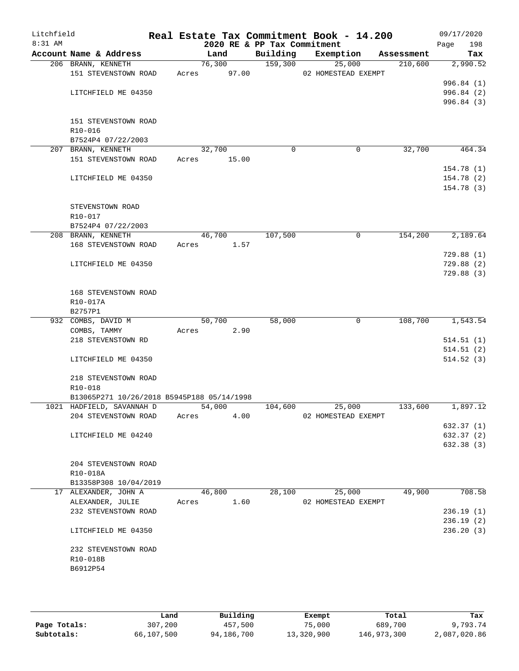| Litchfield<br>8:31 AM |                                            |       | 2020 RE & PP Tax Commitment |          | Real Estate Tax Commitment Book - 14.200 |            | 09/17/2020<br>198<br>Page |
|-----------------------|--------------------------------------------|-------|-----------------------------|----------|------------------------------------------|------------|---------------------------|
|                       | Account Name & Address                     |       | Land                        | Building | Exemption                                | Assessment | Tax                       |
|                       | 206 BRANN, KENNETH                         |       | 76,300                      | 159,300  | 25,000                                   | 210,600    | 2,990.52                  |
|                       | 151 STEVENSTOWN ROAD                       | Acres | 97.00                       |          | 02 HOMESTEAD EXEMPT                      |            |                           |
|                       |                                            |       |                             |          |                                          |            | 996.84 (1)                |
|                       | LITCHFIELD ME 04350                        |       |                             |          |                                          |            | 996.84 (2)                |
|                       |                                            |       |                             |          |                                          |            | 996.84(3)                 |
|                       |                                            |       |                             |          |                                          |            |                           |
|                       | 151 STEVENSTOWN ROAD                       |       |                             |          |                                          |            |                           |
|                       | R10-016                                    |       |                             |          |                                          |            |                           |
|                       | B7524P4 07/22/2003                         |       |                             |          |                                          |            |                           |
|                       | 207 BRANN, KENNETH                         |       | 32,700                      | $\Omega$ | 0                                        | 32,700     | 464.34                    |
|                       | 151 STEVENSTOWN ROAD                       | Acres | 15.00                       |          |                                          |            |                           |
|                       |                                            |       |                             |          |                                          |            | 154.78(1)                 |
|                       | LITCHFIELD ME 04350                        |       |                             |          |                                          |            | 154.78(2)                 |
|                       |                                            |       |                             |          |                                          |            | 154.78(3)                 |
|                       |                                            |       |                             |          |                                          |            |                           |
|                       | STEVENSTOWN ROAD                           |       |                             |          |                                          |            |                           |
|                       | R10-017                                    |       |                             |          |                                          |            |                           |
|                       | B7524P4 07/22/2003                         |       |                             |          |                                          |            |                           |
|                       | 208 BRANN, KENNETH                         |       | 46,700                      | 107,500  | $\mathbf 0$                              | 154,200    | 2,189.64                  |
|                       | 168 STEVENSTOWN ROAD                       | Acres | 1.57                        |          |                                          |            |                           |
|                       |                                            |       |                             |          |                                          |            | 729.88(1)                 |
|                       | LITCHFIELD ME 04350                        |       |                             |          |                                          |            | 729.88(2)                 |
|                       |                                            |       |                             |          |                                          |            | 729.88(3)                 |
|                       | 168 STEVENSTOWN ROAD                       |       |                             |          |                                          |            |                           |
|                       | R10-017A                                   |       |                             |          |                                          |            |                           |
|                       | B2757P1                                    |       |                             |          |                                          |            |                           |
|                       | 932 COMBS, DAVID M                         |       | 50,700                      | 58,000   | 0                                        | 108,700    | 1,543.54                  |
|                       | COMBS, TAMMY                               | Acres | 2.90                        |          |                                          |            |                           |
|                       | 218 STEVENSTOWN RD                         |       |                             |          |                                          |            | 514.51(1)                 |
|                       |                                            |       |                             |          |                                          |            | 514.51(2)                 |
|                       | LITCHFIELD ME 04350                        |       |                             |          |                                          |            | 514.52(3)                 |
|                       |                                            |       |                             |          |                                          |            |                           |
|                       | 218 STEVENSTOWN ROAD                       |       |                             |          |                                          |            |                           |
|                       | R10-018                                    |       |                             |          |                                          |            |                           |
|                       | B13065P271 10/26/2018 B5945P188 05/14/1998 |       |                             |          |                                          |            |                           |
|                       | 1021 HADFIELD, SAVANNAH D                  |       | 54,000                      | 104,600  | 25,000                                   | 133,600    | 1,897.12                  |
|                       | 204 STEVENSTOWN ROAD                       | Acres | 4.00                        |          | 02 HOMESTEAD EXEMPT                      |            |                           |
|                       |                                            |       |                             |          |                                          |            | 632.37 (1)                |
|                       | LITCHFIELD ME 04240                        |       |                             |          |                                          |            | 632.37 (2)                |
|                       |                                            |       |                             |          |                                          |            | 632.38 (3)                |
|                       |                                            |       |                             |          |                                          |            |                           |
|                       | 204 STEVENSTOWN ROAD                       |       |                             |          |                                          |            |                           |
|                       | R10-018A                                   |       |                             |          |                                          |            |                           |
|                       | B13358P308 10/04/2019                      |       |                             |          |                                          |            |                           |
|                       | 17 ALEXANDER, JOHN A                       |       | 46,800                      | 28,100   | 25,000                                   | 49,900     | 708.58                    |
|                       | ALEXANDER, JULIE                           | Acres | 1.60                        |          | 02 HOMESTEAD EXEMPT                      |            |                           |
|                       | 232 STEVENSTOWN ROAD                       |       |                             |          |                                          |            | 236.19(1)                 |
|                       |                                            |       |                             |          |                                          |            | 236.19(2)                 |
|                       | LITCHFIELD ME 04350                        |       |                             |          |                                          |            | 236.20(3)                 |
|                       |                                            |       |                             |          |                                          |            |                           |
|                       | 232 STEVENSTOWN ROAD                       |       |                             |          |                                          |            |                           |
|                       | R10-018B                                   |       |                             |          |                                          |            |                           |
|                       | B6912P54                                   |       |                             |          |                                          |            |                           |
|                       |                                            |       |                             |          |                                          |            |                           |
|                       |                                            |       |                             |          |                                          |            |                           |

|              | Land       | Building   | Exempt     | Total       | Tax          |
|--------------|------------|------------|------------|-------------|--------------|
| Page Totals: | 307,200    | 457,500    | 75,000     | 689,700     | 9,793.74     |
| Subtotals:   | 66,107,500 | 94,186,700 | 13,320,900 | 146,973,300 | 2,087,020.86 |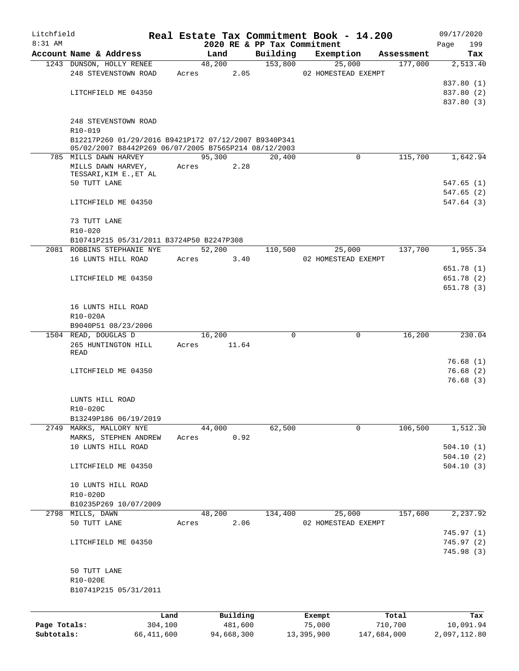| Litchfield   |                                                      |       |             |          |                             | Real Estate Tax Commitment Book - 14.200 |            | 09/17/2020  |
|--------------|------------------------------------------------------|-------|-------------|----------|-----------------------------|------------------------------------------|------------|-------------|
| $8:31$ AM    |                                                      |       |             |          | 2020 RE & PP Tax Commitment |                                          |            | 199<br>Page |
|              | Account Name & Address                               |       | Land        |          | Building                    | Exemption                                | Assessment | Tax         |
|              | 1243 DUNSON, HOLLY RENEE                             |       | 48,200      |          | 153,800                     | 25,000                                   | 177,000    | 2,513.40    |
|              | 248 STEVENSTOWN ROAD                                 |       | Acres       | 2.05     |                             | 02 HOMESTEAD EXEMPT                      |            |             |
|              |                                                      |       |             |          |                             |                                          |            | 837.80 (1)  |
|              | LITCHFIELD ME 04350                                  |       |             |          |                             |                                          |            | 837.80 (2)  |
|              |                                                      |       |             |          |                             |                                          |            | 837.80 (3)  |
|              | 248 STEVENSTOWN ROAD                                 |       |             |          |                             |                                          |            |             |
|              | R10-019                                              |       |             |          |                             |                                          |            |             |
|              | B12217P260 01/29/2016 B9421P172 07/12/2007 B9340P341 |       |             |          |                             |                                          |            |             |
|              | 05/02/2007 B8442P269 06/07/2005 B7565P214 08/12/2003 |       |             |          |                             |                                          |            |             |
|              | 785 MILLS DAWN HARVEY                                |       | 95,300      |          | 20,400                      | $\mathbf 0$                              | 115,700    | 1,642.94    |
|              | MILLS DAWN HARVEY,                                   | Acres |             | 2.28     |                             |                                          |            |             |
|              | TESSARI, KIM E., ET AL                               |       |             |          |                             |                                          |            |             |
|              | 50 TUTT LANE                                         |       |             |          |                             |                                          |            | 547.65 (1)  |
|              |                                                      |       |             |          |                             |                                          |            | 547.65(2)   |
|              | LITCHFIELD ME 04350                                  |       |             |          |                             |                                          |            | 547.64(3)   |
|              | 73 TUTT LANE                                         |       |             |          |                             |                                          |            |             |
|              | R10-020                                              |       |             |          |                             |                                          |            |             |
|              | B10741P215 05/31/2011 B3724P50 B2247P308             |       |             |          |                             |                                          |            |             |
|              | 2081 ROBBINS STEPHANIE NYE                           |       | 52,200      |          | 110,500                     | 25,000                                   | 137,700    | 1,955.34    |
|              | 16 LUNTS HILL ROAD                                   | Acres |             | 3.40     |                             | 02 HOMESTEAD EXEMPT                      |            |             |
|              |                                                      |       |             |          |                             |                                          |            | 651.78 (1)  |
|              | LITCHFIELD ME 04350                                  |       |             |          |                             |                                          |            | 651.78 (2)  |
|              |                                                      |       |             |          |                             |                                          |            | 651.78(3)   |
|              |                                                      |       |             |          |                             |                                          |            |             |
|              | 16 LUNTS HILL ROAD                                   |       |             |          |                             |                                          |            |             |
|              | R10-020A                                             |       |             |          |                             |                                          |            |             |
|              | B9040P51 08/23/2006                                  |       |             |          |                             |                                          |            |             |
|              | 1504 READ, DOUGLAS D                                 |       | 16,200      |          | 0                           | 0                                        | 16,200     | 230.04      |
|              | 265 HUNTINGTON HILL                                  |       | Acres 11.64 |          |                             |                                          |            |             |
|              | READ                                                 |       |             |          |                             |                                          |            |             |
|              |                                                      |       |             |          |                             |                                          |            | 76.68(1)    |
|              | LITCHFIELD ME 04350                                  |       |             |          |                             |                                          |            | 76.68(2)    |
|              |                                                      |       |             |          |                             |                                          |            | 76.68(3)    |
|              |                                                      |       |             |          |                             |                                          |            |             |
|              | LUNTS HILL ROAD                                      |       |             |          |                             |                                          |            |             |
|              | R10-020C                                             |       |             |          |                             |                                          |            |             |
|              | B13249P186 06/19/2019                                |       |             |          |                             |                                          |            |             |
|              | 2749 MARKS, MALLORY NYE                              |       | 44,000      |          | 62,500                      | 0                                        | 106,500    | 1,512.30    |
|              | MARKS, STEPHEN ANDREW                                | Acres |             | 0.92     |                             |                                          |            |             |
|              | 10 LUNTS HILL ROAD                                   |       |             |          |                             |                                          |            | 504.10(1)   |
|              |                                                      |       |             |          |                             |                                          |            | 504.10(2)   |
|              | LITCHFIELD ME 04350                                  |       |             |          |                             |                                          |            | 504.10(3)   |
|              |                                                      |       |             |          |                             |                                          |            |             |
|              | 10 LUNTS HILL ROAD                                   |       |             |          |                             |                                          |            |             |
|              | R10-020D                                             |       |             |          |                             |                                          |            |             |
|              | B10235P269 10/07/2009                                |       |             |          |                             |                                          |            |             |
|              | 2798 MILLS, DAWN                                     |       | 48,200      |          | 134,400                     | 25,000                                   | 157,600    | 2,237.92    |
|              | 50 TUTT LANE                                         | Acres |             | 2.06     |                             | 02 HOMESTEAD EXEMPT                      |            |             |
|              |                                                      |       |             |          |                             |                                          |            | 745.97(1)   |
|              | LITCHFIELD ME 04350                                  |       |             |          |                             |                                          |            | 745.97(2)   |
|              |                                                      |       |             |          |                             |                                          |            | 745.98(3)   |
|              | 50 TUTT LANE                                         |       |             |          |                             |                                          |            |             |
|              | R10-020E                                             |       |             |          |                             |                                          |            |             |
|              | B10741P215 05/31/2011                                |       |             |          |                             |                                          |            |             |
|              |                                                      |       |             |          |                             |                                          |            |             |
|              |                                                      |       |             |          |                             |                                          |            |             |
|              | Land                                                 |       |             | Building |                             | Exempt                                   | Total      | Tax         |
| Page Totals: | 304,100                                              |       |             | 481,600  |                             | 75,000                                   | 710,700    | 10,091.94   |

**Subtotals:** 66,411,600 94,668,300 13,395,900 147,684,000 2,097,112.80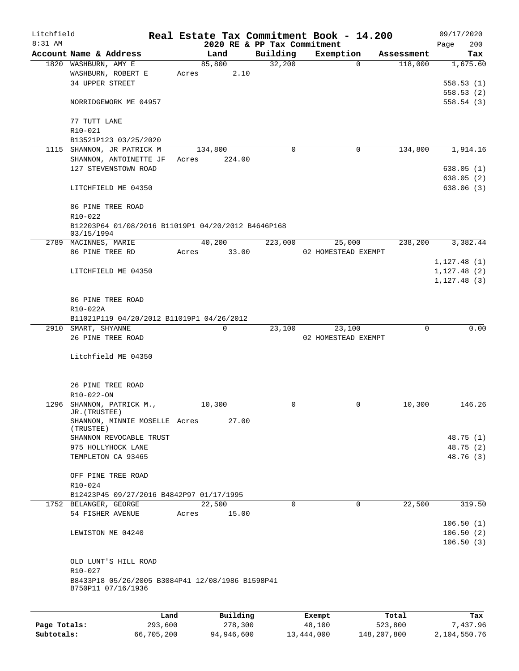| Litchfield<br>8:31 AM |                                                                  |       |             | 2020 RE & PP Tax Commitment | Real Estate Tax Commitment Book - 14.200 |                     | 09/17/2020<br>200<br>Page |
|-----------------------|------------------------------------------------------------------|-------|-------------|-----------------------------|------------------------------------------|---------------------|---------------------------|
|                       | Account Name & Address                                           |       | Land        | Building                    | Exemption                                | Assessment          | Tax                       |
|                       | 1820 WASHBURN, AMY E                                             |       | 85,800      | 32,200                      |                                          | 118,000<br>$\Omega$ | 1,675.60                  |
|                       | WASHBURN, ROBERT E                                               | Acres | 2.10        |                             |                                          |                     |                           |
|                       | 34 UPPER STREET                                                  |       |             |                             |                                          |                     | 558.53(1)                 |
|                       |                                                                  |       |             |                             |                                          |                     | 558.53(2)                 |
|                       | NORRIDGEWORK ME 04957                                            |       |             |                             |                                          |                     | 558.54(3)                 |
|                       | 77 TUTT LANE                                                     |       |             |                             |                                          |                     |                           |
|                       | R10-021                                                          |       |             |                             |                                          |                     |                           |
|                       | B13521P123 03/25/2020                                            |       |             |                             |                                          |                     |                           |
|                       | 1115 SHANNON, JR PATRICK M                                       |       | 134,800     | 0                           |                                          | 134,800<br>0        | 1,914.16                  |
|                       | SHANNON, ANTOINETTE JF                                           | Acres | 224.00      |                             |                                          |                     |                           |
|                       | 127 STEVENSTOWN ROAD                                             |       |             |                             |                                          |                     | 638.05(1)                 |
|                       |                                                                  |       |             |                             |                                          |                     | 638.05(2)                 |
|                       | LITCHFIELD ME 04350                                              |       |             |                             |                                          |                     | 638.06 (3)                |
|                       | 86 PINE TREE ROAD                                                |       |             |                             |                                          |                     |                           |
|                       | R10-022                                                          |       |             |                             |                                          |                     |                           |
|                       | B12203P64 01/08/2016 B11019P1 04/20/2012 B4646P168<br>03/15/1994 |       |             |                             |                                          |                     |                           |
|                       | 2789 MACINNES, MARIE                                             |       | 40,200      | 223,000                     | 25,000                                   | 238,200             | 3,382.44                  |
|                       | 86 PINE TREE RD                                                  | Acres | 33.00       |                             | 02 HOMESTEAD EXEMPT                      |                     |                           |
|                       |                                                                  |       |             |                             |                                          |                     | 1, 127.48(1)              |
|                       | LITCHFIELD ME 04350                                              |       |             |                             |                                          |                     | 1, 127.48(2)              |
|                       |                                                                  |       |             |                             |                                          |                     | 1, 127.48(3)              |
|                       |                                                                  |       |             |                             |                                          |                     |                           |
|                       | 86 PINE TREE ROAD                                                |       |             |                             |                                          |                     |                           |
|                       | R10-022A                                                         |       |             |                             |                                          |                     |                           |
|                       | B11021P119 04/20/2012 B11019P1 04/26/2012                        |       |             |                             |                                          |                     |                           |
|                       | 2910 SMART, SHYANNE                                              |       | $\mathbf 0$ | 23,100                      | 23,100                                   | $\Omega$            | 0.00                      |
|                       | 26 PINE TREE ROAD                                                |       |             |                             | 02 HOMESTEAD EXEMPT                      |                     |                           |
|                       |                                                                  |       |             |                             |                                          |                     |                           |
|                       | Litchfield ME 04350                                              |       |             |                             |                                          |                     |                           |
|                       |                                                                  |       |             |                             |                                          |                     |                           |
|                       | 26 PINE TREE ROAD                                                |       |             |                             |                                          |                     |                           |
|                       | R10-022-ON                                                       |       |             |                             |                                          |                     |                           |
|                       | 1296 SHANNON, PATRICK M.,                                        |       | 10,300      | 0                           |                                          | 0<br>10,300         | 146.26                    |
|                       | JR. (TRUSTEE)<br>SHANNON, MINNIE MOSELLE Acres                   |       | 27.00       |                             |                                          |                     |                           |
|                       | (TRUSTEE)                                                        |       |             |                             |                                          |                     |                           |
|                       | SHANNON REVOCABLE TRUST                                          |       |             |                             |                                          |                     | 48.75 (1)                 |
|                       | 975 HOLLYHOCK LANE                                               |       |             |                             |                                          |                     | 48.75 (2)                 |
|                       | TEMPLETON CA 93465                                               |       |             |                             |                                          |                     | 48.76 (3)                 |
|                       |                                                                  |       |             |                             |                                          |                     |                           |
|                       | OFF PINE TREE ROAD                                               |       |             |                             |                                          |                     |                           |
|                       | R10-024                                                          |       |             |                             |                                          |                     |                           |
|                       | B12423P45 09/27/2016 B4842P97 01/17/1995                         |       |             |                             |                                          |                     |                           |
|                       | 1752 BELANGER, GEORGE                                            |       | 22,500      | 0                           |                                          | 22,500<br>0         | 319.50                    |
|                       | 54 FISHER AVENUE                                                 | Acres | 15.00       |                             |                                          |                     |                           |
|                       |                                                                  |       |             |                             |                                          |                     | 106.50(1)                 |
|                       | LEWISTON ME 04240                                                |       |             |                             |                                          |                     | 106.50(2)                 |
|                       |                                                                  |       |             |                             |                                          |                     | 106.50(3)                 |
|                       |                                                                  |       |             |                             |                                          |                     |                           |
|                       | OLD LUNT'S HILL ROAD                                             |       |             |                             |                                          |                     |                           |
|                       | R10-027                                                          |       |             |                             |                                          |                     |                           |
|                       | B8433P18 05/26/2005 B3084P41 12/08/1986 B1598P41                 |       |             |                             |                                          |                     |                           |
|                       | B750P11 07/16/1936                                               |       |             |                             |                                          |                     |                           |
|                       |                                                                  |       |             |                             |                                          |                     |                           |
|                       |                                                                  | Land  | Building    |                             | Exempt                                   | Total               | Tax                       |
| Page Totals:          | 293,600                                                          |       | 278,300     |                             | 48,100                                   | 523,800             | 7,437.96                  |

**Subtotals:** 66,705,200 94,946,600 13,444,000 148,207,800 2,104,550.76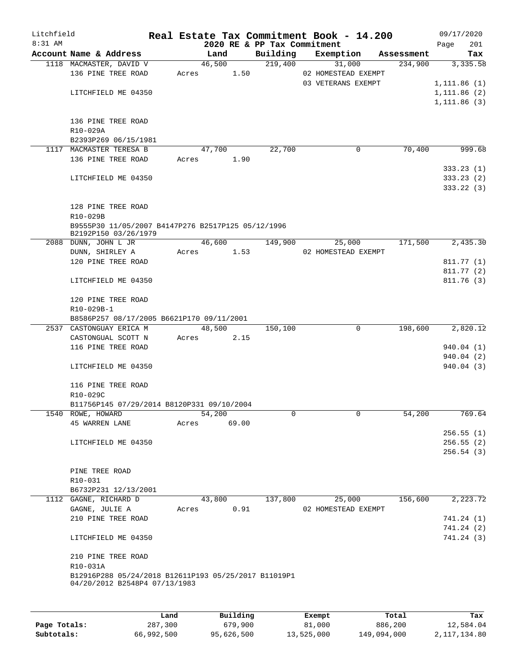| Litchfield |                                                      |       |        |       |                             | Real Estate Tax Commitment Book - 14.200 |            |      | 09/17/2020   |
|------------|------------------------------------------------------|-------|--------|-------|-----------------------------|------------------------------------------|------------|------|--------------|
| $8:31$ AM  |                                                      |       |        |       | 2020 RE & PP Tax Commitment |                                          |            | Page | 201          |
|            | Account Name & Address                               |       | Land   |       | Building                    | Exemption                                | Assessment |      | Tax          |
|            | 1118 MACMASTER, DAVID V                              |       | 46,500 |       | 219,400                     | 31,000                                   | 234,900    |      | 3,335.58     |
|            | 136 PINE TREE ROAD                                   | Acres |        | 1.50  |                             | 02 HOMESTEAD EXEMPT                      |            |      |              |
|            |                                                      |       |        |       |                             | 03 VETERANS EXEMPT                       |            |      | 1, 111.86(1) |
|            | LITCHFIELD ME 04350                                  |       |        |       |                             |                                          |            |      | 1,111.86(2)  |
|            |                                                      |       |        |       |                             |                                          |            |      | 1,111.86(3)  |
|            |                                                      |       |        |       |                             |                                          |            |      |              |
|            | 136 PINE TREE ROAD                                   |       |        |       |                             |                                          |            |      |              |
|            | R10-029A                                             |       |        |       |                             |                                          |            |      |              |
|            | B2393P269 06/15/1981                                 |       |        |       |                             |                                          |            |      |              |
|            | 1117 MACMASTER TERESA B                              |       | 47,700 |       | 22,700                      | $\mathbf 0$                              | 70,400     |      | 999.68       |
|            | 136 PINE TREE ROAD                                   | Acres |        | 1.90  |                             |                                          |            |      |              |
|            |                                                      |       |        |       |                             |                                          |            |      | 333.23(1)    |
|            | LITCHFIELD ME 04350                                  |       |        |       |                             |                                          |            |      | 333.23(2)    |
|            |                                                      |       |        |       |                             |                                          |            |      | 333.22 (3)   |
|            |                                                      |       |        |       |                             |                                          |            |      |              |
|            | 128 PINE TREE ROAD                                   |       |        |       |                             |                                          |            |      |              |
|            | R10-029B                                             |       |        |       |                             |                                          |            |      |              |
|            | B9555P30 11/05/2007 B4147P276 B2517P125 05/12/1996   |       |        |       |                             |                                          |            |      |              |
|            | B2192P150 03/26/1979                                 |       |        |       |                             |                                          |            |      |              |
|            | 2088 DUNN, JOHN L JR                                 |       | 46,600 |       | 149,900                     | 25,000                                   | 171,500    |      | 2,435.30     |
|            | DUNN, SHIRLEY A                                      | Acres |        | 1.53  |                             | 02 HOMESTEAD EXEMPT                      |            |      |              |
|            | 120 PINE TREE ROAD                                   |       |        |       |                             |                                          |            |      | 811.77 (1)   |
|            |                                                      |       |        |       |                             |                                          |            |      | 811.77 (2)   |
|            | LITCHFIELD ME 04350                                  |       |        |       |                             |                                          |            |      | 811.76(3)    |
|            | 120 PINE TREE ROAD                                   |       |        |       |                             |                                          |            |      |              |
|            | R10-029B-1                                           |       |        |       |                             |                                          |            |      |              |
|            | B8586P257 08/17/2005 B6621P170 09/11/2001            |       |        |       |                             |                                          |            |      |              |
|            | 2537 CASTONGUAY ERICA M                              |       | 48,500 |       | 150,100                     | 0                                        | 198,600    |      | 2,820.12     |
|            | CASTONGUAL SCOTT N                                   | Acres |        | 2.15  |                             |                                          |            |      |              |
|            | 116 PINE TREE ROAD                                   |       |        |       |                             |                                          |            |      | 940.04 (1)   |
|            |                                                      |       |        |       |                             |                                          |            |      | 940.04 (2)   |
|            | LITCHFIELD ME 04350                                  |       |        |       |                             |                                          |            |      | 940.04(3)    |
|            |                                                      |       |        |       |                             |                                          |            |      |              |
|            | 116 PINE TREE ROAD                                   |       |        |       |                             |                                          |            |      |              |
|            | R10-029C                                             |       |        |       |                             |                                          |            |      |              |
|            | B11756P145 07/29/2014 B8120P331 09/10/2004           |       |        |       |                             |                                          |            |      |              |
|            | 1540 ROWE, HOWARD                                    |       | 54,200 |       | 0                           | 0                                        | 54,200     |      | 769.64       |
|            | 45 WARREN LANE                                       | Acres |        | 69.00 |                             |                                          |            |      |              |
|            |                                                      |       |        |       |                             |                                          |            |      | 256.55(1)    |
|            | LITCHFIELD ME 04350                                  |       |        |       |                             |                                          |            |      | 256.55(2)    |
|            |                                                      |       |        |       |                             |                                          |            |      | 256.54(3)    |
|            |                                                      |       |        |       |                             |                                          |            |      |              |
|            | PINE TREE ROAD                                       |       |        |       |                             |                                          |            |      |              |
|            | $R10-031$                                            |       |        |       |                             |                                          |            |      |              |
|            | B6732P231 12/13/2001                                 |       |        |       |                             |                                          |            |      |              |
|            | 1112 GAGNE, RICHARD D                                |       | 43,800 |       | 137,800                     | 25,000                                   | 156,600    |      | 2,223.72     |
|            | GAGNE, JULIE A                                       | Acres |        | 0.91  |                             | 02 HOMESTEAD EXEMPT                      |            |      |              |
|            | 210 PINE TREE ROAD                                   |       |        |       |                             |                                          |            |      | 741.24 (1)   |
|            |                                                      |       |        |       |                             |                                          |            |      | 741.24 (2)   |
|            | LITCHFIELD ME 04350                                  |       |        |       |                             |                                          |            |      | 741.24 (3)   |
|            | 210 PINE TREE ROAD                                   |       |        |       |                             |                                          |            |      |              |
|            | R10-031A                                             |       |        |       |                             |                                          |            |      |              |
|            | B12916P288 05/24/2018 B12611P193 05/25/2017 B11019P1 |       |        |       |                             |                                          |            |      |              |
|            | 04/20/2012 B2548P4 07/13/1983                        |       |        |       |                             |                                          |            |      |              |
|            |                                                      |       |        |       |                             |                                          |            |      |              |
|            |                                                      |       |        |       |                             |                                          |            |      |              |

|              | Land       | Building   | Exempt     | Total       | Tax          |
|--------------|------------|------------|------------|-------------|--------------|
| Page Totals: | 287,300    | 679,900    | 81,000     | 886,200     | 12,584.04    |
| Subtotals:   | 66,992,500 | 95,626,500 | 13,525,000 | 149,094,000 | 2,117,134.80 |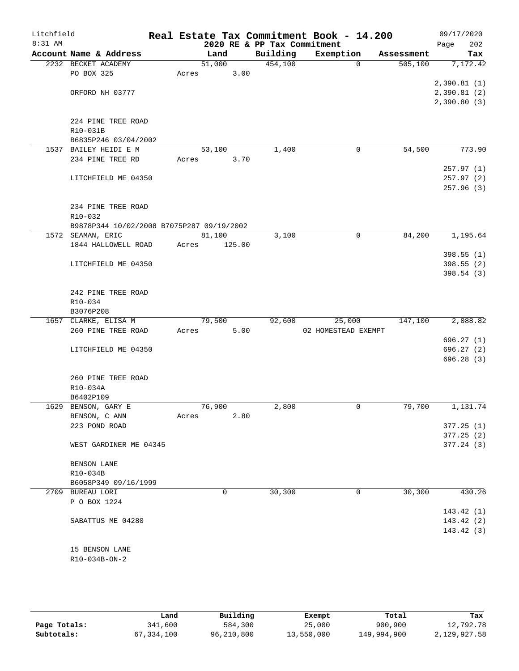| Litchfield |                                           |       |        |                             | Real Estate Tax Commitment Book - 14.200 |            | 09/17/2020  |
|------------|-------------------------------------------|-------|--------|-----------------------------|------------------------------------------|------------|-------------|
| 8:31 AM    |                                           |       |        | 2020 RE & PP Tax Commitment |                                          |            | 202<br>Page |
|            | Account Name & Address                    |       | Land   | Building                    | Exemption                                | Assessment | Tax         |
|            | 2232 BECKET ACADEMY                       |       | 51,000 | 454,100                     | $\Omega$                                 | 505, 100   | 7,172.42    |
|            | PO BOX 325                                | Acres | 3.00   |                             |                                          |            |             |
|            |                                           |       |        |                             |                                          |            | 2,390.81(1) |
|            | ORFORD NH 03777                           |       |        |                             |                                          |            | 2,390.81(2) |
|            |                                           |       |        |                             |                                          |            | 2,390.80(3) |
|            |                                           |       |        |                             |                                          |            |             |
|            | 224 PINE TREE ROAD                        |       |        |                             |                                          |            |             |
|            | R10-031B                                  |       |        |                             |                                          |            |             |
|            | B6835P246 03/04/2002                      |       |        |                             |                                          |            |             |
|            | 1537 BAILEY HEIDI E M                     |       | 53,100 | 1,400                       | 0                                        | 54,500     | 773.90      |
|            | 234 PINE TREE RD                          | Acres | 3.70   |                             |                                          |            |             |
|            |                                           |       |        |                             |                                          |            | 257.97(1)   |
|            | LITCHFIELD ME 04350                       |       |        |                             |                                          |            | 257.97 (2)  |
|            |                                           |       |        |                             |                                          |            | 257.96(3)   |
|            |                                           |       |        |                             |                                          |            |             |
|            | 234 PINE TREE ROAD                        |       |        |                             |                                          |            |             |
|            | R10-032                                   |       |        |                             |                                          |            |             |
|            | B9878P344 10/02/2008 B7075P287 09/19/2002 |       |        |                             |                                          |            |             |
|            | 1572 SEAMAN, ERIC                         |       | 81,100 | 3,100                       | 0                                        | 84,200     | 1,195.64    |
|            | 1844 HALLOWELL ROAD                       | Acres | 125.00 |                             |                                          |            |             |
|            |                                           |       |        |                             |                                          |            | 398.55(1)   |
|            | LITCHFIELD ME 04350                       |       |        |                             |                                          |            | 398.55(2)   |
|            |                                           |       |        |                             |                                          |            | 398.54(3)   |
|            |                                           |       |        |                             |                                          |            |             |
|            | 242 PINE TREE ROAD                        |       |        |                             |                                          |            |             |
|            | R10-034                                   |       |        |                             |                                          |            |             |
|            | B3076P208                                 |       |        |                             |                                          |            |             |
|            | 1657 CLARKE, ELISA M                      |       | 79,500 | 92,600                      | 25,000                                   | 147,100    | 2,088.82    |
|            | 260 PINE TREE ROAD                        | Acres | 5.00   |                             | 02 HOMESTEAD EXEMPT                      |            |             |
|            |                                           |       |        |                             |                                          |            | 696.27(1)   |
|            | LITCHFIELD ME 04350                       |       |        |                             |                                          |            | 696.27 (2)  |
|            |                                           |       |        |                             |                                          |            | 696.28(3)   |
|            |                                           |       |        |                             |                                          |            |             |
|            | 260 PINE TREE ROAD<br>R10-034A            |       |        |                             |                                          |            |             |
|            |                                           |       |        |                             |                                          |            |             |
|            | B6402P109<br>1629 BENSON, GARY E          |       | 76,900 | 2,800                       | 0                                        | 79,700     | 1,131.74    |
|            |                                           |       |        |                             |                                          |            |             |
|            | BENSON, C ANN                             | Acres | 2.80   |                             |                                          |            |             |
|            | 223 POND ROAD                             |       |        |                             |                                          |            | 377.25(1)   |
|            |                                           |       |        |                             |                                          |            | 377.25(2)   |
|            | WEST GARDINER ME 04345                    |       |        |                             |                                          |            | 377.24(3)   |
|            | BENSON LANE                               |       |        |                             |                                          |            |             |
|            | R10-034B                                  |       |        |                             |                                          |            |             |
|            | B6058P349 09/16/1999                      |       |        |                             |                                          |            |             |
|            | 2709 BUREAU LORI                          |       | 0      | 30, 300                     | 0                                        | 30,300     | 430.26      |
|            | P O BOX 1224                              |       |        |                             |                                          |            |             |
|            |                                           |       |        |                             |                                          |            | 143.42(1)   |
|            | SABATTUS ME 04280                         |       |        |                             |                                          |            | 143.42(2)   |
|            |                                           |       |        |                             |                                          |            | 143.42(3)   |
|            |                                           |       |        |                             |                                          |            |             |
|            | 15 BENSON LANE                            |       |        |                             |                                          |            |             |
|            | R10-034B-ON-2                             |       |        |                             |                                          |            |             |
|            |                                           |       |        |                             |                                          |            |             |
|            |                                           |       |        |                             |                                          |            |             |

|              | Land       | Building   | Exempt     | Total       | Tax          |
|--------------|------------|------------|------------|-------------|--------------|
| Page Totals: | 341,600    | 584,300    | 25,000     | 900,900     | 12,792.78    |
| Subtotals:   | 67,334,100 | 96,210,800 | 13,550,000 | 149,994,900 | 2,129,927.58 |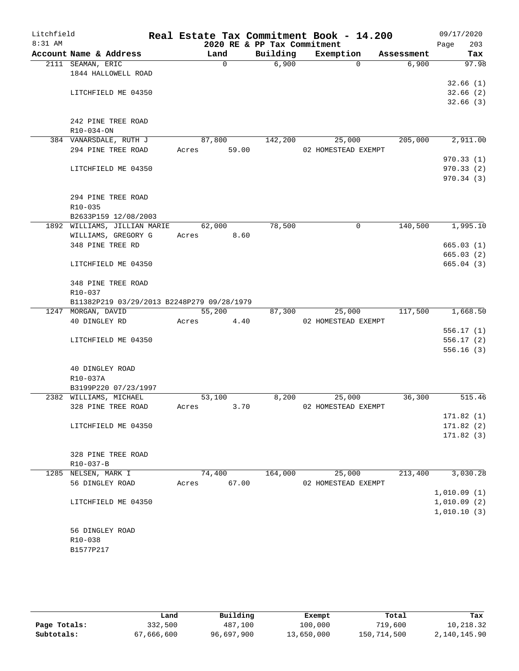| Litchfield<br>$8:31$ AM |                                            |                | 2020 RE & PP Tax Commitment | Real Estate Tax Commitment Book - 14.200 |            | 09/17/2020<br>203<br>Page |
|-------------------------|--------------------------------------------|----------------|-----------------------------|------------------------------------------|------------|---------------------------|
|                         | Account Name & Address                     | Land           | Building                    | Exemption                                | Assessment | Tax                       |
|                         | 2111 SEAMAN, ERIC                          | $\mathsf{O}$   | 6,900                       | $\Omega$                                 | 6,900      | 97.98                     |
|                         | 1844 HALLOWELL ROAD                        |                |                             |                                          |            |                           |
|                         |                                            |                |                             |                                          |            | 32.66(1)                  |
|                         | LITCHFIELD ME 04350                        |                |                             |                                          |            | 32.66(2)                  |
|                         |                                            |                |                             |                                          |            | 32.66(3)                  |
|                         |                                            |                |                             |                                          |            |                           |
|                         | 242 PINE TREE ROAD                         |                |                             |                                          |            |                           |
|                         | R10-034-ON                                 |                |                             |                                          |            |                           |
|                         | 384 VANARSDALE, RUTH J                     | 87,800         | 142,200                     | 25,000                                   | 205,000    | 2,911.00                  |
|                         | 294 PINE TREE ROAD                         | 59.00<br>Acres |                             | 02 HOMESTEAD EXEMPT                      |            |                           |
|                         |                                            |                |                             |                                          |            | 970.33(1)                 |
|                         | LITCHFIELD ME 04350                        |                |                             |                                          |            | 970.33(2)                 |
|                         |                                            |                |                             |                                          |            | 970.34(3)                 |
|                         |                                            |                |                             |                                          |            |                           |
|                         | 294 PINE TREE ROAD                         |                |                             |                                          |            |                           |
|                         | R10-035                                    |                |                             |                                          |            |                           |
|                         | B2633P159 12/08/2003                       |                |                             |                                          |            |                           |
|                         | 1892 WILLIAMS, JILLIAN MARIE               | 62,000         | 78,500                      | 0                                        | 140,500    | 1,995.10                  |
|                         | WILLIAMS, GREGORY G                        | 8.60<br>Acres  |                             |                                          |            |                           |
|                         | 348 PINE TREE RD                           |                |                             |                                          |            | 665.03(1)                 |
|                         |                                            |                |                             |                                          |            | 665.03(2)                 |
|                         | LITCHFIELD ME 04350                        |                |                             |                                          |            | 665.04(3)                 |
|                         | 348 PINE TREE ROAD                         |                |                             |                                          |            |                           |
|                         | $R10 - 037$                                |                |                             |                                          |            |                           |
|                         | B11382P219 03/29/2013 B2248P279 09/28/1979 |                |                             |                                          |            |                           |
|                         | 1247 MORGAN, DAVID                         | 55,200         | 87,300                      | 25,000                                   | 117,500    | 1,668.50                  |
|                         | 40 DINGLEY RD                              | Acres<br>4.40  |                             | 02 HOMESTEAD EXEMPT                      |            |                           |
|                         |                                            |                |                             |                                          |            | 556.17(1)                 |
|                         | LITCHFIELD ME 04350                        |                |                             |                                          |            | 556.17(2)                 |
|                         |                                            |                |                             |                                          |            | 556.16(3)                 |
|                         |                                            |                |                             |                                          |            |                           |
|                         | 40 DINGLEY ROAD                            |                |                             |                                          |            |                           |
|                         | R10-037A                                   |                |                             |                                          |            |                           |
|                         | B3199P220 07/23/1997                       |                |                             |                                          |            |                           |
|                         | 2382 WILLIAMS, MICHAEL                     | 53,100         | 8,200                       | 25,000                                   | 36,300     | 515.46                    |
|                         | 328 PINE TREE ROAD                         | 3.70<br>Acres  |                             | 02 HOMESTEAD EXEMPT                      |            |                           |
|                         |                                            |                |                             |                                          |            | 171.82(1)                 |
|                         | LITCHFIELD ME 04350                        |                |                             |                                          |            | 171.82(2)                 |
|                         |                                            |                |                             |                                          |            | 171.82(3)                 |
|                         |                                            |                |                             |                                          |            |                           |
|                         | 328 PINE TREE ROAD                         |                |                             |                                          |            |                           |
|                         | R10-037-B                                  |                |                             |                                          |            |                           |
|                         | 1285 NELSEN, MARK I                        | 74,400         | 164,000                     | 25,000                                   | 213,400    | 3,030.28                  |
|                         | 56 DINGLEY ROAD                            | 67.00<br>Acres |                             | 02 HOMESTEAD EXEMPT                      |            |                           |
|                         |                                            |                |                             |                                          |            | 1,010.09(1)               |
|                         | LITCHFIELD ME 04350                        |                |                             |                                          |            | 1,010.09(2)               |
|                         |                                            |                |                             |                                          |            | 1,010.10(3)               |
|                         |                                            |                |                             |                                          |            |                           |
|                         | 56 DINGLEY ROAD                            |                |                             |                                          |            |                           |
|                         | R10-038                                    |                |                             |                                          |            |                           |
|                         | B1577P217                                  |                |                             |                                          |            |                           |
|                         |                                            |                |                             |                                          |            |                           |

|              | Land       | Building   | Exempt     | Total       | Tax          |
|--------------|------------|------------|------------|-------------|--------------|
| Page Totals: | 332,500    | 487,100    | 100,000    | 719,600     | 10,218.32    |
| Subtotals:   | 67,666,600 | 96,697,900 | 13,650,000 | 150,714,500 | 2,140,145.90 |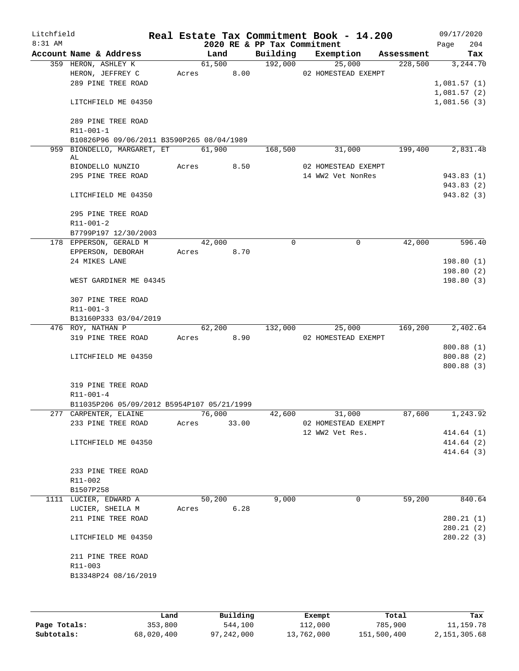| Litchfield<br>$8:31$ AM |                                            |       |            |       | 2020 RE & PP Tax Commitment | Real Estate Tax Commitment Book - 14.200 |            | 09/17/2020<br>204<br>Page |
|-------------------------|--------------------------------------------|-------|------------|-------|-----------------------------|------------------------------------------|------------|---------------------------|
|                         | Account Name & Address                     |       | Land       |       |                             | Building Exemption                       | Assessment | Tax                       |
|                         | 359 HERON, ASHLEY K                        |       | 61,500     |       | 192,000                     | 25,000                                   | 228,500    | 3,244.70                  |
|                         | HERON, JEFFREY C                           |       | Acres 8.00 |       |                             | 02 HOMESTEAD EXEMPT                      |            |                           |
|                         | 289 PINE TREE ROAD                         |       |            |       |                             |                                          |            | 1,081.57(1)               |
|                         |                                            |       |            |       |                             |                                          |            | 1,081.57(2)               |
|                         | LITCHFIELD ME 04350                        |       |            |       |                             |                                          |            | 1,081.56(3)               |
|                         |                                            |       |            |       |                             |                                          |            |                           |
|                         | 289 PINE TREE ROAD<br>R11-001-1            |       |            |       |                             |                                          |            |                           |
|                         | B10826P96 09/06/2011 B3590P265 08/04/1989  |       |            |       |                             |                                          |            |                           |
|                         | 959 BIONDELLO, MARGARET, ET                |       | 61,900     |       | 168,500                     | 31,000                                   | 199,400    | 2,831.48                  |
|                         | AL                                         |       |            |       |                             |                                          |            |                           |
|                         | BIONDELLO NUNZIO                           |       | Acres      | 8.50  |                             | 02 HOMESTEAD EXEMPT                      |            |                           |
|                         | 295 PINE TREE ROAD                         |       |            |       |                             | 14 WW2 Vet NonRes                        |            | 943.83 (1)                |
|                         |                                            |       |            |       |                             |                                          |            | 943.83 (2)                |
|                         | LITCHFIELD ME 04350                        |       |            |       |                             |                                          |            | 943.82 (3)                |
|                         | 295 PINE TREE ROAD                         |       |            |       |                             |                                          |            |                           |
|                         | R11-001-2                                  |       |            |       |                             |                                          |            |                           |
|                         | B7799P197 12/30/2003                       |       |            |       |                             |                                          |            |                           |
|                         | 178 EPPERSON, GERALD M                     |       | 42,000     |       | 0                           | $\mathbf 0$                              | 42,000     | 596.40                    |
|                         | EPPERSON, DEBORAH                          |       | Acres      | 8.70  |                             |                                          |            |                           |
|                         | 24 MIKES LANE                              |       |            |       |                             |                                          |            | 198.80(1)                 |
|                         |                                            |       |            |       |                             |                                          |            | 198.80 (2)                |
|                         | WEST GARDINER ME 04345                     |       |            |       |                             |                                          |            | 198.80(3)                 |
|                         | 307 PINE TREE ROAD                         |       |            |       |                             |                                          |            |                           |
|                         | $R11 - 001 - 3$                            |       |            |       |                             |                                          |            |                           |
|                         | B13160P333 03/04/2019                      |       |            |       |                             |                                          |            |                           |
|                         | 476 ROY, NATHAN P                          |       | 62,200     |       | 132,000                     | 25,000                                   | 169,200    | 2,402.64                  |
|                         | 319 PINE TREE ROAD                         |       | Acres 8.90 |       |                             | 02 HOMESTEAD EXEMPT                      |            |                           |
|                         |                                            |       |            |       |                             |                                          |            | 800.88 (1)                |
|                         | LITCHFIELD ME 04350                        |       |            |       |                             |                                          |            | 800.88 (2)                |
|                         |                                            |       |            |       |                             |                                          |            | 800.88(3)                 |
|                         | 319 PINE TREE ROAD                         |       |            |       |                             |                                          |            |                           |
|                         | R11-001-4                                  |       |            |       |                             |                                          |            |                           |
|                         | B11035P206 05/09/2012 B5954P107 05/21/1999 |       |            |       |                             |                                          |            |                           |
|                         | 277 CARPENTER, ELAINE                      |       | 76,000     |       | 42,600                      | 31,000                                   | 87,600     | 1,243.92                  |
|                         | 233 PINE TREE ROAD                         |       | Acres      | 33.00 |                             | 02 HOMESTEAD EXEMPT                      |            |                           |
|                         |                                            |       |            |       |                             | 12 WW2 Vet Res.                          |            | 414.64 (1)                |
|                         | LITCHFIELD ME 04350                        |       |            |       |                             |                                          |            | 414.64 (2)                |
|                         |                                            |       |            |       |                             |                                          |            | 414.64 (3)                |
|                         |                                            |       |            |       |                             |                                          |            |                           |
|                         | 233 PINE TREE ROAD                         |       |            |       |                             |                                          |            |                           |
|                         | R11-002                                    |       |            |       |                             |                                          |            |                           |
|                         | B1507P258                                  |       |            |       |                             | 0                                        | 59,200     |                           |
|                         | 1111 LUCIER, EDWARD A<br>LUCIER, SHEILA M  | Acres | 50,200     | 6.28  | 9,000                       |                                          |            | 840.64                    |
|                         | 211 PINE TREE ROAD                         |       |            |       |                             |                                          |            | 280.21(1)                 |
|                         |                                            |       |            |       |                             |                                          |            | 280.21(2)                 |
|                         | LITCHFIELD ME 04350                        |       |            |       |                             |                                          |            | 280.22 (3)                |
|                         |                                            |       |            |       |                             |                                          |            |                           |
|                         | 211 PINE TREE ROAD<br>R11-003              |       |            |       |                             |                                          |            |                           |
|                         | B13348P24 08/16/2019                       |       |            |       |                             |                                          |            |                           |
|                         |                                            |       |            |       |                             |                                          |            |                           |
|                         |                                            |       |            |       |                             |                                          |            |                           |
|                         |                                            |       |            |       |                             |                                          |            |                           |

|              | Land       | Building   | Exempt     | Total       | Tax          |
|--------------|------------|------------|------------|-------------|--------------|
| Page Totals: | 353,800    | 544,100    | 112,000    | 785,900     | 11, 159. 78  |
| Subtotals:   | 68,020,400 | 97,242,000 | 13,762,000 | 151,500,400 | 2,151,305.68 |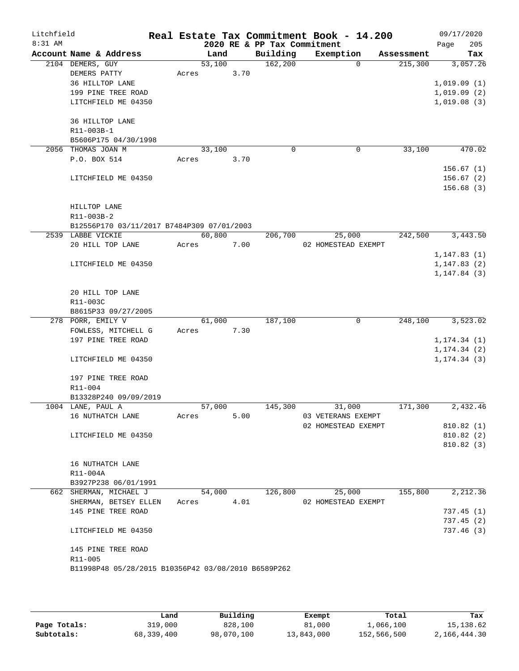| Litchfield |                                                     |       |        |      |                             | Real Estate Tax Commitment Book - 14.200 |          |            | 09/17/2020                 |            |
|------------|-----------------------------------------------------|-------|--------|------|-----------------------------|------------------------------------------|----------|------------|----------------------------|------------|
| 8:31 AM    |                                                     |       |        |      | 2020 RE & PP Tax Commitment |                                          |          |            | Page                       | 205        |
|            | Account Name & Address                              |       | Land   |      | Building                    | Exemption                                |          | Assessment |                            | Tax        |
|            | 2104 DEMERS, GUY                                    |       | 53,100 |      | 162,200                     |                                          | $\Omega$ | 215,300    |                            | 3,057.26   |
|            | DEMERS PATTY                                        | Acres |        | 3.70 |                             |                                          |          |            |                            |            |
|            | 36 HILLTOP LANE                                     |       |        |      |                             |                                          |          |            | 1,019.09(1)                |            |
|            | 199 PINE TREE ROAD<br>LITCHFIELD ME 04350           |       |        |      |                             |                                          |          |            | 1,019.09(2)<br>1,019.08(3) |            |
|            |                                                     |       |        |      |                             |                                          |          |            |                            |            |
|            | 36 HILLTOP LANE                                     |       |        |      |                             |                                          |          |            |                            |            |
|            | R11-003B-1                                          |       |        |      |                             |                                          |          |            |                            |            |
|            | B5606P175 04/30/1998                                |       |        |      |                             |                                          |          |            |                            |            |
|            | 2056 THOMAS JOAN M                                  |       | 33,100 |      | 0                           |                                          | 0        | 33,100     |                            | 470.02     |
|            | P.O. BOX 514                                        | Acres |        | 3.70 |                             |                                          |          |            |                            |            |
|            |                                                     |       |        |      |                             |                                          |          |            |                            | 156.67(1)  |
|            | LITCHFIELD ME 04350                                 |       |        |      |                             |                                          |          |            |                            | 156.67(2)  |
|            |                                                     |       |        |      |                             |                                          |          |            |                            | 156.68(3)  |
|            | HILLTOP LANE                                        |       |        |      |                             |                                          |          |            |                            |            |
|            | R11-003B-2                                          |       |        |      |                             |                                          |          |            |                            |            |
|            | B12556P170 03/11/2017 B7484P309 07/01/2003          |       |        |      |                             |                                          |          |            |                            |            |
|            | 2539 LABBE VICKIE                                   |       | 60,800 |      | 206,700                     | 25,000                                   |          | 242,500    |                            | 3,443.50   |
|            | 20 HILL TOP LANE                                    | Acres |        | 7.00 |                             | 02 HOMESTEAD EXEMPT                      |          |            |                            |            |
|            |                                                     |       |        |      |                             |                                          |          |            | 1, 147.83(1)               |            |
|            | LITCHFIELD ME 04350                                 |       |        |      |                             |                                          |          |            | 1,147.83(2)                |            |
|            |                                                     |       |        |      |                             |                                          |          |            | 1, 147.84(3)               |            |
|            |                                                     |       |        |      |                             |                                          |          |            |                            |            |
|            | 20 HILL TOP LANE<br>R11-003C                        |       |        |      |                             |                                          |          |            |                            |            |
|            | B8615P33 09/27/2005                                 |       |        |      |                             |                                          |          |            |                            |            |
|            | 278 PORR, EMILY V                                   |       | 61,000 |      | 187,100                     |                                          | 0        | 248,100    |                            | 3,523.02   |
|            | FOWLESS, MITCHELL G                                 | Acres |        | 7.30 |                             |                                          |          |            |                            |            |
|            | 197 PINE TREE ROAD                                  |       |        |      |                             |                                          |          |            | 1, 174.34(1)               |            |
|            |                                                     |       |        |      |                             |                                          |          |            | 1, 174.34(2)               |            |
|            | LITCHFIELD ME 04350                                 |       |        |      |                             |                                          |          |            | 1, 174.34(3)               |            |
|            |                                                     |       |        |      |                             |                                          |          |            |                            |            |
|            | 197 PINE TREE ROAD                                  |       |        |      |                             |                                          |          |            |                            |            |
|            | R11-004<br>B13328P240 09/09/2019                    |       |        |      |                             |                                          |          |            |                            |            |
|            | 1004 LANE, PAUL A                                   |       | 57,000 |      | 145,300                     | 31,000                                   |          | 171,300    |                            | 2,432.46   |
|            | 16 NUTHATCH LANE                                    | Acres |        | 5.00 |                             | 03 VETERANS EXEMPT                       |          |            |                            |            |
|            |                                                     |       |        |      |                             | 02 HOMESTEAD EXEMPT                      |          |            |                            | 810.82(1)  |
|            | LITCHFIELD ME 04350                                 |       |        |      |                             |                                          |          |            |                            | 810.82(2)  |
|            |                                                     |       |        |      |                             |                                          |          |            |                            | 810.82(3)  |
|            |                                                     |       |        |      |                             |                                          |          |            |                            |            |
|            | 16 NUTHATCH LANE                                    |       |        |      |                             |                                          |          |            |                            |            |
|            | R11-004A                                            |       |        |      |                             |                                          |          |            |                            |            |
|            | B3927P238 06/01/1991<br>662 SHERMAN, MICHAEL J      |       |        |      | 54,000 126,800              | 25,000                                   |          | 155,800    |                            | 2,212.36   |
|            | SHERMAN, BETSEY ELLEN Acres 4.01                    |       |        |      |                             | 02 HOMESTEAD EXEMPT                      |          |            |                            |            |
|            | 145 PINE TREE ROAD                                  |       |        |      |                             |                                          |          |            |                            | 737.45(1)  |
|            |                                                     |       |        |      |                             |                                          |          |            |                            | 737.45(2)  |
|            | LITCHFIELD ME 04350                                 |       |        |      |                             |                                          |          |            |                            | 737.46 (3) |
|            | 145 PINE TREE ROAD                                  |       |        |      |                             |                                          |          |            |                            |            |
|            | R11-005                                             |       |        |      |                             |                                          |          |            |                            |            |
|            | B11998P48 05/28/2015 B10356P42 03/08/2010 B6589P262 |       |        |      |                             |                                          |          |            |                            |            |
|            |                                                     |       |        |      |                             |                                          |          |            |                            |            |
|            |                                                     |       |        |      |                             |                                          |          |            |                            |            |

|              | Land       | Building   | Exempt     | Total       | Tax          |
|--------------|------------|------------|------------|-------------|--------------|
| Page Totals: | 319,000    | 828,100    | 81,000     | 1,066,100   | 15, 138.62   |
| Subtotals:   | 68,339,400 | 98,070,100 | 13,843,000 | 152,566,500 | 2,166,444.30 |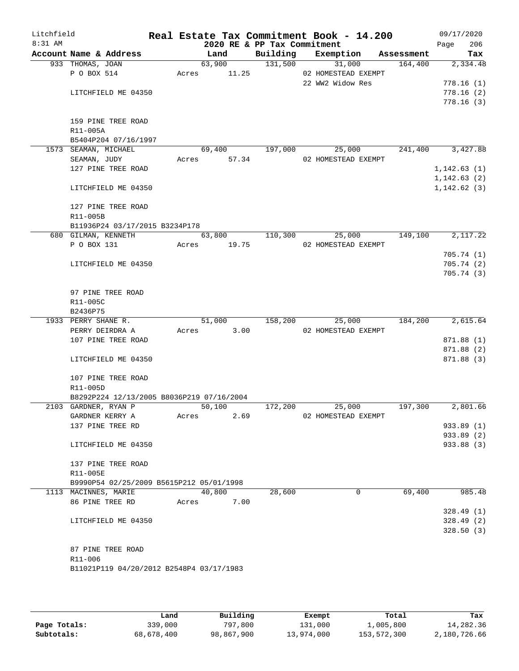| Litchfield<br>$8:31$ AM |                      |                                           |       |             | 2020 RE & PP Tax Commitment | Real Estate Tax Commitment Book - 14.200 |            | 09/17/2020<br>206<br>Page |
|-------------------------|----------------------|-------------------------------------------|-------|-------------|-----------------------------|------------------------------------------|------------|---------------------------|
|                         |                      | Account Name & Address                    |       | Land        | Building                    | Exemption                                | Assessment | Tax                       |
|                         | 933 THOMAS, JOAN     |                                           |       | 63,900      | 131,500                     | 31,000                                   | 164,400    | 2,334.48                  |
|                         | P O BOX 514          |                                           | Acres | 11.25       |                             | 02 HOMESTEAD EXEMPT                      |            |                           |
|                         |                      |                                           |       |             |                             | 22 WW2 Widow Res                         |            | 778.16(1)                 |
|                         |                      | LITCHFIELD ME 04350                       |       |             |                             |                                          |            | 778.16(2)                 |
|                         |                      |                                           |       |             |                             |                                          |            | 778.16(3)                 |
|                         |                      | 159 PINE TREE ROAD                        |       |             |                             |                                          |            |                           |
|                         | R11-005A             |                                           |       |             |                             |                                          |            |                           |
|                         |                      | B5404P204 07/16/1997                      |       |             |                             |                                          |            |                           |
|                         | 1573 SEAMAN, MICHAEL |                                           |       | 69,400      | 197,000                     | 25,000                                   | 241,400    | 3,427.88                  |
|                         | SEAMAN, JUDY         |                                           |       | Acres 57.34 |                             | 02 HOMESTEAD EXEMPT                      |            |                           |
|                         |                      | 127 PINE TREE ROAD                        |       |             |                             |                                          |            | 1,142.63(1)               |
|                         |                      |                                           |       |             |                             |                                          |            | 1, 142.63(2)              |
|                         |                      | LITCHFIELD ME 04350                       |       |             |                             |                                          |            | 1,142.62(3)               |
|                         |                      | 127 PINE TREE ROAD                        |       |             |                             |                                          |            |                           |
|                         | R11-005B             |                                           |       |             |                             |                                          |            |                           |
|                         |                      | B11936P24 03/17/2015 B3234P178            |       |             |                             |                                          |            |                           |
|                         |                      | 680 GILMAN, KENNETH                       |       | 63,800      | 110,300                     | 25,000                                   | 149,100    | 2,117.22                  |
|                         | P O BOX 131          |                                           | Acres | 19.75       |                             | 02 HOMESTEAD EXEMPT                      |            |                           |
|                         |                      |                                           |       |             |                             |                                          |            | 705.74(1)                 |
|                         |                      | LITCHFIELD ME 04350                       |       |             |                             |                                          |            | 705.74(2)                 |
|                         |                      |                                           |       |             |                             |                                          |            | 705.74(3)                 |
|                         |                      | 97 PINE TREE ROAD                         |       |             |                             |                                          |            |                           |
|                         | R11-005C             |                                           |       |             |                             |                                          |            |                           |
|                         | B2436P75             |                                           |       |             |                             |                                          |            |                           |
|                         | 1933 PERRY SHANE R.  |                                           |       | 51,000      | 158,200                     | 25,000                                   | 184,200    | 2,615.64                  |
|                         | PERRY DEIRDRA A      |                                           | Acres | 3.00        |                             | 02 HOMESTEAD EXEMPT                      |            |                           |
|                         |                      | 107 PINE TREE ROAD                        |       |             |                             |                                          |            | 871.88 (1)                |
|                         |                      |                                           |       |             |                             |                                          |            | 871.88 (2)                |
|                         |                      | LITCHFIELD ME 04350                       |       |             |                             |                                          |            | 871.88 (3)                |
|                         |                      | 107 PINE TREE ROAD                        |       |             |                             |                                          |            |                           |
|                         | R11-005D             |                                           |       |             |                             |                                          |            |                           |
|                         |                      | B8292P224 12/13/2005 B8036P219 07/16/2004 |       |             |                             |                                          |            |                           |
|                         | 2103 GARDNER, RYAN P |                                           |       | 50,100      | 172,200                     | 25,000                                   | 197,300    | 2,801.66                  |
|                         |                      | GARDNER KERRY A                           | Acres | 2.69        |                             | 02 HOMESTEAD EXEMPT                      |            |                           |
|                         |                      | 137 PINE TREE RD                          |       |             |                             |                                          |            | 933.89 (1)                |
|                         |                      |                                           |       |             |                             |                                          |            | 933.89 (2)                |
|                         |                      | LITCHFIELD ME 04350                       |       |             |                             |                                          |            | 933.88 (3)                |
|                         |                      | 137 PINE TREE ROAD                        |       |             |                             |                                          |            |                           |
|                         | R11-005E             |                                           |       |             |                             |                                          |            |                           |
|                         |                      | B9990P54 02/25/2009 B5615P212 05/01/1998  |       |             |                             |                                          |            |                           |
|                         | 1113 MACINNES, MARIE |                                           |       | 40,800      | 28,600                      | 0                                        | 69,400     | 985.48                    |
|                         |                      | 86 PINE TREE RD                           | Acres | 7.00        |                             |                                          |            |                           |
|                         |                      |                                           |       |             |                             |                                          |            | 328.49(1)                 |
|                         |                      | LITCHFIELD ME 04350                       |       |             |                             |                                          |            | 328.49(2)                 |
|                         |                      |                                           |       |             |                             |                                          |            | 328.50(3)                 |
|                         |                      | 87 PINE TREE ROAD                         |       |             |                             |                                          |            |                           |
|                         | R11-006              |                                           |       |             |                             |                                          |            |                           |
|                         |                      | B11021P119 04/20/2012 B2548P4 03/17/1983  |       |             |                             |                                          |            |                           |
|                         |                      |                                           |       |             |                             |                                          |            |                           |

|              | Land       | Building   | Exempt     | Total       | Tax          |
|--------------|------------|------------|------------|-------------|--------------|
| Page Totals: | 339,000    | 797,800    | 131,000    | 1,005,800   | 14,282.36    |
| Subtotals:   | 68,678,400 | 98,867,900 | 13,974,000 | 153,572,300 | 2,180,726.66 |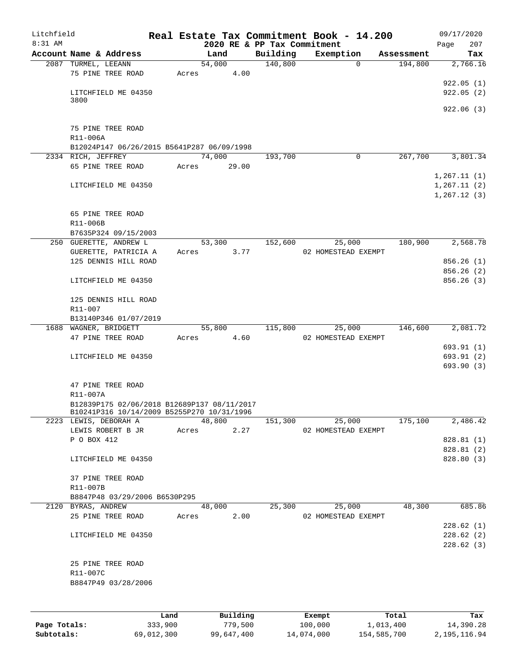| Litchfield<br>$8:31$ AM |                                                        |       |            |      | 2020 RE & PP Tax Commitment | Real Estate Tax Commitment Book - 14.200 |            | 09/17/2020<br>Page | 207                    |
|-------------------------|--------------------------------------------------------|-------|------------|------|-----------------------------|------------------------------------------|------------|--------------------|------------------------|
|                         | Account Name & Address                                 |       | Land       |      | Building                    | Exemption                                | Assessment |                    | Tax                    |
|                         | 2087 TURMEL, LEEANN                                    |       | 54,000     |      | 140,800                     | $\Omega$                                 | 194,800    |                    | 2,766.16               |
|                         | 75 PINE TREE ROAD                                      | Acres |            | 4.00 |                             |                                          |            |                    |                        |
|                         |                                                        |       |            |      |                             |                                          |            |                    | 922.05(1)              |
|                         | LITCHFIELD ME 04350                                    |       |            |      |                             |                                          |            |                    | 922.05(2)              |
|                         | 3800                                                   |       |            |      |                             |                                          |            |                    |                        |
|                         |                                                        |       |            |      |                             |                                          |            |                    | 922.06(3)              |
|                         |                                                        |       |            |      |                             |                                          |            |                    |                        |
|                         | 75 PINE TREE ROAD                                      |       |            |      |                             |                                          |            |                    |                        |
|                         | R11-006A<br>B12024P147 06/26/2015 B5641P287 06/09/1998 |       |            |      |                             |                                          |            |                    |                        |
|                         | 2334 RICH, JEFFREY                                     |       | 74,000     |      | 193,700                     | 0                                        | 267,700    |                    | 3,801.34               |
|                         | 65 PINE TREE ROAD                                      | Acres | 29.00      |      |                             |                                          |            |                    |                        |
|                         |                                                        |       |            |      |                             |                                          |            | 1,267.11(1)        |                        |
|                         | LITCHFIELD ME 04350                                    |       |            |      |                             |                                          |            | 1, 267.11(2)       |                        |
|                         |                                                        |       |            |      |                             |                                          |            | 1,267.12(3)        |                        |
|                         |                                                        |       |            |      |                             |                                          |            |                    |                        |
|                         | 65 PINE TREE ROAD                                      |       |            |      |                             |                                          |            |                    |                        |
|                         | R11-006B                                               |       |            |      |                             |                                          |            |                    |                        |
|                         | B7635P324 09/15/2003                                   |       |            |      |                             |                                          |            |                    |                        |
|                         | 250 GUERETTE, ANDREW L                                 |       | 53,300     |      | 152,600                     | 25,000                                   | 180,900    |                    | 2,568.78               |
|                         | GUERETTE, PATRICIA A                                   | Acres |            | 3.77 |                             | 02 HOMESTEAD EXEMPT                      |            |                    |                        |
|                         | 125 DENNIS HILL ROAD                                   |       |            |      |                             |                                          |            |                    | 856.26(1)              |
|                         |                                                        |       |            |      |                             |                                          |            |                    | 856.26(2)              |
|                         | LITCHFIELD ME 04350                                    |       |            |      |                             |                                          |            |                    | 856.26(3)              |
|                         |                                                        |       |            |      |                             |                                          |            |                    |                        |
|                         | 125 DENNIS HILL ROAD                                   |       |            |      |                             |                                          |            |                    |                        |
|                         | R11-007                                                |       |            |      |                             |                                          |            |                    |                        |
|                         | B13140P346 01/07/2019                                  |       |            |      |                             |                                          |            |                    |                        |
|                         | 1688 WAGNER, BRIDGETT                                  |       | 55,800     |      | 115,800                     | 25,000                                   | 146,600    |                    | 2,081.72               |
|                         | 47 PINE TREE ROAD                                      | Acres |            | 4.60 |                             | 02 HOMESTEAD EXEMPT                      |            |                    |                        |
|                         |                                                        |       |            |      |                             |                                          |            |                    | 693.91(1)              |
|                         | LITCHFIELD ME 04350                                    |       |            |      |                             |                                          |            |                    | 693.91(2)              |
|                         |                                                        |       |            |      |                             |                                          |            |                    | 693.90 (3)             |
|                         | 47 PINE TREE ROAD                                      |       |            |      |                             |                                          |            |                    |                        |
|                         | R11-007A                                               |       |            |      |                             |                                          |            |                    |                        |
|                         | B12839P175 02/06/2018 B12689P137 08/11/2017            |       |            |      |                             |                                          |            |                    |                        |
|                         | B10241P316 10/14/2009 B5255P270 10/31/1996             |       |            |      |                             |                                          |            |                    |                        |
|                         | 2223 LEWIS, DEBORAH A                                  |       | 48,800     |      | 151,300                     | 25,000                                   | 175,100    |                    | 2,486.42               |
|                         | LEWIS ROBERT B JR Acres 2.27                           |       |            |      |                             | 02 HOMESTEAD EXEMPT                      |            |                    |                        |
|                         | P O BOX 412                                            |       |            |      |                             |                                          |            |                    | 828.81 (1)             |
|                         |                                                        |       |            |      |                             |                                          |            |                    | 828.81 (2)             |
|                         | LITCHFIELD ME 04350                                    |       |            |      |                             |                                          |            |                    | 828.80 (3)             |
|                         |                                                        |       |            |      |                             |                                          |            |                    |                        |
|                         | 37 PINE TREE ROAD                                      |       |            |      |                             |                                          |            |                    |                        |
|                         | R11-007B                                               |       |            |      |                             |                                          |            |                    |                        |
|                         | B8847P48 03/29/2006 B6530P295                          |       |            |      |                             |                                          |            |                    |                        |
|                         | 2120 BYRAS, ANDREW                                     |       | 48,000     |      |                             | 25,300                                   | 25,000     | 48,300 685.86      |                        |
|                         | 25 PINE TREE ROAD                                      |       | Acres 2.00 |      |                             | 02 HOMESTEAD EXEMPT                      |            |                    |                        |
|                         |                                                        |       |            |      |                             |                                          |            |                    | 228.62(1)<br>228.62(2) |
|                         | LITCHFIELD ME 04350                                    |       |            |      |                             |                                          |            |                    |                        |
|                         |                                                        |       |            |      |                             |                                          |            |                    | 228.62(3)              |
|                         | 25 PINE TREE ROAD                                      |       |            |      |                             |                                          |            |                    |                        |
|                         | R11-007C                                               |       |            |      |                             |                                          |            |                    |                        |
|                         | B8847P49 03/28/2006                                    |       |            |      |                             |                                          |            |                    |                        |
|                         |                                                        |       |            |      |                             |                                          |            |                    |                        |
|                         |                                                        |       |            |      |                             |                                          |            |                    |                        |
|                         |                                                        |       |            |      |                             |                                          |            |                    |                        |

|              | Land       | Building   | Exempt     | Total       | Tax          |
|--------------|------------|------------|------------|-------------|--------------|
| Page Totals: | 333,900    | 779.500    | 100,000    | 1,013,400   | 14,390.28    |
| Subtotals:   | 69,012,300 | 99,647,400 | 14,074,000 | 154,585,700 | 2,195,116.94 |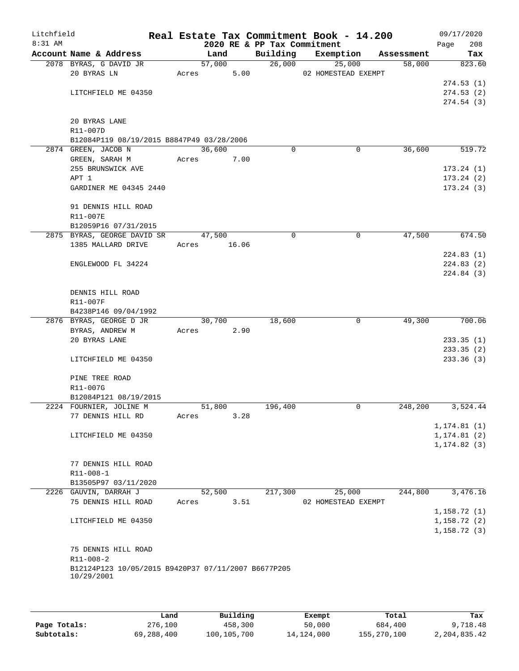| Litchfield<br>$8:31$ AM |                                                     |       |        |       | 2020 RE & PP Tax Commitment | Real Estate Tax Commitment Book - 14.200 |                       | 09/17/2020<br>208<br>Page    |
|-------------------------|-----------------------------------------------------|-------|--------|-------|-----------------------------|------------------------------------------|-----------------------|------------------------------|
|                         | Account Name & Address                              |       | Land   |       | Building                    | Exemption                                | Assessment            | Tax                          |
|                         | 2078 BYRAS, G DAVID JR                              |       | 57,000 |       | 26,000                      | 25,000                                   | 58,000                | 823.60                       |
|                         | 20 BYRAS LN                                         |       | Acres  | 5.00  |                             | 02 HOMESTEAD EXEMPT                      |                       |                              |
|                         |                                                     |       |        |       |                             |                                          |                       | 274.53(1)                    |
|                         | LITCHFIELD ME 04350                                 |       |        |       |                             |                                          |                       | 274.53(2)                    |
|                         |                                                     |       |        |       |                             |                                          |                       | 274.54(3)                    |
|                         |                                                     |       |        |       |                             |                                          |                       |                              |
|                         | 20 BYRAS LANE                                       |       |        |       |                             |                                          |                       |                              |
|                         | R11-007D                                            |       |        |       |                             |                                          |                       |                              |
|                         | B12084P119 08/19/2015 B8847P49 03/28/2006           |       |        |       |                             |                                          |                       |                              |
|                         | 2874 GREEN, JACOB N                                 |       | 36,600 |       | $\Omega$                    |                                          | 36,600<br>0           | 519.72                       |
|                         | GREEN, SARAH M                                      | Acres |        | 7.00  |                             |                                          |                       |                              |
|                         | 255 BRUNSWICK AVE                                   |       |        |       |                             |                                          |                       | 173.24(1)                    |
|                         | APT 1                                               |       |        |       |                             |                                          |                       | 173.24(2)                    |
|                         | GARDINER ME 04345 2440                              |       |        |       |                             |                                          |                       | 173.24(3)                    |
|                         | 91 DENNIS HILL ROAD                                 |       |        |       |                             |                                          |                       |                              |
|                         | R11-007E                                            |       |        |       |                             |                                          |                       |                              |
|                         | B12059P16 07/31/2015                                |       |        |       |                             |                                          |                       |                              |
|                         | 2875 BYRAS, GEORGE DAVID SR                         |       | 47,500 |       | $\mathbf 0$                 |                                          | $\mathbf 0$<br>47,500 | 674.50                       |
|                         | 1385 MALLARD DRIVE                                  | Acres |        | 16.06 |                             |                                          |                       |                              |
|                         |                                                     |       |        |       |                             |                                          |                       | 224.83(1)                    |
|                         | ENGLEWOOD FL 34224                                  |       |        |       |                             |                                          |                       | 224.83 (2)                   |
|                         |                                                     |       |        |       |                             |                                          |                       | 224.84 (3)                   |
|                         |                                                     |       |        |       |                             |                                          |                       |                              |
|                         | DENNIS HILL ROAD                                    |       |        |       |                             |                                          |                       |                              |
|                         | R11-007F                                            |       |        |       |                             |                                          |                       |                              |
|                         | B4238P146 09/04/1992                                |       |        |       |                             |                                          |                       |                              |
|                         | 2876 BYRAS, GEORGE D JR                             |       | 30,700 |       | 18,600                      |                                          | 0<br>49,300           | 700.06                       |
|                         | BYRAS, ANDREW M                                     |       | Acres  | 2.90  |                             |                                          |                       |                              |
|                         | 20 BYRAS LANE                                       |       |        |       |                             |                                          |                       | 233.35(1)                    |
|                         |                                                     |       |        |       |                             |                                          |                       | 233.35(2)                    |
|                         | LITCHFIELD ME 04350                                 |       |        |       |                             |                                          |                       | 233.36(3)                    |
|                         |                                                     |       |        |       |                             |                                          |                       |                              |
|                         | PINE TREE ROAD                                      |       |        |       |                             |                                          |                       |                              |
|                         | R11-007G                                            |       |        |       |                             |                                          |                       |                              |
|                         | B12084P121 08/19/2015                               |       |        |       |                             |                                          |                       |                              |
|                         | 2224 FOURNIER, JOLINE M                             |       | 51,800 |       | 196,400                     |                                          | 248,200<br>0          | 3,524.44                     |
|                         | 77 DENNIS HILL RD                                   | Acres |        | 3.28  |                             |                                          |                       |                              |
|                         |                                                     |       |        |       |                             |                                          |                       | 1, 174.81(1)                 |
|                         | LITCHFIELD ME 04350                                 |       |        |       |                             |                                          |                       | 1, 174.81(2)<br>1, 174.82(3) |
|                         |                                                     |       |        |       |                             |                                          |                       |                              |
|                         | 77 DENNIS HILL ROAD                                 |       |        |       |                             |                                          |                       |                              |
|                         | R11-008-1                                           |       |        |       |                             |                                          |                       |                              |
|                         | B13505P97 03/11/2020                                |       |        |       |                             |                                          |                       |                              |
|                         | 2226 GAUVIN, DARRAH J                               |       | 52,500 |       | 217,300                     | 25,000                                   | 244,800               | 3,476.16                     |
|                         | 75 DENNIS HILL ROAD                                 | Acres |        | 3.51  |                             | 02 HOMESTEAD EXEMPT                      |                       |                              |
|                         |                                                     |       |        |       |                             |                                          |                       | 1,158.72(1)                  |
|                         | LITCHFIELD ME 04350                                 |       |        |       |                             |                                          |                       | 1, 158.72(2)                 |
|                         |                                                     |       |        |       |                             |                                          |                       | 1, 158.72(3)                 |
|                         |                                                     |       |        |       |                             |                                          |                       |                              |
|                         | 75 DENNIS HILL ROAD                                 |       |        |       |                             |                                          |                       |                              |
|                         | R11-008-2                                           |       |        |       |                             |                                          |                       |                              |
|                         | B12124P123 10/05/2015 B9420P37 07/11/2007 B6677P205 |       |        |       |                             |                                          |                       |                              |
|                         | 10/29/2001                                          |       |        |       |                             |                                          |                       |                              |
|                         |                                                     |       |        |       |                             |                                          |                       |                              |
|                         |                                                     |       |        |       |                             |                                          |                       |                              |

|              | Land       | Building    | Exempt     | Total       | Tax          |
|--------------|------------|-------------|------------|-------------|--------------|
| Page Totals: | 276,100    | 458,300     | 50,000     | 684,400     | 9,718.48     |
| Subtotals:   | 69,288,400 | 100,105,700 | 14,124,000 | 155,270,100 | 2,204,835.42 |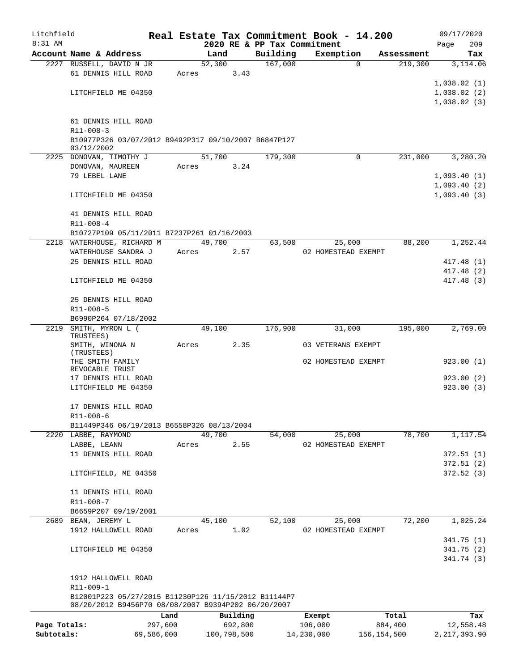| Litchfield   |                                                                                                             |         |                |                             | Real Estate Tax Commitment Book - 14.200 |                       | 09/17/2020              |
|--------------|-------------------------------------------------------------------------------------------------------------|---------|----------------|-----------------------------|------------------------------------------|-----------------------|-------------------------|
| $8:31$ AM    |                                                                                                             |         |                | 2020 RE & PP Tax Commitment |                                          |                       | 209<br>Page             |
|              | Account Name & Address<br>2227 RUSSELL, DAVID N JR                                                          |         | Land<br>52,300 | Building<br>167,000         | Exemption<br>$\Omega$                    | Assessment<br>219,300 | Tax<br>3,114.06         |
|              | 61 DENNIS HILL ROAD                                                                                         | Acres   | 3.43           |                             |                                          |                       |                         |
|              |                                                                                                             |         |                |                             |                                          |                       | 1,038.02(1)             |
|              | LITCHFIELD ME 04350                                                                                         |         |                |                             |                                          |                       | 1,038.02(2)             |
|              |                                                                                                             |         |                |                             |                                          |                       | 1,038.02(3)             |
|              |                                                                                                             |         |                |                             |                                          |                       |                         |
|              | 61 DENNIS HILL ROAD<br>$R11 - 008 - 3$                                                                      |         |                |                             |                                          |                       |                         |
|              | B10977P326 03/07/2012 B9492P317 09/10/2007 B6847P127<br>03/12/2002                                          |         |                |                             |                                          |                       |                         |
|              | 2225 DONOVAN, TIMOTHY J                                                                                     |         | 51,700         | 179,300                     | $\Omega$                                 | 231,000               | 3,280.20                |
|              | DONOVAN, MAUREEN                                                                                            | Acres   | 3.24           |                             |                                          |                       |                         |
|              | 79 LEBEL LANE                                                                                               |         |                |                             |                                          |                       | 1,093.40(1)             |
|              | LITCHFIELD ME 04350                                                                                         |         |                |                             |                                          |                       | 1,093.40(2)             |
|              |                                                                                                             |         |                |                             |                                          |                       | 1,093.40(3)             |
|              | 41 DENNIS HILL ROAD                                                                                         |         |                |                             |                                          |                       |                         |
|              | $R11 - 008 - 4$                                                                                             |         |                |                             |                                          |                       |                         |
|              | B10727P109 05/11/2011 B7237P261 01/16/2003                                                                  |         |                |                             |                                          |                       |                         |
|              | 2218 WATERHOUSE, RICHARD M                                                                                  |         | 49,700         | 63,500                      | 25,000                                   | 88,200                | 1,252.44                |
|              | WATERHOUSE SANDRA J                                                                                         |         | 2.57<br>Acres  |                             | 02 HOMESTEAD EXEMPT                      |                       |                         |
|              | 25 DENNIS HILL ROAD                                                                                         |         |                |                             |                                          |                       | 417.48(1)<br>417.48 (2) |
|              | LITCHFIELD ME 04350                                                                                         |         |                |                             |                                          |                       | 417.48 (3)              |
|              |                                                                                                             |         |                |                             |                                          |                       |                         |
|              | 25 DENNIS HILL ROAD                                                                                         |         |                |                             |                                          |                       |                         |
|              | R11-008-5                                                                                                   |         |                |                             |                                          |                       |                         |
|              | B6990P264 07/18/2002                                                                                        |         |                |                             |                                          |                       |                         |
| 2219         | SMITH, MYRON L (<br>TRUSTEES)                                                                               |         | 49,100         | 176,900                     | 31,000                                   | 195,000               | 2,769.00                |
|              | SMITH, WINONA N<br>(TRUSTEES)                                                                               | Acres   | 2.35           |                             | 03 VETERANS EXEMPT                       |                       |                         |
|              | THE SMITH FAMILY                                                                                            |         |                |                             | 02 HOMESTEAD EXEMPT                      |                       | 923.00(1)               |
|              | REVOCABLE TRUST<br>17 DENNIS HILL ROAD                                                                      |         |                |                             |                                          |                       | 923.00(2)               |
|              | LITCHFIELD ME 04350                                                                                         |         |                |                             |                                          |                       | 923.00(3)               |
|              |                                                                                                             |         |                |                             |                                          |                       |                         |
|              | 17 DENNIS HILL ROAD                                                                                         |         |                |                             |                                          |                       |                         |
|              | R11-008-6                                                                                                   |         |                |                             |                                          |                       |                         |
|              | B11449P346 06/19/2013 B6558P326 08/13/2004                                                                  |         | 49,700         | 54,000                      |                                          | 78,700                | 1,117.54                |
|              | 2220 LABBE, RAYMOND<br>LABBE, LEANN                                                                         | Acres   | 2.55           |                             | 25,000<br>02 HOMESTEAD EXEMPT            |                       |                         |
|              | 11 DENNIS HILL ROAD                                                                                         |         |                |                             |                                          |                       | 372.51(1)               |
|              |                                                                                                             |         |                |                             |                                          |                       | 372.51(2)               |
|              | LITCHFIELD, ME 04350                                                                                        |         |                |                             |                                          |                       | 372.52(3)               |
|              | 11 DENNIS HILL ROAD                                                                                         |         |                |                             |                                          |                       |                         |
|              | R11-008-7                                                                                                   |         |                |                             |                                          |                       |                         |
|              | B6659P207 09/19/2001                                                                                        |         |                |                             |                                          |                       |                         |
| 2689         | BEAN, JEREMY L                                                                                              |         | 45,100         | 52,100                      | 25,000                                   | 72,200                | 1,025.24                |
|              | 1912 HALLOWELL ROAD                                                                                         | Acres   | 1.02           |                             | 02 HOMESTEAD EXEMPT                      |                       |                         |
|              |                                                                                                             |         |                |                             |                                          |                       | 341.75(1)               |
|              | LITCHFIELD ME 04350                                                                                         |         |                |                             |                                          |                       | 341.75(2)<br>341.74 (3) |
|              |                                                                                                             |         |                |                             |                                          |                       |                         |
|              | 1912 HALLOWELL ROAD                                                                                         |         |                |                             |                                          |                       |                         |
|              | R11-009-1                                                                                                   |         |                |                             |                                          |                       |                         |
|              | B12001P223 05/27/2015 B11230P126 11/15/2012 B11144P7<br>08/20/2012 B9456P70 08/08/2007 B9394P202 06/20/2007 |         |                |                             |                                          |                       |                         |
|              |                                                                                                             | Land    | Building       |                             | Exempt                                   | Total                 | Tax                     |
| Page Totals: |                                                                                                             | 297,600 | 692,800        |                             | 106,000                                  | 884,400               | 12,558.48               |

**Subtotals:** 69,586,000 100,798,500 14,230,000 156,154,500 2,217,393.90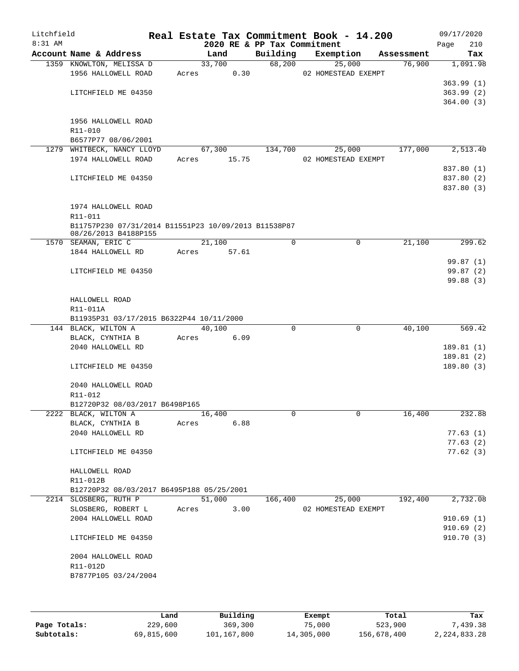| Account Name & Address<br>Building<br>Exemption<br>Land<br>Assessment<br>68,200<br>33,700<br>25,000<br>76,900<br>1359 KNOWLTON, MELISSA D<br>1956 HALLOWELL ROAD<br>0.30<br>Acres<br>02 HOMESTEAD EXEMPT<br>LITCHFIELD ME 04350<br>1956 HALLOWELL ROAD<br>R11-010<br>B6577P77 08/06/2001<br>177,000<br>1279 WHITBECK, NANCY LLOYD<br>67,300<br>134,700<br>25,000<br>1974 HALLOWELL ROAD<br>15.75<br>02 HOMESTEAD EXEMPT<br>Acres<br>LITCHFIELD ME 04350<br>1974 HALLOWELL ROAD<br>R11-011<br>B11757P230 07/31/2014 B11551P23 10/09/2013 B11538P87<br>08/26/2013 B4188P155<br>21,100<br>0<br>$\mathbf 0$<br>1570 SEAMAN, ERIC C<br>21,100<br>1844 HALLOWELL RD<br>57.61<br>Acres<br>LITCHFIELD ME 04350<br>HALLOWELL ROAD<br>R11-011A<br>B11935P31 03/17/2015 B6322P44 10/11/2000<br>144 BLACK, WILTON A<br>40,100<br>0<br>$\mathbf 0$<br>40,100<br>6.09<br>BLACK, CYNTHIA B<br>Acres<br>2040 HALLOWELL RD<br>LITCHFIELD ME 04350<br>2040 HALLOWELL ROAD<br>R11-012<br>B12720P32 08/03/2017 B6498P165<br>2222 BLACK, WILTON A<br>16,400<br>0<br>16,400<br>0<br>6.88<br>BLACK, CYNTHIA B<br>Acres<br>2040 HALLOWELL RD<br>LITCHFIELD ME 04350<br>HALLOWELL ROAD<br>R11-012B<br>B12720P32 08/03/2017 B6495P188 05/25/2001<br>51,000<br>2214 SLOSBERG, RUTH P<br>25,000<br>192,400<br>166,400<br>SLOSBERG, ROBERT L<br>3.00<br>02 HOMESTEAD EXEMPT<br>Acres<br>2004 HALLOWELL ROAD<br>LITCHFIELD ME 04350<br>2004 HALLOWELL ROAD<br>R11-012D<br>B7877P105 03/24/2004 | Litchfield<br>$8:31$ AM |  | 2020 RE & PP Tax Commitment | Real Estate Tax Commitment Book - 14.200 | 09/17/2020<br>210<br>Page |
|------------------------------------------------------------------------------------------------------------------------------------------------------------------------------------------------------------------------------------------------------------------------------------------------------------------------------------------------------------------------------------------------------------------------------------------------------------------------------------------------------------------------------------------------------------------------------------------------------------------------------------------------------------------------------------------------------------------------------------------------------------------------------------------------------------------------------------------------------------------------------------------------------------------------------------------------------------------------------------------------------------------------------------------------------------------------------------------------------------------------------------------------------------------------------------------------------------------------------------------------------------------------------------------------------------------------------------------------------------------------------------------------------------------------------------------------------------------|-------------------------|--|-----------------------------|------------------------------------------|---------------------------|
| 364.00(3)<br>2,513.40<br>837.80 (1)<br>299.62<br>569.42<br>189.81(1)<br>189.81 (2)<br>189.80(3)<br>77.63(1)<br>77.63(2)<br>77.62(3)<br>2,732.08                                                                                                                                                                                                                                                                                                                                                                                                                                                                                                                                                                                                                                                                                                                                                                                                                                                                                                                                                                                                                                                                                                                                                                                                                                                                                                                  |                         |  |                             |                                          | Tax                       |
|                                                                                                                                                                                                                                                                                                                                                                                                                                                                                                                                                                                                                                                                                                                                                                                                                                                                                                                                                                                                                                                                                                                                                                                                                                                                                                                                                                                                                                                                  |                         |  |                             |                                          | 1,091.98                  |
|                                                                                                                                                                                                                                                                                                                                                                                                                                                                                                                                                                                                                                                                                                                                                                                                                                                                                                                                                                                                                                                                                                                                                                                                                                                                                                                                                                                                                                                                  |                         |  |                             |                                          |                           |
|                                                                                                                                                                                                                                                                                                                                                                                                                                                                                                                                                                                                                                                                                                                                                                                                                                                                                                                                                                                                                                                                                                                                                                                                                                                                                                                                                                                                                                                                  |                         |  |                             |                                          | 363.99(1)                 |
|                                                                                                                                                                                                                                                                                                                                                                                                                                                                                                                                                                                                                                                                                                                                                                                                                                                                                                                                                                                                                                                                                                                                                                                                                                                                                                                                                                                                                                                                  |                         |  |                             |                                          | 363.99(2)                 |
|                                                                                                                                                                                                                                                                                                                                                                                                                                                                                                                                                                                                                                                                                                                                                                                                                                                                                                                                                                                                                                                                                                                                                                                                                                                                                                                                                                                                                                                                  |                         |  |                             |                                          |                           |
|                                                                                                                                                                                                                                                                                                                                                                                                                                                                                                                                                                                                                                                                                                                                                                                                                                                                                                                                                                                                                                                                                                                                                                                                                                                                                                                                                                                                                                                                  |                         |  |                             |                                          |                           |
|                                                                                                                                                                                                                                                                                                                                                                                                                                                                                                                                                                                                                                                                                                                                                                                                                                                                                                                                                                                                                                                                                                                                                                                                                                                                                                                                                                                                                                                                  |                         |  |                             |                                          |                           |
|                                                                                                                                                                                                                                                                                                                                                                                                                                                                                                                                                                                                                                                                                                                                                                                                                                                                                                                                                                                                                                                                                                                                                                                                                                                                                                                                                                                                                                                                  |                         |  |                             |                                          |                           |
|                                                                                                                                                                                                                                                                                                                                                                                                                                                                                                                                                                                                                                                                                                                                                                                                                                                                                                                                                                                                                                                                                                                                                                                                                                                                                                                                                                                                                                                                  |                         |  |                             |                                          |                           |
|                                                                                                                                                                                                                                                                                                                                                                                                                                                                                                                                                                                                                                                                                                                                                                                                                                                                                                                                                                                                                                                                                                                                                                                                                                                                                                                                                                                                                                                                  |                         |  |                             |                                          |                           |
|                                                                                                                                                                                                                                                                                                                                                                                                                                                                                                                                                                                                                                                                                                                                                                                                                                                                                                                                                                                                                                                                                                                                                                                                                                                                                                                                                                                                                                                                  |                         |  |                             |                                          |                           |
|                                                                                                                                                                                                                                                                                                                                                                                                                                                                                                                                                                                                                                                                                                                                                                                                                                                                                                                                                                                                                                                                                                                                                                                                                                                                                                                                                                                                                                                                  |                         |  |                             |                                          | 837.80 (2)                |
|                                                                                                                                                                                                                                                                                                                                                                                                                                                                                                                                                                                                                                                                                                                                                                                                                                                                                                                                                                                                                                                                                                                                                                                                                                                                                                                                                                                                                                                                  |                         |  |                             |                                          | 837.80 (3)                |
|                                                                                                                                                                                                                                                                                                                                                                                                                                                                                                                                                                                                                                                                                                                                                                                                                                                                                                                                                                                                                                                                                                                                                                                                                                                                                                                                                                                                                                                                  |                         |  |                             |                                          |                           |
|                                                                                                                                                                                                                                                                                                                                                                                                                                                                                                                                                                                                                                                                                                                                                                                                                                                                                                                                                                                                                                                                                                                                                                                                                                                                                                                                                                                                                                                                  |                         |  |                             |                                          |                           |
|                                                                                                                                                                                                                                                                                                                                                                                                                                                                                                                                                                                                                                                                                                                                                                                                                                                                                                                                                                                                                                                                                                                                                                                                                                                                                                                                                                                                                                                                  |                         |  |                             |                                          |                           |
|                                                                                                                                                                                                                                                                                                                                                                                                                                                                                                                                                                                                                                                                                                                                                                                                                                                                                                                                                                                                                                                                                                                                                                                                                                                                                                                                                                                                                                                                  |                         |  |                             |                                          |                           |
|                                                                                                                                                                                                                                                                                                                                                                                                                                                                                                                                                                                                                                                                                                                                                                                                                                                                                                                                                                                                                                                                                                                                                                                                                                                                                                                                                                                                                                                                  |                         |  |                             |                                          |                           |
|                                                                                                                                                                                                                                                                                                                                                                                                                                                                                                                                                                                                                                                                                                                                                                                                                                                                                                                                                                                                                                                                                                                                                                                                                                                                                                                                                                                                                                                                  |                         |  |                             |                                          |                           |
|                                                                                                                                                                                                                                                                                                                                                                                                                                                                                                                                                                                                                                                                                                                                                                                                                                                                                                                                                                                                                                                                                                                                                                                                                                                                                                                                                                                                                                                                  |                         |  |                             |                                          | 99.87 (1)                 |
|                                                                                                                                                                                                                                                                                                                                                                                                                                                                                                                                                                                                                                                                                                                                                                                                                                                                                                                                                                                                                                                                                                                                                                                                                                                                                                                                                                                                                                                                  |                         |  |                             |                                          | 99.87(2)                  |
|                                                                                                                                                                                                                                                                                                                                                                                                                                                                                                                                                                                                                                                                                                                                                                                                                                                                                                                                                                                                                                                                                                                                                                                                                                                                                                                                                                                                                                                                  |                         |  |                             |                                          | 99.88 (3)                 |
|                                                                                                                                                                                                                                                                                                                                                                                                                                                                                                                                                                                                                                                                                                                                                                                                                                                                                                                                                                                                                                                                                                                                                                                                                                                                                                                                                                                                                                                                  |                         |  |                             |                                          |                           |
|                                                                                                                                                                                                                                                                                                                                                                                                                                                                                                                                                                                                                                                                                                                                                                                                                                                                                                                                                                                                                                                                                                                                                                                                                                                                                                                                                                                                                                                                  |                         |  |                             |                                          |                           |
|                                                                                                                                                                                                                                                                                                                                                                                                                                                                                                                                                                                                                                                                                                                                                                                                                                                                                                                                                                                                                                                                                                                                                                                                                                                                                                                                                                                                                                                                  |                         |  |                             |                                          |                           |
|                                                                                                                                                                                                                                                                                                                                                                                                                                                                                                                                                                                                                                                                                                                                                                                                                                                                                                                                                                                                                                                                                                                                                                                                                                                                                                                                                                                                                                                                  |                         |  |                             |                                          |                           |
|                                                                                                                                                                                                                                                                                                                                                                                                                                                                                                                                                                                                                                                                                                                                                                                                                                                                                                                                                                                                                                                                                                                                                                                                                                                                                                                                                                                                                                                                  |                         |  |                             |                                          |                           |
|                                                                                                                                                                                                                                                                                                                                                                                                                                                                                                                                                                                                                                                                                                                                                                                                                                                                                                                                                                                                                                                                                                                                                                                                                                                                                                                                                                                                                                                                  |                         |  |                             |                                          |                           |
|                                                                                                                                                                                                                                                                                                                                                                                                                                                                                                                                                                                                                                                                                                                                                                                                                                                                                                                                                                                                                                                                                                                                                                                                                                                                                                                                                                                                                                                                  |                         |  |                             |                                          |                           |
|                                                                                                                                                                                                                                                                                                                                                                                                                                                                                                                                                                                                                                                                                                                                                                                                                                                                                                                                                                                                                                                                                                                                                                                                                                                                                                                                                                                                                                                                  |                         |  |                             |                                          |                           |
|                                                                                                                                                                                                                                                                                                                                                                                                                                                                                                                                                                                                                                                                                                                                                                                                                                                                                                                                                                                                                                                                                                                                                                                                                                                                                                                                                                                                                                                                  |                         |  |                             |                                          |                           |
|                                                                                                                                                                                                                                                                                                                                                                                                                                                                                                                                                                                                                                                                                                                                                                                                                                                                                                                                                                                                                                                                                                                                                                                                                                                                                                                                                                                                                                                                  |                         |  |                             |                                          |                           |
|                                                                                                                                                                                                                                                                                                                                                                                                                                                                                                                                                                                                                                                                                                                                                                                                                                                                                                                                                                                                                                                                                                                                                                                                                                                                                                                                                                                                                                                                  |                         |  |                             |                                          |                           |
|                                                                                                                                                                                                                                                                                                                                                                                                                                                                                                                                                                                                                                                                                                                                                                                                                                                                                                                                                                                                                                                                                                                                                                                                                                                                                                                                                                                                                                                                  |                         |  |                             |                                          |                           |
|                                                                                                                                                                                                                                                                                                                                                                                                                                                                                                                                                                                                                                                                                                                                                                                                                                                                                                                                                                                                                                                                                                                                                                                                                                                                                                                                                                                                                                                                  |                         |  |                             |                                          | 232.88                    |
|                                                                                                                                                                                                                                                                                                                                                                                                                                                                                                                                                                                                                                                                                                                                                                                                                                                                                                                                                                                                                                                                                                                                                                                                                                                                                                                                                                                                                                                                  |                         |  |                             |                                          |                           |
|                                                                                                                                                                                                                                                                                                                                                                                                                                                                                                                                                                                                                                                                                                                                                                                                                                                                                                                                                                                                                                                                                                                                                                                                                                                                                                                                                                                                                                                                  |                         |  |                             |                                          |                           |
|                                                                                                                                                                                                                                                                                                                                                                                                                                                                                                                                                                                                                                                                                                                                                                                                                                                                                                                                                                                                                                                                                                                                                                                                                                                                                                                                                                                                                                                                  |                         |  |                             |                                          |                           |
|                                                                                                                                                                                                                                                                                                                                                                                                                                                                                                                                                                                                                                                                                                                                                                                                                                                                                                                                                                                                                                                                                                                                                                                                                                                                                                                                                                                                                                                                  |                         |  |                             |                                          |                           |
|                                                                                                                                                                                                                                                                                                                                                                                                                                                                                                                                                                                                                                                                                                                                                                                                                                                                                                                                                                                                                                                                                                                                                                                                                                                                                                                                                                                                                                                                  |                         |  |                             |                                          |                           |
|                                                                                                                                                                                                                                                                                                                                                                                                                                                                                                                                                                                                                                                                                                                                                                                                                                                                                                                                                                                                                                                                                                                                                                                                                                                                                                                                                                                                                                                                  |                         |  |                             |                                          |                           |
|                                                                                                                                                                                                                                                                                                                                                                                                                                                                                                                                                                                                                                                                                                                                                                                                                                                                                                                                                                                                                                                                                                                                                                                                                                                                                                                                                                                                                                                                  |                         |  |                             |                                          |                           |
|                                                                                                                                                                                                                                                                                                                                                                                                                                                                                                                                                                                                                                                                                                                                                                                                                                                                                                                                                                                                                                                                                                                                                                                                                                                                                                                                                                                                                                                                  |                         |  |                             |                                          |                           |
|                                                                                                                                                                                                                                                                                                                                                                                                                                                                                                                                                                                                                                                                                                                                                                                                                                                                                                                                                                                                                                                                                                                                                                                                                                                                                                                                                                                                                                                                  |                         |  |                             |                                          |                           |
|                                                                                                                                                                                                                                                                                                                                                                                                                                                                                                                                                                                                                                                                                                                                                                                                                                                                                                                                                                                                                                                                                                                                                                                                                                                                                                                                                                                                                                                                  |                         |  |                             |                                          | 910.69(1)                 |
|                                                                                                                                                                                                                                                                                                                                                                                                                                                                                                                                                                                                                                                                                                                                                                                                                                                                                                                                                                                                                                                                                                                                                                                                                                                                                                                                                                                                                                                                  |                         |  |                             |                                          | 910.69(2)                 |
|                                                                                                                                                                                                                                                                                                                                                                                                                                                                                                                                                                                                                                                                                                                                                                                                                                                                                                                                                                                                                                                                                                                                                                                                                                                                                                                                                                                                                                                                  |                         |  |                             |                                          | 910.70 (3)                |
|                                                                                                                                                                                                                                                                                                                                                                                                                                                                                                                                                                                                                                                                                                                                                                                                                                                                                                                                                                                                                                                                                                                                                                                                                                                                                                                                                                                                                                                                  |                         |  |                             |                                          |                           |
|                                                                                                                                                                                                                                                                                                                                                                                                                                                                                                                                                                                                                                                                                                                                                                                                                                                                                                                                                                                                                                                                                                                                                                                                                                                                                                                                                                                                                                                                  |                         |  |                             |                                          |                           |
|                                                                                                                                                                                                                                                                                                                                                                                                                                                                                                                                                                                                                                                                                                                                                                                                                                                                                                                                                                                                                                                                                                                                                                                                                                                                                                                                                                                                                                                                  |                         |  |                             |                                          |                           |
|                                                                                                                                                                                                                                                                                                                                                                                                                                                                                                                                                                                                                                                                                                                                                                                                                                                                                                                                                                                                                                                                                                                                                                                                                                                                                                                                                                                                                                                                  |                         |  |                             |                                          |                           |
|                                                                                                                                                                                                                                                                                                                                                                                                                                                                                                                                                                                                                                                                                                                                                                                                                                                                                                                                                                                                                                                                                                                                                                                                                                                                                                                                                                                                                                                                  |                         |  |                             |                                          |                           |

|              | Land       | Building    | Exempt     | Total       | Tax          |
|--------------|------------|-------------|------------|-------------|--------------|
| Page Totals: | 229,600    | 369,300     | 75,000     | 523,900     | 7,439.38     |
| Subtotals:   | 69,815,600 | 101,167,800 | 14,305,000 | 156,678,400 | 2,224,833.28 |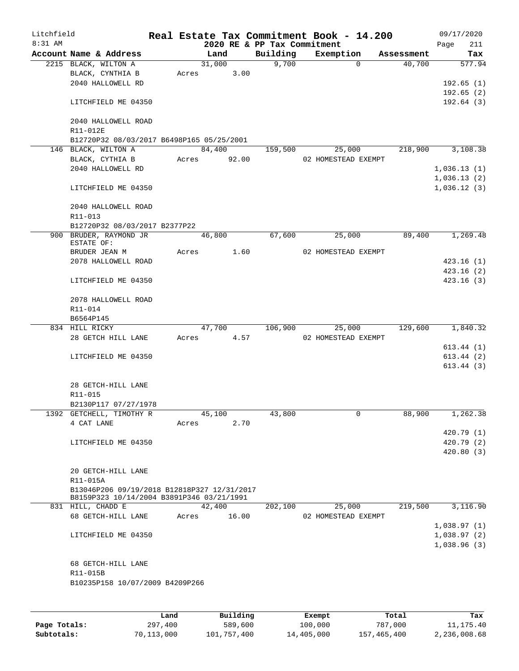| Litchfield<br>$8:31$ AM |                                             |       |        |       | Real Estate Tax Commitment Book - 14.200 |                     |          |            |      | 09/17/2020  |
|-------------------------|---------------------------------------------|-------|--------|-------|------------------------------------------|---------------------|----------|------------|------|-------------|
|                         | Account Name & Address                      |       | Land   |       | 2020 RE & PP Tax Commitment<br>Building  | Exemption           |          | Assessment | Page | 211<br>Tax  |
|                         | 2215 BLACK, WILTON A                        |       | 31,000 |       | 9,700                                    |                     | $\Omega$ | 40,700     |      | 577.94      |
|                         | BLACK, CYNTHIA B                            | Acres |        | 3.00  |                                          |                     |          |            |      |             |
|                         | 2040 HALLOWELL RD                           |       |        |       |                                          |                     |          |            |      | 192.65(1)   |
|                         |                                             |       |        |       |                                          |                     |          |            |      | 192.65(2)   |
|                         | LITCHFIELD ME 04350                         |       |        |       |                                          |                     |          |            |      | 192.64(3)   |
|                         |                                             |       |        |       |                                          |                     |          |            |      |             |
|                         | 2040 HALLOWELL ROAD                         |       |        |       |                                          |                     |          |            |      |             |
|                         | R11-012E                                    |       |        |       |                                          |                     |          |            |      |             |
|                         | B12720P32 08/03/2017 B6498P165 05/25/2001   |       |        |       |                                          |                     |          |            |      |             |
|                         | 146 BLACK, WILTON A                         |       | 84,400 |       | 159,500                                  |                     | 25,000   | 218,900    |      | 3,108.38    |
|                         | BLACK, CYTHIA B                             | Acres |        | 92.00 |                                          | 02 HOMESTEAD EXEMPT |          |            |      |             |
|                         | 2040 HALLOWELL RD                           |       |        |       |                                          |                     |          |            |      | 1,036.13(1) |
|                         |                                             |       |        |       |                                          |                     |          |            |      | 1,036.13(2) |
|                         | LITCHFIELD ME 04350                         |       |        |       |                                          |                     |          |            |      | 1,036.12(3) |
|                         |                                             |       |        |       |                                          |                     |          |            |      |             |
|                         | 2040 HALLOWELL ROAD                         |       |        |       |                                          |                     |          |            |      |             |
|                         | R11-013                                     |       |        |       |                                          |                     |          |            |      |             |
|                         | B12720P32 08/03/2017 B2377P22               |       |        |       |                                          |                     |          |            |      |             |
| 900                     | BRUDER, RAYMOND JR                          |       | 46,800 |       | 67,600                                   |                     | 25,000   | 89,400     |      | 1,269.48    |
|                         | ESTATE OF:                                  |       |        |       |                                          |                     |          |            |      |             |
|                         | BRUDER JEAN M                               | Acres |        | 1.60  |                                          | 02 HOMESTEAD EXEMPT |          |            |      |             |
|                         | 2078 HALLOWELL ROAD                         |       |        |       |                                          |                     |          |            |      | 423.16(1)   |
|                         |                                             |       |        |       |                                          |                     |          |            |      | 423.16(2)   |
|                         | LITCHFIELD ME 04350                         |       |        |       |                                          |                     |          |            |      | 423.16(3)   |
|                         |                                             |       |        |       |                                          |                     |          |            |      |             |
|                         | 2078 HALLOWELL ROAD                         |       |        |       |                                          |                     |          |            |      |             |
|                         | R11-014                                     |       |        |       |                                          |                     |          |            |      |             |
|                         | B6564P145                                   |       |        |       |                                          |                     |          |            |      |             |
|                         | 834 HILL RICKY                              |       | 47,700 |       | 106,900                                  |                     | 25,000   | 129,600    |      | 1,840.32    |
|                         | 28 GETCH HILL LANE                          | Acres |        | 4.57  |                                          | 02 HOMESTEAD EXEMPT |          |            |      |             |
|                         |                                             |       |        |       |                                          |                     |          |            |      | 613.44(1)   |
|                         | LITCHFIELD ME 04350                         |       |        |       |                                          |                     |          |            |      | 613.44(2)   |
|                         |                                             |       |        |       |                                          |                     |          |            |      | 613.44(3)   |
|                         |                                             |       |        |       |                                          |                     |          |            |      |             |
|                         | 28 GETCH-HILL LANE                          |       |        |       |                                          |                     |          |            |      |             |
|                         | R11-015                                     |       |        |       |                                          |                     |          |            |      |             |
|                         | B2130P117 07/27/1978                        |       |        |       |                                          |                     |          |            |      |             |
|                         | 1392 GETCHELL, TIMOTHY R                    |       | 45,100 |       | 43,800                                   |                     | 0        | 88,900     |      | 1,262.38    |
|                         | 4 CAT LANE                                  | Acres |        | 2.70  |                                          |                     |          |            |      |             |
|                         |                                             |       |        |       |                                          |                     |          |            |      | 420.79 (1)  |
|                         | LITCHFIELD ME 04350                         |       |        |       |                                          |                     |          |            |      | 420.79 (2)  |
|                         |                                             |       |        |       |                                          |                     |          |            |      | 420.80(3)   |
|                         |                                             |       |        |       |                                          |                     |          |            |      |             |
|                         | 20 GETCH-HILL LANE                          |       |        |       |                                          |                     |          |            |      |             |
|                         | R11-015A                                    |       |        |       |                                          |                     |          |            |      |             |
|                         | B13046P206 09/19/2018 B12818P327 12/31/2017 |       |        |       |                                          |                     |          |            |      |             |
|                         | B8159P323 10/14/2004 B3891P346 03/21/1991   |       |        |       |                                          |                     |          |            |      |             |
|                         | 831 HILL, CHADD E                           |       | 42,400 |       | 202,100                                  |                     | 25,000   | 219,500    |      | 3,116.90    |
|                         | 68 GETCH-HILL LANE                          | Acres |        | 16.00 |                                          | 02 HOMESTEAD EXEMPT |          |            |      |             |
|                         |                                             |       |        |       |                                          |                     |          |            |      | 1,038.97(1) |
|                         | LITCHFIELD ME 04350                         |       |        |       |                                          |                     |          |            |      | 1,038.97(2) |
|                         |                                             |       |        |       |                                          |                     |          |            |      | 1,038.96(3) |
|                         |                                             |       |        |       |                                          |                     |          |            |      |             |
|                         | 68 GETCH-HILL LANE                          |       |        |       |                                          |                     |          |            |      |             |
|                         | R11-015B                                    |       |        |       |                                          |                     |          |            |      |             |
|                         | B10235P158 10/07/2009 B4209P266             |       |        |       |                                          |                     |          |            |      |             |
|                         |                                             |       |        |       |                                          |                     |          |            |      |             |
|                         |                                             |       |        |       |                                          |                     |          |            |      |             |
|                         |                                             |       |        |       |                                          |                     |          |            |      |             |

|              | Land       | Building    | Exempt     | Total       | Tax          |
|--------------|------------|-------------|------------|-------------|--------------|
| Page Totals: | 297,400    | 589,600     | 100,000    | 787,000     | 11,175.40    |
| Subtotals:   | 70,113,000 | 101,757,400 | 14,405,000 | 157,465,400 | 2,236,008.68 |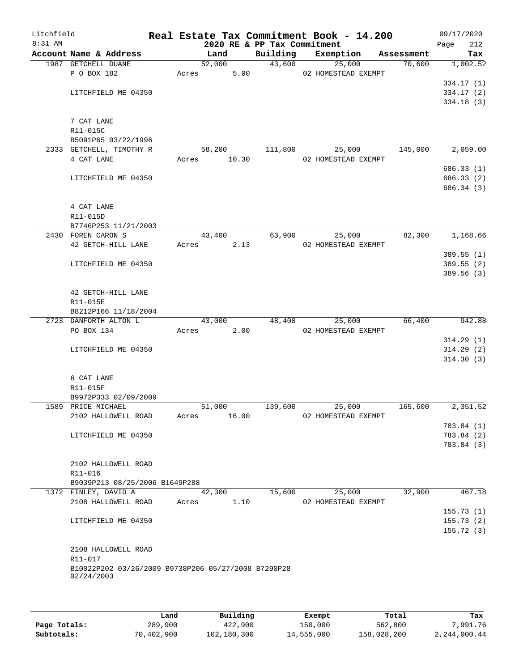| Litchfield<br>8:31 AM |                                                     |       |                       | 2020 RE & PP Tax Commitment | Real Estate Tax Commitment Book - 14.200 |            | 09/17/2020<br>Page<br>212 |
|-----------------------|-----------------------------------------------------|-------|-----------------------|-----------------------------|------------------------------------------|------------|---------------------------|
|                       | Account Name & Address                              |       | Land                  | Building                    | Exemption                                | Assessment | Tax                       |
|                       | 1987 GETCHELL DUANE                                 |       | 52,000                |                             | 43,600<br>25,000                         | 70,600     | 1,002.52                  |
|                       | P O BOX 182                                         |       | 5.00<br>Acres         |                             | 02 HOMESTEAD EXEMPT                      |            |                           |
|                       |                                                     |       |                       |                             |                                          |            | 334.17(1)                 |
|                       | LITCHFIELD ME 04350                                 |       |                       |                             |                                          |            | 334.17(2)                 |
|                       |                                                     |       |                       |                             |                                          |            | 334.18(3)                 |
|                       |                                                     |       |                       |                             |                                          |            |                           |
|                       | 7 CAT LANE                                          |       |                       |                             |                                          |            |                           |
|                       | R11-015C                                            |       |                       |                             |                                          |            |                           |
|                       | B5091P65 03/22/1996                                 |       |                       |                             |                                          |            |                           |
|                       | 2333 GETCHELL, TIMOTHY R<br>4 CAT LANE              |       | 58,200<br>Acres 10.30 | 111,800                     | 25,000<br>02 HOMESTEAD EXEMPT            | 145,000    | 2,059.00                  |
|                       |                                                     |       |                       |                             |                                          |            | 686.33 (1)                |
|                       | LITCHFIELD ME 04350                                 |       |                       |                             |                                          |            | 686.33 (2)                |
|                       |                                                     |       |                       |                             |                                          |            | 686.34 (3)                |
|                       |                                                     |       |                       |                             |                                          |            |                           |
|                       | 4 CAT LANE                                          |       |                       |                             |                                          |            |                           |
|                       | R11-015D                                            |       |                       |                             |                                          |            |                           |
|                       | B7746P253 11/21/2003                                |       |                       |                             |                                          |            |                           |
|                       | 2430 FOREN CARON S                                  |       | 43,400                | 63,900                      | 25,000                                   | 82,300     | 1,168.66                  |
|                       | 42 GETCH-HILL LANE                                  | Acres | 2.13                  |                             | 02 HOMESTEAD EXEMPT                      |            |                           |
|                       |                                                     |       |                       |                             |                                          |            | 389.55(1)                 |
|                       | LITCHFIELD ME 04350                                 |       |                       |                             |                                          |            | 389.55 (2)                |
|                       |                                                     |       |                       |                             |                                          |            | 389.56 (3)                |
|                       |                                                     |       |                       |                             |                                          |            |                           |
|                       | 42 GETCH-HILL LANE                                  |       |                       |                             |                                          |            |                           |
|                       | R11-015E                                            |       |                       |                             |                                          |            |                           |
|                       | B8212P166 11/18/2004<br>2723 DANFORTH ALTON L       |       | 43,000                | 48,400                      | 25,000                                   | 66,400     | 942.88                    |
|                       | PO BOX 134                                          |       | 2.00<br>Acres         |                             | 02 HOMESTEAD EXEMPT                      |            |                           |
|                       |                                                     |       |                       |                             |                                          |            | 314.29(1)                 |
|                       | LITCHFIELD ME 04350                                 |       |                       |                             |                                          |            | 314.29(2)                 |
|                       |                                                     |       |                       |                             |                                          |            | 314.30(3)                 |
|                       |                                                     |       |                       |                             |                                          |            |                           |
|                       | 6 CAT LANE                                          |       |                       |                             |                                          |            |                           |
|                       | R11-015F                                            |       |                       |                             |                                          |            |                           |
|                       | B9972P333 02/09/2009                                |       |                       |                             |                                          |            |                           |
|                       | 1589 PRICE MICHAEL                                  |       | 51,000                | 139,600                     | 25,000                                   | 165,600    | 2,351.52                  |
|                       | 2102 HALLOWELL ROAD                                 | Acres | 16.00                 |                             | 02 HOMESTEAD EXEMPT                      |            |                           |
|                       |                                                     |       |                       |                             |                                          |            | 783.84 (1)                |
|                       | LITCHFIELD ME 04350                                 |       |                       |                             |                                          |            | 783.84 (2)                |
|                       |                                                     |       |                       |                             |                                          |            | 783.84 (3)                |
|                       | 2102 HALLOWELL ROAD                                 |       |                       |                             |                                          |            |                           |
|                       | R11-016                                             |       |                       |                             |                                          |            |                           |
|                       | B9039P213 08/25/2006 B1649P288                      |       |                       |                             |                                          |            |                           |
|                       | 1372 FINLEY, DAVID A                                |       | 42,300                | 15,600                      | 25,000                                   | 32,900     | 467.18                    |
|                       | 2108 HALLOWELL ROAD                                 | Acres | 1.10                  |                             | 02 HOMESTEAD EXEMPT                      |            |                           |
|                       |                                                     |       |                       |                             |                                          |            | 155.73(1)                 |
|                       | LITCHFIELD ME 04350                                 |       |                       |                             |                                          |            | 155.73(2)                 |
|                       |                                                     |       |                       |                             |                                          |            | 155.72(3)                 |
|                       |                                                     |       |                       |                             |                                          |            |                           |
|                       | 2108 HALLOWELL ROAD                                 |       |                       |                             |                                          |            |                           |
|                       | R11-017                                             |       |                       |                             |                                          |            |                           |
|                       | B10022P202 03/26/2009 B9738P206 05/27/2008 B7290P28 |       |                       |                             |                                          |            |                           |
|                       | 02/24/2003                                          |       |                       |                             |                                          |            |                           |
|                       |                                                     |       |                       |                             |                                          |            |                           |
|                       |                                                     |       |                       |                             |                                          |            |                           |

|              | Land       | Building    | Exempt     | Total       | Tax          |
|--------------|------------|-------------|------------|-------------|--------------|
| Page Totals: | 289,900    | 422,900     | 150,000    | 562,800     | 7,991.76     |
| Subtotals:   | 70,402,900 | 102,180,300 | 14,555,000 | 158,028,200 | 2,244,000.44 |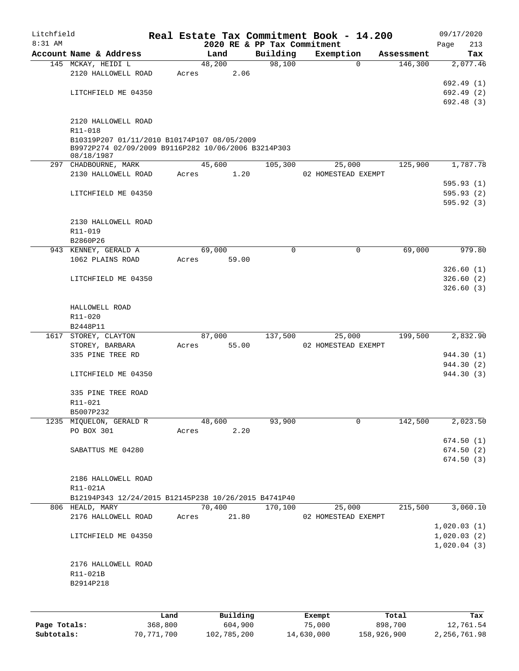| Litchfield<br>8:31 AM |                                                                   |       |        |       |          | Real Estate Tax Commitment Book - 14.200 |              |            |             | 09/17/2020 |
|-----------------------|-------------------------------------------------------------------|-------|--------|-------|----------|------------------------------------------|--------------|------------|-------------|------------|
|                       | Account Name & Address                                            |       | Land   |       | Building | 2020 RE & PP Tax Commitment<br>Exemption |              | Assessment | Page        | 213<br>Tax |
|                       | 145 MCKAY, HEIDI L                                                |       | 48,200 |       | 98,100   |                                          | $\Omega$     | 146,300    |             | 2,077.46   |
|                       | 2120 HALLOWELL ROAD                                               | Acres |        | 2.06  |          |                                          |              |            |             |            |
|                       |                                                                   |       |        |       |          |                                          |              |            |             | 692.49 (1) |
|                       | LITCHFIELD ME 04350                                               |       |        |       |          |                                          |              |            |             | 692.49(2)  |
|                       |                                                                   |       |        |       |          |                                          |              |            |             | 692.48(3)  |
|                       | 2120 HALLOWELL ROAD                                               |       |        |       |          |                                          |              |            |             |            |
|                       | R11-018                                                           |       |        |       |          |                                          |              |            |             |            |
|                       | B10319P207 01/11/2010 B10174P107 08/05/2009                       |       |        |       |          |                                          |              |            |             |            |
|                       | B9972P274 02/09/2009 B9116P282 10/06/2006 B3214P303<br>08/18/1987 |       |        |       |          |                                          |              |            |             |            |
|                       | 297 CHADBOURNE, MARK                                              |       | 45,600 |       | 105,300  | 25,000                                   |              | 125,900    |             | 1,787.78   |
|                       | 2130 HALLOWELL ROAD                                               | Acres |        | 1.20  |          | 02 HOMESTEAD EXEMPT                      |              |            |             |            |
|                       |                                                                   |       |        |       |          |                                          |              |            |             | 595.93 (1) |
|                       | LITCHFIELD ME 04350                                               |       |        |       |          |                                          |              |            |             | 595.93(2)  |
|                       |                                                                   |       |        |       |          |                                          |              |            |             | 595.92(3)  |
|                       | 2130 HALLOWELL ROAD                                               |       |        |       |          |                                          |              |            |             |            |
|                       | R11-019                                                           |       |        |       |          |                                          |              |            |             |            |
|                       | B2860P26                                                          |       |        |       |          |                                          |              |            |             |            |
|                       | 943 KENNEY, GERALD A                                              |       | 69,000 |       | $\Omega$ |                                          | $\mathbf{0}$ | 69,000     |             | 979.80     |
|                       | 1062 PLAINS ROAD                                                  | Acres |        | 59.00 |          |                                          |              |            |             |            |
|                       |                                                                   |       |        |       |          |                                          |              |            |             | 326.60(1)  |
|                       | LITCHFIELD ME 04350                                               |       |        |       |          |                                          |              |            |             | 326.60(2)  |
|                       |                                                                   |       |        |       |          |                                          |              |            |             | 326.60(3)  |
|                       | HALLOWELL ROAD                                                    |       |        |       |          |                                          |              |            |             |            |
|                       | R11-020                                                           |       |        |       |          |                                          |              |            |             |            |
|                       | B2448P11                                                          |       |        |       |          |                                          |              |            |             |            |
|                       | 1617 STOREY, CLAYTON                                              |       | 87,000 |       | 137,500  | 25,000                                   |              | 199,500    |             | 2,832.90   |
|                       | STOREY, BARBARA                                                   | Acres |        | 55.00 |          | 02 HOMESTEAD EXEMPT                      |              |            |             |            |
|                       | 335 PINE TREE RD                                                  |       |        |       |          |                                          |              |            |             | 944.30 (1) |
|                       |                                                                   |       |        |       |          |                                          |              |            |             | 944.30 (2) |
|                       | LITCHFIELD ME 04350                                               |       |        |       |          |                                          |              |            |             | 944.30 (3) |
|                       | 335 PINE TREE ROAD                                                |       |        |       |          |                                          |              |            |             |            |
|                       | R11-021                                                           |       |        |       |          |                                          |              |            |             |            |
|                       | B5007P232                                                         |       |        |       |          |                                          |              |            |             |            |
|                       | 1235 MIQUELON, GERALD R                                           |       | 48,600 |       | 93,900   |                                          | 0            | 142,500    |             | 2,023.50   |
|                       | PO BOX 301                                                        | Acres |        | 2.20  |          |                                          |              |            |             |            |
|                       |                                                                   |       |        |       |          |                                          |              |            |             | 674.50(1)  |
|                       | SABATTUS ME 04280                                                 |       |        |       |          |                                          |              |            |             | 674.50 (2) |
|                       |                                                                   |       |        |       |          |                                          |              |            |             | 674.50 (3) |
|                       | 2186 HALLOWELL ROAD                                               |       |        |       |          |                                          |              |            |             |            |
|                       | R11-021A                                                          |       |        |       |          |                                          |              |            |             |            |
|                       | B12194P343 12/24/2015 B12145P238 10/26/2015 B4741P40              |       |        |       |          |                                          |              |            |             |            |
|                       | 806 HEALD, MARY                                                   |       | 70,400 |       | 170,100  | 25,000                                   |              | 215,500    |             | 3,060.10   |
|                       | 2176 HALLOWELL ROAD                                               | Acres |        | 21.80 |          | 02 HOMESTEAD EXEMPT                      |              |            |             |            |
|                       |                                                                   |       |        |       |          |                                          |              |            | 1,020.03(1) |            |
|                       | LITCHFIELD ME 04350                                               |       |        |       |          |                                          |              |            | 1,020.03(2) |            |
|                       |                                                                   |       |        |       |          |                                          |              |            | 1,020.04(3) |            |
|                       | 2176 HALLOWELL ROAD                                               |       |        |       |          |                                          |              |            |             |            |
|                       | R11-021B                                                          |       |        |       |          |                                          |              |            |             |            |
|                       | B2914P218                                                         |       |        |       |          |                                          |              |            |             |            |
|                       |                                                                   |       |        |       |          |                                          |              |            |             |            |
|                       |                                                                   |       |        |       |          |                                          |              |            |             |            |
|                       |                                                                   |       |        |       |          |                                          |              |            |             |            |

|              | Land       | Building    | Exempt     | Total       | Tax          |
|--------------|------------|-------------|------------|-------------|--------------|
| Page Totals: | 368,800    | 604,900     | 75,000     | 898,700     | 12,761.54    |
| Subtotals:   | 70,771,700 | 102,785,200 | 14,630,000 | 158,926,900 | 2,256,761.98 |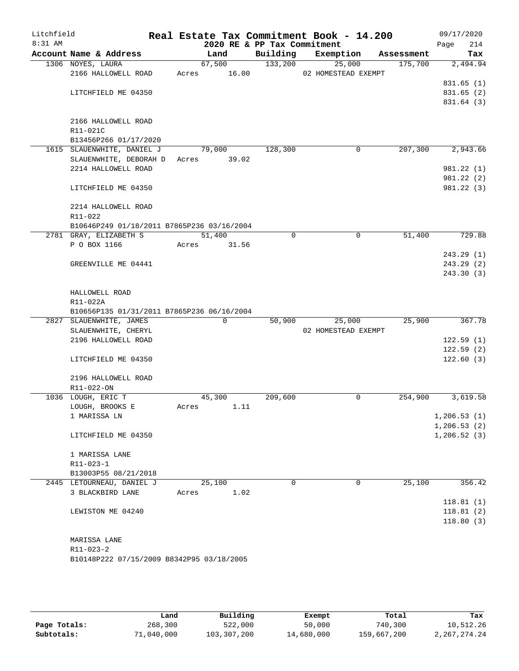| Litchfield<br>$8:31$ AM |                                            |       | 2020 RE & PP Tax Commitment |          | Real Estate Tax Commitment Book - 14.200 |            | 09/17/2020<br>Page<br>214 |
|-------------------------|--------------------------------------------|-------|-----------------------------|----------|------------------------------------------|------------|---------------------------|
|                         | Account Name & Address                     |       | Land                        | Building | Exemption                                | Assessment | Tax                       |
|                         | 1306 NOYES, LAURA                          |       | 67,500                      | 133,200  | 25,000                                   | 175,700    | 2,494.94                  |
|                         | 2166 HALLOWELL ROAD                        | Acres | 16.00                       |          | 02 HOMESTEAD EXEMPT                      |            |                           |
|                         |                                            |       |                             |          |                                          |            | 831.65(1)                 |
|                         | LITCHFIELD ME 04350                        |       |                             |          |                                          |            | 831.65 (2)                |
|                         |                                            |       |                             |          |                                          |            | 831.64 (3)                |
|                         |                                            |       |                             |          |                                          |            |                           |
|                         | 2166 HALLOWELL ROAD                        |       |                             |          |                                          |            |                           |
|                         | R11-021C                                   |       |                             |          |                                          |            |                           |
|                         | B13456P266 01/17/2020                      |       |                             |          |                                          |            |                           |
|                         | 1615 SLAUENWHITE, DANIEL J                 |       | 79,000                      | 128,300  | 0                                        | 207,300    | 2,943.66                  |
|                         | SLAUENWHITE, DEBORAH D                     |       | Acres 39.02                 |          |                                          |            |                           |
|                         | 2214 HALLOWELL ROAD                        |       |                             |          |                                          |            | 981.22 (1)                |
|                         |                                            |       |                             |          |                                          |            | 981.22 (2)                |
|                         | LITCHFIELD ME 04350                        |       |                             |          |                                          |            | 981.22 (3)                |
|                         |                                            |       |                             |          |                                          |            |                           |
|                         | 2214 HALLOWELL ROAD<br>R11-022             |       |                             |          |                                          |            |                           |
|                         | B10646P249 01/18/2011 B7865P236 03/16/2004 |       |                             |          |                                          |            |                           |
|                         | 2781 GRAY, ELIZABETH S                     |       | 51,400                      | 0        | 0                                        | 51,400     | 729.88                    |
|                         | P O BOX 1166                               | Acres | 31.56                       |          |                                          |            |                           |
|                         |                                            |       |                             |          |                                          |            | 243.29(1)                 |
|                         | GREENVILLE ME 04441                        |       |                             |          |                                          |            | 243.29 (2)                |
|                         |                                            |       |                             |          |                                          |            | 243.30(3)                 |
|                         |                                            |       |                             |          |                                          |            |                           |
|                         | HALLOWELL ROAD                             |       |                             |          |                                          |            |                           |
|                         | R11-022A                                   |       |                             |          |                                          |            |                           |
|                         | B10656P135 01/31/2011 B7865P236 06/16/2004 |       |                             |          |                                          |            |                           |
|                         | 2827 SLAUENWHITE, JAMES                    |       | $\Omega$                    | 50,900   | 25,000                                   | 25,900     | 367.78                    |
|                         | SLAUENWHITE, CHERYL                        |       |                             |          | 02 HOMESTEAD EXEMPT                      |            |                           |
|                         | 2196 HALLOWELL ROAD                        |       |                             |          |                                          |            | 122.59(1)                 |
|                         |                                            |       |                             |          |                                          |            | 122.59(2)                 |
|                         | LITCHFIELD ME 04350                        |       |                             |          |                                          |            | 122.60(3)                 |
|                         |                                            |       |                             |          |                                          |            |                           |
|                         | 2196 HALLOWELL ROAD                        |       |                             |          |                                          |            |                           |
|                         | R11-022-ON                                 |       |                             |          |                                          |            |                           |
|                         | 1036 LOUGH, ERIC T                         |       | 45,300                      | 209,600  | 0                                        | 254,900    | 3,619.58                  |
|                         | LOUGH, BROOKS E                            | Acres | 1.11                        |          |                                          |            |                           |
|                         | 1 MARISSA LN                               |       |                             |          |                                          |            | 1,206.53(1)               |
|                         |                                            |       |                             |          |                                          |            | 1, 206.53(2)              |
|                         | LITCHFIELD ME 04350                        |       |                             |          |                                          |            | 1, 206.52(3)              |
|                         |                                            |       |                             |          |                                          |            |                           |
|                         | 1 MARISSA LANE                             |       |                             |          |                                          |            |                           |
|                         | R11-023-1                                  |       |                             |          |                                          |            |                           |
|                         | B13003P55 08/21/2018                       |       |                             |          |                                          |            |                           |
|                         | 2445 LETOURNEAU, DANIEL J                  |       | 25,100                      | 0        | $\mathbf 0$                              | 25,100     | 356.42                    |
|                         | 3 BLACKBIRD LANE                           | Acres | 1.02                        |          |                                          |            |                           |
|                         |                                            |       |                             |          |                                          |            | 118.81(1)                 |
|                         | LEWISTON ME 04240                          |       |                             |          |                                          |            | 118.81(2)                 |
|                         |                                            |       |                             |          |                                          |            | 118.80(3)                 |
|                         |                                            |       |                             |          |                                          |            |                           |
|                         | MARISSA LANE                               |       |                             |          |                                          |            |                           |
|                         | R11-023-2                                  |       |                             |          |                                          |            |                           |
|                         | B10148P222 07/15/2009 B8342P95 03/18/2005  |       |                             |          |                                          |            |                           |
|                         |                                            |       |                             |          |                                          |            |                           |
|                         |                                            |       |                             |          |                                          |            |                           |

|              | Land       | Building    | Exempt     | Total       | Tax          |
|--------------|------------|-------------|------------|-------------|--------------|
| Page Totals: | 268,300    | 522,000     | 50,000     | 740,300     | 10,512.26    |
| Subtotals:   | 71,040,000 | 103,307,200 | 14,680,000 | 159,667,200 | 2,267,274.24 |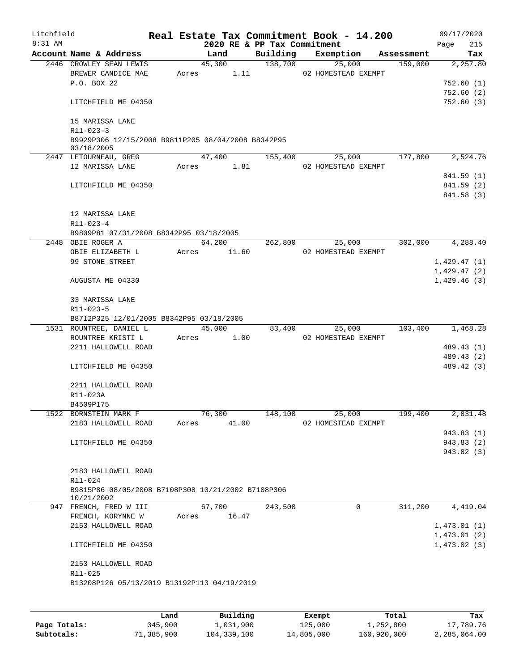| Litchfield |                                                                  |       |            |       |                             | Real Estate Tax Commitment Book - 14.200 |            | 09/17/2020  |
|------------|------------------------------------------------------------------|-------|------------|-------|-----------------------------|------------------------------------------|------------|-------------|
| $8:31$ AM  |                                                                  |       |            |       | 2020 RE & PP Tax Commitment |                                          |            | 215<br>Page |
|            | Account Name & Address                                           |       | Land       |       | Building                    | Exemption                                | Assessment | Tax         |
|            | 2446 CROWLEY SEAN LEWIS                                          |       | 45,300     |       | 138,700                     | 25,000                                   | 159,000    | 2,257.80    |
|            | BREWER CANDICE MAE                                               | Acres |            | 1.11  |                             | 02 HOMESTEAD EXEMPT                      |            |             |
|            | P.O. BOX 22                                                      |       |            |       |                             |                                          |            | 752.60 (1)  |
|            |                                                                  |       |            |       |                             |                                          |            | 752.60(2)   |
|            | LITCHFIELD ME 04350                                              |       |            |       |                             |                                          |            | 752.60(3)   |
|            | 15 MARISSA LANE                                                  |       |            |       |                             |                                          |            |             |
|            | $R11 - 023 - 3$                                                  |       |            |       |                             |                                          |            |             |
|            | B9929P306 12/15/2008 B9811P205 08/04/2008 B8342P95               |       |            |       |                             |                                          |            |             |
|            | 03/18/2005                                                       |       |            |       |                             |                                          |            |             |
|            | 2447 LETOURNEAU, GREG                                            |       | 47,400     |       | 155,400                     | 25,000                                   | 177,800    | 2,524.76    |
|            | 12 MARISSA LANE                                                  |       | Acres 1.81 |       |                             | 02 HOMESTEAD EXEMPT                      |            |             |
|            |                                                                  |       |            |       |                             |                                          |            | 841.59 (1)  |
|            | LITCHFIELD ME 04350                                              |       |            |       |                             |                                          |            | 841.59 (2)  |
|            |                                                                  |       |            |       |                             |                                          |            | 841.58 (3)  |
|            |                                                                  |       |            |       |                             |                                          |            |             |
|            | 12 MARISSA LANE                                                  |       |            |       |                             |                                          |            |             |
|            | R11-023-4                                                        |       |            |       |                             |                                          |            |             |
|            | B9809P81 07/31/2008 B8342P95 03/18/2005                          |       |            |       |                             |                                          |            |             |
|            | 2448 OBIE ROGER A                                                |       | 64,200     |       | 262,800                     | 25,000                                   | 302,000    | 4,288.40    |
|            | OBIE ELIZABETH L                                                 | Acres | 11.60      |       |                             | 02 HOMESTEAD EXEMPT                      |            |             |
|            | 99 STONE STREET                                                  |       |            |       |                             |                                          |            | 1,429.47(1) |
|            |                                                                  |       |            |       |                             |                                          |            | 1,429.47(2) |
|            | AUGUSTA ME 04330                                                 |       |            |       |                             |                                          |            | 1,429.46(3) |
|            |                                                                  |       |            |       |                             |                                          |            |             |
|            | 33 MARISSA LANE                                                  |       |            |       |                             |                                          |            |             |
|            | R11-023-5                                                        |       |            |       |                             |                                          |            |             |
|            | B8712P325 12/01/2005 B8342P95 03/18/2005                         |       |            |       |                             |                                          |            |             |
|            | 1531 ROUNTREE, DANIEL L                                          |       | 45,000     |       | 83,400                      | 25,000                                   | 103,400    | 1,468.28    |
|            | ROUNTREE KRISTI L                                                | Acres |            | 1.00  |                             | 02 HOMESTEAD EXEMPT                      |            |             |
|            | 2211 HALLOWELL ROAD                                              |       |            |       |                             |                                          |            | 489.43 (1)  |
|            |                                                                  |       |            |       |                             |                                          |            | 489.43 (2)  |
|            | LITCHFIELD ME 04350                                              |       |            |       |                             |                                          |            | 489.42 (3)  |
|            |                                                                  |       |            |       |                             |                                          |            |             |
|            | 2211 HALLOWELL ROAD                                              |       |            |       |                             |                                          |            |             |
|            | R11-023A                                                         |       |            |       |                             |                                          |            |             |
|            | B4509P175                                                        |       |            |       |                             |                                          |            |             |
|            | 1522 BORNSTEIN MARK F                                            |       | 76,300     |       | 148,100                     | 25,000                                   | 199,400    | 2,831.48    |
|            | 2183 HALLOWELL ROAD                                              | Acres |            | 41.00 |                             | 02 HOMESTEAD EXEMPT                      |            |             |
|            |                                                                  |       |            |       |                             |                                          |            | 943.83 (1)  |
|            | LITCHFIELD ME 04350                                              |       |            |       |                             |                                          |            | 943.83 (2)  |
|            |                                                                  |       |            |       |                             |                                          |            | 943.82 (3)  |
|            |                                                                  |       |            |       |                             |                                          |            |             |
|            | 2183 HALLOWELL ROAD                                              |       |            |       |                             |                                          |            |             |
|            | R11-024                                                          |       |            |       |                             |                                          |            |             |
|            | B9815P86 08/05/2008 B7108P308 10/21/2002 B7108P306<br>10/21/2002 |       |            |       |                             |                                          |            |             |
|            | 947 FRENCH, FRED W III                                           |       | 67,700     |       | 243,500                     | $\mathbf 0$                              | 311,200    | 4,419.04    |
|            | FRENCH, KORYNNE W                                                | Acres |            | 16.47 |                             |                                          |            |             |
|            | 2153 HALLOWELL ROAD                                              |       |            |       |                             |                                          |            | 1,473.01(1) |
|            |                                                                  |       |            |       |                             |                                          |            | 1,473.01(2) |
|            | LITCHFIELD ME 04350                                              |       |            |       |                             |                                          |            | 1,473.02(3) |
|            |                                                                  |       |            |       |                             |                                          |            |             |
|            | 2153 HALLOWELL ROAD                                              |       |            |       |                             |                                          |            |             |
|            | R11-025                                                          |       |            |       |                             |                                          |            |             |
|            | B13208P126 05/13/2019 B13192P113 04/19/2019                      |       |            |       |                             |                                          |            |             |
|            |                                                                  |       |            |       |                             |                                          |            |             |
|            |                                                                  |       |            |       |                             |                                          |            |             |
|            |                                                                  |       |            |       |                             |                                          |            |             |

|              | Land       | Building    | Exempt     | Total       | Tax          |
|--------------|------------|-------------|------------|-------------|--------------|
| Page Totals: | 345,900    | 1,031,900   | 125,000    | 1,252,800   | 17,789.76    |
| Subtotals:   | 71,385,900 | 104,339,100 | 14,805,000 | 160,920,000 | 2,285,064.00 |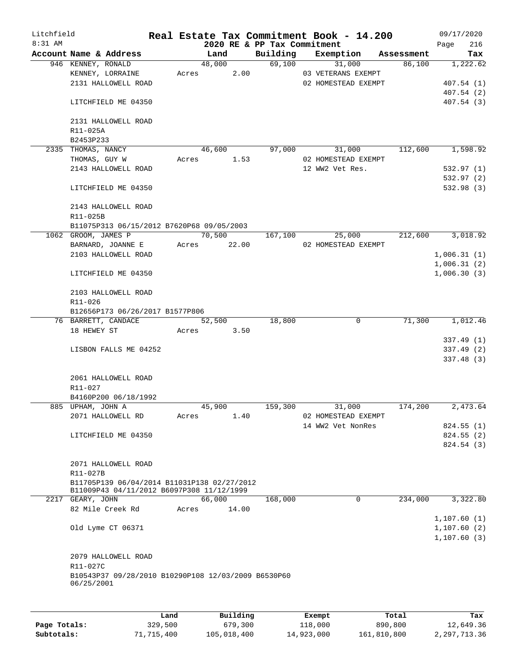| Litchfield |                                                                                          |      |       |                |                             | Real Estate Tax Commitment Book - 14.200  |            | 09/17/2020                 |
|------------|------------------------------------------------------------------------------------------|------|-------|----------------|-----------------------------|-------------------------------------------|------------|----------------------------|
| $8:31$ AM  |                                                                                          |      |       |                | 2020 RE & PP Tax Commitment |                                           |            | 216<br>Page                |
|            | Account Name & Address                                                                   |      |       | Land<br>48,000 | Building                    | Exemption                                 | Assessment | Tax                        |
|            | 946 KENNEY, RONALD                                                                       |      |       |                |                             | 69,100<br>31,000                          | 86,100     | 1,222.62                   |
|            | KENNEY, LORRAINE<br>2131 HALLOWELL ROAD                                                  |      | Acres | 2.00           |                             | 03 VETERANS EXEMPT<br>02 HOMESTEAD EXEMPT |            | 407.54(1)                  |
|            |                                                                                          |      |       |                |                             |                                           |            | 407.54(2)                  |
|            | LITCHFIELD ME 04350                                                                      |      |       |                |                             |                                           |            | 407.54 (3)                 |
|            | 2131 HALLOWELL ROAD                                                                      |      |       |                |                             |                                           |            |                            |
|            | R11-025A                                                                                 |      |       |                |                             |                                           |            |                            |
|            | B2453P233                                                                                |      |       |                |                             |                                           |            |                            |
|            | 2335 THOMAS, NANCY                                                                       |      |       | 46,600         | 97,000                      | 31,000                                    | 112,600    | 1,598.92                   |
|            | THOMAS, GUY W                                                                            |      | Acres | 1.53           |                             | 02 HOMESTEAD EXEMPT                       |            |                            |
|            | 2143 HALLOWELL ROAD                                                                      |      |       |                |                             | 12 WW2 Vet Res.                           |            | 532.97(1)                  |
|            | LITCHFIELD ME 04350                                                                      |      |       |                |                             |                                           |            | 532.97(2)<br>532.98 (3)    |
|            |                                                                                          |      |       |                |                             |                                           |            |                            |
|            | 2143 HALLOWELL ROAD                                                                      |      |       |                |                             |                                           |            |                            |
|            | R11-025B                                                                                 |      |       |                |                             |                                           |            |                            |
|            | B11075P313 06/15/2012 B7620P68 09/05/2003                                                |      |       |                |                             |                                           |            |                            |
|            | 1062 GROOM, JAMES P                                                                      |      |       | 70,500         | 167,100                     | 25,000                                    | 212,600    | 3,018.92                   |
|            | BARNARD, JOANNE E<br>2103 HALLOWELL ROAD                                                 |      | Acres | 22.00          |                             | 02 HOMESTEAD EXEMPT                       |            |                            |
|            |                                                                                          |      |       |                |                             |                                           |            | 1,006.31(1)<br>1,006.31(2) |
|            | LITCHFIELD ME 04350                                                                      |      |       |                |                             |                                           |            | 1,006.30(3)                |
|            |                                                                                          |      |       |                |                             |                                           |            |                            |
|            | 2103 HALLOWELL ROAD                                                                      |      |       |                |                             |                                           |            |                            |
|            | R11-026                                                                                  |      |       |                |                             |                                           |            |                            |
|            | B12656P173 06/26/2017 B1577P806                                                          |      |       |                |                             |                                           |            |                            |
|            | 76 BARRETT, CANDACE                                                                      |      |       | 52,500         | 18,800                      | 0                                         | 71,300     | 1,012.46                   |
|            | 18 HEWEY ST                                                                              |      | Acres | 3.50           |                             |                                           |            |                            |
|            |                                                                                          |      |       |                |                             |                                           |            | 337.49(1)                  |
|            | LISBON FALLS ME 04252                                                                    |      |       |                |                             |                                           |            | 337.49(2)                  |
|            |                                                                                          |      |       |                |                             |                                           |            | 337.48 (3)                 |
|            | 2061 HALLOWELL ROAD                                                                      |      |       |                |                             |                                           |            |                            |
|            | R11-027                                                                                  |      |       |                |                             |                                           |            |                            |
|            | B4160P200 06/18/1992                                                                     |      |       |                |                             |                                           |            |                            |
|            | 885 UPHAM, JOHN A                                                                        |      |       | 45,900         | 159,300                     | 31,000                                    | 174,200    | 2,473.64                   |
|            | 2071 HALLOWELL RD                                                                        |      | Acres | 1.40           |                             | 02 HOMESTEAD EXEMPT                       |            |                            |
|            |                                                                                          |      |       |                |                             | 14 WW2 Vet NonRes                         |            | 824.55(1)                  |
|            | LITCHFIELD ME 04350                                                                      |      |       |                |                             |                                           |            | 824.55(2)                  |
|            |                                                                                          |      |       |                |                             |                                           |            | 824.54 (3)                 |
|            |                                                                                          |      |       |                |                             |                                           |            |                            |
|            | 2071 HALLOWELL ROAD                                                                      |      |       |                |                             |                                           |            |                            |
|            | R11-027B                                                                                 |      |       |                |                             |                                           |            |                            |
|            | B11705P139 06/04/2014 B11031P138 02/27/2012<br>B11009P43 04/11/2012 B6097P308 11/12/1999 |      |       |                |                             |                                           |            |                            |
|            | 2217 GEARY, JOHN                                                                         |      |       | 66,000         | 168,000                     | 0                                         | 234,000    | 3,322.80                   |
|            | 82 Mile Creek Rd                                                                         |      | Acres | 14.00          |                             |                                           |            |                            |
|            |                                                                                          |      |       |                |                             |                                           |            | 1,107.60(1)                |
|            | Old Lyme CT 06371                                                                        |      |       |                |                             |                                           |            | 1,107.60(2)                |
|            |                                                                                          |      |       |                |                             |                                           |            | 1, 107.60(3)               |
|            | 2079 HALLOWELL ROAD                                                                      |      |       |                |                             |                                           |            |                            |
|            | R11-027C                                                                                 |      |       |                |                             |                                           |            |                            |
|            | B10543P37 09/28/2010 B10290P108 12/03/2009 B6530P60                                      |      |       |                |                             |                                           |            |                            |
|            | 06/25/2001                                                                               |      |       |                |                             |                                           |            |                            |
|            |                                                                                          |      |       |                |                             |                                           |            |                            |
|            |                                                                                          | Land |       | Building       |                             | Exempt                                    | Total      | Tax                        |
|            |                                                                                          |      |       |                |                             |                                           |            |                            |

|              | -------    |             | _______    | ------      | ------       |
|--------------|------------|-------------|------------|-------------|--------------|
| Page Totals: | 329,500    | 679,300     | 118,000    | 890,800     | 12,649.36    |
| Subtotals:   | 71,715,400 | 105,018,400 | 14,923,000 | 161,810,800 | 2,297,713.36 |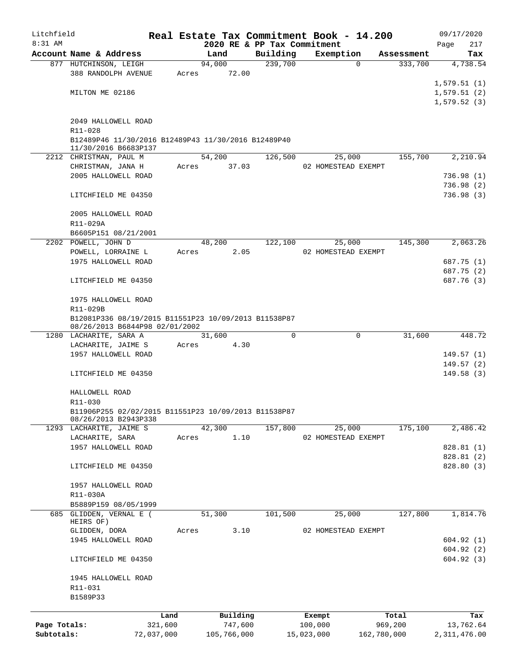| Litchfield   |                                                                |       |                |                             | Real Estate Tax Commitment Book - 14.200 |                       | 09/17/2020               |
|--------------|----------------------------------------------------------------|-------|----------------|-----------------------------|------------------------------------------|-----------------------|--------------------------|
| $8:31$ AM    |                                                                |       |                | 2020 RE & PP Tax Commitment |                                          |                       | 217<br>Page              |
|              | Account Name & Address                                         |       | Land<br>94,000 | Building<br>239,700         | Exemption<br>$\Omega$                    | Assessment<br>333,700 | Tax<br>4,738.54          |
|              | 877 HUTCHINSON, LEIGH<br>388 RANDOLPH AVENUE                   | Acres | 72.00          |                             |                                          |                       |                          |
|              |                                                                |       |                |                             |                                          |                       | 1,579.51(1)              |
|              | MILTON ME 02186                                                |       |                |                             |                                          |                       | 1,579.51(2)              |
|              |                                                                |       |                |                             |                                          |                       | 1,579.52(3)              |
|              |                                                                |       |                |                             |                                          |                       |                          |
|              | 2049 HALLOWELL ROAD                                            |       |                |                             |                                          |                       |                          |
|              | R11-028<br>B12489P46 11/30/2016 B12489P43 11/30/2016 B12489P40 |       |                |                             |                                          |                       |                          |
|              | 11/30/2016 B6683P137                                           |       |                |                             |                                          |                       |                          |
|              | 2212 CHRISTMAN, PAUL M                                         |       | 54,200         | 126,500                     | 25,000                                   | 155,700               | 2,210.94                 |
|              | CHRISTMAN, JANA H                                              |       | Acres 37.03    |                             | 02 HOMESTEAD EXEMPT                      |                       |                          |
|              | 2005 HALLOWELL ROAD                                            |       |                |                             |                                          |                       | 736.98(1)                |
|              |                                                                |       |                |                             |                                          |                       | 736.98(2)                |
|              | LITCHFIELD ME 04350                                            |       |                |                             |                                          |                       | 736.98(3)                |
|              | 2005 HALLOWELL ROAD                                            |       |                |                             |                                          |                       |                          |
|              | R11-029A                                                       |       |                |                             |                                          |                       |                          |
|              | B6605P151 08/21/2001                                           |       |                |                             |                                          |                       |                          |
|              | 2202 POWELL, JOHN D                                            |       | 48,200         | 122,100                     | 25,000                                   | 145,300               | 2,063.26                 |
|              | POWELL, LORRAINE L                                             | Acres | 2.05           |                             | 02 HOMESTEAD EXEMPT                      |                       |                          |
|              | 1975 HALLOWELL ROAD                                            |       |                |                             |                                          |                       | 687.75 (1)               |
|              |                                                                |       |                |                             |                                          |                       | 687.75 (2)               |
|              | LITCHFIELD ME 04350                                            |       |                |                             |                                          |                       | 687.76 (3)               |
|              |                                                                |       |                |                             |                                          |                       |                          |
|              | 1975 HALLOWELL ROAD<br>R11-029B                                |       |                |                             |                                          |                       |                          |
|              | B12081P336 08/19/2015 B11551P23 10/09/2013 B11538P87           |       |                |                             |                                          |                       |                          |
|              | 08/26/2013 B6844P98 02/01/2002                                 |       |                |                             |                                          |                       |                          |
|              | 1280 LACHARITE, SARA A                                         |       | 31,600         | 0                           | $\mathbf 0$                              | 31,600                | 448.72                   |
|              | LACHARITE, JAIME S                                             | Acres | 4.30           |                             |                                          |                       |                          |
|              | 1957 HALLOWELL ROAD                                            |       |                |                             |                                          |                       | 149.57(1)                |
|              |                                                                |       |                |                             |                                          |                       | 149.57(2)                |
|              | LITCHFIELD ME 04350                                            |       |                |                             |                                          |                       | 149.58(3)                |
|              | HALLOWELL ROAD                                                 |       |                |                             |                                          |                       |                          |
|              | R11-030                                                        |       |                |                             |                                          |                       |                          |
|              | B11906P255 02/02/2015 B11551P23 10/09/2013 B11538P87           |       |                |                             |                                          |                       |                          |
|              | 08/26/2013 B2943P338                                           |       |                |                             |                                          |                       |                          |
|              | 1293 LACHARITE, JAIME S                                        |       | 42,300         | 157,800                     | 25,000                                   | 175,100               | 2,486.42                 |
|              | LACHARITE, SARA                                                | Acres | 1.10           |                             | 02 HOMESTEAD EXEMPT                      |                       |                          |
|              | 1957 HALLOWELL ROAD                                            |       |                |                             |                                          |                       | 828.81 (1)               |
|              | LITCHFIELD ME 04350                                            |       |                |                             |                                          |                       | 828.81 (2)<br>828.80 (3) |
|              |                                                                |       |                |                             |                                          |                       |                          |
|              | 1957 HALLOWELL ROAD                                            |       |                |                             |                                          |                       |                          |
|              | R11-030A                                                       |       |                |                             |                                          |                       |                          |
|              | B5889P159 08/05/1999                                           |       |                |                             |                                          |                       |                          |
| 685          | GLIDDEN, VERNAL E (                                            |       | 51,300         | 101,500                     | 25,000                                   | 127,800               | 1,814.76                 |
|              | HEIRS OF)<br>GLIDDEN, DORA                                     | Acres | 3.10           |                             | 02 HOMESTEAD EXEMPT                      |                       |                          |
|              | 1945 HALLOWELL ROAD                                            |       |                |                             |                                          |                       | 604.92(1)                |
|              |                                                                |       |                |                             |                                          |                       | 604.92(2)                |
|              | LITCHFIELD ME 04350                                            |       |                |                             |                                          |                       | 604.92(3)                |
|              |                                                                |       |                |                             |                                          |                       |                          |
|              | 1945 HALLOWELL ROAD                                            |       |                |                             |                                          |                       |                          |
|              | R11-031                                                        |       |                |                             |                                          |                       |                          |
|              | B1589P33                                                       |       |                |                             |                                          |                       |                          |
|              |                                                                | Land  | Building       |                             | Exempt                                   | Total                 | Tax                      |
| Page Totals: | 321,600                                                        |       | 747,600        |                             | 100,000                                  | 969,200               | 13,762.64                |
| Subtotals:   | 72,037,000                                                     |       | 105,766,000    |                             | 15,023,000                               | 162,780,000           | 2, 311, 476.00           |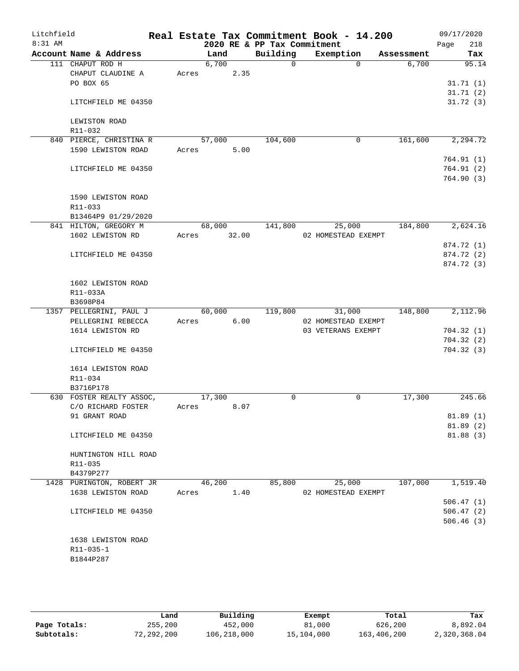| Litchfield<br>$8:31$ AM |                           |       |        |       | 2020 RE & PP Tax Commitment | Real Estate Tax Commitment Book - 14.200 |          |            | 09/17/2020<br>Page<br>218 |
|-------------------------|---------------------------|-------|--------|-------|-----------------------------|------------------------------------------|----------|------------|---------------------------|
|                         | Account Name & Address    |       | Land   |       | Building                    | Exemption                                |          | Assessment | Tax                       |
|                         | 111 CHAPUT ROD H          |       | 6,700  |       | $\Omega$                    |                                          | $\Omega$ | 6,700      | 95.14                     |
|                         | CHAPUT CLAUDINE A         | Acres |        | 2.35  |                             |                                          |          |            |                           |
|                         | PO BOX 65                 |       |        |       |                             |                                          |          |            | 31.71(1)                  |
|                         |                           |       |        |       |                             |                                          |          |            | 31.71(2)                  |
|                         | LITCHFIELD ME 04350       |       |        |       |                             |                                          |          |            | 31.72(3)                  |
|                         | LEWISTON ROAD             |       |        |       |                             |                                          |          |            |                           |
|                         | R11-032                   |       |        |       |                             |                                          |          |            |                           |
|                         | 840 PIERCE, CHRISTINA R   |       | 57,000 |       | 104,600                     |                                          | 0        | 161,600    | 2,294.72                  |
|                         | 1590 LEWISTON ROAD        | Acres |        | 5.00  |                             |                                          |          |            |                           |
|                         |                           |       |        |       |                             |                                          |          |            | 764.91(1)                 |
|                         | LITCHFIELD ME 04350       |       |        |       |                             |                                          |          |            | 764.91(2)                 |
|                         |                           |       |        |       |                             |                                          |          |            | 764.90(3)                 |
|                         | 1590 LEWISTON ROAD        |       |        |       |                             |                                          |          |            |                           |
|                         | $R11 - 033$               |       |        |       |                             |                                          |          |            |                           |
|                         | B13464P9 01/29/2020       |       |        |       |                             |                                          |          |            |                           |
|                         | 841 HILTON, GREGORY M     |       | 68,000 |       | 141,800                     | 25,000                                   |          | 184,800    | 2,624.16                  |
|                         | 1602 LEWISTON RD          | Acres |        | 32.00 |                             | 02 HOMESTEAD EXEMPT                      |          |            |                           |
|                         |                           |       |        |       |                             |                                          |          |            | 874.72 (1)                |
|                         | LITCHFIELD ME 04350       |       |        |       |                             |                                          |          |            | 874.72 (2)                |
|                         |                           |       |        |       |                             |                                          |          |            | 874.72 (3)                |
|                         | 1602 LEWISTON ROAD        |       |        |       |                             |                                          |          |            |                           |
|                         | R11-033A                  |       |        |       |                             |                                          |          |            |                           |
|                         | B3698P84                  |       |        |       |                             |                                          |          |            |                           |
|                         | 1357 PELLEGRINI, PAUL J   |       | 60,000 |       | 119,800                     | 31,000                                   |          | 148,800    | 2,112.96                  |
|                         | PELLEGRINI REBECCA        | Acres |        | 6.00  |                             | 02 HOMESTEAD EXEMPT                      |          |            |                           |
|                         | 1614 LEWISTON RD          |       |        |       |                             | 03 VETERANS EXEMPT                       |          |            | 704.32(1)                 |
|                         |                           |       |        |       |                             |                                          |          |            | 704.32(2)                 |
|                         | LITCHFIELD ME 04350       |       |        |       |                             |                                          |          |            | 704.32(3)                 |
|                         | 1614 LEWISTON ROAD        |       |        |       |                             |                                          |          |            |                           |
|                         | R11-034                   |       |        |       |                             |                                          |          |            |                           |
|                         | B3716P178                 |       |        |       |                             |                                          |          |            |                           |
|                         | 630 FOSTER REALTY ASSOC,  |       | 17,300 |       | 0                           |                                          | 0        | 17,300     | 245.66                    |
|                         | C/O RICHARD FOSTER        | Acres |        | 8.07  |                             |                                          |          |            |                           |
|                         | 91 GRANT ROAD             |       |        |       |                             |                                          |          |            | 81.89(1)                  |
|                         |                           |       |        |       |                             |                                          |          |            | 81.89(2)                  |
|                         | LITCHFIELD ME 04350       |       |        |       |                             |                                          |          |            | 81.88(3)                  |
|                         | HUNTINGTON HILL ROAD      |       |        |       |                             |                                          |          |            |                           |
|                         | R11-035                   |       |        |       |                             |                                          |          |            |                           |
|                         | B4379P277                 |       |        |       |                             |                                          |          |            |                           |
|                         | 1428 PURINGTON, ROBERT JR |       | 46,200 |       | 85,800                      | 25,000                                   |          | 107,000    | 1,519.40                  |
|                         | 1638 LEWISTON ROAD        | Acres |        | 1.40  |                             | 02 HOMESTEAD EXEMPT                      |          |            |                           |
|                         |                           |       |        |       |                             |                                          |          |            | 506.47(1)                 |
|                         | LITCHFIELD ME 04350       |       |        |       |                             |                                          |          |            | 506.47(2)                 |
|                         |                           |       |        |       |                             |                                          |          |            | 506.46(3)                 |
|                         | 1638 LEWISTON ROAD        |       |        |       |                             |                                          |          |            |                           |
|                         | R11-035-1                 |       |        |       |                             |                                          |          |            |                           |
|                         | B1844P287                 |       |        |       |                             |                                          |          |            |                           |
|                         |                           |       |        |       |                             |                                          |          |            |                           |

|              | Land       | Building    | Exempt     | Total       | Tax          |
|--------------|------------|-------------|------------|-------------|--------------|
| Page Totals: | 255,200    | 452,000     | 81,000     | 626,200     | 8,892.04     |
| Subtotals:   | 72,292,200 | 106,218,000 | 15,104,000 | 163,406,200 | 2,320,368.04 |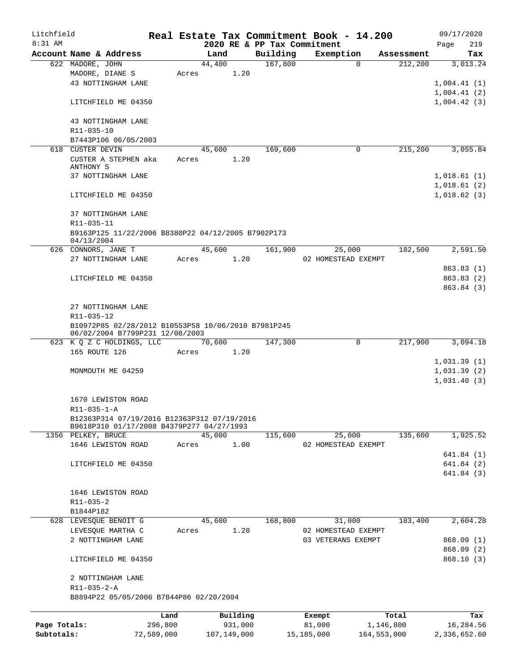| Litchfield   |                                                                                        |            |       |             |          | Real Estate Tax Commitment Book - 14.200 |            |                     |              |             |      | 09/17/2020                 |
|--------------|----------------------------------------------------------------------------------------|------------|-------|-------------|----------|------------------------------------------|------------|---------------------|--------------|-------------|------|----------------------------|
| $8:31$ AM    |                                                                                        |            |       |             |          | 2020 RE & PP Tax Commitment              |            |                     |              |             | Page | 219                        |
|              | Account Name & Address                                                                 |            |       | Land        |          | Building                                 |            | Exemption           |              | Assessment  |      | Tax                        |
|              | 622 MADORE, JOHN<br>MADORE, DIANE S                                                    |            | Acres | 44,400      | 1.20     | 167,800                                  |            |                     | $\Omega$     | 212,200     |      | 3,013.24                   |
|              | 43 NOTTINGHAM LANE                                                                     |            |       |             |          |                                          |            |                     |              |             |      | 1,004.41(1)                |
|              |                                                                                        |            |       |             |          |                                          |            |                     |              |             |      | 1,004.41(2)                |
|              | LITCHFIELD ME 04350                                                                    |            |       |             |          |                                          |            |                     |              |             |      | 1,004.42(3)                |
|              | 43 NOTTINGHAM LANE<br>R11-035-10                                                       |            |       |             |          |                                          |            |                     |              |             |      |                            |
|              | B7443P106 06/05/2003                                                                   |            |       |             |          |                                          |            |                     |              |             |      |                            |
| 618          | CUSTER DEVIN                                                                           |            |       | 45,600      |          | 169,600                                  |            |                     | $\mathbf 0$  | 215,200     |      | 3,055.84                   |
|              | CUSTER A STEPHEN aka<br>ANTHONY S                                                      |            | Acres |             | 1.20     |                                          |            |                     |              |             |      |                            |
|              | 37 NOTTINGHAM LANE                                                                     |            |       |             |          |                                          |            |                     |              |             |      | 1,018.61(1)<br>1,018.61(2) |
|              | LITCHFIELD ME 04350                                                                    |            |       |             |          |                                          |            |                     |              |             |      | 1,018.62(3)                |
|              | 37 NOTTINGHAM LANE<br>R11-035-11                                                       |            |       |             |          |                                          |            |                     |              |             |      |                            |
|              | B9163P125 11/22/2006 B8380P22 04/12/2005 B7902P173<br>04/13/2004                       |            |       |             |          |                                          |            |                     |              |             |      |                            |
|              | 626 CONNORS, JANE T                                                                    |            |       | 45,600      |          | 161,900                                  |            | 25,000              |              | 182,500     |      | 2,591.50                   |
|              | 27 NOTTINGHAM LANE                                                                     |            | Acres |             | 1.20     |                                          |            | 02 HOMESTEAD EXEMPT |              |             |      |                            |
|              |                                                                                        |            |       |             |          |                                          |            |                     |              |             |      | 863.83(1)                  |
|              | LITCHFIELD ME 04350                                                                    |            |       |             |          |                                          |            |                     |              |             |      | 863.83 (2)                 |
|              |                                                                                        |            |       |             |          |                                          |            |                     |              |             |      | 863.84 (3)                 |
|              |                                                                                        |            |       |             |          |                                          |            |                     |              |             |      |                            |
|              | 27 NOTTINGHAM LANE                                                                     |            |       |             |          |                                          |            |                     |              |             |      |                            |
|              | R11-035-12                                                                             |            |       |             |          |                                          |            |                     |              |             |      |                            |
|              | B10972P85 02/28/2012 B10553P58 10/06/2010 B7981P245<br>06/02/2004 B7799P231 12/08/2003 |            |       |             |          |                                          |            |                     |              |             |      |                            |
|              | 623 K Q Z C HOLDINGS, LLC                                                              |            |       | 70,600      |          | 147,300                                  |            |                     | $\mathsf{O}$ | 217,900     |      | 3,094.18                   |
|              | 165 ROUTE 126                                                                          |            | Acres |             | 1.20     |                                          |            |                     |              |             |      |                            |
|              |                                                                                        |            |       |             |          |                                          |            |                     |              |             |      | 1,031.39(1)                |
|              | MONMOUTH ME 04259                                                                      |            |       |             |          |                                          |            |                     |              |             |      | 1,031.39(2)                |
|              |                                                                                        |            |       |             |          |                                          |            |                     |              |             |      | 1,031.40(3)                |
|              | 1670 LEWISTON ROAD                                                                     |            |       |             |          |                                          |            |                     |              |             |      |                            |
|              | $R11 - 035 - 1 - A$<br>B12363P314 07/19/2016 B12363P312 07/19/2016                     |            |       |             |          |                                          |            |                     |              |             |      |                            |
|              | B9618P310 01/17/2008 B4379P277 04/27/1993                                              |            |       |             |          |                                          |            |                     |              |             |      |                            |
|              | 1356 PELKEY, BRUCE                                                                     |            |       | 45,000      |          | 115,600                                  |            | 25,000              |              | 135,600     |      | 1,925.52                   |
|              | 1646 LEWISTON ROAD                                                                     |            | Acres |             | 1.00     |                                          |            | 02 HOMESTEAD EXEMPT |              |             |      |                            |
|              |                                                                                        |            |       |             |          |                                          |            |                     |              |             |      | 641.84(1)                  |
|              | LITCHFIELD ME 04350                                                                    |            |       |             |          |                                          |            |                     |              |             |      | 641.84 (2)                 |
|              |                                                                                        |            |       |             |          |                                          |            |                     |              |             |      | 641.84 (3)                 |
|              |                                                                                        |            |       |             |          |                                          |            |                     |              |             |      |                            |
|              | 1646 LEWISTON ROAD                                                                     |            |       |             |          |                                          |            |                     |              |             |      |                            |
|              | R11-035-2                                                                              |            |       |             |          |                                          |            |                     |              |             |      |                            |
|              | B1844P182                                                                              |            |       |             |          |                                          |            |                     |              |             |      |                            |
|              | 628 LEVESQUE BENOIT G                                                                  |            |       | 45,600      |          | 168,800                                  |            | 31,000              |              | 183,400     |      | 2,604.28                   |
|              | LEVESQUE MARTHA C                                                                      |            | Acres |             | 1.20     |                                          |            | 02 HOMESTEAD EXEMPT |              |             |      |                            |
|              | 2 NOTTINGHAM LANE                                                                      |            |       |             |          |                                          |            | 03 VETERANS EXEMPT  |              |             |      | 868.09 (1)                 |
|              | LITCHFIELD ME 04350                                                                    |            |       |             |          |                                          |            |                     |              |             |      | 868.09 (2)<br>868.10(3)    |
|              | 2 NOTTINGHAM LANE                                                                      |            |       |             |          |                                          |            |                     |              |             |      |                            |
|              | R11-035-2-A<br>B8894P22 05/05/2006 B7844P86 02/20/2004                                 |            |       |             |          |                                          |            |                     |              |             |      |                            |
|              |                                                                                        | Land       |       |             | Building |                                          |            | Exempt              |              | Total       |      | Tax                        |
| Page Totals: |                                                                                        | 296,800    |       |             | 931,000  |                                          |            | 81,000              |              | 1,146,800   |      | 16,284.56                  |
| Subtotals:   |                                                                                        | 72,589,000 |       | 107,149,000 |          |                                          | 15,185,000 |                     |              | 164,553,000 |      | 2,336,652.60               |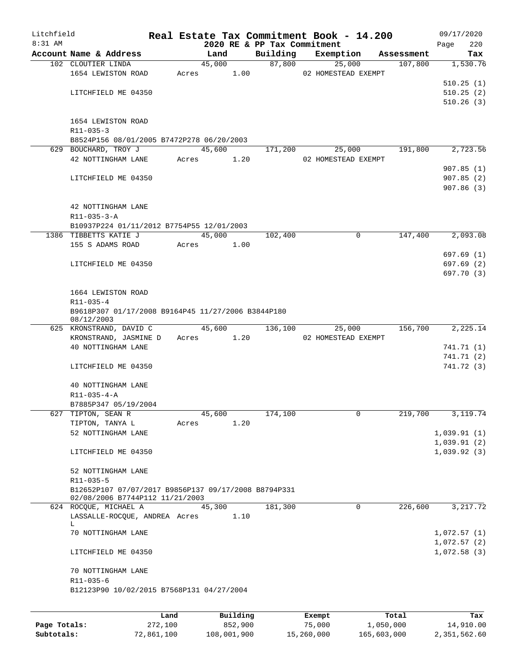| Litchfield |                                                                   |       |                |                             | Real Estate Tax Commitment Book - 14.200 |                       | 09/17/2020      |
|------------|-------------------------------------------------------------------|-------|----------------|-----------------------------|------------------------------------------|-----------------------|-----------------|
| $8:31$ AM  |                                                                   |       |                | 2020 RE & PP Tax Commitment |                                          |                       | 220<br>Page     |
|            | Account Name & Address<br>102 CLOUTIER LINDA                      |       | Land<br>45,000 | Building<br>87,800          | Exemption                                | Assessment<br>107,800 | Tax<br>1,530.76 |
|            | 1654 LEWISTON ROAD                                                | Acres | 1.00           |                             | 25,000<br>02 HOMESTEAD EXEMPT            |                       |                 |
|            |                                                                   |       |                |                             |                                          |                       | 510.25(1)       |
|            |                                                                   |       |                |                             |                                          |                       | 510.25(2)       |
|            | LITCHFIELD ME 04350                                               |       |                |                             |                                          |                       |                 |
|            |                                                                   |       |                |                             |                                          |                       | 510.26(3)       |
|            |                                                                   |       |                |                             |                                          |                       |                 |
|            | 1654 LEWISTON ROAD<br>$R11 - 035 - 3$                             |       |                |                             |                                          |                       |                 |
|            |                                                                   |       |                |                             |                                          |                       |                 |
|            | B8524P156 08/01/2005 B7472P278 06/20/2003<br>629 BOUCHARD, TROY J |       | 45,600         |                             |                                          | 191,800               | 2,723.56        |
|            |                                                                   |       |                | 171,200                     | 25,000                                   |                       |                 |
|            | 42 NOTTINGHAM LANE                                                | Acres | 1.20           |                             | 02 HOMESTEAD EXEMPT                      |                       |                 |
|            |                                                                   |       |                |                             |                                          |                       | 907.85(1)       |
|            | LITCHFIELD ME 04350                                               |       |                |                             |                                          |                       | 907.85(2)       |
|            |                                                                   |       |                |                             |                                          |                       | 907.86(3)       |
|            |                                                                   |       |                |                             |                                          |                       |                 |
|            | 42 NOTTINGHAM LANE                                                |       |                |                             |                                          |                       |                 |
|            | $R11 - 035 - 3 - A$                                               |       |                |                             |                                          |                       |                 |
|            | B10937P224 01/11/2012 B7754P55 12/01/2003                         |       |                |                             |                                          |                       |                 |
|            | 1386 TIBBETTS KATIE J                                             |       | 45,000         | 102,400                     | $\mathbf 0$                              | 147,400               | 2,093.08        |
|            | 155 S ADAMS ROAD                                                  | Acres | 1.00           |                             |                                          |                       |                 |
|            |                                                                   |       |                |                             |                                          |                       | 697.69(1)       |
|            | LITCHFIELD ME 04350                                               |       |                |                             |                                          |                       | 697.69 (2)      |
|            |                                                                   |       |                |                             |                                          |                       | 697.70 (3)      |
|            |                                                                   |       |                |                             |                                          |                       |                 |
|            | 1664 LEWISTON ROAD                                                |       |                |                             |                                          |                       |                 |
|            | R11-035-4                                                         |       |                |                             |                                          |                       |                 |
|            | B9618P307 01/17/2008 B9164P45 11/27/2006 B3844P180<br>08/12/2003  |       |                |                             |                                          |                       |                 |
|            | 625 KRONSTRAND, DAVID C                                           |       | 45,600         | 136,100                     | 25,000                                   | 156,700               | 2,225.14        |
|            | KRONSTRAND, JASMINE D                                             | Acres | 1.20           |                             | 02 HOMESTEAD EXEMPT                      |                       |                 |
|            | 40 NOTTINGHAM LANE                                                |       |                |                             |                                          |                       | 741.71 (1)      |
|            |                                                                   |       |                |                             |                                          |                       | 741.71 (2)      |
|            | LITCHFIELD ME 04350                                               |       |                |                             |                                          |                       | 741.72 (3)      |
|            |                                                                   |       |                |                             |                                          |                       |                 |
|            | 40 NOTTINGHAM LANE                                                |       |                |                             |                                          |                       |                 |
|            | $R11 - 035 - 4 - A$                                               |       |                |                             |                                          |                       |                 |
|            | B7885P347 05/19/2004                                              |       |                |                             |                                          |                       |                 |
|            | 627 TIPTON, SEAN R                                                |       | 45,600         | 174,100                     | 0                                        | 219,700               | 3,119.74        |
|            | TIPTON, TANYA L                                                   | Acres | 1.20           |                             |                                          |                       |                 |
|            | 52 NOTTINGHAM LANE                                                |       |                |                             |                                          |                       | 1,039.91(1)     |
|            |                                                                   |       |                |                             |                                          |                       | 1,039.91(2)     |
|            | LITCHFIELD ME 04350                                               |       |                |                             |                                          |                       | 1,039.92(3)     |
|            |                                                                   |       |                |                             |                                          |                       |                 |
|            | 52 NOTTINGHAM LANE                                                |       |                |                             |                                          |                       |                 |
|            | R11-035-5                                                         |       |                |                             |                                          |                       |                 |
|            | B12652P107 07/07/2017 B9856P137 09/17/2008 B8794P331              |       |                |                             |                                          |                       |                 |
|            | 02/08/2006 B7744P112 11/21/2003                                   |       |                |                             |                                          |                       |                 |
|            | 624 ROCQUE, MICHAEL A                                             |       | 45,300         | 181,300                     | $\mathbf 0$                              | 226,600               | 3, 217, 72      |
|            | LASSALLE-ROCQUE, ANDREA Acres                                     |       | 1.10           |                             |                                          |                       |                 |
|            | L                                                                 |       |                |                             |                                          |                       |                 |
|            | 70 NOTTINGHAM LANE                                                |       |                |                             |                                          |                       | 1,072.57(1)     |
|            |                                                                   |       |                |                             |                                          |                       | 1,072.57(2)     |
|            | LITCHFIELD ME 04350                                               |       |                |                             |                                          |                       | 1,072.58(3)     |
|            |                                                                   |       |                |                             |                                          |                       |                 |
|            | 70 NOTTINGHAM LANE                                                |       |                |                             |                                          |                       |                 |
|            | $R11 - 035 - 6$                                                   |       |                |                             |                                          |                       |                 |
|            | B12123P90 10/02/2015 B7568P131 04/27/2004                         |       |                |                             |                                          |                       |                 |
|            |                                                                   |       |                |                             |                                          |                       |                 |
|            |                                                                   | Land  | Building       |                             | Exempt                                   | Total                 | Tax             |
|            |                                                                   |       |                |                             |                                          |                       |                 |

|              | uanu       | <b>DULLUIN</b> | <b>BACILDL</b> | TOCAT       | 1 an         |
|--------------|------------|----------------|----------------|-------------|--------------|
| Page Totals: | 272,100    | 852,900        | 75,000         | 1,050,000   | 14,910.00    |
| Subtotals:   | 72,861,100 | 108,001,900    | 15,260,000     | 165,603,000 | 2,351,562.60 |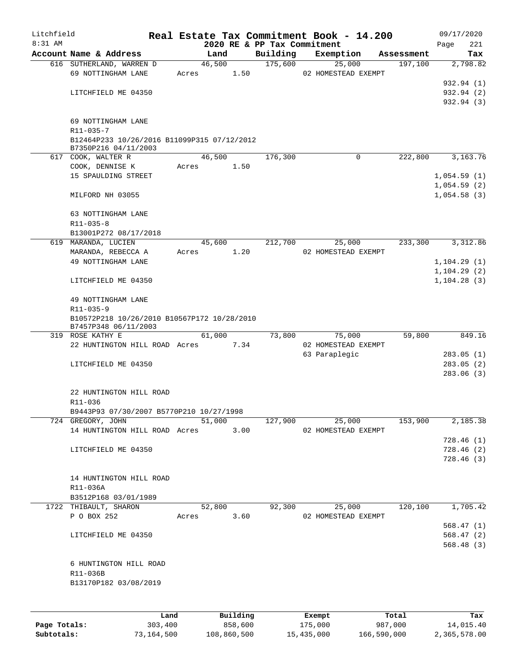| Litchfield |                                             |       |            |      |                             | Real Estate Tax Commitment Book - 14.200 |            | 09/17/2020               |
|------------|---------------------------------------------|-------|------------|------|-----------------------------|------------------------------------------|------------|--------------------------|
| $8:31$ AM  |                                             |       |            |      | 2020 RE & PP Tax Commitment |                                          |            | 221<br>Page              |
|            | Account Name & Address                      |       | Land       |      | Building                    | Exemption                                | Assessment | Tax                      |
|            | 616 SUTHERLAND, WARREN D                    |       | 46,500     |      | 175,600                     | 25,000                                   | 197,100    | 2,798.82                 |
|            | 69 NOTTINGHAM LANE                          | Acres |            | 1.50 |                             | 02 HOMESTEAD EXEMPT                      |            |                          |
|            |                                             |       |            |      |                             |                                          |            | 932.94 (1)               |
|            | LITCHFIELD ME 04350                         |       |            |      |                             |                                          |            | 932.94 (2)<br>932.94 (3) |
|            |                                             |       |            |      |                             |                                          |            |                          |
|            | 69 NOTTINGHAM LANE                          |       |            |      |                             |                                          |            |                          |
|            | $R11 - 035 - 7$                             |       |            |      |                             |                                          |            |                          |
|            | B12464P233 10/26/2016 B11099P315 07/12/2012 |       |            |      |                             |                                          |            |                          |
|            | B7350P216 04/11/2003                        |       |            |      |                             |                                          |            |                          |
|            | 617 COOK, WALTER R                          |       | 46,500     |      | 176,300                     | $\Omega$                                 | 222,800    | 3,163.76                 |
|            | COOK, DENNISE K                             | Acres |            | 1.50 |                             |                                          |            |                          |
|            | 15 SPAULDING STREET                         |       |            |      |                             |                                          |            | 1,054.59(1)              |
|            |                                             |       |            |      |                             |                                          |            | 1,054.59(2)              |
|            | MILFORD NH 03055                            |       |            |      |                             |                                          |            | 1,054.58(3)              |
|            |                                             |       |            |      |                             |                                          |            |                          |
|            | 63 NOTTINGHAM LANE                          |       |            |      |                             |                                          |            |                          |
|            | $R11 - 035 - 8$                             |       |            |      |                             |                                          |            |                          |
|            | B13001P272 08/17/2018                       |       |            |      |                             |                                          |            |                          |
|            | 619 MARANDA, LUCIEN                         |       | 45,600     |      | 212,700                     | 25,000                                   | 233,300    | 3,312.86                 |
|            | MARANDA, REBECCA A                          | Acres |            | 1.20 |                             | 02 HOMESTEAD EXEMPT                      |            |                          |
|            | 49 NOTTINGHAM LANE                          |       |            |      |                             |                                          |            | 1, 104.29(1)             |
|            |                                             |       |            |      |                             |                                          |            | 1, 104.29(2)             |
|            | LITCHFIELD ME 04350                         |       |            |      |                             |                                          |            | 1, 104.28(3)             |
|            |                                             |       |            |      |                             |                                          |            |                          |
|            | 49 NOTTINGHAM LANE                          |       |            |      |                             |                                          |            |                          |
|            | R11-035-9                                   |       |            |      |                             |                                          |            |                          |
|            | B10572P218 10/26/2010 B10567P172 10/28/2010 |       |            |      |                             |                                          |            |                          |
|            | B7457P348 06/11/2003<br>319 ROSE KATHY E    |       | 61,000     |      | 73,800                      | 75,000                                   | 59,800     | 849.16                   |
|            | 22 HUNTINGTON HILL ROAD Acres               |       |            | 7.34 |                             | 02 HOMESTEAD EXEMPT                      |            |                          |
|            |                                             |       |            |      |                             | 63 Paraplegic                            |            | 283.05(1)                |
|            | LITCHFIELD ME 04350                         |       |            |      |                             |                                          |            | 283.05(2)                |
|            |                                             |       |            |      |                             |                                          |            | 283.06(3)                |
|            |                                             |       |            |      |                             |                                          |            |                          |
|            | 22 HUNTINGTON HILL ROAD                     |       |            |      |                             |                                          |            |                          |
|            | R11-036                                     |       |            |      |                             |                                          |            |                          |
|            | B9443P93 07/30/2007 B5770P210 10/27/1998    |       |            |      |                             |                                          |            |                          |
|            | 724 GREGORY, JOHN                           |       | 51,000     |      | 127,900                     | 25,000                                   | 153,900    | 2,185.38                 |
|            | 14 HUNTINGTON HILL ROAD Acres               |       |            | 3.00 |                             | 02 HOMESTEAD EXEMPT                      |            |                          |
|            |                                             |       |            |      |                             |                                          |            | 728.46(1)                |
|            | LITCHFIELD ME 04350                         |       |            |      |                             |                                          |            | 728.46(2)                |
|            |                                             |       |            |      |                             |                                          |            | 728.46(3)                |
|            |                                             |       |            |      |                             |                                          |            |                          |
|            | 14 HUNTINGTON HILL ROAD                     |       |            |      |                             |                                          |            |                          |
|            | R11-036A                                    |       |            |      |                             |                                          |            |                          |
|            | B3512P168 03/01/1989                        |       |            |      |                             |                                          |            |                          |
|            | 1722 THIBAULT, SHARON                       |       | 52,800     |      |                             | 92,300<br>25,000                         | 120, 100   | 1,705.42                 |
|            | P O BOX 252                                 |       | Acres 3.60 |      |                             | 02 HOMESTEAD EXEMPT                      |            |                          |
|            |                                             |       |            |      |                             |                                          |            | 568.47(1)                |
|            | LITCHFIELD ME 04350                         |       |            |      |                             |                                          |            | 568.47(2)                |
|            |                                             |       |            |      |                             |                                          |            | 568.48 (3)               |
|            |                                             |       |            |      |                             |                                          |            |                          |
|            | 6 HUNTINGTON HILL ROAD                      |       |            |      |                             |                                          |            |                          |
|            | R11-036B                                    |       |            |      |                             |                                          |            |                          |
|            | B13170P182 03/08/2019                       |       |            |      |                             |                                          |            |                          |
|            |                                             |       |            |      |                             |                                          |            |                          |
|            |                                             |       |            |      |                             |                                          |            |                          |
|            |                                             |       |            |      |                             |                                          |            |                          |

|              | Land       | Building    | Exempt     | Total       | Tax          |
|--------------|------------|-------------|------------|-------------|--------------|
| Page Totals: | 303,400    | 858,600     | 175,000    | 987,000     | 14,015.40    |
| Subtotals:   | 73,164,500 | 108,860,500 | 15,435,000 | 166,590,000 | 2,365,578.00 |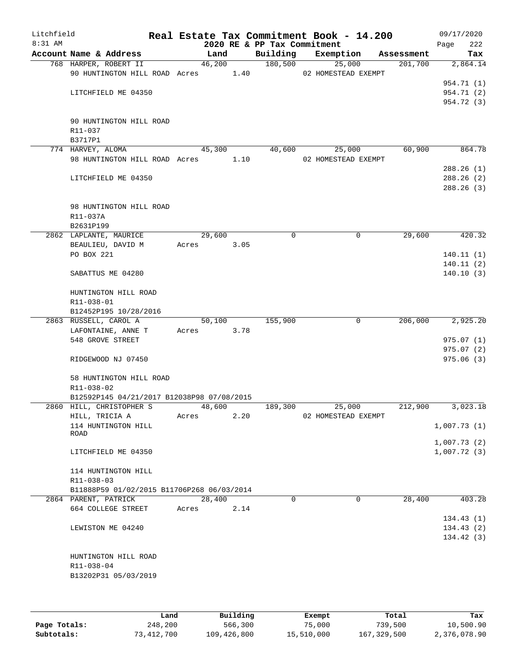| Litchfield<br>8:31 AM |                                            |        |      | 2020 RE & PP Tax Commitment | Real Estate Tax Commitment Book - 14.200 |            | 09/17/2020<br>222<br>Page |
|-----------------------|--------------------------------------------|--------|------|-----------------------------|------------------------------------------|------------|---------------------------|
|                       | Account Name & Address                     | Land   |      | Building                    | Exemption                                | Assessment | Tax                       |
|                       | 768 HARPER, ROBERT II                      | 46,200 |      | 180,500                     | 25,000                                   | 201,700    | 2,864.14                  |
|                       | 90 HUNTINGTON HILL ROAD Acres 1.40         |        |      |                             | 02 HOMESTEAD EXEMPT                      |            |                           |
|                       |                                            |        |      |                             |                                          |            | 954.71 (1)                |
|                       | LITCHFIELD ME 04350                        |        |      |                             |                                          |            | 954.71 (2)                |
|                       |                                            |        |      |                             |                                          |            | 954.72 (3)                |
|                       |                                            |        |      |                             |                                          |            |                           |
|                       | 90 HUNTINGTON HILL ROAD                    |        |      |                             |                                          |            |                           |
|                       | R11-037                                    |        |      |                             |                                          |            |                           |
|                       | B3717P1                                    |        |      |                             |                                          |            |                           |
|                       | 774 HARVEY, ALOMA                          | 45,300 |      | 40,600                      | 25,000                                   | 60,900     | 864.78                    |
|                       | 98 HUNTINGTON HILL ROAD Acres              |        | 1.10 |                             | 02 HOMESTEAD EXEMPT                      |            | 288.26(1)                 |
|                       | LITCHFIELD ME 04350                        |        |      |                             |                                          |            | 288.26(2)                 |
|                       |                                            |        |      |                             |                                          |            | 288.26(3)                 |
|                       |                                            |        |      |                             |                                          |            |                           |
|                       | 98 HUNTINGTON HILL ROAD                    |        |      |                             |                                          |            |                           |
|                       | R11-037A                                   |        |      |                             |                                          |            |                           |
|                       | B2631P199                                  |        |      |                             |                                          |            |                           |
|                       | 2862 LAPLANTE, MAURICE                     | 29,600 |      | 0                           | 0                                        | 29,600     | $\overline{420}.32$       |
|                       | BEAULIEU, DAVID M                          | Acres  | 3.05 |                             |                                          |            |                           |
|                       | PO BOX 221                                 |        |      |                             |                                          |            | 140.11(1)                 |
|                       |                                            |        |      |                             |                                          |            | 140.11(2)                 |
|                       | SABATTUS ME 04280                          |        |      |                             |                                          |            | 140.10(3)                 |
|                       |                                            |        |      |                             |                                          |            |                           |
|                       | HUNTINGTON HILL ROAD                       |        |      |                             |                                          |            |                           |
|                       | R11-038-01                                 |        |      |                             |                                          |            |                           |
|                       | B12452P195 10/28/2016                      |        |      |                             |                                          |            |                           |
|                       | 2863 RUSSELL, CAROL A                      | 50,100 |      | 155,900                     | $\mathbf 0$                              | 206,000    | 2,925.20                  |
|                       | LAFONTAINE, ANNE T                         | Acres  | 3.78 |                             |                                          |            |                           |
|                       | 548 GROVE STREET                           |        |      |                             |                                          |            | 975.07(1)                 |
|                       |                                            |        |      |                             |                                          |            | 975.07(2)                 |
|                       | RIDGEWOOD NJ 07450                         |        |      |                             |                                          |            | 975.06(3)                 |
|                       |                                            |        |      |                             |                                          |            |                           |
|                       | 58 HUNTINGTON HILL ROAD                    |        |      |                             |                                          |            |                           |
|                       | R11-038-02                                 |        |      |                             |                                          |            |                           |
|                       | B12592P145 04/21/2017 B12038P98 07/08/2015 |        |      |                             |                                          |            |                           |
|                       | 2860 HILL, CHRISTOPHER S                   | 48,600 |      | 189,300                     | 25,000                                   | 212,900    | 3,023.18                  |
|                       | HILL, TRICIA A                             | Acres  | 2.20 |                             | 02 HOMESTEAD EXEMPT                      |            | 1,007.73(1)               |
|                       | 114 HUNTINGTON HILL<br>ROAD                |        |      |                             |                                          |            |                           |
|                       |                                            |        |      |                             |                                          |            | 1,007.73(2)               |
|                       | LITCHFIELD ME 04350                        |        |      |                             |                                          |            | 1,007.72(3)               |
|                       |                                            |        |      |                             |                                          |            |                           |
|                       | 114 HUNTINGTON HILL                        |        |      |                             |                                          |            |                           |
|                       | R11-038-03                                 |        |      |                             |                                          |            |                           |
|                       | B11888P59 01/02/2015 B11706P268 06/03/2014 |        |      |                             |                                          |            |                           |
|                       | 2864 PARENT, PATRICK                       | 28,400 |      | $\Omega$                    | $\Omega$                                 | 28,400     | 403.28                    |
|                       | 664 COLLEGE STREET                         | Acres  | 2.14 |                             |                                          |            |                           |
|                       |                                            |        |      |                             |                                          |            | 134.43(1)                 |
|                       | LEWISTON ME 04240                          |        |      |                             |                                          |            | 134.43(2)                 |
|                       |                                            |        |      |                             |                                          |            | 134.42 (3)                |
|                       |                                            |        |      |                             |                                          |            |                           |
|                       | HUNTINGTON HILL ROAD                       |        |      |                             |                                          |            |                           |
|                       | R11-038-04                                 |        |      |                             |                                          |            |                           |
|                       | B13202P31 05/03/2019                       |        |      |                             |                                          |            |                           |
|                       |                                            |        |      |                             |                                          |            |                           |
|                       |                                            |        |      |                             |                                          |            |                           |
|                       |                                            |        |      |                             |                                          |            |                           |

|              | Land       | Building    | Exempt     | Total       | Tax          |
|--------------|------------|-------------|------------|-------------|--------------|
| Page Totals: | 248,200    | 566,300     | 75,000     | 739,500     | 10,500.90    |
| Subtotals:   | 73,412,700 | 109,426,800 | 15,510,000 | 167,329,500 | 2,376,078.90 |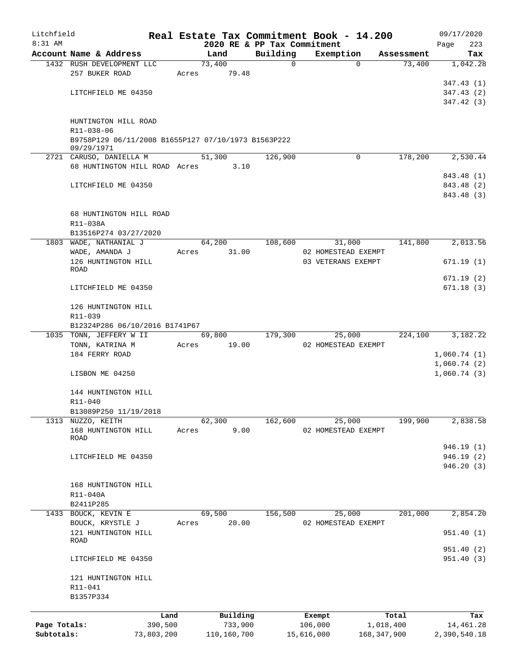| Litchfield   |                                                           |            |       |                 |                             |             | Real Estate Tax Commitment Book - 14.200 |            | 09/17/2020   |
|--------------|-----------------------------------------------------------|------------|-------|-----------------|-----------------------------|-------------|------------------------------------------|------------|--------------|
| $8:31$ AM    |                                                           |            |       |                 | 2020 RE & PP Tax Commitment |             |                                          |            | 223<br>Page  |
|              | Account Name & Address                                    |            |       | Land            | Building                    |             | Exemption                                | Assessment | Tax          |
|              | 1432 RUSH DEVELOPMENT LLC<br>257 BUKER ROAD               |            |       | 73,400<br>79.48 |                             | $\mathbf 0$ | $\Omega$                                 | 73,400     | 1,042.28     |
|              |                                                           |            | Acres |                 |                             |             |                                          |            | 347.43(1)    |
|              | LITCHFIELD ME 04350                                       |            |       |                 |                             |             |                                          |            | 347.43(2)    |
|              |                                                           |            |       |                 |                             |             |                                          |            | 347.42 (3)   |
|              |                                                           |            |       |                 |                             |             |                                          |            |              |
|              | HUNTINGTON HILL ROAD                                      |            |       |                 |                             |             |                                          |            |              |
|              | R11-038-06                                                |            |       |                 |                             |             |                                          |            |              |
|              | B9758P129 06/11/2008 B1655P127 07/10/1973 B1563P222       |            |       |                 |                             |             |                                          |            |              |
|              | 09/29/1971                                                |            |       |                 |                             |             |                                          |            |              |
|              | 2721 CARUSO, DANIELLA M                                   |            |       | 51,300          | 126,900                     |             | $\Omega$                                 | 178,200    | 2,530.44     |
|              | 68 HUNTINGTON HILL ROAD Acres                             |            |       | 3.10            |                             |             |                                          |            |              |
|              |                                                           |            |       |                 |                             |             |                                          |            | 843.48 (1)   |
|              | LITCHFIELD ME 04350                                       |            |       |                 |                             |             |                                          |            | 843.48 (2)   |
|              |                                                           |            |       |                 |                             |             |                                          |            | 843.48 (3)   |
|              |                                                           |            |       |                 |                             |             |                                          |            |              |
|              | 68 HUNTINGTON HILL ROAD                                   |            |       |                 |                             |             |                                          |            |              |
|              | R11-038A                                                  |            |       |                 |                             |             |                                          |            |              |
|              | B13516P274 03/27/2020                                     |            |       |                 |                             |             |                                          |            |              |
|              | 1803 WADE, NATHANIAL J                                    |            |       | 64,200          | 108,600                     |             | 31,000                                   | 141,800    | 2,013.56     |
|              | WADE, AMANDA J                                            |            | Acres | 31.00           |                             |             | 02 HOMESTEAD EXEMPT                      |            |              |
|              | 126 HUNTINGTON HILL                                       |            |       |                 |                             |             | 03 VETERANS EXEMPT                       |            | 671.19(1)    |
|              | ROAD                                                      |            |       |                 |                             |             |                                          |            |              |
|              |                                                           |            |       |                 |                             |             |                                          |            | 671.19(2)    |
|              | LITCHFIELD ME 04350                                       |            |       |                 |                             |             |                                          |            | 671.18(3)    |
|              |                                                           |            |       |                 |                             |             |                                          |            |              |
|              | 126 HUNTINGTON HILL                                       |            |       |                 |                             |             |                                          |            |              |
|              | R11-039                                                   |            |       |                 |                             |             |                                          |            |              |
|              | B12324P286 06/10/2016 B1741P67<br>1035 TONN, JEFFERY W II |            |       | 69,800          | 179,300                     |             |                                          | 224,100    | 3,182.22     |
|              |                                                           |            |       |                 |                             |             | 25,000<br>02 HOMESTEAD EXEMPT            |            |              |
|              | TONN, KATRINA M<br>184 FERRY ROAD                         |            | Acres | 19.00           |                             |             |                                          |            | 1,060.74(1)  |
|              |                                                           |            |       |                 |                             |             |                                          |            | 1,060.74(2)  |
|              | LISBON ME 04250                                           |            |       |                 |                             |             |                                          |            | 1,060.74(3)  |
|              |                                                           |            |       |                 |                             |             |                                          |            |              |
|              | 144 HUNTINGTON HILL                                       |            |       |                 |                             |             |                                          |            |              |
|              | R11-040                                                   |            |       |                 |                             |             |                                          |            |              |
|              | B13089P250 11/19/2018                                     |            |       |                 |                             |             |                                          |            |              |
| 1313         | NUZZO, KEITH                                              |            |       | 62,300          | 162,600                     |             | 25,000                                   | 199,900    | 2,838.58     |
|              | 168 HUNTINGTON HILL                                       |            | Acres | 9.00            |                             |             | 02 HOMESTEAD EXEMPT                      |            |              |
|              | ROAD                                                      |            |       |                 |                             |             |                                          |            |              |
|              |                                                           |            |       |                 |                             |             |                                          |            | 946.19 (1)   |
|              | LITCHFIELD ME 04350                                       |            |       |                 |                             |             |                                          |            | 946.19(2)    |
|              |                                                           |            |       |                 |                             |             |                                          |            | 946.20(3)    |
|              |                                                           |            |       |                 |                             |             |                                          |            |              |
|              | 168 HUNTINGTON HILL                                       |            |       |                 |                             |             |                                          |            |              |
|              | R11-040A                                                  |            |       |                 |                             |             |                                          |            |              |
|              | B2411P285                                                 |            |       |                 |                             |             |                                          |            |              |
|              | 1433 BOUCK, KEVIN E                                       |            |       | 69,500          | 156,500                     |             | 25,000                                   | 201,000    | 2,854.20     |
|              | BOUCK, KRYSTLE J                                          |            | Acres | 20.00           |                             |             | 02 HOMESTEAD EXEMPT                      |            |              |
|              | 121 HUNTINGTON HILL                                       |            |       |                 |                             |             |                                          |            | 951.40(1)    |
|              | ROAD                                                      |            |       |                 |                             |             |                                          |            |              |
|              |                                                           |            |       |                 |                             |             |                                          |            | 951.40 (2)   |
|              | LITCHFIELD ME 04350                                       |            |       |                 |                             |             |                                          |            | 951.40(3)    |
|              | 121 HUNTINGTON HILL                                       |            |       |                 |                             |             |                                          |            |              |
|              | R11-041                                                   |            |       |                 |                             |             |                                          |            |              |
|              | B1357P334                                                 |            |       |                 |                             |             |                                          |            |              |
|              |                                                           |            |       |                 |                             |             |                                          |            |              |
|              |                                                           | Land       |       | Building        |                             | Exempt      |                                          | Total      | Tax          |
| Page Totals: |                                                           | 390,500    |       | 733,900         |                             | 106,000     |                                          | 1,018,400  | 14,461.28    |
| Subtotals:   |                                                           | 73,803,200 |       | 110,160,700     |                             | 15,616,000  | 168,347,900                              |            | 2,390,540.18 |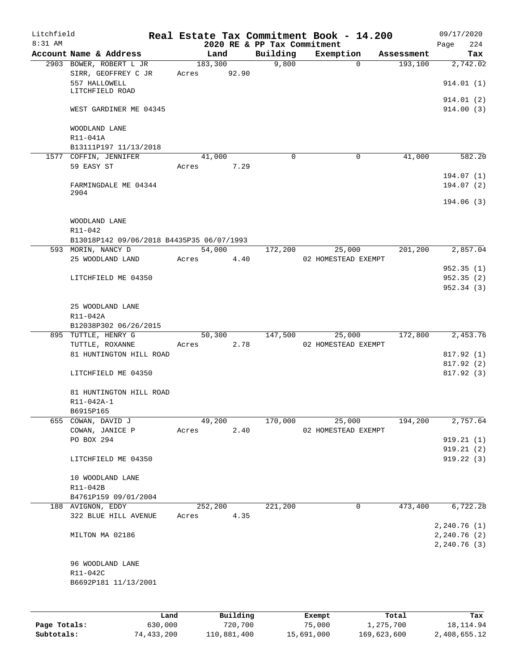| Litchfield<br>$8:31$ AM |                                           |         |          |                                         | Real Estate Tax Commitment Book - 14.200 |            | 09/17/2020                                  |
|-------------------------|-------------------------------------------|---------|----------|-----------------------------------------|------------------------------------------|------------|---------------------------------------------|
|                         | Account Name & Address                    |         | Land     | 2020 RE & PP Tax Commitment<br>Building | Exemption                                | Assessment | 224<br>Page<br>Tax                          |
|                         | 2903 BOWER, ROBERT L JR                   | 183,300 |          | 9,800                                   | $\mathbf 0$                              | 193,100    | 2,742.02                                    |
|                         | SIRR, GEOFFREY C JR                       | Acres   | 92.90    |                                         |                                          |            |                                             |
|                         | 557 HALLOWELL                             |         |          |                                         |                                          |            | 914.01(1)                                   |
|                         | LITCHFIELD ROAD                           |         |          |                                         |                                          |            | 914.01 (2)                                  |
|                         | WEST GARDINER ME 04345                    |         |          |                                         |                                          |            | 914.00(3)                                   |
|                         | WOODLAND LANE                             |         |          |                                         |                                          |            |                                             |
|                         | R11-041A                                  |         |          |                                         |                                          |            |                                             |
|                         | B13111P197 11/13/2018                     |         |          |                                         |                                          |            |                                             |
|                         | 1577 COFFIN, JENNIFER                     |         | 41,000   | $\Omega$                                | 0                                        | 41,000     | 582.20                                      |
|                         | 59 EASY ST                                | Acres   | 7.29     |                                         |                                          |            | 194.07 (1)                                  |
|                         | FARMINGDALE ME 04344                      |         |          |                                         |                                          |            | 194.07(2)                                   |
|                         | 2904                                      |         |          |                                         |                                          |            | 194.06(3)                                   |
|                         | WOODLAND LANE                             |         |          |                                         |                                          |            |                                             |
|                         | R11-042                                   |         |          |                                         |                                          |            |                                             |
|                         | B13018P142 09/06/2018 B4435P35 06/07/1993 |         |          |                                         |                                          |            |                                             |
|                         | 593 MORIN, NANCY D                        |         | 54,000   | 172,200                                 | 25,000                                   | 201,200    | 2,857.04                                    |
|                         | 25 WOODLAND LAND                          | Acres   | 4.40     |                                         | 02 HOMESTEAD EXEMPT                      |            |                                             |
|                         |                                           |         |          |                                         |                                          |            | 952.35(1)                                   |
|                         | LITCHFIELD ME 04350                       |         |          |                                         |                                          |            | 952.35(2)                                   |
|                         |                                           |         |          |                                         |                                          |            | 952.34(3)                                   |
|                         | 25 WOODLAND LANE                          |         |          |                                         |                                          |            |                                             |
|                         | R11-042A                                  |         |          |                                         |                                          |            |                                             |
|                         | B12038P302 06/26/2015                     |         |          |                                         |                                          |            |                                             |
|                         | 895 TUTTLE, HENRY G                       |         | 50,300   | 147,500                                 | 25,000                                   | 172,800    | 2,453.76                                    |
|                         | TUTTLE, ROXANNE                           | Acres   | 2.78     |                                         | 02 HOMESTEAD EXEMPT                      |            |                                             |
|                         | 81 HUNTINGTON HILL ROAD                   |         |          |                                         |                                          |            | 817.92 (1)<br>817.92 (2)                    |
|                         | LITCHFIELD ME 04350                       |         |          |                                         |                                          |            | 817.92 (3)                                  |
|                         |                                           |         |          |                                         |                                          |            |                                             |
|                         | 81 HUNTINGTON HILL ROAD                   |         |          |                                         |                                          |            |                                             |
|                         | R11-042A-1                                |         |          |                                         |                                          |            |                                             |
|                         | B6915P165                                 |         |          |                                         |                                          |            |                                             |
|                         | 655 COWAN, DAVID J                        |         | 49,200   | 170,000                                 | 25,000                                   | 194,200    | 2,757.64                                    |
|                         | COWAN, JANICE P<br>PO BOX 294             | Acres   | 2.40     |                                         | 02 HOMESTEAD EXEMPT                      |            | 919.21(1)                                   |
|                         |                                           |         |          |                                         |                                          |            | 919.21 (2)                                  |
|                         | LITCHFIELD ME 04350                       |         |          |                                         |                                          |            | 919.22(3)                                   |
|                         | 10 WOODLAND LANE                          |         |          |                                         |                                          |            |                                             |
|                         | R11-042B                                  |         |          |                                         |                                          |            |                                             |
|                         | B4761P159 09/01/2004                      |         |          |                                         |                                          |            |                                             |
|                         | 188 AVIGNON, EDDY                         | 252,200 |          | 221,200                                 | 0                                        | 473,400    | 6,722.28                                    |
|                         | 322 BLUE HILL AVENUE                      | Acres   | 4.35     |                                         |                                          |            |                                             |
|                         | MILTON MA 02186                           |         |          |                                         |                                          |            | 2,240.76(1)<br>2,240.76 (2)<br>2, 240.76(3) |
|                         | 96 WOODLAND LANE                          |         |          |                                         |                                          |            |                                             |
|                         | R11-042C                                  |         |          |                                         |                                          |            |                                             |
|                         | B6692P181 11/13/2001                      |         |          |                                         |                                          |            |                                             |
|                         |                                           |         |          |                                         |                                          |            |                                             |
|                         |                                           |         |          |                                         |                                          |            |                                             |
|                         |                                           | Land    | Building |                                         | Exempt                                   | Total      | Tax                                         |
| Page Totals:            | 630,000                                   |         | 720,700  |                                         | 75,000                                   | 1,275,700  | 18, 114.94                                  |

**Subtotals:** 74,433,200 110,881,400 15,691,000 169,623,600 2,408,655.12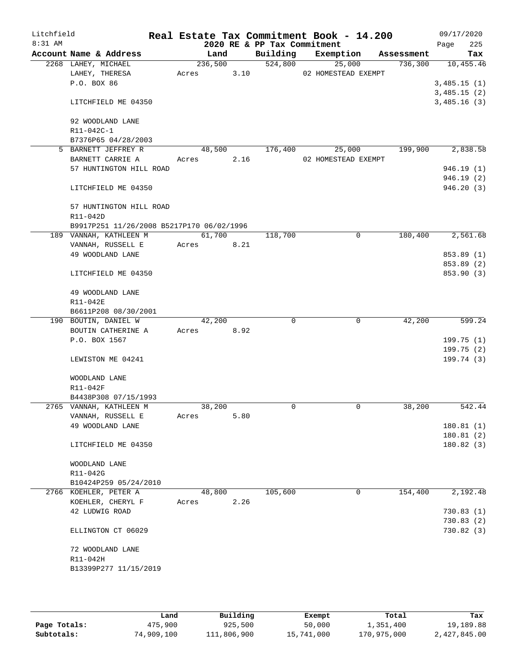| Litchfield |                                            |            |      |                             | Real Estate Tax Commitment Book - 14.200 |            | 09/17/2020                 |
|------------|--------------------------------------------|------------|------|-----------------------------|------------------------------------------|------------|----------------------------|
| 8:31 AM    |                                            |            |      | 2020 RE & PP Tax Commitment |                                          |            | 225<br>Page                |
|            | Account Name & Address                     | Land       |      | Building                    | Exemption                                | Assessment | Tax                        |
|            | 2268 LAHEY, MICHAEL                        | 236,500    |      | 524,800                     | 25,000                                   |            | 736,300 10,455.46          |
|            | LAHEY, THERESA                             | Acres      | 3.10 |                             | 02 HOMESTEAD EXEMPT                      |            |                            |
|            | P.O. BOX 86                                |            |      |                             |                                          |            | 3,485.15(1)                |
|            | LITCHFIELD ME 04350                        |            |      |                             |                                          |            | 3,485.15(2)<br>3,485.16(3) |
|            |                                            |            |      |                             |                                          |            |                            |
|            | 92 WOODLAND LANE                           |            |      |                             |                                          |            |                            |
|            | R11-042C-1                                 |            |      |                             |                                          |            |                            |
|            | B7376P65 04/28/2003<br>5 BARNETT JEFFREY R | 48,500     |      | 176,400                     |                                          | 199,900    | 2,838.58                   |
|            | BARNETT CARRIE A                           | Acres      | 2.16 |                             | 25,000<br>02 HOMESTEAD EXEMPT            |            |                            |
|            | 57 HUNTINGTON HILL ROAD                    |            |      |                             |                                          |            | 946.19(1)                  |
|            |                                            |            |      |                             |                                          |            | 946.19(2)                  |
|            | LITCHFIELD ME 04350                        |            |      |                             |                                          |            | 946.20(3)                  |
|            | 57 HUNTINGTON HILL ROAD                    |            |      |                             |                                          |            |                            |
|            | R11-042D                                   |            |      |                             |                                          |            |                            |
|            | B9917P251 11/26/2008 B5217P170 06/02/1996  |            |      |                             |                                          |            |                            |
|            | 189 VANNAH, KATHLEEN M                     | 61,700     |      | 118,700                     | $\mathbf 0$                              | 180,400    | 2,561.68                   |
|            | VANNAH, RUSSELL E                          | Acres      | 8.21 |                             |                                          |            |                            |
|            | 49 WOODLAND LANE                           |            |      |                             |                                          |            | 853.89 (1)                 |
|            |                                            |            |      |                             |                                          |            | 853.89 (2)                 |
|            | LITCHFIELD ME 04350                        |            |      |                             |                                          |            | 853.90 (3)                 |
|            | 49 WOODLAND LANE                           |            |      |                             |                                          |            |                            |
|            | R11-042E                                   |            |      |                             |                                          |            |                            |
|            | B6611P208 08/30/2001                       |            |      |                             |                                          |            |                            |
|            | 190 BOUTIN, DANIEL W                       | 42,200     |      | $\Omega$                    | $\mathbf 0$                              | 42,200     | 599.24                     |
|            | BOUTIN CATHERINE A                         | Acres 8.92 |      |                             |                                          |            |                            |
|            | P.O. BOX 1567                              |            |      |                             |                                          |            | 199.75(1)                  |
|            |                                            |            |      |                             |                                          |            | 199.75(2)                  |
|            | LEWISTON ME 04241                          |            |      |                             |                                          |            | 199.74(3)                  |
|            | WOODLAND LANE                              |            |      |                             |                                          |            |                            |
|            | R11-042F                                   |            |      |                             |                                          |            |                            |
|            | B4438P308 07/15/1993                       |            |      |                             |                                          |            |                            |
|            | 2765 VANNAH, KATHLEEN M                    | 38,200     |      | $\Omega$                    | 0                                        | 38,200     | 542.44                     |
|            | VANNAH, RUSSELL E                          | Acres      | 5.80 |                             |                                          |            |                            |
|            | 49 WOODLAND LANE                           |            |      |                             |                                          |            | 180.81(1)                  |
|            | LITCHFIELD ME 04350                        |            |      |                             |                                          |            | 180.81(2)<br>180.82(3)     |
|            |                                            |            |      |                             |                                          |            |                            |
|            | WOODLAND LANE<br>R11-042G                  |            |      |                             |                                          |            |                            |
|            | B10424P259 05/24/2010                      |            |      |                             |                                          |            |                            |
|            | 2766 KOEHLER, PETER A                      | 48,800     |      | 105,600                     | 0                                        | 154,400    | 2,192.48                   |
|            | KOEHLER, CHERYL F                          | Acres      | 2.26 |                             |                                          |            |                            |
|            | 42 LUDWIG ROAD                             |            |      |                             |                                          |            | 730.83(1)                  |
|            |                                            |            |      |                             |                                          |            | 730.83(2)                  |
|            | ELLINGTON CT 06029                         |            |      |                             |                                          |            | 730.82(3)                  |
|            | 72 WOODLAND LANE                           |            |      |                             |                                          |            |                            |
|            | R11-042H                                   |            |      |                             |                                          |            |                            |
|            | B13399P277 11/15/2019                      |            |      |                             |                                          |            |                            |
|            |                                            |            |      |                             |                                          |            |                            |

|              | Land       | Building    | Exempt     | Total       | Tax          |
|--------------|------------|-------------|------------|-------------|--------------|
| Page Totals: | 475,900    | 925,500     | 50,000     | 1,351,400   | 19,189.88    |
| Subtotals:   | 74,909,100 | 111,806,900 | 15,741,000 | 170,975,000 | 2,427,845.00 |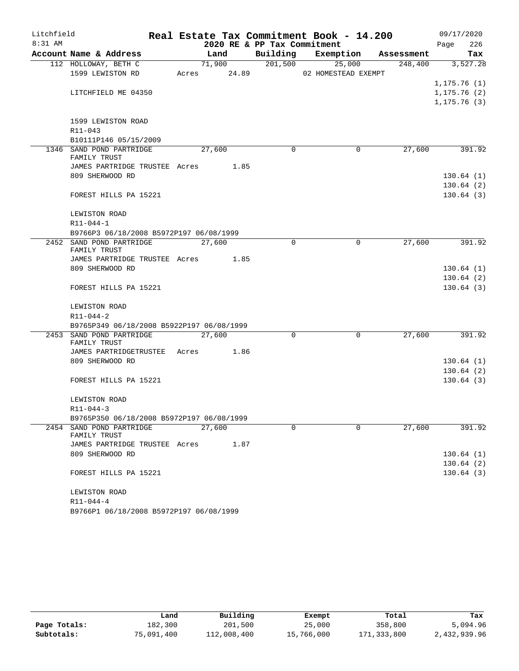| Litchfield |                                           |  |             |      |                             | Real Estate Tax Commitment Book - 14.200 |             |            | 09/17/2020   |          |
|------------|-------------------------------------------|--|-------------|------|-----------------------------|------------------------------------------|-------------|------------|--------------|----------|
| $8:31$ AM  |                                           |  |             |      | 2020 RE & PP Tax Commitment |                                          |             |            | Page         | 226      |
|            | Account Name & Address                    |  | Land        |      | Building                    | Exemption                                |             | Assessment |              | Tax      |
|            | 112 HOLLOWAY, BETH C                      |  | 71,900      |      | 201,500                     |                                          | 25,000      | 248,400    |              | 3,527.28 |
|            | 1599 LEWISTON RD                          |  | Acres 24.89 |      |                             | 02 HOMESTEAD EXEMPT                      |             |            | 1, 175.76(1) |          |
|            | LITCHFIELD ME 04350                       |  |             |      |                             |                                          |             |            | 1, 175.76(2) |          |
|            |                                           |  |             |      |                             |                                          |             |            | 1, 175.76(3) |          |
|            |                                           |  |             |      |                             |                                          |             |            |              |          |
|            | 1599 LEWISTON ROAD                        |  |             |      |                             |                                          |             |            |              |          |
|            | R11-043                                   |  |             |      |                             |                                          |             |            |              |          |
|            | B10111P146 05/15/2009                     |  |             |      |                             |                                          |             |            |              |          |
|            | 1346 SAND POND PARTRIDGE<br>FAMILY TRUST  |  | 27,600      |      | $\Omega$                    |                                          | $\Omega$    | 27,600     |              | 391.92   |
|            | JAMES PARTRIDGE TRUSTEE Acres 1.85        |  |             |      |                             |                                          |             |            |              |          |
|            | 809 SHERWOOD RD                           |  |             |      |                             |                                          |             |            | 130.64(1)    |          |
|            |                                           |  |             |      |                             |                                          |             |            | 130.64(2)    |          |
|            | FOREST HILLS PA 15221                     |  |             |      |                             |                                          |             |            | 130.64(3)    |          |
|            |                                           |  |             |      |                             |                                          |             |            |              |          |
|            | LEWISTON ROAD                             |  |             |      |                             |                                          |             |            |              |          |
|            | R11-044-1                                 |  |             |      |                             |                                          |             |            |              |          |
|            | B9766P3 06/18/2008 B5972P197 06/08/1999   |  |             |      |                             |                                          |             |            |              |          |
|            | 2452 SAND POND PARTRIDGE<br>FAMILY TRUST  |  | 27,600      |      | $\Omega$                    |                                          | $\mathbf 0$ | 27,600     |              | 391.92   |
|            | JAMES PARTRIDGE TRUSTEE Acres 1.85        |  |             |      |                             |                                          |             |            |              |          |
|            | 809 SHERWOOD RD                           |  |             |      |                             |                                          |             |            | 130.64(1)    |          |
|            |                                           |  |             |      |                             |                                          |             |            | 130.64(2)    |          |
|            | FOREST HILLS PA 15221                     |  |             |      |                             |                                          |             |            | 130.64(3)    |          |
|            |                                           |  |             |      |                             |                                          |             |            |              |          |
|            | LEWISTON ROAD                             |  |             |      |                             |                                          |             |            |              |          |
|            | R11-044-2                                 |  |             |      |                             |                                          |             |            |              |          |
|            | B9765P349 06/18/2008 B5922P197 06/08/1999 |  |             |      |                             |                                          |             |            |              |          |
|            | 2453 SAND POND PARTRIDGE<br>FAMILY TRUST  |  | 27,600      |      | $\Omega$                    |                                          | $\mathbf 0$ | 27,600     |              | 391.92   |
|            | JAMES PARTRIDGETRUSTEE Acres 1.86         |  |             |      |                             |                                          |             |            |              |          |
|            | 809 SHERWOOD RD                           |  |             |      |                             |                                          |             |            | 130.64(1)    |          |
|            |                                           |  |             |      |                             |                                          |             |            | 130.64(2)    |          |
|            | FOREST HILLS PA 15221                     |  |             |      |                             |                                          |             |            | 130.64(3)    |          |
|            |                                           |  |             |      |                             |                                          |             |            |              |          |
|            | LEWISTON ROAD                             |  |             |      |                             |                                          |             |            |              |          |
|            | $R11 - 044 - 3$                           |  |             |      |                             |                                          |             |            |              |          |
|            | B9765P350 06/18/2008 B5972P197 06/08/1999 |  |             |      |                             |                                          |             |            |              |          |
|            | 2454 SAND POND PARTRIDGE<br>FAMILY TRUST  |  | 27,600      |      | $\Omega$                    |                                          | $\Omega$    | 27,600     |              | 391.92   |
|            | JAMES PARTRIDGE TRUSTEE Acres             |  |             | 1.87 |                             |                                          |             |            |              |          |
|            | 809 SHERWOOD RD                           |  |             |      |                             |                                          |             |            | 130.64(1)    |          |
|            |                                           |  |             |      |                             |                                          |             |            | 130.64(2)    |          |
|            | FOREST HILLS PA 15221                     |  |             |      |                             |                                          |             |            | 130.64(3)    |          |
|            |                                           |  |             |      |                             |                                          |             |            |              |          |
|            | LEWISTON ROAD                             |  |             |      |                             |                                          |             |            |              |          |
|            | R11-044-4                                 |  |             |      |                             |                                          |             |            |              |          |
|            | B9766P1 06/18/2008 B5972P197 06/08/1999   |  |             |      |                             |                                          |             |            |              |          |

|              | Land       | Building    | Exempt     | Total       | Tax          |
|--------------|------------|-------------|------------|-------------|--------------|
| Page Totals: | 182,300    | 201,500     | 25,000     | 358,800     | 5,094.96     |
| Subtotals:   | 75,091,400 | 112,008,400 | 15,766,000 | 171,333,800 | 2,432,939.96 |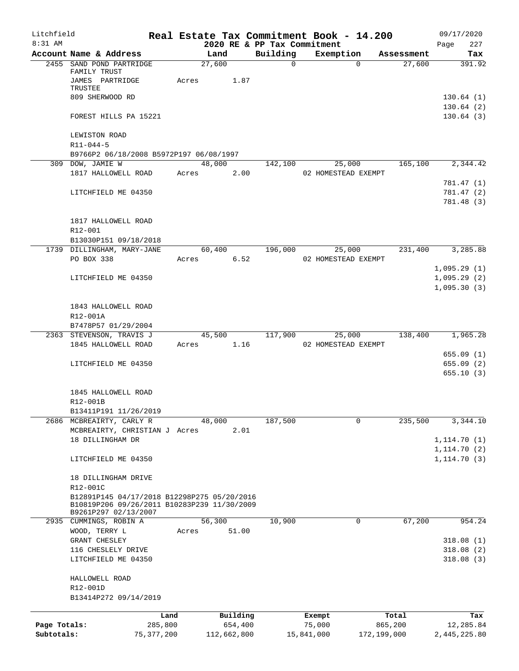| Litchfield   |                                                                                            |              |                      |             |                             |            | Real Estate Tax Commitment Book - 14.200 |                                                  | 09/17/2020             |
|--------------|--------------------------------------------------------------------------------------------|--------------|----------------------|-------------|-----------------------------|------------|------------------------------------------|--------------------------------------------------|------------------------|
| $8:31$ AM    |                                                                                            |              |                      |             | 2020 RE & PP Tax Commitment |            |                                          |                                                  | Page<br>227            |
|              | Account Name & Address                                                                     |              | Land                 |             | Building                    |            | Exemption                                | Assessment                                       | Tax                    |
|              | 2455 SAND POND PARTRIDGE<br>FAMILY TRUST<br>JAMES PARTRIDGE<br>TRUSTEE                     |              | 27,600<br>Acres 1.87 |             |                             | $\Omega$   | $\Omega$                                 | 27,600                                           | 391.92                 |
|              | 809 SHERWOOD RD                                                                            |              |                      |             |                             |            |                                          |                                                  | 130.64(1)<br>130.64(2) |
|              | FOREST HILLS PA 15221                                                                      |              |                      |             |                             |            |                                          |                                                  | 130.64(3)              |
|              | LEWISTON ROAD<br>R11-044-5                                                                 |              |                      |             |                             |            |                                          |                                                  |                        |
|              | B9766P2 06/18/2008 B5972P197 06/08/1997                                                    |              |                      |             |                             |            |                                          |                                                  |                        |
|              | 309 DOW, JAMIE W                                                                           |              |                      | 48,000      |                             | 142,100    | 25,000                                   | 165,100                                          | 2,344.42               |
|              | 1817 HALLOWELL ROAD                                                                        |              | Acres 2.00           |             |                             |            | 02 HOMESTEAD EXEMPT                      |                                                  |                        |
|              |                                                                                            |              |                      |             |                             |            |                                          |                                                  | 781.47 (1)             |
|              | LITCHFIELD ME 04350                                                                        |              |                      |             |                             |            |                                          |                                                  | 781.47 (2)             |
|              |                                                                                            |              |                      |             |                             |            |                                          |                                                  | 781.48 (3)             |
|              | 1817 HALLOWELL ROAD<br>$R12 - 001$                                                         |              |                      |             |                             |            |                                          |                                                  |                        |
|              | B13030P151 09/18/2018                                                                      |              |                      |             |                             |            |                                          |                                                  |                        |
|              | 1739 DILLINGHAM, MARY-JANE                                                                 |              |                      |             |                             |            | 60,400 196,000 25,000                    |                                                  | 231,400 3,285.88       |
|              | PO BOX 338                                                                                 |              | Acres 6.52           |             |                             |            | 02 HOMESTEAD EXEMPT                      |                                                  |                        |
|              |                                                                                            |              |                      |             |                             |            |                                          |                                                  | 1,095.29(1)            |
|              | LITCHFIELD ME 04350                                                                        |              |                      |             |                             |            |                                          |                                                  | 1,095.29(2)            |
|              |                                                                                            |              |                      |             |                             |            |                                          |                                                  | 1,095.30(3)            |
|              | 1843 HALLOWELL ROAD                                                                        |              |                      |             |                             |            |                                          |                                                  |                        |
|              | R12-001A                                                                                   |              |                      |             |                             |            |                                          |                                                  |                        |
|              | B7478P57 01/29/2004                                                                        |              |                      |             |                             |            |                                          |                                                  |                        |
|              | 2363 STEVENSON, TRAVIS J                                                                   |              |                      |             |                             |            |                                          | $45,500$ $117,900$ $25,000$ $138,400$ $1,965.28$ |                        |
|              | 1845 HALLOWELL ROAD                                                                        |              | Acres 1.16           |             |                             |            | 02 HOMESTEAD EXEMPT                      |                                                  |                        |
|              |                                                                                            |              |                      |             |                             |            |                                          |                                                  | 655.09(1)              |
|              | LITCHFIELD ME 04350                                                                        |              |                      |             |                             |            |                                          |                                                  | 655.09(2)              |
|              |                                                                                            |              |                      |             |                             |            |                                          |                                                  | 655.10(3)              |
|              | 1845 HALLOWELL ROAD                                                                        |              |                      |             |                             |            |                                          |                                                  |                        |
|              | R12-001B                                                                                   |              |                      |             |                             |            |                                          |                                                  |                        |
|              | B13411P191 11/26/2019                                                                      |              |                      |             |                             |            |                                          |                                                  |                        |
|              | 2686 MCBREAIRTY, CARLY R                                                                   |              | 48,000               |             | 187,500                     |            | 0                                        | 235,500                                          | 3,344.10               |
|              | MCBREAIRTY, CHRISTIAN J Acres                                                              |              |                      | 2.01        |                             |            |                                          |                                                  |                        |
|              | 18 DILLINGHAM DR                                                                           |              |                      |             |                             |            |                                          |                                                  | 1, 114.70(1)           |
|              |                                                                                            |              |                      |             |                             |            |                                          |                                                  | 1, 114.70(2)           |
|              | LITCHFIELD ME 04350                                                                        |              |                      |             |                             |            |                                          |                                                  | 1, 114.70(3)           |
|              | 18 DILLINGHAM DRIVE<br>R12-001C                                                            |              |                      |             |                             |            |                                          |                                                  |                        |
|              | B12891P145 04/17/2018 B12298P275 05/20/2016<br>B10819P206 09/26/2011 B10283P239 11/30/2009 |              |                      |             |                             |            |                                          |                                                  |                        |
|              | B9261P297 02/13/2007<br>2935 CUMMINGS, ROBIN A                                             |              | 56,300               |             | 10,900                      |            | $\mathbf 0$                              | 67,200                                           | 954.24                 |
|              | WOOD, TERRY L                                                                              |              | Acres                | 51.00       |                             |            |                                          |                                                  |                        |
|              | GRANT CHESLEY                                                                              |              |                      |             |                             |            |                                          |                                                  | 318.08(1)              |
|              | 116 CHESLELY DRIVE                                                                         |              |                      |             |                             |            |                                          |                                                  | 318.08(2)              |
|              | LITCHFIELD ME 04350                                                                        |              |                      |             |                             |            |                                          |                                                  | 318.08(3)              |
|              | HALLOWELL ROAD                                                                             |              |                      |             |                             |            |                                          |                                                  |                        |
|              | R12-001D                                                                                   |              |                      |             |                             |            |                                          |                                                  |                        |
|              | B13414P272 09/14/2019                                                                      |              |                      |             |                             |            |                                          |                                                  |                        |
|              |                                                                                            | Land         |                      | Building    |                             |            | Exempt                                   | Total                                            | Tax                    |
| Page Totals: |                                                                                            | 285,800      |                      | 654,400     |                             |            | 75,000                                   | 865,200                                          | 12,285.84              |
| Subtotals:   |                                                                                            | 75, 377, 200 |                      | 112,662,800 |                             | 15,841,000 |                                          | 172,199,000                                      | 2,445,225.80           |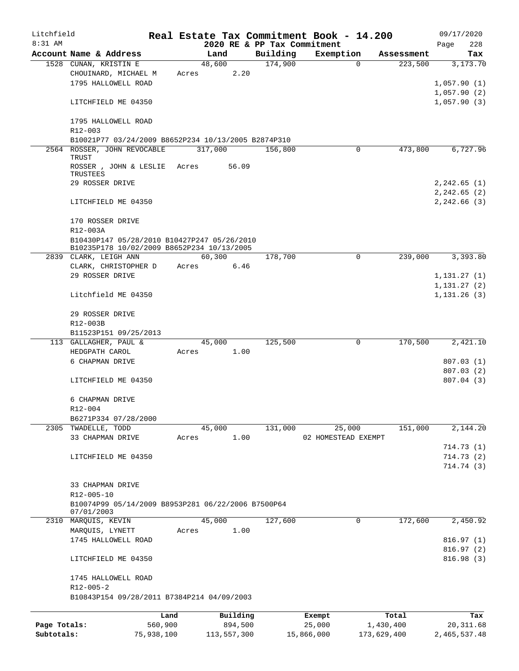| Litchfield   |                                                     |            |       |             |          |                             | Real Estate Tax Commitment Book - 14.200 |                        | 09/17/2020   |
|--------------|-----------------------------------------------------|------------|-------|-------------|----------|-----------------------------|------------------------------------------|------------------------|--------------|
| 8:31 AM      |                                                     |            |       |             |          | 2020 RE & PP Tax Commitment |                                          |                        | 228<br>Page  |
|              | Account Name & Address                              |            |       | Land        |          | Building                    | Exemption                                | Assessment             | Tax          |
|              | 1528 CUNAN, KRISTIN E                               |            |       | 48,600      |          | 174,900                     |                                          | 223,500<br>$\Omega$    | 3,173.70     |
|              | CHOUINARD, MICHAEL M                                |            | Acres |             | 2.20     |                             |                                          |                        |              |
|              | 1795 HALLOWELL ROAD                                 |            |       |             |          |                             |                                          |                        | 1,057.90(1)  |
|              |                                                     |            |       |             |          |                             |                                          |                        | 1,057.90(2)  |
|              | LITCHFIELD ME 04350                                 |            |       |             |          |                             |                                          |                        | 1,057.90(3)  |
|              | 1795 HALLOWELL ROAD<br>R12-003                      |            |       |             |          |                             |                                          |                        |              |
|              | B10021P77 03/24/2009 B8652P234 10/13/2005 B2874P310 |            |       |             |          |                             |                                          |                        |              |
|              | 2564 ROSSER, JOHN REVOCABLE                         |            |       | 317,000     |          | 156,800                     |                                          | 473,800<br>0           | 6,727.96     |
|              | TRUST                                               |            |       |             |          |                             |                                          |                        |              |
|              | ROSSER, JOHN & LESLIE Acres                         |            |       |             | 56.09    |                             |                                          |                        |              |
|              | TRUSTEES                                            |            |       |             |          |                             |                                          |                        |              |
|              | 29 ROSSER DRIVE                                     |            |       |             |          |                             |                                          |                        | 2, 242.65(1) |
|              |                                                     |            |       |             |          |                             |                                          |                        | 2,242.65 (2) |
|              | LITCHFIELD ME 04350                                 |            |       |             |          |                             |                                          |                        | 2, 242.66(3) |
|              | 170 ROSSER DRIVE                                    |            |       |             |          |                             |                                          |                        |              |
|              | R12-003A                                            |            |       |             |          |                             |                                          |                        |              |
|              | B10430P147 05/28/2010 B10427P247 05/26/2010         |            |       |             |          |                             |                                          |                        |              |
|              | B10235P178 10/02/2009 B8652P234 10/13/2005          |            |       |             |          |                             |                                          |                        |              |
|              | 2839 CLARK, LEIGH ANN                               |            |       | 60,300      |          | 178,700                     |                                          | $\mathbf 0$<br>239,000 | 3,393.80     |
|              | CLARK, CHRISTOPHER D                                |            | Acres |             | 6.46     |                             |                                          |                        |              |
|              | 29 ROSSER DRIVE                                     |            |       |             |          |                             |                                          |                        | 1,131.27(1)  |
|              |                                                     |            |       |             |          |                             |                                          |                        | 1,131.27(2)  |
|              | Litchfield ME 04350                                 |            |       |             |          |                             |                                          |                        | 1,131.26(3)  |
|              | 29 ROSSER DRIVE                                     |            |       |             |          |                             |                                          |                        |              |
|              | R12-003B                                            |            |       |             |          |                             |                                          |                        |              |
|              | B11523P151 09/25/2013                               |            |       |             |          |                             |                                          |                        |              |
|              | 113 GALLAGHER, PAUL &                               |            |       | 45,000      |          | 125,500                     |                                          | 170,500<br>0           | 2,421.10     |
|              | HEDGPATH CAROL                                      |            | Acres |             | 1.00     |                             |                                          |                        |              |
|              | 6 CHAPMAN DRIVE                                     |            |       |             |          |                             |                                          |                        | 807.03(1)    |
|              |                                                     |            |       |             |          |                             |                                          |                        | 807.03 (2)   |
|              | LITCHFIELD ME 04350                                 |            |       |             |          |                             |                                          |                        | 807.04(3)    |
|              | 6 CHAPMAN DRIVE                                     |            |       |             |          |                             |                                          |                        |              |
|              |                                                     |            |       |             |          |                             |                                          |                        |              |
|              | R12-004                                             |            |       |             |          |                             |                                          |                        |              |
|              | B6271P334 07/28/2000                                |            |       |             |          |                             |                                          |                        |              |
|              | 2305 TWADELLE, TODD                                 |            |       | 45,000      |          | 131,000                     | 25,000                                   | 151,000                | 2,144.20     |
|              | 33 CHAPMAN DRIVE                                    |            | Acres |             | 1.00     |                             | 02 HOMESTEAD EXEMPT                      |                        |              |
|              |                                                     |            |       |             |          |                             |                                          |                        | 714.73 (1)   |
|              | LITCHFIELD ME 04350                                 |            |       |             |          |                             |                                          |                        | 714.73(2)    |
|              |                                                     |            |       |             |          |                             |                                          |                        | 714.74 (3)   |
|              |                                                     |            |       |             |          |                             |                                          |                        |              |
|              | 33 CHAPMAN DRIVE                                    |            |       |             |          |                             |                                          |                        |              |
|              | R12-005-10                                          |            |       |             |          |                             |                                          |                        |              |
|              | B10074P99 05/14/2009 B8953P281 06/22/2006 B7500P64  |            |       |             |          |                             |                                          |                        |              |
|              | 07/01/2003                                          |            |       |             |          |                             |                                          |                        |              |
| 2310         | MARQUIS, KEVIN                                      |            |       | 45,000      |          | 127,600                     |                                          | 172,600<br>0           | 2,450.92     |
|              | MARQUIS, LYNETT                                     |            | Acres |             | 1.00     |                             |                                          |                        |              |
|              | 1745 HALLOWELL ROAD                                 |            |       |             |          |                             |                                          |                        | 816.97(1)    |
|              |                                                     |            |       |             |          |                             |                                          |                        | 816.97(2)    |
|              | LITCHFIELD ME 04350                                 |            |       |             |          |                             |                                          |                        | 816.98(3)    |
|              | 1745 HALLOWELL ROAD                                 |            |       |             |          |                             |                                          |                        |              |
|              | $R12 - 005 - 2$                                     |            |       |             |          |                             |                                          |                        |              |
|              | B10843P154 09/28/2011 B7384P214 04/09/2003          |            |       |             |          |                             |                                          |                        |              |
|              |                                                     | Land       |       |             | Building |                             | Exempt                                   | Total                  | Tax          |
| Page Totals: |                                                     | 560,900    |       |             | 894,500  |                             | 25,000                                   | 1,430,400              | 20, 311.68   |
| Subtotals:   |                                                     | 75,938,100 |       | 113,557,300 |          |                             | 15,866,000                               | 173,629,400            | 2,465,537.48 |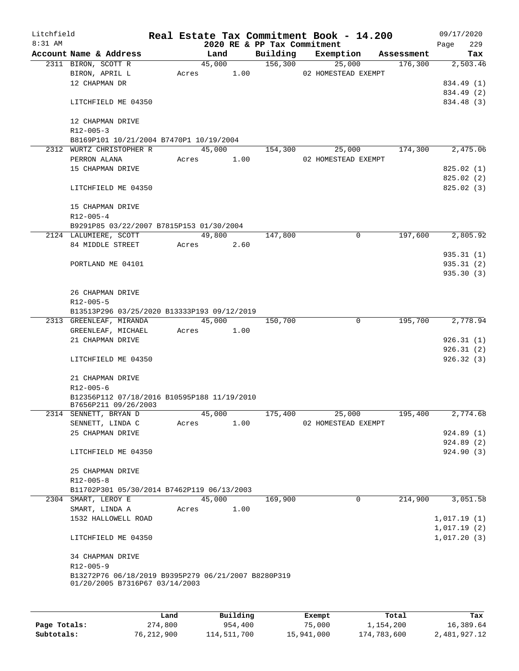| Litchfield |                                                                                       |       |        |      |                             | Real Estate Tax Commitment Book - 14.200 |            | 09/17/2020                 |          |
|------------|---------------------------------------------------------------------------------------|-------|--------|------|-----------------------------|------------------------------------------|------------|----------------------------|----------|
| $8:31$ AM  |                                                                                       |       |        |      | 2020 RE & PP Tax Commitment |                                          |            | Page                       | 229      |
|            | Account Name & Address                                                                |       | Land   |      | Building                    | Exemption                                | Assessment |                            | Tax      |
|            | 2311 BIRON, SCOTT R                                                                   |       | 45,000 |      | 156,300                     | 25,000                                   | 176,300    |                            | 2,503.46 |
|            | BIRON, APRIL L                                                                        | Acres |        | 1.00 |                             | 02 HOMESTEAD EXEMPT                      |            |                            |          |
|            | 12 CHAPMAN DR                                                                         |       |        |      |                             |                                          |            | 834.49 (1)                 |          |
|            |                                                                                       |       |        |      |                             |                                          |            | 834.49 (2)                 |          |
|            | LITCHFIELD ME 04350                                                                   |       |        |      |                             |                                          |            | 834.48 (3)                 |          |
|            |                                                                                       |       |        |      |                             |                                          |            |                            |          |
|            | 12 CHAPMAN DRIVE                                                                      |       |        |      |                             |                                          |            |                            |          |
|            | $R12 - 005 - 3$                                                                       |       |        |      |                             |                                          |            |                            |          |
|            | B8169P101 10/21/2004 B7470P1 10/19/2004                                               |       | 45,000 |      | 154,300                     |                                          | 174,300    |                            | 2,475.06 |
|            | 2312 WURTZ CHRISTOPHER R<br>PERRON ALANA                                              | Acres |        |      |                             | 25,000                                   |            |                            |          |
|            |                                                                                       |       |        | 1.00 |                             | 02 HOMESTEAD EXEMPT                      |            |                            |          |
|            | 15 CHAPMAN DRIVE                                                                      |       |        |      |                             |                                          |            | 825.02(1)                  |          |
|            |                                                                                       |       |        |      |                             |                                          |            | 825.02(2)                  |          |
|            | LITCHFIELD ME 04350                                                                   |       |        |      |                             |                                          |            | 825.02 (3)                 |          |
|            |                                                                                       |       |        |      |                             |                                          |            |                            |          |
|            | 15 CHAPMAN DRIVE                                                                      |       |        |      |                             |                                          |            |                            |          |
|            | $R12 - 005 - 4$                                                                       |       |        |      |                             |                                          |            |                            |          |
|            | B9291P85 03/22/2007 B7815P153 01/30/2004                                              |       |        |      |                             |                                          |            |                            |          |
|            | 2124 LALUMIERE, SCOTT                                                                 |       | 49,800 |      | 147,800                     | 0                                        | 197,600    |                            | 2,805.92 |
|            | 84 MIDDLE STREET                                                                      | Acres |        | 2.60 |                             |                                          |            |                            |          |
|            |                                                                                       |       |        |      |                             |                                          |            | 935.31(1)                  |          |
|            | PORTLAND ME 04101                                                                     |       |        |      |                             |                                          |            | 935.31(2)                  |          |
|            |                                                                                       |       |        |      |                             |                                          |            | 935.30(3)                  |          |
|            |                                                                                       |       |        |      |                             |                                          |            |                            |          |
|            | 26 CHAPMAN DRIVE                                                                      |       |        |      |                             |                                          |            |                            |          |
|            | $R12 - 005 - 5$                                                                       |       |        |      |                             |                                          |            |                            |          |
|            | B13513P296 03/25/2020 B13333P193 09/12/2019                                           |       |        |      |                             |                                          |            |                            |          |
|            | 2313 GREENLEAF, MIRANDA                                                               |       | 45,000 |      | 150,700                     | 0                                        | 195,700    |                            | 2,778.94 |
|            | GREENLEAF, MICHAEL                                                                    | Acres |        | 1.00 |                             |                                          |            |                            |          |
|            | 21 CHAPMAN DRIVE                                                                      |       |        |      |                             |                                          |            | 926.31(1)                  |          |
|            |                                                                                       |       |        |      |                             |                                          |            | 926.31(2)                  |          |
|            | LITCHFIELD ME 04350                                                                   |       |        |      |                             |                                          |            | 926.32(3)                  |          |
|            |                                                                                       |       |        |      |                             |                                          |            |                            |          |
|            | 21 CHAPMAN DRIVE                                                                      |       |        |      |                             |                                          |            |                            |          |
|            | R12-005-6                                                                             |       |        |      |                             |                                          |            |                            |          |
|            | B12356P112 07/18/2016 B10595P188 11/19/2010<br>B7656P211 09/26/2003                   |       |        |      |                             |                                          |            |                            |          |
|            | 2314 SENNETT, BRYAN D                                                                 |       | 45,000 |      | 175,400                     | 25,000                                   | 195,400    |                            | 2,774.68 |
|            | SENNETT, LINDA C                                                                      | Acres |        | 1.00 |                             | 02 HOMESTEAD EXEMPT                      |            |                            |          |
|            | 25 CHAPMAN DRIVE                                                                      |       |        |      |                             |                                          |            | 924.89(1)                  |          |
|            |                                                                                       |       |        |      |                             |                                          |            | 924.89 (2)                 |          |
|            | LITCHFIELD ME 04350                                                                   |       |        |      |                             |                                          |            | 924.90 (3)                 |          |
|            |                                                                                       |       |        |      |                             |                                          |            |                            |          |
|            | 25 CHAPMAN DRIVE                                                                      |       |        |      |                             |                                          |            |                            |          |
|            | $R12 - 005 - 8$                                                                       |       |        |      |                             |                                          |            |                            |          |
|            | B11702P301 05/30/2014 B7462P119 06/13/2003                                            |       |        |      |                             |                                          |            |                            |          |
|            | 2304 SMART, LEROY E                                                                   |       | 45,000 |      | 169,900                     | $\mathbf 0$                              | 214,900    |                            | 3,051.58 |
|            | SMART, LINDA A                                                                        | Acres |        | 1.00 |                             |                                          |            |                            |          |
|            | 1532 HALLOWELL ROAD                                                                   |       |        |      |                             |                                          |            |                            |          |
|            |                                                                                       |       |        |      |                             |                                          |            | 1,017.19(1)<br>1,017.19(2) |          |
|            | LITCHFIELD ME 04350                                                                   |       |        |      |                             |                                          |            | 1,017.20(3)                |          |
|            |                                                                                       |       |        |      |                             |                                          |            |                            |          |
|            |                                                                                       |       |        |      |                             |                                          |            |                            |          |
|            | 34 CHAPMAN DRIVE<br>R12-005-9                                                         |       |        |      |                             |                                          |            |                            |          |
|            |                                                                                       |       |        |      |                             |                                          |            |                            |          |
|            | B13272P76 06/18/2019 B9395P279 06/21/2007 B8280P319<br>01/20/2005 B7316P67 03/14/2003 |       |        |      |                             |                                          |            |                            |          |
|            |                                                                                       |       |        |      |                             |                                          |            |                            |          |
|            |                                                                                       |       |        |      |                             |                                          |            |                            |          |
|            |                                                                                       |       |        |      |                             |                                          |            |                            |          |

|              | Land       | Building    | Exempt     | Total       | Tax          |
|--------------|------------|-------------|------------|-------------|--------------|
| Page Totals: | 274,800    | 954,400     | 75,000     | 1,154,200   | 16,389.64    |
| Subtotals:   | 76,212,900 | 114,511,700 | 15,941,000 | 174,783,600 | 2,481,927.12 |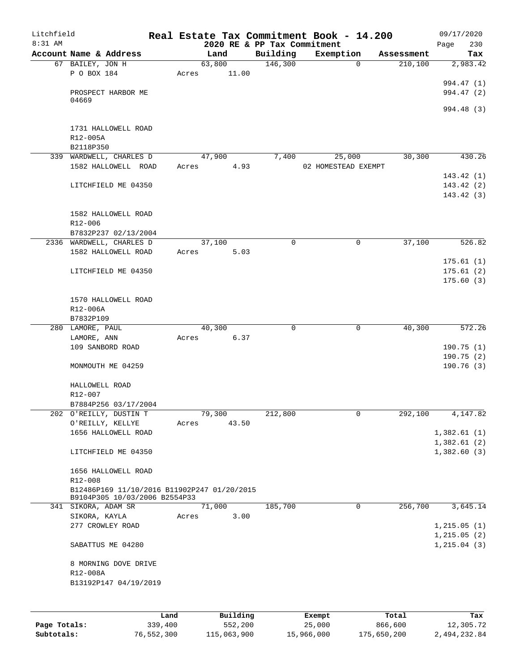| Litchfield<br>$8:31$ AM |                                             |      |       |        |          | Real Estate Tax Commitment Book - 14.200<br>2020 RE & PP Tax Commitment |        |                     |            | 09/17/2020<br>230            |
|-------------------------|---------------------------------------------|------|-------|--------|----------|-------------------------------------------------------------------------|--------|---------------------|------------|------------------------------|
|                         | Account Name & Address                      |      |       | Land   |          | Building                                                                |        | Exemption           | Assessment | Page<br>Tax                  |
|                         | 67 BAILEY, JON H                            |      |       | 63,800 |          | 146,300                                                                 |        | $\Omega$            | 210,100    | 2,983.42                     |
|                         | P O BOX 184                                 |      | Acres |        | 11.00    |                                                                         |        |                     |            |                              |
|                         |                                             |      |       |        |          |                                                                         |        |                     |            | 994.47 (1)                   |
|                         | PROSPECT HARBOR ME                          |      |       |        |          |                                                                         |        |                     |            | 994.47 (2)                   |
|                         | 04669                                       |      |       |        |          |                                                                         |        |                     |            |                              |
|                         |                                             |      |       |        |          |                                                                         |        |                     |            | 994.48 (3)                   |
|                         | 1731 HALLOWELL ROAD                         |      |       |        |          |                                                                         |        |                     |            |                              |
|                         | R12-005A                                    |      |       |        |          |                                                                         |        |                     |            |                              |
|                         | B2118P350                                   |      |       |        |          |                                                                         |        |                     |            |                              |
|                         | 339 WARDWELL, CHARLES D                     |      |       | 47,900 |          | 7,400                                                                   |        | 25,000              | 30,300     | 430.26                       |
|                         | 1582 HALLOWELL ROAD                         |      | Acres |        | 4.93     |                                                                         |        | 02 HOMESTEAD EXEMPT |            |                              |
|                         |                                             |      |       |        |          |                                                                         |        |                     |            | 143.42(1)                    |
|                         | LITCHFIELD ME 04350                         |      |       |        |          |                                                                         |        |                     |            | 143.42(2)                    |
|                         |                                             |      |       |        |          |                                                                         |        |                     |            | 143.42(3)                    |
|                         | 1582 HALLOWELL ROAD                         |      |       |        |          |                                                                         |        |                     |            |                              |
|                         | R12-006                                     |      |       |        |          |                                                                         |        |                     |            |                              |
|                         | B7832P237 02/13/2004                        |      |       |        |          |                                                                         |        |                     |            |                              |
|                         | 2336 WARDWELL, CHARLES D                    |      |       | 37,100 |          | $\mathbf 0$                                                             |        | 0                   | 37,100     | 526.82                       |
|                         | 1582 HALLOWELL ROAD                         |      | Acres |        | 5.03     |                                                                         |        |                     |            |                              |
|                         |                                             |      |       |        |          |                                                                         |        |                     |            | 175.61(1)                    |
|                         | LITCHFIELD ME 04350                         |      |       |        |          |                                                                         |        |                     |            | 175.61(2)                    |
|                         |                                             |      |       |        |          |                                                                         |        |                     |            | 175.60(3)                    |
|                         |                                             |      |       |        |          |                                                                         |        |                     |            |                              |
|                         | 1570 HALLOWELL ROAD<br>R12-006A             |      |       |        |          |                                                                         |        |                     |            |                              |
|                         | B7832P109                                   |      |       |        |          |                                                                         |        |                     |            |                              |
|                         | 280 LAMORE, PAUL                            |      |       | 40,300 |          | 0                                                                       |        | $\mathbf 0$         | 40,300     | 572.26                       |
|                         | LAMORE, ANN                                 |      | Acres |        | 6.37     |                                                                         |        |                     |            |                              |
|                         | 109 SANBORD ROAD                            |      |       |        |          |                                                                         |        |                     |            | 190.75 (1)                   |
|                         |                                             |      |       |        |          |                                                                         |        |                     |            | 190.75 (2)                   |
|                         | MONMOUTH ME 04259                           |      |       |        |          |                                                                         |        |                     |            | 190.76(3)                    |
|                         |                                             |      |       |        |          |                                                                         |        |                     |            |                              |
|                         | HALLOWELL ROAD<br>R12-007                   |      |       |        |          |                                                                         |        |                     |            |                              |
|                         | B7884P256 03/17/2004                        |      |       |        |          |                                                                         |        |                     |            |                              |
|                         | 202 O'REILLY, DUSTIN T                      |      |       | 79,300 |          | 212,800                                                                 |        | 0                   | 292,100    | 4,147.82                     |
|                         | O'REILLY, KELLYE                            |      | Acres |        | 43.50    |                                                                         |        |                     |            |                              |
|                         | 1656 HALLOWELL ROAD                         |      |       |        |          |                                                                         |        |                     |            | 1,382.61(1)                  |
|                         |                                             |      |       |        |          |                                                                         |        |                     |            | 1,382.61(2)                  |
|                         | LITCHFIELD ME 04350                         |      |       |        |          |                                                                         |        |                     |            | 1,382.60(3)                  |
|                         |                                             |      |       |        |          |                                                                         |        |                     |            |                              |
|                         | 1656 HALLOWELL ROAD<br>R12-008              |      |       |        |          |                                                                         |        |                     |            |                              |
|                         | B12486P169 11/10/2016 B11902P247 01/20/2015 |      |       |        |          |                                                                         |        |                     |            |                              |
|                         | B9104P305 10/03/2006 B2554P33               |      |       |        |          |                                                                         |        |                     |            |                              |
|                         | 341 SIKORA, ADAM SR                         |      |       | 71,000 |          | 185,700                                                                 |        | 0                   | 256,700    | 3,645.14                     |
|                         | SIKORA, KAYLA                               |      | Acres |        | 3.00     |                                                                         |        |                     |            |                              |
|                         | 277 CROWLEY ROAD                            |      |       |        |          |                                                                         |        |                     |            | 1, 215.05(1)                 |
|                         | SABATTUS ME 04280                           |      |       |        |          |                                                                         |        |                     |            | 1, 215.05(2)<br>1, 215.04(3) |
|                         |                                             |      |       |        |          |                                                                         |        |                     |            |                              |
|                         | 8 MORNING DOVE DRIVE                        |      |       |        |          |                                                                         |        |                     |            |                              |
|                         | R12-008A<br>B13192P147 04/19/2019           |      |       |        |          |                                                                         |        |                     |            |                              |
|                         |                                             |      |       |        |          |                                                                         |        |                     |            |                              |
|                         |                                             |      |       |        |          |                                                                         |        |                     |            |                              |
|                         |                                             | Land |       |        | Building |                                                                         | Exempt |                     | Total      | Tax                          |
|                         |                                             |      |       |        |          |                                                                         |        |                     |            |                              |

|              | uanu.      | <b>DULLULLY</b> | LACINUL    | ⊥∪∟a⊥       | ias.         |
|--------------|------------|-----------------|------------|-------------|--------------|
| Page Totals: | 339,400    | 552,200         | 25,000     | 866,600     | 12,305.72    |
| Subtotals:   | 76,552,300 | 115,063,900     | 15,966,000 | 175,650,200 | 2,494,232.84 |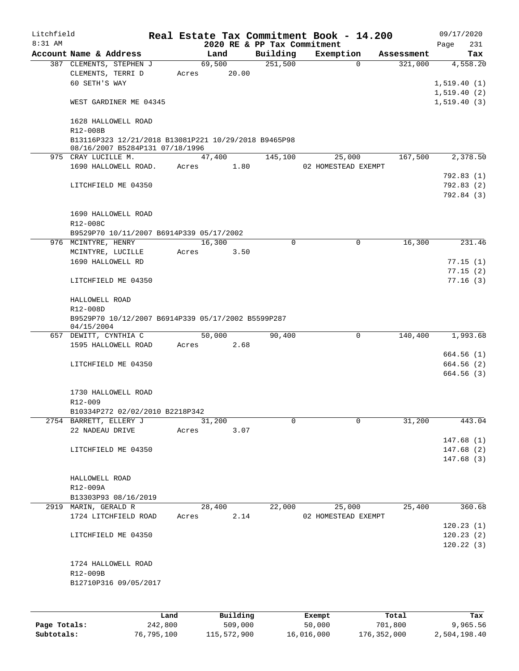| Litchfield |                                                      |       |                 |          |                             | Real Estate Tax Commitment Book - 14.200 |                        | 09/17/2020               |
|------------|------------------------------------------------------|-------|-----------------|----------|-----------------------------|------------------------------------------|------------------------|--------------------------|
| 8:31 AM    |                                                      |       |                 |          | 2020 RE & PP Tax Commitment |                                          |                        | 231<br>Page              |
|            | Account Name & Address                               |       | Land            |          | Building<br>251,500         | Exemption                                | Assessment<br>$\Omega$ | Tax                      |
|            | 387 CLEMENTS, STEPHEN J<br>CLEMENTS, TERRI D         | Acres | 69,500<br>20.00 |          |                             |                                          | 321,000                | 4,558.20                 |
|            | 60 SETH'S WAY                                        |       |                 |          |                             |                                          |                        | 1,519.40(1)              |
|            |                                                      |       |                 |          |                             |                                          |                        | 1,519.40(2)              |
|            | WEST GARDINER ME 04345                               |       |                 |          |                             |                                          |                        | 1,519.40(3)              |
|            |                                                      |       |                 |          |                             |                                          |                        |                          |
|            | 1628 HALLOWELL ROAD                                  |       |                 |          |                             |                                          |                        |                          |
|            | R12-008B                                             |       |                 |          |                             |                                          |                        |                          |
|            | B13116P323 12/21/2018 B13081P221 10/29/2018 B9465P98 |       |                 |          |                             |                                          |                        |                          |
|            | 08/16/2007 B5284P131 07/18/1996                      |       |                 |          |                             |                                          |                        |                          |
|            | 975 CRAY LUCILLE M.                                  |       | 47,400          |          | 145,100                     | 25,000                                   | 167,500                | 2,378.50                 |
|            | 1690 HALLOWELL ROAD.                                 |       | Acres 1.80      |          |                             | 02 HOMESTEAD EXEMPT                      |                        |                          |
|            |                                                      |       |                 |          |                             |                                          |                        | 792.83(1)                |
|            | LITCHFIELD ME 04350                                  |       |                 |          |                             |                                          |                        | 792.83(2)                |
|            |                                                      |       |                 |          |                             |                                          |                        | 792.84 (3)               |
|            | 1690 HALLOWELL ROAD                                  |       |                 |          |                             |                                          |                        |                          |
|            | R12-008C                                             |       |                 |          |                             |                                          |                        |                          |
|            | B9529P70 10/11/2007 B6914P339 05/17/2002             |       |                 |          |                             |                                          |                        |                          |
|            | 976 MCINTYRE, HENRY                                  |       | 16,300          |          | $\Omega$                    |                                          | 16,300<br>0            | 231.46                   |
|            | MCINTYRE, LUCILLE                                    |       | Acres           | 3.50     |                             |                                          |                        |                          |
|            | 1690 HALLOWELL RD                                    |       |                 |          |                             |                                          |                        | 77.15(1)                 |
|            |                                                      |       |                 |          |                             |                                          |                        | 77.15(2)                 |
|            | LITCHFIELD ME 04350                                  |       |                 |          |                             |                                          |                        | 77.16(3)                 |
|            |                                                      |       |                 |          |                             |                                          |                        |                          |
|            | HALLOWELL ROAD                                       |       |                 |          |                             |                                          |                        |                          |
|            | R12-008D                                             |       |                 |          |                             |                                          |                        |                          |
|            | B9529P70 10/12/2007 B6914P339 05/17/2002 B5599P287   |       |                 |          |                             |                                          |                        |                          |
|            | 04/15/2004                                           |       |                 |          |                             |                                          |                        |                          |
|            | 657 DEWITT, CYNTHIA C                                |       | 50,000          |          | 90,400                      | $\mathsf{O}$                             | 140,400                | 1,993.68                 |
|            | 1595 HALLOWELL ROAD                                  | Acres | 2.68            |          |                             |                                          |                        |                          |
|            |                                                      |       |                 |          |                             |                                          |                        | 664.56 (1)<br>664.56 (2) |
|            | LITCHFIELD ME 04350                                  |       |                 |          |                             |                                          |                        | 664.56(3)                |
|            |                                                      |       |                 |          |                             |                                          |                        |                          |
|            | 1730 HALLOWELL ROAD                                  |       |                 |          |                             |                                          |                        |                          |
|            | R12-009                                              |       |                 |          |                             |                                          |                        |                          |
|            | B10334P272 02/02/2010 B2218P342                      |       |                 |          |                             |                                          |                        |                          |
|            | 2754 BARRETT, ELLERY J                               |       | 31,200          |          | 0                           |                                          | $\Omega$<br>31,200     | 443.04                   |
|            | 22 NADEAU DRIVE                                      | Acres |                 | 3.07     |                             |                                          |                        |                          |
|            |                                                      |       |                 |          |                             |                                          |                        | 147.68(1)                |
|            | LITCHFIELD ME 04350                                  |       |                 |          |                             |                                          |                        | 147.68(2)                |
|            |                                                      |       |                 |          |                             |                                          |                        | 147.68(3)                |
|            |                                                      |       |                 |          |                             |                                          |                        |                          |
|            | HALLOWELL ROAD                                       |       |                 |          |                             |                                          |                        |                          |
|            | R12-009A                                             |       |                 |          |                             |                                          |                        |                          |
|            | B13303P93 08/16/2019                                 |       |                 |          |                             |                                          |                        |                          |
|            | 2919 MARIN, GERALD R                                 |       | 28,400          |          | 22,000                      | 25,000                                   | 25,400                 | 360.68                   |
|            | 1724 LITCHFIELD ROAD                                 | Acres |                 | 2.14     |                             | 02 HOMESTEAD EXEMPT                      |                        |                          |
|            |                                                      |       |                 |          |                             |                                          |                        | 120.23(1)                |
|            | LITCHFIELD ME 04350                                  |       |                 |          |                             |                                          |                        | 120.23(2)                |
|            |                                                      |       |                 |          |                             |                                          |                        | 120.22(3)                |
|            |                                                      |       |                 |          |                             |                                          |                        |                          |
|            | 1724 HALLOWELL ROAD                                  |       |                 |          |                             |                                          |                        |                          |
|            | R12-009B                                             |       |                 |          |                             |                                          |                        |                          |
|            | B12710P316 09/05/2017                                |       |                 |          |                             |                                          |                        |                          |
|            |                                                      |       |                 |          |                             |                                          |                        |                          |
|            |                                                      |       |                 |          |                             |                                          |                        |                          |
|            |                                                      | Land. |                 | Building |                             | <b>Ryomnt</b>                            | $T0+21$                | Tav                      |

|              | Land       | Building    | Exempt     | Total       | Tax          |
|--------------|------------|-------------|------------|-------------|--------------|
| Page Totals: | 242,800    | 509,000     | 50,000     | 701,800     | 9,965.56     |
| Subtotals:   | 76,795,100 | 115,572,900 | 16,016,000 | 176,352,000 | 2,504,198.40 |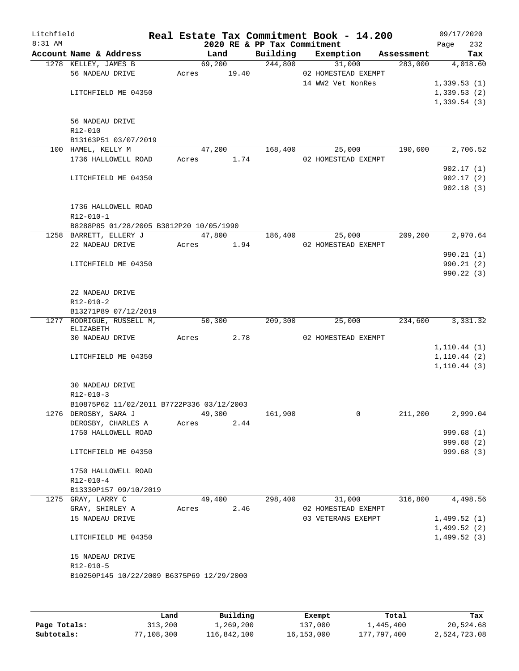| Litchfield<br>8:31 AM |                                           |                 |        |                                         | Real Estate Tax Commitment Book - 14.200 |            | 09/17/2020                   |            |
|-----------------------|-------------------------------------------|-----------------|--------|-----------------------------------------|------------------------------------------|------------|------------------------------|------------|
|                       | Account Name & Address                    | Land            |        | 2020 RE & PP Tax Commitment<br>Building | Exemption                                | Assessment | Page                         | 232<br>Tax |
|                       | 1278 KELLEY, JAMES B                      |                 | 69,200 | 244,800                                 | 31,000                                   | 283,000    |                              | 4,018.60   |
|                       | 56 NADEAU DRIVE                           | Acres           | 19.40  |                                         | 02 HOMESTEAD EXEMPT                      |            |                              |            |
|                       |                                           |                 |        |                                         | 14 WW2 Vet NonRes                        |            | 1,339.53(1)                  |            |
|                       | LITCHFIELD ME 04350                       |                 |        |                                         |                                          |            | 1,339.53(2)                  |            |
|                       |                                           |                 |        |                                         |                                          |            | 1,339.54(3)                  |            |
|                       |                                           |                 |        |                                         |                                          |            |                              |            |
|                       | 56 NADEAU DRIVE                           |                 |        |                                         |                                          |            |                              |            |
|                       | R12-010                                   |                 |        |                                         |                                          |            |                              |            |
|                       | B13163P51 03/07/2019                      |                 |        |                                         |                                          |            |                              |            |
|                       | 100 HAMEL, KELLY M<br>1736 HALLOWELL ROAD | 47,200<br>Acres | 1.74   | 168,400                                 | 25,000<br>02 HOMESTEAD EXEMPT            | 190,600    |                              | 2,706.52   |
|                       |                                           |                 |        |                                         |                                          |            |                              | 902.17(1)  |
|                       | LITCHFIELD ME 04350                       |                 |        |                                         |                                          |            |                              | 902.17(2)  |
|                       |                                           |                 |        |                                         |                                          |            |                              | 902.18(3)  |
|                       |                                           |                 |        |                                         |                                          |            |                              |            |
|                       | 1736 HALLOWELL ROAD                       |                 |        |                                         |                                          |            |                              |            |
|                       | $R12 - 010 - 1$                           |                 |        |                                         |                                          |            |                              |            |
|                       | B8288P85 01/28/2005 B3812P20 10/05/1990   |                 |        |                                         |                                          |            |                              |            |
|                       | 1258 BARRETT, ELLERY J                    |                 | 47,800 | 186,400                                 | 25,000                                   | 209,200    |                              | 2,970.64   |
|                       | 22 NADEAU DRIVE                           | Acres           | 1.94   |                                         | 02 HOMESTEAD EXEMPT                      |            |                              |            |
|                       |                                           |                 |        |                                         |                                          |            |                              | 990.21 (1) |
|                       | LITCHFIELD ME 04350                       |                 |        |                                         |                                          |            |                              | 990.21(2)  |
|                       |                                           |                 |        |                                         |                                          |            |                              | 990.22(3)  |
|                       | 22 NADEAU DRIVE                           |                 |        |                                         |                                          |            |                              |            |
|                       | $R12 - 010 - 2$                           |                 |        |                                         |                                          |            |                              |            |
|                       | B13271P89 07/12/2019                      |                 |        |                                         |                                          |            |                              |            |
|                       | 1277 RODRIGUE, RUSSELL M,                 | 50,300          |        | 209,300                                 | 25,000                                   | 234,600    |                              | 3,331.32   |
|                       | ELIZABETH                                 |                 |        |                                         |                                          |            |                              |            |
|                       | 30 NADEAU DRIVE                           | Acres           | 2.78   |                                         | 02 HOMESTEAD EXEMPT                      |            |                              |            |
|                       |                                           |                 |        |                                         |                                          |            | 1, 110.44(1)                 |            |
|                       | LITCHFIELD ME 04350                       |                 |        |                                         |                                          |            | 1, 110.44(2)<br>1, 110.44(3) |            |
|                       |                                           |                 |        |                                         |                                          |            |                              |            |
|                       | 30 NADEAU DRIVE                           |                 |        |                                         |                                          |            |                              |            |
|                       | $R12 - 010 - 3$                           |                 |        |                                         |                                          |            |                              |            |
|                       | B10875P62 11/02/2011 B7722P336 03/12/2003 |                 |        |                                         |                                          |            |                              |            |
|                       | 1276 DEROSBY, SARA J                      | 49,300          |        | 161,900                                 | 0                                        | 211,200    |                              | 2,999.04   |
|                       | DEROSBY, CHARLES A                        | Acres           | 2.44   |                                         |                                          |            |                              |            |
|                       | 1750 HALLOWELL ROAD                       |                 |        |                                         |                                          |            |                              | 999.68 (1) |
|                       |                                           |                 |        |                                         |                                          |            |                              | 999.68 (2) |
|                       | LITCHFIELD ME 04350                       |                 |        |                                         |                                          |            |                              | 999.68 (3) |
|                       |                                           |                 |        |                                         |                                          |            |                              |            |
|                       | 1750 HALLOWELL ROAD<br>$R12 - 010 - 4$    |                 |        |                                         |                                          |            |                              |            |
|                       | B13330P157 09/10/2019                     |                 |        |                                         |                                          |            |                              |            |
|                       | 1275 GRAY, LARRY C                        | 49,400          |        | 298,400                                 | 31,000                                   | 316,800    |                              | 4,498.56   |
|                       | GRAY, SHIRLEY A                           | Acres           | 2.46   |                                         | 02 HOMESTEAD EXEMPT                      |            |                              |            |
|                       | 15 NADEAU DRIVE                           |                 |        |                                         | 03 VETERANS EXEMPT                       |            | 1,499.52(1)                  |            |
|                       |                                           |                 |        |                                         |                                          |            | 1,499.52(2)                  |            |
|                       | LITCHFIELD ME 04350                       |                 |        |                                         |                                          |            | 1,499.52(3)                  |            |
|                       |                                           |                 |        |                                         |                                          |            |                              |            |
|                       | 15 NADEAU DRIVE                           |                 |        |                                         |                                          |            |                              |            |
|                       | R12-010-5                                 |                 |        |                                         |                                          |            |                              |            |
|                       | B10250P145 10/22/2009 B6375P69 12/29/2000 |                 |        |                                         |                                          |            |                              |            |
|                       |                                           |                 |        |                                         |                                          |            |                              |            |
|                       |                                           |                 |        |                                         |                                          |            |                              |            |

|              | Land       | Building    | Exempt     | Total       | Tax          |
|--------------|------------|-------------|------------|-------------|--------------|
| Page Totals: | 313,200    | 1,269,200   | 137,000    | 1,445,400   | 20,524.68    |
| Subtotals:   | 77,108,300 | 116,842,100 | 16,153,000 | 177,797,400 | 2,524,723.08 |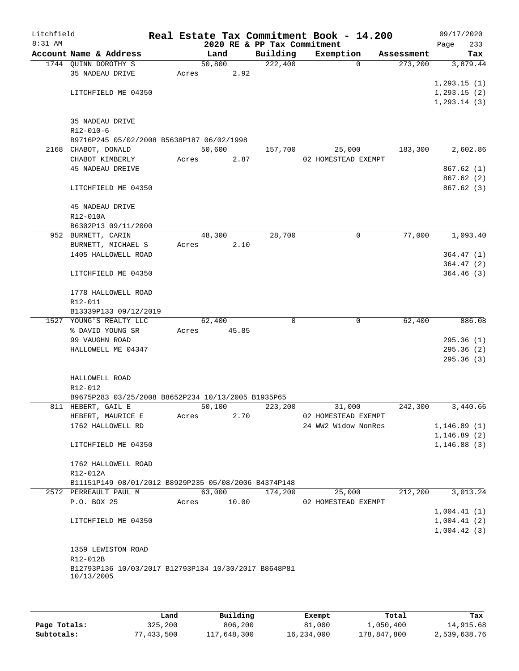| Litchfield<br>$8:31$ AM |                                                      |       |        |       | Real Estate Tax Commitment Book - 14.200 |                     |             |            |              | 09/17/2020   |
|-------------------------|------------------------------------------------------|-------|--------|-------|------------------------------------------|---------------------|-------------|------------|--------------|--------------|
|                         | Account Name & Address                               |       | Land   |       | 2020 RE & PP Tax Commitment<br>Building  | Exemption           |             | Assessment | Page         | 233<br>Tax   |
|                         | 1744 QUINN DOROTHY S                                 |       | 50,800 |       | 222,400                                  |                     | $\Omega$    | 273,200    |              | 3,879.44     |
|                         | 35 NADEAU DRIVE                                      | Acres |        | 2.92  |                                          |                     |             |            |              |              |
|                         |                                                      |       |        |       |                                          |                     |             |            | 1, 293.15(1) |              |
|                         | LITCHFIELD ME 04350                                  |       |        |       |                                          |                     |             |            |              | 1, 293.15(2) |
|                         |                                                      |       |        |       |                                          |                     |             |            | 1, 293.14(3) |              |
|                         |                                                      |       |        |       |                                          |                     |             |            |              |              |
|                         | 35 NADEAU DRIVE                                      |       |        |       |                                          |                     |             |            |              |              |
|                         | $R12 - 010 - 6$                                      |       |        |       |                                          |                     |             |            |              |              |
|                         | B9716P245 05/02/2008 B5638P187 06/02/1998            |       |        |       |                                          |                     |             |            |              |              |
|                         | 2168 CHABOT, DONALD                                  |       | 50,600 |       | 157,700                                  |                     | 25,000      | 183,300    |              | 2,602.86     |
|                         | CHABOT KIMBERLY                                      | Acres |        | 2.87  |                                          | 02 HOMESTEAD EXEMPT |             |            |              |              |
|                         | <b>45 NADEAU DREIVE</b>                              |       |        |       |                                          |                     |             |            |              | 867.62(1)    |
|                         |                                                      |       |        |       |                                          |                     |             |            |              | 867.62 (2)   |
|                         | LITCHFIELD ME 04350                                  |       |        |       |                                          |                     |             |            |              | 867.62(3)    |
|                         | 45 NADEAU DRIVE                                      |       |        |       |                                          |                     |             |            |              |              |
|                         | R12-010A                                             |       |        |       |                                          |                     |             |            |              |              |
|                         | B6302P13 09/11/2000                                  |       |        |       |                                          |                     |             |            |              |              |
|                         | 952 BURNETT, CARIN                                   |       | 48,300 |       | 28,700                                   |                     | 0           | 77,000     |              | 1,093.40     |
|                         | BURNETT, MICHAEL S                                   | Acres |        | 2.10  |                                          |                     |             |            |              |              |
|                         | 1405 HALLOWELL ROAD                                  |       |        |       |                                          |                     |             |            |              | 364.47(1)    |
|                         |                                                      |       |        |       |                                          |                     |             |            |              | 364.47(2)    |
|                         | LITCHFIELD ME 04350                                  |       |        |       |                                          |                     |             |            |              | 364.46(3)    |
|                         | 1778 HALLOWELL ROAD                                  |       |        |       |                                          |                     |             |            |              |              |
|                         | R12-011                                              |       |        |       |                                          |                     |             |            |              |              |
|                         | B13339P133 09/12/2019                                |       |        |       |                                          |                     |             |            |              |              |
|                         | 1527 YOUNG'S REALTY LLC                              |       | 62,400 |       | $\Omega$                                 |                     | $\mathbf 0$ | 62,400     |              | 886.08       |
|                         | % DAVID YOUNG SR                                     | Acres |        | 45.85 |                                          |                     |             |            |              |              |
|                         | 99 VAUGHN ROAD                                       |       |        |       |                                          |                     |             |            |              | 295.36(1)    |
|                         | HALLOWELL ME 04347                                   |       |        |       |                                          |                     |             |            |              | 295.36(2)    |
|                         |                                                      |       |        |       |                                          |                     |             |            |              | 295.36(3)    |
|                         | HALLOWELL ROAD                                       |       |        |       |                                          |                     |             |            |              |              |
|                         | R12-012                                              |       |        |       |                                          |                     |             |            |              |              |
|                         | B9675P283 03/25/2008 B8652P234 10/13/2005 B1935P65   |       |        |       |                                          |                     |             |            |              |              |
|                         | 811 HEBERT, GAIL E                                   |       | 50,100 |       | 223,200                                  |                     | 31,000      | 242,300    |              | 3,440.66     |
|                         | HEBERT, MAURICE E                                    | Acres |        | 2.70  |                                          | 02 HOMESTEAD EXEMPT |             |            |              |              |
|                         | 1762 HALLOWELL RD                                    |       |        |       |                                          | 24 WW2 Widow NonRes |             |            |              | 1,146.89(1)  |
|                         |                                                      |       |        |       |                                          |                     |             |            | 1, 146.89(2) |              |
|                         | LITCHFIELD ME 04350                                  |       |        |       |                                          |                     |             |            | 1, 146.88(3) |              |
|                         | 1762 HALLOWELL ROAD                                  |       |        |       |                                          |                     |             |            |              |              |
|                         | R12-012A                                             |       |        |       |                                          |                     |             |            |              |              |
|                         | B11151P149 08/01/2012 B8929P235 05/08/2006 B4374P148 |       |        |       |                                          |                     |             |            |              |              |
|                         | 2572 PERREAULT PAUL M                                |       | 63,000 |       | 174,200                                  |                     | 25,000      | 212,200    |              | 3,013.24     |
|                         | P.O. BOX 25                                          | Acres |        | 10.00 |                                          | 02 HOMESTEAD EXEMPT |             |            |              |              |
|                         |                                                      |       |        |       |                                          |                     |             |            |              | 1,004.41(1)  |
|                         | LITCHFIELD ME 04350                                  |       |        |       |                                          |                     |             |            |              | 1,004.41(2)  |
|                         |                                                      |       |        |       |                                          |                     |             |            |              | 1,004.42(3)  |
|                         |                                                      |       |        |       |                                          |                     |             |            |              |              |
|                         | 1359 LEWISTON ROAD                                   |       |        |       |                                          |                     |             |            |              |              |
|                         | R12-012B                                             |       |        |       |                                          |                     |             |            |              |              |
|                         | B12793P136 10/03/2017 B12793P134 10/30/2017 B8648P81 |       |        |       |                                          |                     |             |            |              |              |
|                         | 10/13/2005                                           |       |        |       |                                          |                     |             |            |              |              |
|                         |                                                      |       |        |       |                                          |                     |             |            |              |              |
|                         |                                                      |       |        |       |                                          |                     |             |            |              |              |

|              | Land       | Building    | Exempt     | Total       | Tax          |
|--------------|------------|-------------|------------|-------------|--------------|
| Page Totals: | 325,200    | 806,200     | 81,000     | 1,050,400   | 14,915.68    |
| Subtotals:   | 77,433,500 | 117,648,300 | 16,234,000 | 178,847,800 | 2,539,638.76 |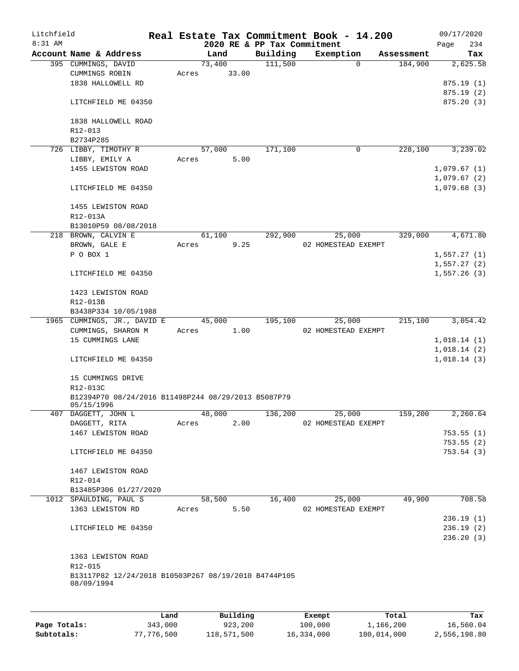| Litchfield |                                                      |       |          |                             | Real Estate Tax Commitment Book - 14.200 |            | 09/17/2020  |
|------------|------------------------------------------------------|-------|----------|-----------------------------|------------------------------------------|------------|-------------|
| $8:31$ AM  |                                                      |       |          | 2020 RE & PP Tax Commitment |                                          |            | 234<br>Page |
|            | Account Name & Address                               |       | Land     | Building                    | Exemption                                | Assessment | Tax         |
|            | 395 CUMMINGS, DAVID                                  |       | 73,400   | 111,500                     | $\Omega$                                 | 184,900    | 2,625.58    |
|            | CUMMINGS ROBIN                                       | Acres | 33.00    |                             |                                          |            |             |
|            | 1838 HALLOWELL RD                                    |       |          |                             |                                          |            | 875.19(1)   |
|            |                                                      |       |          |                             |                                          |            | 875.19(2)   |
|            | LITCHFIELD ME 04350                                  |       |          |                             |                                          |            | 875.20(3)   |
|            |                                                      |       |          |                             |                                          |            |             |
|            | 1838 HALLOWELL ROAD                                  |       |          |                             |                                          |            |             |
|            | $R12 - 013$                                          |       |          |                             |                                          |            |             |
|            | B2734P285                                            |       |          |                             |                                          |            |             |
|            | 726 LIBBY, TIMOTHY R                                 |       | 57,000   | 171,100                     | 0                                        | 228,100    | 3,239.02    |
|            | LIBBY, EMILY A                                       | Acres | 5.00     |                             |                                          |            |             |
|            | 1455 LEWISTON ROAD                                   |       |          |                             |                                          |            | 1,079.67(1) |
|            |                                                      |       |          |                             |                                          |            | 1,079.67(2) |
|            | LITCHFIELD ME 04350                                  |       |          |                             |                                          |            | 1,079.68(3) |
|            |                                                      |       |          |                             |                                          |            |             |
|            | 1455 LEWISTON ROAD                                   |       |          |                             |                                          |            |             |
|            | R12-013A                                             |       |          |                             |                                          |            |             |
|            | B13010P59 08/08/2018                                 |       |          |                             |                                          |            |             |
|            | 218 BROWN, CALVIN E                                  |       | 61,100   | 292,900                     | 25,000                                   | 329,000    | 4,671.80    |
|            | BROWN, GALE E                                        | Acres | 9.25     |                             | 02 HOMESTEAD EXEMPT                      |            |             |
|            | P O BOX 1                                            |       |          |                             |                                          |            | 1,557.27(1) |
|            |                                                      |       |          |                             |                                          |            | 1,557.27(2) |
|            | LITCHFIELD ME 04350                                  |       |          |                             |                                          |            | 1,557.26(3) |
|            |                                                      |       |          |                             |                                          |            |             |
|            | 1423 LEWISTON ROAD                                   |       |          |                             |                                          |            |             |
|            | R12-013B                                             |       |          |                             |                                          |            |             |
|            | B3438P334 10/05/1988                                 |       |          |                             |                                          |            |             |
|            | 1965 CUMMINGS, JR., DAVID E                          |       | 45,000   | 195,100                     | 25,000                                   | 215,100    | 3,054.42    |
|            | CUMMINGS, SHARON M                                   | Acres | 1.00     |                             | 02 HOMESTEAD EXEMPT                      |            |             |
|            | 15 CUMMINGS LANE                                     |       |          |                             |                                          |            | 1,018.14(1) |
|            |                                                      |       |          |                             |                                          |            | 1,018.14(2) |
|            | LITCHFIELD ME 04350                                  |       |          |                             |                                          |            | 1,018.14(3) |
|            |                                                      |       |          |                             |                                          |            |             |
|            | 15 CUMMINGS DRIVE                                    |       |          |                             |                                          |            |             |
|            | R12-013C                                             |       |          |                             |                                          |            |             |
|            | B12394P70 08/24/2016 B11498P244 08/29/2013 B5087P79  |       |          |                             |                                          |            |             |
|            | 05/15/1996                                           |       |          |                             |                                          |            |             |
|            | 407 DAGGETT, JOHN L                                  |       | 48,000   | 136,200                     | 25,000                                   | 159,200    | 2,260.64    |
|            | DAGGETT, RITA                                        | Acres | 2.00     |                             | 02 HOMESTEAD EXEMPT                      |            |             |
|            | 1467 LEWISTON ROAD                                   |       |          |                             |                                          |            | 753.55(1)   |
|            |                                                      |       |          |                             |                                          |            | 753.55(2)   |
|            | LITCHFIELD ME 04350                                  |       |          |                             |                                          |            | 753.54(3)   |
|            |                                                      |       |          |                             |                                          |            |             |
|            | 1467 LEWISTON ROAD                                   |       |          |                             |                                          |            |             |
|            | R12-014                                              |       |          |                             |                                          |            |             |
|            | B13485P306 01/27/2020                                |       |          |                             |                                          |            |             |
|            | 1012 SPAULDING, PAUL S                               |       | 58,500   | 16,400                      | 25,000                                   | 49,900     | 708.58      |
|            | 1363 LEWISTON RD                                     | Acres | 5.50     |                             | 02 HOMESTEAD EXEMPT                      |            |             |
|            |                                                      |       |          |                             |                                          |            | 236.19(1)   |
|            | LITCHFIELD ME 04350                                  |       |          |                             |                                          |            | 236.19(2)   |
|            |                                                      |       |          |                             |                                          |            | 236.20(3)   |
|            |                                                      |       |          |                             |                                          |            |             |
|            | 1363 LEWISTON ROAD                                   |       |          |                             |                                          |            |             |
|            | R12-015                                              |       |          |                             |                                          |            |             |
|            | B13117P82 12/24/2018 B10503P267 08/19/2010 B4744P105 |       |          |                             |                                          |            |             |
|            | 08/09/1994                                           |       |          |                             |                                          |            |             |
|            |                                                      |       |          |                             |                                          |            |             |
|            |                                                      |       |          |                             |                                          |            |             |
|            |                                                      | Land  | Building |                             | Exempt                                   | Total      | Tax         |

|              | Land       | Building    | Exempt     | Total       | Tax          |
|--------------|------------|-------------|------------|-------------|--------------|
| Page Totals: | 343,000    | 923,200     | 100,000    | 1,166,200   | 16,560.04    |
| Subtotals:   | 77,776,500 | 118,571,500 | 16,334,000 | 180,014,000 | 2,556,198.80 |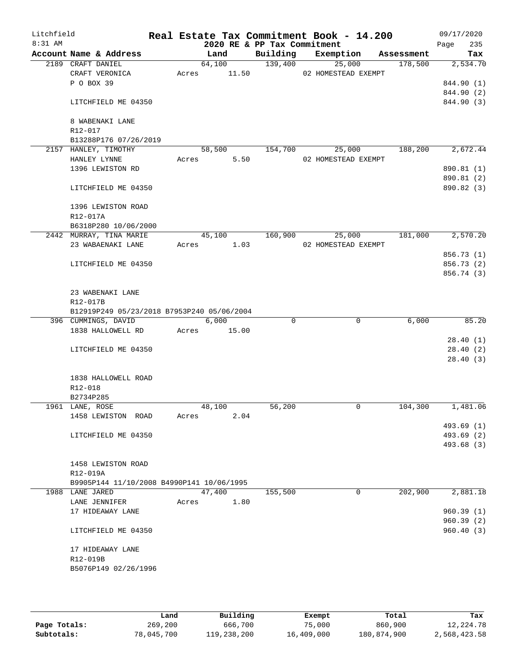| Litchfield |                                                              |       |                |                             | Real Estate Tax Commitment Book - 14.200 |            | 09/17/2020               |
|------------|--------------------------------------------------------------|-------|----------------|-----------------------------|------------------------------------------|------------|--------------------------|
| $8:31$ AM  |                                                              |       |                | 2020 RE & PP Tax Commitment |                                          |            | 235<br>Page              |
|            | Account Name & Address                                       |       | Land           |                             | Building Exemption                       | Assessment | Tax                      |
|            | 2189 CRAFT DANIEL                                            |       | 64,100         | 139,400                     | 25,000                                   | 178,500    | 2,534.70                 |
|            | CRAFT VERONICA<br>P O BOX 39                                 | Acres | 11.50          |                             | 02 HOMESTEAD EXEMPT                      |            |                          |
|            |                                                              |       |                |                             |                                          |            | 844.90 (1)<br>844.90 (2) |
|            | LITCHFIELD ME 04350                                          |       |                |                             |                                          |            | 844.90 (3)               |
|            | 8 WABENAKI LANE                                              |       |                |                             |                                          |            |                          |
|            | R12-017                                                      |       |                |                             |                                          |            |                          |
|            | B13288P176 07/26/2019                                        |       |                |                             |                                          |            |                          |
|            | 2157 HANLEY, TIMOTHY<br>HANLEY LYNNE                         | Acres | 58,500<br>5.50 | 154,700                     | 25,000<br>02 HOMESTEAD EXEMPT            | 188,200    | 2,672.44                 |
|            | 1396 LEWISTON RD                                             |       |                |                             |                                          |            | 890.81 (1)               |
|            |                                                              |       |                |                             |                                          |            | 890.81 (2)               |
|            | LITCHFIELD ME 04350                                          |       |                |                             |                                          |            | 890.82 (3)               |
|            | 1396 LEWISTON ROAD                                           |       |                |                             |                                          |            |                          |
|            | R12-017A                                                     |       |                |                             |                                          |            |                          |
|            | B6318P280 10/06/2000<br>2442 MURRAY, TINA MARIE              |       | 45,100         | 160,900                     | 25,000                                   | 181,000    | 2,570.20                 |
|            | 23 WABAENAKI LANE                                            |       | Acres 1.03     |                             | 02 HOMESTEAD EXEMPT                      |            |                          |
|            |                                                              |       |                |                             |                                          |            | 856.73 (1)               |
|            | LITCHFIELD ME 04350                                          |       |                |                             |                                          |            | 856.73 (2)               |
|            |                                                              |       |                |                             |                                          |            | 856.74 (3)               |
|            | 23 WABENAKI LANE                                             |       |                |                             |                                          |            |                          |
|            | R12-017B                                                     |       |                |                             |                                          |            |                          |
|            | B12919P249 05/23/2018 B7953P240 05/06/2004                   |       |                |                             |                                          |            |                          |
|            | 396 CUMMINGS, DAVID                                          |       | 6,000          | $\Omega$                    | $\mathbf 0$                              | 6,000      | 85.20                    |
|            | 1838 HALLOWELL RD                                            | Acres | 15.00          |                             |                                          |            |                          |
|            |                                                              |       |                |                             |                                          |            | 28.40(1)                 |
|            | LITCHFIELD ME 04350                                          |       |                |                             |                                          |            | 28.40(2)                 |
|            |                                                              |       |                |                             |                                          |            | 28.40(3)                 |
|            | 1838 HALLOWELL ROAD                                          |       |                |                             |                                          |            |                          |
|            | R12-018                                                      |       |                |                             |                                          |            |                          |
|            | B2734P285                                                    |       |                |                             |                                          |            |                          |
|            | 1961 LANE, ROSE                                              |       | 48,100         | 56,200                      | 0                                        | 104,300    | 1,481.06                 |
|            | 1458 LEWISTON ROAD                                           | Acres | 2.04           |                             |                                          |            |                          |
|            |                                                              |       |                |                             |                                          |            | 493.69 (1)               |
|            | LITCHFIELD ME 04350                                          |       |                |                             |                                          |            | 493.69 (2)               |
|            |                                                              |       |                |                             |                                          |            | 493.68 (3)               |
|            |                                                              |       |                |                             |                                          |            |                          |
|            | 1458 LEWISTON ROAD                                           |       |                |                             |                                          |            |                          |
|            | R12-019A                                                     |       |                |                             |                                          |            |                          |
|            | B9905P144 11/10/2008 B4990P141 10/06/1995<br>1988 LANE JARED |       | 47,400         | 155,500                     | $\mathbf 0$                              | 202,900    | 2,881.18                 |
|            | LANE JENNIFER                                                | Acres | 1.80           |                             |                                          |            |                          |
|            | 17 HIDEAWAY LANE                                             |       |                |                             |                                          |            | 960.39(1)                |
|            |                                                              |       |                |                             |                                          |            | 960.39(2)                |
|            | LITCHFIELD ME 04350                                          |       |                |                             |                                          |            | 960.40(3)                |
|            | 17 HIDEAWAY LANE                                             |       |                |                             |                                          |            |                          |
|            | R12-019B                                                     |       |                |                             |                                          |            |                          |
|            | B5076P149 02/26/1996                                         |       |                |                             |                                          |            |                          |
|            |                                                              |       |                |                             |                                          |            |                          |
|            |                                                              |       |                |                             |                                          |            |                          |

|              | Land       | Building    | Exempt     | Total       | Tax          |
|--------------|------------|-------------|------------|-------------|--------------|
| Page Totals: | 269,200    | 666,700     | 75,000     | 860,900     | 12,224.78    |
| Subtotals:   | 78,045,700 | 119,238,200 | 16,409,000 | 180,874,900 | 2,568,423.58 |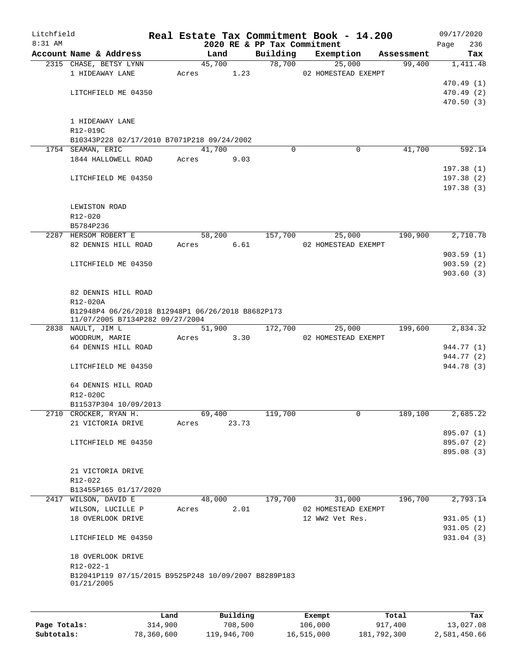| Litchfield |                                                                    |       |        |       |                             | Real Estate Tax Commitment Book - 14.200 |            | 09/17/2020  |
|------------|--------------------------------------------------------------------|-------|--------|-------|-----------------------------|------------------------------------------|------------|-------------|
| 8:31 AM    |                                                                    |       |        |       | 2020 RE & PP Tax Commitment |                                          |            | 236<br>Page |
|            | Account Name & Address                                             |       | Land   |       | Building                    | Exemption                                | Assessment | Tax         |
|            | 2315 CHASE, BETSY LYNN<br>1 HIDEAWAY LANE                          | Acres | 45,700 | 1.23  | 78,700                      | 25,000<br>02 HOMESTEAD EXEMPT            | 99,400     | 1,411.48    |
|            |                                                                    |       |        |       |                             |                                          |            | 470.49(1)   |
|            | LITCHFIELD ME 04350                                                |       |        |       |                             |                                          |            | 470.49 (2)  |
|            |                                                                    |       |        |       |                             |                                          |            | 470.50(3)   |
|            |                                                                    |       |        |       |                             |                                          |            |             |
|            | 1 HIDEAWAY LANE                                                    |       |        |       |                             |                                          |            |             |
|            | R12-019C                                                           |       |        |       |                             |                                          |            |             |
|            | B10343P228 02/17/2010 B7071P218 09/24/2002                         |       |        |       |                             |                                          |            |             |
|            | 1754 SEAMAN, ERIC                                                  |       | 41,700 |       | $\Omega$                    | 0                                        | 41,700     | 592.14      |
|            | 1844 HALLOWELL ROAD                                                | Acres |        | 9.03  |                             |                                          |            |             |
|            |                                                                    |       |        |       |                             |                                          |            | 197.38(1)   |
|            | LITCHFIELD ME 04350                                                |       |        |       |                             |                                          |            | 197.38(2)   |
|            |                                                                    |       |        |       |                             |                                          |            | 197.38(3)   |
|            |                                                                    |       |        |       |                             |                                          |            |             |
|            | LEWISTON ROAD                                                      |       |        |       |                             |                                          |            |             |
|            | $R12 - 020$                                                        |       |        |       |                             |                                          |            |             |
|            | B5784P236                                                          |       |        |       |                             |                                          |            |             |
|            | 2287 HERSOM ROBERT E                                               |       | 58,200 |       | 157,700                     | 25,000                                   | 190,900    | 2,710.78    |
|            | 82 DENNIS HILL ROAD                                                | Acres |        | 6.61  |                             | 02 HOMESTEAD EXEMPT                      |            | 903.59(1)   |
|            | LITCHFIELD ME 04350                                                |       |        |       |                             |                                          |            | 903.59(2)   |
|            |                                                                    |       |        |       |                             |                                          |            | 903.60(3)   |
|            |                                                                    |       |        |       |                             |                                          |            |             |
|            | 82 DENNIS HILL ROAD                                                |       |        |       |                             |                                          |            |             |
|            | R12-020A                                                           |       |        |       |                             |                                          |            |             |
|            | B12948P4 06/26/2018 B12948P1 06/26/2018 B8682P173                  |       |        |       |                             |                                          |            |             |
|            | 11/07/2005 B7134P282 09/27/2004                                    |       |        |       |                             |                                          |            |             |
|            | 2838 NAULT, JIM L                                                  |       | 51,900 |       | 172,700                     | 25,000                                   | 199,600    | 2,834.32    |
|            | WOODRUM, MARIE                                                     | Acres |        | 3.30  |                             | 02 HOMESTEAD EXEMPT                      |            |             |
|            | 64 DENNIS HILL ROAD                                                |       |        |       |                             |                                          |            | 944.77 (1)  |
|            |                                                                    |       |        |       |                             |                                          |            | 944.77 (2)  |
|            | LITCHFIELD ME 04350                                                |       |        |       |                             |                                          |            | 944.78 (3)  |
|            |                                                                    |       |        |       |                             |                                          |            |             |
|            | 64 DENNIS HILL ROAD                                                |       |        |       |                             |                                          |            |             |
|            | R12-020C                                                           |       |        |       |                             |                                          |            |             |
|            | B11537P304 10/09/2013<br>2710 CROCKER, RYAN H.                     |       | 69,400 |       | 119,700                     | $\mathbf{0}$                             |            |             |
|            | 21 VICTORIA DRIVE                                                  | Acres |        | 23.73 |                             |                                          | 189,100    | 2,685.22    |
|            |                                                                    |       |        |       |                             |                                          |            | 895.07 (1)  |
|            | LITCHFIELD ME 04350                                                |       |        |       |                             |                                          |            | 895.07 (2)  |
|            |                                                                    |       |        |       |                             |                                          |            | 895.08 (3)  |
|            |                                                                    |       |        |       |                             |                                          |            |             |
|            | 21 VICTORIA DRIVE                                                  |       |        |       |                             |                                          |            |             |
|            | $R12 - 022$                                                        |       |        |       |                             |                                          |            |             |
|            | B13455P165 01/17/2020                                              |       |        |       |                             |                                          |            |             |
|            | 2417 WILSON, DAVID E                                               |       | 48,000 |       | 179,700                     | 31,000                                   | 196,700    | 2,793.14    |
|            | WILSON, LUCILLE P                                                  | Acres |        | 2.01  |                             | 02 HOMESTEAD EXEMPT                      |            |             |
|            | 18 OVERLOOK DRIVE                                                  |       |        |       |                             | 12 WW2 Vet Res.                          |            | 931.05(1)   |
|            |                                                                    |       |        |       |                             |                                          |            | 931.05(2)   |
|            | LITCHFIELD ME 04350                                                |       |        |       |                             |                                          |            | 931.04 (3)  |
|            |                                                                    |       |        |       |                             |                                          |            |             |
|            | 18 OVERLOOK DRIVE                                                  |       |        |       |                             |                                          |            |             |
|            | R12-022-1                                                          |       |        |       |                             |                                          |            |             |
|            | B12041P119 07/15/2015 B9525P248 10/09/2007 B8289P183<br>01/21/2005 |       |        |       |                             |                                          |            |             |
|            |                                                                    |       |        |       |                             |                                          |            |             |
|            |                                                                    |       |        |       |                             |                                          |            |             |
|            |                                                                    |       |        |       |                             |                                          |            |             |

|              | Land       | Building    | Exempt     | Total       | Tax          |
|--------------|------------|-------------|------------|-------------|--------------|
| Page Totals: | 314,900    | 708,500     | 106,000    | 917,400     | 13,027.08    |
| Subtotals:   | 78,360,600 | 119,946,700 | 16,515,000 | 181,792,300 | 2,581,450.66 |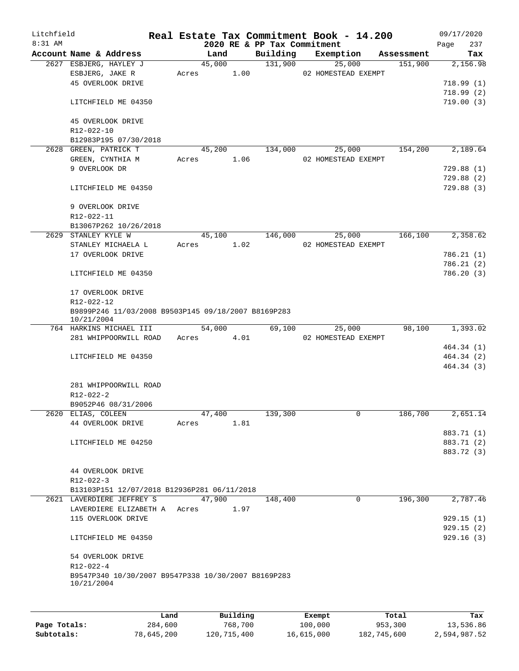| Litchfield<br>8:31 AM |                                                                   |       |        |      | 2020 RE & PP Tax Commitment | Real Estate Tax Commitment Book - 14.200 |            | Page | 09/17/2020<br>237 |
|-----------------------|-------------------------------------------------------------------|-------|--------|------|-----------------------------|------------------------------------------|------------|------|-------------------|
|                       | Account Name & Address                                            |       | Land   |      | Building                    | Exemption                                | Assessment |      | Tax               |
|                       | 2627 ESBJERG, HAYLEY J                                            |       | 45,000 |      | 131,900                     | 25,000                                   | 151,900    |      | 2,156.98          |
|                       | ESBJERG, JAKE R                                                   | Acres |        | 1.00 |                             | 02 HOMESTEAD EXEMPT                      |            |      |                   |
|                       | 45 OVERLOOK DRIVE                                                 |       |        |      |                             |                                          |            |      | 718.99(1)         |
|                       |                                                                   |       |        |      |                             |                                          |            |      | 718.99(2)         |
|                       | LITCHFIELD ME 04350                                               |       |        |      |                             |                                          |            |      | 719.00(3)         |
|                       | 45 OVERLOOK DRIVE                                                 |       |        |      |                             |                                          |            |      |                   |
|                       | R12-022-10                                                        |       |        |      |                             |                                          |            |      |                   |
|                       | B12983P195 07/30/2018                                             |       |        |      |                             |                                          |            |      |                   |
|                       | 2628 GREEN, PATRICK T                                             |       | 45,200 |      | 134,000                     | 25,000                                   | 154,200    |      | 2,189.64          |
|                       | GREEN, CYNTHIA M                                                  | Acres |        | 1.06 |                             | 02 HOMESTEAD EXEMPT                      |            |      |                   |
|                       | 9 OVERLOOK DR                                                     |       |        |      |                             |                                          |            |      | 729.88(1)         |
|                       |                                                                   |       |        |      |                             |                                          |            |      | 729.88(2)         |
|                       | LITCHFIELD ME 04350                                               |       |        |      |                             |                                          |            |      | 729.88 (3)        |
|                       | 9 OVERLOOK DRIVE                                                  |       |        |      |                             |                                          |            |      |                   |
|                       | R12-022-11                                                        |       |        |      |                             |                                          |            |      |                   |
|                       | B13067P262 10/26/2018                                             |       |        |      |                             |                                          |            |      |                   |
|                       | 2629 STANLEY KYLE W                                               |       | 45,100 |      | 146,000                     | 25,000                                   | 166,100    |      | 2,358.62          |
|                       | STANLEY MICHAELA L                                                | Acres |        | 1.02 |                             | 02 HOMESTEAD EXEMPT                      |            |      |                   |
|                       | 17 OVERLOOK DRIVE                                                 |       |        |      |                             |                                          |            |      | 786.21(1)         |
|                       |                                                                   |       |        |      |                             |                                          |            |      | 786.21(2)         |
|                       | LITCHFIELD ME 04350                                               |       |        |      |                             |                                          |            |      | 786.20 (3)        |
|                       | 17 OVERLOOK DRIVE                                                 |       |        |      |                             |                                          |            |      |                   |
|                       | R12-022-12                                                        |       |        |      |                             |                                          |            |      |                   |
|                       | B9899P246 11/03/2008 B9503P145 09/18/2007 B8169P283               |       |        |      |                             |                                          |            |      |                   |
|                       | 10/21/2004                                                        |       |        |      |                             |                                          |            |      |                   |
|                       | 764 HARKINS MICHAEL III                                           |       | 54,000 |      | 69,100                      | 25,000                                   | 98,100     |      | 1,393.02          |
|                       | 281 WHIPPOORWILL ROAD                                             | Acres |        | 4.01 |                             | 02 HOMESTEAD EXEMPT                      |            |      |                   |
|                       |                                                                   |       |        |      |                             |                                          |            |      | 464.34 (1)        |
|                       | LITCHFIELD ME 04350                                               |       |        |      |                             |                                          |            |      | 464.34 (2)        |
|                       |                                                                   |       |        |      |                             |                                          |            |      | 464.34 (3)        |
|                       | 281 WHIPPOORWILL ROAD                                             |       |        |      |                             |                                          |            |      |                   |
|                       | R12-022-2                                                         |       |        |      |                             |                                          |            |      |                   |
|                       | B9052P46 08/31/2006                                               |       |        |      |                             |                                          |            |      |                   |
|                       | 2620 ELIAS, COLEEN                                                |       | 47,400 |      | 139,300                     | $\mathbf 0$                              | 186,700    |      | 2,651.14          |
|                       | 44 OVERLOOK DRIVE                                                 | Acres |        | 1.81 |                             |                                          |            |      |                   |
|                       |                                                                   |       |        |      |                             |                                          |            |      | 883.71 (1)        |
|                       |                                                                   |       |        |      |                             |                                          |            |      | 883.71 (2)        |
|                       | LITCHFIELD ME 04250                                               |       |        |      |                             |                                          |            |      |                   |
|                       |                                                                   |       |        |      |                             |                                          |            |      | 883.72 (3)        |
|                       |                                                                   |       |        |      |                             |                                          |            |      |                   |
|                       | 44 OVERLOOK DRIVE                                                 |       |        |      |                             |                                          |            |      |                   |
|                       | $R12 - 022 - 3$                                                   |       |        |      |                             |                                          |            |      |                   |
|                       | B13103P151 12/07/2018 B12936P281 06/11/2018                       |       |        |      |                             |                                          |            |      |                   |
|                       | 2621 LAVERDIERE JEFFREY S                                         |       | 47,900 |      | 148,400                     | 0                                        | 196,300    |      | 2,787.46          |
|                       | LAVERDIERE ELIZABETH A Acres                                      |       |        | 1.97 |                             |                                          |            |      |                   |
|                       | 115 OVERLOOK DRIVE                                                |       |        |      |                             |                                          |            |      | 929.15(1)         |
|                       |                                                                   |       |        |      |                             |                                          |            |      | 929.15(2)         |
|                       | LITCHFIELD ME 04350                                               |       |        |      |                             |                                          |            |      | 929.16(3)         |
|                       | 54 OVERLOOK DRIVE                                                 |       |        |      |                             |                                          |            |      |                   |
|                       | $R12 - 022 - 4$                                                   |       |        |      |                             |                                          |            |      |                   |
|                       | B9547P340 10/30/2007 B9547P338 10/30/2007 B8169P283<br>10/21/2004 |       |        |      |                             |                                          |            |      |                   |
|                       |                                                                   |       |        |      |                             |                                          |            |      |                   |
|                       |                                                                   |       |        |      |                             |                                          |            |      |                   |
|                       |                                                                   |       |        |      |                             |                                          |            |      |                   |

|              | Land       | Building    | Exempt     | Total       | Tax          |
|--------------|------------|-------------|------------|-------------|--------------|
| Page Totals: | 284,600    | 768,700     | 100,000    | 953,300     | 13,536.86    |
| Subtotals:   | 78,645,200 | 120,715,400 | 16,615,000 | 182,745,600 | 2,594,987.52 |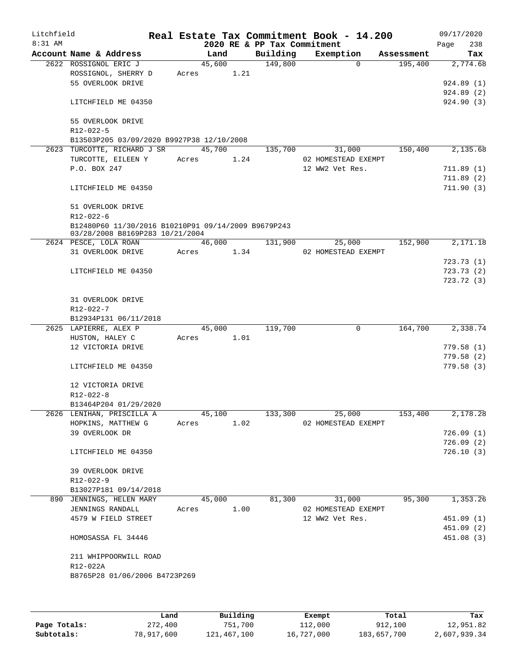| Litchfield<br>$8:31$ AM |                                                     |        |      | 2020 RE & PP Tax Commitment | Real Estate Tax Commitment Book - 14.200 |            | 09/17/2020<br>Page<br>238 |
|-------------------------|-----------------------------------------------------|--------|------|-----------------------------|------------------------------------------|------------|---------------------------|
|                         | Account Name & Address                              | Land   |      | Building                    | Exemption                                | Assessment | Tax                       |
|                         | 2622 ROSSIGNOL ERIC J                               | 45,600 |      | 149,800                     | $\Omega$                                 | 195,400    | 2,774.68                  |
|                         | ROSSIGNOL, SHERRY D                                 | Acres  | 1.21 |                             |                                          |            |                           |
|                         | 55 OVERLOOK DRIVE                                   |        |      |                             |                                          |            | 924.89 (1)                |
|                         |                                                     |        |      |                             |                                          |            | 924.89 (2)                |
|                         | LITCHFIELD ME 04350                                 |        |      |                             |                                          |            | 924.90 (3)                |
|                         | 55 OVERLOOK DRIVE                                   |        |      |                             |                                          |            |                           |
|                         | R12-022-5                                           |        |      |                             |                                          |            |                           |
|                         | B13503P205 03/09/2020 B9927P38 12/10/2008           |        |      |                             |                                          |            |                           |
|                         | 2623 TURCOTTE, RICHARD J SR                         | 45,700 |      | 135,700                     | 31,000                                   | 150,400    | 2,135.68                  |
|                         | TURCOTTE, EILEEN Y                                  | Acres  | 1.24 |                             | 02 HOMESTEAD EXEMPT                      |            |                           |
|                         | P.O. BOX 247                                        |        |      |                             | 12 WW2 Vet Res.                          |            | 711.89(1)                 |
|                         |                                                     |        |      |                             |                                          |            | 711.89(2)                 |
|                         | LITCHFIELD ME 04350                                 |        |      |                             |                                          |            | 711.90(3)                 |
|                         | 51 OVERLOOK DRIVE                                   |        |      |                             |                                          |            |                           |
|                         | R12-022-6                                           |        |      |                             |                                          |            |                           |
|                         | B12480P60 11/30/2016 B10210P91 09/14/2009 B9679P243 |        |      |                             |                                          |            |                           |
|                         | 03/28/2008 B8169P283 10/21/2004                     |        |      |                             |                                          |            |                           |
|                         | 2624 PESCE, LOLA ROAN                               | 46,000 |      | 131,900                     | 25,000                                   | 152,900    | 2,171.18                  |
|                         | 31 OVERLOOK DRIVE                                   | Acres  | 1.34 |                             | 02 HOMESTEAD EXEMPT                      |            |                           |
|                         |                                                     |        |      |                             |                                          |            | 723.73 (1)                |
|                         | LITCHFIELD ME 04350                                 |        |      |                             |                                          |            | 723.73(2)                 |
|                         |                                                     |        |      |                             |                                          |            | 723.72 (3)                |
|                         | 31 OVERLOOK DRIVE                                   |        |      |                             |                                          |            |                           |
|                         | $R12 - 022 - 7$                                     |        |      |                             |                                          |            |                           |
|                         | B12934P131 06/11/2018                               |        |      |                             |                                          |            |                           |
|                         | 2625 LAPIERRE, ALEX P                               | 45,000 |      | 119,700                     | $\mathbf 0$                              | 164,700    | 2,338.74                  |
|                         | HUSTON, HALEY C                                     | Acres  | 1.01 |                             |                                          |            |                           |
|                         | 12 VICTORIA DRIVE                                   |        |      |                             |                                          |            | 779.58(1)                 |
|                         |                                                     |        |      |                             |                                          |            | 779.58(2)                 |
|                         | LITCHFIELD ME 04350                                 |        |      |                             |                                          |            | 779.58(3)                 |
|                         | 12 VICTORIA DRIVE                                   |        |      |                             |                                          |            |                           |
|                         | R12-022-8                                           |        |      |                             |                                          |            |                           |
|                         | B13464P204 01/29/2020                               |        |      |                             |                                          |            |                           |
|                         | 2626 LENIHAN, PRISCILLA A                           | 45,100 |      | 133,300                     | 25,000                                   | 153,400    | 2,178.28                  |
|                         | HOPKINS, MATTHEW G                                  | Acres  | 1.02 |                             | 02 HOMESTEAD EXEMPT                      |            |                           |
|                         | 39 OVERLOOK DR                                      |        |      |                             |                                          |            | 726.09(1)                 |
|                         |                                                     |        |      |                             |                                          |            | 726.09(2)                 |
|                         | LITCHFIELD ME 04350                                 |        |      |                             |                                          |            | 726.10(3)                 |
|                         |                                                     |        |      |                             |                                          |            |                           |
|                         | 39 OVERLOOK DRIVE<br>R12-022-9                      |        |      |                             |                                          |            |                           |
|                         | B13027P181 09/14/2018                               |        |      |                             |                                          |            |                           |
|                         | 890 JENNINGS, HELEN MARY                            | 45,000 |      | 81,300                      | 31,000                                   | 95,300     | 1,353.26                  |
|                         | JENNINGS RANDALL                                    | Acres  | 1.00 |                             | 02 HOMESTEAD EXEMPT                      |            |                           |
|                         | 4579 W FIELD STREET                                 |        |      |                             | 12 WW2 Vet Res.                          |            | 451.09(1)                 |
|                         |                                                     |        |      |                             |                                          |            | 451.09 (2)                |
|                         | HOMOSASSA FL 34446                                  |        |      |                             |                                          |            | 451.08 (3)                |
|                         |                                                     |        |      |                             |                                          |            |                           |
|                         | 211 WHIPPOORWILL ROAD                               |        |      |                             |                                          |            |                           |
|                         | R12-022A<br>B8765P28 01/06/2006 B4723P269           |        |      |                             |                                          |            |                           |
|                         |                                                     |        |      |                             |                                          |            |                           |
|                         |                                                     |        |      |                             |                                          |            |                           |
|                         |                                                     |        |      |                             |                                          |            |                           |

|              | Land       | Building    | Exempt     | Total       | Tax          |
|--------------|------------|-------------|------------|-------------|--------------|
| Page Totals: | 272,400    | 751,700     | 112,000    | 912,100     | 12,951.82    |
| Subtotals:   | 78,917,600 | 121,467,100 | 16,727,000 | 183,657,700 | 2,607,939.34 |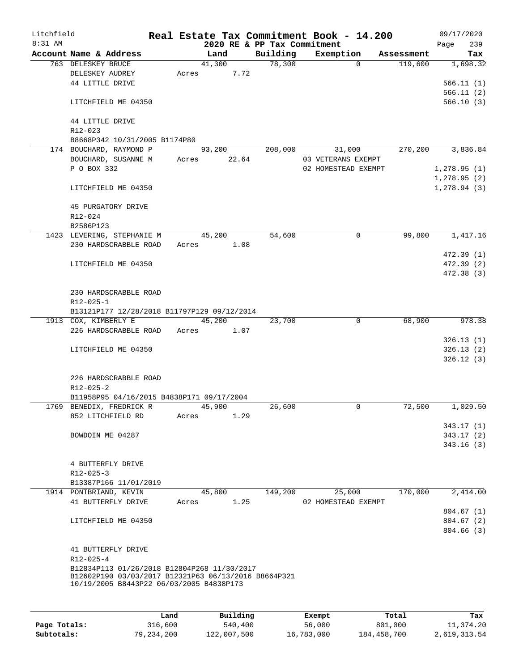| Litchfield |                                                                       |       |        |       |                             | Real Estate Tax Commitment Book - 14.200 |            | 09/17/2020   |            |
|------------|-----------------------------------------------------------------------|-------|--------|-------|-----------------------------|------------------------------------------|------------|--------------|------------|
| 8:31 AM    |                                                                       |       |        |       | 2020 RE & PP Tax Commitment |                                          |            | Page         | 239        |
|            | Account Name & Address                                                |       | Land   |       | Building                    | Exemption                                | Assessment |              | Tax        |
|            | 763 DELESKEY BRUCE                                                    |       | 41,300 |       | 78,300                      | $\Omega$                                 | 119,600    |              | 1,698.32   |
|            | DELESKEY AUDREY                                                       | Acres |        | 7.72  |                             |                                          |            |              |            |
|            | 44 LITTLE DRIVE                                                       |       |        |       |                             |                                          |            |              | 566.11(1)  |
|            |                                                                       |       |        |       |                             |                                          |            |              | 566.11(2)  |
|            | LITCHFIELD ME 04350                                                   |       |        |       |                             |                                          |            |              | 566.10(3)  |
|            |                                                                       |       |        |       |                             |                                          |            |              |            |
|            | 44 LITTLE DRIVE                                                       |       |        |       |                             |                                          |            |              |            |
|            | $R12 - 023$                                                           |       |        |       |                             |                                          |            |              |            |
|            | B8668P342 10/31/2005 B1174P80                                         |       |        |       |                             |                                          |            |              |            |
|            | 174 BOUCHARD, RAYMOND P                                               |       | 93,200 |       | 208,000                     | 31,000                                   | 270,200    |              | 3,836.84   |
|            | BOUCHARD, SUSANNE M                                                   | Acres |        | 22.64 |                             | 03 VETERANS EXEMPT                       |            |              |            |
|            | P O BOX 332                                                           |       |        |       |                             | 02 HOMESTEAD EXEMPT                      |            | 1,278.95(1)  |            |
|            |                                                                       |       |        |       |                             |                                          |            | 1,278.95(2)  |            |
|            | LITCHFIELD ME 04350                                                   |       |        |       |                             |                                          |            | 1, 278.94(3) |            |
|            |                                                                       |       |        |       |                             |                                          |            |              |            |
|            | 45 PURGATORY DRIVE                                                    |       |        |       |                             |                                          |            |              |            |
|            | R12-024                                                               |       |        |       |                             |                                          |            |              |            |
|            | B2586P123                                                             |       |        |       |                             |                                          |            |              |            |
|            | 1423 LEVERING, STEPHANIE M                                            |       | 45,200 |       | 54,600                      | 0                                        | 99,800     |              | 1,417.16   |
|            | 230 HARDSCRABBLE ROAD                                                 | Acres |        | 1.08  |                             |                                          |            |              |            |
|            |                                                                       |       |        |       |                             |                                          |            |              | 472.39(1)  |
|            | LITCHFIELD ME 04350                                                   |       |        |       |                             |                                          |            |              | 472.39 (2) |
|            |                                                                       |       |        |       |                             |                                          |            |              | 472.38 (3) |
|            |                                                                       |       |        |       |                             |                                          |            |              |            |
|            | 230 HARDSCRABBLE ROAD                                                 |       |        |       |                             |                                          |            |              |            |
|            | R12-025-1                                                             |       |        |       |                             |                                          |            |              |            |
|            | B13121P177 12/28/2018 B11797P129 09/12/2014                           |       |        |       |                             |                                          |            |              |            |
|            | 1913 COX, KIMBERLY E                                                  |       | 45,200 |       | 23,700                      | 0                                        | 68,900     |              | 978.38     |
|            | 226 HARDSCRABBLE ROAD                                                 | Acres |        | 1.07  |                             |                                          |            |              |            |
|            |                                                                       |       |        |       |                             |                                          |            |              | 326.13(1)  |
|            |                                                                       |       |        |       |                             |                                          |            |              | 326.13(2)  |
|            | LITCHFIELD ME 04350                                                   |       |        |       |                             |                                          |            |              |            |
|            |                                                                       |       |        |       |                             |                                          |            |              | 326.12(3)  |
|            | 226 HARDSCRABBLE ROAD                                                 |       |        |       |                             |                                          |            |              |            |
|            |                                                                       |       |        |       |                             |                                          |            |              |            |
|            | $R12 - 025 - 2$                                                       |       |        |       |                             |                                          |            |              |            |
|            | B11958P95 04/16/2015 B4838P171 09/17/2004<br>1769 BENEDIX, FREDRICK R |       |        |       |                             | 0                                        | 72,500     |              | 1,029.50   |
|            |                                                                       |       | 45,900 |       | 26,600                      |                                          |            |              |            |
|            | 852 LITCHFIELD RD                                                     | Acres |        | 1.29  |                             |                                          |            |              |            |
|            |                                                                       |       |        |       |                             |                                          |            |              | 343.17 (1) |
|            | BOWDOIN ME 04287                                                      |       |        |       |                             |                                          |            |              | 343.17(2)  |
|            |                                                                       |       |        |       |                             |                                          |            |              | 343.16(3)  |
|            |                                                                       |       |        |       |                             |                                          |            |              |            |
|            | 4 BUTTERFLY DRIVE                                                     |       |        |       |                             |                                          |            |              |            |
|            | $R12 - 025 - 3$                                                       |       |        |       |                             |                                          |            |              |            |
|            | B13387P166 11/01/2019                                                 |       |        |       |                             |                                          |            |              |            |
|            | 1914 PONTBRIAND, KEVIN                                                |       | 45,800 |       | 149,200                     | 25,000                                   | 170,000    |              | 2,414.00   |
|            | 41 BUTTERFLY DRIVE                                                    | Acres |        | 1.25  |                             | 02 HOMESTEAD EXEMPT                      |            |              |            |
|            |                                                                       |       |        |       |                             |                                          |            |              | 804.67(1)  |
|            | LITCHFIELD ME 04350                                                   |       |        |       |                             |                                          |            |              | 804.67(2)  |
|            |                                                                       |       |        |       |                             |                                          |            |              | 804.66(3)  |
|            |                                                                       |       |        |       |                             |                                          |            |              |            |
|            | 41 BUTTERFLY DRIVE                                                    |       |        |       |                             |                                          |            |              |            |
|            | $R12 - 025 - 4$                                                       |       |        |       |                             |                                          |            |              |            |
|            | B12834P113 01/26/2018 B12804P268 11/30/2017                           |       |        |       |                             |                                          |            |              |            |
|            | B12602P190 03/03/2017 B12321P63 06/13/2016 B8664P321                  |       |        |       |                             |                                          |            |              |            |
|            | 10/19/2005 B8443P22 06/03/2005 B4838P173                              |       |        |       |                             |                                          |            |              |            |
|            |                                                                       |       |        |       |                             |                                          |            |              |            |
|            |                                                                       |       |        |       |                             |                                          |            |              |            |

|              | Land       | Building    | Exempt     | Total       | Tax          |
|--------------|------------|-------------|------------|-------------|--------------|
| Page Totals: | 316,600    | 540,400     | 56,000     | 801,000     | 11,374.20    |
| Subtotals:   | 79,234,200 | 122,007,500 | 16,783,000 | 184,458,700 | 2,619,313.54 |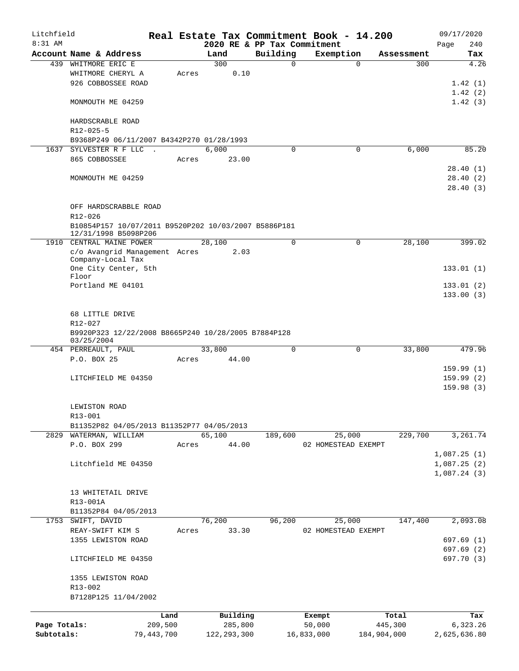| Litchfield   |                                                      |         |               |                                         | Real Estate Tax Commitment Book - 14.200 |             | 09/17/2020   |
|--------------|------------------------------------------------------|---------|---------------|-----------------------------------------|------------------------------------------|-------------|--------------|
| $8:31$ AM    | Account Name & Address                               |         |               | 2020 RE & PP Tax Commitment<br>Building |                                          |             | 240<br>Page  |
|              | WHITMORE ERIC E                                      |         | Land<br>300   | $\Omega$                                | Exemption<br>$\Omega$                    | Assessment  | Tax<br>4.26  |
| 439          |                                                      |         | 0.10          |                                         |                                          | 300         |              |
|              | WHITMORE CHERYL A<br>926 COBBOSSEE ROAD              | Acres   |               |                                         |                                          |             |              |
|              |                                                      |         |               |                                         |                                          |             | 1.42(1)      |
|              |                                                      |         |               |                                         |                                          |             | 1.42(2)      |
|              | MONMOUTH ME 04259                                    |         |               |                                         |                                          |             | 1.42(3)      |
|              | HARDSCRABLE ROAD                                     |         |               |                                         |                                          |             |              |
|              | R12-025-5                                            |         |               |                                         |                                          |             |              |
|              | B9368P249 06/11/2007 B4342P270 01/28/1993            |         |               |                                         |                                          |             |              |
| 1637         | SYLVESTER R F LLC<br>$\sim$                          |         | 6,000         | $\mathbf 0$                             | 0                                        | 6,000       | 85.20        |
|              | 865 COBBOSSEE                                        | Acres   | 23.00         |                                         |                                          |             |              |
|              |                                                      |         |               |                                         |                                          |             | 28.40(1)     |
|              | MONMOUTH ME 04259                                    |         |               |                                         |                                          |             | 28.40(2)     |
|              |                                                      |         |               |                                         |                                          |             | 28.40(3)     |
|              |                                                      |         |               |                                         |                                          |             |              |
|              | OFF HARDSCRABBLE ROAD                                |         |               |                                         |                                          |             |              |
|              | R12-026                                              |         |               |                                         |                                          |             |              |
|              | B10854P157 10/07/2011 B9520P202 10/03/2007 B5886P181 |         |               |                                         |                                          |             |              |
|              | 12/31/1998 B5098P206                                 |         |               |                                         |                                          |             |              |
|              | 1910 CENTRAL MAINE POWER                             |         | 28,100        | $\mathbf 0$                             | $\mathbf 0$                              | 28,100      | 399.02       |
|              | c/o Avangrid Management Acres                        |         | 2.03          |                                         |                                          |             |              |
|              | Company-Local Tax                                    |         |               |                                         |                                          |             |              |
|              | One City Center, 5th<br>Floor                        |         |               |                                         |                                          |             | 133.01(1)    |
|              | Portland ME 04101                                    |         |               |                                         |                                          |             | 133.01(2)    |
|              |                                                      |         |               |                                         |                                          |             | 133.00(3)    |
|              |                                                      |         |               |                                         |                                          |             |              |
|              | 68 LITTLE DRIVE                                      |         |               |                                         |                                          |             |              |
|              | R12-027                                              |         |               |                                         |                                          |             |              |
|              | B9920P323 12/22/2008 B8665P240 10/28/2005 B7884P128  |         |               |                                         |                                          |             |              |
|              | 03/25/2004                                           |         |               |                                         |                                          |             |              |
|              | 454 PERREAULT, PAUL                                  |         | 33,800        | $\Omega$                                | $\Omega$                                 | 33,800      | 479.96       |
|              | P.O. BOX 25                                          | Acres   | 44.00         |                                         |                                          |             |              |
|              |                                                      |         |               |                                         |                                          |             | 159.99(1)    |
|              | LITCHFIELD ME 04350                                  |         |               |                                         |                                          |             | 159.99(2)    |
|              |                                                      |         |               |                                         |                                          |             | 159.98(3)    |
|              |                                                      |         |               |                                         |                                          |             |              |
|              | LEWISTON ROAD                                        |         |               |                                         |                                          |             |              |
|              | R13-001                                              |         |               |                                         |                                          |             |              |
|              | B11352P82 04/05/2013 B11352P77 04/05/2013            |         |               |                                         |                                          |             |              |
|              | 2829 WATERMAN, WILLIAM                               |         | 65,100        | 189,600                                 | 25,000                                   | 229,700     | 3,261.74     |
|              | P.O. BOX 299                                         | Acres   | 44.00         |                                         | 02 HOMESTEAD EXEMPT                      |             |              |
|              |                                                      |         |               |                                         |                                          |             | 1,087.25(1)  |
|              | Litchfield ME 04350                                  |         |               |                                         |                                          |             | 1,087.25(2)  |
|              |                                                      |         |               |                                         |                                          |             | 1,087.24(3)  |
|              |                                                      |         |               |                                         |                                          |             |              |
|              | 13 WHITETAIL DRIVE                                   |         |               |                                         |                                          |             |              |
|              | R13-001A                                             |         |               |                                         |                                          |             |              |
|              | B11352P84 04/05/2013                                 |         |               |                                         |                                          |             |              |
| 1753         | SWIFT, DAVID                                         |         | 76,200        | 96,200                                  | 25,000                                   | 147,400     | 2,093.08     |
|              | REAY-SWIFT KIM S                                     | Acres   | 33.30         |                                         | 02 HOMESTEAD EXEMPT                      |             |              |
|              | 1355 LEWISTON ROAD                                   |         |               |                                         |                                          |             | 697.69(1)    |
|              |                                                      |         |               |                                         |                                          |             | 697.69(2)    |
|              | LITCHFIELD ME 04350                                  |         |               |                                         |                                          |             | 697.70 (3)   |
|              |                                                      |         |               |                                         |                                          |             |              |
|              | 1355 LEWISTON ROAD                                   |         |               |                                         |                                          |             |              |
|              | R13-002                                              |         |               |                                         |                                          |             |              |
|              | B7128P125 11/04/2002                                 |         |               |                                         |                                          |             |              |
|              |                                                      | Land    | Building      |                                         | Exempt                                   | Total       | Tax          |
| Page Totals: |                                                      | 209,500 | 285,800       |                                         | 50,000                                   | 445,300     | 6,323.26     |
| Subtotals:   | 79, 443, 700                                         |         | 122, 293, 300 |                                         | 16,833,000                               | 184,904,000 | 2,625,636.80 |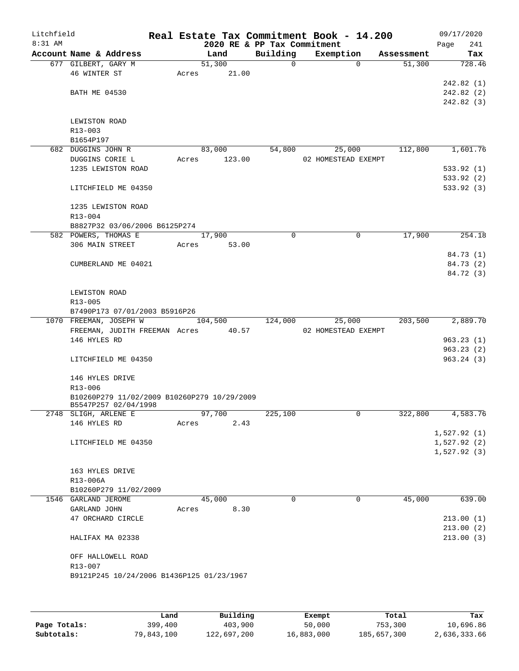| Litchfield |                                                         |       |                 |                             | Real Estate Tax Commitment Book - 14.200 |            | 09/17/2020  |
|------------|---------------------------------------------------------|-------|-----------------|-----------------------------|------------------------------------------|------------|-------------|
| 8:31 AM    |                                                         |       |                 | 2020 RE & PP Tax Commitment |                                          |            | 241<br>Page |
|            | Account Name & Address                                  |       | Land            | Building                    | Exemption                                | Assessment | Tax         |
|            | 677 GILBERT, GARY M<br>46 WINTER ST                     | Acres | 51,300<br>21.00 | $\mathbf{0}$                | $\Omega$                                 | 51,300     | 728.46      |
|            |                                                         |       |                 |                             |                                          |            | 242.82 (1)  |
|            | <b>BATH ME 04530</b>                                    |       |                 |                             |                                          |            | 242.82 (2)  |
|            |                                                         |       |                 |                             |                                          |            | 242.82 (3)  |
|            |                                                         |       |                 |                             |                                          |            |             |
|            | LEWISTON ROAD                                           |       |                 |                             |                                          |            |             |
|            | R13-003                                                 |       |                 |                             |                                          |            |             |
|            | B1654P197                                               |       |                 |                             |                                          |            |             |
|            | 682 DUGGINS JOHN R                                      |       | 83,000          | 54,800                      | 25,000                                   | 112,800    | 1,601.76    |
|            | DUGGINS CORIE L                                         | Acres | 123.00          |                             | 02 HOMESTEAD EXEMPT                      |            |             |
|            | 1235 LEWISTON ROAD                                      |       |                 |                             |                                          |            | 533.92(1)   |
|            |                                                         |       |                 |                             |                                          |            | 533.92(2)   |
|            | LITCHFIELD ME 04350                                     |       |                 |                             |                                          |            | 533.92(3)   |
|            | 1235 LEWISTON ROAD                                      |       |                 |                             |                                          |            |             |
|            | R13-004                                                 |       |                 |                             |                                          |            |             |
|            | B8827P32 03/06/2006 B6125P274                           |       |                 |                             |                                          |            |             |
|            | 582 POWERS, THOMAS E                                    |       | 17,900          | $\Omega$                    | 0                                        | 17,900     | 254.18      |
|            | 306 MAIN STREET                                         | Acres | 53.00           |                             |                                          |            |             |
|            |                                                         |       |                 |                             |                                          |            | 84.73 (1)   |
|            | CUMBERLAND ME 04021                                     |       |                 |                             |                                          |            | 84.73 (2)   |
|            |                                                         |       |                 |                             |                                          |            | 84.72 (3)   |
|            |                                                         |       |                 |                             |                                          |            |             |
|            | LEWISTON ROAD                                           |       |                 |                             |                                          |            |             |
|            | R13-005                                                 |       |                 |                             |                                          |            |             |
|            | B7490P173 07/01/2003 B5916P26<br>1070 FREEMAN, JOSEPH W |       | 104,500         | 124,000                     | 25,000                                   | 203,500    | 2,889.70    |
|            | FREEMAN, JUDITH FREEMAN Acres                           |       | 40.57           |                             | 02 HOMESTEAD EXEMPT                      |            |             |
|            | 146 HYLES RD                                            |       |                 |                             |                                          |            | 963.23(1)   |
|            |                                                         |       |                 |                             |                                          |            | 963.23(2)   |
|            | LITCHFIELD ME 04350                                     |       |                 |                             |                                          |            | 963.24(3)   |
|            |                                                         |       |                 |                             |                                          |            |             |
|            | 146 HYLES DRIVE                                         |       |                 |                             |                                          |            |             |
|            | R13-006                                                 |       |                 |                             |                                          |            |             |
|            | B10260P279 11/02/2009 B10260P279 10/29/2009             |       |                 |                             |                                          |            |             |
|            | B5547P257 02/04/1998<br>2748 SLIGH, ARLENE E            |       | 97,700          | 225,100                     | 0                                        | 322,800    | 4,583.76    |
|            | 146 HYLES RD                                            | Acres | 2.43            |                             |                                          |            |             |
|            |                                                         |       |                 |                             |                                          |            | 1,527.92(1) |
|            | LITCHFIELD ME 04350                                     |       |                 |                             |                                          |            | 1,527.92(2) |
|            |                                                         |       |                 |                             |                                          |            | 1,527.92(3) |
|            |                                                         |       |                 |                             |                                          |            |             |
|            | 163 HYLES DRIVE                                         |       |                 |                             |                                          |            |             |
|            | R13-006A                                                |       |                 |                             |                                          |            |             |
|            | B10260P279 11/02/2009                                   |       |                 |                             |                                          |            |             |
|            | 1546 GARLAND JEROME                                     |       | 45,000          | $\Omega$                    | 0                                        | 45,000     | 639.00      |
|            | GARLAND JOHN<br>47 ORCHARD CIRCLE                       | Acres | 8.30            |                             |                                          |            | 213.00(1)   |
|            |                                                         |       |                 |                             |                                          |            | 213.00(2)   |
|            | HALIFAX MA 02338                                        |       |                 |                             |                                          |            | 213.00(3)   |
|            |                                                         |       |                 |                             |                                          |            |             |
|            | OFF HALLOWELL ROAD                                      |       |                 |                             |                                          |            |             |
|            | R13-007                                                 |       |                 |                             |                                          |            |             |
|            | B9121P245 10/24/2006 B1436P125 01/23/1967               |       |                 |                             |                                          |            |             |
|            |                                                         |       |                 |                             |                                          |            |             |
|            |                                                         |       |                 |                             |                                          |            |             |
|            |                                                         |       |                 |                             |                                          |            |             |

|              | Land       | Building    | Exempt     | Total       | Tax          |
|--------------|------------|-------------|------------|-------------|--------------|
| Page Totals: | 399,400    | 403,900     | 50,000     | 753,300     | 10,696.86    |
| Subtotals:   | 79,843,100 | 122,697,200 | 16,883,000 | 185,657,300 | 2,636,333.66 |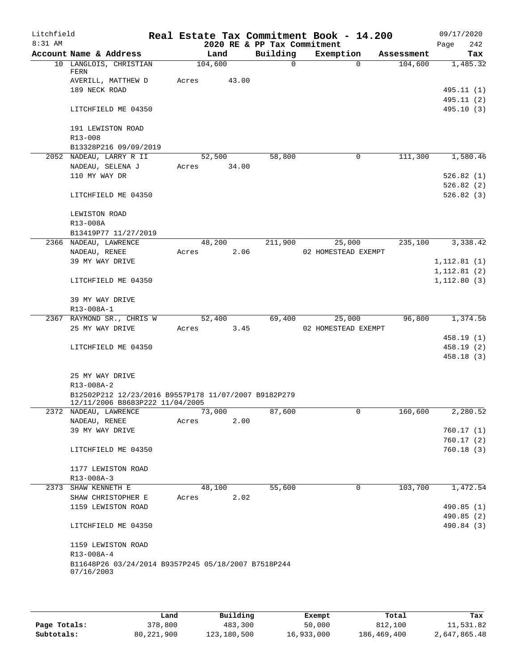| Litchfield<br>$8:31$ AM |                                                      |             |       |                                         | Real Estate Tax Commitment Book - 14.200 |            | 09/17/2020         |
|-------------------------|------------------------------------------------------|-------------|-------|-----------------------------------------|------------------------------------------|------------|--------------------|
|                         | Account Name & Address                               | Land        |       | 2020 RE & PP Tax Commitment<br>Building | Exemption                                | Assessment | 242<br>Page<br>Tax |
|                         | 10 LANGLOIS, CHRISTIAN                               | 104,600     |       | $\Omega$                                | $\Omega$                                 | 104,600    | 1,485.32           |
|                         | FERN                                                 |             |       |                                         |                                          |            |                    |
|                         | AVERILL, MATTHEW D                                   | Acres       | 43.00 |                                         |                                          |            |                    |
|                         | 189 NECK ROAD                                        |             |       |                                         |                                          |            | 495.11 (1)         |
|                         |                                                      |             |       |                                         |                                          |            | 495.11 (2)         |
|                         | LITCHFIELD ME 04350                                  |             |       |                                         |                                          |            | 495.10 (3)         |
|                         | 191 LEWISTON ROAD                                    |             |       |                                         |                                          |            |                    |
|                         | R13-008                                              |             |       |                                         |                                          |            |                    |
|                         | B13328P216 09/09/2019                                |             |       |                                         |                                          |            |                    |
|                         | 2052 NADEAU, LARRY R II                              | 52,500      |       | 58,800                                  | 0                                        | 111,300    | 1,580.46           |
|                         | NADEAU, SELENA J                                     | Acres 34.00 |       |                                         |                                          |            |                    |
|                         | 110 MY WAY DR                                        |             |       |                                         |                                          |            | 526.82(1)          |
|                         |                                                      |             |       |                                         |                                          |            | 526.82(2)          |
|                         | LITCHFIELD ME 04350                                  |             |       |                                         |                                          |            | 526.82(3)          |
|                         | LEWISTON ROAD                                        |             |       |                                         |                                          |            |                    |
|                         | R13-008A                                             |             |       |                                         |                                          |            |                    |
|                         | B13419P77 11/27/2019                                 |             |       |                                         |                                          |            |                    |
|                         | 2366 NADEAU, LAWRENCE                                | 48,200      |       | 211,900                                 | 25,000                                   | 235,100    | 3,338.42           |
|                         | NADEAU, RENEE                                        | Acres       | 2.06  |                                         | 02 HOMESTEAD EXEMPT                      |            |                    |
|                         | 39 MY WAY DRIVE                                      |             |       |                                         |                                          |            | 1, 112.81(1)       |
|                         |                                                      |             |       |                                         |                                          |            | 1, 112.81(2)       |
|                         | LITCHFIELD ME 04350                                  |             |       |                                         |                                          |            | 1, 112.80(3)       |
|                         | 39 MY WAY DRIVE                                      |             |       |                                         |                                          |            |                    |
|                         | R13-008A-1                                           |             |       |                                         |                                          |            |                    |
|                         | 2367 RAYMOND SR., CHRIS W                            | 52,400      |       | 69,400                                  | 25,000                                   | 96,800     | 1,374.56           |
|                         | 25 MY WAY DRIVE                                      | Acres       | 3.45  |                                         | 02 HOMESTEAD EXEMPT                      |            |                    |
|                         |                                                      |             |       |                                         |                                          |            | 458.19(1)          |
|                         | LITCHFIELD ME 04350                                  |             |       |                                         |                                          |            | 458.19(2)          |
|                         |                                                      |             |       |                                         |                                          |            | 458.18 (3)         |
|                         | 25 MY WAY DRIVE                                      |             |       |                                         |                                          |            |                    |
|                         | R13-008A-2                                           |             |       |                                         |                                          |            |                    |
|                         | B12502P212 12/23/2016 B9557P178 11/07/2007 B9182P279 |             |       |                                         |                                          |            |                    |
|                         | 12/11/2006 B8683P222 11/04/2005                      |             |       |                                         |                                          |            |                    |
|                         | 2372 NADEAU, LAWRENCE                                | 73,000      |       | 87,600                                  | U                                        | 160,600    | 2,280.52           |
|                         | NADEAU, RENEE                                        | Acres       | 2.00  |                                         |                                          |            |                    |
|                         | 39 MY WAY DRIVE                                      |             |       |                                         |                                          |            | 760.17(1)          |
|                         |                                                      |             |       |                                         |                                          |            | 760.17(2)          |
|                         | LITCHFIELD ME 04350                                  |             |       |                                         |                                          |            | 760.18(3)          |
|                         | 1177 LEWISTON ROAD                                   |             |       |                                         |                                          |            |                    |
|                         | R13-008A-3                                           |             |       |                                         |                                          |            |                    |
|                         | 2373 SHAW KENNETH E                                  | 48,100      |       | 55,600                                  | 0                                        | 103,700    | 1,472.54           |
|                         | SHAW CHRISTOPHER E                                   | Acres       | 2.02  |                                         |                                          |            |                    |
|                         | 1159 LEWISTON ROAD                                   |             |       |                                         |                                          |            | 490.85 (1)         |
|                         |                                                      |             |       |                                         |                                          |            | 490.85 (2)         |
|                         | LITCHFIELD ME 04350                                  |             |       |                                         |                                          |            | 490.84 (3)         |
|                         | 1159 LEWISTON ROAD                                   |             |       |                                         |                                          |            |                    |
|                         | R13-008A-4                                           |             |       |                                         |                                          |            |                    |
|                         | B11648P26 03/24/2014 B9357P245 05/18/2007 B7518P244  |             |       |                                         |                                          |            |                    |
|                         | 07/16/2003                                           |             |       |                                         |                                          |            |                    |
|                         |                                                      |             |       |                                         |                                          |            |                    |

|              | Land         | Building    | Exempt     | Total       | Tax          |
|--------------|--------------|-------------|------------|-------------|--------------|
| Page Totals: | 378,800      | 483,300     | 50,000     | 812,100     | 11,531.82    |
| Subtotals:   | 80, 221, 900 | 123,180,500 | 16,933,000 | 186,469,400 | 2,647,865.48 |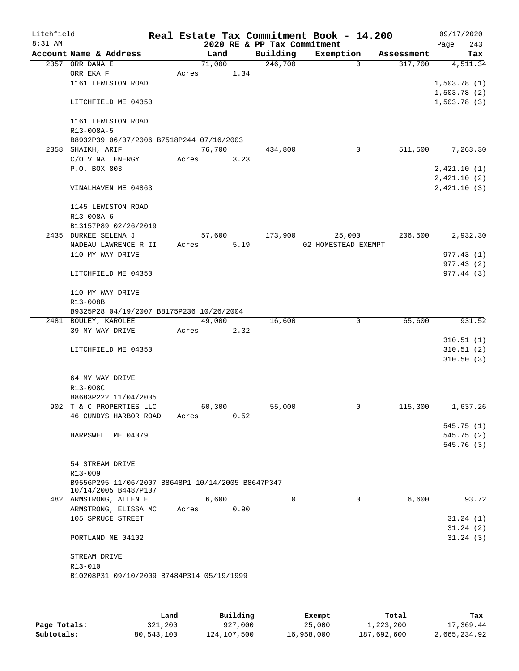| Litchfield |                                                   |       |        |      |                             | Real Estate Tax Commitment Book - 14.200 |            | 09/17/2020  |
|------------|---------------------------------------------------|-------|--------|------|-----------------------------|------------------------------------------|------------|-------------|
| 8:31 AM    |                                                   |       |        |      | 2020 RE & PP Tax Commitment |                                          |            | 243<br>Page |
|            | Account Name & Address                            |       | Land   |      | Building                    | Exemption                                | Assessment | Tax         |
|            | 2357 ORR DANA E                                   |       | 71,000 |      | 246,700                     | 0                                        | 317,700    | 4,511.34    |
|            | ORR EKA F                                         | Acres |        | 1.34 |                             |                                          |            |             |
|            | 1161 LEWISTON ROAD                                |       |        |      |                             |                                          |            | 1,503.78(1) |
|            |                                                   |       |        |      |                             |                                          |            | 1,503.78(2) |
|            | LITCHFIELD ME 04350                               |       |        |      |                             |                                          |            | 1,503.78(3) |
|            |                                                   |       |        |      |                             |                                          |            |             |
|            | 1161 LEWISTON ROAD                                |       |        |      |                             |                                          |            |             |
|            | R13-008A-5                                        |       |        |      |                             |                                          |            |             |
|            | B8932P39 06/07/2006 B7518P244 07/16/2003          |       |        |      |                             |                                          |            |             |
|            | 2358 SHAIKH, ARIF                                 |       | 76,700 |      | 434,800                     | 0                                        | 511,500    | 7,263.30    |
|            | C/O VINAL ENERGY                                  | Acres |        | 3.23 |                             |                                          |            |             |
|            | P.O. BOX 803                                      |       |        |      |                             |                                          |            | 2,421.10(1) |
|            |                                                   |       |        |      |                             |                                          |            |             |
|            |                                                   |       |        |      |                             |                                          |            | 2,421.10(2) |
|            | VINALHAVEN ME 04863                               |       |        |      |                             |                                          |            | 2,421.10(3) |
|            |                                                   |       |        |      |                             |                                          |            |             |
|            | 1145 LEWISTON ROAD                                |       |        |      |                             |                                          |            |             |
|            | R13-008A-6                                        |       |        |      |                             |                                          |            |             |
|            | B13157P89 02/26/2019                              |       |        |      |                             |                                          |            |             |
|            | 2435 DURKEE SELENA J                              |       | 57,600 |      | 173,900                     | 25,000                                   | 206,500    | 2,932.30    |
|            | NADEAU LAWRENCE R II                              | Acres |        | 5.19 |                             | 02 HOMESTEAD EXEMPT                      |            |             |
|            | 110 MY WAY DRIVE                                  |       |        |      |                             |                                          |            | 977.43(1)   |
|            |                                                   |       |        |      |                             |                                          |            | 977.43(2)   |
|            | LITCHFIELD ME 04350                               |       |        |      |                             |                                          |            | 977.44 (3)  |
|            |                                                   |       |        |      |                             |                                          |            |             |
|            | 110 MY WAY DRIVE                                  |       |        |      |                             |                                          |            |             |
|            | R13-008B                                          |       |        |      |                             |                                          |            |             |
|            | B9325P28 04/19/2007 B8175P236 10/26/2004          |       |        |      |                             |                                          |            |             |
|            | 2481 BOULEY, KAROLEE                              |       | 49,000 |      | 16,600                      | 0                                        | 65,600     | 931.52      |
|            | 39 MY WAY DRIVE                                   | Acres |        | 2.32 |                             |                                          |            |             |
|            |                                                   |       |        |      |                             |                                          |            | 310.51(1)   |
|            |                                                   |       |        |      |                             |                                          |            | 310.51(2)   |
|            | LITCHFIELD ME 04350                               |       |        |      |                             |                                          |            |             |
|            |                                                   |       |        |      |                             |                                          |            | 310.50(3)   |
|            |                                                   |       |        |      |                             |                                          |            |             |
|            | 64 MY WAY DRIVE                                   |       |        |      |                             |                                          |            |             |
|            | R13-008C                                          |       |        |      |                             |                                          |            |             |
|            | B8683P222 11/04/2005                              |       |        |      |                             |                                          |            |             |
|            | 902 T & C PROPERTIES LLC                          |       | 60,300 |      | 55,000                      | 0                                        | 115,300    | 1,637.26    |
|            | 46 CUNDYS HARBOR ROAD                             | Acres |        | 0.52 |                             |                                          |            |             |
|            |                                                   |       |        |      |                             |                                          |            | 545.75 (1)  |
|            | HARPSWELL ME 04079                                |       |        |      |                             |                                          |            | 545.75 (2)  |
|            |                                                   |       |        |      |                             |                                          |            | 545.76 (3)  |
|            |                                                   |       |        |      |                             |                                          |            |             |
|            | 54 STREAM DRIVE                                   |       |        |      |                             |                                          |            |             |
|            | $R13 - 009$                                       |       |        |      |                             |                                          |            |             |
|            | B9556P295 11/06/2007 B8648P1 10/14/2005 B8647P347 |       |        |      |                             |                                          |            |             |
|            | 10/14/2005 B4487P107                              |       |        |      |                             |                                          |            |             |
|            | 482 ARMSTRONG, ALLEN E                            |       | 6,600  |      | $\Omega$                    | $\Omega$                                 | 6,600      | 93.72       |
|            | ARMSTRONG, ELISSA MC                              | Acres |        | 0.90 |                             |                                          |            |             |
|            | 105 SPRUCE STREET                                 |       |        |      |                             |                                          |            | 31.24(1)    |
|            |                                                   |       |        |      |                             |                                          |            | 31.24(2)    |
|            | PORTLAND ME 04102                                 |       |        |      |                             |                                          |            | 31.24(3)    |
|            |                                                   |       |        |      |                             |                                          |            |             |
|            | STREAM DRIVE                                      |       |        |      |                             |                                          |            |             |
|            | R13-010                                           |       |        |      |                             |                                          |            |             |
|            |                                                   |       |        |      |                             |                                          |            |             |
|            | B10208P31 09/10/2009 B7484P314 05/19/1999         |       |        |      |                             |                                          |            |             |
|            |                                                   |       |        |      |                             |                                          |            |             |
|            |                                                   |       |        |      |                             |                                          |            |             |

|              | Land       | Building    | Exempt     | Total       | Tax          |
|--------------|------------|-------------|------------|-------------|--------------|
| Page Totals: | 321,200    | 927,000     | 25,000     | 1,223,200   | 17,369.44    |
| Subtotals:   | 80,543,100 | 124,107,500 | 16,958,000 | 187,692,600 | 2,665,234.92 |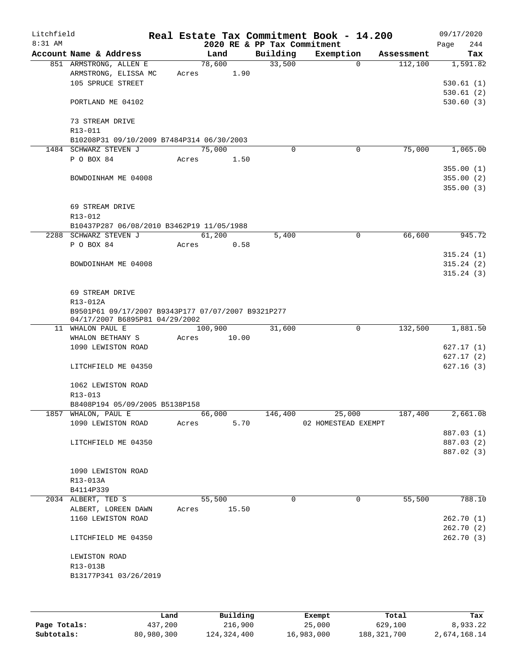| Litchfield |                                                       |       |                |                             | Real Estate Tax Commitment Book - 14.200 |            | 09/17/2020  |  |
|------------|-------------------------------------------------------|-------|----------------|-----------------------------|------------------------------------------|------------|-------------|--|
| $8:31$ AM  |                                                       |       |                | 2020 RE & PP Tax Commitment |                                          |            | 244<br>Page |  |
|            | Account Name & Address                                |       | Land           | Building                    | Exemption                                | Assessment | Tax         |  |
|            | 851 ARMSTRONG, ALLEN E<br>ARMSTRONG, ELISSA MC        | Acres | 78,600<br>1.90 | 33,500                      | $\mathbf 0$                              | 112,100    | 1,591.82    |  |
|            | 105 SPRUCE STREET                                     |       |                |                             |                                          |            | 530.61(1)   |  |
|            |                                                       |       |                |                             |                                          |            | 530.61(2)   |  |
|            | PORTLAND ME 04102                                     |       |                |                             |                                          |            | 530.60(3)   |  |
|            |                                                       |       |                |                             |                                          |            |             |  |
|            | 73 STREAM DRIVE                                       |       |                |                             |                                          |            |             |  |
|            | R13-011                                               |       |                |                             |                                          |            |             |  |
|            | B10208P31 09/10/2009 B7484P314 06/30/2003             |       |                |                             |                                          |            |             |  |
|            | 1484 SCHWARZ STEVEN J                                 |       | 75,000         | $\Omega$                    | 0                                        | 75,000     | 1,065.00    |  |
|            | P O BOX 84                                            | Acres | 1.50           |                             |                                          |            |             |  |
|            |                                                       |       |                |                             |                                          |            | 355.00(1)   |  |
|            | BOWDOINHAM ME 04008                                   |       |                |                             |                                          |            | 355.00(2)   |  |
|            |                                                       |       |                |                             |                                          |            | 355.00(3)   |  |
|            |                                                       |       |                |                             |                                          |            |             |  |
|            | 69 STREAM DRIVE                                       |       |                |                             |                                          |            |             |  |
|            | R13-012                                               |       |                |                             |                                          |            |             |  |
|            | B10437P287 06/08/2010 B3462P19 11/05/1988             |       |                |                             |                                          |            |             |  |
|            | 2288 SCHWARZ STEVEN J                                 |       | 61,200         | 5,400                       | 0                                        | 66,600     | 945.72      |  |
|            | P O BOX 84                                            | Acres | 0.58           |                             |                                          |            | 315.24(1)   |  |
|            | BOWDOINHAM ME 04008                                   |       |                |                             |                                          |            | 315.24(2)   |  |
|            |                                                       |       |                |                             |                                          |            | 315.24(3)   |  |
|            |                                                       |       |                |                             |                                          |            |             |  |
|            | 69 STREAM DRIVE                                       |       |                |                             |                                          |            |             |  |
|            | R13-012A                                              |       |                |                             |                                          |            |             |  |
|            | B9501P61 09/17/2007 B9343P177 07/07/2007 B9321P277    |       |                |                             |                                          |            |             |  |
|            | 04/17/2007 B6895P81 04/29/2002                        |       |                |                             |                                          |            |             |  |
|            | 11 WHALON PAUL E                                      |       | 100,900        | 31,600                      | 0                                        | 132,500    | 1,881.50    |  |
|            | WHALON BETHANY S                                      | Acres | 10.00          |                             |                                          |            |             |  |
|            | 1090 LEWISTON ROAD                                    |       |                |                             |                                          |            | 627.17(1)   |  |
|            |                                                       |       |                |                             |                                          |            | 627.17(2)   |  |
|            | LITCHFIELD ME 04350                                   |       |                |                             |                                          |            | 627.16(3)   |  |
|            |                                                       |       |                |                             |                                          |            |             |  |
|            | 1062 LEWISTON ROAD                                    |       |                |                             |                                          |            |             |  |
|            | R13-013                                               |       |                |                             |                                          |            |             |  |
|            | B8408P194 05/09/2005 B5138P158<br>1857 WHALON, PAUL E |       | 66,000         | 146,400                     | 25,000                                   | 187,400    | 2,661.08    |  |
|            | 1090 LEWISTON ROAD                                    | Acres | 5.70           |                             | 02 HOMESTEAD EXEMPT                      |            |             |  |
|            |                                                       |       |                |                             |                                          |            | 887.03 (1)  |  |
|            | LITCHFIELD ME 04350                                   |       |                |                             |                                          |            | 887.03 (2)  |  |
|            |                                                       |       |                |                             |                                          |            | 887.02 (3)  |  |
|            |                                                       |       |                |                             |                                          |            |             |  |
|            | 1090 LEWISTON ROAD                                    |       |                |                             |                                          |            |             |  |
|            | R13-013A                                              |       |                |                             |                                          |            |             |  |
|            | B4114P339                                             |       |                |                             |                                          |            |             |  |
|            | 2034 ALBERT, TED S                                    |       | 55,500         | 0                           | 0                                        | 55,500     | 788.10      |  |
|            | ALBERT, LOREEN DAWN                                   | Acres | 15.50          |                             |                                          |            |             |  |
|            | 1160 LEWISTON ROAD                                    |       |                |                             |                                          |            | 262.70(1)   |  |
|            |                                                       |       |                |                             |                                          |            | 262.70(2)   |  |
|            | LITCHFIELD ME 04350                                   |       |                |                             |                                          |            | 262.70(3)   |  |
|            |                                                       |       |                |                             |                                          |            |             |  |
|            | LEWISTON ROAD                                         |       |                |                             |                                          |            |             |  |
|            | R13-013B                                              |       |                |                             |                                          |            |             |  |
|            | B13177P341 03/26/2019                                 |       |                |                             |                                          |            |             |  |
|            |                                                       |       |                |                             |                                          |            |             |  |
|            |                                                       |       |                |                             |                                          |            |             |  |
|            |                                                       |       |                |                             |                                          |            |             |  |

|              | Land       | Building    | Exempt     | Total         | Tax          |
|--------------|------------|-------------|------------|---------------|--------------|
| Page Totals: | 437,200    | 216,900     | 25,000     | 629,100       | 8,933.22     |
| Subtotals:   | 80,980,300 | 124,324,400 | 16,983,000 | 188, 321, 700 | 2,674,168.14 |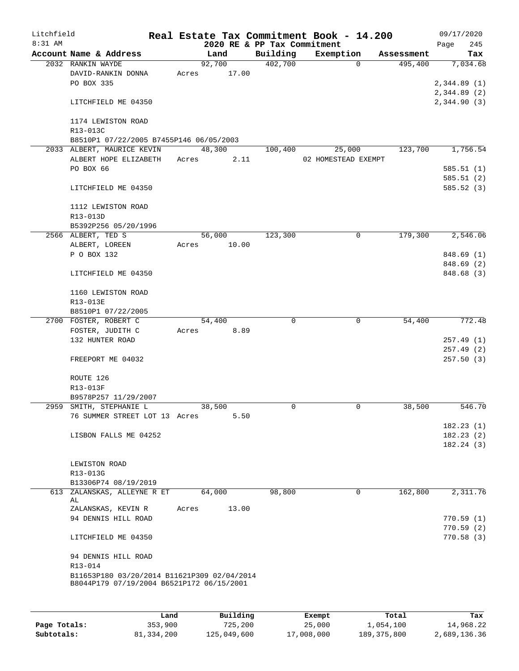| Litchfield |                                                                                          |       |                 |                             | Real Estate Tax Commitment Book - 14.200 |            |      | 09/17/2020             |
|------------|------------------------------------------------------------------------------------------|-------|-----------------|-----------------------------|------------------------------------------|------------|------|------------------------|
| 8:31 AM    |                                                                                          |       |                 | 2020 RE & PP Tax Commitment |                                          |            | Page | 245                    |
|            | Account Name & Address                                                                   |       | Land            | Building<br>402,700         | Exemption<br>$\Omega$                    | Assessment |      | Tax                    |
|            | 2032 RANKIN WAYDE<br>DAVID-RANKIN DONNA                                                  | Acres | 92,700<br>17.00 |                             |                                          | 495,400    |      | 7,034.68               |
|            | PO BOX 335                                                                               |       |                 |                             |                                          |            |      | 2,344.89(1)            |
|            |                                                                                          |       |                 |                             |                                          |            |      | 2,344.89(2)            |
|            | LITCHFIELD ME 04350                                                                      |       |                 |                             |                                          |            |      | 2,344.90(3)            |
|            | 1174 LEWISTON ROAD                                                                       |       |                 |                             |                                          |            |      |                        |
|            | R13-013C                                                                                 |       |                 |                             |                                          |            |      |                        |
|            | B8510P1 07/22/2005 B7455P146 06/05/2003                                                  |       |                 |                             |                                          |            |      |                        |
|            | 2033 ALBERT, MAURICE KEVIN                                                               |       | 48,300          | 100,400                     | 25,000                                   | 123,700    |      | 1,756.54               |
|            | ALBERT HOPE ELIZABETH                                                                    | Acres | 2.11            |                             | 02 HOMESTEAD EXEMPT                      |            |      |                        |
|            | PO BOX 66                                                                                |       |                 |                             |                                          |            |      | 585.51(1)<br>585.51(2) |
|            | LITCHFIELD ME 04350                                                                      |       |                 |                             |                                          |            |      | 585.52(3)              |
|            | 1112 LEWISTON ROAD                                                                       |       |                 |                             |                                          |            |      |                        |
|            | R13-013D                                                                                 |       |                 |                             |                                          |            |      |                        |
|            | B5392P256 05/20/1996                                                                     |       |                 |                             |                                          |            |      |                        |
|            | 2566 ALBERT, TED S                                                                       |       | 56,000          | 123,300                     | 0                                        | 179,300    |      | 2,546.06               |
|            | ALBERT, LOREEN                                                                           | Acres | 10.00           |                             |                                          |            |      |                        |
|            | P O BOX 132                                                                              |       |                 |                             |                                          |            |      | 848.69 (1)             |
|            |                                                                                          |       |                 |                             |                                          |            |      | 848.69 (2)             |
|            | LITCHFIELD ME 04350                                                                      |       |                 |                             |                                          |            |      | 848.68 (3)             |
|            | 1160 LEWISTON ROAD                                                                       |       |                 |                             |                                          |            |      |                        |
|            | R13-013E                                                                                 |       |                 |                             |                                          |            |      |                        |
|            | B8510P1 07/22/2005                                                                       |       |                 |                             |                                          |            |      |                        |
|            | 2700 FOSTER, ROBERT C                                                                    |       | 54,400          | 0                           | $\mathbf 0$                              | 54,400     |      | 772.48                 |
|            | FOSTER, JUDITH C<br>132 HUNTER ROAD                                                      | Acres | 8.89            |                             |                                          |            |      | 257.49(1)              |
|            |                                                                                          |       |                 |                             |                                          |            |      | 257.49(2)              |
|            | FREEPORT ME 04032                                                                        |       |                 |                             |                                          |            |      | 257.50(3)              |
|            | ROUTE 126                                                                                |       |                 |                             |                                          |            |      |                        |
|            | R13-013F                                                                                 |       |                 |                             |                                          |            |      |                        |
|            | B9578P257 11/29/2007                                                                     |       |                 |                             |                                          |            |      |                        |
|            | 2959 SMITH, STEPHANIE L                                                                  |       | 38,500          | 0                           | 0                                        | 38,500     |      | 546.70                 |
|            | 76 SUMMER STREET LOT 13 Acres                                                            |       | 5.50            |                             |                                          |            |      |                        |
|            |                                                                                          |       |                 |                             |                                          |            |      | 182.23(1)              |
|            | LISBON FALLS ME 04252                                                                    |       |                 |                             |                                          |            |      | 182.23(2)<br>182.24(3) |
|            |                                                                                          |       |                 |                             |                                          |            |      |                        |
|            | LEWISTON ROAD                                                                            |       |                 |                             |                                          |            |      |                        |
|            | R13-013G                                                                                 |       |                 |                             |                                          |            |      |                        |
|            | B13306P74 08/19/2019                                                                     |       |                 |                             |                                          |            |      |                        |
|            | 613 ZALANSKAS, ALLEYNE R ET<br>AL                                                        |       | 64,000          | 98,800                      | 0                                        | 162,800    |      | 2,311.76               |
|            | ZALANSKAS, KEVIN R                                                                       | Acres | 13.00           |                             |                                          |            |      |                        |
|            | 94 DENNIS HILL ROAD                                                                      |       |                 |                             |                                          |            |      | 770.59(1)              |
|            |                                                                                          |       |                 |                             |                                          |            |      | 770.59(2)              |
|            | LITCHFIELD ME 04350                                                                      |       |                 |                             |                                          |            |      | 770.58(3)              |
|            | 94 DENNIS HILL ROAD                                                                      |       |                 |                             |                                          |            |      |                        |
|            | R13-014                                                                                  |       |                 |                             |                                          |            |      |                        |
|            | B11653P180 03/20/2014 B11621P309 02/04/2014<br>B8044P179 07/19/2004 B6521P172 06/15/2001 |       |                 |                             |                                          |            |      |                        |
|            |                                                                                          |       |                 |                             |                                          |            |      |                        |
|            |                                                                                          |       |                 |                             |                                          |            |      |                        |

|              | Land       | Building    | Exempt     | Total         | Tax          |
|--------------|------------|-------------|------------|---------------|--------------|
| Page Totals: | 353,900    | 725,200     | 25,000     | 1,054,100     | 14,968.22    |
| Subtotals:   | 81,334,200 | 125,049,600 | 17,008,000 | 189, 375, 800 | 2,689,136.36 |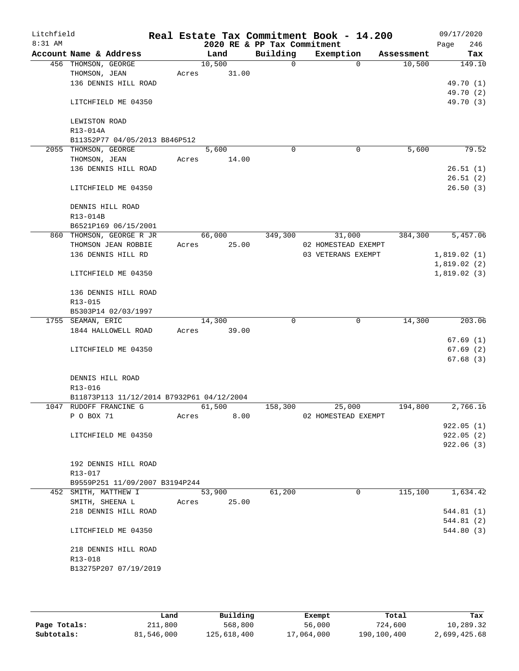| Litchfield<br>$8:31$ AM |                      |                                           |       |        |       | 2020 RE & PP Tax Commitment | Real Estate Tax Commitment Book - 14.200 |            | 09/17/2020<br>246<br>Page |
|-------------------------|----------------------|-------------------------------------------|-------|--------|-------|-----------------------------|------------------------------------------|------------|---------------------------|
|                         |                      | Account Name & Address                    |       | Land   |       | Building                    | Exemption                                | Assessment | Tax                       |
|                         | 456 THOMSON, GEORGE  |                                           |       | 10,500 |       | $\Omega$                    | $\Omega$                                 | 10,500     | 149.10                    |
|                         | THOMSON, JEAN        |                                           | Acres |        | 31.00 |                             |                                          |            |                           |
|                         |                      | 136 DENNIS HILL ROAD                      |       |        |       |                             |                                          |            | 49.70 (1)                 |
|                         |                      |                                           |       |        |       |                             |                                          |            | 49.70 (2)                 |
|                         |                      | LITCHFIELD ME 04350                       |       |        |       |                             |                                          |            | 49.70 (3)                 |
|                         |                      |                                           |       |        |       |                             |                                          |            |                           |
|                         | LEWISTON ROAD        |                                           |       |        |       |                             |                                          |            |                           |
|                         | R13-014A             |                                           |       |        |       |                             |                                          |            |                           |
|                         |                      | B11352P77 04/05/2013 B846P512             |       |        |       |                             |                                          |            |                           |
|                         | 2055 THOMSON, GEORGE |                                           |       | 5,600  |       | $\mathbf 0$                 | $\mathbf 0$                              | 5,600      | 79.52                     |
|                         | THOMSON, JEAN        |                                           | Acres |        | 14.00 |                             |                                          |            |                           |
|                         |                      | 136 DENNIS HILL ROAD                      |       |        |       |                             |                                          |            | 26.51(1)                  |
|                         |                      |                                           |       |        |       |                             |                                          |            | 26.51(2)                  |
|                         |                      | LITCHFIELD ME 04350                       |       |        |       |                             |                                          |            | 26.50(3)                  |
|                         |                      | DENNIS HILL ROAD                          |       |        |       |                             |                                          |            |                           |
|                         | R13-014B             |                                           |       |        |       |                             |                                          |            |                           |
|                         |                      | B6521P169 06/15/2001                      |       |        |       |                             |                                          |            |                           |
|                         |                      | 860 THOMSON, GEORGE R JR                  |       | 66,000 |       | 349,300                     | 31,000                                   | 384,300    | 5,457.06                  |
|                         |                      | THOMSON JEAN ROBBIE                       | Acres |        | 25.00 |                             | 02 HOMESTEAD EXEMPT                      |            |                           |
|                         |                      | 136 DENNIS HILL RD                        |       |        |       |                             | 03 VETERANS EXEMPT                       |            | 1,819.02(1)               |
|                         |                      |                                           |       |        |       |                             |                                          |            | 1,819.02(2)               |
|                         |                      | LITCHFIELD ME 04350                       |       |        |       |                             |                                          |            | 1,819.02(3)               |
|                         |                      | 136 DENNIS HILL ROAD                      |       |        |       |                             |                                          |            |                           |
|                         | R13-015              |                                           |       |        |       |                             |                                          |            |                           |
|                         |                      | B5303P14 02/03/1997                       |       |        |       |                             |                                          |            |                           |
|                         | 1755 SEAMAN, ERIC    |                                           |       | 14,300 |       | 0                           | 0                                        | 14,300     | 203.06                    |
|                         |                      | 1844 HALLOWELL ROAD                       | Acres |        | 39.00 |                             |                                          |            |                           |
|                         |                      |                                           |       |        |       |                             |                                          |            | 67.69(1)                  |
|                         |                      | LITCHFIELD ME 04350                       |       |        |       |                             |                                          |            | 67.69(2)                  |
|                         |                      |                                           |       |        |       |                             |                                          |            | 67.68(3)                  |
|                         |                      | DENNIS HILL ROAD                          |       |        |       |                             |                                          |            |                           |
|                         | R13-016              |                                           |       |        |       |                             |                                          |            |                           |
|                         |                      | B11873P113 11/12/2014 B7932P61 04/12/2004 |       |        |       |                             |                                          |            |                           |
|                         |                      | 1047 RUDOFF FRANCINE G                    |       | 61,500 |       | 158,300                     | 25,000                                   | 194,800    | 2,766.16                  |
|                         | P O BOX 71           |                                           | Acres |        | 8.00  |                             | 02 HOMESTEAD EXEMPT                      |            |                           |
|                         |                      |                                           |       |        |       |                             |                                          |            | 922.05(1)                 |
|                         |                      | LITCHFIELD ME 04350                       |       |        |       |                             |                                          |            | 922.05(2)                 |
|                         |                      |                                           |       |        |       |                             |                                          |            | 922.06(3)                 |
|                         |                      |                                           |       |        |       |                             |                                          |            |                           |
|                         |                      | 192 DENNIS HILL ROAD                      |       |        |       |                             |                                          |            |                           |
|                         | R13-017              | B9559P251 11/09/2007 B3194P244            |       |        |       |                             |                                          |            |                           |
|                         |                      | 452 SMITH, MATTHEW I                      |       | 53,900 |       | 61,200                      | 0                                        | 115,100    | 1,634.42                  |
|                         | SMITH, SHEENA L      |                                           | Acres |        | 25.00 |                             |                                          |            |                           |
|                         |                      | 218 DENNIS HILL ROAD                      |       |        |       |                             |                                          |            | 544.81 (1)                |
|                         |                      |                                           |       |        |       |                             |                                          |            | 544.81 (2)                |
|                         |                      | LITCHFIELD ME 04350                       |       |        |       |                             |                                          |            | 544.80 (3)                |
|                         |                      | 218 DENNIS HILL ROAD                      |       |        |       |                             |                                          |            |                           |
|                         | R13-018              |                                           |       |        |       |                             |                                          |            |                           |
|                         |                      | B13275P207 07/19/2019                     |       |        |       |                             |                                          |            |                           |
|                         |                      |                                           |       |        |       |                             |                                          |            |                           |
|                         |                      |                                           |       |        |       |                             |                                          |            |                           |

|              | Land       | Building    | Exempt     | Total       | Tax          |
|--------------|------------|-------------|------------|-------------|--------------|
| Page Totals: | 211,800    | 568,800     | 56,000     | 724,600     | 10,289.32    |
| Subtotals:   | 81,546,000 | 125,618,400 | 17,064,000 | 190,100,400 | 2,699,425.68 |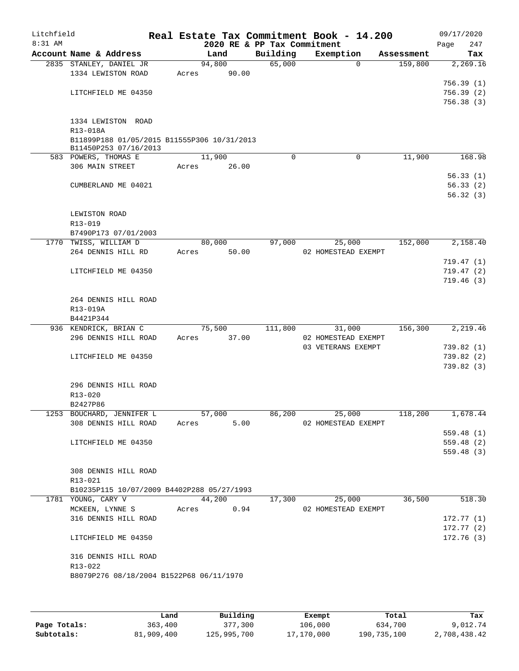| Litchfield |                                                                  |                |       |                             | Real Estate Tax Commitment Book - 14.200 |                       | 09/17/2020      |  |
|------------|------------------------------------------------------------------|----------------|-------|-----------------------------|------------------------------------------|-----------------------|-----------------|--|
| 8:31 AM    |                                                                  | Land           |       | 2020 RE & PP Tax Commitment |                                          |                       | 247<br>Page     |  |
|            | Account Name & Address<br>2835 STANLEY, DANIEL JR                | 94,800         |       | Building<br>65,000          | Exemption<br>0                           | Assessment<br>159,800 | Tax<br>2,269.16 |  |
|            | 1334 LEWISTON ROAD                                               | 90.00<br>Acres |       |                             |                                          |                       |                 |  |
|            |                                                                  |                |       |                             |                                          |                       | 756.39(1)       |  |
|            | LITCHFIELD ME 04350                                              |                |       |                             |                                          |                       | 756.39(2)       |  |
|            |                                                                  |                |       |                             |                                          |                       | 756.38 (3)      |  |
|            | 1334 LEWISTON ROAD                                               |                |       |                             |                                          |                       |                 |  |
|            | R13-018A                                                         |                |       |                             |                                          |                       |                 |  |
|            | B11899P188 01/05/2015 B11555P306 10/31/2013                      |                |       |                             |                                          |                       |                 |  |
|            | B11450P253 07/16/2013                                            |                |       |                             |                                          |                       |                 |  |
|            | 583 POWERS, THOMAS E                                             | 11,900         |       | $\Omega$                    | $\Omega$                                 | 11,900                | 168.98          |  |
|            | 306 MAIN STREET                                                  | 26.00<br>Acres |       |                             |                                          |                       | 56.33(1)        |  |
|            | CUMBERLAND ME 04021                                              |                |       |                             |                                          |                       | 56.33(2)        |  |
|            |                                                                  |                |       |                             |                                          |                       | 56.32(3)        |  |
|            |                                                                  |                |       |                             |                                          |                       |                 |  |
|            | LEWISTON ROAD                                                    |                |       |                             |                                          |                       |                 |  |
|            | R13-019                                                          |                |       |                             |                                          |                       |                 |  |
|            | B7490P173 07/01/2003<br>1770 TWISS, WILLIAM D                    | 80,000         |       | 97,000                      | 25,000                                   | 152,000               | 2,158.40        |  |
|            | 264 DENNIS HILL RD                                               | Acres          | 50.00 |                             | 02 HOMESTEAD EXEMPT                      |                       |                 |  |
|            |                                                                  |                |       |                             |                                          |                       | 719.47 (1)      |  |
|            | LITCHFIELD ME 04350                                              |                |       |                             |                                          |                       | 719.47(2)       |  |
|            |                                                                  |                |       |                             |                                          |                       | 719.46(3)       |  |
|            |                                                                  |                |       |                             |                                          |                       |                 |  |
|            | 264 DENNIS HILL ROAD<br>R13-019A                                 |                |       |                             |                                          |                       |                 |  |
|            | B4421P344                                                        |                |       |                             |                                          |                       |                 |  |
|            | 936 KENDRICK, BRIAN C                                            | 75,500         |       | 111,800                     | 31,000                                   | 156,300               | 2,219.46        |  |
|            | 296 DENNIS HILL ROAD                                             | Acres          | 37.00 |                             | 02 HOMESTEAD EXEMPT                      |                       |                 |  |
|            |                                                                  |                |       |                             | 03 VETERANS EXEMPT                       |                       | 739.82(1)       |  |
|            | LITCHFIELD ME 04350                                              |                |       |                             |                                          |                       | 739.82(2)       |  |
|            |                                                                  |                |       |                             |                                          |                       | 739.82 (3)      |  |
|            | 296 DENNIS HILL ROAD                                             |                |       |                             |                                          |                       |                 |  |
|            | R13-020                                                          |                |       |                             |                                          |                       |                 |  |
|            | B2427P86                                                         |                |       |                             |                                          |                       |                 |  |
|            | 1253 BOUCHARD, JENNIFER L                                        | 57,000         |       | 86,200                      | 25,000                                   | 118,200               | 1,678.44        |  |
|            | 308 DENNIS HILL ROAD                                             | Acres          | 5.00  |                             | 02 HOMESTEAD EXEMPT                      |                       | 559.48(1)       |  |
|            | LITCHFIELD ME 04350                                              |                |       |                             |                                          |                       | 559.48 (2)      |  |
|            |                                                                  |                |       |                             |                                          |                       | 559.48(3)       |  |
|            |                                                                  |                |       |                             |                                          |                       |                 |  |
|            | 308 DENNIS HILL ROAD                                             |                |       |                             |                                          |                       |                 |  |
|            | R13-021                                                          |                |       |                             |                                          |                       |                 |  |
|            | B10235P115 10/07/2009 B4402P288 05/27/1993<br>1781 YOUNG, CARY V | 44,200         |       | 17,300                      | 25,000                                   | 36,500                | 518.30          |  |
|            | MCKEEN, LYNNE S                                                  | Acres          | 0.94  |                             | 02 HOMESTEAD EXEMPT                      |                       |                 |  |
|            | 316 DENNIS HILL ROAD                                             |                |       |                             |                                          |                       | 172.77(1)       |  |
|            |                                                                  |                |       |                             |                                          |                       | 172.77(2)       |  |
|            | LITCHFIELD ME 04350                                              |                |       |                             |                                          |                       | 172.76(3)       |  |
|            | 316 DENNIS HILL ROAD                                             |                |       |                             |                                          |                       |                 |  |
|            | R13-022                                                          |                |       |                             |                                          |                       |                 |  |
|            | B8079P276 08/18/2004 B1522P68 06/11/1970                         |                |       |                             |                                          |                       |                 |  |
|            |                                                                  |                |       |                             |                                          |                       |                 |  |
|            |                                                                  |                |       |                             |                                          |                       |                 |  |

|              | Land       | Building    | Exempt     | Total       | Tax          |
|--------------|------------|-------------|------------|-------------|--------------|
| Page Totals: | 363,400    | 377,300     | 106,000    | 634,700     | 9,012.74     |
| Subtotals:   | 81,909,400 | 125,995,700 | 17,170,000 | 190,735,100 | 2,708,438.42 |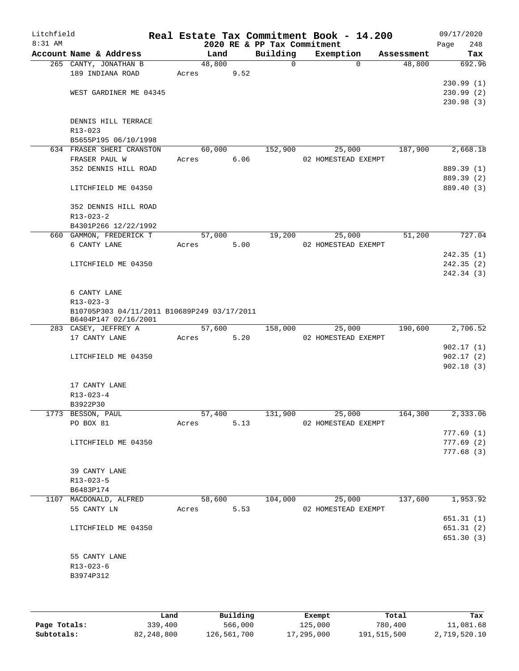| Litchfield<br>$8:31$ AM |                                                   |        |      | 2020 RE & PP Tax Commitment | Real Estate Tax Commitment Book - 14.200 |            | 09/17/2020<br>Page<br>248 |
|-------------------------|---------------------------------------------------|--------|------|-----------------------------|------------------------------------------|------------|---------------------------|
|                         | Account Name & Address                            | Land   |      | Building                    | Exemption                                | Assessment | Tax                       |
|                         | 265 CANTY, JONATHAN B                             | 48,800 |      | $\mathbf 0$                 | $\Omega$                                 | 48,800     | 692.96                    |
|                         | 189 INDIANA ROAD                                  | Acres  | 9.52 |                             |                                          |            |                           |
|                         |                                                   |        |      |                             |                                          |            | 230.99(1)                 |
|                         | WEST GARDINER ME 04345                            |        |      |                             |                                          |            | 230.99(2)                 |
|                         |                                                   |        |      |                             |                                          |            | 230.98(3)                 |
|                         |                                                   |        |      |                             |                                          |            |                           |
|                         | DENNIS HILL TERRACE                               |        |      |                             |                                          |            |                           |
|                         | R13-023                                           |        |      |                             |                                          |            |                           |
|                         | B5655P195 06/10/1998<br>634 FRASER SHERI CRANSTON | 60,000 |      | 152,900                     | 25,000                                   | 187,900    | 2,668.18                  |
|                         | FRASER PAUL W                                     | Acres  | 6.06 |                             | 02 HOMESTEAD EXEMPT                      |            |                           |
|                         | 352 DENNIS HILL ROAD                              |        |      |                             |                                          |            | 889.39 (1)                |
|                         |                                                   |        |      |                             |                                          |            | 889.39 (2)                |
|                         | LITCHFIELD ME 04350                               |        |      |                             |                                          |            | 889.40 (3)                |
|                         |                                                   |        |      |                             |                                          |            |                           |
|                         | 352 DENNIS HILL ROAD                              |        |      |                             |                                          |            |                           |
|                         | $R13 - 023 - 2$                                   |        |      |                             |                                          |            |                           |
|                         | B4301P266 12/22/1992                              |        |      |                             |                                          |            |                           |
|                         | 660 GAMMON, FREDERICK T                           | 57,000 |      | 19,200                      | 25,000                                   | 51,200     | 727.04                    |
|                         | 6 CANTY LANE                                      | Acres  | 5.00 |                             | 02 HOMESTEAD EXEMPT                      |            |                           |
|                         |                                                   |        |      |                             |                                          |            | 242.35(1)                 |
|                         | LITCHFIELD ME 04350                               |        |      |                             |                                          |            | 242.35(2)                 |
|                         |                                                   |        |      |                             |                                          |            | 242.34 (3)                |
|                         | 6 CANTY LANE                                      |        |      |                             |                                          |            |                           |
|                         | $R13 - 023 - 3$                                   |        |      |                             |                                          |            |                           |
|                         | B10705P303 04/11/2011 B10689P249 03/17/2011       |        |      |                             |                                          |            |                           |
|                         | B6404P147 02/16/2001                              |        |      |                             |                                          |            |                           |
|                         | 283 CASEY, JEFFREY A                              | 57,600 |      | 158,000                     | 25,000                                   | 190,600    | 2,706.52                  |
|                         | 17 CANTY LANE                                     | Acres  | 5.20 |                             | 02 HOMESTEAD EXEMPT                      |            |                           |
|                         |                                                   |        |      |                             |                                          |            | 902.17(1)                 |
|                         | LITCHFIELD ME 04350                               |        |      |                             |                                          |            | 902.17(2)                 |
|                         |                                                   |        |      |                             |                                          |            | 902.18(3)                 |
|                         | 17 CANTY LANE                                     |        |      |                             |                                          |            |                           |
|                         | $R13 - 023 - 4$                                   |        |      |                             |                                          |            |                           |
|                         | B3922P30                                          |        |      |                             |                                          |            |                           |
|                         | 1773 BESSON, PAUL                                 | 57,400 |      | 131,900                     | 25,000                                   | 164,300    | 2,333.06                  |
|                         | PO BOX 81                                         | Acres  | 5.13 |                             | 02 HOMESTEAD EXEMPT                      |            |                           |
|                         |                                                   |        |      |                             |                                          |            | 777.69(1)                 |
|                         | LITCHFIELD ME 04350                               |        |      |                             |                                          |            | 777.69(2)                 |
|                         |                                                   |        |      |                             |                                          |            | 777.68(3)                 |
|                         |                                                   |        |      |                             |                                          |            |                           |
|                         | 39 CANTY LANE<br>R13-023-5                        |        |      |                             |                                          |            |                           |
|                         | B6483P174                                         |        |      |                             |                                          |            |                           |
|                         | 1107 MACDONALD, ALFRED                            | 58,600 |      | 104,000                     | 25,000                                   | 137,600    | 1,953.92                  |
|                         | 55 CANTY LN                                       | Acres  | 5.53 |                             | 02 HOMESTEAD EXEMPT                      |            |                           |
|                         |                                                   |        |      |                             |                                          |            | 651.31 (1)                |
|                         | LITCHFIELD ME 04350                               |        |      |                             |                                          |            | 651.31(2)                 |
|                         |                                                   |        |      |                             |                                          |            | 651.30(3)                 |
|                         |                                                   |        |      |                             |                                          |            |                           |
|                         | 55 CANTY LANE                                     |        |      |                             |                                          |            |                           |
|                         | $R13 - 023 - 6$                                   |        |      |                             |                                          |            |                           |
|                         | B3974P312                                         |        |      |                             |                                          |            |                           |
|                         |                                                   |        |      |                             |                                          |            |                           |
|                         |                                                   |        |      |                             |                                          |            |                           |

|              | Land       | Building    | Exempt     | Total       | Tax          |
|--------------|------------|-------------|------------|-------------|--------------|
| Page Totals: | 339,400    | 566,000     | 125,000    | 780,400     | 11,081.68    |
| Subtotals:   | 82,248,800 | 126,561,700 | 17,295,000 | 191,515,500 | 2,719,520.10 |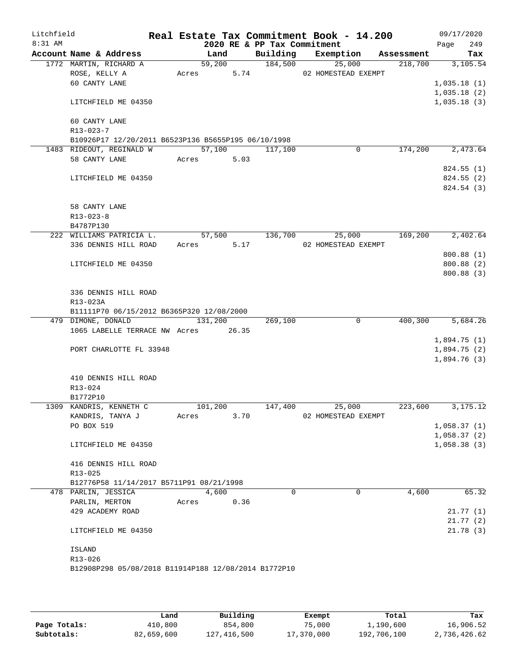| Litchfield<br>8:31 AM |                                                      |            |         |      | 2020 RE & PP Tax Commitment | Real Estate Tax Commitment Book - 14.200 |         | 09/17/2020<br>249 |
|-----------------------|------------------------------------------------------|------------|---------|------|-----------------------------|------------------------------------------|---------|-------------------|
|                       | Account Name & Address                               |            | Land    |      |                             | Building Exemption Assessment            |         | Page<br>Tax       |
|                       | 1772 MARTIN, RICHARD A                               |            | 59,200  |      | 184,500                     | 25,000                                   |         | 218,700 3,105.54  |
|                       | ROSE, KELLY A                                        | Acres 5.74 |         |      |                             | 02 HOMESTEAD EXEMPT                      |         |                   |
|                       | 60 CANTY LANE                                        |            |         |      |                             |                                          |         | 1,035.18(1)       |
|                       |                                                      |            |         |      |                             |                                          |         | 1,035.18(2)       |
|                       | LITCHFIELD ME 04350                                  |            |         |      |                             |                                          |         | 1,035.18(3)       |
|                       | 60 CANTY LANE                                        |            |         |      |                             |                                          |         |                   |
|                       | $R13 - 023 - 7$                                      |            |         |      |                             |                                          |         |                   |
|                       | B10926P17 12/20/2011 B6523P136 B5655P195 06/10/1998  |            |         |      |                             |                                          |         |                   |
|                       | 1483 RIDEOUT, REGINALD W                             |            | 57,100  |      | 117,100                     | $\mathbf 0$                              | 174,200 | 2,473.64          |
|                       | 58 CANTY LANE                                        | Acres 5.03 |         |      |                             |                                          |         |                   |
|                       |                                                      |            |         |      |                             |                                          |         | 824.55 (1)        |
|                       | LITCHFIELD ME 04350                                  |            |         |      |                             |                                          |         | 824.55 (2)        |
|                       |                                                      |            |         |      |                             |                                          |         | 824.54 (3)        |
|                       | 58 CANTY LANE                                        |            |         |      |                             |                                          |         |                   |
|                       | $R13 - 023 - 8$                                      |            |         |      |                             |                                          |         |                   |
|                       | B4787P130                                            |            |         |      |                             |                                          |         |                   |
|                       | 222 WILLIAMS PATRICIA L.                             |            | 57,500  |      | 136,700                     | 25,000                                   | 169,200 | 2,402.64          |
|                       | 336 DENNIS HILL ROAD                                 | Acres 5.17 |         |      |                             | 02 HOMESTEAD EXEMPT                      |         |                   |
|                       |                                                      |            |         |      |                             |                                          |         | 800.88 (1)        |
|                       | LITCHFIELD ME 04350                                  |            |         |      |                             |                                          |         | 800.88 (2)        |
|                       |                                                      |            |         |      |                             |                                          |         | 800.88 (3)        |
|                       | 336 DENNIS HILL ROAD                                 |            |         |      |                             |                                          |         |                   |
|                       | R13-023A                                             |            |         |      |                             |                                          |         |                   |
|                       | B11111P70 06/15/2012 B6365P320 12/08/2000            |            |         |      |                             |                                          |         |                   |
|                       | 479 DIMONE, DONALD 131,200                           |            |         |      | 269,100                     | $\mathbf 0$                              |         | 400,300 5,684.26  |
|                       | 1065 LABELLE TERRACE NW Acres 26.35                  |            |         |      |                             |                                          |         |                   |
|                       |                                                      |            |         |      |                             |                                          |         | 1,894.75(1)       |
|                       | PORT CHARLOTTE FL 33948                              |            |         |      |                             |                                          |         | 1,894.75(2)       |
|                       |                                                      |            |         |      |                             |                                          |         | 1,894.76(3)       |
|                       | 410 DENNIS HILL ROAD                                 |            |         |      |                             |                                          |         |                   |
|                       | R13-024                                              |            |         |      |                             |                                          |         |                   |
|                       | B1772P10                                             |            |         |      |                             |                                          |         |                   |
|                       | 1309 KANDRIS, KENNETH C                              |            | 101,200 |      | 147,400                     | 25,000                                   | 223,600 | 3, 175, 12        |
|                       | KANDRIS, TANYA J                                     | Acres      |         | 3.70 |                             | 02 HOMESTEAD EXEMPT                      |         |                   |
|                       | PO BOX 519                                           |            |         |      |                             |                                          |         | 1,058.37(1)       |
|                       |                                                      |            |         |      |                             |                                          |         | 1,058.37(2)       |
|                       | LITCHFIELD ME 04350                                  |            |         |      |                             |                                          |         | 1,058.38(3)       |
|                       | 416 DENNIS HILL ROAD                                 |            |         |      |                             |                                          |         |                   |
|                       | R13-025                                              |            |         |      |                             |                                          |         |                   |
|                       | B12776P58 11/14/2017 B5711P91 08/21/1998             |            |         |      |                             |                                          |         |                   |
|                       | 478 PARLIN, JESSICA                                  |            | 4,600   |      | 0                           | 0                                        | 4,600   | 65.32             |
|                       | PARLIN, MERTON                                       | Acres      |         | 0.36 |                             |                                          |         |                   |
|                       | 429 ACADEMY ROAD                                     |            |         |      |                             |                                          |         | 21.77(1)          |
|                       |                                                      |            |         |      |                             |                                          |         | 21.77(2)          |
|                       | LITCHFIELD ME 04350                                  |            |         |      |                             |                                          |         | 21.78(3)          |
|                       | ISLAND                                               |            |         |      |                             |                                          |         |                   |
|                       | R13-026                                              |            |         |      |                             |                                          |         |                   |
|                       | B12908P298 05/08/2018 B11914P188 12/08/2014 B1772P10 |            |         |      |                             |                                          |         |                   |
|                       |                                                      |            |         |      |                             |                                          |         |                   |

|              | Land       | Building    | Exempt     | Total       | Tax          |
|--------------|------------|-------------|------------|-------------|--------------|
| Page Totals: | 410,800    | 854,800     | 75,000     | 1,190,600   | 16,906.52    |
| Subtotals:   | 82,659,600 | 127,416,500 | 17,370,000 | 192,706,100 | 2,736,426.62 |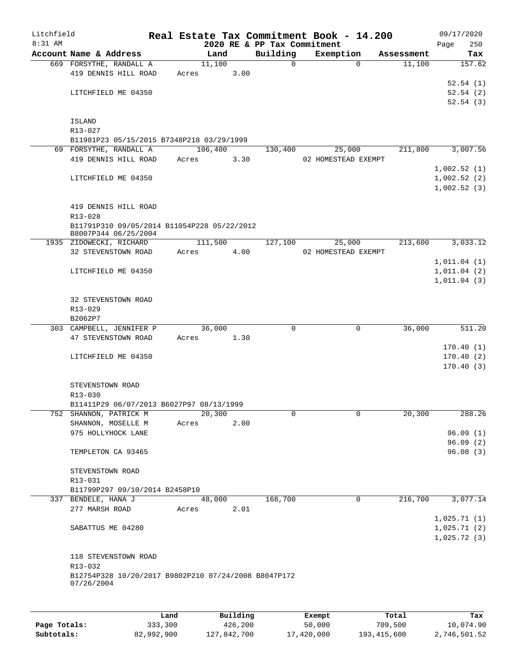| Litchfield |                                                                    |       |         |                        | Real Estate Tax Commitment Book - 14.200 |                                         |              |            |             | 09/17/2020             |
|------------|--------------------------------------------------------------------|-------|---------|------------------------|------------------------------------------|-----------------------------------------|--------------|------------|-------------|------------------------|
| 8:31 AM    |                                                                    |       |         |                        | 2020 RE & PP Tax Commitment              |                                         |              |            | Page        | 250                    |
|            | Account Name & Address                                             |       | Land    |                        | Building                                 | Exemption                               |              | Assessment |             | Tax                    |
|            | 669 FORSYTHE, RANDALL A                                            |       | 11,100  |                        | 0                                        |                                         | $\Omega$     | 11,100     |             | 157.62                 |
|            | 419 DENNIS HILL ROAD                                               | Acres |         | 3.00                   |                                          |                                         |              |            |             |                        |
|            |                                                                    |       |         |                        |                                          |                                         |              |            |             | 52.54(1)               |
|            | LITCHFIELD ME 04350                                                |       |         |                        |                                          |                                         |              |            |             | 52.54(2)<br>52.54(3)   |
|            |                                                                    |       |         |                        |                                          |                                         |              |            |             |                        |
|            | <b>ISLAND</b>                                                      |       |         |                        |                                          |                                         |              |            |             |                        |
|            | R13-027                                                            |       |         |                        |                                          |                                         |              |            |             |                        |
|            | B11981P23 05/15/2015 B7348P218 03/29/1999                          |       |         |                        |                                          |                                         |              |            |             |                        |
|            | 69 FORSYTHE, RANDALL A                                             |       | 106,400 |                        | 130,400                                  | 25,000                                  |              | 211,800    |             | 3,007.56               |
|            | 419 DENNIS HILL ROAD                                               | Acres |         | 3.30                   |                                          | 02 HOMESTEAD EXEMPT                     |              |            |             |                        |
|            |                                                                    |       |         |                        |                                          |                                         |              |            | 1,002.52(1) |                        |
|            | LITCHFIELD ME 04350                                                |       |         |                        |                                          |                                         |              |            | 1,002.52(2) |                        |
|            |                                                                    |       |         |                        |                                          |                                         |              |            | 1,002.52(3) |                        |
|            |                                                                    |       |         |                        |                                          |                                         |              |            |             |                        |
|            | 419 DENNIS HILL ROAD                                               |       |         |                        |                                          |                                         |              |            |             |                        |
|            | R13-028                                                            |       |         |                        |                                          |                                         |              |            |             |                        |
|            | B11791P310 09/05/2014 B11054P228 05/22/2012                        |       |         |                        |                                          |                                         |              |            |             |                        |
|            | B8007P344 06/25/2004                                               |       |         |                        |                                          |                                         |              |            |             |                        |
|            | 1935 ZIDOWECKI, RICHARD                                            |       | 111,500 |                        | 127,100                                  | 25,000                                  |              | 213,600    |             | 3,033.12               |
|            | 32 STEVENSTOWN ROAD                                                | Acres |         | 4.00                   |                                          | 02 HOMESTEAD EXEMPT                     |              |            |             |                        |
|            |                                                                    |       |         |                        |                                          |                                         |              |            | 1,011.04(1) |                        |
|            | LITCHFIELD ME 04350                                                |       |         |                        |                                          |                                         |              |            | 1,011.04(2) |                        |
|            |                                                                    |       |         |                        |                                          |                                         |              |            | 1,011.04(3) |                        |
|            |                                                                    |       |         |                        |                                          |                                         |              |            |             |                        |
|            | 32 STEVENSTOWN ROAD                                                |       |         |                        |                                          |                                         |              |            |             |                        |
|            | R13-029                                                            |       |         |                        |                                          |                                         |              |            |             |                        |
|            | B2062P7                                                            |       |         |                        |                                          |                                         |              |            |             |                        |
|            | 303 CAMPBELL, JENNIFER P                                           |       | 36,000  |                        | 0                                        |                                         | 0            | 36,000     |             | 511.20                 |
|            | 47 STEVENSTOWN ROAD                                                | Acres |         | 1.30                   |                                          |                                         |              |            |             |                        |
|            |                                                                    |       |         |                        |                                          |                                         |              |            |             | 170.40(1)              |
|            | LITCHFIELD ME 04350                                                |       |         |                        |                                          |                                         |              |            |             | 170.40(2)<br>170.40(3) |
|            |                                                                    |       |         |                        |                                          |                                         |              |            |             |                        |
|            | STEVENSTOWN ROAD                                                   |       |         |                        |                                          |                                         |              |            |             |                        |
|            | R13-030                                                            |       |         |                        |                                          |                                         |              |            |             |                        |
|            | B11411P29 06/07/2013 B6027P97 08/13/1999                           |       |         |                        |                                          |                                         |              |            |             |                        |
|            | 752 SHANNON, PATRICK M                                             |       | 20,300  |                        | 0                                        |                                         | $\mathbf{0}$ | 20,300     |             | 288.26                 |
|            | SHANNON, MOSELLE M                                                 | Acres |         | 2.00                   |                                          |                                         |              |            |             |                        |
|            | 975 HOLLYHOCK LANE                                                 |       |         |                        |                                          |                                         |              |            |             | 96.09(1)               |
|            |                                                                    |       |         |                        |                                          |                                         |              |            |             | 96.09(2)               |
|            | TEMPLETON CA 93465                                                 |       |         |                        |                                          |                                         |              |            |             | 96.08(3)               |
|            |                                                                    |       |         |                        |                                          |                                         |              |            |             |                        |
|            | STEVENSTOWN ROAD                                                   |       |         |                        |                                          |                                         |              |            |             |                        |
|            | R13-031                                                            |       |         |                        |                                          |                                         |              |            |             |                        |
|            | B11799P297 09/10/2014 B2458P10                                     |       |         |                        |                                          |                                         |              |            |             |                        |
|            | 337 BENDELE, HANA J                                                |       | 48,000  |                        | 168,700                                  |                                         | 0            | 216,700    |             | 3,077.14               |
|            | 277 MARSH ROAD                                                     | Acres |         | 2.01                   |                                          |                                         |              |            |             |                        |
|            |                                                                    |       |         |                        |                                          |                                         |              |            | 1,025.71(1) |                        |
|            | SABATTUS ME 04280                                                  |       |         |                        |                                          |                                         |              |            | 1,025.71(2) |                        |
|            |                                                                    |       |         |                        |                                          |                                         |              |            | 1,025.72(3) |                        |
|            |                                                                    |       |         |                        |                                          |                                         |              |            |             |                        |
|            | 118 STEVENSTOWN ROAD                                               |       |         |                        |                                          |                                         |              |            |             |                        |
|            | R13-032                                                            |       |         |                        |                                          |                                         |              |            |             |                        |
|            | B12754P328 10/20/2017 B9802P210 07/24/2008 B8047P172<br>07/26/2004 |       |         |                        |                                          |                                         |              |            |             |                        |
|            |                                                                    |       |         |                        |                                          |                                         |              |            |             |                        |
|            |                                                                    |       |         |                        |                                          |                                         |              |            |             |                        |
|            |                                                                    |       |         | $D_{11}$ in $A$ in $A$ |                                          |                                         |              |            |             |                        |
|            |                                                                    |       |         |                        |                                          | $P$ <sub>i</sub> $\sim$ mm <sup>+</sup> |              | $T - 1$    |             | π.                     |

|              | Land       | Building    | Exempt     | Total         | Tax          |
|--------------|------------|-------------|------------|---------------|--------------|
| Page Totals: | 333,300    | 426,200     | 50,000     | 709,500       | 10,074.90    |
| Subtotals:   | 82,992,900 | 127,842,700 | 17,420,000 | 193, 415, 600 | 2,746,501.52 |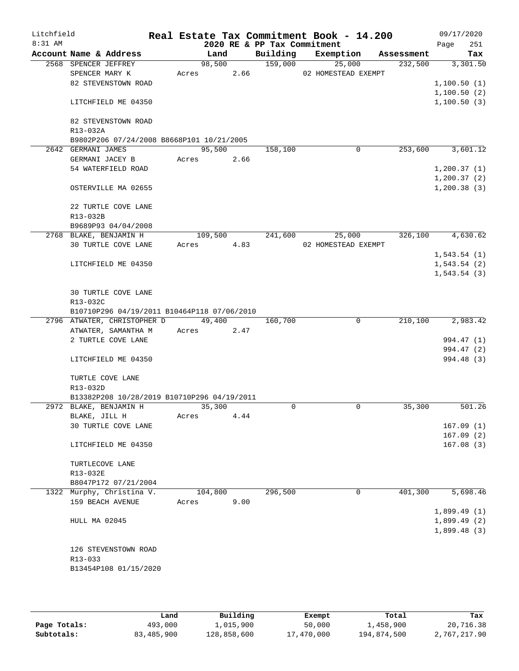| Litchfield<br>8:31 AM |                      |                                               |                  |      |                                         | Real Estate Tax Commitment Book - 14.200 |            | 09/17/2020               |
|-----------------------|----------------------|-----------------------------------------------|------------------|------|-----------------------------------------|------------------------------------------|------------|--------------------------|
|                       |                      | Account Name & Address                        | Land             |      | 2020 RE & PP Tax Commitment<br>Building | Exemption                                | Assessment | 251<br>Page<br>Tax       |
|                       | 2568 SPENCER JEFFREY |                                               | 98,500           |      | 159,000                                 | 25,000                                   | 232,500    | 3,301.50                 |
|                       | SPENCER MARY K       |                                               | Acres            | 2.66 |                                         | 02 HOMESTEAD EXEMPT                      |            |                          |
|                       |                      | 82 STEVENSTOWN ROAD                           |                  |      |                                         |                                          |            | 1,100.50(1)              |
|                       |                      |                                               |                  |      |                                         |                                          |            | 1,100.50(2)              |
|                       |                      | LITCHFIELD ME 04350                           |                  |      |                                         |                                          |            | 1,100.50(3)              |
|                       |                      | 82 STEVENSTOWN ROAD                           |                  |      |                                         |                                          |            |                          |
|                       | R13-032A             |                                               |                  |      |                                         |                                          |            |                          |
|                       |                      | B9802P206 07/24/2008 B8668P101 10/21/2005     |                  |      |                                         |                                          |            |                          |
|                       | 2642 GERMANI JAMES   |                                               | 95,500           |      | 158,100                                 | 0                                        | 253,600    | 3,601.12                 |
|                       |                      | GERMANI JACEY B<br>54 WATERFIELD ROAD         | Acres            | 2.66 |                                         |                                          |            | 1, 200.37(1)             |
|                       |                      |                                               |                  |      |                                         |                                          |            | 1, 200.37(2)             |
|                       |                      | OSTERVILLE MA 02655                           |                  |      |                                         |                                          |            | 1, 200.38(3)             |
|                       |                      | 22 TURTLE COVE LANE                           |                  |      |                                         |                                          |            |                          |
|                       | R13-032B             |                                               |                  |      |                                         |                                          |            |                          |
|                       |                      | B9689P93 04/04/2008                           |                  |      |                                         |                                          |            |                          |
|                       |                      | 2768 BLAKE, BENJAMIN H<br>30 TURTLE COVE LANE | 109,500<br>Acres | 4.83 | 241,600                                 | 25,000<br>02 HOMESTEAD EXEMPT            | 326,100    | 4,630.62                 |
|                       |                      |                                               |                  |      |                                         |                                          |            | 1,543.54(1)              |
|                       |                      | LITCHFIELD ME 04350                           |                  |      |                                         |                                          |            | 1,543.54(2)              |
|                       |                      |                                               |                  |      |                                         |                                          |            | 1, 543.54(3)             |
|                       |                      |                                               |                  |      |                                         |                                          |            |                          |
|                       |                      | 30 TURTLE COVE LANE                           |                  |      |                                         |                                          |            |                          |
|                       | R13-032C             |                                               |                  |      |                                         |                                          |            |                          |
|                       |                      | B10710P296 04/19/2011 B10464P118 07/06/2010   |                  |      |                                         |                                          |            |                          |
|                       |                      | 2796 ATWATER, CHRISTOPHER D                   | 49,400           |      | 160,700                                 | $\mathbf 0$                              | 210,100    | 2,983.42                 |
|                       |                      | ATWATER, SAMANTHA M                           | Acres            | 2.47 |                                         |                                          |            |                          |
|                       |                      | 2 TURTLE COVE LANE                            |                  |      |                                         |                                          |            | 994.47 (1)<br>994.47 (2) |
|                       |                      | LITCHFIELD ME 04350                           |                  |      |                                         |                                          |            | 994.48 (3)               |
|                       |                      |                                               |                  |      |                                         |                                          |            |                          |
|                       |                      | TURTLE COVE LANE                              |                  |      |                                         |                                          |            |                          |
|                       | R13-032D             |                                               |                  |      |                                         |                                          |            |                          |
|                       |                      | B13382P208 10/28/2019 B10710P296 04/19/2011   |                  |      |                                         |                                          |            |                          |
|                       |                      | 2972 BLAKE, BENJAMIN H                        | 35,300<br>Acres  | 4.44 | $\Omega$                                | $\mathbf 0$                              | 35,300     | 501.26                   |
|                       | BLAKE, JILL H        | 30 TURTLE COVE LANE                           |                  |      |                                         |                                          |            | 167.09(1)                |
|                       |                      |                                               |                  |      |                                         |                                          |            | 167.09(2)                |
|                       |                      | LITCHFIELD ME 04350                           |                  |      |                                         |                                          |            | 167.08(3)                |
|                       |                      | TURTLECOVE LANE                               |                  |      |                                         |                                          |            |                          |
|                       | R13-032E             |                                               |                  |      |                                         |                                          |            |                          |
|                       |                      | B8047P172 07/21/2004                          |                  |      |                                         |                                          |            |                          |
|                       |                      | 1322 Murphy, Christina V.                     | 104,800          |      | 296,500                                 | 0                                        | 401,300    | 5,698.46                 |
|                       |                      | 159 BEACH AVENUE                              | Acres            | 9.00 |                                         |                                          |            | 1,899.49(1)              |
|                       | HULL MA 02045        |                                               |                  |      |                                         |                                          |            | 1,899.49(2)              |
|                       |                      |                                               |                  |      |                                         |                                          |            | 1,899.48(3)              |
|                       |                      |                                               |                  |      |                                         |                                          |            |                          |
|                       |                      | 126 STEVENSTOWN ROAD                          |                  |      |                                         |                                          |            |                          |
|                       | R13-033              |                                               |                  |      |                                         |                                          |            |                          |
|                       |                      | B13454P108 01/15/2020                         |                  |      |                                         |                                          |            |                          |
|                       |                      |                                               |                  |      |                                         |                                          |            |                          |

|              | Land       | Building    | Exempt     | Total       | Tax          |
|--------------|------------|-------------|------------|-------------|--------------|
| Page Totals: | 493,000    | .,015,900   | 50,000     | 1,458,900   | 20,716.38    |
| Subtotals:   | 83,485,900 | 128,858,600 | 17,470,000 | 194,874,500 | 2,767,217.90 |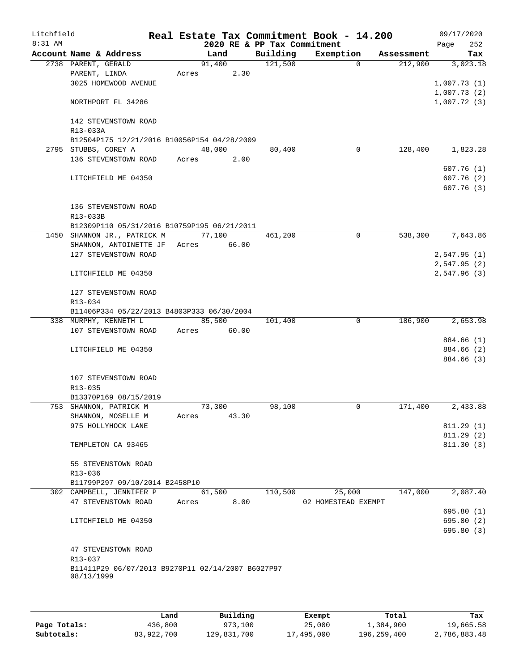| Litchfield<br>8:31 AM |                                          |                                                   |       |        | Real Estate Tax Commitment Book - 14.200<br>2020 RE & PP Tax Commitment |                     |             |            | Page | 09/17/2020<br>252      |
|-----------------------|------------------------------------------|---------------------------------------------------|-------|--------|-------------------------------------------------------------------------|---------------------|-------------|------------|------|------------------------|
|                       | Account Name & Address                   |                                                   |       | Land   | Building                                                                | Exemption           |             | Assessment |      | Tax                    |
|                       | 2738 PARENT, GERALD                      |                                                   |       | 91,400 | 121,500                                                                 |                     | $\Omega$    | 212,900    |      | 3,023.18               |
|                       | PARENT, LINDA                            |                                                   | Acres | 2.30   |                                                                         |                     |             |            |      |                        |
|                       |                                          | 3025 HOMEWOOD AVENUE                              |       |        |                                                                         |                     |             |            |      | 1,007.73(1)            |
|                       |                                          |                                                   |       |        |                                                                         |                     |             |            |      | 1,007.73(2)            |
|                       | NORTHPORT FL 34286                       |                                                   |       |        |                                                                         |                     |             |            |      | 1,007.72(3)            |
|                       |                                          | 142 STEVENSTOWN ROAD                              |       |        |                                                                         |                     |             |            |      |                        |
|                       | R13-033A                                 |                                                   |       |        |                                                                         |                     |             |            |      |                        |
|                       |                                          | B12504P175 12/21/2016 B10056P154 04/28/2009       |       |        |                                                                         |                     |             |            |      |                        |
|                       | 2795 STUBBS, COREY A                     |                                                   |       | 48,000 | 80,400                                                                  |                     | 0           | 128,400    |      | 1,823.28               |
|                       |                                          | 136 STEVENSTOWN ROAD                              | Acres | 2.00   |                                                                         |                     |             |            |      |                        |
|                       |                                          |                                                   |       |        |                                                                         |                     |             |            |      | 607.76(1)              |
|                       | LITCHFIELD ME 04350                      |                                                   |       |        |                                                                         |                     |             |            |      | 607.76(2)              |
|                       |                                          |                                                   |       |        |                                                                         |                     |             |            |      | 607.76(3)              |
|                       |                                          |                                                   |       |        |                                                                         |                     |             |            |      |                        |
|                       | R13-033B                                 | 136 STEVENSTOWN ROAD                              |       |        |                                                                         |                     |             |            |      |                        |
|                       |                                          | B12309P110 05/31/2016 B10759P195 06/21/2011       |       |        |                                                                         |                     |             |            |      |                        |
|                       |                                          | 1450 SHANNON JR., PATRICK M                       |       | 77,100 | 461,200                                                                 |                     | $\mathbf 0$ | 538,300    |      | 7,643.86               |
|                       |                                          | SHANNON, ANTOINETTE JF                            | Acres | 66.00  |                                                                         |                     |             |            |      |                        |
|                       |                                          | 127 STEVENSTOWN ROAD                              |       |        |                                                                         |                     |             |            |      | 2,547.95(1)            |
|                       |                                          |                                                   |       |        |                                                                         |                     |             |            |      | 2,547.95(2)            |
|                       | LITCHFIELD ME 04350                      |                                                   |       |        |                                                                         |                     |             |            |      | 2,547.96(3)            |
|                       |                                          |                                                   |       |        |                                                                         |                     |             |            |      |                        |
|                       |                                          | 127 STEVENSTOWN ROAD                              |       |        |                                                                         |                     |             |            |      |                        |
|                       | R13-034                                  |                                                   |       |        |                                                                         |                     |             |            |      |                        |
|                       | 338 MURPHY, KENNETH L                    | B11406P334 05/22/2013 B4803P333 06/30/2004        |       | 85,500 | 101,400                                                                 |                     | 0           | 186,900    |      | 2,653.98               |
|                       |                                          | 107 STEVENSTOWN ROAD                              | Acres | 60.00  |                                                                         |                     |             |            |      |                        |
|                       |                                          |                                                   |       |        |                                                                         |                     |             |            |      | 884.66 (1)             |
|                       | LITCHFIELD ME 04350                      |                                                   |       |        |                                                                         |                     |             |            |      | 884.66 (2)             |
|                       |                                          |                                                   |       |        |                                                                         |                     |             |            |      | 884.66 (3)             |
|                       |                                          |                                                   |       |        |                                                                         |                     |             |            |      |                        |
|                       |                                          | 107 STEVENSTOWN ROAD                              |       |        |                                                                         |                     |             |            |      |                        |
|                       | R13-035                                  |                                                   |       |        |                                                                         |                     |             |            |      |                        |
|                       |                                          | B13370P169 08/15/2019                             |       |        |                                                                         |                     |             |            |      |                        |
|                       | 753 SHANNON, PATRICK M                   |                                                   |       | 73,300 | 98,100                                                                  |                     | 0           | 171,400    |      | 2,433.88               |
|                       | SHANNON, MOSELLE M<br>975 HOLLYHOCK LANE |                                                   | Acres | 43.30  |                                                                         |                     |             |            |      |                        |
|                       |                                          |                                                   |       |        |                                                                         |                     |             |            |      | 811.29(1)<br>811.29(2) |
|                       | TEMPLETON CA 93465                       |                                                   |       |        |                                                                         |                     |             |            |      | 811.30(3)              |
|                       |                                          |                                                   |       |        |                                                                         |                     |             |            |      |                        |
|                       |                                          | 55 STEVENSTOWN ROAD                               |       |        |                                                                         |                     |             |            |      |                        |
|                       | R13-036                                  |                                                   |       |        |                                                                         |                     |             |            |      |                        |
|                       |                                          | B11799P297 09/10/2014 B2458P10                    |       |        |                                                                         |                     |             |            |      |                        |
|                       |                                          | 302 CAMPBELL, JENNIFER P                          |       | 61,500 | 110,500                                                                 |                     | 25,000      | 147,000    |      | 2,087.40               |
|                       |                                          | 47 STEVENSTOWN ROAD                               | Acres | 8.00   |                                                                         | 02 HOMESTEAD EXEMPT |             |            |      |                        |
|                       |                                          |                                                   |       |        |                                                                         |                     |             |            |      | 695.80 (1)             |
|                       | LITCHFIELD ME 04350                      |                                                   |       |        |                                                                         |                     |             |            |      | 695.80(2)              |
|                       |                                          |                                                   |       |        |                                                                         |                     |             |            |      | 695.80 (3)             |
|                       |                                          |                                                   |       |        |                                                                         |                     |             |            |      |                        |
|                       |                                          | 47 STEVENSTOWN ROAD                               |       |        |                                                                         |                     |             |            |      |                        |
|                       | R13-037                                  |                                                   |       |        |                                                                         |                     |             |            |      |                        |
|                       |                                          | B11411P29 06/07/2013 B9270P11 02/14/2007 B6027P97 |       |        |                                                                         |                     |             |            |      |                        |
|                       | 08/13/1999                               |                                                   |       |        |                                                                         |                     |             |            |      |                        |
|                       |                                          |                                                   |       |        |                                                                         |                     |             |            |      |                        |

|              | Land       | Building    | Exempt     | Total       | Tax          |
|--------------|------------|-------------|------------|-------------|--------------|
| Page Totals: | 436,800    | 973,100     | 25,000     | 1,384,900   | 19,665.58    |
| Subtotals:   | 83,922,700 | 129,831,700 | 17,495,000 | 196,259,400 | 2,786,883.48 |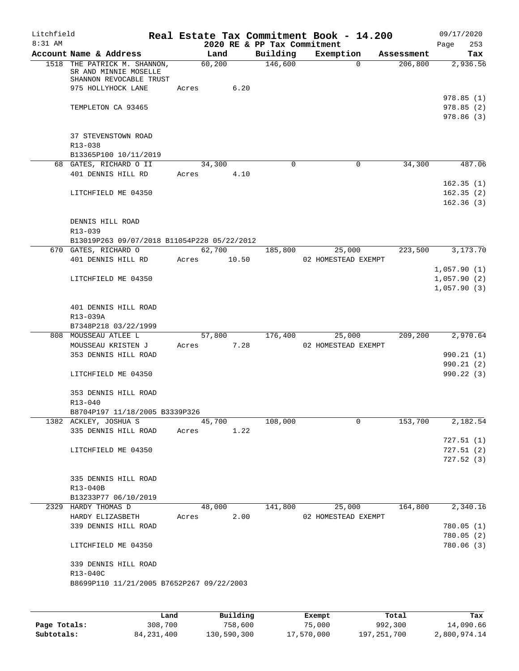| Litchfield<br>8:31 AM |                                                                                  |       |        | 2020 RE & PP Tax Commitment | Real Estate Tax Commitment Book - 14.200 |            | 09/17/2020<br>253<br>Page |
|-----------------------|----------------------------------------------------------------------------------|-------|--------|-----------------------------|------------------------------------------|------------|---------------------------|
|                       | Account Name & Address                                                           |       | Land   | Building                    | Exemption                                | Assessment | Tax                       |
|                       | 1518 THE PATRICK M. SHANNON,<br>SR AND MINNIE MOSELLE<br>SHANNON REVOCABLE TRUST |       | 60,200 | 146,600                     | $\Omega$                                 | 206,800    | 2,936.56                  |
|                       | 975 HOLLYHOCK LANE                                                               | Acres | 6.20   |                             |                                          |            | 978.85(1)                 |
|                       | TEMPLETON CA 93465                                                               |       |        |                             |                                          |            | 978.85(2)<br>978.86(3)    |
|                       | 37 STEVENSTOWN ROAD                                                              |       |        |                             |                                          |            |                           |
|                       | R13-038                                                                          |       |        |                             |                                          |            |                           |
|                       | B13365P100 10/11/2019                                                            |       | 34,300 | $\Omega$                    | 0                                        | 34,300     | 487.06                    |
|                       | 68 GATES, RICHARD O II                                                           |       |        |                             |                                          |            |                           |
|                       | 401 DENNIS HILL RD                                                               | Acres | 4.10   |                             |                                          |            | 162.35(1)                 |
|                       | LITCHFIELD ME 04350                                                              |       |        |                             |                                          |            | 162.35(2)<br>162.36(3)    |
|                       | DENNIS HILL ROAD<br>R13-039                                                      |       |        |                             |                                          |            |                           |
|                       | B13019P263 09/07/2018 B11054P228 05/22/2012                                      |       |        |                             |                                          |            |                           |
|                       | 670 GATES, RICHARD O                                                             |       | 62,700 | 185,800                     | 25,000                                   | 223,500    | 3,173.70                  |
|                       | 401 DENNIS HILL RD Acres 10.50                                                   |       |        |                             | 02 HOMESTEAD EXEMPT                      |            |                           |
|                       |                                                                                  |       |        |                             |                                          |            | 1,057.90(1)               |
|                       | LITCHFIELD ME 04350                                                              |       |        |                             |                                          |            | 1,057.90(2)               |
|                       |                                                                                  |       |        |                             |                                          |            | 1,057.90(3)               |
|                       | 401 DENNIS HILL ROAD<br>R13-039A                                                 |       |        |                             |                                          |            |                           |
|                       | B7348P218 03/22/1999                                                             |       |        |                             |                                          |            |                           |
|                       | 808 MOUSSEAU ATLEE L                                                             |       | 57,800 | 176,400                     | 25,000                                   | 209,200    | 2,970.64                  |
|                       | MOUSSEAU KRISTEN J                                                               | Acres | 7.28   |                             | 02 HOMESTEAD EXEMPT                      |            |                           |
|                       | 353 DENNIS HILL ROAD                                                             |       |        |                             |                                          |            | 990.21 (1)                |
|                       | LITCHFIELD ME 04350                                                              |       |        |                             |                                          |            | 990.21(2)<br>990.22 (3)   |
|                       |                                                                                  |       |        |                             |                                          |            |                           |
|                       | 353 DENNIS HILL ROAD<br>R13-040                                                  |       |        |                             |                                          |            |                           |
|                       | B8704P197 11/18/2005 B3339P326                                                   |       |        |                             |                                          |            |                           |
|                       | 1382 ACKLEY, JOSHUA S                                                            |       | 45,700 | 108,000                     | $\Omega$                                 | 153,700    | 2,182.54                  |
|                       | 335 DENNIS HILL ROAD                                                             | Acres | 1.22   |                             |                                          |            |                           |
|                       |                                                                                  |       |        |                             |                                          |            | 727.51(1)                 |
|                       | LITCHFIELD ME 04350                                                              |       |        |                             |                                          |            | 727.51(2)                 |
|                       |                                                                                  |       |        |                             |                                          |            | 727.52(3)                 |
|                       | 335 DENNIS HILL ROAD<br>R13-040B                                                 |       |        |                             |                                          |            |                           |
|                       | B13233P77 06/10/2019                                                             |       |        |                             |                                          |            |                           |
|                       | 2329 HARDY THOMAS D                                                              |       | 48,000 | 141,800                     | 25,000                                   | 164,800    | 2,340.16                  |
|                       | HARDY ELIZASBETH                                                                 | Acres | 2.00   |                             | 02 HOMESTEAD EXEMPT                      |            |                           |
|                       | 339 DENNIS HILL ROAD                                                             |       |        |                             |                                          |            | 780.05(1)                 |
|                       |                                                                                  |       |        |                             |                                          |            | 780.05(2)                 |
|                       | LITCHFIELD ME 04350                                                              |       |        |                             |                                          |            | 780.06 (3)                |
|                       | 339 DENNIS HILL ROAD                                                             |       |        |                             |                                          |            |                           |
|                       | R13-040C                                                                         |       |        |                             |                                          |            |                           |
|                       | B8699P110 11/21/2005 B7652P267 09/22/2003                                        |       |        |                             |                                          |            |                           |
|                       |                                                                                  |       |        |                             |                                          |            |                           |

|              | Land         | Building    | Exempt     | Total       | Tax          |
|--------------|--------------|-------------|------------|-------------|--------------|
| Page Totals: | 308,700      | 758,600     | 75,000     | 992,300     | 14,090.66    |
| Subtotals:   | 84, 231, 400 | 130,590,300 | 17,570,000 | 197,251,700 | 2,800,974.14 |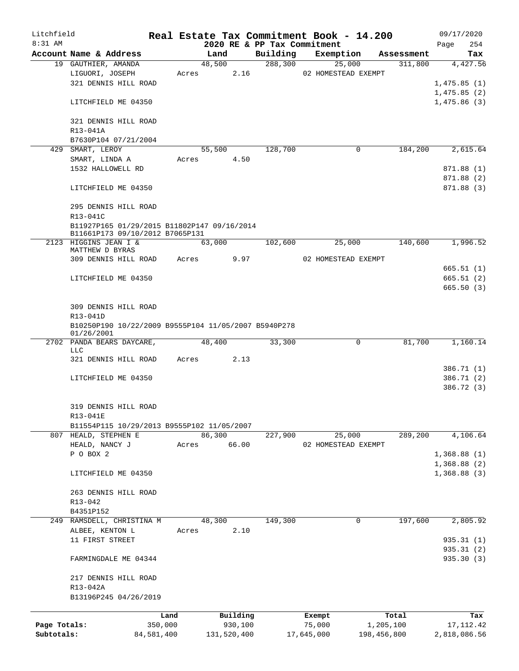| Litchfield   |                                                                    |            |       |             |          |                             | Real Estate Tax Commitment Book - 14.200 |             |            |                            | 09/17/2020               |
|--------------|--------------------------------------------------------------------|------------|-------|-------------|----------|-----------------------------|------------------------------------------|-------------|------------|----------------------------|--------------------------|
| 8:31 AM      |                                                                    |            |       |             |          | 2020 RE & PP Tax Commitment |                                          |             |            | Page                       | 254                      |
|              | Account Name & Address                                             |            |       | Land        |          | Building                    | Exemption                                |             | Assessment |                            | Tax                      |
|              | 19 GAUTHIER, AMANDA<br>LIGUORI, JOSEPH                             |            |       | 48,500      |          | 288,300                     |                                          | 25,000      | 311,800    |                            | 4,427.56                 |
|              | 321 DENNIS HILL ROAD                                               |            | Acres |             | 2.16     |                             | 02 HOMESTEAD EXEMPT                      |             |            | 1,475.85(1)                |                          |
|              |                                                                    |            |       |             |          |                             |                                          |             |            | 1,475.85(2)                |                          |
|              | LITCHFIELD ME 04350                                                |            |       |             |          |                             |                                          |             |            | 1,475.86(3)                |                          |
|              | 321 DENNIS HILL ROAD                                               |            |       |             |          |                             |                                          |             |            |                            |                          |
|              | R13-041A                                                           |            |       |             |          |                             |                                          |             |            |                            |                          |
|              | B7630P104 07/21/2004                                               |            |       |             |          |                             |                                          |             |            |                            |                          |
|              | 429 SMART, LEROY                                                   |            |       | 55,500      |          | 128,700                     |                                          | 0           | 184,200    |                            | 2,615.64                 |
|              | SMART, LINDA A                                                     |            | Acres |             | 4.50     |                             |                                          |             |            |                            |                          |
|              | 1532 HALLOWELL RD                                                  |            |       |             |          |                             |                                          |             |            |                            | 871.88 (1)               |
|              | LITCHFIELD ME 04350                                                |            |       |             |          |                             |                                          |             |            |                            | 871.88 (2)<br>871.88 (3) |
|              |                                                                    |            |       |             |          |                             |                                          |             |            |                            |                          |
|              | 295 DENNIS HILL ROAD<br>R13-041C                                   |            |       |             |          |                             |                                          |             |            |                            |                          |
|              | B11927P165 01/29/2015 B11802P147 09/16/2014                        |            |       |             |          |                             |                                          |             |            |                            |                          |
|              | B11661P173 09/10/2012 B7065P131                                    |            |       |             |          |                             |                                          |             |            |                            |                          |
|              | 2123 HIGGINS JEAN I &                                              |            |       | 63,000      |          | 102,600                     |                                          | 25,000      | 140,600    |                            | 1,996.52                 |
|              | MATTHEW D BYRAS                                                    |            | Acres |             |          |                             |                                          |             |            |                            |                          |
|              | 309 DENNIS HILL ROAD                                               |            |       |             | 9.97     |                             | 02 HOMESTEAD EXEMPT                      |             |            |                            | 665.51(1)                |
|              | LITCHFIELD ME 04350                                                |            |       |             |          |                             |                                          |             |            |                            | 665.51(2)                |
|              |                                                                    |            |       |             |          |                             |                                          |             |            |                            | 665.50(3)                |
|              |                                                                    |            |       |             |          |                             |                                          |             |            |                            |                          |
|              | 309 DENNIS HILL ROAD                                               |            |       |             |          |                             |                                          |             |            |                            |                          |
|              | R13-041D                                                           |            |       |             |          |                             |                                          |             |            |                            |                          |
|              | B10250P190 10/22/2009 B9555P104 11/05/2007 B5940P278<br>01/26/2001 |            |       |             |          |                             |                                          |             |            |                            |                          |
|              | 2702 PANDA BEARS DAYCARE,                                          |            |       | 48,400      |          | 33,300                      |                                          | $\mathbf 0$ | 81,700     |                            | 1,160.14                 |
|              | LLC<br>321 DENNIS HILL ROAD                                        |            |       |             | 2.13     |                             |                                          |             |            |                            |                          |
|              |                                                                    |            | Acres |             |          |                             |                                          |             |            |                            | 386.71 (1)               |
|              | LITCHFIELD ME 04350                                                |            |       |             |          |                             |                                          |             |            |                            | 386.71 (2)               |
|              |                                                                    |            |       |             |          |                             |                                          |             |            |                            | 386.72 (3)               |
|              |                                                                    |            |       |             |          |                             |                                          |             |            |                            |                          |
|              | 319 DENNIS HILL ROAD                                               |            |       |             |          |                             |                                          |             |            |                            |                          |
|              | R13-041E                                                           |            |       |             |          |                             |                                          |             |            |                            |                          |
|              | B11554P115 10/29/2013 B9555P102 11/05/2007                         |            |       |             |          |                             |                                          |             |            |                            |                          |
|              | 807 HEALD, STEPHEN E                                               |            |       | 86,300      |          | 227,900                     |                                          | 25,000      | 289,200    |                            | 4,106.64                 |
|              | HEALD, NANCY J                                                     |            | Acres |             | 66.00    |                             | 02 HOMESTEAD EXEMPT                      |             |            |                            |                          |
|              | P O BOX 2                                                          |            |       |             |          |                             |                                          |             |            | 1,368.88(1)<br>1,368.88(2) |                          |
|              | LITCHFIELD ME 04350                                                |            |       |             |          |                             |                                          |             |            | 1,368.88(3)                |                          |
|              |                                                                    |            |       |             |          |                             |                                          |             |            |                            |                          |
|              | 263 DENNIS HILL ROAD                                               |            |       |             |          |                             |                                          |             |            |                            |                          |
|              | R13-042                                                            |            |       |             |          |                             |                                          |             |            |                            |                          |
|              | B4351P152                                                          |            |       |             |          |                             |                                          |             |            |                            |                          |
|              | 249 RAMSDELL, CHRISTINA M                                          |            |       | 48,300      |          | 149,300                     |                                          | 0           | 197,600    |                            | 2,805.92                 |
|              | ALBEE, KENTON L                                                    |            | Acres |             | 2.10     |                             |                                          |             |            |                            |                          |
|              | 11 FIRST STREET                                                    |            |       |             |          |                             |                                          |             |            |                            | 935.31(1)<br>935.31 (2)  |
|              | FARMINGDALE ME 04344                                               |            |       |             |          |                             |                                          |             |            |                            | 935.30 (3)               |
|              | 217 DENNIS HILL ROAD                                               |            |       |             |          |                             |                                          |             |            |                            |                          |
|              | R13-042A                                                           |            |       |             |          |                             |                                          |             |            |                            |                          |
|              | B13196P245 04/26/2019                                              |            |       |             |          |                             |                                          |             |            |                            |                          |
|              |                                                                    | Land       |       |             | Building |                             | Exempt                                   |             | Total      |                            | Tax                      |
| Page Totals: |                                                                    | 350,000    |       |             | 930,100  |                             | 75,000                                   |             | 1,205,100  |                            | 17, 112.42               |
| Subtotals:   |                                                                    | 84,581,400 |       | 131,520,400 |          |                             | 17,645,000                               | 198,456,800 |            | 2,818,086.56               |                          |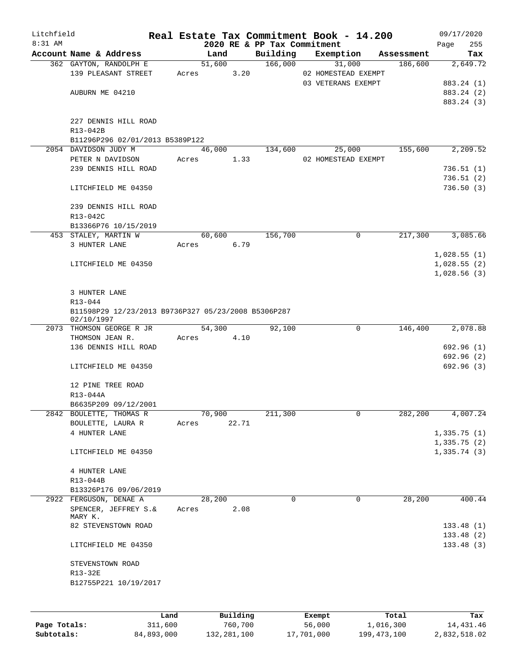| Litchfield |                                                                   |       |       |        |          | Real Estate Tax Commitment Book - 14.200 |               |                     |            | 09/17/2020  |            |
|------------|-------------------------------------------------------------------|-------|-------|--------|----------|------------------------------------------|---------------|---------------------|------------|-------------|------------|
| 8:31 AM    |                                                                   |       |       |        |          | 2020 RE & PP Tax Commitment              |               |                     |            | Page        | 255        |
|            | Account Name & Address                                            |       |       | Land   |          | Building                                 |               | Exemption           | Assessment |             | Tax        |
|            | 362 GAYTON, RANDOLPH E                                            |       |       | 51,600 |          | 166,000                                  |               | 31,000              | 186,600    |             | 2,649.72   |
|            | 139 PLEASANT STREET                                               |       | Acres |        | 3.20     |                                          |               | 02 HOMESTEAD EXEMPT |            |             |            |
|            |                                                                   |       |       |        |          |                                          |               | 03 VETERANS EXEMPT  |            |             | 883.24 (1) |
|            | AUBURN ME 04210                                                   |       |       |        |          |                                          |               |                     |            |             | 883.24 (2) |
|            |                                                                   |       |       |        |          |                                          |               |                     |            |             | 883.24 (3) |
|            | 227 DENNIS HILL ROAD                                              |       |       |        |          |                                          |               |                     |            |             |            |
|            | R13-042B                                                          |       |       |        |          |                                          |               |                     |            |             |            |
|            | B11296P296 02/01/2013 B5389P122                                   |       |       |        |          |                                          |               |                     |            |             |            |
|            | 2054 DAVIDSON JUDY M                                              |       |       | 46,000 |          | 134,600                                  |               | 25,000              | 155,600    |             | 2,209.52   |
|            | PETER N DAVIDSON                                                  |       | Acres |        | 1.33     |                                          |               | 02 HOMESTEAD EXEMPT |            |             |            |
|            | 239 DENNIS HILL ROAD                                              |       |       |        |          |                                          |               |                     |            |             | 736.51(1)  |
|            |                                                                   |       |       |        |          |                                          |               |                     |            |             | 736.51(2)  |
|            | LITCHFIELD ME 04350                                               |       |       |        |          |                                          |               |                     |            |             | 736.50(3)  |
|            |                                                                   |       |       |        |          |                                          |               |                     |            |             |            |
|            | 239 DENNIS HILL ROAD                                              |       |       |        |          |                                          |               |                     |            |             |            |
|            | R13-042C                                                          |       |       |        |          |                                          |               |                     |            |             |            |
|            | B13366P76 10/15/2019                                              |       |       |        |          |                                          |               |                     |            |             |            |
|            | 453 STALEY, MARTIN W                                              |       |       | 60,600 |          | 156,700                                  |               | 0                   | 217,300    |             | 3,085.66   |
|            | 3 HUNTER LANE                                                     |       | Acres |        | 6.79     |                                          |               |                     |            |             |            |
|            |                                                                   |       |       |        |          |                                          |               |                     |            | 1,028.55(1) |            |
|            | LITCHFIELD ME 04350                                               |       |       |        |          |                                          |               |                     |            | 1,028.55(2) |            |
|            |                                                                   |       |       |        |          |                                          |               |                     |            | 1,028.56(3) |            |
|            |                                                                   |       |       |        |          |                                          |               |                     |            |             |            |
|            | 3 HUNTER LANE                                                     |       |       |        |          |                                          |               |                     |            |             |            |
|            | R13-044                                                           |       |       |        |          |                                          |               |                     |            |             |            |
|            | B11598P29 12/23/2013 B9736P327 05/23/2008 B5306P287<br>02/10/1997 |       |       |        |          |                                          |               |                     |            |             |            |
|            | 2073 THOMSON GEORGE R JR                                          |       |       | 54,300 |          | 92,100                                   |               | $\mathbf 0$         | 146,400    |             | 2,078.88   |
|            | THOMSON JEAN R.                                                   |       | Acres |        | 4.10     |                                          |               |                     |            |             |            |
|            | 136 DENNIS HILL ROAD                                              |       |       |        |          |                                          |               |                     |            |             | 692.96(1)  |
|            |                                                                   |       |       |        |          |                                          |               |                     |            |             | 692.96 (2) |
|            | LITCHFIELD ME 04350                                               |       |       |        |          |                                          |               |                     |            |             | 692.96(3)  |
|            |                                                                   |       |       |        |          |                                          |               |                     |            |             |            |
|            | 12 PINE TREE ROAD                                                 |       |       |        |          |                                          |               |                     |            |             |            |
|            | R13-044A                                                          |       |       |        |          |                                          |               |                     |            |             |            |
|            | B6635P209 09/12/2001                                              |       |       |        |          |                                          |               |                     |            |             |            |
|            | 2842 BOULETTE, THOMAS R                                           |       |       | 70,900 |          | 211,300                                  |               | 0                   | 282,200    |             | 4,007.24   |
|            | BOULETTE, LAURA R                                                 |       | Acres |        | 22.71    |                                          |               |                     |            |             |            |
|            | 4 HUNTER LANE                                                     |       |       |        |          |                                          |               |                     |            | 1,335.75(1) |            |
|            |                                                                   |       |       |        |          |                                          |               |                     |            | 1,335.75(2) |            |
|            | LITCHFIELD ME 04350                                               |       |       |        |          |                                          |               |                     |            | 1,335.74(3) |            |
|            | 4 HUNTER LANE                                                     |       |       |        |          |                                          |               |                     |            |             |            |
|            | R13-044B                                                          |       |       |        |          |                                          |               |                     |            |             |            |
|            | B13326P176 09/06/2019                                             |       |       |        |          |                                          |               |                     |            |             |            |
|            | 2922 FERGUSON, DENAE A                                            |       |       | 28,200 |          | $\Omega$                                 |               | 0                   | 28,200     |             | 400.44     |
|            | SPENCER, JEFFREY S.&                                              |       | Acres |        | 2.08     |                                          |               |                     |            |             |            |
|            | MARY K.                                                           |       |       |        |          |                                          |               |                     |            |             |            |
|            | 82 STEVENSTOWN ROAD                                               |       |       |        |          |                                          |               |                     |            |             | 133.48(1)  |
|            |                                                                   |       |       |        |          |                                          |               |                     |            |             | 133.48(2)  |
|            | LITCHFIELD ME 04350                                               |       |       |        |          |                                          |               |                     |            |             | 133.48(3)  |
|            |                                                                   |       |       |        |          |                                          |               |                     |            |             |            |
|            | STEVENSTOWN ROAD                                                  |       |       |        |          |                                          |               |                     |            |             |            |
|            | R13-32E                                                           |       |       |        |          |                                          |               |                     |            |             |            |
|            | B12755P221 10/19/2017                                             |       |       |        |          |                                          |               |                     |            |             |            |
|            |                                                                   |       |       |        |          |                                          |               |                     |            |             |            |
|            |                                                                   |       |       |        |          |                                          |               |                     |            |             |            |
|            |                                                                   | Land. |       |        | Building |                                          | <b>Fromnt</b> |                     | $T$ ctal   |             | Tov        |

|              | Land       | Building    | Exempt     | Total       | Tax          |
|--------------|------------|-------------|------------|-------------|--------------|
| Page Totals: | 311,600    | 760.700     | 56,000     | 1,016,300   | 14,431.46    |
| Subtotals:   | 84,893,000 | 132,281,100 | 17,701,000 | 199,473,100 | 2,832,518.02 |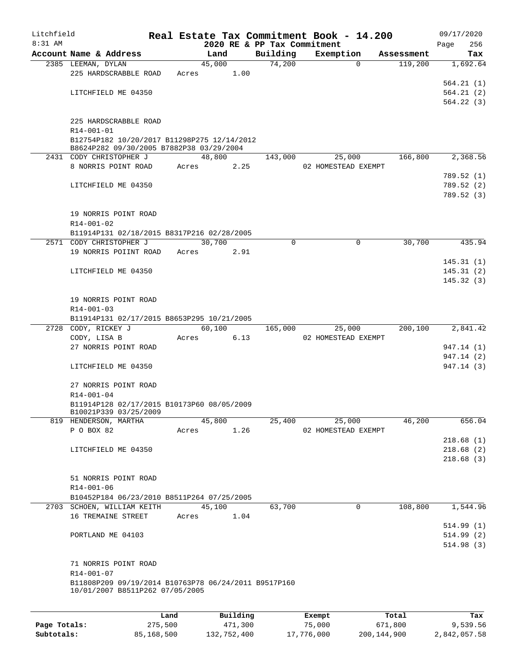| Litchfield |                                                      |        |                |      |                             | Real Estate Tax Commitment Book - 14.200 |            |      | 09/17/2020              |
|------------|------------------------------------------------------|--------|----------------|------|-----------------------------|------------------------------------------|------------|------|-------------------------|
| $8:31$ AM  |                                                      |        |                |      | 2020 RE & PP Tax Commitment |                                          |            | Page | 256                     |
|            | Account Name & Address                               |        | Land<br>45,000 |      | Building<br>74,200          | Exemption<br>$\Omega$                    | Assessment |      | Tax                     |
|            | 2385 LEEMAN, DYLAN<br>225 HARDSCRABBLE ROAD          | Acres  |                | 1.00 |                             |                                          | 119,200    |      | 1,692.64                |
|            |                                                      |        |                |      |                             |                                          |            |      | 564.21(1)               |
|            | LITCHFIELD ME 04350                                  |        |                |      |                             |                                          |            |      | 564.21(2)               |
|            |                                                      |        |                |      |                             |                                          |            |      | 564.22(3)               |
|            |                                                      |        |                |      |                             |                                          |            |      |                         |
|            | 225 HARDSCRABBLE ROAD<br>R14-001-01                  |        |                |      |                             |                                          |            |      |                         |
|            | B12754P182 10/20/2017 B11298P275 12/14/2012          |        |                |      |                             |                                          |            |      |                         |
|            | B8624P282 09/30/2005 B7882P38 03/29/2004             |        |                |      |                             |                                          |            |      |                         |
|            | 2431 CODY CHRISTOPHER J                              |        | 48,800         |      | 143,000                     | 25,000                                   | 166,800    |      | 2,368.56                |
|            | 8 NORRIS POINT ROAD                                  | Acres  |                | 2.25 |                             | 02 HOMESTEAD EXEMPT                      |            |      |                         |
|            |                                                      |        |                |      |                             |                                          |            |      | 789.52(1)               |
|            | LITCHFIELD ME 04350                                  |        |                |      |                             |                                          |            |      | 789.52 (2)<br>789.52(3) |
|            |                                                      |        |                |      |                             |                                          |            |      |                         |
|            | 19 NORRIS POINT ROAD                                 |        |                |      |                             |                                          |            |      |                         |
|            | R14-001-02                                           |        |                |      |                             |                                          |            |      |                         |
|            | B11914P131 02/18/2015 B8317P216 02/28/2005           |        |                |      |                             |                                          |            |      |                         |
|            | 2571 CODY CHRISTOPHER J                              |        | 30,700         |      | $\Omega$                    | $\mathbf 0$                              | 30,700     |      | 435.94                  |
|            | 19 NORRIS POIINT ROAD                                | Acres  |                | 2.91 |                             |                                          |            |      |                         |
|            |                                                      |        |                |      |                             |                                          |            |      | 145.31(1)               |
|            | LITCHFIELD ME 04350                                  |        |                |      |                             |                                          |            |      | 145.31(2)               |
|            |                                                      |        |                |      |                             |                                          |            |      | 145.32(3)               |
|            | 19 NORRIS POINT ROAD                                 |        |                |      |                             |                                          |            |      |                         |
|            | R14-001-03                                           |        |                |      |                             |                                          |            |      |                         |
|            | B11914P131 02/17/2015 B8653P295 10/21/2005           |        |                |      |                             |                                          |            |      |                         |
|            | 2728 CODY, RICKEY J                                  |        | 60,100         |      | 165,000                     | 25,000                                   | 200,100    |      | 2,841.42                |
|            | CODY, LISA B                                         | Acres  |                | 6.13 |                             | 02 HOMESTEAD EXEMPT                      |            |      |                         |
|            | 27 NORRIS POINT ROAD                                 |        |                |      |                             |                                          |            |      | 947.14 (1)              |
|            |                                                      |        |                |      |                             |                                          |            |      | 947.14 (2)              |
|            | LITCHFIELD ME 04350                                  |        |                |      |                             |                                          |            |      | 947.14 (3)              |
|            | 27 NORRIS POINT ROAD                                 |        |                |      |                             |                                          |            |      |                         |
|            | R14-001-04                                           |        |                |      |                             |                                          |            |      |                         |
|            | B11914P128 02/17/2015 B10173P60 08/05/2009           |        |                |      |                             |                                          |            |      |                         |
|            | B10021P339 03/25/2009                                |        |                |      |                             |                                          |            |      |                         |
|            | 819 HENDERSON, MARTHA                                |        | 45,800         |      | 25,400                      | 25,000                                   | 46,200     |      | 656.04                  |
|            | P O BOX 82                                           | Acres  |                | 1.26 |                             | 02 HOMESTEAD EXEMPT                      |            |      |                         |
|            | LITCHFIELD ME 04350                                  |        |                |      |                             |                                          |            |      | 218.68(1)<br>218.68(2)  |
|            |                                                      |        |                |      |                             |                                          |            |      | 218.68(3)               |
|            |                                                      |        |                |      |                             |                                          |            |      |                         |
|            | 51 NORRIS POINT ROAD                                 |        |                |      |                             |                                          |            |      |                         |
|            | R14-001-06                                           |        |                |      |                             |                                          |            |      |                         |
|            | B10452P184 06/23/2010 B8511P264 07/25/2005           |        |                |      |                             |                                          |            |      |                         |
|            | 2703 SCHOEN, WILLIAM KEITH                           | 45,100 |                |      | 63,700                      | $\mathbf 0$                              | 108,800    |      | 1,544.96                |
|            | 16 TREMAINE STREET                                   |        | Acres 1.04     |      |                             |                                          |            |      |                         |
|            |                                                      |        |                |      |                             |                                          |            |      | 514.99(1)               |
|            | PORTLAND ME 04103                                    |        |                |      |                             |                                          |            |      | 514.99(2)<br>514.98(3)  |
|            |                                                      |        |                |      |                             |                                          |            |      |                         |
|            | 71 NORRIS POINT ROAD                                 |        |                |      |                             |                                          |            |      |                         |
|            | R14-001-07                                           |        |                |      |                             |                                          |            |      |                         |
|            | B11808P209 09/19/2014 B10763P78 06/24/2011 B9517P160 |        |                |      |                             |                                          |            |      |                         |
|            | 10/01/2007 B8511P262 07/05/2005                      |        |                |      |                             |                                          |            |      |                         |
|            |                                                      |        |                |      |                             |                                          |            |      |                         |
|            |                                                      | Land   | Ruildina       |      |                             | Exempt                                   | Total      |      | Tax                     |

|              | Land       | Building    | Exempt     | Total       | Tax          |
|--------------|------------|-------------|------------|-------------|--------------|
| Page Totals: | 275,500    | 471,300     | 75,000     | 671,800     | 9,539.56     |
| Subtotals:   | 85,168,500 | 132,752,400 | 17,776,000 | 200,144,900 | 2,842,057.58 |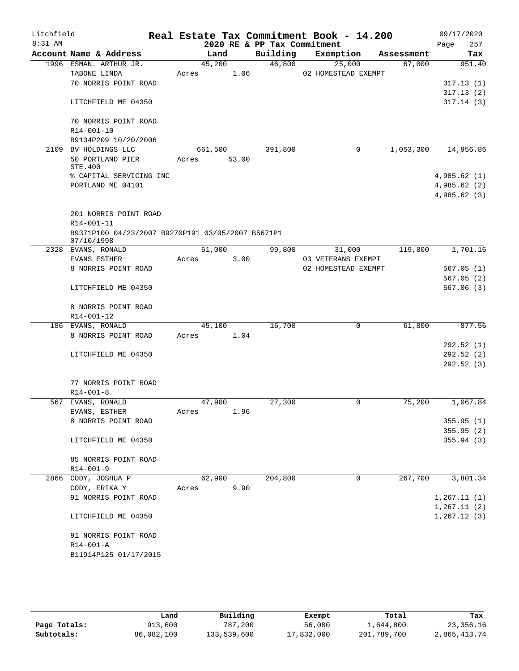| Litchfield |                                                   |       |         |       |                             | Real Estate Tax Commitment Book - 14.200 |            | 09/17/2020             |     |
|------------|---------------------------------------------------|-------|---------|-------|-----------------------------|------------------------------------------|------------|------------------------|-----|
| $8:31$ AM  |                                                   |       |         |       | 2020 RE & PP Tax Commitment |                                          |            | Page                   | 257 |
|            | Account Name & Address                            |       | Land    |       | Building                    | Exemption                                | Assessment |                        | Tax |
|            | 1996 ESMAN. ARTHUR JR.                            |       | 45,200  |       | 46,800                      | 25,000                                   | 67,000     | 951.40                 |     |
|            | TABONE LINDA                                      | Acres |         | 1.06  |                             | 02 HOMESTEAD EXEMPT                      |            |                        |     |
|            | 70 NORRIS POINT ROAD                              |       |         |       |                             |                                          |            | 317.13(1)              |     |
|            | LITCHFIELD ME 04350                               |       |         |       |                             |                                          |            | 317.13(2)<br>317.14(3) |     |
|            |                                                   |       |         |       |                             |                                          |            |                        |     |
|            | 70 NORRIS POINT ROAD                              |       |         |       |                             |                                          |            |                        |     |
|            | R14-001-10                                        |       |         |       |                             |                                          |            |                        |     |
|            | B9134P209 10/20/2006                              |       |         |       |                             |                                          |            |                        |     |
| 2109       | BV HOLDINGS LLC                                   |       | 661,500 |       | 391,800                     | 0                                        | 1,053,300  | 14,956.86              |     |
|            | 50 PORTLAND PIER                                  | Acres |         | 53.00 |                             |                                          |            |                        |     |
|            | STE.400                                           |       |         |       |                             |                                          |            |                        |     |
|            | % CAPITAL SERVICING INC                           |       |         |       |                             |                                          |            | 4,985.62(1)            |     |
|            | PORTLAND ME 04101                                 |       |         |       |                             |                                          |            | 4,985.62(2)            |     |
|            |                                                   |       |         |       |                             |                                          |            | 4,985.62 (3)           |     |
|            | 201 NORRIS POINT ROAD                             |       |         |       |                             |                                          |            |                        |     |
|            | R14-001-11                                        |       |         |       |                             |                                          |            |                        |     |
|            | B9371P100 04/23/2007 B9270P191 03/05/2007 B5671P1 |       |         |       |                             |                                          |            |                        |     |
|            | 07/10/1998                                        |       |         |       |                             |                                          |            |                        |     |
|            | 2328 EVANS, RONALD                                |       | 51,000  |       | 99,800                      | 31,000                                   | 119,800    | 1,701.16               |     |
|            | <b>EVANS ESTHER</b>                               | Acres |         | 3.00  |                             | 03 VETERANS EXEMPT                       |            |                        |     |
|            | 8 NORRIS POINT ROAD                               |       |         |       |                             | 02 HOMESTEAD EXEMPT                      |            | 567.05(1)              |     |
|            |                                                   |       |         |       |                             |                                          |            | 567.05(2)              |     |
|            | LITCHFIELD ME 04350                               |       |         |       |                             |                                          |            | 567.06(3)              |     |
|            | 8 NORRIS POINT ROAD                               |       |         |       |                             |                                          |            |                        |     |
|            | R14-001-12                                        |       |         |       |                             |                                          |            |                        |     |
|            | 186 EVANS, RONALD                                 |       | 45,100  |       | 16,700                      | 0                                        | 61,800     | 877.56                 |     |
|            | 8 NORRIS POINT ROAD                               | Acres |         | 1.04  |                             |                                          |            |                        |     |
|            |                                                   |       |         |       |                             |                                          |            | 292.52(1)              |     |
|            | LITCHFIELD ME 04350                               |       |         |       |                             |                                          |            | 292.52(2)              |     |
|            |                                                   |       |         |       |                             |                                          |            | 292.52(3)              |     |
|            |                                                   |       |         |       |                             |                                          |            |                        |     |
|            | 77 NORRIS POINT ROAD                              |       |         |       |                             |                                          |            |                        |     |
|            | $R14 - 001 - 8$                                   |       |         |       |                             |                                          |            |                        |     |
|            | 567 EVANS, RONALD                                 |       | 47,900  |       | 27,300                      | 0                                        | 75,200     | 1,067.84               |     |
|            | EVANS, ESTHER                                     | Acres |         | 1.96  |                             |                                          |            |                        |     |
|            | 8 NORRIS POINT ROAD                               |       |         |       |                             |                                          |            | 355.95(1)<br>355.95(2) |     |
|            | LITCHFIELD ME 04350                               |       |         |       |                             |                                          |            | 355.94(3)              |     |
|            |                                                   |       |         |       |                             |                                          |            |                        |     |
|            | 85 NORRIS POINT ROAD                              |       |         |       |                             |                                          |            |                        |     |
|            | $R14 - 001 - 9$                                   |       |         |       |                             |                                          |            |                        |     |
|            | 2866 CODY, JOSHUA P                               |       | 62,900  |       | 204,800                     | 0                                        | 267,700    | 3,801.34               |     |
|            | CODY, ERIKA Y                                     | Acres |         | 9.90  |                             |                                          |            |                        |     |
|            | 91 NORRIS POINT ROAD                              |       |         |       |                             |                                          |            | 1, 267.11(1)           |     |
|            |                                                   |       |         |       |                             |                                          |            | 1, 267.11(2)           |     |
|            | LITCHFIELD ME 04350                               |       |         |       |                             |                                          |            | 1, 267.12(3)           |     |
|            | 91 NORRIS POINT ROAD                              |       |         |       |                             |                                          |            |                        |     |
|            | R14-001-A                                         |       |         |       |                             |                                          |            |                        |     |
|            | B11914P125 01/17/2015                             |       |         |       |                             |                                          |            |                        |     |
|            |                                                   |       |         |       |                             |                                          |            |                        |     |

|              | Land       | Building    | Exempt     | Total       | Tax          |
|--------------|------------|-------------|------------|-------------|--------------|
| Page Totals: | 913,600    | 787,200     | 56,000     | 1,644,800   | 23,356.16    |
| Subtotals:   | 86,082,100 | 133,539,600 | 17,832,000 | 201,789,700 | 2,865,413.74 |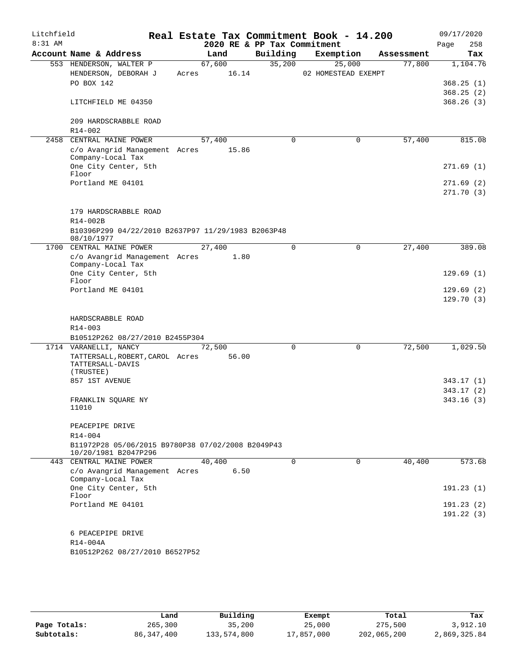| Litchfield |                                                                           |       |                 |                             | Real Estate Tax Commitment Book - 14.200 |            | 09/17/2020             |
|------------|---------------------------------------------------------------------------|-------|-----------------|-----------------------------|------------------------------------------|------------|------------------------|
| 8:31 AM    |                                                                           |       |                 | 2020 RE & PP Tax Commitment |                                          |            | 258<br>Page            |
|            | Account Name & Address                                                    |       | Land            | Building                    | Exemption                                | Assessment | Tax                    |
|            | 553 HENDERSON, WALTER P<br>HENDERSON, DEBORAH J                           | Acres | 67,600<br>16.14 | 35,200                      | 25,000<br>02 HOMESTEAD EXEMPT            | 77,800     | 1,104.76               |
|            | PO BOX 142                                                                |       |                 |                             |                                          |            | 368.25(1)              |
|            |                                                                           |       |                 |                             |                                          |            | 368.25(2)              |
|            | LITCHFIELD ME 04350                                                       |       |                 |                             |                                          |            | 368.26(3)              |
|            | 209 HARDSCRABBLE ROAD<br>$R14 - 002$                                      |       |                 |                             |                                          |            |                        |
| 2458       | CENTRAL MAINE POWER                                                       |       | 57,400          | 0                           | $\mathbf 0$                              | 57,400     | 815.08                 |
|            | c/o Avangrid Management Acres<br>Company-Local Tax                        |       | 15.86           |                             |                                          |            |                        |
|            | One City Center, 5th<br>Floor                                             |       |                 |                             |                                          |            | 271.69(1)              |
|            | Portland ME 04101                                                         |       |                 |                             |                                          |            | 271.69(2)<br>271.70(3) |
|            | 179 HARDSCRABBLE ROAD<br>R14-002B                                         |       |                 |                             |                                          |            |                        |
|            | B10396P299 04/22/2010 B2637P97 11/29/1983 B2063P48<br>08/10/1977          |       |                 |                             |                                          |            |                        |
|            | 1700 CENTRAL MAINE POWER                                                  |       | 27,400          | $\Omega$                    | 0                                        | 27,400     | 389.08                 |
|            | c/o Avangrid Management Acres<br>Company-Local Tax                        |       | 1.80            |                             |                                          |            |                        |
|            | One City Center, 5th<br>Floor                                             |       |                 |                             |                                          |            | 129.69(1)              |
|            | Portland ME 04101                                                         |       |                 |                             |                                          |            | 129.69(2)<br>129.70(3) |
|            |                                                                           |       |                 |                             |                                          |            |                        |
|            | HARDSCRABBLE ROAD<br>R14-003                                              |       |                 |                             |                                          |            |                        |
|            | B10512P262 08/27/2010 B2455P304                                           |       |                 |                             |                                          |            |                        |
|            | 1714 VARANELLI, NANCY                                                     |       | 72,500          | 0                           | $\mathbf 0$                              | 72,500     | 1,029.50               |
|            | TATTERSALL, ROBERT, CAROL Acres<br>TATTERSALL-DAVIS<br>(TRUSTEE)          |       | 56.00           |                             |                                          |            |                        |
|            | 857 1ST AVENUE                                                            |       |                 |                             |                                          |            | 343.17(1)              |
|            |                                                                           |       |                 |                             |                                          |            | 343.17(2)              |
|            | FRANKLIN SQUARE NY<br>11010                                               |       |                 |                             |                                          |            | 343.16(3)              |
|            | PEACEPIPE DRIVE                                                           |       |                 |                             |                                          |            |                        |
|            | R14-004                                                                   |       |                 |                             |                                          |            |                        |
|            | B11972P28 05/06/2015 B9780P38 07/02/2008 B2049P43<br>10/20/1981 B2047P296 |       |                 |                             |                                          |            |                        |
|            | 443 CENTRAL MAINE POWER                                                   |       | 40,400          | $\Omega$                    | 0                                        | 40,400     | 573.68                 |
|            | c/o Avangrid Management Acres<br>Company-Local Tax                        |       | 6.50            |                             |                                          |            |                        |
|            | One City Center, 5th<br>Floor                                             |       |                 |                             |                                          |            | 191.23(1)              |
|            | Portland ME 04101                                                         |       |                 |                             |                                          |            | 191.23(2)              |
|            |                                                                           |       |                 |                             |                                          |            | 191.22(3)              |
|            | 6 PEACEPIPE DRIVE                                                         |       |                 |                             |                                          |            |                        |
|            | R14-004A                                                                  |       |                 |                             |                                          |            |                        |
|            | B10512P262 08/27/2010 B6527P52                                            |       |                 |                             |                                          |            |                        |
|            |                                                                           |       |                 |                             |                                          |            |                        |

|              | Land         | Building    | Exempt     | Total       | Tax          |
|--------------|--------------|-------------|------------|-------------|--------------|
| Page Totals: | 265,300      | 35,200      | 25,000     | 275,500     | 3,912.10     |
| Subtotals:   | 86, 347, 400 | 133,574,800 | 17,857,000 | 202,065,200 | 2,869,325.84 |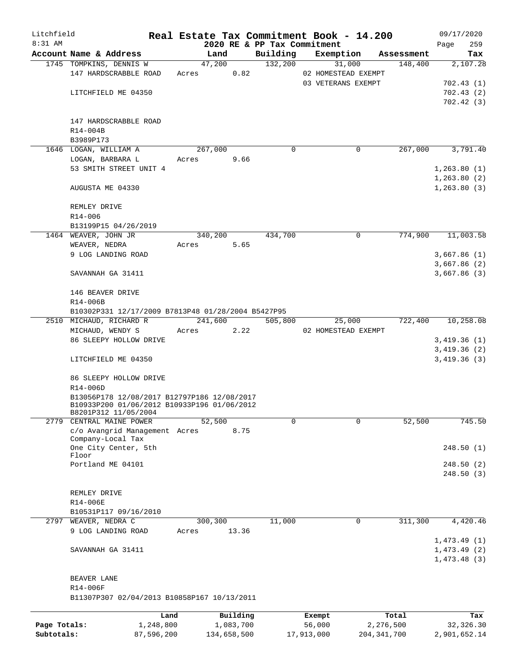| Litchfield   |                                                    |            |       |             |           |          |          | Real Estate Tax Commitment Book - 14.200 |               |                   | 09/17/2020   |            |
|--------------|----------------------------------------------------|------------|-------|-------------|-----------|----------|----------|------------------------------------------|---------------|-------------------|--------------|------------|
| $8:31$ AM    |                                                    |            |       |             |           |          |          | 2020 RE & PP Tax Commitment              |               |                   | Page         | 259        |
|              | Account Name & Address                             |            |       | Land        |           | Building |          | Exemption                                |               | Assessment        |              | Tax        |
|              | 1745 TOMPKINS, DENNIS W                            |            |       | 47,200      |           | 132,200  |          | 31,000                                   |               | 148,400           |              | 2,107.28   |
|              | 147 HARDSCRABBLE ROAD                              |            | Acres |             | 0.82      |          |          | 02 HOMESTEAD EXEMPT                      |               |                   |              |            |
|              |                                                    |            |       |             |           |          |          | 03 VETERANS EXEMPT                       |               |                   |              | 702.43(1)  |
|              | LITCHFIELD ME 04350                                |            |       |             |           |          |          |                                          |               |                   |              | 702.43(2)  |
|              |                                                    |            |       |             |           |          |          |                                          |               |                   |              | 702.42(3)  |
|              |                                                    |            |       |             |           |          |          |                                          |               |                   |              |            |
|              | 147 HARDSCRABBLE ROAD                              |            |       |             |           |          |          |                                          |               |                   |              |            |
|              | R14-004B                                           |            |       |             |           |          |          |                                          |               |                   |              |            |
|              | B3989P173                                          |            |       |             |           |          |          |                                          |               |                   |              |            |
|              | 1646 LOGAN, WILLIAM A                              |            |       | 267,000     |           |          | $\Omega$ |                                          | 0             | 267,000           |              | 3,791.40   |
|              | LOGAN, BARBARA L                                   |            | Acres |             | 9.66      |          |          |                                          |               |                   |              |            |
|              | 53 SMITH STREET UNIT 4                             |            |       |             |           |          |          |                                          |               |                   | 1,263.80(1)  |            |
|              |                                                    |            |       |             |           |          |          |                                          |               |                   | 1,263.80(2)  |            |
|              | AUGUSTA ME 04330                                   |            |       |             |           |          |          |                                          |               |                   | 1, 263.80(3) |            |
|              |                                                    |            |       |             |           |          |          |                                          |               |                   |              |            |
|              | REMLEY DRIVE                                       |            |       |             |           |          |          |                                          |               |                   |              |            |
|              | R14-006                                            |            |       |             |           |          |          |                                          |               |                   |              |            |
|              | B13199P15 04/26/2019                               |            |       |             |           | 434,700  |          |                                          | $\mathbf 0$   | 774,900           |              |            |
|              | 1464 WEAVER, JOHN JR                               |            | Acres | 340,200     |           |          |          |                                          |               |                   |              | 11,003.58  |
|              | WEAVER, NEDRA<br>9 LOG LANDING ROAD                |            |       |             | 5.65      |          |          |                                          |               |                   | 3,667.86(1)  |            |
|              |                                                    |            |       |             |           |          |          |                                          |               |                   |              |            |
|              | SAVANNAH GA 31411                                  |            |       |             |           |          |          |                                          |               |                   | 3,667.86 (2) |            |
|              |                                                    |            |       |             |           |          |          |                                          |               |                   | 3,667.86 (3) |            |
|              | 146 BEAVER DRIVE                                   |            |       |             |           |          |          |                                          |               |                   |              |            |
|              | R14-006B                                           |            |       |             |           |          |          |                                          |               |                   |              |            |
|              | B10302P331 12/17/2009 B7813P48 01/28/2004 B5427P95 |            |       |             |           |          |          |                                          |               |                   |              |            |
|              | 2510 MICHAUD, RICHARD R                            |            |       | 241,600     |           | 505,800  |          | 25,000                                   |               | 722,400 10,258.08 |              |            |
|              | MICHAUD, WENDY S                                   |            | Acres |             | 2.22      |          |          | 02 HOMESTEAD EXEMPT                      |               |                   |              |            |
|              | 86 SLEEPY HOLLOW DRIVE                             |            |       |             |           |          |          |                                          |               |                   | 3,419.36(1)  |            |
|              |                                                    |            |       |             |           |          |          |                                          |               |                   | 3,419.36(2)  |            |
|              | LITCHFIELD ME 04350                                |            |       |             |           |          |          |                                          |               |                   | 3,419.36(3)  |            |
|              |                                                    |            |       |             |           |          |          |                                          |               |                   |              |            |
|              | 86 SLEEPY HOLLOW DRIVE                             |            |       |             |           |          |          |                                          |               |                   |              |            |
|              | R14-006D                                           |            |       |             |           |          |          |                                          |               |                   |              |            |
|              | B13056P178 12/08/2017 B12797P186 12/08/2017        |            |       |             |           |          |          |                                          |               |                   |              |            |
|              | B10933P200 01/06/2012 B10933P196 01/06/2012        |            |       |             |           |          |          |                                          |               |                   |              |            |
|              | B8201P312 11/05/2004                               |            |       |             |           |          |          |                                          |               |                   |              |            |
| 2779         | CENTRAL MAINE POWER                                |            |       | 52,500      |           |          | $\Omega$ |                                          | $\Omega$      | 52,500            |              | 745.50     |
|              | c/o Avangrid Management Acres<br>Company-Local Tax |            |       |             | 8.75      |          |          |                                          |               |                   |              |            |
|              | One City Center, 5th                               |            |       |             |           |          |          |                                          |               |                   |              | 248.50(1)  |
|              | Floor                                              |            |       |             |           |          |          |                                          |               |                   |              |            |
|              | Portland ME 04101                                  |            |       |             |           |          |          |                                          |               |                   |              | 248.50(2)  |
|              |                                                    |            |       |             |           |          |          |                                          |               |                   |              | 248.50(3)  |
|              |                                                    |            |       |             |           |          |          |                                          |               |                   |              |            |
|              | REMLEY DRIVE                                       |            |       |             |           |          |          |                                          |               |                   |              |            |
|              | R14-006E                                           |            |       |             |           |          |          |                                          |               |                   |              |            |
|              | B10531P117 09/16/2010                              |            |       |             |           |          |          |                                          |               |                   |              |            |
| 2797         | WEAVER, NEDRA C                                    |            |       | 300,300     |           | 11,000   |          |                                          | 0             | 311,300           |              | 4,420.46   |
|              | 9 LOG LANDING ROAD                                 |            | Acres |             | 13.36     |          |          |                                          |               |                   |              |            |
|              |                                                    |            |       |             |           |          |          |                                          |               |                   | 1,473.49(1)  |            |
|              | SAVANNAH GA 31411                                  |            |       |             |           |          |          |                                          |               |                   | 1,473.49(2)  |            |
|              |                                                    |            |       |             |           |          |          |                                          |               |                   | 1,473.48(3)  |            |
|              |                                                    |            |       |             |           |          |          |                                          |               |                   |              |            |
|              | BEAVER LANE                                        |            |       |             |           |          |          |                                          |               |                   |              |            |
|              | R14-006F                                           |            |       |             |           |          |          |                                          |               |                   |              |            |
|              | B11307P307 02/04/2013 B10858P167 10/13/2011        |            |       |             |           |          |          |                                          |               |                   |              |            |
|              |                                                    | Land       |       |             | Building  |          |          | Exempt                                   |               | Total             |              | Tax        |
| Page Totals: |                                                    | 1,248,800  |       |             | 1,083,700 |          |          | 56,000                                   | 2,276,500     |                   |              | 32, 326.30 |
| Subtotals:   |                                                    | 87,596,200 |       | 134,658,500 |           |          |          | 17,913,000                               | 204, 341, 700 |                   | 2,901,652.14 |            |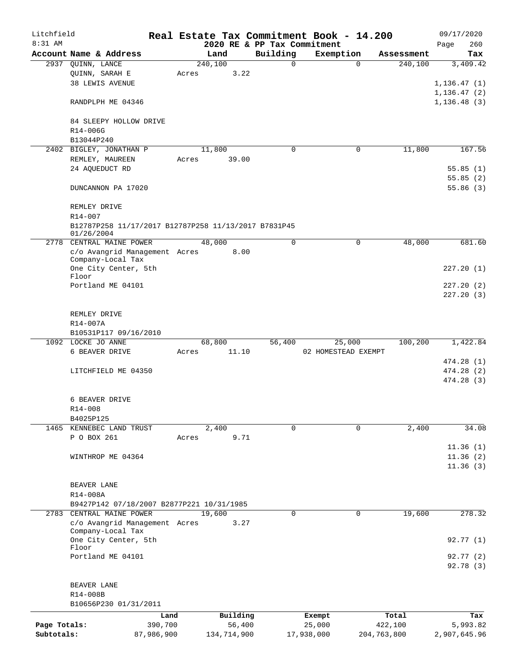| Litchfield   |                                                                       |       |             |                             | Real Estate Tax Commitment Book - 14.200 |             | 09/17/2020           |
|--------------|-----------------------------------------------------------------------|-------|-------------|-----------------------------|------------------------------------------|-------------|----------------------|
| 8:31 AM      |                                                                       |       |             | 2020 RE & PP Tax Commitment |                                          |             | 260<br>Page          |
|              | Account Name & Address                                                |       | Land        | Building                    | Exemption                                | Assessment  | Tax                  |
|              | 2937 QUINN, LANCE                                                     |       | 240,100     | $\mathbf 0$                 | $\Omega$                                 | 240,100     | 3,409.42             |
|              | QUINN, SARAH E                                                        | Acres | 3.22        |                             |                                          |             |                      |
|              | <b>38 LEWIS AVENUE</b>                                                |       |             |                             |                                          |             | 1, 136.47(1)         |
|              |                                                                       |       |             |                             |                                          |             | 1,136.47(2)          |
|              | RANDPLPH ME 04346                                                     |       |             |                             |                                          |             | 1,136.48(3)          |
|              |                                                                       |       |             |                             |                                          |             |                      |
|              | 84 SLEEPY HOLLOW DRIVE                                                |       |             |                             |                                          |             |                      |
|              | R14-006G                                                              |       |             |                             |                                          |             |                      |
|              | B13044P240                                                            |       |             |                             |                                          | 11,800      |                      |
| 2402         | BIGLEY, JONATHAN P                                                    |       | 11,800      | $\mathbf 0$                 | 0                                        |             | 167.56               |
|              | REMLEY, MAUREEN                                                       | Acres | 39.00       |                             |                                          |             |                      |
|              | 24 AQUEDUCT RD                                                        |       |             |                             |                                          |             | 55.85(1)             |
|              | DUNCANNON PA 17020                                                    |       |             |                             |                                          |             | 55.85(2)<br>55.86(3) |
|              |                                                                       |       |             |                             |                                          |             |                      |
|              |                                                                       |       |             |                             |                                          |             |                      |
|              | REMLEY DRIVE<br>$R14 - 007$                                           |       |             |                             |                                          |             |                      |
|              |                                                                       |       |             |                             |                                          |             |                      |
|              | B12787P258 11/17/2017 B12787P258 11/13/2017 B7831P45<br>01/26/2004    |       |             |                             |                                          |             |                      |
|              | 2778 CENTRAL MAINE POWER                                              |       | 48,000      | 0                           | 0                                        | 48,000      | 681.60               |
|              | c/o Avangrid Management Acres                                         |       | 8.00        |                             |                                          |             |                      |
|              | Company-Local Tax                                                     |       |             |                             |                                          |             |                      |
|              | One City Center, 5th                                                  |       |             |                             |                                          |             | 227.20(1)            |
|              | Floor                                                                 |       |             |                             |                                          |             |                      |
|              | Portland ME 04101                                                     |       |             |                             |                                          |             | 227.20(2)            |
|              |                                                                       |       |             |                             |                                          |             | 227.20(3)            |
|              |                                                                       |       |             |                             |                                          |             |                      |
|              | REMLEY DRIVE                                                          |       |             |                             |                                          |             |                      |
|              | R14-007A                                                              |       |             |                             |                                          |             |                      |
|              | B10531P117 09/16/2010                                                 |       |             |                             |                                          |             |                      |
|              | 1092 LOCKE JO ANNE                                                    |       | 68,800      | 56,400                      | 25,000                                   | 100,200     | 1,422.84             |
|              | 6 BEAVER DRIVE                                                        | Acres | 11.10       |                             | 02 HOMESTEAD EXEMPT                      |             |                      |
|              |                                                                       |       |             |                             |                                          |             | 474.28 (1)           |
|              | LITCHFIELD ME 04350                                                   |       |             |                             |                                          |             | 474.28 (2)           |
|              |                                                                       |       |             |                             |                                          |             | 474.28(3)            |
|              |                                                                       |       |             |                             |                                          |             |                      |
|              | 6 BEAVER DRIVE                                                        |       |             |                             |                                          |             |                      |
|              | R14-008                                                               |       |             |                             |                                          |             |                      |
|              | B4025P125                                                             |       |             | $\Omega$                    |                                          | 2,400       |                      |
|              | 1465 KENNEBEC LAND TRUST<br>P O BOX 261                               |       | 2,400       |                             | 0                                        |             | 34.08                |
|              |                                                                       | Acres | 9.71        |                             |                                          |             |                      |
|              |                                                                       |       |             |                             |                                          |             | 11.36(1)             |
|              | WINTHROP ME 04364                                                     |       |             |                             |                                          |             | 11.36(2)             |
|              |                                                                       |       |             |                             |                                          |             | 11.36(3)             |
|              |                                                                       |       |             |                             |                                          |             |                      |
|              | BEAVER LANE                                                           |       |             |                             |                                          |             |                      |
|              | R14-008A                                                              |       |             |                             |                                          |             |                      |
|              | B9427P142 07/18/2007 B2877P221 10/31/1985<br>2783 CENTRAL MAINE POWER |       | 19,600      | 0                           | 0                                        | 19,600      | 278.32               |
|              | c/o Avangrid Management Acres                                         |       | 3.27        |                             |                                          |             |                      |
|              | Company-Local Tax                                                     |       |             |                             |                                          |             |                      |
|              | One City Center, 5th                                                  |       |             |                             |                                          |             | 92.77(1)             |
|              | Floor                                                                 |       |             |                             |                                          |             |                      |
|              | Portland ME 04101                                                     |       |             |                             |                                          |             | 92.77(2)             |
|              |                                                                       |       |             |                             |                                          |             | 92.78 (3)            |
|              |                                                                       |       |             |                             |                                          |             |                      |
|              | BEAVER LANE                                                           |       |             |                             |                                          |             |                      |
|              | R14-008B                                                              |       |             |                             |                                          |             |                      |
|              | B10656P230 01/31/2011                                                 |       |             |                             |                                          |             |                      |
|              |                                                                       | Land  | Building    |                             | Exempt                                   | Total       | Tax                  |
| Page Totals: | 390,700                                                               |       | 56,400      |                             | 25,000                                   | 422,100     | 5,993.82             |
| Subtotals:   | 87,986,900                                                            |       | 134,714,900 |                             | 17,938,000                               | 204,763,800 | 2,907,645.96         |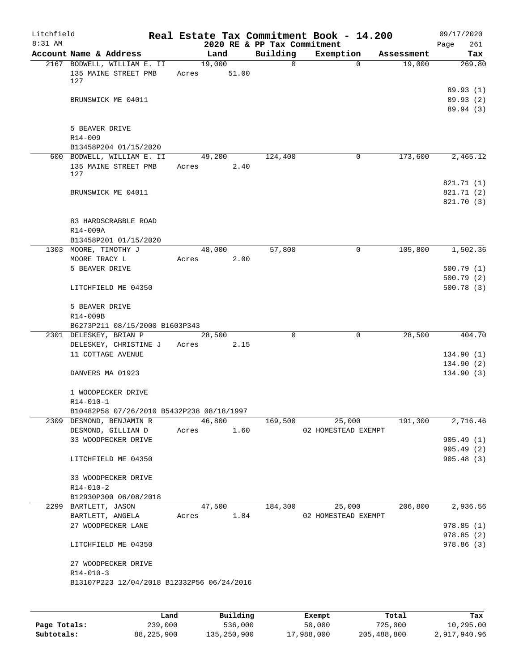| Account Name & Address<br>2167 BODWELL, WILLIAM E. II<br>135 MAINE STREET PMB<br>BRUNSWICK ME 04011<br>5 BEAVER DRIVE<br>B13458P204 01/15/2020<br>600 BODWELL, WILLIAM E. II<br>135 MAINE STREET PMB<br>BRUNSWICK ME 04011 |                      | Land<br>19,000<br>Acres 51.00<br>49,200<br>Acres 2.40 |       | 2020 RE & PP Tax Commitment<br>Building<br>$\overline{0}$<br>124,400 | Exemption<br>$\Omega$                              | Assessment<br>19,000 | Page<br>261<br>Tax<br>269.80<br>89.93(1)<br>89.93(2)<br>89.94 (3) |
|----------------------------------------------------------------------------------------------------------------------------------------------------------------------------------------------------------------------------|----------------------|-------------------------------------------------------|-------|----------------------------------------------------------------------|----------------------------------------------------|----------------------|-------------------------------------------------------------------|
|                                                                                                                                                                                                                            |                      |                                                       |       |                                                                      |                                                    |                      |                                                                   |
|                                                                                                                                                                                                                            |                      |                                                       |       |                                                                      |                                                    |                      |                                                                   |
|                                                                                                                                                                                                                            |                      |                                                       |       |                                                                      |                                                    |                      |                                                                   |
|                                                                                                                                                                                                                            |                      |                                                       |       |                                                                      |                                                    |                      |                                                                   |
|                                                                                                                                                                                                                            |                      |                                                       |       |                                                                      |                                                    |                      |                                                                   |
|                                                                                                                                                                                                                            |                      |                                                       |       |                                                                      | 0                                                  | 173,600              | 2,465.12                                                          |
|                                                                                                                                                                                                                            |                      |                                                       |       |                                                                      |                                                    |                      | 821.71 (1)<br>821.71 (2)<br>821.70 (3)                            |
| 83 HARDSCRABBLE ROAD                                                                                                                                                                                                       |                      |                                                       |       |                                                                      |                                                    |                      |                                                                   |
| B13458P201 01/15/2020                                                                                                                                                                                                      |                      |                                                       |       |                                                                      |                                                    |                      |                                                                   |
| 1303 MOORE, TIMOTHY J                                                                                                                                                                                                      |                      | 48,000                                                |       | 57,800                                                               | 0                                                  |                      | 105,800 1,502.36                                                  |
| MOORE TRACY L<br>5 BEAVER DRIVE                                                                                                                                                                                            |                      | Acres                                                 | 2.00  |                                                                      |                                                    |                      | 500.79(1)                                                         |
| LITCHFIELD ME 04350                                                                                                                                                                                                        |                      |                                                       |       |                                                                      |                                                    |                      | 500.79(2)<br>500.78(3)                                            |
| 5 BEAVER DRIVE                                                                                                                                                                                                             |                      |                                                       |       |                                                                      |                                                    |                      |                                                                   |
|                                                                                                                                                                                                                            |                      |                                                       |       |                                                                      |                                                    |                      |                                                                   |
| B6273P211 08/15/2000 B1603P343                                                                                                                                                                                             |                      |                                                       |       |                                                                      |                                                    |                      |                                                                   |
| 2301 DELESKEY, BRIAN P                                                                                                                                                                                                     |                      | 28,500                                                |       | $\Omega$                                                             | $\mathbf 0$                                        | 28,500               | 404.70                                                            |
| DELESKEY, CHRISTINE J<br>11 COTTAGE AVENUE                                                                                                                                                                                 |                      | Acres 2.15                                            |       |                                                                      |                                                    |                      | 134.90(1)<br>134.90 (2)                                           |
| DANVERS MA 01923                                                                                                                                                                                                           |                      |                                                       |       |                                                                      |                                                    |                      | 134.90(3)                                                         |
| 1 WOODPECKER DRIVE<br>B10482P58 07/26/2010 B5432P238 08/18/1997                                                                                                                                                            |                      |                                                       |       |                                                                      |                                                    |                      |                                                                   |
| 2309 DESMOND, BENJAMIN R                                                                                                                                                                                                   |                      | 46,800                                                |       | 169,500                                                              | 25,000                                             | 191,300              | 2,716.46                                                          |
| DESMOND, GILLIAN D<br>33 WOODPECKER DRIVE                                                                                                                                                                                  | Acres                |                                                       | 1.60  |                                                                      | 02 HOMESTEAD EXEMPT                                |                      | 905.49(1)                                                         |
| LITCHFIELD ME 04350                                                                                                                                                                                                        |                      |                                                       |       |                                                                      |                                                    |                      | 905.49(2)<br>905.48(3)                                            |
| 33 WOODPECKER DRIVE                                                                                                                                                                                                        |                      |                                                       |       |                                                                      |                                                    |                      |                                                                   |
| B12930P300 06/08/2018                                                                                                                                                                                                      |                      |                                                       |       |                                                                      |                                                    |                      |                                                                   |
| BARTLETT, ANGELA                                                                                                                                                                                                           |                      |                                                       |       |                                                                      |                                                    |                      | 2,936.56                                                          |
| 27 WOODPECKER LANE                                                                                                                                                                                                         |                      |                                                       |       |                                                                      |                                                    |                      | 978.85 (1)                                                        |
| LITCHFIELD ME 04350                                                                                                                                                                                                        |                      |                                                       |       |                                                                      |                                                    |                      | 978.85(2)<br>978.86 (3)                                           |
| 27 WOODPECKER DRIVE                                                                                                                                                                                                        |                      |                                                       |       |                                                                      |                                                    |                      |                                                                   |
|                                                                                                                                                                                                                            | 2299 BARTLETT, JASON |                                                       | Acres | 47,500                                                               | 1.84<br>B13107P223 12/04/2018 B12332P56 06/24/2016 | 184,300              | 25,000<br>206,800<br>02 HOMESTEAD EXEMPT                          |

|              | Land       | Building    | Exempt     | Total       | Tax          |
|--------------|------------|-------------|------------|-------------|--------------|
| Page Totals: | 239,000    | 536,000     | 50,000     | 725,000     | 10,295.00    |
| Subtotals:   | 88,225,900 | 135,250,900 | 17,988,000 | 205,488,800 | 2,917,940.96 |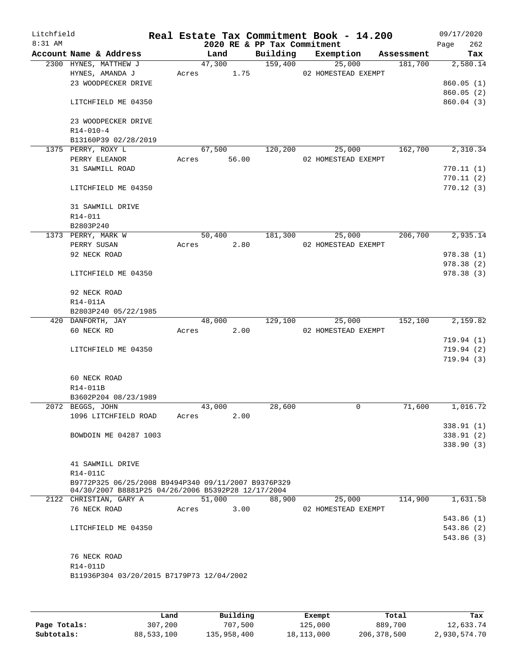| Litchfield<br>8:31 AM |                                                     |       |        | 2020 RE & PP Tax Commitment | Real Estate Tax Commitment Book - 14.200 |            | 09/17/2020<br>262<br>Page |
|-----------------------|-----------------------------------------------------|-------|--------|-----------------------------|------------------------------------------|------------|---------------------------|
|                       | Account Name & Address                              |       | Land   | Building                    | Exemption                                | Assessment | Tax                       |
|                       | 2300 HYNES, MATTHEW J                               |       | 47,300 | 159,400                     | 25,000                                   | 181,700    | 2,580.14                  |
|                       | HYNES, AMANDA J                                     | Acres | 1.75   |                             | 02 HOMESTEAD EXEMPT                      |            |                           |
|                       | 23 WOODPECKER DRIVE                                 |       |        |                             |                                          |            | 860.05(1)                 |
|                       |                                                     |       |        |                             |                                          |            | 860.05(2)                 |
|                       | LITCHFIELD ME 04350                                 |       |        |                             |                                          |            | 860.04 (3)                |
|                       | 23 WOODPECKER DRIVE                                 |       |        |                             |                                          |            |                           |
|                       | $R14 - 010 - 4$                                     |       |        |                             |                                          |            |                           |
|                       | B13160P39 02/28/2019                                |       |        |                             |                                          |            |                           |
|                       | 1375 PERRY, ROXY L                                  |       | 67,500 | 120,200                     | 25,000                                   | 162,700    | 2,310.34                  |
|                       | PERRY ELEANOR                                       | Acres | 56.00  |                             | 02 HOMESTEAD EXEMPT                      |            |                           |
|                       | 31 SAWMILL ROAD                                     |       |        |                             |                                          |            | 770.11(1)                 |
|                       |                                                     |       |        |                             |                                          |            | 770.11(2)                 |
|                       | LITCHFIELD ME 04350                                 |       |        |                             |                                          |            | 770.12(3)                 |
|                       | 31 SAWMILL DRIVE                                    |       |        |                             |                                          |            |                           |
|                       | R14-011                                             |       |        |                             |                                          |            |                           |
|                       | B2803P240                                           |       |        |                             |                                          |            |                           |
|                       | 1373 PERRY, MARK W                                  |       | 50,400 | 181,300                     | 25,000                                   | 206,700    | 2,935.14                  |
|                       | PERRY SUSAN                                         | Acres | 2.80   |                             | 02 HOMESTEAD EXEMPT                      |            |                           |
|                       | 92 NECK ROAD                                        |       |        |                             |                                          |            | 978.38(1)                 |
|                       |                                                     |       |        |                             |                                          |            | 978.38 (2)                |
|                       | LITCHFIELD ME 04350                                 |       |        |                             |                                          |            | 978.38(3)                 |
|                       | 92 NECK ROAD                                        |       |        |                             |                                          |            |                           |
|                       | R14-011A                                            |       |        |                             |                                          |            |                           |
|                       | B2803P240 05/22/1985                                |       |        |                             |                                          |            |                           |
|                       | 420 DANFORTH, JAY                                   |       | 48,000 | 129,100                     | 25,000                                   | 152,100    | 2,159.82                  |
|                       | 60 NECK RD                                          | Acres | 2.00   |                             | 02 HOMESTEAD EXEMPT                      |            |                           |
|                       |                                                     |       |        |                             |                                          |            | 719.94(1)                 |
|                       | LITCHFIELD ME 04350                                 |       |        |                             |                                          |            | 719.94(2)                 |
|                       |                                                     |       |        |                             |                                          |            | 719.94(3)                 |
|                       | 60 NECK ROAD                                        |       |        |                             |                                          |            |                           |
|                       | R14-011B                                            |       |        |                             |                                          |            |                           |
|                       | B3602P204 08/23/1989                                |       |        |                             |                                          |            |                           |
|                       | 2072 BEGGS, JOHN                                    |       | 43,000 | 28,600                      | 0                                        | 71,600     | 1,016.72                  |
|                       | 1096 LITCHFIELD ROAD                                | Acres | 2.00   |                             |                                          |            |                           |
|                       |                                                     |       |        |                             |                                          |            | 338.91 (1)                |
|                       | BOWDOIN ME 04287 1003                               |       |        |                             |                                          |            | 338.91(2)                 |
|                       |                                                     |       |        |                             |                                          |            | 338.90(3)                 |
|                       | 41 SAWMILL DRIVE                                    |       |        |                             |                                          |            |                           |
|                       | R14-011C                                            |       |        |                             |                                          |            |                           |
|                       | B9772P325 06/25/2008 B9494P340 09/11/2007 B9376P329 |       |        |                             |                                          |            |                           |
|                       | 04/30/2007 B8881P25 04/26/2006 B5392P28 12/17/2004  |       |        |                             |                                          |            |                           |
|                       | 2122 CHRISTIAN, GARY A                              |       | 51,000 | 88,900                      | 25,000                                   | 114,900    | 1,631.58                  |
|                       | 76 NECK ROAD                                        | Acres | 3.00   |                             | 02 HOMESTEAD EXEMPT                      |            |                           |
|                       |                                                     |       |        |                             |                                          |            | 543.86(1)                 |
|                       | LITCHFIELD ME 04350                                 |       |        |                             |                                          |            | 543.86 (2)                |
|                       |                                                     |       |        |                             |                                          |            | 543.86 (3)                |
|                       |                                                     |       |        |                             |                                          |            |                           |
|                       | 76 NECK ROAD                                        |       |        |                             |                                          |            |                           |
|                       | R14-011D                                            |       |        |                             |                                          |            |                           |
|                       | B11936P304 03/20/2015 B7179P73 12/04/2002           |       |        |                             |                                          |            |                           |
|                       |                                                     |       |        |                             |                                          |            |                           |
|                       |                                                     |       |        |                             |                                          |            |                           |

|              | Land       | Building    | Exempt     | Total       | Tax          |
|--------------|------------|-------------|------------|-------------|--------------|
| Page Totals: | 307,200    | 707,500     | 125,000    | 889,700     | 12,633.74    |
| Subtotals:   | 88,533,100 | 135,958,400 | 18,113,000 | 206,378,500 | 2,930,574.70 |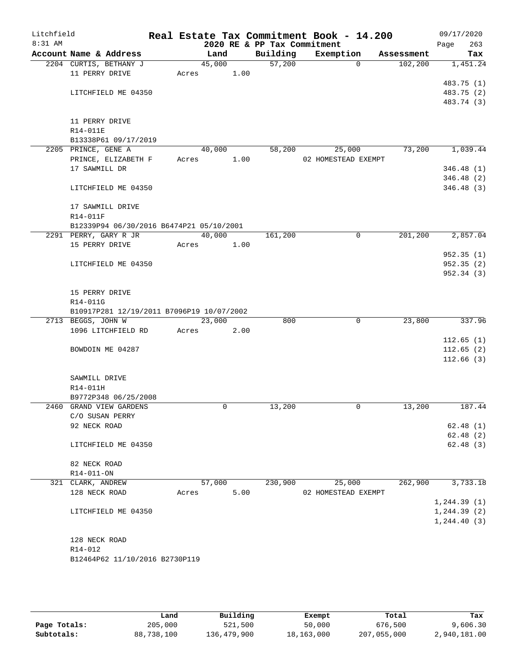| Litchfield<br>8:31 AM |                     |                                           |       |        |      | 2020 RE & PP Tax Commitment | Real Estate Tax Commitment Book - 14.200 |            | 09/17/2020<br>263<br>Page |
|-----------------------|---------------------|-------------------------------------------|-------|--------|------|-----------------------------|------------------------------------------|------------|---------------------------|
|                       |                     | Account Name & Address                    |       | Land   |      | Building                    | Exemption                                | Assessment | Tax                       |
|                       |                     | 2204 CURTIS, BETHANY J                    |       | 45,000 |      | 57,200                      | $\Omega$                                 | 102,200    | 1,451.24                  |
|                       | 11 PERRY DRIVE      |                                           | Acres |        | 1.00 |                             |                                          |            |                           |
|                       |                     |                                           |       |        |      |                             |                                          |            | 483.75 (1)                |
|                       |                     | LITCHFIELD ME 04350                       |       |        |      |                             |                                          |            | 483.75 (2)                |
|                       |                     |                                           |       |        |      |                             |                                          |            | 483.74 (3)                |
|                       |                     |                                           |       |        |      |                             |                                          |            |                           |
|                       | 11 PERRY DRIVE      |                                           |       |        |      |                             |                                          |            |                           |
|                       | R14-011E            | B13338P61 09/17/2019                      |       |        |      |                             |                                          |            |                           |
|                       | 2205 PRINCE, GENE A |                                           |       | 40,000 |      | 58,200                      | 25,000                                   | 73,200     | 1,039.44                  |
|                       |                     | PRINCE, ELIZABETH F                       | Acres |        | 1.00 |                             | 02 HOMESTEAD EXEMPT                      |            |                           |
|                       | 17 SAWMILL DR       |                                           |       |        |      |                             |                                          |            | 346.48(1)                 |
|                       |                     |                                           |       |        |      |                             |                                          |            | 346.48 (2)                |
|                       |                     | LITCHFIELD ME 04350                       |       |        |      |                             |                                          |            | 346.48 (3)                |
|                       |                     | 17 SAWMILL DRIVE                          |       |        |      |                             |                                          |            |                           |
|                       | R14-011F            |                                           |       |        |      |                             |                                          |            |                           |
|                       |                     | B12339P94 06/30/2016 B6474P21 05/10/2001  |       |        |      |                             |                                          |            |                           |
|                       |                     | 2291 PERRY, GARY R JR                     |       | 40,000 |      | 161,200                     | 0                                        | 201,200    | 2,857.04                  |
|                       | 15 PERRY DRIVE      |                                           | Acres |        | 1.00 |                             |                                          |            |                           |
|                       |                     |                                           |       |        |      |                             |                                          |            | 952.35(1)                 |
|                       |                     | LITCHFIELD ME 04350                       |       |        |      |                             |                                          |            | 952.35(2)                 |
|                       |                     |                                           |       |        |      |                             |                                          |            | 952.34 (3)                |
|                       | 15 PERRY DRIVE      |                                           |       |        |      |                             |                                          |            |                           |
|                       | R14-011G            |                                           |       |        |      |                             |                                          |            |                           |
|                       |                     | B10917P281 12/19/2011 B7096P19 10/07/2002 |       |        |      |                             |                                          |            |                           |
|                       | 2713 BEGGS, JOHN W  |                                           |       | 23,000 |      | 800                         | 0                                        | 23,800     | 337.96                    |
|                       |                     | 1096 LITCHFIELD RD                        | Acres |        | 2.00 |                             |                                          |            |                           |
|                       |                     |                                           |       |        |      |                             |                                          |            | 112.65(1)                 |
|                       |                     | BOWDOIN ME 04287                          |       |        |      |                             |                                          |            | 112.65(2)                 |
|                       |                     |                                           |       |        |      |                             |                                          |            | 112.66(3)                 |
|                       | SAWMILL DRIVE       |                                           |       |        |      |                             |                                          |            |                           |
|                       | R14-011H            |                                           |       |        |      |                             |                                          |            |                           |
|                       |                     | B9772P348 06/25/2008                      |       |        |      |                             |                                          |            |                           |
|                       |                     | 2460 GRAND VIEW GARDENS                   |       | 0      |      | 13,200                      | 0                                        | 13,200     | 187.44                    |
|                       | C/O SUSAN PERRY     |                                           |       |        |      |                             |                                          |            |                           |
|                       | 92 NECK ROAD        |                                           |       |        |      |                             |                                          |            | 62.48(1)                  |
|                       |                     |                                           |       |        |      |                             |                                          |            | 62.48(2)                  |
|                       |                     | LITCHFIELD ME 04350                       |       |        |      |                             |                                          |            | 62.48(3)                  |
|                       | 82 NECK ROAD        |                                           |       |        |      |                             |                                          |            |                           |
|                       | R14-011-ON          |                                           |       |        |      |                             |                                          |            |                           |
|                       | 321 CLARK, ANDREW   |                                           |       | 57,000 |      | 230,900                     | 25,000                                   | 262,900    | 3,733.18                  |
|                       | 128 NECK ROAD       |                                           | Acres |        | 5.00 |                             | 02 HOMESTEAD EXEMPT                      |            |                           |
|                       |                     |                                           |       |        |      |                             |                                          |            | 1,244.39(1)               |
|                       |                     | LITCHFIELD ME 04350                       |       |        |      |                             |                                          |            | 1, 244.39(2)              |
|                       |                     |                                           |       |        |      |                             |                                          |            | 1, 244.40(3)              |
|                       | 128 NECK ROAD       |                                           |       |        |      |                             |                                          |            |                           |
|                       | R14-012             |                                           |       |        |      |                             |                                          |            |                           |
|                       |                     | B12464P62 11/10/2016 B2730P119            |       |        |      |                             |                                          |            |                           |
|                       |                     |                                           |       |        |      |                             |                                          |            |                           |

|              | Land       | Building    | Exempt     | Total       | Tax          |
|--------------|------------|-------------|------------|-------------|--------------|
| Page Totals: | 205,000    | 521,500     | 50,000     | 676,500     | 9,606.30     |
| Subtotals:   | 88,738,100 | 136,479,900 | 18,163,000 | 207,055,000 | 2,940,181.00 |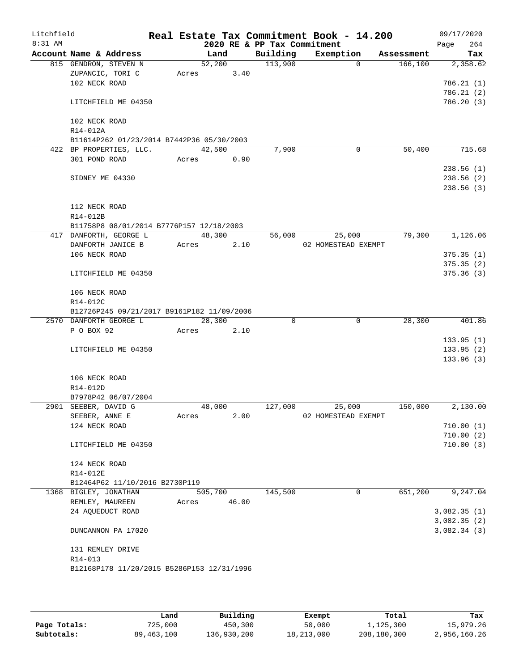| Litchfield<br>8:31 AM |                                                        |       |         |        | 2020 RE & PP Tax Commitment | Real Estate Tax Commitment Book - 14.200 |            | 09/17/2020<br>264<br>Page |
|-----------------------|--------------------------------------------------------|-------|---------|--------|-----------------------------|------------------------------------------|------------|---------------------------|
|                       | Account Name & Address                                 |       | Land    |        | Building                    | Exemption                                | Assessment | Tax                       |
|                       | 815 GENDRON, STEVEN N                                  |       | 52,200  |        | 113,900                     | $\Omega$                                 | 166, 100   | 2,358.62                  |
|                       | ZUPANCIC, TORI C                                       | Acres |         | 3.40   |                             |                                          |            |                           |
|                       | 102 NECK ROAD                                          |       |         |        |                             |                                          |            | 786.21(1)                 |
|                       |                                                        |       |         |        |                             |                                          |            | 786.21(2)                 |
|                       | LITCHFIELD ME 04350                                    |       |         |        |                             |                                          |            | 786.20(3)                 |
|                       |                                                        |       |         |        |                             |                                          |            |                           |
|                       | 102 NECK ROAD                                          |       |         |        |                             |                                          |            |                           |
|                       | R14-012A                                               |       |         |        |                             |                                          |            |                           |
|                       | B11614P262 01/23/2014 B7442P36 05/30/2003              |       |         |        |                             |                                          |            |                           |
|                       | 422 BP PROPERTIES, LLC.<br>301 POND ROAD               |       | 42,500  |        | 7,900                       | 0                                        | 50,400     | 715.68                    |
|                       |                                                        | Acres |         | 0.90   |                             |                                          |            | 238.56(1)                 |
|                       | SIDNEY ME 04330                                        |       |         |        |                             |                                          |            | 238.56 (2)                |
|                       |                                                        |       |         |        |                             |                                          |            | 238.56(3)                 |
|                       |                                                        |       |         |        |                             |                                          |            |                           |
|                       | 112 NECK ROAD                                          |       |         |        |                             |                                          |            |                           |
|                       | R14-012B                                               |       |         |        |                             |                                          |            |                           |
|                       | B11758P8 08/01/2014 B7776P157 12/18/2003               |       |         |        |                             |                                          |            |                           |
|                       | 417 DANFORTH, GEORGE L                                 |       |         | 48,300 | 56,000                      | 25,000                                   | 79,300     | 1,126.06                  |
|                       | DANFORTH JANICE B                                      | Acres |         | 2.10   |                             | 02 HOMESTEAD EXEMPT                      |            |                           |
|                       | 106 NECK ROAD                                          |       |         |        |                             |                                          |            | 375.35(1)                 |
|                       |                                                        |       |         |        |                             |                                          |            | 375.35(2)                 |
|                       | LITCHFIELD ME 04350                                    |       |         |        |                             |                                          |            | 375.36(3)                 |
|                       |                                                        |       |         |        |                             |                                          |            |                           |
|                       | 106 NECK ROAD                                          |       |         |        |                             |                                          |            |                           |
|                       | R14-012C<br>B12726P245 09/21/2017 B9161P182 11/09/2006 |       |         |        |                             |                                          |            |                           |
|                       | 2570 DANFORTH GEORGE L                                 |       | 28,300  |        | 0                           | 0                                        | 28,300     | 401.86                    |
|                       | P O BOX 92                                             | Acres |         | 2.10   |                             |                                          |            |                           |
|                       |                                                        |       |         |        |                             |                                          |            | 133.95(1)                 |
|                       | LITCHFIELD ME 04350                                    |       |         |        |                             |                                          |            | 133.95(2)                 |
|                       |                                                        |       |         |        |                             |                                          |            | 133.96(3)                 |
|                       |                                                        |       |         |        |                             |                                          |            |                           |
|                       | 106 NECK ROAD                                          |       |         |        |                             |                                          |            |                           |
|                       | R14-012D                                               |       |         |        |                             |                                          |            |                           |
|                       | B7978P42 06/07/2004                                    |       |         |        |                             |                                          |            |                           |
|                       | 2901 SEEBER, DAVID G                                   |       | 48,000  |        | 127,000                     | 25,000                                   | 150,000    | 2,130.00                  |
|                       | SEEBER, ANNE E                                         | Acres |         | 2.00   |                             | 02 HOMESTEAD EXEMPT                      |            |                           |
|                       | 124 NECK ROAD                                          |       |         |        |                             |                                          |            | 710.00(1)<br>710.00(2)    |
|                       | LITCHFIELD ME 04350                                    |       |         |        |                             |                                          |            | 710.00(3)                 |
|                       |                                                        |       |         |        |                             |                                          |            |                           |
|                       | 124 NECK ROAD                                          |       |         |        |                             |                                          |            |                           |
|                       | R14-012E                                               |       |         |        |                             |                                          |            |                           |
|                       | B12464P62 11/10/2016 B2730P119                         |       |         |        |                             |                                          |            |                           |
|                       | 1368 BIGLEY, JONATHAN                                  |       | 505,700 |        | 145,500                     | 0                                        | 651,200    | 9,247.04                  |
|                       | REMLEY, MAUREEN                                        | Acres |         | 46.00  |                             |                                          |            |                           |
|                       | 24 AQUEDUCT ROAD                                       |       |         |        |                             |                                          |            | 3,082.35(1)               |
|                       |                                                        |       |         |        |                             |                                          |            | 3,082.35(2)               |
|                       | DUNCANNON PA 17020                                     |       |         |        |                             |                                          |            | 3,082.34(3)               |
|                       | 131 REMLEY DRIVE                                       |       |         |        |                             |                                          |            |                           |
|                       | R14-013                                                |       |         |        |                             |                                          |            |                           |
|                       | B12168P178 11/20/2015 B5286P153 12/31/1996             |       |         |        |                             |                                          |            |                           |
|                       |                                                        |       |         |        |                             |                                          |            |                           |
|                       |                                                        |       |         |        |                             |                                          |            |                           |

|              | Land         | Building    | Exempt     | Total       | Tax          |
|--------------|--------------|-------------|------------|-------------|--------------|
| Page Totals: | 725,000      | 450,300     | 50,000     | 1,125,300   | 15,979.26    |
| Subtotals:   | 89, 463, 100 | 136,930,200 | 18,213,000 | 208,180,300 | 2,956,160.26 |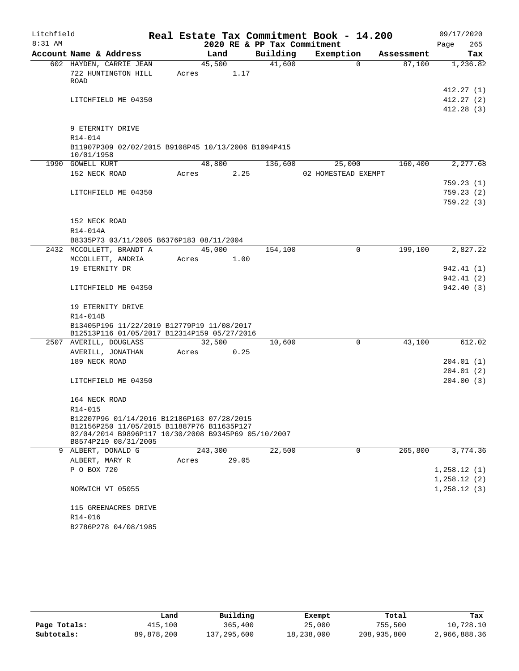| Litchfield |                                                     |         |       |                             | Real Estate Tax Commitment Book - 14.200 |            | 09/17/2020             |
|------------|-----------------------------------------------------|---------|-------|-----------------------------|------------------------------------------|------------|------------------------|
| 8:31 AM    |                                                     |         |       | 2020 RE & PP Tax Commitment |                                          |            | 265<br>Page            |
|            | Account Name & Address                              | Land    |       | Building                    | Exemption                                | Assessment | Tax                    |
|            | 602 HAYDEN, CARRIE JEAN                             | 45,500  |       | 41,600                      | $\Omega$                                 | 87,100     | 1,236.82               |
|            | 722 HUNTINGTON HILL                                 | Acres   | 1.17  |                             |                                          |            |                        |
|            | ROAD                                                |         |       |                             |                                          |            | 412.27(1)              |
|            | LITCHFIELD ME 04350                                 |         |       |                             |                                          |            | 412.27(2)              |
|            |                                                     |         |       |                             |                                          |            | 412.28(3)              |
|            |                                                     |         |       |                             |                                          |            |                        |
|            | 9 ETERNITY DRIVE                                    |         |       |                             |                                          |            |                        |
|            | R14-014                                             |         |       |                             |                                          |            |                        |
|            | B11907P309 02/02/2015 B9108P45 10/13/2006 B1094P415 |         |       |                             |                                          |            |                        |
|            | 10/01/1958                                          |         |       |                             |                                          |            |                        |
|            | 1990 GOWELL KURT                                    | 48,800  |       | 136,600                     | 25,000                                   | 160,400    | 2,277.68               |
|            | 152 NECK ROAD                                       | Acres   | 2.25  |                             | 02 HOMESTEAD EXEMPT                      |            |                        |
|            |                                                     |         |       |                             |                                          |            | 759.23(1)              |
|            | LITCHFIELD ME 04350                                 |         |       |                             |                                          |            | 759.23(2)              |
|            |                                                     |         |       |                             |                                          |            | 759.22(3)              |
|            |                                                     |         |       |                             |                                          |            |                        |
|            | 152 NECK ROAD<br>R14-014A                           |         |       |                             |                                          |            |                        |
|            | B8335P73 03/11/2005 B6376P183 08/11/2004            |         |       |                             |                                          |            |                        |
|            | 2432 MCCOLLETT, BRANDT A                            | 45,000  |       | 154,100                     | 0                                        | 199,100    | 2,827.22               |
|            | MCCOLLETT, ANDRIA                                   | Acres   | 1.00  |                             |                                          |            |                        |
|            | 19 ETERNITY DR                                      |         |       |                             |                                          |            | 942.41 (1)             |
|            |                                                     |         |       |                             |                                          |            | 942.41 (2)             |
|            | LITCHFIELD ME 04350                                 |         |       |                             |                                          |            | 942.40 (3)             |
|            |                                                     |         |       |                             |                                          |            |                        |
|            | 19 ETERNITY DRIVE                                   |         |       |                             |                                          |            |                        |
|            | R14-014B                                            |         |       |                             |                                          |            |                        |
|            | B13405P196 11/22/2019 B12779P19 11/08/2017          |         |       |                             |                                          |            |                        |
|            | B12513P116 01/05/2017 B12314P159 05/27/2016         |         |       |                             |                                          |            |                        |
|            | 2507 AVERILL, DOUGLASS                              | 32,500  |       | 10,600                      | $\mathbf 0$                              | 43,100     | 612.02                 |
|            | AVERILL, JONATHAN                                   | Acres   | 0.25  |                             |                                          |            |                        |
|            | 189 NECK ROAD                                       |         |       |                             |                                          |            | 204.01(1)              |
|            | LITCHFIELD ME 04350                                 |         |       |                             |                                          |            | 204.01(2)<br>204.00(3) |
|            |                                                     |         |       |                             |                                          |            |                        |
|            | 164 NECK ROAD                                       |         |       |                             |                                          |            |                        |
|            | $R14 - 015$                                         |         |       |                             |                                          |            |                        |
|            | B12207P96 01/14/2016 B12186P163 07/28/2015          |         |       |                             |                                          |            |                        |
|            | B12156P250 11/05/2015 B11887P76 B11635P127          |         |       |                             |                                          |            |                        |
|            | 02/04/2014 B9896P117 10/30/2008 B9345P69 05/10/2007 |         |       |                             |                                          |            |                        |
|            | B8574P219 08/31/2005<br>9 ALBERT, DONALD G          | 243,300 |       | 22,500                      | 0                                        | 265,800    | 3,774.36               |
|            | ALBERT, MARY R                                      | Acres   | 29.05 |                             |                                          |            |                        |
|            | P O BOX 720                                         |         |       |                             |                                          |            | 1,258.12(1)            |
|            |                                                     |         |       |                             |                                          |            | 1,258.12(2)            |
|            | NORWICH VT 05055                                    |         |       |                             |                                          |            | 1,258.12(3)            |
|            |                                                     |         |       |                             |                                          |            |                        |
|            | 115 GREENACRES DRIVE                                |         |       |                             |                                          |            |                        |
|            | R14-016                                             |         |       |                             |                                          |            |                        |
|            | B2786P278 04/08/1985                                |         |       |                             |                                          |            |                        |

|              | Land       | Building    | Exempt     | Total       | Tax          |
|--------------|------------|-------------|------------|-------------|--------------|
| Page Totals: | 415,100    | 365,400     | 25,000     | 755,500     | 10,728.10    |
| Subtotals:   | 89,878,200 | 137,295,600 | 18,238,000 | 208,935,800 | 2,966,888.36 |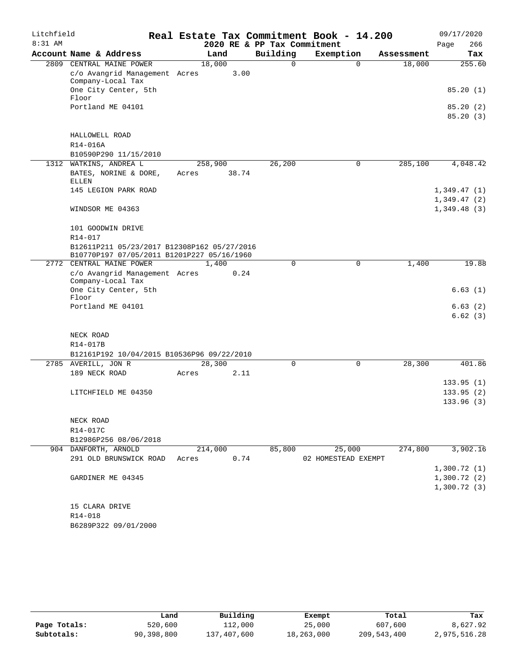| Litchfield |                                                                                           |         |       |                             | Real Estate Tax Commitment Book - 14.200 |            | 09/17/2020           |
|------------|-------------------------------------------------------------------------------------------|---------|-------|-----------------------------|------------------------------------------|------------|----------------------|
| $8:31$ AM  |                                                                                           |         |       | 2020 RE & PP Tax Commitment |                                          |            | 266<br>Page          |
|            | Account Name & Address                                                                    | Land    |       | Building                    | Exemption                                | Assessment | Tax                  |
|            | 2809 CENTRAL MAINE POWER<br>c/o Avangrid Management Acres                                 | 18,000  | 3.00  | 0                           | $\Omega$                                 | 18,000     | 255.60               |
|            | Company-Local Tax                                                                         |         |       |                             |                                          |            |                      |
|            | One City Center, 5th                                                                      |         |       |                             |                                          |            | 85.20(1)             |
|            | Floor                                                                                     |         |       |                             |                                          |            |                      |
|            | Portland ME 04101                                                                         |         |       |                             |                                          |            | 85.20(2)<br>85.20(3) |
|            |                                                                                           |         |       |                             |                                          |            |                      |
|            | HALLOWELL ROAD                                                                            |         |       |                             |                                          |            |                      |
|            | R14-016A                                                                                  |         |       |                             |                                          |            |                      |
|            | B10590P290 11/15/2010                                                                     |         |       |                             |                                          |            |                      |
| 1312       | WATKINS, ANDREA L                                                                         | 258,900 |       | 26,200                      | $\mathsf{O}$                             | 285,100    | 4,048.42             |
|            | BATES, NORINE & DORE,<br>ELLEN                                                            | Acres   | 38.74 |                             |                                          |            |                      |
|            | 145 LEGION PARK ROAD                                                                      |         |       |                             |                                          |            | 1,349.47(1)          |
|            |                                                                                           |         |       |                             |                                          |            | 1,349.47(2)          |
|            | WINDSOR ME 04363                                                                          |         |       |                             |                                          |            | 1,349.48(3)          |
|            |                                                                                           |         |       |                             |                                          |            |                      |
|            | 101 GOODWIN DRIVE                                                                         |         |       |                             |                                          |            |                      |
|            | $R14 - 017$                                                                               |         |       |                             |                                          |            |                      |
|            | B12611P211 05/23/2017 B12308P162 05/27/2016<br>B10770P197 07/05/2011 B1201P227 05/16/1960 |         |       |                             |                                          |            |                      |
|            | 2772 CENTRAL MAINE POWER                                                                  | 1,400   |       | $\mathbf 0$                 | $\mathbf 0$                              | 1,400      | 19.88                |
|            | c/o Avangrid Management Acres<br>Company-Local Tax                                        |         | 0.24  |                             |                                          |            |                      |
|            | One City Center, 5th                                                                      |         |       |                             |                                          |            | 6.63(1)              |
|            | Floor<br>Portland ME 04101                                                                |         |       |                             |                                          |            |                      |
|            |                                                                                           |         |       |                             |                                          |            | 6.63(2)<br>6.62(3)   |
|            |                                                                                           |         |       |                             |                                          |            |                      |
|            | NECK ROAD                                                                                 |         |       |                             |                                          |            |                      |
|            | R14-017B                                                                                  |         |       |                             |                                          |            |                      |
|            | B12161P192 10/04/2015 B10536P96 09/22/2010                                                |         |       |                             |                                          |            |                      |
|            | 2785 AVERILL, JON R                                                                       | 28,300  |       | $\mathbf 0$                 | $\mathbf 0$                              | 28,300     | 401.86               |
|            | 189 NECK ROAD                                                                             | Acres   | 2.11  |                             |                                          |            |                      |
|            |                                                                                           |         |       |                             |                                          |            | 133.95(1)            |
|            | LITCHFIELD ME 04350                                                                       |         |       |                             |                                          |            | 133.95(2)            |
|            |                                                                                           |         |       |                             |                                          |            | 133.96(3)            |
|            | NECK ROAD                                                                                 |         |       |                             |                                          |            |                      |
|            | R14-017C                                                                                  |         |       |                             |                                          |            |                      |
|            | B12986P256 08/06/2018                                                                     |         |       |                             |                                          |            |                      |
|            | 904 DANFORTH, ARNOLD                                                                      | 214,000 |       | 85,800                      | 25,000                                   | 274,800    | 3,902.16             |
|            | 291 OLD BRUNSWICK ROAD                                                                    | Acres   | 0.74  |                             | 02 HOMESTEAD EXEMPT                      |            |                      |
|            |                                                                                           |         |       |                             |                                          |            | 1,300.72(1)          |
|            | GARDINER ME 04345                                                                         |         |       |                             |                                          |            | 1,300.72(2)          |
|            |                                                                                           |         |       |                             |                                          |            | 1,300.72(3)          |
|            |                                                                                           |         |       |                             |                                          |            |                      |
|            | 15 CLARA DRIVE<br>R14-018                                                                 |         |       |                             |                                          |            |                      |
|            | B6289P322 09/01/2000                                                                      |         |       |                             |                                          |            |                      |

|              | Land       | Building    | Exempt     | Total       | Tax          |
|--------------|------------|-------------|------------|-------------|--------------|
| Page Totals: | 520,600    | 112,000     | 25,000     | 607,600     | 8,627.92     |
| Subtotals:   | 90,398,800 | 137,407,600 | 18,263,000 | 209,543,400 | 2,975,516.28 |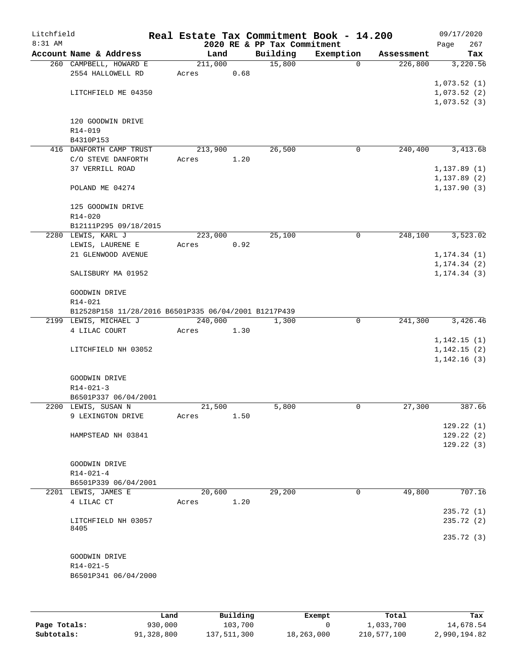| Litchfield<br>8:31 AM |                                                      |         |      |                             | Real Estate Tax Commitment Book - 14.200 |            | 09/17/2020   |
|-----------------------|------------------------------------------------------|---------|------|-----------------------------|------------------------------------------|------------|--------------|
|                       | Account Name & Address                               |         |      | 2020 RE & PP Tax Commitment | Exemption                                |            | 267<br>Page  |
|                       |                                                      | Land    |      | Building                    |                                          | Assessment | Tax          |
|                       | 260 CAMPBELL, HOWARD E                               | 211,000 |      | 15,800                      | $\Omega$                                 | 226,800    | 3,220.56     |
|                       | 2554 HALLOWELL RD                                    | Acres   | 0.68 |                             |                                          |            |              |
|                       |                                                      |         |      |                             |                                          |            | 1,073.52(1)  |
|                       | LITCHFIELD ME 04350                                  |         |      |                             |                                          |            | 1,073.52(2)  |
|                       |                                                      |         |      |                             |                                          |            | 1,073.52(3)  |
|                       |                                                      |         |      |                             |                                          |            |              |
|                       | 120 GOODWIN DRIVE                                    |         |      |                             |                                          |            |              |
|                       | R14-019                                              |         |      |                             |                                          |            |              |
|                       | B4310P153                                            |         |      |                             |                                          |            |              |
|                       | 416 DANFORTH CAMP TRUST                              | 213,900 |      | 26,500                      | 0                                        | 240,400    | 3,413.68     |
|                       | C/O STEVE DANFORTH                                   | Acres   | 1.20 |                             |                                          |            |              |
|                       | 37 VERRILL ROAD                                      |         |      |                             |                                          |            | 1, 137.89(1) |
|                       |                                                      |         |      |                             |                                          |            | 1, 137.89(2) |
|                       | POLAND ME 04274                                      |         |      |                             |                                          |            | 1, 137.90(3) |
|                       |                                                      |         |      |                             |                                          |            |              |
|                       | 125 GOODWIN DRIVE                                    |         |      |                             |                                          |            |              |
|                       | $R14 - 020$                                          |         |      |                             |                                          |            |              |
|                       | B12111P295 09/18/2015                                |         |      |                             |                                          |            |              |
|                       | 2280 LEWIS, KARL J                                   | 223,000 |      | 25,100                      | 0                                        | 248,100    | 3,523.02     |
|                       | LEWIS, LAURENE E                                     | Acres   | 0.92 |                             |                                          |            |              |
|                       | 21 GLENWOOD AVENUE                                   |         |      |                             |                                          |            | 1, 174.34(1) |
|                       |                                                      |         |      |                             |                                          |            | 1, 174.34(2) |
|                       | SALISBURY MA 01952                                   |         |      |                             |                                          |            | 1, 174.34(3) |
|                       |                                                      |         |      |                             |                                          |            |              |
|                       | GOODWIN DRIVE                                        |         |      |                             |                                          |            |              |
|                       | R14-021                                              |         |      |                             |                                          |            |              |
|                       |                                                      |         |      |                             |                                          |            |              |
|                       | B12528P158 11/28/2016 B6501P335 06/04/2001 B1217P439 |         |      |                             |                                          |            |              |
|                       | 2199 LEWIS, MICHAEL J                                | 240,000 |      | 1,300                       | 0                                        | 241,300    | 3,426.46     |
|                       | 4 LILAC COURT                                        | Acres   | 1.30 |                             |                                          |            |              |
|                       |                                                      |         |      |                             |                                          |            | 1,142.15(1)  |
|                       | LITCHFIELD NH 03052                                  |         |      |                             |                                          |            | 1,142.15(2)  |
|                       |                                                      |         |      |                             |                                          |            | 1,142.16(3)  |
|                       |                                                      |         |      |                             |                                          |            |              |
|                       | GOODWIN DRIVE                                        |         |      |                             |                                          |            |              |
|                       | $R14 - 021 - 3$                                      |         |      |                             |                                          |            |              |
|                       | B6501P337 06/04/2001                                 |         |      |                             |                                          |            |              |
|                       | 2200 LEWIS, SUSAN N                                  | 21,500  |      | 5,800                       | 0                                        | 27,300     | 387.66       |
|                       | 9 LEXINGTON DRIVE                                    | Acres   | 1.50 |                             |                                          |            |              |
|                       |                                                      |         |      |                             |                                          |            | 129.22(1)    |
|                       | HAMPSTEAD NH 03841                                   |         |      |                             |                                          |            | 129.22(2)    |
|                       |                                                      |         |      |                             |                                          |            | 129.22(3)    |
|                       |                                                      |         |      |                             |                                          |            |              |
|                       | GOODWIN DRIVE                                        |         |      |                             |                                          |            |              |
|                       | $R14 - 021 - 4$                                      |         |      |                             |                                          |            |              |
|                       | B6501P339 06/04/2001                                 |         |      |                             |                                          |            |              |
|                       | 2201 LEWIS, JAMES E                                  | 20,600  |      | 29,200                      | 0                                        | 49,800     | 707.16       |
|                       | 4 LILAC CT                                           | Acres   | 1.20 |                             |                                          |            |              |
|                       |                                                      |         |      |                             |                                          |            | 235.72(1)    |
|                       | LITCHFIELD NH 03057                                  |         |      |                             |                                          |            | 235.72 (2)   |
|                       | 8405                                                 |         |      |                             |                                          |            |              |
|                       |                                                      |         |      |                             |                                          |            | 235.72 (3)   |
|                       |                                                      |         |      |                             |                                          |            |              |
|                       | GOODWIN DRIVE                                        |         |      |                             |                                          |            |              |
|                       | $R14 - 021 - 5$                                      |         |      |                             |                                          |            |              |
|                       | B6501P341 06/04/2000                                 |         |      |                             |                                          |            |              |
|                       |                                                      |         |      |                             |                                          |            |              |
|                       |                                                      |         |      |                             |                                          |            |              |
|                       |                                                      |         |      |                             |                                          |            |              |

|              | Land       | Building    | Exempt     | Total       | Tax          |
|--------------|------------|-------------|------------|-------------|--------------|
| Page Totals: | 930,000    | 103,700     |            | 1,033,700   | 14,678.54    |
| Subtotals:   | 91,328,800 | 137,511,300 | 18,263,000 | 210,577,100 | 2,990,194.82 |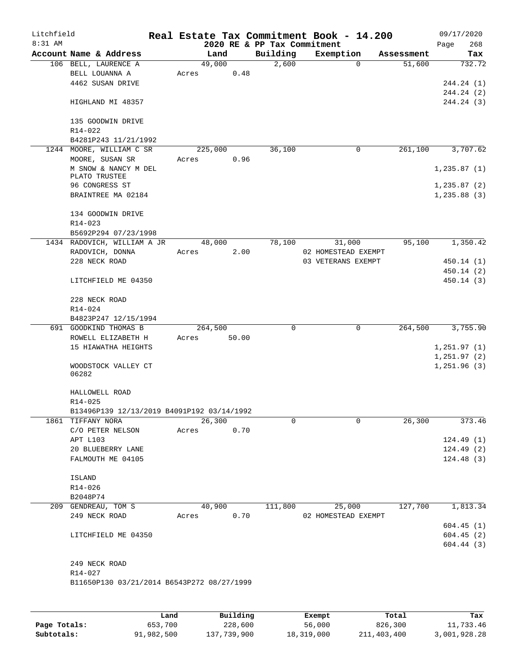| Litchfield<br>8:31 AM |                                            |       |         |       | 2020 RE & PP Tax Commitment | Real Estate Tax Commitment Book - 14.200 |            | 09/17/2020<br>Page | 268        |
|-----------------------|--------------------------------------------|-------|---------|-------|-----------------------------|------------------------------------------|------------|--------------------|------------|
|                       | Account Name & Address                     |       | Land    |       | Building                    | Exemption                                | Assessment |                    | Tax        |
|                       | 106 BELL, LAURENCE A                       |       | 49,000  |       | 2,600                       | $\Omega$                                 | 51,600     |                    | 732.72     |
|                       | BELL LOUANNA A                             | Acres |         | 0.48  |                             |                                          |            |                    |            |
|                       | 4462 SUSAN DRIVE                           |       |         |       |                             |                                          |            | 244.24 (1)         |            |
|                       |                                            |       |         |       |                             |                                          |            | 244.24 (2)         |            |
|                       | HIGHLAND MI 48357                          |       |         |       |                             |                                          |            | 244.24 (3)         |            |
|                       | 135 GOODWIN DRIVE                          |       |         |       |                             |                                          |            |                    |            |
|                       | R14-022<br>B4281P243 11/21/1992            |       |         |       |                             |                                          |            |                    |            |
|                       | 1244 MOORE, WILLIAM C SR                   |       | 225,000 |       | 36,100                      | 0                                        | 261,100    |                    | 3,707.62   |
|                       | MOORE, SUSAN SR                            | Acres |         | 0.96  |                             |                                          |            |                    |            |
|                       | M SNOW & NANCY M DEL                       |       |         |       |                             |                                          |            | 1, 235.87(1)       |            |
|                       | PLATO TRUSTEE                              |       |         |       |                             |                                          |            |                    |            |
|                       | 96 CONGRESS ST                             |       |         |       |                             |                                          |            | 1,235.87(2)        |            |
|                       | BRAINTREE MA 02184                         |       |         |       |                             |                                          |            | 1, 235.88(3)       |            |
|                       | 134 GOODWIN DRIVE                          |       |         |       |                             |                                          |            |                    |            |
|                       | R14-023                                    |       |         |       |                             |                                          |            |                    |            |
|                       | B5692P294 07/23/1998                       |       |         |       |                             |                                          |            |                    |            |
|                       | 1434 RADOVICH, WILLIAM A JR                |       | 48,000  |       | 78,100                      | 31,000                                   | 95,100     |                    | 1,350.42   |
|                       | RADOVICH, DONNA                            | Acres |         | 2.00  |                             | 02 HOMESTEAD EXEMPT                      |            |                    |            |
|                       | 228 NECK ROAD                              |       |         |       |                             | 03 VETERANS EXEMPT                       |            |                    | 450.14 (1) |
|                       |                                            |       |         |       |                             |                                          |            | 450.14 (2)         |            |
|                       | LITCHFIELD ME 04350                        |       |         |       |                             |                                          |            |                    | 450.14 (3) |
|                       | 228 NECK ROAD                              |       |         |       |                             |                                          |            |                    |            |
|                       | R14-024                                    |       |         |       |                             |                                          |            |                    |            |
|                       | B4823P247 12/15/1994                       |       |         |       |                             |                                          |            |                    |            |
|                       | 691 GOODKIND THOMAS B                      |       | 264,500 |       | 0                           | $\mathbf 0$                              | 264,500    |                    | 3,755.90   |
|                       | ROWELL ELIZABETH H                         | Acres |         | 50.00 |                             |                                          |            |                    |            |
|                       | 15 HIAWATHA HEIGHTS                        |       |         |       |                             |                                          |            | 1,251.97(1)        |            |
|                       |                                            |       |         |       |                             |                                          |            | 1,251.97(2)        |            |
|                       | WOODSTOCK VALLEY CT<br>06282               |       |         |       |                             |                                          |            | 1,251.96(3)        |            |
|                       | HALLOWELL ROAD                             |       |         |       |                             |                                          |            |                    |            |
|                       | R14-025                                    |       |         |       |                             |                                          |            |                    |            |
|                       | B13496P139 12/13/2019 B4091P192 03/14/1992 |       |         |       |                             |                                          |            |                    |            |
|                       | 1861 TIFFANY NORA                          |       | 26,300  |       | 0                           | 0                                        | 26,300     |                    | 373.46     |
|                       | C/O PETER NELSON                           | Acres |         | 0.70  |                             |                                          |            |                    |            |
|                       | APT L103                                   |       |         |       |                             |                                          |            | 124.49(1)          |            |
|                       | 20 BLUEBERRY LANE                          |       |         |       |                             |                                          |            | 124.49(2)          |            |
|                       | FALMOUTH ME 04105                          |       |         |       |                             |                                          |            | 124.48(3)          |            |
|                       | ISLAND                                     |       |         |       |                             |                                          |            |                    |            |
|                       | R14-026                                    |       |         |       |                             |                                          |            |                    |            |
|                       | B2048P74                                   |       |         |       |                             |                                          |            |                    |            |
|                       | 209 GENDREAU, TOM S                        |       | 40,900  |       | 111,800                     | 25,000                                   | 127,700    |                    | 1,813.34   |
|                       | 249 NECK ROAD                              | Acres |         | 0.70  |                             | 02 HOMESTEAD EXEMPT                      |            |                    |            |
|                       |                                            |       |         |       |                             |                                          |            | 604.45(1)          |            |
|                       | LITCHFIELD ME 04350                        |       |         |       |                             |                                          |            | 604.45(2)          |            |
|                       |                                            |       |         |       |                             |                                          |            | 604.44(3)          |            |
|                       | 249 NECK ROAD                              |       |         |       |                             |                                          |            |                    |            |
|                       | R14-027                                    |       |         |       |                             |                                          |            |                    |            |
|                       | B11650P130 03/21/2014 B6543P272 08/27/1999 |       |         |       |                             |                                          |            |                    |            |
|                       |                                            |       |         |       |                             |                                          |            |                    |            |
|                       |                                            |       |         |       |                             |                                          |            |                    |            |

|              | Land       | Building    | Exempt     | Total       | Tax          |
|--------------|------------|-------------|------------|-------------|--------------|
| Page Totals: | 653,700    | 228,600     | 56,000     | 826,300     | 11,733.46    |
| Subtotals:   | 91,982,500 | 137,739,900 | 18,319,000 | 211,403,400 | 3,001,928.28 |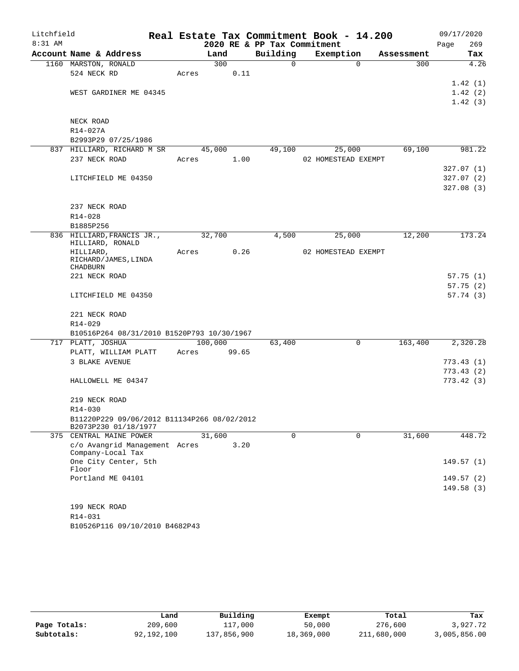| Litchfield |                                                                     |       |         |                             | Real Estate Tax Commitment Book - 14.200 |            | 09/17/2020  |
|------------|---------------------------------------------------------------------|-------|---------|-----------------------------|------------------------------------------|------------|-------------|
| 8:31 AM    |                                                                     |       |         | 2020 RE & PP Tax Commitment |                                          |            | 269<br>Page |
|            | Account Name & Address                                              |       | Land    | Building                    | Exemption                                | Assessment | Tax         |
|            | 1160 MARSTON, RONALD                                                |       | 300     | 0                           | $\mathbf 0$                              | 300        | 4.26        |
|            | 524 NECK RD                                                         | Acres | 0.11    |                             |                                          |            |             |
|            |                                                                     |       |         |                             |                                          |            | 1.42(1)     |
|            | WEST GARDINER ME 04345                                              |       |         |                             |                                          |            | 1.42(2)     |
|            |                                                                     |       |         |                             |                                          |            | 1.42(3)     |
|            | NECK ROAD                                                           |       |         |                             |                                          |            |             |
|            | R14-027A                                                            |       |         |                             |                                          |            |             |
|            | B2993P29 07/25/1986                                                 |       |         |                             |                                          |            |             |
|            | 837 HILLIARD, RICHARD M SR                                          |       | 45,000  | 49,100                      | 25,000                                   | 69,100     | 981.22      |
|            | 237 NECK ROAD                                                       | Acres | 1.00    |                             | 02 HOMESTEAD EXEMPT                      |            |             |
|            |                                                                     |       |         |                             |                                          |            | 327.07(1)   |
|            | LITCHFIELD ME 04350                                                 |       |         |                             |                                          |            | 327.07(2)   |
|            |                                                                     |       |         |                             |                                          |            | 327.08 (3)  |
|            |                                                                     |       |         |                             |                                          |            |             |
|            | 237 NECK ROAD<br>R14-028                                            |       |         |                             |                                          |            |             |
|            | B1885P256                                                           |       |         |                             |                                          |            |             |
|            | 836 HILLIARD, FRANCIS JR.,                                          |       | 32,700  | 4,500                       | 25,000                                   | 12,200     | 173.24      |
|            | HILLIARD, RONALD                                                    |       |         |                             |                                          |            |             |
|            | HILLIARD,                                                           | Acres | 0.26    |                             | 02 HOMESTEAD EXEMPT                      |            |             |
|            | RICHARD/JAMES, LINDA                                                |       |         |                             |                                          |            |             |
|            | <b>CHADBURN</b><br>221 NECK ROAD                                    |       |         |                             |                                          |            | 57.75(1)    |
|            |                                                                     |       |         |                             |                                          |            | 57.75(2)    |
|            | LITCHFIELD ME 04350                                                 |       |         |                             |                                          |            | 57.74(3)    |
|            |                                                                     |       |         |                             |                                          |            |             |
|            | 221 NECK ROAD                                                       |       |         |                             |                                          |            |             |
|            | R14-029                                                             |       |         |                             |                                          |            |             |
|            | B10516P264 08/31/2010 B1520P793 10/30/1967                          |       |         |                             |                                          |            |             |
|            | 717 PLATT, JOSHUA                                                   |       | 100,000 | 63,400                      | 0                                        | 163,400    | 2,320.28    |
|            | PLATT, WILLIAM PLATT                                                | Acres | 99.65   |                             |                                          |            |             |
|            | 3 BLAKE AVENUE                                                      |       |         |                             |                                          |            | 773.43(1)   |
|            |                                                                     |       |         |                             |                                          |            | 773.43(2)   |
|            | HALLOWELL ME 04347                                                  |       |         |                             |                                          |            | 773.42(3)   |
|            | 219 NECK ROAD                                                       |       |         |                             |                                          |            |             |
|            | R14-030                                                             |       |         |                             |                                          |            |             |
|            | B11220P229 09/06/2012 B11134P266 08/02/2012<br>B2073P230 01/18/1977 |       |         |                             |                                          |            |             |
|            | 375 CENTRAL MAINE POWER                                             |       | 31,600  | 0                           | $\mathbf 0$                              | 31,600     | 448.72      |
|            | c/o Avangrid Management Acres<br>Company-Local Tax                  |       | 3.20    |                             |                                          |            |             |
|            | One City Center, 5th                                                |       |         |                             |                                          |            | 149.57(1)   |
|            | Floor                                                               |       |         |                             |                                          |            |             |
|            | Portland ME 04101                                                   |       |         |                             |                                          |            | 149.57 (2)  |
|            |                                                                     |       |         |                             |                                          |            | 149.58(3)   |
|            | 199 NECK ROAD                                                       |       |         |                             |                                          |            |             |
|            | R14-031                                                             |       |         |                             |                                          |            |             |
|            | B10526P116 09/10/2010 B4682P43                                      |       |         |                             |                                          |            |             |
|            |                                                                     |       |         |                             |                                          |            |             |

|              | Land       | Building    | Exempt     | Total       | Tax          |
|--------------|------------|-------------|------------|-------------|--------------|
| Page Totals: | 209,600    | 117,000     | 50,000     | 276,600     | 3,927.72     |
| Subtotals:   | 92,192,100 | 137,856,900 | 18,369,000 | 211,680,000 | 3,005,856.00 |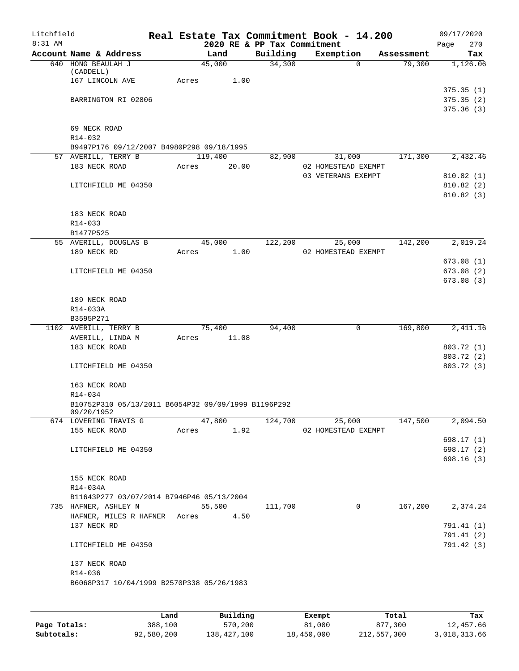| Litchfield |                                                                   |       |         |       |                             | Real Estate Tax Commitment Book - 14.200 |            | 09/17/2020  |
|------------|-------------------------------------------------------------------|-------|---------|-------|-----------------------------|------------------------------------------|------------|-------------|
| 8:31 AM    |                                                                   |       |         |       | 2020 RE & PP Tax Commitment |                                          |            | 270<br>Page |
|            | Account Name & Address                                            |       | Land    |       | Building                    | Exemption                                | Assessment | Tax         |
|            | 640 HONG BEAULAH J<br>(CADDELL)                                   |       | 45,000  |       | 34,300                      | $\Omega$                                 | 79,300     | 1,126.06    |
|            | 167 LINCOLN AVE                                                   | Acres |         | 1.00  |                             |                                          |            |             |
|            |                                                                   |       |         |       |                             |                                          |            | 375.35(1)   |
|            | BARRINGTON RI 02806                                               |       |         |       |                             |                                          |            | 375.35(2)   |
|            |                                                                   |       |         |       |                             |                                          |            | 375.36(3)   |
|            | 69 NECK ROAD                                                      |       |         |       |                             |                                          |            |             |
|            | R14-032                                                           |       |         |       |                             |                                          |            |             |
|            | B9497P176 09/12/2007 B4980P298 09/18/1995                         |       |         |       |                             |                                          |            |             |
|            | 57 AVERILL, TERRY B                                               |       | 119,400 |       | 82,900                      | 31,000                                   | 171,300    | 2,432.46    |
|            | 183 NECK ROAD                                                     | Acres |         | 20.00 |                             | 02 HOMESTEAD EXEMPT                      |            |             |
|            |                                                                   |       |         |       |                             | 03 VETERANS EXEMPT                       |            | 810.82 (1)  |
|            | LITCHFIELD ME 04350                                               |       |         |       |                             |                                          |            | 810.82 (2)  |
|            |                                                                   |       |         |       |                             |                                          |            | 810.82 (3)  |
|            | 183 NECK ROAD                                                     |       |         |       |                             |                                          |            |             |
|            | R14-033                                                           |       |         |       |                             |                                          |            |             |
|            | B1477P525                                                         |       |         |       |                             |                                          |            |             |
|            | 55 AVERILL, DOUGLAS B                                             |       | 45,000  |       | 122,200                     | 25,000                                   | 142,200    | 2,019.24    |
|            | 189 NECK RD                                                       | Acres |         | 1.00  |                             | 02 HOMESTEAD EXEMPT                      |            |             |
|            |                                                                   |       |         |       |                             |                                          |            | 673.08(1)   |
|            | LITCHFIELD ME 04350                                               |       |         |       |                             |                                          |            | 673.08 (2)  |
|            |                                                                   |       |         |       |                             |                                          |            | 673.08 (3)  |
|            | 189 NECK ROAD                                                     |       |         |       |                             |                                          |            |             |
|            | R14-033A                                                          |       |         |       |                             |                                          |            |             |
|            | B3595P271                                                         |       |         |       |                             |                                          |            |             |
|            | 1102 AVERILL, TERRY B                                             |       | 75,400  |       | 94,400                      | 0                                        | 169,800    | 2,411.16    |
|            | AVERILL, LINDA M                                                  | Acres |         | 11.08 |                             |                                          |            |             |
|            | 183 NECK ROAD                                                     |       |         |       |                             |                                          |            | 803.72 (1)  |
|            |                                                                   |       |         |       |                             |                                          |            | 803.72 (2)  |
|            | LITCHFIELD ME 04350                                               |       |         |       |                             |                                          |            | 803.72 (3)  |
|            | 163 NECK ROAD                                                     |       |         |       |                             |                                          |            |             |
|            | R14-034                                                           |       |         |       |                             |                                          |            |             |
|            | B10752P310 05/13/2011 B6054P32 09/09/1999 B1196P292               |       |         |       |                             |                                          |            |             |
|            | 09/20/1952<br>674 LOVERING TRAVIS G                               |       | 47,800  |       | 124,700                     | 25,000                                   | 147,500    | 2,094.50    |
|            | 155 NECK ROAD                                                     | Acres |         | 1.92  |                             | 02 HOMESTEAD EXEMPT                      |            |             |
|            |                                                                   |       |         |       |                             |                                          |            | 698.17 (1)  |
|            | LITCHFIELD ME 04350                                               |       |         |       |                             |                                          |            | 698.17 (2)  |
|            |                                                                   |       |         |       |                             |                                          |            | 698.16(3)   |
|            |                                                                   |       |         |       |                             |                                          |            |             |
|            | 155 NECK ROAD                                                     |       |         |       |                             |                                          |            |             |
|            | R14-034A                                                          |       |         |       |                             |                                          |            |             |
|            | B11643P277 03/07/2014 B7946P46 05/13/2004<br>735 HAFNER, ASHLEY N |       | 55,500  |       | 111,700                     | $\mathbf 0$                              | 167,200    | 2,374.24    |
|            | HAFNER, MILES R HAFNER Acres                                      |       |         | 4.50  |                             |                                          |            |             |
|            | 137 NECK RD                                                       |       |         |       |                             |                                          |            | 791.41 (1)  |
|            |                                                                   |       |         |       |                             |                                          |            | 791.41(2)   |
|            | LITCHFIELD ME 04350                                               |       |         |       |                             |                                          |            | 791.42 (3)  |
|            |                                                                   |       |         |       |                             |                                          |            |             |
|            | 137 NECK ROAD                                                     |       |         |       |                             |                                          |            |             |
|            | R14-036<br>B6068P317 10/04/1999 B2570P338 05/26/1983              |       |         |       |                             |                                          |            |             |
|            |                                                                   |       |         |       |                             |                                          |            |             |
|            |                                                                   |       |         |       |                             |                                          |            |             |
|            |                                                                   |       |         |       |                             |                                          |            |             |

|              | Land       | Building    | Exempt     | Total       | Tax          |
|--------------|------------|-------------|------------|-------------|--------------|
| Page Totals: | 388,100    | 570,200     | 81,000     | 877,300     | 12,457.66    |
| Subtotals:   | 92,580,200 | 138,427,100 | 18,450,000 | 212,557,300 | 3,018,313.66 |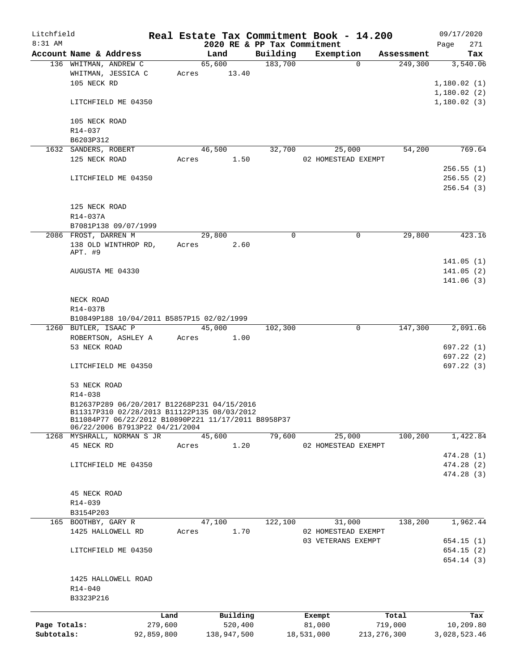| Litchfield   |                                                                                                                                                                                     |            |       |                       |          |                             | Real Estate Tax Commitment Book - 14.200 |               |            |      | 09/17/2020                          |
|--------------|-------------------------------------------------------------------------------------------------------------------------------------------------------------------------------------|------------|-------|-----------------------|----------|-----------------------------|------------------------------------------|---------------|------------|------|-------------------------------------|
| 8:31 AM      |                                                                                                                                                                                     |            |       |                       |          | 2020 RE & PP Tax Commitment |                                          |               |            | Page | 271                                 |
|              | Account Name & Address                                                                                                                                                              |            |       | Land                  |          | Building                    | Exemption                                |               | Assessment |      | Tax                                 |
|              | 136 WHITMAN, ANDREW C<br>WHITMAN, JESSICA C<br>105 NECK RD                                                                                                                          |            |       | 65,600<br>Acres 13.40 |          | 183,700                     |                                          | $\Omega$      | 249,300    |      | 3,540.06<br>1,180.02(1)             |
|              | LITCHFIELD ME 04350                                                                                                                                                                 |            |       |                       |          |                             |                                          |               |            |      | 1,180.02(2)<br>1,180.02(3)          |
|              | 105 NECK ROAD<br>R14-037                                                                                                                                                            |            |       |                       |          |                             |                                          |               |            |      |                                     |
|              | B6203P312                                                                                                                                                                           |            |       |                       |          |                             |                                          |               |            |      |                                     |
|              | 1632 SANDERS, ROBERT                                                                                                                                                                |            |       | 46,500                |          | 32,700                      | 25,000                                   |               | 54,200     |      | 769.64                              |
|              | 125 NECK ROAD                                                                                                                                                                       |            | Acres |                       | 1.50     |                             | 02 HOMESTEAD EXEMPT                      |               |            |      |                                     |
|              | LITCHFIELD ME 04350                                                                                                                                                                 |            |       |                       |          |                             |                                          |               |            |      | 256.55(1)<br>256.55(2)<br>256.54(3) |
|              | 125 NECK ROAD<br>R14-037A                                                                                                                                                           |            |       |                       |          |                             |                                          |               |            |      |                                     |
|              | B7081P138 09/07/1999                                                                                                                                                                |            |       |                       |          |                             |                                          |               |            |      |                                     |
|              | 2086 FROST, DARREN M                                                                                                                                                                |            |       | 29,800                |          | $\mathbf 0$                 |                                          | $\mathbf 0$   | 29,800     |      | 423.16                              |
|              | 138 OLD WINTHROP RD,<br>APT. #9                                                                                                                                                     |            |       | Acres                 | 2.60     |                             |                                          |               |            |      |                                     |
|              |                                                                                                                                                                                     |            |       |                       |          |                             |                                          |               |            |      | 141.05(1)                           |
|              | AUGUSTA ME 04330                                                                                                                                                                    |            |       |                       |          |                             |                                          |               |            |      | 141.05(2)<br>141.06(3)              |
|              | NECK ROAD<br>R14-037B                                                                                                                                                               |            |       |                       |          |                             |                                          |               |            |      |                                     |
|              | B10849P188 10/04/2011 B5857P15 02/02/1999                                                                                                                                           |            |       |                       |          |                             |                                          |               |            |      |                                     |
|              | 1260 BUTLER, ISAAC P                                                                                                                                                                |            |       | 45,000                |          | 102,300                     |                                          | 0             | 147,300    |      | 2,091.66                            |
|              | ROBERTSON, ASHLEY A                                                                                                                                                                 |            | Acres |                       | 1.00     |                             |                                          |               |            |      |                                     |
|              | 53 NECK ROAD                                                                                                                                                                        |            |       |                       |          |                             |                                          |               |            |      | 697.22 (1)<br>697.22(2)             |
|              | LITCHFIELD ME 04350                                                                                                                                                                 |            |       |                       |          |                             |                                          |               |            |      | 697.22(3)                           |
|              | 53 NECK ROAD<br>$R14 - 038$                                                                                                                                                         |            |       |                       |          |                             |                                          |               |            |      |                                     |
|              | B12637P289 06/20/2017 B12268P231 04/15/2016<br>B11317P310 02/28/2013 B11122P135 08/03/2012<br>B11084P77 06/22/2012 B10890P221 11/17/2011 B8958P37<br>06/22/2006 B7913P22 04/21/2004 |            |       |                       |          |                             |                                          |               |            |      |                                     |
|              | 1268 MYSHRALL, NORMAN S JR                                                                                                                                                          |            |       | 45,600                |          | 79,600                      | 25,000                                   |               | 100,200    |      | 1,422.84                            |
|              | 45 NECK RD                                                                                                                                                                          |            | Acres |                       | 1.20     |                             | 02 HOMESTEAD EXEMPT                      |               |            |      | 474.28 (1)                          |
|              | LITCHFIELD ME 04350                                                                                                                                                                 |            |       |                       |          |                             |                                          |               |            |      | 474.28 (2)                          |
|              |                                                                                                                                                                                     |            |       |                       |          |                             |                                          |               |            |      | 474.28(3)                           |
|              | 45 NECK ROAD                                                                                                                                                                        |            |       |                       |          |                             |                                          |               |            |      |                                     |
|              | R14-039                                                                                                                                                                             |            |       |                       |          |                             |                                          |               |            |      |                                     |
|              | B3154P203                                                                                                                                                                           |            |       |                       |          |                             |                                          |               |            |      |                                     |
|              | 165 BOOTHBY, GARY R                                                                                                                                                                 |            |       | 47,100                |          | 122,100                     | 31,000                                   |               | 138,200    |      | 1,962.44                            |
|              | 1425 HALLOWELL RD                                                                                                                                                                   |            | Acres |                       | 1.70     |                             | 02 HOMESTEAD EXEMPT                      |               |            |      |                                     |
|              |                                                                                                                                                                                     |            |       |                       |          |                             | 03 VETERANS EXEMPT                       |               |            |      | 654.15(1)                           |
|              | LITCHFIELD ME 04350                                                                                                                                                                 |            |       |                       |          |                             |                                          |               |            |      | 654.15(2)<br>654.14(3)              |
|              | 1425 HALLOWELL ROAD<br>R14-040<br>B3323P216                                                                                                                                         |            |       |                       |          |                             |                                          |               |            |      |                                     |
|              |                                                                                                                                                                                     | Land       |       |                       | Building |                             | Exempt                                   |               | Total      |      | Tax                                 |
| Page Totals: |                                                                                                                                                                                     | 279,600    |       |                       | 520,400  |                             | 81,000                                   |               | 719,000    |      | 10,209.80                           |
| Subtotals:   |                                                                                                                                                                                     | 92,859,800 |       | 138,947,500           |          |                             | 18,531,000                               | 213, 276, 300 |            |      | 3,028,523.46                        |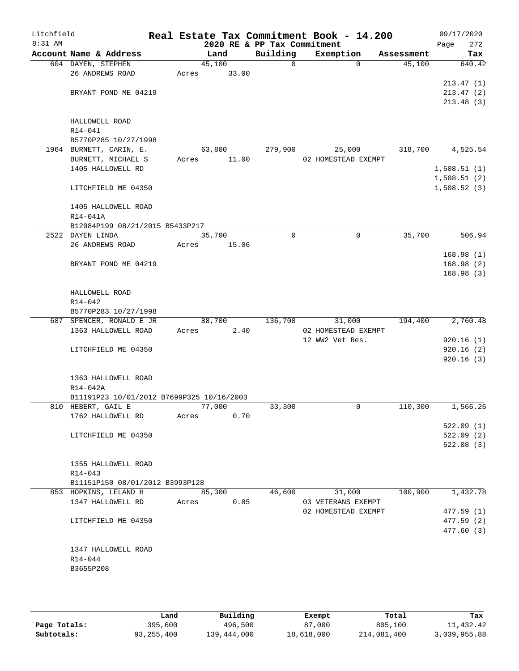| Litchfield<br>$8:31$ AM |                                            |       |        | 2020 RE & PP Tax Commitment | Real Estate Tax Commitment Book - 14.200 |            | 09/17/2020<br>Page<br>272 |
|-------------------------|--------------------------------------------|-------|--------|-----------------------------|------------------------------------------|------------|---------------------------|
|                         | Account Name & Address                     |       | Land   | Building                    | Exemption                                | Assessment | Tax                       |
|                         | 604 DAYEN, STEPHEN                         |       | 45,100 | 0                           | $\Omega$                                 | 45,100     | 640.42                    |
|                         | 26 ANDREWS ROAD                            | Acres | 33.00  |                             |                                          |            |                           |
|                         |                                            |       |        |                             |                                          |            | 213.47(1)                 |
|                         | BRYANT POND ME 04219                       |       |        |                             |                                          |            | 213.47(2)                 |
|                         |                                            |       |        |                             |                                          |            | 213.48(3)                 |
|                         |                                            |       |        |                             |                                          |            |                           |
|                         | HALLOWELL ROAD                             |       |        |                             |                                          |            |                           |
|                         | R14-041                                    |       |        |                             |                                          |            |                           |
|                         | B5770P285 10/27/1998                       |       |        |                             |                                          |            |                           |
|                         | 1964 BURNETT, CARIN, E.                    |       | 63,800 | 279,900                     | 25,000                                   | 318,700    | 4,525.54                  |
|                         | BURNETT, MICHAEL S                         | Acres | 11.00  |                             | 02 HOMESTEAD EXEMPT                      |            |                           |
|                         | 1405 HALLOWELL RD                          |       |        |                             |                                          |            | 1,508.51(1)               |
|                         |                                            |       |        |                             |                                          |            | 1,508.51(2)               |
|                         | LITCHFIELD ME 04350                        |       |        |                             |                                          |            | 1,508.52(3)               |
|                         | 1405 HALLOWELL ROAD                        |       |        |                             |                                          |            |                           |
|                         | R14-041A                                   |       |        |                             |                                          |            |                           |
|                         | B12084P199 08/21/2015 B5433P217            |       |        |                             |                                          |            |                           |
|                         | 2522 DAYEN LINDA                           |       | 35,700 | $\mathbf 0$                 | 0                                        | 35,700     | 506.94                    |
|                         | 26 ANDREWS ROAD                            | Acres | 15.06  |                             |                                          |            |                           |
|                         |                                            |       |        |                             |                                          |            | 168.98(1)                 |
|                         | BRYANT POND ME 04219                       |       |        |                             |                                          |            | 168.98(2)                 |
|                         |                                            |       |        |                             |                                          |            | 168.98(3)                 |
|                         |                                            |       |        |                             |                                          |            |                           |
|                         | HALLOWELL ROAD                             |       |        |                             |                                          |            |                           |
|                         | $R14 - 042$                                |       |        |                             |                                          |            |                           |
|                         | B5770P283 10/27/1998                       |       |        |                             |                                          |            |                           |
|                         | 687 SPENCER, RONALD E JR                   |       | 88,700 | 136,700                     | 31,000                                   | 194,400    | $\overline{2,760.48}$     |
|                         | 1363 HALLOWELL ROAD                        | Acres | 2.40   |                             | 02 HOMESTEAD EXEMPT                      |            |                           |
|                         |                                            |       |        |                             | 12 WW2 Vet Res.                          |            | 920.16(1)                 |
|                         | LITCHFIELD ME 04350                        |       |        |                             |                                          |            | 920.16(2)<br>920.16(3)    |
|                         |                                            |       |        |                             |                                          |            |                           |
|                         | 1363 HALLOWELL ROAD                        |       |        |                             |                                          |            |                           |
|                         | R14-042A                                   |       |        |                             |                                          |            |                           |
|                         | B11191P23 10/01/2012 B7699P325 10/16/2003  |       |        |                             |                                          |            |                           |
|                         | 810 HEBERT, GAIL E                         |       | 77,000 | 33,300                      | 0                                        | 110,300    | 1,566.26                  |
|                         | 1762 HALLOWELL RD                          | Acres | 0.70   |                             |                                          |            |                           |
|                         |                                            |       |        |                             |                                          |            | 522.09(1)                 |
|                         | LITCHFIELD ME 04350                        |       |        |                             |                                          |            | 522.09(2)                 |
|                         |                                            |       |        |                             |                                          |            | 522.08(3)                 |
|                         |                                            |       |        |                             |                                          |            |                           |
|                         | 1355 HALLOWELL ROAD                        |       |        |                             |                                          |            |                           |
|                         | R14-043                                    |       |        |                             |                                          |            |                           |
|                         | B11151P150 08/01/2012 B3993P128            |       | 85,300 | 46,600                      |                                          | 100,900    | 1,432.78                  |
|                         | 853 HOPKINS, LELAND H<br>1347 HALLOWELL RD |       | 0.85   |                             | 31,000<br>03 VETERANS EXEMPT             |            |                           |
|                         |                                            | Acres |        |                             | 02 HOMESTEAD EXEMPT                      |            | 477.59(1)                 |
|                         | LITCHFIELD ME 04350                        |       |        |                             |                                          |            | 477.59 (2)                |
|                         |                                            |       |        |                             |                                          |            | 477.60 (3)                |
|                         |                                            |       |        |                             |                                          |            |                           |
|                         | 1347 HALLOWELL ROAD                        |       |        |                             |                                          |            |                           |
|                         | R14-044                                    |       |        |                             |                                          |            |                           |
|                         | B3655P208                                  |       |        |                             |                                          |            |                           |
|                         |                                            |       |        |                             |                                          |            |                           |
|                         |                                            |       |        |                             |                                          |            |                           |

|              | Land       | Building    | Exempt     | Total       | Tax          |
|--------------|------------|-------------|------------|-------------|--------------|
| Page Totals: | 395,600    | 496,500     | 87,000     | 805,100     | 11,432.42    |
| Subtotals:   | 93,255,400 | 139,444,000 | 18,618,000 | 214,081,400 | 3,039,955.88 |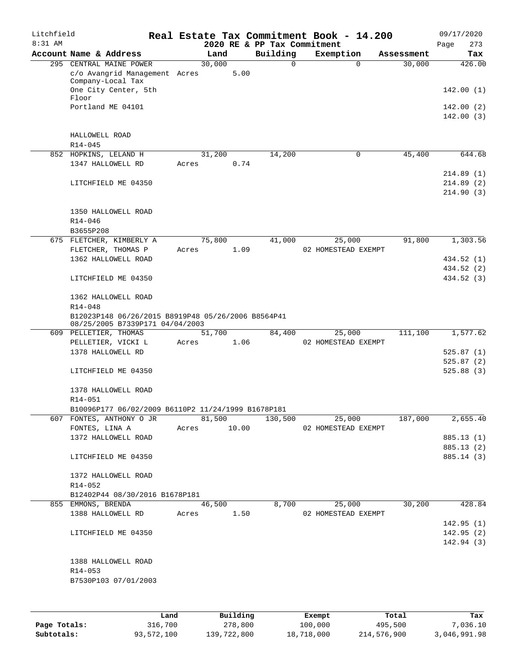| Litchfield |                                                    |       |        |       |                             | Real Estate Tax Commitment Book - 14.200 |            | 09/17/2020             |
|------------|----------------------------------------------------|-------|--------|-------|-----------------------------|------------------------------------------|------------|------------------------|
| 8:31 AM    |                                                    |       |        |       | 2020 RE & PP Tax Commitment |                                          |            | 273<br>Page            |
|            | Account Name & Address                             |       | Land   |       | Building                    | Exemption                                | Assessment | Tax                    |
|            | 295 CENTRAL MAINE POWER                            |       | 30,000 |       | $\mathbf 0$                 | $\Omega$                                 | 30,000     | 426.00                 |
|            | c/o Avangrid Management Acres<br>Company-Local Tax |       |        | 5.00  |                             |                                          |            |                        |
|            | One City Center, 5th                               |       |        |       |                             |                                          |            | 142.00(1)              |
|            | Floor                                              |       |        |       |                             |                                          |            |                        |
|            | Portland ME 04101                                  |       |        |       |                             |                                          |            | 142.00 (2)             |
|            |                                                    |       |        |       |                             |                                          |            | 142.00(3)              |
|            |                                                    |       |        |       |                             |                                          |            |                        |
|            | HALLOWELL ROAD                                     |       |        |       |                             |                                          |            |                        |
|            | $R14 - 045$                                        |       |        |       |                             |                                          |            |                        |
|            | 852 HOPKINS, LELAND H                              |       | 31,200 |       | 14,200                      | $\mathbf 0$                              | 45,400     | 644.68                 |
|            | 1347 HALLOWELL RD                                  | Acres |        | 0.74  |                             |                                          |            |                        |
|            |                                                    |       |        |       |                             |                                          |            | 214.89(1)              |
|            | LITCHFIELD ME 04350                                |       |        |       |                             |                                          |            | 214.89(2)              |
|            |                                                    |       |        |       |                             |                                          |            | 214.90(3)              |
|            | 1350 HALLOWELL ROAD                                |       |        |       |                             |                                          |            |                        |
|            | R14-046                                            |       |        |       |                             |                                          |            |                        |
|            | B3655P208                                          |       |        |       |                             |                                          |            |                        |
|            | 675 FLETCHER, KIMBERLY A                           |       | 75,800 |       | 41,000                      | 25,000                                   | 91,800     | 1,303.56               |
|            | FLETCHER, THOMAS P                                 | Acres |        | 1.09  |                             | 02 HOMESTEAD EXEMPT                      |            |                        |
|            | 1362 HALLOWELL ROAD                                |       |        |       |                             |                                          |            | 434.52 (1)             |
|            |                                                    |       |        |       |                             |                                          |            | 434.52 (2)             |
|            | LITCHFIELD ME 04350                                |       |        |       |                             |                                          |            | 434.52 (3)             |
|            |                                                    |       |        |       |                             |                                          |            |                        |
|            | 1362 HALLOWELL ROAD                                |       |        |       |                             |                                          |            |                        |
|            | R14-048                                            |       |        |       |                             |                                          |            |                        |
|            | B12023P148 06/26/2015 B8919P48 05/26/2006 B8564P41 |       |        |       |                             |                                          |            |                        |
|            | 08/25/2005 B7339P171 04/04/2003                    |       |        |       |                             |                                          |            |                        |
|            | 609 PELLETIER, THOMAS                              |       | 51,700 |       | 84,400                      | 25,000                                   | 111,100    | 1,577.62               |
|            | PELLETIER, VICKI L                                 | Acres |        | 1.06  |                             | 02 HOMESTEAD EXEMPT                      |            |                        |
|            | 1378 HALLOWELL RD                                  |       |        |       |                             |                                          |            | 525.87(1)<br>525.87(2) |
|            | LITCHFIELD ME 04350                                |       |        |       |                             |                                          |            | 525.88(3)              |
|            |                                                    |       |        |       |                             |                                          |            |                        |
|            | 1378 HALLOWELL ROAD                                |       |        |       |                             |                                          |            |                        |
|            | R14-051                                            |       |        |       |                             |                                          |            |                        |
|            | B10096P177 06/02/2009 B6110P2 11/24/1999 B1678P181 |       |        |       |                             |                                          |            |                        |
|            | 607 FONTES, ANTHONY O JR                           |       | 81,500 |       | 130,500                     | 25,000                                   | 187,000    | 2,655.40               |
|            | FONTES, LINA A                                     | Acres |        | 10.00 |                             | 02 HOMESTEAD EXEMPT                      |            |                        |
|            | 1372 HALLOWELL ROAD                                |       |        |       |                             |                                          |            | 885.13 (1)             |
|            |                                                    |       |        |       |                             |                                          |            | 885.13 (2)             |
|            | LITCHFIELD ME 04350                                |       |        |       |                             |                                          |            | 885.14 (3)             |
|            |                                                    |       |        |       |                             |                                          |            |                        |
|            | 1372 HALLOWELL ROAD                                |       |        |       |                             |                                          |            |                        |
|            | R14-052                                            |       |        |       |                             |                                          |            |                        |
|            | B12402P44 08/30/2016 B1678P181                     |       |        |       |                             |                                          |            |                        |
|            | 855 EMMONS, BRENDA                                 |       | 46,500 |       | 8,700                       | 25,000                                   | 30,200     | 428.84                 |
|            | 1388 HALLOWELL RD                                  | Acres |        | 1.50  |                             | 02 HOMESTEAD EXEMPT                      |            |                        |
|            |                                                    |       |        |       |                             |                                          |            | 142.95(1)              |
|            | LITCHFIELD ME 04350                                |       |        |       |                             |                                          |            | 142.95(2)              |
|            |                                                    |       |        |       |                             |                                          |            | 142.94 (3)             |
|            |                                                    |       |        |       |                             |                                          |            |                        |
|            | 1388 HALLOWELL ROAD                                |       |        |       |                             |                                          |            |                        |
|            | R14-053                                            |       |        |       |                             |                                          |            |                        |
|            | B7530P103 07/01/2003                               |       |        |       |                             |                                          |            |                        |
|            |                                                    |       |        |       |                             |                                          |            |                        |
|            |                                                    |       |        |       |                             |                                          |            |                        |

|              | Land       | Building    | Exempt     | Total       | Tax          |
|--------------|------------|-------------|------------|-------------|--------------|
| Page Totals: | 316,700    | 278,800     | 100,000    | 495,500     | 7,036.10     |
| Subtotals:   | 93,572,100 | 139,722,800 | 18,718,000 | 214,576,900 | 3,046,991.98 |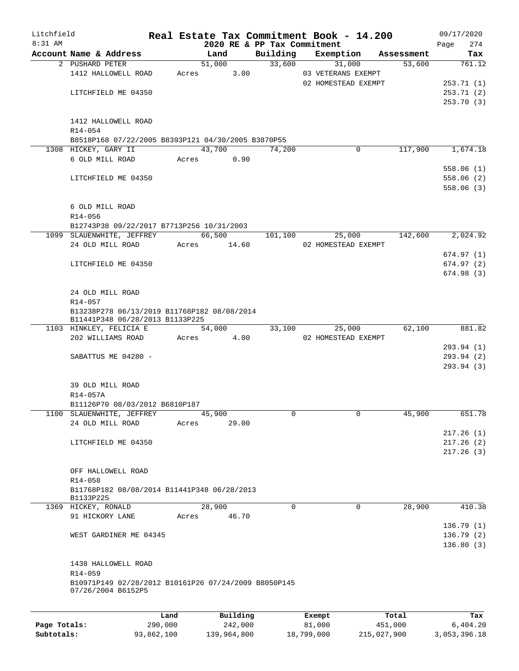| Litchfield   |                                                                            |         |       |            |                             | Real Estate Tax Commitment Book - 14.200 |            | 09/17/2020  |
|--------------|----------------------------------------------------------------------------|---------|-------|------------|-----------------------------|------------------------------------------|------------|-------------|
| 8:31 AM      |                                                                            |         |       |            | 2020 RE & PP Tax Commitment |                                          |            | 274<br>Page |
|              | Account Name & Address                                                     |         |       | Land       | Building                    | Exemption                                | Assessment | Tax         |
|              | 2 PUSHARD PETER                                                            |         |       | 51,000     | 33,600                      | 31,000                                   | 53,600     | 761.12      |
|              | 1412 HALLOWELL ROAD                                                        | Acres   |       | 3.00       |                             | 03 VETERANS EXEMPT                       |            |             |
|              |                                                                            |         |       |            |                             | 02 HOMESTEAD EXEMPT                      |            | 253.71(1)   |
|              | LITCHFIELD ME 04350                                                        |         |       |            |                             |                                          |            | 253.71(2)   |
|              |                                                                            |         |       |            |                             |                                          |            | 253.70 (3)  |
|              |                                                                            |         |       |            |                             |                                          |            |             |
|              | 1412 HALLOWELL ROAD                                                        |         |       |            |                             |                                          |            |             |
|              | R14-054                                                                    |         |       |            |                             |                                          |            |             |
|              | B8518P168 07/22/2005 B8393P121 04/30/2005 B3870P55<br>1308 HICKEY, GARY II |         |       | 43,700     | 74,200                      | $\mathbf 0$                              | 117,900    |             |
|              | 6 OLD MILL ROAD                                                            |         |       | 0.90       |                             |                                          |            | 1,674.18    |
|              |                                                                            |         | Acres |            |                             |                                          |            | 558.06(1)   |
|              | LITCHFIELD ME 04350                                                        |         |       |            |                             |                                          |            | 558.06(2)   |
|              |                                                                            |         |       |            |                             |                                          |            | 558.06(3)   |
|              |                                                                            |         |       |            |                             |                                          |            |             |
|              | 6 OLD MILL ROAD                                                            |         |       |            |                             |                                          |            |             |
|              | R14-056                                                                    |         |       |            |                             |                                          |            |             |
|              | B12743P38 09/22/2017 B7713P256 10/31/2003                                  |         |       |            |                             |                                          |            |             |
|              | 1099 SLAUENWHITE, JEFFREY                                                  |         |       | 66,500     | 101,100                     | 25,000                                   | 142,600    | 2,024.92    |
|              | 24 OLD MILL ROAD                                                           | Acres   |       | 14.60      |                             | 02 HOMESTEAD EXEMPT                      |            |             |
|              |                                                                            |         |       |            |                             |                                          |            | 674.97(1)   |
|              | LITCHFIELD ME 04350                                                        |         |       |            |                             |                                          |            | 674.97(2)   |
|              |                                                                            |         |       |            |                             |                                          |            | 674.98(3)   |
|              |                                                                            |         |       |            |                             |                                          |            |             |
|              | 24 OLD MILL ROAD                                                           |         |       |            |                             |                                          |            |             |
|              | R14-057                                                                    |         |       |            |                             |                                          |            |             |
|              | B13238P278 06/13/2019 B11768P182 08/08/2014                                |         |       |            |                             |                                          |            |             |
|              | B11441P348 06/28/2013 B1133P225                                            |         |       |            |                             |                                          |            |             |
|              | 1103 HINKLEY, FELICIA E                                                    |         |       | 54,000     | 33,100                      | 25,000                                   | 62,100     | 881.82      |
|              | 202 WILLIAMS ROAD                                                          |         |       | Acres 4.00 |                             | 02 HOMESTEAD EXEMPT                      |            |             |
|              |                                                                            |         |       |            |                             |                                          |            | 293.94 (1)  |
|              | SABATTUS ME 04280 -                                                        |         |       |            |                             |                                          |            | 293.94 (2)  |
|              |                                                                            |         |       |            |                             |                                          |            | 293.94 (3)  |
|              |                                                                            |         |       |            |                             |                                          |            |             |
|              | 39 OLD MILL ROAD                                                           |         |       |            |                             |                                          |            |             |
|              | R14-057A                                                                   |         |       |            |                             |                                          |            |             |
|              | B11126P70 08/03/2012 B6810P187                                             |         |       |            |                             |                                          |            |             |
|              | 1100 SLAUENWHITE, JEFFREY                                                  |         |       | 45,900     | 0                           | 0                                        | 45,900     | 651.78      |
|              | 24 OLD MILL ROAD                                                           | Acres   |       | 29.00      |                             |                                          |            |             |
|              |                                                                            |         |       |            |                             |                                          |            | 217.26(1)   |
|              | LITCHFIELD ME 04350                                                        |         |       |            |                             |                                          |            | 217.26(2)   |
|              |                                                                            |         |       |            |                             |                                          |            | 217.26(3)   |
|              |                                                                            |         |       |            |                             |                                          |            |             |
|              | OFF HALLOWELL ROAD                                                         |         |       |            |                             |                                          |            |             |
|              | R14-058                                                                    |         |       |            |                             |                                          |            |             |
|              | B11768P182 08/08/2014 B11441P348 06/28/2013<br>B1133P225                   |         |       |            |                             |                                          |            |             |
|              | 1369 HICKEY, RONALD                                                        |         |       | 28,900     | 0                           | $\mathbf 0$                              | 28,900     | 410.38      |
|              | 91 HICKORY LANE                                                            | Acres   |       | 46.70      |                             |                                          |            |             |
|              |                                                                            |         |       |            |                             |                                          |            | 136.79(1)   |
|              | WEST GARDINER ME 04345                                                     |         |       |            |                             |                                          |            | 136.79(2)   |
|              |                                                                            |         |       |            |                             |                                          |            | 136.80(3)   |
|              |                                                                            |         |       |            |                             |                                          |            |             |
|              | 1438 HALLOWELL ROAD                                                        |         |       |            |                             |                                          |            |             |
|              | R14-059                                                                    |         |       |            |                             |                                          |            |             |
|              | B10971P149 02/28/2012 B10161P26 07/24/2009 B8050P145                       |         |       |            |                             |                                          |            |             |
|              | 07/26/2004 B6152P5                                                         |         |       |            |                             |                                          |            |             |
|              |                                                                            |         |       |            |                             |                                          |            |             |
|              |                                                                            | Land    |       | Building   |                             | Exempt                                   | Total      | Tax         |
| Page Totals: |                                                                            | 290,000 |       | 242,000    |                             | 81,000                                   | 451,000    | 6,404.20    |
|              |                                                                            |         |       |            |                             |                                          |            |             |

**Subtotals:** 93,862,100 139,964,800 18,799,000 215,027,900 3,053,396.18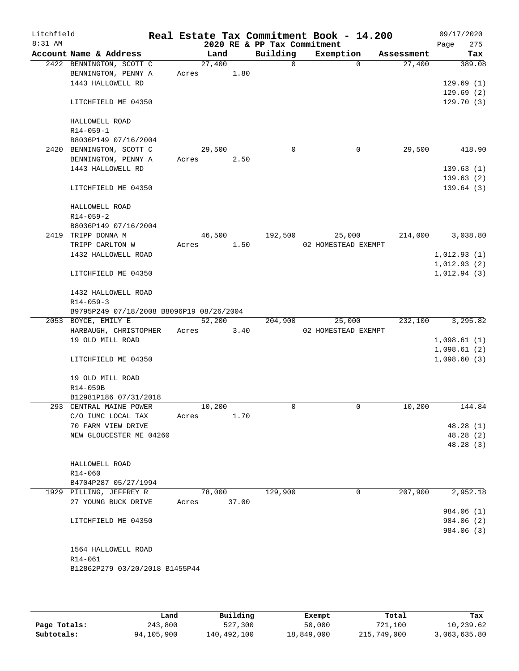| Litchfield |                                          |       |        |       |                             | Real Estate Tax Commitment Book - 14.200 |          |            | 09/17/2020  |
|------------|------------------------------------------|-------|--------|-------|-----------------------------|------------------------------------------|----------|------------|-------------|
| 8:31 AM    |                                          |       |        |       | 2020 RE & PP Tax Commitment |                                          |          |            | 275<br>Page |
|            | Account Name & Address                   |       | Land   |       | Building                    | Exemption                                |          | Assessment | Tax         |
|            | 2422 BENNINGTON, SCOTT C                 |       | 27,400 |       | 0                           |                                          | $\Omega$ | 27,400     | 389.08      |
|            | BENNINGTON, PENNY A                      | Acres |        | 1.80  |                             |                                          |          |            |             |
|            | 1443 HALLOWELL RD                        |       |        |       |                             |                                          |          |            | 129.69(1)   |
|            |                                          |       |        |       |                             |                                          |          |            | 129.69(2)   |
|            | LITCHFIELD ME 04350                      |       |        |       |                             |                                          |          |            | 129.70(3)   |
|            |                                          |       |        |       |                             |                                          |          |            |             |
|            | HALLOWELL ROAD                           |       |        |       |                             |                                          |          |            |             |
|            | R14-059-1                                |       |        |       |                             |                                          |          |            |             |
|            | B8036P149 07/16/2004                     |       |        |       |                             |                                          |          |            |             |
|            | 2420 BENNINGTON, SCOTT C                 |       | 29,500 |       | $\mathbf 0$                 |                                          | 0        | 29,500     | 418.90      |
|            | BENNINGTON, PENNY A                      | Acres |        | 2.50  |                             |                                          |          |            |             |
|            | 1443 HALLOWELL RD                        |       |        |       |                             |                                          |          |            | 139.63(1)   |
|            |                                          |       |        |       |                             |                                          |          |            | 139.63(2)   |
|            | LITCHFIELD ME 04350                      |       |        |       |                             |                                          |          |            | 139.64(3)   |
|            |                                          |       |        |       |                             |                                          |          |            |             |
|            | HALLOWELL ROAD                           |       |        |       |                             |                                          |          |            |             |
|            | $R14 - 059 - 2$                          |       |        |       |                             |                                          |          |            |             |
|            | B8036P149 07/16/2004                     |       |        |       |                             |                                          |          |            |             |
|            | 2419 TRIPP DONNA M                       |       | 46,500 |       | 192,500                     | 25,000                                   |          | 214,000    | 3,038.80    |
|            | TRIPP CARLTON W                          | Acres |        | 1.50  |                             | 02 HOMESTEAD EXEMPT                      |          |            |             |
|            | 1432 HALLOWELL ROAD                      |       |        |       |                             |                                          |          |            | 1,012.93(1) |
|            |                                          |       |        |       |                             |                                          |          |            | 1,012.93(2) |
|            | LITCHFIELD ME 04350                      |       |        |       |                             |                                          |          |            | 1,012.94(3) |
|            | 1432 HALLOWELL ROAD                      |       |        |       |                             |                                          |          |            |             |
|            | $R14 - 059 - 3$                          |       |        |       |                             |                                          |          |            |             |
|            | B9795P249 07/18/2008 B8096P19 08/26/2004 |       |        |       |                             |                                          |          |            |             |
|            | 2053 BOYCE, EMILY E                      |       | 52,200 |       | 204,900                     | 25,000                                   |          | 232,100    | 3,295.82    |
|            | HARBAUGH, CHRISTOPHER                    | Acres |        | 3.40  |                             | 02 HOMESTEAD EXEMPT                      |          |            |             |
|            | 19 OLD MILL ROAD                         |       |        |       |                             |                                          |          |            | 1,098.61(1) |
|            |                                          |       |        |       |                             |                                          |          |            | 1,098.61(2) |
|            | LITCHFIELD ME 04350                      |       |        |       |                             |                                          |          |            | 1,098.60(3) |
|            |                                          |       |        |       |                             |                                          |          |            |             |
|            | 19 OLD MILL ROAD                         |       |        |       |                             |                                          |          |            |             |
|            | R14-059B                                 |       |        |       |                             |                                          |          |            |             |
|            | B12981P186 07/31/2018                    |       |        |       |                             |                                          |          |            |             |
|            | 293 CENTRAL MAINE POWER                  |       | 10,200 |       | 0                           |                                          | 0        | 10,200     | 144.84      |
|            | C/O IUMC LOCAL TAX                       | Acres |        | 1.70  |                             |                                          |          |            |             |
|            | 70 FARM VIEW DRIVE                       |       |        |       |                             |                                          |          |            | 48.28 (1)   |
|            | NEW GLOUCESTER ME 04260                  |       |        |       |                             |                                          |          |            | 48.28 (2)   |
|            |                                          |       |        |       |                             |                                          |          |            | 48.28 (3)   |
|            |                                          |       |        |       |                             |                                          |          |            |             |
|            | HALLOWELL ROAD                           |       |        |       |                             |                                          |          |            |             |
|            | R14-060                                  |       |        |       |                             |                                          |          |            |             |
|            | B4704P287 05/27/1994                     |       |        |       |                             |                                          |          |            |             |
|            | 1929 PILLING, JEFFREY R                  |       | 78,000 |       | 129,900                     |                                          | 0        | 207,900    | 2,952.18    |
|            | 27 YOUNG BUCK DRIVE                      |       |        | 37.00 |                             |                                          |          |            |             |
|            |                                          | Acres |        |       |                             |                                          |          |            |             |
|            |                                          |       |        |       |                             |                                          |          |            | 984.06 (1)  |
|            | LITCHFIELD ME 04350                      |       |        |       |                             |                                          |          |            | 984.06 (2)  |
|            |                                          |       |        |       |                             |                                          |          |            | 984.06 (3)  |
|            | 1564 HALLOWELL ROAD                      |       |        |       |                             |                                          |          |            |             |
|            | R14-061                                  |       |        |       |                             |                                          |          |            |             |
|            | B12862P279 03/20/2018 B1455P44           |       |        |       |                             |                                          |          |            |             |
|            |                                          |       |        |       |                             |                                          |          |            |             |
|            |                                          |       |        |       |                             |                                          |          |            |             |

|              | Land       | Building    | Exempt     | Total       | Tax          |  |  |
|--------------|------------|-------------|------------|-------------|--------------|--|--|
| Page Totals: | 243,800    | 527,300     | 50,000     | 721,100     | 10,239.62    |  |  |
| Subtotals:   | 94,105,900 | 140,492,100 | 18,849,000 | 215,749,000 | 3,063,635.80 |  |  |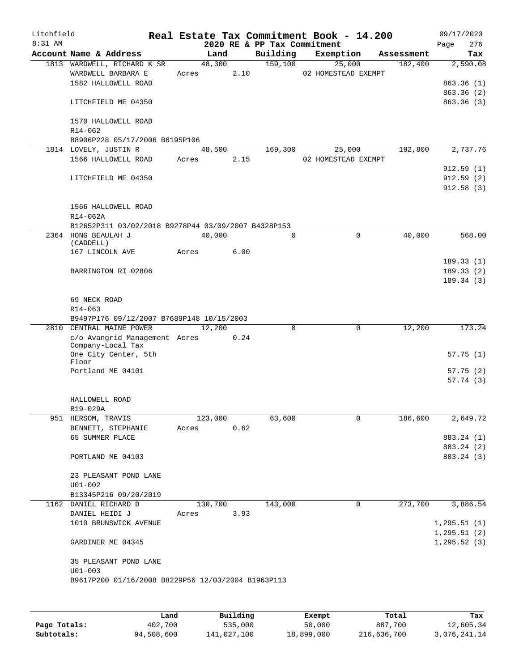| Litchfield |                                                       |       |                |      |                             | Real Estate Tax Commitment Book - 14.200 |             |                       | 09/17/2020                   |
|------------|-------------------------------------------------------|-------|----------------|------|-----------------------------|------------------------------------------|-------------|-----------------------|------------------------------|
| 8:31 AM    |                                                       |       |                |      | 2020 RE & PP Tax Commitment |                                          |             |                       | 276<br>Page                  |
|            | Account Name & Address<br>1813 WARDWELL, RICHARD K SR |       | Land<br>48,300 |      | Building<br>159,100         | Exemption<br>25,000                      |             | Assessment<br>182,400 | Tax<br>2,590.08              |
|            | WARDWELL BARBARA E                                    | Acres |                | 2.10 |                             | 02 HOMESTEAD EXEMPT                      |             |                       |                              |
|            | 1582 HALLOWELL ROAD                                   |       |                |      |                             |                                          |             |                       | 863.36(1)                    |
|            |                                                       |       |                |      |                             |                                          |             |                       | 863.36 (2)                   |
|            | LITCHFIELD ME 04350                                   |       |                |      |                             |                                          |             |                       | 863.36(3)                    |
|            | 1570 HALLOWELL ROAD                                   |       |                |      |                             |                                          |             |                       |                              |
|            | R14-062                                               |       |                |      |                             |                                          |             |                       |                              |
|            | B8906P228 05/17/2006 B6195P106                        |       |                |      |                             |                                          |             |                       |                              |
|            | 1814 LOVELY, JUSTIN R<br>1566 HALLOWELL ROAD          |       | 48,500         |      | 169,300                     | 25,000                                   |             | 192,800               | 2,737.76                     |
|            |                                                       | Acres |                | 2.15 |                             | 02 HOMESTEAD EXEMPT                      |             |                       | 912.59(1)                    |
|            | LITCHFIELD ME 04350                                   |       |                |      |                             |                                          |             |                       | 912.59(2)                    |
|            |                                                       |       |                |      |                             |                                          |             |                       | 912.58(3)                    |
|            | 1566 HALLOWELL ROAD                                   |       |                |      |                             |                                          |             |                       |                              |
|            | R14-062A                                              |       |                |      |                             |                                          |             |                       |                              |
|            | B12652P311 03/02/2018 B9278P44 03/09/2007 B4328P153   |       |                |      |                             |                                          |             |                       |                              |
|            | 2364 HONG BEAULAH J<br>(CADDELL)                      |       | 40,000         |      | $\Omega$                    |                                          | $\mathbf 0$ | 40,000                | 568.00                       |
|            | 167 LINCOLN AVE                                       | Acres |                | 6.00 |                             |                                          |             |                       |                              |
|            |                                                       |       |                |      |                             |                                          |             |                       | 189.33(1)                    |
|            | BARRINGTON RI 02806                                   |       |                |      |                             |                                          |             |                       | 189.33(2)<br>189.34(3)       |
|            |                                                       |       |                |      |                             |                                          |             |                       |                              |
|            | 69 NECK ROAD                                          |       |                |      |                             |                                          |             |                       |                              |
|            | $R14 - 063$                                           |       |                |      |                             |                                          |             |                       |                              |
|            | B9497P176 09/12/2007 B7689P148 10/15/2003             |       |                |      |                             |                                          |             |                       |                              |
| 2810       | CENTRAL MAINE POWER                                   |       | 12,200         |      | $\Omega$                    |                                          | $\mathbf 0$ | 12,200                | 173.24                       |
|            | c/o Avangrid Management Acres<br>Company-Local Tax    |       |                | 0.24 |                             |                                          |             |                       |                              |
|            | One City Center, 5th                                  |       |                |      |                             |                                          |             |                       | 57.75(1)                     |
|            | Floor                                                 |       |                |      |                             |                                          |             |                       |                              |
|            | Portland ME 04101                                     |       |                |      |                             |                                          |             |                       | 57.75(2)                     |
|            |                                                       |       |                |      |                             |                                          |             |                       | 57.74(3)                     |
|            | HALLOWELL ROAD                                        |       |                |      |                             |                                          |             |                       |                              |
|            | R19-029A                                              |       |                |      |                             |                                          |             |                       |                              |
|            | 951 HERSOM, TRAVIS                                    |       | 123,000        |      | 63,600                      |                                          | 0           | 186,600               | 2,649.72                     |
|            | BENNETT, STEPHANIE                                    | Acres |                | 0.62 |                             |                                          |             |                       |                              |
|            | 65 SUMMER PLACE                                       |       |                |      |                             |                                          |             |                       | 883.24 (1)                   |
|            |                                                       |       |                |      |                             |                                          |             |                       | 883.24 (2)                   |
|            | PORTLAND ME 04103                                     |       |                |      |                             |                                          |             |                       | 883.24 (3)                   |
|            | 23 PLEASANT POND LANE                                 |       |                |      |                             |                                          |             |                       |                              |
|            | $U01 - 002$                                           |       |                |      |                             |                                          |             |                       |                              |
|            | B13345P216 09/20/2019                                 |       |                |      |                             |                                          |             |                       |                              |
|            | 1162 DANIEL RICHARD D                                 |       | 130,700        |      | 143,000                     |                                          | 0           | 273,700               | 3,886.54                     |
|            | DANIEL HEIDI J                                        | Acres |                | 3.93 |                             |                                          |             |                       |                              |
|            | 1010 BRUNSWICK AVENUE                                 |       |                |      |                             |                                          |             |                       | 1, 295.51(1)                 |
|            | GARDINER ME 04345                                     |       |                |      |                             |                                          |             |                       | 1, 295.51(2)<br>1, 295.52(3) |
|            |                                                       |       |                |      |                             |                                          |             |                       |                              |
|            | 35 PLEASANT POND LANE                                 |       |                |      |                             |                                          |             |                       |                              |
|            | $U01 - 003$                                           |       |                |      |                             |                                          |             |                       |                              |
|            | B9617P200 01/16/2008 B8229P56 12/03/2004 B1963P113    |       |                |      |                             |                                          |             |                       |                              |
|            |                                                       |       |                |      |                             |                                          |             |                       |                              |
|            |                                                       |       |                |      |                             |                                          |             |                       |                              |

|              | Land       | Building    | Exempt     | Total       | Tax          |
|--------------|------------|-------------|------------|-------------|--------------|
| Page Totals: | 402,700    | 535,000     | 50,000     | 887,700     | 12,605.34    |
| Subtotals:   | 94,508,600 | 141,027,100 | 18,899,000 | 216,636,700 | 3,076,241.14 |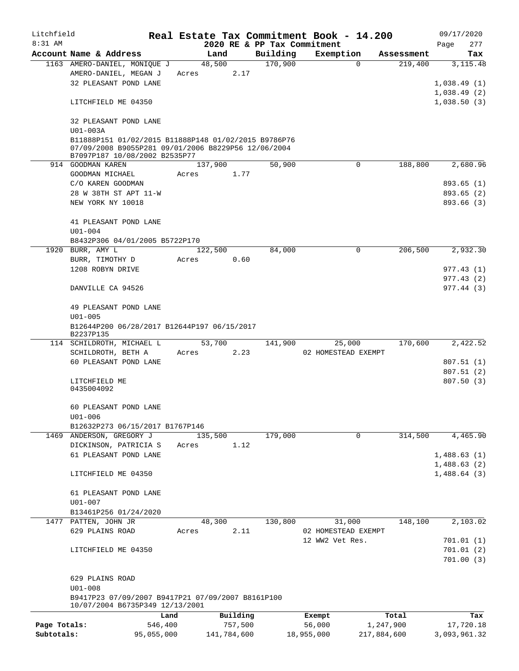| Litchfield   |                                                                  |            |       |             |          |          | Real Estate Tax Commitment Book - 14.200 |             |             |      | 09/17/2020             |
|--------------|------------------------------------------------------------------|------------|-------|-------------|----------|----------|------------------------------------------|-------------|-------------|------|------------------------|
| $8:31$ AM    |                                                                  |            |       |             |          |          | 2020 RE & PP Tax Commitment              |             |             | Page | 277                    |
|              | Account Name & Address                                           |            |       | Land        |          | Building | Exemption                                |             | Assessment  |      | Tax                    |
|              | 1163 AMERO-DANIEL, MONIQUE J                                     |            |       | 48,500      |          | 170,900  |                                          | $\mathbf 0$ | 219,400     |      | 3, 115.48              |
|              | AMERO-DANIEL, MEGAN J                                            |            | Acres |             | 2.17     |          |                                          |             |             |      |                        |
|              | 32 PLEASANT POND LANE                                            |            |       |             |          |          |                                          |             |             |      | 1,038.49(1)            |
|              |                                                                  |            |       |             |          |          |                                          |             |             |      | 1,038.49(2)            |
|              | LITCHFIELD ME 04350                                              |            |       |             |          |          |                                          |             |             |      | 1,038.50(3)            |
|              |                                                                  |            |       |             |          |          |                                          |             |             |      |                        |
|              | 32 PLEASANT POND LANE                                            |            |       |             |          |          |                                          |             |             |      |                        |
|              | U01-003A<br>B11888P151 01/02/2015 B11888P148 01/02/2015 B9786P76 |            |       |             |          |          |                                          |             |             |      |                        |
|              | 07/09/2008 B9055P281 09/01/2006 B8229P56 12/06/2004              |            |       |             |          |          |                                          |             |             |      |                        |
|              | B7097P187 10/08/2002 B2535P77                                    |            |       |             |          |          |                                          |             |             |      |                        |
|              | 914 GOODMAN KAREN                                                |            |       | 137,900     |          | 50,900   |                                          | $\mathbf 0$ | 188,800     |      | 2,680.96               |
|              | GOODMAN MICHAEL                                                  |            | Acres |             | 1.77     |          |                                          |             |             |      |                        |
|              | C/O KAREN GOODMAN                                                |            |       |             |          |          |                                          |             |             |      | 893.65(1)              |
|              | 28 W 38TH ST APT 11-W                                            |            |       |             |          |          |                                          |             |             |      | 893.65(2)              |
|              | NEW YORK NY 10018                                                |            |       |             |          |          |                                          |             |             |      | 893.66 (3)             |
|              |                                                                  |            |       |             |          |          |                                          |             |             |      |                        |
|              | 41 PLEASANT POND LANE                                            |            |       |             |          |          |                                          |             |             |      |                        |
|              | $U01 - 004$                                                      |            |       |             |          |          |                                          |             |             |      |                        |
|              | B8432P306 04/01/2005 B5722P170                                   |            |       |             |          |          |                                          |             |             |      |                        |
|              | 1920 BURR, AMY L                                                 |            |       | 122,500     |          | 84,000   |                                          | 0           | 206,500     |      | 2,932.30               |
|              | BURR, TIMOTHY D                                                  |            | Acres |             | 0.60     |          |                                          |             |             |      |                        |
|              | 1208 ROBYN DRIVE                                                 |            |       |             |          |          |                                          |             |             |      | 977.43 (1)             |
|              |                                                                  |            |       |             |          |          |                                          |             |             |      | 977.43(2)              |
|              | DANVILLE CA 94526                                                |            |       |             |          |          |                                          |             |             |      | 977.44(3)              |
|              |                                                                  |            |       |             |          |          |                                          |             |             |      |                        |
|              | 49 PLEASANT POND LANE                                            |            |       |             |          |          |                                          |             |             |      |                        |
|              | $U01 - 005$                                                      |            |       |             |          |          |                                          |             |             |      |                        |
|              | B12644P200 06/28/2017 B12644P197 06/15/2017                      |            |       |             |          |          |                                          |             |             |      |                        |
|              | B2237P135                                                        |            |       |             |          |          |                                          |             | 170,600     |      |                        |
|              | 114 SCHILDROTH, MICHAEL L                                        |            |       | 53,700      |          | 141,900  | 25,000                                   |             |             |      | 2,422.52               |
|              | SCHILDROTH, BETH A<br>60 PLEASANT POND LANE                      |            | Acres |             | 2.23     |          | 02 HOMESTEAD EXEMPT                      |             |             |      |                        |
|              |                                                                  |            |       |             |          |          |                                          |             |             |      | 807.51(1)<br>807.51(2) |
|              | LITCHFIELD ME                                                    |            |       |             |          |          |                                          |             |             |      | 807.50(3)              |
|              | 0435004092                                                       |            |       |             |          |          |                                          |             |             |      |                        |
|              |                                                                  |            |       |             |          |          |                                          |             |             |      |                        |
|              | 60 PLEASANT POND LANE                                            |            |       |             |          |          |                                          |             |             |      |                        |
|              | $U01 - 006$                                                      |            |       |             |          |          |                                          |             |             |      |                        |
|              | B12632P273 06/15/2017 B1767P146                                  |            |       |             |          |          |                                          |             |             |      |                        |
|              | 1469 ANDERSON, GREGORY J                                         |            |       | 135,500     |          | 179,000  |                                          | $\mathbf 0$ | 314,500     |      | 4,465.90               |
|              | DICKINSON, PATRICIA S                                            |            | Acres |             | 1.12     |          |                                          |             |             |      |                        |
|              | 61 PLEASANT POND LANE                                            |            |       |             |          |          |                                          |             |             |      | 1,488.63(1)            |
|              |                                                                  |            |       |             |          |          |                                          |             |             |      | 1,488.63(2)            |
|              | LITCHFIELD ME 04350                                              |            |       |             |          |          |                                          |             |             |      | 1,488.64(3)            |
|              |                                                                  |            |       |             |          |          |                                          |             |             |      |                        |
|              | 61 PLEASANT POND LANE                                            |            |       |             |          |          |                                          |             |             |      |                        |
|              | $U01 - 007$                                                      |            |       |             |          |          |                                          |             |             |      |                        |
|              | B13461P256 01/24/2020                                            |            |       |             |          |          |                                          |             |             |      |                        |
|              | 1477 PATTEN, JOHN JR                                             |            |       | 48,300      |          | 130,800  | 31,000                                   |             | 148,100     |      | 2,103.02               |
|              | 629 PLAINS ROAD                                                  |            | Acres |             | 2.11     |          | 02 HOMESTEAD EXEMPT                      |             |             |      |                        |
|              |                                                                  |            |       |             |          |          | 12 WW2 Vet Res.                          |             |             |      | 701.01(1)              |
|              | LITCHFIELD ME 04350                                              |            |       |             |          |          |                                          |             |             |      | 701.01(2)              |
|              |                                                                  |            |       |             |          |          |                                          |             |             |      | 701.00(3)              |
|              |                                                                  |            |       |             |          |          |                                          |             |             |      |                        |
|              | 629 PLAINS ROAD                                                  |            |       |             |          |          |                                          |             |             |      |                        |
|              | $U01 - 008$                                                      |            |       |             |          |          |                                          |             |             |      |                        |
|              | B9417P23 07/09/2007 B9417P21 07/09/2007 B8161P100                |            |       |             |          |          |                                          |             |             |      |                        |
|              | 10/07/2004 B6735P349 12/13/2001                                  |            |       |             |          |          |                                          |             |             |      |                        |
|              |                                                                  | Land       |       |             | Building |          | Exempt                                   |             | Total       |      | Tax                    |
| Page Totals: |                                                                  | 546,400    |       |             | 757,500  |          | 56,000                                   |             | 1,247,900   |      | 17,720.18              |
| Subtotals:   |                                                                  | 95,055,000 |       | 141,784,600 |          |          | 18,955,000                               |             | 217,884,600 |      | 3,093,961.32           |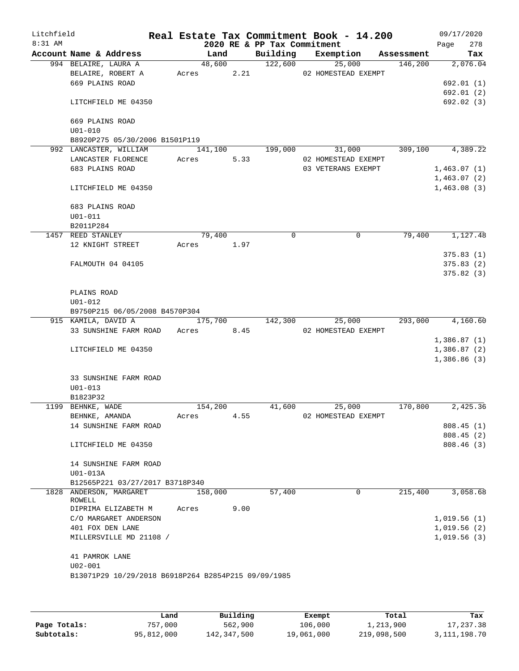| Litchfield<br>8:31 AM |                     |                                                     | Real Estate Tax Commitment Book - 14.200 |      | 2020 RE & PP Tax Commitment |                     |            |             | 09/17/2020     |
|-----------------------|---------------------|-----------------------------------------------------|------------------------------------------|------|-----------------------------|---------------------|------------|-------------|----------------|
|                       |                     | Account Name & Address                              | Land                                     |      | Building                    | Exemption           | Assessment | Page        | 278<br>Tax     |
|                       |                     | 994 BELAIRE, LAURA A                                | 48,600                                   |      | 122,600                     | 25,000              | 146,200    |             | 2,076.04       |
|                       |                     | BELAIRE, ROBERT A                                   | Acres                                    | 2.21 |                             | 02 HOMESTEAD EXEMPT |            |             |                |
|                       | 669 PLAINS ROAD     |                                                     |                                          |      |                             |                     |            |             | 692.01 (1)     |
|                       |                     |                                                     |                                          |      |                             |                     |            |             | 692.01(2)      |
|                       |                     | LITCHFIELD ME 04350                                 |                                          |      |                             |                     |            |             | 692.02 (3)     |
|                       | 669 PLAINS ROAD     |                                                     |                                          |      |                             |                     |            |             |                |
|                       | $U01 - 010$         |                                                     |                                          |      |                             |                     |            |             |                |
|                       |                     | B8920P275 05/30/2006 B1501P119                      |                                          |      |                             |                     |            |             |                |
|                       |                     | 992 LANCASTER, WILLIAM                              | 141,100                                  |      | 199,000                     | 31,000              | 309,100    |             | 4,389.22       |
|                       |                     | LANCASTER FLORENCE                                  | Acres                                    | 5.33 |                             | 02 HOMESTEAD EXEMPT |            |             |                |
|                       | 683 PLAINS ROAD     |                                                     |                                          |      |                             | 03 VETERANS EXEMPT  |            | 1,463.07(1) |                |
|                       |                     |                                                     |                                          |      |                             |                     |            |             | 1,463.07(2)    |
|                       |                     | LITCHFIELD ME 04350                                 |                                          |      |                             |                     |            |             | 1,463.08(3)    |
|                       | 683 PLAINS ROAD     |                                                     |                                          |      |                             |                     |            |             |                |
|                       | $U01 - 011$         |                                                     |                                          |      |                             |                     |            |             |                |
|                       | B2011P284           |                                                     |                                          |      |                             |                     |            |             |                |
|                       | 1457 REED STANLEY   |                                                     | 79,400                                   |      | $\Omega$                    | $\mathbf 0$         | 79,400     |             | 1,127.48       |
|                       |                     | 12 KNIGHT STREET                                    | Acres 1.97                               |      |                             |                     |            |             |                |
|                       |                     |                                                     |                                          |      |                             |                     |            |             | 375.83(1)      |
|                       |                     | FALMOUTH 04 04105                                   |                                          |      |                             |                     |            |             | 375.83(2)      |
|                       |                     |                                                     |                                          |      |                             |                     |            |             | 375.82(3)      |
|                       | PLAINS ROAD         |                                                     |                                          |      |                             |                     |            |             |                |
|                       | $U01 - 012$         |                                                     |                                          |      |                             |                     |            |             |                |
|                       |                     | B9750P215 06/05/2008 B4570P304                      |                                          |      |                             |                     |            |             |                |
|                       | 915 KAMILA, DAVID A |                                                     | 175,700                                  |      | 142,300                     | 25,000              | 293,000    |             | 4,160.60       |
|                       |                     | 33 SUNSHINE FARM ROAD Acres                         |                                          | 8.45 |                             | 02 HOMESTEAD EXEMPT |            |             |                |
|                       |                     |                                                     |                                          |      |                             |                     |            |             | 1,386.87(1)    |
|                       |                     | LITCHFIELD ME 04350                                 |                                          |      |                             |                     |            |             | 1,386.87(2)    |
|                       |                     |                                                     |                                          |      |                             |                     |            |             | $1,386.86$ (3) |
|                       |                     | <b>33 SUNSHINE FARM ROAD</b>                        |                                          |      |                             |                     |            |             |                |
|                       | $U01 - 013$         |                                                     |                                          |      |                             |                     |            |             |                |
|                       | B1823P32            |                                                     |                                          |      |                             |                     |            |             |                |
|                       | 1199 BEHNKE, WADE   |                                                     | 154,200                                  |      | 41,600                      | 25,000              | 170,800    |             | 2,425.36       |
|                       | BEHNKE, AMANDA      |                                                     | Acres                                    | 4.55 |                             | 02 HOMESTEAD EXEMPT |            |             |                |
|                       |                     | 14 SUNSHINE FARM ROAD                               |                                          |      |                             |                     |            |             | 808.45(1)      |
|                       |                     |                                                     |                                          |      |                             |                     |            |             | 808.45(2)      |
|                       |                     | LITCHFIELD ME 04350                                 |                                          |      |                             |                     |            |             | 808.46(3)      |
|                       |                     | 14 SUNSHINE FARM ROAD                               |                                          |      |                             |                     |            |             |                |
|                       | U01-013A            |                                                     |                                          |      |                             |                     |            |             |                |
|                       |                     | B12565P221 03/27/2017 B3718P340                     |                                          |      |                             |                     |            |             |                |
|                       |                     | 1828 ANDERSON, MARGARET                             | 158,000                                  |      | 57,400                      | 0                   | 215,400    |             | 3,058.68       |
|                       | ROWELL              |                                                     |                                          |      |                             |                     |            |             |                |
|                       |                     | DIPRIMA ELIZABETH M                                 | Acres                                    | 9.00 |                             |                     |            |             |                |
|                       |                     | C/O MARGARET ANDERSON                               |                                          |      |                             |                     |            |             | 1,019.56(1)    |
|                       |                     | 401 FOX DEN LANE                                    |                                          |      |                             |                     |            |             | 1,019.56(2)    |
|                       |                     | MILLERSVILLE MD 21108 /                             |                                          |      |                             |                     |            |             | 1,019.56(3)    |
|                       | 41 PAMROK LANE      |                                                     |                                          |      |                             |                     |            |             |                |
|                       | $U02 - 001$         |                                                     |                                          |      |                             |                     |            |             |                |
|                       |                     | B13071P29 10/29/2018 B6918P264 B2854P215 09/09/1985 |                                          |      |                             |                     |            |             |                |
|                       |                     |                                                     |                                          |      |                             |                     |            |             |                |
|                       |                     |                                                     |                                          |      |                             |                     |            |             |                |

|              | Land       | Building    | Exempt     | Total       | Tax          |
|--------------|------------|-------------|------------|-------------|--------------|
| Page Totals: | 757.000    | 562,900     | 106,000    | 1,213,900   | 17,237.38    |
| Subtotals:   | 95,812,000 | 142,347,500 | 19,061,000 | 219,098,500 | 3,111,198.70 |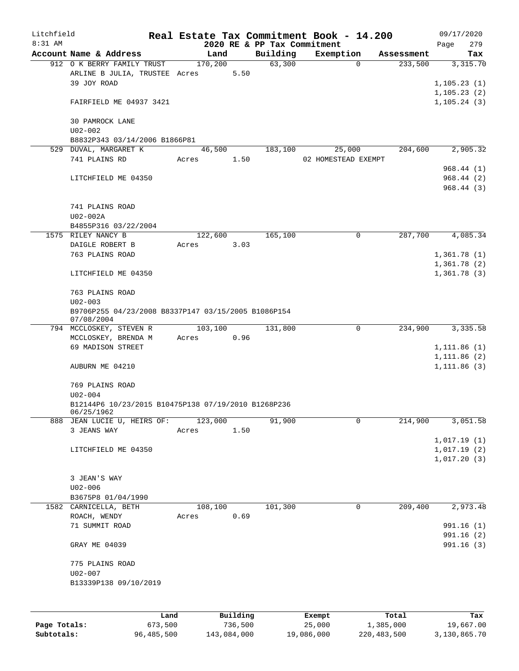| Litchfield   |                                                     |         |          |                             | Real Estate Tax Commitment Book - 14.200 |            | 09/17/2020   |
|--------------|-----------------------------------------------------|---------|----------|-----------------------------|------------------------------------------|------------|--------------|
| 8:31 AM      |                                                     |         |          | 2020 RE & PP Tax Commitment |                                          |            | 279<br>Page  |
|              | Account Name & Address                              | Land    |          | Building                    | Exemption                                | Assessment | Tax          |
|              | 912 O K BERRY FAMILY TRUST                          | 170,200 |          | 63,300                      | $\mathbf 0$                              | 233,500    | 3,315.70     |
|              | ARLINE B JULIA, TRUSTEE Acres<br>39 JOY ROAD        |         | 5.50     |                             |                                          |            |              |
|              |                                                     |         |          |                             |                                          |            | 1, 105.23(1) |
|              |                                                     |         |          |                             |                                          |            | 1,105.23(2)  |
|              | FAIRFIELD ME 04937 3421                             |         |          |                             |                                          |            | 1, 105.24(3) |
|              |                                                     |         |          |                             |                                          |            |              |
|              | 30 PAMROCK LANE                                     |         |          |                             |                                          |            |              |
|              | $U02 - 002$<br>B8832P343 03/14/2006 B1866P81        |         |          |                             |                                          |            |              |
|              | 529 DUVAL, MARGARET K                               | 46,500  |          | 183,100                     |                                          | 204,600    | 2,905.32     |
|              | 741 PLAINS RD                                       | Acres   | 1.50     |                             | 25,000<br>02 HOMESTEAD EXEMPT            |            |              |
|              |                                                     |         |          |                             |                                          |            | 968.44(1)    |
|              |                                                     |         |          |                             |                                          |            |              |
|              | LITCHFIELD ME 04350                                 |         |          |                             |                                          |            | 968.44(2)    |
|              |                                                     |         |          |                             |                                          |            | 968.44(3)    |
|              |                                                     |         |          |                             |                                          |            |              |
|              | 741 PLAINS ROAD                                     |         |          |                             |                                          |            |              |
|              | U02-002A                                            |         |          |                             |                                          |            |              |
|              | B4855P316 03/22/2004                                |         |          |                             |                                          |            |              |
|              | 1575 RILEY NANCY B                                  | 122,600 |          | 165,100                     | 0                                        | 287,700    | 4,085.34     |
|              | DAIGLE ROBERT B                                     | Acres   | 3.03     |                             |                                          |            |              |
|              | 763 PLAINS ROAD                                     |         |          |                             |                                          |            | 1,361.78(1)  |
|              |                                                     |         |          |                             |                                          |            | 1,361.78(2)  |
|              | LITCHFIELD ME 04350                                 |         |          |                             |                                          |            | 1,361.78(3)  |
|              |                                                     |         |          |                             |                                          |            |              |
|              | 763 PLAINS ROAD                                     |         |          |                             |                                          |            |              |
|              | $U02 - 003$                                         |         |          |                             |                                          |            |              |
|              | B9706P255 04/23/2008 B8337P147 03/15/2005 B1086P154 |         |          |                             |                                          |            |              |
|              | 07/08/2004<br>794 MCCLOSKEY, STEVEN R               | 103,100 |          | 131,800                     | $\mathbf 0$                              | 234,900    | 3,335.58     |
|              | MCCLOSKEY, BRENDA M                                 | Acres   | 0.96     |                             |                                          |            |              |
|              | 69 MADISON STREET                                   |         |          |                             |                                          |            | 1, 111.86(1) |
|              |                                                     |         |          |                             |                                          |            | 1, 111.86(2) |
|              | AUBURN ME 04210                                     |         |          |                             |                                          |            | 1, 111.86(3) |
|              |                                                     |         |          |                             |                                          |            |              |
|              | 769 PLAINS ROAD                                     |         |          |                             |                                          |            |              |
|              | $U02 - 004$                                         |         |          |                             |                                          |            |              |
|              | B12144P6 10/23/2015 B10475P138 07/19/2010 B1268P236 |         |          |                             |                                          |            |              |
|              | 06/25/1962                                          |         |          |                             |                                          |            |              |
|              | 888 JEAN LUCIE U, HEIRS OF:                         | 123,000 |          | 91,900                      | 0                                        | 214,900    | 3,051.58     |
|              | 3 JEANS WAY                                         | Acres   | 1.50     |                             |                                          |            |              |
|              |                                                     |         |          |                             |                                          |            | 1,017.19(1)  |
|              | LITCHFIELD ME 04350                                 |         |          |                             |                                          |            | 1,017.19(2)  |
|              |                                                     |         |          |                             |                                          |            | 1,017.20(3)  |
|              |                                                     |         |          |                             |                                          |            |              |
|              | 3 JEAN'S WAY                                        |         |          |                             |                                          |            |              |
|              | $U02 - 006$                                         |         |          |                             |                                          |            |              |
|              | B3675P8 01/04/1990                                  |         |          |                             |                                          |            |              |
|              | 1582 CARNICELLA, BETH                               | 108,100 |          | 101,300                     | 0                                        | 209,400    | 2,973.48     |
|              | ROACH, WENDY                                        | Acres   | 0.69     |                             |                                          |            |              |
|              | 71 SUMMIT ROAD                                      |         |          |                             |                                          |            | 991.16 (1)   |
|              |                                                     |         |          |                             |                                          |            | 991.16(2)    |
|              | GRAY ME 04039                                       |         |          |                             |                                          |            | 991.16(3)    |
|              |                                                     |         |          |                             |                                          |            |              |
|              | 775 PLAINS ROAD                                     |         |          |                             |                                          |            |              |
|              |                                                     |         |          |                             |                                          |            |              |
|              | $U02 - 007$                                         |         |          |                             |                                          |            |              |
|              | B13339P138 09/10/2019                               |         |          |                             |                                          |            |              |
|              |                                                     |         |          |                             |                                          |            |              |
|              |                                                     |         |          |                             |                                          |            |              |
|              | Land                                                |         | Building |                             | Exempt                                   | Total      | Tax          |
| Page Totals: | 673,500                                             |         | 736,500  |                             | 25,000                                   | 1,385,000  | 19,667.00    |

**Subtotals:** 96,485,500 143,084,000 19,086,000 220,483,500 3,130,865.70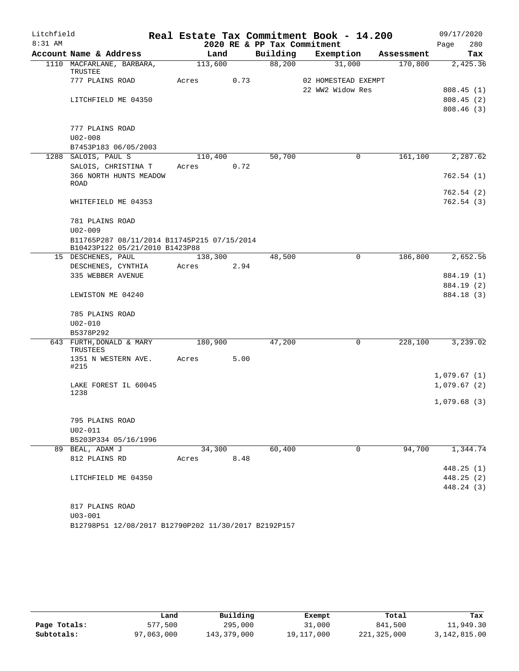| Litchfield |                                             |       |         |      |                             | Real Estate Tax Commitment Book - 14.200 |             |            | 09/17/2020  |     |
|------------|---------------------------------------------|-------|---------|------|-----------------------------|------------------------------------------|-------------|------------|-------------|-----|
| $8:31$ AM  |                                             |       |         |      | 2020 RE & PP Tax Commitment |                                          |             |            | Page        | 280 |
|            | Account Name & Address                      |       | Land    |      | Building                    | Exemption                                |             | Assessment |             | Tax |
|            | 1110 MACFARLANE, BARBARA,                   |       | 113,600 |      | 88,200                      | 31,000                                   |             | 170,800    | 2,425.36    |     |
|            | TRUSTEE<br>777 PLAINS ROAD                  | Acres |         | 0.73 |                             | 02 HOMESTEAD EXEMPT                      |             |            |             |     |
|            |                                             |       |         |      |                             | 22 WW2 Widow Res                         |             |            | 808.45(1)   |     |
|            | LITCHFIELD ME 04350                         |       |         |      |                             |                                          |             |            | 808.45(2)   |     |
|            |                                             |       |         |      |                             |                                          |             |            | 808.46 (3)  |     |
|            |                                             |       |         |      |                             |                                          |             |            |             |     |
|            | 777 PLAINS ROAD                             |       |         |      |                             |                                          |             |            |             |     |
|            | $U02 - 008$                                 |       |         |      |                             |                                          |             |            |             |     |
|            | B7453P183 06/05/2003                        |       |         |      |                             |                                          |             |            |             |     |
|            | 1288 SALOIS, PAUL S                         |       | 110,400 |      | 50,700                      |                                          | 0           | 161,100    | 2,287.62    |     |
|            | SALOIS, CHRISTINA T                         | Acres |         | 0.72 |                             |                                          |             |            |             |     |
|            | 366 NORTH HUNTS MEADOW                      |       |         |      |                             |                                          |             |            | 762.54(1)   |     |
|            | ROAD                                        |       |         |      |                             |                                          |             |            |             |     |
|            |                                             |       |         |      |                             |                                          |             |            | 762.54(2)   |     |
|            | WHITEFIELD ME 04353                         |       |         |      |                             |                                          |             |            | 762.54(3)   |     |
|            | 781 PLAINS ROAD                             |       |         |      |                             |                                          |             |            |             |     |
|            | $U02 - 009$                                 |       |         |      |                             |                                          |             |            |             |     |
|            | B11765P287 08/11/2014 B11745P215 07/15/2014 |       |         |      |                             |                                          |             |            |             |     |
|            | B10423P122 05/21/2010 B1423P88              |       |         |      |                             |                                          |             |            |             |     |
|            | 15 DESCHENES, PAUL                          |       | 138,300 |      | 48,500                      |                                          | $\mathbf 0$ | 186,800    | 2,652.56    |     |
|            | DESCHENES, CYNTHIA                          | Acres |         | 2.94 |                             |                                          |             |            |             |     |
|            | 335 WEBBER AVENUE                           |       |         |      |                             |                                          |             |            | 884.19 (1)  |     |
|            |                                             |       |         |      |                             |                                          |             |            | 884.19 (2)  |     |
|            | LEWISTON ME 04240                           |       |         |      |                             |                                          |             |            | 884.18 (3)  |     |
|            |                                             |       |         |      |                             |                                          |             |            |             |     |
|            | 785 PLAINS ROAD                             |       |         |      |                             |                                          |             |            |             |     |
|            | $U02 - 010$                                 |       |         |      |                             |                                          |             |            |             |     |
|            | B5378P292                                   |       |         |      |                             |                                          |             |            |             |     |
|            | 643 FURTH, DONALD & MARY<br>TRUSTEES        |       | 180,900 |      | 47,200                      |                                          | $\mathbf 0$ | 228,100    | 3,239.02    |     |
|            | 1351 N WESTERN AVE.                         | Acres |         | 5.00 |                             |                                          |             |            |             |     |
|            | #215                                        |       |         |      |                             |                                          |             |            |             |     |
|            |                                             |       |         |      |                             |                                          |             |            | 1,079.67(1) |     |
|            | LAKE FOREST IL 60045                        |       |         |      |                             |                                          |             |            | 1,079.67(2) |     |
|            | 1238                                        |       |         |      |                             |                                          |             |            | 1,079.68(3) |     |
|            |                                             |       |         |      |                             |                                          |             |            |             |     |
|            | 795 PLAINS ROAD                             |       |         |      |                             |                                          |             |            |             |     |
|            | $U02 - 011$                                 |       |         |      |                             |                                          |             |            |             |     |
|            | B5203P334 05/16/1996                        |       |         |      |                             |                                          |             |            |             |     |
|            | 89 BEAL, ADAM J                             |       | 34,300  |      | 60,400                      |                                          | $\mathbf 0$ | 94,700     | 1,344.74    |     |
|            | 812 PLAINS RD                               |       | Acres   | 8.48 |                             |                                          |             |            |             |     |
|            |                                             |       |         |      |                             |                                          |             |            | 448.25(1)   |     |
|            | LITCHFIELD ME 04350                         |       |         |      |                             |                                          |             |            | 448.25 (2)  |     |
|            |                                             |       |         |      |                             |                                          |             |            | 448.24 (3)  |     |
|            |                                             |       |         |      |                             |                                          |             |            |             |     |
|            | 817 PLAINS ROAD                             |       |         |      |                             |                                          |             |            |             |     |
|            | $U03 - 001$                                 |       |         |      |                             |                                          |             |            |             |     |

B12798P51 12/08/2017 B12790P202 11/30/2017 B2192P157

|              | Land       | Building    | Exempt     | Total       | Tax          |
|--------------|------------|-------------|------------|-------------|--------------|
| Page Totals: | 577,500    | 295,000     | 31,000     | 841,500     | 11,949.30    |
| Subtotals:   | 97,063,000 | 143,379,000 | 19,117,000 | 221,325,000 | 3,142,815.00 |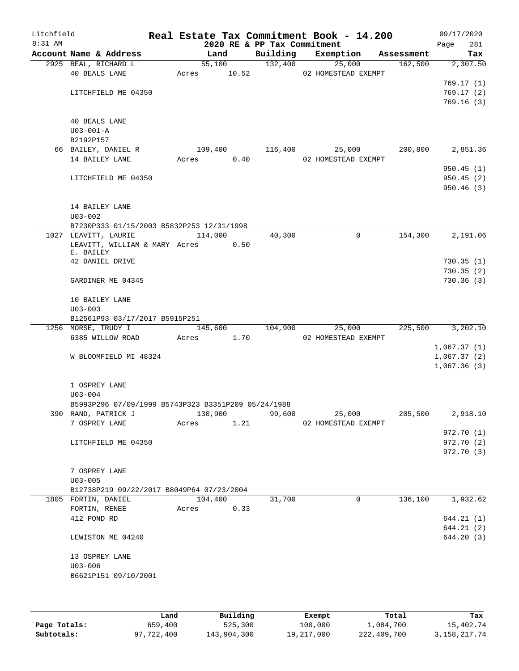| Litchfield<br>$8:31$ AM |                                                                  |                | 2020 RE & PP Tax Commitment | Real Estate Tax Commitment Book - 14.200 |            | 09/17/2020<br>281<br>Page  |
|-------------------------|------------------------------------------------------------------|----------------|-----------------------------|------------------------------------------|------------|----------------------------|
|                         | Account Name & Address                                           | Land           | Building                    | Exemption                                | Assessment | Tax                        |
|                         | 2925 BEAL, RICHARD L                                             | 55,100         | 132,400                     | 25,000                                   | 162,500    | 2,307.50                   |
|                         | <b>40 BEALS LANE</b>                                             | 10.52<br>Acres |                             | 02 HOMESTEAD EXEMPT                      |            |                            |
|                         |                                                                  |                |                             |                                          |            | 769.17(1)                  |
|                         | LITCHFIELD ME 04350                                              |                |                             |                                          |            | 769.17(2)                  |
|                         |                                                                  |                |                             |                                          |            | 769.16(3)                  |
|                         | <b>40 BEALS LANE</b>                                             |                |                             |                                          |            |                            |
|                         | $U03 - 001 - A$                                                  |                |                             |                                          |            |                            |
|                         | B2192P157                                                        |                |                             |                                          |            |                            |
|                         | 66 BAILEY, DANIEL R                                              | 109,400        | 116,400                     | 25,000                                   | 200,800    | 2,851.36                   |
|                         | 14 BAILEY LANE                                                   | 0.40<br>Acres  |                             | 02 HOMESTEAD EXEMPT                      |            |                            |
|                         |                                                                  |                |                             |                                          |            | 950.45(1)                  |
|                         | LITCHFIELD ME 04350                                              |                |                             |                                          |            | 950.45(2)                  |
|                         |                                                                  |                |                             |                                          |            | 950.46 (3)                 |
|                         |                                                                  |                |                             |                                          |            |                            |
|                         | 14 BAILEY LANE                                                   |                |                             |                                          |            |                            |
|                         | $U03 - 002$                                                      |                |                             |                                          |            |                            |
|                         | B7230P333 01/15/2003 B5832P253 12/31/1998                        |                |                             |                                          |            |                            |
|                         | 1027 LEAVITT, LAURIE                                             | 114,000        | 40,300                      | 0                                        | 154,300    | 2,191.06                   |
|                         | LEAVITT, WILLIAM & MARY Acres 0.50<br>E. BAILEY                  |                |                             |                                          |            |                            |
|                         | 42 DANIEL DRIVE                                                  |                |                             |                                          |            | 730.35(1)                  |
|                         |                                                                  |                |                             |                                          |            | 730.35(2)                  |
|                         | GARDINER ME 04345                                                |                |                             |                                          |            | 730.36 (3)                 |
|                         |                                                                  |                |                             |                                          |            |                            |
|                         | 10 BAILEY LANE                                                   |                |                             |                                          |            |                            |
|                         | $U03 - 003$                                                      |                |                             |                                          |            |                            |
|                         | B12561P93 03/17/2017 B5915P251                                   |                |                             |                                          |            |                            |
|                         | 1256 MORSE, TRUDY I                                              | 145,600        | 104,900                     | 25,000                                   | 225,500    | 3,202.10                   |
|                         | 6385 WILLOW ROAD                                                 | 1.70<br>Acres  |                             | 02 HOMESTEAD EXEMPT                      |            |                            |
|                         |                                                                  |                |                             |                                          |            | 1,067.37(1)                |
|                         | W BLOOMFIELD MI 48324                                            |                |                             |                                          |            | 1,067.37(2)<br>1,067.36(3) |
|                         |                                                                  |                |                             |                                          |            |                            |
|                         | 1 OSPREY LANE                                                    |                |                             |                                          |            |                            |
|                         | $U03 - 004$                                                      |                |                             |                                          |            |                            |
|                         | B5993P296 07/09/1999 B5743P323 B3351P209 05/24/1988              |                |                             |                                          |            |                            |
|                         | 390 RAND, PATRICK J                                              | 130,900        | 99,600                      | 25,000                                   | 205,500    | 2,918.10                   |
|                         | 7 OSPREY LANE                                                    | Acres<br>1.21  |                             | 02 HOMESTEAD EXEMPT                      |            |                            |
|                         |                                                                  |                |                             |                                          |            | 972.70(1)                  |
|                         | LITCHFIELD ME 04350                                              |                |                             |                                          |            | 972.70 (2)                 |
|                         |                                                                  |                |                             |                                          |            | 972.70 (3)                 |
|                         |                                                                  |                |                             |                                          |            |                            |
|                         | 7 OSPREY LANE                                                    |                |                             |                                          |            |                            |
|                         | $U03 - 005$                                                      |                |                             |                                          |            |                            |
|                         | B12738P219 09/22/2017 B8049P64 07/23/2004<br>1805 FORTIN, DANIEL | 104,400        | 31,700                      | 0                                        | 136,100    | 1,932.62                   |
|                         | FORTIN, RENEE                                                    | 0.33<br>Acres  |                             |                                          |            |                            |
|                         | 412 POND RD                                                      |                |                             |                                          |            | 644.21(1)                  |
|                         |                                                                  |                |                             |                                          |            | 644.21 (2)                 |
|                         | LEWISTON ME 04240                                                |                |                             |                                          |            | 644.20 (3)                 |
|                         |                                                                  |                |                             |                                          |            |                            |
|                         | 13 OSPREY LANE                                                   |                |                             |                                          |            |                            |
|                         | $U03 - 006$                                                      |                |                             |                                          |            |                            |
|                         | B6621P151 09/10/2001                                             |                |                             |                                          |            |                            |
|                         |                                                                  |                |                             |                                          |            |                            |
|                         |                                                                  |                |                             |                                          |            |                            |

|              | Land       | Building    | Exempt     | Total       | Tax             |
|--------------|------------|-------------|------------|-------------|-----------------|
| Page Totals: | 659,400    | 525,300     | 100,000    | 1,084,700   | 15,402.74       |
| Subtotals:   | 97,722,400 | 143,904,300 | 19,217,000 | 222,409,700 | 3, 158, 217. 74 |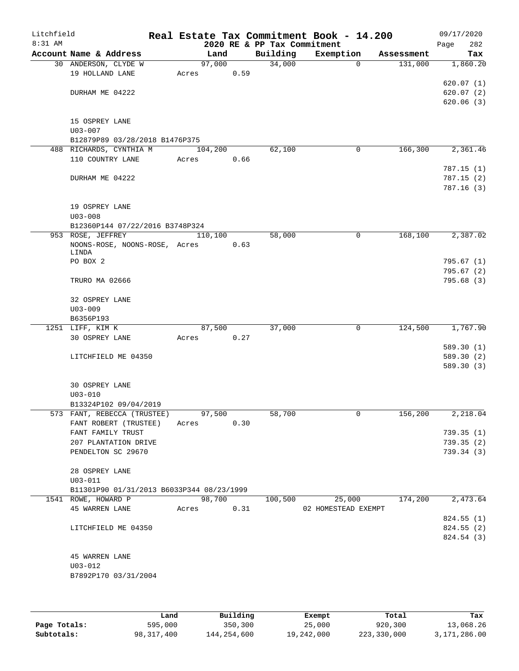| Litchfield<br>8:31 AM |                                                                  |            |      | 2020 RE & PP Tax Commitment | Real Estate Tax Commitment Book - 14.200 |            | 09/17/2020<br>282<br>Page |
|-----------------------|------------------------------------------------------------------|------------|------|-----------------------------|------------------------------------------|------------|---------------------------|
|                       | Account Name & Address                                           | Land       |      | Building                    | Exemption                                | Assessment | Tax                       |
|                       | 30 ANDERSON, CLYDE W                                             | 97,000     |      | 34,000                      | $\mathbf 0$                              | 131,000    | 1,860.20                  |
|                       | 19 HOLLAND LANE                                                  | Acres      | 0.59 |                             |                                          |            |                           |
|                       |                                                                  |            |      |                             |                                          |            | 620.07(1)                 |
|                       | DURHAM ME 04222                                                  |            |      |                             |                                          |            | 620.07(2)                 |
|                       |                                                                  |            |      |                             |                                          |            | 620.06(3)                 |
|                       |                                                                  |            |      |                             |                                          |            |                           |
|                       | 15 OSPREY LANE                                                   |            |      |                             |                                          |            |                           |
|                       | $U03 - 007$<br>B12879P89 03/28/2018 B1476P375                    |            |      |                             |                                          |            |                           |
|                       | 488 RICHARDS, CYNTHIA M                                          | 104,200    |      | 62,100                      | 0                                        | 166,300    | 2,361.46                  |
|                       | 110 COUNTRY LANE                                                 | Acres      | 0.66 |                             |                                          |            |                           |
|                       |                                                                  |            |      |                             |                                          |            | 787.15(1)                 |
|                       | DURHAM ME 04222                                                  |            |      |                             |                                          |            | 787.15(2)                 |
|                       |                                                                  |            |      |                             |                                          |            | 787.16(3)                 |
|                       |                                                                  |            |      |                             |                                          |            |                           |
|                       | 19 OSPREY LANE                                                   |            |      |                             |                                          |            |                           |
|                       | $U03 - 008$                                                      |            |      |                             |                                          |            |                           |
|                       | B12360P144 07/22/2016 B3748P324                                  |            |      |                             |                                          |            |                           |
|                       | 953 ROSE, JEFFREY                                                | 110,100    |      | 58,000                      | 0                                        | 168,100    | 2,387.02                  |
|                       | NOONS-ROSE, NOONS-ROSE, Acres<br>LINDA                           |            | 0.63 |                             |                                          |            |                           |
|                       | PO BOX 2                                                         |            |      |                             |                                          |            | 795.67 (1)                |
|                       |                                                                  |            |      |                             |                                          |            | 795.67(2)                 |
|                       | TRURO MA 02666                                                   |            |      |                             |                                          |            | 795.68 (3)                |
|                       |                                                                  |            |      |                             |                                          |            |                           |
|                       | 32 OSPREY LANE                                                   |            |      |                             |                                          |            |                           |
|                       | $U03 - 009$                                                      |            |      |                             |                                          |            |                           |
|                       | B6356P193                                                        |            |      |                             |                                          |            |                           |
|                       | 1251 LIFF, KIM K                                                 | 87,500     |      | 37,000                      | 0                                        | 124,500    | 1,767.90                  |
|                       | 30 OSPREY LANE                                                   | Acres      | 0.27 |                             |                                          |            |                           |
|                       |                                                                  |            |      |                             |                                          |            | 589.30(1)                 |
|                       | LITCHFIELD ME 04350                                              |            |      |                             |                                          |            | 589.30 (2)<br>589.30(3)   |
|                       |                                                                  |            |      |                             |                                          |            |                           |
|                       | 30 OSPREY LANE                                                   |            |      |                             |                                          |            |                           |
|                       | $U03 - 010$                                                      |            |      |                             |                                          |            |                           |
|                       | B13324P102 09/04/2019                                            |            |      |                             |                                          |            |                           |
|                       | 573 FANT, REBECCA (TRUSTEE)                                      | 97,500     |      | 58,700                      | $\mathsf{O}$                             | 156,200    | 2,218.04                  |
|                       | FANT ROBERT (TRUSTEE)                                            | Acres      | 0.30 |                             |                                          |            |                           |
|                       | FANT FAMILY TRUST                                                |            |      |                             |                                          |            | 739.35(1)                 |
|                       | 207 PLANTATION DRIVE                                             |            |      |                             |                                          |            | 739.35(2)                 |
|                       | PENDELTON SC 29670                                               |            |      |                             |                                          |            | 739.34 (3)                |
|                       |                                                                  |            |      |                             |                                          |            |                           |
|                       | 28 OSPREY LANE                                                   |            |      |                             |                                          |            |                           |
|                       | $U03 - 011$                                                      |            |      |                             |                                          |            |                           |
|                       | B11301P90 01/31/2013 B6033P344 08/23/1999<br>1541 ROWE, HOWARD P | 98,700     |      | 100,500                     | 25,000                                   | 174,200    | 2,473.64                  |
|                       | 45 WARREN LANE                                                   | Acres 0.31 |      |                             | 02 HOMESTEAD EXEMPT                      |            |                           |
|                       |                                                                  |            |      |                             |                                          |            | 824.55(1)                 |
|                       | LITCHFIELD ME 04350                                              |            |      |                             |                                          |            | 824.55 (2)                |
|                       |                                                                  |            |      |                             |                                          |            | 824.54 (3)                |
|                       |                                                                  |            |      |                             |                                          |            |                           |
|                       | <b>45 WARREN LANE</b>                                            |            |      |                             |                                          |            |                           |
|                       | $U03 - 012$                                                      |            |      |                             |                                          |            |                           |
|                       | B7892P170 03/31/2004                                             |            |      |                             |                                          |            |                           |
|                       |                                                                  |            |      |                             |                                          |            |                           |
|                       |                                                                  |            |      |                             |                                          |            |                           |

|              | Land       | Building    | Exempt     | Total       | Tax          |
|--------------|------------|-------------|------------|-------------|--------------|
| Page Totals: | 595,000    | 350,300     | 25,000     | 920,300     | 13,068.26    |
| Subtotals:   | 98,317,400 | 144,254,600 | 19,242,000 | 223,330,000 | 3,171,286.00 |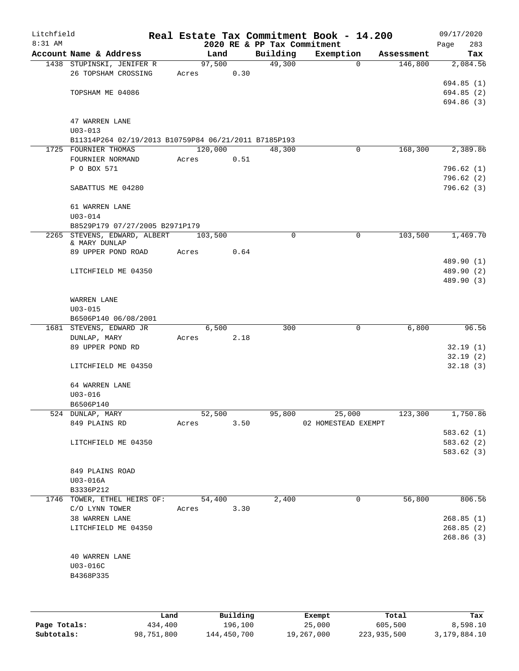| Litchfield |                                                      |             |       |                |                           |                             | Real Estate Tax Commitment Book - 14.200 |                       | 09/17/2020      |
|------------|------------------------------------------------------|-------------|-------|----------------|---------------------------|-----------------------------|------------------------------------------|-----------------------|-----------------|
| 8:31 AM    |                                                      |             |       |                |                           | 2020 RE & PP Tax Commitment |                                          |                       | 283<br>Page     |
|            | Account Name & Address<br>1438 STUPINSKI, JENIFER R  |             |       | Land<br>97,500 |                           | Building<br>49,300          | Exemption<br>$\Omega$                    | Assessment<br>146,800 | Tax<br>2,084.56 |
|            | 26 TOPSHAM CROSSING                                  |             | Acres |                | 0.30                      |                             |                                          |                       |                 |
|            |                                                      |             |       |                |                           |                             |                                          |                       | 694.85(1)       |
|            | TOPSHAM ME 04086                                     |             |       |                |                           |                             |                                          |                       | 694.85 (2)      |
|            |                                                      |             |       |                |                           |                             |                                          |                       | 694.86 (3)      |
|            |                                                      |             |       |                |                           |                             |                                          |                       |                 |
|            | 47 WARREN LANE<br>$U03 - 013$                        |             |       |                |                           |                             |                                          |                       |                 |
|            | B11314P264 02/19/2013 B10759P84 06/21/2011 B7185P193 |             |       |                |                           |                             |                                          |                       |                 |
|            | 1725 FOURNIER THOMAS                                 |             |       | 120,000        |                           | 48,300                      | 0                                        | 168,300               | 2,389.86        |
|            | FOURNIER NORMAND                                     |             | Acres |                | 0.51                      |                             |                                          |                       |                 |
|            | P O BOX 571                                          |             |       |                |                           |                             |                                          |                       | 796.62(1)       |
|            |                                                      |             |       |                |                           |                             |                                          |                       | 796.62(2)       |
|            | SABATTUS ME 04280                                    |             |       |                |                           |                             |                                          |                       | 796.62(3)       |
|            | 61 WARREN LANE                                       |             |       |                |                           |                             |                                          |                       |                 |
|            | $U03 - 014$                                          |             |       |                |                           |                             |                                          |                       |                 |
|            | B8529P179 07/27/2005 B2971P179                       |             |       |                |                           |                             |                                          |                       |                 |
|            | 2265 STEVENS, EDWARD, ALBERT                         |             |       | 103,500        |                           | $\mathbf 0$                 | 0                                        | 103,500               | 1,469.70        |
|            | & MARY DUNLAP                                        |             |       |                |                           |                             |                                          |                       |                 |
|            | 89 UPPER POND ROAD                                   |             | Acres |                | 0.64                      |                             |                                          |                       | 489.90 (1)      |
|            | LITCHFIELD ME 04350                                  |             |       |                |                           |                             |                                          |                       | 489.90 (2)      |
|            |                                                      |             |       |                |                           |                             |                                          |                       | 489.90 (3)      |
|            |                                                      |             |       |                |                           |                             |                                          |                       |                 |
|            | WARREN LANE                                          |             |       |                |                           |                             |                                          |                       |                 |
|            | $U03 - 015$                                          |             |       |                |                           |                             |                                          |                       |                 |
|            | B6506P140 06/08/2001                                 |             |       |                |                           |                             |                                          |                       |                 |
|            | 1681 STEVENS, EDWARD JR                              |             |       | 6,500          | 2.18                      | 300                         | 0                                        | 6,800                 | 96.56           |
|            | DUNLAP, MARY<br>89 UPPER POND RD                     |             | Acres |                |                           |                             |                                          |                       | 32.19(1)        |
|            |                                                      |             |       |                |                           |                             |                                          |                       | 32.19(2)        |
|            | LITCHFIELD ME 04350                                  |             |       |                |                           |                             |                                          |                       | 32.18(3)        |
|            |                                                      |             |       |                |                           |                             |                                          |                       |                 |
|            | 64 WARREN LANE                                       |             |       |                |                           |                             |                                          |                       |                 |
|            | $U03 - 016$                                          |             |       |                |                           |                             |                                          |                       |                 |
|            | B6506P140                                            |             |       |                |                           |                             |                                          |                       |                 |
|            | 524 DUNLAP, MARY<br>849 PLAINS RD                    |             | Acres | 52,500         | 3.50                      | 95,800                      | 25,000<br>02 HOMESTEAD EXEMPT            | 123,300               | 1,750.86        |
|            |                                                      |             |       |                |                           |                             |                                          |                       | 583.62(1)       |
|            | LITCHFIELD ME 04350                                  |             |       |                |                           |                             |                                          |                       | 583.62(2)       |
|            |                                                      |             |       |                |                           |                             |                                          |                       | 583.62(3)       |
|            |                                                      |             |       |                |                           |                             |                                          |                       |                 |
|            | 849 PLAINS ROAD                                      |             |       |                |                           |                             |                                          |                       |                 |
|            | U03-016A                                             |             |       |                |                           |                             |                                          |                       |                 |
|            | B3336P212<br>1746 TOWER, ETHEL HEIRS OF:             |             |       | 54,400         |                           | 2,400                       | 0                                        | 56,800                | 806.56          |
|            | C/O LYNN TOWER                                       |             | Acres |                | 3.30                      |                             |                                          |                       |                 |
|            | 38 WARREN LANE                                       |             |       |                |                           |                             |                                          |                       | 268.85(1)       |
|            | LITCHFIELD ME 04350                                  |             |       |                |                           |                             |                                          |                       | 268.85(2)       |
|            |                                                      |             |       |                |                           |                             |                                          |                       | 268.86(3)       |
|            |                                                      |             |       |                |                           |                             |                                          |                       |                 |
|            | 40 WARREN LANE<br>U03-016C                           |             |       |                |                           |                             |                                          |                       |                 |
|            | B4368P335                                            |             |       |                |                           |                             |                                          |                       |                 |
|            |                                                      |             |       |                |                           |                             |                                          |                       |                 |
|            |                                                      |             |       |                |                           |                             |                                          |                       |                 |
|            |                                                      |             |       |                |                           |                             |                                          |                       |                 |
|            |                                                      | <b>Tond</b> |       |                | $D_{11}$ in $I$ in $\sim$ |                             | Pusamok                                  | $T - + -1$            |                 |

|              | Land       | Building    | Exempt     | Total       | Tax          |
|--------------|------------|-------------|------------|-------------|--------------|
| Page Totals: | 434,400    | 196,100     | 25,000     | 605,500     | 8,598.10     |
| Subtotals:   | 98,751,800 | 144,450,700 | 19,267,000 | 223,935,500 | 3,179,884.10 |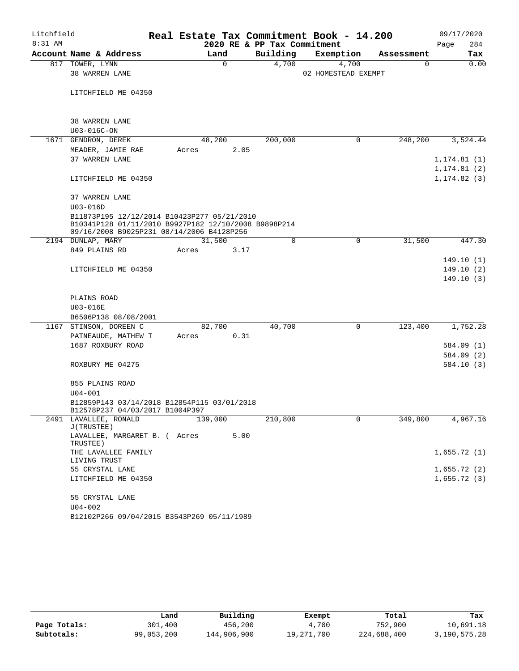| Litchfield |                                                                                                                                                  | Real Estate Tax Commitment Book - 14.200 |                             |                              |            | 09/17/2020   |
|------------|--------------------------------------------------------------------------------------------------------------------------------------------------|------------------------------------------|-----------------------------|------------------------------|------------|--------------|
| $8:31$ AM  |                                                                                                                                                  |                                          | 2020 RE & PP Tax Commitment |                              |            | 284<br>Page  |
|            | Account Name & Address                                                                                                                           | Land                                     | Building                    | Exemption                    | Assessment | Tax          |
|            | 817 TOWER, LYNN<br>38 WARREN LANE                                                                                                                | $\mathbf 0$                              | 4,700                       | 4,700<br>02 HOMESTEAD EXEMPT | 0          | 0.00         |
|            |                                                                                                                                                  |                                          |                             |                              |            |              |
|            | LITCHFIELD ME 04350                                                                                                                              |                                          |                             |                              |            |              |
|            |                                                                                                                                                  |                                          |                             |                              |            |              |
|            | 38 WARREN LANE                                                                                                                                   |                                          |                             |                              |            |              |
|            | U03-016C-ON                                                                                                                                      |                                          |                             |                              |            |              |
|            | 1671 GENDRON, DEREK                                                                                                                              | 48,200                                   | 200,000                     | 0                            | 248,200    | 3,524.44     |
|            | MEADER, JAMIE RAE                                                                                                                                | Acres                                    | 2.05                        |                              |            |              |
|            | 37 WARREN LANE                                                                                                                                   |                                          |                             |                              |            | 1, 174.81(1) |
|            |                                                                                                                                                  |                                          |                             |                              |            | 1,174.81 (2) |
|            | LITCHFIELD ME 04350                                                                                                                              |                                          |                             |                              |            | 1, 174.82(3) |
|            | 37 WARREN LANE                                                                                                                                   |                                          |                             |                              |            |              |
|            | $U03 - 016D$                                                                                                                                     |                                          |                             |                              |            |              |
|            | B11873P195 12/12/2014 B10423P277 05/21/2010<br>B10341P128 01/11/2010 B9927P182 12/10/2008 B9898P214<br>09/16/2008 B9025P231 08/14/2006 B4128P256 |                                          |                             |                              |            |              |
|            | 2194 DUNLAP, MARY                                                                                                                                | 31,500                                   | $\Omega$                    | 0                            | 31,500     | 447.30       |
|            | 849 PLAINS RD                                                                                                                                    | Acres                                    | 3.17                        |                              |            |              |
|            |                                                                                                                                                  |                                          |                             |                              |            | 149.10(1)    |
|            | LITCHFIELD ME 04350                                                                                                                              |                                          |                             |                              |            | 149.10 (2)   |
|            |                                                                                                                                                  |                                          |                             |                              |            | 149.10(3)    |
|            | PLAINS ROAD                                                                                                                                      |                                          |                             |                              |            |              |
|            | U03-016E                                                                                                                                         |                                          |                             |                              |            |              |
|            | B6506P138 08/08/2001                                                                                                                             |                                          |                             |                              |            |              |
|            | 1167 STINSON, DOREEN C                                                                                                                           | 82,700                                   | 40,700                      | 0                            | 123,400    | 1,752.28     |
|            | PATNEAUDE, MATHEW T                                                                                                                              | Acres                                    | 0.31                        |                              |            |              |
|            | 1687 ROXBURY ROAD                                                                                                                                |                                          |                             |                              |            | 584.09 (1)   |
|            |                                                                                                                                                  |                                          |                             |                              |            | 584.09 (2)   |
|            | ROXBURY ME 04275                                                                                                                                 |                                          |                             |                              |            | 584.10 (3)   |
|            | 855 PLAINS ROAD                                                                                                                                  |                                          |                             |                              |            |              |
|            | $U04 - 001$                                                                                                                                      |                                          |                             |                              |            |              |
|            | B12859P143 03/14/2018 B12854P115 03/01/2018<br>B12578P237 04/03/2017 B1004P397                                                                   |                                          |                             |                              |            |              |
|            | 2491 LAVALLEE, RONALD<br>J(TRUSTEE)                                                                                                              | 139,000                                  | 210,800                     | 0                            | 349,800    | 4,967.16     |
|            | LAVALLEE, MARGARET B. ( Acres<br>TRUSTEE)                                                                                                        |                                          | 5.00                        |                              |            |              |
|            | THE LAVALLEE FAMILY<br>LIVING TRUST                                                                                                              |                                          |                             |                              |            | 1,655.72(1)  |
|            | 55 CRYSTAL LANE                                                                                                                                  |                                          |                             |                              |            | 1,655.72(2)  |
|            | LITCHFIELD ME 04350                                                                                                                              |                                          |                             |                              |            | 1,655.72(3)  |
|            | 55 CRYSTAL LANE                                                                                                                                  |                                          |                             |                              |            |              |
|            | $U04 - 002$                                                                                                                                      |                                          |                             |                              |            |              |
|            | B12102P266 09/04/2015 B3543P269 05/11/1989                                                                                                       |                                          |                             |                              |            |              |

|              | Land       | Building    | Exempt     | Total       | Tax          |
|--------------|------------|-------------|------------|-------------|--------------|
| Page Totals: | 301,400    | 456,200     | 4,700      | 752,900     | 10,691.18    |
| Subtotals:   | 99,053,200 | 144,906,900 | 19,271,700 | 224,688,400 | 3,190,575.28 |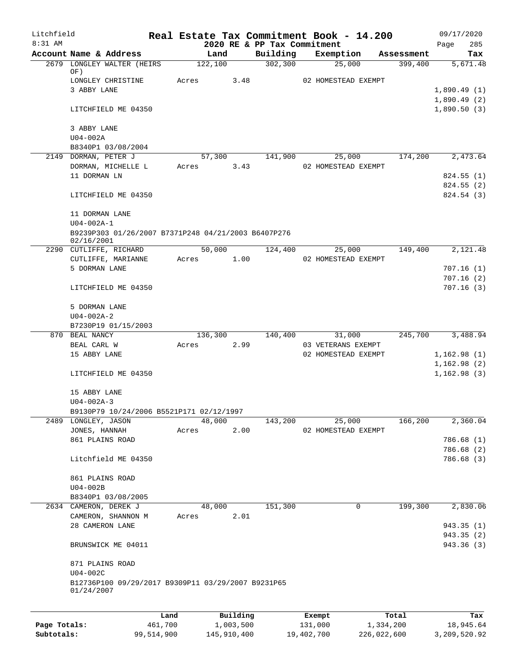| Litchfield   |                                                                  |         |           |                                         | Real Estate Tax Commitment Book - 14.200 |            | 09/17/2020                 |
|--------------|------------------------------------------------------------------|---------|-----------|-----------------------------------------|------------------------------------------|------------|----------------------------|
| $8:31$ AM    | Account Name & Address                                           |         | Land      | 2020 RE & PP Tax Commitment<br>Building | Exemption                                | Assessment | 285<br>Page<br>Tax         |
|              | 2679 LONGLEY WALTER (HEIRS                                       |         | 122,100   | 302, 300                                | 25,000                                   | 399,400    | 5,671.48                   |
|              | OF)                                                              |         |           |                                         |                                          |            |                            |
|              | LONGLEY CHRISTINE<br>3 ABBY LANE                                 | Acres   | 3.48      |                                         | 02 HOMESTEAD EXEMPT                      |            |                            |
|              |                                                                  |         |           |                                         |                                          |            | 1,890.49(1)<br>1,890.49(2) |
|              | LITCHFIELD ME 04350                                              |         |           |                                         |                                          |            | 1,890.50(3)                |
|              | 3 ABBY LANE                                                      |         |           |                                         |                                          |            |                            |
|              | $U04-002A$                                                       |         |           |                                         |                                          |            |                            |
|              | B8340P1 03/08/2004                                               |         |           |                                         |                                          |            |                            |
|              | 2149 DORMAN, PETER J                                             |         | 57,300    | 141,900                                 | 25,000                                   | 174,200    | 2,473.64                   |
|              | DORMAN, MICHELLE L                                               | Acres   | 3.43      |                                         | 02 HOMESTEAD EXEMPT                      |            |                            |
|              | 11 DORMAN LN                                                     |         |           |                                         |                                          |            | 824.55(1)                  |
|              | LITCHFIELD ME 04350                                              |         |           |                                         |                                          |            | 824.55(2)<br>824.54 (3)    |
|              | 11 DORMAN LANE                                                   |         |           |                                         |                                          |            |                            |
|              | $U04 - 002A - 1$                                                 |         |           |                                         |                                          |            |                            |
|              | B9239P303 01/26/2007 B7371P248 04/21/2003 B6407P276              |         |           |                                         |                                          |            |                            |
|              | 02/16/2001<br>2290 CUTLIFFE, RICHARD                             |         | 50,000    | 124,400                                 | 25,000                                   | 149,400    | 2,121.48                   |
|              | CUTLIFFE, MARIANNE                                               | Acres   | 1.00      |                                         | 02 HOMESTEAD EXEMPT                      |            |                            |
|              | 5 DORMAN LANE                                                    |         |           |                                         |                                          |            | 707.16(1)                  |
|              |                                                                  |         |           |                                         |                                          |            | 707.16(2)                  |
|              | LITCHFIELD ME 04350                                              |         |           |                                         |                                          |            | 707.16(3)                  |
|              | 5 DORMAN LANE                                                    |         |           |                                         |                                          |            |                            |
|              | $U04 - 002A - 2$                                                 |         |           |                                         |                                          |            |                            |
|              | B7230P19 01/15/2003                                              |         |           |                                         |                                          |            |                            |
|              | 870 BEAL NANCY                                                   |         | 136,300   | 140,400                                 | 31,000                                   | 245,700    | 3,488.94                   |
|              | BEAL CARL W                                                      | Acres   | 2.99      |                                         | 03 VETERANS EXEMPT                       |            |                            |
|              | 15 ABBY LANE                                                     |         |           |                                         | 02 HOMESTEAD EXEMPT                      |            | 1,162.98(1)                |
|              |                                                                  |         |           |                                         |                                          |            | 1,162.98(2)                |
|              | LITCHFIELD ME 04350                                              |         |           |                                         |                                          |            | 1,162.98(3)                |
|              | 15 ABBY LANE                                                     |         |           |                                         |                                          |            |                            |
|              | $U04 - 002A - 3$                                                 |         |           |                                         |                                          |            |                            |
|              | B9130P79 10/24/2006 B5521P171 02/12/1997                         |         |           |                                         |                                          |            |                            |
| 2489         | LONGLEY, JASON                                                   |         | 48,000    | 143,200                                 | 25,000                                   | 166,200    | 2,360.04                   |
|              | JONES, HANNAH                                                    | Acres   | 2.00      |                                         | 02 HOMESTEAD EXEMPT                      |            |                            |
|              | 861 PLAINS ROAD                                                  |         |           |                                         |                                          |            | 786.68(1)                  |
|              | Litchfield ME 04350                                              |         |           |                                         |                                          |            | 786.68 (2)<br>786.68 (3)   |
|              | 861 PLAINS ROAD                                                  |         |           |                                         |                                          |            |                            |
|              | $U04-002B$                                                       |         |           |                                         |                                          |            |                            |
|              | B8340P1 03/08/2005                                               |         |           |                                         |                                          |            |                            |
|              | 2634 CAMERON, DEREK J                                            |         | 48,000    | 151,300                                 | 0                                        | 199,300    | 2,830.06                   |
|              | CAMERON, SHANNON M                                               | Acres   | 2.01      |                                         |                                          |            |                            |
|              | 28 CAMERON LANE                                                  |         |           |                                         |                                          |            | 943.35 (1)                 |
|              |                                                                  |         |           |                                         |                                          |            | 943.35 (2)                 |
|              | BRUNSWICK ME 04011                                               |         |           |                                         |                                          |            | 943.36 (3)                 |
|              | 871 PLAINS ROAD                                                  |         |           |                                         |                                          |            |                            |
|              | $U04-002C$                                                       |         |           |                                         |                                          |            |                            |
|              | B12736P100 09/29/2017 B9309P11 03/29/2007 B9231P65<br>01/24/2007 |         |           |                                         |                                          |            |                            |
|              |                                                                  |         |           |                                         |                                          |            |                            |
|              |                                                                  | Land    | Building  |                                         | Exempt                                   | Total      | Tax                        |
| Page Totals: |                                                                  | 461,700 | 1,003,500 |                                         | 131,000                                  | 1,334,200  | 18,945.64                  |

**Subtotals:** 99,514,900 145,910,400 19,402,700 226,022,600 3,209,520.92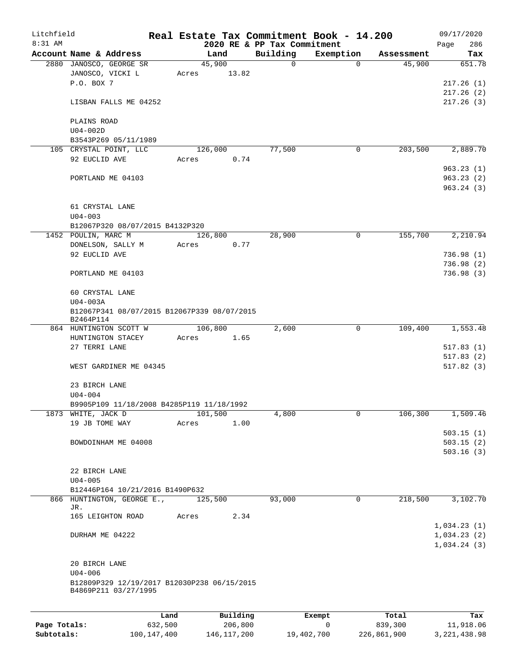| Litchfield   |                                                                     |         |          |                             | Real Estate Tax Commitment Book - 14.200 |            | 09/17/2020  |
|--------------|---------------------------------------------------------------------|---------|----------|-----------------------------|------------------------------------------|------------|-------------|
| 8:31 AM      |                                                                     |         |          | 2020 RE & PP Tax Commitment |                                          |            | 286<br>Page |
|              | Account Name & Address                                              |         | Land     | Building                    | Exemption                                | Assessment | Tax         |
|              | 2880 JANOSCO, GEORGE SR                                             |         | 45,900   | 0                           | $\Omega$                                 | 45,900     | 651.78      |
|              | JANOSCO, VICKI L<br>P.O. BOX 7                                      | Acres   | 13.82    |                             |                                          |            | 217.26(1)   |
|              |                                                                     |         |          |                             |                                          |            |             |
|              |                                                                     |         |          |                             |                                          |            | 217.26(2)   |
|              | LISBAN FALLS ME 04252                                               |         |          |                             |                                          |            | 217.26(3)   |
|              | PLAINS ROAD                                                         |         |          |                             |                                          |            |             |
|              | $U04-002D$                                                          |         |          |                             |                                          |            |             |
|              | B3543P269 05/11/1989                                                |         |          |                             |                                          |            |             |
|              | 105 CRYSTAL POINT, LLC                                              |         | 126,000  | 77,500                      | 0                                        | 203,500    | 2,889.70    |
|              | 92 EUCLID AVE                                                       | Acres   | 0.74     |                             |                                          |            |             |
|              |                                                                     |         |          |                             |                                          |            | 963.23(1)   |
|              |                                                                     |         |          |                             |                                          |            | 963.23(2)   |
|              | PORTLAND ME 04103                                                   |         |          |                             |                                          |            |             |
|              |                                                                     |         |          |                             |                                          |            | 963.24(3)   |
|              |                                                                     |         |          |                             |                                          |            |             |
|              | 61 CRYSTAL LANE                                                     |         |          |                             |                                          |            |             |
|              | $U04 - 003$                                                         |         |          |                             |                                          |            |             |
|              | B12067P320 08/07/2015 B4132P320                                     |         |          |                             |                                          |            |             |
|              | 1452 POULIN, MARC M                                                 |         | 126,800  | 28,900                      | 0                                        | 155,700    | 2,210.94    |
|              | DONELSON, SALLY M                                                   | Acres   | 0.77     |                             |                                          |            |             |
|              | 92 EUCLID AVE                                                       |         |          |                             |                                          |            | 736.98(1)   |
|              |                                                                     |         |          |                             |                                          |            | 736.98(2)   |
|              | PORTLAND ME 04103                                                   |         |          |                             |                                          |            | 736.98(3)   |
|              |                                                                     |         |          |                             |                                          |            |             |
|              | 60 CRYSTAL LANE                                                     |         |          |                             |                                          |            |             |
|              | U04-003A                                                            |         |          |                             |                                          |            |             |
|              | B12067P341 08/07/2015 B12067P339 08/07/2015<br>B2464P114            |         |          |                             |                                          |            |             |
|              | 864 HUNTINGTON SCOTT W                                              |         | 106,800  | 2,600                       | $\mathbf 0$                              | 109,400    | 1,553.48    |
|              | HUNTINGTON STACEY                                                   | Acres   | 1.65     |                             |                                          |            |             |
|              | 27 TERRI LANE                                                       |         |          |                             |                                          |            | 517.83(1)   |
|              |                                                                     |         |          |                             |                                          |            | 517.83(2)   |
|              | WEST GARDINER ME 04345                                              |         |          |                             |                                          |            | 517.82(3)   |
|              |                                                                     |         |          |                             |                                          |            |             |
|              | 23 BIRCH LANE                                                       |         |          |                             |                                          |            |             |
|              | $U04 - 004$                                                         |         |          |                             |                                          |            |             |
|              | B9905P109 11/18/2008 B4285P119 11/18/1992                           |         |          |                             |                                          |            |             |
|              | 1873 WHITE, JACK D                                                  |         | 101,500  | 4,800                       | 0                                        | 106,300    | 1,509.46    |
|              | 19 JB TOME WAY                                                      | Acres   | 1.00     |                             |                                          |            |             |
|              |                                                                     |         |          |                             |                                          |            |             |
|              |                                                                     |         |          |                             |                                          |            | 503.15(1)   |
|              | BOWDOINHAM ME 04008                                                 |         |          |                             |                                          |            | 503.15(2)   |
|              |                                                                     |         |          |                             |                                          |            | 503.16(3)   |
|              |                                                                     |         |          |                             |                                          |            |             |
|              | 22 BIRCH LANE                                                       |         |          |                             |                                          |            |             |
|              | $U04 - 005$                                                         |         |          |                             |                                          |            |             |
|              | B12446P164 10/21/2016 B1490P632                                     |         |          |                             |                                          |            |             |
|              | 866 HUNTINGTON, GEORGE E.,<br>JR.                                   |         | 125,500  | 93,000                      | 0                                        | 218,500    | 3,102.70    |
|              | 165 LEIGHTON ROAD                                                   | Acres   | 2.34     |                             |                                          |            |             |
|              |                                                                     |         |          |                             |                                          |            | 1,034.23(1) |
|              | DURHAM ME 04222                                                     |         |          |                             |                                          |            | 1,034.23(2) |
|              |                                                                     |         |          |                             |                                          |            | 1,034.24(3) |
|              |                                                                     |         |          |                             |                                          |            |             |
|              |                                                                     |         |          |                             |                                          |            |             |
|              | 20 BIRCH LANE                                                       |         |          |                             |                                          |            |             |
|              | $U04 - 006$                                                         |         |          |                             |                                          |            |             |
|              | B12809P329 12/19/2017 B12030P238 06/15/2015<br>B4869P211 03/27/1995 |         |          |                             |                                          |            |             |
|              |                                                                     |         |          |                             |                                          |            |             |
|              |                                                                     |         |          |                             |                                          |            |             |
|              |                                                                     | Land    | Building |                             | Exempt                                   | Total      | Tax         |
| Page Totals: |                                                                     | 632,500 | 206,800  |                             | 0                                        | 839,300    | 11,918.06   |

**Subtotals:** 100,147,400 146,117,200 19,402,700 226,861,900 3,221,438.98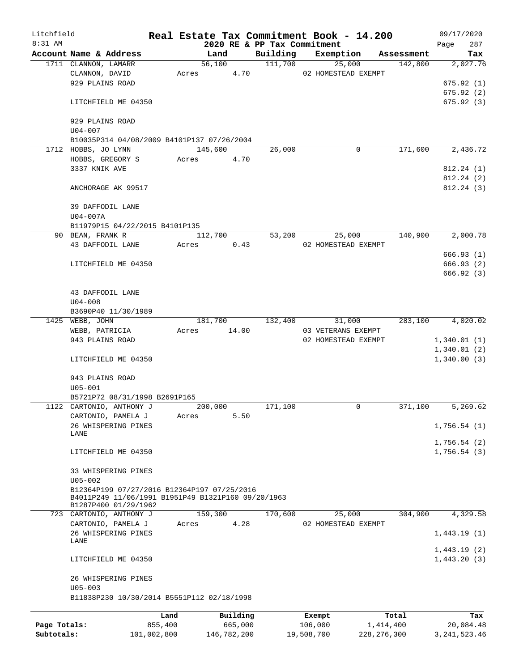| Litchfield   |                                                                                                   |             |       |                | Real Estate Tax Commitment Book - 14.200 |            |                     |               |                       | 09/17/2020                 |
|--------------|---------------------------------------------------------------------------------------------------|-------------|-------|----------------|------------------------------------------|------------|---------------------|---------------|-----------------------|----------------------------|
| $8:31$ AM    |                                                                                                   |             |       |                | 2020 RE & PP Tax Commitment              |            |                     |               |                       | 287<br>Page                |
|              | Account Name & Address<br>1711 CLANNON, LAMARR                                                    |             |       | Land<br>56,100 | Building<br>111,700                      |            | Exemption<br>25,000 |               | Assessment<br>142,800 | Tax<br>2,027.76            |
|              | CLANNON, DAVID                                                                                    |             |       | Acres 4.70     |                                          |            | 02 HOMESTEAD EXEMPT |               |                       |                            |
|              | 929 PLAINS ROAD                                                                                   |             |       |                |                                          |            |                     |               |                       | 675.92(1)                  |
|              |                                                                                                   |             |       |                |                                          |            |                     |               |                       | 675.92(2)                  |
|              | LITCHFIELD ME 04350                                                                               |             |       |                |                                          |            |                     |               |                       | 675.92(3)                  |
|              | 929 PLAINS ROAD<br>$U04 - 007$                                                                    |             |       |                |                                          |            |                     |               |                       |                            |
|              | B10035P314 04/08/2009 B4101P137 07/26/2004                                                        |             |       |                |                                          |            |                     |               |                       |                            |
|              | 1712 HOBBS, JO LYNN                                                                               |             |       | 145,600        | 26,000                                   |            | 0                   |               | 171,600               | 2,436.72                   |
|              | HOBBS, GREGORY S                                                                                  |             | Acres | 4.70           |                                          |            |                     |               |                       |                            |
|              | 3337 KNIK AVE                                                                                     |             |       |                |                                          |            |                     |               |                       | 812.24(1)                  |
|              |                                                                                                   |             |       |                |                                          |            |                     |               |                       | 812.24 (2)                 |
|              | ANCHORAGE AK 99517                                                                                |             |       |                |                                          |            |                     |               |                       | 812.24(3)                  |
|              | 39 DAFFODIL LANE                                                                                  |             |       |                |                                          |            |                     |               |                       |                            |
|              | U04-007A<br>B11979P15 04/22/2015 B4101P135                                                        |             |       |                |                                          |            |                     |               |                       |                            |
|              | 90 BEAN, FRANK R                                                                                  |             |       | 112,700        | 53,200                                   |            | 25,000              |               | 140,900               | 2,000.78                   |
|              | 43 DAFFODIL LANE                                                                                  |             | Acres | 0.43           |                                          |            | 02 HOMESTEAD EXEMPT |               |                       |                            |
|              |                                                                                                   |             |       |                |                                          |            |                     |               |                       | 666.93(1)                  |
|              | LITCHFIELD ME 04350                                                                               |             |       |                |                                          |            |                     |               |                       | 666.93(2)                  |
|              |                                                                                                   |             |       |                |                                          |            |                     |               |                       | 666.92 (3)                 |
|              |                                                                                                   |             |       |                |                                          |            |                     |               |                       |                            |
|              | 43 DAFFODIL LANE                                                                                  |             |       |                |                                          |            |                     |               |                       |                            |
|              | $U04 - 008$                                                                                       |             |       |                |                                          |            |                     |               |                       |                            |
|              | B3690P40 11/30/1989                                                                               |             |       |                |                                          |            |                     |               |                       |                            |
|              | 1425 WEBB, JOHN                                                                                   |             |       |                | 181,700 132,400                          |            | 31,000              |               | 283,100               | 4,020.02                   |
|              | WEBB, PATRICIA                                                                                    |             | Acres | 14.00          |                                          |            | 03 VETERANS EXEMPT  |               |                       |                            |
|              | 943 PLAINS ROAD                                                                                   |             |       |                |                                          |            | 02 HOMESTEAD EXEMPT |               |                       | 1,340.01(1)                |
|              |                                                                                                   |             |       |                |                                          |            |                     |               |                       | 1,340.01(2)                |
|              | LITCHFIELD ME 04350                                                                               |             |       |                |                                          |            |                     |               |                       | 1,340.00(3)                |
|              | 943 PLAINS ROAD                                                                                   |             |       |                |                                          |            |                     |               |                       |                            |
|              | $U05 - 001$                                                                                       |             |       |                |                                          |            |                     |               |                       |                            |
|              | B5721P72 08/31/1998 B2691P165                                                                     |             |       |                |                                          |            |                     |               |                       |                            |
|              | 1122 CARTONIO, ANTHONY J                                                                          |             |       | 200,000        | 171,100                                  |            | 0                   |               | 371,100               | 5,269.62                   |
|              | CARTONIO, PAMELA J                                                                                |             | Acres | 5.50           |                                          |            |                     |               |                       |                            |
|              | 26 WHISPERING PINES                                                                               |             |       |                |                                          |            |                     |               |                       | 1,756.54(1)                |
|              | LANE                                                                                              |             |       |                |                                          |            |                     |               |                       | 1,756.54(2)                |
|              | LITCHFIELD ME 04350                                                                               |             |       |                |                                          |            |                     |               |                       | 1,756.54(3)                |
|              |                                                                                                   |             |       |                |                                          |            |                     |               |                       |                            |
|              | 33 WHISPERING PINES                                                                               |             |       |                |                                          |            |                     |               |                       |                            |
|              | $U05 - 002$                                                                                       |             |       |                |                                          |            |                     |               |                       |                            |
|              | B12364P199 07/27/2016 B12364P197 07/25/2016<br>B4011P249 11/06/1991 B1951P49 B1321P160 09/20/1963 |             |       |                |                                          |            |                     |               |                       |                            |
|              | B1287P400 01/29/1962                                                                              |             |       |                |                                          |            |                     |               |                       |                            |
|              | 723 CARTONIO, ANTHONY J                                                                           |             |       | 159,300        | 170,600                                  |            | 25,000              |               | 304,900               | 4,329.58                   |
|              | CARTONIO, PAMELA J                                                                                |             | Acres | 4.28           |                                          |            | 02 HOMESTEAD EXEMPT |               |                       |                            |
|              | 26 WHISPERING PINES                                                                               |             |       |                |                                          |            |                     |               |                       | 1,443.19(1)                |
|              | LANE                                                                                              |             |       |                |                                          |            |                     |               |                       |                            |
|              | LITCHFIELD ME 04350                                                                               |             |       |                |                                          |            |                     |               |                       | 1,443.19(2)<br>1,443.20(3) |
|              | 26 WHISPERING PINES                                                                               |             |       |                |                                          |            |                     |               |                       |                            |
|              | $U05 - 003$                                                                                       |             |       |                |                                          |            |                     |               |                       |                            |
|              | B11838P230 10/30/2014 B5551P112 02/18/1998                                                        |             |       |                |                                          |            |                     |               |                       |                            |
|              |                                                                                                   | Land        |       | Building       |                                          | Exempt     |                     |               | Total                 | Tax                        |
| Page Totals: |                                                                                                   | 855,400     |       | 665,000        |                                          | 106,000    |                     | 1,414,400     |                       | 20,084.48                  |
| Subtotals:   |                                                                                                   | 101,002,800 |       | 146,782,200    |                                          | 19,508,700 |                     | 228, 276, 300 |                       | 3, 241, 523. 46            |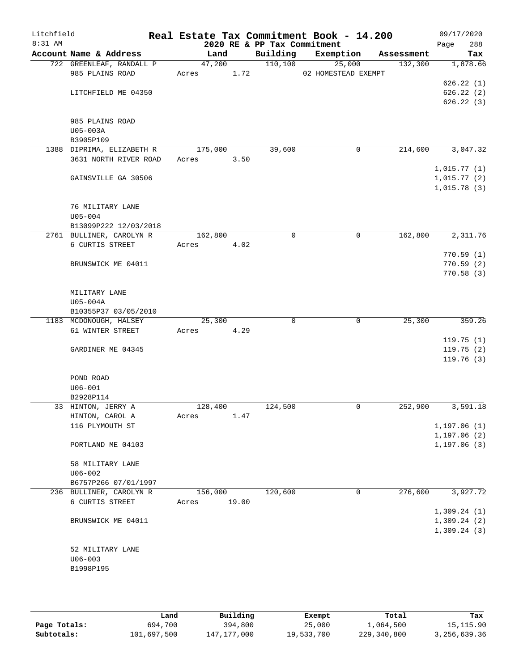| Litchfield |                                                    |                |       |                             | Real Estate Tax Commitment Book - 14.200 |                       | 09/17/2020      |
|------------|----------------------------------------------------|----------------|-------|-----------------------------|------------------------------------------|-----------------------|-----------------|
| 8:31 AM    |                                                    |                |       | 2020 RE & PP Tax Commitment |                                          |                       | 288<br>Page     |
|            | Account Name & Address<br>722 GREENLEAF, RANDALL P | Land<br>47,200 |       | Building<br>110,100         | Exemption<br>25,000                      | Assessment<br>132,300 | Tax<br>1,878.66 |
|            | 985 PLAINS ROAD                                    | Acres          | 1.72  |                             | 02 HOMESTEAD EXEMPT                      |                       |                 |
|            |                                                    |                |       |                             |                                          |                       | 626.22(1)       |
|            | LITCHFIELD ME 04350                                |                |       |                             |                                          |                       | 626.22(2)       |
|            |                                                    |                |       |                             |                                          |                       | 626.22(3)       |
|            |                                                    |                |       |                             |                                          |                       |                 |
|            | 985 PLAINS ROAD                                    |                |       |                             |                                          |                       |                 |
|            | U05-003A                                           |                |       |                             |                                          |                       |                 |
|            | B3905P109                                          |                |       |                             |                                          |                       |                 |
|            | 1388 DIPRIMA, ELIZABETH R<br>3631 NORTH RIVER ROAD | 175,000        |       | 39,600                      | 0                                        | 214,600               | 3,047.32        |
|            |                                                    | Acres          | 3.50  |                             |                                          |                       | 1,015.77(1)     |
|            | GAINSVILLE GA 30506                                |                |       |                             |                                          |                       | 1,015.77(2)     |
|            |                                                    |                |       |                             |                                          |                       | 1,015.78(3)     |
|            |                                                    |                |       |                             |                                          |                       |                 |
|            | 76 MILITARY LANE                                   |                |       |                             |                                          |                       |                 |
|            | $U05 - 004$                                        |                |       |                             |                                          |                       |                 |
|            | B13099P222 12/03/2018                              |                |       |                             |                                          |                       |                 |
|            | 2761 BULLINER, CAROLYN R                           | 162,800        |       | $\mathbf 0$                 | 0                                        | 162,800               | 2,311.76        |
|            | 6 CURTIS STREET                                    | Acres          | 4.02  |                             |                                          |                       |                 |
|            |                                                    |                |       |                             |                                          |                       | 770.59(1)       |
|            | BRUNSWICK ME 04011                                 |                |       |                             |                                          |                       | 770.59(2)       |
|            |                                                    |                |       |                             |                                          |                       | 770.58(3)       |
|            |                                                    |                |       |                             |                                          |                       |                 |
|            | MILITARY LANE<br>U05-004A                          |                |       |                             |                                          |                       |                 |
|            | B10355P37 03/05/2010                               |                |       |                             |                                          |                       |                 |
|            | 1183 MCDONOUGH, HALSEY                             | 25,300         |       | $\Omega$                    | $\mathbf 0$                              | 25,300                | 359.26          |
|            | 61 WINTER STREET                                   | Acres          | 4.29  |                             |                                          |                       |                 |
|            |                                                    |                |       |                             |                                          |                       | 119.75(1)       |
|            | GARDINER ME 04345                                  |                |       |                             |                                          |                       | 119.75(2)       |
|            |                                                    |                |       |                             |                                          |                       | 119.76(3)       |
|            |                                                    |                |       |                             |                                          |                       |                 |
|            | POND ROAD                                          |                |       |                             |                                          |                       |                 |
|            | $U06 - 001$<br>B2928P114                           |                |       |                             |                                          |                       |                 |
|            | 33 HINTON, JERRY A                                 | 128,400        |       | 124,500                     | 0                                        | 252,900               | 3,591.18        |
|            | HINTON, CAROL A                                    | Acres          | 1.47  |                             |                                          |                       |                 |
|            | 116 PLYMOUTH ST                                    |                |       |                             |                                          |                       | 1, 197.06(1)    |
|            |                                                    |                |       |                             |                                          |                       | 1, 197.06(2)    |
|            | PORTLAND ME 04103                                  |                |       |                             |                                          |                       | 1, 197.06(3)    |
|            |                                                    |                |       |                             |                                          |                       |                 |
|            | 58 MILITARY LANE                                   |                |       |                             |                                          |                       |                 |
|            | $U06 - 002$                                        |                |       |                             |                                          |                       |                 |
|            | B6757P266 07/01/1997                               |                |       |                             |                                          |                       |                 |
|            | 236 BULLINER, CAROLYN R                            | 156,000        |       | 120,600                     | 0                                        | 276,600               | 3,927.72        |
|            | 6 CURTIS STREET                                    | Acres          | 19.00 |                             |                                          |                       | 1,309.24(1)     |
|            | BRUNSWICK ME 04011                                 |                |       |                             |                                          |                       | 1,309.24(2)     |
|            |                                                    |                |       |                             |                                          |                       | 1,309.24(3)     |
|            |                                                    |                |       |                             |                                          |                       |                 |
|            | 52 MILITARY LANE                                   |                |       |                             |                                          |                       |                 |
|            | $U06 - 003$                                        |                |       |                             |                                          |                       |                 |
|            | B1998P195                                          |                |       |                             |                                          |                       |                 |
|            |                                                    |                |       |                             |                                          |                       |                 |
|            |                                                    |                |       |                             |                                          |                       |                 |

|              | Land        | Building    | Exempt     | Total       | Tax          |
|--------------|-------------|-------------|------------|-------------|--------------|
| Page Totals: | 694,700     | 394,800     | 25,000     | 1,064,500   | 15, 115.90   |
| Subtotals:   | 101,697,500 | 147,177,000 | 19,533,700 | 229,340,800 | 3,256,639.36 |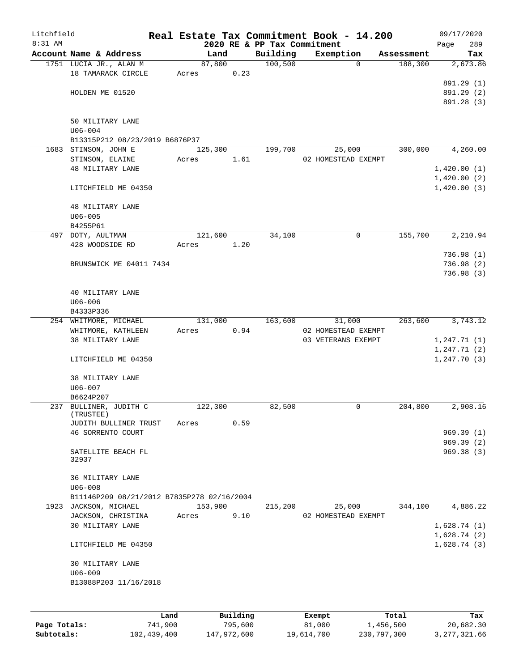| Litchfield |                                            |      |         |          |                             | Real Estate Tax Commitment Book - 14.200 |            | 09/17/2020               |
|------------|--------------------------------------------|------|---------|----------|-----------------------------|------------------------------------------|------------|--------------------------|
| $8:31$ AM  |                                            |      |         |          | 2020 RE & PP Tax Commitment |                                          |            | 289<br>Page              |
|            | Account Name & Address                     |      | Land    |          | Building                    | Exemption                                | Assessment | Tax                      |
|            | 1751 LUCIA JR., ALAN M                     |      | 87,800  |          | 100, 500                    | $\Omega$                                 | 188,300    | 2,673.86                 |
|            | 18 TAMARACK CIRCLE                         |      | Acres   | 0.23     |                             |                                          |            |                          |
|            | HOLDEN ME 01520                            |      |         |          |                             |                                          |            | 891.29 (1)               |
|            |                                            |      |         |          |                             |                                          |            | 891.29 (2)<br>891.28 (3) |
|            |                                            |      |         |          |                             |                                          |            |                          |
|            | 50 MILITARY LANE                           |      |         |          |                             |                                          |            |                          |
|            | $U06 - 004$                                |      |         |          |                             |                                          |            |                          |
|            | B13315P212 08/23/2019 B6876P37             |      |         |          |                             |                                          |            |                          |
|            | 1683 STINSON, JOHN E                       |      | 125,300 |          | 199,700                     | 25,000                                   | 300,000    | 4,260.00                 |
|            | STINSON, ELAINE                            |      | Acres   | 1.61     |                             | 02 HOMESTEAD EXEMPT                      |            |                          |
|            | 48 MILITARY LANE                           |      |         |          |                             |                                          |            | 1,420.00(1)              |
|            |                                            |      |         |          |                             |                                          |            | 1,420.00(2)              |
|            | LITCHFIELD ME 04350                        |      |         |          |                             |                                          |            | 1,420.00(3)              |
|            |                                            |      |         |          |                             |                                          |            |                          |
|            | <b>48 MILITARY LANE</b>                    |      |         |          |                             |                                          |            |                          |
|            | $U06 - 005$                                |      |         |          |                             |                                          |            |                          |
|            | B4255P61                                   |      |         |          |                             |                                          |            |                          |
|            | 497 DOTY, AULTMAN                          |      | 121,600 |          | 34,100                      | 0                                        | 155,700    | 2,210.94                 |
|            | 428 WOODSIDE RD                            |      | Acres   | 1.20     |                             |                                          |            |                          |
|            |                                            |      |         |          |                             |                                          |            | 736.98(1)                |
|            | BRUNSWICK ME 04011 7434                    |      |         |          |                             |                                          |            | 736.98 (2)               |
|            |                                            |      |         |          |                             |                                          |            | 736.98(3)                |
|            |                                            |      |         |          |                             |                                          |            |                          |
|            | 40 MILITARY LANE                           |      |         |          |                             |                                          |            |                          |
|            | $U06 - 006$                                |      |         |          |                             |                                          |            |                          |
|            | B4333P336<br>254 WHITMORE, MICHAEL         |      |         |          |                             |                                          |            |                          |
|            | WHITMORE, KATHLEEN                         |      | 131,000 | 0.94     | 163,600                     | 31,000<br>02 HOMESTEAD EXEMPT            | 263,600    | 3,743.12                 |
|            | 38 MILITARY LANE                           |      | Acres   |          |                             | 03 VETERANS EXEMPT                       |            | 1, 247.71(1)             |
|            |                                            |      |         |          |                             |                                          |            | 1, 247.71(2)             |
|            | LITCHFIELD ME 04350                        |      |         |          |                             |                                          |            | 1, 247.70(3)             |
|            |                                            |      |         |          |                             |                                          |            |                          |
|            | 38 MILITARY LANE                           |      |         |          |                             |                                          |            |                          |
|            | $U06 - 007$                                |      |         |          |                             |                                          |            |                          |
|            | B6624P207                                  |      |         |          |                             |                                          |            |                          |
|            | 237 BULLINER, JUDITH C                     |      | 122,300 |          | 82,500                      | 0                                        | 204,800    | 2,908.16                 |
|            | (TRUSTEE)                                  |      |         |          |                             |                                          |            |                          |
|            | JUDITH BULLINER TRUST                      |      | Acres   | 0.59     |                             |                                          |            |                          |
|            | 46 SORRENTO COURT                          |      |         |          |                             |                                          |            | 969.39(1)                |
|            |                                            |      |         |          |                             |                                          |            | 969.39(2)                |
|            | SATELLITE BEACH FL                         |      |         |          |                             |                                          |            | 969.38(3)                |
|            | 32937                                      |      |         |          |                             |                                          |            |                          |
|            | 36 MILITARY LANE                           |      |         |          |                             |                                          |            |                          |
|            | $U06 - 008$                                |      |         |          |                             |                                          |            |                          |
|            | B11146P209 08/21/2012 B7835P278 02/16/2004 |      |         |          |                             |                                          |            |                          |
|            | 1923 JACKSON, MICHAEL                      |      | 153,900 |          | 215,200                     | 25,000                                   | 344,100    | 4,886.22                 |
|            | JACKSON, CHRISTINA                         |      | Acres   | 9.10     |                             | 02 HOMESTEAD EXEMPT                      |            |                          |
|            | 30 MILITARY LANE                           |      |         |          |                             |                                          |            | 1,628.74(1)              |
|            |                                            |      |         |          |                             |                                          |            | 1,628.74(2)              |
|            | LITCHFIELD ME 04350                        |      |         |          |                             |                                          |            | 1,628.74(3)              |
|            |                                            |      |         |          |                             |                                          |            |                          |
|            | 30 MILITARY LANE                           |      |         |          |                             |                                          |            |                          |
|            | $U06 - 009$                                |      |         |          |                             |                                          |            |                          |
|            | B13088P203 11/16/2018                      |      |         |          |                             |                                          |            |                          |
|            |                                            |      |         |          |                             |                                          |            |                          |
|            |                                            |      |         |          |                             |                                          |            |                          |
|            |                                            | Land |         | Building |                             | Exempt                                   | Total      | Tax                      |

|              | Land        | Building    | Exempt     | Total       | тах          |
|--------------|-------------|-------------|------------|-------------|--------------|
| Page Totals: | 741,900     | 795,600     | 81,000     | 1,456,500   | 20,682.30    |
| Subtotals:   | 102,439,400 | 147,972,600 | 19,614,700 | 230,797,300 | 3,277,321.66 |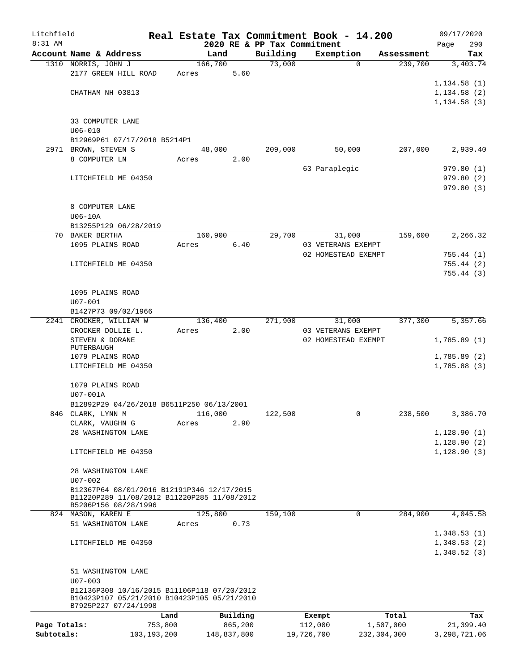| Litchfield   |                                                                     |               |         |                 |                             | Real Estate Tax Commitment Book - 14.200 |                       | 09/17/2020             |
|--------------|---------------------------------------------------------------------|---------------|---------|-----------------|-----------------------------|------------------------------------------|-----------------------|------------------------|
| 8:31 AM      | Account Name & Address                                              |               |         |                 | 2020 RE & PP Tax Commitment |                                          |                       | 290<br>Page            |
|              | 1310 NORRIS, JOHN J                                                 |               |         | Land<br>166,700 | Building<br>73,000          | Exemption<br>$\Omega$                    | Assessment<br>239,700 | Tax<br>3,403.74        |
|              | 2177 GREEN HILL ROAD                                                |               | Acres   | 5.60            |                             |                                          |                       |                        |
|              |                                                                     |               |         |                 |                             |                                          |                       | 1,134.58(1)            |
|              | CHATHAM NH 03813                                                    |               |         |                 |                             |                                          |                       | 1,134.58(2)            |
|              |                                                                     |               |         |                 |                             |                                          |                       | 1, 134.58(3)           |
|              | 33 COMPUTER LANE                                                    |               |         |                 |                             |                                          |                       |                        |
|              | $U06 - 010$                                                         |               |         |                 |                             |                                          |                       |                        |
|              | B12969P61 07/17/2018 B5214P1                                        |               |         |                 |                             |                                          |                       |                        |
|              | 2971 BROWN, STEVEN S                                                |               |         | 48,000          | 209,000                     | 50,000                                   | 207,000               | 2,939.40               |
|              | 8 COMPUTER LN                                                       |               | Acres   | 2.00            |                             |                                          |                       |                        |
|              | LITCHFIELD ME 04350                                                 |               |         |                 |                             | 63 Paraplegic                            |                       | 979.80(1)<br>979.80(2) |
|              |                                                                     |               |         |                 |                             |                                          |                       | 979.80(3)              |
|              | 8 COMPUTER LANE                                                     |               |         |                 |                             |                                          |                       |                        |
|              | $U06-10A$                                                           |               |         |                 |                             |                                          |                       |                        |
|              | B13255P129 06/28/2019                                               |               |         |                 |                             |                                          |                       |                        |
|              | 70 BAKER BERTHA                                                     |               |         | 160,900         | 29,700                      | 31,000                                   | 159,600               | 2,266.32               |
|              | 1095 PLAINS ROAD                                                    |               | Acres   | 6.40            |                             | 03 VETERANS EXEMPT                       |                       |                        |
|              |                                                                     |               |         |                 |                             | 02 HOMESTEAD EXEMPT                      |                       | 755.44(1)              |
|              | LITCHFIELD ME 04350                                                 |               |         |                 |                             |                                          |                       | 755.44(2)              |
|              |                                                                     |               |         |                 |                             |                                          |                       | 755.44(3)              |
|              |                                                                     |               |         |                 |                             |                                          |                       |                        |
|              | 1095 PLAINS ROAD<br>$U07 - 001$                                     |               |         |                 |                             |                                          |                       |                        |
|              | B1427P73 09/02/1966                                                 |               |         |                 |                             |                                          |                       |                        |
|              | 2241 CROCKER, WILLIAM W                                             |               |         | 136,400         | 271,900                     | 31,000                                   | 377,300               | 5,357.66               |
|              | CROCKER DOLLIE L.                                                   |               | Acres   | 2.00            |                             | 03 VETERANS EXEMPT                       |                       |                        |
|              | STEVEN & DORANE                                                     |               |         |                 |                             | 02 HOMESTEAD EXEMPT                      |                       | 1,785.89(1)            |
|              | PUTERBAUGH                                                          |               |         |                 |                             |                                          |                       |                        |
|              | 1079 PLAINS ROAD                                                    |               |         |                 |                             |                                          |                       | 1,785.89(2)            |
|              | LITCHFIELD ME 04350                                                 |               |         |                 |                             |                                          |                       | 1,785.88(3)            |
|              | 1079 PLAINS ROAD                                                    |               |         |                 |                             |                                          |                       |                        |
|              | U07-001A                                                            |               |         |                 |                             |                                          |                       |                        |
|              | B12892P29 04/26/2018 B6511P250 06/13/2001                           |               |         |                 |                             |                                          |                       |                        |
|              | 846 CLARK, LYNN M                                                   |               | 116,000 |                 | 122,500                     | $\mathbf{0}$                             | 238,500               | 3,386.70               |
|              | CLARK, VAUGHN G                                                     |               | Acres   | 2.90            |                             |                                          |                       |                        |
|              | 28 WASHINGTON LANE                                                  |               |         |                 |                             |                                          |                       | 1, 128.90(1)           |
|              |                                                                     |               |         |                 |                             |                                          |                       | 1,128.90(2)            |
|              | LITCHFIELD ME 04350                                                 |               |         |                 |                             |                                          |                       | 1, 128.90(3)           |
|              | 28 WASHINGTON LANE                                                  |               |         |                 |                             |                                          |                       |                        |
|              | $U07 - 002$                                                         |               |         |                 |                             |                                          |                       |                        |
|              | B12367P64 08/01/2016 B12191P346 12/17/2015                          |               |         |                 |                             |                                          |                       |                        |
|              | B11220P289 11/08/2012 B11220P285 11/08/2012<br>B5206P156 08/28/1996 |               |         |                 |                             |                                          |                       |                        |
|              | 824 MASON, KAREN E                                                  |               | 125,800 |                 | 159,100                     | 0                                        | 284,900               | 4,045.58               |
|              | 51 WASHINGTON LANE                                                  |               | Acres   | 0.73            |                             |                                          |                       |                        |
|              |                                                                     |               |         |                 |                             |                                          |                       | 1,348.53(1)            |
|              | LITCHFIELD ME 04350                                                 |               |         |                 |                             |                                          |                       | 1,348.53(2)            |
|              |                                                                     |               |         |                 |                             |                                          |                       | 1,348.52(3)            |
|              | 51 WASHINGTON LANE                                                  |               |         |                 |                             |                                          |                       |                        |
|              | $U07 - 003$                                                         |               |         |                 |                             |                                          |                       |                        |
|              | B12136P308 10/16/2015 B11106P118 07/20/2012                         |               |         |                 |                             |                                          |                       |                        |
|              | B10423P107 05/21/2010 B10423P105 05/21/2010<br>B7925P227 07/24/1998 |               |         |                 |                             |                                          |                       |                        |
|              |                                                                     | Land          |         | Building        |                             | Exempt                                   | Total                 | Tax                    |
| Page Totals: |                                                                     | 753,800       |         | 865,200         |                             | 112,000                                  | 1,507,000             | 21,399.40              |
| Subtotals:   |                                                                     | 103, 193, 200 |         | 148,837,800     |                             | 19,726,700<br>232,304,300                |                       | 3,298,721.06           |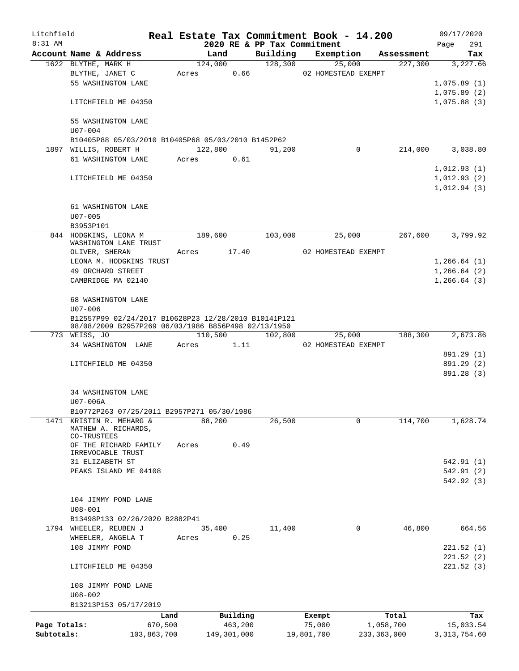| Litchfield   |                                                      |             |             |                 |          |                     | Real Estate Tax Commitment Book - 14.200 |                     |                       | 09/17/2020     |                 |
|--------------|------------------------------------------------------|-------------|-------------|-----------------|----------|---------------------|------------------------------------------|---------------------|-----------------------|----------------|-----------------|
| $8:31$ AM    |                                                      |             |             |                 |          |                     | 2020 RE & PP Tax Commitment              |                     |                       | Page           | 291             |
|              | Account Name & Address<br>1622 BLYTHE, MARK H        |             |             | Land<br>124,000 |          | Building<br>128,300 |                                          | Exemption<br>25,000 | Assessment<br>227,300 |                | Tax<br>3,227.66 |
|              | BLYTHE, JANET C                                      |             | Acres       |                 | 0.66     |                     | 02 HOMESTEAD EXEMPT                      |                     |                       |                |                 |
|              | 55 WASHINGTON LANE                                   |             |             |                 |          |                     |                                          |                     |                       | 1,075.89(1)    |                 |
|              |                                                      |             |             |                 |          |                     |                                          |                     |                       | 1,075.89(2)    |                 |
|              | LITCHFIELD ME 04350                                  |             |             |                 |          |                     |                                          |                     |                       | 1,075.88(3)    |                 |
|              | 55 WASHINGTON LANE                                   |             |             |                 |          |                     |                                          |                     |                       |                |                 |
|              | $U07 - 004$                                          |             |             |                 |          |                     |                                          |                     |                       |                |                 |
|              | B10405P88 05/03/2010 B10405P68 05/03/2010 B1452P62   |             |             |                 |          |                     |                                          |                     |                       |                |                 |
|              | 1897 WILLIS, ROBERT H                                |             |             | 122,800         |          | 91,200              |                                          | 0                   | 214,000               |                | 3,038.80        |
|              | 61 WASHINGTON LANE                                   |             | Acres       | 0.61            |          |                     |                                          |                     |                       |                |                 |
|              |                                                      |             |             |                 |          |                     |                                          |                     |                       | 1,012.93(1)    |                 |
|              | LITCHFIELD ME 04350                                  |             |             |                 |          |                     |                                          |                     |                       | 1,012.93(2)    |                 |
|              |                                                      |             |             |                 |          |                     |                                          |                     |                       | 1,012.94(3)    |                 |
|              | 61 WASHINGTON LANE                                   |             |             |                 |          |                     |                                          |                     |                       |                |                 |
|              | $U07 - 005$                                          |             |             |                 |          |                     |                                          |                     |                       |                |                 |
|              | B3953P101                                            |             |             |                 |          |                     |                                          |                     |                       |                |                 |
|              | 844 HODGKINS, LEONA M                                |             |             | 189,600         |          | 103,000             |                                          | 25,000              | 267,600               |                | 3,799.92        |
|              | WASHINGTON LANE TRUST                                |             |             |                 |          |                     |                                          |                     |                       |                |                 |
|              | OLIVER, SHERAN                                       |             | Acres 17.40 |                 |          |                     | 02 HOMESTEAD EXEMPT                      |                     |                       |                |                 |
|              | LEONA M. HODGKINS TRUST                              |             |             |                 |          |                     |                                          |                     |                       | 1, 266.64(1)   |                 |
|              | 49 ORCHARD STREET                                    |             |             |                 |          |                     |                                          |                     |                       | 1, 266.64(2)   |                 |
|              | CAMBRIDGE MA 02140                                   |             |             |                 |          |                     |                                          |                     |                       | 1,266.64(3)    |                 |
|              |                                                      |             |             |                 |          |                     |                                          |                     |                       |                |                 |
|              | 68 WASHINGTON LANE                                   |             |             |                 |          |                     |                                          |                     |                       |                |                 |
|              | $U07 - 006$                                          |             |             |                 |          |                     |                                          |                     |                       |                |                 |
|              | B12557P99 02/24/2017 B10628P23 12/28/2010 B10141P121 |             |             |                 |          |                     |                                          |                     |                       |                |                 |
|              | 08/08/2009 B2957P269 06/03/1986 B856P498 02/13/1950  |             |             |                 |          |                     |                                          |                     |                       |                |                 |
|              | 773 WEISS, JO<br>34 WASHINGTON LANE                  |             | Acres       | 110,500         |          |                     | 102,800<br>02 HOMESTEAD EXEMPT           | 25,000              | 188,300               |                | 2,673.86        |
|              |                                                      |             |             |                 | 1.11     |                     |                                          |                     |                       | 891.29 (1)     |                 |
|              | LITCHFIELD ME 04350                                  |             |             |                 |          |                     |                                          |                     |                       | 891.29 (2)     |                 |
|              |                                                      |             |             |                 |          |                     |                                          |                     |                       | 891.28 (3)     |                 |
|              |                                                      |             |             |                 |          |                     |                                          |                     |                       |                |                 |
|              | 34 WASHINGTON LANE                                   |             |             |                 |          |                     |                                          |                     |                       |                |                 |
|              | U07-006A                                             |             |             |                 |          |                     |                                          |                     |                       |                |                 |
|              | B10772P263 07/25/2011 B2957P271 05/30/1986           |             |             |                 |          |                     |                                          |                     |                       |                |                 |
|              | 1471 KRISTIN R. MEHARG &                             |             |             | 88,200          |          | 26,500              |                                          | 0                   | 114,700               |                | 1,628.74        |
|              | MATHEW A. RICHARDS,                                  |             |             |                 |          |                     |                                          |                     |                       |                |                 |
|              | CO-TRUSTEES                                          |             |             |                 |          |                     |                                          |                     |                       |                |                 |
|              | OF THE RICHARD FAMILY<br>IRREVOCABLE TRUST           |             | Acres       |                 | 0.49     |                     |                                          |                     |                       |                |                 |
|              | 31 ELIZABETH ST                                      |             |             |                 |          |                     |                                          |                     |                       | 542.91 (1)     |                 |
|              | PEAKS ISLAND ME 04108                                |             |             |                 |          |                     |                                          |                     |                       | 542.91 (2)     |                 |
|              |                                                      |             |             |                 |          |                     |                                          |                     |                       | 542.92 (3)     |                 |
|              |                                                      |             |             |                 |          |                     |                                          |                     |                       |                |                 |
|              | 104 JIMMY POND LANE                                  |             |             |                 |          |                     |                                          |                     |                       |                |                 |
|              | $U08 - 001$                                          |             |             |                 |          |                     |                                          |                     |                       |                |                 |
|              | B13498P133 02/26/2020 B2882P41                       |             |             |                 |          |                     |                                          |                     |                       |                |                 |
|              | 1794 WHEELER, REUBEN J                               |             |             | 35,400          |          | 11,400              |                                          | 0                   | 46,800                |                | 664.56          |
|              | WHEELER, ANGELA T                                    |             | Acres       |                 | 0.25     |                     |                                          |                     |                       |                |                 |
|              | 108 JIMMY POND                                       |             |             |                 |          |                     |                                          |                     |                       | 221.52(1)      |                 |
|              |                                                      |             |             |                 |          |                     |                                          |                     |                       | 221.52(2)      |                 |
|              | LITCHFIELD ME 04350                                  |             |             |                 |          |                     |                                          |                     |                       | 221.52(3)      |                 |
|              |                                                      |             |             |                 |          |                     |                                          |                     |                       |                |                 |
|              | 108 JIMMY POND LANE                                  |             |             |                 |          |                     |                                          |                     |                       |                |                 |
|              | $U08 - 002$                                          |             |             |                 |          |                     |                                          |                     |                       |                |                 |
|              | B13213P153 05/17/2019                                |             |             |                 |          |                     |                                          |                     |                       |                |                 |
|              |                                                      | Land        |             |                 | Building |                     | Exempt                                   |                     | Total                 |                | Tax             |
| Page Totals: |                                                      | 670,500     |             |                 | 463,200  |                     | 75,000                                   |                     | 1,058,700             | 15,033.54      |                 |
| Subtotals:   |                                                      | 103,863,700 |             | 149,301,000     |          |                     | 19,801,700                               | 233, 363, 000       |                       | 3, 313, 754.60 |                 |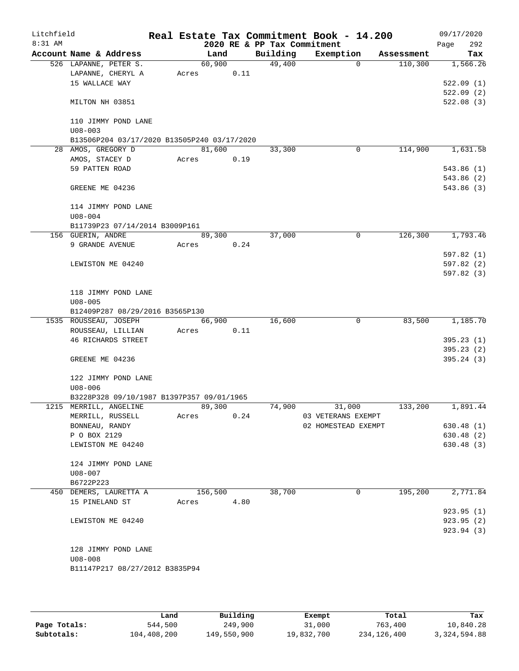| Litchfield<br>$8:31$ AM |                                             |       |         |      | 2020 RE & PP Tax Commitment | Real Estate Tax Commitment Book - 14.200 |             |            | 09/17/2020<br>292<br>Page |
|-------------------------|---------------------------------------------|-------|---------|------|-----------------------------|------------------------------------------|-------------|------------|---------------------------|
|                         | Account Name & Address                      |       | Land    |      | Building                    | Exemption                                |             | Assessment | Tax                       |
|                         | 526 LAPANNE, PETER S.                       |       | 60,900  |      | 49,400                      |                                          | $\Omega$    | 110,300    | 1,566.26                  |
|                         | LAPANNE, CHERYL A                           | Acres |         | 0.11 |                             |                                          |             |            |                           |
|                         | 15 WALLACE WAY                              |       |         |      |                             |                                          |             |            | 522.09(1)                 |
|                         |                                             |       |         |      |                             |                                          |             |            | 522.09(2)                 |
|                         | MILTON NH 03851                             |       |         |      |                             |                                          |             |            | 522.08(3)                 |
|                         | 110 JIMMY POND LANE                         |       |         |      |                             |                                          |             |            |                           |
|                         | $U08 - 003$                                 |       |         |      |                             |                                          |             |            |                           |
|                         | B13506P204 03/17/2020 B13505P240 03/17/2020 |       |         |      |                             |                                          |             |            |                           |
|                         | 28 AMOS, GREGORY D                          |       | 81,600  |      | 33,300                      |                                          | $\mathbf 0$ | 114,900    | 1,631.58                  |
|                         | AMOS, STACEY D                              | Acres |         | 0.19 |                             |                                          |             |            |                           |
|                         | 59 PATTEN ROAD                              |       |         |      |                             |                                          |             |            | 543.86(1)                 |
|                         |                                             |       |         |      |                             |                                          |             |            | 543.86 (2)                |
|                         | GREENE ME 04236                             |       |         |      |                             |                                          |             |            | 543.86 (3)                |
|                         | 114 JIMMY POND LANE                         |       |         |      |                             |                                          |             |            |                           |
|                         | $U08 - 004$                                 |       |         |      |                             |                                          |             |            |                           |
|                         | B11739P23 07/14/2014 B3009P161              |       |         |      |                             |                                          |             |            |                           |
|                         | 156 GUERIN, ANDRE                           |       | 89,300  |      | 37,000                      |                                          | $\mathbf 0$ | 126,300    | 1,793.46                  |
|                         | 9 GRANDE AVENUE                             | Acres |         | 0.24 |                             |                                          |             |            |                           |
|                         |                                             |       |         |      |                             |                                          |             |            | 597.82(1)                 |
|                         | LEWISTON ME 04240                           |       |         |      |                             |                                          |             |            | 597.82(2)                 |
|                         |                                             |       |         |      |                             |                                          |             |            | 597.82(3)                 |
|                         | 118 JIMMY POND LANE                         |       |         |      |                             |                                          |             |            |                           |
|                         | $U08 - 005$                                 |       |         |      |                             |                                          |             |            |                           |
|                         | B12409P287 08/29/2016 B3565P130             |       |         |      |                             |                                          |             |            |                           |
|                         | 1535 ROUSSEAU, JOSEPH                       |       | 66,900  |      | 16,600                      |                                          | $\mathbf 0$ | 83,500     | 1,185.70                  |
|                         | ROUSSEAU, LILLIAN                           | Acres |         | 0.11 |                             |                                          |             |            |                           |
|                         | <b>46 RICHARDS STREET</b>                   |       |         |      |                             |                                          |             |            | 395.23(1)                 |
|                         |                                             |       |         |      |                             |                                          |             |            | 395.23(2)                 |
|                         | GREENE ME 04236                             |       |         |      |                             |                                          |             |            | 395.24(3)                 |
|                         | 122 JIMMY POND LANE                         |       |         |      |                             |                                          |             |            |                           |
|                         | $U08 - 006$                                 |       |         |      |                             |                                          |             |            |                           |
|                         | B3228P328 09/10/1987 B1397P357 09/01/1965   |       |         |      |                             |                                          |             |            |                           |
|                         | 1215 MERRILL, ANGELINE                      |       | 89,300  |      | 74,900                      | 31,000                                   |             | 133,200    | 1,891.44                  |
|                         | MERRILL, RUSSELL                            | Acres |         | 0.24 |                             | 03 VETERANS EXEMPT                       |             |            |                           |
|                         | BONNEAU, RANDY                              |       |         |      |                             | 02 HOMESTEAD EXEMPT                      |             |            | 630.48(1)                 |
|                         | P O BOX 2129                                |       |         |      |                             |                                          |             |            | 630.48 (2)                |
|                         | LEWISTON ME 04240                           |       |         |      |                             |                                          |             |            | 630.48 (3)                |
|                         | 124 JIMMY POND LANE                         |       |         |      |                             |                                          |             |            |                           |
|                         | U08-007                                     |       |         |      |                             |                                          |             |            |                           |
|                         | B6722P223                                   |       |         |      |                             |                                          |             |            |                           |
|                         | 450 DEMERS, LAURETTA A                      |       | 156,500 |      | 38,700                      |                                          | 0           | 195,200    | 2,771.84                  |
|                         | 15 PINELAND ST                              | Acres |         | 4.80 |                             |                                          |             |            |                           |
|                         |                                             |       |         |      |                             |                                          |             |            | 923.95(1)                 |
|                         | LEWISTON ME 04240                           |       |         |      |                             |                                          |             |            | 923.95(2)                 |
|                         |                                             |       |         |      |                             |                                          |             |            | 923.94 (3)                |
|                         | 128 JIMMY POND LANE                         |       |         |      |                             |                                          |             |            |                           |
|                         | $U08 - 008$                                 |       |         |      |                             |                                          |             |            |                           |
|                         | B11147P217 08/27/2012 B3835P94              |       |         |      |                             |                                          |             |            |                           |
|                         |                                             |       |         |      |                             |                                          |             |            |                           |

|              | Land        | Building    | Exempt     | Total       | Tax          |
|--------------|-------------|-------------|------------|-------------|--------------|
| Page Totals: | 544,500     | 249,900     | 31,000     | 763,400     | 10,840.28    |
| Subtotals:   | 104,408,200 | 149,550,900 | 19,832,700 | 234,126,400 | 3,324,594.88 |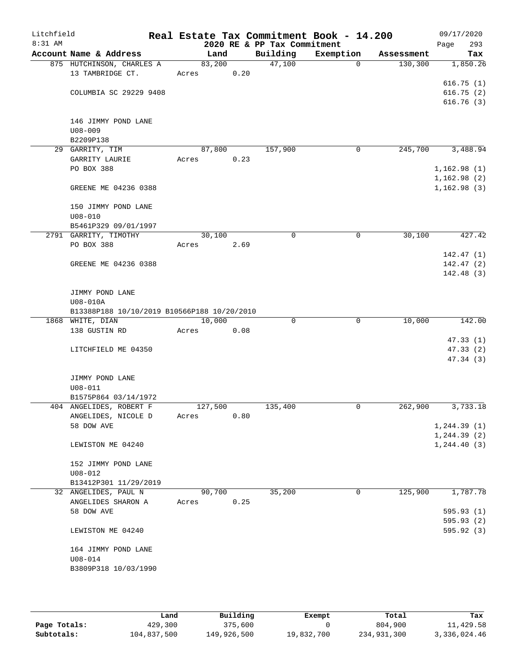| Litchfield |                                               |                 |      |                             | Real Estate Tax Commitment Book - 14.200 |            | 09/17/2020   |
|------------|-----------------------------------------------|-----------------|------|-----------------------------|------------------------------------------|------------|--------------|
| $8:31$ AM  |                                               |                 |      | 2020 RE & PP Tax Commitment |                                          |            | 293<br>Page  |
|            | Account Name & Address                        | Land            |      | Building                    | Exemption                                | Assessment | Tax          |
|            | 875 HUTCHINSON, CHARLES A<br>13 TAMBRIDGE CT. | 83,200<br>Acres | 0.20 | 47,100                      | $\Omega$                                 | 130, 300   | 1,850.26     |
|            |                                               |                 |      |                             |                                          |            | 616.75(1)    |
|            | COLUMBIA SC 29229 9408                        |                 |      |                             |                                          |            | 616.75(2)    |
|            |                                               |                 |      |                             |                                          |            | 616.76(3)    |
|            | 146 JIMMY POND LANE                           |                 |      |                             |                                          |            |              |
|            | $U08 - 009$                                   |                 |      |                             |                                          |            |              |
|            | B2209P138                                     |                 |      |                             |                                          |            |              |
|            | 29 GARRITY, TIM                               | 87,800          |      | 157,900                     | 0                                        | 245,700    | 3,488.94     |
|            | GARRITY LAURIE                                | Acres           | 0.23 |                             |                                          |            |              |
|            | PO BOX 388                                    |                 |      |                             |                                          |            | 1,162.98(1)  |
|            |                                               |                 |      |                             |                                          |            | 1,162.98(2)  |
|            | GREENE ME 04236 0388                          |                 |      |                             |                                          |            | 1,162.98(3)  |
|            | 150 JIMMY POND LANE                           |                 |      |                             |                                          |            |              |
|            | $U08 - 010$                                   |                 |      |                             |                                          |            |              |
|            | B5461P329 09/01/1997                          |                 |      |                             |                                          |            |              |
|            | 2791 GARRITY, TIMOTHY                         | 30,100          |      | 0                           | 0                                        | 30,100     | 427.42       |
|            | PO BOX 388                                    | Acres           | 2.69 |                             |                                          |            |              |
|            |                                               |                 |      |                             |                                          |            | 142.47(1)    |
|            | GREENE ME 04236 0388                          |                 |      |                             |                                          |            | 142.47(2)    |
|            |                                               |                 |      |                             |                                          |            | 142.48(3)    |
|            | JIMMY POND LANE                               |                 |      |                             |                                          |            |              |
|            | U08-010A                                      |                 |      |                             |                                          |            |              |
|            | B13388P188 10/10/2019 B10566P188 10/20/2010   |                 |      |                             |                                          |            |              |
|            | 1868 WHITE, DIAN                              | 10,000          |      | $\Omega$                    | $\mathbf 0$                              | 10,000     | 142.00       |
|            | 138 GUSTIN RD                                 | Acres           | 0.08 |                             |                                          |            |              |
|            |                                               |                 |      |                             |                                          |            | 47.33(1)     |
|            | LITCHFIELD ME 04350                           |                 |      |                             |                                          |            | 47.33(2)     |
|            |                                               |                 |      |                             |                                          |            | 47.34(3)     |
|            |                                               |                 |      |                             |                                          |            |              |
|            | JIMMY POND LANE<br>$U08 - 011$                |                 |      |                             |                                          |            |              |
|            | B1575P864 03/14/1972                          |                 |      |                             |                                          |            |              |
|            | 404 ANGELIDES, ROBERT F                       | 127,500         |      | 135,400                     | 0                                        | 262,900    | 3,733.18     |
|            | ANGELIDES, NICOLE D                           | Acres           | 0.80 |                             |                                          |            |              |
|            | 58 DOW AVE                                    |                 |      |                             |                                          |            | 1, 244.39(1) |
|            |                                               |                 |      |                             |                                          |            | 1, 244.39(2) |
|            | LEWISTON ME 04240                             |                 |      |                             |                                          |            | 1, 244.40(3) |
|            | 152 JIMMY POND LANE                           |                 |      |                             |                                          |            |              |
|            | $U08 - 012$                                   |                 |      |                             |                                          |            |              |
|            | B13412P301 11/29/2019                         |                 |      |                             |                                          |            |              |
|            | 32 ANGELIDES, PAUL N                          | 90,700          |      | 35,200                      | 0                                        | 125,900    | 1,787.78     |
|            | ANGELIDES SHARON A                            | Acres           | 0.25 |                             |                                          |            |              |
|            | 58 DOW AVE                                    |                 |      |                             |                                          |            | 595.93(1)    |
|            |                                               |                 |      |                             |                                          |            | 595.93(2)    |
|            | LEWISTON ME 04240                             |                 |      |                             |                                          |            | 595.92(3)    |
|            | 164 JIMMY POND LANE                           |                 |      |                             |                                          |            |              |
|            | $U08 - 014$                                   |                 |      |                             |                                          |            |              |
|            | B3809P318 10/03/1990                          |                 |      |                             |                                          |            |              |
|            |                                               |                 |      |                             |                                          |            |              |

|              | Land        | Building    | Exempt     | Total       | Tax          |
|--------------|-------------|-------------|------------|-------------|--------------|
| Page Totals: | 429,300     | 375,600     |            | 804,900     | 11,429.58    |
| Subtotals:   | 104,837,500 | 149,926,500 | 19,832,700 | 234,931,300 | 3,336,024.46 |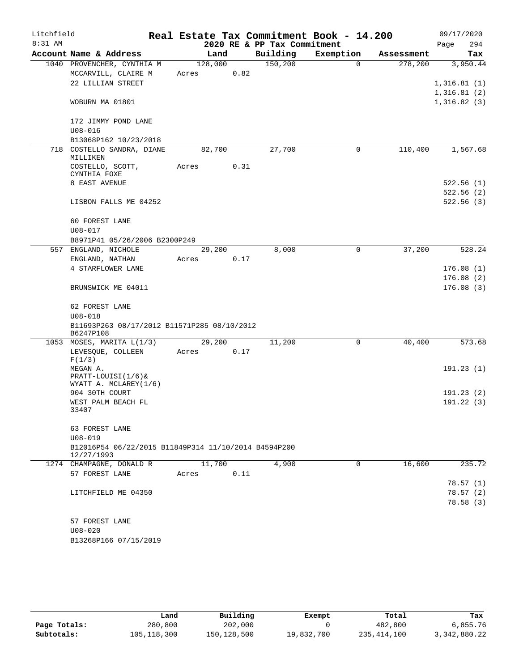| Litchfield |                                                                    |         |      |                             | Real Estate Tax Commitment Book - 14.200 |            | 09/17/2020  |
|------------|--------------------------------------------------------------------|---------|------|-----------------------------|------------------------------------------|------------|-------------|
| 8:31 AM    |                                                                    |         |      | 2020 RE & PP Tax Commitment |                                          |            | 294<br>Page |
|            | Account Name & Address                                             | Land    |      | Building                    | Exemption                                | Assessment | Tax         |
|            | 1040 PROVENCHER, CYNTHIA M                                         | 128,000 |      | 150,200                     | $\Omega$                                 | 278,200    | 3,950.44    |
|            | MCCARVILL, CLAIRE M                                                | Acres   | 0.82 |                             |                                          |            |             |
|            | 22 LILLIAN STREET                                                  |         |      |                             |                                          |            | 1,316.81(1) |
|            |                                                                    |         |      |                             |                                          |            | 1,316.81(2) |
|            | WOBURN MA 01801                                                    |         |      |                             |                                          |            | 1,316.82(3) |
|            | 172 JIMMY POND LANE                                                |         |      |                             |                                          |            |             |
|            | $U08 - 016$                                                        |         |      |                             |                                          |            |             |
|            | B13068P162 10/23/2018                                              |         |      |                             |                                          |            |             |
| 718        | COSTELLO SANDRA, DIANE<br>MILLIKEN                                 | 82,700  |      | 27,700                      | 0                                        | 110,400    | 1,567.68    |
|            | COSTELLO, SCOTT,                                                   | Acres   | 0.31 |                             |                                          |            |             |
|            | CYNTHIA FOXE                                                       |         |      |                             |                                          |            |             |
|            | 8 EAST AVENUE                                                      |         |      |                             |                                          |            | 522.56(1)   |
|            |                                                                    |         |      |                             |                                          |            | 522.56(2)   |
|            | LISBON FALLS ME 04252                                              |         |      |                             |                                          |            | 522.56(3)   |
|            | 60 FOREST LANE                                                     |         |      |                             |                                          |            |             |
|            | $U08 - 017$                                                        |         |      |                             |                                          |            |             |
|            | B8971P41 05/26/2006 B2300P249                                      |         |      |                             |                                          |            |             |
|            | 557 ENGLAND, NICHOLE                                               | 29,200  |      | 8,000                       | 0                                        | 37,200     | 528.24      |
|            | ENGLAND, NATHAN                                                    | Acres   | 0.17 |                             |                                          |            |             |
|            | 4 STARFLOWER LANE                                                  |         |      |                             |                                          |            | 176.08(1)   |
|            |                                                                    |         |      |                             |                                          |            | 176.08(2)   |
|            | BRUNSWICK ME 04011                                                 |         |      |                             |                                          |            | 176.08(3)   |
|            | 62 FOREST LANE                                                     |         |      |                             |                                          |            |             |
|            | $U08 - 018$                                                        |         |      |                             |                                          |            |             |
|            | B11693P263 08/17/2012 B11571P285 08/10/2012                        |         |      |                             |                                          |            |             |
|            | B6247P108                                                          |         |      |                             |                                          |            |             |
|            | 1053 MOSES, MARITA L(1/3)                                          | 29,200  |      | 11,200                      | 0                                        | 40,400     | 573.68      |
|            | LEVESQUE, COLLEEN<br>F(1/3)                                        | Acres   | 0.17 |                             |                                          |            |             |
|            | MEGAN A.                                                           |         |      |                             |                                          |            | 191.23(1)   |
|            | PRATT-LOUISI(1/6)&                                                 |         |      |                             |                                          |            |             |
|            | WYATT A. MCLAREY(1/6)                                              |         |      |                             |                                          |            |             |
|            | 904 30TH COURT                                                     |         |      |                             |                                          |            | 191.23(2)   |
|            | WEST PALM BEACH FL<br>33407                                        |         |      |                             |                                          |            | 191.22(3)   |
|            |                                                                    |         |      |                             |                                          |            |             |
|            | 63 FOREST LANE                                                     |         |      |                             |                                          |            |             |
|            | $U08 - 019$                                                        |         |      |                             |                                          |            |             |
|            | B12016P54 06/22/2015 B11849P314 11/10/2014 B4594P200<br>12/27/1993 |         |      |                             |                                          |            |             |
|            | 1274 CHAMPAGNE, DONALD R                                           | 11,700  |      | 4,900                       | $\mathbf 0$                              | 16,600     | 235.72      |
|            | 57 FOREST LANE                                                     | Acres   | 0.11 |                             |                                          |            |             |
|            |                                                                    |         |      |                             |                                          |            | 78.57(1)    |
|            | LITCHFIELD ME 04350                                                |         |      |                             |                                          |            | 78.57(2)    |
|            |                                                                    |         |      |                             |                                          |            | 78.58(3)    |
|            | 57 FOREST LANE                                                     |         |      |                             |                                          |            |             |
|            | $U08 - 020$                                                        |         |      |                             |                                          |            |             |
|            | B13268P166 07/15/2019                                              |         |      |                             |                                          |            |             |
|            |                                                                    |         |      |                             |                                          |            |             |

|              | Land          | Building    | Exempt     | Total         | Tax          |
|--------------|---------------|-------------|------------|---------------|--------------|
| Page Totals: | 280,800       | 202,000     |            | 482,800       | 6,855.76     |
| Subtotals:   | 105, 118, 300 | 150,128,500 | 19,832,700 | 235, 414, 100 | 3,342,880.22 |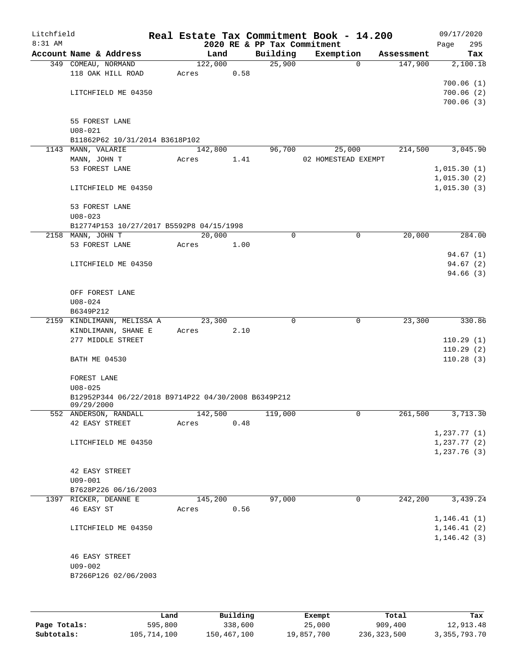| Litchfield<br>8:31 AM |                                                               |       |         |      | 2020 RE & PP Tax Commitment | Real Estate Tax Commitment Book - 14.200 |                     | 09/17/2020<br>295<br>Page    |
|-----------------------|---------------------------------------------------------------|-------|---------|------|-----------------------------|------------------------------------------|---------------------|------------------------------|
|                       | Account Name & Address                                        |       | Land    |      | Building                    | Exemption                                | Assessment          | Tax                          |
|                       | 349 COMEAU, NORMAND                                           |       | 122,000 |      | 25,900                      |                                          | 147,900<br>$\Omega$ | 2,100.18                     |
|                       | 118 OAK HILL ROAD                                             | Acres |         | 0.58 |                             |                                          |                     |                              |
|                       |                                                               |       |         |      |                             |                                          |                     | 700.06(1)                    |
|                       | LITCHFIELD ME 04350                                           |       |         |      |                             |                                          |                     | 700.06(2)                    |
|                       |                                                               |       |         |      |                             |                                          |                     | 700.06(3)                    |
|                       | 55 FOREST LANE                                                |       |         |      |                             |                                          |                     |                              |
|                       | $U08 - 021$                                                   |       |         |      |                             |                                          |                     |                              |
|                       | B11862P62 10/31/2014 B3618P102                                |       |         |      |                             |                                          |                     |                              |
|                       | 1143 MANN, VALARIE                                            |       | 142,800 |      | 96,700                      | 25,000                                   | 214,500             | 3,045.90                     |
|                       | MANN, JOHN T                                                  | Acres |         | 1.41 |                             | 02 HOMESTEAD EXEMPT                      |                     |                              |
|                       | 53 FOREST LANE                                                |       |         |      |                             |                                          |                     | 1,015.30(1)                  |
|                       |                                                               |       |         |      |                             |                                          |                     | 1,015.30(2)                  |
|                       | LITCHFIELD ME 04350                                           |       |         |      |                             |                                          |                     | 1,015.30(3)                  |
|                       |                                                               |       |         |      |                             |                                          |                     |                              |
|                       | 53 FOREST LANE                                                |       |         |      |                             |                                          |                     |                              |
|                       | $U08 - 023$                                                   |       |         |      |                             |                                          |                     |                              |
|                       | B12774P153 10/27/2017 B5592P8 04/15/1998<br>2158 MANN, JOHN T |       | 20,000  |      | 0                           |                                          | 20,000<br>0         | 284.00                       |
|                       | 53 FOREST LANE                                                | Acres |         | 1.00 |                             |                                          |                     |                              |
|                       |                                                               |       |         |      |                             |                                          |                     | 94.67(1)                     |
|                       | LITCHFIELD ME 04350                                           |       |         |      |                             |                                          |                     | 94.67(2)                     |
|                       |                                                               |       |         |      |                             |                                          |                     | 94.66(3)                     |
|                       |                                                               |       |         |      |                             |                                          |                     |                              |
|                       | OFF FOREST LANE                                               |       |         |      |                             |                                          |                     |                              |
|                       | $U08 - 024$                                                   |       |         |      |                             |                                          |                     |                              |
|                       | B6349P212                                                     |       |         |      |                             |                                          |                     |                              |
|                       | 2159 KINDLIMANN, MELISSA A                                    |       | 23,300  |      | $\mathbf 0$                 |                                          | 23,300<br>0         | 330.86                       |
|                       | KINDLIMANN, SHANE E                                           | Acres |         | 2.10 |                             |                                          |                     |                              |
|                       | 277 MIDDLE STREET                                             |       |         |      |                             |                                          |                     | 110.29(1)<br>110.29(2)       |
|                       | <b>BATH ME 04530</b>                                          |       |         |      |                             |                                          |                     | 110.28(3)                    |
|                       |                                                               |       |         |      |                             |                                          |                     |                              |
|                       | FOREST LANE                                                   |       |         |      |                             |                                          |                     |                              |
|                       | $U08 - 025$                                                   |       |         |      |                             |                                          |                     |                              |
|                       | B12952P344 06/22/2018 B9714P22 04/30/2008 B6349P212           |       |         |      |                             |                                          |                     |                              |
|                       | 09/29/2000                                                    |       |         |      |                             |                                          | 0                   |                              |
|                       | 552 ANDERSON, RANDALL<br>42 EASY STREET                       | Acres | 142,500 | 0.48 | 119,000                     |                                          | 261,500             | 3,713.30                     |
|                       |                                                               |       |         |      |                             |                                          |                     | 1,237.77(1)                  |
|                       | LITCHFIELD ME 04350                                           |       |         |      |                             |                                          |                     | 1,237.77(2)                  |
|                       |                                                               |       |         |      |                             |                                          |                     | 1,237.76(3)                  |
|                       |                                                               |       |         |      |                             |                                          |                     |                              |
|                       | 42 EASY STREET                                                |       |         |      |                             |                                          |                     |                              |
|                       | $U09 - 001$                                                   |       |         |      |                             |                                          |                     |                              |
|                       | B7628P226 06/16/2003                                          |       |         |      |                             |                                          |                     |                              |
|                       | 1397 RICKER, DEANNE E                                         |       | 145,200 |      | 97,000                      |                                          | 242,200<br>0        | 3,439.24                     |
|                       | 46 EASY ST                                                    | Acres |         | 0.56 |                             |                                          |                     |                              |
|                       | LITCHFIELD ME 04350                                           |       |         |      |                             |                                          |                     | 1, 146.41(1)<br>1, 146.41(2) |
|                       |                                                               |       |         |      |                             |                                          |                     | 1, 146.42(3)                 |
|                       |                                                               |       |         |      |                             |                                          |                     |                              |
|                       | <b>46 EASY STREET</b>                                         |       |         |      |                             |                                          |                     |                              |
|                       | $U09 - 002$                                                   |       |         |      |                             |                                          |                     |                              |
|                       | B7266P126 02/06/2003                                          |       |         |      |                             |                                          |                     |                              |
|                       |                                                               |       |         |      |                             |                                          |                     |                              |
|                       |                                                               |       |         |      |                             |                                          |                     |                              |
|                       |                                                               |       |         |      |                             |                                          |                     |                              |

|              | Land        | Building    | Exempt     | Total       | Tax          |
|--------------|-------------|-------------|------------|-------------|--------------|
| Page Totals: | 595,800     | 338,600     | 25,000     | 909,400     | 12,913.48    |
| Subtotals:   | 105,714,100 | 150,467,100 | 19,857,700 | 236,323,500 | 3,355,793.70 |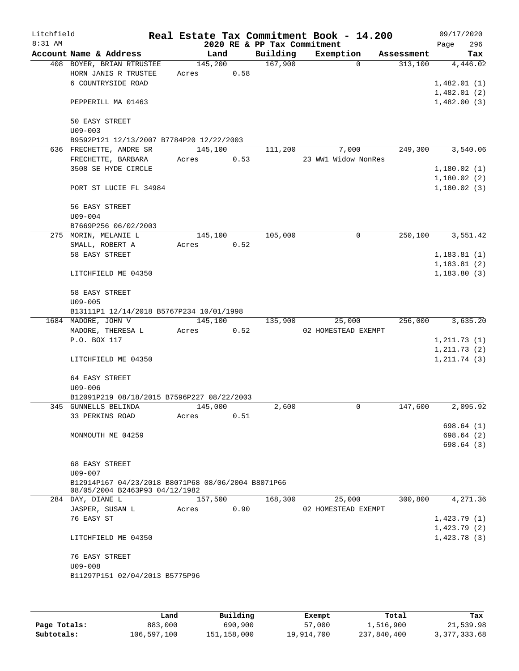| Litchfield<br>8:31 AM |                                                    |         |      | 2020 RE & PP Tax Commitment | Real Estate Tax Commitment Book - 14.200 |            | 09/17/2020<br>296<br>Page |
|-----------------------|----------------------------------------------------|---------|------|-----------------------------|------------------------------------------|------------|---------------------------|
|                       | Account Name & Address                             | Land    |      | Building                    | Exemption                                | Assessment | Tax                       |
|                       | 408 BOYER, BRIAN RTRUSTEE                          | 145,200 |      | 167,900                     | $\Omega$                                 | 313,100    | 4,446.02                  |
|                       | HORN JANIS R TRUSTEE                               | Acres   | 0.58 |                             |                                          |            |                           |
|                       | 6 COUNTRYSIDE ROAD                                 |         |      |                             |                                          |            | 1,482.01(1)               |
|                       |                                                    |         |      |                             |                                          |            | 1,482.01(2)               |
|                       | PEPPERILL MA 01463                                 |         |      |                             |                                          |            | 1,482.00(3)               |
|                       |                                                    |         |      |                             |                                          |            |                           |
|                       | 50 EASY STREET                                     |         |      |                             |                                          |            |                           |
|                       | $U09 - 003$                                        |         |      |                             |                                          |            |                           |
|                       | B9592P121 12/13/2007 B7784P20 12/22/2003           |         |      |                             |                                          |            |                           |
|                       | 636 FRECHETTE, ANDRE SR                            | 145,100 |      | 111,200                     | 7,000                                    | 249,300    | 3,540.06                  |
|                       | FRECHETTE, BARBARA                                 | Acres   | 0.53 |                             | 23 WW1 Widow NonRes                      |            |                           |
|                       | 3508 SE HYDE CIRCLE                                |         |      |                             |                                          |            | 1,180.02(1)               |
|                       |                                                    |         |      |                             |                                          |            |                           |
|                       |                                                    |         |      |                             |                                          |            | 1,180.02(2)               |
|                       | PORT ST LUCIE FL 34984                             |         |      |                             |                                          |            | 1,180.02(3)               |
|                       |                                                    |         |      |                             |                                          |            |                           |
|                       | 56 EASY STREET                                     |         |      |                             |                                          |            |                           |
|                       | $U09 - 004$                                        |         |      |                             |                                          |            |                           |
|                       | B7669P256 06/02/2003                               |         |      |                             |                                          |            |                           |
|                       | 275 MORIN, MELANIE L                               | 145,100 |      | 105,000                     | 0                                        | 250,100    | 3,551.42                  |
|                       | SMALL, ROBERT A                                    | Acres   | 0.52 |                             |                                          |            |                           |
|                       | 58 EASY STREET                                     |         |      |                             |                                          |            | 1,183.81(1)               |
|                       |                                                    |         |      |                             |                                          |            | 1,183.81(2)               |
|                       | LITCHFIELD ME 04350                                |         |      |                             |                                          |            | 1, 183.80(3)              |
|                       | 58 EASY STREET                                     |         |      |                             |                                          |            |                           |
|                       | $U09 - 005$                                        |         |      |                             |                                          |            |                           |
|                       |                                                    |         |      |                             |                                          |            |                           |
|                       | B13111P1 12/14/2018 B5767P234 10/01/1998           |         |      |                             |                                          |            |                           |
|                       | 1684 MADORE, JOHN V                                | 145,100 |      | 135,900                     | 25,000                                   | 256,000    | 3,635.20                  |
|                       | MADORE, THERESA L                                  | Acres   | 0.52 |                             | 02 HOMESTEAD EXEMPT                      |            |                           |
|                       | P.O. BOX 117                                       |         |      |                             |                                          |            | 1, 211.73(1)              |
|                       |                                                    |         |      |                             |                                          |            | 1, 211.73(2)              |
|                       | LITCHFIELD ME 04350                                |         |      |                             |                                          |            | 1, 211.74(3)              |
|                       | 64 EASY STREET                                     |         |      |                             |                                          |            |                           |
|                       | $U09 - 006$                                        |         |      |                             |                                          |            |                           |
|                       | B12091P219 08/18/2015 B7596P227 08/22/2003         |         |      |                             |                                          |            |                           |
|                       | 345 GUNNELLS BELINDA                               | 145,000 |      | 2,600                       | 0                                        | 147,600    | 2,095.92                  |
|                       | 33 PERKINS ROAD                                    | Acres   | 0.51 |                             |                                          |            |                           |
|                       |                                                    |         |      |                             |                                          |            | 698.64 (1)                |
|                       | MONMOUTH ME 04259                                  |         |      |                             |                                          |            | 698.64(2)                 |
|                       |                                                    |         |      |                             |                                          |            | 698.64 (3)                |
|                       |                                                    |         |      |                             |                                          |            |                           |
|                       | 68 EASY STREET                                     |         |      |                             |                                          |            |                           |
|                       | $U09 - 007$                                        |         |      |                             |                                          |            |                           |
|                       | B12914P167 04/23/2018 B8071P68 08/06/2004 B8071P66 |         |      |                             |                                          |            |                           |
|                       | 08/05/2004 B2463P93 04/12/1982                     |         |      |                             |                                          |            |                           |
|                       | 284 DAY, DIANE L                                   | 157,500 |      | 168,300                     | 25,000                                   | 300,800    | 4,271.36                  |
|                       | JASPER, SUSAN L                                    | Acres   | 0.90 |                             | 02 HOMESTEAD EXEMPT                      |            |                           |
|                       | 76 EASY ST                                         |         |      |                             |                                          |            | 1,423.79(1)               |
|                       |                                                    |         |      |                             |                                          |            | 1,423.79(2)               |
|                       |                                                    |         |      |                             |                                          |            |                           |
|                       | LITCHFIELD ME 04350                                |         |      |                             |                                          |            | 1,423.78(3)               |
|                       | 76 EASY STREET                                     |         |      |                             |                                          |            |                           |
|                       |                                                    |         |      |                             |                                          |            |                           |
|                       | $U09 - 008$                                        |         |      |                             |                                          |            |                           |
|                       | B11297P151 02/04/2013 B5775P96                     |         |      |                             |                                          |            |                           |
|                       |                                                    |         |      |                             |                                          |            |                           |
|                       |                                                    |         |      |                             |                                          |            |                           |

|              | Land        | Building    | Exempt     | Total       | Tax          |
|--------------|-------------|-------------|------------|-------------|--------------|
| Page Totals: | 883,000     | 690,900     | 57,000     | 1,516,900   | 21,539.98    |
| Subtotals:   | 106,597,100 | 151,158,000 | 19,914,700 | 237,840,400 | 3,377,333.68 |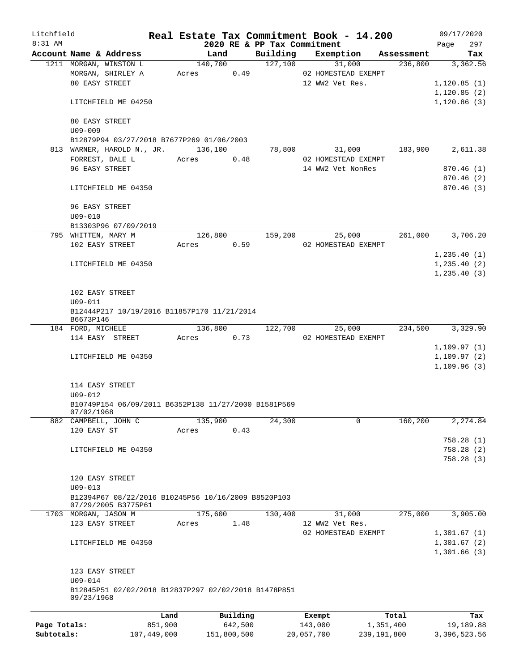| Litchfield   |                               |                                                                            |       |          |                                         | Real Estate Tax Commitment Book - 14.200 |            | 09/17/2020                 |
|--------------|-------------------------------|----------------------------------------------------------------------------|-------|----------|-----------------------------------------|------------------------------------------|------------|----------------------------|
| $8:31$ AM    |                               | Account Name & Address                                                     |       | Land     | 2020 RE & PP Tax Commitment<br>Building | Exemption                                | Assessment | 297<br>Page<br>Tax         |
|              |                               | 1211 MORGAN, WINSTON L                                                     |       | 140,700  | 127,100                                 | 31,000                                   | 236,800    | 3,362.56                   |
|              |                               | MORGAN, SHIRLEY A                                                          | Acres | 0.49     |                                         | 02 HOMESTEAD EXEMPT                      |            |                            |
|              | 80 EASY STREET                |                                                                            |       |          |                                         | 12 WW2 Vet Res.                          |            | 1,120.85(1)                |
|              |                               |                                                                            |       |          |                                         |                                          |            | 1,120.85(2)                |
|              |                               | LITCHFIELD ME 04250                                                        |       |          |                                         |                                          |            | 1,120.86(3)                |
|              | 80 EASY STREET<br>$U09 - 009$ |                                                                            |       |          |                                         |                                          |            |                            |
|              |                               | B12879P94 03/27/2018 B7677P269 01/06/2003                                  |       |          |                                         |                                          |            |                            |
|              |                               | 813 WARNER, HAROLD N., JR.                                                 |       | 136,100  | 78,800                                  | 31,000                                   | 183,900    | 2,611.38                   |
|              | FORREST, DALE L               |                                                                            | Acres | 0.48     |                                         | 02 HOMESTEAD EXEMPT                      |            |                            |
|              | 96 EASY STREET                |                                                                            |       |          |                                         | 14 WW2 Vet NonRes                        |            | 870.46(1)                  |
|              |                               |                                                                            |       |          |                                         |                                          |            | 870.46(2)                  |
|              |                               | LITCHFIELD ME 04350                                                        |       |          |                                         |                                          |            | 870.46(3)                  |
|              | 96 EASY STREET<br>$U09 - 010$ |                                                                            |       |          |                                         |                                          |            |                            |
|              |                               | B13303P96 07/09/2019                                                       |       |          |                                         |                                          |            |                            |
|              | 795 WHITTEN, MARY M           |                                                                            |       | 126,800  | 159,200                                 | 25,000                                   | 261,000    | 3,706.20                   |
|              | 102 EASY STREET               |                                                                            | Acres | 0.59     |                                         | 02 HOMESTEAD EXEMPT                      |            |                            |
|              |                               |                                                                            |       |          |                                         |                                          |            | 1,235.40(1)                |
|              |                               | LITCHFIELD ME 04350                                                        |       |          |                                         |                                          |            | 1, 235.40(2)               |
|              |                               |                                                                            |       |          |                                         |                                          |            | 1, 235.40(3)               |
|              |                               |                                                                            |       |          |                                         |                                          |            |                            |
|              | 102 EASY STREET               |                                                                            |       |          |                                         |                                          |            |                            |
|              | $U09 - 011$                   |                                                                            |       |          |                                         |                                          |            |                            |
|              | B6673P146                     | B12444P217 10/19/2016 B11857P170 11/21/2014                                |       |          |                                         |                                          |            |                            |
|              | 184 FORD, MICHELE             |                                                                            |       | 136,800  | 122,700                                 | 25,000                                   | 234,500    | 3,329.90                   |
|              |                               | 114 EASY STREET                                                            | Acres | 0.73     |                                         | 02 HOMESTEAD EXEMPT                      |            |                            |
|              |                               | LITCHFIELD ME 04350                                                        |       |          |                                         |                                          |            | 1,109.97(1)<br>1,109.97(2) |
|              |                               |                                                                            |       |          |                                         |                                          |            | 1,109.96(3)                |
|              |                               |                                                                            |       |          |                                         |                                          |            |                            |
|              | 114 EASY STREET               |                                                                            |       |          |                                         |                                          |            |                            |
|              | $U09 - 012$<br>07/02/1968     | B10749P154 06/09/2011 B6352P138 11/27/2000 B1581P569                       |       |          |                                         |                                          |            |                            |
|              | 882 CAMPBELL, JOHN C          |                                                                            |       | 135,900  | 24,300                                  | 0                                        | 160,200    | 2,274.84                   |
|              | 120 EASY ST                   |                                                                            | Acres | 0.43     |                                         |                                          |            |                            |
|              |                               |                                                                            |       |          |                                         |                                          |            | 758.28(1)                  |
|              |                               | LITCHFIELD ME 04350                                                        |       |          |                                         |                                          |            | 758.28(2)                  |
|              |                               |                                                                            |       |          |                                         |                                          |            | 758.28 (3)                 |
|              |                               |                                                                            |       |          |                                         |                                          |            |                            |
|              | 120 EASY STREET               |                                                                            |       |          |                                         |                                          |            |                            |
|              | $U09 - 013$                   |                                                                            |       |          |                                         |                                          |            |                            |
|              |                               | B12394P67 08/22/2016 B10245P56 10/16/2009 B8520P103<br>07/29/2005 B3775P61 |       |          |                                         |                                          |            |                            |
|              | 1703 MORGAN, JASON M          |                                                                            |       | 175,600  | 130,400                                 | 31,000                                   | 275,000    | 3,905.00                   |
|              | 123 EASY STREET               |                                                                            | Acres | 1.48     |                                         | 12 WW2 Vet Res.                          |            |                            |
|              |                               |                                                                            |       |          |                                         | 02 HOMESTEAD EXEMPT                      |            | 1,301.67(1)                |
|              |                               | LITCHFIELD ME 04350                                                        |       |          |                                         |                                          |            | 1,301.67(2)                |
|              |                               |                                                                            |       |          |                                         |                                          |            | 1,301.66(3)                |
|              | 123 EASY STREET               |                                                                            |       |          |                                         |                                          |            |                            |
|              | $U09 - 014$                   |                                                                            |       |          |                                         |                                          |            |                            |
|              | 09/23/1968                    | B12845P51 02/02/2018 B12837P297 02/02/2018 B1478P851                       |       |          |                                         |                                          |            |                            |
|              |                               |                                                                            |       |          |                                         |                                          |            |                            |
|              |                               | Land                                                                       |       | Building |                                         | Exempt                                   | Total      | Tax                        |
| Page Totals: |                               | 851,900                                                                    |       | 642,500  |                                         | 143,000                                  | 1,351,400  | 19,189.88                  |

**Subtotals:** 107,449,000 151,800,500 20,057,700 239,191,800 3,396,523.56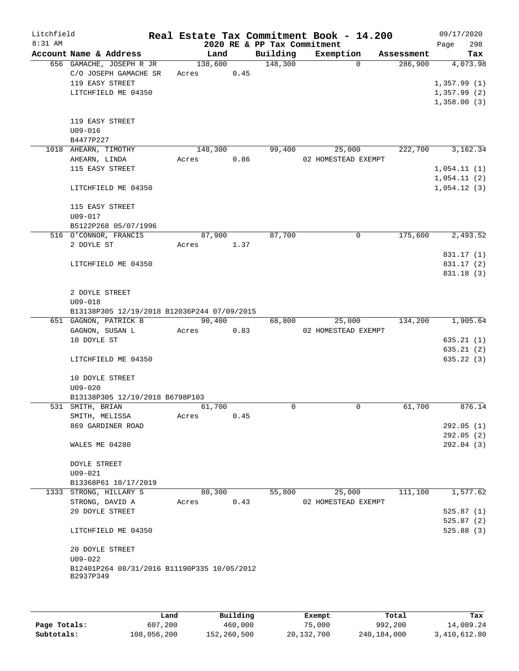| Litchfield |                                             | Real Estate Tax Commitment Book - 14.200 |         |      |                             |                     |             |            |                            | 09/17/2020 |
|------------|---------------------------------------------|------------------------------------------|---------|------|-----------------------------|---------------------|-------------|------------|----------------------------|------------|
| $8:31$ AM  |                                             |                                          |         |      | 2020 RE & PP Tax Commitment |                     |             |            | Page                       | 298        |
|            | Account Name & Address                      |                                          | Land    |      | Building                    | Exemption           |             | Assessment |                            | Tax        |
|            | 656 GAMACHE, JOSEPH R JR                    |                                          | 138,600 |      | 148,300                     |                     | $\Omega$    | 286,900    |                            | 4,073.98   |
|            | C/O JOSEPH GAMACHE SR                       | Acres                                    |         | 0.45 |                             |                     |             |            |                            |            |
|            | 119 EASY STREET<br>LITCHFIELD ME 04350      |                                          |         |      |                             |                     |             |            | 1,357.99(1)<br>1,357.99(2) |            |
|            |                                             |                                          |         |      |                             |                     |             |            |                            |            |
|            |                                             |                                          |         |      |                             |                     |             |            | 1,358.00(3)                |            |
|            | 119 EASY STREET                             |                                          |         |      |                             |                     |             |            |                            |            |
|            | $U09 - 016$                                 |                                          |         |      |                             |                     |             |            |                            |            |
|            | B4477P227                                   |                                          |         |      |                             |                     |             |            |                            |            |
|            | 1018 AHEARN, TIMOTHY                        |                                          | 148,300 |      | 99,400                      |                     | 25,000      | 222,700    |                            | 3,162.34   |
|            | AHEARN, LINDA                               | Acres                                    |         | 0.86 |                             | 02 HOMESTEAD EXEMPT |             |            |                            |            |
|            | 115 EASY STREET                             |                                          |         |      |                             |                     |             |            | 1,054.11(1)                |            |
|            |                                             |                                          |         |      |                             |                     |             |            | 1,054.11(2)                |            |
|            | LITCHFIELD ME 04350                         |                                          |         |      |                             |                     |             |            | 1,054.12(3)                |            |
|            |                                             |                                          |         |      |                             |                     |             |            |                            |            |
|            | 115 EASY STREET                             |                                          |         |      |                             |                     |             |            |                            |            |
|            | $U09 - 017$                                 |                                          |         |      |                             |                     |             |            |                            |            |
|            | B5122P268 05/07/1996                        |                                          |         |      |                             |                     |             |            |                            |            |
|            | 516 O'CONNOR, FRANCIS                       |                                          | 87,900  |      | 87,700                      |                     | $\mathbf 0$ | 175,600    |                            | 2,493.52   |
|            | 2 DOYLE ST                                  | Acres 1.37                               |         |      |                             |                     |             |            |                            |            |
|            |                                             |                                          |         |      |                             |                     |             |            |                            | 831.17 (1) |
|            | LITCHFIELD ME 04350                         |                                          |         |      |                             |                     |             |            |                            | 831.17 (2) |
|            |                                             |                                          |         |      |                             |                     |             |            |                            | 831.18(3)  |
|            |                                             |                                          |         |      |                             |                     |             |            |                            |            |
|            | 2 DOYLE STREET                              |                                          |         |      |                             |                     |             |            |                            |            |
|            | $U09 - 018$                                 |                                          |         |      |                             |                     |             |            |                            |            |
|            | B13138P305 12/19/2018 B12036P244 07/09/2015 |                                          |         |      |                             |                     |             |            |                            |            |
|            | 651 GAGNON, PATRICK B                       |                                          | 90,400  |      | 68,800                      |                     | 25,000      | 134,200    |                            | 1,905.64   |
|            | GAGNON, SUSAN L                             | Acres                                    |         | 0.83 |                             | 02 HOMESTEAD EXEMPT |             |            |                            |            |
|            | 10 DOYLE ST                                 |                                          |         |      |                             |                     |             |            |                            | 635.21(1)  |
|            |                                             |                                          |         |      |                             |                     |             |            |                            | 635.21(2)  |
|            | LITCHFIELD ME 04350                         |                                          |         |      |                             |                     |             |            |                            | 635.22(3)  |
|            |                                             |                                          |         |      |                             |                     |             |            |                            |            |
|            | 10 DOYLE STREET                             |                                          |         |      |                             |                     |             |            |                            |            |
|            | $U09 - 020$                                 |                                          |         |      |                             |                     |             |            |                            |            |
|            | B13138P305 12/19/2018 B6798P103             |                                          |         |      |                             |                     |             |            |                            |            |
|            | 531 SMITH, BRIAN                            |                                          | 61,700  |      | 0                           |                     | $\mathbf 0$ | 61,700     |                            | 876.14     |
|            | SMITH, MELISSA                              | Acres                                    |         | 0.45 |                             |                     |             |            |                            |            |
|            | 869 GARDINER ROAD                           |                                          |         |      |                             |                     |             |            |                            | 292.05(1)  |
|            |                                             |                                          |         |      |                             |                     |             |            |                            | 292.05(2)  |
|            | WALES ME 04280                              |                                          |         |      |                             |                     |             |            |                            | 292.04(3)  |
|            |                                             |                                          |         |      |                             |                     |             |            |                            |            |
|            | <b>DOYLE STREET</b>                         |                                          |         |      |                             |                     |             |            |                            |            |
|            | $U09 - 021$                                 |                                          |         |      |                             |                     |             |            |                            |            |
|            | B13368P61 10/17/2019                        |                                          |         |      |                             |                     |             |            |                            |            |
|            | 1333 STRONG, HILLARY S                      |                                          | 80,300  |      | 55,800                      |                     | 25,000      | 111,100    |                            | 1,577.62   |
|            | STRONG, DAVID A                             | Acres                                    |         | 0.43 |                             | 02 HOMESTEAD EXEMPT |             |            |                            |            |
|            | 20 DOYLE STREET                             |                                          |         |      |                             |                     |             |            |                            | 525.87(1)  |
|            |                                             |                                          |         |      |                             |                     |             |            |                            | 525.87(2)  |
|            | LITCHFIELD ME 04350                         |                                          |         |      |                             |                     |             |            |                            | 525.88(3)  |
|            |                                             |                                          |         |      |                             |                     |             |            |                            |            |
|            | 20 DOYLE STREET<br>$U09 - 022$              |                                          |         |      |                             |                     |             |            |                            |            |
|            | B12401P264 08/31/2016 B11190P335 10/05/2012 |                                          |         |      |                             |                     |             |            |                            |            |
|            | B2937P349                                   |                                          |         |      |                             |                     |             |            |                            |            |
|            |                                             |                                          |         |      |                             |                     |             |            |                            |            |
|            |                                             |                                          |         |      |                             |                     |             |            |                            |            |
|            |                                             |                                          |         |      |                             |                     |             |            |                            |            |

|              | Land        | Building    | Exempt       | Total       | Tax          |
|--------------|-------------|-------------|--------------|-------------|--------------|
| Page Totals: | 607,200     | 460,000     | 75,000       | 992,200     | 14.089.24    |
| Subtotals:   | 108,056,200 | 152,260,500 | 20, 132, 700 | 240,184,000 | 3,410,612.80 |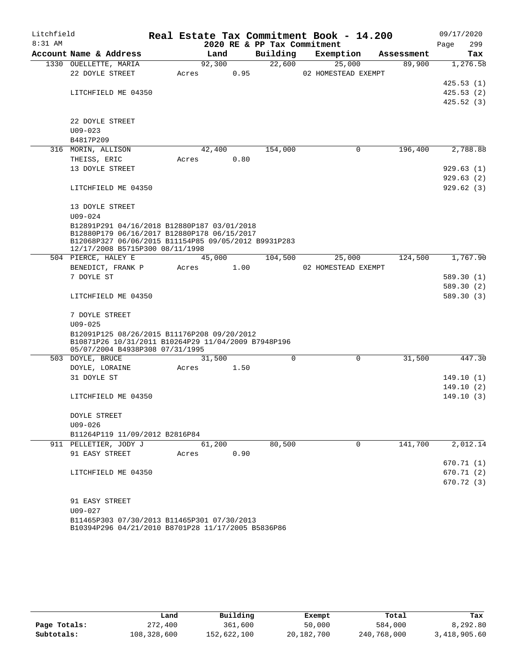| Litchfield |                                                                                                    |       |        |      |                             | Real Estate Tax Commitment Book - 14.200 |            | 09/17/2020  |
|------------|----------------------------------------------------------------------------------------------------|-------|--------|------|-----------------------------|------------------------------------------|------------|-------------|
| $8:31$ AM  |                                                                                                    |       |        |      | 2020 RE & PP Tax Commitment |                                          |            | 299<br>Page |
|            | Account Name & Address                                                                             |       | Land   |      | Building                    | Exemption                                | Assessment | Tax         |
|            | 1330 OUELLETTE, MARIA<br>22 DOYLE STREET                                                           | Acres | 92,300 | 0.95 | 22,600                      | 25,000<br>02 HOMESTEAD EXEMPT            | 89,900     | 1,276.58    |
|            |                                                                                                    |       |        |      |                             |                                          |            | 425.53(1)   |
|            | LITCHFIELD ME 04350                                                                                |       |        |      |                             |                                          |            | 425.53(2)   |
|            |                                                                                                    |       |        |      |                             |                                          |            | 425.52(3)   |
|            |                                                                                                    |       |        |      |                             |                                          |            |             |
|            | 22 DOYLE STREET                                                                                    |       |        |      |                             |                                          |            |             |
|            | $U09 - 023$                                                                                        |       |        |      |                             |                                          |            |             |
|            | B4817P209                                                                                          |       |        |      |                             |                                          |            |             |
|            | 316 MORIN, ALLISON                                                                                 |       | 42,400 |      | 154,000                     | 0                                        | 196,400    | 2,788.88    |
|            | THEISS, ERIC                                                                                       | Acres |        | 0.80 |                             |                                          |            |             |
|            | 13 DOYLE STREET                                                                                    |       |        |      |                             |                                          |            | 929.63(1)   |
|            |                                                                                                    |       |        |      |                             |                                          |            | 929.63(2)   |
|            | LITCHFIELD ME 04350                                                                                |       |        |      |                             |                                          |            | 929.62(3)   |
|            | 13 DOYLE STREET                                                                                    |       |        |      |                             |                                          |            |             |
|            | $U09 - 024$                                                                                        |       |        |      |                             |                                          |            |             |
|            | B12891P291 04/16/2018 B12880P187 03/01/2018                                                        |       |        |      |                             |                                          |            |             |
|            | B12880P179 06/16/2017 B12880P178 06/15/2017                                                        |       |        |      |                             |                                          |            |             |
|            | B12068P327 06/06/2015 B11154P85 09/05/2012 B9931P283<br>12/17/2008 B5715P300 08/11/1998            |       |        |      |                             |                                          |            |             |
|            | 504 PIERCE, HALEY E                                                                                |       | 45,000 |      | 104,500                     | 25,000                                   | 124,500    | 1,767.90    |
|            | BENEDICT, FRANK P                                                                                  | Acres |        | 1.00 |                             | 02 HOMESTEAD EXEMPT                      |            |             |
|            | 7 DOYLE ST                                                                                         |       |        |      |                             |                                          |            | 589.30 (1)  |
|            |                                                                                                    |       |        |      |                             |                                          |            | 589.30 (2)  |
|            | LITCHFIELD ME 04350                                                                                |       |        |      |                             |                                          |            | 589.30 (3)  |
|            |                                                                                                    |       |        |      |                             |                                          |            |             |
|            | 7 DOYLE STREET                                                                                     |       |        |      |                             |                                          |            |             |
|            | $U09 - 025$                                                                                        |       |        |      |                             |                                          |            |             |
|            | B12091P125 08/26/2015 B11176P208 09/20/2012<br>B10871P26 10/31/2011 B10264P29 11/04/2009 B7948P196 |       |        |      |                             |                                          |            |             |
|            | 05/07/2004 B4938P308 07/31/1995                                                                    |       |        |      |                             |                                          |            |             |
|            | 503 DOYLE, BRUCE                                                                                   |       | 31,500 |      | 0                           | 0                                        | 31,500     | 447.30      |
|            | DOYLE, LORAINE                                                                                     | Acres |        | 1.50 |                             |                                          |            |             |
|            | 31 DOYLE ST                                                                                        |       |        |      |                             |                                          |            | 149.10 (1)  |
|            |                                                                                                    |       |        |      |                             |                                          |            | 149.10(2)   |
|            | LITCHFIELD ME 04350                                                                                |       |        |      |                             |                                          |            | 149.10(3)   |
|            | DOYLE STREET                                                                                       |       |        |      |                             |                                          |            |             |
|            | $U09 - 026$                                                                                        |       |        |      |                             |                                          |            |             |
|            | B11264P119 11/09/2012 B2816P84                                                                     |       |        |      |                             |                                          |            |             |
|            | 911 PELLETIER, JODY J                                                                              |       | 61,200 |      | 80,500                      | 0                                        | 141,700    | 2,012.14    |
|            | 91 EASY STREET                                                                                     | Acres |        | 0.90 |                             |                                          |            |             |
|            |                                                                                                    |       |        |      |                             |                                          |            | 670.71(1)   |
|            | LITCHFIELD ME 04350                                                                                |       |        |      |                             |                                          |            | 670.71 (2)  |
|            |                                                                                                    |       |        |      |                             |                                          |            | 670.72 (3)  |
|            |                                                                                                    |       |        |      |                             |                                          |            |             |
|            | 91 EASY STREET<br>$U09 - 027$                                                                      |       |        |      |                             |                                          |            |             |
|            | B11465P303 07/30/2013 B11465P301 07/30/2013                                                        |       |        |      |                             |                                          |            |             |
|            | B10394P296 04/21/2010 B8701P28 11/17/2005 B5836P86                                                 |       |        |      |                             |                                          |            |             |

|              | Land        | Building    | Exempt     | Total       | Tax          |
|--------------|-------------|-------------|------------|-------------|--------------|
| Page Totals: | 272,400     | 361,600     | 50,000     | 584,000     | 8,292.80     |
| Subtotals:   | 108,328,600 | 152,622,100 | 20,182,700 | 240,768,000 | 3,418,905.60 |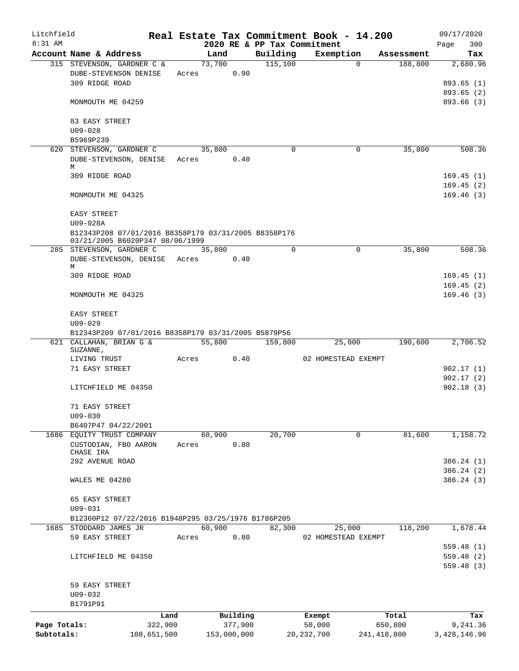| Litchfield   |                                                                                         |             |             |      |          | Real Estate Tax Commitment Book - 14.200 |                       | 09/17/2020               |
|--------------|-----------------------------------------------------------------------------------------|-------------|-------------|------|----------|------------------------------------------|-----------------------|--------------------------|
| 8:31 AM      |                                                                                         |             |             |      |          | 2020 RE & PP Tax Commitment              |                       | 300<br>Page              |
|              | Account Name & Address                                                                  |             | Land        |      | Building | Exemption                                | Assessment            | Tax                      |
|              | 315 STEVENSON, GARDNER C &<br>DUBE-STEVENSON DENISE<br>309 RIDGE ROAD                   | Acres       | 73,700      | 0.90 | 115,100  |                                          | 188,800<br>$\Omega$   | 2,680.96<br>893.65 (1)   |
|              | MONMOUTH ME 04259                                                                       |             |             |      |          |                                          |                       | 893.65 (2)<br>893.66 (3) |
|              | 83 EASY STREET<br>$U09 - 028$                                                           |             |             |      |          |                                          |                       |                          |
|              | B5969P239                                                                               |             |             |      |          |                                          |                       |                          |
|              | 620 STEVENSON, GARDNER C                                                                |             | 35,800      |      | 0        |                                          | 35,800<br>0           | 508.36                   |
|              | DUBE-STEVENSON, DENISE Acres<br>M                                                       |             |             | 0.40 |          |                                          |                       |                          |
|              | 309 RIDGE ROAD                                                                          |             |             |      |          |                                          |                       | 169.45(1)                |
|              | MONMOUTH ME 04325                                                                       |             |             |      |          |                                          |                       | 169.45(2)<br>169.46(3)   |
|              | EASY STREET<br>U09-028A                                                                 |             |             |      |          |                                          |                       |                          |
|              | B12343P208 07/01/2016 B8358P179 03/31/2005 B8358P176<br>03/21/2005 B6020P347 08/06/1999 |             |             |      |          |                                          |                       |                          |
|              | 285 STEVENSON, GARDNER C                                                                |             | 35,800      |      | $\Omega$ |                                          | 35,800<br>$\mathbf 0$ | 508.36                   |
|              | DUBE-STEVENSON, DENISE Acres<br>М                                                       |             |             | 0.40 |          |                                          |                       |                          |
|              | 309 RIDGE ROAD                                                                          |             |             |      |          |                                          |                       | 169.45(1)                |
|              | MONMOUTH ME 04325                                                                       |             |             |      |          |                                          |                       | 169.45(2)<br>169.46(3)   |
|              | EASY STREET                                                                             |             |             |      |          |                                          |                       |                          |
|              | $U09 - 029$<br>B12343P209 07/01/2016 B8358P179 03/31/2005 B5879P56                      |             |             |      |          |                                          |                       |                          |
|              | 621 CALLAHAN, BRIAN G &                                                                 |             | 55,800      |      | 159,800  | 25,000                                   | 190,600               | 2,706.52                 |
|              | SUZANNE,                                                                                |             |             |      |          |                                          |                       |                          |
|              | LIVING TRUST<br>71 EASY STREET                                                          | Acres       |             | 0.40 |          | 02 HOMESTEAD EXEMPT                      |                       | 902.17(1)                |
|              |                                                                                         |             |             |      |          |                                          |                       | 902.17(2)                |
|              | LITCHFIELD ME 04350                                                                     |             |             |      |          |                                          |                       | 902.18(3)                |
|              | 71 EASY STREET<br>$U09 - 030$                                                           |             |             |      |          |                                          |                       |                          |
|              | B6407P47 04/22/2001                                                                     |             |             |      |          |                                          |                       |                          |
|              | 1686 EQUITY TRUST COMPANY                                                               |             | 60,900      |      | 20,700   |                                          | 81,600<br>0           | 1,158.72                 |
|              | CUSTODIAN, FBO AARON<br>CHASE IRA                                                       | Acres       |             | 0.80 |          |                                          |                       |                          |
|              | 292 AVENUE ROAD                                                                         |             |             |      |          |                                          |                       | 386.24 (1)               |
|              |                                                                                         |             |             |      |          |                                          |                       | 386.24 (2)               |
|              | WALES ME 04280                                                                          |             |             |      |          |                                          |                       | 386.24 (3)               |
|              | 65 EASY STREET<br>$U09 - 031$                                                           |             |             |      |          |                                          |                       |                          |
|              | B12360P12 07/22/2016 B1948P295 03/25/1976 B1786P205                                     |             |             |      |          |                                          |                       |                          |
|              | 1685 STODDARD JAMES JR                                                                  |             | 60,900      | 0.80 | 82,300   | 25,000                                   | 118,200               | 1,678.44                 |
|              | 59 EASY STREET                                                                          | Acres       |             |      |          | 02 HOMESTEAD EXEMPT                      |                       | 559.48(1)                |
|              | LITCHFIELD ME 04350                                                                     |             |             |      |          |                                          |                       | 559.48(2)<br>559.48 (3)  |
|              | 59 EASY STREET                                                                          |             |             |      |          |                                          |                       |                          |
|              | $U09 - 032$                                                                             |             |             |      |          |                                          |                       |                          |
|              | B1791P91                                                                                |             |             |      |          |                                          |                       |                          |
|              |                                                                                         | Land        | Building    |      |          | Exempt                                   | Total                 | Tax                      |
| Page Totals: |                                                                                         | 322,900     | 377,900     |      |          | 50,000                                   | 650,800               | 9,241.36                 |
| Subtotals:   |                                                                                         | 108,651,500 | 153,000,000 |      |          | 20, 232, 700                             | 241,418,800           | 3,428,146.96             |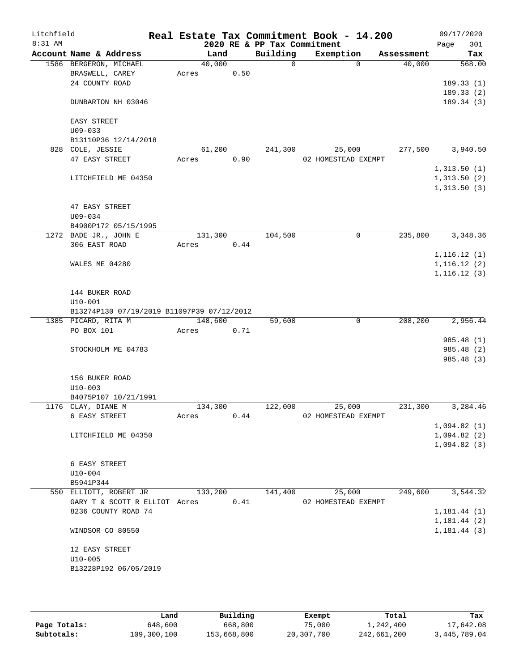| Litchfield<br>$8:31$ AM |                                             |         |      | 2020 RE & PP Tax Commitment | Real Estate Tax Commitment Book - 14.200 |          |            | 09/17/2020<br>301<br>Page |
|-------------------------|---------------------------------------------|---------|------|-----------------------------|------------------------------------------|----------|------------|---------------------------|
|                         | Account Name & Address                      | Land    |      | Building                    | Exemption                                |          | Assessment | Tax                       |
|                         | 1586 BERGERON, MICHAEL                      | 40,000  |      | $\Omega$                    |                                          | $\Omega$ | 40,000     | 568.00                    |
|                         | BRASWELL, CAREY                             | Acres   | 0.50 |                             |                                          |          |            |                           |
|                         | 24 COUNTY ROAD                              |         |      |                             |                                          |          |            | 189.33(1)                 |
|                         |                                             |         |      |                             |                                          |          |            | 189.33(2)                 |
|                         | DUNBARTON NH 03046                          |         |      |                             |                                          |          |            | 189.34(3)                 |
|                         | EASY STREET                                 |         |      |                             |                                          |          |            |                           |
|                         | $U09 - 033$                                 |         |      |                             |                                          |          |            |                           |
|                         | B13110P36 12/14/2018                        |         |      |                             |                                          |          |            |                           |
|                         | 828 COLE, JESSIE                            | 61,200  |      | 241,300                     | 25,000                                   |          | 277,500    | 3,940.50                  |
|                         | 47 EASY STREET                              | Acres   | 0.90 |                             | 02 HOMESTEAD EXEMPT                      |          |            |                           |
|                         |                                             |         |      |                             |                                          |          |            | 1,313.50(1)               |
|                         | LITCHFIELD ME 04350                         |         |      |                             |                                          |          |            | 1,313.50(2)               |
|                         |                                             |         |      |                             |                                          |          |            | 1,313.50(3)               |
|                         | 47 EASY STREET                              |         |      |                             |                                          |          |            |                           |
|                         | $U09 - 034$                                 |         |      |                             |                                          |          |            |                           |
|                         | B4900P172 05/15/1995                        |         |      |                             |                                          |          |            |                           |
|                         | 1272 BADE JR., JOHN E                       | 131,300 |      | 104,500                     |                                          | 0        | 235,800    | 3,348.36                  |
|                         | 306 EAST ROAD                               | Acres   | 0.44 |                             |                                          |          |            |                           |
|                         |                                             |         |      |                             |                                          |          |            | 1,116.12(1)               |
|                         | WALES ME 04280                              |         |      |                             |                                          |          |            | 1, 116.12(2)              |
|                         |                                             |         |      |                             |                                          |          |            | 1, 116.12(3)              |
|                         | 144 BUKER ROAD                              |         |      |                             |                                          |          |            |                           |
|                         | $U10 - 001$                                 |         |      |                             |                                          |          |            |                           |
|                         | B13274P130 07/19/2019 B11097P39 07/12/2012  |         |      |                             |                                          |          |            |                           |
|                         | 1385 PICARD, RITA M                         | 148,600 |      | 59,600                      |                                          | 0        | 208,200    | 2,956.44                  |
|                         | PO BOX 101                                  | Acres   | 0.71 |                             |                                          |          |            |                           |
|                         |                                             |         |      |                             |                                          |          |            | 985.48 (1)                |
|                         | STOCKHOLM ME 04783                          |         |      |                             |                                          |          |            | 985.48 (2)                |
|                         |                                             |         |      |                             |                                          |          |            | 985.48 (3)                |
|                         | 156 BUKER ROAD                              |         |      |                             |                                          |          |            |                           |
|                         | $U10 - 003$                                 |         |      |                             |                                          |          |            |                           |
|                         | B4075P107 10/21/1991                        |         |      |                             |                                          |          |            |                           |
|                         | 1176 CLAY, DIANE M                          | 134,300 |      | 122,000                     | 25,000                                   |          | 231,300    | 3,284.46                  |
|                         | 6 EASY STREET                               | Acres   | 0.44 |                             | 02 HOMESTEAD EXEMPT                      |          |            |                           |
|                         |                                             |         |      |                             |                                          |          |            | 1,094.82(1)               |
|                         | LITCHFIELD ME 04350                         |         |      |                             |                                          |          |            | 1,094.82(2)               |
|                         |                                             |         |      |                             |                                          |          |            | 1,094.82(3)               |
|                         |                                             |         |      |                             |                                          |          |            |                           |
|                         | 6 EASY STREET                               |         |      |                             |                                          |          |            |                           |
|                         | $U10-004$                                   |         |      |                             |                                          |          |            |                           |
|                         | B5941P344<br>550 ELLIOTT, ROBERT JR 133,200 |         |      | 141,400                     | 25,000                                   |          | 249,600    | 3,544.32                  |
|                         | GARY T & SCOTT R ELLIOT Acres 0.41          |         |      |                             | 02 HOMESTEAD EXEMPT                      |          |            |                           |
|                         | 8236 COUNTY ROAD 74                         |         |      |                             |                                          |          |            | 1,181.44(1)               |
|                         |                                             |         |      |                             |                                          |          |            | 1,181.44(2)               |
|                         | WINDSOR CO 80550                            |         |      |                             |                                          |          |            | 1, 181.44(3)              |
|                         |                                             |         |      |                             |                                          |          |            |                           |
|                         | 12 EASY STREET                              |         |      |                             |                                          |          |            |                           |
|                         | $U10 - 005$                                 |         |      |                             |                                          |          |            |                           |
|                         | B13228P192 06/05/2019                       |         |      |                             |                                          |          |            |                           |
|                         |                                             |         |      |                             |                                          |          |            |                           |
|                         |                                             |         |      |                             |                                          |          |            |                           |

|              | Land        | Building    | Exempt     | Total       | Tax          |
|--------------|-------------|-------------|------------|-------------|--------------|
| Page Totals: | 648,600     | 668,800     | 75,000     | 1,242,400   | 17,642.08    |
| Subtotals:   | 109,300,100 | 153,668,800 | 20,307,700 | 242,661,200 | 3,445,789.04 |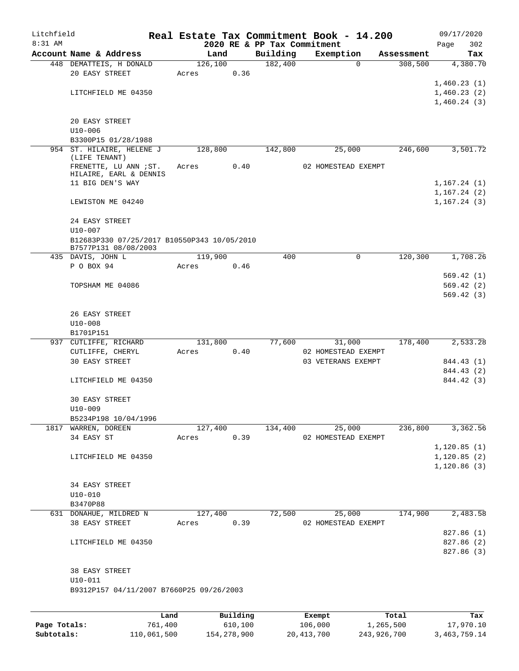| Litchfield |                                                  |      |       |          |                             | Real Estate Tax Commitment Book - 14.200 |            | 09/17/2020                 |
|------------|--------------------------------------------------|------|-------|----------|-----------------------------|------------------------------------------|------------|----------------------------|
| $8:31$ AM  |                                                  |      |       |          | 2020 RE & PP Tax Commitment |                                          |            | 302<br>Page                |
|            | Account Name & Address                           |      |       | Land     | Building                    | Exemption                                | Assessment | Tax                        |
|            | 448 DEMATTEIS, H DONALD                          |      |       | 126,100  | 182,400                     | $\Omega$                                 | 308,500    | 4,380.70                   |
|            | 20 EASY STREET                                   |      | Acres | 0.36     |                             |                                          |            |                            |
|            |                                                  |      |       |          |                             |                                          |            | 1,460.23(1)<br>1,460.23(2) |
|            | LITCHFIELD ME 04350                              |      |       |          |                             |                                          |            | 1,460.24(3)                |
|            |                                                  |      |       |          |                             |                                          |            |                            |
|            | 20 EASY STREET                                   |      |       |          |                             |                                          |            |                            |
|            | $U10 - 006$                                      |      |       |          |                             |                                          |            |                            |
|            | B3300P15 01/28/1988                              |      |       |          |                             |                                          |            |                            |
|            | 954 ST. HILAIRE, HELENE J                        |      |       | 128,800  | 142,800                     | 25,000                                   | 246,600    | 3,501.72                   |
|            | (LIFE TENANT)                                    |      |       |          |                             |                                          |            |                            |
|            | FRENETTE, LU ANN ; ST.<br>HILAIRE, EARL & DENNIS |      | Acres | 0.40     |                             | 02 HOMESTEAD EXEMPT                      |            |                            |
|            | 11 BIG DEN'S WAY                                 |      |       |          |                             |                                          |            | 1,167.24(1)                |
|            |                                                  |      |       |          |                             |                                          |            | 1, 167.24(2)               |
|            | LEWISTON ME 04240                                |      |       |          |                             |                                          |            | 1, 167.24(3)               |
|            | 24 EASY STREET                                   |      |       |          |                             |                                          |            |                            |
|            | U10-007                                          |      |       |          |                             |                                          |            |                            |
|            | B12683P330 07/25/2017 B10550P343 10/05/2010      |      |       |          |                             |                                          |            |                            |
|            | B7577P131 08/08/2003                             |      |       |          |                             |                                          |            |                            |
|            | 435 DAVIS, JOHN L                                |      |       | 119,900  | 400                         | 0                                        | 120,300    | 1,708.26                   |
|            | P O BOX 94                                       |      | Acres | 0.46     |                             |                                          |            |                            |
|            |                                                  |      |       |          |                             |                                          |            | 569.42(1)<br>569.42(2)     |
|            | TOPSHAM ME 04086                                 |      |       |          |                             |                                          |            | 569.42(3)                  |
|            |                                                  |      |       |          |                             |                                          |            |                            |
|            | 26 EASY STREET                                   |      |       |          |                             |                                          |            |                            |
|            | $U10 - 008$                                      |      |       |          |                             |                                          |            |                            |
|            | B1701P151                                        |      |       |          |                             |                                          |            |                            |
|            | 937 CUTLIFFE, RICHARD                            |      |       | 131,800  | 77,600                      | 31,000                                   | 178,400    | 2,533.28                   |
|            | CUTLIFFE, CHERYL                                 |      | Acres | 0.40     |                             | 02 HOMESTEAD EXEMPT                      |            |                            |
|            | <b>30 EASY STREET</b>                            |      |       |          |                             | 03 VETERANS EXEMPT                       |            | 844.43 (1)                 |
|            |                                                  |      |       |          |                             |                                          |            | 844.43 (2)                 |
|            | LITCHFIELD ME 04350                              |      |       |          |                             |                                          |            | 844.42 (3)                 |
|            |                                                  |      |       |          |                             |                                          |            |                            |
|            | <b>30 EASY STREET</b>                            |      |       |          |                             |                                          |            |                            |
|            | $U10 - 009$                                      |      |       |          |                             |                                          |            |                            |
|            | B5234P198 10/04/1996                             |      |       |          |                             |                                          |            |                            |
|            | 1817 WARREN, DOREEN                              |      |       | 127,400  | 134,400                     | 25,000                                   | 236,800    | 3,362.56                   |
|            | 34 EASY ST                                       |      | Acres | 0.39     |                             | 02 HOMESTEAD EXEMPT                      |            | 1, 120.85(1)               |
|            | LITCHFIELD ME 04350                              |      |       |          |                             |                                          |            | 1, 120.85(2)               |
|            |                                                  |      |       |          |                             |                                          |            | 1,120.86(3)                |
|            |                                                  |      |       |          |                             |                                          |            |                            |
|            | 34 EASY STREET                                   |      |       |          |                             |                                          |            |                            |
|            | $U10 - 010$                                      |      |       |          |                             |                                          |            |                            |
|            | B3470P88                                         |      |       |          |                             |                                          |            |                            |
|            | 631 DONAHUE, MILDRED N                           |      |       | 127,400  | 72,500                      | 25,000                                   | 174,900    | 2,483.58                   |
|            | 38 EASY STREET                                   |      | Acres | 0.39     |                             | 02 HOMESTEAD EXEMPT                      |            |                            |
|            |                                                  |      |       |          |                             |                                          |            | 827.86 (1)                 |
|            | LITCHFIELD ME 04350                              |      |       |          |                             |                                          |            | 827.86 (2)                 |
|            |                                                  |      |       |          |                             |                                          |            | 827.86 (3)                 |
|            |                                                  |      |       |          |                             |                                          |            |                            |
|            | 38 EASY STREET                                   |      |       |          |                             |                                          |            |                            |
|            | $U10 - 011$                                      |      |       |          |                             |                                          |            |                            |
|            | B9312P157 04/11/2007 B7660P25 09/26/2003         |      |       |          |                             |                                          |            |                            |
|            |                                                  |      |       |          |                             |                                          |            |                            |
|            |                                                  | Land |       | Building |                             | Exempt                                   | Total      | Tax                        |

|              | Land        | Building    | Exempt     | Total       | тах          |
|--------------|-------------|-------------|------------|-------------|--------------|
| Page Totals: | 761,400     | 610,100     | 106,000    | 1,265,500   | 17,970.10    |
| Subtotals:   | 110,061,500 | 154,278,900 | 20,413,700 | 243,926,700 | 3,463,759.14 |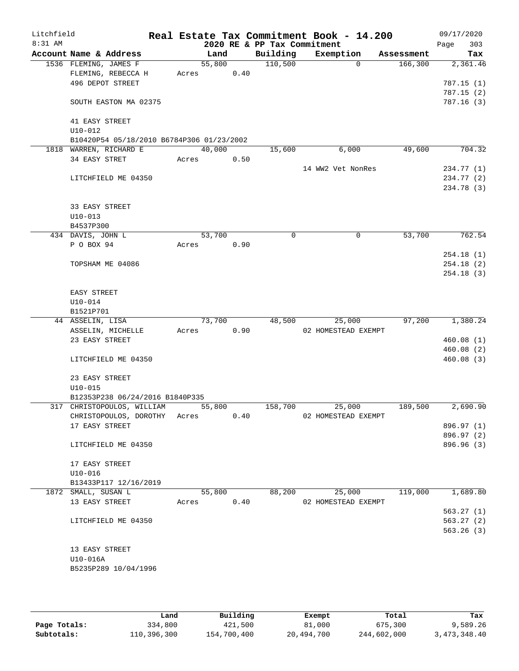| Litchfield<br>8:31 AM |                               |                                           |       |        |      | 2020 RE & PP Tax Commitment | Real Estate Tax Commitment Book - 14.200 |            | 09/17/2020<br>303<br>Page |
|-----------------------|-------------------------------|-------------------------------------------|-------|--------|------|-----------------------------|------------------------------------------|------------|---------------------------|
|                       |                               | Account Name & Address                    |       | Land   |      | Building                    | Exemption                                | Assessment | Tax                       |
|                       |                               | 1536 FLEMING, JAMES F                     |       | 55,800 |      | 110,500                     | $\Omega$                                 | 166,300    | 2,361.46                  |
|                       |                               | FLEMING, REBECCA H                        | Acres |        | 0.40 |                             |                                          |            |                           |
|                       |                               | 496 DEPOT STREET                          |       |        |      |                             |                                          |            | 787.15(1)                 |
|                       |                               |                                           |       |        |      |                             |                                          |            | 787.15(2)                 |
|                       |                               | SOUTH EASTON MA 02375                     |       |        |      |                             |                                          |            | 787.16(3)                 |
|                       |                               |                                           |       |        |      |                             |                                          |            |                           |
|                       | 41 EASY STREET<br>$U10 - 012$ |                                           |       |        |      |                             |                                          |            |                           |
|                       |                               | B10420P54 05/18/2010 B6784P306 01/23/2002 |       |        |      |                             |                                          |            |                           |
|                       |                               | 1818 WARREN, RICHARD E                    |       | 40,000 |      | 15,600                      | 6,000                                    | 49,600     | 704.32                    |
|                       | 34 EASY STRET                 |                                           | Acres |        | 0.50 |                             |                                          |            |                           |
|                       |                               |                                           |       |        |      |                             | 14 WW2 Vet NonRes                        |            | 234.77 (1)                |
|                       |                               | LITCHFIELD ME 04350                       |       |        |      |                             |                                          |            | 234.77 (2)                |
|                       |                               |                                           |       |        |      |                             |                                          |            | 234.78 (3)                |
|                       |                               |                                           |       |        |      |                             |                                          |            |                           |
|                       | 33 EASY STREET                |                                           |       |        |      |                             |                                          |            |                           |
|                       | $U10 - 013$                   |                                           |       |        |      |                             |                                          |            |                           |
|                       | B4537P300                     |                                           |       |        |      |                             |                                          |            |                           |
|                       | 434 DAVIS, JOHN L             |                                           |       | 53,700 |      | 0                           | 0                                        | 53,700     | 762.54                    |
|                       | P O BOX 94                    |                                           | Acres |        | 0.90 |                             |                                          |            |                           |
|                       |                               | TOPSHAM ME 04086                          |       |        |      |                             |                                          |            | 254.18(1)<br>254.18(2)    |
|                       |                               |                                           |       |        |      |                             |                                          |            | 254.18(3)                 |
|                       |                               |                                           |       |        |      |                             |                                          |            |                           |
|                       | EASY STREET                   |                                           |       |        |      |                             |                                          |            |                           |
|                       | $U10 - 014$                   |                                           |       |        |      |                             |                                          |            |                           |
|                       | B1521P701                     |                                           |       |        |      |                             |                                          |            |                           |
|                       | 44 ASSELIN, LISA              |                                           |       | 73,700 |      | 48,500                      | 25,000                                   | 97,200     | 1,380.24                  |
|                       |                               | ASSELIN, MICHELLE                         | Acres |        | 0.90 |                             | 02 HOMESTEAD EXEMPT                      |            |                           |
|                       | 23 EASY STREET                |                                           |       |        |      |                             |                                          |            | 460.08(1)                 |
|                       |                               |                                           |       |        |      |                             |                                          |            | 460.08 (2)                |
|                       |                               | LITCHFIELD ME 04350                       |       |        |      |                             |                                          |            | 460.08 (3)                |
|                       |                               |                                           |       |        |      |                             |                                          |            |                           |
|                       | 23 EASY STREET                |                                           |       |        |      |                             |                                          |            |                           |
|                       | $U10 - 015$                   | B12353P238 06/24/2016 B1840P335           |       |        |      |                             |                                          |            |                           |
|                       |                               | 317 CHRISTOPOULOS, WILLIAM                |       | 55,800 |      | 158,700                     | 25,000                                   | 189,500    | 2,690.90                  |
|                       |                               | CHRISTOPOULOS, DOROTHY Acres              |       |        | 0.40 |                             | 02 HOMESTEAD EXEMPT                      |            |                           |
|                       | 17 EASY STREET                |                                           |       |        |      |                             |                                          |            | 896.97 (1)                |
|                       |                               |                                           |       |        |      |                             |                                          |            | 896.97 (2)                |
|                       |                               | LITCHFIELD ME 04350                       |       |        |      |                             |                                          |            | 896.96(3)                 |
|                       |                               |                                           |       |        |      |                             |                                          |            |                           |
|                       | 17 EASY STREET                |                                           |       |        |      |                             |                                          |            |                           |
|                       | $U10 - 016$                   |                                           |       |        |      |                             |                                          |            |                           |
|                       |                               | B13433P117 12/16/2019                     |       |        |      |                             |                                          |            |                           |
|                       | 1872 SMALL, SUSAN L           |                                           |       | 55,800 |      | 88,200                      | 25,000                                   | 119,000    | 1,689.80                  |
|                       | 13 EASY STREET                |                                           | Acres |        | 0.40 |                             | 02 HOMESTEAD EXEMPT                      |            |                           |
|                       |                               |                                           |       |        |      |                             |                                          |            | 563.27(1)                 |
|                       |                               | LITCHFIELD ME 04350                       |       |        |      |                             |                                          |            | 563.27(2)                 |
|                       |                               |                                           |       |        |      |                             |                                          |            | 563.26(3)                 |
|                       | 13 EASY STREET                |                                           |       |        |      |                             |                                          |            |                           |
|                       | U10-016A                      |                                           |       |        |      |                             |                                          |            |                           |
|                       |                               | B5235P289 10/04/1996                      |       |        |      |                             |                                          |            |                           |
|                       |                               |                                           |       |        |      |                             |                                          |            |                           |
|                       |                               |                                           |       |        |      |                             |                                          |            |                           |

|              | Land        | Building    | Exempt     | Total       | Tax          |
|--------------|-------------|-------------|------------|-------------|--------------|
| Page Totals: | 334,800     | 421,500     | 81,000     | 675,300     | 9,589.26     |
| Subtotals:   | 110,396,300 | 154,700,400 | 20,494,700 | 244,602,000 | 3,473,348.40 |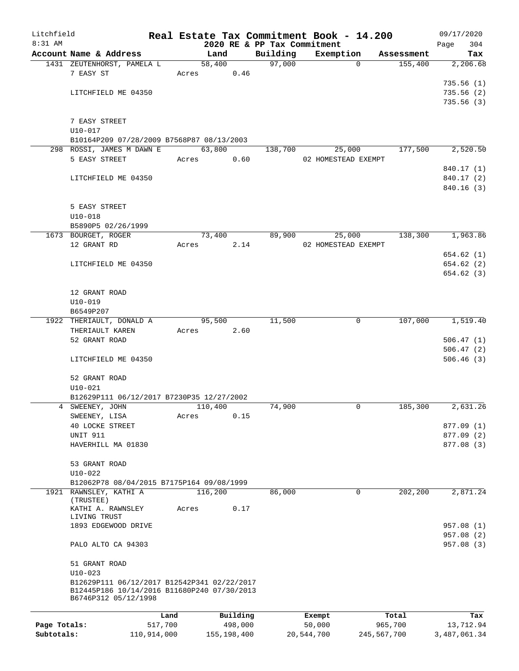| Litchfield   |                                                                                            |         |       |            |                             | Real Estate Tax Commitment Book - 14.200 |             |            | 09/17/2020             |
|--------------|--------------------------------------------------------------------------------------------|---------|-------|------------|-----------------------------|------------------------------------------|-------------|------------|------------------------|
| $8:31$ AM    |                                                                                            |         |       |            | 2020 RE & PP Tax Commitment |                                          |             |            | Page<br>304            |
|              | Account Name & Address                                                                     |         |       | Land       | Building                    | Exemption                                |             | Assessment | Tax                    |
|              | 1431 ZEUTENHORST, PAMELA L                                                                 |         |       | 58,400     | 97,000                      |                                          | $\Omega$    | 155,400    | 2,206.68               |
|              | 7 EASY ST                                                                                  |         |       | Acres 0.46 |                             |                                          |             |            |                        |
|              | LITCHFIELD ME 04350                                                                        |         |       |            |                             |                                          |             |            | 735.56(1)<br>735.56(2) |
|              |                                                                                            |         |       |            |                             |                                          |             |            | 735.56(3)              |
|              |                                                                                            |         |       |            |                             |                                          |             |            |                        |
|              | 7 EASY STREET                                                                              |         |       |            |                             |                                          |             |            |                        |
|              | $U10 - 017$                                                                                |         |       |            |                             |                                          |             |            |                        |
|              | B10164P209 07/28/2009 B7568P87 08/13/2003                                                  |         |       |            |                             |                                          |             |            |                        |
|              | 298 ROSSI, JAMES M DAWN E                                                                  |         |       | 63,800     | 138,700                     | 25,000                                   |             | 177,500    | 2,520.50               |
|              | 5 EASY STREET                                                                              |         | Acres | 0.60       |                             | 02 HOMESTEAD EXEMPT                      |             |            |                        |
|              |                                                                                            |         |       |            |                             |                                          |             |            | 840.17 (1)             |
|              | LITCHFIELD ME 04350                                                                        |         |       |            |                             |                                          |             |            | 840.17 (2)             |
|              |                                                                                            |         |       |            |                             |                                          |             |            | 840.16(3)              |
|              |                                                                                            |         |       |            |                             |                                          |             |            |                        |
|              | 5 EASY STREET                                                                              |         |       |            |                             |                                          |             |            |                        |
|              | $U10 - 018$                                                                                |         |       |            |                             |                                          |             |            |                        |
|              | B5890P5 02/26/1999                                                                         |         |       |            |                             |                                          |             |            |                        |
|              | 1673 BOURGET, ROGER                                                                        |         |       | 73,400     | 89,900                      | 25,000                                   |             | 138,300    | 1,963.86               |
|              | 12 GRANT RD                                                                                |         | Acres | 2.14       |                             | 02 HOMESTEAD EXEMPT                      |             |            |                        |
|              |                                                                                            |         |       |            |                             |                                          |             |            | 654.62(1)              |
|              | LITCHFIELD ME 04350                                                                        |         |       |            |                             |                                          |             |            | 654.62(2)              |
|              |                                                                                            |         |       |            |                             |                                          |             |            | 654.62(3)              |
|              |                                                                                            |         |       |            |                             |                                          |             |            |                        |
|              | 12 GRANT ROAD                                                                              |         |       |            |                             |                                          |             |            |                        |
|              | $U10 - 019$                                                                                |         |       |            |                             |                                          |             |            |                        |
|              | B6549P207                                                                                  |         |       |            |                             |                                          |             |            |                        |
|              | 1922 THERIAULT, DONALD A                                                                   |         |       | 95,500     | 11,500                      |                                          | $\mathbf 0$ | 107,000    | 1,519.40               |
|              | THERIAULT KAREN                                                                            |         | Acres | 2.60       |                             |                                          |             |            |                        |
|              | 52 GRANT ROAD                                                                              |         |       |            |                             |                                          |             |            | 506.47(1)              |
|              |                                                                                            |         |       |            |                             |                                          |             |            | 506.47(2)              |
|              | LITCHFIELD ME 04350                                                                        |         |       |            |                             |                                          |             |            | 506.46(3)              |
|              |                                                                                            |         |       |            |                             |                                          |             |            |                        |
|              | 52 GRANT ROAD                                                                              |         |       |            |                             |                                          |             |            |                        |
|              | $U10-021$                                                                                  |         |       |            |                             |                                          |             |            |                        |
|              | B12629P111 06/12/2017 B7230P35 12/27/2002                                                  |         |       |            |                             |                                          |             |            |                        |
|              | 4 SWEENEY, JOHN                                                                            |         |       | 110,400    | 74,900                      |                                          | $\mathbf 0$ | 185,300    | 2,631.26               |
|              | SWEENEY, LISA                                                                              |         | Acres | 0.15       |                             |                                          |             |            |                        |
|              | 40 LOCKE STREET                                                                            |         |       |            |                             |                                          |             |            | 877.09(1)              |
|              | <b>UNIT 911</b>                                                                            |         |       |            |                             |                                          |             |            | 877.09 (2)             |
|              | HAVERHILL MA 01830                                                                         |         |       |            |                             |                                          |             |            | 877.08 (3)             |
|              | 53 GRANT ROAD                                                                              |         |       |            |                             |                                          |             |            |                        |
|              | $U10-022$                                                                                  |         |       |            |                             |                                          |             |            |                        |
|              | B12062P78 08/04/2015 B7175P164 09/08/1999                                                  |         |       |            |                             |                                          |             |            |                        |
|              | 1921 RAWNSLEY, KATHI A                                                                     |         |       | 116,200    | 86,000                      |                                          | 0           | 202,200    | 2,871.24               |
|              | (TRUSTEE)                                                                                  |         |       |            |                             |                                          |             |            |                        |
|              | KATHI A. RAWNSLEY                                                                          |         | Acres | 0.17       |                             |                                          |             |            |                        |
|              | LIVING TRUST                                                                               |         |       |            |                             |                                          |             |            |                        |
|              | 1893 EDGEWOOD DRIVE                                                                        |         |       |            |                             |                                          |             |            | 957.08 (1)             |
|              |                                                                                            |         |       |            |                             |                                          |             |            | 957.08 (2)             |
|              | PALO ALTO CA 94303                                                                         |         |       |            |                             |                                          |             |            | 957.08 (3)             |
|              |                                                                                            |         |       |            |                             |                                          |             |            |                        |
|              | 51 GRANT ROAD                                                                              |         |       |            |                             |                                          |             |            |                        |
|              | $U10 - 023$                                                                                |         |       |            |                             |                                          |             |            |                        |
|              | B12629P111 06/12/2017 B12542P341 02/22/2017<br>B12445P186 10/14/2016 B11680P240 07/30/2013 |         |       |            |                             |                                          |             |            |                        |
|              | B6746P312 05/12/1998                                                                       |         |       |            |                             |                                          |             |            |                        |
|              |                                                                                            |         |       |            |                             |                                          |             |            |                        |
|              |                                                                                            | Land    |       | Building   |                             | Exempt                                   |             | Total      | Tax                    |
| Page Totals: |                                                                                            | 517,700 |       | 498,000    |                             | 50,000                                   |             | 965,700    | 13,712.94              |

**Subtotals:** 110,914,000 155,198,400 20,544,700 245,567,700 3,487,061.34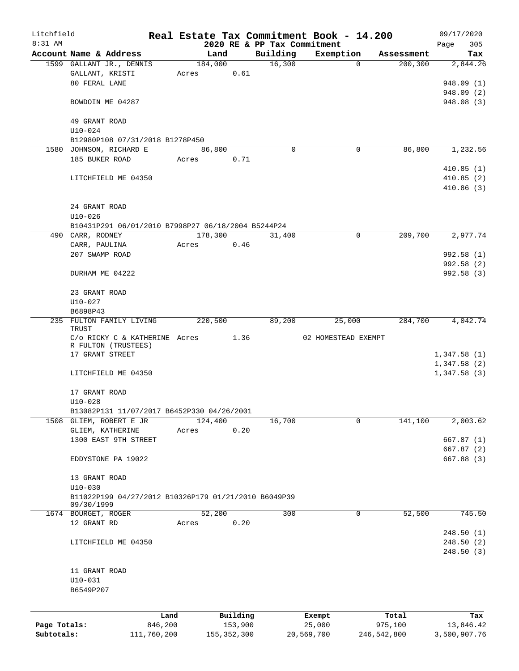| Litchfield   |                                                             |             |         |               |          | Real Estate Tax Commitment Book - 14.200 |             |             | 09/17/2020   |
|--------------|-------------------------------------------------------------|-------------|---------|---------------|----------|------------------------------------------|-------------|-------------|--------------|
| $8:31$ AM    |                                                             |             |         |               |          | 2020 RE & PP Tax Commitment              |             |             | 305<br>Page  |
|              | Account Name & Address                                      |             | Land    |               | Building | Exemption                                |             | Assessment  | Tax          |
|              | 1599 GALLANT JR., DENNIS                                    |             | 184,000 |               | 16,300   |                                          | $\Omega$    | 200, 300    | 2,844.26     |
|              | GALLANT, KRISTI                                             |             | Acres   | 0.61          |          |                                          |             |             |              |
|              | 80 FERAL LANE                                               |             |         |               |          |                                          |             |             | 948.09 (1)   |
|              |                                                             |             |         |               |          |                                          |             |             | 948.09 (2)   |
|              | BOWDOIN ME 04287                                            |             |         |               |          |                                          |             |             | 948.08 (3)   |
|              | 49 GRANT ROAD                                               |             |         |               |          |                                          |             |             |              |
|              | $U10 - 024$                                                 |             |         |               |          |                                          |             |             |              |
|              | B12980P108 07/31/2018 B1278P450                             |             |         |               |          |                                          |             |             |              |
|              | 1580 JOHNSON, RICHARD E                                     |             | 86,800  |               | $\Omega$ |                                          | 0           | 86,800      | 1,232.56     |
|              | 185 BUKER ROAD                                              |             | Acres   | 0.71          |          |                                          |             |             |              |
|              |                                                             |             |         |               |          |                                          |             |             | 410.85(1)    |
|              | LITCHFIELD ME 04350                                         |             |         |               |          |                                          |             |             | 410.85(2)    |
|              |                                                             |             |         |               |          |                                          |             |             | 410.86(3)    |
|              |                                                             |             |         |               |          |                                          |             |             |              |
|              | 24 GRANT ROAD                                               |             |         |               |          |                                          |             |             |              |
|              | $U10 - 026$                                                 |             |         |               |          |                                          |             |             |              |
|              | B10431P291 06/01/2010 B7998P27 06/18/2004 B5244P24          |             |         |               |          |                                          |             |             |              |
|              | 490 CARR, RODNEY                                            |             | 178,300 |               | 31,400   |                                          | $\mathbf 0$ | 209,700     | 2,977.74     |
|              | CARR, PAULINA                                               |             | Acres   | 0.46          |          |                                          |             |             |              |
|              | 207 SWAMP ROAD                                              |             |         |               |          |                                          |             |             | 992.58 (1)   |
|              |                                                             |             |         |               |          |                                          |             |             | 992.58(2)    |
|              | DURHAM ME 04222                                             |             |         |               |          |                                          |             |             | 992.58 (3)   |
|              |                                                             |             |         |               |          |                                          |             |             |              |
|              | 23 GRANT ROAD                                               |             |         |               |          |                                          |             |             |              |
|              | $U10 - 027$                                                 |             |         |               |          |                                          |             |             |              |
|              | B6898P43                                                    |             |         |               |          |                                          |             |             |              |
|              | 235 FULTON FAMILY LIVING                                    |             | 220,500 |               | 89,200   | 25,000                                   |             | 284,700     | 4,042.74     |
|              | TRUST                                                       |             |         |               |          |                                          |             |             |              |
|              | $C/O$ RICKY C & KATHERINE Acres 1.36<br>R FULTON (TRUSTEES) |             |         |               |          | 02 HOMESTEAD EXEMPT                      |             |             |              |
|              | 17 GRANT STREET                                             |             |         |               |          |                                          |             |             | 1,347.58(1)  |
|              |                                                             |             |         |               |          |                                          |             |             | 1,347.58(2)  |
|              | LITCHFIELD ME 04350                                         |             |         |               |          |                                          |             |             | 1,347.58(3)  |
|              |                                                             |             |         |               |          |                                          |             |             |              |
|              | 17 GRANT ROAD                                               |             |         |               |          |                                          |             |             |              |
|              | $U10 - 028$                                                 |             |         |               |          |                                          |             |             |              |
|              | B13082P131 11/07/2017 B6452P330 04/26/2001                  |             |         |               |          |                                          |             |             |              |
| 1508         | GLIEM, ROBERT E JR                                          |             | 124,400 |               | 16,700   |                                          | 0           | 141,100     | 2,003.62     |
|              | GLIEM, KATHERINE                                            |             | Acres   | 0.20          |          |                                          |             |             |              |
|              | 1300 EAST 9TH STREET                                        |             |         |               |          |                                          |             |             | 667.87(1)    |
|              |                                                             |             |         |               |          |                                          |             |             | 667.87(2)    |
|              | EDDYSTONE PA 19022                                          |             |         |               |          |                                          |             |             | 667.88(3)    |
|              |                                                             |             |         |               |          |                                          |             |             |              |
|              | 13 GRANT ROAD                                               |             |         |               |          |                                          |             |             |              |
|              | $U10 - 030$                                                 |             |         |               |          |                                          |             |             |              |
|              | B11022P199 04/27/2012 B10326P179 01/21/2010 B6049P39        |             |         |               |          |                                          |             |             |              |
|              | 09/30/1999                                                  |             |         |               |          |                                          |             |             |              |
|              | 1674 BOURGET, ROGER                                         |             | 52,200  |               | 300      |                                          | 0           | 52,500      | 745.50       |
|              | 12 GRANT RD                                                 |             | Acres   | 0.20          |          |                                          |             |             |              |
|              |                                                             |             |         |               |          |                                          |             |             | 248.50(1)    |
|              | LITCHFIELD ME 04350                                         |             |         |               |          |                                          |             |             | 248.50(2)    |
|              |                                                             |             |         |               |          |                                          |             |             | 248.50(3)    |
|              |                                                             |             |         |               |          |                                          |             |             |              |
|              | 11 GRANT ROAD                                               |             |         |               |          |                                          |             |             |              |
|              | $U10-031$                                                   |             |         |               |          |                                          |             |             |              |
|              | B6549P207                                                   |             |         |               |          |                                          |             |             |              |
|              |                                                             |             |         |               |          |                                          |             |             |              |
|              |                                                             | Land        |         | Building      |          | Exempt                                   |             | Total       | Tax          |
| Page Totals: |                                                             | 846,200     |         | 153,900       |          | 25,000                                   |             | 975,100     | 13,846.42    |
| Subtotals:   |                                                             | 111,760,200 |         | 155, 352, 300 |          | 20,569,700                               |             | 246,542,800 | 3,500,907.76 |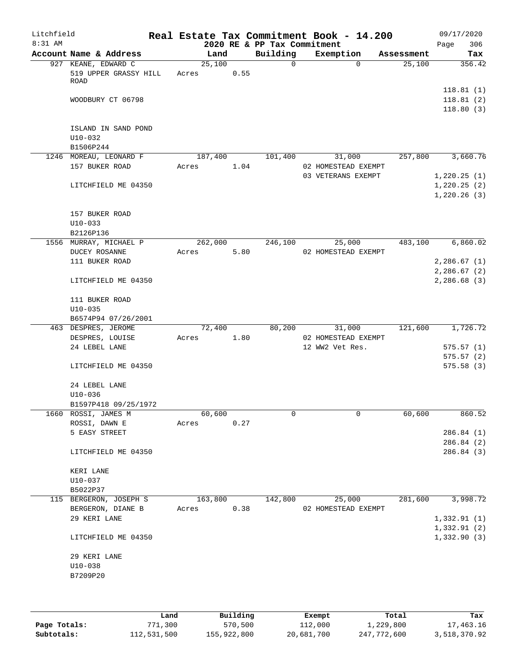| 2020 RE & PP Tax Commitment<br>Page<br>Account Name & Address<br>Building<br>Exemption<br>Land<br>Assessment<br>927 KEANE, EDWARD C<br>25,100<br>$\mathsf{O}$<br>$\Omega$<br>25,100<br>519 UPPER GRASSY HILL<br>0.55<br>Acres<br>ROAD<br>118.81(1)<br>118.81(2)<br>WOODBURY CT 06798<br>118.80(3)<br>ISLAND IN SAND POND<br>$U10-032$<br>B1506P244<br>257,800<br>3,660.76<br>1246 MOREAU, LEONARD F<br>187,400<br>101,400<br>31,000<br>157 BUKER ROAD<br>1.04<br>02 HOMESTEAD EXEMPT<br>Acres<br>03 VETERANS EXEMPT<br>1,220.25(1)<br>1,220.25(2)<br>LITCHFIELD ME 04350<br>1,220.26(3)<br>157 BUKER ROAD<br>$U10 - 033$<br>B2126P136<br>262,000<br>246,100<br>483,100<br>6,860.02<br>1556 MURRAY, MICHAEL P<br>25,000<br>5.80<br>02 HOMESTEAD EXEMPT<br>DUCEY ROSANNE<br>Acres<br>111 BUKER ROAD<br>2,286.67(1)<br>2,286.67(2) | 09/17/2020<br>306 |
|---------------------------------------------------------------------------------------------------------------------------------------------------------------------------------------------------------------------------------------------------------------------------------------------------------------------------------------------------------------------------------------------------------------------------------------------------------------------------------------------------------------------------------------------------------------------------------------------------------------------------------------------------------------------------------------------------------------------------------------------------------------------------------------------------------------------------------|-------------------|
|                                                                                                                                                                                                                                                                                                                                                                                                                                                                                                                                                                                                                                                                                                                                                                                                                                 | Tax               |
|                                                                                                                                                                                                                                                                                                                                                                                                                                                                                                                                                                                                                                                                                                                                                                                                                                 | 356.42            |
|                                                                                                                                                                                                                                                                                                                                                                                                                                                                                                                                                                                                                                                                                                                                                                                                                                 |                   |
|                                                                                                                                                                                                                                                                                                                                                                                                                                                                                                                                                                                                                                                                                                                                                                                                                                 |                   |
|                                                                                                                                                                                                                                                                                                                                                                                                                                                                                                                                                                                                                                                                                                                                                                                                                                 |                   |
|                                                                                                                                                                                                                                                                                                                                                                                                                                                                                                                                                                                                                                                                                                                                                                                                                                 |                   |
|                                                                                                                                                                                                                                                                                                                                                                                                                                                                                                                                                                                                                                                                                                                                                                                                                                 |                   |
|                                                                                                                                                                                                                                                                                                                                                                                                                                                                                                                                                                                                                                                                                                                                                                                                                                 |                   |
|                                                                                                                                                                                                                                                                                                                                                                                                                                                                                                                                                                                                                                                                                                                                                                                                                                 |                   |
|                                                                                                                                                                                                                                                                                                                                                                                                                                                                                                                                                                                                                                                                                                                                                                                                                                 |                   |
|                                                                                                                                                                                                                                                                                                                                                                                                                                                                                                                                                                                                                                                                                                                                                                                                                                 |                   |
|                                                                                                                                                                                                                                                                                                                                                                                                                                                                                                                                                                                                                                                                                                                                                                                                                                 |                   |
|                                                                                                                                                                                                                                                                                                                                                                                                                                                                                                                                                                                                                                                                                                                                                                                                                                 |                   |
| 2,286.68(3)<br>LITCHFIELD ME 04350                                                                                                                                                                                                                                                                                                                                                                                                                                                                                                                                                                                                                                                                                                                                                                                              |                   |
| 111 BUKER ROAD<br>$U10 - 035$                                                                                                                                                                                                                                                                                                                                                                                                                                                                                                                                                                                                                                                                                                                                                                                                   |                   |
| B6574P94 07/26/2001                                                                                                                                                                                                                                                                                                                                                                                                                                                                                                                                                                                                                                                                                                                                                                                                             |                   |
| 121,600<br>1,726.72<br>463 DESPRES, JEROME<br>72,400<br>80,200<br>31,000<br>1.80<br>DESPRES, LOUISE<br>Acres<br>02 HOMESTEAD EXEMPT                                                                                                                                                                                                                                                                                                                                                                                                                                                                                                                                                                                                                                                                                             |                   |
| 24 LEBEL LANE<br>12 WW2 Vet Res.<br>575.57(1)                                                                                                                                                                                                                                                                                                                                                                                                                                                                                                                                                                                                                                                                                                                                                                                   |                   |
| 575.57(2)                                                                                                                                                                                                                                                                                                                                                                                                                                                                                                                                                                                                                                                                                                                                                                                                                       |                   |
| LITCHFIELD ME 04350<br>575.58(3)                                                                                                                                                                                                                                                                                                                                                                                                                                                                                                                                                                                                                                                                                                                                                                                                |                   |
| 24 LEBEL LANE<br>$U10 - 036$                                                                                                                                                                                                                                                                                                                                                                                                                                                                                                                                                                                                                                                                                                                                                                                                    |                   |
| B1597P418 09/25/1972                                                                                                                                                                                                                                                                                                                                                                                                                                                                                                                                                                                                                                                                                                                                                                                                            |                   |
| 1660 ROSSI, JAMES M<br>60,600<br>60,600<br>0<br>0                                                                                                                                                                                                                                                                                                                                                                                                                                                                                                                                                                                                                                                                                                                                                                               | 860.52            |
| ROSSI, DAWN E<br>0.27<br>Acres                                                                                                                                                                                                                                                                                                                                                                                                                                                                                                                                                                                                                                                                                                                                                                                                  |                   |
| 5 EASY STREET<br>286.84(1)<br>286.84(2)                                                                                                                                                                                                                                                                                                                                                                                                                                                                                                                                                                                                                                                                                                                                                                                         |                   |
| 286.84 (3)<br>LITCHFIELD ME 04350                                                                                                                                                                                                                                                                                                                                                                                                                                                                                                                                                                                                                                                                                                                                                                                               |                   |
| KERI LANE                                                                                                                                                                                                                                                                                                                                                                                                                                                                                                                                                                                                                                                                                                                                                                                                                       |                   |
| $U10 - 037$                                                                                                                                                                                                                                                                                                                                                                                                                                                                                                                                                                                                                                                                                                                                                                                                                     |                   |
| B5022P37                                                                                                                                                                                                                                                                                                                                                                                                                                                                                                                                                                                                                                                                                                                                                                                                                        |                   |
| 281,600<br>3,998.72<br>115 BERGERON, JOSEPH S<br>163,800<br>142,800<br>25,000                                                                                                                                                                                                                                                                                                                                                                                                                                                                                                                                                                                                                                                                                                                                                   |                   |
| 0.38<br>BERGERON, DIANE B<br>02 HOMESTEAD EXEMPT<br>Acres<br>29 KERI LANE<br>1,332.91(1)                                                                                                                                                                                                                                                                                                                                                                                                                                                                                                                                                                                                                                                                                                                                        |                   |
| 1,332.91(2)                                                                                                                                                                                                                                                                                                                                                                                                                                                                                                                                                                                                                                                                                                                                                                                                                     |                   |
| 1,332.90(3)<br>LITCHFIELD ME 04350                                                                                                                                                                                                                                                                                                                                                                                                                                                                                                                                                                                                                                                                                                                                                                                              |                   |
| 29 KERI LANE<br>$U10 - 038$<br>B7209P20                                                                                                                                                                                                                                                                                                                                                                                                                                                                                                                                                                                                                                                                                                                                                                                         |                   |
|                                                                                                                                                                                                                                                                                                                                                                                                                                                                                                                                                                                                                                                                                                                                                                                                                                 |                   |

|              | Land        | Building    | Exempt     | Total       | Tax          |
|--------------|-------------|-------------|------------|-------------|--------------|
| Page Totals: | 771,300     | 570,500     | 112,000    | 1,229,800   | 17,463.16    |
| Subtotals:   | 112,531,500 | 155,922,800 | 20,681,700 | 247,772,600 | 3,518,370.92 |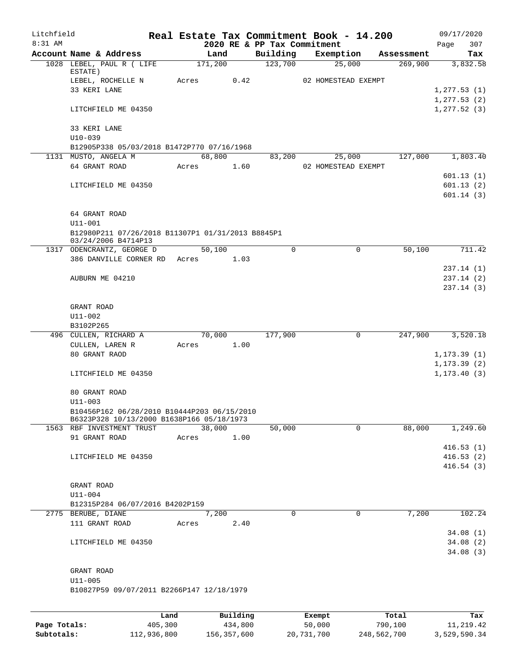| Litchfield |                                                                                          |       |         |          | Real Estate Tax Commitment Book - 14.200 |                     |             |                       | 09/17/2020   |                        |
|------------|------------------------------------------------------------------------------------------|-------|---------|----------|------------------------------------------|---------------------|-------------|-----------------------|--------------|------------------------|
| 8:31 AM    |                                                                                          |       |         |          | 2020 RE & PP Tax Commitment              |                     |             |                       | Page         | 307                    |
|            | Account Name & Address<br>1028 LEBEL, PAUL R ( LIFE                                      |       | 171,200 | Land     | Building<br>123,700                      | Exemption<br>25,000 |             | Assessment<br>269,900 |              | Tax<br>3,832.58        |
|            | ESTATE)                                                                                  |       |         |          |                                          |                     |             |                       |              |                        |
|            | LEBEL, ROCHELLE N                                                                        | Acres |         | 0.42     |                                          | 02 HOMESTEAD EXEMPT |             |                       |              |                        |
|            | 33 KERI LANE                                                                             |       |         |          |                                          |                     |             |                       | 1, 277.53(1) |                        |
|            |                                                                                          |       |         |          |                                          |                     |             |                       | 1, 277.53(2) |                        |
|            | LITCHFIELD ME 04350                                                                      |       |         |          |                                          |                     |             |                       | 1, 277.52(3) |                        |
|            | 33 KERI LANE                                                                             |       |         |          |                                          |                     |             |                       |              |                        |
|            | $U10 - 039$                                                                              |       |         |          |                                          |                     |             |                       |              |                        |
|            | B12905P338 05/03/2018 B1472P770 07/16/1968                                               |       |         |          |                                          |                     |             |                       |              |                        |
|            | 1131 MUSTO, ANGELA M                                                                     |       | 68,800  |          | 83,200                                   | 25,000              |             | 127,000               |              | 1,803.40               |
|            | 64 GRANT ROAD                                                                            |       | Acres   | 1.60     |                                          | 02 HOMESTEAD EXEMPT |             |                       |              |                        |
|            |                                                                                          |       |         |          |                                          |                     |             |                       |              | 601.13(1)              |
|            | LITCHFIELD ME 04350                                                                      |       |         |          |                                          |                     |             |                       |              | 601.13(2)<br>601.14(3) |
|            |                                                                                          |       |         |          |                                          |                     |             |                       |              |                        |
|            | 64 GRANT ROAD                                                                            |       |         |          |                                          |                     |             |                       |              |                        |
|            | U11-001                                                                                  |       |         |          |                                          |                     |             |                       |              |                        |
|            | B12980P211 07/26/2018 B11307P1 01/31/2013 B8845P1                                        |       |         |          |                                          |                     |             |                       |              |                        |
|            | 03/24/2006 B4714P13                                                                      |       |         |          |                                          |                     |             |                       |              |                        |
|            | 1317 ODENCRANTZ, GEORGE D<br>386 DANVILLE CORNER RD Acres                                |       | 50,100  | 1.03     | $\Omega$                                 |                     | $\mathbf 0$ | 50,100                |              | 711.42                 |
|            |                                                                                          |       |         |          |                                          |                     |             |                       |              | 237.14(1)              |
|            | AUBURN ME 04210                                                                          |       |         |          |                                          |                     |             |                       |              | 237.14 (2)             |
|            |                                                                                          |       |         |          |                                          |                     |             |                       |              | 237.14(3)              |
|            |                                                                                          |       |         |          |                                          |                     |             |                       |              |                        |
|            | GRANT ROAD                                                                               |       |         |          |                                          |                     |             |                       |              |                        |
|            | U11-002                                                                                  |       |         |          |                                          |                     |             |                       |              |                        |
|            | B3102P265                                                                                |       |         |          |                                          |                     |             |                       |              |                        |
|            | 496 CULLEN, RICHARD A                                                                    |       |         | 70,000   | 177,900                                  |                     | 0           | 247,900               |              | 3,520.18               |
|            | CULLEN, LAREN R<br>80 GRANT RAOD                                                         |       | Acres   | 1.00     |                                          |                     |             |                       | 1, 173.39(1) |                        |
|            |                                                                                          |       |         |          |                                          |                     |             |                       | 1, 173.39(2) |                        |
|            | LITCHFIELD ME 04350                                                                      |       |         |          |                                          |                     |             |                       | 1, 173.40(3) |                        |
|            |                                                                                          |       |         |          |                                          |                     |             |                       |              |                        |
|            | 80 GRANT ROAD                                                                            |       |         |          |                                          |                     |             |                       |              |                        |
|            | $U11 - 003$                                                                              |       |         |          |                                          |                     |             |                       |              |                        |
|            | B10456P162 06/28/2010 B10444P203 06/15/2010<br>B6323P328 10/13/2000 B1638P166 05/18/1973 |       |         |          |                                          |                     |             |                       |              |                        |
|            | 1563 RBF INVESTMENT TRUST                                                                |       | 38,000  |          | 50,000                                   |                     | $\Omega$    | 88,000                |              | 1,249.60               |
|            | 91 GRANT ROAD                                                                            | Acres |         | 1.00     |                                          |                     |             |                       |              |                        |
|            |                                                                                          |       |         |          |                                          |                     |             |                       |              | 416.53(1)              |
|            | LITCHFIELD ME 04350                                                                      |       |         |          |                                          |                     |             |                       |              | 416.53(2)              |
|            |                                                                                          |       |         |          |                                          |                     |             |                       |              | 416.54(3)              |
|            |                                                                                          |       |         |          |                                          |                     |             |                       |              |                        |
|            | GRANT ROAD<br>$U11 - 004$                                                                |       |         |          |                                          |                     |             |                       |              |                        |
|            | B12315P284 06/07/2016 B4202P159                                                          |       |         |          |                                          |                     |             |                       |              |                        |
|            | 2775 BERUBE, DIANE                                                                       |       |         | 7,200    | $\mathbf 0$                              |                     | $\mathbf 0$ | 7,200                 |              | 102.24                 |
|            | 111 GRANT ROAD                                                                           | Acres |         | 2.40     |                                          |                     |             |                       |              |                        |
|            |                                                                                          |       |         |          |                                          |                     |             |                       |              | 34.08(1)               |
|            | LITCHFIELD ME 04350                                                                      |       |         |          |                                          |                     |             |                       |              | 34.08(2)               |
|            |                                                                                          |       |         |          |                                          |                     |             |                       |              | 34.08(3)               |
|            |                                                                                          |       |         |          |                                          |                     |             |                       |              |                        |
|            | GRANT ROAD<br>$U11 - 005$                                                                |       |         |          |                                          |                     |             |                       |              |                        |
|            | B10827P59 09/07/2011 B2266P147 12/18/1979                                                |       |         |          |                                          |                     |             |                       |              |                        |
|            |                                                                                          |       |         |          |                                          |                     |             |                       |              |                        |
|            |                                                                                          |       |         |          |                                          |                     |             |                       |              |                        |
|            |                                                                                          | Land  |         | Building |                                          | Exempt              |             | Total                 |              | Tax                    |

**Page Totals:** 405,300 434,800 50,000 790,100 11,219.42 **Subtotals:** 112,936,800 156,357,600 20,731,700 248,562,700 3,529,590.34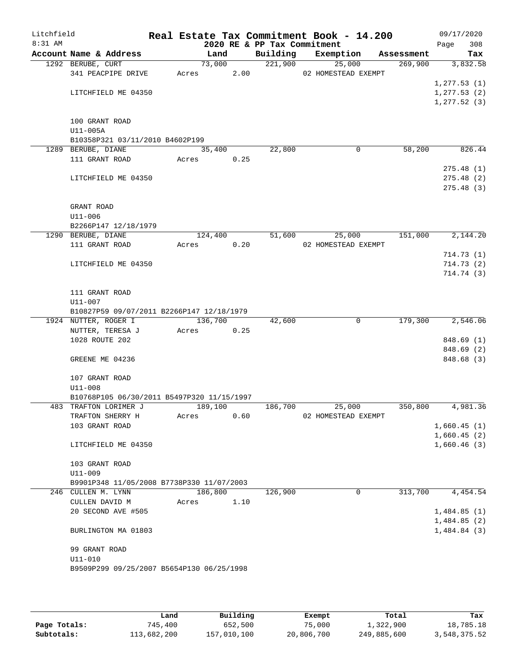| Litchfield<br>8:31 AM |                                            |       |         |      |                                         | Real Estate Tax Commitment Book - 14.200 |            | 09/17/2020             |
|-----------------------|--------------------------------------------|-------|---------|------|-----------------------------------------|------------------------------------------|------------|------------------------|
|                       | Account Name & Address                     |       | Land    |      | 2020 RE & PP Tax Commitment<br>Building | Exemption                                | Assessment | 308<br>Page<br>Tax     |
|                       | 1292 BERUBE, CURT                          |       | 73,000  |      | 221,900                                 | 25,000                                   | 269,900    | 3,832.58               |
|                       | 341 PEACPIPE DRIVE                         | Acres |         | 2.00 |                                         | 02 HOMESTEAD EXEMPT                      |            |                        |
|                       |                                            |       |         |      |                                         |                                          |            | 1, 277.53(1)           |
|                       | LITCHFIELD ME 04350                        |       |         |      |                                         |                                          |            | 1, 277.53(2)           |
|                       |                                            |       |         |      |                                         |                                          |            | 1, 277.52(3)           |
|                       |                                            |       |         |      |                                         |                                          |            |                        |
|                       | 100 GRANT ROAD                             |       |         |      |                                         |                                          |            |                        |
|                       | U11-005A                                   |       |         |      |                                         |                                          |            |                        |
|                       | B10358P321 03/11/2010 B4602P199            |       |         |      |                                         |                                          |            |                        |
|                       | 1289 BERUBE, DIANE                         |       | 35,400  |      | 22,800                                  | 0                                        | 58,200     | 826.44                 |
|                       | 111 GRANT ROAD                             |       | Acres   | 0.25 |                                         |                                          |            |                        |
|                       | LITCHFIELD ME 04350                        |       |         |      |                                         |                                          |            | 275.48(1)<br>275.48(2) |
|                       |                                            |       |         |      |                                         |                                          |            | 275.48(3)              |
|                       |                                            |       |         |      |                                         |                                          |            |                        |
|                       | GRANT ROAD                                 |       |         |      |                                         |                                          |            |                        |
|                       | U11-006                                    |       |         |      |                                         |                                          |            |                        |
|                       | B2266P147 12/18/1979                       |       |         |      |                                         |                                          |            |                        |
|                       | 1290 BERUBE, DIANE                         |       | 124,400 |      | 51,600                                  | 25,000                                   | 151,000    | 2,144.20               |
|                       | 111 GRANT ROAD                             | Acres |         | 0.20 |                                         | 02 HOMESTEAD EXEMPT                      |            |                        |
|                       |                                            |       |         |      |                                         |                                          |            | 714.73(1)              |
|                       | LITCHFIELD ME 04350                        |       |         |      |                                         |                                          |            | 714.73(2)              |
|                       |                                            |       |         |      |                                         |                                          |            | 714.74(3)              |
|                       |                                            |       |         |      |                                         |                                          |            |                        |
|                       | 111 GRANT ROAD                             |       |         |      |                                         |                                          |            |                        |
|                       | U11-007                                    |       |         |      |                                         |                                          |            |                        |
|                       | B10827P59 09/07/2011 B2266P147 12/18/1979  |       | 136,700 |      |                                         | 0                                        | 179,300    | 2,546.06               |
|                       | 1924 NUTTER, ROGER I<br>NUTTER, TERESA J   | Acres |         | 0.25 | 42,600                                  |                                          |            |                        |
|                       | 1028 ROUTE 202                             |       |         |      |                                         |                                          |            | 848.69 (1)             |
|                       |                                            |       |         |      |                                         |                                          |            | 848.69(2)              |
|                       | GREENE ME 04236                            |       |         |      |                                         |                                          |            | 848.68 (3)             |
|                       |                                            |       |         |      |                                         |                                          |            |                        |
|                       | 107 GRANT ROAD                             |       |         |      |                                         |                                          |            |                        |
|                       | $U11 - 008$                                |       |         |      |                                         |                                          |            |                        |
|                       | B10768P105 06/30/2011 B5497P320 11/15/1997 |       |         |      |                                         |                                          |            |                        |
|                       | 483 TRAFTON LORIMER J                      |       | 189,100 |      | 186,700                                 | 25,000                                   | 350,800    | 4,981.36               |
|                       | TRAFTON SHERRY H                           | Acres |         | 0.60 |                                         | 02 HOMESTEAD EXEMPT                      |            |                        |
|                       | 103 GRANT ROAD                             |       |         |      |                                         |                                          |            | 1,660.45(1)            |
|                       |                                            |       |         |      |                                         |                                          |            | 1,660.45(2)            |
|                       | LITCHFIELD ME 04350                        |       |         |      |                                         |                                          |            | 1,660.46(3)            |
|                       | 103 GRANT ROAD                             |       |         |      |                                         |                                          |            |                        |
|                       | U11-009                                    |       |         |      |                                         |                                          |            |                        |
|                       | B9901P348 11/05/2008 B7738P330 11/07/2003  |       |         |      |                                         |                                          |            |                        |
|                       | 246 CULLEN M. LYNN                         |       | 186,800 |      | 126,900                                 | 0                                        | 313,700    | 4,454.54               |
|                       | CULLEN DAVID M                             | Acres |         | 1.10 |                                         |                                          |            |                        |
|                       | 20 SECOND AVE #505                         |       |         |      |                                         |                                          |            | 1,484.85(1)            |
|                       |                                            |       |         |      |                                         |                                          |            | 1,484.85(2)            |
|                       | BURLINGTON MA 01803                        |       |         |      |                                         |                                          |            | 1,484.84(3)            |
|                       |                                            |       |         |      |                                         |                                          |            |                        |
|                       | 99 GRANT ROAD                              |       |         |      |                                         |                                          |            |                        |
|                       | $U11 - 010$                                |       |         |      |                                         |                                          |            |                        |
|                       | B9509P299 09/25/2007 B5654P130 06/25/1998  |       |         |      |                                         |                                          |            |                        |
|                       |                                            |       |         |      |                                         |                                          |            |                        |

|              | Land        | Building    | Exempt     | Total       | Tax          |
|--------------|-------------|-------------|------------|-------------|--------------|
| Page Totals: | 745,400     | 652,500     | 75,000     | 1,322,900   | 18,785.18    |
| Subtotals:   | 113,682,200 | 157,010,100 | 20,806,700 | 249,885,600 | 3,548,375.52 |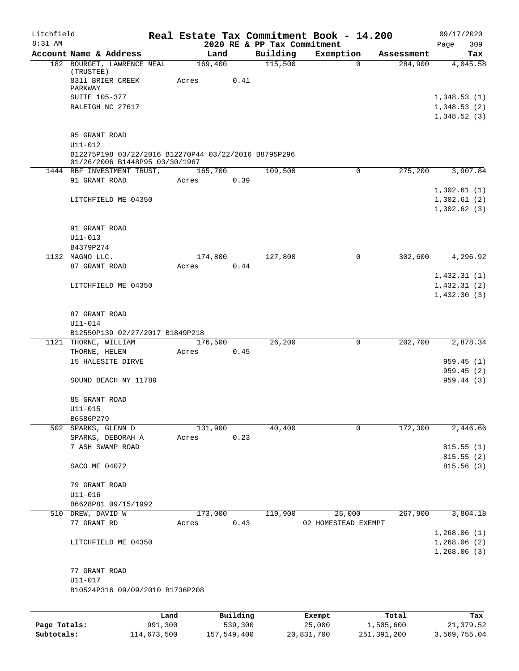| Litchfield<br>8:31 AM |                                                                                        |      |       |          | 2020 RE & PP Tax Commitment | Real Estate Tax Commitment Book - 14.200 |            | 09/17/2020<br>309 |
|-----------------------|----------------------------------------------------------------------------------------|------|-------|----------|-----------------------------|------------------------------------------|------------|-------------------|
|                       | Account Name & Address                                                                 |      |       | Land     | Building                    | Exemption                                | Assessment | Page<br>Tax       |
|                       | 182 BOURGET, LAWRENCE NEAL<br>(TRUSTEE)                                                |      |       | 169,400  | 115,500                     | 0                                        | 284,900    | 4,045.58          |
|                       | 8311 BRIER CREEK<br>PARKWAY                                                            |      | Acres | 0.41     |                             |                                          |            |                   |
|                       | SUITE 105-377                                                                          |      |       |          |                             |                                          |            | 1,348.53(1)       |
|                       | RALEIGH NC 27617                                                                       |      |       |          |                             |                                          |            | 1,348.53(2)       |
|                       |                                                                                        |      |       |          |                             |                                          |            | 1,348.52(3)       |
|                       | 95 GRANT ROAD                                                                          |      |       |          |                             |                                          |            |                   |
|                       | $U11 - 012$                                                                            |      |       |          |                             |                                          |            |                   |
|                       | B12275P198 03/22/2016 B12270P44 03/22/2016 B8795P296<br>01/26/2006 B1448P95 03/30/1967 |      |       |          |                             |                                          |            |                   |
|                       | 1444 RBF INVESTMENT TRUST,                                                             |      |       | 165,700  | 109,500                     | 0                                        | 275,200    | 3,907.84          |
|                       | 91 GRANT ROAD                                                                          |      | Acres | 0.39     |                             |                                          |            |                   |
|                       |                                                                                        |      |       |          |                             |                                          |            | 1,302.61(1)       |
|                       | LITCHFIELD ME 04350                                                                    |      |       |          |                             |                                          |            | 1,302.61(2)       |
|                       |                                                                                        |      |       |          |                             |                                          |            | 1,302.62(3)       |
|                       | 91 GRANT ROAD                                                                          |      |       |          |                             |                                          |            |                   |
|                       | $U11 - 013$                                                                            |      |       |          |                             |                                          |            |                   |
|                       | B4379P274                                                                              |      |       |          |                             |                                          |            |                   |
|                       | 1132 MAGNO LLC.                                                                        |      |       | 174,800  | 127,800                     | $\mathbf 0$                              | 302,600    | 4, 296.92         |
|                       | 87 GRANT ROAD                                                                          |      | Acres | 0.44     |                             |                                          |            |                   |
|                       |                                                                                        |      |       |          |                             |                                          |            | 1,432.31(1)       |
|                       | LITCHFIELD ME 04350                                                                    |      |       |          |                             |                                          |            | 1,432.31(2)       |
|                       |                                                                                        |      |       |          |                             |                                          |            | 1,432.30(3)       |
|                       | 87 GRANT ROAD                                                                          |      |       |          |                             |                                          |            |                   |
|                       | U11-014                                                                                |      |       |          |                             |                                          |            |                   |
|                       | B12550P139 02/27/2017 B1849P218                                                        |      |       |          |                             |                                          |            |                   |
|                       | 1121 THORNE, WILLIAM                                                                   |      |       | 176,500  | 26,200                      | 0                                        | 202,700    | 2,878.34          |
|                       | THORNE, HELEN                                                                          |      | Acres | 0.45     |                             |                                          |            |                   |
|                       | 15 HALESITE DIRVE                                                                      |      |       |          |                             |                                          |            | 959.45(1)         |
|                       |                                                                                        |      |       |          |                             |                                          |            | 959.45(2)         |
|                       | SOUND BEACH NY 11789                                                                   |      |       |          |                             |                                          |            | 959.44(3)         |
|                       | 85 GRANT ROAD                                                                          |      |       |          |                             |                                          |            |                   |
|                       | U11-015                                                                                |      |       |          |                             |                                          |            |                   |
|                       | B6586P279                                                                              |      |       |          |                             |                                          |            |                   |
|                       | 502 SPARKS, GLENN D                                                                    |      |       | 131,900  | 40,400                      | $\mathbf 0$                              | 172,300    | 2,446.66          |
|                       | SPARKS, DEBORAH A                                                                      |      | Acres | 0.23     |                             |                                          |            |                   |
|                       | 7 ASH SWAMP ROAD                                                                       |      |       |          |                             |                                          |            | 815.55(1)         |
|                       |                                                                                        |      |       |          |                             |                                          |            | 815.55(2)         |
|                       | SACO ME 04072                                                                          |      |       |          |                             |                                          |            | 815.56(3)         |
|                       | 79 GRANT ROAD                                                                          |      |       |          |                             |                                          |            |                   |
|                       | U11-016                                                                                |      |       |          |                             |                                          |            |                   |
|                       | B6628P81 09/15/1992                                                                    |      |       |          |                             |                                          |            |                   |
|                       | 510 DREW, DAVID W                                                                      |      |       | 173,000  | 119,900                     | 25,000                                   | 267,900    | 3,804.18          |
|                       | 77 GRANT RD                                                                            |      | Acres | 0.43     |                             | 02 HOMESTEAD EXEMPT                      |            |                   |
|                       |                                                                                        |      |       |          |                             |                                          |            | 1,268.06(1)       |
|                       | LITCHFIELD ME 04350                                                                    |      |       |          |                             |                                          |            | 1,268.06(2)       |
|                       |                                                                                        |      |       |          |                             |                                          |            | 1,268.06(3)       |
|                       | 77 GRANT ROAD                                                                          |      |       |          |                             |                                          |            |                   |
|                       | U11-017                                                                                |      |       |          |                             |                                          |            |                   |
|                       | B10524P316 09/09/2010 B1736P208                                                        |      |       |          |                             |                                          |            |                   |
|                       |                                                                                        |      |       |          |                             |                                          |            |                   |
|                       |                                                                                        | Land |       | Building |                             | Exempt                                   | Total      | Tax               |

|              | Land        | Building    | Exempt     | Total       | Tax          |
|--------------|-------------|-------------|------------|-------------|--------------|
| Page Totals: | 991,300     | 539,300     | 25,000     | 1,505,600   | 21,379.52    |
| Subtotals:   | 114,673,500 | 157,549,400 | 20,831,700 | 251,391,200 | 3,569,755.04 |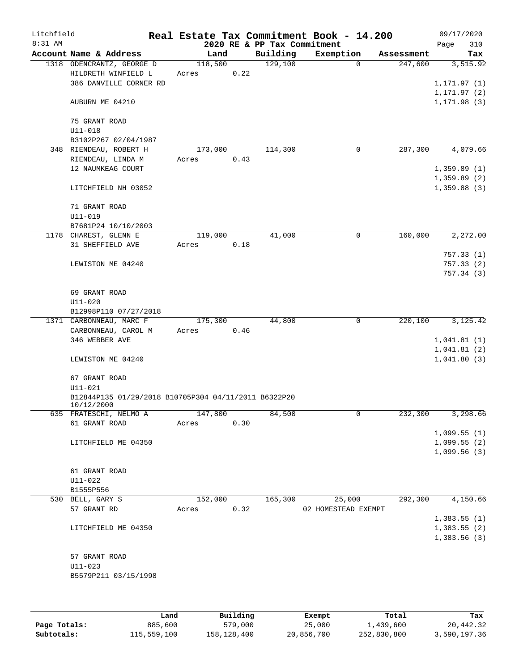| Litchfield |                                                                    |         |      |                             | Real Estate Tax Commitment Book - 14.200 |            | 09/17/2020   |
|------------|--------------------------------------------------------------------|---------|------|-----------------------------|------------------------------------------|------------|--------------|
| 8:31 AM    |                                                                    |         |      | 2020 RE & PP Tax Commitment |                                          |            | Page<br>310  |
|            | Account Name & Address                                             | Land    |      | Building                    | Exemption                                | Assessment | Tax          |
|            | 1318 ODENCRANTZ, GEORGE D                                          | 118,500 |      | 129,100                     | $\Omega$                                 | 247,600    | 3,515.92     |
|            | HILDRETH WINFIELD L                                                | Acres   | 0.22 |                             |                                          |            |              |
|            | 386 DANVILLE CORNER RD                                             |         |      |                             |                                          |            | 1,171.97 (1) |
|            |                                                                    |         |      |                             |                                          |            | 1, 171.97(2) |
|            | AUBURN ME 04210                                                    |         |      |                             |                                          |            | 1,171.98 (3) |
|            | 75 GRANT ROAD                                                      |         |      |                             |                                          |            |              |
|            | $U11 - 018$                                                        |         |      |                             |                                          |            |              |
|            | B3102P267 02/04/1987                                               |         |      |                             |                                          |            |              |
|            | 348 RIENDEAU, ROBERT H                                             | 173,000 |      | 114,300                     | 0                                        | 287,300    | 4,079.66     |
|            | RIENDEAU, LINDA M                                                  | Acres   | 0.43 |                             |                                          |            |              |
|            | 12 NAUMKEAG COURT                                                  |         |      |                             |                                          |            | 1,359.89(1)  |
|            |                                                                    |         |      |                             |                                          |            | 1,359.89(2)  |
|            | LITCHFIELD NH 03052                                                |         |      |                             |                                          |            | 1,359.88(3)  |
|            |                                                                    |         |      |                             |                                          |            |              |
|            | 71 GRANT ROAD                                                      |         |      |                             |                                          |            |              |
|            | $U11 - 019$                                                        |         |      |                             |                                          |            |              |
|            | B7681P24 10/10/2003                                                |         |      |                             |                                          |            |              |
|            | 1178 CHAREST, GLENN E                                              | 119,000 |      | 41,000                      | 0                                        | 160,000    | 2, 272, 00   |
|            | 31 SHEFFIELD AVE                                                   | Acres   | 0.18 |                             |                                          |            |              |
|            |                                                                    |         |      |                             |                                          |            | 757.33(1)    |
|            | LEWISTON ME 04240                                                  |         |      |                             |                                          |            | 757.33(2)    |
|            |                                                                    |         |      |                             |                                          |            | 757.34(3)    |
|            |                                                                    |         |      |                             |                                          |            |              |
|            | 69 GRANT ROAD                                                      |         |      |                             |                                          |            |              |
|            | $U11 - 020$                                                        |         |      |                             |                                          |            |              |
|            | B12998P110 07/27/2018                                              |         |      |                             |                                          |            |              |
|            | 1371 CARBONNEAU, MARC F                                            | 175,300 |      | 44,800                      | 0                                        | 220,100    | 3, 125.42    |
|            | CARBONNEAU, CAROL M                                                | Acres   | 0.46 |                             |                                          |            |              |
|            | 346 WEBBER AVE                                                     |         |      |                             |                                          |            | 1,041.81(1)  |
|            |                                                                    |         |      |                             |                                          |            | 1,041.81(2)  |
|            | LEWISTON ME 04240                                                  |         |      |                             |                                          |            | 1,041.80(3)  |
|            |                                                                    |         |      |                             |                                          |            |              |
|            | 67 GRANT ROAD                                                      |         |      |                             |                                          |            |              |
|            | $U11 - 021$                                                        |         |      |                             |                                          |            |              |
|            | B12844P135 01/29/2018 B10705P304 04/11/2011 B6322P20<br>10/12/2000 |         |      |                             |                                          |            |              |
|            | 635 FRATESCHI, NELMO A                                             | 147,800 |      | 84,500                      | 0                                        | 232,300    | 3,298.66     |
|            | 61 GRANT ROAD                                                      | Acres   | 0.30 |                             |                                          |            |              |
|            |                                                                    |         |      |                             |                                          |            | 1,099.55(1)  |
|            | LITCHFIELD ME 04350                                                |         |      |                             |                                          |            | 1,099.55(2)  |
|            |                                                                    |         |      |                             |                                          |            | 1,099.56(3)  |
|            |                                                                    |         |      |                             |                                          |            |              |
|            | 61 GRANT ROAD                                                      |         |      |                             |                                          |            |              |
|            | $U11 - 022$                                                        |         |      |                             |                                          |            |              |
|            | B1555P556                                                          |         |      |                             |                                          |            |              |
|            | 530 BELL, GARY S                                                   | 152,000 |      | 165,300                     | 25,000                                   | 292,300    | 4,150.66     |
|            | 57 GRANT RD                                                        | Acres   | 0.32 |                             | 02 HOMESTEAD EXEMPT                      |            |              |
|            |                                                                    |         |      |                             |                                          |            | 1,383.55(1)  |
|            | LITCHFIELD ME 04350                                                |         |      |                             |                                          |            | 1,383.55(2)  |
|            |                                                                    |         |      |                             |                                          |            | 1,383.56(3)  |
|            |                                                                    |         |      |                             |                                          |            |              |
|            | 57 GRANT ROAD                                                      |         |      |                             |                                          |            |              |
|            | $U11 - 023$                                                        |         |      |                             |                                          |            |              |
|            | B5579P211 03/15/1998                                               |         |      |                             |                                          |            |              |
|            |                                                                    |         |      |                             |                                          |            |              |
|            |                                                                    |         |      |                             |                                          |            |              |
|            |                                                                    |         |      |                             |                                          |            |              |

|              | Land        | Building    | Exempt     | Total       | Tax          |
|--------------|-------------|-------------|------------|-------------|--------------|
| Page Totals: | 885,600     | 579,000     | 25,000     | 1,439,600   | 20,442.32    |
| Subtotals:   | 115,559,100 | 158,128,400 | 20,856,700 | 252,830,800 | 3,590,197.36 |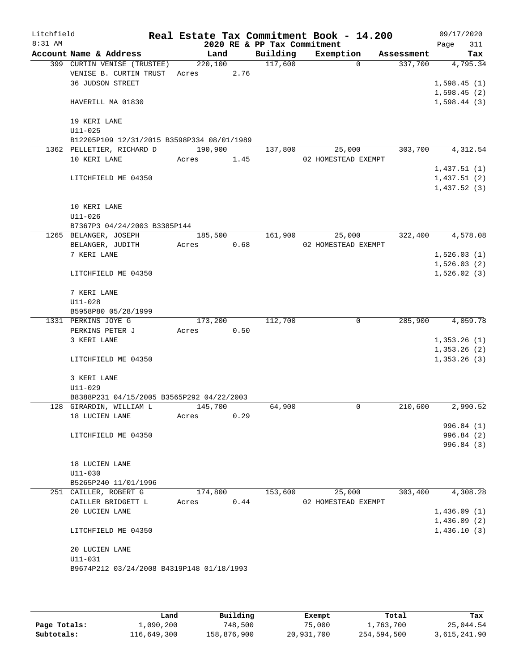| Litchfield |                                            |         |      |                             | Real Estate Tax Commitment Book - 14.200 |            | 09/17/2020  |
|------------|--------------------------------------------|---------|------|-----------------------------|------------------------------------------|------------|-------------|
| $8:31$ AM  |                                            |         |      | 2020 RE & PP Tax Commitment |                                          |            | 311<br>Page |
|            | Account Name & Address                     | Land    |      | Building                    | Exemption                                | Assessment | Tax         |
|            | 399 CURTIN VENISE (TRUSTEE)                | 220,100 |      | 117,600                     | 0                                        | 337,700    | 4,795.34    |
|            | VENISE B. CURTIN TRUST                     | Acres   | 2.76 |                             |                                          |            |             |
|            | <b>36 JUDSON STREET</b>                    |         |      |                             |                                          |            | 1,598.45(1) |
|            |                                            |         |      |                             |                                          |            | 1,598.45(2) |
|            | HAVERILL MA 01830                          |         |      |                             |                                          |            | 1,598.44(3) |
|            | 19 KERI LANE                               |         |      |                             |                                          |            |             |
|            | $U11 - 025$                                |         |      |                             |                                          |            |             |
|            | B12205P109 12/31/2015 B3598P334 08/01/1989 |         |      |                             |                                          |            |             |
|            | 1362 PELLETIER, RICHARD D                  | 190,900 |      | 137,800                     | 25,000                                   | 303,700    | 4,312.54    |
|            | 10 KERI LANE                               | Acres   | 1.45 |                             | 02 HOMESTEAD EXEMPT                      |            |             |
|            |                                            |         |      |                             |                                          |            | 1,437.51(1) |
|            | LITCHFIELD ME 04350                        |         |      |                             |                                          |            | 1,437.51(2) |
|            |                                            |         |      |                             |                                          |            | 1,437.52(3) |
|            | 10 KERI LANE                               |         |      |                             |                                          |            |             |
|            | $U11 - 026$                                |         |      |                             |                                          |            |             |
|            | B7367P3 04/24/2003 B3385P144               |         |      |                             |                                          |            |             |
|            | 1265 BELANGER, JOSEPH                      | 185,500 |      | 161,900                     | 25,000                                   | 322,400    | 4,578.08    |
|            | BELANGER, JUDITH                           | Acres   | 0.68 |                             | 02 HOMESTEAD EXEMPT                      |            |             |
|            | 7 KERI LANE                                |         |      |                             |                                          |            | 1,526.03(1) |
|            |                                            |         |      |                             |                                          |            | 1,526.03(2) |
|            | LITCHFIELD ME 04350                        |         |      |                             |                                          |            | 1,526.02(3) |
|            | 7 KERI LANE                                |         |      |                             |                                          |            |             |
|            |                                            |         |      |                             |                                          |            |             |
|            | $U11 - 028$<br>B5958P80 05/28/1999         |         |      |                             |                                          |            |             |
|            | 1331 PERKINS JOYE G                        | 173,200 |      | 112,700                     | 0                                        | 285,900    | 4,059.78    |
|            | PERKINS PETER J                            | Acres   | 0.50 |                             |                                          |            |             |
|            | 3 KERI LANE                                |         |      |                             |                                          |            | 1,353.26(1) |
|            |                                            |         |      |                             |                                          |            | 1,353.26(2) |
|            | LITCHFIELD ME 04350                        |         |      |                             |                                          |            | 1,353.26(3) |
|            |                                            |         |      |                             |                                          |            |             |
|            | 3 KERI LANE                                |         |      |                             |                                          |            |             |
|            | $U11 - 029$                                |         |      |                             |                                          |            |             |
|            | B8388P231 04/15/2005 B3565P292 04/22/2003  |         |      |                             |                                          |            |             |
|            | 128 GIRARDIN, WILLIAM L                    | 145,700 |      | 64,900                      | 0                                        | 210,600    | 2,990.52    |
|            | 18 LUCIEN LANE                             | Acres   | 0.29 |                             |                                          |            |             |
|            |                                            |         |      |                             |                                          |            | 996.84 (1)  |
|            | LITCHFIELD ME 04350                        |         |      |                             |                                          |            | 996.84(2)   |
|            |                                            |         |      |                             |                                          |            | 996.84 (3)  |
|            |                                            |         |      |                             |                                          |            |             |
|            | 18 LUCIEN LANE                             |         |      |                             |                                          |            |             |
|            | $U11 - 030$                                |         |      |                             |                                          |            |             |
|            | B5265P240 11/01/1996                       |         |      |                             |                                          |            |             |
|            | 251 CAILLER, ROBERT G                      | 174,800 |      | 153,600                     | 25,000                                   | 303,400    | 4,308.28    |
|            | CAILLER BRIDGETT L                         | Acres   | 0.44 |                             | 02 HOMESTEAD EXEMPT                      |            |             |
|            | 20 LUCIEN LANE                             |         |      |                             |                                          |            | 1,436.09(1) |
|            |                                            |         |      |                             |                                          |            | 1,436.09(2) |
|            | LITCHFIELD ME 04350                        |         |      |                             |                                          |            | 1,436.10(3) |
|            | 20 LUCIEN LANE                             |         |      |                             |                                          |            |             |
|            | $U11 - 031$                                |         |      |                             |                                          |            |             |
|            | B9674P212 03/24/2008 B4319P148 01/18/1993  |         |      |                             |                                          |            |             |
|            |                                            |         |      |                             |                                          |            |             |
|            |                                            |         |      |                             |                                          |            |             |

|              | Land        | Building    | Exempt     | Total       | Tax          |
|--------------|-------------|-------------|------------|-------------|--------------|
| Page Totals: | 1,090,200   | 748,500     | 75,000     | 1,763,700   | 25,044.54    |
| Subtotals:   | 116,649,300 | 158,876,900 | 20,931,700 | 254,594,500 | 3,615,241.90 |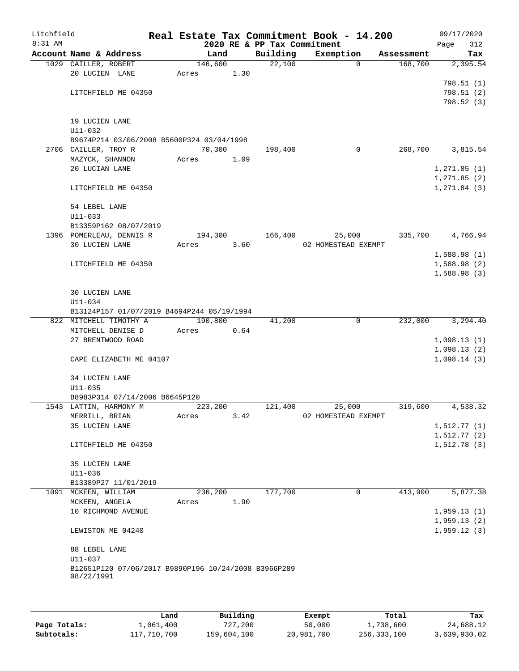| Litchfield<br>8:31 AM |                                                                    |       |         | 2020 RE & PP Tax Commitment | Real Estate Tax Commitment Book - 14.200 |            | 09/17/2020<br>Page<br>312 |
|-----------------------|--------------------------------------------------------------------|-------|---------|-----------------------------|------------------------------------------|------------|---------------------------|
|                       | Account Name & Address                                             |       | Land    | Building                    | Exemption                                | Assessment | Tax                       |
|                       | 1029 CAILLER, ROBERT                                               |       | 146,600 | 22,100                      | $\Omega$                                 | 168,700    | 2,395.54                  |
|                       | 20 LUCIEN LANE                                                     | Acres | 1.30    |                             |                                          |            |                           |
|                       |                                                                    |       |         |                             |                                          |            | 798.51(1)                 |
|                       | LITCHFIELD ME 04350                                                |       |         |                             |                                          |            | 798.51 (2)                |
|                       |                                                                    |       |         |                             |                                          |            | 798.52(3)                 |
|                       |                                                                    |       |         |                             |                                          |            |                           |
|                       | 19 LUCIEN LANE<br>$U11 - 032$                                      |       |         |                             |                                          |            |                           |
|                       | B9674P214 03/06/2008 B5600P324 03/04/1998                          |       |         |                             |                                          |            |                           |
|                       | 2706 CAILLER, TROY R                                               |       | 70,300  | 198,400                     | 0                                        | 268,700    | 3,815.54                  |
|                       | MAZYCK, SHANNON                                                    | Acres | 1.09    |                             |                                          |            |                           |
|                       | 20 LUCIAN LANE                                                     |       |         |                             |                                          |            | 1, 271.85(1)              |
|                       |                                                                    |       |         |                             |                                          |            | 1, 271.85(2)              |
|                       | LITCHFIELD ME 04350                                                |       |         |                             |                                          |            | 1, 271.84 (3)             |
|                       |                                                                    |       |         |                             |                                          |            |                           |
|                       | 54 LEBEL LANE                                                      |       |         |                             |                                          |            |                           |
|                       | $U11 - 033$                                                        |       |         |                             |                                          |            |                           |
|                       | B13359P162 08/07/2019                                              |       |         |                             |                                          |            |                           |
|                       | 1396 POMERLEAU, DENNIS R                                           |       | 194,300 | 166,400                     | 25,000                                   | 335,700    | 4,766.94                  |
|                       | 30 LUCIEN LANE                                                     | Acres | 3.60    |                             | 02 HOMESTEAD EXEMPT                      |            | 1,588.98(1)               |
|                       | LITCHFIELD ME 04350                                                |       |         |                             |                                          |            | 1,588.98(2)               |
|                       |                                                                    |       |         |                             |                                          |            | 1,588.98(3)               |
|                       |                                                                    |       |         |                             |                                          |            |                           |
|                       | 30 LUCIEN LANE                                                     |       |         |                             |                                          |            |                           |
|                       | U11-034                                                            |       |         |                             |                                          |            |                           |
|                       | B13124P157 01/07/2019 B4694P244 05/19/1994                         |       |         |                             |                                          |            |                           |
|                       | 822 MITCHELL TIMOTHY A                                             |       | 190,800 | 41,200                      | $\overline{0}$                           | 232,000    | 3,294.40                  |
|                       | MITCHELL DENISE D                                                  | Acres | 0.64    |                             |                                          |            |                           |
|                       | 27 BRENTWOOD ROAD                                                  |       |         |                             |                                          |            | 1,098.13(1)               |
|                       |                                                                    |       |         |                             |                                          |            | 1,098.13(2)               |
|                       | CAPE ELIZABETH ME 04107                                            |       |         |                             |                                          |            | 1,098.14(3)               |
|                       | 34 LUCIEN LANE                                                     |       |         |                             |                                          |            |                           |
|                       | $U11 - 035$                                                        |       |         |                             |                                          |            |                           |
|                       | B8983P314 07/14/2006 B6645P120                                     |       |         |                             |                                          |            |                           |
|                       | 1543 LATTIN, HARMONY M                                             |       | 223,200 | 121,400                     | 25,000                                   | 319,600    | 4,538.32                  |
|                       | MERRILL, BRIAN                                                     | Acres | 3.42    |                             | 02 HOMESTEAD EXEMPT                      |            |                           |
|                       | 35 LUCIEN LANE                                                     |       |         |                             |                                          |            | 1,512.77(1)               |
|                       |                                                                    |       |         |                             |                                          |            | 1,512.77(2)               |
|                       | LITCHFIELD ME 04350                                                |       |         |                             |                                          |            | 1,512.78(3)               |
|                       |                                                                    |       |         |                             |                                          |            |                           |
|                       | 35 LUCIEN LANE                                                     |       |         |                             |                                          |            |                           |
|                       | U11-036<br>B13389P27 11/01/2019                                    |       |         |                             |                                          |            |                           |
|                       | 1091 MCKEEN, WILLIAM                                               |       | 236,200 | 177,700                     | 0                                        | 413,900    | 5,877.38                  |
|                       | MCKEEN, ANGELA                                                     | Acres | 1.90    |                             |                                          |            |                           |
|                       | 10 RICHMOND AVENUE                                                 |       |         |                             |                                          |            | 1,959.13(1)               |
|                       |                                                                    |       |         |                             |                                          |            | 1,959.13(2)               |
|                       | LEWISTON ME 04240                                                  |       |         |                             |                                          |            | 1,959.12(3)               |
|                       |                                                                    |       |         |                             |                                          |            |                           |
|                       | 88 LEBEL LANE                                                      |       |         |                             |                                          |            |                           |
|                       | U11-037                                                            |       |         |                             |                                          |            |                           |
|                       | B12651P120 07/06/2017 B9890P196 10/24/2008 B3966P289<br>08/22/1991 |       |         |                             |                                          |            |                           |
|                       |                                                                    |       |         |                             |                                          |            |                           |
|                       |                                                                    |       |         |                             |                                          |            |                           |
|                       |                                                                    |       |         |                             |                                          |            |                           |

|              | Land        | Building    | Exempt     | Total         | Tax          |
|--------------|-------------|-------------|------------|---------------|--------------|
| Page Totals: | 1,061,400   | 727,200     | 50,000     | 1,738,600     | 24,688.12    |
| Subtotals:   | 117,710,700 | 159,604,100 | 20,981,700 | 256, 333, 100 | 3,639,930.02 |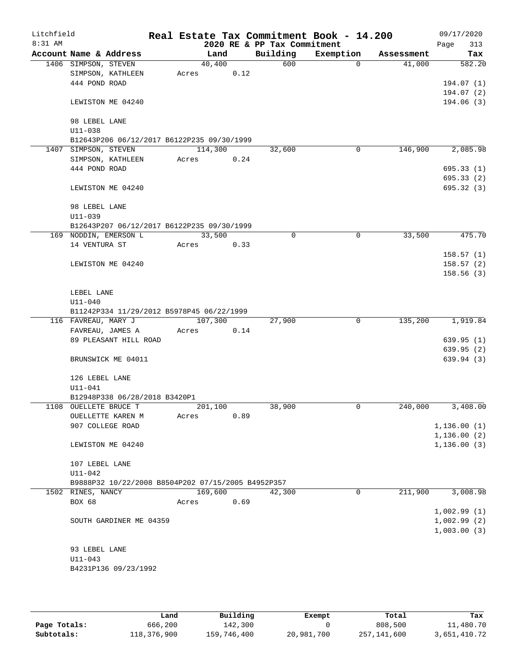| Litchfield |                      |                                                    |         |      |          | Real Estate Tax Commitment Book - 14.200 |             |            | 09/17/2020   |
|------------|----------------------|----------------------------------------------------|---------|------|----------|------------------------------------------|-------------|------------|--------------|
| 8:31 AM    |                      |                                                    |         |      |          | 2020 RE & PP Tax Commitment              |             |            | 313<br>Page  |
|            |                      | Account Name & Address                             | Land    |      | Building | Exemption                                |             | Assessment | Tax          |
|            | 1406 SIMPSON, STEVEN |                                                    | 40,400  |      | 600      |                                          | $\Omega$    | 41,000     | 582.20       |
|            |                      | SIMPSON, KATHLEEN                                  | Acres   | 0.12 |          |                                          |             |            |              |
|            | 444 POND ROAD        |                                                    |         |      |          |                                          |             |            | 194.07(1)    |
|            |                      |                                                    |         |      |          |                                          |             |            | 194.07(2)    |
|            |                      | LEWISTON ME 04240                                  |         |      |          |                                          |             |            | 194.06(3)    |
|            | 98 LEBEL LANE        |                                                    |         |      |          |                                          |             |            |              |
|            | U11-038              |                                                    |         |      |          |                                          |             |            |              |
|            |                      | B12643P206 06/12/2017 B6122P235 09/30/1999         |         |      |          |                                          |             |            |              |
|            | 1407 SIMPSON, STEVEN |                                                    | 114,300 |      | 32,600   |                                          | $\mathbf 0$ | 146,900    | 2,085.98     |
|            |                      | SIMPSON, KATHLEEN                                  | Acres   | 0.24 |          |                                          |             |            |              |
|            | 444 POND ROAD        |                                                    |         |      |          |                                          |             |            | 695.33(1)    |
|            |                      |                                                    |         |      |          |                                          |             |            | 695.33(2)    |
|            |                      | LEWISTON ME 04240                                  |         |      |          |                                          |             |            | 695.32(3)    |
|            | 98 LEBEL LANE        |                                                    |         |      |          |                                          |             |            |              |
|            | $U11 - 039$          |                                                    |         |      |          |                                          |             |            |              |
|            |                      | B12643P207 06/12/2017 B6122P235 09/30/1999         |         |      |          |                                          |             |            |              |
|            |                      | 169 NODDIN, EMERSON L                              | 33,500  |      | $\Omega$ |                                          | 0           | 33,500     | 475.70       |
|            | 14 VENTURA ST        |                                                    | Acres   | 0.33 |          |                                          |             |            |              |
|            |                      |                                                    |         |      |          |                                          |             |            | 158.57(1)    |
|            |                      | LEWISTON ME 04240                                  |         |      |          |                                          |             |            | 158.57(2)    |
|            |                      |                                                    |         |      |          |                                          |             |            | 158.56(3)    |
|            | LEBEL LANE           |                                                    |         |      |          |                                          |             |            |              |
|            | $U11 - 040$          |                                                    |         |      |          |                                          |             |            |              |
|            |                      | B11242P334 11/29/2012 B5978P45 06/22/1999          |         |      |          |                                          |             |            |              |
|            |                      | 116 FAVREAU, MARY J                                | 107,300 |      | 27,900   |                                          | $\mathbf 0$ | 135,200    | 1,919.84     |
|            |                      | FAVREAU, JAMES A                                   | Acres   | 0.14 |          |                                          |             |            |              |
|            |                      | 89 PLEASANT HILL ROAD                              |         |      |          |                                          |             |            | 639.95(1)    |
|            |                      |                                                    |         |      |          |                                          |             |            | 639.95(2)    |
|            |                      | BRUNSWICK ME 04011                                 |         |      |          |                                          |             |            | 639.94(3)    |
|            | 126 LEBEL LANE       |                                                    |         |      |          |                                          |             |            |              |
|            | $U11 - 041$          |                                                    |         |      |          |                                          |             |            |              |
|            |                      | B12948P338 06/28/2018 B3420P1                      |         |      |          |                                          |             |            |              |
|            |                      | 1108 OUELLETE BRUCE T                              | 201,100 |      | 38,900   |                                          | 0           | 240,000    | 3,408.00     |
|            |                      | OUELLETTE KAREN M                                  | Acres   | 0.89 |          |                                          |             |            |              |
|            |                      | 907 COLLEGE ROAD                                   |         |      |          |                                          |             |            | 1, 136.00(1) |
|            |                      |                                                    |         |      |          |                                          |             |            | 1,136.00(2)  |
|            |                      | LEWISTON ME 04240                                  |         |      |          |                                          |             |            | 1, 136.00(3) |
|            | 107 LEBEL LANE       |                                                    |         |      |          |                                          |             |            |              |
|            | $U11 - 042$          |                                                    |         |      |          |                                          |             |            |              |
|            |                      | B9888P32 10/22/2008 B8504P202 07/15/2005 B4952P357 |         |      |          |                                          |             |            |              |
|            | 1502 RINES, NANCY    |                                                    | 169,600 |      | 42,300   |                                          | $\mathbf 0$ | 211,900    | 3,008.98     |
|            | BOX 68               |                                                    | Acres   | 0.69 |          |                                          |             |            | 1,002.99(1)  |
|            |                      | SOUTH GARDINER ME 04359                            |         |      |          |                                          |             |            | 1,002.99(2)  |
|            |                      |                                                    |         |      |          |                                          |             |            | 1,003.00(3)  |
|            |                      |                                                    |         |      |          |                                          |             |            |              |
|            | 93 LEBEL LANE        |                                                    |         |      |          |                                          |             |            |              |
|            | $U11 - 043$          |                                                    |         |      |          |                                          |             |            |              |
|            |                      | B4231P136 09/23/1992                               |         |      |          |                                          |             |            |              |
|            |                      |                                                    |         |      |          |                                          |             |            |              |

|              | Land        | Building    | Exempt     | Total       | Tax          |
|--------------|-------------|-------------|------------|-------------|--------------|
| Page Totals: | 666,200     | 142,300     |            | 808,500     | 11,480.70    |
| Subtotals:   | 118,376,900 | 159,746,400 | 20,981,700 | 257,141,600 | 3,651,410.72 |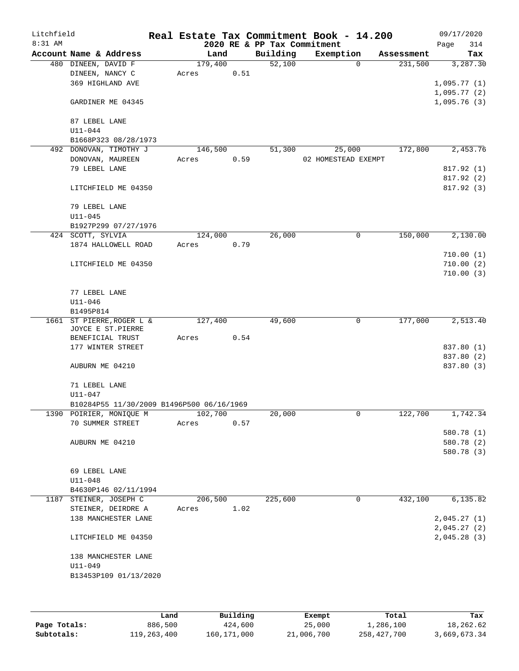| Litchfield |                                                |         |      |      |                             | Real Estate Tax Commitment Book - 14.200 |          |            | 09/17/2020                 |          |
|------------|------------------------------------------------|---------|------|------|-----------------------------|------------------------------------------|----------|------------|----------------------------|----------|
| $8:31$ AM  |                                                |         |      |      | 2020 RE & PP Tax Commitment |                                          |          |            | Page                       | 314      |
|            | Account Name & Address                         |         | Land |      | Building                    | Exemption                                |          | Assessment |                            | Tax      |
|            | 480 DINEEN, DAVID F                            | 179,400 |      |      | 52,100                      |                                          | $\Omega$ | 231,500    |                            | 3,287.30 |
|            | DINEEN, NANCY C<br>369 HIGHLAND AVE            | Acres   |      | 0.51 |                             |                                          |          |            |                            |          |
|            |                                                |         |      |      |                             |                                          |          |            | 1,095.77(1)<br>1,095.77(2) |          |
|            | GARDINER ME 04345                              |         |      |      |                             |                                          |          |            | 1,095.76(3)                |          |
|            | 87 LEBEL LANE                                  |         |      |      |                             |                                          |          |            |                            |          |
|            | $U11 - 044$                                    |         |      |      |                             |                                          |          |            |                            |          |
|            | B1668P323 08/28/1973                           |         |      |      |                             |                                          |          |            |                            |          |
|            | 492 DONOVAN, TIMOTHY J                         | 146,500 |      |      | 51,300                      | 25,000                                   |          | 172,800    |                            | 2,453.76 |
|            | DONOVAN, MAUREEN                               | Acres   |      | 0.59 |                             | 02 HOMESTEAD EXEMPT                      |          |            |                            |          |
|            | 79 LEBEL LANE                                  |         |      |      |                             |                                          |          |            | 817.92 (1)                 |          |
|            | LITCHFIELD ME 04350                            |         |      |      |                             |                                          |          |            | 817.92 (2)<br>817.92 (3)   |          |
|            |                                                |         |      |      |                             |                                          |          |            |                            |          |
|            | 79 LEBEL LANE                                  |         |      |      |                             |                                          |          |            |                            |          |
|            | $U11 - 045$                                    |         |      |      |                             |                                          |          |            |                            |          |
|            | B1927P299 07/27/1976                           |         |      |      |                             |                                          |          |            |                            |          |
|            | 424 SCOTT, SYLVIA                              | 124,000 |      |      | 26,000                      |                                          | 0        | 150,000    |                            | 2,130.00 |
|            | 1874 HALLOWELL ROAD                            | Acres   |      | 0.79 |                             |                                          |          |            | 710.00(1)                  |          |
|            | LITCHFIELD ME 04350                            |         |      |      |                             |                                          |          |            | 710.00(2)                  |          |
|            |                                                |         |      |      |                             |                                          |          |            | 710.00(3)                  |          |
|            |                                                |         |      |      |                             |                                          |          |            |                            |          |
|            | 77 LEBEL LANE                                  |         |      |      |                             |                                          |          |            |                            |          |
|            | $U11 - 046$                                    |         |      |      |                             |                                          |          |            |                            |          |
|            | B1495P814                                      |         |      |      |                             |                                          |          |            |                            |          |
|            | 1661 ST PIERRE, ROGER L &                      | 127,400 |      |      | 49,600                      |                                          | 0        | 177,000    |                            | 2,513.40 |
|            | JOYCE E ST.PIERRE                              |         |      |      |                             |                                          |          |            |                            |          |
|            | BENEFICIAL TRUST                               | Acres   |      | 0.54 |                             |                                          |          |            |                            |          |
|            | 177 WINTER STREET                              |         |      |      |                             |                                          |          |            | 837.80 (1)                 |          |
|            | AUBURN ME 04210                                |         |      |      |                             |                                          |          |            | 837.80 (2)<br>837.80 (3)   |          |
|            |                                                |         |      |      |                             |                                          |          |            |                            |          |
|            | 71 LEBEL LANE                                  |         |      |      |                             |                                          |          |            |                            |          |
|            | U11-047                                        |         |      |      |                             |                                          |          |            |                            |          |
|            | B10284P55 11/30/2009 B1496P500 06/16/1969      |         |      |      |                             |                                          |          |            |                            |          |
|            | 1390 POIRIER, MONIQUE M                        | 102,700 |      |      | 20,000                      |                                          | 0        | 122,700    |                            | 1,742.34 |
|            | 70 SUMMER STREET                               | Acres   |      | 0.57 |                             |                                          |          |            |                            |          |
|            |                                                |         |      |      |                             |                                          |          |            | 580.78 (1)                 |          |
|            | AUBURN ME 04210                                |         |      |      |                             |                                          |          |            | 580.78 (2)                 |          |
|            |                                                |         |      |      |                             |                                          |          |            | 580.78 (3)                 |          |
|            |                                                |         |      |      |                             |                                          |          |            |                            |          |
|            | 69 LEBEL LANE                                  |         |      |      |                             |                                          |          |            |                            |          |
|            | $U11 - 048$                                    |         |      |      |                             |                                          |          |            |                            |          |
|            | B4630P146 02/11/1994<br>1187 STEINER, JOSEPH C | 206,500 |      |      | 225,600                     |                                          | 0        | 432,100    |                            | 6,135.82 |
|            | STEINER, DEIRDRE A                             | Acres   |      | 1.02 |                             |                                          |          |            |                            |          |
|            | 138 MANCHESTER LANE                            |         |      |      |                             |                                          |          |            | 2,045.27(1)                |          |
|            |                                                |         |      |      |                             |                                          |          |            | 2,045.27(2)                |          |
|            | LITCHFIELD ME 04350                            |         |      |      |                             |                                          |          |            | 2,045.28(3)                |          |
|            | 138 MANCHESTER LANE                            |         |      |      |                             |                                          |          |            |                            |          |
|            | $U11 - 049$                                    |         |      |      |                             |                                          |          |            |                            |          |
|            | B13453P109 01/13/2020                          |         |      |      |                             |                                          |          |            |                            |          |
|            |                                                |         |      |      |                             |                                          |          |            |                            |          |
|            |                                                |         |      |      |                             |                                          |          |            |                            |          |
|            |                                                |         |      |      |                             |                                          |          |            |                            |          |

|              | Land        | Building    | Exempt     | Total       | Tax          |
|--------------|-------------|-------------|------------|-------------|--------------|
| Page Totals: | 886,500     | 424,600     | 25,000     | 1,286,100   | 18,262.62    |
| Subtotals:   | 119,263,400 | 160,171,000 | 21,006,700 | 258,427,700 | 3,669,673.34 |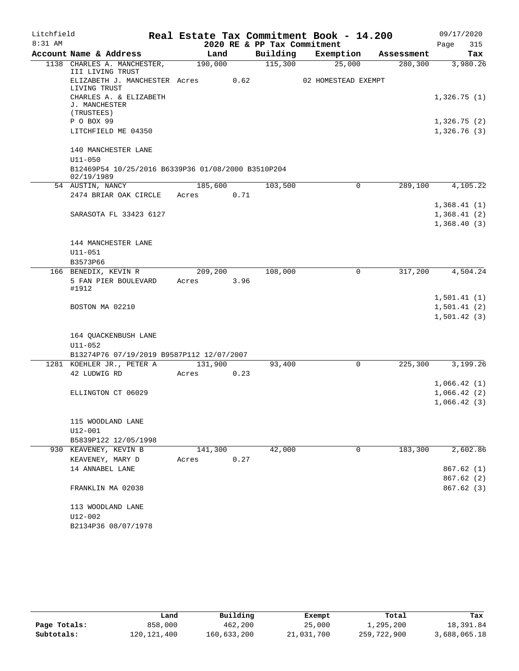| Litchfield |                                                                  |         |      |                             | Real Estate Tax Commitment Book - 14.200 |              | 09/17/2020                                |
|------------|------------------------------------------------------------------|---------|------|-----------------------------|------------------------------------------|--------------|-------------------------------------------|
| 8:31 AM    |                                                                  |         |      | 2020 RE & PP Tax Commitment |                                          |              | Page<br>315                               |
|            | Account Name & Address                                           | Land    |      | Building                    | Exemption                                | Assessment   | Tax                                       |
|            | 1138 CHARLES A. MANCHESTER,<br>III LIVING TRUST                  | 190,000 |      | 115,300                     | 25,000                                   | 280, 300     | 3,980.26                                  |
|            | ELIZABETH J. MANCHESTER Acres<br>LIVING TRUST                    |         | 0.62 |                             | 02 HOMESTEAD EXEMPT                      |              |                                           |
|            | CHARLES A. & ELIZABETH<br>J. MANCHESTER<br>(TRUSTEES)            |         |      |                             |                                          |              | 1,326.75(1)                               |
|            | P O BOX 99                                                       |         |      |                             |                                          |              | 1,326.75(2)                               |
|            | LITCHFIELD ME 04350                                              |         |      |                             |                                          |              | 1,326.76(3)                               |
|            | 140 MANCHESTER LANE                                              |         |      |                             |                                          |              |                                           |
|            | $U11 - 050$                                                      |         |      |                             |                                          |              |                                           |
|            | B12469P54 10/25/2016 B6339P36 01/08/2000 B3510P204<br>02/19/1989 |         |      |                             |                                          |              |                                           |
|            | 54 AUSTIN, NANCY                                                 | 185,600 |      | 103,500                     |                                          | 289,100<br>0 | 4,105.22                                  |
|            | 2474 BRIAR OAK CIRCLE                                            | Acres   | 0.71 |                             |                                          |              |                                           |
|            | SARASOTA FL 33423 6127                                           |         |      |                             |                                          |              | 1,368.41(1)<br>1,368.41(2)<br>1,368.40(3) |
|            | 144 MANCHESTER LANE                                              |         |      |                             |                                          |              |                                           |
|            | $U11 - 051$                                                      |         |      |                             |                                          |              |                                           |
|            | B3573P66                                                         |         |      |                             |                                          |              |                                           |
|            | 166 BENEDIX, KEVIN R                                             | 209,200 |      | 108,000                     |                                          | 317,200<br>0 | 4,504.24                                  |
|            | 5 FAN PIER BOULEVARD<br>#1912                                    | Acres   | 3.96 |                             |                                          |              |                                           |
|            |                                                                  |         |      |                             |                                          |              | 1,501.41(1)                               |
|            | BOSTON MA 02210                                                  |         |      |                             |                                          |              | 1,501.41(2)                               |
|            |                                                                  |         |      |                             |                                          |              | 1,501.42(3)                               |
|            | 164 QUACKENBUSH LANE                                             |         |      |                             |                                          |              |                                           |
|            | U11-052                                                          |         |      |                             |                                          |              |                                           |
|            | B13274P76 07/19/2019 B9587P112 12/07/2007                        |         |      |                             |                                          |              |                                           |
|            | 1281 KOEHLER JR., PETER A                                        | 131,900 |      | 93,400                      |                                          | 0<br>225,300 | 3,199.26                                  |
|            | 42 LUDWIG RD                                                     | Acres   | 0.23 |                             |                                          |              |                                           |
|            |                                                                  |         |      |                             |                                          |              | 1,066.42(1)                               |
|            | ELLINGTON CT 06029                                               |         |      |                             |                                          |              | 1,066.42(2)                               |
|            |                                                                  |         |      |                             |                                          |              | 1,066.42(3)                               |
|            | 115 WOODLAND LANE                                                |         |      |                             |                                          |              |                                           |
|            | U12-001                                                          |         |      |                             |                                          |              |                                           |
|            | B5839P122 12/05/1998                                             |         |      |                             |                                          |              |                                           |
|            | 930 KEAVENEY, KEVIN B                                            | 141,300 |      | 42,000                      |                                          | 183,300<br>0 | 2,602.86                                  |
|            | KEAVENEY, MARY D                                                 | Acres   | 0.27 |                             |                                          |              |                                           |
|            | 14 ANNABEL LANE                                                  |         |      |                             |                                          |              | 867.62(1)                                 |
|            |                                                                  |         |      |                             |                                          |              | 867.62(2)                                 |
|            | FRANKLIN MA 02038                                                |         |      |                             |                                          |              | 867.62 (3)                                |
|            | 113 WOODLAND LANE                                                |         |      |                             |                                          |              |                                           |
|            | U12-002                                                          |         |      |                             |                                          |              |                                           |
|            | B2134P36 08/07/1978                                              |         |      |                             |                                          |              |                                           |

|              | Land        | Building    | Exempt     | Total       | Tax          |
|--------------|-------------|-------------|------------|-------------|--------------|
| Page Totals: | 858,000     | 462,200     | 25,000     | 1,295,200   | 18,391.84    |
| Subtotals:   | 120,121,400 | 160,633,200 | 21,031,700 | 259,722,900 | 3,688,065.18 |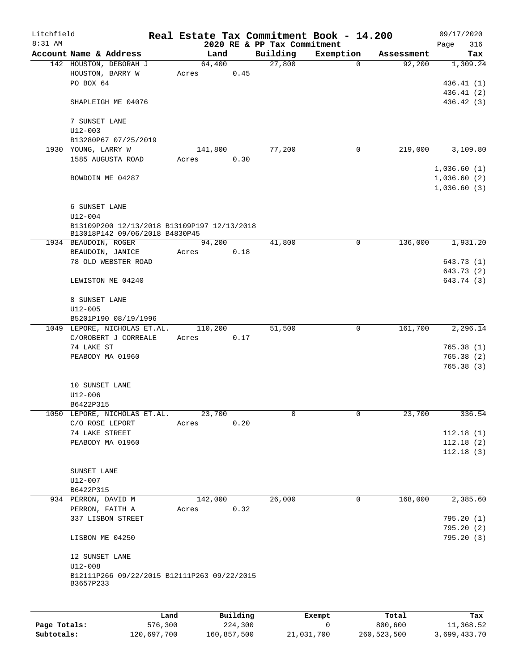| Litchfield   |                                                          | Real Estate Tax Commitment Book - 14.200 |          |                                         |              |                      | 09/17/2020  |                         |
|--------------|----------------------------------------------------------|------------------------------------------|----------|-----------------------------------------|--------------|----------------------|-------------|-------------------------|
| 8:31 AM      | Account Name & Address                                   | Land                                     |          | 2020 RE & PP Tax Commitment<br>Building | Exemption    |                      | Page        | 316<br>Tax              |
|              | 142 HOUSTON, DEBORAH J                                   | 64,400                                   |          | 27,800                                  | $\Omega$     | Assessment<br>92,200 |             | 1,309.24                |
|              | HOUSTON, BARRY W                                         | Acres                                    | 0.45     |                                         |              |                      |             |                         |
|              | PO BOX 64                                                |                                          |          |                                         |              |                      |             | 436.41(1)               |
|              |                                                          |                                          |          |                                         |              |                      |             | 436.41 (2)              |
|              | SHAPLEIGH ME 04076                                       |                                          |          |                                         |              |                      |             | 436.42 (3)              |
|              | 7 SUNSET LANE                                            |                                          |          |                                         |              |                      |             |                         |
|              | $U12 - 003$                                              |                                          |          |                                         |              |                      |             |                         |
|              | B13280P67 07/25/2019                                     |                                          |          |                                         |              |                      |             |                         |
|              | 1930 YOUNG, LARRY W                                      | 141,800                                  |          | 77,200                                  | 0            | 219,000              |             | 3,109.80                |
|              | 1585 AUGUSTA ROAD                                        | Acres                                    | 0.30     |                                         |              |                      |             |                         |
|              |                                                          |                                          |          |                                         |              |                      | 1,036.60(1) |                         |
|              | BOWDOIN ME 04287                                         |                                          |          |                                         |              |                      | 1,036.60(2) |                         |
|              |                                                          |                                          |          |                                         |              |                      | 1,036.60(3) |                         |
|              | 6 SUNSET LANE                                            |                                          |          |                                         |              |                      |             |                         |
|              | $U12 - 004$                                              |                                          |          |                                         |              |                      |             |                         |
|              | B13109P200 12/13/2018 B13109P197 12/13/2018              |                                          |          |                                         |              |                      |             |                         |
|              | B13018P142 09/06/2018 B4830P45                           |                                          |          |                                         |              |                      |             |                         |
|              | 1934 BEAUDOIN, ROGER                                     | 94,200                                   |          | 41,800                                  | 0            | 136,000              |             | 1,931.20                |
|              | BEAUDOIN, JANICE                                         | Acres                                    | 0.18     |                                         |              |                      |             |                         |
|              | 78 OLD WEBSTER ROAD                                      |                                          |          |                                         |              |                      |             | 643.73 (1)              |
|              |                                                          |                                          |          |                                         |              |                      |             | 643.73 (2)              |
|              | LEWISTON ME 04240                                        |                                          |          |                                         |              |                      |             | 643.74 (3)              |
|              | 8 SUNSET LANE                                            |                                          |          |                                         |              |                      |             |                         |
|              | $U12 - 005$                                              |                                          |          |                                         |              |                      |             |                         |
|              | B5201P190 08/19/1996                                     |                                          |          |                                         |              |                      |             |                         |
|              | 1049 LEPORE, NICHOLAS ET.AL.                             | 110,200                                  |          | 51,500                                  | $\mathbf 0$  | 161,700              |             | 2,296.14                |
|              | C/OROBERT J CORREALE                                     | Acres                                    | 0.17     |                                         |              |                      |             |                         |
|              | 74 LAKE ST                                               |                                          |          |                                         |              |                      |             | 765.38(1)               |
|              | PEABODY MA 01960                                         |                                          |          |                                         |              |                      |             | 765.38(2)               |
|              |                                                          |                                          |          |                                         |              |                      |             | 765.38(3)               |
|              |                                                          |                                          |          |                                         |              |                      |             |                         |
|              | 10 SUNSET LANE                                           |                                          |          |                                         |              |                      |             |                         |
|              | $U12 - 006$<br>B6422P315                                 |                                          |          |                                         |              |                      |             |                         |
|              | 1050 LEPORE, NICHOLAS ET.AL.                             | 23,700                                   |          | 0                                       | $\mathsf{O}$ | 23,700               |             | 336.54                  |
|              | C/O ROSE LEPORT                                          | Acres                                    | 0.20     |                                         |              |                      |             |                         |
|              | 74 LAKE STREET                                           |                                          |          |                                         |              |                      |             | 112.18(1)               |
|              | PEABODY MA 01960                                         |                                          |          |                                         |              |                      |             | 112.18(2)               |
|              |                                                          |                                          |          |                                         |              |                      |             | 112.18(3)               |
|              |                                                          |                                          |          |                                         |              |                      |             |                         |
|              | SUNSET LANE                                              |                                          |          |                                         |              |                      |             |                         |
|              | U12-007                                                  |                                          |          |                                         |              |                      |             |                         |
|              | B6422P315                                                |                                          |          |                                         |              |                      |             |                         |
|              | 934 PERRON, DAVID M                                      | 142,000                                  |          | 26,000                                  | 0            | 168,000              |             | 2,385.60                |
|              | PERRON, FAITH A                                          | Acres                                    | 0.32     |                                         |              |                      |             |                         |
|              | 337 LISBON STREET                                        |                                          |          |                                         |              |                      |             | 795.20 (1)              |
|              | LISBON ME 04250                                          |                                          |          |                                         |              |                      |             | 795.20 (2)<br>795.20(3) |
|              |                                                          |                                          |          |                                         |              |                      |             |                         |
|              | 12 SUNSET LANE<br>$U12 - 008$                            |                                          |          |                                         |              |                      |             |                         |
|              | B12111P266 09/22/2015 B12111P263 09/22/2015<br>B3657P233 |                                          |          |                                         |              |                      |             |                         |
|              |                                                          |                                          |          |                                         |              |                      |             |                         |
|              |                                                          |                                          |          |                                         |              |                      |             |                         |
|              | Land                                                     |                                          | Building |                                         | Exempt       | Total                |             | Tax                     |
| Page Totals: | 576,300                                                  |                                          | 224,300  |                                         | 0            | 800,600              |             | 11,368.52               |

**Subtotals:** 120,697,700 160,857,500 21,031,700 260,523,500 3,699,433.70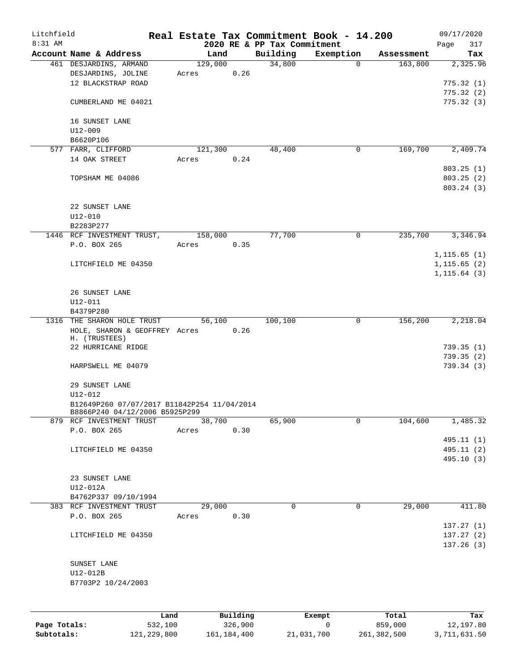| Litchfield<br>8:31 AM |                                             |         |          | 2020 RE & PP Tax Commitment | Real Estate Tax Commitment Book - 14.200 |            | 09/17/2020<br>317<br>Page |
|-----------------------|---------------------------------------------|---------|----------|-----------------------------|------------------------------------------|------------|---------------------------|
|                       | Account Name & Address                      | Land    |          | Building                    | Exemption                                | Assessment | Tax                       |
|                       | 461 DESJARDINS, ARMAND                      | 129,000 |          | 34,800                      | $\Omega$                                 | 163,800    | 2,325.96                  |
|                       | DESJARDINS, JOLINE                          | Acres   | 0.26     |                             |                                          |            |                           |
|                       | 12 BLACKSTRAP ROAD                          |         |          |                             |                                          |            | 775.32(1)                 |
|                       |                                             |         |          |                             |                                          |            | 775.32(2)                 |
|                       | CUMBERLAND ME 04021                         |         |          |                             |                                          |            | 775.32(3)                 |
|                       |                                             |         |          |                             |                                          |            |                           |
|                       | 16 SUNSET LANE                              |         |          |                             |                                          |            |                           |
|                       |                                             |         |          |                             |                                          |            |                           |
|                       | $U12 - 009$                                 |         |          |                             |                                          |            |                           |
|                       | B6620P106                                   |         |          |                             |                                          |            |                           |
|                       | 577 FARR, CLIFFORD                          | 121,300 |          | 48,400                      | 0                                        | 169,700    | 2,409.74                  |
|                       | 14 OAK STREET                               | Acres   | 0.24     |                             |                                          |            |                           |
|                       |                                             |         |          |                             |                                          |            | 803.25(1)                 |
|                       | TOPSHAM ME 04086                            |         |          |                             |                                          |            | 803.25(2)                 |
|                       |                                             |         |          |                             |                                          |            | 803.24 (3)                |
|                       |                                             |         |          |                             |                                          |            |                           |
|                       | 22 SUNSET LANE                              |         |          |                             |                                          |            |                           |
|                       | $U12 - 010$                                 |         |          |                             |                                          |            |                           |
|                       | B2283P277                                   |         |          |                             |                                          |            |                           |
|                       | 1446 RCF INVESTMENT TRUST,                  | 158,000 |          | 77,700                      | 0                                        | 235,700    | 3,346.94                  |
|                       | P.O. BOX 265                                | Acres   | 0.35     |                             |                                          |            |                           |
|                       |                                             |         |          |                             |                                          |            | 1, 115.65(1)              |
|                       | LITCHFIELD ME 04350                         |         |          |                             |                                          |            | 1, 115.65(2)              |
|                       |                                             |         |          |                             |                                          |            | 1, 115.64(3)              |
|                       |                                             |         |          |                             |                                          |            |                           |
|                       | 26 SUNSET LANE                              |         |          |                             |                                          |            |                           |
|                       | $U12 - 011$                                 |         |          |                             |                                          |            |                           |
|                       | B4379P280                                   |         |          |                             |                                          |            |                           |
|                       | 1316 THE SHARON HOLE TRUST                  | 56,100  |          | 100,100                     | 0                                        | 156,200    | 2,218.04                  |
|                       | HOLE, SHARON & GEOFFREY Acres               |         | 0.26     |                             |                                          |            |                           |
|                       | H. (TRUSTEES)                               |         |          |                             |                                          |            |                           |
|                       | 22 HURRICANE RIDGE                          |         |          |                             |                                          |            | 739.35(1)                 |
|                       |                                             |         |          |                             |                                          |            | 739.35(2)                 |
|                       | HARPSWELL ME 04079                          |         |          |                             |                                          |            | 739.34(3)                 |
|                       |                                             |         |          |                             |                                          |            |                           |
|                       | 29 SUNSET LANE                              |         |          |                             |                                          |            |                           |
|                       | U12-012                                     |         |          |                             |                                          |            |                           |
|                       | B12649P260 07/07/2017 B11842P254 11/04/2014 |         |          |                             |                                          |            |                           |
|                       | B8866P240 04/12/2006 B5925P299              |         |          |                             |                                          |            |                           |
|                       | 879 RCF INVESTMENT TRUST                    | 38,700  |          | 65,900                      | 0                                        | 104,600    | 1,485.32                  |
|                       | P.O. BOX 265                                | Acres   | 0.30     |                             |                                          |            |                           |
|                       |                                             |         |          |                             |                                          |            | 495.11 (1)                |
|                       | LITCHFIELD ME 04350                         |         |          |                             |                                          |            | 495.11 (2)                |
|                       |                                             |         |          |                             |                                          |            | 495.10(3)                 |
|                       |                                             |         |          |                             |                                          |            |                           |
|                       | 23 SUNSET LANE                              |         |          |                             |                                          |            |                           |
|                       | U12-012A                                    |         |          |                             |                                          |            |                           |
|                       | B4762P337 09/10/1994                        |         |          |                             |                                          |            |                           |
|                       | 383 RCF INVESTMENT TRUST                    | 29,000  |          | 0                           | $\mathbf 0$                              | 29,000     | 411.80                    |
|                       | P.O. BOX 265                                | Acres   | 0.30     |                             |                                          |            |                           |
|                       |                                             |         |          |                             |                                          |            |                           |
|                       |                                             |         |          |                             |                                          |            | 137.27(1)                 |
|                       | LITCHFIELD ME 04350                         |         |          |                             |                                          |            | 137.27(2)                 |
|                       |                                             |         |          |                             |                                          |            | 137.26(3)                 |
|                       |                                             |         |          |                             |                                          |            |                           |
|                       | SUNSET LANE                                 |         |          |                             |                                          |            |                           |
|                       | U12-012B                                    |         |          |                             |                                          |            |                           |
|                       | B7703P2 10/24/2003                          |         |          |                             |                                          |            |                           |
|                       |                                             |         |          |                             |                                          |            |                           |
|                       |                                             |         |          |                             |                                          |            |                           |
|                       | Land                                        |         | Building |                             | Exempt                                   | Total      | Tax                       |

|              | --------    | ______________ | ______     | --------    | -------      |
|--------------|-------------|----------------|------------|-------------|--------------|
| Page Totals: | 532,100     | 326,900        |            | 859,000     | 12,197.80    |
| Subtotals:   | 121,229,800 | 161,184,400    | 21,031,700 | 261,382,500 | 3,711,631.50 |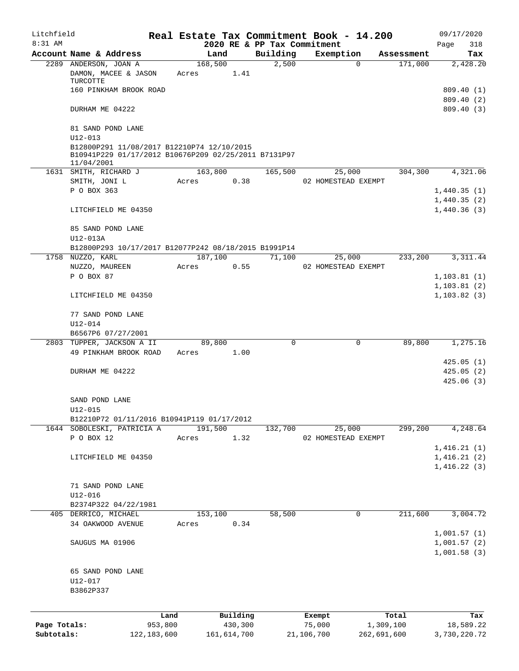| Litchfield   |                                                                                                                  |                 |                 |                     |                             | Real Estate Tax Commitment Book - 14.200 |                       | 09/17/2020                                |
|--------------|------------------------------------------------------------------------------------------------------------------|-----------------|-----------------|---------------------|-----------------------------|------------------------------------------|-----------------------|-------------------------------------------|
| $8:31$ AM    |                                                                                                                  |                 |                 |                     | 2020 RE & PP Tax Commitment |                                          |                       | Page<br>318                               |
|              | Account Name & Address<br>2289 ANDERSON, JOAN A                                                                  |                 | Land<br>168,500 |                     | Building<br>2,500           | Exemption<br>$\mathbf 0$                 | Assessment<br>171,000 | Tax<br>2,428.20                           |
|              | DAMON, MACEE & JASON<br>TURCOTTE                                                                                 |                 | Acres           | 1.41                |                             |                                          |                       |                                           |
|              | 160 PINKHAM BROOK ROAD                                                                                           |                 |                 |                     |                             |                                          |                       | 809.40(1)                                 |
|              | DURHAM ME 04222                                                                                                  |                 |                 |                     |                             |                                          |                       | 809.40(2)<br>809.40(3)                    |
|              | 81 SAND POND LANE<br>$U12 - 013$                                                                                 |                 |                 |                     |                             |                                          |                       |                                           |
|              | B12800P291 11/08/2017 B12210P74 12/10/2015<br>B10941P229 01/17/2012 B10676P209 02/25/2011 B7131P97<br>11/04/2001 |                 |                 |                     |                             |                                          |                       |                                           |
|              | 1631 SMITH, RICHARD J                                                                                            |                 | 163,800         |                     | 165,500                     | 25,000                                   | 304,300               | 4,321.06                                  |
|              | SMITH, JONI L                                                                                                    |                 | Acres           | 0.38                |                             | 02 HOMESTEAD EXEMPT                      |                       |                                           |
|              | P O BOX 363                                                                                                      |                 |                 |                     |                             |                                          |                       | 1,440.35(1)                               |
|              | LITCHFIELD ME 04350                                                                                              |                 |                 |                     |                             |                                          |                       | 1,440.35(2)<br>1,440.36(3)                |
|              | 85 SAND POND LANE<br>U12-013A                                                                                    |                 |                 |                     |                             |                                          |                       |                                           |
|              | B12800P293 10/17/2017 B12077P242 08/18/2015 B1991P14                                                             |                 |                 |                     |                             |                                          |                       |                                           |
|              | 1758 NUZZO, KARL                                                                                                 |                 | 187,100         |                     | 71,100                      | 25,000                                   | 233,200               | 3,311.44                                  |
|              | NUZZO, MAUREEN                                                                                                   |                 | Acres           | 0.55                |                             | 02 HOMESTEAD EXEMPT                      |                       |                                           |
|              | P O BOX 87                                                                                                       |                 |                 |                     |                             |                                          |                       | 1,103.81(1)                               |
|              |                                                                                                                  |                 |                 |                     |                             |                                          |                       | 1, 103.81(2)                              |
|              | LITCHFIELD ME 04350                                                                                              |                 |                 |                     |                             |                                          |                       | 1, 103.82(3)                              |
|              | 77 SAND POND LANE                                                                                                |                 |                 |                     |                             |                                          |                       |                                           |
|              | U12-014                                                                                                          |                 |                 |                     |                             |                                          |                       |                                           |
|              | B6567P6 07/27/2001<br>2803 TUPPER, JACKSON A II                                                                  |                 | 89,800          |                     | 0                           | 0                                        | 89,800                | 1,275.16                                  |
|              | 49 PINKHAM BROOK ROAD                                                                                            |                 | Acres           | 1.00                |                             |                                          |                       |                                           |
|              |                                                                                                                  |                 |                 |                     |                             |                                          |                       | 425.05(1)                                 |
|              | DURHAM ME 04222                                                                                                  |                 |                 |                     |                             |                                          |                       | 425.05(2)                                 |
|              |                                                                                                                  |                 |                 |                     |                             |                                          |                       | 425.06(3)                                 |
|              | SAND POND LANE<br>$U12 - 015$                                                                                    |                 |                 |                     |                             |                                          |                       |                                           |
|              | B12210P72 01/11/2016 B10941P119 01/17/2012                                                                       |                 |                 |                     |                             |                                          |                       |                                           |
|              | 1644 SOBOLESKI, PATRICIA A                                                                                       |                 | 191,500         |                     | 132,700                     | 25,000                                   | 299,200               | 4,248.64                                  |
|              | P O BOX 12                                                                                                       |                 | Acres           | 1.32                |                             | 02 HOMESTEAD EXEMPT                      |                       |                                           |
|              |                                                                                                                  |                 |                 |                     |                             |                                          |                       | 1,416.21(1)                               |
|              | LITCHFIELD ME 04350                                                                                              |                 |                 |                     |                             |                                          |                       | 1,416.21(2)                               |
|              |                                                                                                                  |                 |                 |                     |                             |                                          |                       | 1,416.22(3)                               |
|              | 71 SAND POND LANE                                                                                                |                 |                 |                     |                             |                                          |                       |                                           |
|              | U12-016                                                                                                          |                 |                 |                     |                             |                                          |                       |                                           |
|              | B2374P322 04/22/1981                                                                                             |                 |                 |                     |                             |                                          |                       |                                           |
|              | 405 DERRICO, MICHAEL                                                                                             |                 | 153,100         |                     | 58,500                      | 0                                        | 211,600               | 3,004.72                                  |
|              | 34 OAKWOOD AVENUE                                                                                                |                 | Acres           | 0.34                |                             |                                          |                       |                                           |
|              | SAUGUS MA 01906                                                                                                  |                 |                 |                     |                             |                                          |                       | 1,001.57(1)<br>1,001.57(2)<br>1,001.58(3) |
|              | 65 SAND POND LANE                                                                                                |                 |                 |                     |                             |                                          |                       |                                           |
|              | U12-017                                                                                                          |                 |                 |                     |                             |                                          |                       |                                           |
|              | B3862P337                                                                                                        |                 |                 |                     |                             |                                          |                       |                                           |
|              |                                                                                                                  |                 |                 |                     |                             |                                          |                       |                                           |
| Page Totals: |                                                                                                                  | Land<br>953,800 |                 | Building<br>430,300 |                             | Exempt<br>75,000                         | Total<br>1,309,100    | Tax<br>18,589.22                          |
| Subtotals:   |                                                                                                                  | 122, 183, 600   |                 | 161,614,700         |                             | 21,106,700                               | 262,691,600           | 3,730,220.72                              |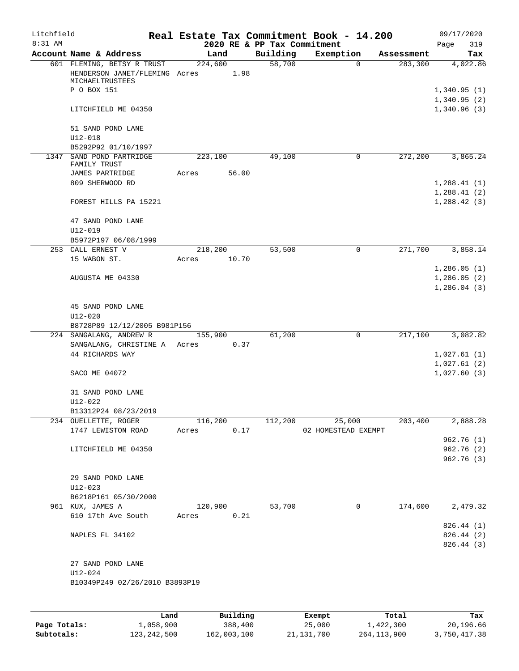| Litchfield |                                                      |                 |      |                             | Real Estate Tax Commitment Book - 14.200 |                       | 09/17/2020                  |
|------------|------------------------------------------------------|-----------------|------|-----------------------------|------------------------------------------|-----------------------|-----------------------------|
| $8:31$ AM  |                                                      |                 |      | 2020 RE & PP Tax Commitment |                                          |                       | Page<br>319                 |
|            | Account Name & Address<br>601 FLEMING, BETSY R TRUST | Land<br>224,600 |      | Building<br>58,700          | Exemption<br>0                           | Assessment<br>283,300 | Tax<br>4,022.86             |
|            | HENDERSON JANET/FLEMING Acres<br>MICHAELTRUSTEES     | 1.98            |      |                             |                                          |                       |                             |
|            | P O BOX 151                                          |                 |      |                             |                                          |                       | 1,340.95(1)<br>1,340.95(2)  |
|            | LITCHFIELD ME 04350                                  |                 |      |                             |                                          |                       | 1,340.96(3)                 |
|            | 51 SAND POND LANE<br>$U12 - 018$                     |                 |      |                             |                                          |                       |                             |
|            | B5292P92 01/10/1997                                  |                 |      |                             |                                          |                       |                             |
|            | 1347 SAND POND PARTRIDGE<br>FAMILY TRUST             | 223,100         |      | 49,100                      | 0                                        | 272,200               | 3,865.24                    |
|            | JAMES PARTRIDGE                                      | 56.00<br>Acres  |      |                             |                                          |                       |                             |
|            | 809 SHERWOOD RD                                      |                 |      |                             |                                          |                       | 1,288.41(1)                 |
|            | FOREST HILLS PA 15221                                |                 |      |                             |                                          |                       | 1,288.41(2)<br>1, 288.42(3) |
|            | 47 SAND POND LANE                                    |                 |      |                             |                                          |                       |                             |
|            | $U12 - 019$<br>B5972P197 06/08/1999                  |                 |      |                             |                                          |                       |                             |
|            | 253 CALL ERNEST V                                    | 218,200         |      | 53,500                      | 0                                        | 271,700               | 3,858.14                    |
|            | 15 WABON ST.                                         | 10.70<br>Acres  |      |                             |                                          |                       |                             |
|            |                                                      |                 |      |                             |                                          |                       | 1,286.05(1)                 |
|            | AUGUSTA ME 04330                                     |                 |      |                             |                                          |                       | 1,286.05(2)                 |
|            |                                                      |                 |      |                             |                                          |                       | 1,286.04(3)                 |
|            | 45 SAND POND LANE                                    |                 |      |                             |                                          |                       |                             |
|            | U12-020                                              |                 |      |                             |                                          |                       |                             |
|            | B8728P89 12/12/2005 B981P156                         |                 |      |                             |                                          |                       |                             |
|            | 224 SANGALANG, ANDREW R                              | 155,900         |      | 61,200                      | $\mathbf 0$                              | 217,100               | 3,082.82                    |
|            | SANGALANG, CHRISTINE A Acres 0.37                    |                 |      |                             |                                          |                       |                             |
|            | 44 RICHARDS WAY                                      |                 |      |                             |                                          |                       | 1,027.61(1)                 |
|            | SACO ME 04072                                        |                 |      |                             |                                          |                       | 1,027.61(2)<br>1,027.60(3)  |
|            | 31 SAND POND LANE                                    |                 |      |                             |                                          |                       |                             |
|            | $U12 - 022$                                          |                 |      |                             |                                          |                       |                             |
|            | B13312P24 08/23/2019<br>234 OUELLETTE, ROGER         | 116,200         |      | 112,200                     | 25,000                                   | 203,400               | 2,888.28                    |
|            | 1747 LEWISTON ROAD                                   | Acres           | 0.17 |                             | 02 HOMESTEAD EXEMPT                      |                       |                             |
|            |                                                      |                 |      |                             |                                          |                       | 962.76(1)                   |
|            | LITCHFIELD ME 04350                                  |                 |      |                             |                                          |                       | 962.76 (2)                  |
|            |                                                      |                 |      |                             |                                          |                       | 962.76 (3)                  |
|            | 29 SAND POND LANE                                    |                 |      |                             |                                          |                       |                             |
|            | U12-023                                              |                 |      |                             |                                          |                       |                             |
|            | B6218P161 05/30/2000                                 |                 |      |                             |                                          |                       |                             |
|            | 961 KUX, JAMES A                                     | 120,900         |      | 53,700                      | 0                                        | 174,600               | 2,479.32                    |
|            | 610 17th Ave South                                   | Acres           | 0.21 |                             |                                          |                       |                             |
|            |                                                      |                 |      |                             |                                          |                       | 826.44 (1)                  |
|            | NAPLES FL 34102                                      |                 |      |                             |                                          |                       | 826.44 (2)                  |
|            |                                                      |                 |      |                             |                                          |                       | 826.44 (3)                  |
|            | 27 SAND POND LANE                                    |                 |      |                             |                                          |                       |                             |
|            | U12-024                                              |                 |      |                             |                                          |                       |                             |
|            | B10349P249 02/26/2010 B3893P19                       |                 |      |                             |                                          |                       |                             |
|            |                                                      |                 |      |                             |                                          |                       |                             |
|            |                                                      |                 |      |                             |                                          |                       |                             |
|            |                                                      |                 |      |                             |                                          |                       |                             |

|              | Land        | Building    | Exempt     | Total       | Tax          |
|--------------|-------------|-------------|------------|-------------|--------------|
| Page Totals: | 1,058,900   | 388,400     | 25,000     | 1,422,300   | 20,196.66    |
| Subtotals:   | 123,242,500 | 162,003,100 | 21,131,700 | 264,113,900 | 3,750,417.38 |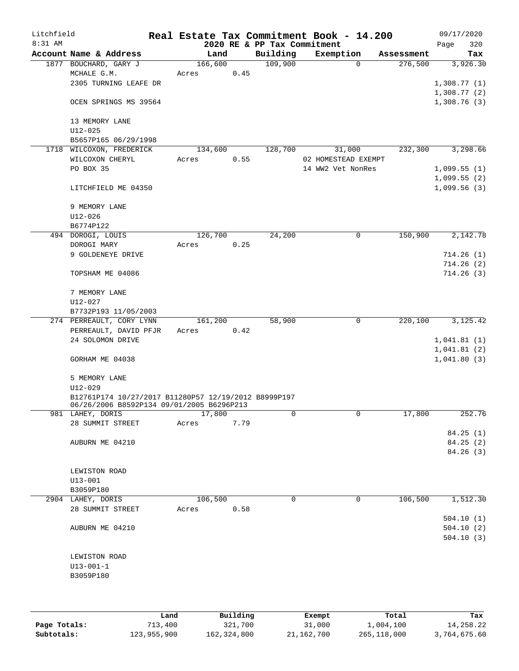| Litchfield |                                                               |                 |      |                             | Real Estate Tax Commitment Book - 14.200 |                       | 09/17/2020  |                 |
|------------|---------------------------------------------------------------|-----------------|------|-----------------------------|------------------------------------------|-----------------------|-------------|-----------------|
| 8:31 AM    |                                                               |                 |      | 2020 RE & PP Tax Commitment |                                          |                       | Page        | 320             |
|            | Account Name & Address<br>1877 BOUCHARD, GARY J               | Land<br>166,600 |      | Building<br>109,900         | Exemption<br>$\Omega$                    | Assessment<br>276,500 |             | Tax<br>3,926.30 |
|            | MCHALE G.M.                                                   | Acres           | 0.45 |                             |                                          |                       |             |                 |
|            | 2305 TURNING LEAFE DR                                         |                 |      |                             |                                          |                       | 1,308.77(1) |                 |
|            |                                                               |                 |      |                             |                                          |                       | 1,308.77(2) |                 |
|            | OCEN SPRINGS MS 39564                                         |                 |      |                             |                                          |                       | 1,308.76(3) |                 |
|            |                                                               |                 |      |                             |                                          |                       |             |                 |
|            | 13 MEMORY LANE                                                |                 |      |                             |                                          |                       |             |                 |
|            | $U12 - 025$<br>B5657P165 06/29/1998                           |                 |      |                             |                                          |                       |             |                 |
|            | 1718 WILCOXON, FREDERICK                                      | 134,600         |      | 128,700                     | 31,000                                   | 232,300               |             | 3,298.66        |
|            | WILCOXON CHERYL                                               | Acres           | 0.55 |                             | 02 HOMESTEAD EXEMPT                      |                       |             |                 |
|            | PO BOX 35                                                     |                 |      |                             | 14 WW2 Vet NonRes                        |                       | 1,099.55(1) |                 |
|            |                                                               |                 |      |                             |                                          |                       | 1,099.55(2) |                 |
|            | LITCHFIELD ME 04350                                           |                 |      |                             |                                          |                       | 1,099.56(3) |                 |
|            |                                                               |                 |      |                             |                                          |                       |             |                 |
|            | 9 MEMORY LANE                                                 |                 |      |                             |                                          |                       |             |                 |
|            | $U12 - 026$                                                   |                 |      |                             |                                          |                       |             |                 |
|            | B6774P122                                                     |                 |      |                             |                                          |                       |             |                 |
|            | 494 DOROGI, LOUIS                                             | 126,700         |      | 24,200                      | 0                                        | 150,900               |             | 2,142.78        |
|            | DOROGI MARY                                                   | Acres           | 0.25 |                             |                                          |                       |             |                 |
|            | 9 GOLDENEYE DRIVE                                             |                 |      |                             |                                          |                       |             | 714.26(1)       |
|            |                                                               |                 |      |                             |                                          |                       |             | 714.26(2)       |
|            | TOPSHAM ME 04086                                              |                 |      |                             |                                          |                       |             | 714.26(3)       |
|            | 7 MEMORY LANE                                                 |                 |      |                             |                                          |                       |             |                 |
|            | $U12 - 027$                                                   |                 |      |                             |                                          |                       |             |                 |
|            | B7732P193 11/05/2003                                          |                 |      |                             |                                          |                       |             |                 |
|            | 274 PERREAULT, CORY LYNN                                      | 161,200         |      | 58,900                      | $\mathbf 0$                              | 220,100               |             | 3,125.42        |
|            | PERREAULT, DAVID PFJR                                         | Acres           | 0.42 |                             |                                          |                       |             |                 |
|            | 24 SOLOMON DRIVE                                              |                 |      |                             |                                          |                       | 1,041.81(1) |                 |
|            |                                                               |                 |      |                             |                                          |                       | 1,041.81(2) |                 |
|            | GORHAM ME 04038                                               |                 |      |                             |                                          |                       | 1,041.80(3) |                 |
|            | 5 MEMORY LANE                                                 |                 |      |                             |                                          |                       |             |                 |
|            | U12-029                                                       |                 |      |                             |                                          |                       |             |                 |
|            | B12761P174 10/27/2017 B11280P57 12/19/2012 B8999P197          |                 |      |                             |                                          |                       |             |                 |
|            | 06/26/2006 B8592P134 09/01/2005 B6296P213<br>981 LAHEY, DORIS | 17,800          |      | 0                           | 0                                        | 17,800                |             | 252.76          |
|            | 28 SUMMIT STREET                                              | Acres           | 7.79 |                             |                                          |                       |             |                 |
|            |                                                               |                 |      |                             |                                          |                       |             | 84.25(1)        |
|            | AUBURN ME 04210                                               |                 |      |                             |                                          |                       |             | 84.25(2)        |
|            |                                                               |                 |      |                             |                                          |                       |             | 84.26 (3)       |
|            |                                                               |                 |      |                             |                                          |                       |             |                 |
|            | LEWISTON ROAD                                                 |                 |      |                             |                                          |                       |             |                 |
|            | $U13 - 001$                                                   |                 |      |                             |                                          |                       |             |                 |
|            | B3059P180                                                     |                 |      |                             |                                          |                       |             |                 |
|            | 2904 LAHEY, DORIS                                             | 106,500         |      | $\Omega$                    | 0                                        | 106,500               |             | 1,512.30        |
|            | 28 SUMMIT STREET                                              | Acres           | 0.58 |                             |                                          |                       |             |                 |
|            |                                                               |                 |      |                             |                                          |                       |             | 504.10(1)       |
|            | AUBURN ME 04210                                               |                 |      |                             |                                          |                       |             | 504.10(2)       |
|            |                                                               |                 |      |                             |                                          |                       |             | 504.10(3)       |
|            | LEWISTON ROAD                                                 |                 |      |                             |                                          |                       |             |                 |
|            | $U13 - 001 - 1$                                               |                 |      |                             |                                          |                       |             |                 |
|            | B3059P180                                                     |                 |      |                             |                                          |                       |             |                 |
|            |                                                               |                 |      |                             |                                          |                       |             |                 |
|            |                                                               |                 |      |                             |                                          |                       |             |                 |
|            |                                                               |                 |      |                             |                                          |                       |             |                 |
|            |                                                               |                 |      |                             |                                          |                       |             |                 |

|              | Land        | Building    | Exempt     | Total       | Tax          |
|--------------|-------------|-------------|------------|-------------|--------------|
| Page Totals: | 713,400     | 321,700     | 31,000     | 1,004,100   | 14,258.22    |
| Subtotals:   | 123,955,900 | 162,324,800 | 21,162,700 | 265,118,000 | 3,764,675.60 |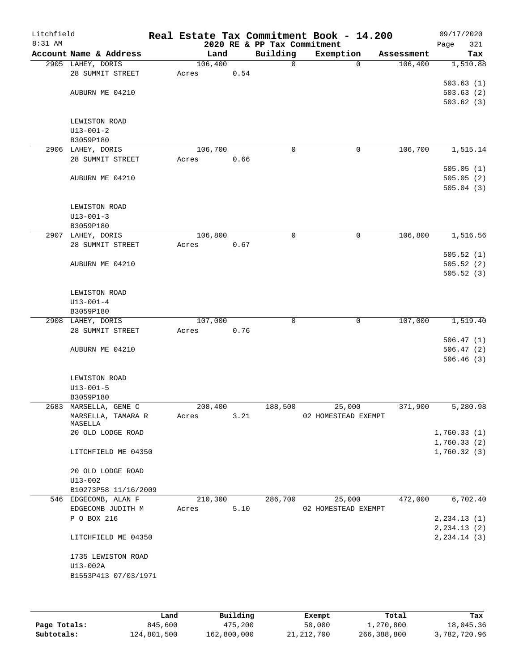| Litchfield<br>8:31 AM |                        |         |      | 2020 RE & PP Tax Commitment | Real Estate Tax Commitment Book - 14.200 |            | 09/17/2020<br>321<br>Page |
|-----------------------|------------------------|---------|------|-----------------------------|------------------------------------------|------------|---------------------------|
|                       | Account Name & Address | Land    |      | Building                    | Exemption                                | Assessment | Tax                       |
|                       | 2905 LAHEY, DORIS      | 106,400 |      | 0                           | $\Omega$                                 | 106,400    | 1,510.88                  |
|                       | 28 SUMMIT STREET       | Acres   | 0.54 |                             |                                          |            |                           |
|                       |                        |         |      |                             |                                          |            | 503.63(1)                 |
|                       | AUBURN ME 04210        |         |      |                             |                                          |            | 503.63(2)                 |
|                       |                        |         |      |                             |                                          |            | 503.62(3)                 |
|                       |                        |         |      |                             |                                          |            |                           |
|                       | LEWISTON ROAD          |         |      |                             |                                          |            |                           |
|                       | $U13 - 001 - 2$        |         |      |                             |                                          |            |                           |
|                       | B3059P180              |         |      |                             |                                          |            |                           |
|                       | 2906 LAHEY, DORIS      | 106,700 |      | $\mathbf 0$                 | 0                                        | 106,700    | 1,515.14                  |
|                       | 28 SUMMIT STREET       | Acres   | 0.66 |                             |                                          |            |                           |
|                       |                        |         |      |                             |                                          |            | 505.05(1)                 |
|                       | AUBURN ME 04210        |         |      |                             |                                          |            | 505.05(2)                 |
|                       |                        |         |      |                             |                                          |            | 505.04(3)                 |
|                       |                        |         |      |                             |                                          |            |                           |
|                       | LEWISTON ROAD          |         |      |                             |                                          |            |                           |
|                       | $U13 - 001 - 3$        |         |      |                             |                                          |            |                           |
|                       | B3059P180              |         |      |                             |                                          |            |                           |
|                       | 2907 LAHEY, DORIS      | 106,800 |      | 0                           | 0                                        | 106,800    | 1,516.56                  |
|                       | 28 SUMMIT STREET       | Acres   | 0.67 |                             |                                          |            |                           |
|                       |                        |         |      |                             |                                          |            | 505.52(1)                 |
|                       | AUBURN ME 04210        |         |      |                             |                                          |            | 505.52(2)                 |
|                       |                        |         |      |                             |                                          |            | 505.52(3)                 |
|                       |                        |         |      |                             |                                          |            |                           |
|                       | LEWISTON ROAD          |         |      |                             |                                          |            |                           |
|                       | $U13 - 001 - 4$        |         |      |                             |                                          |            |                           |
|                       | B3059P180              |         |      |                             |                                          |            |                           |
|                       | 2908 LAHEY, DORIS      | 107,000 |      | 0                           | 0                                        | 107,000    | 1,519.40                  |
|                       | 28 SUMMIT STREET       | Acres   | 0.76 |                             |                                          |            |                           |
|                       |                        |         |      |                             |                                          |            | 506.47(1)                 |
|                       | AUBURN ME 04210        |         |      |                             |                                          |            | 506.47(2)                 |
|                       |                        |         |      |                             |                                          |            | 506.46(3)                 |
|                       |                        |         |      |                             |                                          |            |                           |
|                       | LEWISTON ROAD          |         |      |                             |                                          |            |                           |
|                       | $U13 - 001 - 5$        |         |      |                             |                                          |            |                           |
|                       | B3059P180              |         |      |                             |                                          |            |                           |
|                       | 2683 MARSELLA, GENE C  | 208,400 |      | 188,500                     | 25,000                                   | 371,900    | 5,280.98                  |
|                       | MARSELLA, TAMARA R     | Acres   | 3.21 |                             | 02 HOMESTEAD EXEMPT                      |            |                           |
|                       | MASELLA                |         |      |                             |                                          |            |                           |
|                       | 20 OLD LODGE ROAD      |         |      |                             |                                          |            | 1,760.33(1)               |
|                       |                        |         |      |                             |                                          |            | 1,760.33(2)               |
|                       | LITCHFIELD ME 04350    |         |      |                             |                                          |            | 1,760.32(3)               |
|                       |                        |         |      |                             |                                          |            |                           |
|                       | 20 OLD LODGE ROAD      |         |      |                             |                                          |            |                           |
|                       | $U13 - 002$            |         |      |                             |                                          |            |                           |
|                       | B10273P58 11/16/2009   |         |      |                             |                                          |            |                           |
|                       | 546 EDGECOMB, ALAN F   | 210,300 |      | 286,700                     | 25,000                                   | 472,000    | 6,702.40                  |
|                       | EDGECOMB JUDITH M      | Acres   | 5.10 |                             | 02 HOMESTEAD EXEMPT                      |            |                           |
|                       | P O BOX 216            |         |      |                             |                                          |            | 2, 234.13(1)              |
|                       |                        |         |      |                             |                                          |            | 2, 234.13(2)              |
|                       | LITCHFIELD ME 04350    |         |      |                             |                                          |            | 2, 234.14 (3)             |
|                       |                        |         |      |                             |                                          |            |                           |
|                       | 1735 LEWISTON ROAD     |         |      |                             |                                          |            |                           |
|                       | U13-002A               |         |      |                             |                                          |            |                           |
|                       | B1553P413 07/03/1971   |         |      |                             |                                          |            |                           |
|                       |                        |         |      |                             |                                          |            |                           |
|                       |                        |         |      |                             |                                          |            |                           |
|                       |                        |         |      |                             |                                          |            |                           |

|              | Land        | Building    | Exempt     | Total       | Tax          |
|--------------|-------------|-------------|------------|-------------|--------------|
| Page Totals: | 845,600     | 475,200     | 50,000     | 1,270,800   | 18,045.36    |
| Subtotals:   | 124,801,500 | 162,800,000 | 21,212,700 | 266,388,800 | 3,782,720.96 |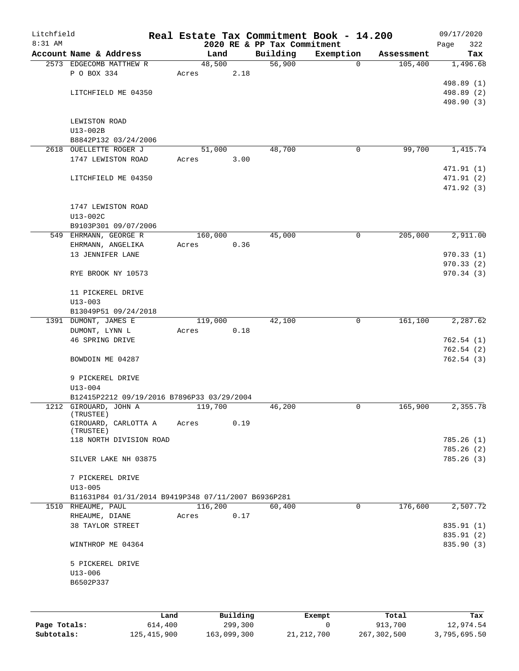| Litchfield |                                                     |       |         |          |                             | Real Estate Tax Commitment Book - 14.200 |            | 09/17/2020  |
|------------|-----------------------------------------------------|-------|---------|----------|-----------------------------|------------------------------------------|------------|-------------|
| 8:31 AM    |                                                     |       |         |          | 2020 RE & PP Tax Commitment |                                          |            | 322<br>Page |
|            | Account Name & Address                              |       | Land    |          | Building                    | Exemption                                | Assessment | Tax         |
|            | 2573 EDGECOMB MATTHEW R<br>P O BOX 334              |       | 48,500  |          | 56,900                      | $\mathbf 0$                              | 105,400    | 1,496.68    |
|            |                                                     | Acres |         | 2.18     |                             |                                          |            | 498.89 (1)  |
|            | LITCHFIELD ME 04350                                 |       |         |          |                             |                                          |            | 498.89 (2)  |
|            |                                                     |       |         |          |                             |                                          |            | 498.90 (3)  |
|            |                                                     |       |         |          |                             |                                          |            |             |
|            | LEWISTON ROAD                                       |       |         |          |                             |                                          |            |             |
|            | U13-002B                                            |       |         |          |                             |                                          |            |             |
|            | B8842P132 03/24/2006                                |       |         |          |                             |                                          |            |             |
|            | 2618 OUELLETTE ROGER J                              |       | 51,000  |          | 48,700                      | 0                                        | 99,700     | 1,415.74    |
|            | 1747 LEWISTON ROAD                                  | Acres |         | 3.00     |                             |                                          |            |             |
|            |                                                     |       |         |          |                             |                                          |            | 471.91 (1)  |
|            | LITCHFIELD ME 04350                                 |       |         |          |                             |                                          |            | 471.91 (2)  |
|            |                                                     |       |         |          |                             |                                          |            | 471.92 (3)  |
|            |                                                     |       |         |          |                             |                                          |            |             |
|            | 1747 LEWISTON ROAD                                  |       |         |          |                             |                                          |            |             |
|            | U13-002C                                            |       |         |          |                             |                                          |            |             |
|            | B9103P301 09/07/2006                                |       |         |          |                             |                                          |            |             |
|            | 549 EHRMANN, GEORGE R                               |       | 160,000 |          | 45,000                      | 0                                        | 205,000    | 2,911.00    |
|            | EHRMANN, ANGELIKA                                   | Acres |         | 0.36     |                             |                                          |            | 970.33(1)   |
|            | 13 JENNIFER LANE                                    |       |         |          |                             |                                          |            | 970.33(2)   |
|            | RYE BROOK NY 10573                                  |       |         |          |                             |                                          |            | 970.34(3)   |
|            |                                                     |       |         |          |                             |                                          |            |             |
|            | 11 PICKEREL DRIVE                                   |       |         |          |                             |                                          |            |             |
|            | $U13 - 003$                                         |       |         |          |                             |                                          |            |             |
|            | B13049P51 09/24/2018                                |       |         |          |                             |                                          |            |             |
|            | 1391 DUMONT, JAMES E                                |       | 119,000 |          | 42,100                      | 0                                        | 161,100    | 2,287.62    |
|            | DUMONT, LYNN L                                      | Acres |         | 0.18     |                             |                                          |            |             |
|            | 46 SPRING DRIVE                                     |       |         |          |                             |                                          |            | 762.54(1)   |
|            |                                                     |       |         |          |                             |                                          |            | 762.54 (2)  |
|            | BOWDOIN ME 04287                                    |       |         |          |                             |                                          |            | 762.54(3)   |
|            |                                                     |       |         |          |                             |                                          |            |             |
|            | 9 PICKEREL DRIVE                                    |       |         |          |                             |                                          |            |             |
|            | $U13 - 004$                                         |       |         |          |                             |                                          |            |             |
|            | B12415P2212 09/19/2016 B7896P33 03/29/2004          |       |         |          |                             |                                          |            |             |
|            | 1212 GIROUARD, JOHN A<br>(TRUSTEE)                  |       | 119,700 |          | 46,200                      | 0                                        | 165,900    | 2,355.78    |
|            | GIROUARD, CARLOTTA A                                | Acres |         | 0.19     |                             |                                          |            |             |
|            | (TRUSTEE)                                           |       |         |          |                             |                                          |            |             |
|            | 118 NORTH DIVISION ROAD                             |       |         |          |                             |                                          |            | 785.26(1)   |
|            |                                                     |       |         |          |                             |                                          |            | 785.26(2)   |
|            | SILVER LAKE NH 03875                                |       |         |          |                             |                                          |            | 785.26(3)   |
|            |                                                     |       |         |          |                             |                                          |            |             |
|            | 7 PICKEREL DRIVE<br>$U13 - 005$                     |       |         |          |                             |                                          |            |             |
|            | B11631P84 01/31/2014 B9419P348 07/11/2007 B6936P281 |       |         |          |                             |                                          |            |             |
|            | 1510 RHEAUME, PAUL                                  |       | 116,200 |          | 60,400                      | 0                                        | 176,600    | 2,507.72    |
|            | RHEAUME, DIANE                                      | Acres |         | 0.17     |                             |                                          |            |             |
|            | 38 TAYLOR STREET                                    |       |         |          |                             |                                          |            | 835.91 (1)  |
|            |                                                     |       |         |          |                             |                                          |            | 835.91 (2)  |
|            | WINTHROP ME 04364                                   |       |         |          |                             |                                          |            | 835.90 (3)  |
|            |                                                     |       |         |          |                             |                                          |            |             |
|            | 5 PICKEREL DRIVE                                    |       |         |          |                             |                                          |            |             |
|            | $U13 - 006$                                         |       |         |          |                             |                                          |            |             |
|            | B6502P337                                           |       |         |          |                             |                                          |            |             |
|            |                                                     |       |         |          |                             |                                          |            |             |
|            |                                                     |       |         |          |                             |                                          |            |             |
|            |                                                     | Land  |         | Building |                             | Exempt                                   | Total      | Tax         |

|              | Land          | Building    | Exempt       | Total       | Tax          |
|--------------|---------------|-------------|--------------|-------------|--------------|
| Page Totals: | 614,400       | 299,300     |              | 913,700     | 12,974.54    |
| Subtotals:   | 125, 415, 900 | 163,099,300 | 21, 212, 700 | 267,302,500 | 3,795,695.50 |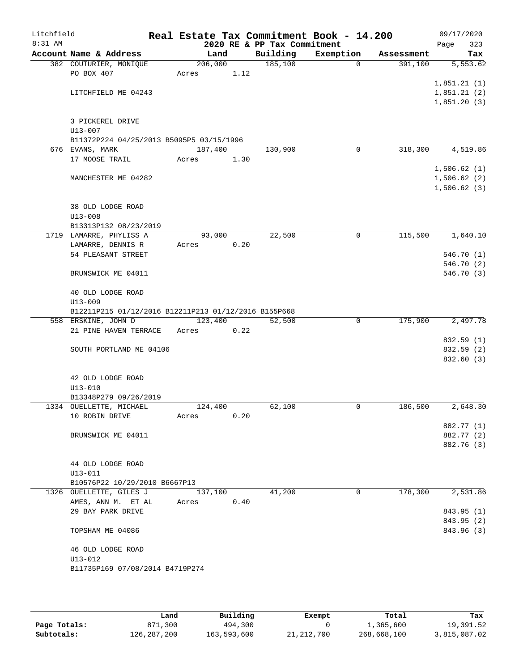| Litchfield |                                                         |         |      |                                         | Real Estate Tax Commitment Book - 14.200 |            | 09/17/2020               |
|------------|---------------------------------------------------------|---------|------|-----------------------------------------|------------------------------------------|------------|--------------------------|
| $8:31$ AM  | Account Name & Address                                  | Land    |      | 2020 RE & PP Tax Commitment<br>Building | Exemption                                | Assessment | 323<br>Page<br>Tax       |
|            | 382 COUTURIER, MONIQUE                                  | 206,000 |      | 185,100                                 | 0                                        | 391,100    | 5,553.62                 |
|            | PO BOX 407                                              | Acres   | 1.12 |                                         |                                          |            |                          |
|            |                                                         |         |      |                                         |                                          |            | 1,851.21(1)              |
|            | LITCHFIELD ME 04243                                     |         |      |                                         |                                          |            | 1,851.21(2)              |
|            |                                                         |         |      |                                         |                                          |            | 1,851.20(3)              |
|            |                                                         |         |      |                                         |                                          |            |                          |
|            | 3 PICKEREL DRIVE                                        |         |      |                                         |                                          |            |                          |
|            | $U13 - 007$<br>B11372P224 04/25/2013 B5095P5 03/15/1996 |         |      |                                         |                                          |            |                          |
|            | 676 EVANS, MARK                                         | 187,400 |      | 130,900                                 | 0                                        | 318,300    | 4,519.86                 |
|            | 17 MOOSE TRAIL                                          | Acres   | 1.30 |                                         |                                          |            |                          |
|            |                                                         |         |      |                                         |                                          |            | 1,506.62(1)              |
|            | MANCHESTER ME 04282                                     |         |      |                                         |                                          |            | 1,506.62(2)              |
|            |                                                         |         |      |                                         |                                          |            | 1,506.62(3)              |
|            |                                                         |         |      |                                         |                                          |            |                          |
|            | 38 OLD LODGE ROAD<br>$U13 - 008$                        |         |      |                                         |                                          |            |                          |
|            | B13313P132 08/23/2019                                   |         |      |                                         |                                          |            |                          |
|            | 1719 LAMARRE, PHYLISS A                                 | 93,000  |      | 22,500                                  | 0                                        | 115,500    | 1,640.10                 |
|            | LAMARRE, DENNIS R                                       | Acres   | 0.20 |                                         |                                          |            |                          |
|            | 54 PLEASANT STREET                                      |         |      |                                         |                                          |            | 546.70 (1)               |
|            |                                                         |         |      |                                         |                                          |            | 546.70 (2)               |
|            | BRUNSWICK ME 04011                                      |         |      |                                         |                                          |            | 546.70 (3)               |
|            | 40 OLD LODGE ROAD                                       |         |      |                                         |                                          |            |                          |
|            | $U13 - 009$                                             |         |      |                                         |                                          |            |                          |
|            | B12211P215 01/12/2016 B12211P213 01/12/2016 B155P668    |         |      |                                         |                                          |            |                          |
|            | 558 ERSKINE, JOHN D                                     | 123,400 |      | 52,500                                  | 0                                        | 175,900    | 2,497.78                 |
|            | 21 PINE HAVEN TERRACE                                   | Acres   | 0.22 |                                         |                                          |            |                          |
|            | SOUTH PORTLAND ME 04106                                 |         |      |                                         |                                          |            | 832.59 (1)<br>832.59 (2) |
|            |                                                         |         |      |                                         |                                          |            | 832.60 (3)               |
|            | 42 OLD LODGE ROAD                                       |         |      |                                         |                                          |            |                          |
|            | U13-010                                                 |         |      |                                         |                                          |            |                          |
|            | B13348P279 09/26/2019                                   |         |      |                                         |                                          |            |                          |
|            | 1334 OUELLETTE, MICHAEL                                 | 124,400 |      | 62,100                                  | 0                                        | 186,500    | 2,648.30                 |
|            | 10 ROBIN DRIVE                                          | Acres   | 0.20 |                                         |                                          |            |                          |
|            |                                                         |         |      |                                         |                                          |            | 882.77 (1)               |
|            | BRUNSWICK ME 04011                                      |         |      |                                         |                                          |            | 882.77 (2)               |
|            |                                                         |         |      |                                         |                                          |            | 882.76 (3)               |
|            | 44 OLD LODGE ROAD                                       |         |      |                                         |                                          |            |                          |
|            | $U13 - 011$                                             |         |      |                                         |                                          |            |                          |
|            | B10576P22 10/29/2010 B6667P13                           |         |      |                                         |                                          |            |                          |
|            | 1326 OUELLETTE, GILES J                                 | 137,100 |      | 41,200                                  | $\Omega$                                 | 178,300    | 2,531.86                 |
|            | AMES, ANN M. ET AL                                      | Acres   | 0.40 |                                         |                                          |            |                          |
|            | 29 BAY PARK DRIVE                                       |         |      |                                         |                                          |            | 843.95 (1)               |
|            |                                                         |         |      |                                         |                                          |            | 843.95 (2)               |
|            | TOPSHAM ME 04086                                        |         |      |                                         |                                          |            | 843.96 (3)               |
|            | 46 OLD LODGE ROAD                                       |         |      |                                         |                                          |            |                          |
|            | $U13 - 012$                                             |         |      |                                         |                                          |            |                          |
|            | B11735P169 07/08/2014 B4719P274                         |         |      |                                         |                                          |            |                          |
|            |                                                         |         |      |                                         |                                          |            |                          |

|              | Land        | Building    | Exempt     | Total       | Tax          |
|--------------|-------------|-------------|------------|-------------|--------------|
| Page Totals: | 871,300     | 494,300     |            | 1,365,600   | 19,391.52    |
| Subtotals:   | 126,287,200 | 163,593,600 | 21,212,700 | 268,668,100 | 3,815,087.02 |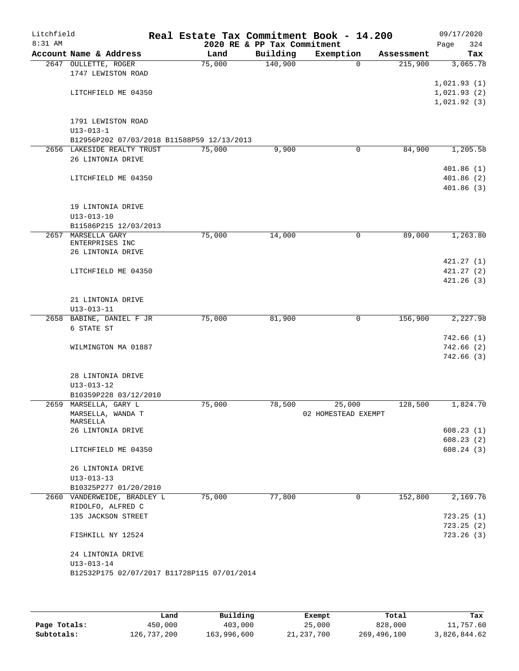| Litchfield |                                                |                |                             | Real Estate Tax Commitment Book - 14.200 |                       | 09/17/2020             |
|------------|------------------------------------------------|----------------|-----------------------------|------------------------------------------|-----------------------|------------------------|
| 8:31 AM    |                                                |                | 2020 RE & PP Tax Commitment |                                          |                       | 324<br>Page            |
|            | Account Name & Address<br>2647 OULLETTE, ROGER | Land<br>75,000 | Building<br>140,900         | Exemption<br>$\Omega$                    | Assessment<br>215,900 | Tax<br>3,065.78        |
|            | 1747 LEWISTON ROAD                             |                |                             |                                          |                       |                        |
|            |                                                |                |                             |                                          |                       | 1,021.93(1)            |
|            | LITCHFIELD ME 04350                            |                |                             |                                          |                       | 1,021.93(2)            |
|            |                                                |                |                             |                                          |                       | 1,021.92(3)            |
|            |                                                |                |                             |                                          |                       |                        |
|            | 1791 LEWISTON ROAD<br>$U13 - 013 - 1$          |                |                             |                                          |                       |                        |
|            | B12956P202 07/03/2018 B11588P59 12/13/2013     |                |                             |                                          |                       |                        |
|            | 2656 LAKESIDE REALTY TRUST                     | 75,000         | 9,900                       | 0                                        | 84,900                | 1,205.58               |
|            | 26 LINTONIA DRIVE                              |                |                             |                                          |                       |                        |
|            |                                                |                |                             |                                          |                       | 401.86(1)              |
|            | LITCHFIELD ME 04350                            |                |                             |                                          |                       | 401.86(2)              |
|            |                                                |                |                             |                                          |                       | 401.86(3)              |
|            |                                                |                |                             |                                          |                       |                        |
|            | 19 LINTONIA DRIVE<br>$U13 - 013 - 10$          |                |                             |                                          |                       |                        |
|            | B11586P215 12/03/2013                          |                |                             |                                          |                       |                        |
| 2657       | MARSELLA GARY                                  | 75,000         | 14,000                      | 0                                        | 89,000                | 1,263.80               |
|            | ENTERPRISES INC                                |                |                             |                                          |                       |                        |
|            | 26 LINTONIA DRIVE                              |                |                             |                                          |                       |                        |
|            | LITCHFIELD ME 04350                            |                |                             |                                          |                       | 421.27(1)<br>421.27(2) |
|            |                                                |                |                             |                                          |                       | 421.26(3)              |
|            |                                                |                |                             |                                          |                       |                        |
|            | 21 LINTONIA DRIVE                              |                |                             |                                          |                       |                        |
|            | $U13 - 013 - 11$                               |                |                             |                                          |                       |                        |
|            | 2658 BABINE, DANIEL F JR                       | 75,000         | 81,900                      | 0                                        | 156,900               | 2,227.98               |
|            | 6 STATE ST                                     |                |                             |                                          |                       |                        |
|            |                                                |                |                             |                                          |                       | 742.66(1)<br>742.66(2) |
|            | WILMINGTON MA 01887                            |                |                             |                                          |                       | 742.66(3)              |
|            |                                                |                |                             |                                          |                       |                        |
|            | 28 LINTONIA DRIVE                              |                |                             |                                          |                       |                        |
|            | $U13 - 013 - 12$                               |                |                             |                                          |                       |                        |
|            | B10359P228 03/12/2010                          |                |                             |                                          |                       |                        |
|            | 2659 MARSELLA, GARY L                          | 75,000         | 78,500                      | 25,000                                   | 128,500               | 1,824.70               |
|            | MARSELLA, WANDA T<br>MARSELLA                  |                |                             | 02 HOMESTEAD EXEMPT                      |                       |                        |
|            | 26 LINTONIA DRIVE                              |                |                             |                                          |                       | 608.23(1)              |
|            |                                                |                |                             |                                          |                       | 608.23(2)              |
|            | LITCHFIELD ME 04350                            |                |                             |                                          |                       | 608.24(3)              |
|            |                                                |                |                             |                                          |                       |                        |
|            | 26 LINTONIA DRIVE<br>$U13 - 013 - 13$          |                |                             |                                          |                       |                        |
|            | B10325P277 01/20/2010                          |                |                             |                                          |                       |                        |
|            | 2660 VANDERWEIDE, BRADLEY L                    | 75,000         | 77,800                      | $\Omega$                                 | 152,800               | 2,169.76               |
|            | RIDOLFO, ALFRED C                              |                |                             |                                          |                       |                        |
|            | 135 JACKSON STREET                             |                |                             |                                          |                       | 723.25(1)              |
|            |                                                |                |                             |                                          |                       | 723.25(2)              |
|            | FISHKILL NY 12524                              |                |                             |                                          |                       | 723.26(3)              |
|            | 24 LINTONIA DRIVE                              |                |                             |                                          |                       |                        |
|            | $U13 - 013 - 14$                               |                |                             |                                          |                       |                        |
|            | B12532P175 02/07/2017 B11728P115 07/01/2014    |                |                             |                                          |                       |                        |
|            |                                                |                |                             |                                          |                       |                        |
|            |                                                |                |                             |                                          |                       |                        |

|              | Land        | Building    | Exempt     | Total       | Tax          |
|--------------|-------------|-------------|------------|-------------|--------------|
| Page Totals: | 450,000     | 403,000     | 25,000     | 828,000     | 11,757.60    |
| Subtotals:   | 126,737,200 | 163,996,600 | 21,237,700 | 269,496,100 | 3,826,844.62 |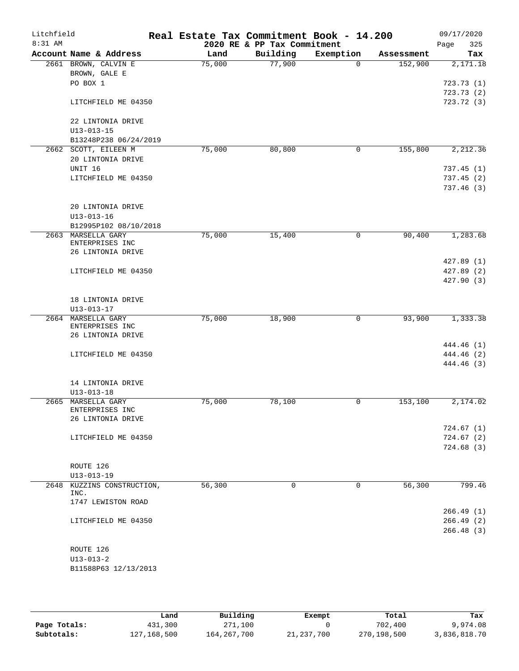| Litchfield<br>$8:31$ AM |                                                | Real Estate Tax Commitment Book - 14.200 | 2020 RE & PP Tax Commitment |              |            | 09/17/2020         |
|-------------------------|------------------------------------------------|------------------------------------------|-----------------------------|--------------|------------|--------------------|
|                         | Account Name & Address                         | Land                                     | Building                    | Exemption    | Assessment | Page<br>325<br>Tax |
|                         | 2661 BROWN, CALVIN E                           | 75,000                                   | 77,900                      | $\Omega$     | 152,900    | 2,171.18           |
|                         | BROWN, GALE E                                  |                                          |                             |              |            |                    |
|                         | PO BOX 1                                       |                                          |                             |              |            | 723.73(1)          |
|                         |                                                |                                          |                             |              |            | 723.73(2)          |
|                         | LITCHFIELD ME 04350                            |                                          |                             |              |            | 723.72 (3)         |
|                         | 22 LINTONIA DRIVE                              |                                          |                             |              |            |                    |
|                         | $U13 - 013 - 15$                               |                                          |                             |              |            |                    |
|                         | B13248P238 06/24/2019                          |                                          |                             |              |            |                    |
|                         | 2662 SCOTT, EILEEN M                           | 75,000                                   | 80,800                      | 0            | 155,800    | 2,212.36           |
|                         | 20 LINTONIA DRIVE                              |                                          |                             |              |            |                    |
|                         | UNIT 16                                        |                                          |                             |              |            | 737.45 (1)         |
|                         | LITCHFIELD ME 04350                            |                                          |                             |              |            | 737.45(2)          |
|                         |                                                |                                          |                             |              |            | 737.46(3)          |
|                         | 20 LINTONIA DRIVE                              |                                          |                             |              |            |                    |
|                         | $U13 - 013 - 16$                               |                                          |                             |              |            |                    |
|                         | B12995P102 08/10/2018                          |                                          |                             |              |            |                    |
| 2663                    | MARSELLA GARY<br>ENTERPRISES INC               | 75,000                                   | 15,400                      | 0            | 90,400     | 1,283.68           |
|                         | 26 LINTONIA DRIVE                              |                                          |                             |              |            |                    |
|                         |                                                |                                          |                             |              |            | 427.89 (1)         |
|                         | LITCHFIELD ME 04350                            |                                          |                             |              |            | 427.89 (2)         |
|                         |                                                |                                          |                             |              |            | 427.90(3)          |
|                         | 18 LINTONIA DRIVE                              |                                          |                             |              |            |                    |
|                         | $U13 - 013 - 17$                               |                                          |                             |              |            |                    |
|                         | 2664 MARSELLA GARY                             | 75,000                                   | 18,900                      | $\mathsf{O}$ | 93,900     | 1,333.38           |
|                         | ENTERPRISES INC                                |                                          |                             |              |            |                    |
|                         | 26 LINTONIA DRIVE                              |                                          |                             |              |            |                    |
|                         |                                                |                                          |                             |              |            | 444.46 (1)         |
|                         | LITCHFIELD ME 04350                            |                                          |                             |              |            | 444.46 (2)         |
|                         |                                                |                                          |                             |              |            | 444.46 (3)         |
|                         | 14 LINTONIA DRIVE                              |                                          |                             |              |            |                    |
|                         | $U13 - 013 - 18$                               |                                          |                             |              |            |                    |
| 2665                    | MARSELLA GARY                                  | 75,000                                   | 78,100                      | 0            | 153, 100   | 2,174.02           |
|                         | ENTERPRISES INC                                |                                          |                             |              |            |                    |
|                         | 26 LINTONIA DRIVE                              |                                          |                             |              |            |                    |
|                         |                                                |                                          |                             |              |            | 724.67(1)          |
|                         | LITCHFIELD ME 04350                            |                                          |                             |              |            | 724.67(2)          |
|                         |                                                |                                          |                             |              |            | 724.68(3)          |
|                         |                                                |                                          |                             |              |            |                    |
|                         | ROUTE 126                                      |                                          |                             |              |            |                    |
|                         | $U13 - 013 - 19$<br>2648 KUZZINS CONSTRUCTION, | 56,300                                   | $\mathbf 0$                 | $\mathbf 0$  | 56,300     | 799.46             |
|                         | INC.                                           |                                          |                             |              |            |                    |
|                         | 1747 LEWISTON ROAD                             |                                          |                             |              |            |                    |
|                         |                                                |                                          |                             |              |            | 266.49(1)          |
|                         | LITCHFIELD ME 04350                            |                                          |                             |              |            | 266.49(2)          |
|                         |                                                |                                          |                             |              |            | 266.48 (3)         |
|                         | ROUTE 126                                      |                                          |                             |              |            |                    |
|                         | $U13 - 013 - 2$                                |                                          |                             |              |            |                    |
|                         | B11588P63 12/13/2013                           |                                          |                             |              |            |                    |
|                         |                                                |                                          |                             |              |            |                    |

|              | Land        | Building      | Exempt       | Total       | Tax          |
|--------------|-------------|---------------|--------------|-------------|--------------|
| Page Totals: | 431,300     | 271,100       |              | 702,400     | 9,974.08     |
| Subtotals:   | 127,168,500 | 164, 267, 700 | 21, 237, 700 | 270,198,500 | 3,836,818.70 |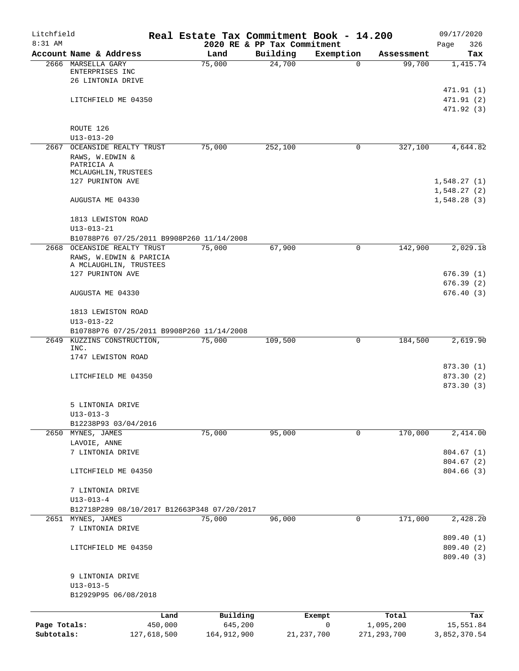| Litchfield<br>8:31 AM      |                                                                                                          |                                | Real Estate Tax Commitment Book - 14.200<br>2020 RE & PP Tax Commitment |              |             |                                     | 09/17/2020<br>326<br>Page              |
|----------------------------|----------------------------------------------------------------------------------------------------------|--------------------------------|-------------------------------------------------------------------------|--------------|-------------|-------------------------------------|----------------------------------------|
|                            | Account Name & Address                                                                                   |                                | Land                                                                    | Building     | Exemption   | Assessment                          | Tax                                    |
|                            | 2666 MARSELLA GARY<br>ENTERPRISES INC<br>26 LINTONIA DRIVE                                               |                                | 75,000                                                                  | 24,700       | $\Omega$    | 99,700                              | 1,415.74                               |
|                            | LITCHFIELD ME 04350                                                                                      |                                |                                                                         |              |             |                                     | 471.91 (1)<br>471.91(2)<br>471.92 (3)  |
|                            | ROUTE 126<br>$U13 - 013 - 20$                                                                            |                                |                                                                         |              |             |                                     |                                        |
|                            | 2667 OCEANSIDE REALTY TRUST<br>RAWS, W.EDWIN &<br>PATRICIA A<br>MCLAUGHLIN, TRUSTEES<br>127 PURINTON AVE |                                | 75,000                                                                  | 252,100      | 0           | 327,100                             | 4,644.82<br>1,548.27(1)                |
|                            | AUGUSTA ME 04330                                                                                         |                                |                                                                         |              |             |                                     | 1,548.27(2)<br>1,548.28(3)             |
|                            | 1813 LEWISTON ROAD<br>$U13 - 013 - 21$                                                                   |                                |                                                                         |              |             |                                     |                                        |
|                            | B10788P76 07/25/2011 B9908P260 11/14/2008                                                                |                                |                                                                         |              |             |                                     |                                        |
|                            | 2668 OCEANSIDE REALTY TRUST<br>RAWS, W.EDWIN & PARICIA                                                   |                                | 75,000                                                                  | 67,900       | 0           | 142,900                             | 2,029.18                               |
|                            | A MCLAUGHLIN, TRUSTEES<br>127 PURINTON AVE                                                               |                                |                                                                         |              |             |                                     | 676.39(1)<br>676.39(2)                 |
|                            | AUGUSTA ME 04330                                                                                         |                                |                                                                         |              |             |                                     | 676.40(3)                              |
|                            | 1813 LEWISTON ROAD<br>$U13 - 013 - 22$<br>B10788P76 07/25/2011 B9908P260 11/14/2008                      |                                |                                                                         |              |             |                                     |                                        |
|                            | 2649 KUZZINS CONSTRUCTION,                                                                               |                                | 75,000                                                                  | 109,500      | 0           | 184,500                             | 2,619.90                               |
|                            | INC.<br>1747 LEWISTON ROAD                                                                               |                                |                                                                         |              |             |                                     |                                        |
|                            | LITCHFIELD ME 04350                                                                                      |                                |                                                                         |              |             |                                     | 873.30 (1)<br>873.30 (2)<br>873.30 (3) |
|                            | 5 LINTONIA DRIVE<br>$U13 - 013 - 3$                                                                      |                                |                                                                         |              |             |                                     |                                        |
|                            | B12238P93 03/04/2016                                                                                     |                                |                                                                         |              |             |                                     |                                        |
|                            | 2650 MYNES, JAMES<br>LAVOIE, ANNE                                                                        |                                | 75,000                                                                  | 95,000       | 0           | 170,000                             | 2,414.00                               |
|                            | 7 LINTONIA DRIVE<br>LITCHFIELD ME 04350                                                                  |                                |                                                                         |              |             |                                     | 804.67(1)<br>804.67(2)<br>804.66 (3)   |
|                            | 7 LINTONIA DRIVE                                                                                         |                                |                                                                         |              |             |                                     |                                        |
|                            | $U13 - 013 - 4$                                                                                          |                                |                                                                         |              |             |                                     |                                        |
|                            | B12718P289 08/10/2017 B12663P348 07/20/2017                                                              |                                |                                                                         |              |             |                                     |                                        |
|                            | 2651 MYNES, JAMES<br>7 LINTONIA DRIVE                                                                    |                                | 75,000                                                                  | 96,000       | $\mathbf 0$ | 171,000                             | 2,428.20                               |
|                            | LITCHFIELD ME 04350                                                                                      |                                |                                                                         |              |             |                                     | 809.40 (1)<br>809.40 (2)<br>809.40 (3) |
|                            | 9 LINTONIA DRIVE<br>$U13 - 013 - 5$<br>B12929P95 06/08/2018                                              |                                |                                                                         |              |             |                                     |                                        |
|                            |                                                                                                          |                                |                                                                         |              |             |                                     |                                        |
| Page Totals:<br>Subtotals: |                                                                                                          | Land<br>450,000<br>127,618,500 | Building<br>645,200<br>164, 912, 900                                    | 21, 237, 700 | Exempt<br>0 | Total<br>1,095,200<br>271, 293, 700 | Tax<br>15,551.84<br>3,852,370.54       |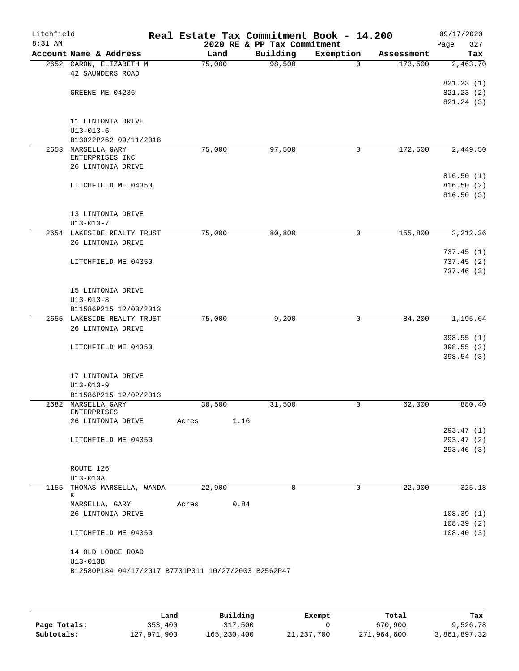| Litchfield<br>8:31 AM |                                                     |        | Real Estate Tax Commitment Book - 14.200<br>2020 RE & PP Tax Commitment |             |            | 09/17/2020         |
|-----------------------|-----------------------------------------------------|--------|-------------------------------------------------------------------------|-------------|------------|--------------------|
|                       | Account Name & Address                              | Land   | Building                                                                | Exemption   | Assessment | 327<br>Page<br>Tax |
|                       | 2652 CARON, ELIZABETH M                             | 75,000 | 98,500                                                                  | $\Omega$    | 173,500    | 2,463.70           |
|                       | 42 SAUNDERS ROAD                                    |        |                                                                         |             |            |                    |
|                       |                                                     |        |                                                                         |             |            | 821.23 (1)         |
|                       | GREENE ME 04236                                     |        |                                                                         |             |            | 821.23(2)          |
|                       |                                                     |        |                                                                         |             |            | 821.24 (3)         |
|                       |                                                     |        |                                                                         |             |            |                    |
|                       | 11 LINTONIA DRIVE                                   |        |                                                                         |             |            |                    |
|                       | $U13 - 013 - 6$                                     |        |                                                                         |             |            |                    |
|                       | B13022P262 09/11/2018                               |        |                                                                         |             |            |                    |
|                       | 2653 MARSELLA GARY                                  | 75,000 | 97,500                                                                  | 0           | 172,500    | 2,449.50           |
|                       | ENTERPRISES INC                                     |        |                                                                         |             |            |                    |
|                       | 26 LINTONIA DRIVE                                   |        |                                                                         |             |            |                    |
|                       |                                                     |        |                                                                         |             |            | 816.50(1)          |
|                       | LITCHFIELD ME 04350                                 |        |                                                                         |             |            | 816.50(2)          |
|                       |                                                     |        |                                                                         |             |            | 816.50(3)          |
|                       |                                                     |        |                                                                         |             |            |                    |
|                       | 13 LINTONIA DRIVE                                   |        |                                                                         |             |            |                    |
|                       | $U13 - 013 - 7$                                     |        |                                                                         |             |            |                    |
|                       | 2654 LAKESIDE REALTY TRUST                          | 75,000 | 80,800                                                                  | 0           | 155,800    | 2,212.36           |
|                       | 26 LINTONIA DRIVE                                   |        |                                                                         |             |            |                    |
|                       |                                                     |        |                                                                         |             |            | 737.45(1)          |
|                       | LITCHFIELD ME 04350                                 |        |                                                                         |             |            | 737.45(2)          |
|                       |                                                     |        |                                                                         |             |            | 737.46(3)          |
|                       |                                                     |        |                                                                         |             |            |                    |
|                       | 15 LINTONIA DRIVE                                   |        |                                                                         |             |            |                    |
|                       | $U13 - 013 - 8$                                     |        |                                                                         |             |            |                    |
|                       | B11586P215 12/03/2013                               |        |                                                                         |             |            |                    |
|                       | 2655 LAKESIDE REALTY TRUST                          | 75,000 | 9,200                                                                   | $\mathbf 0$ | 84,200     | 1,195.64           |
|                       | 26 LINTONIA DRIVE                                   |        |                                                                         |             |            |                    |
|                       |                                                     |        |                                                                         |             |            | 398.55(1)          |
|                       | LITCHFIELD ME 04350                                 |        |                                                                         |             |            | 398.55(2)          |
|                       |                                                     |        |                                                                         |             |            | 398.54(3)          |
|                       |                                                     |        |                                                                         |             |            |                    |
|                       | 17 LINTONIA DRIVE                                   |        |                                                                         |             |            |                    |
|                       | $U13 - 013 - 9$                                     |        |                                                                         |             |            |                    |
|                       | B11586P215 12/02/2013<br>2682 MARSELLA GARY         | 30,500 | 31,500                                                                  | 0           | 62,000     | 880.40             |
|                       | <b>ENTERPRISES</b>                                  |        |                                                                         |             |            |                    |
|                       | 26 LINTONIA DRIVE                                   | Acres  | 1.16                                                                    |             |            |                    |
|                       |                                                     |        |                                                                         |             |            | 293.47 (1)         |
|                       | LITCHFIELD ME 04350                                 |        |                                                                         |             |            | 293.47 (2)         |
|                       |                                                     |        |                                                                         |             |            | 293.46 (3)         |
|                       |                                                     |        |                                                                         |             |            |                    |
|                       | ROUTE 126                                           |        |                                                                         |             |            |                    |
|                       | U13-013A                                            |        |                                                                         |             |            |                    |
|                       | 1155 THOMAS MARSELLA, WANDA                         | 22,900 | $\Omega$                                                                | 0           | 22,900     | 325.18             |
|                       | K                                                   |        |                                                                         |             |            |                    |
|                       | MARSELLA, GARY                                      | Acres  | 0.84                                                                    |             |            |                    |
|                       | 26 LINTONIA DRIVE                                   |        |                                                                         |             |            | 108.39(1)          |
|                       |                                                     |        |                                                                         |             |            | 108.39(2)          |
|                       | LITCHFIELD ME 04350                                 |        |                                                                         |             |            | 108.40(3)          |
|                       |                                                     |        |                                                                         |             |            |                    |
|                       | 14 OLD LODGE ROAD                                   |        |                                                                         |             |            |                    |
|                       | U13-013B                                            |        |                                                                         |             |            |                    |
|                       | B12580P184 04/17/2017 B7731P311 10/27/2003 B2562P47 |        |                                                                         |             |            |                    |
|                       |                                                     |        |                                                                         |             |            |                    |

|              | Land        | Building    | Exempt       | Total       | Tax          |
|--------------|-------------|-------------|--------------|-------------|--------------|
| Page Totals: | 353,400     | 317,500     |              | 670,900     | 9,526.78     |
| Subtotals:   | 127,971,900 | 165,230,400 | 21, 237, 700 | 271,964,600 | 3,861,897.32 |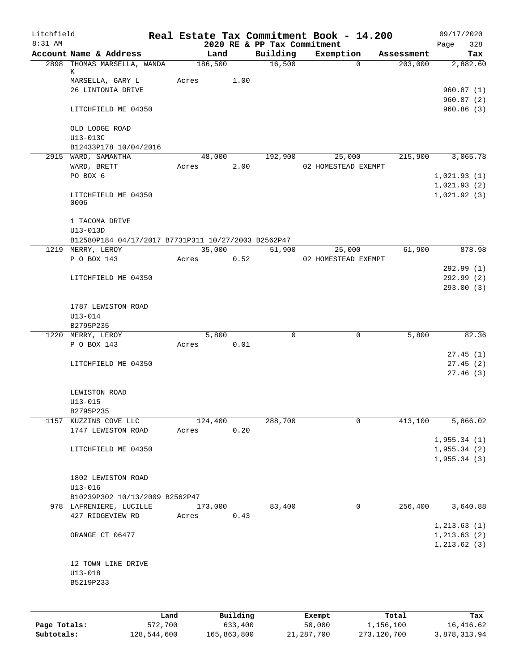| Litchfield<br>8:31 AM |                                                     |         |         |          |      |                                         | Real Estate Tax Commitment Book - 14.200 |                |            | 09/17/2020   |            |
|-----------------------|-----------------------------------------------------|---------|---------|----------|------|-----------------------------------------|------------------------------------------|----------------|------------|--------------|------------|
|                       | Account Name & Address                              |         |         | Land     |      | 2020 RE & PP Tax Commitment<br>Building | Exemption                                |                | Assessment | Page         | 328<br>Tax |
|                       | 2898 THOMAS MARSELLA, WANDA                         |         | 186,500 |          |      | 16,500                                  |                                          | $\overline{0}$ | 203,000    |              | 2,882.60   |
|                       | К                                                   |         |         |          |      |                                         |                                          |                |            |              |            |
|                       | MARSELLA, GARY L                                    |         | Acres   |          | 1.00 |                                         |                                          |                |            |              |            |
|                       | 26 LINTONIA DRIVE                                   |         |         |          |      |                                         |                                          |                |            | 960.87(1)    |            |
|                       |                                                     |         |         |          |      |                                         |                                          |                |            | 960.87(2)    |            |
|                       | LITCHFIELD ME 04350                                 |         |         |          |      |                                         |                                          |                |            | 960.86(3)    |            |
|                       |                                                     |         |         |          |      |                                         |                                          |                |            |              |            |
|                       | OLD LODGE ROAD<br>U13-013C                          |         |         |          |      |                                         |                                          |                |            |              |            |
|                       | B12433P178 10/04/2016                               |         |         |          |      |                                         |                                          |                |            |              |            |
|                       | 2915 WARD, SAMANTHA                                 |         |         | 48,000   |      | 192,900                                 | 25,000                                   |                | 215,900    |              | 3,065.78   |
|                       | WARD, BRETT                                         |         | Acres   |          | 2.00 |                                         | 02 HOMESTEAD EXEMPT                      |                |            |              |            |
|                       | PO BOX 6                                            |         |         |          |      |                                         |                                          |                |            | 1,021.93(1)  |            |
|                       |                                                     |         |         |          |      |                                         |                                          |                |            | 1,021.93(2)  |            |
|                       | LITCHFIELD ME 04350                                 |         |         |          |      |                                         |                                          |                |            | 1,021.92(3)  |            |
|                       | 0006                                                |         |         |          |      |                                         |                                          |                |            |              |            |
|                       |                                                     |         |         |          |      |                                         |                                          |                |            |              |            |
|                       | 1 TACOMA DRIVE                                      |         |         |          |      |                                         |                                          |                |            |              |            |
|                       | U13-013D                                            |         |         |          |      |                                         |                                          |                |            |              |            |
|                       | B12580P184 04/17/2017 B7731P311 10/27/2003 B2562P47 |         |         |          |      |                                         |                                          |                |            |              |            |
|                       | 1219 MERRY, LEROY                                   |         |         | 35,000   |      | 51,900                                  | 25,000                                   |                | 61,900     |              | 878.98     |
|                       | P O BOX 143                                         |         | Acres   |          | 0.52 |                                         | 02 HOMESTEAD EXEMPT                      |                |            |              |            |
|                       |                                                     |         |         |          |      |                                         |                                          |                |            | 292.99(1)    |            |
|                       | LITCHFIELD ME 04350                                 |         |         |          |      |                                         |                                          |                |            | 292.99(2)    |            |
|                       |                                                     |         |         |          |      |                                         |                                          |                |            | 293.00(3)    |            |
|                       | 1787 LEWISTON ROAD                                  |         |         |          |      |                                         |                                          |                |            |              |            |
|                       | U13-014                                             |         |         |          |      |                                         |                                          |                |            |              |            |
|                       | B2795P235                                           |         |         |          |      |                                         |                                          |                |            |              |            |
|                       | 1220 MERRY, LEROY                                   |         |         | 5,800    |      | $\mathbf 0$                             |                                          | 0              | 5,800      |              | 82.36      |
|                       | P O BOX 143                                         |         | Acres   |          | 0.01 |                                         |                                          |                |            |              |            |
|                       |                                                     |         |         |          |      |                                         |                                          |                |            |              | 27.45(1)   |
|                       | LITCHFIELD ME 04350                                 |         |         |          |      |                                         |                                          |                |            |              | 27.45(2)   |
|                       |                                                     |         |         |          |      |                                         |                                          |                |            |              | 27.46(3)   |
|                       |                                                     |         |         |          |      |                                         |                                          |                |            |              |            |
|                       | LEWISTON ROAD                                       |         |         |          |      |                                         |                                          |                |            |              |            |
|                       | $U13 - 015$                                         |         |         |          |      |                                         |                                          |                |            |              |            |
|                       | B2795P235                                           |         |         |          |      |                                         |                                          |                |            |              |            |
|                       | 1157 KUZZINS COVE LLC                               |         | 124,400 |          |      | 288,700                                 |                                          | $\mathbf 0$    | 413,100    |              | 5,866.02   |
|                       | 1747 LEWISTON ROAD                                  |         | Acres   |          | 0.20 |                                         |                                          |                |            |              |            |
|                       |                                                     |         |         |          |      |                                         |                                          |                |            | 1,955.34(1)  |            |
|                       | LITCHFIELD ME 04350                                 |         |         |          |      |                                         |                                          |                |            | 1,955.34(2)  |            |
|                       |                                                     |         |         |          |      |                                         |                                          |                |            | 1,955.34(3)  |            |
|                       |                                                     |         |         |          |      |                                         |                                          |                |            |              |            |
|                       | 1802 LEWISTON ROAD                                  |         |         |          |      |                                         |                                          |                |            |              |            |
|                       | $U13 - 016$                                         |         |         |          |      |                                         |                                          |                |            |              |            |
|                       | B10239P302 10/13/2009 B2562P47                      |         |         |          |      |                                         |                                          |                |            |              |            |
|                       | 978 LAFRENIERE, LUCILLE                             |         | 173,000 |          |      | 83,400                                  |                                          | $\mathbf 0$    | 256,400    |              | 3,640.88   |
|                       | 427 RIDGEVIEW RD                                    |         | Acres   |          | 0.43 |                                         |                                          |                |            |              |            |
|                       |                                                     |         |         |          |      |                                         |                                          |                |            | 1, 213.63(1) |            |
|                       | ORANGE CT 06477                                     |         |         |          |      |                                         |                                          |                |            | 1, 213.63(2) |            |
|                       |                                                     |         |         |          |      |                                         |                                          |                |            | 1, 213.62(3) |            |
|                       | 12 TOWN LINE DRIVE                                  |         |         |          |      |                                         |                                          |                |            |              |            |
|                       | $U13 - 018$                                         |         |         |          |      |                                         |                                          |                |            |              |            |
|                       | B5219P233                                           |         |         |          |      |                                         |                                          |                |            |              |            |
|                       |                                                     |         |         |          |      |                                         |                                          |                |            |              |            |
|                       |                                                     |         |         |          |      |                                         |                                          |                |            |              |            |
|                       |                                                     |         |         |          |      |                                         |                                          |                |            |              |            |
|                       |                                                     | Land    |         | Building |      |                                         | Exempt<br>50,000                         |                | Total      |              | Tax        |
| Page Totals:          |                                                     | 572,700 |         | 633,400  |      |                                         |                                          |                | 1,156,100  |              | 16, 416.62 |

**Subtotals:** 128,544,600 165,863,800 21,287,700 273,120,700 3,878,313.94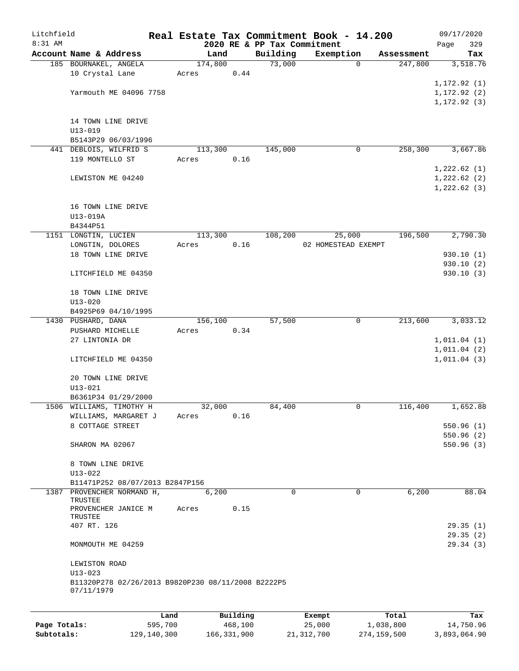| Litchfield |                                                                  |       |         |          |                             | Real Estate Tax Commitment Book - 14.200 |            | 09/17/2020                 |
|------------|------------------------------------------------------------------|-------|---------|----------|-----------------------------|------------------------------------------|------------|----------------------------|
| 8:31 AM    |                                                                  |       |         |          | 2020 RE & PP Tax Commitment |                                          |            | 329<br>Page                |
|            | Account Name & Address                                           |       | Land    |          | Building                    | Exemption                                | Assessment | Tax                        |
|            | 185 BOURNAKEL, ANGELA<br>10 Crystal Lane                         | Acres | 174,800 | 0.44     | 73,000                      | 0                                        | 247,800    | 3,518.76                   |
|            |                                                                  |       |         |          |                             |                                          |            | 1, 172.92(1)               |
|            | Yarmouth ME 04096 7758                                           |       |         |          |                             |                                          |            | 1, 172.92(2)               |
|            |                                                                  |       |         |          |                             |                                          |            | 1, 172.92(3)               |
|            | 14 TOWN LINE DRIVE                                               |       |         |          |                             |                                          |            |                            |
|            | $U13 - 019$                                                      |       |         |          |                             |                                          |            |                            |
|            | B5143P29 06/03/1996                                              |       |         |          |                             |                                          |            |                            |
|            | 441 DEBLOIS, WILFRID S                                           |       | 113,300 |          | 145,000                     | 0                                        | 258,300    | 3,667.86                   |
|            | 119 MONTELLO ST                                                  | Acres |         | 0.16     |                             |                                          |            |                            |
|            |                                                                  |       |         |          |                             |                                          |            | 1,222.62(1)                |
|            | LEWISTON ME 04240                                                |       |         |          |                             |                                          |            | 1,222.62(2)<br>1,222.62(3) |
|            |                                                                  |       |         |          |                             |                                          |            |                            |
|            | 16 TOWN LINE DRIVE                                               |       |         |          |                             |                                          |            |                            |
|            | U13-019A                                                         |       |         |          |                             |                                          |            |                            |
|            | B4344P51                                                         |       |         |          |                             |                                          |            |                            |
|            | 1151 LONGTIN, LUCIEN<br>LONGTIN, DOLORES                         |       | 113,300 | 0.16     | 108,200                     | 25,000<br>02 HOMESTEAD EXEMPT            | 196,500    | 2,790.30                   |
|            | 18 TOWN LINE DRIVE                                               | Acres |         |          |                             |                                          |            | 930.10(1)                  |
|            |                                                                  |       |         |          |                             |                                          |            | 930.10 (2)                 |
|            | LITCHFIELD ME 04350                                              |       |         |          |                             |                                          |            | 930.10(3)                  |
|            | 18 TOWN LINE DRIVE                                               |       |         |          |                             |                                          |            |                            |
|            | $U13 - 020$                                                      |       |         |          |                             |                                          |            |                            |
|            | B4925P69 04/10/1995                                              |       |         |          |                             |                                          |            |                            |
|            | 1430 PUSHARD, DANA                                               |       | 156,100 |          | 57,500                      | 0                                        | 213,600    | 3,033.12                   |
|            | PUSHARD MICHELLE                                                 | Acres |         | 0.34     |                             |                                          |            |                            |
|            | 27 LINTONIA DR                                                   |       |         |          |                             |                                          |            | 1,011.04(1)                |
|            | LITCHFIELD ME 04350                                              |       |         |          |                             |                                          |            | 1,011.04(2)<br>1,011.04(3) |
|            |                                                                  |       |         |          |                             |                                          |            |                            |
|            | 20 TOWN LINE DRIVE                                               |       |         |          |                             |                                          |            |                            |
|            | $U13 - 021$<br>B6361P34 01/29/2000                               |       |         |          |                             |                                          |            |                            |
|            | 1506 WILLIAMS, TIMOTHY H                                         |       | 32,000  |          | 84,400                      | 0                                        | 116,400    | 1,652.88                   |
|            | WILLIAMS, MARGARET J                                             | Acres |         | 0.16     |                             |                                          |            |                            |
|            | 8 COTTAGE STREET                                                 |       |         |          |                             |                                          |            | 550.96(1)                  |
|            |                                                                  |       |         |          |                             |                                          |            | 550.96(2)                  |
|            | SHARON MA 02067                                                  |       |         |          |                             |                                          |            | 550.96(3)                  |
|            | 8 TOWN LINE DRIVE                                                |       |         |          |                             |                                          |            |                            |
|            | $U13 - 022$                                                      |       |         |          |                             |                                          |            |                            |
|            | B11471P252 08/07/2013 B2847P156                                  |       |         |          |                             |                                          |            |                            |
|            | 1387 PROVENCHER NORMAND H,                                       |       | 6,200   |          | $\Omega$                    | $\Omega$                                 | 6,200      | 88.04                      |
|            | <b>TRUSTEE</b><br>PROVENCHER JANICE M                            | Acres |         | 0.15     |                             |                                          |            |                            |
|            | TRUSTEE                                                          |       |         |          |                             |                                          |            |                            |
|            | 407 RT. 126                                                      |       |         |          |                             |                                          |            | 29.35(1)                   |
|            | MONMOUTH ME 04259                                                |       |         |          |                             |                                          |            | 29.35(2)<br>29.34(3)       |
|            |                                                                  |       |         |          |                             |                                          |            |                            |
|            | LEWISTON ROAD<br>$U13 - 023$                                     |       |         |          |                             |                                          |            |                            |
|            | B11320P278 02/26/2013 B9820P230 08/11/2008 B2222P5<br>07/11/1979 |       |         |          |                             |                                          |            |                            |
|            |                                                                  |       |         |          |                             |                                          |            |                            |
|            |                                                                  | Land  |         | Building |                             | Exempt                                   | Total      | Tax                        |

|              | Lanu        | <b>Building</b> | Lxempt     | TOLAT       | rax.         |
|--------------|-------------|-----------------|------------|-------------|--------------|
| Page Totals: | 595,700     | 468,100         | 25,000     | 1,038,800   | 14,750.96    |
| Subtotals:   | 129,140,300 | 166,331,900     | 21,312,700 | 274,159,500 | 3,893,064.90 |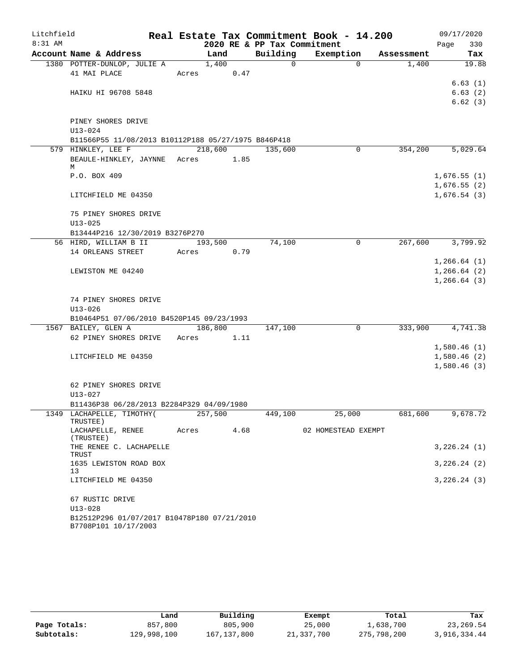| Litchfield |                                                     |         |      |                             | Real Estate Tax Commitment Book - 14.200 |            | 09/17/2020                 |
|------------|-----------------------------------------------------|---------|------|-----------------------------|------------------------------------------|------------|----------------------------|
| $8:31$ AM  |                                                     |         |      | 2020 RE & PP Tax Commitment |                                          |            | 330<br>Page                |
|            | Account Name & Address                              | Land    |      | Building                    | Exemption                                | Assessment | Tax                        |
|            | 1380 POTTER-DUNLOP, JULIE A                         | 1,400   |      | $\Omega$                    | $\Omega$                                 | 1,400      | 19.88                      |
|            | 41 MAI PLACE                                        | Acres   | 0.47 |                             |                                          |            |                            |
|            | HAIKU HI 96708 5848                                 |         |      |                             |                                          |            | 6.63(1)<br>6.63(2)         |
|            |                                                     |         |      |                             |                                          |            | 6.62(3)                    |
|            |                                                     |         |      |                             |                                          |            |                            |
|            | PINEY SHORES DRIVE                                  |         |      |                             |                                          |            |                            |
|            | $U13 - 024$                                         |         |      |                             |                                          |            |                            |
|            | B11566P55 11/08/2013 B10112P188 05/27/1975 B846P418 |         |      |                             |                                          |            |                            |
|            | 579 HINKLEY, LEE F                                  | 218,600 |      | 135,600                     | 0                                        | 354,200    | 5,029.64                   |
|            | BEAULE-HINKLEY, JAYNNE Acres<br>М                   |         | 1.85 |                             |                                          |            |                            |
|            | P.O. BOX 409                                        |         |      |                             |                                          |            | 1,676.55(1)                |
|            |                                                     |         |      |                             |                                          |            | 1,676.55(2)                |
|            | LITCHFIELD ME 04350                                 |         |      |                             |                                          |            | 1,676.54(3)                |
|            |                                                     |         |      |                             |                                          |            |                            |
|            | 75 PINEY SHORES DRIVE                               |         |      |                             |                                          |            |                            |
|            | $U13 - 025$                                         |         |      |                             |                                          |            |                            |
|            | B13444P216 12/30/2019 B3276P270                     |         |      |                             |                                          |            |                            |
|            | 56 HIRD, WILLIAM B II                               | 193,500 |      | 74,100                      | 0                                        | 267,600    | 3,799.92                   |
|            | 14 ORLEANS STREET                                   | Acres   | 0.79 |                             |                                          |            | 1, 266.64(1)               |
|            | LEWISTON ME 04240                                   |         |      |                             |                                          |            | 1, 266.64(2)               |
|            |                                                     |         |      |                             |                                          |            | 1, 266.64(3)               |
|            |                                                     |         |      |                             |                                          |            |                            |
|            | 74 PINEY SHORES DRIVE                               |         |      |                             |                                          |            |                            |
|            | $U13 - 026$                                         |         |      |                             |                                          |            |                            |
|            | B10464P51 07/06/2010 B4520P145 09/23/1993           |         |      |                             |                                          |            |                            |
|            | 1567 BAILEY, GLEN A                                 | 186,800 |      | 147,100                     | $\mathbf 0$                              | 333,900    | 4,741.38                   |
|            | 62 PINEY SHORES DRIVE                               | Acres   | 1.11 |                             |                                          |            |                            |
|            | LITCHFIELD ME 04350                                 |         |      |                             |                                          |            | 1,580.46(1)<br>1,580.46(2) |
|            |                                                     |         |      |                             |                                          |            | 1,580.46(3)                |
|            |                                                     |         |      |                             |                                          |            |                            |
|            | 62 PINEY SHORES DRIVE                               |         |      |                             |                                          |            |                            |
|            | U13-027                                             |         |      |                             |                                          |            |                            |
|            | B11436P38 06/28/2013 B2284P329 04/09/1980           |         |      |                             |                                          |            |                            |
|            | 1349 LACHAPELLE, TIMOTHY(                           | 257,500 |      | 449,100                     | 25,000                                   | 681,600    | 9,678.72                   |
|            | TRUSTEE)<br>LACHAPELLE, RENEE<br>(TRUSTEE)          | Acres   | 4.68 |                             | 02 HOMESTEAD EXEMPT                      |            |                            |
|            | THE RENEE C. LACHAPELLE<br>TRUST                    |         |      |                             |                                          |            | 3,226.24(1)                |
|            | 1635 LEWISTON ROAD BOX<br>13                        |         |      |                             |                                          |            | 3,226.24(2)                |
|            | LITCHFIELD ME 04350                                 |         |      |                             |                                          |            | 3,226.24(3)                |
|            | 67 RUSTIC DRIVE<br>$U13 - 028$                      |         |      |                             |                                          |            |                            |
|            | B12512P296 01/07/2017 B10478P180 07/21/2010         |         |      |                             |                                          |            |                            |
|            | B7708P101 10/17/2003                                |         |      |                             |                                          |            |                            |

|              | Land        | Building    | Exempt     | Total       | Tax          |
|--------------|-------------|-------------|------------|-------------|--------------|
| Page Totals: | 857,800     | 805,900     | 25,000     | 1,638,700   | 23,269.54    |
| Subtotals:   | 129,998,100 | 167,137,800 | 21,337,700 | 275,798,200 | 3,916,334.44 |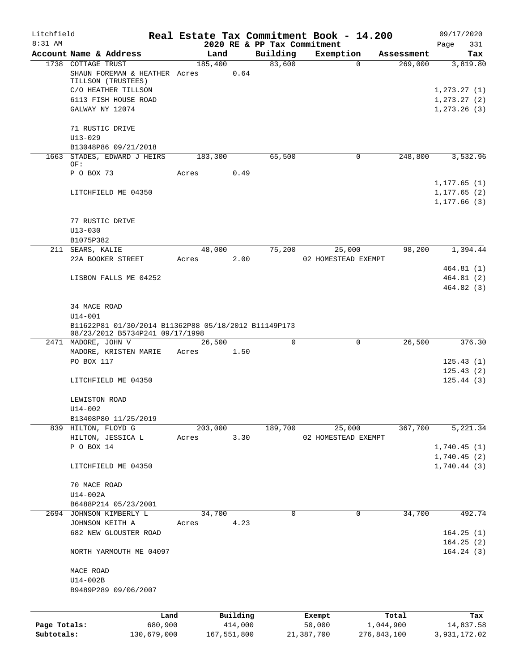| Litchfield   |                                                                                                                          |         |             |          | Real Estate Tax Commitment Book - 14.200 |                     | 09/17/2020                               |
|--------------|--------------------------------------------------------------------------------------------------------------------------|---------|-------------|----------|------------------------------------------|---------------------|------------------------------------------|
| 8:31 AM      |                                                                                                                          |         |             |          | 2020 RE & PP Tax Commitment              |                     | Page<br>331                              |
|              | Account Name & Address                                                                                                   |         | Land        | Building | Exemption                                | Assessment          | Tax                                      |
|              | 1738 COTTAGE TRUST<br>SHAUN FOREMAN & HEATHER Acres<br>TILLSON (TRUSTEES)<br>C/O HEATHER TILLSON<br>6113 FISH HOUSE ROAD | 185,400 | 0.64        | 83,600   |                                          | 269,000<br>$\Omega$ | 3,819.80<br>1, 273.27(1)<br>1, 273.27(2) |
|              | GALWAY NY 12074                                                                                                          |         |             |          |                                          |                     | 1, 273.26(3)                             |
|              | 71 RUSTIC DRIVE<br>$U13 - 029$<br>B13048P86 09/21/2018                                                                   |         |             |          |                                          |                     |                                          |
|              | 1663 STADES, EDWARD J HEIRS<br>OF:                                                                                       | 183,300 |             | 65,500   |                                          | 248,800<br>0        | 3,532.96                                 |
|              | P O BOX 73                                                                                                               | Acres   | 0.49        |          |                                          |                     | 1, 177.65(1)                             |
|              | LITCHFIELD ME 04350                                                                                                      |         |             |          |                                          |                     | 1, 177.65(2)<br>1, 177.66(3)             |
|              | 77 RUSTIC DRIVE<br>$U13 - 030$                                                                                           |         |             |          |                                          |                     |                                          |
|              | B1075P382                                                                                                                |         |             |          |                                          |                     |                                          |
|              | 211 SEARS, KALIE                                                                                                         |         | 48,000      | 75,200   | 25,000                                   | 98,200              | 1,394.44                                 |
|              | 22A BOOKER STREET                                                                                                        | Acres   | 2.00        |          | 02 HOMESTEAD EXEMPT                      |                     |                                          |
|              | LISBON FALLS ME 04252                                                                                                    |         |             |          |                                          |                     | 464.81(1)<br>464.81(2)                   |
|              |                                                                                                                          |         |             |          |                                          |                     | 464.82(3)                                |
|              | 34 MACE ROAD                                                                                                             |         |             |          |                                          |                     |                                          |
|              | $U14 - 001$                                                                                                              |         |             |          |                                          |                     |                                          |
|              | B11622P81 01/30/2014 B11362P88 05/18/2012 B11149P173<br>08/23/2012 B5734P241 09/17/1998                                  |         |             |          |                                          |                     |                                          |
|              | 2471 MADORE, JOHN V                                                                                                      |         | 26,500      | $\Omega$ |                                          | 26,500<br>0         | 376.30                                   |
|              | MADORE, KRISTEN MARIE                                                                                                    | Acres   | 1.50        |          |                                          |                     |                                          |
|              | PO BOX 117                                                                                                               |         |             |          |                                          |                     | 125.43(1)                                |
|              | LITCHFIELD ME 04350                                                                                                      |         |             |          |                                          |                     | 125.43(2)<br>125.44(3)                   |
|              | LEWISTON ROAD<br>U14-002                                                                                                 |         |             |          |                                          |                     |                                          |
|              | B13408P80 11/25/2019                                                                                                     |         |             |          |                                          |                     |                                          |
|              | 839 HILTON, FLOYD G                                                                                                      | 203,000 |             | 189,700  | 25,000                                   | 367,700             | 5,221.34                                 |
|              | HILTON, JESSICA L                                                                                                        | Acres   | 3.30        |          | 02 HOMESTEAD EXEMPT                      |                     |                                          |
|              | P O BOX 14                                                                                                               |         |             |          |                                          |                     | 1,740.45(1)                              |
|              | LITCHFIELD ME 04350                                                                                                      |         |             |          |                                          |                     | 1,740.45(2)<br>1,740.44(3)               |
|              | 70 MACE ROAD<br>$U14-002A$                                                                                               |         |             |          |                                          |                     |                                          |
|              | B6488P214 05/23/2001                                                                                                     |         |             |          |                                          |                     |                                          |
|              | 2694 JOHNSON KIMBERLY L                                                                                                  |         | 34,700      | 0        |                                          | 34,700<br>0         | 492.74                                   |
|              | JOHNSON KEITH A                                                                                                          | Acres   | 4.23        |          |                                          |                     |                                          |
|              | 682 NEW GLOUSTER ROAD                                                                                                    |         |             |          |                                          |                     | 164.25(1)<br>164.25(2)                   |
|              | NORTH YARMOUTH ME 04097                                                                                                  |         |             |          |                                          |                     | 164.24(3)                                |
|              | MACE ROAD                                                                                                                |         |             |          |                                          |                     |                                          |
|              | U14-002B                                                                                                                 |         |             |          |                                          |                     |                                          |
|              | B9489P289 09/06/2007                                                                                                     |         |             |          |                                          |                     |                                          |
|              |                                                                                                                          | Land    | Building    |          | Exempt                                   | Total               | Tax                                      |
| Page Totals: | 680,900                                                                                                                  |         | 414,000     |          | 50,000                                   | 1,044,900           | 14,837.58                                |
| Subtotals:   | 130,679,000                                                                                                              |         | 167,551,800 |          | 21,387,700                               | 276,843,100         | 3,931,172.02                             |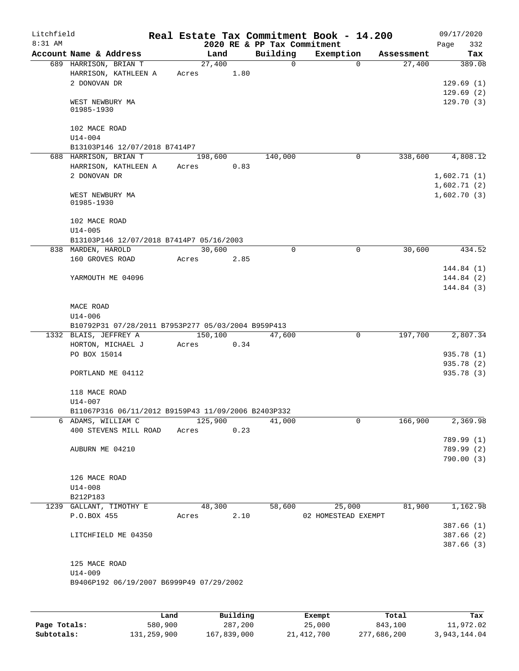| Litchfield<br>8:31 AM |                                                     |       |         |      |          |              | Real Estate Tax Commitment Book - 14.200<br>2020 RE & PP Tax Commitment |            | 09/17/2020<br>Page<br>332  |
|-----------------------|-----------------------------------------------------|-------|---------|------|----------|--------------|-------------------------------------------------------------------------|------------|----------------------------|
|                       | Account Name & Address                              |       | Land    |      | Building |              | Exemption                                                               | Assessment | Tax                        |
|                       | 689 HARRISON, BRIAN T                               |       | 27,400  |      |          | $\mathsf{O}$ | $\Omega$                                                                | 27,400     | 389.08                     |
|                       | HARRISON, KATHLEEN A                                | Acres |         | 1.80 |          |              |                                                                         |            |                            |
|                       | 2 DONOVAN DR                                        |       |         |      |          |              |                                                                         |            | 129.69(1)                  |
|                       |                                                     |       |         |      |          |              |                                                                         |            | 129.69(2)                  |
|                       | WEST NEWBURY MA<br>01985-1930                       |       |         |      |          |              |                                                                         |            | 129.70(3)                  |
|                       | 102 MACE ROAD                                       |       |         |      |          |              |                                                                         |            |                            |
|                       | $U14 - 004$                                         |       |         |      |          |              |                                                                         |            |                            |
|                       | B13103P146 12/07/2018 B7414P7                       |       |         |      |          |              | 0                                                                       |            |                            |
|                       | 688 HARRISON, BRIAN T<br>HARRISON, KATHLEEN A       | Acres | 198,600 | 0.83 | 140,000  |              |                                                                         | 338,600    | 4,808.12                   |
|                       | 2 DONOVAN DR                                        |       |         |      |          |              |                                                                         |            | 1,602.71(1)                |
|                       | WEST NEWBURY MA<br>01985-1930                       |       |         |      |          |              |                                                                         |            | 1,602.71(2)<br>1,602.70(3) |
|                       | 102 MACE ROAD                                       |       |         |      |          |              |                                                                         |            |                            |
|                       | $U14 - 005$                                         |       |         |      |          |              |                                                                         |            |                            |
|                       | B13103P146 12/07/2018 B7414P7 05/16/2003            |       | 30,600  |      |          | $\Omega$     | 0                                                                       | 30,600     | 434.52                     |
|                       | 838 MARDEN, HAROLD<br>160 GROVES ROAD               | Acres |         | 2.85 |          |              |                                                                         |            |                            |
|                       |                                                     |       |         |      |          |              |                                                                         |            | 144.84 (1)                 |
|                       | YARMOUTH ME 04096                                   |       |         |      |          |              |                                                                         |            | 144.84 (2)                 |
|                       |                                                     |       |         |      |          |              |                                                                         |            | 144.84 (3)                 |
|                       | MACE ROAD                                           |       |         |      |          |              |                                                                         |            |                            |
|                       | U14-006                                             |       |         |      |          |              |                                                                         |            |                            |
|                       | B10792P31 07/28/2011 B7953P277 05/03/2004 B959P413  |       |         |      |          |              |                                                                         |            |                            |
|                       | 1332 BLAIS, JEFFREY A                               |       | 150,100 |      | 47,600   |              | $\mathbf 0$                                                             | 197,700    | 2,807.34                   |
|                       | HORTON, MICHAEL J<br>PO BOX 15014                   | Acres |         | 0.34 |          |              |                                                                         |            | 935.78 (1)                 |
|                       |                                                     |       |         |      |          |              |                                                                         |            | 935.78 (2)                 |
|                       | PORTLAND ME 04112                                   |       |         |      |          |              |                                                                         |            | 935.78 (3)                 |
|                       | 118 MACE ROAD<br>$U14 - 007$                        |       |         |      |          |              |                                                                         |            |                            |
|                       | B11067P316 06/11/2012 B9159P43 11/09/2006 B2403P332 |       |         |      |          |              |                                                                         |            |                            |
|                       | 6 ADAMS, WILLIAM C                                  |       | 125,900 |      | 41,000   |              | 0                                                                       | 166,900    | 2,369.98                   |
|                       | 400 STEVENS MILL ROAD                               | Acres |         | 0.23 |          |              |                                                                         |            |                            |
|                       |                                                     |       |         |      |          |              |                                                                         |            | 789.99 (1)                 |
|                       | AUBURN ME 04210                                     |       |         |      |          |              |                                                                         |            | 789.99 (2)                 |
|                       |                                                     |       |         |      |          |              |                                                                         |            | 790.00(3)                  |
|                       | 126 MACE ROAD                                       |       |         |      |          |              |                                                                         |            |                            |
|                       | $U14 - 008$                                         |       |         |      |          |              |                                                                         |            |                            |
|                       | B212P183                                            |       |         |      |          |              |                                                                         |            |                            |
|                       | 1239 GALLANT, TIMOTHY E                             |       | 48,300  |      | 58,600   |              | 25,000                                                                  | 81,900     | 1,162.98                   |
|                       | P.O.BOX 455                                         |       | Acres   | 2.10 |          |              | 02 HOMESTEAD EXEMPT                                                     |            |                            |
|                       |                                                     |       |         |      |          |              |                                                                         |            | 387.66(1)                  |
|                       | LITCHFIELD ME 04350                                 |       |         |      |          |              |                                                                         |            | 387.66(2)                  |
|                       |                                                     |       |         |      |          |              |                                                                         |            | 387.66 (3)                 |
|                       | 125 MACE ROAD                                       |       |         |      |          |              |                                                                         |            |                            |
|                       | $U14 - 009$                                         |       |         |      |          |              |                                                                         |            |                            |
|                       | B9406P192 06/19/2007 B6999P49 07/29/2002            |       |         |      |          |              |                                                                         |            |                            |
|                       |                                                     |       |         |      |          |              |                                                                         |            |                            |

|              | Land        | Building    | Exempt     | Total       | Tax          |
|--------------|-------------|-------------|------------|-------------|--------------|
| Page Totals: | 580,900     | 287,200     | 25,000     | 843,100     | 11,972.02    |
| Subtotals:   | 131,259,900 | 167,839,000 | 21,412,700 | 277,686,200 | 3,943,144.04 |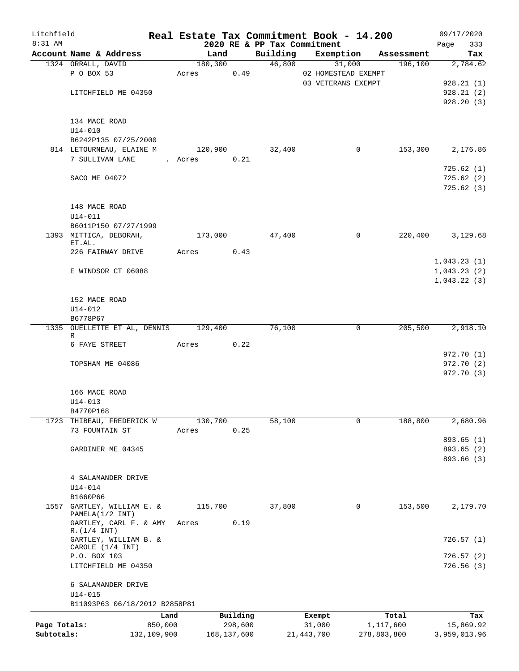| Litchfield   |                                          |             | Real Estate Tax Commitment Book - 14.200 |             |                             |                     |             |            | 09/17/2020   |
|--------------|------------------------------------------|-------------|------------------------------------------|-------------|-----------------------------|---------------------|-------------|------------|--------------|
| 8:31 AM      |                                          |             |                                          |             | 2020 RE & PP Tax Commitment |                     |             |            | 333<br>Page  |
|              | Account Name & Address                   |             | Land                                     |             | Building                    | Exemption           |             | Assessment | Tax          |
|              | 1324 ORRALL, DAVID                       |             | 180,300                                  |             | 46,800                      |                     | 31,000      | 196,100    | 2,784.62     |
|              | P O BOX 53                               |             | Acres                                    | 0.49        |                             | 02 HOMESTEAD EXEMPT |             |            |              |
|              |                                          |             |                                          |             |                             | 03 VETERANS EXEMPT  |             |            | 928.21(1)    |
|              | LITCHFIELD ME 04350                      |             |                                          |             |                             |                     |             |            | 928.21(2)    |
|              |                                          |             |                                          |             |                             |                     |             |            | 928.20 (3)   |
|              | 134 MACE ROAD                            |             |                                          |             |                             |                     |             |            |              |
|              | $U14 - 010$                              |             |                                          |             |                             |                     |             |            |              |
|              | B6242P135 07/25/2000                     |             |                                          |             |                             |                     |             |            |              |
|              | 814 LETOURNEAU, ELAINE M                 |             | 120,900                                  |             | 32,400                      |                     | $\mathbf 0$ | 153,300    | 2,176.86     |
|              | 7 SULLIVAN LANE                          |             | . Acres                                  | 0.21        |                             |                     |             |            |              |
|              |                                          |             |                                          |             |                             |                     |             |            | 725.62(1)    |
|              | SACO ME 04072                            |             |                                          |             |                             |                     |             |            | 725.62(2)    |
|              |                                          |             |                                          |             |                             |                     |             |            | 725.62(3)    |
|              |                                          |             |                                          |             |                             |                     |             |            |              |
|              | 148 MACE ROAD                            |             |                                          |             |                             |                     |             |            |              |
|              | $U14 - 011$                              |             |                                          |             |                             |                     |             |            |              |
|              | B6011P150 07/27/1999                     |             |                                          |             |                             |                     |             |            |              |
|              | 1393 MITTICA, DEBORAH,                   |             | 173,000                                  |             | 47,400                      |                     | $\mathbf 0$ | 220,400    | 3,129.68     |
|              | ET.AL.                                   |             |                                          |             |                             |                     |             |            |              |
|              | 226 FAIRWAY DRIVE                        |             | Acres                                    | 0.43        |                             |                     |             |            |              |
|              |                                          |             |                                          |             |                             |                     |             |            | 1,043.23(1)  |
|              | E WINDSOR CT 06088                       |             |                                          |             |                             |                     |             |            | 1,043.23(2)  |
|              |                                          |             |                                          |             |                             |                     |             |            | 1,043.22(3)  |
|              |                                          |             |                                          |             |                             |                     |             |            |              |
|              | 152 MACE ROAD                            |             |                                          |             |                             |                     |             |            |              |
|              | $U14 - 012$                              |             |                                          |             |                             |                     |             |            |              |
|              | B6778P67                                 |             |                                          |             |                             |                     |             |            |              |
|              | 1335 OUELLETTE ET AL, DENNIS<br>R        |             | 129,400                                  |             | 76,100                      |                     | 0           | 205,500    | 2,918.10     |
|              | 6 FAYE STREET                            |             | Acres                                    | 0.22        |                             |                     |             |            |              |
|              |                                          |             |                                          |             |                             |                     |             |            | 972.70 (1)   |
|              | TOPSHAM ME 04086                         |             |                                          |             |                             |                     |             |            | 972.70 (2)   |
|              |                                          |             |                                          |             |                             |                     |             |            | 972.70 (3)   |
|              |                                          |             |                                          |             |                             |                     |             |            |              |
|              | 166 MACE ROAD                            |             |                                          |             |                             |                     |             |            |              |
|              | $U14 - 013$                              |             |                                          |             |                             |                     |             |            |              |
|              | B4770P168                                |             |                                          |             |                             |                     |             |            |              |
| 1723         | THIBEAU, FREDERICK W                     |             | 130,700                                  |             | 58,100                      |                     | 0           | 188,800    | 2,680.96     |
|              | 73 FOUNTAIN ST                           |             | Acres                                    | 0.25        |                             |                     |             |            |              |
|              |                                          |             |                                          |             |                             |                     |             |            | 893.65 (1)   |
|              | GARDINER ME 04345                        |             |                                          |             |                             |                     |             |            | 893.65 (2)   |
|              |                                          |             |                                          |             |                             |                     |             |            | 893.66 (3)   |
|              |                                          |             |                                          |             |                             |                     |             |            |              |
|              | 4 SALAMANDER DRIVE                       |             |                                          |             |                             |                     |             |            |              |
|              | $U14 - 014$                              |             |                                          |             |                             |                     |             |            |              |
|              | B1660P66                                 |             |                                          |             |                             |                     |             |            |              |
| 1557         | GARTLEY, WILLIAM E. &<br>PAMELA(1/2 INT) |             | 115,700                                  |             | 37,800                      |                     | 0           | 153,500    | 2,179.70     |
|              | GARTLEY, CARL F. & AMY                   |             | Acres                                    | 0.19        |                             |                     |             |            |              |
|              | R.(1/4 INT)                              |             |                                          |             |                             |                     |             |            |              |
|              | GARTLEY, WILLIAM B. &                    |             |                                          |             |                             |                     |             |            | 726.57 (1)   |
|              | CAROLE (1/4 INT)                         |             |                                          |             |                             |                     |             |            |              |
|              | P.O. BOX 103                             |             |                                          |             |                             |                     |             |            | 726.57(2)    |
|              | LITCHFIELD ME 04350                      |             |                                          |             |                             |                     |             |            | 726.56(3)    |
|              |                                          |             |                                          |             |                             |                     |             |            |              |
|              | 6 SALAMANDER DRIVE                       |             |                                          |             |                             |                     |             |            |              |
|              | $U14 - 015$                              |             |                                          |             |                             |                     |             |            |              |
|              | B11093P63 06/18/2012 B2858P81            |             |                                          |             |                             |                     |             |            |              |
|              |                                          | Land        |                                          | Building    |                             | Exempt              |             | Total      | Tax          |
| Page Totals: |                                          | 850,000     |                                          | 298,600     |                             | 31,000              |             | 1,117,600  | 15,869.92    |
| Subtotals:   |                                          | 132,109,900 |                                          | 168,137,600 |                             | 21,443,700          | 278,803,800 |            | 3,959,013.96 |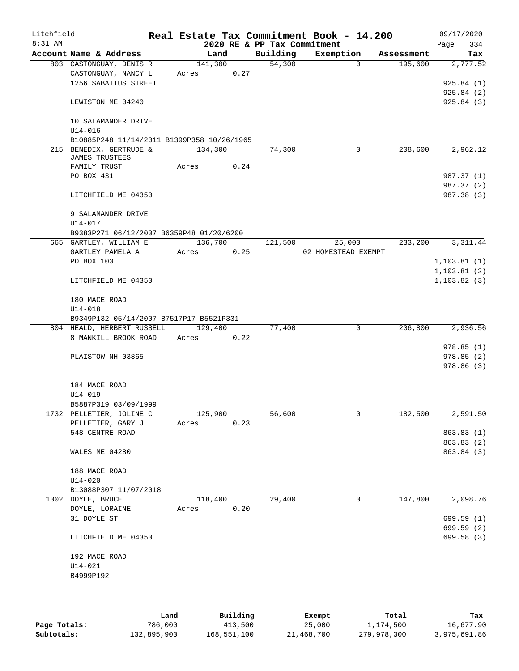| Litchfield |                                                                    |       |         |      |                             | Real Estate Tax Commitment Book - 14.200 |            | 09/17/2020   |
|------------|--------------------------------------------------------------------|-------|---------|------|-----------------------------|------------------------------------------|------------|--------------|
| 8:31 AM    |                                                                    |       |         |      | 2020 RE & PP Tax Commitment |                                          |            | 334<br>Page  |
|            | Account Name & Address                                             |       | Land    |      | Building                    | Exemption                                | Assessment | Tax          |
|            | 803 CASTONGUAY, DENIS R                                            |       | 141,300 |      | 54,300                      | $\Omega$                                 | 195,600    | 2,777.52     |
|            | CASTONGUAY, NANCY L                                                | Acres |         | 0.27 |                             |                                          |            |              |
|            | 1256 SABATTUS STREET                                               |       |         |      |                             |                                          |            | 925.84(1)    |
|            |                                                                    |       |         |      |                             |                                          |            | 925.84(2)    |
|            | LEWISTON ME 04240                                                  |       |         |      |                             |                                          |            | 925.84 (3)   |
|            | 10 SALAMANDER DRIVE                                                |       |         |      |                             |                                          |            |              |
|            | $U14 - 016$                                                        |       |         |      |                             |                                          |            |              |
|            | B10885P248 11/14/2011 B1399P358 10/26/1965                         |       |         |      |                             |                                          |            |              |
|            | 215 BENEDIX, GERTRUDE &                                            |       | 134,300 |      | 74,300                      | 0                                        | 208,600    | 2,962.12     |
|            | JAMES TRUSTEES                                                     |       |         |      |                             |                                          |            |              |
|            | FAMILY TRUST                                                       | Acres |         | 0.24 |                             |                                          |            |              |
|            | PO BOX 431                                                         |       |         |      |                             |                                          |            | 987.37 (1)   |
|            |                                                                    |       |         |      |                             |                                          |            | 987.37 (2)   |
|            | LITCHFIELD ME 04350                                                |       |         |      |                             |                                          |            | 987.38 (3)   |
|            |                                                                    |       |         |      |                             |                                          |            |              |
|            | 9 SALAMANDER DRIVE                                                 |       |         |      |                             |                                          |            |              |
|            | U14-017                                                            |       |         |      |                             |                                          |            |              |
|            | B9383P271 06/12/2007 B6359P48 01/20/6200<br>665 GARTLEY, WILLIAM E |       | 136,700 |      | 121,500                     | 25,000                                   | 233,200    | 3, 311.44    |
|            | GARTLEY PAMELA A                                                   | Acres |         | 0.25 |                             | 02 HOMESTEAD EXEMPT                      |            |              |
|            | PO BOX 103                                                         |       |         |      |                             |                                          |            | 1, 103.81(1) |
|            |                                                                    |       |         |      |                             |                                          |            | 1, 103.81(2) |
|            | LITCHFIELD ME 04350                                                |       |         |      |                             |                                          |            | 1, 103.82(3) |
|            |                                                                    |       |         |      |                             |                                          |            |              |
|            | 180 MACE ROAD                                                      |       |         |      |                             |                                          |            |              |
|            | $U14 - 018$                                                        |       |         |      |                             |                                          |            |              |
|            | B9349P132 05/14/2007 B7517P17 B5521P331                            |       |         |      |                             |                                          |            |              |
|            | 804 HEALD, HERBERT RUSSELL                                         |       | 129,400 |      | 77,400                      | $\mathbf 0$                              | 206,800    | 2,936.56     |
|            | 8 MANKILL BROOK ROAD                                               | Acres |         | 0.22 |                             |                                          |            |              |
|            |                                                                    |       |         |      |                             |                                          |            | 978.85(1)    |
|            | PLAISTOW NH 03865                                                  |       |         |      |                             |                                          |            | 978.85(2)    |
|            |                                                                    |       |         |      |                             |                                          |            | 978.86(3)    |
|            |                                                                    |       |         |      |                             |                                          |            |              |
|            | 184 MACE ROAD                                                      |       |         |      |                             |                                          |            |              |
|            | U14-019                                                            |       |         |      |                             |                                          |            |              |
|            | B5887P319 03/09/1999                                               |       |         |      |                             |                                          |            |              |
|            | 1732 PELLETIER, JOLINE C                                           |       | 125,900 |      | 56,600                      | 0                                        | 182,500    | 2,591.50     |
|            | PELLETIER, GARY J<br>548 CENTRE ROAD                               | Acres |         | 0.23 |                             |                                          |            | 863.83 (1)   |
|            |                                                                    |       |         |      |                             |                                          |            | 863.83 (2)   |
|            | WALES ME 04280                                                     |       |         |      |                             |                                          |            | 863.84 (3)   |
|            |                                                                    |       |         |      |                             |                                          |            |              |
|            | 188 MACE ROAD                                                      |       |         |      |                             |                                          |            |              |
|            | $U14 - 020$                                                        |       |         |      |                             |                                          |            |              |
|            | B13088P307 11/07/2018                                              |       |         |      |                             |                                          |            |              |
|            | 1002 DOYLE, BRUCE                                                  |       | 118,400 |      | 29,400                      | 0                                        | 147,800    | 2,098.76     |
|            | DOYLE, LORAINE                                                     | Acres |         | 0.20 |                             |                                          |            |              |
|            | 31 DOYLE ST                                                        |       |         |      |                             |                                          |            | 699.59(1)    |
|            |                                                                    |       |         |      |                             |                                          |            | 699.59 (2)   |
|            | LITCHFIELD ME 04350                                                |       |         |      |                             |                                          |            | 699.58 (3)   |
|            |                                                                    |       |         |      |                             |                                          |            |              |
|            | 192 MACE ROAD                                                      |       |         |      |                             |                                          |            |              |
|            | $U14 - 021$                                                        |       |         |      |                             |                                          |            |              |
|            | B4999P192                                                          |       |         |      |                             |                                          |            |              |
|            |                                                                    |       |         |      |                             |                                          |            |              |
|            |                                                                    |       |         |      |                             |                                          |            |              |

|              | Land        | Building    | Exempt     | Total       | Tax          |
|--------------|-------------|-------------|------------|-------------|--------------|
| Page Totals: | 786,000     | 413,500     | 25,000     | 1,174,500   | 16,677.90    |
| Subtotals:   | 132,895,900 | 168,551,100 | 21,468,700 | 279,978,300 | 3,975,691.86 |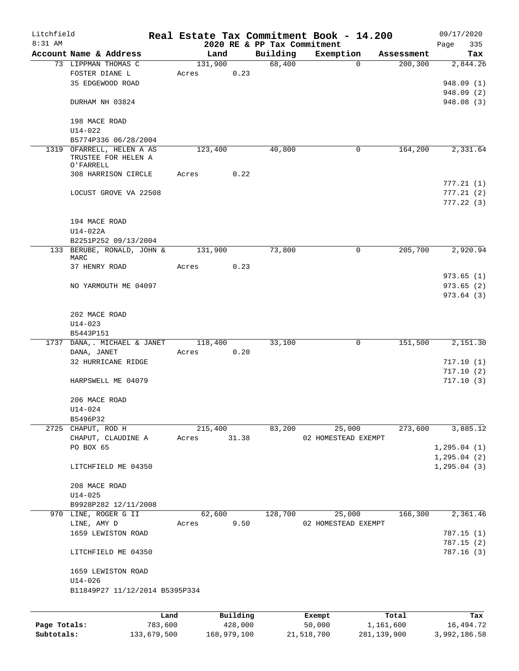| Litchfield   |                                                               |         |         |          |                             | Real Estate Tax Commitment Book - 14.200 |            | 09/17/2020   |
|--------------|---------------------------------------------------------------|---------|---------|----------|-----------------------------|------------------------------------------|------------|--------------|
| 8:31 AM      |                                                               |         |         |          | 2020 RE & PP Tax Commitment |                                          |            | Page<br>335  |
|              | Account Name & Address                                        |         | Land    |          | Building                    | Exemption                                | Assessment | Tax          |
|              | 73 LIPPMAN THOMAS C                                           |         | 131,900 |          | 68,400                      | 0                                        | 200,300    | 2,844.26     |
|              | FOSTER DIANE L                                                |         | Acres   | 0.23     |                             |                                          |            |              |
|              | 35 EDGEWOOD ROAD                                              |         |         |          |                             |                                          |            | 948.09 (1)   |
|              |                                                               |         |         |          |                             |                                          |            | 948.09 (2)   |
|              | DURHAM NH 03824                                               |         |         |          |                             |                                          |            | 948.08 (3)   |
|              |                                                               |         |         |          |                             |                                          |            |              |
|              | 198 MACE ROAD                                                 |         |         |          |                             |                                          |            |              |
|              | $U14 - 022$                                                   |         |         |          |                             |                                          |            |              |
|              | B5774P336 06/28/2004                                          |         |         |          |                             |                                          |            |              |
|              | 1319 OFARRELL, HELEN A AS<br>TRUSTEE FOR HELEN A<br>O'FARRELL |         | 123,400 |          | 40,800                      | 0                                        | 164,200    | 2,331.64     |
|              | 308 HARRISON CIRCLE                                           |         | Acres   | 0.22     |                             |                                          |            |              |
|              |                                                               |         |         |          |                             |                                          |            | 777.21 (1)   |
|              | LOCUST GROVE VA 22508                                         |         |         |          |                             |                                          |            | 777.21(2)    |
|              |                                                               |         |         |          |                             |                                          |            | 777.22(3)    |
|              |                                                               |         |         |          |                             |                                          |            |              |
|              | 194 MACE ROAD                                                 |         |         |          |                             |                                          |            |              |
|              | U14-022A                                                      |         |         |          |                             |                                          |            |              |
|              | B2251P252 09/13/2004                                          |         |         |          |                             |                                          |            |              |
|              | 133 BERUBE, RONALD, JOHN &                                    |         | 131,900 |          | 73,800                      | 0                                        | 205,700    | 2,920.94     |
|              | MARC                                                          |         |         |          |                             |                                          |            |              |
|              | 37 HENRY ROAD                                                 |         | Acres   | 0.23     |                             |                                          |            |              |
|              |                                                               |         |         |          |                             |                                          |            | 973.65(1)    |
|              | NO YARMOUTH ME 04097                                          |         |         |          |                             |                                          |            | 973.65(2)    |
|              |                                                               |         |         |          |                             |                                          |            | 973.64(3)    |
|              |                                                               |         |         |          |                             |                                          |            |              |
|              | 202 MACE ROAD                                                 |         |         |          |                             |                                          |            |              |
|              | $U14 - 023$                                                   |         |         |          |                             |                                          |            |              |
|              | B5443P151                                                     |         |         |          |                             |                                          |            |              |
| 1737         | DANA, . MICHAEL & JANET                                       |         | 118,400 |          | 33,100                      | 0                                        | 151,500    | 2,151.30     |
|              | DANA, JANET                                                   |         | Acres   | 0.20     |                             |                                          |            |              |
|              | 32 HURRICANE RIDGE                                            |         |         |          |                             |                                          |            | 717.10(1)    |
|              |                                                               |         |         |          |                             |                                          |            | 717.10(2)    |
|              | HARPSWELL ME 04079                                            |         |         |          |                             |                                          |            | 717.10(3)    |
|              |                                                               |         |         |          |                             |                                          |            |              |
|              | 206 MACE ROAD                                                 |         |         |          |                             |                                          |            |              |
|              |                                                               |         |         |          |                             |                                          |            |              |
|              | U14-024                                                       |         |         |          |                             |                                          |            |              |
|              | B5496P32                                                      |         |         |          |                             |                                          |            |              |
|              | 2725 CHAPUT, ROD H                                            |         | 215,400 |          | 83,200                      | 25,000                                   | 273,600    | 3,885.12     |
|              | CHAPUT, CLAUDINE A                                            |         | Acres   | 31.38    |                             | 02 HOMESTEAD EXEMPT                      |            |              |
|              | PO BOX 65                                                     |         |         |          |                             |                                          |            | 1, 295.04(1) |
|              |                                                               |         |         |          |                             |                                          |            | 1, 295.04(2) |
|              | LITCHFIELD ME 04350                                           |         |         |          |                             |                                          |            | 1, 295.04(3) |
|              |                                                               |         |         |          |                             |                                          |            |              |
|              | 208 MACE ROAD                                                 |         |         |          |                             |                                          |            |              |
|              | $U14 - 025$                                                   |         |         |          |                             |                                          |            |              |
|              | B9928P282 12/11/2008                                          |         |         |          |                             |                                          |            |              |
|              | 970 LINE, ROGER G II                                          |         | 62,600  |          | 128,700                     | 25,000                                   | 166,300    | 2,361.46     |
|              | LINE, AMY D                                                   |         | Acres   | 9.50     |                             | 02 HOMESTEAD EXEMPT                      |            |              |
|              | 1659 LEWISTON ROAD                                            |         |         |          |                             |                                          |            | 787.15(1)    |
|              |                                                               |         |         |          |                             |                                          |            | 787.15 (2)   |
|              | LITCHFIELD ME 04350                                           |         |         |          |                             |                                          |            | 787.16(3)    |
|              | 1659 LEWISTON ROAD                                            |         |         |          |                             |                                          |            |              |
|              | $U14 - 026$                                                   |         |         |          |                             |                                          |            |              |
|              | B11849P27 11/12/2014 B5395P334                                |         |         |          |                             |                                          |            |              |
|              |                                                               |         |         |          |                             |                                          |            |              |
|              |                                                               |         |         |          |                             |                                          |            |              |
|              |                                                               | Land    |         | Building |                             | Exempt                                   | Total      | Tax          |
| Page Totals: |                                                               | 783,600 |         | 428,000  |                             | 50,000                                   | 1,161,600  | 16, 494.72   |

**Subtotals:** 133,679,500 168,979,100 21,518,700 281,139,900 3,992,186.58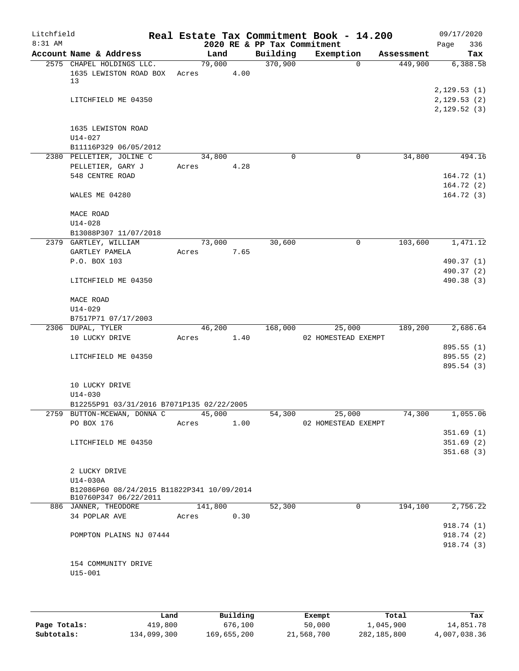| Litchfield |                                                                     |       |         |      |                             | Real Estate Tax Commitment Book - 14.200 |            | 09/17/2020                                |
|------------|---------------------------------------------------------------------|-------|---------|------|-----------------------------|------------------------------------------|------------|-------------------------------------------|
| $8:31$ AM  |                                                                     |       |         |      | 2020 RE & PP Tax Commitment |                                          |            | 336<br>Page                               |
|            | Account Name & Address                                              |       | Land    |      | Building                    | Exemption                                | Assessment | Tax                                       |
|            | 2575 CHAPEL HOLDINGS LLC.<br>1635 LEWISTON ROAD BOX<br>13           | Acres | 79,000  | 4.00 | 370,900                     | 0                                        | 449,900    | 6,388.58                                  |
|            | LITCHFIELD ME 04350                                                 |       |         |      |                             |                                          |            | 2,129.53(1)<br>2,129.53(2)<br>2,129.52(3) |
|            | 1635 LEWISTON ROAD<br>$U14 - 027$<br>B11116P329 06/05/2012          |       |         |      |                             |                                          |            |                                           |
|            | 2380 PELLETIER, JOLINE C                                            |       | 34,800  |      | $\Omega$                    | 0                                        | 34,800     | 494.16                                    |
|            | PELLETIER, GARY J<br>548 CENTRE ROAD                                | Acres |         | 4.28 |                             |                                          |            | 164.72(1)<br>164.72(2)                    |
|            | WALES ME 04280                                                      |       |         |      |                             |                                          |            | 164.72(3)                                 |
|            | MACE ROAD<br>$U14 - 028$                                            |       |         |      |                             |                                          |            |                                           |
|            | B13088P307 11/07/2018<br>2379 GARTLEY, WILLIAM                      |       | 73,000  |      | 30,600                      | 0                                        | 103,600    | 1,471.12                                  |
|            | GARTLEY PAMELA                                                      | Acres |         | 7.65 |                             |                                          |            |                                           |
|            | P.O. BOX 103                                                        |       |         |      |                             |                                          |            | 490.37 (1)                                |
|            |                                                                     |       |         |      |                             |                                          |            | 490.37 (2)                                |
|            | LITCHFIELD ME 04350                                                 |       |         |      |                             |                                          |            | 490.38 (3)                                |
|            | MACE ROAD                                                           |       |         |      |                             |                                          |            |                                           |
|            | $U14 - 029$                                                         |       |         |      |                             |                                          |            |                                           |
|            | B7517P71 07/17/2003                                                 |       |         |      |                             |                                          |            |                                           |
|            | 2306 DUPAL, TYLER<br>10 LUCKY DRIVE                                 | Acres | 46,200  | 1.40 | 168,000                     | 25,000<br>02 HOMESTEAD EXEMPT            | 189,200    | 2,686.64                                  |
|            |                                                                     |       |         |      |                             |                                          |            | 895.55 (1)                                |
|            | LITCHFIELD ME 04350                                                 |       |         |      |                             |                                          |            | 895.55 (2)                                |
|            |                                                                     |       |         |      |                             |                                          |            | 895.54 (3)                                |
|            | 10 LUCKY DRIVE                                                      |       |         |      |                             |                                          |            |                                           |
|            | $U14 - 030$<br>B12255P91 03/31/2016 B7071P135 02/22/2005            |       |         |      |                             |                                          |            |                                           |
|            | 2759 BUTTON-MCEWAN, DONNA C                                         |       | 45,000  |      | 54,300                      | 25,000                                   | 74,300     | 1,055.06                                  |
|            | PO BOX 176                                                          | Acres |         | 1.00 |                             | 02 HOMESTEAD EXEMPT                      |            | 351.69(1)                                 |
|            | LITCHFIELD ME 04350                                                 |       |         |      |                             |                                          |            | 351.69(2)                                 |
|            |                                                                     |       |         |      |                             |                                          |            | 351.68(3)                                 |
|            | 2 LUCKY DRIVE                                                       |       |         |      |                             |                                          |            |                                           |
|            | U14-030A                                                            |       |         |      |                             |                                          |            |                                           |
|            | B12086P60 08/24/2015 B11822P341 10/09/2014<br>B10760P347 06/22/2011 |       |         |      |                             |                                          |            |                                           |
|            | 886 JANNER, THEODORE                                                |       | 141,800 |      | 52,300                      | $\mathbf 0$                              | 194,100    | 2,756.22                                  |
|            | 34 POPLAR AVE                                                       | Acres |         | 0.30 |                             |                                          |            |                                           |
|            |                                                                     |       |         |      |                             |                                          |            | 918.74 (1)<br>918.74 (2)                  |
|            | POMPTON PLAINS NJ 07444                                             |       |         |      |                             |                                          |            | 918.74 (3)                                |
|            |                                                                     |       |         |      |                             |                                          |            |                                           |
|            | 154 COMMUNITY DRIVE                                                 |       |         |      |                             |                                          |            |                                           |
|            | $U15 - 001$                                                         |       |         |      |                             |                                          |            |                                           |
|            |                                                                     |       |         |      |                             |                                          |            |                                           |
|            |                                                                     |       |         |      |                             |                                          |            |                                           |

|              | Land        | Building    | Exempt     | Total       | Tax          |
|--------------|-------------|-------------|------------|-------------|--------------|
| Page Totals: | 419,800     | 676,100     | 50,000     | 1,045,900   | 14,851.78    |
| Subtotals:   | 134,099,300 | 169,655,200 | 21,568,700 | 282,185,800 | 4,007,038.36 |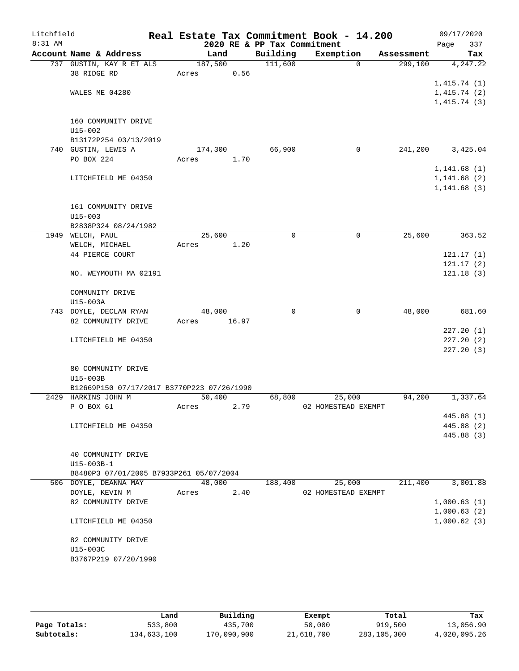| Litchfield |                                            |         |       |                                         | Real Estate Tax Commitment Book - 14.200 |            | 09/17/2020         |
|------------|--------------------------------------------|---------|-------|-----------------------------------------|------------------------------------------|------------|--------------------|
| $8:31$ AM  | Account Name & Address                     | Land    |       | 2020 RE & PP Tax Commitment<br>Building | Exemption                                | Assessment | 337<br>Page<br>Tax |
|            |                                            |         |       |                                         | $\Omega$                                 |            |                    |
|            | 737 GUSTIN, KAY R ET ALS<br>38 RIDGE RD    | 187,500 | 0.56  | 111,600                                 |                                          | 299,100    | 4,247.22           |
|            |                                            | Acres   |       |                                         |                                          |            |                    |
|            |                                            |         |       |                                         |                                          |            | 1,415.74(1)        |
|            | WALES ME 04280                             |         |       |                                         |                                          |            | 1,415.74(2)        |
|            |                                            |         |       |                                         |                                          |            | 1,415.74(3)        |
|            |                                            |         |       |                                         |                                          |            |                    |
|            | 160 COMMUNITY DRIVE                        |         |       |                                         |                                          |            |                    |
|            | $U15 - 002$                                |         |       |                                         |                                          |            |                    |
|            | B13172P254 03/13/2019                      |         |       |                                         |                                          |            |                    |
|            | 740 GUSTIN, LEWIS A                        | 174,300 |       | 66,900                                  | $\mathbf 0$                              | 241,200    | 3,425.04           |
|            | PO BOX 224                                 | Acres   | 1.70  |                                         |                                          |            |                    |
|            |                                            |         |       |                                         |                                          |            | 1, 141.68(1)       |
|            | LITCHFIELD ME 04350                        |         |       |                                         |                                          |            | 1, 141.68 (2)      |
|            |                                            |         |       |                                         |                                          |            | 1, 141.68(3)       |
|            |                                            |         |       |                                         |                                          |            |                    |
|            | 161 COMMUNITY DRIVE                        |         |       |                                         |                                          |            |                    |
|            | $U15 - 003$                                |         |       |                                         |                                          |            |                    |
|            | B2838P324 08/24/1982                       |         |       |                                         |                                          |            |                    |
|            | 1949 WELCH, PAUL                           | 25,600  |       | 0                                       | $\mathbf 0$                              | 25,600     | 363.52             |
|            | WELCH, MICHAEL                             | Acres   | 1.20  |                                         |                                          |            |                    |
|            | 44 PIERCE COURT                            |         |       |                                         |                                          |            | 121.17(1)          |
|            |                                            |         |       |                                         |                                          |            | 121.17(2)          |
|            | NO. WEYMOUTH MA 02191                      |         |       |                                         |                                          |            | 121.18(3)          |
|            |                                            |         |       |                                         |                                          |            |                    |
|            | COMMUNITY DRIVE                            |         |       |                                         |                                          |            |                    |
|            | U15-003A                                   |         |       |                                         |                                          |            |                    |
|            | 743 DOYLE, DECLAN RYAN                     | 48,000  |       | 0                                       | 0                                        | 48,000     | 681.60             |
|            | 82 COMMUNITY DRIVE                         | Acres   | 16.97 |                                         |                                          |            |                    |
|            |                                            |         |       |                                         |                                          |            | 227.20(1)          |
|            | LITCHFIELD ME 04350                        |         |       |                                         |                                          |            | 227.20(2)          |
|            |                                            |         |       |                                         |                                          |            | 227.20 (3)         |
|            |                                            |         |       |                                         |                                          |            |                    |
|            | 80 COMMUNITY DRIVE                         |         |       |                                         |                                          |            |                    |
|            | U15-003B                                   |         |       |                                         |                                          |            |                    |
|            | B12669P150 07/17/2017 B3770P223 07/26/1990 |         |       |                                         |                                          |            |                    |
|            | 2429 HARKINS JOHN M                        | 50,400  |       | 68,800                                  | 25,000                                   | 94,200     | 1,337.64           |
|            | P O BOX 61                                 | Acres   | 2.79  |                                         | 02 HOMESTEAD EXEMPT                      |            |                    |
|            |                                            |         |       |                                         |                                          |            | 445.88 (1)         |
|            | LITCHFIELD ME 04350                        |         |       |                                         |                                          |            | 445.88 (2)         |
|            |                                            |         |       |                                         |                                          |            | 445.88 (3)         |
|            |                                            |         |       |                                         |                                          |            |                    |
|            | 40 COMMUNITY DRIVE                         |         |       |                                         |                                          |            |                    |
|            | U15-003B-1                                 |         |       |                                         |                                          |            |                    |
|            | B8480P3 07/01/2005 B7933P261 05/07/2004    |         |       |                                         |                                          |            |                    |
|            | 506 DOYLE, DEANNA MAY                      | 48,000  |       | 188,400                                 | 25,000                                   | 211,400    | 3,001.88           |
|            | DOYLE, KEVIN M                             | Acres   | 2.40  |                                         | 02 HOMESTEAD EXEMPT                      |            |                    |
|            | 82 COMMUNITY DRIVE                         |         |       |                                         |                                          |            | 1,000.63(1)        |
|            |                                            |         |       |                                         |                                          |            | 1,000.63(2)        |
|            | LITCHFIELD ME 04350                        |         |       |                                         |                                          |            | 1,000.62(3)        |
|            |                                            |         |       |                                         |                                          |            |                    |
|            | 82 COMMUNITY DRIVE                         |         |       |                                         |                                          |            |                    |
|            | U15-003C                                   |         |       |                                         |                                          |            |                    |
|            | B3767P219 07/20/1990                       |         |       |                                         |                                          |            |                    |
|            |                                            |         |       |                                         |                                          |            |                    |
|            |                                            |         |       |                                         |                                          |            |                    |

|              | Land        | Building    | Exempt     | Total       | Tax          |
|--------------|-------------|-------------|------------|-------------|--------------|
| Page Totals: | 533,800     | 435,700     | 50,000     | 919,500     | 13,056.90    |
| Subtotals:   | 134,633,100 | 170,090,900 | 21,618,700 | 283,105,300 | 4,020,095.26 |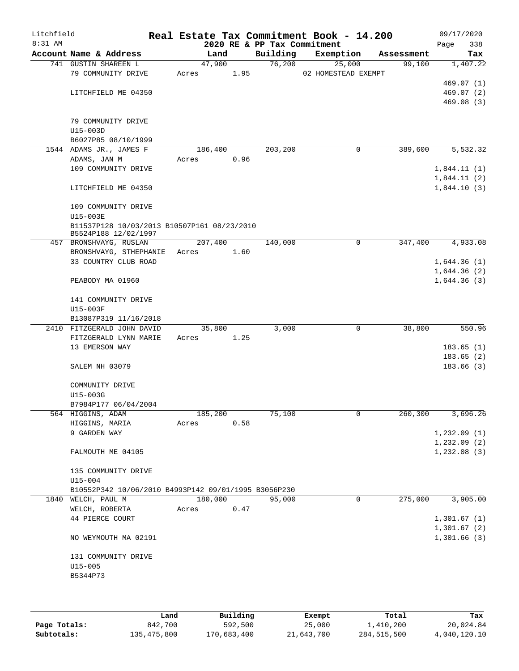| Litchfield<br>$8:31$ AM |                                                      |          |      | 2020 RE & PP Tax Commitment | Real Estate Tax Commitment Book - 14.200 |            | 09/17/2020<br>Page<br>338 |
|-------------------------|------------------------------------------------------|----------|------|-----------------------------|------------------------------------------|------------|---------------------------|
|                         | Account Name & Address                               | Land     |      | Building                    | Exemption                                | Assessment | Tax                       |
|                         | 741 GUSTIN SHAREEN L                                 | 47,900   |      | 76,200                      | 25,000                                   | 99,100     | 1,407.22                  |
|                         | 79 COMMUNITY DRIVE                                   | Acres    | 1.95 |                             | 02 HOMESTEAD EXEMPT                      |            |                           |
|                         |                                                      |          |      |                             |                                          |            | 469.07 (1)                |
|                         | LITCHFIELD ME 04350                                  |          |      |                             |                                          |            | 469.07(2)                 |
|                         |                                                      |          |      |                             |                                          |            | 469.08(3)                 |
|                         |                                                      |          |      |                             |                                          |            |                           |
|                         | 79 COMMUNITY DRIVE                                   |          |      |                             |                                          |            |                           |
|                         | $U15-003D$<br>B6027P85 08/10/1999                    |          |      |                             |                                          |            |                           |
|                         | 1544 ADAMS JR., JAMES F                              | 186, 400 |      | 203,200                     | 0                                        | 389,600    | 5,532.32                  |
|                         | ADAMS, JAN M                                         | Acres    | 0.96 |                             |                                          |            |                           |
|                         | 109 COMMUNITY DRIVE                                  |          |      |                             |                                          |            | 1,844.11(1)               |
|                         |                                                      |          |      |                             |                                          |            | 1,844.11(2)               |
|                         | LITCHFIELD ME 04350                                  |          |      |                             |                                          |            | 1,844.10(3)               |
|                         |                                                      |          |      |                             |                                          |            |                           |
|                         | 109 COMMUNITY DRIVE                                  |          |      |                             |                                          |            |                           |
|                         | U15-003E                                             |          |      |                             |                                          |            |                           |
|                         | B11537P128 10/03/2013 B10507P161 08/23/2010          |          |      |                             |                                          |            |                           |
|                         | B5524P188 12/02/1997<br>457 BRONSHVAYG, RUSLAN       | 207,400  |      | 140,000                     | $\mathbf 0$                              | 347,400    | 4,933.08                  |
|                         | BRONSHVAYG, STHEPHANIE                               | Acres    | 1.60 |                             |                                          |            |                           |
|                         | 33 COUNTRY CLUB ROAD                                 |          |      |                             |                                          |            | 1,644.36(1)               |
|                         |                                                      |          |      |                             |                                          |            | 1,644.36(2)               |
|                         | PEABODY MA 01960                                     |          |      |                             |                                          |            | 1,644.36(3)               |
|                         |                                                      |          |      |                             |                                          |            |                           |
|                         | 141 COMMUNITY DRIVE                                  |          |      |                             |                                          |            |                           |
|                         | U15-003F                                             |          |      |                             |                                          |            |                           |
|                         | B13087P319 11/16/2018                                |          |      |                             |                                          |            |                           |
|                         | 2410 FITZGERALD JOHN DAVID                           | 35,800   |      | 3,000                       | $\mathbf 0$                              | 38,800     | 550.96                    |
|                         | FITZGERALD LYNN MARIE                                | Acres    | 1.25 |                             |                                          |            |                           |
|                         | 13 EMERSON WAY                                       |          |      |                             |                                          |            | 183.65(1)<br>183.65(2)    |
|                         | SALEM NH 03079                                       |          |      |                             |                                          |            | 183.66(3)                 |
|                         |                                                      |          |      |                             |                                          |            |                           |
|                         | COMMUNITY DRIVE                                      |          |      |                             |                                          |            |                           |
|                         | U15-003G                                             |          |      |                             |                                          |            |                           |
|                         | B7984P177 06/04/2004                                 |          |      |                             |                                          |            |                           |
|                         | 564 HIGGINS, ADAM                                    | 185,200  |      | 75,100                      | 0                                        | 260,300    | 3,696.26                  |
|                         | HIGGINS, MARIA                                       | Acres    | 0.58 |                             |                                          |            |                           |
|                         | 9 GARDEN WAY                                         |          |      |                             |                                          |            | 1,232.09(1)               |
|                         |                                                      |          |      |                             |                                          |            | 1,232.09(2)               |
|                         | FALMOUTH ME 04105                                    |          |      |                             |                                          |            | 1,232.08(3)               |
|                         | 135 COMMUNITY DRIVE                                  |          |      |                             |                                          |            |                           |
|                         | $U15 - 004$                                          |          |      |                             |                                          |            |                           |
|                         | B10552P342 10/06/2010 B4993P142 09/01/1995 B3056P230 |          |      |                             |                                          |            |                           |
|                         | 1840 WELCH, PAUL M                                   | 180,000  |      | 95,000                      | 0                                        | 275,000    | 3,905.00                  |
|                         | WELCH, ROBERTA                                       | Acres    | 0.47 |                             |                                          |            |                           |
|                         | 44 PIERCE COURT                                      |          |      |                             |                                          |            | 1,301.67(1)               |
|                         |                                                      |          |      |                             |                                          |            | 1,301.67(2)               |
|                         | NO WEYMOUTH MA 02191                                 |          |      |                             |                                          |            | 1,301.66(3)               |
|                         |                                                      |          |      |                             |                                          |            |                           |
|                         | 131 COMMUNITY DRIVE                                  |          |      |                             |                                          |            |                           |
|                         | $U15 - 005$<br>B5344P73                              |          |      |                             |                                          |            |                           |
|                         |                                                      |          |      |                             |                                          |            |                           |
|                         |                                                      |          |      |                             |                                          |            |                           |

|              | Land        | Building    | Exempt     | Total       | Tax          |
|--------------|-------------|-------------|------------|-------------|--------------|
| Page Totals: | 842,700     | 592,500     | 25,000     | 1,410,200   | 20,024.84    |
| Subtotals:   | 135,475,800 | 170,683,400 | 21,643,700 | 284,515,500 | 4,040,120.10 |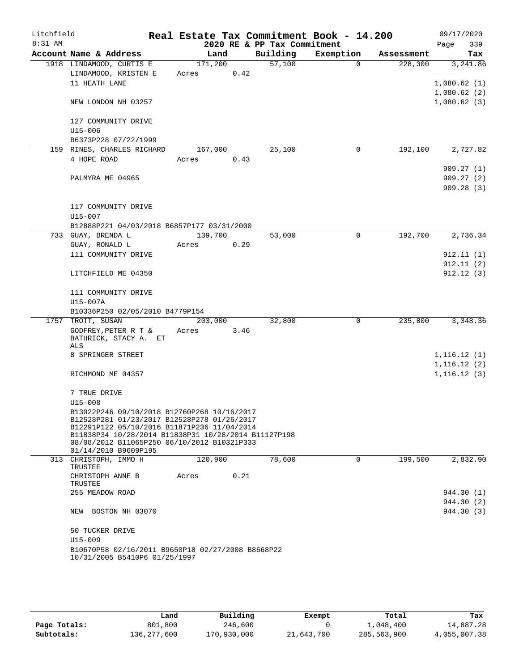| Litchfield |                                                                     |         |      |                             | Real Estate Tax Commitment Book - 14.200 |            | 09/17/2020                 |
|------------|---------------------------------------------------------------------|---------|------|-----------------------------|------------------------------------------|------------|----------------------------|
| 8:31 AM    |                                                                     |         |      | 2020 RE & PP Tax Commitment |                                          |            | 339<br>Page                |
|            | Account Name & Address                                              | Land    |      | Building                    | Exemption                                | Assessment | Tax                        |
|            | 1918 LINDAMOOD, CURTIS E                                            | 171,200 |      | 57,100                      | $\Omega$                                 | 228,300    | 3,241.86                   |
|            | LINDAMOOD, KRISTEN E                                                | Acres   | 0.42 |                             |                                          |            |                            |
|            | 11 HEATH LANE                                                       |         |      |                             |                                          |            | 1,080.62(1)<br>1,080.62(2) |
|            | NEW LONDON NH 03257                                                 |         |      |                             |                                          |            | 1,080.62(3)                |
|            |                                                                     |         |      |                             |                                          |            |                            |
|            | 127 COMMUNITY DRIVE                                                 |         |      |                             |                                          |            |                            |
|            | U15-006                                                             |         |      |                             |                                          |            |                            |
|            | B6373P228 07/22/1999                                                |         |      |                             |                                          |            |                            |
|            | 159 RINES, CHARLES RICHARD                                          | 167,000 |      | 25,100                      | 0                                        | 192,100    | 2,727.82                   |
|            | 4 HOPE ROAD                                                         | Acres   | 0.43 |                             |                                          |            |                            |
|            |                                                                     |         |      |                             |                                          |            | 909.27(1)                  |
|            | PALMYRA ME 04965                                                    |         |      |                             |                                          |            | 909.27(2)                  |
|            |                                                                     |         |      |                             |                                          |            | 909.28(3)                  |
|            |                                                                     |         |      |                             |                                          |            |                            |
|            | 117 COMMUNITY DRIVE                                                 |         |      |                             |                                          |            |                            |
|            | $U15 - 007$                                                         |         |      |                             |                                          |            |                            |
|            | B12888P221 04/03/2018 B6857P177 03/31/2000                          |         |      |                             |                                          |            |                            |
|            | 733 GUAY, BRENDA L                                                  | 139,700 |      | 53,000                      | 0                                        | 192,700    | 2,736.34                   |
|            | GUAY, RONALD L                                                      | Acres   | 0.29 |                             |                                          |            |                            |
|            | 111 COMMUNITY DRIVE                                                 |         |      |                             |                                          |            | 912.11(1)                  |
|            |                                                                     |         |      |                             |                                          |            | 912.11(2)                  |
|            | LITCHFIELD ME 04350                                                 |         |      |                             |                                          |            | 912.12(3)                  |
|            | 111 COMMUNITY DRIVE                                                 |         |      |                             |                                          |            |                            |
|            | U15-007A                                                            |         |      |                             |                                          |            |                            |
|            | B10336P250 02/05/2010 B4779P154                                     |         |      |                             |                                          |            |                            |
|            | 1757 TROTT, SUSAN                                                   | 203,000 |      | 32,800                      | 0                                        | 235,800    | 3,348.36                   |
|            | GODFREY, PETER R T &                                                | Acres   | 3.46 |                             |                                          |            |                            |
|            | BATHRICK, STACY A. ET                                               |         |      |                             |                                          |            |                            |
|            | ALS                                                                 |         |      |                             |                                          |            |                            |
|            | 8 SPRINGER STREET                                                   |         |      |                             |                                          |            | 1,116.12(1)                |
|            |                                                                     |         |      |                             |                                          |            | 1,116.12(2)                |
|            | RICHMOND ME 04357                                                   |         |      |                             |                                          |            | 1, 116.12(3)               |
|            | 7 TRUE DRIVE                                                        |         |      |                             |                                          |            |                            |
|            |                                                                     |         |      |                             |                                          |            |                            |
|            | $U15 - 008$<br>B13022P246 09/10/2018 B12760P268 10/16/2017          |         |      |                             |                                          |            |                            |
|            | B12528P281 01/23/2017 B12528P278 01/26/2017                         |         |      |                             |                                          |            |                            |
|            | B12291P122 05/10/2016 B11871P236 11/04/2014                         |         |      |                             |                                          |            |                            |
|            | B11838P34 10/28/2014 B11838P31 10/28/2014 B11127P198                |         |      |                             |                                          |            |                            |
|            | 08/08/2012 B11065P250 06/10/2012 B10321P333<br>01/14/2010 B9609P195 |         |      |                             |                                          |            |                            |
|            | 313 CHRISTOPH, IMMO H                                               | 120,900 |      | 78,600                      | $\Omega$                                 | 199,500    | 2,832.90                   |
|            | TRUSTEE                                                             |         |      |                             |                                          |            |                            |
|            | CHRISTOPH ANNE B                                                    | Acres   | 0.21 |                             |                                          |            |                            |
|            | TRUSTEE                                                             |         |      |                             |                                          |            |                            |
|            | 255 MEADOW ROAD                                                     |         |      |                             |                                          |            | 944.30(1)                  |
|            |                                                                     |         |      |                             |                                          |            | 944.30 (2)                 |
|            | NEW BOSTON NH 03070                                                 |         |      |                             |                                          |            | 944.30 (3)                 |
|            | 50 TUCKER DRIVE                                                     |         |      |                             |                                          |            |                            |
|            | U15-009                                                             |         |      |                             |                                          |            |                            |
|            | B10670P58 02/16/2011 B9650P18 02/27/2008 B8668P22                   |         |      |                             |                                          |            |                            |
|            | 10/31/2005 B5410P6 01/25/1997                                       |         |      |                             |                                          |            |                            |
|            |                                                                     |         |      |                             |                                          |            |                            |

|              | Land        | Building    | Exempt     | Total       | Tax          |
|--------------|-------------|-------------|------------|-------------|--------------|
| Page Totals: | 801,800     | 246,600     |            | 1,048,400   | 14,887.28    |
| Subtotals:   | 136,277,600 | 170,930,000 | 21,643,700 | 285,563,900 | 4,055,007.38 |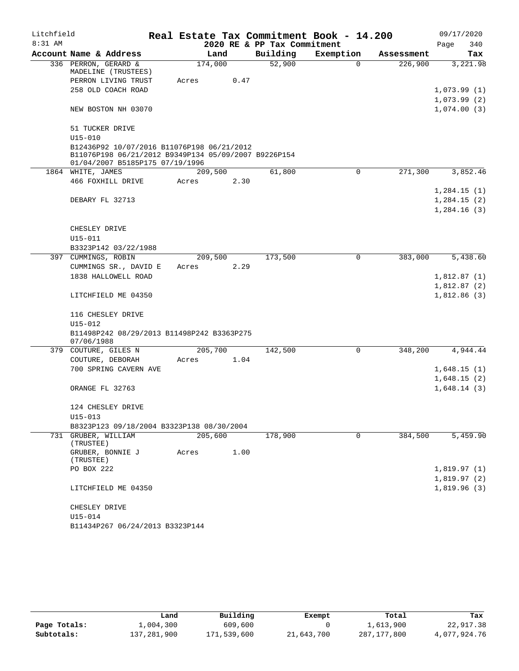| Litchfield |                                                                                                                                       |         |      |                             | Real Estate Tax Commitment Book - 14.200 |            | 09/17/2020  |  |
|------------|---------------------------------------------------------------------------------------------------------------------------------------|---------|------|-----------------------------|------------------------------------------|------------|-------------|--|
| $8:31$ AM  |                                                                                                                                       |         |      | 2020 RE & PP Tax Commitment |                                          |            | Page<br>340 |  |
|            | Account Name & Address                                                                                                                | Land    |      | Building                    | Exemption                                | Assessment | Tax         |  |
|            | 336 PERRON, GERARD &<br>MADELINE (TRUSTEES)                                                                                           | 174,000 |      | 52,900                      | 0                                        | 226,900    | 3,221.98    |  |
|            | PERRON LIVING TRUST                                                                                                                   | Acres   | 0.47 |                             |                                          |            |             |  |
|            | 258 OLD COACH ROAD                                                                                                                    |         |      |                             |                                          |            | 1,073.99(1) |  |
|            |                                                                                                                                       |         |      |                             |                                          |            | 1,073.99(2) |  |
|            | NEW BOSTON NH 03070                                                                                                                   |         |      |                             |                                          |            | 1,074.00(3) |  |
|            | 51 TUCKER DRIVE                                                                                                                       |         |      |                             |                                          |            |             |  |
|            | $U15 - 010$                                                                                                                           |         |      |                             |                                          |            |             |  |
|            | B12436P92 10/07/2016 B11076P198 06/21/2012<br>B11076P198 06/21/2012 B9349P134 05/09/2007 B9226P154<br>01/04/2007 B5185P175 07/19/1996 |         |      |                             |                                          |            |             |  |
|            | 1864 WHITE, JAMES                                                                                                                     | 209,500 |      | 61,800                      | 0                                        | 271,300    | 3,852.46    |  |
|            | 466 FOXHILL DRIVE                                                                                                                     | Acres   | 2.30 |                             |                                          |            |             |  |
|            |                                                                                                                                       |         |      |                             |                                          |            | 1,284.15(1) |  |
|            | DEBARY FL 32713                                                                                                                       |         |      |                             |                                          |            | 1,284.15(2) |  |
|            |                                                                                                                                       |         |      |                             |                                          |            | 1,284.16(3) |  |
|            |                                                                                                                                       |         |      |                             |                                          |            |             |  |
|            | CHESLEY DRIVE                                                                                                                         |         |      |                             |                                          |            |             |  |
|            | U15-011                                                                                                                               |         |      |                             |                                          |            |             |  |
|            | B3323P142 03/22/1988                                                                                                                  |         |      |                             |                                          |            |             |  |
|            | 397 CUMMINGS, ROBIN                                                                                                                   | 209,500 |      | 173,500                     | 0                                        | 383,000    | 5,438.60    |  |
|            | CUMMINGS SR., DAVID E                                                                                                                 | Acres   | 2.29 |                             |                                          |            |             |  |
|            | 1838 HALLOWELL ROAD                                                                                                                   |         |      |                             |                                          |            | 1,812.87(1) |  |
|            |                                                                                                                                       |         |      |                             |                                          |            | 1,812.87(2) |  |
|            | LITCHFIELD ME 04350                                                                                                                   |         |      |                             |                                          |            | 1,812.86(3) |  |
|            | 116 CHESLEY DRIVE                                                                                                                     |         |      |                             |                                          |            |             |  |
|            | U15-012                                                                                                                               |         |      |                             |                                          |            |             |  |
|            | B11498P242 08/29/2013 B11498P242 B3363P275<br>07/06/1988                                                                              |         |      |                             |                                          |            |             |  |
|            | 379 COUTURE, GILES N                                                                                                                  | 205,700 |      | 142,500                     | 0                                        | 348,200    | 4,944.44    |  |
|            | COUTURE, DEBORAH                                                                                                                      | Acres   | 1.04 |                             |                                          |            |             |  |
|            | 700 SPRING CAVERN AVE                                                                                                                 |         |      |                             |                                          |            | 1,648.15(1) |  |
|            |                                                                                                                                       |         |      |                             |                                          |            | 1,648.15(2) |  |
|            | ORANGE FL 32763                                                                                                                       |         |      |                             |                                          |            | 1,648.14(3) |  |
|            | 124 CHESLEY DRIVE                                                                                                                     |         |      |                             |                                          |            |             |  |
|            | $U15 - 013$                                                                                                                           |         |      |                             |                                          |            |             |  |
|            | B8323P123 09/18/2004 B3323P138 08/30/2004                                                                                             |         |      |                             |                                          |            |             |  |
|            | 731 GRUBER, WILLIAM<br>(TRUSTEE)                                                                                                      | 205,600 |      | 178,900                     | $\Omega$                                 | 384,500    | 5,459.90    |  |
|            | GRUBER, BONNIE J<br>(TRUSTEE)                                                                                                         | Acres   | 1.00 |                             |                                          |            |             |  |
|            | PO BOX 222                                                                                                                            |         |      |                             |                                          |            | 1,819.97(1) |  |
|            |                                                                                                                                       |         |      |                             |                                          |            | 1,819.97(2) |  |
|            | LITCHFIELD ME 04350                                                                                                                   |         |      |                             |                                          |            | 1,819.96(3) |  |
|            | CHESLEY DRIVE                                                                                                                         |         |      |                             |                                          |            |             |  |
|            | U15-014                                                                                                                               |         |      |                             |                                          |            |             |  |
|            | B11434P267 06/24/2013 B3323P144                                                                                                       |         |      |                             |                                          |            |             |  |

|              | Land        | Building    | Exempt     | Total       | Tax          |
|--------------|-------------|-------------|------------|-------------|--------------|
| Page Totals: | 1,004,300   | 609,600     |            | 1,613,900   | 22,917.38    |
| Subtotals:   | 137,281,900 | 171,539,600 | 21,643,700 | 287,177,800 | 4,077,924.76 |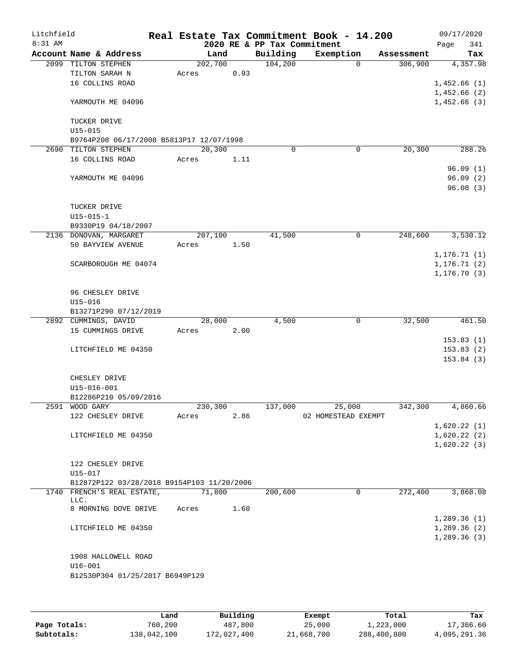| Litchfield |                                            |         |      |                             | Real Estate Tax Commitment Book - 14.200 |            | 09/17/2020   |
|------------|--------------------------------------------|---------|------|-----------------------------|------------------------------------------|------------|--------------|
| $8:31$ AM  |                                            |         |      | 2020 RE & PP Tax Commitment |                                          |            | 341<br>Page  |
|            | Account Name & Address                     | Land    |      | Building                    | Exemption                                | Assessment | Tax          |
|            | 2099 TILTON STEPHEN                        | 202,700 |      | 104,200                     | $\Omega$                                 | 306,900    | 4,357.98     |
|            | TILTON SARAH N                             | Acres   | 0.93 |                             |                                          |            |              |
|            | 16 COLLINS ROAD                            |         |      |                             |                                          |            | 1,452.66(1)  |
|            |                                            |         |      |                             |                                          |            | 1,452.66(2)  |
|            | YARMOUTH ME 04096                          |         |      |                             |                                          |            | 1,452.66(3)  |
|            |                                            |         |      |                             |                                          |            |              |
|            | TUCKER DRIVE                               |         |      |                             |                                          |            |              |
|            | $U15 - 015$                                |         |      |                             |                                          |            |              |
|            | B9764P208 06/17/2008 B5813P17 12/07/1998   |         |      |                             |                                          |            |              |
|            | 2690 TILTON STEPHEN                        | 20,300  |      | $\mathbf 0$                 | $\mathbf 0$                              | 20,300     | 288.26       |
|            | 16 COLLINS ROAD                            | Acres   | 1.11 |                             |                                          |            |              |
|            |                                            |         |      |                             |                                          |            | 96.09(1)     |
|            | YARMOUTH ME 04096                          |         |      |                             |                                          |            | 96.09(2)     |
|            |                                            |         |      |                             |                                          |            | 96.08(3)     |
|            |                                            |         |      |                             |                                          |            |              |
|            | TUCKER DRIVE                               |         |      |                             |                                          |            |              |
|            | $U15 - 015 - 1$<br>B9330P19 04/18/2007     |         |      |                             |                                          |            |              |
|            | 2136 DONOVAN, MARGARET                     | 207,100 |      | 41,500                      | $\mathbf 0$                              | 248,600    | 3,530.12     |
|            | 50 BAYVIEW AVENUE                          | Acres   | 1.50 |                             |                                          |            |              |
|            |                                            |         |      |                             |                                          |            | 1, 176.71(1) |
|            | SCARBOROUGH ME 04074                       |         |      |                             |                                          |            | 1, 176.71(2) |
|            |                                            |         |      |                             |                                          |            | 1, 176.70(3) |
|            |                                            |         |      |                             |                                          |            |              |
|            | 96 CHESLEY DRIVE                           |         |      |                             |                                          |            |              |
|            | $U15 - 016$                                |         |      |                             |                                          |            |              |
|            | B13271P290 07/12/2019                      |         |      |                             |                                          |            |              |
|            | 2892 CUMMINGS, DAVID                       | 28,000  |      | 4,500                       | 0                                        | 32,500     | 461.50       |
|            | 15 CUMMINGS DRIVE                          | Acres   | 2.00 |                             |                                          |            |              |
|            |                                            |         |      |                             |                                          |            | 153.83(1)    |
|            | LITCHFIELD ME 04350                        |         |      |                             |                                          |            | 153.83(2)    |
|            |                                            |         |      |                             |                                          |            | 153.84(3)    |
|            |                                            |         |      |                             |                                          |            |              |
|            | CHESLEY DRIVE                              |         |      |                             |                                          |            |              |
|            | U15-016-001                                |         |      |                             |                                          |            |              |
|            | B12286P210 05/09/2016                      |         |      |                             |                                          |            |              |
|            | 2591 WOOD GARY                             | 230,300 |      | 137,000                     | 25,000                                   | 342,300    | 4,860.66     |
|            | 122 CHESLEY DRIVE                          | Acres   | 2.86 |                             | 02 HOMESTEAD EXEMPT                      |            |              |
|            |                                            |         |      |                             |                                          |            | 1,620.22(1)  |
|            | LITCHFIELD ME 04350                        |         |      |                             |                                          |            | 1,620.22(2)  |
|            |                                            |         |      |                             |                                          |            | 1,620.22(3)  |
|            |                                            |         |      |                             |                                          |            |              |
|            | 122 CHESLEY DRIVE                          |         |      |                             |                                          |            |              |
|            | $U15 - 017$                                |         |      |                             |                                          |            |              |
|            | B12872P122 03/28/2018 B9154P103 11/20/2006 |         |      |                             |                                          |            |              |
|            | 1740 FRENCH'S REAL ESTATE,                 | 71,800  |      | 200,600                     | 0                                        | 272,400    | 3,868.08     |
|            | LLC.<br>8 MORNING DOVE DRIVE               | Acres   | 1.60 |                             |                                          |            |              |
|            |                                            |         |      |                             |                                          |            | 1,289.36(1)  |
|            | LITCHFIELD ME 04350                        |         |      |                             |                                          |            | 1,289.36(2)  |
|            |                                            |         |      |                             |                                          |            | 1,289.36(3)  |
|            |                                            |         |      |                             |                                          |            |              |
|            | 1908 HALLOWELL ROAD                        |         |      |                             |                                          |            |              |
|            | $U16 - 001$                                |         |      |                             |                                          |            |              |
|            | B12530P304 01/25/2017 B6949P129            |         |      |                             |                                          |            |              |
|            |                                            |         |      |                             |                                          |            |              |
|            |                                            |         |      |                             |                                          |            |              |
|            |                                            |         |      |                             |                                          |            |              |

|              | Land        | Building    | Exempt     | Total       | Tax          |
|--------------|-------------|-------------|------------|-------------|--------------|
| Page Totals: | 760,200     | 487,800     | 25,000     | 1,223,000   | 17,366.60    |
| Subtotals:   | 138,042,100 | 172,027,400 | 21,668,700 | 288,400,800 | 4,095,291.36 |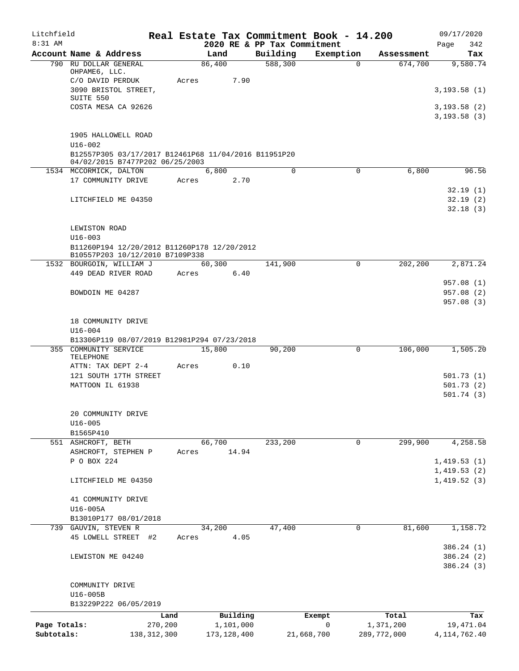| Litchfield   |                                                                                                        |               |               |          |                                         | Real Estate Tax Commitment Book - 14.200 |             | 09/17/2020                  |
|--------------|--------------------------------------------------------------------------------------------------------|---------------|---------------|----------|-----------------------------------------|------------------------------------------|-------------|-----------------------------|
| $8:31$ AM    | Account Name & Address                                                                                 |               | Land          |          | 2020 RE & PP Tax Commitment<br>Building | Exemption                                | Assessment  | Page<br>342<br>Tax          |
|              | 790 RU DOLLAR GENERAL                                                                                  |               | 86,400        |          | 588,300                                 | $\mathbf 0$                              | 674,700     | 9,580.74                    |
|              | OHPAME6, LLC.<br>C/O DAVID PERDUK                                                                      | Acres         |               | 7.90     |                                         |                                          |             |                             |
|              | 3090 BRISTOL STREET,<br>SUITE 550                                                                      |               |               |          |                                         |                                          |             | 3,193.58(1)                 |
|              | COSTA MESA CA 92626                                                                                    |               |               |          |                                         |                                          |             | 3,193.58(2)<br>3, 193.58(3) |
|              | 1905 HALLOWELL ROAD                                                                                    |               |               |          |                                         |                                          |             |                             |
|              | $U16 - 002$<br>B12557P305 03/17/2017 B12461P68 11/04/2016 B11951P20<br>04/02/2015 B7477P202 06/25/2003 |               |               |          |                                         |                                          |             |                             |
|              | 1534 MCCORMICK, DALTON                                                                                 |               | 6,800         |          | $\Omega$                                | $\mathbf 0$                              | 6,800       | 96.56                       |
|              | 17 COMMUNITY DRIVE                                                                                     | Acres         |               | 2.70     |                                         |                                          |             |                             |
|              | LITCHFIELD ME 04350                                                                                    |               |               |          |                                         |                                          |             | 32.19(1)<br>32.19(2)        |
|              |                                                                                                        |               |               |          |                                         |                                          |             | 32.18(3)                    |
|              | LEWISTON ROAD<br>$U16 - 003$                                                                           |               |               |          |                                         |                                          |             |                             |
|              | B11260P194 12/20/2012 B11260P178 12/20/2012<br>B10557P203 10/12/2010 B7109P338                         |               |               |          |                                         |                                          |             |                             |
|              | 1532 BOURGOIN, WILLIAM J                                                                               |               | 60,300        |          | 141,900                                 | 0                                        | 202,200     | 2,871.24                    |
|              | 449 DEAD RIVER ROAD                                                                                    | Acres         |               | 6.40     |                                         |                                          |             |                             |
|              |                                                                                                        |               |               |          |                                         |                                          |             | 957.08 (1)                  |
|              | BOWDOIN ME 04287                                                                                       |               |               |          |                                         |                                          |             | 957.08 (2)                  |
|              |                                                                                                        |               |               |          |                                         |                                          |             | 957.08 (3)                  |
|              | 18 COMMUNITY DRIVE                                                                                     |               |               |          |                                         |                                          |             |                             |
|              | $U16 - 004$                                                                                            |               |               |          |                                         |                                          |             |                             |
|              | B13306P119 08/07/2019 B12981P294 07/23/2018                                                            |               |               |          |                                         |                                          |             |                             |
|              | 355 COMMUNITY SERVICE<br>TELEPHONE                                                                     |               | 15,800        |          | 90,200                                  | 0                                        | 106,000     | 1,505.20                    |
|              | ATTN: TAX DEPT 2-4                                                                                     | Acres         |               | 0.10     |                                         |                                          |             |                             |
|              | 121 SOUTH 17TH STREET                                                                                  |               |               |          |                                         |                                          |             | 501.73 (1)                  |
|              | MATTOON IL 61938                                                                                       |               |               |          |                                         |                                          |             | 501.73(2)                   |
|              |                                                                                                        |               |               |          |                                         |                                          |             | 501.74(3)                   |
|              | 20 COMMUNITY DRIVE                                                                                     |               |               |          |                                         |                                          |             |                             |
|              | U16-005                                                                                                |               |               |          |                                         |                                          |             |                             |
|              | B1565P410                                                                                              |               | 66,700        |          |                                         |                                          | 299,900     |                             |
|              | 551 ASHCROFT, BETH<br>ASHCROFT, STEPHEN P                                                              | Acres         |               | 14.94    | 233,200                                 | 0                                        |             | 4,258.58                    |
|              | P O BOX 224                                                                                            |               |               |          |                                         |                                          |             | 1,419.53(1)                 |
|              |                                                                                                        |               |               |          |                                         |                                          |             | 1,419.53(2)                 |
|              | LITCHFIELD ME 04350                                                                                    |               |               |          |                                         |                                          |             | 1,419.52(3)                 |
|              | 41 COMMUNITY DRIVE                                                                                     |               |               |          |                                         |                                          |             |                             |
|              | U16-005A                                                                                               |               |               |          |                                         |                                          |             |                             |
|              | B13010P177 08/01/2018                                                                                  |               |               |          |                                         |                                          |             |                             |
|              | 739 GAUVIN, STEVEN R                                                                                   |               | 34,200        | 4.05     | 47,400                                  | 0                                        | 81,600      | 1,158.72                    |
|              | 45 LOWELL STREET #2                                                                                    | Acres         |               |          |                                         |                                          |             | 386.24 (1)                  |
|              | LEWISTON ME 04240                                                                                      |               |               |          |                                         |                                          |             | 386.24 (2)                  |
|              |                                                                                                        |               |               |          |                                         |                                          |             | 386.24 (3)                  |
|              | COMMUNITY DRIVE                                                                                        |               |               |          |                                         |                                          |             |                             |
|              | U16-005B                                                                                               |               |               |          |                                         |                                          |             |                             |
|              | B13229P222 06/05/2019                                                                                  |               |               |          |                                         |                                          |             |                             |
|              |                                                                                                        | Land          |               | Building |                                         | Exempt                                   | Total       | Tax                         |
| Page Totals: |                                                                                                        | 270,200       | 1,101,000     |          |                                         | 0                                        | 1,371,200   | 19,471.04                   |
| Subtotals:   |                                                                                                        | 138, 312, 300 | 173, 128, 400 |          |                                         | 21,668,700                               | 289,772,000 | 4, 114, 762. 40             |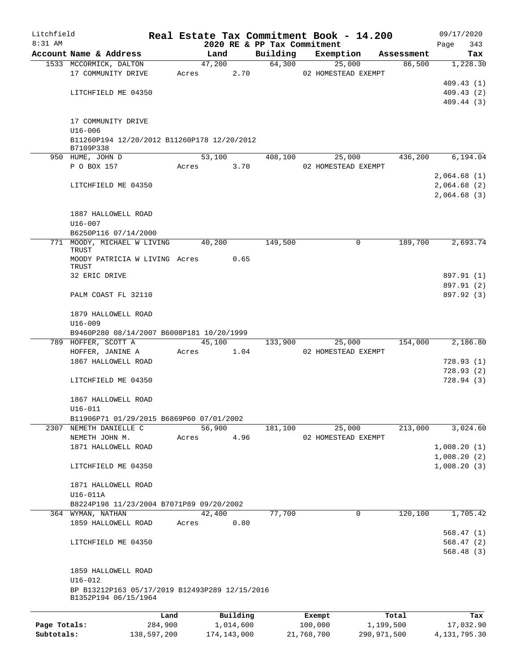| Litchfield   |                                                                        |         |        |           |          | Real Estate Tax Commitment Book - 14.200 |            | 09/17/2020      |
|--------------|------------------------------------------------------------------------|---------|--------|-----------|----------|------------------------------------------|------------|-----------------|
| 8:31 AM      | Account Name & Address                                                 |         | Land   |           | Building | 2020 RE & PP Tax Commitment              | Assessment | 343<br>Page     |
|              | 1533 MCCORMICK, DALTON                                                 |         | 47,200 |           | 64,300   | Exemption<br>25,000                      | 86,500     | Tax<br>1,228.30 |
|              | 17 COMMUNITY DRIVE                                                     |         | Acres  | 2.70      |          | 02 HOMESTEAD EXEMPT                      |            |                 |
|              |                                                                        |         |        |           |          |                                          |            | 409.43(1)       |
|              | LITCHFIELD ME 04350                                                    |         |        |           |          |                                          |            | 409.43(2)       |
|              |                                                                        |         |        |           |          |                                          |            | 409.44(3)       |
|              | 17 COMMUNITY DRIVE                                                     |         |        |           |          |                                          |            |                 |
|              | $U16 - 006$                                                            |         |        |           |          |                                          |            |                 |
|              | B11260P194 12/20/2012 B11260P178 12/20/2012<br>B7109P338               |         |        |           |          |                                          |            |                 |
|              | 950 HUME, JOHN D                                                       |         | 53,100 |           | 408,100  | 25,000                                   | 436,200    | 6,194.04        |
|              | P O BOX 157                                                            |         | Acres  | 3.70      |          | 02 HOMESTEAD EXEMPT                      |            |                 |
|              |                                                                        |         |        |           |          |                                          |            | 2,064.68(1)     |
|              | LITCHFIELD ME 04350                                                    |         |        |           |          |                                          |            | 2,064.68 (2)    |
|              |                                                                        |         |        |           |          |                                          |            | 2,064.68 (3)    |
|              |                                                                        |         |        |           |          |                                          |            |                 |
|              | 1887 HALLOWELL ROAD<br>$U16 - 007$                                     |         |        |           |          |                                          |            |                 |
|              | B6250P116 07/14/2000                                                   |         |        |           |          |                                          |            |                 |
|              | 771 MOODY, MICHAEL W LIVING                                            |         | 40,200 |           | 149,500  | 0                                        | 189,700    | 2,693.74        |
|              | TRUST                                                                  |         |        |           |          |                                          |            |                 |
|              | MOODY PATRICIA W LIVING Acres<br>TRUST                                 |         |        | 0.65      |          |                                          |            |                 |
|              | 32 ERIC DRIVE                                                          |         |        |           |          |                                          |            | 897.91 (1)      |
|              |                                                                        |         |        |           |          |                                          |            | 897.91 (2)      |
|              | PALM COAST FL 32110                                                    |         |        |           |          |                                          |            | 897.92 (3)      |
|              |                                                                        |         |        |           |          |                                          |            |                 |
|              | 1879 HALLOWELL ROAD                                                    |         |        |           |          |                                          |            |                 |
|              | $U16 - 009$                                                            |         |        |           |          |                                          |            |                 |
|              | B9460P280 08/14/2007 B6008P181 10/20/1999                              |         |        |           |          |                                          |            |                 |
|              | 789 HOFFER, SCOTT A                                                    |         | 45,100 |           | 133,900  | 25,000                                   | 154,000    | 2,186.80        |
|              | HOFFER, JANINE A                                                       | Acres   |        | 1.04      |          | 02 HOMESTEAD EXEMPT                      |            |                 |
|              | 1867 HALLOWELL ROAD                                                    |         |        |           |          |                                          |            | 728.93(1)       |
|              |                                                                        |         |        |           |          |                                          |            | 728.93(2)       |
|              | LITCHFIELD ME 04350                                                    |         |        |           |          |                                          |            | 728.94(3)       |
|              | 1867 HALLOWELL ROAD                                                    |         |        |           |          |                                          |            |                 |
|              | $U16 - 011$                                                            |         |        |           |          |                                          |            |                 |
|              | B11906P71 01/29/2015 B6869P60 07/01/2002                               |         |        |           |          |                                          |            |                 |
|              | 2307 NEMETH DANIELLE C                                                 |         | 56,900 |           | 181,100  | 25,000                                   | 213,000    | 3,024.60        |
|              | NEMETH JOHN M.                                                         | Acres   |        | 4.96      |          | 02 HOMESTEAD EXEMPT                      |            |                 |
|              | 1871 HALLOWELL ROAD                                                    |         |        |           |          |                                          |            | 1,008.20(1)     |
|              |                                                                        |         |        |           |          |                                          |            | 1,008.20(2)     |
|              | LITCHFIELD ME 04350                                                    |         |        |           |          |                                          |            | 1,008.20(3)     |
|              |                                                                        |         |        |           |          |                                          |            |                 |
|              | 1871 HALLOWELL ROAD<br>U16-011A                                        |         |        |           |          |                                          |            |                 |
|              | B8224P198 11/23/2004 B7071P89 09/20/2002                               |         |        |           |          |                                          |            |                 |
|              | 364 WYMAN, NATHAN                                                      |         | 42,400 |           | 77,700   | 0                                        | 120,100    | 1,705.42        |
|              | 1859 HALLOWELL ROAD                                                    | Acres   |        | 0.80      |          |                                          |            |                 |
|              |                                                                        |         |        |           |          |                                          |            | 568.47(1)       |
|              | LITCHFIELD ME 04350                                                    |         |        |           |          |                                          |            | 568.47(2)       |
|              |                                                                        |         |        |           |          |                                          |            | 568.48(3)       |
|              | 1859 HALLOWELL ROAD                                                    |         |        |           |          |                                          |            |                 |
|              | $U16 - 012$                                                            |         |        |           |          |                                          |            |                 |
|              | BP B13212P163 05/17/2019 B12493P289 12/15/2016<br>B1352P194 06/15/1964 |         |        |           |          |                                          |            |                 |
|              |                                                                        |         |        |           |          |                                          |            |                 |
|              |                                                                        | Land    |        | Building  |          | Exempt                                   | Total      | Tax             |
| Page Totals: |                                                                        | 284,900 |        | 1,014,600 |          | 100,000                                  | 1,199,500  | 17,032.90       |

**Subtotals:** 138,597,200 174,143,000 21,768,700 290,971,500 4,131,795.30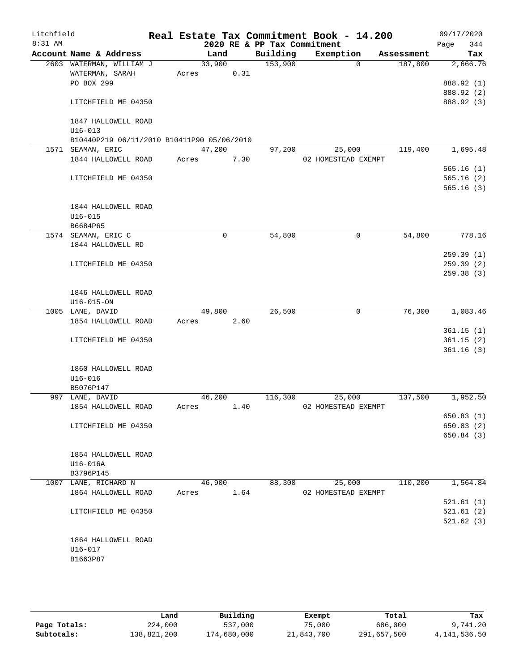| Litchfield |                                            |        |             |                             | Real Estate Tax Commitment Book - 14.200 |            | 09/17/2020  |
|------------|--------------------------------------------|--------|-------------|-----------------------------|------------------------------------------|------------|-------------|
| 8:31 AM    |                                            |        |             | 2020 RE & PP Tax Commitment |                                          |            | 344<br>Page |
|            | Account Name & Address                     | Land   |             | Building                    | Exemption                                | Assessment | Tax         |
|            | 2603 WATERMAN, WILLIAM J                   | 33,900 |             | 153,900                     | $\Omega$                                 | 187,800    | 2,666.76    |
|            | WATERMAN, SARAH                            | Acres  | 0.31        |                             |                                          |            |             |
|            | PO BOX 299                                 |        |             |                             |                                          |            | 888.92 (1)  |
|            |                                            |        |             |                             |                                          |            | 888.92 (2)  |
|            | LITCHFIELD ME 04350                        |        |             |                             |                                          |            | 888.92 (3)  |
|            | 1847 HALLOWELL ROAD                        |        |             |                             |                                          |            |             |
|            | $U16 - 013$                                |        |             |                             |                                          |            |             |
|            | B10440P219 06/11/2010 B10411P90 05/06/2010 |        |             |                             |                                          |            |             |
|            | 1571 SEAMAN, ERIC                          | 47,200 |             | 97,200                      | 25,000                                   | 119,400    | 1,695.48    |
|            | 1844 HALLOWELL ROAD                        | Acres  | 7.30        |                             | 02 HOMESTEAD EXEMPT                      |            |             |
|            |                                            |        |             |                             |                                          |            | 565.16(1)   |
|            | LITCHFIELD ME 04350                        |        |             |                             |                                          |            | 565.16(2)   |
|            |                                            |        |             |                             |                                          |            | 565.16(3)   |
|            | 1844 HALLOWELL ROAD                        |        |             |                             |                                          |            |             |
|            | $U16 - 015$                                |        |             |                             |                                          |            |             |
|            | B6684P65                                   |        |             |                             |                                          |            |             |
|            | 1574 SEAMAN, ERIC C                        |        | $\mathbf 0$ | 54,800                      | 0                                        | 54,800     | 778.16      |
|            | 1844 HALLOWELL RD                          |        |             |                             |                                          |            |             |
|            |                                            |        |             |                             |                                          |            | 259.39(1)   |
|            | LITCHFIELD ME 04350                        |        |             |                             |                                          |            | 259.39(2)   |
|            |                                            |        |             |                             |                                          |            | 259.38 (3)  |
|            |                                            |        |             |                             |                                          |            |             |
|            | 1846 HALLOWELL ROAD                        |        |             |                             |                                          |            |             |
|            | $U16 - 015 - ON$                           |        |             |                             |                                          |            |             |
|            | 1005 LANE, DAVID                           | 49,800 |             | 26,500                      | $\mathbf 0$                              | 76,300     | 1,083.46    |
|            | 1854 HALLOWELL ROAD                        | Acres  | 2.60        |                             |                                          |            |             |
|            |                                            |        |             |                             |                                          |            | 361.15(1)   |
|            | LITCHFIELD ME 04350                        |        |             |                             |                                          |            | 361.15(2)   |
|            |                                            |        |             |                             |                                          |            | 361.16(3)   |
|            |                                            |        |             |                             |                                          |            |             |
|            | 1860 HALLOWELL ROAD<br>$U16 - 016$         |        |             |                             |                                          |            |             |
|            | B5076P147                                  |        |             |                             |                                          |            |             |
|            | 997 LANE, DAVID                            | 46,200 |             | 116,300                     | 25,000                                   | 137,500    | 1,952.50    |
|            | 1854 HALLOWELL ROAD                        | Acres  | 1.40        |                             | 02 HOMESTEAD EXEMPT                      |            |             |
|            |                                            |        |             |                             |                                          |            | 650.83 (1)  |
|            | LITCHFIELD ME 04350                        |        |             |                             |                                          |            | 650.83 (2)  |
|            |                                            |        |             |                             |                                          |            | 650.84 (3)  |
|            |                                            |        |             |                             |                                          |            |             |
|            | 1854 HALLOWELL ROAD                        |        |             |                             |                                          |            |             |
|            | U16-016A                                   |        |             |                             |                                          |            |             |
|            | B3796P145                                  |        |             |                             |                                          |            |             |
|            | 1007 LANE, RICHARD N                       | 46,900 |             | 88,300                      | 25,000                                   | 110,200    | 1,564.84    |
|            | 1864 HALLOWELL ROAD                        | Acres  | 1.64        |                             | 02 HOMESTEAD EXEMPT                      |            |             |
|            |                                            |        |             |                             |                                          |            | 521.61(1)   |
|            | LITCHFIELD ME 04350                        |        |             |                             |                                          |            | 521.61(2)   |
|            |                                            |        |             |                             |                                          |            | 521.62(3)   |
|            |                                            |        |             |                             |                                          |            |             |
|            | 1864 HALLOWELL ROAD                        |        |             |                             |                                          |            |             |
|            | U16-017                                    |        |             |                             |                                          |            |             |
|            | B1663P87                                   |        |             |                             |                                          |            |             |
|            |                                            |        |             |                             |                                          |            |             |
|            |                                            |        |             |                             |                                          |            |             |

|              | Land        | Building    | Exempt     | Total       | Tax          |
|--------------|-------------|-------------|------------|-------------|--------------|
| Page Totals: | 224,000     | 537,000     | 75,000     | 686,000     | 9,741.20     |
| Subtotals:   | 138,821,200 | 174,680,000 | 21,843,700 | 291,657,500 | 4,141,536.50 |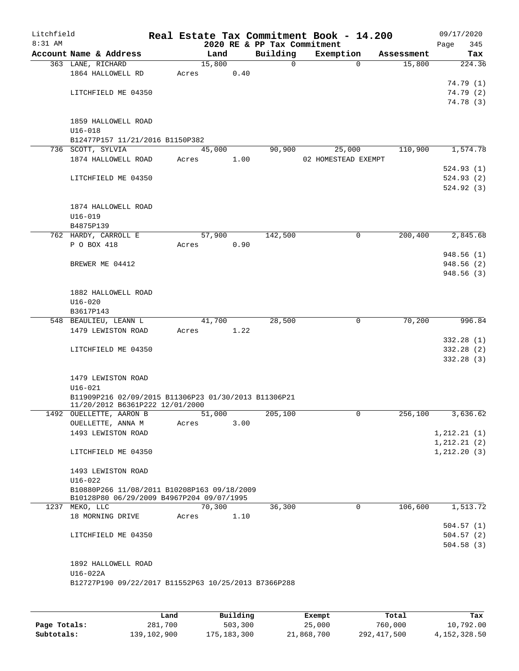| Litchfield<br>$8:31$ AM |                                                                                          |       |        |      | 2020 RE & PP Tax Commitment |   | Real Estate Tax Commitment Book - 14.200 |             |            | 09/17/2020<br>Page<br>345 |
|-------------------------|------------------------------------------------------------------------------------------|-------|--------|------|-----------------------------|---|------------------------------------------|-------------|------------|---------------------------|
|                         | Account Name & Address                                                                   |       | Land   |      | Building                    |   | Exemption                                |             | Assessment | Tax                       |
|                         | 363 LANE, RICHARD                                                                        |       | 15,800 |      |                             | 0 |                                          | $\Omega$    | 15,800     | 224.36                    |
|                         | 1864 HALLOWELL RD                                                                        | Acres |        | 0.40 |                             |   |                                          |             |            |                           |
|                         |                                                                                          |       |        |      |                             |   |                                          |             |            | 74.79 (1)                 |
|                         | LITCHFIELD ME 04350                                                                      |       |        |      |                             |   |                                          |             |            | 74.79 (2)                 |
|                         |                                                                                          |       |        |      |                             |   |                                          |             |            | 74.78 (3)                 |
|                         | 1859 HALLOWELL ROAD                                                                      |       |        |      |                             |   |                                          |             |            |                           |
|                         | $U16 - 018$                                                                              |       |        |      |                             |   |                                          |             |            |                           |
|                         | B12477P157 11/21/2016 B1150P382                                                          |       |        |      |                             |   |                                          |             |            |                           |
|                         | 736 SCOTT, SYLVIA                                                                        |       | 45,000 |      | 90,900                      |   | 25,000                                   |             | 110,900    | 1,574.78                  |
|                         | 1874 HALLOWELL ROAD                                                                      | Acres |        | 1.00 |                             |   | 02 HOMESTEAD EXEMPT                      |             |            |                           |
|                         |                                                                                          |       |        |      |                             |   |                                          |             |            | 524.93(1)                 |
|                         | LITCHFIELD ME 04350                                                                      |       |        |      |                             |   |                                          |             |            | 524.93(2)                 |
|                         |                                                                                          |       |        |      |                             |   |                                          |             |            | 524.92(3)                 |
|                         |                                                                                          |       |        |      |                             |   |                                          |             |            |                           |
|                         | 1874 HALLOWELL ROAD                                                                      |       |        |      |                             |   |                                          |             |            |                           |
|                         | $U16 - 019$                                                                              |       |        |      |                             |   |                                          |             |            |                           |
|                         | B4875P139                                                                                |       |        |      |                             |   |                                          |             |            |                           |
|                         | 762 HARDY, CARROLL E                                                                     |       | 57,900 |      | 142,500                     |   |                                          | 0           | 200,400    | 2,845.68                  |
|                         | P O BOX 418                                                                              | Acres |        | 0.90 |                             |   |                                          |             |            |                           |
|                         |                                                                                          |       |        |      |                             |   |                                          |             |            | 948.56(1)                 |
|                         | BREWER ME 04412                                                                          |       |        |      |                             |   |                                          |             |            | 948.56(2)                 |
|                         |                                                                                          |       |        |      |                             |   |                                          |             |            | 948.56(3)                 |
|                         |                                                                                          |       |        |      |                             |   |                                          |             |            |                           |
|                         | 1882 HALLOWELL ROAD                                                                      |       |        |      |                             |   |                                          |             |            |                           |
|                         | $U16 - 020$                                                                              |       |        |      |                             |   |                                          |             |            |                           |
|                         | B3617P143                                                                                |       |        |      |                             |   |                                          |             |            |                           |
|                         | 548 BEAULIEU, LEANN L                                                                    |       | 41,700 |      | 28,500                      |   |                                          | 0           | 70,200     | 996.84                    |
|                         | 1479 LEWISTON ROAD                                                                       | Acres |        | 1.22 |                             |   |                                          |             |            |                           |
|                         |                                                                                          |       |        |      |                             |   |                                          |             |            | 332.28(1)                 |
|                         | LITCHFIELD ME 04350                                                                      |       |        |      |                             |   |                                          |             |            | 332.28 (2)                |
|                         |                                                                                          |       |        |      |                             |   |                                          |             |            | 332.28(3)                 |
|                         |                                                                                          |       |        |      |                             |   |                                          |             |            |                           |
|                         | 1479 LEWISTON ROAD                                                                       |       |        |      |                             |   |                                          |             |            |                           |
|                         | $U16 - 021$                                                                              |       |        |      |                             |   |                                          |             |            |                           |
|                         | B11909P216 02/09/2015 B11306P23 01/30/2013 B11306P21                                     |       |        |      |                             |   |                                          |             |            |                           |
|                         | 11/20/2012 B6361P222 12/01/2000                                                          |       |        |      |                             |   |                                          |             |            |                           |
| 1492                    | OUELLETTE, AARON B                                                                       |       | 51,000 |      | 205,100                     |   |                                          | 0           | 256,100    | 3,636.62                  |
|                         | OUELLETTE, ANNA M                                                                        | Acres |        | 3.00 |                             |   |                                          |             |            |                           |
|                         | 1493 LEWISTON ROAD                                                                       |       |        |      |                             |   |                                          |             |            | 1, 212.21(1)              |
|                         |                                                                                          |       |        |      |                             |   |                                          |             |            | 1, 212.21(2)              |
|                         | LITCHFIELD ME 04350                                                                      |       |        |      |                             |   |                                          |             |            | 1, 212.20(3)              |
|                         |                                                                                          |       |        |      |                             |   |                                          |             |            |                           |
|                         | 1493 LEWISTON ROAD                                                                       |       |        |      |                             |   |                                          |             |            |                           |
|                         | $U16 - 022$                                                                              |       |        |      |                             |   |                                          |             |            |                           |
|                         | B10880P266 11/08/2011 B10208P163 09/18/2009<br>B10128P80 06/29/2009 B4967P204 09/07/1995 |       |        |      |                             |   |                                          |             |            |                           |
|                         | 1237 MEKO, LLC                                                                           |       | 70,300 |      | 36,300                      |   |                                          | $\mathbf 0$ | 106,600    | 1, 513.72                 |
|                         | 18 MORNING DRIVE                                                                         | Acres |        | 1.10 |                             |   |                                          |             |            |                           |
|                         |                                                                                          |       |        |      |                             |   |                                          |             |            | 504.57(1)                 |
|                         | LITCHFIELD ME 04350                                                                      |       |        |      |                             |   |                                          |             |            | 504.57(2)                 |
|                         |                                                                                          |       |        |      |                             |   |                                          |             |            | 504.58(3)                 |
|                         |                                                                                          |       |        |      |                             |   |                                          |             |            |                           |
|                         | 1892 HALLOWELL ROAD                                                                      |       |        |      |                             |   |                                          |             |            |                           |
|                         | U16-022A                                                                                 |       |        |      |                             |   |                                          |             |            |                           |
|                         | B12727P190 09/22/2017 B11552P63 10/25/2013 B7366P288                                     |       |        |      |                             |   |                                          |             |            |                           |
|                         |                                                                                          |       |        |      |                             |   |                                          |             |            |                           |
|                         |                                                                                          |       |        |      |                             |   |                                          |             |            |                           |

|              | Land        | Building    | Exempt     | Total         | Tax          |
|--------------|-------------|-------------|------------|---------------|--------------|
| Page Totals: | 281,700     | 503,300     | 25,000     | 760,000       | 10,792.00    |
| Subtotals:   | 139,102,900 | 175,183,300 | 21,868,700 | 292, 417, 500 | 4,152,328.50 |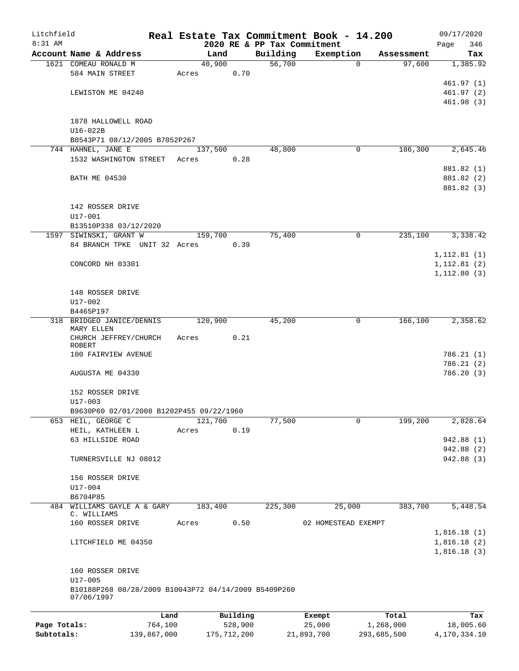| Litchfield   |                                                      |             |                |               |                             | Real Estate Tax Commitment Book - 14.200 |             | 09/17/2020   |
|--------------|------------------------------------------------------|-------------|----------------|---------------|-----------------------------|------------------------------------------|-------------|--------------|
| 8:31 AM      |                                                      |             |                |               | 2020 RE & PP Tax Commitment |                                          |             | 346<br>Page  |
|              | Account Name & Address                               |             | Land<br>40,900 |               | Building<br>56,700          | Exemption<br>$\Omega$                    | Assessment  | Tax          |
|              | 1621 COMEAU RONALD M<br>584 MAIN STREET              |             | Acres          | 0.70          |                             |                                          | 97,600      | 1,385.92     |
|              |                                                      |             |                |               |                             |                                          |             | 461.97(1)    |
|              | LEWISTON ME 04240                                    |             |                |               |                             |                                          |             | 461.97(2)    |
|              |                                                      |             |                |               |                             |                                          |             | 461.98(3)    |
|              |                                                      |             |                |               |                             |                                          |             |              |
|              | 1878 HALLOWELL ROAD                                  |             |                |               |                             |                                          |             |              |
|              | $U16-022B$                                           |             |                |               |                             |                                          |             |              |
|              | B8543P71 08/12/2005 B7052P267                        |             |                |               |                             |                                          |             |              |
|              | 744 HAHNEL, JANE E                                   |             | 137,500        |               | 48,800                      | 0                                        | 186,300     | 2,645.46     |
|              | 1532 WASHINGTON STREET                               |             | Acres          | 0.28          |                             |                                          |             |              |
|              |                                                      |             |                |               |                             |                                          |             | 881.82 (1)   |
|              | <b>BATH ME 04530</b>                                 |             |                |               |                             |                                          |             | 881.82 (2)   |
|              |                                                      |             |                |               |                             |                                          |             | 881.82 (3)   |
|              |                                                      |             |                |               |                             |                                          |             |              |
|              | 142 ROSSER DRIVE                                     |             |                |               |                             |                                          |             |              |
|              | $U17 - 001$                                          |             |                |               |                             |                                          |             |              |
|              | B13510P338 03/12/2020                                |             |                |               |                             |                                          |             |              |
|              | 1597 SIWINSKI, GRANT W                               |             | 159,700        |               | 75,400                      | $\mathbf 0$                              | 235,100     | 3,338.42     |
|              | 84 BRANCH TPKE UNIT 32 Acres                         |             |                | 0.39          |                             |                                          |             |              |
|              |                                                      |             |                |               |                             |                                          |             | 1, 112.81(1) |
|              | CONCORD NH 03301                                     |             |                |               |                             |                                          |             | 1, 112.81(2) |
|              |                                                      |             |                |               |                             |                                          |             | 1, 112.80(3) |
|              |                                                      |             |                |               |                             |                                          |             |              |
|              | 148 ROSSER DRIVE                                     |             |                |               |                             |                                          |             |              |
|              | U17-002<br>B4465P197                                 |             |                |               |                             |                                          |             |              |
|              | 318 BRIDGEO JANICE/DENNIS                            |             | 120,900        |               | 45,200                      | 0                                        | 166,100     | 2,358.62     |
|              | MARY ELLEN                                           |             |                |               |                             |                                          |             |              |
|              | CHURCH JEFFREY/CHURCH                                |             | Acres          | 0.21          |                             |                                          |             |              |
|              | ROBERT                                               |             |                |               |                             |                                          |             |              |
|              | 100 FAIRVIEW AVENUE                                  |             |                |               |                             |                                          |             | 786.21 (1)   |
|              |                                                      |             |                |               |                             |                                          |             | 786.21(2)    |
|              | AUGUSTA ME 04330                                     |             |                |               |                             |                                          |             | 786.20(3)    |
|              |                                                      |             |                |               |                             |                                          |             |              |
|              | 152 ROSSER DRIVE<br>$U17 - 003$                      |             |                |               |                             |                                          |             |              |
|              | B9630P60 02/01/2008 B1202P455 09/22/1960             |             |                |               |                             |                                          |             |              |
| 653          | HEIL, GEORGE C                                       |             | 121,700        |               | 77,500                      | 0                                        | 199,200     | 2,828.64     |
|              | HEIL, KATHLEEN L                                     |             | Acres          | 0.19          |                             |                                          |             |              |
|              | 63 HILLSIDE ROAD                                     |             |                |               |                             |                                          |             | 942.88 (1)   |
|              |                                                      |             |                |               |                             |                                          |             | 942.88 (2)   |
|              | TURNERSVILLE NJ 08012                                |             |                |               |                             |                                          |             | 942.88 (3)   |
|              |                                                      |             |                |               |                             |                                          |             |              |
|              | 156 ROSSER DRIVE                                     |             |                |               |                             |                                          |             |              |
|              | $U17 - 004$                                          |             |                |               |                             |                                          |             |              |
|              | B6704P85                                             |             |                |               |                             |                                          |             |              |
| 484          | WILLIAMS GAYLE A & GARY                              |             | 183,400        |               | 225,300                     | 25,000                                   | 383,700     | 5,448.54     |
|              | C. WILLIAMS                                          |             |                |               |                             |                                          |             |              |
|              | 160 ROSSER DRIVE                                     |             | Acres          | 0.50          |                             | 02 HOMESTEAD EXEMPT                      |             |              |
|              |                                                      |             |                |               |                             |                                          |             | 1,816.18(1)  |
|              | LITCHFIELD ME 04350                                  |             |                |               |                             |                                          |             | 1,816.18(2)  |
|              |                                                      |             |                |               |                             |                                          |             | 1,816.18(3)  |
|              | 160 ROSSER DRIVE                                     |             |                |               |                             |                                          |             |              |
|              | U17-005                                              |             |                |               |                             |                                          |             |              |
|              | B10188P268 08/28/2009 B10043P72 04/14/2009 B5409P260 |             |                |               |                             |                                          |             |              |
|              | 07/06/1997                                           |             |                |               |                             |                                          |             |              |
|              |                                                      |             |                |               |                             |                                          |             |              |
|              |                                                      | Land        |                | Building      |                             | Exempt                                   | Total       | Tax          |
| Page Totals: |                                                      | 764,100     |                | 528,900       |                             | 25,000                                   | 1,268,000   | 18,005.60    |
| Subtotals:   |                                                      | 139,867,000 |                | 175, 712, 200 |                             | 21,893,700                               | 293,685,500 | 4,170,334.10 |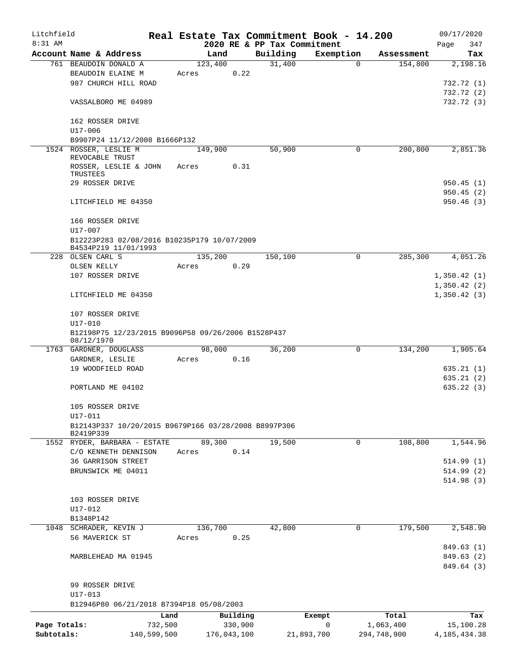| Litchfield                 |                                                      |             |          |                             | Real Estate Tax Commitment Book - 14.200 |                          | 09/17/2020                  |
|----------------------------|------------------------------------------------------|-------------|----------|-----------------------------|------------------------------------------|--------------------------|-----------------------------|
| $8:31$ AM                  |                                                      |             |          | 2020 RE & PP Tax Commitment |                                          |                          | Page<br>347                 |
|                            | Account Name & Address                               | Land        |          | Building                    | Exemption                                | Assessment               | Tax                         |
|                            | 761 BEAUDOIN DONALD A                                | 123,400     |          | 31,400                      | $\Omega$                                 | 154,800                  | 2,198.16                    |
|                            | BEAUDOIN ELAINE M                                    | Acres       | 0.22     |                             |                                          |                          |                             |
|                            | 987 CHURCH HILL ROAD                                 |             |          |                             |                                          |                          | 732.72 (1)                  |
|                            |                                                      |             |          |                             |                                          |                          | 732.72 (2)                  |
|                            | VASSALBORO ME 04989                                  |             |          |                             |                                          |                          | 732.72(3)                   |
|                            | 162 ROSSER DRIVE                                     |             |          |                             |                                          |                          |                             |
|                            | U17-006                                              |             |          |                             |                                          |                          |                             |
|                            | B9907P24 11/12/2008 B1666P132                        |             |          |                             |                                          |                          |                             |
|                            | 1524 ROSSER, LESLIE M                                | 149,900     |          | 50,900                      | 0                                        | 200,800                  | 2,851.36                    |
|                            | REVOCABLE TRUST                                      |             |          |                             |                                          |                          |                             |
|                            | ROSSER, LESLIE & JOHN                                | Acres       | 0.31     |                             |                                          |                          |                             |
|                            | TRUSTEES                                             |             |          |                             |                                          |                          |                             |
|                            | 29 ROSSER DRIVE                                      |             |          |                             |                                          |                          | 950.45(1)                   |
|                            |                                                      |             |          |                             |                                          |                          | 950.45(2)                   |
|                            | LITCHFIELD ME 04350                                  |             |          |                             |                                          |                          | 950.46(3)                   |
|                            | 166 ROSSER DRIVE                                     |             |          |                             |                                          |                          |                             |
|                            | U17-007                                              |             |          |                             |                                          |                          |                             |
|                            | B12223P283 02/08/2016 B10235P179 10/07/2009          |             |          |                             |                                          |                          |                             |
|                            | B4534P219 11/01/1993                                 |             |          |                             |                                          |                          |                             |
|                            | 228 OLSEN CARL S                                     | 135,200     |          | 150,100                     | 0                                        | 285,300                  | 4,051.26                    |
|                            | OLSEN KELLY                                          | Acres       | 0.29     |                             |                                          |                          |                             |
|                            | 107 ROSSER DRIVE                                     |             |          |                             |                                          |                          | 1,350.42(1)                 |
|                            |                                                      |             |          |                             |                                          |                          | 1,350.42(2)                 |
|                            | LITCHFIELD ME 04350                                  |             |          |                             |                                          |                          | 1,350.42(3)                 |
|                            |                                                      |             |          |                             |                                          |                          |                             |
|                            | 107 ROSSER DRIVE                                     |             |          |                             |                                          |                          |                             |
|                            | U17-010                                              |             |          |                             |                                          |                          |                             |
|                            | B12198P75 12/23/2015 B9096P58 09/26/2006 B1528P437   |             |          |                             |                                          |                          |                             |
|                            | 08/12/1970                                           |             |          |                             |                                          |                          |                             |
|                            | 1763 GARDNER, DOUGLASS<br>GARDNER, LESLIE            | 98,000      |          | 36,200                      | 0                                        | 134,200                  | 1,905.64                    |
|                            | 19 WOODFIELD ROAD                                    | Acres       | 0.16     |                             |                                          |                          | 635.21(1)                   |
|                            |                                                      |             |          |                             |                                          |                          | 635.21(2)                   |
|                            | PORTLAND ME 04102                                    |             |          |                             |                                          |                          | 635.22(3)                   |
|                            |                                                      |             |          |                             |                                          |                          |                             |
|                            | 105 ROSSER DRIVE                                     |             |          |                             |                                          |                          |                             |
|                            | U17-011                                              |             |          |                             |                                          |                          |                             |
|                            | B12143P337 10/20/2015 B9679P166 03/28/2008 B8997P306 |             |          |                             |                                          |                          |                             |
|                            | B2419P339                                            |             |          |                             |                                          |                          |                             |
|                            | 1552 RYDER, BARBARA - ESTATE                         | 89,300      |          | 19,500                      | 0                                        | 108,800                  | 1,544.96                    |
|                            | C/O KENNETH DENNISON                                 | Acres       | 0.14     |                             |                                          |                          |                             |
|                            | 36 GARRISON STREET                                   |             |          |                             |                                          |                          | 514.99(1)                   |
|                            | BRUNSWICK ME 04011                                   |             |          |                             |                                          |                          | 514.99(2)                   |
|                            |                                                      |             |          |                             |                                          |                          | 514.98(3)                   |
|                            |                                                      |             |          |                             |                                          |                          |                             |
|                            | 103 ROSSER DRIVE                                     |             |          |                             |                                          |                          |                             |
|                            | $U17 - 012$                                          |             |          |                             |                                          |                          |                             |
|                            | B1348P142                                            |             |          |                             |                                          |                          |                             |
|                            | 1048 SCHRADER, KEVIN J                               | 136,700     |          | 42,800                      | $\mathbf 0$                              | 179,500                  | 2,548.90                    |
|                            | 56 MAVERICK ST                                       | Acres       | 0.25     |                             |                                          |                          |                             |
|                            |                                                      |             |          |                             |                                          |                          | 849.63(1)                   |
|                            | MARBLEHEAD MA 01945                                  |             |          |                             |                                          |                          | 849.63(2)                   |
|                            |                                                      |             |          |                             |                                          |                          | 849.64 (3)                  |
|                            |                                                      |             |          |                             |                                          |                          |                             |
|                            | 99 ROSSER DRIVE<br>U17-013                           |             |          |                             |                                          |                          |                             |
|                            | B12946P80 06/21/2018 B7394P18 05/08/2003             |             |          |                             |                                          |                          |                             |
|                            |                                                      |             |          |                             |                                          |                          |                             |
|                            | Land                                                 |             | Building |                             | Exempt<br>0                              | Total                    | Tax                         |
| Page Totals:<br>Subtotals: | 732,500<br>140,599,500                               | 176,043,100 | 330,900  |                             | 21,893,700                               | 1,063,400<br>294,748,900 | 15,100.28<br>4, 185, 434.38 |
|                            |                                                      |             |          |                             |                                          |                          |                             |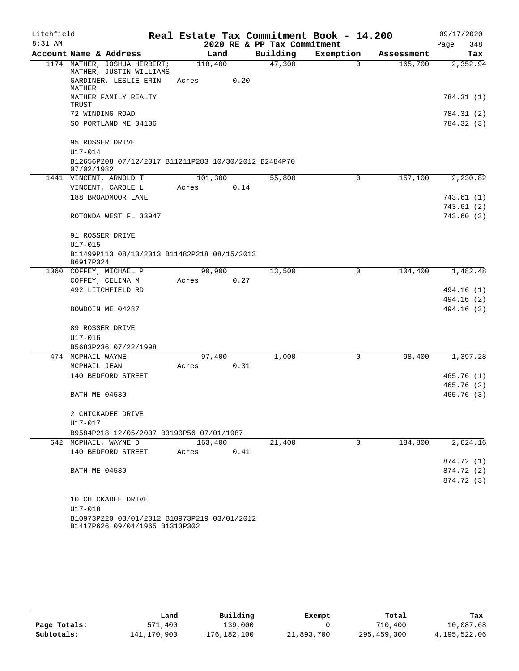| Litchfield |                                                                                  |                  |      |                             | Real Estate Tax Commitment Book - 14.200 |            | 09/17/2020  |
|------------|----------------------------------------------------------------------------------|------------------|------|-----------------------------|------------------------------------------|------------|-------------|
| 8:31 AM    |                                                                                  |                  |      | 2020 RE & PP Tax Commitment |                                          |            | Page<br>348 |
|            | Account Name & Address                                                           | Land             |      | Building                    | Exemption                                | Assessment | Tax         |
|            | 1174 MATHER, JOSHUA HERBERT;<br>MATHER, JUSTIN WILLIAMS<br>GARDINER, LESLIE ERIN | 118,400<br>Acres | 0.20 | 47,300                      | $\Omega$                                 | 165,700    | 2,352.94    |
|            | MATHER<br>MATHER FAMILY REALTY                                                   |                  |      |                             |                                          |            | 784.31 (1)  |
|            | TRUST                                                                            |                  |      |                             |                                          |            |             |
|            | 72 WINDING ROAD                                                                  |                  |      |                             |                                          |            | 784.31 (2)  |
|            | SO PORTLAND ME 04106                                                             |                  |      |                             |                                          |            | 784.32 (3)  |
|            | 95 ROSSER DRIVE                                                                  |                  |      |                             |                                          |            |             |
|            | U17-014                                                                          |                  |      |                             |                                          |            |             |
|            | B12656P208 07/12/2017 B11211P283 10/30/2012 B2484P70<br>07/02/1982               |                  |      |                             |                                          |            |             |
|            | 1441 VINCENT, ARNOLD T                                                           | 101,300          |      | 55,800                      | 0                                        | 157,100    | 2,230.82    |
|            | VINCENT, CAROLE L                                                                | Acres            | 0.14 |                             |                                          |            |             |
|            | 188 BROADMOOR LANE                                                               |                  |      |                             |                                          |            | 743.61(1)   |
|            |                                                                                  |                  |      |                             |                                          |            | 743.61 (2)  |
|            | ROTONDA WEST FL 33947                                                            |                  |      |                             |                                          |            | 743.60 (3)  |
|            | 91 ROSSER DRIVE                                                                  |                  |      |                             |                                          |            |             |
|            | $U17 - 015$                                                                      |                  |      |                             |                                          |            |             |
|            | B11499P113 08/13/2013 B11482P218 08/15/2013<br>B6917P324                         |                  |      |                             |                                          |            |             |
|            | 1060 COFFEY, MICHAEL P                                                           | 90,900           |      | 13,500                      | 0                                        | 104,400    | 1,482.48    |
|            | COFFEY, CELINA M                                                                 | Acres            | 0.27 |                             |                                          |            |             |
|            | 492 LITCHFIELD RD                                                                |                  |      |                             |                                          |            | 494.16 (1)  |
|            |                                                                                  |                  |      |                             |                                          |            | 494.16 (2)  |
|            | BOWDOIN ME 04287                                                                 |                  |      |                             |                                          |            | 494.16 (3)  |
|            | 89 ROSSER DRIVE                                                                  |                  |      |                             |                                          |            |             |
|            | $U17 - 016$                                                                      |                  |      |                             |                                          |            |             |
|            | B5683P236 07/22/1998                                                             |                  |      |                             |                                          |            |             |
|            | 474 MCPHAIL WAYNE                                                                | 97,400           |      | 1,000                       | 0                                        | 98,400     | 1,397.28    |
|            | MCPHAIL JEAN                                                                     | Acres            | 0.31 |                             |                                          |            |             |
|            | 140 BEDFORD STREET                                                               |                  |      |                             |                                          |            | 465.76(1)   |
|            |                                                                                  |                  |      |                             |                                          |            | 465.76 (2)  |
|            | <b>BATH ME 04530</b>                                                             |                  |      |                             |                                          |            | 465.76 (3)  |
|            | 2 CHICKADEE DRIVE                                                                |                  |      |                             |                                          |            |             |
|            | U17-017                                                                          |                  |      |                             |                                          |            |             |
|            | B9584P218 12/05/2007 B3190P56 07/01/1987                                         |                  |      |                             |                                          |            |             |
|            | 642 MCPHAIL, WAYNE D                                                             | 163,400          |      | 21,400                      | 0                                        | 184,800    | 2,624.16    |
|            | 140 BEDFORD STREET                                                               | Acres            | 0.41 |                             |                                          |            |             |
|            |                                                                                  |                  |      |                             |                                          |            | 874.72 (1)  |
|            | <b>BATH ME 04530</b>                                                             |                  |      |                             |                                          |            | 874.72 (2)  |
|            |                                                                                  |                  |      |                             |                                          |            | 874.72 (3)  |
|            | 10 CHICKADEE DRIVE                                                               |                  |      |                             |                                          |            |             |
|            | U17-018                                                                          |                  |      |                             |                                          |            |             |
|            | B10973P220 03/01/2012 B10973P219 03/01/2012<br>B1417P626 09/04/1965 B1313P302    |                  |      |                             |                                          |            |             |

|              | Land        | Building    | Exempt     | Total       | Tax          |
|--------------|-------------|-------------|------------|-------------|--------------|
| Page Totals: | 571,400     | 139,000     |            | 710,400     | 10,087.68    |
| Subtotals:   | 141,170,900 | 176,182,100 | 21,893,700 | 295,459,300 | 4,195,522.06 |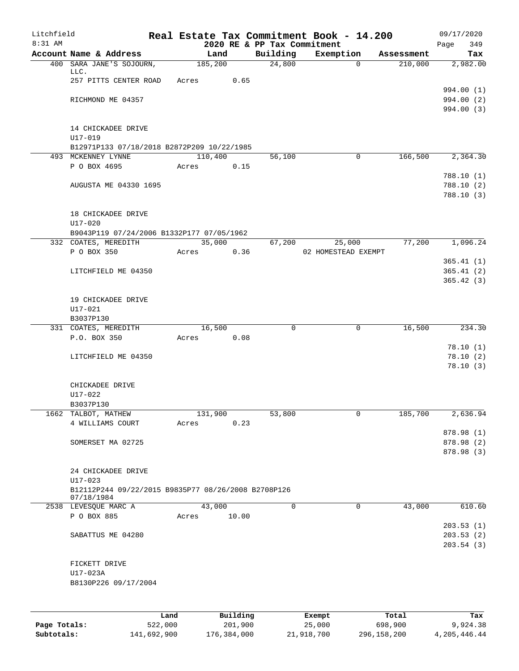| Litchfield   |                                                                   |         |          |                                         | Real Estate Tax Commitment Book - 14.200 |            | 09/17/2020               |
|--------------|-------------------------------------------------------------------|---------|----------|-----------------------------------------|------------------------------------------|------------|--------------------------|
| $8:31$ AM    | Account Name & Address                                            | Land    |          | 2020 RE & PP Tax Commitment<br>Building | Exemption                                | Assessment | Page<br>349<br>Tax       |
|              | 400 SARA JANE'S SOJOURN,                                          | 185,200 |          | 24,800                                  | $\Omega$                                 | 210,000    | 2,982.00                 |
|              | LLC.                                                              |         |          |                                         |                                          |            |                          |
|              | 257 PITTS CENTER ROAD                                             | Acres   | 0.65     |                                         |                                          |            | 994.00 (1)               |
|              | RICHMOND ME 04357                                                 |         |          |                                         |                                          |            | 994.00 (2)               |
|              |                                                                   |         |          |                                         |                                          |            | 994.00 (3)               |
|              |                                                                   |         |          |                                         |                                          |            |                          |
|              | 14 CHICKADEE DRIVE<br>$U17 - 019$                                 |         |          |                                         |                                          |            |                          |
|              | B12971P133 07/18/2018 B2872P209 10/22/1985                        |         |          |                                         |                                          |            |                          |
|              | 493 MCKENNEY LYNNE                                                | 110,400 |          | 56,100                                  | 0                                        | 166,500    | 2,364.30                 |
|              | P O BOX 4695                                                      | Acres   | 0.15     |                                         |                                          |            |                          |
|              | AUGUSTA ME 04330 1695                                             |         |          |                                         |                                          |            | 788.10(1)<br>788.10(2)   |
|              |                                                                   |         |          |                                         |                                          |            | 788.10(3)                |
|              |                                                                   |         |          |                                         |                                          |            |                          |
|              | 18 CHICKADEE DRIVE                                                |         |          |                                         |                                          |            |                          |
|              | $U17 - 020$                                                       |         |          |                                         |                                          |            |                          |
|              | B9043P119 07/24/2006 B1332P177 07/05/1962<br>332 COATES, MEREDITH | 35,000  |          | 67,200                                  | 25,000                                   | 77,200     | 1,096.24                 |
|              | P O BOX 350                                                       | Acres   | 0.36     |                                         | 02 HOMESTEAD EXEMPT                      |            |                          |
|              |                                                                   |         |          |                                         |                                          |            | 365.41(1)                |
|              | LITCHFIELD ME 04350                                               |         |          |                                         |                                          |            | 365.41(2)                |
|              |                                                                   |         |          |                                         |                                          |            | 365.42(3)                |
|              | 19 CHICKADEE DRIVE                                                |         |          |                                         |                                          |            |                          |
|              | U17-021                                                           |         |          |                                         |                                          |            |                          |
|              | B3037P130                                                         |         |          |                                         |                                          |            |                          |
|              | 331 COATES, MEREDITH                                              | 16,500  |          | 0                                       | $\mathbf 0$                              | 16,500     | 234.30                   |
|              | P.O. BOX 350                                                      | Acres   | 0.08     |                                         |                                          |            | 78.10(1)                 |
|              | LITCHFIELD ME 04350                                               |         |          |                                         |                                          |            | 78.10(2)                 |
|              |                                                                   |         |          |                                         |                                          |            | 78.10(3)                 |
|              |                                                                   |         |          |                                         |                                          |            |                          |
|              | CHICKADEE DRIVE<br>U17-022                                        |         |          |                                         |                                          |            |                          |
|              | B3037P130                                                         |         |          |                                         |                                          |            |                          |
| 1662         | TALBOT, MATHEW                                                    | 131,900 |          | 53,800                                  | 0                                        | 185,700    | 2,636.94                 |
|              | 4 WILLIAMS COURT                                                  | Acres   | 0.23     |                                         |                                          |            |                          |
|              |                                                                   |         |          |                                         |                                          |            | 878.98 (1)               |
|              | SOMERSET MA 02725                                                 |         |          |                                         |                                          |            | 878.98 (2)<br>878.98 (3) |
|              |                                                                   |         |          |                                         |                                          |            |                          |
|              | 24 CHICKADEE DRIVE                                                |         |          |                                         |                                          |            |                          |
|              | $U17 - 023$                                                       |         |          |                                         |                                          |            |                          |
|              | B12112P244 09/22/2015 B9835P77 08/26/2008 B2708P126<br>07/18/1984 |         |          |                                         |                                          |            |                          |
|              | 2538 LEVESQUE MARC A                                              | 43,000  |          | 0                                       | $\mathbf 0$                              | 43,000     | 610.60                   |
|              | P O BOX 885                                                       | Acres   | 10.00    |                                         |                                          |            |                          |
|              | SABATTUS ME 04280                                                 |         |          |                                         |                                          |            | 203.53(1)<br>203.53(2)   |
|              |                                                                   |         |          |                                         |                                          |            | 203.54(3)                |
|              |                                                                   |         |          |                                         |                                          |            |                          |
|              | FICKETT DRIVE                                                     |         |          |                                         |                                          |            |                          |
|              | U17-023A                                                          |         |          |                                         |                                          |            |                          |
|              | B8130P226 09/17/2004                                              |         |          |                                         |                                          |            |                          |
|              |                                                                   |         |          |                                         |                                          |            |                          |
|              |                                                                   | Land    | Building |                                         | Exempt                                   | Total      | Tax                      |
| Page Totals: |                                                                   | 522,000 | 201,900  |                                         | 25,000                                   | 698,900    | 9,924.38                 |

**Subtotals:** 141,692,900 176,384,000 21,918,700 296,158,200 4,205,446.44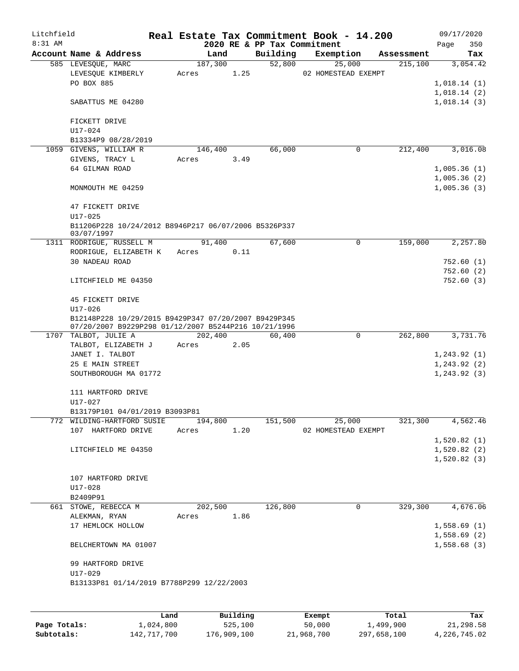| Litchfield |                                                      |       |         |      |          | Real Estate Tax Commitment Book - 14.200 |            | 09/17/2020                   |            |
|------------|------------------------------------------------------|-------|---------|------|----------|------------------------------------------|------------|------------------------------|------------|
| $8:31$ AM  |                                                      |       |         |      |          | 2020 RE & PP Tax Commitment              |            | Page                         | 350        |
|            | Account Name & Address                               |       | Land    |      | Building | Exemption                                | Assessment |                              | Tax        |
|            | 585 LEVESOUE, MARC                                   |       | 187,300 |      | 52,800   | 25,000                                   | 215,100    |                              | 3,054.42   |
|            | LEVESQUE KIMBERLY                                    | Acres |         | 1.25 |          | 02 HOMESTEAD EXEMPT                      |            |                              |            |
|            | PO BOX 885                                           |       |         |      |          |                                          |            | 1,018.14(1)                  |            |
|            |                                                      |       |         |      |          |                                          |            | 1,018.14(2)                  |            |
|            | SABATTUS ME 04280                                    |       |         |      |          |                                          |            | 1,018.14(3)                  |            |
|            |                                                      |       |         |      |          |                                          |            |                              |            |
|            | FICKETT DRIVE<br>$U17 - 024$                         |       |         |      |          |                                          |            |                              |            |
|            | B13334P9 08/28/2019                                  |       |         |      |          |                                          |            |                              |            |
|            | 1059 GIVENS, WILLIAM R                               |       | 146,400 |      | 66,000   | 0                                        | 212,400    |                              | 3,016.08   |
|            | GIVENS, TRACY L                                      | Acres |         | 3.49 |          |                                          |            |                              |            |
|            | 64 GILMAN ROAD                                       |       |         |      |          |                                          |            | 1,005.36(1)                  |            |
|            |                                                      |       |         |      |          |                                          |            | 1,005.36(2)                  |            |
|            | MONMOUTH ME 04259                                    |       |         |      |          |                                          |            | 1,005.36(3)                  |            |
|            |                                                      |       |         |      |          |                                          |            |                              |            |
|            | 47 FICKETT DRIVE                                     |       |         |      |          |                                          |            |                              |            |
|            | $U17 - 025$                                          |       |         |      |          |                                          |            |                              |            |
|            | B11206P228 10/24/2012 B8946P217 06/07/2006 B5326P337 |       |         |      |          |                                          |            |                              |            |
|            | 03/07/1997                                           |       |         |      |          |                                          |            |                              |            |
|            | 1311 RODRIGUE, RUSSELL M                             |       | 91,400  |      | 67,600   | 0                                        | 159,000    |                              | 2,257.80   |
|            | RODRIGUE, ELIZABETH K                                | Acres |         | 0.11 |          |                                          |            |                              |            |
|            | 30 NADEAU ROAD                                       |       |         |      |          |                                          |            |                              | 752.60 (1) |
|            |                                                      |       |         |      |          |                                          |            |                              | 752.60(2)  |
|            | LITCHFIELD ME 04350                                  |       |         |      |          |                                          |            |                              | 752.60 (3) |
|            |                                                      |       |         |      |          |                                          |            |                              |            |
|            | 45 FICKETT DRIVE                                     |       |         |      |          |                                          |            |                              |            |
|            | $U17 - 026$                                          |       |         |      |          |                                          |            |                              |            |
|            | B12148P228 10/29/2015 B9429P347 07/20/2007 B9429P345 |       |         |      |          |                                          |            |                              |            |
|            | 07/20/2007 B9229P298 01/12/2007 B5244P216 10/21/1996 |       |         |      |          | $\mathbf 0$                              | 262,800    |                              | 3,731.76   |
|            | 1707 TALBOT, JULIE A                                 |       | 202,400 |      | 60,400   |                                          |            |                              |            |
|            | TALBOT, ELIZABETH J                                  | Acres |         | 2.05 |          |                                          |            |                              |            |
|            | JANET I. TALBOT                                      |       |         |      |          |                                          |            | 1, 243.92(1)                 |            |
|            | 25 E MAIN STREET<br>SOUTHBOROUGH MA 01772            |       |         |      |          |                                          |            | 1, 243.92(2)<br>1, 243.92(3) |            |
|            |                                                      |       |         |      |          |                                          |            |                              |            |
|            | 111 HARTFORD DRIVE                                   |       |         |      |          |                                          |            |                              |            |
|            | U17-027                                              |       |         |      |          |                                          |            |                              |            |
|            | B13179P101 04/01/2019 B3093P81                       |       |         |      |          |                                          |            |                              |            |
|            | 772 WILDING-HARTFORD SUSIE                           |       | 194,800 |      | 151,500  | 25,000                                   | 321,300    |                              | 4,562.46   |
|            | 107 HARTFORD DRIVE                                   | Acres |         | 1.20 |          | 02 HOMESTEAD EXEMPT                      |            |                              |            |
|            |                                                      |       |         |      |          |                                          |            | 1,520.82(1)                  |            |
|            | LITCHFIELD ME 04350                                  |       |         |      |          |                                          |            | 1,520.82(2)                  |            |
|            |                                                      |       |         |      |          |                                          |            | 1,520.82(3)                  |            |
|            |                                                      |       |         |      |          |                                          |            |                              |            |
|            | 107 HARTFORD DRIVE                                   |       |         |      |          |                                          |            |                              |            |
|            | $U17 - 028$                                          |       |         |      |          |                                          |            |                              |            |
|            | B2409P91                                             |       |         |      |          |                                          |            |                              |            |
|            | 661 STOWE, REBECCA M                                 |       | 202,500 |      | 126,800  | 0                                        | 329,300    |                              | 4,676.06   |
|            | ALEKMAN, RYAN                                        | Acres |         | 1.86 |          |                                          |            |                              |            |
|            | 17 HEMLOCK HOLLOW                                    |       |         |      |          |                                          |            | 1,558.69(1)                  |            |
|            |                                                      |       |         |      |          |                                          |            | 1,558.69(2)                  |            |
|            | BELCHERTOWN MA 01007                                 |       |         |      |          |                                          |            | 1,558.68(3)                  |            |
|            |                                                      |       |         |      |          |                                          |            |                              |            |
|            | 99 HARTFORD DRIVE                                    |       |         |      |          |                                          |            |                              |            |
|            | U17-029                                              |       |         |      |          |                                          |            |                              |            |
|            | B13133P81 01/14/2019 B7788P299 12/22/2003            |       |         |      |          |                                          |            |                              |            |
|            |                                                      |       |         |      |          |                                          |            |                              |            |
|            |                                                      |       |         |      |          |                                          |            |                              |            |

|              | Land        | Building    | Exempt     | Total       | Tax          |
|--------------|-------------|-------------|------------|-------------|--------------|
| Page Totals: | 1,024,800   | 525,100     | 50,000     | 1,499,900   | 21,298.58    |
| Subtotals:   | 142,717,700 | 176,909,100 | 21,968,700 | 297,658,100 | 4,226,745.02 |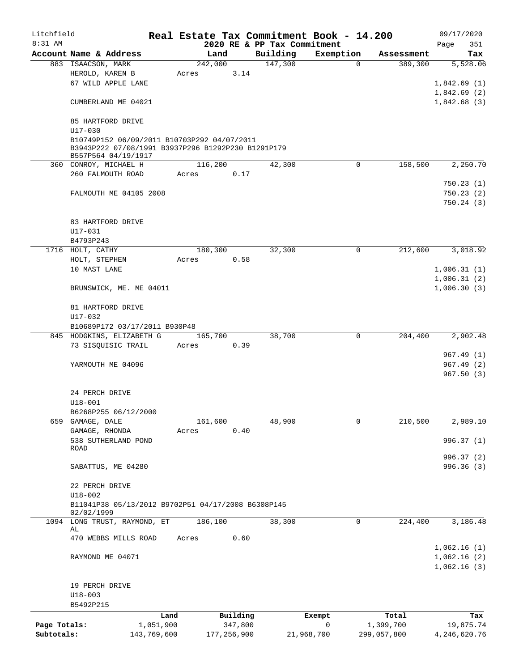| Litchfield   |                                                    |             |         |               | Real Estate Tax Commitment Book - 14.200 |             |             |             | 09/17/2020             |
|--------------|----------------------------------------------------|-------------|---------|---------------|------------------------------------------|-------------|-------------|-------------|------------------------|
| 8:31 AM      |                                                    |             |         |               | 2020 RE & PP Tax Commitment              |             |             |             | 351<br>Page            |
|              | Account Name & Address                             |             | Land    |               | Building                                 | Exemption   |             | Assessment  | Tax                    |
|              | 883 ISAACSON, MARK                                 |             | 242,000 |               | 147,300                                  |             | $\mathbf 0$ | 389,300     | 5,528.06               |
|              | HEROLD, KAREN B<br>67 WILD APPLE LANE              |             | Acres   | 3.14          |                                          |             |             |             |                        |
|              |                                                    |             |         |               |                                          |             |             |             | 1,842.69(1)            |
|              |                                                    |             |         |               |                                          |             |             |             | 1,842.69(2)            |
|              | CUMBERLAND ME 04021                                |             |         |               |                                          |             |             |             | 1,842.68(3)            |
|              | 85 HARTFORD DRIVE                                  |             |         |               |                                          |             |             |             |                        |
|              | U17-030                                            |             |         |               |                                          |             |             |             |                        |
|              | B10749P152 06/09/2011 B10703P292 04/07/2011        |             |         |               |                                          |             |             |             |                        |
|              | B3943P222 07/08/1991 B3937P296 B1292P230 B1291P179 |             |         |               |                                          |             |             |             |                        |
|              | B557P564 04/19/1917                                |             |         |               |                                          |             |             |             |                        |
|              | 360 CONROY, MICHAEL H                              |             | 116,200 |               | 42,300                                   |             | $\mathbf 0$ | 158,500     | 2,250.70               |
|              | 260 FALMOUTH ROAD                                  |             | Acres   | 0.17          |                                          |             |             |             |                        |
|              |                                                    |             |         |               |                                          |             |             |             | 750.23(1)              |
|              | FALMOUTH ME 04105 2008                             |             |         |               |                                          |             |             |             | 750.23(2)              |
|              |                                                    |             |         |               |                                          |             |             |             | 750.24(3)              |
|              |                                                    |             |         |               |                                          |             |             |             |                        |
|              | 83 HARTFORD DRIVE                                  |             |         |               |                                          |             |             |             |                        |
|              | U17-031                                            |             |         |               |                                          |             |             |             |                        |
|              | B4793P243                                          |             |         |               |                                          |             |             |             |                        |
|              | 1716 HOLT, CATHY                                   |             | 180,300 |               | 32,300                                   |             | 0           | 212,600     | 3,018.92               |
|              | HOLT, STEPHEN                                      |             | Acres   | 0.58          |                                          |             |             |             |                        |
|              | 10 MAST LANE                                       |             |         |               |                                          |             |             |             | 1,006.31(1)            |
|              |                                                    |             |         |               |                                          |             |             |             | 1,006.31(2)            |
|              | BRUNSWICK, ME. ME 04011                            |             |         |               |                                          |             |             |             | 1,006.30(3)            |
|              |                                                    |             |         |               |                                          |             |             |             |                        |
|              | 81 HARTFORD DRIVE                                  |             |         |               |                                          |             |             |             |                        |
|              | U17-032                                            |             |         |               |                                          |             |             |             |                        |
|              | B10689P172 03/17/2011 B930P48                      |             |         |               |                                          |             |             |             |                        |
|              | 845 HODGKINS, ELIZABETH G                          |             | 165,700 |               | 38,700                                   |             | $\mathbf 0$ | 204,400     | 2,902.48               |
|              | 73 SISQUISIC TRAIL                                 |             | Acres   | 0.39          |                                          |             |             |             |                        |
|              |                                                    |             |         |               |                                          |             |             |             | 967.49(1)<br>967.49(2) |
|              | YARMOUTH ME 04096                                  |             |         |               |                                          |             |             |             | 967.50(3)              |
|              |                                                    |             |         |               |                                          |             |             |             |                        |
|              | 24 PERCH DRIVE                                     |             |         |               |                                          |             |             |             |                        |
|              | $U18 - 001$                                        |             |         |               |                                          |             |             |             |                        |
|              | B6268P255 06/12/2000                               |             |         |               |                                          |             |             |             |                        |
| 659          | GAMAGE, DALE                                       |             | 161,600 |               | 48,900                                   |             | 0           | 210,500     | 2,989.10               |
|              | GAMAGE, RHONDA                                     |             | Acres   | 0.40          |                                          |             |             |             |                        |
|              | 538 SUTHERLAND POND                                |             |         |               |                                          |             |             |             | 996.37 (1)             |
|              | ROAD                                               |             |         |               |                                          |             |             |             |                        |
|              |                                                    |             |         |               |                                          |             |             |             | 996.37 (2)             |
|              | SABATTUS, ME 04280                                 |             |         |               |                                          |             |             |             | 996.36 (3)             |
|              |                                                    |             |         |               |                                          |             |             |             |                        |
|              | 22 PERCH DRIVE                                     |             |         |               |                                          |             |             |             |                        |
|              | $U18 - 002$                                        |             |         |               |                                          |             |             |             |                        |
|              | B11041P38 05/13/2012 B9702P51 04/17/2008 B6308P145 |             |         |               |                                          |             |             |             |                        |
|              | 02/02/1999                                         |             |         |               |                                          |             |             |             |                        |
|              | 1094 LONG TRUST, RAYMOND, ET<br>AL                 |             | 186,100 |               | 38,300                                   |             | 0           | 224,400     | 3,186.48               |
|              | 470 WEBBS MILLS ROAD                               |             | Acres   | 0.60          |                                          |             |             |             |                        |
|              |                                                    |             |         |               |                                          |             |             |             | 1,062.16(1)            |
|              | RAYMOND ME 04071                                   |             |         |               |                                          |             |             |             | 1,062.16(2)            |
|              |                                                    |             |         |               |                                          |             |             |             | 1,062.16(3)            |
|              |                                                    |             |         |               |                                          |             |             |             |                        |
|              | 19 PERCH DRIVE                                     |             |         |               |                                          |             |             |             |                        |
|              | $U18 - 003$                                        |             |         |               |                                          |             |             |             |                        |
|              | B5492P215                                          |             |         |               |                                          |             |             |             |                        |
|              |                                                    | Land        |         | Building      |                                          | Exempt      |             | Total       | Tax                    |
| Page Totals: |                                                    | 1,051,900   |         | 347,800       |                                          | $\mathbf 0$ |             | 1,399,700   | 19,875.74              |
| Subtotals:   |                                                    | 143,769,600 |         | 177, 256, 900 | 21,968,700                               |             |             | 299,057,800 | 4,246,620.76           |
|              |                                                    |             |         |               |                                          |             |             |             |                        |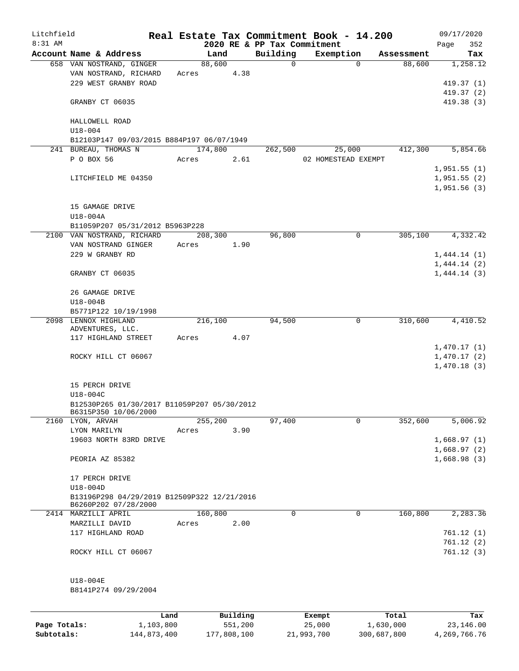| Litchfield |                                                   |       |         |          |                             | Real Estate Tax Commitment Book - 14.200 |          |            |      | 09/17/2020  |
|------------|---------------------------------------------------|-------|---------|----------|-----------------------------|------------------------------------------|----------|------------|------|-------------|
| 8:31 AM    |                                                   |       |         |          | 2020 RE & PP Tax Commitment |                                          |          |            | Page | 352         |
|            | Account Name & Address                            |       | Land    |          | Building                    | Exemption                                | $\Omega$ | Assessment |      | Tax         |
|            | 658 VAN NOSTRAND, GINGER<br>VAN NOSTRAND, RICHARD |       | 88,600  | 4.38     | $\mathbf 0$                 |                                          |          | 88,600     |      | 1,258.12    |
|            | 229 WEST GRANBY ROAD                              | Acres |         |          |                             |                                          |          |            |      | 419.37(1)   |
|            |                                                   |       |         |          |                             |                                          |          |            |      | 419.37 (2)  |
|            | GRANBY CT 06035                                   |       |         |          |                             |                                          |          |            |      | 419.38(3)   |
|            | HALLOWELL ROAD                                    |       |         |          |                             |                                          |          |            |      |             |
|            | $U18 - 004$                                       |       |         |          |                             |                                          |          |            |      |             |
|            | B12103P147 09/03/2015 B884P197 06/07/1949         |       |         |          |                             |                                          |          |            |      |             |
|            | 241 BUREAU, THOMAS N                              |       | 174,800 |          | 262,500                     |                                          | 25,000   | 412,300    |      | 5,854.66    |
|            | P O BOX 56                                        | Acres |         | 2.61     |                             | 02 HOMESTEAD EXEMPT                      |          |            |      |             |
|            |                                                   |       |         |          |                             |                                          |          |            |      | 1,951.55(1) |
|            | LITCHFIELD ME 04350                               |       |         |          |                             |                                          |          |            |      | 1,951.55(2) |
|            |                                                   |       |         |          |                             |                                          |          |            |      | 1,951.56(3) |
|            | 15 GAMAGE DRIVE                                   |       |         |          |                             |                                          |          |            |      |             |
|            | U18-004A                                          |       |         |          |                             |                                          |          |            |      |             |
|            | B11059P207 05/31/2012 B5963P228                   |       |         |          |                             |                                          |          |            |      |             |
|            | 2100 VAN NOSTRAND, RICHARD                        |       | 208,300 |          | 96,800                      |                                          | 0        | 305,100    |      | 4,332.42    |
|            | VAN NOSTRAND GINGER                               | Acres |         | 1.90     |                             |                                          |          |            |      |             |
|            | 229 W GRANBY RD                                   |       |         |          |                             |                                          |          |            |      | 1,444.14(1) |
|            |                                                   |       |         |          |                             |                                          |          |            |      | 1,444.14(2) |
|            | GRANBY CT 06035                                   |       |         |          |                             |                                          |          |            |      | 1,444.14(3) |
|            | 26 GAMAGE DRIVE                                   |       |         |          |                             |                                          |          |            |      |             |
|            | U18-004B                                          |       |         |          |                             |                                          |          |            |      |             |
|            | B5771P122 10/19/1998                              |       |         |          |                             |                                          |          |            |      |             |
|            | 2098 LENNOX HIGHLAND                              |       | 216,100 |          | 94,500                      |                                          | 0        | 310,600    |      | 4,410.52    |
|            | ADVENTURES, LLC.                                  |       |         |          |                             |                                          |          |            |      |             |
|            | 117 HIGHLAND STREET                               | Acres |         | 4.07     |                             |                                          |          |            |      |             |
|            |                                                   |       |         |          |                             |                                          |          |            |      | 1,470.17(1) |
|            | ROCKY HILL CT 06067                               |       |         |          |                             |                                          |          |            |      | 1,470.17(2) |
|            |                                                   |       |         |          |                             |                                          |          |            |      | 1,470.18(3) |
|            | 15 PERCH DRIVE                                    |       |         |          |                             |                                          |          |            |      |             |
|            | U18-004C                                          |       |         |          |                             |                                          |          |            |      |             |
|            | B12530P265 01/30/2017 B11059P207 05/30/2012       |       |         |          |                             |                                          |          |            |      |             |
|            | B6315P350 10/06/2000                              |       |         |          |                             |                                          |          |            |      |             |
|            | 2160 LYON, ARVAH                                  |       | 255,200 |          | 97,400                      |                                          | 0        | 352,600    |      | 5,006.92    |
|            | LYON MARILYN                                      | Acres |         | 3.90     |                             |                                          |          |            |      |             |
|            | 19603 NORTH 83RD DRIVE                            |       |         |          |                             |                                          |          |            |      | 1,668.97(1) |
|            |                                                   |       |         |          |                             |                                          |          |            |      | 1,668.97(2) |
|            | PEORIA AZ 85382                                   |       |         |          |                             |                                          |          |            |      | 1,668.98(3) |
|            | 17 PERCH DRIVE                                    |       |         |          |                             |                                          |          |            |      |             |
|            | $U18-004D$                                        |       |         |          |                             |                                          |          |            |      |             |
|            | B13196P298 04/29/2019 B12509P322 12/21/2016       |       |         |          |                             |                                          |          |            |      |             |
|            | B6260P202 07/28/2000                              |       |         |          |                             |                                          |          |            |      |             |
|            | 2414 MARZILLI APRIL                               |       | 160,800 |          | 0                           |                                          | 0        | 160,800    |      | 2,283.36    |
|            | MARZILLI DAVID                                    | Acres |         | 2.00     |                             |                                          |          |            |      |             |
|            | 117 HIGHLAND ROAD                                 |       |         |          |                             |                                          |          |            |      | 761.12(1)   |
|            |                                                   |       |         |          |                             |                                          |          |            |      | 761.12(2)   |
|            | ROCKY HILL CT 06067                               |       |         |          |                             |                                          |          |            |      | 761.12(3)   |
|            |                                                   |       |         |          |                             |                                          |          |            |      |             |
|            | U18-004E                                          |       |         |          |                             |                                          |          |            |      |             |
|            | B8141P274 09/29/2004                              |       |         |          |                             |                                          |          |            |      |             |
|            |                                                   |       |         |          |                             |                                          |          |            |      |             |
|            |                                                   | Land  |         | Building |                             | Exempt                                   |          | Total      |      | Tax         |

|              | Land        | Building    | Exempt     | Total       | Tax          |
|--------------|-------------|-------------|------------|-------------|--------------|
| Page Totals: | 1,103,800   | 551,200     | 25,000     | 1,630,000   | 23,146.00    |
| Subtotals:   | 144,873,400 | 177,808,100 | 21,993,700 | 300,687,800 | 4,269,766.76 |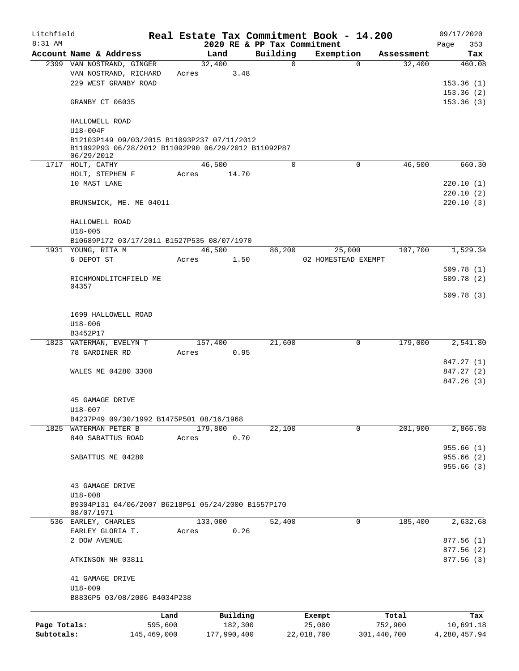| Litchfield   |                                                     |             |       |                |          |                             |            | Real Estate Tax Commitment Book - 14.200 |                      | 09/17/2020     |
|--------------|-----------------------------------------------------|-------------|-------|----------------|----------|-----------------------------|------------|------------------------------------------|----------------------|----------------|
| $8:31$ AM    |                                                     |             |       |                |          | 2020 RE & PP Tax Commitment |            |                                          |                      | 353<br>Page    |
|              | Account Name & Address<br>2399 VAN NOSTRAND, GINGER |             |       | Land<br>32,400 |          | Building<br>$\mathbf 0$     |            | Exemption<br>$\Omega$                    | Assessment<br>32,400 | Tax<br>460.08  |
|              | VAN NOSTRAND, RICHARD                               |             |       |                | 3.48     |                             |            |                                          |                      |                |
|              |                                                     |             | Acres |                |          |                             |            |                                          |                      |                |
|              | 229 WEST GRANBY ROAD                                |             |       |                |          |                             |            |                                          |                      | 153.36(1)      |
|              |                                                     |             |       |                |          |                             |            |                                          |                      | 153.36(2)      |
|              | GRANBY CT 06035                                     |             |       |                |          |                             |            |                                          |                      | 153.36(3)      |
|              | HALLOWELL ROAD                                      |             |       |                |          |                             |            |                                          |                      |                |
|              | $U18 - 004F$                                        |             |       |                |          |                             |            |                                          |                      |                |
|              | B12103P149 09/03/2015 B11093P237 07/11/2012         |             |       |                |          |                             |            |                                          |                      |                |
|              | B11092P93 06/28/2012 B11092P90 06/29/2012 B11092P87 |             |       |                |          |                             |            |                                          |                      |                |
|              | 06/29/2012                                          |             |       |                |          |                             |            |                                          |                      |                |
|              | 1717 HOLT, CATHY                                    |             |       | 46,500         |          | 0                           |            | 0                                        | 46,500               | 660.30         |
|              | HOLT, STEPHEN F                                     |             | Acres |                | 14.70    |                             |            |                                          |                      |                |
|              | 10 MAST LANE                                        |             |       |                |          |                             |            |                                          |                      | 220.10(1)      |
|              |                                                     |             |       |                |          |                             |            |                                          |                      | 220.10(2)      |
|              | BRUNSWICK, ME. ME 04011                             |             |       |                |          |                             |            |                                          |                      | 220.10(3)      |
|              |                                                     |             |       |                |          |                             |            |                                          |                      |                |
|              | HALLOWELL ROAD                                      |             |       |                |          |                             |            |                                          |                      |                |
|              | $U18 - 005$                                         |             |       |                |          |                             |            |                                          |                      |                |
|              | B10689P172 03/17/2011 B1527P535 08/07/1970          |             |       |                |          |                             |            |                                          |                      |                |
|              | 1931 YOUNG, RITA M                                  |             |       | 46,500         |          | 86,200                      |            |                                          | 107,700              | 1,529.34       |
|              |                                                     |             |       |                |          |                             |            | 25,000                                   |                      |                |
|              | 6 DEPOT ST                                          |             | Acres |                | 1.50     |                             |            | 02 HOMESTEAD EXEMPT                      |                      |                |
|              |                                                     |             |       |                |          |                             |            |                                          |                      | 509.78(1)      |
|              | RICHMONDLITCHFIELD ME<br>04357                      |             |       |                |          |                             |            |                                          |                      | 509.78(2)      |
|              |                                                     |             |       |                |          |                             |            |                                          |                      | 509.78(3)      |
|              |                                                     |             |       |                |          |                             |            |                                          |                      |                |
|              | 1699 HALLOWELL ROAD                                 |             |       |                |          |                             |            |                                          |                      |                |
|              |                                                     |             |       |                |          |                             |            |                                          |                      |                |
|              | $U18 - 006$                                         |             |       |                |          |                             |            |                                          |                      |                |
|              | B3452P17                                            |             |       |                |          |                             |            |                                          |                      |                |
|              | 1823 WATERMAN, EVELYN T                             |             |       | 157,400        |          | 21,600                      |            | $\mathbf 0$                              | 179,000              | 2,541.80       |
|              | 78 GARDINER RD                                      |             | Acres |                | 0.95     |                             |            |                                          |                      |                |
|              |                                                     |             |       |                |          |                             |            |                                          |                      | 847.27 (1)     |
|              | WALES ME 04280 3308                                 |             |       |                |          |                             |            |                                          |                      | 847.27 (2)     |
|              |                                                     |             |       |                |          |                             |            |                                          |                      | 847.26 (3)     |
|              |                                                     |             |       |                |          |                             |            |                                          |                      |                |
|              | 45 GAMAGE DRIVE                                     |             |       |                |          |                             |            |                                          |                      |                |
|              | U18-007                                             |             |       |                |          |                             |            |                                          |                      |                |
|              | B4237P49 09/30/1992 B1475P501 08/16/1968            |             |       |                |          |                             |            |                                          |                      |                |
| 1825         | WATERMAN PETER B                                    |             |       | 179,800        |          | 22,100                      |            | 0                                        | 201,900              | 2,866.98       |
|              | 840 SABATTUS ROAD                                   |             | Acres |                | 0.70     |                             |            |                                          |                      |                |
|              |                                                     |             |       |                |          |                             |            |                                          |                      | 955.66(1)      |
|              | SABATTUS ME 04280                                   |             |       |                |          |                             |            |                                          |                      | 955.66(2)      |
|              |                                                     |             |       |                |          |                             |            |                                          |                      | 955.66(3)      |
|              |                                                     |             |       |                |          |                             |            |                                          |                      |                |
|              | 43 GAMAGE DRIVE                                     |             |       |                |          |                             |            |                                          |                      |                |
|              | $U18 - 008$                                         |             |       |                |          |                             |            |                                          |                      |                |
|              | B9304P131 04/06/2007 B6218P51 05/24/2000 B1557P170  |             |       |                |          |                             |            |                                          |                      |                |
|              | 08/07/1971                                          |             |       |                |          |                             |            |                                          |                      |                |
|              | 536 EARLEY, CHARLES                                 |             |       | 133,000        |          | 52,400                      |            | 0                                        | 185,400              | 2,632.68       |
|              | EARLEY GLORIA T.                                    |             | Acres |                | 0.26     |                             |            |                                          |                      |                |
|              | 2 DOW AVENUE                                        |             |       |                |          |                             |            |                                          |                      | 877.56(1)      |
|              |                                                     |             |       |                |          |                             |            |                                          |                      | 877.56(2)      |
|              | ATKINSON NH 03811                                   |             |       |                |          |                             |            |                                          |                      | 877.56 (3)     |
|              |                                                     |             |       |                |          |                             |            |                                          |                      |                |
|              | 41 GAMAGE DRIVE                                     |             |       |                |          |                             |            |                                          |                      |                |
|              | $U18 - 009$                                         |             |       |                |          |                             |            |                                          |                      |                |
|              | B8836P5 03/08/2006 B4034P238                        |             |       |                |          |                             |            |                                          |                      |                |
|              |                                                     |             |       |                |          |                             |            |                                          |                      |                |
|              |                                                     | Land        |       |                | Building |                             | Exempt     |                                          | Total                | Tax            |
| Page Totals: |                                                     | 595,600     |       |                | 182,300  |                             | 25,000     |                                          | 752,900              | 10,691.18      |
| Subtotals:   |                                                     | 145,469,000 |       | 177,990,400    |          |                             | 22,018,700 | 301,440,700                              |                      | 4, 280, 457.94 |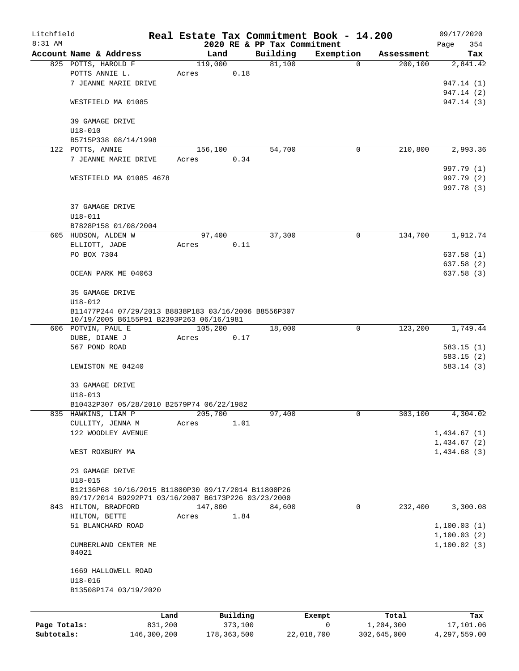| Litchfield   |                                                                                                            |                 | Real Estate Tax Commitment Book - 14.200 |                     |                             |              |                    | 09/17/2020              |
|--------------|------------------------------------------------------------------------------------------------------------|-----------------|------------------------------------------|---------------------|-----------------------------|--------------|--------------------|-------------------------|
| 8:31 AM      |                                                                                                            |                 |                                          |                     | 2020 RE & PP Tax Commitment |              |                    | 354<br>Page             |
|              | Account Name & Address                                                                                     |                 | Land                                     |                     | Building                    | Exemption    | Assessment         | Tax                     |
|              | 825 POTTS, HAROLD F                                                                                        |                 | 119,000                                  |                     | 81,100                      | $\mathbf 0$  | 200, 100           | 2,841.42                |
|              | POTTS ANNIE L.                                                                                             |                 | Acres                                    | 0.18                |                             |              |                    |                         |
|              | 7 JEANNE MARIE DRIVE                                                                                       |                 |                                          |                     |                             |              |                    | 947.14 (1)              |
|              |                                                                                                            |                 |                                          |                     |                             |              |                    | 947.14 (2)              |
|              | WESTFIELD MA 01085                                                                                         |                 |                                          |                     |                             |              |                    | 947.14 (3)              |
|              | 39 GAMAGE DRIVE                                                                                            |                 |                                          |                     |                             |              |                    |                         |
|              | $U18 - 010$                                                                                                |                 |                                          |                     |                             |              |                    |                         |
|              | B5715P338 08/14/1998                                                                                       |                 |                                          |                     |                             |              |                    |                         |
|              | 122 POTTS, ANNIE                                                                                           |                 | 156,100                                  |                     | 54,700                      | 0            | 210,800            | 2,993.36                |
|              | 7 JEANNE MARIE DRIVE                                                                                       |                 | Acres                                    | 0.34                |                             |              |                    |                         |
|              |                                                                                                            |                 |                                          |                     |                             |              |                    | 997.79 (1)              |
|              | WESTFIELD MA 01085 4678                                                                                    |                 |                                          |                     |                             |              |                    | 997.79 (2)              |
|              |                                                                                                            |                 |                                          |                     |                             |              |                    | 997.78 (3)              |
|              |                                                                                                            |                 |                                          |                     |                             |              |                    |                         |
|              | 37 GAMAGE DRIVE                                                                                            |                 |                                          |                     |                             |              |                    |                         |
|              | $U18 - 011$                                                                                                |                 |                                          |                     |                             |              |                    |                         |
|              | B7828P158 01/08/2004                                                                                       |                 |                                          |                     |                             |              |                    |                         |
|              | 605 HUDSON, ALDEN W                                                                                        |                 | 97,400                                   |                     | 37,300                      | 0            | 134,700            | 1,912.74                |
|              | ELLIOTT, JADE                                                                                              |                 | Acres                                    | 0.11                |                             |              |                    |                         |
|              | PO BOX 7304                                                                                                |                 |                                          |                     |                             |              |                    | 637.58(1)               |
|              |                                                                                                            |                 |                                          |                     |                             |              |                    |                         |
|              |                                                                                                            |                 |                                          |                     |                             |              |                    | 637.58 (2)<br>637.58(3) |
|              | OCEAN PARK ME 04063                                                                                        |                 |                                          |                     |                             |              |                    |                         |
|              |                                                                                                            |                 |                                          |                     |                             |              |                    |                         |
|              | 35 GAMAGE DRIVE                                                                                            |                 |                                          |                     |                             |              |                    |                         |
|              | $U18 - 012$                                                                                                |                 |                                          |                     |                             |              |                    |                         |
|              | B11477P244 07/29/2013 B8838P183 03/16/2006 B8556P307<br>10/19/2005 B6155P91 B2393P263 06/16/1981           |                 |                                          |                     |                             |              |                    |                         |
|              | 606 POTVIN, PAUL E                                                                                         |                 | 105,200                                  |                     | 18,000                      | 0            | 123,200            | 1,749.44                |
|              | DUBE, DIANE J                                                                                              |                 | Acres                                    | 0.17                |                             |              |                    |                         |
|              | 567 POND ROAD                                                                                              |                 |                                          |                     |                             |              |                    | 583.15 (1)              |
|              |                                                                                                            |                 |                                          |                     |                             |              |                    | 583.15(2)               |
|              | LEWISTON ME 04240                                                                                          |                 |                                          |                     |                             |              |                    | 583.14(3)               |
|              |                                                                                                            |                 |                                          |                     |                             |              |                    |                         |
|              | 33 GAMAGE DRIVE                                                                                            |                 |                                          |                     |                             |              |                    |                         |
|              | $U18 - 013$                                                                                                |                 |                                          |                     |                             |              |                    |                         |
|              | B10432P307 05/28/2010 B2579P74 06/22/1982                                                                  |                 |                                          |                     |                             |              |                    |                         |
|              |                                                                                                            |                 |                                          |                     |                             |              |                    |                         |
|              | 835 HAWKINS, LIAM P                                                                                        |                 | 205,700                                  |                     | 97,400                      | 0            | 303,100            | 4,304.02                |
|              | CULLITY, JENNA M                                                                                           |                 | Acres                                    | 1.01                |                             |              |                    |                         |
|              | 122 WOODLEY AVENUE                                                                                         |                 |                                          |                     |                             |              |                    | 1,434.67(1)             |
|              |                                                                                                            |                 |                                          |                     |                             |              |                    | 1,434.67(2)             |
|              | WEST ROXBURY MA                                                                                            |                 |                                          |                     |                             |              |                    | 1,434.68(3)             |
|              |                                                                                                            |                 |                                          |                     |                             |              |                    |                         |
|              | 23 GAMAGE DRIVE                                                                                            |                 |                                          |                     |                             |              |                    |                         |
|              | $U18 - 015$                                                                                                |                 |                                          |                     |                             |              |                    |                         |
|              | B12136P68 10/16/2015 B11800P30 09/17/2014 B11800P26<br>09/17/2014 B9292P71 03/16/2007 B6173P226 03/23/2000 |                 |                                          |                     |                             |              |                    |                         |
|              | 843 HILTON, BRADFORD                                                                                       |                 | 147,800                                  |                     | 84,600                      | $\mathsf{O}$ | 232,400            | 3,300.08                |
|              | HILTON, BETTE                                                                                              |                 | Acres                                    | 1.84                |                             |              |                    |                         |
|              | 51 BLANCHARD ROAD                                                                                          |                 |                                          |                     |                             |              |                    | 1,100.03(1)             |
|              |                                                                                                            |                 |                                          |                     |                             |              |                    | 1,100.03(2)             |
|              | CUMBERLAND CENTER ME                                                                                       |                 |                                          |                     |                             |              |                    | 1,100.02(3)             |
|              | 04021                                                                                                      |                 |                                          |                     |                             |              |                    |                         |
|              |                                                                                                            |                 |                                          |                     |                             |              |                    |                         |
|              | 1669 HALLOWELL ROAD                                                                                        |                 |                                          |                     |                             |              |                    |                         |
|              | $U18 - 016$                                                                                                |                 |                                          |                     |                             |              |                    |                         |
|              | B13508P174 03/19/2020                                                                                      |                 |                                          |                     |                             |              |                    |                         |
|              |                                                                                                            |                 |                                          |                     |                             |              |                    |                         |
|              |                                                                                                            |                 |                                          |                     |                             |              |                    |                         |
| Page Totals: |                                                                                                            | Land<br>831,200 |                                          | Building<br>373,100 |                             | Exempt<br>0  | Total<br>1,204,300 | Tax<br>17,101.06        |
| Subtotals:   |                                                                                                            | 146,300,200     | 178, 363, 500                            |                     | 22,018,700                  |              | 302,645,000        | 4,297,559.00            |
|              |                                                                                                            |                 |                                          |                     |                             |              |                    |                         |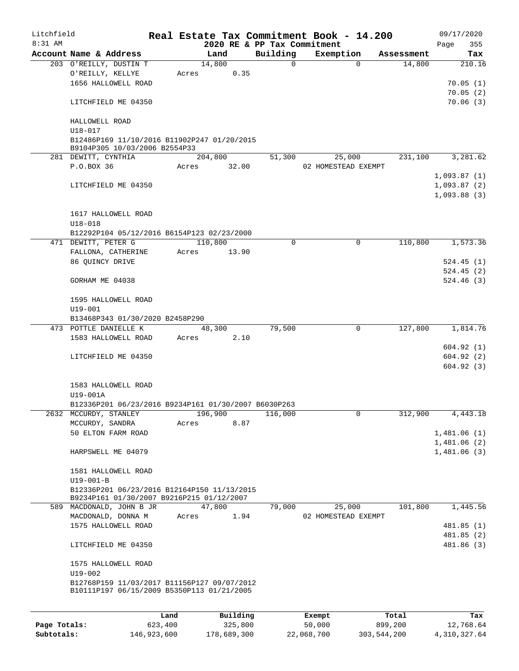| Litchfield   |                                                                              |         |       |          |                             | Real Estate Tax Commitment Book - 14.200 |            |      | 09/17/2020  |
|--------------|------------------------------------------------------------------------------|---------|-------|----------|-----------------------------|------------------------------------------|------------|------|-------------|
| $8:31$ AM    |                                                                              |         |       |          | 2020 RE & PP Tax Commitment |                                          |            | Page | 355         |
|              | Account Name & Address                                                       |         |       | Land     | Building                    | Exemption                                | Assessment |      | Tax         |
|              | 203 O'REILLY, DUSTIN T                                                       |         |       | 14,800   | 0                           | $\Omega$                                 | 14,800     |      | 210.16      |
|              | O'REILLY, KELLYE                                                             |         | Acres | 0.35     |                             |                                          |            |      |             |
|              | 1656 HALLOWELL ROAD                                                          |         |       |          |                             |                                          |            |      | 70.05(1)    |
|              |                                                                              |         |       |          |                             |                                          |            |      | 70.05(2)    |
|              | LITCHFIELD ME 04350                                                          |         |       |          |                             |                                          |            |      | 70.06(3)    |
|              |                                                                              |         |       |          |                             |                                          |            |      |             |
|              | HALLOWELL ROAD                                                               |         |       |          |                             |                                          |            |      |             |
|              | $U18 - 017$                                                                  |         |       |          |                             |                                          |            |      |             |
|              | B12486P169 11/10/2016 B11902P247 01/20/2015<br>B9104P305 10/03/2006 B2554P33 |         |       |          |                             |                                          |            |      |             |
|              | 281 DEWITT, CYNTHIA                                                          |         |       | 204,800  | 51,300                      | 25,000                                   | 231,100    |      | 3,281.62    |
|              | P.O.BOX 36                                                                   |         | Acres | 32.00    |                             | 02 HOMESTEAD EXEMPT                      |            |      |             |
|              |                                                                              |         |       |          |                             |                                          |            |      | 1,093.87(1) |
|              | LITCHFIELD ME 04350                                                          |         |       |          |                             |                                          |            |      | 1,093.87(2) |
|              |                                                                              |         |       |          |                             |                                          |            |      | 1,093.88(3) |
|              |                                                                              |         |       |          |                             |                                          |            |      |             |
|              | 1617 HALLOWELL ROAD                                                          |         |       |          |                             |                                          |            |      |             |
|              | $U18 - 018$                                                                  |         |       |          |                             |                                          |            |      |             |
|              | B12292P104 05/12/2016 B6154P123 02/23/2000                                   |         |       |          |                             |                                          |            |      |             |
|              | 471 DEWITT, PETER G                                                          |         |       | 110,800  | 0                           | $\mathbf 0$                              | 110,800    |      | 1,573.36    |
|              | FALLONA, CATHERINE                                                           |         | Acres | 13.90    |                             |                                          |            |      |             |
|              | 86 QUINCY DRIVE                                                              |         |       |          |                             |                                          |            |      | 524.45(1)   |
|              |                                                                              |         |       |          |                             |                                          |            |      | 524.45(2)   |
|              | GORHAM ME 04038                                                              |         |       |          |                             |                                          |            |      | 524.46(3)   |
|              |                                                                              |         |       |          |                             |                                          |            |      |             |
|              | 1595 HALLOWELL ROAD                                                          |         |       |          |                             |                                          |            |      |             |
|              | $U19 - 001$                                                                  |         |       |          |                             |                                          |            |      |             |
|              | B13468P343 01/30/2020 B2458P290                                              |         |       |          |                             |                                          |            |      |             |
|              | 473 POTTLE DANIELLE K                                                        |         |       | 48,300   | 79,500                      | 0                                        | 127,800    |      | 1,814.76    |
|              | 1583 HALLOWELL ROAD                                                          |         | Acres | 2.10     |                             |                                          |            |      |             |
|              |                                                                              |         |       |          |                             |                                          |            |      | 604.92(1)   |
|              | LITCHFIELD ME 04350                                                          |         |       |          |                             |                                          |            |      | 604.92(2)   |
|              |                                                                              |         |       |          |                             |                                          |            |      | 604.92(3)   |
|              |                                                                              |         |       |          |                             |                                          |            |      |             |
|              | 1583 HALLOWELL ROAD                                                          |         |       |          |                             |                                          |            |      |             |
|              | U19-001A                                                                     |         |       |          |                             |                                          |            |      |             |
|              | B12336P201 06/23/2016 B9234P161 01/30/2007 B6030P263                         |         |       |          |                             |                                          |            |      |             |
|              | 2632 MCCURDY, STANLEY                                                        |         |       | 196,900  | 116,000                     | 0                                        | 312,900    |      | 4, 443.18   |
|              | MCCURDY, SANDRA                                                              |         | Acres | 8.87     |                             |                                          |            |      |             |
|              | 50 ELTON FARM ROAD                                                           |         |       |          |                             |                                          |            |      | 1,481.06(1) |
|              |                                                                              |         |       |          |                             |                                          |            |      | 1,481.06(2) |
|              | HARPSWELL ME 04079                                                           |         |       |          |                             |                                          |            |      | 1,481.06(3) |
|              |                                                                              |         |       |          |                             |                                          |            |      |             |
|              | 1581 HALLOWELL ROAD                                                          |         |       |          |                             |                                          |            |      |             |
|              | $U19 - 001 - B$                                                              |         |       |          |                             |                                          |            |      |             |
|              | B12336P201 06/23/2016 B12164P150 11/13/2015                                  |         |       |          |                             |                                          |            |      |             |
|              | B9234P161 01/30/2007 B9216P215 01/12/2007                                    |         |       |          |                             |                                          |            |      |             |
|              | 589 MACDONALD, JOHN B JR                                                     |         |       | 47,800   | 79,000                      | 25,000                                   | 101,800    |      | 1,445.56    |
|              | MACDONALD, DONNA M                                                           |         | Acres | 1.94     |                             | 02 HOMESTEAD EXEMPT                      |            |      |             |
|              | 1575 HALLOWELL ROAD                                                          |         |       |          |                             |                                          |            |      | 481.85 (1)  |
|              |                                                                              |         |       |          |                             |                                          |            |      | 481.85 (2)  |
|              | LITCHFIELD ME 04350                                                          |         |       |          |                             |                                          |            |      | 481.86 (3)  |
|              |                                                                              |         |       |          |                             |                                          |            |      |             |
|              | 1575 HALLOWELL ROAD                                                          |         |       |          |                             |                                          |            |      |             |
|              | U19-002                                                                      |         |       |          |                             |                                          |            |      |             |
|              | B12768P159 11/03/2017 B11156P127 09/07/2012                                  |         |       |          |                             |                                          |            |      |             |
|              | B10111P197 06/15/2009 B5350P113 01/21/2005                                   |         |       |          |                             |                                          |            |      |             |
|              |                                                                              |         |       |          |                             |                                          |            |      |             |
|              |                                                                              | Land    |       | Building |                             | Exempt                                   | Total      |      | Tax         |
| Page Totals: |                                                                              | 623,400 |       | 325,800  |                             | 50,000                                   | 899,200    |      | 12,768.64   |

**Subtotals:** 146,923,600 178,689,300 22,068,700 303,544,200 4,310,327.64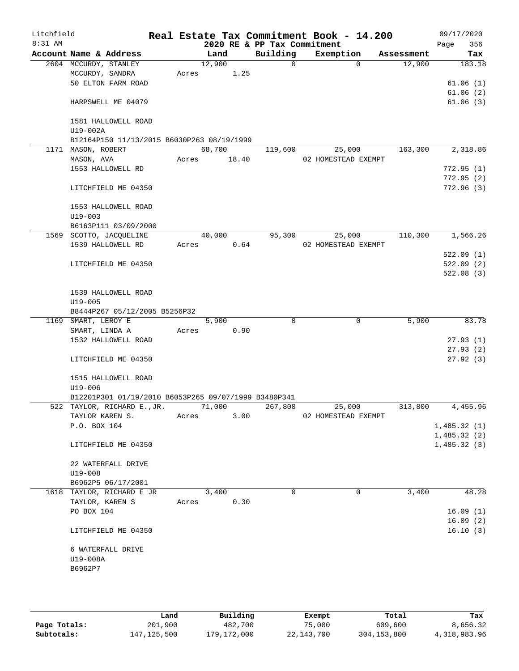| Litchfield<br>8:31 AM |                     |                                                      |       |        |       | 2020 RE & PP Tax Commitment | Real Estate Tax Commitment Book - 14.200 |            | 09/17/2020<br>356<br>Page |
|-----------------------|---------------------|------------------------------------------------------|-------|--------|-------|-----------------------------|------------------------------------------|------------|---------------------------|
|                       |                     | Account Name & Address                               |       | Land   |       | Building                    | Exemption                                | Assessment | Tax                       |
|                       |                     | 2604 MCCURDY, STANLEY                                |       | 12,900 |       | 0                           | 0                                        | 12,900     | 183.18                    |
|                       |                     | MCCURDY, SANDRA                                      | Acres |        | 1.25  |                             |                                          |            |                           |
|                       |                     | 50 ELTON FARM ROAD                                   |       |        |       |                             |                                          |            | 61.06(1)                  |
|                       |                     |                                                      |       |        |       |                             |                                          |            | 61.06(2)                  |
|                       |                     | HARPSWELL ME 04079                                   |       |        |       |                             |                                          |            | 61.06(3)                  |
|                       |                     | 1581 HALLOWELL ROAD                                  |       |        |       |                             |                                          |            |                           |
|                       | U19-002A            |                                                      |       |        |       |                             |                                          |            |                           |
|                       |                     | B12164P150 11/13/2015 B6030P263 08/19/1999           |       |        |       |                             |                                          |            |                           |
|                       | 1171 MASON, ROBERT  |                                                      |       | 68,700 |       | 119,600                     | 25,000                                   | 163,300    | 2,318.86                  |
|                       | MASON, AVA          |                                                      | Acres |        | 18.40 |                             | 02 HOMESTEAD EXEMPT                      |            |                           |
|                       |                     | 1553 HALLOWELL RD                                    |       |        |       |                             |                                          |            | 772.95(1)                 |
|                       |                     |                                                      |       |        |       |                             |                                          |            | 772.95(2)                 |
|                       |                     | LITCHFIELD ME 04350                                  |       |        |       |                             |                                          |            | 772.96(3)                 |
|                       |                     | 1553 HALLOWELL ROAD                                  |       |        |       |                             |                                          |            |                           |
|                       | $U19 - 003$         |                                                      |       |        |       |                             |                                          |            |                           |
|                       |                     | B6163P111 03/09/2000                                 |       |        |       |                             |                                          |            |                           |
|                       |                     | 1569 SCOTTO, JACQUELINE                              |       | 40,000 |       | 95,300                      | 25,000                                   | 110,300    | 1,566.26                  |
|                       |                     | 1539 HALLOWELL RD                                    | Acres |        | 0.64  |                             | 02 HOMESTEAD EXEMPT                      |            |                           |
|                       |                     |                                                      |       |        |       |                             |                                          |            | 522.09(1)                 |
|                       |                     | LITCHFIELD ME 04350                                  |       |        |       |                             |                                          |            | 522.09(2)                 |
|                       |                     |                                                      |       |        |       |                             |                                          |            | 522.08(3)                 |
|                       |                     | 1539 HALLOWELL ROAD                                  |       |        |       |                             |                                          |            |                           |
|                       | $U19 - 005$         |                                                      |       |        |       |                             |                                          |            |                           |
|                       |                     | B8444P267 05/12/2005 B5256P32                        |       |        |       |                             |                                          |            |                           |
|                       | 1169 SMART, LEROY E |                                                      |       | 5,900  |       | $\Omega$                    | 0                                        | 5,900      | 83.78                     |
|                       | SMART, LINDA A      |                                                      | Acres |        | 0.90  |                             |                                          |            |                           |
|                       |                     | 1532 HALLOWELL ROAD                                  |       |        |       |                             |                                          |            | 27.93(1)                  |
|                       |                     |                                                      |       |        |       |                             |                                          |            | 27.93(2)                  |
|                       |                     | LITCHFIELD ME 04350                                  |       |        |       |                             |                                          |            | 27.92(3)                  |
|                       |                     | 1515 HALLOWELL ROAD                                  |       |        |       |                             |                                          |            |                           |
|                       | $U19 - 006$         |                                                      |       |        |       |                             |                                          |            |                           |
|                       |                     | B12201P301 01/19/2010 B6053P265 09/07/1999 B3480P341 |       |        |       |                             |                                          |            |                           |
|                       |                     | 522 TAYLOR, RICHARD E., JR.                          |       | 71,000 |       | 267,800                     | 25,000                                   | 313,800    | 4,455.96                  |
|                       |                     | TAYLOR KAREN S.                                      | Acres |        | 3.00  |                             | 02 HOMESTEAD EXEMPT                      |            |                           |
|                       | P.O. BOX 104        |                                                      |       |        |       |                             |                                          |            | 1,485.32(1)               |
|                       |                     |                                                      |       |        |       |                             |                                          |            | 1,485.32(2)               |
|                       |                     | LITCHFIELD ME 04350                                  |       |        |       |                             |                                          |            | 1,485.32(3)               |
|                       |                     | 22 WATERFALL DRIVE                                   |       |        |       |                             |                                          |            |                           |
|                       | $U19 - 008$         |                                                      |       |        |       |                             |                                          |            |                           |
|                       |                     | B6962P5 06/17/2001                                   |       |        |       |                             |                                          |            |                           |
|                       |                     | 1618 TAYLOR, RICHARD E JR                            |       | 3,400  |       | $\Omega$                    | 0                                        | 3,400      | 48.28                     |
|                       |                     | TAYLOR, KAREN S                                      | Acres |        | 0.30  |                             |                                          |            |                           |
|                       | PO BOX 104          |                                                      |       |        |       |                             |                                          |            | 16.09(1)                  |
|                       |                     |                                                      |       |        |       |                             |                                          |            | 16.09(2)                  |
|                       |                     | LITCHFIELD ME 04350                                  |       |        |       |                             |                                          |            | 16.10(3)                  |
|                       |                     | 6 WATERFALL DRIVE                                    |       |        |       |                             |                                          |            |                           |
|                       | U19-008A            |                                                      |       |        |       |                             |                                          |            |                           |
|                       | B6962P7             |                                                      |       |        |       |                             |                                          |            |                           |
|                       |                     |                                                      |       |        |       |                             |                                          |            |                           |
|                       |                     |                                                      |       |        |       |                             |                                          |            |                           |
|                       |                     |                                                      |       |        |       |                             |                                          |            |                           |

|              | Land        | Building    | Exempt     | Total       | Tax          |
|--------------|-------------|-------------|------------|-------------|--------------|
| Page Totals: | 201,900     | 482,700     | 75,000     | 609,600     | 8,656.32     |
| Subtotals:   | 147,125,500 | 179,172,000 | 22,143,700 | 304,153,800 | 4,318,983.96 |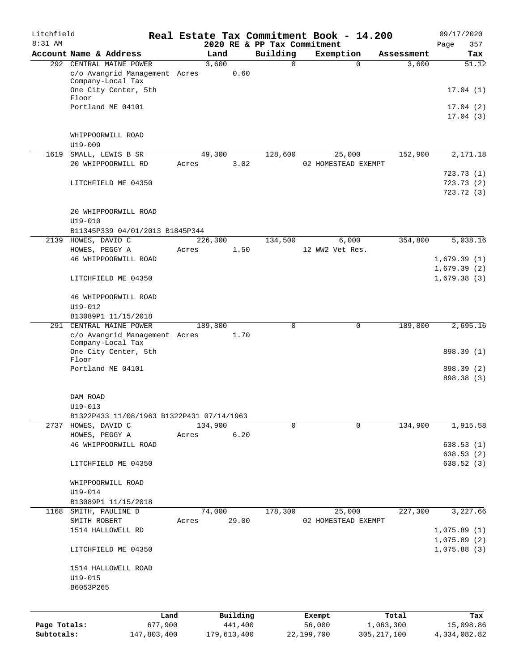| Litchfield   |                                                    |       |         |          |                                         | Real Estate Tax Commitment Book - 14.200 |            | 09/17/2020              |
|--------------|----------------------------------------------------|-------|---------|----------|-----------------------------------------|------------------------------------------|------------|-------------------------|
| 8:31 AM      | Account Name & Address                             |       | Land    |          | 2020 RE & PP Tax Commitment<br>Building | Exemption                                | Assessment | 357<br>Page<br>Tax      |
|              | 292 CENTRAL MAINE POWER                            |       | 3,600   |          | 0                                       | $\mathbf 0$                              | 3,600      | 51.12                   |
|              | c/o Avangrid Management Acres<br>Company-Local Tax |       |         | 0.60     |                                         |                                          |            |                         |
|              | One City Center, 5th<br>Floor                      |       |         |          |                                         |                                          |            | 17.04(1)                |
|              | Portland ME 04101                                  |       |         |          |                                         |                                          |            | 17.04(2)                |
|              |                                                    |       |         |          |                                         |                                          |            | 17.04(3)                |
|              | WHIPPOORWILL ROAD<br>$U19 - 009$                   |       |         |          |                                         |                                          |            |                         |
| 1619         | SMALL, LEWIS B SR                                  |       | 49,300  |          | 128,600                                 | 25,000                                   | 152,900    | 2,171.18                |
|              | 20 WHIPPOORWILL RD                                 | Acres |         | 3.02     |                                         | 02 HOMESTEAD EXEMPT                      |            |                         |
|              |                                                    |       |         |          |                                         |                                          |            | 723.73(1)               |
|              | LITCHFIELD ME 04350                                |       |         |          |                                         |                                          |            | 723.73(2)<br>723.72 (3) |
|              |                                                    |       |         |          |                                         |                                          |            |                         |
|              | 20 WHIPPOORWILL ROAD<br>$U19 - 010$                |       |         |          |                                         |                                          |            |                         |
|              | B11345P339 04/01/2013 B1845P344                    |       |         |          |                                         |                                          |            |                         |
|              | 2139 HOWES, DAVID C                                |       | 226,300 |          | 134,500                                 | 6,000                                    | 354,800    | 5,038.16                |
|              | HOWES, PEGGY A                                     | Acres |         | 1.50     |                                         | 12 WW2 Vet Res.                          |            | 1,679.39(1)             |
|              | 46 WHIPPOORWILL ROAD                               |       |         |          |                                         |                                          |            | 1,679.39(2)             |
|              | LITCHFIELD ME 04350                                |       |         |          |                                         |                                          |            | 1,679.38(3)             |
|              | 46 WHIPPOORWILL ROAD                               |       |         |          |                                         |                                          |            |                         |
|              | U19-012                                            |       |         |          |                                         |                                          |            |                         |
|              | B13089P1 11/15/2018                                |       |         |          |                                         |                                          |            |                         |
|              | 291 CENTRAL MAINE POWER                            |       | 189,800 |          | 0                                       | 0                                        | 189,800    | 2,695.16                |
|              | c/o Avangrid Management Acres<br>Company-Local Tax |       |         | 1.70     |                                         |                                          |            |                         |
|              | One City Center, 5th<br>Floor                      |       |         |          |                                         |                                          |            | 898.39 (1)              |
|              | Portland ME 04101                                  |       |         |          |                                         |                                          |            | 898.39 (2)              |
|              |                                                    |       |         |          |                                         |                                          |            | 898.38 (3)              |
|              | DAM ROAD                                           |       |         |          |                                         |                                          |            |                         |
|              | $U19 - 013$                                        |       |         |          |                                         |                                          |            |                         |
|              | B1322P433 11/08/1963 B1322P431 07/14/1963          |       |         |          |                                         | $\Omega$                                 |            |                         |
|              | 2737 HOWES, DAVID C<br>HOWES, PEGGY A              | Acres | 134,900 | 6.20     | 0                                       |                                          | 134,900    | 1,915.58                |
|              | 46 WHIPPOORWILL ROAD                               |       |         |          |                                         |                                          |            | 638.53(1)               |
|              |                                                    |       |         |          |                                         |                                          |            | 638.53(2)               |
|              | LITCHFIELD ME 04350                                |       |         |          |                                         |                                          |            | 638.52(3)               |
|              | WHIPPOORWILL ROAD<br>U19-014                       |       |         |          |                                         |                                          |            |                         |
|              | B13089P1 11/15/2018                                |       |         |          |                                         |                                          |            |                         |
| 1168         | SMITH, PAULINE D                                   |       | 74,000  |          | 178,300                                 | 25,000                                   | 227,300    | 3,227.66                |
|              | SMITH ROBERT                                       | Acres |         | 29.00    |                                         | 02 HOMESTEAD EXEMPT                      |            |                         |
|              | 1514 HALLOWELL RD                                  |       |         |          |                                         |                                          |            | 1,075.89(1)             |
|              |                                                    |       |         |          |                                         |                                          |            | 1,075.89(2)             |
|              | LITCHFIELD ME 04350                                |       |         |          |                                         |                                          |            | 1,075.88(3)             |
|              | 1514 HALLOWELL ROAD<br>$U19 - 015$                 |       |         |          |                                         |                                          |            |                         |
|              | B6053P265                                          |       |         |          |                                         |                                          |            |                         |
|              |                                                    |       |         |          |                                         |                                          |            |                         |
|              |                                                    | Land  |         | Building |                                         | Exempt                                   | Total      | Tax                     |
| Page Totals: | 677,900                                            |       |         | 441,400  |                                         | 56,000                                   | 1,063,300  | 15,098.86               |

**Subtotals:** 147,803,400 179,613,400 22,199,700 305,217,100 4,334,082.82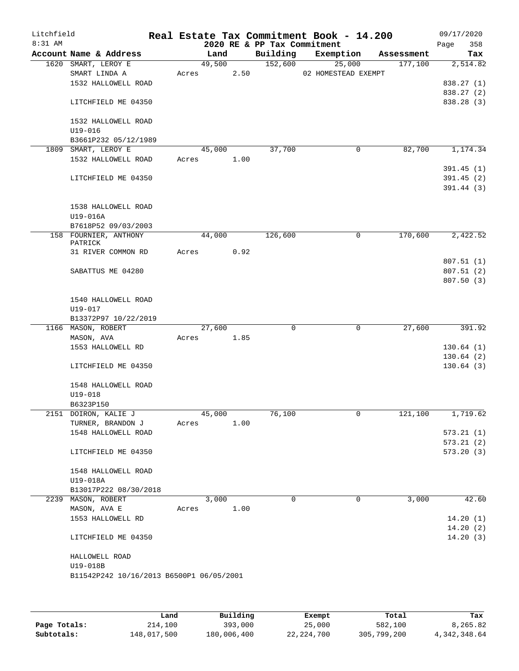| Litchfield<br>8:31 AM |                                          |        |      | 2020 RE & PP Tax Commitment | Real Estate Tax Commitment Book - 14.200 |            | 09/17/2020<br>358<br>Page |
|-----------------------|------------------------------------------|--------|------|-----------------------------|------------------------------------------|------------|---------------------------|
|                       | Account Name & Address                   | Land   |      | Building                    | Exemption                                | Assessment | Tax                       |
|                       | 1620 SMART, LEROY E                      | 49,500 |      | 152,600                     | 25,000                                   | 177,100    | 2,514.82                  |
|                       | SMART LINDA A                            | Acres  | 2.50 |                             | 02 HOMESTEAD EXEMPT                      |            |                           |
|                       | 1532 HALLOWELL ROAD                      |        |      |                             |                                          |            | 838.27 (1)                |
|                       |                                          |        |      |                             |                                          |            | 838.27 (2)                |
|                       | LITCHFIELD ME 04350                      |        |      |                             |                                          |            | 838.28 (3)                |
|                       | 1532 HALLOWELL ROAD                      |        |      |                             |                                          |            |                           |
|                       | $U19 - 016$                              |        |      |                             |                                          |            |                           |
|                       | B3661P232 05/12/1989                     |        |      |                             |                                          |            |                           |
|                       | 1809 SMART, LEROY E                      | 45,000 |      | 37,700                      | $\mathbf 0$                              | 82,700     | 1,174.34                  |
|                       | 1532 HALLOWELL ROAD                      | Acres  | 1.00 |                             |                                          |            |                           |
|                       |                                          |        |      |                             |                                          |            | 391.45(1)                 |
|                       | LITCHFIELD ME 04350                      |        |      |                             |                                          |            | 391.45(2)                 |
|                       |                                          |        |      |                             |                                          |            | 391.44(3)                 |
|                       | 1538 HALLOWELL ROAD                      |        |      |                             |                                          |            |                           |
|                       | U19-016A                                 |        |      |                             |                                          |            |                           |
|                       | B7618P52 09/03/2003                      |        |      |                             |                                          |            |                           |
|                       | 158 FOURNIER, ANTHONY                    | 44,000 |      | 126,600                     | 0                                        | 170,600    | 2,422.52                  |
|                       | PATRICK                                  |        |      |                             |                                          |            |                           |
|                       | 31 RIVER COMMON RD                       | Acres  | 0.92 |                             |                                          |            |                           |
|                       |                                          |        |      |                             |                                          |            | 807.51(1)                 |
|                       | SABATTUS ME 04280                        |        |      |                             |                                          |            | 807.51(2)                 |
|                       |                                          |        |      |                             |                                          |            | 807.50(3)                 |
|                       |                                          |        |      |                             |                                          |            |                           |
|                       | 1540 HALLOWELL ROAD<br>$U19 - 017$       |        |      |                             |                                          |            |                           |
|                       | B13372P97 10/22/2019                     |        |      |                             |                                          |            |                           |
|                       | 1166 MASON, ROBERT                       | 27,600 |      | 0                           | $\mathbf 0$                              | 27,600     | 391.92                    |
|                       | MASON, AVA                               | Acres  | 1.85 |                             |                                          |            |                           |
|                       | 1553 HALLOWELL RD                        |        |      |                             |                                          |            | 130.64(1)                 |
|                       |                                          |        |      |                             |                                          |            | 130.64(2)                 |
|                       | LITCHFIELD ME 04350                      |        |      |                             |                                          |            | 130.64(3)                 |
|                       |                                          |        |      |                             |                                          |            |                           |
|                       | 1548 HALLOWELL ROAD                      |        |      |                             |                                          |            |                           |
|                       | U19-018                                  |        |      |                             |                                          |            |                           |
|                       | B6323P150                                |        |      |                             |                                          |            |                           |
|                       | 2151 DOIRON, KALIE J                     | 45,000 |      | 76,100                      | 0                                        | 121,100    | 1,719.62                  |
|                       | TURNER, BRANDON J                        | Acres  | 1.00 |                             |                                          |            |                           |
|                       | 1548 HALLOWELL ROAD                      |        |      |                             |                                          |            | 573.21(1)                 |
|                       |                                          |        |      |                             |                                          |            | 573.21(2)                 |
|                       | LITCHFIELD ME 04350                      |        |      |                             |                                          |            | 573.20(3)                 |
|                       | 1548 HALLOWELL ROAD                      |        |      |                             |                                          |            |                           |
|                       | U19-018A                                 |        |      |                             |                                          |            |                           |
|                       | B13017P222 08/30/2018                    |        |      |                             |                                          |            |                           |
|                       | 2239 MASON, ROBERT                       | 3,000  |      | $\Omega$                    | $\Omega$                                 | 3,000      | 42.60                     |
|                       | MASON, AVA E                             | Acres  | 1.00 |                             |                                          |            |                           |
|                       | 1553 HALLOWELL RD                        |        |      |                             |                                          |            | 14.20(1)                  |
|                       |                                          |        |      |                             |                                          |            | 14.20(2)                  |
|                       | LITCHFIELD ME 04350                      |        |      |                             |                                          |            | 14.20(3)                  |
|                       |                                          |        |      |                             |                                          |            |                           |
|                       | HALLOWELL ROAD                           |        |      |                             |                                          |            |                           |
|                       | U19-018B                                 |        |      |                             |                                          |            |                           |
|                       | B11542P242 10/16/2013 B6500P1 06/05/2001 |        |      |                             |                                          |            |                           |
|                       |                                          |        |      |                             |                                          |            |                           |
|                       |                                          |        |      |                             |                                          |            |                           |

|              | Land        | Building    | Exempt       | Total       | Tax             |
|--------------|-------------|-------------|--------------|-------------|-----------------|
| Page Totals: | 214,100     | 393,000     | 25,000       | 582,100     | 8,265.82        |
| Subtotals:   | 148,017,500 | 180,006,400 | 22, 224, 700 | 305,799,200 | 4, 342, 348, 64 |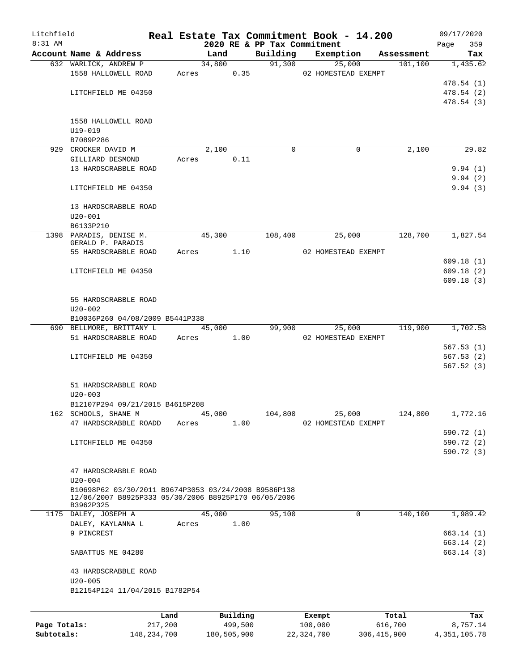| Litchfield   |                                                                   |                 |                |                     |                             | Real Estate Tax Commitment Book - 14.200 |                       | 09/17/2020               |  |  |
|--------------|-------------------------------------------------------------------|-----------------|----------------|---------------------|-----------------------------|------------------------------------------|-----------------------|--------------------------|--|--|
| $8:31$ AM    | Account Name & Address                                            |                 |                |                     | 2020 RE & PP Tax Commitment |                                          |                       | 359<br>Page              |  |  |
|              | 632 WARLICK, ANDREW P                                             |                 | Land<br>34,800 |                     | Building                    | Exemption<br>91,300<br>25,000            | Assessment<br>101,100 | Tax<br>1,435.62          |  |  |
|              | 1558 HALLOWELL ROAD                                               |                 | Acres          | 0.35                |                             | 02 HOMESTEAD EXEMPT                      |                       |                          |  |  |
|              |                                                                   |                 |                |                     |                             |                                          |                       | 478.54(1)                |  |  |
|              | LITCHFIELD ME 04350                                               |                 |                |                     |                             |                                          |                       | 478.54 (2)               |  |  |
|              |                                                                   |                 |                |                     |                             |                                          |                       | 478.54(3)                |  |  |
|              |                                                                   |                 |                |                     |                             |                                          |                       |                          |  |  |
|              | 1558 HALLOWELL ROAD                                               |                 |                |                     |                             |                                          |                       |                          |  |  |
|              | $U19 - 019$<br>B7089P286                                          |                 |                |                     |                             |                                          |                       |                          |  |  |
|              | 929 CROCKER DAVID M                                               |                 | 2,100          |                     | 0                           | 0                                        | 2,100                 | 29.82                    |  |  |
|              | GILLIARD DESMOND                                                  | Acres           |                | 0.11                |                             |                                          |                       |                          |  |  |
|              | 13 HARDSCRABBLE ROAD                                              |                 |                |                     |                             |                                          |                       | 9.94(1)                  |  |  |
|              |                                                                   |                 |                |                     |                             |                                          |                       | 9.94(2)                  |  |  |
|              | LITCHFIELD ME 04350                                               |                 |                |                     |                             |                                          |                       | 9.94(3)                  |  |  |
|              |                                                                   |                 |                |                     |                             |                                          |                       |                          |  |  |
|              | 13 HARDSCRABBLE ROAD<br>$U20 - 001$                               |                 |                |                     |                             |                                          |                       |                          |  |  |
|              | B6133P210                                                         |                 |                |                     |                             |                                          |                       |                          |  |  |
|              | 1398 PARADIS, DENISE M.                                           |                 | 45,300         |                     | 108,400                     | 25,000                                   | 128,700               | 1,827.54                 |  |  |
|              | GERALD P. PARADIS                                                 |                 |                |                     |                             |                                          |                       |                          |  |  |
|              | 55 HARDSCRABBLE ROAD                                              | Acres           |                | 1.10                |                             | 02 HOMESTEAD EXEMPT                      |                       |                          |  |  |
|              |                                                                   |                 |                |                     |                             |                                          |                       | 609.18(1)                |  |  |
|              | LITCHFIELD ME 04350                                               |                 |                |                     |                             |                                          |                       | 609.18(2)                |  |  |
|              |                                                                   |                 |                |                     |                             |                                          |                       | 609.18(3)                |  |  |
|              | 55 HARDSCRABBLE ROAD                                              |                 |                |                     |                             |                                          |                       |                          |  |  |
|              | $U20 - 002$                                                       |                 |                |                     |                             |                                          |                       |                          |  |  |
|              | B10036P260 04/08/2009 B5441P338                                   |                 |                |                     |                             |                                          |                       |                          |  |  |
|              | 690 BELLMORE, BRITTANY L                                          |                 | 45,000         |                     | 99,900                      | 25,000                                   | 119,900               | 1,702.58                 |  |  |
|              | 51 HARDSCRABBLE ROAD                                              | Acres           | 1.00           |                     |                             | 02 HOMESTEAD EXEMPT                      |                       |                          |  |  |
|              |                                                                   |                 |                |                     |                             |                                          |                       | 567.53(1)                |  |  |
|              | LITCHFIELD ME 04350                                               |                 |                |                     |                             |                                          |                       | 567.53(2)<br>567.52(3)   |  |  |
|              |                                                                   |                 |                |                     |                             |                                          |                       |                          |  |  |
|              | 51 HARDSCRABBLE ROAD                                              |                 |                |                     |                             |                                          |                       |                          |  |  |
|              | $U20 - 003$                                                       |                 |                |                     |                             |                                          |                       |                          |  |  |
|              | B12107P294 09/21/2015 B4615P208                                   |                 |                |                     |                             |                                          |                       |                          |  |  |
|              | 162 SCHOOLS, SHANE M                                              |                 | 45,000         |                     | 104,800                     | 25,000                                   | 124,800               | 1,772.16                 |  |  |
|              | 47 HARDSCRABBLE ROADD                                             | Acres           |                | 1.00                |                             | 02 HOMESTEAD EXEMPT                      |                       |                          |  |  |
|              |                                                                   |                 |                |                     |                             |                                          |                       | 590.72 (1)               |  |  |
|              | LITCHFIELD ME 04350                                               |                 |                |                     |                             |                                          |                       | 590.72 (2)<br>590.72 (3) |  |  |
|              |                                                                   |                 |                |                     |                             |                                          |                       |                          |  |  |
|              | 47 HARDSCRABBLE ROAD                                              |                 |                |                     |                             |                                          |                       |                          |  |  |
|              | $U20 - 004$                                                       |                 |                |                     |                             |                                          |                       |                          |  |  |
|              | B10698P62 03/30/2011 B9674P3053 03/24/2008 B9586P138              |                 |                |                     |                             |                                          |                       |                          |  |  |
|              | 12/06/2007 B8925P333 05/30/2006 B8925P170 06/05/2006<br>B3962P325 |                 |                |                     |                             |                                          |                       |                          |  |  |
|              | 1175 DALEY, JOSEPH A                                              |                 | 45,000         |                     | 95,100                      | 0                                        | 140,100               | 1,989.42                 |  |  |
|              | DALEY, KAYLANNA L                                                 | Acres           |                | 1.00                |                             |                                          |                       |                          |  |  |
|              | 9 PINCREST                                                        |                 |                |                     |                             |                                          |                       | 663.14(1)                |  |  |
|              |                                                                   |                 |                |                     |                             |                                          |                       | 663.14(2)                |  |  |
|              | SABATTUS ME 04280                                                 |                 |                |                     |                             |                                          |                       | 663.14(3)                |  |  |
|              | 43 HARDSCRABBLE ROAD                                              |                 |                |                     |                             |                                          |                       |                          |  |  |
|              | $U20 - 005$                                                       |                 |                |                     |                             |                                          |                       |                          |  |  |
|              | B12154P124 11/04/2015 B1782P54                                    |                 |                |                     |                             |                                          |                       |                          |  |  |
|              |                                                                   |                 |                |                     |                             |                                          |                       |                          |  |  |
|              |                                                                   |                 |                |                     |                             |                                          |                       |                          |  |  |
| Page Totals: |                                                                   | Land<br>217,200 |                | Building<br>499,500 |                             | Exempt<br>100,000                        | Total<br>616,700      | Tax<br>8,757.14          |  |  |
|              |                                                                   |                 |                |                     |                             |                                          |                       |                          |  |  |

**Subtotals:** 148,234,700 180,505,900 22,324,700 306,415,900 4,351,105.78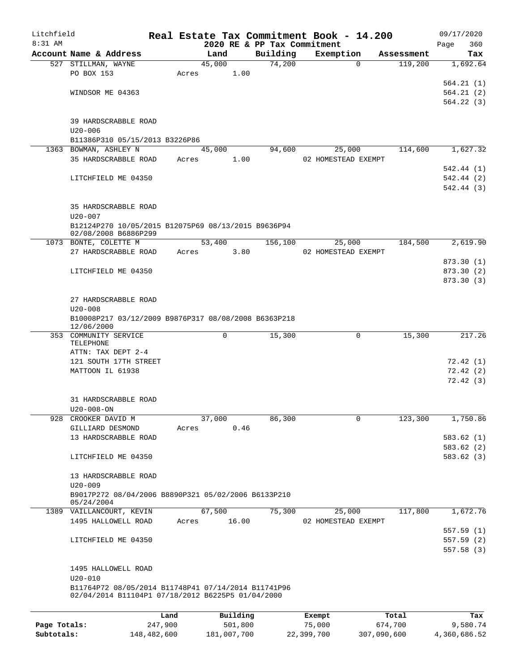| Litchfield   |                                                      |             |             |         |          | Real Estate Tax Commitment Book - 14.200 |             |            | 09/17/2020              |
|--------------|------------------------------------------------------|-------------|-------------|---------|----------|------------------------------------------|-------------|------------|-------------------------|
| 8:31 AM      |                                                      |             |             |         |          | 2020 RE & PP Tax Commitment              |             |            | Page<br>360             |
|              | Account Name & Address                               |             | Land        |         | Building | Exemption                                |             | Assessment | Tax                     |
|              | 527 STILLMAN, WAYNE                                  |             | 45,000      |         | 74,200   |                                          | $\Omega$    | 119,200    | 1,692.64                |
|              | PO BOX 153                                           |             | Acres       | 1.00    |          |                                          |             |            | 564.21(1)               |
|              | WINDSOR ME 04363                                     |             |             |         |          |                                          |             |            | 564.21(2)               |
|              |                                                      |             |             |         |          |                                          |             |            | 564.22(3)               |
|              |                                                      |             |             |         |          |                                          |             |            |                         |
|              | 39 HARDSCRABBLE ROAD                                 |             |             |         |          |                                          |             |            |                         |
|              | $U20 - 006$                                          |             |             |         |          |                                          |             |            |                         |
|              | B11386P310 05/15/2013 B3226P86                       |             |             |         |          |                                          |             |            |                         |
|              | 1363 BOWMAN, ASHLEY N                                |             | 45,000      |         | 94,600   | 25,000                                   |             | 114,600    | 1,627.32                |
|              | 35 HARDSCRABBLE ROAD                                 |             | Acres       | 1.00    |          | 02 HOMESTEAD EXEMPT                      |             |            |                         |
|              |                                                      |             |             |         |          |                                          |             |            | 542.44 (1)              |
|              | LITCHFIELD ME 04350                                  |             |             |         |          |                                          |             |            | 542.44 (2)              |
|              |                                                      |             |             |         |          |                                          |             |            | 542.44 (3)              |
|              |                                                      |             |             |         |          |                                          |             |            |                         |
|              | 35 HARDSCRABBLE ROAD                                 |             |             |         |          |                                          |             |            |                         |
|              | $U20 - 007$                                          |             |             |         |          |                                          |             |            |                         |
|              | B12124P270 10/05/2015 B12075P69 08/13/2015 B9636P94  |             |             |         |          |                                          |             |            |                         |
|              | 02/08/2008 B6886P299                                 |             |             |         |          |                                          |             |            |                         |
|              | 1073 BONTE, COLETTE M                                |             | 53,400      |         | 156,100  | 25,000                                   |             | 184,500    | 2,619.90                |
|              | 27 HARDSCRABBLE ROAD                                 |             | Acres       | 3.80    |          | 02 HOMESTEAD EXEMPT                      |             |            |                         |
|              |                                                      |             |             |         |          |                                          |             |            | 873.30 (1)              |
|              | LITCHFIELD ME 04350                                  |             |             |         |          |                                          |             |            | 873.30 (2)<br>873.30(3) |
|              |                                                      |             |             |         |          |                                          |             |            |                         |
|              | 27 HARDSCRABBLE ROAD                                 |             |             |         |          |                                          |             |            |                         |
|              | $U20 - 008$                                          |             |             |         |          |                                          |             |            |                         |
|              | B10008P217 03/12/2009 B9876P317 08/08/2008 B6363P218 |             |             |         |          |                                          |             |            |                         |
|              | 12/06/2000                                           |             |             |         |          |                                          |             |            |                         |
|              | 353 COMMUNITY SERVICE                                |             | 0           |         | 15,300   |                                          | 0           | 15,300     | 217.26                  |
|              | TELEPHONE                                            |             |             |         |          |                                          |             |            |                         |
|              | ATTN: TAX DEPT 2-4                                   |             |             |         |          |                                          |             |            |                         |
|              | 121 SOUTH 17TH STREET                                |             |             |         |          |                                          |             |            | 72.42(1)                |
|              | MATTOON IL 61938                                     |             |             |         |          |                                          |             |            | 72.42(2)                |
|              |                                                      |             |             |         |          |                                          |             |            | 72.42(3)                |
|              | 31 HARDSCRABBLE ROAD                                 |             |             |         |          |                                          |             |            |                         |
|              | $U20 - 008 - ON$                                     |             |             |         |          |                                          |             |            |                         |
| 928          | CROOKER DAVID M                                      |             | 37,000      |         | 86,300   |                                          | 0           | 123,300    | 1,750.86                |
|              | GILLIARD DESMOND                                     |             | Acres       | 0.46    |          |                                          |             |            |                         |
|              | 13 HARDSCRABBLE ROAD                                 |             |             |         |          |                                          |             |            | 583.62(1)               |
|              |                                                      |             |             |         |          |                                          |             |            | 583.62(2)               |
|              | LITCHFIELD ME 04350                                  |             |             |         |          |                                          |             |            | 583.62 (3)              |
|              |                                                      |             |             |         |          |                                          |             |            |                         |
|              | 13 HARDSCRABBLE ROAD                                 |             |             |         |          |                                          |             |            |                         |
|              | $U20 - 009$                                          |             |             |         |          |                                          |             |            |                         |
|              | B9017P272 08/04/2006 B8890P321 05/02/2006 B6133P210  |             |             |         |          |                                          |             |            |                         |
|              | 05/24/2004                                           |             |             |         |          |                                          |             |            |                         |
|              | 1389 VAILLANCOURT, KEVIN                             |             | 67,500      |         | 75,300   | 25,000                                   |             | 117,800    | 1,672.76                |
|              | 1495 HALLOWELL ROAD                                  |             | Acres       | 16.00   |          | 02 HOMESTEAD EXEMPT                      |             |            |                         |
|              |                                                      |             |             |         |          |                                          |             |            | 557.59 (1)              |
|              | LITCHFIELD ME 04350                                  |             |             |         |          |                                          |             |            | 557.59 (2)              |
|              |                                                      |             |             |         |          |                                          |             |            | 557.58(3)               |
|              |                                                      |             |             |         |          |                                          |             |            |                         |
|              | 1495 HALLOWELL ROAD<br>$U20 - 010$                   |             |             |         |          |                                          |             |            |                         |
|              | B11764P72 08/05/2014 B11748P41 07/14/2014 B11741P96  |             |             |         |          |                                          |             |            |                         |
|              | 02/04/2014 B11104P1 07/18/2012 B6225P5 01/04/2000    |             |             |         |          |                                          |             |            |                         |
|              |                                                      |             |             |         |          |                                          |             |            |                         |
|              |                                                      | Land        | Building    |         |          | Exempt                                   |             | Total      | Tax                     |
| Page Totals: |                                                      | 247,900     |             | 501,800 |          | 75,000                                   | 674,700     |            | 9,580.74                |
| Subtotals:   |                                                      | 148,482,600 | 181,007,700 |         |          | 22,399,700                               | 307,090,600 |            | 4,360,686.52            |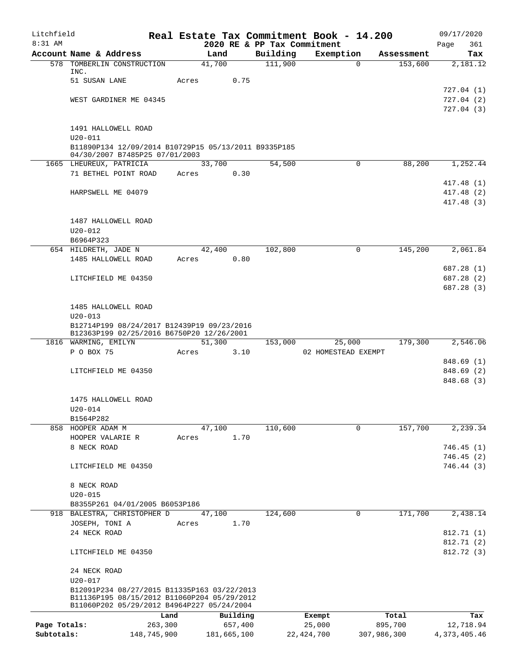| Litchfield   |                                                                                        |         |             |      |                             | Real Estate Tax Commitment Book - 14.200 |             |            | 09/17/2020               |
|--------------|----------------------------------------------------------------------------------------|---------|-------------|------|-----------------------------|------------------------------------------|-------------|------------|--------------------------|
| 8:31 AM      |                                                                                        |         |             |      | 2020 RE & PP Tax Commitment |                                          |             |            | 361<br>Page              |
|              | Account Name & Address                                                                 |         | Land        |      | Building                    | Exemption                                |             | Assessment | Tax                      |
|              | 578 TOMBERLIN CONSTRUCTION<br>INC.                                                     |         | 41,700      |      | 111,900                     | $\Omega$                                 |             | 153,600    | 2,181.12                 |
|              | 51 SUSAN LANE                                                                          | Acres   |             | 0.75 |                             |                                          |             |            |                          |
|              |                                                                                        |         |             |      |                             |                                          |             |            | 727.04(1)                |
|              | WEST GARDINER ME 04345                                                                 |         |             |      |                             |                                          |             |            | 727.04(2)                |
|              |                                                                                        |         |             |      |                             |                                          |             |            | 727.04(3)                |
|              |                                                                                        |         |             |      |                             |                                          |             |            |                          |
|              | 1491 HALLOWELL ROAD                                                                    |         |             |      |                             |                                          |             |            |                          |
|              | $U20 - 011$                                                                            |         |             |      |                             |                                          |             |            |                          |
|              | B11890P134 12/09/2014 B10729P15 05/13/2011 B9335P185<br>04/30/2007 B7485P25 07/01/2003 |         |             |      |                             |                                          |             |            |                          |
|              | 1665 LHEUREUX, PATRICIA                                                                |         | 33,700      |      | 54,500                      | 0                                        |             | 88,200     | 1,252.44                 |
|              | 71 BETHEL POINT ROAD                                                                   | Acres   |             | 0.30 |                             |                                          |             |            |                          |
|              |                                                                                        |         |             |      |                             |                                          |             |            | 417.48 (1)               |
|              | HARPSWELL ME 04079                                                                     |         |             |      |                             |                                          |             |            | 417.48 (2)               |
|              |                                                                                        |         |             |      |                             |                                          |             |            | 417.48 (3)               |
|              |                                                                                        |         |             |      |                             |                                          |             |            |                          |
|              | 1487 HALLOWELL ROAD                                                                    |         |             |      |                             |                                          |             |            |                          |
|              | $U20 - 012$                                                                            |         |             |      |                             |                                          |             |            |                          |
|              | B6964P323                                                                              |         |             |      |                             |                                          |             |            |                          |
|              | 654 HILDRETH, JADE N                                                                   |         | 42,400      |      | 102,800                     | $\mathbf 0$                              |             | 145,200    | 2,061.84                 |
|              | 1485 HALLOWELL ROAD                                                                    | Acres   |             | 0.80 |                             |                                          |             |            |                          |
|              |                                                                                        |         |             |      |                             |                                          |             |            | 687.28 (1)               |
|              | LITCHFIELD ME 04350                                                                    |         |             |      |                             |                                          |             |            | 687.28 (2)               |
|              |                                                                                        |         |             |      |                             |                                          |             |            | 687.28 (3)               |
|              | 1485 HALLOWELL ROAD                                                                    |         |             |      |                             |                                          |             |            |                          |
|              | $U20 - 013$                                                                            |         |             |      |                             |                                          |             |            |                          |
|              | B12714P199 08/24/2017 B12439P19 09/23/2016                                             |         |             |      |                             |                                          |             |            |                          |
|              | B12363P199 02/25/2016 B6750P20 12/26/2001                                              |         |             |      |                             |                                          |             |            |                          |
|              | 1816 WARMING, EMILYN                                                                   |         | 51,300      |      | 153,000                     | 25,000                                   |             | 179,300    | 2,546.06                 |
|              | P O BOX 75                                                                             | Acres   |             | 3.10 |                             | 02 HOMESTEAD EXEMPT                      |             |            |                          |
|              |                                                                                        |         |             |      |                             |                                          |             |            | 848.69 (1)               |
|              | LITCHFIELD ME 04350                                                                    |         |             |      |                             |                                          |             |            | 848.69 (2)               |
|              |                                                                                        |         |             |      |                             |                                          |             |            | 848.68 (3)               |
|              | 1475 HALLOWELL ROAD                                                                    |         |             |      |                             |                                          |             |            |                          |
|              | $U20 - 014$                                                                            |         |             |      |                             |                                          |             |            |                          |
|              | B1564P282                                                                              |         |             |      |                             |                                          |             |            |                          |
|              | 858 HOOPER ADAM M                                                                      |         | 47,100      |      | 110,600                     | 0                                        |             | 157,700    | 2,239.34                 |
|              | HOOPER VALARIE R                                                                       | Acres   |             | 1.70 |                             |                                          |             |            |                          |
|              | 8 NECK ROAD                                                                            |         |             |      |                             |                                          |             |            | 746.45(1)                |
|              |                                                                                        |         |             |      |                             |                                          |             |            | 746.45(2)                |
|              | LITCHFIELD ME 04350                                                                    |         |             |      |                             |                                          |             |            | 746.44(3)                |
|              |                                                                                        |         |             |      |                             |                                          |             |            |                          |
|              | 8 NECK ROAD                                                                            |         |             |      |                             |                                          |             |            |                          |
|              | $U20 - 015$                                                                            |         |             |      |                             |                                          |             |            |                          |
|              | B8355P261 04/01/2005 B6053P186                                                         |         |             |      |                             |                                          |             |            |                          |
|              | 918 BALESTRA, CHRISTOPHER D                                                            |         | 47,100      |      | 124,600                     | $\mathbf 0$                              |             | 171,700    | 2,438.14                 |
|              | JOSEPH, TONI A                                                                         | Acres   |             | 1.70 |                             |                                          |             |            |                          |
|              | 24 NECK ROAD                                                                           |         |             |      |                             |                                          |             |            | 812.71 (1)<br>812.71 (2) |
|              | LITCHFIELD ME 04350                                                                    |         |             |      |                             |                                          |             |            | 812.72 (3)               |
|              |                                                                                        |         |             |      |                             |                                          |             |            |                          |
|              | 24 NECK ROAD                                                                           |         |             |      |                             |                                          |             |            |                          |
|              | $U20 - 017$                                                                            |         |             |      |                             |                                          |             |            |                          |
|              | B12091P234 08/27/2015 B11335P163 03/22/2013                                            |         |             |      |                             |                                          |             |            |                          |
|              | B11136P195 08/15/2012 B11060P204 05/29/2012                                            |         |             |      |                             |                                          |             |            |                          |
|              | B11060P202 05/29/2012 B4964P227 05/24/2004                                             |         |             |      |                             |                                          |             |            |                          |
|              |                                                                                        | Land    | Building    |      |                             | Exempt                                   |             | Total      | Tax                      |
| Page Totals: |                                                                                        | 263,300 | 657,400     |      |                             | 25,000                                   | 895,700     |            | 12,718.94                |
| Subtotals:   | 148,745,900                                                                            |         | 181,665,100 |      |                             | 22, 424, 700                             | 307,986,300 |            | 4,373,405.46             |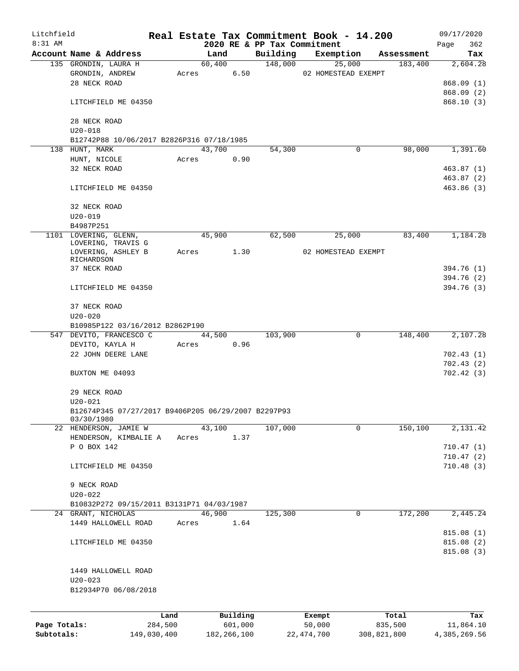| Litchfield                 |                                                     |             |       |               |          |                             | Real Estate Tax Commitment Book - 14.200 |             | 09/17/2020              |
|----------------------------|-----------------------------------------------------|-------------|-------|---------------|----------|-----------------------------|------------------------------------------|-------------|-------------------------|
| $8:31$ AM                  |                                                     |             |       |               |          | 2020 RE & PP Tax Commitment |                                          |             | 362<br>Page             |
|                            | Account Name & Address                              |             |       | Land          |          | Building                    | Exemption                                | Assessment  | Tax                     |
|                            | 135 GRONDIN, LAURA H                                |             |       | 60,400        |          | 148,000                     | 25,000                                   | 183,400     | 2,604.28                |
|                            | GRONDIN, ANDREW                                     |             | Acres |               | 6.50     |                             | 02 HOMESTEAD EXEMPT                      |             |                         |
|                            | 28 NECK ROAD                                        |             |       |               |          |                             |                                          |             | 868.09(1)<br>868.09 (2) |
|                            | LITCHFIELD ME 04350                                 |             |       |               |          |                             |                                          |             | 868.10(3)               |
|                            |                                                     |             |       |               |          |                             |                                          |             |                         |
|                            | 28 NECK ROAD                                        |             |       |               |          |                             |                                          |             |                         |
|                            | $U20 - 018$                                         |             |       |               |          |                             |                                          |             |                         |
|                            | B12742P88 10/06/2017 B2826P316 07/18/1985           |             |       |               |          |                             |                                          |             |                         |
|                            | 138 HUNT, MARK                                      |             |       | 43,700        |          | 54,300                      | 0                                        | 98,000      | 1,391.60                |
|                            | HUNT, NICOLE                                        |             | Acres |               | 0.90     |                             |                                          |             |                         |
|                            | 32 NECK ROAD                                        |             |       |               |          |                             |                                          |             | 463.87 (1)              |
|                            |                                                     |             |       |               |          |                             |                                          |             | 463.87 (2)              |
|                            | LITCHFIELD ME 04350                                 |             |       |               |          |                             |                                          |             | 463.86(3)               |
|                            |                                                     |             |       |               |          |                             |                                          |             |                         |
|                            | 32 NECK ROAD                                        |             |       |               |          |                             |                                          |             |                         |
|                            | $U20 - 019$                                         |             |       |               |          |                             |                                          |             |                         |
|                            | B4987P251                                           |             |       |               |          |                             |                                          |             |                         |
|                            | 1101 LOVERING, GLENN,                               |             |       | 45,900        |          | 62,500                      | 25,000                                   | 83,400      | 1,184.28                |
|                            | LOVERING, TRAVIS G                                  |             |       |               |          |                             |                                          |             |                         |
|                            | LOVERING, ASHLEY B                                  |             | Acres |               | 1.30     |                             | 02 HOMESTEAD EXEMPT                      |             |                         |
|                            | RICHARDSON<br>37 NECK ROAD                          |             |       |               |          |                             |                                          |             | 394.76 (1)              |
|                            |                                                     |             |       |               |          |                             |                                          |             | 394.76 (2)              |
|                            | LITCHFIELD ME 04350                                 |             |       |               |          |                             |                                          |             | 394.76 (3)              |
|                            |                                                     |             |       |               |          |                             |                                          |             |                         |
|                            | 37 NECK ROAD                                        |             |       |               |          |                             |                                          |             |                         |
|                            | $U20 - 020$                                         |             |       |               |          |                             |                                          |             |                         |
|                            | B10985P122 03/16/2012 B2862P190                     |             |       |               |          |                             |                                          |             |                         |
|                            | 547 DEVITO, FRANCESCO C                             |             |       | 44,500        |          | 103,900                     | 0                                        | 148,400     | 2,107.28                |
|                            | DEVITO, KAYLA H                                     |             | Acres |               | 0.96     |                             |                                          |             |                         |
|                            | 22 JOHN DEERE LANE                                  |             |       |               |          |                             |                                          |             | 702.43(1)               |
|                            |                                                     |             |       |               |          |                             |                                          |             | 702.43(2)               |
|                            | BUXTON ME 04093                                     |             |       |               |          |                             |                                          |             | 702.42(3)               |
|                            |                                                     |             |       |               |          |                             |                                          |             |                         |
|                            | 29 NECK ROAD                                        |             |       |               |          |                             |                                          |             |                         |
|                            | $U20 - 021$                                         |             |       |               |          |                             |                                          |             |                         |
|                            | B12674P345 07/27/2017 B9406P205 06/29/2007 B2297P93 |             |       |               |          |                             |                                          |             |                         |
|                            | 03/30/1980                                          |             |       |               |          |                             |                                          |             |                         |
|                            | 22 HENDERSON, JAMIE W                               |             |       | 43,100        |          | 107,000                     | 0                                        | 150,100     | 2,131.42                |
|                            | HENDERSON, KIMBALIE A                               |             | Acres |               | 1.37     |                             |                                          |             |                         |
|                            | P O BOX 142                                         |             |       |               |          |                             |                                          |             | 710.47(1)<br>710.47(2)  |
|                            | LITCHFIELD ME 04350                                 |             |       |               |          |                             |                                          |             | 710.48(3)               |
|                            |                                                     |             |       |               |          |                             |                                          |             |                         |
|                            | 9 NECK ROAD                                         |             |       |               |          |                             |                                          |             |                         |
|                            | $U20 - 022$                                         |             |       |               |          |                             |                                          |             |                         |
|                            | B10832P272 09/15/2011 B3131P71 04/03/1987           |             |       |               |          |                             |                                          |             |                         |
|                            | 24 GRANT, NICHOLAS                                  |             |       | 46,900        |          | 125,300                     | 0                                        | 172,200     | 2,445.24                |
|                            | 1449 HALLOWELL ROAD                                 |             | Acres |               | 1.64     |                             |                                          |             |                         |
|                            |                                                     |             |       |               |          |                             |                                          |             | 815.08(1)               |
|                            | LITCHFIELD ME 04350                                 |             |       |               |          |                             |                                          |             | 815.08(2)               |
|                            |                                                     |             |       |               |          |                             |                                          |             | 815.08(3)               |
|                            |                                                     |             |       |               |          |                             |                                          |             |                         |
|                            | 1449 HALLOWELL ROAD                                 |             |       |               |          |                             |                                          |             |                         |
|                            | $U20 - 023$                                         |             |       |               |          |                             |                                          |             |                         |
|                            | B12934P70 06/08/2018                                |             |       |               |          |                             |                                          |             |                         |
|                            |                                                     |             |       |               |          |                             |                                          |             |                         |
|                            |                                                     |             |       |               |          |                             |                                          |             |                         |
|                            |                                                     | Land        |       |               | Building |                             | Exempt                                   | Total       | Tax                     |
| Page Totals:<br>Subtotals: |                                                     | 284,500     |       |               | 601,000  |                             | 50,000                                   | 835,500     | 11,864.10               |
|                            |                                                     | 149,030,400 |       | 182, 266, 100 |          |                             | 22, 474, 700                             | 308,821,800 | 4,385,269.56            |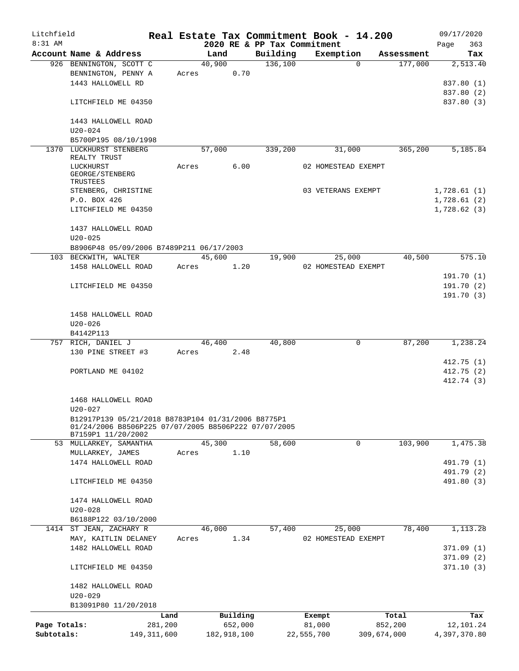| Litchfield   |                                                      |               |       |             |          |          |         | Real Estate Tax Commitment Book - 14.200 |             |            |      | 09/17/2020             |
|--------------|------------------------------------------------------|---------------|-------|-------------|----------|----------|---------|------------------------------------------|-------------|------------|------|------------------------|
| $8:31$ AM    |                                                      |               |       |             |          |          |         | 2020 RE & PP Tax Commitment              |             |            | Page | 363                    |
|              | Account Name & Address                               |               |       | Land        |          | Building |         | Exemption                                |             | Assessment |      | Tax                    |
|              | 926 BENNINGTON, SCOTT C                              |               |       | 40,900      |          |          | 136,100 |                                          | $\Omega$    | 177,000    |      | 2,513.40               |
|              | BENNINGTON, PENNY A<br>1443 HALLOWELL RD             |               | Acres |             | 0.70     |          |         |                                          |             |            |      | 837.80 (1)             |
|              |                                                      |               |       |             |          |          |         |                                          |             |            |      | 837.80 (2)             |
|              | LITCHFIELD ME 04350                                  |               |       |             |          |          |         |                                          |             |            |      | 837.80 (3)             |
|              |                                                      |               |       |             |          |          |         |                                          |             |            |      |                        |
|              | 1443 HALLOWELL ROAD                                  |               |       |             |          |          |         |                                          |             |            |      |                        |
|              | U20-024                                              |               |       |             |          |          |         |                                          |             |            |      |                        |
|              | B5700P195 08/10/1998                                 |               |       |             |          |          |         |                                          |             |            |      |                        |
| 1370         | LUCKHURST STENBERG                                   |               |       | 57,000      |          |          | 339,200 | 31,000                                   |             | 365,200    |      | 5,185.84               |
|              | REALTY TRUST                                         |               |       |             |          |          |         |                                          |             |            |      |                        |
|              | LUCKHURST                                            |               | Acres |             | 6.00     |          |         | 02 HOMESTEAD EXEMPT                      |             |            |      |                        |
|              | GEORGE/STENBERG<br>TRUSTEES                          |               |       |             |          |          |         |                                          |             |            |      |                        |
|              | STENBERG, CHRISTINE                                  |               |       |             |          |          |         | 03 VETERANS EXEMPT                       |             |            |      | 1,728.61(1)            |
|              | P.O. BOX 426                                         |               |       |             |          |          |         |                                          |             |            |      | 1,728.61(2)            |
|              | LITCHFIELD ME 04350                                  |               |       |             |          |          |         |                                          |             |            |      | 1,728.62(3)            |
|              |                                                      |               |       |             |          |          |         |                                          |             |            |      |                        |
|              | 1437 HALLOWELL ROAD                                  |               |       |             |          |          |         |                                          |             |            |      |                        |
|              | $U20 - 025$                                          |               |       |             |          |          |         |                                          |             |            |      |                        |
|              | B8906P48 05/09/2006 B7489P211 06/17/2003             |               |       |             |          |          |         |                                          |             |            |      |                        |
|              | 103 BECKWITH, WALTER                                 |               |       | 45,600      |          |          | 19,900  | 25,000                                   |             | 40,500     |      | 575.10                 |
|              | 1458 HALLOWELL ROAD                                  |               | Acres |             | 1.20     |          |         | 02 HOMESTEAD EXEMPT                      |             |            |      |                        |
|              |                                                      |               |       |             |          |          |         |                                          |             |            |      | 191.70 (1)             |
|              | LITCHFIELD ME 04350                                  |               |       |             |          |          |         |                                          |             |            |      | 191.70 (2)             |
|              |                                                      |               |       |             |          |          |         |                                          |             |            |      | 191.70 (3)             |
|              |                                                      |               |       |             |          |          |         |                                          |             |            |      |                        |
|              | 1458 HALLOWELL ROAD                                  |               |       |             |          |          |         |                                          |             |            |      |                        |
|              | U20-026                                              |               |       |             |          |          |         |                                          |             |            |      |                        |
|              | B4142P113                                            |               |       |             |          |          |         |                                          |             |            |      |                        |
| 757          | RICH, DANIEL J                                       |               |       | 46,400      |          |          | 40,800  |                                          | 0           | 87,200     |      | 1,238.24               |
|              | 130 PINE STREET #3                                   |               | Acres |             | 2.48     |          |         |                                          |             |            |      |                        |
|              |                                                      |               |       |             |          |          |         |                                          |             |            |      | 412.75(1)              |
|              | PORTLAND ME 04102                                    |               |       |             |          |          |         |                                          |             |            |      | 412.75(2)              |
|              |                                                      |               |       |             |          |          |         |                                          |             |            |      | 412.74 (3)             |
|              |                                                      |               |       |             |          |          |         |                                          |             |            |      |                        |
|              | 1468 HALLOWELL ROAD<br>$U20 - 027$                   |               |       |             |          |          |         |                                          |             |            |      |                        |
|              | B12917P139 05/21/2018 B8783P104 01/31/2006 B8775P1   |               |       |             |          |          |         |                                          |             |            |      |                        |
|              | 01/24/2006 B8506P225 07/07/2005 B8506P222 07/07/2005 |               |       |             |          |          |         |                                          |             |            |      |                        |
|              | B7159P1 11/20/2002                                   |               |       |             |          |          |         |                                          |             |            |      |                        |
|              | 53 MULLARKEY, SAMANTHA                               |               |       | 45,300      |          |          | 58,600  |                                          | 0           | 103,900    |      | 1,475.38               |
|              | MULLARKEY, JAMES                                     |               | Acres |             | 1.10     |          |         |                                          |             |            |      |                        |
|              | 1474 HALLOWELL ROAD                                  |               |       |             |          |          |         |                                          |             |            |      | 491.79 (1)             |
|              |                                                      |               |       |             |          |          |         |                                          |             |            |      | 491.79 (2)             |
|              | LITCHFIELD ME 04350                                  |               |       |             |          |          |         |                                          |             |            |      | 491.80 (3)             |
|              |                                                      |               |       |             |          |          |         |                                          |             |            |      |                        |
|              | 1474 HALLOWELL ROAD                                  |               |       |             |          |          |         |                                          |             |            |      |                        |
|              | $U20 - 028$                                          |               |       |             |          |          |         |                                          |             |            |      |                        |
|              | B6188P122 03/10/2000                                 |               |       |             |          |          |         |                                          |             | 78,400     |      |                        |
| 1414         | ST JEAN, ZACHARY R                                   |               |       | 46,000      | 1.34     |          | 57,400  | 25,000                                   |             |            |      | 1,113.28               |
|              | MAY, KAITLIN DELANEY                                 |               | Acres |             |          |          |         | 02 HOMESTEAD EXEMPT                      |             |            |      |                        |
|              | 1482 HALLOWELL ROAD                                  |               |       |             |          |          |         |                                          |             |            |      | 371.09(1)<br>371.09(2) |
|              | LITCHFIELD ME 04350                                  |               |       |             |          |          |         |                                          |             |            |      | 371.10(3)              |
|              |                                                      |               |       |             |          |          |         |                                          |             |            |      |                        |
|              | 1482 HALLOWELL ROAD                                  |               |       |             |          |          |         |                                          |             |            |      |                        |
|              | $U20 - 029$                                          |               |       |             |          |          |         |                                          |             |            |      |                        |
|              | B13091P80 11/20/2018                                 |               |       |             |          |          |         |                                          |             |            |      |                        |
|              |                                                      | Land          |       |             | Building |          |         | Exempt                                   |             | Total      |      | Tax                    |
| Page Totals: |                                                      | 281,200       |       |             | 652,000  |          |         | 81,000                                   |             | 852,200    |      | 12,101.24              |
| Subtotals:   |                                                      | 149, 311, 600 |       | 182,918,100 |          |          |         | 22,555,700                               | 309,674,000 |            |      | 4,397,370.80           |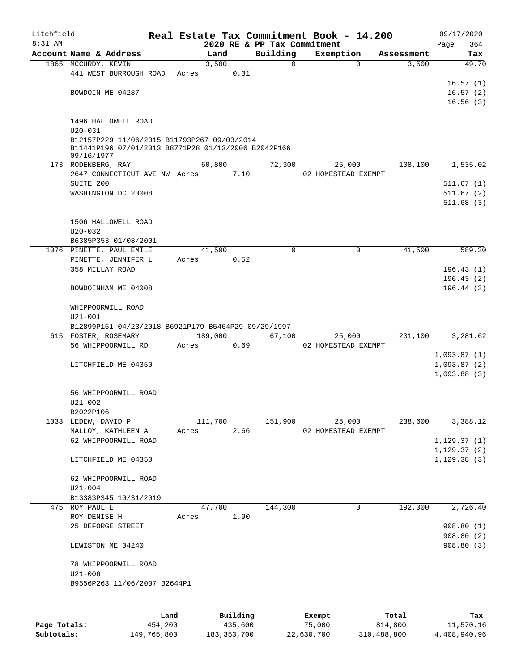| Litchfield<br>8:31 AM |                                                                                                                  |      |       |         |          | 2020 RE & PP Tax Commitment |               | Real Estate Tax Commitment Book - 14.200 |            | 09/17/2020         |
|-----------------------|------------------------------------------------------------------------------------------------------------------|------|-------|---------|----------|-----------------------------|---------------|------------------------------------------|------------|--------------------|
|                       | Account Name & Address                                                                                           |      |       | Land    |          | Building                    |               | Exemption                                | Assessment | 364<br>Page<br>Tax |
|                       | 1865 MCCURDY, KEVIN                                                                                              |      |       | 3,500   |          | $\Omega$                    |               | $\mathbf 0$                              | 3,500      | 49.70              |
|                       | 441 WEST BURROUGH ROAD                                                                                           |      | Acres |         | 0.31     |                             |               |                                          |            |                    |
|                       |                                                                                                                  |      |       |         |          |                             |               |                                          |            | 16.57(1)           |
|                       | BOWDOIN ME 04287                                                                                                 |      |       |         |          |                             |               |                                          |            | 16.57(2)           |
|                       |                                                                                                                  |      |       |         |          |                             |               |                                          |            | 16.56(3)           |
|                       | 1496 HALLOWELL ROAD                                                                                              |      |       |         |          |                             |               |                                          |            |                    |
|                       | $U20 - 031$                                                                                                      |      |       |         |          |                             |               |                                          |            |                    |
|                       | B12157P229 11/06/2015 B11793P267 09/03/2014<br>B11441P196 07/01/2013 B8771P28 01/13/2006 B2042P166<br>09/16/1977 |      |       |         |          |                             |               |                                          |            |                    |
|                       | 173 RODENBERG, RAY                                                                                               |      |       | 60,800  |          | 72,300                      |               | 25,000                                   | 108,100    | 1,535.02           |
|                       | 2647 CONNECTICUT AVE NW Acres                                                                                    |      |       |         | 7.10     |                             |               | 02 HOMESTEAD EXEMPT                      |            |                    |
|                       | SUITE 200                                                                                                        |      |       |         |          |                             |               |                                          |            | 511.67(1)          |
|                       | WASHINGTON DC 20008                                                                                              |      |       |         |          |                             |               |                                          |            | 511.67(2)          |
|                       |                                                                                                                  |      |       |         |          |                             |               |                                          |            | 511.68(3)          |
|                       | 1506 HALLOWELL ROAD                                                                                              |      |       |         |          |                             |               |                                          |            |                    |
|                       | $U20 - 032$                                                                                                      |      |       |         |          |                             |               |                                          |            |                    |
|                       | B6385P353 01/08/2001                                                                                             |      |       |         |          |                             |               |                                          |            |                    |
|                       | 1076 PINETTE, PAUL EMILE                                                                                         |      |       | 41,500  |          | $\Omega$                    |               | 0                                        | 41,500     | 589.30             |
|                       | PINETTE, JENNIFER L                                                                                              |      | Acres |         | 0.52     |                             |               |                                          |            |                    |
|                       | 358 MILLAY ROAD                                                                                                  |      |       |         |          |                             |               |                                          |            | 196.43(1)          |
|                       |                                                                                                                  |      |       |         |          |                             |               |                                          |            | 196.43(2)          |
|                       | BOWDOINHAM ME 04008                                                                                              |      |       |         |          |                             |               |                                          |            | 196.44(3)          |
|                       | WHIPPOORWILL ROAD<br>$U21 - 001$                                                                                 |      |       |         |          |                             |               |                                          |            |                    |
|                       | B12899P151 04/23/2018 B6921P179 B5464P29 09/29/1997                                                              |      |       |         |          |                             |               |                                          |            |                    |
|                       | 615 FOSTER, ROSEMARY                                                                                             |      |       | 189,000 |          | 67,100                      |               | 25,000                                   | 231,100    | 3,281.62           |
|                       | 56 WHIPPOORWILL RD                                                                                               |      | Acres |         | 0.69     |                             |               | 02 HOMESTEAD EXEMPT                      |            |                    |
|                       |                                                                                                                  |      |       |         |          |                             |               |                                          |            | 1,093.87(1)        |
|                       | LITCHFIELD ME 04350                                                                                              |      |       |         |          |                             |               |                                          |            | 1,093.87(2)        |
|                       |                                                                                                                  |      |       |         |          |                             |               |                                          |            | 1,093.88(3)        |
|                       | 56 WHIPPOORWILL ROAD                                                                                             |      |       |         |          |                             |               |                                          |            |                    |
|                       | $U21 - 002$                                                                                                      |      |       |         |          |                             |               |                                          |            |                    |
|                       | B2022P106                                                                                                        |      |       |         |          |                             |               |                                          |            |                    |
|                       | 1033 LEDEW, DAVID P                                                                                              |      |       | 111,700 |          | 151,900                     |               | 25,000                                   | 238,600    | 3,388.12           |
|                       | MALLOY, KATHLEEN A                                                                                               |      | Acres |         | 2.66     |                             |               | 02 HOMESTEAD EXEMPT                      |            |                    |
|                       | 62 WHIPPOORWILL ROAD                                                                                             |      |       |         |          |                             |               |                                          |            | 1,129.37(1)        |
|                       |                                                                                                                  |      |       |         |          |                             |               |                                          |            | 1, 129.37(2)       |
|                       | LITCHFIELD ME 04350                                                                                              |      |       |         |          |                             |               |                                          |            | 1, 129.38(3)       |
|                       | 62 WHIPPOORWILL ROAD                                                                                             |      |       |         |          |                             |               |                                          |            |                    |
|                       | $U21 - 004$                                                                                                      |      |       |         |          |                             |               |                                          |            |                    |
|                       | B13383P345 10/31/2019                                                                                            |      |       |         |          |                             |               |                                          |            |                    |
|                       | 475 ROY PAUL E                                                                                                   |      |       | 47,700  |          | 144,300                     |               | 0                                        | 192,000    | 2,726.40           |
|                       | ROY DENISE H                                                                                                     |      | Acres |         | 1.90     |                             |               |                                          |            |                    |
|                       | 25 DEFORGE STREET                                                                                                |      |       |         |          |                             |               |                                          |            | 908.80(1)          |
|                       |                                                                                                                  |      |       |         |          |                             |               |                                          |            | 908.80(2)          |
|                       | LEWISTON ME 04240                                                                                                |      |       |         |          |                             |               |                                          |            | 908.80(3)          |
|                       | 78 WHIPPOORWILL ROAD                                                                                             |      |       |         |          |                             |               |                                          |            |                    |
|                       | $U21 - 006$                                                                                                      |      |       |         |          |                             |               |                                          |            |                    |
|                       | B9556P263 11/06/2007 B2644P1                                                                                     |      |       |         |          |                             |               |                                          |            |                    |
|                       |                                                                                                                  |      |       |         |          |                             |               |                                          |            |                    |
|                       |                                                                                                                  | Land |       |         | Building |                             | <b>Exempt</b> |                                          | Total      | Tax                |

|              | Land        | Building      | Exempt     | Total       | Tax          |
|--------------|-------------|---------------|------------|-------------|--------------|
| Page Totals: | 454,200     | 435,600       | 75,000     | 814,800     | 11,570.16    |
| Subtotals:   | 149,765,800 | 183, 353, 700 | 22,630,700 | 310,488,800 | 4,408,940.96 |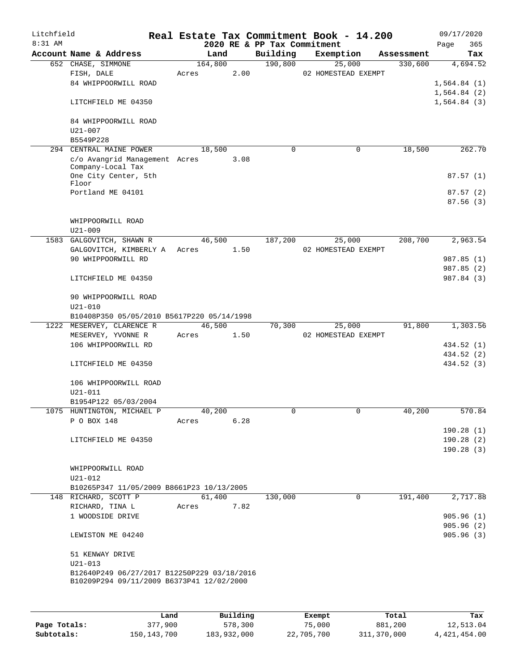| Litchfield<br>$8:31$ AM |                                                                                          |         |      | 2020 RE & PP Tax Commitment | Real Estate Tax Commitment Book - 14.200 |            | 09/17/2020              |
|-------------------------|------------------------------------------------------------------------------------------|---------|------|-----------------------------|------------------------------------------|------------|-------------------------|
|                         | Account Name & Address                                                                   | Land    |      | Building                    | Exemption                                | Assessment | 365<br>Page<br>Tax      |
|                         | 652 CHASE, SIMMONE                                                                       | 164,800 |      | 190,800                     | 25,000                                   | 330,600    | 4,694.52                |
|                         | FISH, DALE                                                                               | Acres   | 2.00 |                             | 02 HOMESTEAD EXEMPT                      |            |                         |
|                         | 84 WHIPPOORWILL ROAD                                                                     |         |      |                             |                                          |            | 1,564.84(1)             |
|                         |                                                                                          |         |      |                             |                                          |            | 1,564.84(2)             |
|                         | LITCHFIELD ME 04350                                                                      |         |      |                             |                                          |            | 1,564.84(3)             |
|                         | 84 WHIPPOORWILL ROAD                                                                     |         |      |                             |                                          |            |                         |
|                         | $U21 - 007$                                                                              |         |      |                             |                                          |            |                         |
|                         | B5549P228                                                                                |         |      |                             |                                          |            |                         |
| 294                     | CENTRAL MAINE POWER                                                                      | 18,500  |      | $\mathbf 0$                 | 0                                        | 18,500     | 262.70                  |
|                         | c/o Avangrid Management Acres<br>Company-Local Tax                                       |         | 3.08 |                             |                                          |            |                         |
|                         | One City Center, 5th                                                                     |         |      |                             |                                          |            | 87.57(1)                |
|                         | Floor                                                                                    |         |      |                             |                                          |            |                         |
|                         | Portland ME 04101                                                                        |         |      |                             |                                          |            | 87.57(2)                |
|                         |                                                                                          |         |      |                             |                                          |            | 87.56(3)                |
|                         | WHIPPOORWILL ROAD                                                                        |         |      |                             |                                          |            |                         |
|                         | $U21 - 009$                                                                              |         |      |                             |                                          |            |                         |
| 1583                    | GALGOVITCH, SHAWN R                                                                      | 46,500  |      | 187,200                     | 25,000                                   | 208,700    | 2,963.54                |
|                         | GALGOVITCH, KIMBERLY A                                                                   | Acres   | 1.50 |                             | 02 HOMESTEAD EXEMPT                      |            |                         |
|                         | 90 WHIPPOORWILL RD                                                                       |         |      |                             |                                          |            | 987.85 (1)              |
|                         |                                                                                          |         |      |                             |                                          |            | 987.85 (2)              |
|                         | LITCHFIELD ME 04350                                                                      |         |      |                             |                                          |            | 987.84 (3)              |
|                         | 90 WHIPPOORWILL ROAD<br>$U21 - 010$                                                      |         |      |                             |                                          |            |                         |
|                         | B10408P350 05/05/2010 B5617P220 05/14/1998                                               |         |      |                             |                                          |            |                         |
|                         | 1222 MESERVEY, CLARENCE R                                                                | 46,500  |      | 70,300                      | 25,000                                   | 91,800     | 1,303.56                |
|                         | MESERVEY, YVONNE R                                                                       | Acres   | 1.50 |                             | 02 HOMESTEAD EXEMPT                      |            |                         |
|                         | 106 WHIPPOORWILL RD                                                                      |         |      |                             |                                          |            | 434.52 (1)              |
|                         |                                                                                          |         |      |                             |                                          |            | 434.52 (2)              |
|                         | LITCHFIELD ME 04350                                                                      |         |      |                             |                                          |            | 434.52 (3)              |
|                         | 106 WHIPPOORWILL ROAD                                                                    |         |      |                             |                                          |            |                         |
|                         | $U21 - 011$                                                                              |         |      |                             |                                          |            |                         |
|                         | B1954P122 05/03/2004                                                                     |         |      |                             |                                          |            |                         |
|                         | 1075 HUNTINGTON, MICHAEL P                                                               | 40,200  |      |                             |                                          | 40,200     | 570.84                  |
|                         | P O BOX 148                                                                              | Acres   | 6.28 |                             |                                          |            |                         |
|                         |                                                                                          |         |      |                             |                                          |            | 190.28(1)               |
|                         | LITCHFIELD ME 04350                                                                      |         |      |                             |                                          |            | 190.28(2)<br>190.28 (3) |
|                         |                                                                                          |         |      |                             |                                          |            |                         |
|                         | WHIPPOORWILL ROAD                                                                        |         |      |                             |                                          |            |                         |
|                         | $U21 - 012$                                                                              |         |      |                             |                                          |            |                         |
|                         | B10265P347 11/05/2009 B8661P23 10/13/2005                                                |         |      |                             |                                          |            |                         |
|                         | 148 RICHARD, SCOTT P                                                                     | 61,400  |      | 130,000                     | $\Omega$                                 | 191,400    | 2,717.88                |
|                         | RICHARD, TINA L                                                                          | Acres   | 7.82 |                             |                                          |            |                         |
|                         | 1 WOODSIDE DRIVE                                                                         |         |      |                             |                                          |            | 905.96(1)               |
|                         |                                                                                          |         |      |                             |                                          |            | 905.96(2)               |
|                         | LEWISTON ME 04240                                                                        |         |      |                             |                                          |            | 905.96(3)               |
|                         | 51 KENWAY DRIVE                                                                          |         |      |                             |                                          |            |                         |
|                         | $U21 - 013$                                                                              |         |      |                             |                                          |            |                         |
|                         | B12640P249 06/27/2017 B12250P229 03/18/2016<br>B10209P294 09/11/2009 B6373P41 12/02/2000 |         |      |                             |                                          |            |                         |
|                         |                                                                                          |         |      |                             |                                          |            |                         |
|                         |                                                                                          |         |      |                             |                                          |            |                         |
|                         |                                                                                          |         |      |                             |                                          |            |                         |

|              | Land          | Building    | Exempt     | Total       | Tax          |
|--------------|---------------|-------------|------------|-------------|--------------|
| Page Totals: | 377,900       | 578,300     | 75,000     | 881,200     | 12,513.04    |
| Subtotals:   | 150, 143, 700 | 183,932,000 | 22,705,700 | 311,370,000 | 4,421,454.00 |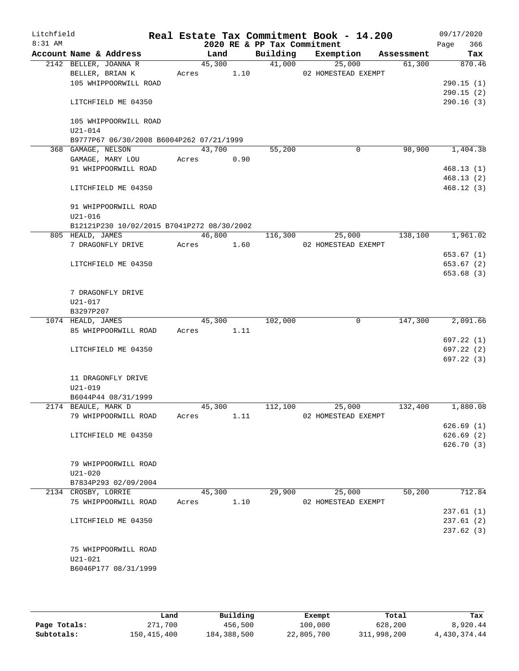| Litchfield<br>8:31 AM |                                            |       |        |        | 2020 RE & PP Tax Commitment | Real Estate Tax Commitment Book - 14.200 |            | 09/17/2020<br>Page<br>366 |
|-----------------------|--------------------------------------------|-------|--------|--------|-----------------------------|------------------------------------------|------------|---------------------------|
|                       | Account Name & Address                     |       | Land   |        | Building                    | Exemption                                | Assessment | Tax                       |
|                       | 2142 BELLER, JOANNA R                      |       |        | 45,300 | 41,000                      | 25,000                                   | 61,300     | 870.46                    |
|                       | BELLER, BRIAN K                            | Acres |        | 1.10   |                             | 02 HOMESTEAD EXEMPT                      |            |                           |
|                       | 105 WHIPPOORWILL ROAD                      |       |        |        |                             |                                          |            | 290.15(1)                 |
|                       |                                            |       |        |        |                             |                                          |            | 290.15(2)                 |
|                       | LITCHFIELD ME 04350                        |       |        |        |                             |                                          |            | 290.16(3)                 |
|                       | 105 WHIPPOORWILL ROAD                      |       |        |        |                             |                                          |            |                           |
|                       | $U21 - 014$                                |       |        |        |                             |                                          |            |                           |
|                       | B9777P67 06/30/2008 B6004P262 07/21/1999   |       |        |        |                             |                                          |            |                           |
|                       | 368 GAMAGE, NELSON                         |       | 43,700 |        | 55,200                      | 0                                        | 98,900     | 1,404.38                  |
|                       | GAMAGE, MARY LOU                           | Acres |        | 0.90   |                             |                                          |            |                           |
|                       | 91 WHIPPOORWILL ROAD                       |       |        |        |                             |                                          |            | 468.13(1)                 |
|                       |                                            |       |        |        |                             |                                          |            | 468.13(2)                 |
|                       | LITCHFIELD ME 04350                        |       |        |        |                             |                                          |            | 468.12(3)                 |
|                       | 91 WHIPPOORWILL ROAD                       |       |        |        |                             |                                          |            |                           |
|                       | $U21 - 016$                                |       |        |        |                             |                                          |            |                           |
|                       | B12121P230 10/02/2015 B7041P272 08/30/2002 |       |        |        |                             |                                          |            |                           |
|                       | 805 HEALD, JAMES                           |       | 46,800 |        | 116,300                     | 25,000                                   | 138,100    | 1,961.02                  |
|                       | 7 DRAGONFLY DRIVE                          | Acres |        | 1.60   |                             | 02 HOMESTEAD EXEMPT                      |            |                           |
|                       |                                            |       |        |        |                             |                                          |            | 653.67(1)                 |
|                       | LITCHFIELD ME 04350                        |       |        |        |                             |                                          |            | 653.67 (2)                |
|                       |                                            |       |        |        |                             |                                          |            | 653.68(3)                 |
|                       | 7 DRAGONFLY DRIVE                          |       |        |        |                             |                                          |            |                           |
|                       | U21-017                                    |       |        |        |                             |                                          |            |                           |
|                       | B3297P207                                  |       |        |        |                             |                                          |            |                           |
|                       | 1074 HEALD, JAMES                          |       | 45,300 |        | 102,000                     | $\mathbf 0$                              | 147,300    | 2,091.66                  |
|                       | 85 WHIPPOORWILL ROAD                       | Acres |        | 1.11   |                             |                                          |            |                           |
|                       |                                            |       |        |        |                             |                                          |            | 697.22 (1)                |
|                       | LITCHFIELD ME 04350                        |       |        |        |                             |                                          |            | 697.22 (2)                |
|                       |                                            |       |        |        |                             |                                          |            | 697.22(3)                 |
|                       | 11 DRAGONFLY DRIVE                         |       |        |        |                             |                                          |            |                           |
|                       | U21-019                                    |       |        |        |                             |                                          |            |                           |
|                       | B6044P44 08/31/1999                        |       |        |        |                             |                                          |            |                           |
|                       | 2174 BEAULE, MARK D                        |       | 45,300 |        | 112,100                     | 25,000                                   | 132,400    | 1,880.08                  |
|                       | 79 WHIPPOORWILL ROAD                       | Acres |        | 1.11   |                             | 02 HOMESTEAD EXEMPT                      |            |                           |
|                       |                                            |       |        |        |                             |                                          |            | 626.69(1)                 |
|                       | LITCHFIELD ME 04350                        |       |        |        |                             |                                          |            | 626.69(2)                 |
|                       |                                            |       |        |        |                             |                                          |            | 626.70 (3)                |
|                       | 79 WHIPPOORWILL ROAD                       |       |        |        |                             |                                          |            |                           |
|                       | $U21 - 020$                                |       |        |        |                             |                                          |            |                           |
|                       | B7834P293 02/09/2004                       |       |        |        |                             |                                          |            |                           |
|                       | 2134 CROSBY, LORRIE                        |       | 45,300 |        | 29,900                      | 25,000                                   | 50,200     | 712.84                    |
|                       | 75 WHIPPOORWILL ROAD                       | Acres |        | 1.10   |                             | 02 HOMESTEAD EXEMPT                      |            |                           |
|                       |                                            |       |        |        |                             |                                          |            | 237.61(1)                 |
|                       | LITCHFIELD ME 04350                        |       |        |        |                             |                                          |            | 237.61(2)                 |
|                       |                                            |       |        |        |                             |                                          |            | 237.62(3)                 |
|                       | 75 WHIPPOORWILL ROAD                       |       |        |        |                             |                                          |            |                           |
|                       | $U21 - 021$                                |       |        |        |                             |                                          |            |                           |
|                       | B6046P177 08/31/1999                       |       |        |        |                             |                                          |            |                           |
|                       |                                            |       |        |        |                             |                                          |            |                           |

|              | Land        | Building    | Exempt     | Total       | Tax          |
|--------------|-------------|-------------|------------|-------------|--------------|
| Page Totals: | 271,700     | 456,500     | 100,000    | 628,200     | 8,920.44     |
| Subtotals:   | 150,415,400 | 184,388,500 | 22,805,700 | 311,998,200 | 4,430,374.44 |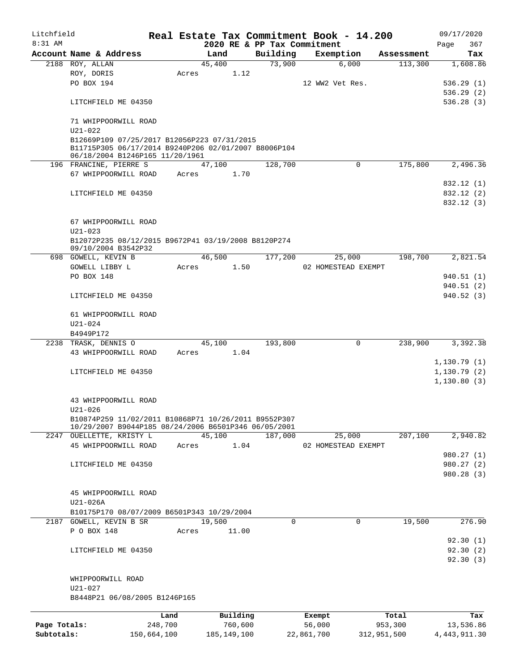| Litchfield   |                                                                                                                                        |                 |       |                |                     | Real Estate Tax Commitment Book - 14.200 |                  |                               |                       | 09/17/2020           |
|--------------|----------------------------------------------------------------------------------------------------------------------------------------|-----------------|-------|----------------|---------------------|------------------------------------------|------------------|-------------------------------|-----------------------|----------------------|
| $8:31$ AM    | Account Name & Address                                                                                                                 |                 |       |                |                     | 2020 RE & PP Tax Commitment<br>Building  |                  |                               |                       | 367<br>Page          |
|              | 2188 ROY, ALLAN                                                                                                                        |                 |       | Land<br>45,400 |                     | 73,900                                   |                  | Exemption<br>6,000            | Assessment<br>113,300 | Tax<br>1,608.86      |
|              | ROY, DORIS                                                                                                                             |                 | Acres |                | 1.12                |                                          |                  |                               |                       |                      |
|              | PO BOX 194                                                                                                                             |                 |       |                |                     |                                          |                  | 12 WW2 Vet Res.               |                       | 536.29(1)            |
|              |                                                                                                                                        |                 |       |                |                     |                                          |                  |                               |                       | 536.29(2)            |
|              | LITCHFIELD ME 04350                                                                                                                    |                 |       |                |                     |                                          |                  |                               |                       | 536.28(3)            |
|              |                                                                                                                                        |                 |       |                |                     |                                          |                  |                               |                       |                      |
|              | 71 WHIPPOORWILL ROAD<br>$U21 - 022$                                                                                                    |                 |       |                |                     |                                          |                  |                               |                       |                      |
|              | B12669P109 07/25/2017 B12056P223 07/31/2015<br>B11715P305 06/17/2014 B9240P206 02/01/2007 B8006P104<br>06/18/2004 B1246P165 11/20/1961 |                 |       |                |                     |                                          |                  |                               |                       |                      |
|              | 196 FRANCINE, PIERRE S                                                                                                                 |                 |       | 47,100         |                     | 128,700                                  |                  | $\mathbf 0$                   | 175,800               | 2,496.36             |
|              | 67 WHIPPOORWILL ROAD                                                                                                                   |                 | Acres |                | 1.70                |                                          |                  |                               |                       |                      |
|              |                                                                                                                                        |                 |       |                |                     |                                          |                  |                               |                       | 832.12 (1)           |
|              | LITCHFIELD ME 04350                                                                                                                    |                 |       |                |                     |                                          |                  |                               |                       | 832.12 (2)           |
|              |                                                                                                                                        |                 |       |                |                     |                                          |                  |                               |                       | 832.12 (3)           |
|              | 67 WHIPPOORWILL ROAD                                                                                                                   |                 |       |                |                     |                                          |                  |                               |                       |                      |
|              | $U21 - 023$                                                                                                                            |                 |       |                |                     |                                          |                  |                               |                       |                      |
|              | B12072P235 08/12/2015 B9672P41 03/19/2008 B8120P274<br>09/10/2004 B3542P32                                                             |                 |       |                |                     |                                          |                  |                               |                       |                      |
|              | 698 GOWELL, KEVIN B<br>GOWELL LIBBY L                                                                                                  |                 |       | 46,500         | 1.50                | 177,200                                  |                  | 25,000<br>02 HOMESTEAD EXEMPT | 198,700               | 2,821.54             |
|              |                                                                                                                                        |                 | Acres |                |                     |                                          |                  |                               |                       |                      |
|              | PO BOX 148                                                                                                                             |                 |       |                |                     |                                          |                  |                               |                       | 940.51(1)            |
|              |                                                                                                                                        |                 |       |                |                     |                                          |                  |                               |                       | 940.51(2)            |
|              | LITCHFIELD ME 04350                                                                                                                    |                 |       |                |                     |                                          |                  |                               |                       | 940.52(3)            |
|              | 61 WHIPPOORWILL ROAD<br>$U21 - 024$                                                                                                    |                 |       |                |                     |                                          |                  |                               |                       |                      |
|              | B4949P172                                                                                                                              |                 |       |                |                     |                                          |                  |                               |                       |                      |
|              | 2238 TRASK, DENNIS O                                                                                                                   |                 |       | 45,100         |                     | 193,800                                  |                  | $\mathbf 0$                   | 238,900               | 3,392.38             |
|              | 43 WHIPPOORWILL ROAD                                                                                                                   |                 | Acres |                | 1.04                |                                          |                  |                               |                       |                      |
|              |                                                                                                                                        |                 |       |                |                     |                                          |                  |                               |                       | 1,130.79(1)          |
|              | LITCHFIELD ME 04350                                                                                                                    |                 |       |                |                     |                                          |                  |                               |                       | 1,130.79(2)          |
|              |                                                                                                                                        |                 |       |                |                     |                                          |                  |                               |                       | 1,130.80(3)          |
|              |                                                                                                                                        |                 |       |                |                     |                                          |                  |                               |                       |                      |
|              | 43 WHIPPOORWILL ROAD<br>U21-026                                                                                                        |                 |       |                |                     |                                          |                  |                               |                       |                      |
|              | B10874P259 11/02/2011 B10868P71 10/26/2011 B9552P307<br>10/29/2007 B9044P185 08/24/2006 B6501P346 06/05/2001                           |                 |       |                |                     |                                          |                  |                               |                       |                      |
|              | 2247 OUELLETTE, KRISTY L                                                                                                               |                 |       | 45,100         |                     | 187,000                                  |                  | 25,000                        | 207,100               | 2,940.82             |
|              | 45 WHIPPOORWILL ROAD                                                                                                                   |                 | Acres |                | 1.04                |                                          |                  | 02 HOMESTEAD EXEMPT           |                       |                      |
|              |                                                                                                                                        |                 |       |                |                     |                                          |                  |                               |                       | 980.27 (1)           |
|              | LITCHFIELD ME 04350                                                                                                                    |                 |       |                |                     |                                          |                  |                               |                       | 980.27(2)            |
|              |                                                                                                                                        |                 |       |                |                     |                                          |                  |                               |                       | 980.28(3)            |
|              | 45 WHIPPOORWILL ROAD                                                                                                                   |                 |       |                |                     |                                          |                  |                               |                       |                      |
|              | U21-026A                                                                                                                               |                 |       |                |                     |                                          |                  |                               |                       |                      |
|              | B10175P170 08/07/2009 B6501P343 10/29/2004                                                                                             |                 |       |                |                     |                                          |                  |                               |                       |                      |
|              | 2187 GOWELL, KEVIN B SR                                                                                                                |                 |       | 19,500         |                     |                                          | $\Omega$         | $\Omega$                      | 19,500                | 276.90               |
|              | P O BOX 148                                                                                                                            |                 | Acres |                | 11.00               |                                          |                  |                               |                       |                      |
|              |                                                                                                                                        |                 |       |                |                     |                                          |                  |                               |                       | 92.30(1)             |
|              |                                                                                                                                        |                 |       |                |                     |                                          |                  |                               |                       |                      |
|              | LITCHFIELD ME 04350                                                                                                                    |                 |       |                |                     |                                          |                  |                               |                       | 92.30(2)<br>92.30(3) |
|              | WHIPPOORWILL ROAD                                                                                                                      |                 |       |                |                     |                                          |                  |                               |                       |                      |
|              | U21-027                                                                                                                                |                 |       |                |                     |                                          |                  |                               |                       |                      |
|              | B8448P21 06/08/2005 B1246P165                                                                                                          |                 |       |                |                     |                                          |                  |                               |                       |                      |
|              |                                                                                                                                        |                 |       |                |                     |                                          |                  |                               |                       |                      |
| Page Totals: |                                                                                                                                        | Land<br>248,700 |       |                | Building<br>760,600 |                                          | Exempt<br>56,000 |                               | Total<br>953,300      | Tax<br>13,536.86     |
| Subtotals:   |                                                                                                                                        | 150,664,100     |       | 185, 149, 100  |                     |                                          | 22,861,700       |                               | 312,951,500           | 4, 443, 911.30       |
|              |                                                                                                                                        |                 |       |                |                     |                                          |                  |                               |                       |                      |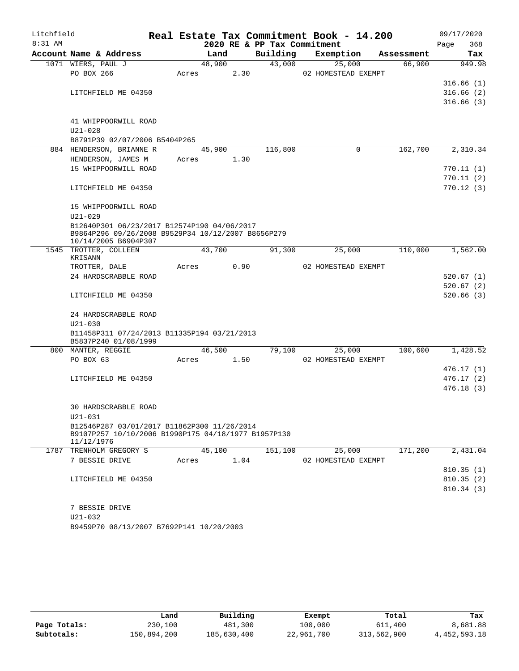| Litchfield |                                                                                                    |                 |      |                             | Real Estate Tax Commitment Book - 14.200 |            | 09/17/2020  |
|------------|----------------------------------------------------------------------------------------------------|-----------------|------|-----------------------------|------------------------------------------|------------|-------------|
| $8:31$ AM  |                                                                                                    |                 |      | 2020 RE & PP Tax Commitment |                                          |            | 368<br>Page |
|            | Account Name & Address                                                                             |                 | Land | Building                    | Exemption                                | Assessment | Tax         |
|            | 1071 WIERS, PAUL J<br>PO BOX 266                                                                   | 48,900<br>Acres | 2.30 | 43,000                      | 25,000<br>02 HOMESTEAD EXEMPT            | 66,900     | 949.98      |
|            |                                                                                                    |                 |      |                             |                                          |            | 316.66(1)   |
|            | LITCHFIELD ME 04350                                                                                |                 |      |                             |                                          |            | 316.66(2)   |
|            |                                                                                                    |                 |      |                             |                                          |            | 316.66(3)   |
|            |                                                                                                    |                 |      |                             |                                          |            |             |
|            | 41 WHIPPOORWILL ROAD                                                                               |                 |      |                             |                                          |            |             |
|            | $U21 - 028$                                                                                        |                 |      |                             |                                          |            |             |
|            | B8791P39 02/07/2006 B5404P265                                                                      |                 |      |                             |                                          |            |             |
|            | 884 HENDERSON, BRIANNE R                                                                           | 45,900          |      | 116,800                     | 0                                        | 162,700    | 2,310.34    |
|            | HENDERSON, JAMES M                                                                                 | Acres           | 1.30 |                             |                                          |            |             |
|            | 15 WHIPPOORWILL ROAD                                                                               |                 |      |                             |                                          |            | 770.11(1)   |
|            |                                                                                                    |                 |      |                             |                                          |            | 770.11(2)   |
|            | LITCHFIELD ME 04350                                                                                |                 |      |                             |                                          |            | 770.12(3)   |
|            | 15 WHIPPOORWILL ROAD                                                                               |                 |      |                             |                                          |            |             |
|            | $U21 - 029$                                                                                        |                 |      |                             |                                          |            |             |
|            | B12640P301 06/23/2017 B12574P190 04/06/2017                                                        |                 |      |                             |                                          |            |             |
|            | B9864P296 09/26/2008 B9529P34 10/12/2007 B8656P279                                                 |                 |      |                             |                                          |            |             |
|            | 10/14/2005 B6904P307                                                                               |                 |      |                             |                                          |            |             |
|            | 1545 TROTTER, COLLEEN<br>KRISANN                                                                   | 43,700          |      | 91,300                      | 25,000                                   | 110,000    | 1,562.00    |
|            | TROTTER, DALE                                                                                      | Acres           | 0.90 |                             | 02 HOMESTEAD EXEMPT                      |            |             |
|            | 24 HARDSCRABBLE ROAD                                                                               |                 |      |                             |                                          |            | 520.67(1)   |
|            |                                                                                                    |                 |      |                             |                                          |            | 520.67(2)   |
|            | LITCHFIELD ME 04350                                                                                |                 |      |                             |                                          |            | 520.66(3)   |
|            |                                                                                                    |                 |      |                             |                                          |            |             |
|            | 24 HARDSCRABBLE ROAD                                                                               |                 |      |                             |                                          |            |             |
|            | $U21 - 030$                                                                                        |                 |      |                             |                                          |            |             |
|            | B11458P311 07/24/2013 B11335P194 03/21/2013<br>B5837P240 01/08/1999                                |                 |      |                             |                                          |            |             |
|            | 800 MANTER, REGGIE                                                                                 | 46,500          |      | 79,100                      | 25,000                                   | 100,600    | 1,428.52    |
|            | PO BOX 63                                                                                          | Acres           | 1.50 |                             | 02 HOMESTEAD EXEMPT                      |            |             |
|            |                                                                                                    |                 |      |                             |                                          |            | 476.17 (1)  |
|            | LITCHFIELD ME 04350                                                                                |                 |      |                             |                                          |            | 476.17(2)   |
|            |                                                                                                    |                 |      |                             |                                          |            | 476.18(3)   |
|            |                                                                                                    |                 |      |                             |                                          |            |             |
|            | 30 HARDSCRABBLE ROAD                                                                               |                 |      |                             |                                          |            |             |
|            | $U21 - 031$                                                                                        |                 |      |                             |                                          |            |             |
|            | B12546P287 03/01/2017 B11862P300 11/26/2014<br>B9107P257 10/10/2006 B1990P175 04/18/1977 B1957P130 |                 |      |                             |                                          |            |             |
|            | 11/12/1976                                                                                         |                 |      |                             |                                          |            |             |
|            | 1787 TRENHOLM GREGORY S                                                                            | 45,100          |      | 151,100                     | 25,000                                   | 171,200    | 2,431.04    |
|            | 7 BESSIE DRIVE                                                                                     | Acres           | 1.04 |                             | 02 HOMESTEAD EXEMPT                      |            |             |
|            |                                                                                                    |                 |      |                             |                                          |            | 810.35(1)   |
|            | LITCHFIELD ME 04350                                                                                |                 |      |                             |                                          |            | 810.35(2)   |
|            |                                                                                                    |                 |      |                             |                                          |            | 810.34(3)   |
|            |                                                                                                    |                 |      |                             |                                          |            |             |
|            | 7 BESSIE DRIVE<br>$U21 - 032$                                                                      |                 |      |                             |                                          |            |             |
|            | B9459P70 08/13/2007 B7692P141 10/20/2003                                                           |                 |      |                             |                                          |            |             |
|            |                                                                                                    |                 |      |                             |                                          |            |             |

|              | Land        | Building    | Exempt     | Total       | Tax             |
|--------------|-------------|-------------|------------|-------------|-----------------|
| Page Totals: | 230,100     | 481,300     | 100,000    | 611,400     | 8,681.88        |
| Subtotals:   | 150,894,200 | 185,630,400 | 22,961,700 | 313,562,900 | 4, 452, 593. 18 |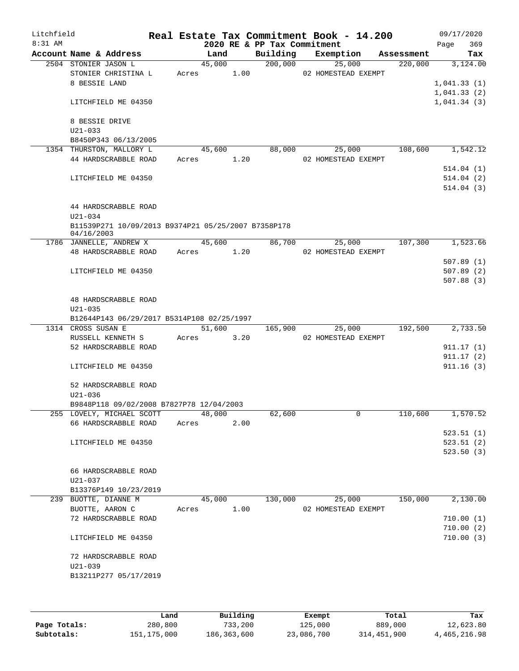| Litchfield<br>$8:31$ AM |                      |                                                     |       |        |      | 2020 RE & PP Tax Commitment | Real Estate Tax Commitment Book - 14.200 |            | 09/17/2020<br>369<br>Page |
|-------------------------|----------------------|-----------------------------------------------------|-------|--------|------|-----------------------------|------------------------------------------|------------|---------------------------|
|                         |                      | Account Name & Address                              |       | Land   |      | Building                    | Exemption                                | Assessment | Tax                       |
|                         | 2504 STONIER JASON L |                                                     |       | 45,000 |      | 200,000                     | 25,000                                   | 220,000    | 3,124.00                  |
|                         |                      | STONIER CHRISTINA L                                 | Acres |        | 1.00 |                             | 02 HOMESTEAD EXEMPT                      |            |                           |
|                         | 8 BESSIE LAND        |                                                     |       |        |      |                             |                                          |            | 1,041.33(1)               |
|                         |                      |                                                     |       |        |      |                             |                                          |            | 1,041.33(2)               |
|                         |                      | LITCHFIELD ME 04350                                 |       |        |      |                             |                                          |            | 1,041.34(3)               |
|                         | 8 BESSIE DRIVE       |                                                     |       |        |      |                             |                                          |            |                           |
|                         | $U21 - 033$          | B8450P343 06/13/2005                                |       |        |      |                             |                                          |            |                           |
|                         |                      | 1354 THURSTON, MALLORY L                            |       | 45,600 |      | 88,000                      | 25,000                                   | 108,600    | 1,542.12                  |
|                         |                      | 44 HARDSCRABBLE ROAD                                | Acres |        | 1.20 |                             | 02 HOMESTEAD EXEMPT                      |            |                           |
|                         |                      |                                                     |       |        |      |                             |                                          |            | 514.04(1)                 |
|                         |                      | LITCHFIELD ME 04350                                 |       |        |      |                             |                                          |            | 514.04(2)                 |
|                         |                      |                                                     |       |        |      |                             |                                          |            | 514.04(3)                 |
|                         |                      | 44 HARDSCRABBLE ROAD                                |       |        |      |                             |                                          |            |                           |
|                         | $U21 - 034$          |                                                     |       |        |      |                             |                                          |            |                           |
|                         |                      | B11539P271 10/09/2013 B9374P21 05/25/2007 B7358P178 |       |        |      |                             |                                          |            |                           |
|                         | 04/16/2003           |                                                     |       |        |      |                             |                                          |            |                           |
|                         |                      | 1786 JANNELLE, ANDREW X                             |       | 45,600 |      | 86,700                      | 25,000                                   | 107,300    | 1,523.66                  |
|                         |                      | 48 HARDSCRABBLE ROAD                                | Acres |        | 1.20 |                             | 02 HOMESTEAD EXEMPT                      |            | 507.89(1)                 |
|                         |                      | LITCHFIELD ME 04350                                 |       |        |      |                             |                                          |            | 507.89(2)                 |
|                         |                      |                                                     |       |        |      |                             |                                          |            | 507.88(3)                 |
|                         |                      |                                                     |       |        |      |                             |                                          |            |                           |
|                         |                      | 48 HARDSCRABBLE ROAD                                |       |        |      |                             |                                          |            |                           |
|                         | $U21 - 035$          |                                                     |       |        |      |                             |                                          |            |                           |
|                         |                      | B12644P143 06/29/2017 B5314P108 02/25/1997          |       |        |      |                             |                                          |            |                           |
|                         | 1314 CROSS SUSAN E   |                                                     |       | 51,600 |      | 165,900                     | 25,000                                   | 192,500    | 2,733.50                  |
|                         |                      | RUSSELL KENNETH S                                   | Acres |        | 3.20 |                             | 02 HOMESTEAD EXEMPT                      |            |                           |
|                         |                      | 52 HARDSCRABBLE ROAD                                |       |        |      |                             |                                          |            | 911.17(1)                 |
|                         |                      |                                                     |       |        |      |                             |                                          |            | 911.17(2)                 |
|                         |                      | LITCHFIELD ME 04350                                 |       |        |      |                             |                                          |            | 911.16(3)                 |
|                         |                      | 52 HARDSCRABBLE ROAD                                |       |        |      |                             |                                          |            |                           |
|                         | $U21 - 036$          |                                                     |       |        |      |                             |                                          |            |                           |
|                         |                      | B9848P118 09/02/2008 B7827P78 12/04/2003            |       |        |      |                             |                                          |            |                           |
|                         |                      | 255 LOVELY, MICHAEL SCOTT                           |       | 48,000 |      | 62,600                      | 0                                        | 110,600    | 1,570.52                  |
|                         |                      | 66 HARDSCRABBLE ROAD                                | Acres |        | 2.00 |                             |                                          |            |                           |
|                         |                      |                                                     |       |        |      |                             |                                          |            | 523.51(1)                 |
|                         |                      | LITCHFIELD ME 04350                                 |       |        |      |                             |                                          |            | 523.51(2)                 |
|                         |                      |                                                     |       |        |      |                             |                                          |            | 523.50(3)                 |
|                         |                      |                                                     |       |        |      |                             |                                          |            |                           |
|                         |                      | 66 HARDSCRABBLE ROAD                                |       |        |      |                             |                                          |            |                           |
|                         | $U21 - 037$          |                                                     |       |        |      |                             |                                          |            |                           |
|                         |                      | B13376P149 10/23/2019<br>239 BUOTTE, DIANNE M       |       | 45,000 |      | 130,000                     | 25,000                                   | 150,000    | 2,130.00                  |
|                         | BUOTTE, AARON C      |                                                     | Acres |        | 1.00 |                             | 02 HOMESTEAD EXEMPT                      |            |                           |
|                         |                      | 72 HARDSCRABBLE ROAD                                |       |        |      |                             |                                          |            | 710.00(1)                 |
|                         |                      |                                                     |       |        |      |                             |                                          |            | 710.00(2)                 |
|                         |                      | LITCHFIELD ME 04350                                 |       |        |      |                             |                                          |            | 710.00(3)                 |
|                         |                      | 72 HARDSCRABBLE ROAD                                |       |        |      |                             |                                          |            |                           |
|                         | $U21 - 039$          |                                                     |       |        |      |                             |                                          |            |                           |
|                         |                      | B13211P277 05/17/2019                               |       |        |      |                             |                                          |            |                           |
|                         |                      |                                                     |       |        |      |                             |                                          |            |                           |
|                         |                      |                                                     |       |        |      |                             |                                          |            |                           |

|              | Land          | Building    | Exempt     | Total       | Tax          |
|--------------|---------------|-------------|------------|-------------|--------------|
| Page Totals: | 280,800       | 733,200     | 125,000    | 889,000     | 12,623.80    |
| Subtotals:   | 151, 175, 000 | 186,363,600 | 23,086,700 | 314,451,900 | 4,465,216.98 |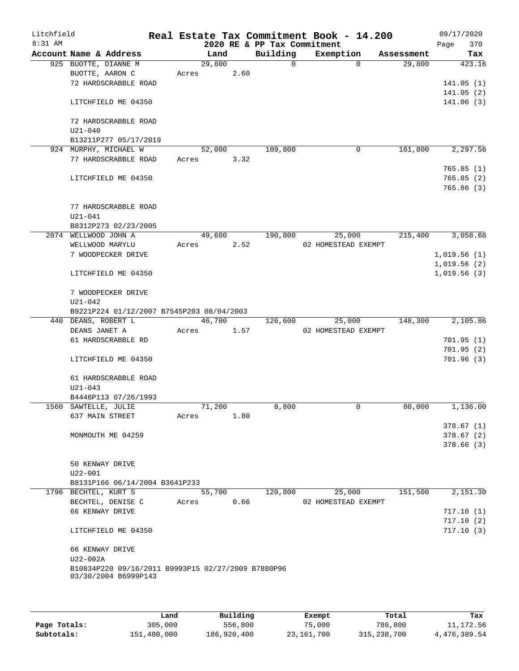| Litchfield<br>8:31 AM |                      |                                                                            |       |        |      | 2020 RE & PP Tax Commitment | Real Estate Tax Commitment Book - 14.200 |            | 09/17/2020<br>Page<br>370 |
|-----------------------|----------------------|----------------------------------------------------------------------------|-------|--------|------|-----------------------------|------------------------------------------|------------|---------------------------|
|                       |                      | Account Name & Address                                                     |       | Land   |      | Building                    | Exemption                                | Assessment | Tax                       |
|                       |                      | 925 BUOTTE, DIANNE M                                                       |       | 29,800 |      | $\Omega$                    | $\Omega$                                 | 29,800     | 423.16                    |
|                       |                      | BUOTTE, AARON C                                                            | Acres |        | 2.60 |                             |                                          |            |                           |
|                       |                      | 72 HARDSCRABBLE ROAD                                                       |       |        |      |                             |                                          |            | 141.05(1)                 |
|                       |                      |                                                                            |       |        |      |                             |                                          |            | 141.05(2)                 |
|                       |                      | LITCHFIELD ME 04350                                                        |       |        |      |                             |                                          |            | 141.06(3)                 |
|                       | $U21 - 040$          | 72 HARDSCRABBLE ROAD                                                       |       |        |      |                             |                                          |            |                           |
|                       |                      | B13211P277 05/17/2019                                                      |       |        |      |                             |                                          |            |                           |
|                       |                      | 924 MURPHY, MICHAEL W                                                      |       | 52,000 |      | 109,800                     | $\mathbf 0$                              | 161,800    | 2,297.56                  |
|                       |                      | 77 HARDSCRABBLE ROAD                                                       | Acres |        | 3.32 |                             |                                          |            |                           |
|                       |                      | LITCHFIELD ME 04350                                                        |       |        |      |                             |                                          |            | 765.85(1)<br>765.85(2)    |
|                       |                      |                                                                            |       |        |      |                             |                                          |            | 765.86(3)                 |
|                       |                      | 77 HARDSCRABBLE ROAD                                                       |       |        |      |                             |                                          |            |                           |
|                       | $U21 - 041$          |                                                                            |       |        |      |                             |                                          |            |                           |
|                       |                      | B8312P273 02/23/2005                                                       |       |        |      |                             |                                          |            |                           |
|                       | 2074 WELLWOOD JOHN A |                                                                            |       | 49,600 |      | 190,800                     | 25,000                                   | 215,400    | 3,058.68                  |
|                       |                      | WELLWOOD MARYLU                                                            | Acres |        | 2.52 |                             | 02 HOMESTEAD EXEMPT                      |            |                           |
|                       |                      | 7 WOODPECKER DRIVE                                                         |       |        |      |                             |                                          |            | 1,019.56(1)               |
|                       |                      |                                                                            |       |        |      |                             |                                          |            | 1,019.56(2)               |
|                       |                      | LITCHFIELD ME 04350                                                        |       |        |      |                             |                                          |            | 1,019.56(3)               |
|                       | $U21 - 042$          | 7 WOODPECKER DRIVE                                                         |       |        |      |                             |                                          |            |                           |
|                       |                      | B9221P224 01/12/2007 B7545P203 08/04/2003                                  |       |        |      |                             |                                          |            |                           |
|                       | 440 DEANS, ROBERT L  |                                                                            |       | 46,700 |      | 126,600                     | 25,000                                   | 148,300    | 2,105.86                  |
|                       | DEANS JANET A        |                                                                            | Acres |        | 1.57 |                             | 02 HOMESTEAD EXEMPT                      |            |                           |
|                       |                      | 61 HARDSCRABBLE RD                                                         |       |        |      |                             |                                          |            | 701.95(1)                 |
|                       |                      |                                                                            |       |        |      |                             |                                          |            | 701.95(2)                 |
|                       |                      | LITCHFIELD ME 04350                                                        |       |        |      |                             |                                          |            | 701.96(3)                 |
|                       |                      | 61 HARDSCRABBLE ROAD                                                       |       |        |      |                             |                                          |            |                           |
|                       | $U21 - 043$          |                                                                            |       |        |      |                             |                                          |            |                           |
|                       |                      | B4446P113 07/26/1993                                                       |       |        |      |                             |                                          |            |                           |
|                       | 1560 SAWTELLE, JULIE |                                                                            |       | 71,200 |      | 8,800                       | 0                                        | 80,000     | 1,136.00                  |
|                       |                      | 637 MAIN STREET                                                            | Acres |        | 1.80 |                             |                                          |            |                           |
|                       |                      |                                                                            |       |        |      |                             |                                          |            | 378.67(1)                 |
|                       |                      | MONMOUTH ME 04259                                                          |       |        |      |                             |                                          |            | 378.67(2)                 |
|                       |                      |                                                                            |       |        |      |                             |                                          |            | 378.66(3)                 |
|                       |                      | 50 KENWAY DRIVE                                                            |       |        |      |                             |                                          |            |                           |
|                       | $U22 - 001$          |                                                                            |       |        |      |                             |                                          |            |                           |
|                       |                      | B8131P166 06/14/2004 B3641P233                                             |       |        |      |                             |                                          |            |                           |
|                       | 1796 BECHTEL, KURT S |                                                                            |       | 55,700 |      | 120,800                     | 25,000                                   | 151,500    | 2,151.30                  |
|                       |                      | BECHTEL, DENISE C                                                          | Acres |        | 0.66 |                             | 02 HOMESTEAD EXEMPT                      |            |                           |
|                       |                      | 66 KENWAY DRIVE                                                            |       |        |      |                             |                                          |            | 717.10(1)                 |
|                       |                      |                                                                            |       |        |      |                             |                                          |            | 717.10(2)                 |
|                       |                      | LITCHFIELD ME 04350                                                        |       |        |      |                             |                                          |            | 717.10(3)                 |
|                       |                      | 66 KENWAY DRIVE                                                            |       |        |      |                             |                                          |            |                           |
|                       | U22-002A             |                                                                            |       |        |      |                             |                                          |            |                           |
|                       |                      | B10834P220 09/16/2011 B9993P15 02/27/2009 B7880P96<br>03/30/2004 B6999P143 |       |        |      |                             |                                          |            |                           |
|                       |                      |                                                                            |       |        |      |                             |                                          |            |                           |
|                       |                      |                                                                            |       |        |      |                             |                                          |            |                           |

|              | Land        | Building    | Exempt     | Total       | Tax          |
|--------------|-------------|-------------|------------|-------------|--------------|
| Page Totals: | 305,000     | 556,800     | 75,000     | 786,800     | 11,172.56    |
| Subtotals:   | 151,480,000 | 186,920,400 | 23,161,700 | 315,238,700 | 4,476,389.54 |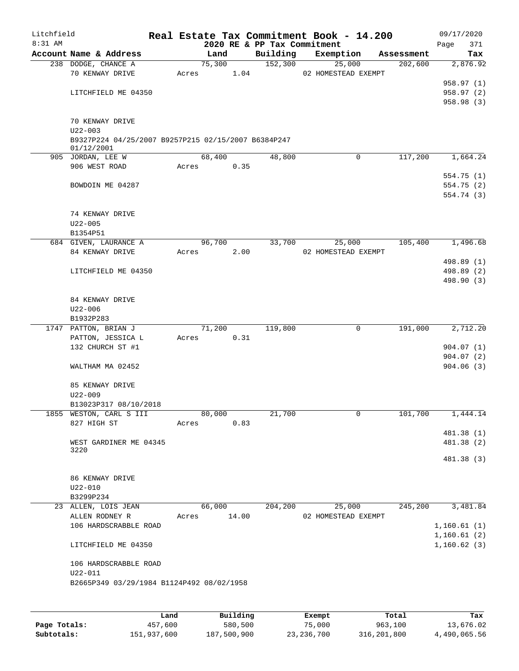| Litchfield |                                                                   |       |                |      |                             | Real Estate Tax Commitment Book - 14.200 |                       | 09/17/2020      |
|------------|-------------------------------------------------------------------|-------|----------------|------|-----------------------------|------------------------------------------|-----------------------|-----------------|
| 8:31 AM    | Account Name & Address                                            |       |                |      | 2020 RE & PP Tax Commitment |                                          |                       | 371<br>Page     |
|            | 238 DODGE, CHANCE A                                               |       | Land<br>75,300 |      | Building<br>152,300         | Exemption<br>25,000                      | Assessment<br>202,600 | Tax<br>2,876.92 |
|            | 70 KENWAY DRIVE                                                   | Acres |                | 1.04 |                             | 02 HOMESTEAD EXEMPT                      |                       |                 |
|            |                                                                   |       |                |      |                             |                                          |                       | 958.97 (1)      |
|            | LITCHFIELD ME 04350                                               |       |                |      |                             |                                          |                       | 958.97 (2)      |
|            |                                                                   |       |                |      |                             |                                          |                       | 958.98 (3)      |
|            | 70 KENWAY DRIVE<br>$U22 - 003$                                    |       |                |      |                             |                                          |                       |                 |
|            | B9327P224 04/25/2007 B9257P215 02/15/2007 B6384P247<br>01/12/2001 |       |                |      |                             |                                          |                       |                 |
|            | 905 JORDAN, LEE W                                                 |       | 68,400         |      | 48,800                      | $\mathbf 0$                              | 117,200               | 1,664.24        |
|            | 906 WEST ROAD                                                     | Acres |                | 0.35 |                             |                                          |                       |                 |
|            |                                                                   |       |                |      |                             |                                          |                       | 554.75(1)       |
|            | BOWDOIN ME 04287                                                  |       |                |      |                             |                                          |                       | 554.75 (2)      |
|            |                                                                   |       |                |      |                             |                                          |                       | 554.74 (3)      |
|            | 74 KENWAY DRIVE                                                   |       |                |      |                             |                                          |                       |                 |
|            | $U22 - 005$                                                       |       |                |      |                             |                                          |                       |                 |
|            | B1354P51                                                          |       |                |      |                             |                                          |                       |                 |
|            | 684 GIVEN, LAURANCE A                                             |       | 96,700         |      | 33,700                      | 25,000                                   | 105,400               | 1,496.68        |
|            | 84 KENWAY DRIVE                                                   | Acres |                | 2.00 |                             | 02 HOMESTEAD EXEMPT                      |                       |                 |
|            |                                                                   |       |                |      |                             |                                          |                       | 498.89 (1)      |
|            | LITCHFIELD ME 04350                                               |       |                |      |                             |                                          |                       | 498.89 (2)      |
|            |                                                                   |       |                |      |                             |                                          |                       | 498.90 (3)      |
|            | 84 KENWAY DRIVE                                                   |       |                |      |                             |                                          |                       |                 |
|            | $U22 - 006$                                                       |       |                |      |                             |                                          |                       |                 |
|            | B1932P283                                                         |       |                |      |                             |                                          |                       |                 |
|            | 1747 PATTON, BRIAN J                                              |       | 71,200         |      | 119,800                     | $\mathbf 0$                              | 191,000               | 2,712.20        |
|            | PATTON, JESSICA L                                                 | Acres |                | 0.31 |                             |                                          |                       |                 |
|            | 132 CHURCH ST #1                                                  |       |                |      |                             |                                          |                       | 904.07(1)       |
|            |                                                                   |       |                |      |                             |                                          |                       | 904.07(2)       |
|            | WALTHAM MA 02452                                                  |       |                |      |                             |                                          |                       | 904.06(3)       |
|            | 85 KENWAY DRIVE                                                   |       |                |      |                             |                                          |                       |                 |
|            | $U22 - 009$                                                       |       |                |      |                             |                                          |                       |                 |
|            | B13023P317 08/10/2018                                             |       |                |      |                             |                                          |                       |                 |
|            | 1855 WESTON, CARL S III                                           |       | 80,000         |      | 21,700                      | $\overline{0}$                           | 101,700               | 1,444.14        |
|            | 827 HIGH ST                                                       | Acres |                | 0.83 |                             |                                          |                       |                 |
|            |                                                                   |       |                |      |                             |                                          |                       | 481.38 (1)      |
|            | WEST GARDINER ME 04345<br>3220                                    |       |                |      |                             |                                          |                       | 481.38 (2)      |
|            |                                                                   |       |                |      |                             |                                          |                       | 481.38 (3)      |
|            | 86 KENWAY DRIVE                                                   |       |                |      |                             |                                          |                       |                 |
|            | $U22 - 010$                                                       |       |                |      |                             |                                          |                       |                 |
|            | B3299P234                                                         |       |                |      |                             |                                          |                       |                 |
|            | 23 ALLEN, LOIS JEAN                                               |       | 66,000         |      | 204,200                     | 25,000                                   | 245,200               | 3,481.84        |
|            | ALLEN RODNEY R                                                    |       | Acres 14.00    |      |                             | 02 HOMESTEAD EXEMPT                      |                       |                 |
|            | 106 HARDSCRABBLE ROAD                                             |       |                |      |                             |                                          |                       | 1,160.61(1)     |
|            |                                                                   |       |                |      |                             |                                          |                       | 1,160.61(2)     |
|            | LITCHFIELD ME 04350                                               |       |                |      |                             |                                          |                       | 1,160.62(3)     |
|            | 106 HARDSCRABBLE ROAD                                             |       |                |      |                             |                                          |                       |                 |
|            | $U22 - 011$                                                       |       |                |      |                             |                                          |                       |                 |
|            | B2665P349 03/29/1984 B1124P492 08/02/1958                         |       |                |      |                             |                                          |                       |                 |
|            |                                                                   |       |                |      |                             |                                          |                       |                 |
|            |                                                                   |       |                |      |                             |                                          |                       |                 |

|              | Land        | Building    | Exempt     | Total       | Tax          |
|--------------|-------------|-------------|------------|-------------|--------------|
| Page Totals: | 457,600     | 580,500     | 75,000     | 963,100     | 13,676.02    |
| Subtotals:   | 151,937,600 | 187,500,900 | 23,236,700 | 316,201,800 | 4,490,065.56 |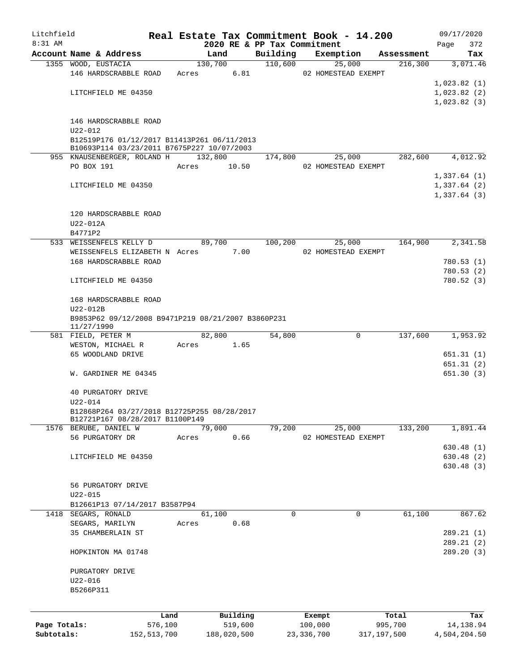| Litchfield   |                                                    |               |               |          |                             | Real Estate Tax Commitment Book - 14.200 |             |            | 09/17/2020   |
|--------------|----------------------------------------------------|---------------|---------------|----------|-----------------------------|------------------------------------------|-------------|------------|--------------|
| $8:31$ AM    |                                                    |               |               |          | 2020 RE & PP Tax Commitment |                                          |             |            | 372<br>Page  |
|              | Account Name & Address                             |               | Land          |          | Building                    | Exemption                                |             | Assessment | Tax          |
|              | 1355 WOOD, EUSTACIA                                |               | 130,700       |          | 110,600                     | 25,000                                   |             | 216,300    | 3,071.46     |
|              | 146 HARDSCRABBLE ROAD                              |               | 6.81<br>Acres |          |                             | 02 HOMESTEAD EXEMPT                      |             |            |              |
|              |                                                    |               |               |          |                             |                                          |             |            | 1,023.82(1)  |
|              | LITCHFIELD ME 04350                                |               |               |          |                             |                                          |             |            | 1,023.82(2)  |
|              |                                                    |               |               |          |                             |                                          |             |            | 1,023.82(3)  |
|              | 146 HARDSCRABBLE ROAD                              |               |               |          |                             |                                          |             |            |              |
|              | U22-012                                            |               |               |          |                             |                                          |             |            |              |
|              | B12519P176 01/12/2017 B11413P261 06/11/2013        |               |               |          |                             |                                          |             |            |              |
|              | B10693P114 03/23/2011 B7675P227 10/07/2003         |               |               |          |                             |                                          |             |            |              |
|              | 955 KNAUSENBERGER, ROLAND H                        |               | 132,800       |          | 174,800                     | 25,000                                   |             | 282,600    | 4,012.92     |
|              | PO BOX 191                                         |               | Acres         | 10.50    |                             | 02 HOMESTEAD EXEMPT                      |             |            |              |
|              |                                                    |               |               |          |                             |                                          |             |            | 1,337.64(1)  |
|              | LITCHFIELD ME 04350                                |               |               |          |                             |                                          |             |            | 1,337.64(2)  |
|              |                                                    |               |               |          |                             |                                          |             |            | 1,337.64(3)  |
|              |                                                    |               |               |          |                             |                                          |             |            |              |
|              | 120 HARDSCRABBLE ROAD                              |               |               |          |                             |                                          |             |            |              |
|              | U22-012A                                           |               |               |          |                             |                                          |             |            |              |
|              | B4771P2                                            |               |               |          |                             |                                          |             |            |              |
|              | 533 WEISSENFELS KELLY D                            |               | 89,700        |          | 100,200                     | 25,000                                   |             | 164,900    | 2,341.58     |
|              | WEISSENFELS ELIZABETH N Acres                      |               |               | 7.00     |                             | 02 HOMESTEAD EXEMPT                      |             |            |              |
|              | 168 HARDSCRABBLE ROAD                              |               |               |          |                             |                                          |             |            | 780.53(1)    |
|              |                                                    |               |               |          |                             |                                          |             |            | 780.53(2)    |
|              | LITCHFIELD ME 04350                                |               |               |          |                             |                                          |             |            | 780.52(3)    |
|              |                                                    |               |               |          |                             |                                          |             |            |              |
|              | 168 HARDSCRABBLE ROAD                              |               |               |          |                             |                                          |             |            |              |
|              | U22-012B                                           |               |               |          |                             |                                          |             |            |              |
|              | B9853P62 09/12/2008 B9471P219 08/21/2007 B3860P231 |               |               |          |                             |                                          |             |            |              |
|              | 11/27/1990<br>581 FIELD, PETER M                   |               | 82,800        |          | 54,800                      | 0                                        |             | 137,600    | 1,953.92     |
|              | WESTON, MICHAEL R                                  |               | Acres 1.65    |          |                             |                                          |             |            |              |
|              | 65 WOODLAND DRIVE                                  |               |               |          |                             |                                          |             |            | 651.31(1)    |
|              |                                                    |               |               |          |                             |                                          |             |            | 651.31(2)    |
|              | W. GARDINER ME 04345                               |               |               |          |                             |                                          |             |            | 651.30(3)    |
|              |                                                    |               |               |          |                             |                                          |             |            |              |
|              | 40 PURGATORY DRIVE                                 |               |               |          |                             |                                          |             |            |              |
|              | U22-014                                            |               |               |          |                             |                                          |             |            |              |
|              | B12868P264 03/27/2018 B12725P255 08/28/2017        |               |               |          |                             |                                          |             |            |              |
|              | B12721P167 08/28/2017 B1100P149                    |               |               |          |                             |                                          |             |            |              |
|              | 1576 BERUBE, DANIEL W                              |               | 79,000        |          | 79,200                      | 25,000                                   |             | 133,200    | 1,891.44     |
|              | 56 PURGATORY DR                                    |               | Acres         | 0.66     |                             | 02 HOMESTEAD EXEMPT                      |             |            |              |
|              |                                                    |               |               |          |                             |                                          |             |            | 630.48(1)    |
|              | LITCHFIELD ME 04350                                |               |               |          |                             |                                          |             |            | 630.48(2)    |
|              |                                                    |               |               |          |                             |                                          |             |            | 630.48(3)    |
|              |                                                    |               |               |          |                             |                                          |             |            |              |
|              | 56 PURGATORY DRIVE                                 |               |               |          |                             |                                          |             |            |              |
|              | U22-015                                            |               |               |          |                             |                                          |             |            |              |
|              | B12661P13 07/14/2017 B3587P94                      |               |               |          |                             |                                          |             |            |              |
|              | 1418 SEGARS, RONALD                                |               | 61,100        |          | 0                           | 0                                        |             | 61,100     | 867.62       |
|              | SEGARS, MARILYN                                    |               | Acres         | 0.68     |                             |                                          |             |            |              |
|              | 35 CHAMBERLAIN ST                                  |               |               |          |                             |                                          |             |            | 289.21 (1)   |
|              |                                                    |               |               |          |                             |                                          |             |            | 289.21(2)    |
|              | HOPKINTON MA 01748                                 |               |               |          |                             |                                          |             |            | 289.20 (3)   |
|              |                                                    |               |               |          |                             |                                          |             |            |              |
|              | PURGATORY DRIVE                                    |               |               |          |                             |                                          |             |            |              |
|              | U22-016                                            |               |               |          |                             |                                          |             |            |              |
|              | B5266P311                                          |               |               |          |                             |                                          |             |            |              |
|              |                                                    |               |               |          |                             |                                          |             |            |              |
|              |                                                    | Land          |               | Building |                             | Exempt                                   |             | Total      | Tax          |
| Page Totals: |                                                    | 576,100       |               | 519,600  |                             | 100,000                                  |             | 995,700    | 14,138.94    |
| Subtotals:   |                                                    | 152, 513, 700 | 188,020,500   |          |                             | 23, 336, 700                             | 317,197,500 |            | 4,504,204.50 |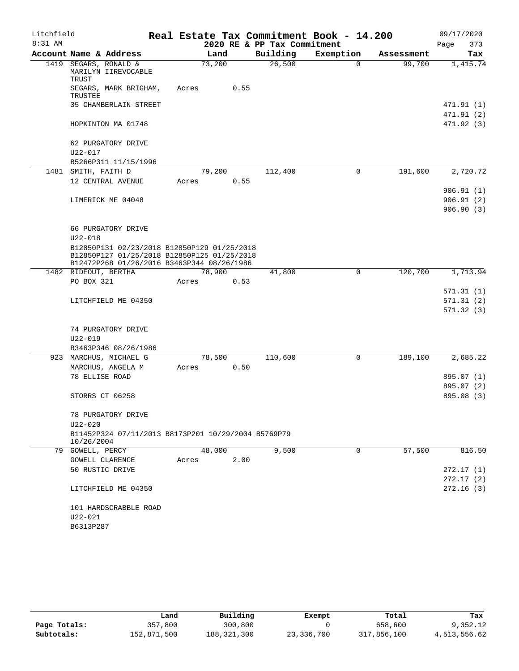| Litchfield |                     |                                                                                           |       |        |      |                             | Real Estate Tax Commitment Book - 14.200 |            | 09/17/2020             |
|------------|---------------------|-------------------------------------------------------------------------------------------|-------|--------|------|-----------------------------|------------------------------------------|------------|------------------------|
| $8:31$ AM  |                     |                                                                                           |       |        |      | 2020 RE & PP Tax Commitment |                                          |            | 373<br>Page            |
|            |                     | Account Name & Address                                                                    |       | Land   |      | Building                    | Exemption                                | Assessment | Tax                    |
|            | TRUST               | 1419 SEGARS, RONALD &<br>MARILYN IIREVOCABLE                                              |       | 73,200 |      | 26,500                      | $\Omega$                                 | 99,700     | 1,415.74               |
|            | TRUSTEE             | SEGARS, MARK BRIGHAM,                                                                     | Acres |        | 0.55 |                             |                                          |            |                        |
|            |                     | 35 CHAMBERLAIN STREET                                                                     |       |        |      |                             |                                          |            | 471.91 (1)             |
|            |                     |                                                                                           |       |        |      |                             |                                          |            | 471.91 (2)             |
|            |                     | HOPKINTON MA 01748                                                                        |       |        |      |                             |                                          |            | 471.92(3)              |
|            |                     | 62 PURGATORY DRIVE                                                                        |       |        |      |                             |                                          |            |                        |
|            | $U22 - 017$         |                                                                                           |       |        |      |                             |                                          |            |                        |
|            | 1481 SMITH, FAITH D | B5266P311 11/15/1996                                                                      |       | 79,200 |      | 112,400                     | 0                                        | 191,600    | 2,720.72               |
|            |                     | 12 CENTRAL AVENUE                                                                         | Acres |        | 0.55 |                             |                                          |            |                        |
|            |                     |                                                                                           |       |        |      |                             |                                          |            |                        |
|            |                     |                                                                                           |       |        |      |                             |                                          |            | 906.91(1)<br>906.91(2) |
|            |                     | LIMERICK ME 04048                                                                         |       |        |      |                             |                                          |            |                        |
|            |                     |                                                                                           |       |        |      |                             |                                          |            | 906.90(3)              |
|            |                     | 66 PURGATORY DRIVE                                                                        |       |        |      |                             |                                          |            |                        |
|            | $U22 - 018$         |                                                                                           |       |        |      |                             |                                          |            |                        |
|            |                     | B12850P131 02/23/2018 B12850P129 01/25/2018                                               |       |        |      |                             |                                          |            |                        |
|            |                     | B12850P127 01/25/2018 B12850P125 01/25/2018<br>B12472P268 01/26/2016 B3463P344 08/26/1986 |       |        |      |                             |                                          |            |                        |
|            |                     | 1482 RIDEOUT, BERTHA                                                                      |       | 78,900 |      | 41,800                      | $\mathbf 0$                              | 120,700    | 1,713.94               |
|            | PO BOX 321          |                                                                                           | Acres |        | 0.53 |                             |                                          |            |                        |
|            |                     |                                                                                           |       |        |      |                             |                                          |            | 571.31(1)              |
|            |                     | LITCHFIELD ME 04350                                                                       |       |        |      |                             |                                          |            | 571.31(2)              |
|            |                     |                                                                                           |       |        |      |                             |                                          |            | 571.32(3)              |
|            |                     |                                                                                           |       |        |      |                             |                                          |            |                        |
|            |                     | 74 PURGATORY DRIVE                                                                        |       |        |      |                             |                                          |            |                        |
|            | $U22 - 019$         |                                                                                           |       |        |      |                             |                                          |            |                        |
|            |                     | B3463P346 08/26/1986                                                                      |       |        |      |                             |                                          |            |                        |
|            |                     | 923 MARCHUS, MICHAEL G                                                                    |       | 78,500 |      | 110,600                     | $\mathbf 0$                              | 189,100    | 2,685.22               |
|            |                     | MARCHUS, ANGELA M                                                                         | Acres |        | 0.50 |                             |                                          |            |                        |
|            | 78 ELLISE ROAD      |                                                                                           |       |        |      |                             |                                          |            | 895.07 (1)             |
|            |                     |                                                                                           |       |        |      |                             |                                          |            | 895.07 (2)             |
|            |                     | STORRS CT 06258                                                                           |       |        |      |                             |                                          |            | 895.08 (3)             |
|            |                     |                                                                                           |       |        |      |                             |                                          |            |                        |
|            | $U22 - 020$         | 78 PURGATORY DRIVE                                                                        |       |        |      |                             |                                          |            |                        |
|            |                     | B11452P324 07/11/2013 B8173P201 10/29/2004 B5769P79                                       |       |        |      |                             |                                          |            |                        |
|            | 10/26/2004          |                                                                                           |       |        |      |                             |                                          |            |                        |
|            | 79 GOWELL, PERCY    |                                                                                           |       | 48,000 |      | 9,500                       | $\Omega$                                 | 57,500     | 816.50                 |
|            |                     | GOWELL CLARENCE                                                                           | Acres |        | 2.00 |                             |                                          |            |                        |
|            |                     | 50 RUSTIC DRIVE                                                                           |       |        |      |                             |                                          |            | 272.17(1)              |
|            |                     |                                                                                           |       |        |      |                             |                                          |            | 272.17(2)              |
|            |                     | LITCHFIELD ME 04350                                                                       |       |        |      |                             |                                          |            | 272.16(3)              |
|            |                     | 101 HARDSCRABBLE ROAD                                                                     |       |        |      |                             |                                          |            |                        |
|            | U22-021             |                                                                                           |       |        |      |                             |                                          |            |                        |
|            | B6313P287           |                                                                                           |       |        |      |                             |                                          |            |                        |
|            |                     |                                                                                           |       |        |      |                             |                                          |            |                        |

|              | Land        | Building      | Exempt     | Total       | Tax          |
|--------------|-------------|---------------|------------|-------------|--------------|
| Page Totals: | 357,800     | 300,800       |            | 658,600     | 9,352.12     |
| Subtotals:   | 152,871,500 | 188, 321, 300 | 23,336,700 | 317,856,100 | 4,513,556.62 |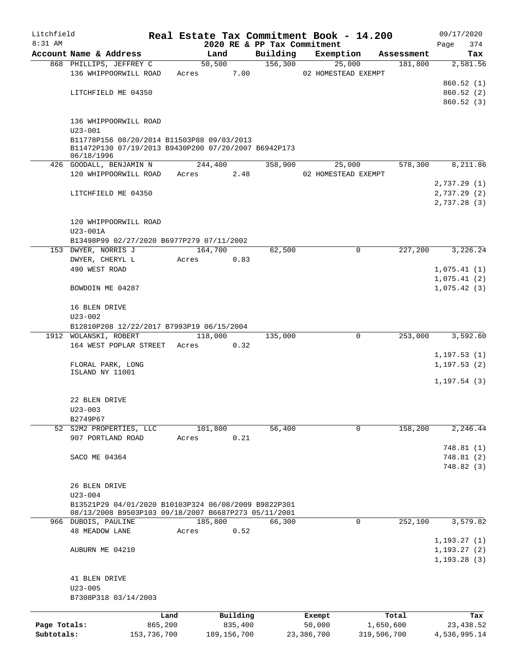| Litchfield   |                                                      |             |         |               |                                         | Real Estate Tax Commitment Book - 14.200 |             | 09/17/2020         |
|--------------|------------------------------------------------------|-------------|---------|---------------|-----------------------------------------|------------------------------------------|-------------|--------------------|
| $8:31$ AM    | Account Name & Address                               |             | Land    |               | 2020 RE & PP Tax Commitment<br>Building | Exemption                                | Assessment  | 374<br>Page<br>Tax |
|              | 868 PHILLIPS, JEFFREY C                              |             | 50,500  |               | 156,300                                 | 25,000                                   | 181,800     | 2,581.56           |
|              | 136 WHIPPOORWILL ROAD                                |             | Acres   | 7.00          |                                         | 02 HOMESTEAD EXEMPT                      |             |                    |
|              |                                                      |             |         |               |                                         |                                          |             | 860.52(1)          |
|              | LITCHFIELD ME 04350                                  |             |         |               |                                         |                                          |             | 860.52 (2)         |
|              |                                                      |             |         |               |                                         |                                          |             | 860.52(3)          |
|              |                                                      |             |         |               |                                         |                                          |             |                    |
|              | 136 WHIPPOORWILL ROAD                                |             |         |               |                                         |                                          |             |                    |
|              | $U23 - 001$                                          |             |         |               |                                         |                                          |             |                    |
|              | B11778P156 08/20/2014 B11503P88 09/03/2013           |             |         |               |                                         |                                          |             |                    |
|              | B11472P130 07/19/2013 B9430P200 07/20/2007 B6942P173 |             |         |               |                                         |                                          |             |                    |
|              | 06/18/1996                                           |             |         |               |                                         |                                          |             |                    |
|              | 426 GOODALL, BENJAMIN N                              |             | 244,400 |               | 358,900                                 | 25,000                                   | 578,300     | 8,211.86           |
|              | 120 WHIPPOORWILL ROAD                                |             | Acres   | 2.48          |                                         | 02 HOMESTEAD EXEMPT                      |             |                    |
|              |                                                      |             |         |               |                                         |                                          |             | 2,737.29 (1)       |
|              | LITCHFIELD ME 04350                                  |             |         |               |                                         |                                          |             | 2,737.29(2)        |
|              |                                                      |             |         |               |                                         |                                          |             | 2,737.28(3)        |
|              |                                                      |             |         |               |                                         |                                          |             |                    |
|              | 120 WHIPPOORWILL ROAD                                |             |         |               |                                         |                                          |             |                    |
|              | U23-001A                                             |             |         |               |                                         |                                          |             |                    |
|              | B13498P99 02/27/2020 B6977P279 07/11/2002            |             |         |               |                                         |                                          |             |                    |
|              | 153 DWYER, NORRIS J                                  |             | 164,700 |               | 62,500                                  | 0                                        | 227,200     | 3,226.24           |
|              | DWYER, CHERYL L                                      |             | Acres   | 0.83          |                                         |                                          |             |                    |
|              | 490 WEST ROAD                                        |             |         |               |                                         |                                          |             | 1,075.41(1)        |
|              |                                                      |             |         |               |                                         |                                          |             | 1,075.41(2)        |
|              | BOWDOIN ME 04287                                     |             |         |               |                                         |                                          |             | 1,075.42(3)        |
|              |                                                      |             |         |               |                                         |                                          |             |                    |
|              | 16 BLEN DRIVE                                        |             |         |               |                                         |                                          |             |                    |
|              | $U23 - 002$                                          |             |         |               |                                         |                                          |             |                    |
|              | B12810P208 12/22/2017 B7993P19 06/15/2004            |             |         |               |                                         |                                          |             |                    |
|              | 1912 WOLANSKI, ROBERT                                |             | 118,000 |               | 135,000                                 | $\mathbf 0$                              | 253,000     | 3,592.60           |
|              | 164 WEST POPLAR STREET                               |             | Acres   | 0.32          |                                         |                                          |             |                    |
|              |                                                      |             |         |               |                                         |                                          |             | 1, 197.53(1)       |
|              | FLORAL PARK, LONG<br>ISLAND NY 11001                 |             |         |               |                                         |                                          |             | 1, 197.53(2)       |
|              |                                                      |             |         |               |                                         |                                          |             | 1, 197.54(3)       |
|              |                                                      |             |         |               |                                         |                                          |             |                    |
|              | 22 BLEN DRIVE                                        |             |         |               |                                         |                                          |             |                    |
|              | $U23 - 003$                                          |             |         |               |                                         |                                          |             |                    |
|              | B2749P67                                             |             |         |               |                                         |                                          |             |                    |
|              | 52 S2M2 PROPERTIES, LLC                              |             | 101,800 |               | 56,400                                  | 0                                        | 158,200     | 2,246.44           |
|              | 907 PORTLAND ROAD                                    |             | Acres   | 0.21          |                                         |                                          |             |                    |
|              |                                                      |             |         |               |                                         |                                          |             | 748.81 (1)         |
|              | SACO ME 04364                                        |             |         |               |                                         |                                          |             | 748.81 (2)         |
|              |                                                      |             |         |               |                                         |                                          |             | 748.82 (3)         |
|              |                                                      |             |         |               |                                         |                                          |             |                    |
|              | 26 BLEN DRIVE                                        |             |         |               |                                         |                                          |             |                    |
|              | $U23 - 004$                                          |             |         |               |                                         |                                          |             |                    |
|              | B13521P29 04/01/2020 B10103P324 06/08/2009 B9822P301 |             |         |               |                                         |                                          |             |                    |
|              | 08/13/2008 B9503P103 09/18/2007 B6687P273 05/11/2001 |             |         |               |                                         |                                          |             |                    |
|              | 966 DUBOIS, PAULINE                                  |             | 185,800 |               | 66,300                                  | 0                                        | 252,100     | 3,579.82           |
|              | <b>48 MEADOW LANE</b>                                |             | Acres   | 0.52          |                                         |                                          |             |                    |
|              |                                                      |             |         |               |                                         |                                          |             | 1, 193.27(1)       |
|              | AUBURN ME 04210                                      |             |         |               |                                         |                                          |             | 1, 193.27(2)       |
|              |                                                      |             |         |               |                                         |                                          |             | 1, 193.28(3)       |
|              |                                                      |             |         |               |                                         |                                          |             |                    |
|              | 41 BLEN DRIVE                                        |             |         |               |                                         |                                          |             |                    |
|              | $U23 - 005$                                          |             |         |               |                                         |                                          |             |                    |
|              | B7308P318 03/14/2003                                 |             |         |               |                                         |                                          |             |                    |
|              |                                                      |             |         |               |                                         |                                          |             |                    |
|              |                                                      | Land        |         | Building      |                                         | Exempt                                   | Total       | Tax                |
| Page Totals: |                                                      | 865,200     |         | 835,400       |                                         | 50,000                                   | 1,650,600   | 23, 438.52         |
| Subtotals:   |                                                      | 153,736,700 |         | 189, 156, 700 |                                         | 23,386,700                               | 319,506,700 | 4,536,995.14       |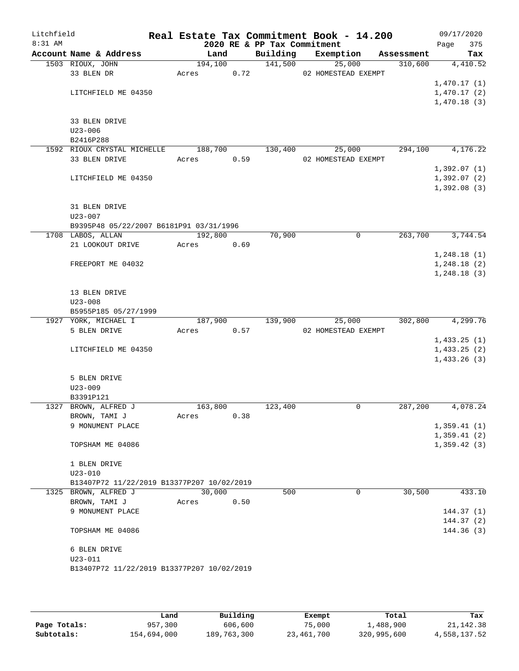| Litchfield<br>8:31 AM |                                            |         |      | 2020 RE & PP Tax Commitment | Real Estate Tax Commitment Book - 14.200 |            | 09/17/2020<br>375<br>Page |
|-----------------------|--------------------------------------------|---------|------|-----------------------------|------------------------------------------|------------|---------------------------|
|                       | Account Name & Address                     | Land    |      | Building                    | Exemption                                | Assessment | Tax                       |
|                       | 1503 RIOUX, JOHN                           | 194,100 |      | 141,500                     | 25,000                                   | 310,600    | 4,410.52                  |
|                       | 33 BLEN DR                                 | Acres   | 0.72 |                             | 02 HOMESTEAD EXEMPT                      |            |                           |
|                       |                                            |         |      |                             |                                          |            | 1,470.17(1)               |
|                       | LITCHFIELD ME 04350                        |         |      |                             |                                          |            | 1,470.17(2)               |
|                       |                                            |         |      |                             |                                          |            | 1,470.18(3)               |
|                       |                                            |         |      |                             |                                          |            |                           |
|                       | 33 BLEN DRIVE                              |         |      |                             |                                          |            |                           |
|                       | $U23 - 006$                                |         |      |                             |                                          |            |                           |
|                       | B2416P288                                  |         |      |                             |                                          |            |                           |
|                       | 1592 RIOUX CRYSTAL MICHELLE                | 188,700 |      | 130,400                     | 25,000                                   | 294,100    | 4,176.22                  |
|                       | 33 BLEN DRIVE                              | Acres   | 0.59 |                             | 02 HOMESTEAD EXEMPT                      |            |                           |
|                       |                                            |         |      |                             |                                          |            | 1,392.07(1)               |
|                       | LITCHFIELD ME 04350                        |         |      |                             |                                          |            | 1,392.07(2)               |
|                       |                                            |         |      |                             |                                          |            | 1,392.08(3)               |
|                       | 31 BLEN DRIVE                              |         |      |                             |                                          |            |                           |
|                       | $U23 - 007$                                |         |      |                             |                                          |            |                           |
|                       | B9395P48 05/22/2007 B6181P91 03/31/1996    |         |      |                             |                                          |            |                           |
|                       | 1708 LABOS, ALLAN                          | 192,800 |      | 70,900                      | $\mathbf 0$                              | 263,700    | 3,744.54                  |
|                       | 21 LOOKOUT DRIVE                           | Acres   | 0.69 |                             |                                          |            |                           |
|                       |                                            |         |      |                             |                                          |            | 1,248.18(1)               |
|                       | FREEPORT ME 04032                          |         |      |                             |                                          |            | 1,248.18(2)               |
|                       |                                            |         |      |                             |                                          |            | 1, 248.18(3)              |
|                       |                                            |         |      |                             |                                          |            |                           |
|                       | 13 BLEN DRIVE                              |         |      |                             |                                          |            |                           |
|                       | $U23 - 008$                                |         |      |                             |                                          |            |                           |
|                       | B5955P185 05/27/1999                       |         |      |                             |                                          |            |                           |
|                       | 1927 YORK, MICHAEL I                       | 187,900 |      | 139,900                     | 25,000                                   | 302,800    | 4,299.76                  |
|                       | 5 BLEN DRIVE                               | Acres   | 0.57 |                             | 02 HOMESTEAD EXEMPT                      |            |                           |
|                       |                                            |         |      |                             |                                          |            | 1,433.25(1)               |
|                       | LITCHFIELD ME 04350                        |         |      |                             |                                          |            | 1,433.25(2)               |
|                       |                                            |         |      |                             |                                          |            | 1,433.26(3)               |
|                       |                                            |         |      |                             |                                          |            |                           |
|                       | 5 BLEN DRIVE                               |         |      |                             |                                          |            |                           |
|                       | $U23 - 009$                                |         |      |                             |                                          |            |                           |
|                       | B3391P121                                  |         |      |                             |                                          |            |                           |
|                       | 1327 BROWN, ALFRED J                       | 163,800 |      | 123,400                     | 0                                        | 287,200    | 4,078.24                  |
|                       | BROWN, TAMI J                              | Acres   | 0.38 |                             |                                          |            |                           |
|                       | 9 MONUMENT PLACE                           |         |      |                             |                                          |            | 1,359.41(1)               |
|                       |                                            |         |      |                             |                                          |            | 1,359.41(2)               |
|                       | TOPSHAM ME 04086                           |         |      |                             |                                          |            | 1,359.42(3)               |
|                       | 1 BLEN DRIVE                               |         |      |                             |                                          |            |                           |
|                       | $U23 - 010$                                |         |      |                             |                                          |            |                           |
|                       | B13407P72 11/22/2019 B13377P207 10/02/2019 |         |      |                             |                                          |            |                           |
|                       | 1325 BROWN, ALFRED J                       | 30,000  |      | 500                         | 0                                        | 30,500     | 433.10                    |
|                       | BROWN, TAMI J                              | Acres   | 0.50 |                             |                                          |            |                           |
|                       | 9 MONUMENT PLACE                           |         |      |                             |                                          |            | 144.37(1)                 |
|                       |                                            |         |      |                             |                                          |            | 144.37(2)                 |
|                       | TOPSHAM ME 04086                           |         |      |                             |                                          |            | 144.36(3)                 |
|                       |                                            |         |      |                             |                                          |            |                           |
|                       | 6 BLEN DRIVE                               |         |      |                             |                                          |            |                           |
|                       | $U23 - 011$                                |         |      |                             |                                          |            |                           |
|                       | B13407P72 11/22/2019 B13377P207 10/02/2019 |         |      |                             |                                          |            |                           |
|                       |                                            |         |      |                             |                                          |            |                           |
|                       |                                            |         |      |                             |                                          |            |                           |

|              | Land        | Building    | Exempt     | Total       | Tax          |
|--------------|-------------|-------------|------------|-------------|--------------|
| Page Totals: | 957,300     | 606,600     | 75,000     | 1,488,900   | 21, 142. 38  |
| Subtotals:   | 154,694,000 | 189,763,300 | 23,461,700 | 320,995,600 | 4,558,137.52 |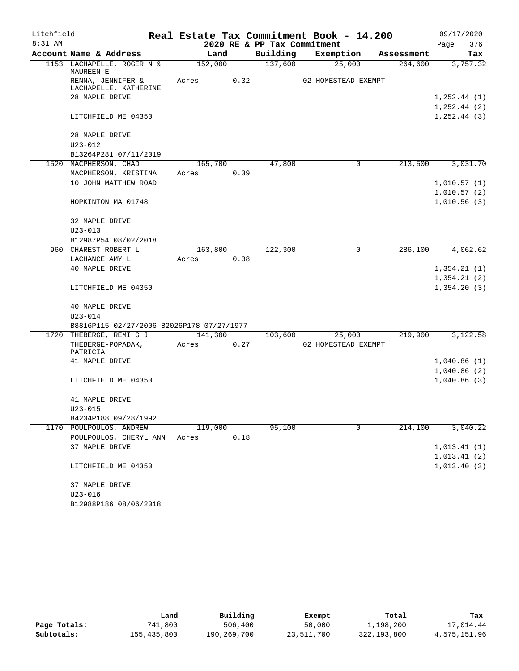| Litchfield |                                            |         |      |                             | Real Estate Tax Commitment Book - 14.200 |            | 09/17/2020      |  |  |
|------------|--------------------------------------------|---------|------|-----------------------------|------------------------------------------|------------|-----------------|--|--|
| 8:31 AM    |                                            |         |      | 2020 RE & PP Tax Commitment |                                          |            | 376<br>Page     |  |  |
|            | Account Name & Address                     | Land    |      | Building                    | Exemption                                | Assessment | Tax             |  |  |
|            | 1153 LACHAPELLE, ROGER N &<br>MAUREEN E    | 152,000 |      | 137,600                     | 25,000                                   | 264,600    | 3,757.32        |  |  |
|            | RENNA, JENNIFER &<br>LACHAPELLE, KATHERINE | Acres   | 0.32 |                             | 02 HOMESTEAD EXEMPT                      |            |                 |  |  |
|            | 28 MAPLE DRIVE                             |         |      |                             |                                          |            | 1, 252.44(1)    |  |  |
|            |                                            |         |      |                             |                                          |            | $1, 252.44$ (2) |  |  |
|            | LITCHFIELD ME 04350                        |         |      |                             |                                          |            | 1, 252.44(3)    |  |  |
|            | 28 MAPLE DRIVE                             |         |      |                             |                                          |            |                 |  |  |
|            | $U23 - 012$                                |         |      |                             |                                          |            |                 |  |  |
|            | B13264P281 07/11/2019                      |         |      |                             |                                          |            |                 |  |  |
|            | 1520 MACPHERSON, CHAD                      | 165,700 |      | 47,800                      | $\mathbf 0$                              | 213,500    | 3,031.70        |  |  |
|            | MACPHERSON, KRISTINA                       | Acres   | 0.39 |                             |                                          |            |                 |  |  |
|            | 10 JOHN MATTHEW ROAD                       |         |      |                             |                                          |            | 1,010.57(1)     |  |  |
|            |                                            |         |      |                             |                                          |            | 1,010.57(2)     |  |  |
|            | HOPKINTON MA 01748                         |         |      |                             |                                          |            | 1,010.56(3)     |  |  |
|            | 32 MAPLE DRIVE                             |         |      |                             |                                          |            |                 |  |  |
|            | $U23 - 013$                                |         |      |                             |                                          |            |                 |  |  |
|            | B12987P54 08/02/2018                       |         |      |                             |                                          |            |                 |  |  |
|            | 960 CHAREST ROBERT L                       | 163,800 |      | 122,300                     | 0                                        | 286,100    | 4,062.62        |  |  |
|            | LACHANCE AMY L                             | Acres   | 0.38 |                             |                                          |            |                 |  |  |
|            | 40 MAPLE DRIVE                             |         |      |                             |                                          |            | 1,354.21(1)     |  |  |
|            |                                            |         |      |                             |                                          |            | 1,354.21(2)     |  |  |
|            | LITCHFIELD ME 04350                        |         |      |                             |                                          |            | 1,354.20(3)     |  |  |
|            | 40 MAPLE DRIVE                             |         |      |                             |                                          |            |                 |  |  |
|            | $U23 - 014$                                |         |      |                             |                                          |            |                 |  |  |
|            | B8816P115 02/27/2006 B2026P178 07/27/1977  |         |      |                             |                                          |            |                 |  |  |
|            | 1720 THEBERGE, REMI G J                    | 141,300 |      | 103,600                     | 25,000                                   | 219,900    | 3,122.58        |  |  |
|            | THEBERGE-POPADAK,<br>PATRICIA              | Acres   | 0.27 |                             | 02 HOMESTEAD EXEMPT                      |            |                 |  |  |
|            | 41 MAPLE DRIVE                             |         |      |                             |                                          |            | 1,040.86(1)     |  |  |
|            |                                            |         |      |                             |                                          |            | 1,040.86(2)     |  |  |
|            | LITCHFIELD ME 04350                        |         |      |                             |                                          |            | 1,040.86(3)     |  |  |
|            | 41 MAPLE DRIVE                             |         |      |                             |                                          |            |                 |  |  |
|            | $U23 - 015$                                |         |      |                             |                                          |            |                 |  |  |
|            | B4234P188 09/28/1992                       |         |      |                             |                                          |            |                 |  |  |
|            | 1170 POULPOULOS, ANDREW                    | 119,000 |      | 95,100                      | 0                                        | 214,100    | 3,040.22        |  |  |
|            | POULPOULOS, CHERYL ANN                     | Acres   | 0.18 |                             |                                          |            |                 |  |  |
|            | 37 MAPLE DRIVE                             |         |      |                             |                                          |            | 1,013.41(1)     |  |  |
|            |                                            |         |      |                             |                                          |            | 1,013.41(2)     |  |  |
|            | LITCHFIELD ME 04350                        |         |      |                             |                                          |            | 1,013.40(3)     |  |  |
|            | 37 MAPLE DRIVE                             |         |      |                             |                                          |            |                 |  |  |
|            | $U23 - 016$                                |         |      |                             |                                          |            |                 |  |  |
|            | B12988P186 08/06/2018                      |         |      |                             |                                          |            |                 |  |  |

|              | Land        | Building    | Exempt     | Total       | Tax          |
|--------------|-------------|-------------|------------|-------------|--------------|
| Page Totals: | 741,800     | 506,400     | 50,000     | 1,198,200   | 17,014.44    |
| Subtotals:   | 155,435,800 | 190,269,700 | 23,511,700 | 322,193,800 | 4,575,151.96 |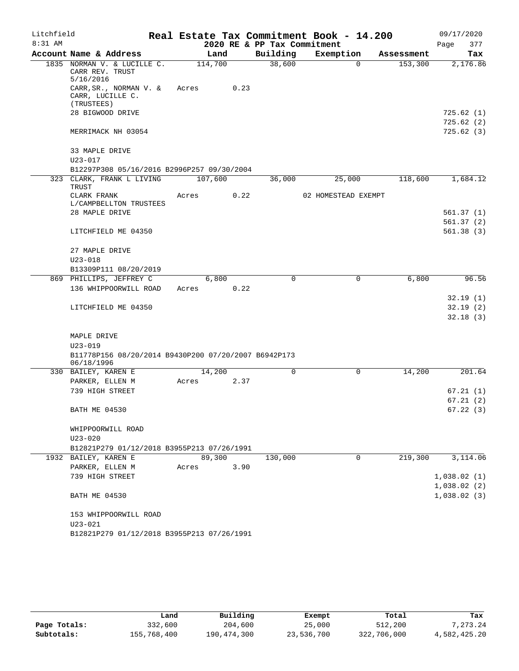| Litchfield |                                                                    |       |         |                             | Real Estate Tax Commitment Book - 14.200 |                |            |             | 09/17/2020             |
|------------|--------------------------------------------------------------------|-------|---------|-----------------------------|------------------------------------------|----------------|------------|-------------|------------------------|
| $8:31$ AM  |                                                                    |       |         | 2020 RE & PP Tax Commitment |                                          |                |            | Page        | 377                    |
|            | Account Name & Address                                             |       | Land    | Building                    | Exemption                                |                | Assessment |             | Tax                    |
|            | 1835 NORMAN V. & LUCILLE C.<br>CARR REV. TRUST<br>5/16/2016        |       | 114,700 | 38,600                      |                                          | $\Omega$       | 153,300    |             | 2,176.86               |
|            | CARR, SR., NORMAN V. &<br>CARR, LUCILLE C.                         | Acres | 0.23    |                             |                                          |                |            |             |                        |
|            | (TRUSTEES)<br>28 BIGWOOD DRIVE                                     |       |         |                             |                                          |                |            |             | 725.62(1)              |
|            |                                                                    |       |         |                             |                                          |                |            |             | 725.62(2)              |
|            | MERRIMACK NH 03054                                                 |       |         |                             |                                          |                |            |             | 725.62(3)              |
|            | 33 MAPLE DRIVE<br>$U23 - 017$                                      |       |         |                             |                                          |                |            |             |                        |
|            | B12297P308 05/16/2016 B2996P257 09/30/2004                         |       |         |                             |                                          |                |            |             |                        |
|            | 323 CLARK, FRANK L LIVING<br>TRUST                                 |       | 107,600 | 36,000                      | 25,000                                   |                | 118,600    |             | 1,684.12               |
|            | CLARK FRANK<br>L/CAMPBELLTON TRUSTEES                              | Acres | 0.22    |                             | 02 HOMESTEAD EXEMPT                      |                |            |             |                        |
|            | 28 MAPLE DRIVE                                                     |       |         |                             |                                          |                |            |             | 561.37 (1)             |
|            | LITCHFIELD ME 04350                                                |       |         |                             |                                          |                |            |             | 561.37(2)<br>561.38(3) |
|            |                                                                    |       |         |                             |                                          |                |            |             |                        |
|            | 27 MAPLE DRIVE                                                     |       |         |                             |                                          |                |            |             |                        |
|            | $U23 - 018$                                                        |       |         |                             |                                          |                |            |             |                        |
|            | B13309P111 08/20/2019                                              |       |         |                             |                                          |                |            |             |                        |
|            | 869 PHILLIPS, JEFFREY C                                            |       | 6,800   | $\Omega$                    |                                          | $\Omega$       | 6,800      |             | 96.56                  |
|            | 136 WHIPPOORWILL ROAD                                              | Acres | 0.22    |                             |                                          |                |            |             |                        |
|            |                                                                    |       |         |                             |                                          |                |            |             | 32.19(1)               |
|            | LITCHFIELD ME 04350                                                |       |         |                             |                                          |                |            |             | 32.19(2)               |
|            |                                                                    |       |         |                             |                                          |                |            |             | 32.18(3)               |
|            | MAPLE DRIVE                                                        |       |         |                             |                                          |                |            |             |                        |
|            | $U23 - 019$                                                        |       |         |                             |                                          |                |            |             |                        |
|            | B11778P156 08/20/2014 B9430P200 07/20/2007 B6942P173<br>06/18/1996 |       |         |                             |                                          |                |            |             |                        |
|            | 330 BAILEY, KAREN E                                                |       | 14,200  | $\Omega$                    |                                          | 0              | 14,200     |             | 201.64                 |
|            | PARKER, ELLEN M                                                    | Acres | 2.37    |                             |                                          |                |            |             |                        |
|            | 739 HIGH STREET                                                    |       |         |                             |                                          |                |            |             | 67.21(1)<br>67.21(2)   |
|            | BATH ME 04530                                                      |       |         |                             |                                          |                |            |             | 67.22(3)               |
|            | WHIPPOORWILL ROAD                                                  |       |         |                             |                                          |                |            |             |                        |
|            | U23-020                                                            |       |         |                             |                                          |                |            |             |                        |
|            | B12821P279 01/12/2018 B3955P213 07/26/1991                         |       |         |                             |                                          |                |            |             |                        |
|            | 1932 BAILEY, KAREN E                                               |       | 89,300  | 130,000                     |                                          | $\overline{0}$ | 219,300    |             | 3,114.06               |
|            | PARKER, ELLEN M                                                    | Acres | 3.90    |                             |                                          |                |            |             |                        |
|            | 739 HIGH STREET                                                    |       |         |                             |                                          |                |            | 1,038.02(1) |                        |
|            |                                                                    |       |         |                             |                                          |                |            | 1,038.02(2) |                        |
|            | <b>BATH ME 04530</b>                                               |       |         |                             |                                          |                |            | 1,038.02(3) |                        |
|            | 153 WHIPPOORWILL ROAD                                              |       |         |                             |                                          |                |            |             |                        |
|            | U23-021                                                            |       |         |                             |                                          |                |            |             |                        |
|            | B12821P279 01/12/2018 B3955P213 07/26/1991                         |       |         |                             |                                          |                |            |             |                        |

|              | Land        | Building    | Exempt     | Total       | Tax          |
|--------------|-------------|-------------|------------|-------------|--------------|
| Page Totals: | 332,600     | 204,600     | 25,000     | 512,200     | 7.273.24     |
| Subtotals:   | 155,768,400 | 190,474,300 | 23,536,700 | 322,706,000 | 4,582,425.20 |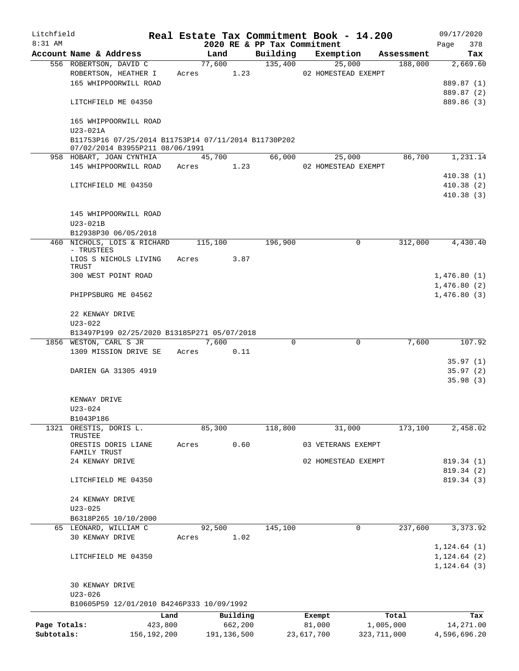| Litchfield   |                                                                                         |       |                |               |                             | Real Estate Tax Commitment Book - 14.200 |            |      | 09/17/2020              |
|--------------|-----------------------------------------------------------------------------------------|-------|----------------|---------------|-----------------------------|------------------------------------------|------------|------|-------------------------|
| 8:31 AM      |                                                                                         |       |                |               | 2020 RE & PP Tax Commitment |                                          |            | Page | 378                     |
|              | Account Name & Address                                                                  |       | Land<br>77,600 |               | Building                    | Exemption                                | Assessment |      | Tax                     |
|              | 556 ROBERTSON, DAVID C<br>ROBERTSON, HEATHER I                                          |       | Acres 1.23     |               | 135,400                     | 25,000<br>02 HOMESTEAD EXEMPT            | 188,000    |      | 2,669.60                |
|              | 165 WHIPPOORWILL ROAD                                                                   |       |                |               |                             |                                          |            |      | 889.87 (1)              |
|              |                                                                                         |       |                |               |                             |                                          |            |      | 889.87 (2)              |
|              | LITCHFIELD ME 04350                                                                     |       |                |               |                             |                                          |            |      | 889.86 (3)              |
|              | 165 WHIPPOORWILL ROAD<br>$U23-021A$                                                     |       |                |               |                             |                                          |            |      |                         |
|              | B11753P16 07/25/2014 B11753P14 07/11/2014 B11730P202<br>07/02/2014 B3955P211 08/06/1991 |       |                |               |                             |                                          |            |      |                         |
|              | 958 HOBART, JOAN CYNTHIA                                                                |       | 45,700         |               | 66,000                      | 25,000                                   | 86,700     |      | 1,231.14                |
|              | 145 WHIPPOORWILL ROAD                                                                   |       | Acres          | 1.23          |                             | 02 HOMESTEAD EXEMPT                      |            |      |                         |
|              |                                                                                         |       |                |               |                             |                                          |            |      | 410.38(1)               |
|              | LITCHFIELD ME 04350                                                                     |       |                |               |                             |                                          |            |      | 410.38(2)               |
|              |                                                                                         |       |                |               |                             |                                          |            |      | 410.38(3)               |
|              |                                                                                         |       |                |               |                             |                                          |            |      |                         |
|              | 145 WHIPPOORWILL ROAD                                                                   |       |                |               |                             |                                          |            |      |                         |
|              | U23-021B                                                                                |       |                |               |                             |                                          |            |      |                         |
|              | B12938P30 06/05/2018                                                                    |       |                |               |                             |                                          |            |      |                         |
|              | 460 NICHOLS, LOIS & RICHARD<br>- TRUSTEES                                               |       | 115,100        |               | 196,900                     | $\mathbf 0$                              | 312,000    |      | 4,430.40                |
|              | LIOS S NICHOLS LIVING                                                                   | Acres |                | 3.87          |                             |                                          |            |      |                         |
|              | TRUST                                                                                   |       |                |               |                             |                                          |            |      |                         |
|              | 300 WEST POINT ROAD                                                                     |       |                |               |                             |                                          |            |      | 1,476.80(1)             |
|              |                                                                                         |       |                |               |                             |                                          |            |      | 1,476.80(2)             |
|              | PHIPPSBURG ME 04562                                                                     |       |                |               |                             |                                          |            |      | 1,476.80(3)             |
|              | 22 KENWAY DRIVE                                                                         |       |                |               |                             |                                          |            |      |                         |
|              | $U23 - 022$                                                                             |       |                |               |                             |                                          |            |      |                         |
|              | B13497P199 02/25/2020 B13185P271 05/07/2018                                             |       |                |               |                             |                                          |            |      |                         |
|              | 1856 WESTON, CARL S JR                                                                  |       | 7,600          |               | $\Omega$                    | $\mathbf 0$                              | 7,600      |      | 107.92                  |
|              | 1309 MISSION DRIVE SE                                                                   | Acres |                | 0.11          |                             |                                          |            |      |                         |
|              |                                                                                         |       |                |               |                             |                                          |            |      | 35.97(1)                |
|              | DARIEN GA 31305 4919                                                                    |       |                |               |                             |                                          |            |      | 35.97(2)                |
|              |                                                                                         |       |                |               |                             |                                          |            |      | 35.98(3)                |
|              |                                                                                         |       |                |               |                             |                                          |            |      |                         |
|              | KENWAY DRIVE                                                                            |       |                |               |                             |                                          |            |      |                         |
|              | U23-024<br>B1043P186                                                                    |       |                |               |                             |                                          |            |      |                         |
| 1321         | ORESTIS, DORIS L.                                                                       |       | 85,300         |               | 118,800                     | 31,000                                   | 173,100    |      | 2,458.02                |
|              | TRUSTEE                                                                                 |       |                |               |                             |                                          |            |      |                         |
|              | ORESTIS DORIS LIANE                                                                     | Acres |                | 0.60          |                             | 03 VETERANS EXEMPT                       |            |      |                         |
|              | FAMILY TRUST                                                                            |       |                |               |                             |                                          |            |      |                         |
|              | 24 KENWAY DRIVE                                                                         |       |                |               |                             | 02 HOMESTEAD EXEMPT                      |            |      | 819.34 (1)<br>819.34(2) |
|              | LITCHFIELD ME 04350                                                                     |       |                |               |                             |                                          |            |      | 819.34 (3)              |
|              |                                                                                         |       |                |               |                             |                                          |            |      |                         |
|              | 24 KENWAY DRIVE                                                                         |       |                |               |                             |                                          |            |      |                         |
|              | $U23 - 025$                                                                             |       |                |               |                             |                                          |            |      |                         |
|              | B6318P265 10/10/2000                                                                    |       |                |               |                             |                                          |            |      |                         |
|              | 65 LEONARD, WILLIAM C                                                                   |       | 92,500         |               | 145,100                     | 0                                        | 237,600    |      | 3,373.92                |
|              | 30 KENWAY DRIVE                                                                         | Acres |                | 1.02          |                             |                                          |            |      |                         |
|              |                                                                                         |       |                |               |                             |                                          |            |      | 1, 124.64(1)            |
|              | LITCHFIELD ME 04350                                                                     |       |                |               |                             |                                          |            |      | 1, 124.64(2)            |
|              |                                                                                         |       |                |               |                             |                                          |            |      | 1, 124.64(3)            |
|              |                                                                                         |       |                |               |                             |                                          |            |      |                         |
|              | 30 KENWAY DRIVE<br>$U23 - 026$                                                          |       |                |               |                             |                                          |            |      |                         |
|              | B10605P59 12/01/2010 B4246P333 10/09/1992                                               |       |                |               |                             |                                          |            |      |                         |
|              |                                                                                         | Land  |                | Building      |                             | Exempt                                   | Total      |      | Tax                     |
| Page Totals: | 423,800                                                                                 |       |                | 662,200       |                             | 81,000                                   | 1,005,000  |      | 14,271.00               |
| Subtotals:   | 156, 192, 200                                                                           |       |                | 191, 136, 500 |                             | 323, 711, 000<br>23,617,700              |            |      | 4,596,696.20            |
|              |                                                                                         |       |                |               |                             |                                          |            |      |                         |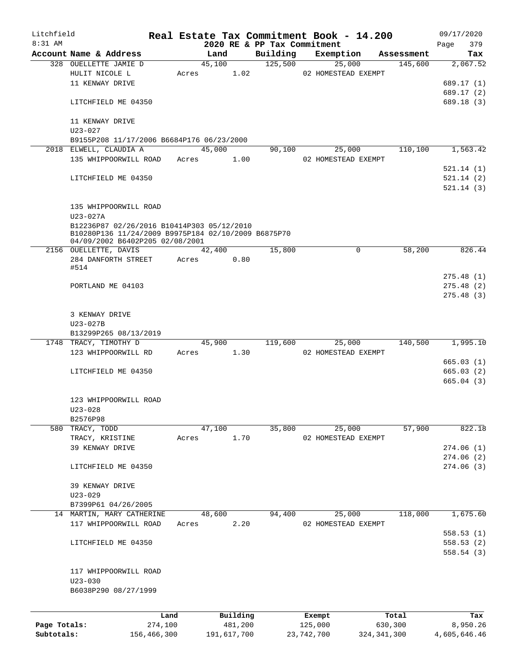| Litchfield   |                                                                                        |         |               |                                         | Real Estate Tax Commitment Book - 14.200 |                       | 09/17/2020      |
|--------------|----------------------------------------------------------------------------------------|---------|---------------|-----------------------------------------|------------------------------------------|-----------------------|-----------------|
| 8:31 AM      | Account Name & Address                                                                 |         | Land          | 2020 RE & PP Tax Commitment<br>Building |                                          |                       | 379<br>Page     |
|              | 328 OUELLETTE JAMIE D                                                                  |         | 45,100        | 125,500                                 | Exemption<br>25,000                      | Assessment<br>145,600 | Tax<br>2,067.52 |
|              | HULIT NICOLE L                                                                         | Acres   | 1.02          |                                         | 02 HOMESTEAD EXEMPT                      |                       |                 |
|              | 11 KENWAY DRIVE                                                                        |         |               |                                         |                                          |                       | 689.17 (1)      |
|              |                                                                                        |         |               |                                         |                                          |                       | 689.17 (2)      |
|              | LITCHFIELD ME 04350                                                                    |         |               |                                         |                                          |                       | 689.18 (3)      |
|              | 11 KENWAY DRIVE                                                                        |         |               |                                         |                                          |                       |                 |
|              | $U23 - 027$                                                                            |         |               |                                         |                                          |                       |                 |
|              | B9155P208 11/17/2006 B6684P176 06/23/2000                                              |         |               |                                         |                                          |                       |                 |
|              | 2018 ELWELL, CLAUDIA A                                                                 |         | 45,000        | 90,100                                  | 25,000                                   | 110,100               | 1,563.42        |
|              | 135 WHIPPOORWILL ROAD                                                                  |         | 1.00<br>Acres |                                         | 02 HOMESTEAD EXEMPT                      |                       |                 |
|              |                                                                                        |         |               |                                         |                                          |                       | 521.14 (1)      |
|              | LITCHFIELD ME 04350                                                                    |         |               |                                         |                                          |                       | 521.14(2)       |
|              |                                                                                        |         |               |                                         |                                          |                       | 521.14(3)       |
|              | 135 WHIPPOORWILL ROAD<br>$U23 - 027A$                                                  |         |               |                                         |                                          |                       |                 |
|              | B12236P87 02/26/2016 B10414P303 05/12/2010                                             |         |               |                                         |                                          |                       |                 |
|              | B10280P136 11/24/2009 B9975P184 02/10/2009 B6875P70<br>04/09/2002 B6402P205 02/08/2001 |         |               |                                         |                                          |                       |                 |
|              | 2156 OUELLETTE, DAVIS                                                                  |         | 42,400        | 15,800                                  | $\Omega$                                 | 58,200                | 826.44          |
|              | 284 DANFORTH STREET                                                                    | Acres   | 0.80          |                                         |                                          |                       |                 |
|              | #514                                                                                   |         |               |                                         |                                          |                       |                 |
|              |                                                                                        |         |               |                                         |                                          |                       | 275.48(1)       |
|              | PORTLAND ME 04103                                                                      |         |               |                                         |                                          |                       | 275.48(2)       |
|              |                                                                                        |         |               |                                         |                                          |                       | 275.48(3)       |
|              |                                                                                        |         |               |                                         |                                          |                       |                 |
|              | 3 KENWAY DRIVE                                                                         |         |               |                                         |                                          |                       |                 |
|              | $U23 - 027B$<br>B13299P265 08/13/2019                                                  |         |               |                                         |                                          |                       |                 |
|              | 1748 TRACY, TIMOTHY D                                                                  |         | 45,900        | 119,600                                 | 25,000                                   | 140,500               | 1,995.10        |
|              | 123 WHIPPOORWILL RD                                                                    |         | 1.30<br>Acres |                                         | 02 HOMESTEAD EXEMPT                      |                       |                 |
|              |                                                                                        |         |               |                                         |                                          |                       | 665.03(1)       |
|              | LITCHFIELD ME 04350                                                                    |         |               |                                         |                                          |                       | 665.03(2)       |
|              |                                                                                        |         |               |                                         |                                          |                       | 665.04(3)       |
|              |                                                                                        |         |               |                                         |                                          |                       |                 |
|              | 123 WHIPPOORWILL ROAD                                                                  |         |               |                                         |                                          |                       |                 |
|              | $U23 - 028$                                                                            |         |               |                                         |                                          |                       |                 |
|              | B2576P98                                                                               |         |               |                                         |                                          |                       |                 |
|              | 580 TRACY, TODD                                                                        |         | 47,100        | 35,800                                  | 25,000                                   | 57,900                | 822.18          |
|              | TRACY, KRISTINE                                                                        | Acres   | 1.70          |                                         | 02 HOMESTEAD EXEMPT                      |                       |                 |
|              | 39 KENWAY DRIVE                                                                        |         |               |                                         |                                          |                       | 274.06(1)       |
|              |                                                                                        |         |               |                                         |                                          |                       | 274.06(2)       |
|              | LITCHFIELD ME 04350                                                                    |         |               |                                         |                                          |                       | 274.06(3)       |
|              |                                                                                        |         |               |                                         |                                          |                       |                 |
|              | 39 KENWAY DRIVE                                                                        |         |               |                                         |                                          |                       |                 |
|              | $U23 - 029$                                                                            |         |               |                                         |                                          |                       |                 |
|              | B7399P61 04/26/2005                                                                    |         |               |                                         |                                          |                       |                 |
|              | 14 MARTIN, MARY CATHERINE                                                              |         | 48,600        | 94,400                                  | 25,000                                   | 118,000               | 1,675.60        |
|              | 117 WHIPPOORWILL ROAD                                                                  | Acres   | 2.20          |                                         | 02 HOMESTEAD EXEMPT                      |                       |                 |
|              |                                                                                        |         |               |                                         |                                          |                       | 558.53(1)       |
|              | LITCHFIELD ME 04350                                                                    |         |               |                                         |                                          |                       | 558.53(2)       |
|              |                                                                                        |         |               |                                         |                                          |                       | 558.54(3)       |
|              | 117 WHIPPOORWILL ROAD                                                                  |         |               |                                         |                                          |                       |                 |
|              | $U23 - 030$                                                                            |         |               |                                         |                                          |                       |                 |
|              | B6038P290 08/27/1999                                                                   |         |               |                                         |                                          |                       |                 |
|              |                                                                                        |         |               |                                         |                                          |                       |                 |
|              |                                                                                        |         |               |                                         |                                          |                       |                 |
|              |                                                                                        | Land    | Building      |                                         | Exempt                                   | Total                 | Tax             |
| Page Totals: |                                                                                        | 274,100 | 481,200       |                                         | 125,000                                  | 630,300               | 8,950.26        |

**Subtotals:** 156,466,300 191,617,700 23,742,700 324,341,300 4,605,646.46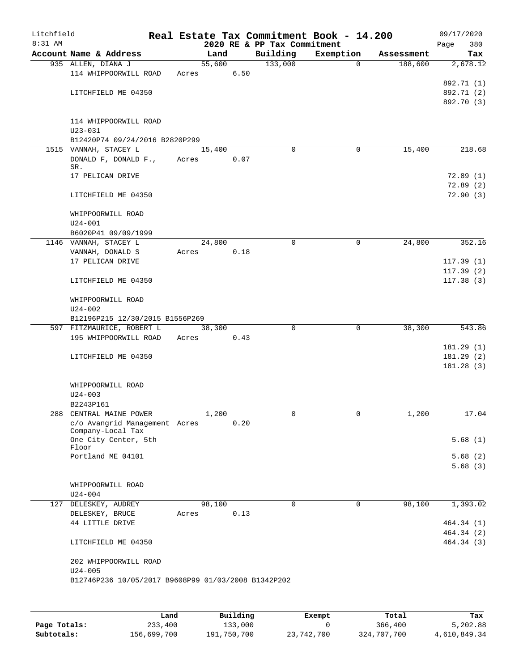| Litchfield<br>$8:31$ AM |                                                     |       |        |      | 2020 RE & PP Tax Commitment | Real Estate Tax Commitment Book - 14.200 |            | 09/17/2020<br>380<br>Page |
|-------------------------|-----------------------------------------------------|-------|--------|------|-----------------------------|------------------------------------------|------------|---------------------------|
|                         | Account Name & Address                              |       | Land   |      | Building                    | Exemption                                | Assessment | Tax                       |
|                         | 935 ALLEN, DIANA J                                  |       | 55,600 |      | 133,000                     | $\Omega$                                 | 188,600    | 2,678.12                  |
|                         | 114 WHIPPOORWILL ROAD                               | Acres |        | 6.50 |                             |                                          |            |                           |
|                         |                                                     |       |        |      |                             |                                          |            | 892.71 (1)                |
|                         | LITCHFIELD ME 04350                                 |       |        |      |                             |                                          |            | 892.71 (2)                |
|                         |                                                     |       |        |      |                             |                                          |            | 892.70 (3)                |
|                         | 114 WHIPPOORWILL ROAD                               |       |        |      |                             |                                          |            |                           |
|                         | $U23 - 031$                                         |       |        |      |                             |                                          |            |                           |
|                         | B12420P74 09/24/2016 B2820P299                      |       |        |      |                             |                                          |            |                           |
|                         | 1515 VANNAH, STACEY L                               |       | 15,400 |      | $\Omega$                    | 0                                        | 15,400     | 218.68                    |
|                         | DONALD F, DONALD F.,                                | Acres |        | 0.07 |                             |                                          |            |                           |
|                         | SR.<br>17 PELICAN DRIVE                             |       |        |      |                             |                                          |            | 72.89(1)                  |
|                         |                                                     |       |        |      |                             |                                          |            | 72.89(2)                  |
|                         | LITCHFIELD ME 04350                                 |       |        |      |                             |                                          |            | 72.90(3)                  |
|                         | WHIPPOORWILL ROAD                                   |       |        |      |                             |                                          |            |                           |
|                         | $U24 - 001$                                         |       |        |      |                             |                                          |            |                           |
|                         | B6020P41 09/09/1999<br>1146 VANNAH, STACEY L        |       | 24,800 |      | $\mathbf 0$                 | $\mathbf 0$                              | 24,800     | 352.16                    |
|                         | VANNAH, DONALD S                                    | Acres |        | 0.18 |                             |                                          |            |                           |
|                         | 17 PELICAN DRIVE                                    |       |        |      |                             |                                          |            | 117.39(1)                 |
|                         |                                                     |       |        |      |                             |                                          |            | 117.39(2)                 |
|                         | LITCHFIELD ME 04350                                 |       |        |      |                             |                                          |            | 117.38(3)                 |
|                         | WHIPPOORWILL ROAD                                   |       |        |      |                             |                                          |            |                           |
|                         | $U24 - 002$<br>B12196P215 12/30/2015 B1556P269      |       |        |      |                             |                                          |            |                           |
|                         | 597 FITZMAURICE, ROBERT L                           |       | 38,300 |      | 0                           | $\mathbf 0$                              | 38,300     | 543.86                    |
|                         | 195 WHIPPOORWILL ROAD                               | Acres |        | 0.43 |                             |                                          |            |                           |
|                         |                                                     |       |        |      |                             |                                          |            | 181.29(1)                 |
|                         | LITCHFIELD ME 04350                                 |       |        |      |                             |                                          |            | 181.29(2)                 |
|                         |                                                     |       |        |      |                             |                                          |            | 181.28(3)                 |
|                         | WHIPPOORWILL ROAD                                   |       |        |      |                             |                                          |            |                           |
|                         | $U24 - 003$                                         |       |        |      |                             |                                          |            |                           |
|                         | B2243P161                                           |       |        |      |                             |                                          |            |                           |
| 288                     | CENTRAL MAINE POWER                                 |       | 1,200  |      | 0                           | 0                                        | 1,200      | 17.04                     |
|                         | c/o Avangrid Management Acres                       |       |        | 0.20 |                             |                                          |            |                           |
|                         | Company-Local Tax<br>One City Center, 5th           |       |        |      |                             |                                          |            | 5.68(1)                   |
|                         | Floor                                               |       |        |      |                             |                                          |            |                           |
|                         | Portland ME 04101                                   |       |        |      |                             |                                          |            | 5.68(2)                   |
|                         |                                                     |       |        |      |                             |                                          |            | 5.68(3)                   |
|                         | WHIPPOORWILL ROAD                                   |       |        |      |                             |                                          |            |                           |
|                         | $U24 - 004$                                         |       |        |      |                             |                                          |            |                           |
|                         | 127 DELESKEY, AUDREY                                |       | 98,100 |      | 0                           | 0                                        | 98,100     | 1,393.02                  |
|                         | DELESKEY, BRUCE                                     | Acres |        | 0.13 |                             |                                          |            |                           |
|                         | 44 LITTLE DRIVE                                     |       |        |      |                             |                                          |            | 464.34 (1)                |
|                         |                                                     |       |        |      |                             |                                          |            | 464.34 (2)                |
|                         | LITCHFIELD ME 04350                                 |       |        |      |                             |                                          |            | 464.34(3)                 |
|                         | 202 WHIPPOORWILL ROAD                               |       |        |      |                             |                                          |            |                           |
|                         | $U24 - 005$                                         |       |        |      |                             |                                          |            |                           |
|                         | B12746P236 10/05/2017 B9608P99 01/03/2008 B1342P202 |       |        |      |                             |                                          |            |                           |
|                         |                                                     |       |        |      |                             |                                          |            |                           |
|                         |                                                     |       |        |      |                             |                                          |            |                           |

|              | Land        | Building    | Exempt     | Total       | Tax          |
|--------------|-------------|-------------|------------|-------------|--------------|
| Page Totals: | 233,400     | 133,000     |            | 366,400     | 5,202.88     |
| Subtotals:   | 156,699,700 | 191,750,700 | 23,742,700 | 324,707,700 | 4,610,849.34 |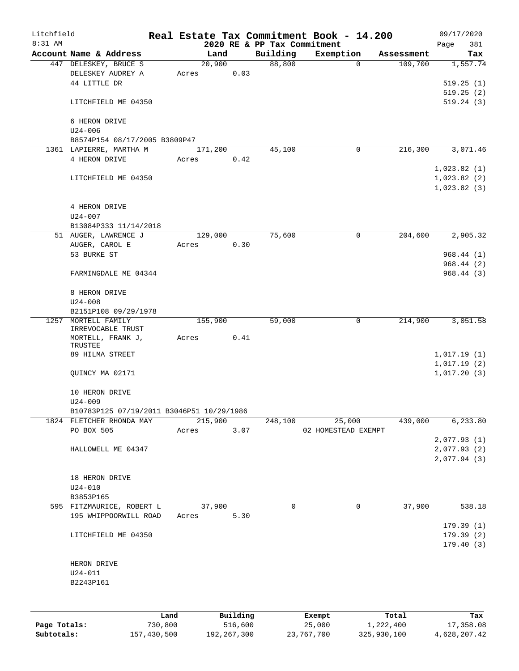| Litchfield   |                                           |         |         |          |                    | Real Estate Tax Commitment Book - 14.200 |                        | 09/17/2020      |
|--------------|-------------------------------------------|---------|---------|----------|--------------------|------------------------------------------|------------------------|-----------------|
| 8:31 AM      | Account Name & Address                    |         | Land    |          |                    | 2020 RE & PP Tax Commitment              | Assessment             | 381<br>Page     |
|              | 447 DELESKEY, BRUCE S                     |         | 20,900  |          | Building<br>88,800 | Exemption                                | $\mathbf 0$<br>109,700 | Tax<br>1,557.74 |
|              | DELESKEY AUDREY A                         | Acres   |         | 0.03     |                    |                                          |                        |                 |
|              | 44 LITTLE DR                              |         |         |          |                    |                                          |                        | 519.25(1)       |
|              |                                           |         |         |          |                    |                                          |                        | 519.25(2)       |
|              | LITCHFIELD ME 04350                       |         |         |          |                    |                                          |                        | 519.24(3)       |
|              | 6 HERON DRIVE                             |         |         |          |                    |                                          |                        |                 |
|              | $U24 - 006$                               |         |         |          |                    |                                          |                        |                 |
|              | B8574P154 08/17/2005 B3809P47             |         |         |          |                    |                                          |                        |                 |
|              | 1361 LAPIERRE, MARTHA M                   |         | 171,200 |          | 45,100             |                                          | 216,300<br>0           | 3,071.46        |
|              | 4 HERON DRIVE                             | Acres   |         | 0.42     |                    |                                          |                        |                 |
|              |                                           |         |         |          |                    |                                          |                        | 1,023.82(1)     |
|              | LITCHFIELD ME 04350                       |         |         |          |                    |                                          |                        | 1,023.82(2)     |
|              |                                           |         |         |          |                    |                                          |                        | 1,023.82(3)     |
|              |                                           |         |         |          |                    |                                          |                        |                 |
|              | 4 HERON DRIVE                             |         |         |          |                    |                                          |                        |                 |
|              | $U24 - 007$                               |         |         |          |                    |                                          |                        |                 |
|              | B13084P333 11/14/2018                     |         |         |          |                    |                                          |                        |                 |
|              | 51 AUGER, LAWRENCE J                      |         | 129,000 |          | 75,600             |                                          | 204,600<br>0           | 2,905.32        |
|              | AUGER, CAROL E                            | Acres   |         | 0.30     |                    |                                          |                        |                 |
|              | 53 BURKE ST                               |         |         |          |                    |                                          |                        | 968.44(1)       |
|              |                                           |         |         |          |                    |                                          |                        | 968.44(2)       |
|              | FARMINGDALE ME 04344                      |         |         |          |                    |                                          |                        | 968.44(3)       |
|              | 8 HERON DRIVE                             |         |         |          |                    |                                          |                        |                 |
|              | $U24 - 008$                               |         |         |          |                    |                                          |                        |                 |
|              | B2151P108 09/29/1978                      |         |         |          |                    |                                          |                        |                 |
| 1257         | MORTELL FAMILY                            |         | 155,900 |          | 59,000             |                                          | 214,900<br>0           | 3,051.58        |
|              | IRREVOCABLE TRUST                         |         |         |          |                    |                                          |                        |                 |
|              | MORTELL, FRANK J,                         | Acres   |         | 0.41     |                    |                                          |                        |                 |
|              | TRUSTEE                                   |         |         |          |                    |                                          |                        |                 |
|              | 89 HILMA STREET                           |         |         |          |                    |                                          |                        | 1,017.19(1)     |
|              |                                           |         |         |          |                    |                                          |                        | 1,017.19(2)     |
|              | QUINCY MA 02171                           |         |         |          |                    |                                          |                        | 1,017.20(3)     |
|              | 10 HERON DRIVE                            |         |         |          |                    |                                          |                        |                 |
|              | $U24 - 009$                               |         |         |          |                    |                                          |                        |                 |
|              | B10783P125 07/19/2011 B3046P51 10/29/1986 |         |         |          |                    |                                          |                        |                 |
|              | 1824 FLETCHER RHONDA MAY                  |         | 215,900 |          | 248,100            | 25,000                                   | 439,000                | 6,233.80        |
|              | PO BOX 505                                | Acres   |         | 3.07     |                    | 02 HOMESTEAD EXEMPT                      |                        |                 |
|              |                                           |         |         |          |                    |                                          |                        | 2,077.93(1)     |
|              | HALLOWELL ME 04347                        |         |         |          |                    |                                          |                        | 2,077.93 (2)    |
|              |                                           |         |         |          |                    |                                          |                        | 2,077.94(3)     |
|              |                                           |         |         |          |                    |                                          |                        |                 |
|              | 18 HERON DRIVE                            |         |         |          |                    |                                          |                        |                 |
|              | $U24 - 010$                               |         |         |          |                    |                                          |                        |                 |
|              | B3853P165                                 |         |         |          |                    |                                          |                        |                 |
|              | 595 FITZMAURICE, ROBERT L                 |         | 37,900  |          | $\mathbf 0$        |                                          | 37,900<br>$\mathbf 0$  | 538.18          |
|              | 195 WHIPPOORWILL ROAD                     | Acres   |         | 5.30     |                    |                                          |                        |                 |
|              |                                           |         |         |          |                    |                                          |                        | 179.39(1)       |
|              | LITCHFIELD ME 04350                       |         |         |          |                    |                                          |                        | 179.39(2)       |
|              |                                           |         |         |          |                    |                                          |                        | 179.40(3)       |
|              | HERON DRIVE                               |         |         |          |                    |                                          |                        |                 |
|              |                                           |         |         |          |                    |                                          |                        |                 |
|              | $U24 - 011$                               |         |         |          |                    |                                          |                        |                 |
|              | B2243P161                                 |         |         |          |                    |                                          |                        |                 |
|              |                                           |         |         |          |                    |                                          |                        |                 |
|              |                                           | Land    |         | Building |                    | Exempt                                   | Total                  | Tax             |
| Page Totals: |                                           | 730,800 |         | 516,600  |                    | 25,000                                   | 1,222,400              | 17,358.08       |

**Subtotals:** 157,430,500 192,267,300 23,767,700 325,930,100 4,628,207.42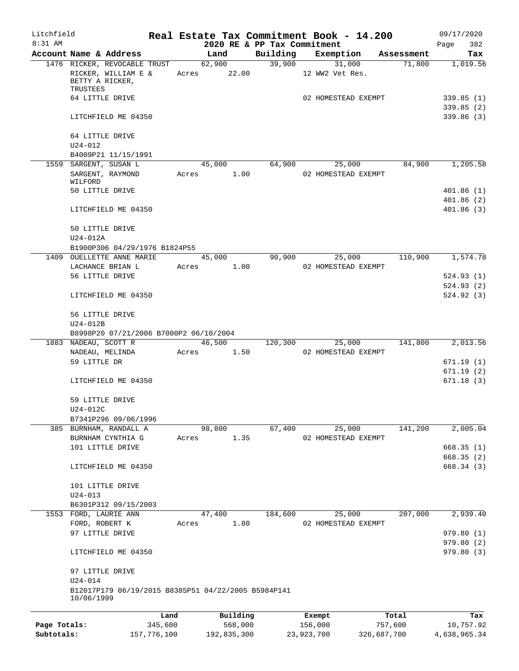| Litchfield   |                                                                                    |             |                       |                             | Real Estate Tax Commitment Book - 14.200 |             | 09/17/2020               |
|--------------|------------------------------------------------------------------------------------|-------------|-----------------------|-----------------------------|------------------------------------------|-------------|--------------------------|
| $8:31$ AM    |                                                                                    |             |                       | 2020 RE & PP Tax Commitment |                                          |             | 382<br>Page              |
|              | Account Name & Address                                                             |             | Land                  | Building                    | Exemption                                | Assessment  | Tax                      |
|              | 1476 RICKER, REVOCABLE TRUST<br>RICKER, WILLIAM E &<br>BETTY A RICKER,<br>TRUSTEES |             | 62,900<br>Acres 22.00 | 39,900                      | 31,000<br>12 WW2 Vet Res.                | 71,800      | 1,019.56                 |
|              | 64 LITTLE DRIVE                                                                    |             |                       |                             | 02 HOMESTEAD EXEMPT                      |             | 339.85(1)                |
|              | LITCHFIELD ME 04350                                                                |             |                       |                             |                                          |             | 339.85(2)<br>339.86(3)   |
|              |                                                                                    |             |                       |                             |                                          |             |                          |
|              | 64 LITTLE DRIVE<br>$U24 - 012$<br>B4009P21 11/15/1991                              |             |                       |                             |                                          |             |                          |
|              |                                                                                    |             |                       | 64,900                      |                                          | 84,900      | 1,205.58                 |
|              | 1559 SARGENT, SUSAN L<br>SARGENT, RAYMOND<br>WILFORD                               | Acres       | 45,000<br>1.00        |                             | 25,000<br>02 HOMESTEAD EXEMPT            |             |                          |
|              | 50 LITTLE DRIVE                                                                    |             |                       |                             |                                          |             | 401.86(1)                |
|              | LITCHFIELD ME 04350                                                                |             |                       |                             |                                          |             | 401.86(2)<br>401.86(3)   |
|              | 50 LITTLE DRIVE                                                                    |             |                       |                             |                                          |             |                          |
|              | $U24-012A$                                                                         |             |                       |                             |                                          |             |                          |
|              | B1900P306 04/29/1976 B1824P55                                                      |             |                       |                             |                                          |             |                          |
|              | 1409 OUELLETTE ANNE MARIE                                                          |             | 45,000                | 90,900                      | 25,000                                   | 110,900     | 1,574.78                 |
|              | LACHANCE BRIAN L<br>56 LITTLE DRIVE                                                | Acres       | 1.00                  |                             | 02 HOMESTEAD EXEMPT                      |             |                          |
|              |                                                                                    |             |                       |                             |                                          |             | 524.93 (1)<br>524.93(2)  |
|              | LITCHFIELD ME 04350                                                                |             |                       |                             |                                          |             | 524.92 (3)               |
|              | 56 LITTLE DRIVE<br>U24-012B                                                        |             |                       |                             |                                          |             |                          |
|              | B8998P20 07/21/2006 B7000P2 06/10/2004                                             |             |                       |                             |                                          |             |                          |
|              | 1883 NADEAU, SCOTT R                                                               |             | 46,500                | 120,300                     | 25,000                                   | 141,800     | 2,013.56                 |
|              | NADEAU, MELINDA                                                                    | Acres       | 1.50                  |                             | 02 HOMESTEAD EXEMPT                      |             |                          |
|              | 59 LITTLE DR                                                                       |             |                       |                             |                                          |             | 671.19 (1)               |
|              |                                                                                    |             |                       |                             |                                          |             | 671.19 (2)               |
|              | LITCHFIELD ME 04350                                                                |             |                       |                             |                                          |             | 671.18(3)                |
|              | 59 LITTLE DRIVE<br>U24-012C                                                        |             |                       |                             |                                          |             |                          |
|              | B7341P296 09/06/1996                                                               |             |                       |                             |                                          |             |                          |
|              | 385 BURNHAM, RANDALL A                                                             |             | 98,800                | 67,400                      | 25,000                                   | 141,200     | 2,005.04                 |
|              | BURNHAM CYNTHIA G                                                                  | Acres       | 1.35                  |                             | 02 HOMESTEAD EXEMPT                      |             |                          |
|              | 101 LITTLE DRIVE                                                                   |             |                       |                             |                                          |             | 668.35(1)                |
|              | LITCHFIELD ME 04350                                                                |             |                       |                             |                                          |             | 668.35 (2)<br>668.34 (3) |
|              | 101 LITTLE DRIVE                                                                   |             |                       |                             |                                          |             |                          |
|              | $U24 - 013$                                                                        |             |                       |                             |                                          |             |                          |
|              | B6301P312 09/15/2003                                                               |             |                       |                             |                                          | 207,000     |                          |
|              | 1553 FORD, LAURIE ANN                                                              |             | 47,400                | 184,600                     | 25,000                                   |             | 2,939.40                 |
|              | FORD, ROBERT K                                                                     | Acres       | 1.80                  |                             | 02 HOMESTEAD EXEMPT                      |             |                          |
|              | 97 LITTLE DRIVE                                                                    |             |                       |                             |                                          |             | 979.80 (1)               |
|              | LITCHFIELD ME 04350                                                                |             |                       |                             |                                          |             | 979.80 (2)<br>979.80(3)  |
|              | 97 LITTLE DRIVE<br>$U24 - 014$                                                     |             |                       |                             |                                          |             |                          |
|              | B12017P179 06/19/2015 B8385P51 04/22/2005 B5984P141<br>10/06/1999                  |             |                       |                             |                                          |             |                          |
|              |                                                                                    | Land        | Building              |                             | Exempt                                   | Total       | Tax                      |
| Page Totals: |                                                                                    | 345,600     | 568,000               |                             | 156,000                                  | 757,600     | 10,757.92                |
| Subtotals:   |                                                                                    | 157,776,100 | 192,835,300           |                             | 23,923,700                               | 326,687,700 | 4,638,965.34             |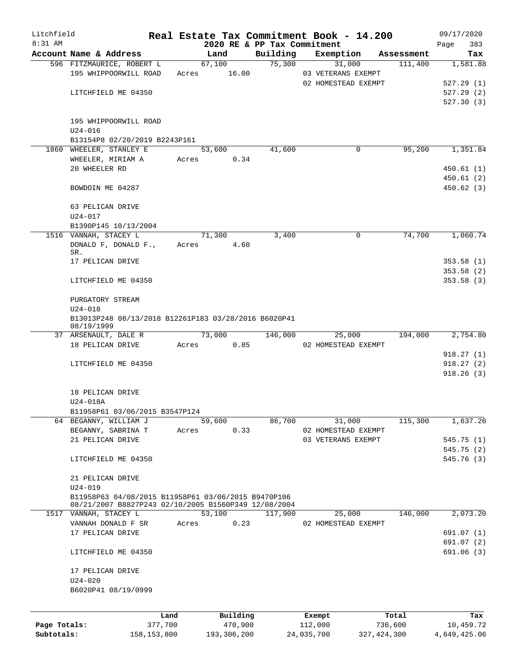| Litchfield   |                                                                                                             |             |       |               |                             | Real Estate Tax Commitment Book - 14.200  |               |            |      | 09/17/2020             |
|--------------|-------------------------------------------------------------------------------------------------------------|-------------|-------|---------------|-----------------------------|-------------------------------------------|---------------|------------|------|------------------------|
| 8:31 AM      |                                                                                                             |             |       |               | 2020 RE & PP Tax Commitment |                                           |               |            | Page | 383                    |
|              | Account Name & Address                                                                                      |             |       | Land          | Building                    | Exemption                                 |               | Assessment |      | Tax                    |
|              | 596 FITZMAURICE, ROBERT L                                                                                   |             |       | 67,100        | 75,300                      | 31,000                                    |               | 111,400    |      | 1,581.88               |
|              | 195 WHIPPOORWILL ROAD                                                                                       |             | Acres | 16.00         |                             | 03 VETERANS EXEMPT<br>02 HOMESTEAD EXEMPT |               |            |      |                        |
|              |                                                                                                             |             |       |               |                             |                                           |               |            |      | 527.29(1)<br>527.29(2) |
|              | LITCHFIELD ME 04350                                                                                         |             |       |               |                             |                                           |               |            |      | 527.30(3)              |
|              |                                                                                                             |             |       |               |                             |                                           |               |            |      |                        |
|              | 195 WHIPPOORWILL ROAD                                                                                       |             |       |               |                             |                                           |               |            |      |                        |
|              | $U24 - 016$                                                                                                 |             |       |               |                             |                                           |               |            |      |                        |
|              | B13154P8 02/20/2019 B2243P161                                                                               |             |       |               |                             |                                           |               |            |      |                        |
|              | 1860 WHEELER, STANLEY E                                                                                     |             |       | 53,600        | 41,600                      | $\mathbf 0$                               |               | 95,200     |      | 1,351.84               |
|              | WHEELER, MIRIAM A                                                                                           |             | Acres | 0.34          |                             |                                           |               |            |      |                        |
|              | 20 WHEELER RD                                                                                               |             |       |               |                             |                                           |               |            |      | 450.61(1)              |
|              |                                                                                                             |             |       |               |                             |                                           |               |            |      | 450.61(2)              |
|              | BOWDOIN ME 04287                                                                                            |             |       |               |                             |                                           |               |            |      | 450.62(3)              |
|              |                                                                                                             |             |       |               |                             |                                           |               |            |      |                        |
|              | 63 PELICAN DRIVE                                                                                            |             |       |               |                             |                                           |               |            |      |                        |
|              | $U24 - 017$                                                                                                 |             |       |               |                             |                                           |               |            |      |                        |
|              | B1390P145 10/13/2004                                                                                        |             |       |               |                             |                                           |               |            |      |                        |
|              | 1516 VANNAH, STACEY L                                                                                       |             |       | 71,300        | 3,400                       | $\mathbf 0$                               |               | 74,700     |      | 1,060.74               |
|              | DONALD F, DONALD F.,                                                                                        |             | Acres | 4.60          |                             |                                           |               |            |      |                        |
|              | SR.                                                                                                         |             |       |               |                             |                                           |               |            |      |                        |
|              | 17 PELICAN DRIVE                                                                                            |             |       |               |                             |                                           |               |            |      | 353.58(1)              |
|              |                                                                                                             |             |       |               |                             |                                           |               |            |      | 353.58(2)              |
|              | LITCHFIELD ME 04350                                                                                         |             |       |               |                             |                                           |               |            |      | 353.58(3)              |
|              |                                                                                                             |             |       |               |                             |                                           |               |            |      |                        |
|              | PURGATORY STREAM                                                                                            |             |       |               |                             |                                           |               |            |      |                        |
|              | $U24 - 018$                                                                                                 |             |       |               |                             |                                           |               |            |      |                        |
|              | B13013P248 08/13/2018 B12261P183 03/28/2016 B6020P41<br>08/19/1999                                          |             |       |               |                             |                                           |               |            |      |                        |
|              | 37 ARSENAULT, DALE R                                                                                        |             |       | 73,000        | 146,000                     | 25,000                                    |               | 194,000    |      | 2,754.80               |
|              | 18 PELICAN DRIVE                                                                                            |             |       | 0.85<br>Acres |                             | 02 HOMESTEAD EXEMPT                       |               |            |      |                        |
|              |                                                                                                             |             |       |               |                             |                                           |               |            |      | 918.27(1)              |
|              | LITCHFIELD ME 04350                                                                                         |             |       |               |                             |                                           |               |            |      | 918.27(2)              |
|              |                                                                                                             |             |       |               |                             |                                           |               |            |      | 918.26(3)              |
|              |                                                                                                             |             |       |               |                             |                                           |               |            |      |                        |
|              | 18 PELICAN DRIVE                                                                                            |             |       |               |                             |                                           |               |            |      |                        |
|              | U24-018A                                                                                                    |             |       |               |                             |                                           |               |            |      |                        |
|              | B11958P61 03/06/2015 B3547P124                                                                              |             |       |               |                             |                                           |               |            |      |                        |
|              | 64 BEGANNY, WILLIAM J                                                                                       |             |       | 59,600        | 86,700                      | 31,000                                    |               | 115,300    |      | 1,637.26               |
|              | BEGANNY, SABRINA T                                                                                          |             | Acres | 0.33          |                             | 02 HOMESTEAD EXEMPT                       |               |            |      |                        |
|              | 21 PELICAN DRIVE                                                                                            |             |       |               |                             | 03 VETERANS EXEMPT                        |               |            |      | 545.75(1)              |
|              |                                                                                                             |             |       |               |                             |                                           |               |            |      | 545.75(2)              |
|              | LITCHFIELD ME 04350                                                                                         |             |       |               |                             |                                           |               |            |      | 545.76(3)              |
|              |                                                                                                             |             |       |               |                             |                                           |               |            |      |                        |
|              | 21 PELICAN DRIVE                                                                                            |             |       |               |                             |                                           |               |            |      |                        |
|              | $U24 - 019$                                                                                                 |             |       |               |                             |                                           |               |            |      |                        |
|              | B11958P63 04/08/2015 B11958P61 03/06/2015 B9470P106<br>08/21/2007 B8827P243 02/10/2005 B1560P349 12/08/2004 |             |       |               |                             |                                           |               |            |      |                        |
|              | 1517 VANNAH, STACEY L                                                                                       |             |       | 53,100        | 117,900                     | 25,000                                    |               | 146,000    |      | 2,073.20               |
|              | VANNAH DONALD F SR                                                                                          |             | Acres | 0.23          |                             | 02 HOMESTEAD EXEMPT                       |               |            |      |                        |
|              | 17 PELICAN DRIVE                                                                                            |             |       |               |                             |                                           |               |            |      | 691.07(1)              |
|              |                                                                                                             |             |       |               |                             |                                           |               |            |      | 691.07(2)              |
|              | LITCHFIELD ME 04350                                                                                         |             |       |               |                             |                                           |               |            |      | 691.06(3)              |
|              |                                                                                                             |             |       |               |                             |                                           |               |            |      |                        |
|              | 17 PELICAN DRIVE                                                                                            |             |       |               |                             |                                           |               |            |      |                        |
|              | $U24 - 020$                                                                                                 |             |       |               |                             |                                           |               |            |      |                        |
|              | B6020P41 08/19/0999                                                                                         |             |       |               |                             |                                           |               |            |      |                        |
|              |                                                                                                             |             |       |               |                             |                                           |               |            |      |                        |
|              |                                                                                                             | Land        |       | Building      |                             | Exempt                                    |               | Total      |      | Tax                    |
| Page Totals: |                                                                                                             | 377,700     |       | 470,900       |                             | 112,000                                   | 736,600       |            |      | 10,459.72              |
| Subtotals:   |                                                                                                             | 158,153,800 |       | 193,306,200   |                             | 24,035,700                                | 327, 424, 300 |            |      | 4,649,425.06           |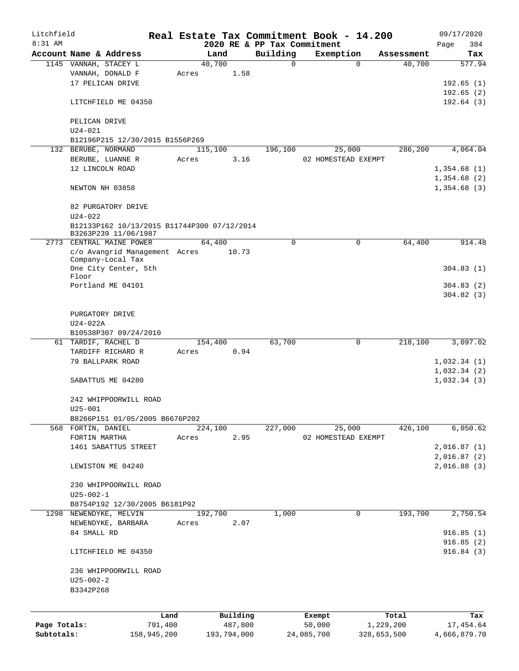| Litchfield   |                                                                     |             |       |             |          | Real Estate Tax Commitment Book - 14.200 |                     |             |            |      | 09/17/2020   |
|--------------|---------------------------------------------------------------------|-------------|-------|-------------|----------|------------------------------------------|---------------------|-------------|------------|------|--------------|
| 8:31 AM      |                                                                     |             |       |             |          | 2020 RE & PP Tax Commitment              |                     |             |            | Page | 384          |
|              | Account Name & Address                                              |             |       | Land        |          | Building                                 | Exemption           |             | Assessment |      | Tax          |
|              | 1145 VANNAH, STACEY L                                               |             |       | 40,700      |          | $\mathsf{O}$                             |                     | $\Omega$    | 40,700     |      | 577.94       |
|              | VANNAH, DONALD F                                                    |             | Acres |             | 1.58     |                                          |                     |             |            |      |              |
|              | 17 PELICAN DRIVE                                                    |             |       |             |          |                                          |                     |             |            |      | 192.65(1)    |
|              |                                                                     |             |       |             |          |                                          |                     |             |            |      | 192.65(2)    |
|              | LITCHFIELD ME 04350                                                 |             |       |             |          |                                          |                     |             |            |      | 192.64(3)    |
|              |                                                                     |             |       |             |          |                                          |                     |             |            |      |              |
|              | PELICAN DRIVE                                                       |             |       |             |          |                                          |                     |             |            |      |              |
|              | $U24 - 021$                                                         |             |       |             |          |                                          |                     |             |            |      |              |
|              | B12196P215 12/30/2015 B1556P269                                     |             |       |             |          |                                          |                     |             |            |      |              |
|              | 132 BERUBE, NORMAND                                                 |             |       | 115,100     |          | 196,100                                  | 25,000              |             | 286,200    |      | 4,064.04     |
|              | BERUBE, LUANNE R                                                    |             | Acres |             | 3.16     |                                          | 02 HOMESTEAD EXEMPT |             |            |      |              |
|              | 12 LINCOLN ROAD                                                     |             |       |             |          |                                          |                     |             |            |      | 1,354.68(1)  |
|              |                                                                     |             |       |             |          |                                          |                     |             |            |      | 1,354.68(2)  |
|              | NEWTON NH 03858                                                     |             |       |             |          |                                          |                     |             |            |      | 1,354.68(3)  |
|              |                                                                     |             |       |             |          |                                          |                     |             |            |      |              |
|              | 82 PURGATORY DRIVE<br>$U24 - 022$                                   |             |       |             |          |                                          |                     |             |            |      |              |
|              |                                                                     |             |       |             |          |                                          |                     |             |            |      |              |
|              | B12133P162 10/13/2015 B11744P300 07/12/2014<br>B3263P239 11/06/1987 |             |       |             |          |                                          |                     |             |            |      |              |
|              | 2773 CENTRAL MAINE POWER                                            |             |       | 64,400      |          | $\mathbf 0$                              |                     | 0           | 64,400     |      | 914.48       |
|              | c/o Avangrid Management Acres                                       |             |       |             | 10.73    |                                          |                     |             |            |      |              |
|              | Company-Local Tax                                                   |             |       |             |          |                                          |                     |             |            |      |              |
|              | One City Center, 5th                                                |             |       |             |          |                                          |                     |             |            |      | 304.83(1)    |
|              | Floor                                                               |             |       |             |          |                                          |                     |             |            |      |              |
|              | Portland ME 04101                                                   |             |       |             |          |                                          |                     |             |            |      | 304.83(2)    |
|              |                                                                     |             |       |             |          |                                          |                     |             |            |      | 304.82(3)    |
|              |                                                                     |             |       |             |          |                                          |                     |             |            |      |              |
|              | PURGATORY DRIVE                                                     |             |       |             |          |                                          |                     |             |            |      |              |
|              | $U24-022A$                                                          |             |       |             |          |                                          |                     |             |            |      |              |
|              | B10538P307 09/24/2010                                               |             |       |             |          |                                          |                     |             |            |      |              |
|              | 61 TARDIF, RACHEL D                                                 |             |       | 154,400     |          | 63,700                                   |                     | 0           | 218,100    |      | 3,097.02     |
|              | TARDIFF RICHARD R                                                   |             | Acres |             | 0.94     |                                          |                     |             |            |      |              |
|              | 79 BALLPARK ROAD                                                    |             |       |             |          |                                          |                     |             |            |      | 1,032.34(1)  |
|              |                                                                     |             |       |             |          |                                          |                     |             |            |      | 1,032.34(2)  |
|              | SABATTUS ME 04280                                                   |             |       |             |          |                                          |                     |             |            |      | 1,032.34(3)  |
|              |                                                                     |             |       |             |          |                                          |                     |             |            |      |              |
|              | 242 WHIPPOORWILL ROAD                                               |             |       |             |          |                                          |                     |             |            |      |              |
|              | $U25 - 001$                                                         |             |       |             |          |                                          |                     |             |            |      |              |
|              | B8266P151 01/05/2005 B6676P202                                      |             |       |             |          |                                          |                     |             |            |      |              |
|              | 568 FORTIN, DANIEL                                                  |             |       | 224,100     |          | 227,000                                  | 25,000              |             | 426,100    |      | 6,050.62     |
|              | FORTIN MARTHA                                                       |             | Acres |             | 2.95     |                                          | 02 HOMESTEAD EXEMPT |             |            |      |              |
|              | 1461 SABATTUS STREET                                                |             |       |             |          |                                          |                     |             |            |      | 2,016.87(1)  |
|              |                                                                     |             |       |             |          |                                          |                     |             |            |      | 2,016.87(2)  |
|              | LEWISTON ME 04240                                                   |             |       |             |          |                                          |                     |             |            |      | 2,016.88(3)  |
|              |                                                                     |             |       |             |          |                                          |                     |             |            |      |              |
|              | 230 WHIPPOORWILL ROAD                                               |             |       |             |          |                                          |                     |             |            |      |              |
|              | $U25 - 002 - 1$                                                     |             |       |             |          |                                          |                     |             |            |      |              |
|              | B8754P192 12/30/2005 B6181P92                                       |             |       |             |          |                                          |                     |             |            |      |              |
|              | 1298 NEWENDYKE, MELVIN                                              |             |       | 192,700     |          | 1,000                                    |                     | 0           | 193,700    |      | 2,750.54     |
|              | NEWENDYKE, BARBARA                                                  |             | Acres |             | 2.07     |                                          |                     |             |            |      |              |
|              | 84 SMALL RD                                                         |             |       |             |          |                                          |                     |             |            |      | 916.85(1)    |
|              |                                                                     |             |       |             |          |                                          |                     |             |            |      | 916.85(2)    |
|              | LITCHFIELD ME 04350                                                 |             |       |             |          |                                          |                     |             |            |      | 916.84(3)    |
|              |                                                                     |             |       |             |          |                                          |                     |             |            |      |              |
|              | 236 WHIPPOORWILL ROAD                                               |             |       |             |          |                                          |                     |             |            |      |              |
|              | $U25 - 002 - 2$                                                     |             |       |             |          |                                          |                     |             |            |      |              |
|              | B3342P268                                                           |             |       |             |          |                                          |                     |             |            |      |              |
|              |                                                                     |             |       |             |          |                                          |                     |             |            |      |              |
|              |                                                                     | Land        |       |             | Building |                                          | Exempt              |             | Total      |      | Tax          |
| Page Totals: |                                                                     | 791,400     |       |             | 487,800  |                                          | 50,000              |             | 1,229,200  |      | 17,454.64    |
| Subtotals:   |                                                                     | 158,945,200 |       | 193,794,000 |          |                                          | 24,085,700          | 328,653,500 |            |      | 4,666,879.70 |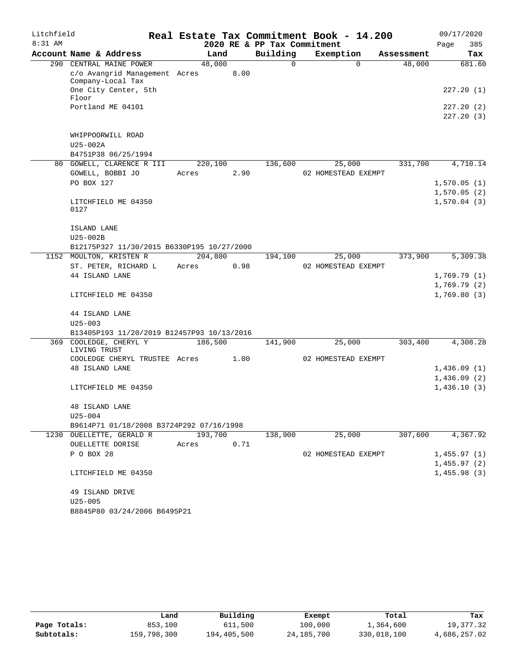| Litchfield |                                             |         |      |                             | Real Estate Tax Commitment Book - 14.200 |            | 09/17/2020  |
|------------|---------------------------------------------|---------|------|-----------------------------|------------------------------------------|------------|-------------|
| 8:31 AM    |                                             |         |      | 2020 RE & PP Tax Commitment |                                          |            | Page<br>385 |
|            | Account Name & Address                      | Land    |      | Building                    | Exemption                                | Assessment | Tax         |
|            | 290 CENTRAL MAINE POWER                     | 48,000  |      | 0                           | $\Omega$                                 | 48,000     | 681.60      |
|            | c/o Avangrid Management Acres               |         | 8.00 |                             |                                          |            |             |
|            | Company-Local Tax                           |         |      |                             |                                          |            |             |
|            | One City Center, 5th<br>Floor               |         |      |                             |                                          |            | 227.20(1)   |
|            | Portland ME 04101                           |         |      |                             |                                          |            | 227.20 (2)  |
|            |                                             |         |      |                             |                                          |            | 227.20(3)   |
|            |                                             |         |      |                             |                                          |            |             |
|            | WHIPPOORWILL ROAD                           |         |      |                             |                                          |            |             |
|            | U25-002A                                    |         |      |                             |                                          |            |             |
|            | B4751P38 06/25/1994                         |         |      |                             |                                          |            |             |
|            | 80 GOWELL, CLARENCE R III                   | 220,100 |      | 136,600                     | 25,000                                   | 331,700    | 4,710.14    |
|            | GOWELL, BOBBI JO                            | Acres   | 2.90 |                             | 02 HOMESTEAD EXEMPT                      |            |             |
|            | PO BOX 127                                  |         |      |                             |                                          |            | 1,570.05(1) |
|            |                                             |         |      |                             |                                          |            | 1,570.05(2) |
|            | LITCHFIELD ME 04350                         |         |      |                             |                                          |            | 1,570.04(3) |
|            | 0127                                        |         |      |                             |                                          |            |             |
|            |                                             |         |      |                             |                                          |            |             |
|            | ISLAND LANE                                 |         |      |                             |                                          |            |             |
|            | $U25-002B$                                  |         |      |                             |                                          |            |             |
|            | B12175P327 11/30/2015 B6330P195 10/27/2000  |         |      |                             |                                          |            |             |
|            | 1152 MOULTON, KRISTEN R                     | 204,800 |      | 194,100                     | 25,000                                   | 373,900    | 5,309.38    |
|            | ST. PETER, RICHARD L                        | Acres   | 0.98 |                             | 02 HOMESTEAD EXEMPT                      |            |             |
|            | 44 ISLAND LANE                              |         |      |                             |                                          |            | 1,769.79(1) |
|            |                                             |         |      |                             |                                          |            | 1,769.79(2) |
|            | LITCHFIELD ME 04350                         |         |      |                             |                                          |            | 1,769.80(3) |
|            | 44 ISLAND LANE                              |         |      |                             |                                          |            |             |
|            | $U25 - 003$                                 |         |      |                             |                                          |            |             |
|            | B13405P193 11/20/2019 B12457P93 10/13/2016  |         |      |                             |                                          |            |             |
| 369        | COOLEDGE, CHERYL Y                          | 186,500 |      | 141,900                     | 25,000                                   | 303,400    | 4,308.28    |
|            | LIVING TRUST                                |         |      |                             |                                          |            |             |
|            | COOLEDGE CHERYL TRUSTEE Acres               |         | 1.00 |                             | 02 HOMESTEAD EXEMPT                      |            |             |
|            | <b>48 ISLAND LANE</b>                       |         |      |                             |                                          |            | 1,436.09(1) |
|            |                                             |         |      |                             |                                          |            | 1,436.09(2) |
|            | LITCHFIELD ME 04350                         |         |      |                             |                                          |            | 1,436.10(3) |
|            |                                             |         |      |                             |                                          |            |             |
|            | 48 ISLAND LANE                              |         |      |                             |                                          |            |             |
|            | $U25 - 004$                                 |         |      |                             |                                          |            |             |
|            | B9614P71 01/18/2008 B3724P292 07/16/1998    |         |      |                             |                                          |            |             |
|            | 1230 OUELLETTE, GERALD R                    | 193,700 |      | 138,900                     | 25,000                                   | 307,600    | 4,367.92    |
|            | OUELLETTE DORISE                            | Acres   | 0.71 |                             |                                          |            |             |
|            | P O BOX 28                                  |         |      |                             | 02 HOMESTEAD EXEMPT                      |            | 1,455.97(1) |
|            |                                             |         |      |                             |                                          |            | 1,455.97(2) |
|            | LITCHFIELD ME 04350                         |         |      |                             |                                          |            | 1,455.98(3) |
|            |                                             |         |      |                             |                                          |            |             |
|            | 49 ISLAND DRIVE                             |         |      |                             |                                          |            |             |
|            | $U25 - 005$<br>B8845P80 03/24/2006 B6495P21 |         |      |                             |                                          |            |             |
|            |                                             |         |      |                             |                                          |            |             |

|              | Land        | Building    | Exempt     | Total       | Tax          |
|--------------|-------------|-------------|------------|-------------|--------------|
| Page Totals: | 853,100     | 611,500     | 100,000    | 1,364,600   | 19,377.32    |
| Subtotals:   | 159,798,300 | 194,405,500 | 24,185,700 | 330,018,100 | 4,686,257.02 |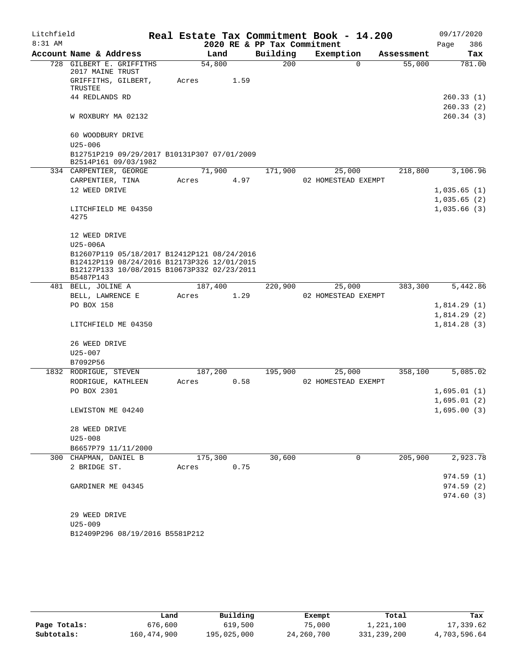| Litchfield |                                                                                                                                           |       |         |                             | Real Estate Tax Commitment Book - 14.200 |            | 09/17/2020  |
|------------|-------------------------------------------------------------------------------------------------------------------------------------------|-------|---------|-----------------------------|------------------------------------------|------------|-------------|
| $8:31$ AM  |                                                                                                                                           |       |         | 2020 RE & PP Tax Commitment |                                          |            | 386<br>Page |
|            | Account Name & Address                                                                                                                    |       | Land    | Building                    | Exemption                                | Assessment | Tax         |
|            | 728 GILBERT E. GRIFFITHS<br>2017 MAINE TRUST                                                                                              |       | 54,800  | 200                         | 0                                        | 55,000     | 781.00      |
|            | GRIFFITHS, GILBERT,<br><b>TRUSTEE</b>                                                                                                     | Acres | 1.59    |                             |                                          |            |             |
|            | 44 REDLANDS RD                                                                                                                            |       |         |                             |                                          |            | 260.33(1)   |
|            |                                                                                                                                           |       |         |                             |                                          |            | 260.33(2)   |
|            | W ROXBURY MA 02132                                                                                                                        |       |         |                             |                                          |            | 260.34(3)   |
|            | 60 WOODBURY DRIVE                                                                                                                         |       |         |                             |                                          |            |             |
|            | $U25 - 006$                                                                                                                               |       |         |                             |                                          |            |             |
|            | B12751P219 09/29/2017 B10131P307 07/01/2009<br>B2514P161 09/03/1982                                                                       |       |         |                             |                                          |            |             |
|            | 334 CARPENTIER, GEORGE                                                                                                                    |       | 71,900  | 171,900                     | 25,000                                   | 218,800    | 3,106.96    |
|            | CARPENTIER, TINA                                                                                                                          | Acres | 4.97    |                             | 02 HOMESTEAD EXEMPT                      |            |             |
|            | 12 WEED DRIVE                                                                                                                             |       |         |                             |                                          |            | 1,035.65(1) |
|            |                                                                                                                                           |       |         |                             |                                          |            | 1,035.65(2) |
|            | LITCHFIELD ME 04350                                                                                                                       |       |         |                             |                                          |            | 1,035.66(3) |
|            | 4275                                                                                                                                      |       |         |                             |                                          |            |             |
|            | 12 WEED DRIVE                                                                                                                             |       |         |                             |                                          |            |             |
|            | $U25-006A$                                                                                                                                |       |         |                             |                                          |            |             |
|            | B12607P119 05/18/2017 B12412P121 08/24/2016<br>B12412P119 08/24/2016 B12173P326 12/01/2015<br>B12127P133 10/08/2015 B10673P332 02/23/2011 |       |         |                             |                                          |            |             |
|            | B5487P143<br>481 BELL, JOLINE A                                                                                                           |       | 187,400 | 220,900                     | 25,000                                   | 383,300    | 5,442.86    |
|            | BELL, LAWRENCE E                                                                                                                          | Acres | 1.29    |                             | 02 HOMESTEAD EXEMPT                      |            |             |
|            | PO BOX 158                                                                                                                                |       |         |                             |                                          |            | 1,814.29(1) |
|            |                                                                                                                                           |       |         |                             |                                          |            | 1,814.29(2) |
|            | LITCHFIELD ME 04350                                                                                                                       |       |         |                             |                                          |            | 1,814.28(3) |
|            | 26 WEED DRIVE                                                                                                                             |       |         |                             |                                          |            |             |
|            | $U25 - 007$                                                                                                                               |       |         |                             |                                          |            |             |
|            | B7092P56                                                                                                                                  |       |         |                             |                                          |            |             |
|            | 1832 RODRIGUE, STEVEN                                                                                                                     |       | 187,200 | 195,900                     | 25,000                                   | 358,100    | 5,085.02    |
|            | RODRIGUE, KATHLEEN                                                                                                                        | Acres | 0.58    |                             | 02 HOMESTEAD EXEMPT                      |            |             |
|            | PO BOX 2301                                                                                                                               |       |         |                             |                                          |            | 1,695.01(1) |
|            |                                                                                                                                           |       |         |                             |                                          |            | 1,695.01(2) |
|            | LEWISTON ME 04240                                                                                                                         |       |         |                             |                                          |            | 1,695.00(3) |
|            | 28 WEED DRIVE                                                                                                                             |       |         |                             |                                          |            |             |
|            | $U25 - 008$                                                                                                                               |       |         |                             |                                          |            |             |
|            | B6657P79 11/11/2000                                                                                                                       |       |         |                             |                                          |            |             |
|            | 300 CHAPMAN, DANIEL B                                                                                                                     |       | 175,300 | 30,600                      | $\mathbf 0$                              | 205,900    | 2,923.78    |
|            | 2 BRIDGE ST.                                                                                                                              | Acres | 0.75    |                             |                                          |            |             |
|            |                                                                                                                                           |       |         |                             |                                          |            | 974.59(1)   |
|            | GARDINER ME 04345                                                                                                                         |       |         |                             |                                          |            | 974.59(2)   |
|            |                                                                                                                                           |       |         |                             |                                          |            | 974.60 (3)  |
|            | 29 WEED DRIVE                                                                                                                             |       |         |                             |                                          |            |             |
|            | $U25 - 009$                                                                                                                               |       |         |                             |                                          |            |             |

B12409P296 08/19/2016 B5581P212

|              | Land        | Building    | Exempt     | Total       | Tax          |
|--------------|-------------|-------------|------------|-------------|--------------|
| Page Totals: | 676,600     | 619,500     | 75,000     | 1,221,100   | 17,339.62    |
| Subtotals:   | 160,474,900 | 195,025,000 | 24,260,700 | 331,239,200 | 4,703,596.64 |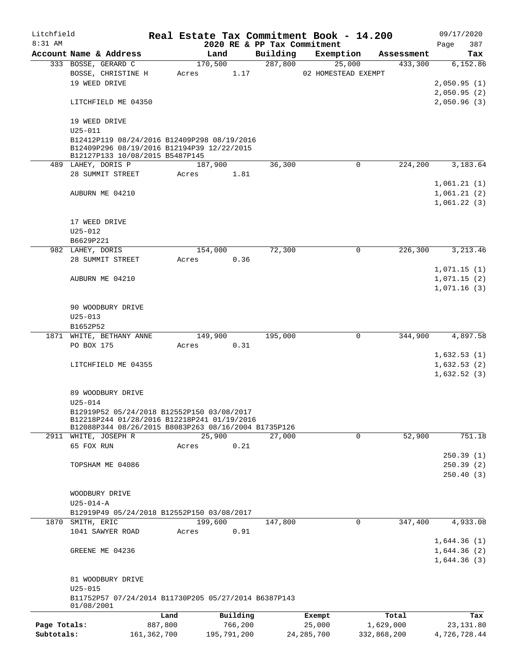| Litchfield   |                                                                               |               |       |             |          |                     | Real Estate Tax Commitment Book - 14.200 |             |                       | 09/17/2020      |
|--------------|-------------------------------------------------------------------------------|---------------|-------|-------------|----------|---------------------|------------------------------------------|-------------|-----------------------|-----------------|
| 8:31 AM      | Account Name & Address                                                        |               |       | Land        |          |                     | 2020 RE & PP Tax Commitment              |             |                       | 387<br>Page     |
|              | 333 BOSSE, GERARD C                                                           |               |       | 170,500     |          | Building<br>287,800 | Exemption                                | 25,000      | Assessment<br>433,300 | Tax<br>6,152.86 |
|              | BOSSE, CHRISTINE H                                                            |               | Acres |             | 1.17     |                     | 02 HOMESTEAD EXEMPT                      |             |                       |                 |
|              | 19 WEED DRIVE                                                                 |               |       |             |          |                     |                                          |             |                       | 2,050.95(1)     |
|              |                                                                               |               |       |             |          |                     |                                          |             |                       | 2,050.95(2)     |
|              | LITCHFIELD ME 04350                                                           |               |       |             |          |                     |                                          |             |                       | 2,050.96(3)     |
|              |                                                                               |               |       |             |          |                     |                                          |             |                       |                 |
|              | 19 WEED DRIVE                                                                 |               |       |             |          |                     |                                          |             |                       |                 |
|              | $U25 - 011$                                                                   |               |       |             |          |                     |                                          |             |                       |                 |
|              | B12412P119 08/24/2016 B12409P298 08/19/2016                                   |               |       |             |          |                     |                                          |             |                       |                 |
|              | B12409P296 08/19/2016 B12194P39 12/22/2015<br>B12127P133 10/08/2015 B5487P145 |               |       |             |          |                     |                                          |             |                       |                 |
|              | 489 LAHEY, DORIS P                                                            |               |       | 187,900     |          | 36,300              |                                          | 0           | 224,200               | 3,183.64        |
|              | 28 SUMMIT STREET                                                              |               | Acres |             | 1.81     |                     |                                          |             |                       |                 |
|              |                                                                               |               |       |             |          |                     |                                          |             |                       | 1,061.21(1)     |
|              | AUBURN ME 04210                                                               |               |       |             |          |                     |                                          |             |                       | 1,061.21(2)     |
|              |                                                                               |               |       |             |          |                     |                                          |             |                       | 1,061.22(3)     |
|              |                                                                               |               |       |             |          |                     |                                          |             |                       |                 |
|              | 17 WEED DRIVE                                                                 |               |       |             |          |                     |                                          |             |                       |                 |
|              | $U25 - 012$                                                                   |               |       |             |          |                     |                                          |             |                       |                 |
|              | B6629P221                                                                     |               |       |             |          |                     |                                          |             |                       |                 |
|              | 982 LAHEY, DORIS                                                              |               |       | 154,000     |          | 72,300              |                                          | $\mathbf 0$ | 226,300               | 3, 213.46       |
|              | 28 SUMMIT STREET                                                              |               | Acres |             | 0.36     |                     |                                          |             |                       |                 |
|              |                                                                               |               |       |             |          |                     |                                          |             |                       | 1,071.15(1)     |
|              | AUBURN ME 04210                                                               |               |       |             |          |                     |                                          |             |                       | 1,071.15(2)     |
|              |                                                                               |               |       |             |          |                     |                                          |             |                       | 1,071.16(3)     |
|              | 90 WOODBURY DRIVE                                                             |               |       |             |          |                     |                                          |             |                       |                 |
|              | $U25 - 013$                                                                   |               |       |             |          |                     |                                          |             |                       |                 |
|              | B1652P52                                                                      |               |       |             |          |                     |                                          |             |                       |                 |
|              | 1871 WHITE, BETHANY ANNE                                                      |               |       | 149,900     |          | 195,000             |                                          | 0           | 344,900               | 4,897.58        |
|              | PO BOX 175                                                                    |               | Acres |             | 0.31     |                     |                                          |             |                       |                 |
|              |                                                                               |               |       |             |          |                     |                                          |             |                       | 1,632.53(1)     |
|              | LITCHFIELD ME 04355                                                           |               |       |             |          |                     |                                          |             |                       | 1,632.53(2)     |
|              |                                                                               |               |       |             |          |                     |                                          |             |                       | 1,632.52(3)     |
|              |                                                                               |               |       |             |          |                     |                                          |             |                       |                 |
|              | 89 WOODBURY DRIVE                                                             |               |       |             |          |                     |                                          |             |                       |                 |
|              | $U25 - 014$<br>B12919P52 05/24/2018 B12552P150 03/08/2017                     |               |       |             |          |                     |                                          |             |                       |                 |
|              | B12218P244 01/28/2016 B12218P241 01/19/2016                                   |               |       |             |          |                     |                                          |             |                       |                 |
|              | B12088P344 08/26/2015 B8083P263 08/16/2004 B1735P126                          |               |       |             |          |                     |                                          |             |                       |                 |
|              | 2911 WHITE, JOSEPH R                                                          |               |       | 25,900      |          | 27,000              |                                          | 0           | 52,900                | 751.18          |
|              | 65 FOX RUN                                                                    |               | Acres |             | 0.21     |                     |                                          |             |                       |                 |
|              |                                                                               |               |       |             |          |                     |                                          |             |                       | 250.39(1)       |
|              | TOPSHAM ME 04086                                                              |               |       |             |          |                     |                                          |             |                       | 250.39(2)       |
|              |                                                                               |               |       |             |          |                     |                                          |             |                       | 250.40(3)       |
|              | WOODBURY DRIVE                                                                |               |       |             |          |                     |                                          |             |                       |                 |
|              | $U25 - 014 - A$                                                               |               |       |             |          |                     |                                          |             |                       |                 |
|              | B12919P49 05/24/2018 B12552P150 03/08/2017                                    |               |       |             |          |                     |                                          |             |                       |                 |
| 1870         | SMITH, ERIC                                                                   |               |       | 199,600     |          | 147,800             |                                          | $\mathbf 0$ | 347,400               | 4,933.08        |
|              | 1041 SAWYER ROAD                                                              |               | Acres |             | 0.91     |                     |                                          |             |                       |                 |
|              |                                                                               |               |       |             |          |                     |                                          |             |                       | 1,644.36(1)     |
|              | GREENE ME 04236                                                               |               |       |             |          |                     |                                          |             |                       | 1,644.36(2)     |
|              |                                                                               |               |       |             |          |                     |                                          |             |                       | 1,644.36(3)     |
|              |                                                                               |               |       |             |          |                     |                                          |             |                       |                 |
|              | 81 WOODBURY DRIVE                                                             |               |       |             |          |                     |                                          |             |                       |                 |
|              | $U25 - 015$                                                                   |               |       |             |          |                     |                                          |             |                       |                 |
|              | B11752P57 07/24/2014 B11730P205 05/27/2014 B6387P143<br>01/08/2001            |               |       |             |          |                     |                                          |             |                       |                 |
|              |                                                                               | Land          |       |             | Building |                     | Exempt                                   |             | Total                 | Tax             |
| Page Totals: |                                                                               | 887,800       |       |             | 766,200  |                     | 25,000                                   |             | 1,629,000             | 23,131.80       |
| Subtotals:   |                                                                               | 161, 362, 700 |       | 195,791,200 |          |                     | 24, 285, 700                             |             | 332,868,200           | 4,726,728.44    |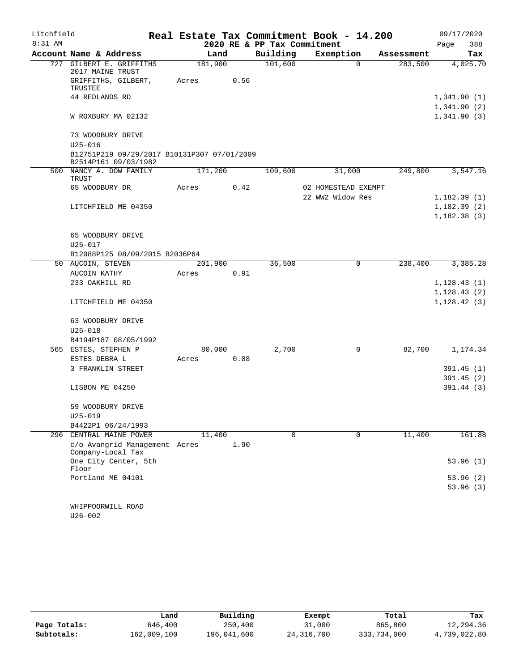| Litchfield |                                                                     |         |      |                             | Real Estate Tax Commitment Book - 14.200 |          |            | 09/17/2020                   |
|------------|---------------------------------------------------------------------|---------|------|-----------------------------|------------------------------------------|----------|------------|------------------------------|
| $8:31$ AM  |                                                                     |         |      | 2020 RE & PP Tax Commitment |                                          |          |            | Page<br>388                  |
|            | Account Name & Address                                              | Land    |      | Building                    | Exemption                                |          | Assessment | Tax                          |
| 727        | GILBERT E. GRIFFITHS<br>2017 MAINE TRUST                            | 181,900 |      | 101,600                     |                                          | $\Omega$ | 283,500    | 4,025.70                     |
|            | GRIFFITHS, GILBERT,<br>TRUSTEE                                      | Acres   | 0.56 |                             |                                          |          |            |                              |
|            | 44 REDLANDS RD                                                      |         |      |                             |                                          |          |            | 1,341.90(1)<br>1,341.90(2)   |
|            | W ROXBURY MA 02132                                                  |         |      |                             |                                          |          |            | 1,341.90(3)                  |
|            | 73 WOODBURY DRIVE                                                   |         |      |                             |                                          |          |            |                              |
|            | $U25 - 016$                                                         |         |      |                             |                                          |          |            |                              |
|            | B12751P219 09/29/2017 B10131P307 07/01/2009<br>B2514P161 09/03/1982 |         |      |                             |                                          |          |            |                              |
|            | 500 NANCY A. DOW FAMILY<br>TRUST                                    | 171,200 |      | 109,600                     | 31,000                                   |          | 249,800    | 3,547.16                     |
|            | 65 WOODBURY DR                                                      | Acres   | 0.42 |                             | 02 HOMESTEAD EXEMPT                      |          |            |                              |
|            |                                                                     |         |      |                             | 22 WW2 Widow Res                         |          |            | 1,182.39(1)                  |
|            | LITCHFIELD ME 04350                                                 |         |      |                             |                                          |          |            | 1,182.39(2)                  |
|            |                                                                     |         |      |                             |                                          |          |            | 1,182.38(3)                  |
|            | 65 WOODBURY DRIVE                                                   |         |      |                             |                                          |          |            |                              |
|            | $U25 - 017$                                                         |         |      |                             |                                          |          |            |                              |
|            | B12088P125 08/09/2015 B2036P64                                      |         |      |                             |                                          |          |            |                              |
|            | 50 AUCOIN, STEVEN                                                   | 201,900 |      | 36,500                      |                                          | 0        | 238,400    | 3,385.28                     |
|            | AUCOIN KATHY                                                        | Acres   | 0.91 |                             |                                          |          |            |                              |
|            | 233 OAKHILL RD                                                      |         |      |                             |                                          |          |            | 1, 128.43(1)<br>1, 128.43(2) |
|            | LITCHFIELD ME 04350                                                 |         |      |                             |                                          |          |            | 1, 128.42(3)                 |
|            | 63 WOODBURY DRIVE                                                   |         |      |                             |                                          |          |            |                              |
|            | $U25 - 018$                                                         |         |      |                             |                                          |          |            |                              |
|            | B4194P187 08/05/1992                                                |         |      |                             |                                          |          |            |                              |
|            | 565 ESTES, STEPHEN P                                                | 80,000  |      | 2,700                       |                                          | 0        | 82,700     | 1,174.34                     |
|            | ESTES DEBRA L                                                       | Acres   | 0.08 |                             |                                          |          |            |                              |
|            | 3 FRANKLIN STREET                                                   |         |      |                             |                                          |          |            | 391.45(1)                    |
|            |                                                                     |         |      |                             |                                          |          |            | 391.45(2)                    |
|            | LISBON ME 04250                                                     |         |      |                             |                                          |          |            | 391.44 (3)                   |
|            | 59 WOODBURY DRIVE                                                   |         |      |                             |                                          |          |            |                              |
|            | $U25 - 019$                                                         |         |      |                             |                                          |          |            |                              |
|            | B4422P1 06/24/1993                                                  |         |      |                             |                                          |          |            |                              |
| 296        | CENTRAL MAINE POWER                                                 | 11,400  |      | 0                           |                                          | 0        | 11,400     | 161.88                       |
|            | c/o Avangrid Management Acres<br>Company-Local Tax                  |         | 1.90 |                             |                                          |          |            |                              |
|            | One City Center, 5th<br>Floor                                       |         |      |                             |                                          |          |            | 53.96(1)                     |
|            | Portland ME 04101                                                   |         |      |                             |                                          |          |            | 53.96 (2)                    |
|            |                                                                     |         |      |                             |                                          |          |            | 53.96(3)                     |
|            | WHIPPOORWILL ROAD                                                   |         |      |                             |                                          |          |            |                              |
|            | U26-002                                                             |         |      |                             |                                          |          |            |                              |

|              | Land        | Building    | Exempt     | Total       | Tax          |
|--------------|-------------|-------------|------------|-------------|--------------|
| Page Totals: | 646,400     | 250,400     | 31,000     | 865,800     | 12,294.36    |
| Subtotals:   | 162,009,100 | 196,041,600 | 24,316,700 | 333,734,000 | 4,739,022.80 |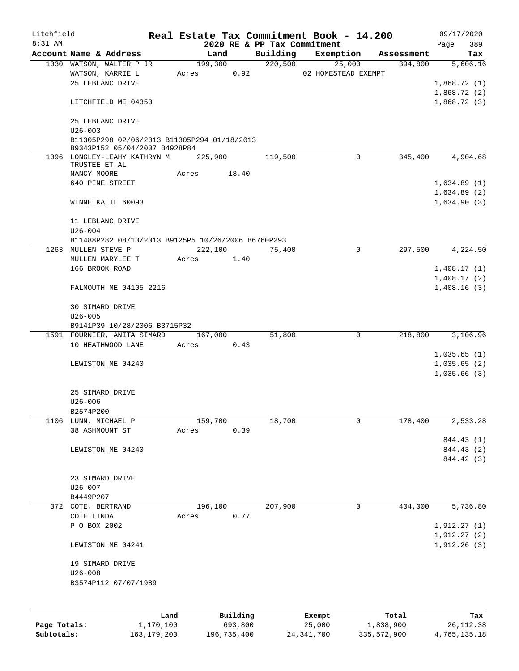| Litchfield   |                                                                              |                   |         |                     |                                         | Real Estate Tax Commitment Book - 14.200 |                    | 09/17/2020                 |
|--------------|------------------------------------------------------------------------------|-------------------|---------|---------------------|-----------------------------------------|------------------------------------------|--------------------|----------------------------|
| $8:31$ AM    | Account Name & Address                                                       |                   | Land    |                     | 2020 RE & PP Tax Commitment<br>Building | Exemption                                | Assessment         | 389<br>Page<br>Tax         |
|              | 1030 WATSON, WALTER P JR                                                     |                   |         | 199,300             | 220,500                                 | 25,000                                   | 394,800            | 5,606.16                   |
|              | WATSON, KARRIE L                                                             |                   | Acres   | 0.92                |                                         | 02 HOMESTEAD EXEMPT                      |                    |                            |
|              | 25 LEBLANC DRIVE                                                             |                   |         |                     |                                         |                                          |                    | 1,868.72(1)                |
|              |                                                                              |                   |         |                     |                                         |                                          |                    | 1,868.72(2)                |
|              | LITCHFIELD ME 04350                                                          |                   |         |                     |                                         |                                          |                    | 1,868.72(3)                |
|              | 25 LEBLANC DRIVE                                                             |                   |         |                     |                                         |                                          |                    |                            |
|              | $U26 - 003$                                                                  |                   |         |                     |                                         |                                          |                    |                            |
|              | B11305P298 02/06/2013 B11305P294 01/18/2013<br>B9343P152 05/04/2007 B4928P84 |                   |         |                     |                                         |                                          |                    |                            |
|              | 1096 LONGLEY-LEAHY KATHRYN M<br>TRUSTEE ET AL                                |                   | 225,900 |                     | 119,500                                 | 0                                        | 345,400            | 4,904.68                   |
|              | NANCY MOORE                                                                  |                   | Acres   | 18.40               |                                         |                                          |                    |                            |
|              | 640 PINE STREET                                                              |                   |         |                     |                                         |                                          |                    | 1,634.89(1)                |
|              |                                                                              |                   |         |                     |                                         |                                          |                    | 1,634.89(2)                |
|              | WINNETKA IL 60093                                                            |                   |         |                     |                                         |                                          |                    | 1,634.90(3)                |
|              | 11 LEBLANC DRIVE                                                             |                   |         |                     |                                         |                                          |                    |                            |
|              | $U26 - 004$                                                                  |                   |         |                     |                                         |                                          |                    |                            |
|              | B11488P282 08/13/2013 B9125P5 10/26/2006 B6760P293                           |                   |         |                     |                                         |                                          |                    |                            |
|              | 1263 MULLEN STEVE P                                                          |                   | 222,100 |                     | 75,400                                  | $\mathbf 0$                              | 297,500            | 4,224.50                   |
|              | MULLEN MARYLEE T                                                             |                   | Acres   | 1.40                |                                         |                                          |                    |                            |
|              | 166 BROOK ROAD                                                               |                   |         |                     |                                         |                                          |                    | 1,408.17(1)                |
|              | FALMOUTH ME 04105 2216                                                       |                   |         |                     |                                         |                                          |                    | 1,408.17(2)<br>1,408.16(3) |
|              |                                                                              |                   |         |                     |                                         |                                          |                    |                            |
|              | 30 SIMARD DRIVE                                                              |                   |         |                     |                                         |                                          |                    |                            |
|              | $U26 - 005$                                                                  |                   |         |                     |                                         |                                          |                    |                            |
|              | B9141P39 10/28/2006 B3715P32<br>1591 FOURNIER, ANITA SIMARD                  |                   |         | 167,000             | 51,800                                  | 0                                        | 218,800            | 3,106.96                   |
|              | 10 HEATHWOOD LANE                                                            |                   | Acres   | 0.43                |                                         |                                          |                    |                            |
|              |                                                                              |                   |         |                     |                                         |                                          |                    | 1,035.65(1)                |
|              | LEWISTON ME 04240                                                            |                   |         |                     |                                         |                                          |                    | 1,035.65(2)                |
|              |                                                                              |                   |         |                     |                                         |                                          |                    | 1,035.66(3)                |
|              | 25 SIMARD DRIVE                                                              |                   |         |                     |                                         |                                          |                    |                            |
|              | $U26 - 006$                                                                  |                   |         |                     |                                         |                                          |                    |                            |
|              | B2574P200                                                                    |                   |         |                     |                                         |                                          |                    |                            |
| 1106         | LUNN, MICHAEL P                                                              |                   | 159,700 |                     | 18,700                                  | 0                                        | 178,400            | 2,533.28                   |
|              | 38 ASHMOUNT ST                                                               |                   | Acres   | 0.39                |                                         |                                          |                    |                            |
|              |                                                                              |                   |         |                     |                                         |                                          |                    | 844.43 (1)                 |
|              | LEWISTON ME 04240                                                            |                   |         |                     |                                         |                                          |                    | 844.43 (2)                 |
|              |                                                                              |                   |         |                     |                                         |                                          |                    | 844.42 (3)                 |
|              | 23 SIMARD DRIVE                                                              |                   |         |                     |                                         |                                          |                    |                            |
|              | $U26 - 007$                                                                  |                   |         |                     |                                         |                                          |                    |                            |
|              | B4449P207                                                                    |                   |         |                     |                                         |                                          |                    |                            |
|              | 372 COTE, BERTRAND                                                           |                   | 196,100 |                     | 207,900                                 | 0                                        | 404,000            | 5,736.80                   |
|              | COTE LINDA                                                                   |                   | Acres   | 0.77                |                                         |                                          |                    |                            |
|              | P O BOX 2002                                                                 |                   |         |                     |                                         |                                          |                    | 1,912.27(1)                |
|              |                                                                              |                   |         |                     |                                         |                                          |                    | 1,912.27(2)                |
|              | LEWISTON ME 04241                                                            |                   |         |                     |                                         |                                          |                    | 1,912.26(3)                |
|              | 19 SIMARD DRIVE                                                              |                   |         |                     |                                         |                                          |                    |                            |
|              | $U26 - 008$                                                                  |                   |         |                     |                                         |                                          |                    |                            |
|              | B3574P112 07/07/1989                                                         |                   |         |                     |                                         |                                          |                    |                            |
|              |                                                                              |                   |         |                     |                                         |                                          |                    |                            |
|              |                                                                              |                   |         |                     |                                         |                                          |                    |                            |
| Page Totals: |                                                                              | Land<br>1,170,100 |         | Building<br>693,800 |                                         | Exempt<br>25,000                         | Total<br>1,838,900 | Tax<br>26, 112.38          |

**Subtotals:** 163,179,200 196,735,400 24,341,700 335,572,900 4,765,135.18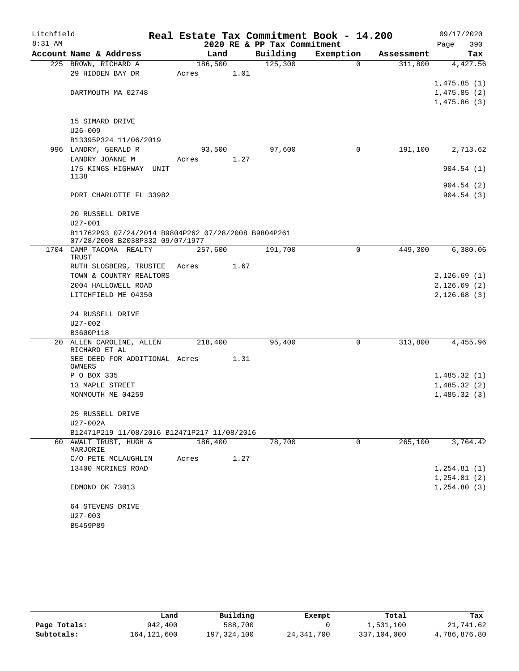| Litchfield |                                                                    |         |      |                             | Real Estate Tax Commitment Book - 14.200 |            |      | 09/17/2020                 |
|------------|--------------------------------------------------------------------|---------|------|-----------------------------|------------------------------------------|------------|------|----------------------------|
| 8:31 AM    |                                                                    |         |      | 2020 RE & PP Tax Commitment |                                          |            | Page | 390                        |
|            | Account Name & Address                                             | Land    |      | Building                    | Exemption                                | Assessment |      | Tax                        |
|            | 225 BROWN, RICHARD A                                               | 186,500 |      | 125,300                     | $\Omega$                                 | 311,800    |      | 4,427.56                   |
|            | 29 HIDDEN BAY DR                                                   | Acres   | 1.01 |                             |                                          |            |      |                            |
|            |                                                                    |         |      |                             |                                          |            |      | 1,475.85(1)                |
|            | DARTMOUTH MA 02748                                                 |         |      |                             |                                          |            |      | 1,475.85(2)                |
|            |                                                                    |         |      |                             |                                          |            |      | 1,475.86(3)                |
|            | 15 SIMARD DRIVE                                                    |         |      |                             |                                          |            |      |                            |
|            | $U26 - 009$                                                        |         |      |                             |                                          |            |      |                            |
|            | B13395P324 11/06/2019                                              |         |      |                             |                                          |            |      |                            |
|            | 996 LANDRY, GERALD R                                               | 93,500  |      | 97,600                      | 0                                        | 191,100    |      | 2,713.62                   |
|            | LANDRY JOANNE M                                                    | Acres   | 1.27 |                             |                                          |            |      |                            |
|            | 175 KINGS HIGHWAY UNIT                                             |         |      |                             |                                          |            |      | 904.54(1)                  |
|            | 1138                                                               |         |      |                             |                                          |            |      |                            |
|            |                                                                    |         |      |                             |                                          |            |      | 904.54(2)                  |
|            | PORT CHARLOTTE FL 33982                                            |         |      |                             |                                          |            |      | 904.54(3)                  |
|            |                                                                    |         |      |                             |                                          |            |      |                            |
|            | 20 RUSSELL DRIVE                                                   |         |      |                             |                                          |            |      |                            |
|            | $U27 - 001$<br>B11762P93 07/24/2014 B9804P262 07/28/2008 B9804P261 |         |      |                             |                                          |            |      |                            |
|            | 07/28/2008 B2038P332 09/07/1977                                    |         |      |                             |                                          |            |      |                            |
|            | 1704 CAMP TACOMA REALTY                                            | 257,600 |      | 191,700                     | 0                                        | 449,300    |      | 6,380.06                   |
|            | TRUST                                                              |         |      |                             |                                          |            |      |                            |
|            | RUTH SLOSBERG, TRUSTEE                                             | Acres   | 1.67 |                             |                                          |            |      |                            |
|            | TOWN & COUNTRY REALTORS                                            |         |      |                             |                                          |            |      | 2,126.69(1)                |
|            | 2004 HALLOWELL ROAD                                                |         |      |                             |                                          |            |      | 2,126.69(2)                |
|            | LITCHFIELD ME 04350                                                |         |      |                             |                                          |            |      | 2,126.68(3)                |
|            | 24 RUSSELL DRIVE                                                   |         |      |                             |                                          |            |      |                            |
|            | $U27 - 002$                                                        |         |      |                             |                                          |            |      |                            |
|            | B3600P118                                                          |         |      |                             |                                          |            |      |                            |
|            | 20 ALLEN CAROLINE, ALLEN                                           | 218,400 |      | 95,400                      | 0                                        | 313,800    |      | 4,455.96                   |
|            | RICHARD ET AL                                                      |         |      |                             |                                          |            |      |                            |
|            | SEE DEED FOR ADDITIONAL Acres                                      |         | 1.31 |                             |                                          |            |      |                            |
|            | OWNERS                                                             |         |      |                             |                                          |            |      |                            |
|            | P O BOX 335                                                        |         |      |                             |                                          |            |      | 1,485.32(1)<br>1,485.32(2) |
|            | 13 MAPLE STREET<br>MONMOUTH ME 04259                               |         |      |                             |                                          |            |      | 1,485.32(3)                |
|            |                                                                    |         |      |                             |                                          |            |      |                            |
|            | 25 RUSSELL DRIVE                                                   |         |      |                             |                                          |            |      |                            |
|            | U27-002A                                                           |         |      |                             |                                          |            |      |                            |
|            | B12471P219 11/08/2016 B12471P217 11/08/2016                        |         |      |                             |                                          |            |      |                            |
|            | 60 AWALT TRUST, HUGH &                                             | 186,400 |      | 78,700                      | 0                                        | 265,100    |      | 3,764.42                   |
|            | MARJORIE                                                           |         |      |                             |                                          |            |      |                            |
|            | C/O PETE MCLAUGHLIN                                                | Acres   | 1.27 |                             |                                          |            |      |                            |
|            | 13400 MCRINES ROAD                                                 |         |      |                             |                                          |            |      | 1, 254.81(1)               |
|            |                                                                    |         |      |                             |                                          |            |      | 1, 254.81(2)               |
|            | EDMOND OK 73013                                                    |         |      |                             |                                          |            |      | 1, 254.80(3)               |
|            | 64 STEVENS DRIVE                                                   |         |      |                             |                                          |            |      |                            |
|            | U27-003                                                            |         |      |                             |                                          |            |      |                            |
|            | B5459P89                                                           |         |      |                             |                                          |            |      |                            |
|            |                                                                    |         |      |                             |                                          |            |      |                            |

|              | Land          | Building    | Exempt       | Total       | Tax          |
|--------------|---------------|-------------|--------------|-------------|--------------|
| Page Totals: | 942,400       | 588,700     |              | 1,531,100   | 21,741.62    |
| Subtotals:   | 164, 121, 600 | 197,324,100 | 24, 341, 700 | 337,104,000 | 4,786,876.80 |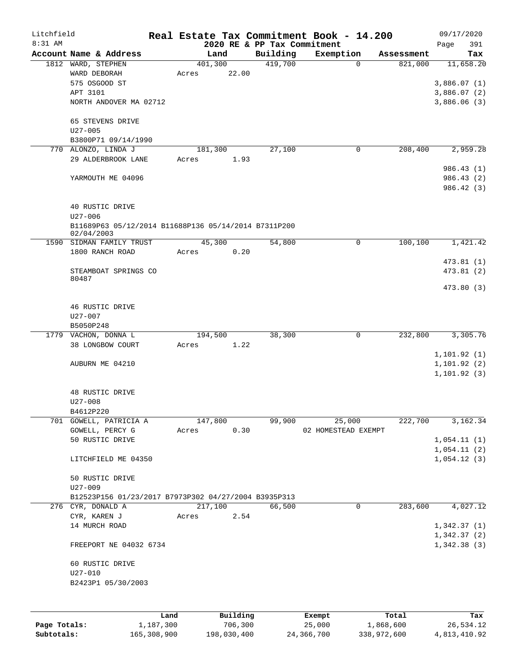| Litchfield   |                                                      |                 |          |                             | Real Estate Tax Commitment Book - 14.200 |                       | 09/17/2020   |
|--------------|------------------------------------------------------|-----------------|----------|-----------------------------|------------------------------------------|-----------------------|--------------|
| 8:31 AM      |                                                      |                 |          | 2020 RE & PP Tax Commitment |                                          |                       | Page<br>391  |
|              | Account Name & Address                               | Land<br>401,300 |          | Building<br>419,700         | Exemption<br>$\Omega$                    | Assessment<br>821,000 | Tax          |
|              | 1812 WARD, STEPHEN<br>WARD DEBORAH                   | Acres           | 22.00    |                             |                                          |                       | 11,658.20    |
|              | 575 OSGOOD ST                                        |                 |          |                             |                                          |                       | 3,886.07(1)  |
|              | APT 3101                                             |                 |          |                             |                                          |                       | 3,886.07(2)  |
|              | NORTH ANDOVER MA 02712                               |                 |          |                             |                                          |                       | 3,886.06(3)  |
|              | 65 STEVENS DRIVE                                     |                 |          |                             |                                          |                       |              |
|              | $U27 - 005$                                          |                 |          |                             |                                          |                       |              |
|              | B3800P71 09/14/1990                                  |                 |          |                             |                                          |                       |              |
|              | 770 ALONZO, LINDA J                                  | 181,300         |          | 27,100                      | 0                                        | 208,400               | 2,959.28     |
|              | 29 ALDERBROOK LANE                                   | Acres           | 1.93     |                             |                                          |                       |              |
|              |                                                      |                 |          |                             |                                          |                       | 986.43 (1)   |
|              | YARMOUTH ME 04096                                    |                 |          |                             |                                          |                       | 986.43 (2)   |
|              |                                                      |                 |          |                             |                                          |                       | 986.42 (3)   |
|              |                                                      |                 |          |                             |                                          |                       |              |
|              | 40 RUSTIC DRIVE<br>$U27 - 006$                       |                 |          |                             |                                          |                       |              |
|              | B11689P63 05/12/2014 B11688P136 05/14/2014 B7311P200 |                 |          |                             |                                          |                       |              |
|              | 02/04/2003                                           |                 |          |                             |                                          |                       |              |
|              | 1590 SIDMAN FAMILY TRUST                             | 45,300          |          | 54,800                      | 0                                        | 100,100               | 1,421.42     |
|              | 1800 RANCH ROAD                                      | Acres           | 0.20     |                             |                                          |                       |              |
|              |                                                      |                 |          |                             |                                          |                       | 473.81 (1)   |
|              | STEAMBOAT SPRINGS CO                                 |                 |          |                             |                                          |                       | 473.81(2)    |
|              | 80487                                                |                 |          |                             |                                          |                       | 473.80 (3)   |
|              |                                                      |                 |          |                             |                                          |                       |              |
|              | 46 RUSTIC DRIVE                                      |                 |          |                             |                                          |                       |              |
|              | U27-007                                              |                 |          |                             |                                          |                       |              |
|              | B5050P248                                            |                 |          |                             |                                          |                       |              |
|              | 1779 VACHON, DONNA L                                 | 194,500         |          | 38,300                      | 0                                        | 232,800               | 3,305.76     |
|              | 38 LONGBOW COURT                                     | Acres           | 1.22     |                             |                                          |                       |              |
|              |                                                      |                 |          |                             |                                          |                       | 1,101.92(1)  |
|              | AUBURN ME 04210                                      |                 |          |                             |                                          |                       | 1, 101.92(2) |
|              |                                                      |                 |          |                             |                                          |                       | 1, 101.92(3) |
|              |                                                      |                 |          |                             |                                          |                       |              |
|              | 48 RUSTIC DRIVE<br>$U27 - 008$                       |                 |          |                             |                                          |                       |              |
|              | B4612P220                                            |                 |          |                             |                                          |                       |              |
|              | 701 GOWELL, PATRICIA A                               | 147,800         |          | 99,900                      | 25,000                                   | 222,700               | 3,162.34     |
|              | GOWELL, PERCY G                                      | Acres           | 0.30     |                             | 02 HOMESTEAD EXEMPT                      |                       |              |
|              | 50 RUSTIC DRIVE                                      |                 |          |                             |                                          |                       | 1,054.11(1)  |
|              |                                                      |                 |          |                             |                                          |                       | 1,054.11(2)  |
|              | LITCHFIELD ME 04350                                  |                 |          |                             |                                          |                       | 1,054.12(3)  |
|              |                                                      |                 |          |                             |                                          |                       |              |
|              | 50 RUSTIC DRIVE                                      |                 |          |                             |                                          |                       |              |
|              | $U27 - 009$                                          |                 |          |                             |                                          |                       |              |
|              | B12523P156 01/23/2017 B7973P302 04/27/2004 B3935P313 |                 |          |                             |                                          |                       |              |
|              | 276 CYR, DONALD A                                    | 217,100         |          | 66,500                      | $\mathbf 0$                              | 283,600               | 4,027.12     |
|              | CYR, KAREN J<br>14 MURCH ROAD                        | Acres           | 2.54     |                             |                                          |                       | 1,342.37(1)  |
|              |                                                      |                 |          |                             |                                          |                       | 1,342.37(2)  |
|              | FREEPORT NE 04032 6734                               |                 |          |                             |                                          |                       | 1,342.38(3)  |
|              |                                                      |                 |          |                             |                                          |                       |              |
|              | 60 RUSTIC DRIVE                                      |                 |          |                             |                                          |                       |              |
|              | $U27 - 010$                                          |                 |          |                             |                                          |                       |              |
|              | B2423P1 05/30/2003                                   |                 |          |                             |                                          |                       |              |
|              |                                                      |                 |          |                             |                                          |                       |              |
|              |                                                      |                 |          |                             |                                          |                       |              |
|              |                                                      | Land            | Building |                             | Exempt                                   | Total                 | Tax          |
| Page Totals: | 1,187,300                                            |                 | 706,300  |                             | 25,000                                   | 1,868,600             | 26,534.12    |

**Subtotals:** 165,308,900 198,030,400 24,366,700 338,972,600 4,813,410.92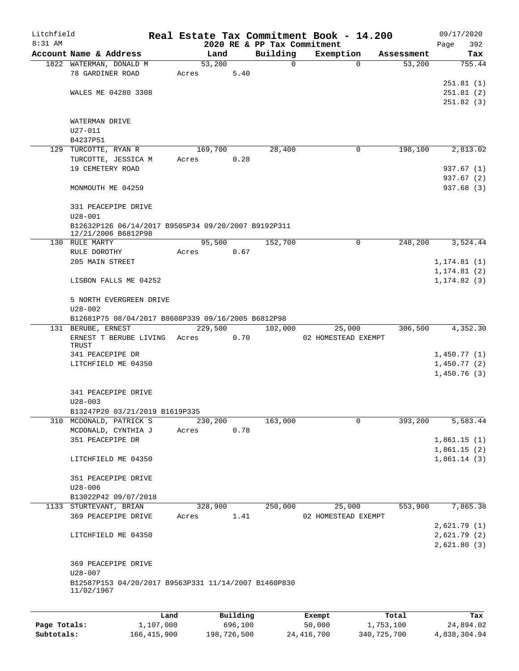| Litchfield |                                                      |       |          |          | Real Estate Tax Commitment Book - 14.200 |                        | 09/17/2020   |
|------------|------------------------------------------------------|-------|----------|----------|------------------------------------------|------------------------|--------------|
| $8:31$ AM  |                                                      |       |          |          | 2020 RE & PP Tax Commitment              |                        | 392<br>Page  |
|            | Account Name & Address                               |       | Land     | Building | Exemption                                | Assessment             | Tax          |
|            | 1822 WATERMAN, DONALD M                              |       | 53,200   |          | 0                                        | 53,200<br>$\Omega$     | 755.44       |
|            | 78 GARDINER ROAD                                     | Acres | 5.40     |          |                                          |                        |              |
|            |                                                      |       |          |          |                                          |                        | 251.81(1)    |
|            | WALES ME 04280 3308                                  |       |          |          |                                          |                        | 251.81(2)    |
|            |                                                      |       |          |          |                                          |                        | 251.82(3)    |
|            |                                                      |       |          |          |                                          |                        |              |
|            | WATERMAN DRIVE                                       |       |          |          |                                          |                        |              |
|            | $U27 - 011$                                          |       |          |          |                                          |                        |              |
|            | B4237P51                                             |       |          |          |                                          |                        |              |
|            | 129 TURCOTTE, RYAN R                                 |       | 169,700  | 28,400   |                                          | 198,100<br>0           | 2,813.02     |
|            | TURCOTTE, JESSICA M                                  | Acres | 0.28     |          |                                          |                        |              |
|            | 19 CEMETERY ROAD                                     |       |          |          |                                          |                        | 937.67 (1)   |
|            |                                                      |       |          |          |                                          |                        | 937.67 (2)   |
|            | MONMOUTH ME 04259                                    |       |          |          |                                          |                        | 937.68 (3)   |
|            |                                                      |       |          |          |                                          |                        |              |
|            | 331 PEACEPIPE DRIVE                                  |       |          |          |                                          |                        |              |
|            | $U28 - 001$                                          |       |          |          |                                          |                        |              |
|            | B12632P126 06/14/2017 B9505P34 09/20/2007 B9192P311  |       |          |          |                                          |                        |              |
|            | 12/21/2006 B6812P98                                  |       |          |          |                                          |                        |              |
|            | 130 RULE MARTY                                       |       | 95,500   | 152,700  |                                          | $\mathbf 0$<br>248,200 | 3,524.44     |
|            | RULE DOROTHY                                         | Acres | 0.67     |          |                                          |                        |              |
|            | 205 MAIN STREET                                      |       |          |          |                                          |                        | 1, 174.81(1) |
|            |                                                      |       |          |          |                                          |                        | 1, 174.81(2) |
|            | LISBON FALLS ME 04252                                |       |          |          |                                          |                        | 1, 174.82(3) |
|            |                                                      |       |          |          |                                          |                        |              |
|            | 5 NORTH EVERGREEN DRIVE                              |       |          |          |                                          |                        |              |
|            | $U28 - 002$                                          |       |          |          |                                          |                        |              |
|            | B12681P75 08/04/2017 B8608P339 09/16/2005 B6812P98   |       |          |          |                                          |                        |              |
|            | 131 BERUBE, ERNEST                                   |       | 229,500  | 102,000  | 25,000                                   | 306,500                | 4,352.30     |
|            | ERNEST T BERUBE LIVING                               | Acres | 0.70     |          | 02 HOMESTEAD EXEMPT                      |                        |              |
|            | TRUST                                                |       |          |          |                                          |                        |              |
|            | 341 PEACEPIPE DR                                     |       |          |          |                                          |                        | 1,450.77(1)  |
|            | LITCHFIELD ME 04350                                  |       |          |          |                                          |                        | 1,450.77(2)  |
|            |                                                      |       |          |          |                                          |                        | 1,450.76(3)  |
|            |                                                      |       |          |          |                                          |                        |              |
|            | 341 PEACEPIPE DRIVE                                  |       |          |          |                                          |                        |              |
|            | $U28 - 003$                                          |       |          |          |                                          |                        |              |
|            | B13247P20 03/21/2019 B1619P335                       |       |          |          |                                          |                        |              |
|            | 310 MCDONALD, PATRICK S                              |       | 230,200  | 163,000  | 0                                        | 393,200                | 5,583.44     |
|            | MCDONALD, CYNTHIA J                                  | Acres | 0.78     |          |                                          |                        |              |
|            | 351 PEACEPIPE DR                                     |       |          |          |                                          |                        | 1,861.15(1)  |
|            |                                                      |       |          |          |                                          |                        | 1,861.15(2)  |
|            | LITCHFIELD ME 04350                                  |       |          |          |                                          |                        | 1,861.14(3)  |
|            |                                                      |       |          |          |                                          |                        |              |
|            | 351 PEACEPIPE DRIVE                                  |       |          |          |                                          |                        |              |
|            | $U28 - 006$                                          |       |          |          |                                          |                        |              |
|            | B13022P42 09/07/2018                                 |       |          |          |                                          |                        |              |
|            | 1133 STURTEVANT, BRIAN                               |       | 328,900  | 250,000  | 25,000                                   | 553,900                | 7,865.38     |
|            | 369 PEACEPIPE DRIVE                                  | Acres | 1.41     |          | 02 HOMESTEAD EXEMPT                      |                        |              |
|            |                                                      |       |          |          |                                          |                        | 2,621.79(1)  |
|            | LITCHFIELD ME 04350                                  |       |          |          |                                          |                        | 2,621.79(2)  |
|            |                                                      |       |          |          |                                          |                        | 2,621.80(3)  |
|            |                                                      |       |          |          |                                          |                        |              |
|            | 369 PEACEPIPE DRIVE                                  |       |          |          |                                          |                        |              |
|            | U28-007                                              |       |          |          |                                          |                        |              |
|            | B12587P153 04/20/2017 B9563P331 11/14/2007 B1460P830 |       |          |          |                                          |                        |              |
|            | 11/02/1967                                           |       |          |          |                                          |                        |              |
|            |                                                      |       |          |          |                                          |                        |              |
|            |                                                      |       |          |          |                                          |                        |              |
|            |                                                      | Land  | Building |          | Exempt                                   | Total                  | Tax          |

**Page Totals:** 1,107,000 696,100 50,000 1,753,100 24,894.02 **Subtotals:** 166,415,900 198,726,500 24,416,700 340,725,700 4,838,304.94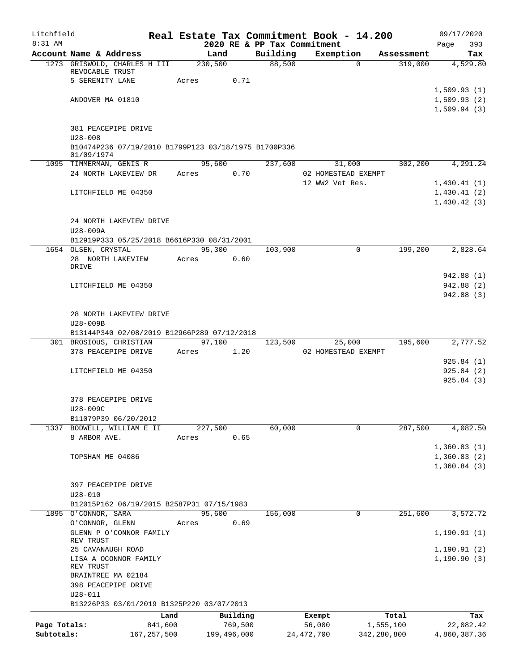| Litchfield   |                                                                    | Real Estate Tax Commitment Book - 14.200 |             |                             |                 |                     |            | 09/17/2020   |  |  |  |
|--------------|--------------------------------------------------------------------|------------------------------------------|-------------|-----------------------------|-----------------|---------------------|------------|--------------|--|--|--|
| 8:31 AM      |                                                                    |                                          |             | 2020 RE & PP Tax Commitment |                 |                     |            | 393<br>Page  |  |  |  |
|              | Account Name & Address                                             | Land                                     |             | Building                    | Exemption       |                     | Assessment | Tax          |  |  |  |
|              | 1273 GRISWOLD, CHARLES H III<br>REVOCABLE TRUST                    | 230,500                                  |             | 88,500                      |                 | $\Omega$            | 319,000    | 4,529.80     |  |  |  |
|              | 5 SERENITY LANE                                                    | Acres                                    | 0.71        |                             |                 |                     |            |              |  |  |  |
|              |                                                                    |                                          |             |                             |                 |                     |            | 1,509.93(1)  |  |  |  |
|              | ANDOVER MA 01810                                                   |                                          |             |                             |                 |                     |            | 1,509.93(2)  |  |  |  |
|              |                                                                    |                                          |             |                             |                 |                     |            | 1,509.94(3)  |  |  |  |
|              |                                                                    |                                          |             |                             |                 |                     |            |              |  |  |  |
|              | 381 PEACEPIPE DRIVE                                                |                                          |             |                             |                 |                     |            |              |  |  |  |
|              | $U28 - 008$                                                        |                                          |             |                             |                 |                     |            |              |  |  |  |
|              | B10474P236 07/19/2010 B1799P123 03/18/1975 B1700P336<br>01/09/1974 |                                          |             |                             |                 |                     |            |              |  |  |  |
|              | 1095 TIMMERMAN, GENIS R                                            | 95,600                                   |             | 237,600                     |                 | 31,000              | 302,200    | 4,291.24     |  |  |  |
|              | 24 NORTH LAKEVIEW DR                                               | Acres                                    | 0.70        |                             |                 | 02 HOMESTEAD EXEMPT |            |              |  |  |  |
|              |                                                                    |                                          |             |                             | 12 WW2 Vet Res. |                     |            | 1,430.41(1)  |  |  |  |
|              | LITCHFIELD ME 04350                                                |                                          |             |                             |                 |                     |            | 1,430.41(2)  |  |  |  |
|              |                                                                    |                                          |             |                             |                 |                     |            | 1,430.42(3)  |  |  |  |
|              |                                                                    |                                          |             |                             |                 |                     |            |              |  |  |  |
|              | 24 NORTH LAKEVIEW DRIVE                                            |                                          |             |                             |                 |                     |            |              |  |  |  |
|              | U28-009A                                                           |                                          |             |                             |                 |                     |            |              |  |  |  |
|              | B12919P333 05/25/2018 B6616P330 08/31/2001<br>1654 OLSEN, CRYSTAL  | 95,300                                   |             | 103,900                     |                 | $\Omega$            | 199,200    | 2,828.64     |  |  |  |
|              | 28 NORTH LAKEVIEW                                                  | Acres                                    | 0.60        |                             |                 |                     |            |              |  |  |  |
|              | DRIVE                                                              |                                          |             |                             |                 |                     |            |              |  |  |  |
|              |                                                                    |                                          |             |                             |                 |                     |            | 942.88 (1)   |  |  |  |
|              | LITCHFIELD ME 04350                                                |                                          |             |                             |                 |                     |            | 942.88 (2)   |  |  |  |
|              |                                                                    |                                          |             |                             |                 |                     |            | 942.88 (3)   |  |  |  |
|              |                                                                    |                                          |             |                             |                 |                     |            |              |  |  |  |
|              | 28 NORTH LAKEVIEW DRIVE<br>U28-009B                                |                                          |             |                             |                 |                     |            |              |  |  |  |
|              | B13144P340 02/08/2019 B12966P289 07/12/2018                        |                                          |             |                             |                 |                     |            |              |  |  |  |
|              | 301 BROSIOUS, CHRISTIAN                                            |                                          | 97,100      | 123,500                     |                 | 25,000              | 195,600    | 2,777.52     |  |  |  |
|              | 378 PEACEPIPE DRIVE                                                | Acres                                    | 1.20        |                             |                 | 02 HOMESTEAD EXEMPT |            |              |  |  |  |
|              |                                                                    |                                          |             |                             |                 |                     |            | 925.84(1)    |  |  |  |
|              | LITCHFIELD ME 04350                                                |                                          |             |                             |                 |                     |            | 925.84(2)    |  |  |  |
|              |                                                                    |                                          |             |                             |                 |                     |            | 925.84(3)    |  |  |  |
|              |                                                                    |                                          |             |                             |                 |                     |            |              |  |  |  |
|              | 378 PEACEPIPE DRIVE                                                |                                          |             |                             |                 |                     |            |              |  |  |  |
|              | U28-009C<br>B11079P39 06/20/2012                                   |                                          |             |                             |                 |                     |            |              |  |  |  |
|              | 1337 BODWELL, WILLIAM E II                                         | 227,500                                  |             | 60,000                      |                 | 0                   | 287,500    | 4,082.50     |  |  |  |
|              | 8 ARBOR AVE.                                                       | Acres                                    | 0.65        |                             |                 |                     |            |              |  |  |  |
|              |                                                                    |                                          |             |                             |                 |                     |            | 1,360.83(1)  |  |  |  |
|              | TOPSHAM ME 04086                                                   |                                          |             |                             |                 |                     |            | 1,360.83(2)  |  |  |  |
|              |                                                                    |                                          |             |                             |                 |                     |            | 1,360.84(3)  |  |  |  |
|              |                                                                    |                                          |             |                             |                 |                     |            |              |  |  |  |
|              | 397 PEACEPIPE DRIVE                                                |                                          |             |                             |                 |                     |            |              |  |  |  |
|              | $U28 - 010$                                                        |                                          |             |                             |                 |                     |            |              |  |  |  |
|              | B12015P162 06/19/2015 B2587P31 07/15/1983<br>1895 O'CONNOR, SARA   | 95,600                                   |             | 156,000                     |                 | 0                   | 251,600    | 3,572.72     |  |  |  |
|              | O'CONNOR, GLENN                                                    | Acres                                    | 0.69        |                             |                 |                     |            |              |  |  |  |
|              | GLENN P O'CONNOR FAMILY                                            |                                          |             |                             |                 |                     |            | 1, 190.91(1) |  |  |  |
|              | REV TRUST                                                          |                                          |             |                             |                 |                     |            |              |  |  |  |
|              | 25 CAVANAUGH ROAD                                                  |                                          |             |                             |                 |                     |            | 1,190.91(2)  |  |  |  |
|              | LISA A OCONNOR FAMILY                                              |                                          |             |                             |                 |                     |            | 1, 190.90(3) |  |  |  |
|              | REV TRUST<br>BRAINTREE MA 02184                                    |                                          |             |                             |                 |                     |            |              |  |  |  |
|              | 398 PEACEPIPE DRIVE                                                |                                          |             |                             |                 |                     |            |              |  |  |  |
|              | $U28 - 011$                                                        |                                          |             |                             |                 |                     |            |              |  |  |  |
|              | B13226P33 03/01/2019 B1325P220 03/07/2013                          |                                          |             |                             |                 |                     |            |              |  |  |  |
|              |                                                                    | Land                                     | Building    |                             | Exempt          |                     | Total      | Tax          |  |  |  |
| Page Totals: | 841,600                                                            |                                          | 769,500     |                             | 56,000          |                     | 1,555,100  | 22,082.42    |  |  |  |
| Subtotals:   | 167, 257, 500                                                      |                                          | 199,496,000 |                             | 24, 472, 700    | 342,280,800         |            | 4,860,387.36 |  |  |  |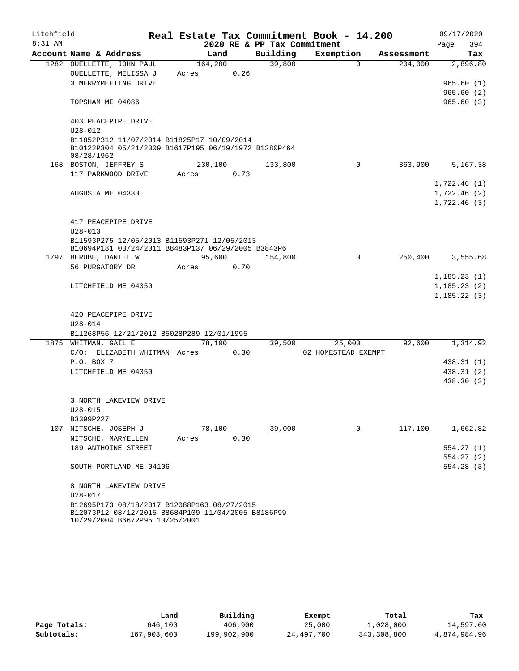| Litchfield |                                                                                                   |         |      |                             | Real Estate Tax Commitment Book - 14.200 |            | 09/17/2020   |
|------------|---------------------------------------------------------------------------------------------------|---------|------|-----------------------------|------------------------------------------|------------|--------------|
| $8:31$ AM  |                                                                                                   |         |      | 2020 RE & PP Tax Commitment |                                          |            | 394<br>Page  |
|            | Account Name & Address                                                                            | Land    |      | Building                    | Exemption                                | Assessment | Tax          |
|            | 1282 OUELLETTE, JOHN PAUL                                                                         | 164,200 |      | 39,800                      | $\Omega$                                 | 204,000    | 2,896.80     |
|            | OUELLETTE, MELISSA J                                                                              | Acres   | 0.26 |                             |                                          |            |              |
|            | 3 MERRYMEETING DRIVE                                                                              |         |      |                             |                                          |            | 965.60(1)    |
|            |                                                                                                   |         |      |                             |                                          |            | 965.60(2)    |
|            | TOPSHAM ME 04086                                                                                  |         |      |                             |                                          |            | 965.60(3)    |
|            | 403 PEACEPIPE DRIVE                                                                               |         |      |                             |                                          |            |              |
|            | $U28 - 012$                                                                                       |         |      |                             |                                          |            |              |
|            | B11852P312 11/07/2014 B11825P17 10/09/2014                                                        |         |      |                             |                                          |            |              |
|            | B10122P304 05/21/2009 B1617P195 06/19/1972 B1280P464<br>08/28/1962                                |         |      |                             |                                          |            |              |
|            | 168 BOSTON, JEFFREY S                                                                             | 230,100 |      | 133,800                     | $\mathbf 0$                              | 363,900    | 5,167.38     |
|            | 117 PARKWOOD DRIVE                                                                                | Acres   | 0.73 |                             |                                          |            |              |
|            |                                                                                                   |         |      |                             |                                          |            | 1,722.46(1)  |
|            | AUGUSTA ME 04330                                                                                  |         |      |                             |                                          |            | 1,722.46(2)  |
|            |                                                                                                   |         |      |                             |                                          |            | 1,722.46(3)  |
|            |                                                                                                   |         |      |                             |                                          |            |              |
|            | 417 PEACEPIPE DRIVE                                                                               |         |      |                             |                                          |            |              |
|            | $U28 - 013$                                                                                       |         |      |                             |                                          |            |              |
|            | B11593P275 12/05/2013 B11593P271 12/05/2013                                                       |         |      |                             |                                          |            |              |
|            | B10694P181 03/24/2011 B8483P137 06/29/2005 B3843P6                                                | 95,600  |      |                             | $\Omega$                                 |            | 3,555.68     |
|            | 1797 BERUBE, DANIEL W<br>56 PURGATORY DR                                                          | Acres   | 0.70 | 154,800                     |                                          | 250,400    |              |
|            |                                                                                                   |         |      |                             |                                          |            | 1,185.23(1)  |
|            | LITCHFIELD ME 04350                                                                               |         |      |                             |                                          |            | 1, 185.23(2) |
|            |                                                                                                   |         |      |                             |                                          |            | 1,185.22(3)  |
|            |                                                                                                   |         |      |                             |                                          |            |              |
|            | 420 PEACEPIPE DRIVE                                                                               |         |      |                             |                                          |            |              |
|            | $U28 - 014$                                                                                       |         |      |                             |                                          |            |              |
|            | B11268P56 12/21/2012 B5028P289 12/01/1995                                                         |         |      |                             |                                          |            |              |
|            | 1875 WHITMAN, GAIL E                                                                              | 78,100  |      | 39,500                      | 25,000                                   | 92,600     | 1,314.92     |
|            | C/O: ELIZABETH WHITMAN Acres 0.30                                                                 |         |      |                             | 02 HOMESTEAD EXEMPT                      |            |              |
|            | P.O. BOX 7                                                                                        |         |      |                             |                                          |            | 438.31 (1)   |
|            | LITCHFIELD ME 04350                                                                               |         |      |                             |                                          |            | 438.31 (2)   |
|            |                                                                                                   |         |      |                             |                                          |            | 438.30 (3)   |
|            | 3 NORTH LAKEVIEW DRIVE                                                                            |         |      |                             |                                          |            |              |
|            | $U28 - 015$                                                                                       |         |      |                             |                                          |            |              |
|            | B3399P227                                                                                         |         |      |                             |                                          |            |              |
|            | 107 NITSCHE, JOSEPH J                                                                             | 78,100  |      | 39,000                      | $\Omega$                                 | 117,100    | 1,662.82     |
|            | NITSCHE, MARYELLEN                                                                                | Acres   | 0.30 |                             |                                          |            |              |
|            | 189 ANTHOINE STREET                                                                               |         |      |                             |                                          |            | 554.27(1)    |
|            |                                                                                                   |         |      |                             |                                          |            | 554.27(2)    |
|            | SOUTH PORTLAND ME 04106                                                                           |         |      |                             |                                          |            | 554.28(3)    |
|            |                                                                                                   |         |      |                             |                                          |            |              |
|            | 8 NORTH LAKEVIEW DRIVE                                                                            |         |      |                             |                                          |            |              |
|            | $U28 - 017$                                                                                       |         |      |                             |                                          |            |              |
|            | B12695P173 08/18/2017 B12088P163 08/27/2015<br>B12073P12 08/12/2015 B8684P109 11/04/2005 B8186P99 |         |      |                             |                                          |            |              |
|            | 10/29/2004 B6672P95 10/25/2001                                                                    |         |      |                             |                                          |            |              |

|              | Land        | Building    | Exempt     | Total       | Tax          |
|--------------|-------------|-------------|------------|-------------|--------------|
| Page Totals: | 646,100     | 406,900     | 25,000     | 1,028,000   | 14,597.60    |
| Subtotals:   | 167,903,600 | 199,902,900 | 24,497,700 | 343,308,800 | 4,874,984.96 |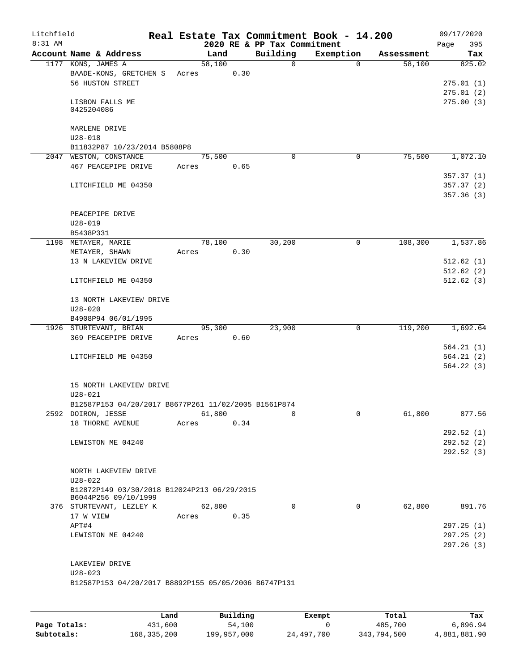| Litchfield<br>8:31 AM |                                                      |       |        |      | 2020 RE & PP Tax Commitment |          | Real Estate Tax Commitment Book - 14.200 |            | 09/17/2020<br>Page<br>395 |
|-----------------------|------------------------------------------------------|-------|--------|------|-----------------------------|----------|------------------------------------------|------------|---------------------------|
|                       | Account Name & Address                               |       | Land   |      | Building                    |          | Exemption                                | Assessment | Tax                       |
|                       | 1177 KONS, JAMES A                                   |       | 58,100 |      |                             | 0        | $\Omega$                                 | 58,100     | 825.02                    |
|                       | BAADE-KONS, GRETCHEN S                               | Acres |        | 0.30 |                             |          |                                          |            |                           |
|                       | 56 HUSTON STREET                                     |       |        |      |                             |          |                                          |            | 275.01(1)                 |
|                       |                                                      |       |        |      |                             |          |                                          |            | 275.01(2)                 |
|                       | LISBON FALLS ME                                      |       |        |      |                             |          |                                          |            | 275.00(3)                 |
|                       | 0425204086                                           |       |        |      |                             |          |                                          |            |                           |
|                       |                                                      |       |        |      |                             |          |                                          |            |                           |
|                       | MARLENE DRIVE                                        |       |        |      |                             |          |                                          |            |                           |
|                       | $U28 - 018$                                          |       |        |      |                             |          |                                          |            |                           |
|                       | B11832P87 10/23/2014 B5808P8                         |       |        |      |                             | $\Omega$ |                                          |            |                           |
|                       | 2047 WESTON, CONSTANCE                               |       | 75,500 |      |                             |          | 0                                        | 75,500     | 1,072.10                  |
|                       | 467 PEACEPIPE DRIVE                                  | Acres |        | 0.65 |                             |          |                                          |            | 357.37(1)                 |
|                       | LITCHFIELD ME 04350                                  |       |        |      |                             |          |                                          |            | 357.37(2)                 |
|                       |                                                      |       |        |      |                             |          |                                          |            | 357.36(3)                 |
|                       |                                                      |       |        |      |                             |          |                                          |            |                           |
|                       | PEACEPIPE DRIVE                                      |       |        |      |                             |          |                                          |            |                           |
|                       | U28-019                                              |       |        |      |                             |          |                                          |            |                           |
|                       | B5438P331                                            |       |        |      |                             |          |                                          |            |                           |
|                       | 1198 METAYER, MARIE                                  |       | 78,100 |      | 30,200                      |          | 0                                        | 108,300    | 1,537.86                  |
|                       | METAYER, SHAWN                                       | Acres |        | 0.30 |                             |          |                                          |            |                           |
|                       | 13 N LAKEVIEW DRIVE                                  |       |        |      |                             |          |                                          |            | 512.62(1)                 |
|                       |                                                      |       |        |      |                             |          |                                          |            | 512.62(2)                 |
|                       | LITCHFIELD ME 04350                                  |       |        |      |                             |          |                                          |            | 512.62(3)                 |
|                       |                                                      |       |        |      |                             |          |                                          |            |                           |
|                       | 13 NORTH LAKEVIEW DRIVE                              |       |        |      |                             |          |                                          |            |                           |
|                       | $U28 - 020$                                          |       |        |      |                             |          |                                          |            |                           |
|                       | B4908P94 06/01/1995                                  |       |        |      |                             |          |                                          |            |                           |
|                       | 1926 STURTEVANT, BRIAN                               |       | 95,300 |      | 23,900                      |          | 0                                        | 119,200    | 1,692.64                  |
|                       | 369 PEACEPIPE DRIVE                                  | Acres |        | 0.60 |                             |          |                                          |            |                           |
|                       |                                                      |       |        |      |                             |          |                                          |            | 564.21(1)                 |
|                       | LITCHFIELD ME 04350                                  |       |        |      |                             |          |                                          |            | 564.21(2)                 |
|                       |                                                      |       |        |      |                             |          |                                          |            | 564.22(3)                 |
|                       |                                                      |       |        |      |                             |          |                                          |            |                           |
|                       | 15 NORTH LAKEVIEW DRIVE                              |       |        |      |                             |          |                                          |            |                           |
|                       | $U28 - 021$                                          |       |        |      |                             |          |                                          |            |                           |
|                       | B12587P153 04/20/2017 B8677P261 11/02/2005 B1561P874 |       |        |      |                             |          | 0                                        |            |                           |
|                       | 2592 DOIRON, JESSE<br>18 THORNE AVENUE               | Acres | 61,800 | 0.34 |                             | 0        |                                          | 61,800     | 877.56                    |
|                       |                                                      |       |        |      |                             |          |                                          |            | 292.52 (1)                |
|                       | LEWISTON ME 04240                                    |       |        |      |                             |          |                                          |            | 292.52(2)                 |
|                       |                                                      |       |        |      |                             |          |                                          |            | 292.52 (3)                |
|                       |                                                      |       |        |      |                             |          |                                          |            |                           |
|                       | NORTH LAKEVIEW DRIVE                                 |       |        |      |                             |          |                                          |            |                           |
|                       | $U28 - 022$                                          |       |        |      |                             |          |                                          |            |                           |
|                       | B12872P149 03/30/2018 B12024P213 06/29/2015          |       |        |      |                             |          |                                          |            |                           |
|                       | B6044P256 09/10/1999                                 |       |        |      |                             |          |                                          |            |                           |
|                       | 376 STURTEVANT, LEZLEY K                             |       | 62,800 |      |                             | $\Omega$ | $\mathbf 0$                              | 62,800     | 891.76                    |
|                       | 17 W VIEW                                            | Acres |        | 0.35 |                             |          |                                          |            |                           |
|                       | APT#4                                                |       |        |      |                             |          |                                          |            | 297.25(1)                 |
|                       | LEWISTON ME 04240                                    |       |        |      |                             |          |                                          |            | 297.25 (2)                |
|                       |                                                      |       |        |      |                             |          |                                          |            | 297.26 (3)                |
|                       |                                                      |       |        |      |                             |          |                                          |            |                           |
|                       | LAKEVIEW DRIVE                                       |       |        |      |                             |          |                                          |            |                           |
|                       | $U28 - 023$                                          |       |        |      |                             |          |                                          |            |                           |
|                       | B12587P153 04/20/2017 B8892P155 05/05/2006 B6747P131 |       |        |      |                             |          |                                          |            |                           |
|                       |                                                      |       |        |      |                             |          |                                          |            |                           |
|                       |                                                      |       |        |      |                             |          |                                          |            |                           |

|              | Land        | Building    | Exempt     | Total       | Tax          |
|--------------|-------------|-------------|------------|-------------|--------------|
| Page Totals: | 431,600     | 54,100      |            | 485,700     | 6,896.94     |
| Subtotals:   | 168,335,200 | 199,957,000 | 24,497,700 | 343,794,500 | 4,881,881.90 |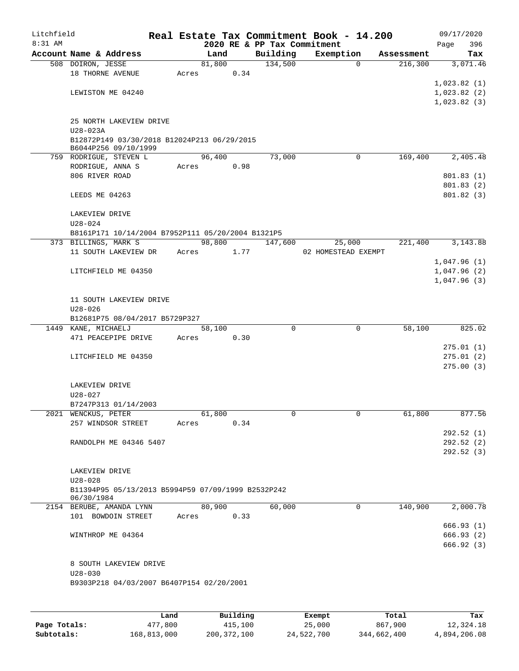| Litchfield |                                                    |  |       |        |      |  |          | Real Estate Tax Commitment Book - 14.200 |              |            |      | 09/17/2020                 |
|------------|----------------------------------------------------|--|-------|--------|------|--|----------|------------------------------------------|--------------|------------|------|----------------------------|
| 8:31 AM    |                                                    |  |       |        |      |  |          | 2020 RE & PP Tax Commitment              |              |            | Page | 396                        |
|            | Account Name & Address                             |  |       | Land   |      |  | Building | Exemption                                |              | Assessment |      | Tax                        |
|            | 508 DOIRON, JESSE                                  |  |       | 81,800 |      |  | 134,500  |                                          | 0            | 216,300    |      | 3,071.46                   |
|            | 18 THORNE AVENUE                                   |  | Acres |        | 0.34 |  |          |                                          |              |            |      |                            |
|            |                                                    |  |       |        |      |  |          |                                          |              |            |      | 1,023.82(1)                |
|            | LEWISTON ME 04240                                  |  |       |        |      |  |          |                                          |              |            |      | 1,023.82(2)<br>1,023.82(3) |
|            |                                                    |  |       |        |      |  |          |                                          |              |            |      |                            |
|            | 25 NORTH LAKEVIEW DRIVE                            |  |       |        |      |  |          |                                          |              |            |      |                            |
|            | $U28 - 023A$                                       |  |       |        |      |  |          |                                          |              |            |      |                            |
|            | B12872P149 03/30/2018 B12024P213 06/29/2015        |  |       |        |      |  |          |                                          |              |            |      |                            |
|            | B6044P256 09/10/1999                               |  |       |        |      |  |          |                                          |              |            |      |                            |
|            | 759 RODRIGUE, STEVEN L                             |  |       | 96,400 |      |  | 73,000   |                                          | $\mathbf 0$  | 169,400    |      | 2,405.48                   |
|            | RODRIGUE, ANNA S                                   |  |       | Acres  | 0.98 |  |          |                                          |              |            |      |                            |
|            | 806 RIVER ROAD                                     |  |       |        |      |  |          |                                          |              |            |      | 801.83(1)                  |
|            |                                                    |  |       |        |      |  |          |                                          |              |            |      | 801.83(2)                  |
|            | LEEDS ME 04263                                     |  |       |        |      |  |          |                                          |              |            |      | 801.82(3)                  |
|            |                                                    |  |       |        |      |  |          |                                          |              |            |      |                            |
|            | LAKEVIEW DRIVE                                     |  |       |        |      |  |          |                                          |              |            |      |                            |
|            | $U28 - 024$                                        |  |       |        |      |  |          |                                          |              |            |      |                            |
|            | B8161P171 10/14/2004 B7952P111 05/20/2004 B1321P5  |  |       |        |      |  |          |                                          |              |            |      |                            |
|            | 373 BILLINGS, MARK S                               |  |       | 98,800 |      |  | 147,600  | 25,000                                   |              | 221,400    |      | 3,143.88                   |
|            | 11 SOUTH LAKEVIEW DR                               |  |       | Acres  | 1.77 |  |          | 02 HOMESTEAD EXEMPT                      |              |            |      | 1,047.96(1)                |
|            | LITCHFIELD ME 04350                                |  |       |        |      |  |          |                                          |              |            |      | 1,047.96(2)                |
|            |                                                    |  |       |        |      |  |          |                                          |              |            |      | 1,047.96(3)                |
|            |                                                    |  |       |        |      |  |          |                                          |              |            |      |                            |
|            | 11 SOUTH LAKEVIEW DRIVE                            |  |       |        |      |  |          |                                          |              |            |      |                            |
|            | $U28 - 026$                                        |  |       |        |      |  |          |                                          |              |            |      |                            |
|            | B12681P75 08/04/2017 B5729P327                     |  |       |        |      |  |          |                                          |              |            |      |                            |
|            | 1449 KANE, MICHAELJ                                |  |       | 58,100 |      |  | $\Omega$ |                                          | $\mathbf 0$  | 58,100     |      | 825.02                     |
|            | 471 PEACEPIPE DRIVE                                |  | Acres |        | 0.30 |  |          |                                          |              |            |      |                            |
|            |                                                    |  |       |        |      |  |          |                                          |              |            |      | 275.01(1)                  |
|            | LITCHFIELD ME 04350                                |  |       |        |      |  |          |                                          |              |            |      | 275.01(2)                  |
|            |                                                    |  |       |        |      |  |          |                                          |              |            |      | 275.00(3)                  |
|            |                                                    |  |       |        |      |  |          |                                          |              |            |      |                            |
|            | LAKEVIEW DRIVE                                     |  |       |        |      |  |          |                                          |              |            |      |                            |
|            | $U28 - 027$                                        |  |       |        |      |  |          |                                          |              |            |      |                            |
|            | B7247P313 01/14/2003                               |  |       |        |      |  |          |                                          |              |            |      |                            |
|            | 2021 WENCKUS, PETER                                |  |       | 61,800 |      |  | 0        |                                          | $\mathbf{0}$ | 61,800     |      | 877.56                     |
|            | 257 WINDSOR STREET                                 |  | Acres |        | 0.34 |  |          |                                          |              |            |      |                            |
|            |                                                    |  |       |        |      |  |          |                                          |              |            |      | 292.52(1)                  |
|            | RANDOLPH ME 04346 5407                             |  |       |        |      |  |          |                                          |              |            |      | 292.52(2)                  |
|            |                                                    |  |       |        |      |  |          |                                          |              |            |      | 292.52(3)                  |
|            | LAKEVIEW DRIVE                                     |  |       |        |      |  |          |                                          |              |            |      |                            |
|            | $U28 - 028$                                        |  |       |        |      |  |          |                                          |              |            |      |                            |
|            | B11394P95 05/13/2013 B5994P59 07/09/1999 B2532P242 |  |       |        |      |  |          |                                          |              |            |      |                            |
|            | 06/30/1984                                         |  |       |        |      |  |          |                                          |              |            |      |                            |
|            | 2154 BERUBE, AMANDA LYNN                           |  |       | 80,900 |      |  | 60,000   |                                          | $\mathbf 0$  | 140,900    |      | 2,000.78                   |
|            | 101 BOWDOIN STREET                                 |  |       | Acres  | 0.33 |  |          |                                          |              |            |      |                            |
|            |                                                    |  |       |        |      |  |          |                                          |              |            |      | 666.93(1)                  |
|            | WINTHROP ME 04364                                  |  |       |        |      |  |          |                                          |              |            |      | 666.93(2)                  |
|            |                                                    |  |       |        |      |  |          |                                          |              |            |      | 666.92(3)                  |
|            |                                                    |  |       |        |      |  |          |                                          |              |            |      |                            |
|            | 8 SOUTH LAKEVIEW DRIVE                             |  |       |        |      |  |          |                                          |              |            |      |                            |
|            | $U28 - 030$                                        |  |       |        |      |  |          |                                          |              |            |      |                            |
|            | B9303P218 04/03/2007 B6407P154 02/20/2001          |  |       |        |      |  |          |                                          |              |            |      |                            |
|            |                                                    |  |       |        |      |  |          |                                          |              |            |      |                            |
|            |                                                    |  |       |        |      |  |          |                                          |              |            |      |                            |

|              | Land        | Building      | Exempt     | Total       | Tax          |
|--------------|-------------|---------------|------------|-------------|--------------|
| Page Totals: | 477,800     | 415,100       | 25,000     | 867,900     | 12,324.18    |
| Subtotals:   | 168,813,000 | 200, 372, 100 | 24,522,700 | 344,662,400 | 4,894,206.08 |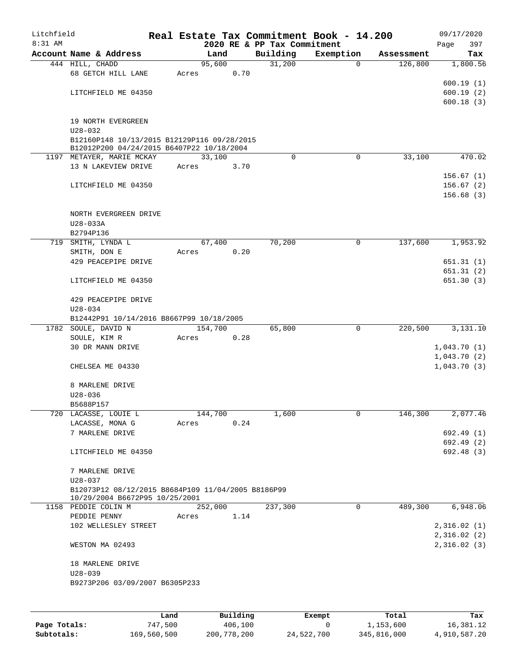| Litchfield |                                                    |       |                |      |                    | Real Estate Tax Commitment Book - 14.200 |                           | 09/17/2020          |
|------------|----------------------------------------------------|-------|----------------|------|--------------------|------------------------------------------|---------------------------|---------------------|
| $8:31$ AM  |                                                    |       |                |      |                    | 2020 RE & PP Tax Commitment              |                           | 397<br>Page         |
|            | Account Name & Address                             |       | Land<br>95,600 |      | Building<br>31,200 | Exemption                                | Assessment<br>$\mathbf 0$ | Tax                 |
|            | 444 HILL, CHADD<br>68 GETCH HILL LANE              | Acres |                | 0.70 |                    |                                          | 126,800                   | 1,800.56            |
|            |                                                    |       |                |      |                    |                                          |                           | 600.19(1)           |
|            | LITCHFIELD ME 04350                                |       |                |      |                    |                                          |                           | 600.19(2)           |
|            |                                                    |       |                |      |                    |                                          |                           | 600.18(3)           |
|            |                                                    |       |                |      |                    |                                          |                           |                     |
|            | 19 NORTH EVERGREEN                                 |       |                |      |                    |                                          |                           |                     |
|            | $U28 - 032$                                        |       |                |      |                    |                                          |                           |                     |
|            | B12160P148 10/13/2015 B12129P116 09/28/2015        |       |                |      |                    |                                          |                           |                     |
|            | B12012P200 04/24/2015 B6407P22 10/18/2004          |       |                |      |                    |                                          |                           |                     |
|            | 1197 METAYER, MARIE MCKAY                          |       | 33,100         |      | $\Omega$           |                                          | 0<br>33,100               | 470.02              |
|            | 13 N LAKEVIEW DRIVE                                | Acres |                | 3.70 |                    |                                          |                           |                     |
|            |                                                    |       |                |      |                    |                                          |                           | 156.67(1)           |
|            | LITCHFIELD ME 04350                                |       |                |      |                    |                                          |                           | 156.67(2)           |
|            |                                                    |       |                |      |                    |                                          |                           | 156.68(3)           |
|            | NORTH EVERGREEN DRIVE                              |       |                |      |                    |                                          |                           |                     |
|            | U28-033A                                           |       |                |      |                    |                                          |                           |                     |
|            | B2794P136                                          |       |                |      |                    |                                          |                           |                     |
| 719        | SMITH, LYNDA L                                     |       | 67,400         |      | 70,200             |                                          | 137,600<br>0              | 1,953.92            |
|            | SMITH, DON E                                       | Acres |                | 0.20 |                    |                                          |                           |                     |
|            | 429 PEACEPIPE DRIVE                                |       |                |      |                    |                                          |                           | 651.31(1)           |
|            |                                                    |       |                |      |                    |                                          |                           | 651.31(2)           |
|            | LITCHFIELD ME 04350                                |       |                |      |                    |                                          |                           | 651.30(3)           |
|            |                                                    |       |                |      |                    |                                          |                           |                     |
|            | 429 PEACEPIPE DRIVE                                |       |                |      |                    |                                          |                           |                     |
|            | $U28 - 034$                                        |       |                |      |                    |                                          |                           |                     |
|            | B12442P91 10/14/2016 B8667P99 10/18/2005           |       |                |      |                    |                                          |                           |                     |
|            | 1782 SOULE, DAVID N                                |       | 154,700        |      | 65,800             |                                          | $\mathbf 0$<br>220,500    | 3,131.10            |
|            | SOULE, KIM R                                       | Acres |                | 0.28 |                    |                                          |                           |                     |
|            | 30 DR MANN DRIVE                                   |       |                |      |                    |                                          |                           | 1,043.70(1)         |
|            |                                                    |       |                |      |                    |                                          |                           | 1,043.70(2)         |
|            | CHELSEA ME 04330                                   |       |                |      |                    |                                          |                           | 1,043.70(3)         |
|            |                                                    |       |                |      |                    |                                          |                           |                     |
|            | 8 MARLENE DRIVE                                    |       |                |      |                    |                                          |                           |                     |
|            | $U28 - 036$<br>B5688P157                           |       |                |      |                    |                                          |                           |                     |
|            | 720 LACASSE, LOUIE L                               |       | 144,700        |      | 1,600              |                                          | 0<br>146,300              | 2,077.46            |
|            | LACASSE, MONA G                                    | Acres |                | 0.24 |                    |                                          |                           |                     |
|            | 7 MARLENE DRIVE                                    |       |                |      |                    |                                          |                           | 692.49 (1)          |
|            |                                                    |       |                |      |                    |                                          |                           | 692.49 (2)          |
|            | LITCHFIELD ME 04350                                |       |                |      |                    |                                          |                           | 692.48 (3)          |
|            |                                                    |       |                |      |                    |                                          |                           |                     |
|            | 7 MARLENE DRIVE                                    |       |                |      |                    |                                          |                           |                     |
|            | $U28 - 037$                                        |       |                |      |                    |                                          |                           |                     |
|            | B12073P12 08/12/2015 B8684P109 11/04/2005 B8186P99 |       |                |      |                    |                                          |                           |                     |
|            | 10/29/2004 B6672P95 10/25/2001                     |       |                |      |                    |                                          |                           |                     |
|            | 1158 PEDDIE COLIN M                                |       | 252,000        |      | 237,300            |                                          | 0                         | 489,300<br>6,948.06 |
|            | PEDDIE PENNY<br>102 WELLESLEY STREET               | Acres |                | 1.14 |                    |                                          |                           | 2,316.02(1)         |
|            |                                                    |       |                |      |                    |                                          |                           | 2,316.02(2)         |
|            | WESTON MA 02493                                    |       |                |      |                    |                                          |                           | 2,316.02(3)         |
|            |                                                    |       |                |      |                    |                                          |                           |                     |
|            | 18 MARLENE DRIVE                                   |       |                |      |                    |                                          |                           |                     |
|            | $U28 - 039$                                        |       |                |      |                    |                                          |                           |                     |
|            | B9273P206 03/09/2007 B6305P233                     |       |                |      |                    |                                          |                           |                     |
|            |                                                    |       |                |      |                    |                                          |                           |                     |
|            |                                                    |       |                |      |                    |                                          |                           |                     |
|            |                                                    |       |                |      |                    |                                          |                           |                     |

|              | Land        | Building    | Exempt     | Total       | Tax          |
|--------------|-------------|-------------|------------|-------------|--------------|
| Page Totals: | 747.500     | 406,100     |            | 1,153,600   | 16,381.12    |
| Subtotals:   | 169,560,500 | 200,778,200 | 24,522,700 | 345,816,000 | 4,910,587.20 |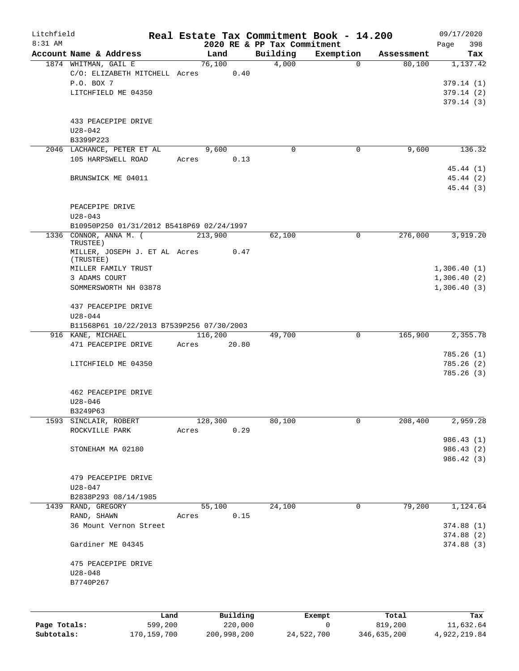| Litchfield<br>8:31 AM |                                           |       |          |       |                                         | Real Estate Tax Commitment Book - 14.200 |            | 09/17/2020             |
|-----------------------|-------------------------------------------|-------|----------|-------|-----------------------------------------|------------------------------------------|------------|------------------------|
|                       | Account Name & Address                    |       | Land     |       | 2020 RE & PP Tax Commitment<br>Building | Exemption                                | Assessment | 398<br>Page<br>Tax     |
|                       | 1874 WHITMAN, GAIL E                      |       | 76,100   |       | 4,000                                   | $\mathbf 0$                              | 80,100     | 1,137.42               |
|                       | C/O: ELIZABETH MITCHELL Acres             |       |          | 0.40  |                                         |                                          |            |                        |
|                       | P.O. BOX 7                                |       |          |       |                                         |                                          |            | 379.14(1)              |
|                       | LITCHFIELD ME 04350                       |       |          |       |                                         |                                          |            | 379.14(2)              |
|                       |                                           |       |          |       |                                         |                                          |            | 379.14(3)              |
|                       | 433 PEACEPIPE DRIVE                       |       |          |       |                                         |                                          |            |                        |
|                       | $U28 - 042$                               |       |          |       |                                         |                                          |            |                        |
|                       | B3399P223                                 |       |          |       |                                         |                                          |            |                        |
|                       | 2046 LACHANCE, PETER ET AL                |       | 9,600    |       | 0                                       | 0                                        | 9,600      | 136.32                 |
|                       | 105 HARPSWELL ROAD                        | Acres |          | 0.13  |                                         |                                          |            |                        |
|                       |                                           |       |          |       |                                         |                                          |            | 45.44 (1)              |
|                       | BRUNSWICK ME 04011                        |       |          |       |                                         |                                          |            | 45.44 (2)              |
|                       |                                           |       |          |       |                                         |                                          |            | 45.44 (3)              |
|                       | PEACEPIPE DRIVE                           |       |          |       |                                         |                                          |            |                        |
|                       | $U28 - 043$                               |       |          |       |                                         |                                          |            |                        |
|                       | B10950P250 01/31/2012 B5418P69 02/24/1997 |       |          |       |                                         |                                          |            |                        |
|                       | 1336 CONNOR, ANNA M. (                    |       | 213,900  |       | 62,100                                  | 0                                        | 276,000    | 3,919.20               |
|                       | TRUSTEE)                                  |       |          |       |                                         |                                          |            |                        |
|                       | MILLER, JOSEPH J. ET AL Acres             |       |          | 0.47  |                                         |                                          |            |                        |
|                       | (TRUSTEE)<br>MILLER FAMILY TRUST          |       |          |       |                                         |                                          |            | 1,306.40(1)            |
|                       | 3 ADAMS COURT                             |       |          |       |                                         |                                          |            | 1,306.40(2)            |
|                       | SOMMERSWORTH NH 03878                     |       |          |       |                                         |                                          |            | 1,306.40(3)            |
|                       |                                           |       |          |       |                                         |                                          |            |                        |
|                       | 437 PEACEPIPE DRIVE                       |       |          |       |                                         |                                          |            |                        |
|                       | $U28 - 044$                               |       |          |       |                                         |                                          |            |                        |
|                       | B11568P61 10/22/2013 B7539P256 07/30/2003 |       |          |       |                                         |                                          |            |                        |
|                       | 916 KANE, MICHAEL                         |       | 116,200  |       | 49,700                                  | 0                                        | 165,900    | 2,355.78               |
|                       | 471 PEACEPIPE DRIVE                       | Acres |          | 20.80 |                                         |                                          |            |                        |
|                       |                                           |       |          |       |                                         |                                          |            | 785.26(1)<br>785.26(2) |
|                       | LITCHFIELD ME 04350                       |       |          |       |                                         |                                          |            | 785.26 (3)             |
|                       |                                           |       |          |       |                                         |                                          |            |                        |
|                       | 462 PEACEPIPE DRIVE                       |       |          |       |                                         |                                          |            |                        |
|                       | $U28 - 046$                               |       |          |       |                                         |                                          |            |                        |
|                       | B3249P63                                  |       |          |       |                                         |                                          |            |                        |
| 1593                  | SINCLAIR, ROBERT                          |       | 128,300  |       | 80,100                                  | 0                                        | 208,400    | 2,959.28               |
|                       | ROCKVILLE PARK                            | Acres |          | 0.29  |                                         |                                          |            |                        |
|                       |                                           |       |          |       |                                         |                                          |            | 986.43 (1)             |
|                       | STONEHAM MA 02180                         |       |          |       |                                         |                                          |            | 986.43 (2)             |
|                       |                                           |       |          |       |                                         |                                          |            | 986.42 (3)             |
|                       |                                           |       |          |       |                                         |                                          |            |                        |
|                       | 479 PEACEPIPE DRIVE<br>$U28 - 047$        |       |          |       |                                         |                                          |            |                        |
|                       | B2838P293 08/14/1985                      |       |          |       |                                         |                                          |            |                        |
|                       | 1439 RAND, GREGORY                        |       | 55,100   |       | 24,100                                  | 0                                        | 79,200     | 1,124.64               |
|                       | RAND, SHAWN                               | Acres |          | 0.15  |                                         |                                          |            |                        |
|                       | 36 Mount Vernon Street                    |       |          |       |                                         |                                          |            | 374.88(1)              |
|                       |                                           |       |          |       |                                         |                                          |            | 374.88 (2)             |
|                       | Gardiner ME 04345                         |       |          |       |                                         |                                          |            | 374.88 (3)             |
|                       |                                           |       |          |       |                                         |                                          |            |                        |
|                       | 475 PEACEPIPE DRIVE                       |       |          |       |                                         |                                          |            |                        |
|                       | $U28 - 048$<br>B7740P267                  |       |          |       |                                         |                                          |            |                        |
|                       |                                           |       |          |       |                                         |                                          |            |                        |
|                       |                                           |       |          |       |                                         |                                          |            |                        |
|                       | Land                                      |       | Building |       |                                         | Exempt                                   | Total      | Tax                    |
| Page Totals:          | 599,200                                   |       | 220,000  |       |                                         | 0                                        | 819,200    | 11,632.64              |

**Page Totals:** 599,200 220,000 0 819,200 11,632.64 **Subtotals:** 170,159,700 200,998,200 24,522,700 346,635,200 4,922,219.84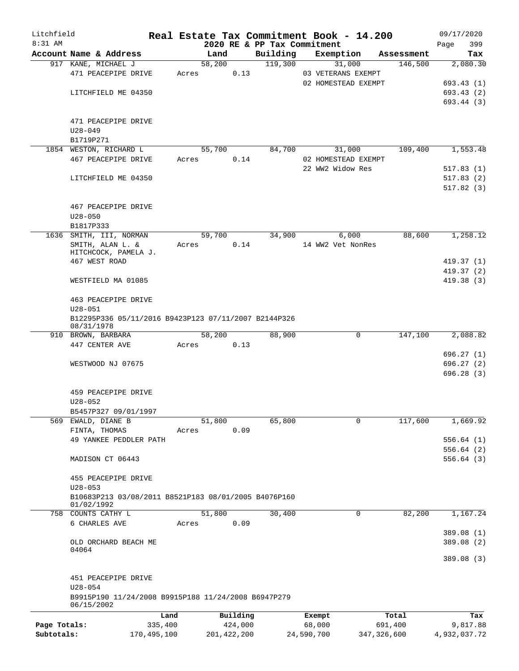| Litchfield   |             |                                                      |       |               |          |                             | Real Estate Tax Commitment Book - 14.200 |            | 09/17/2020   |
|--------------|-------------|------------------------------------------------------|-------|---------------|----------|-----------------------------|------------------------------------------|------------|--------------|
| 8:31 AM      |             |                                                      |       |               |          | 2020 RE & PP Tax Commitment |                                          |            | 399<br>Page  |
|              |             | Account Name & Address                               |       | Land          |          | Building                    | Exemption                                | Assessment | Tax          |
|              |             | 917 KANE, MICHAEL J                                  |       | 58,200        |          | 119,300                     | 31,000                                   | 146,500    | 2,080.30     |
|              |             | 471 PEACEPIPE DRIVE                                  | Acres |               | 0.13     |                             | 03 VETERANS EXEMPT                       |            |              |
|              |             |                                                      |       |               |          |                             | 02 HOMESTEAD EXEMPT                      |            | 693.43 (1)   |
|              |             | LITCHFIELD ME 04350                                  |       |               |          |                             |                                          |            | 693.43 (2)   |
|              |             |                                                      |       |               |          |                             |                                          |            | 693.44 (3)   |
|              |             | 471 PEACEPIPE DRIVE                                  |       |               |          |                             |                                          |            |              |
|              | $U28 - 049$ |                                                      |       |               |          |                             |                                          |            |              |
|              | B1719P271   |                                                      |       |               |          |                             |                                          |            |              |
|              |             | 1854 WESTON, RICHARD L                               |       | 55,700        |          | 84,700                      | 31,000                                   | 109,400    | 1,553.48     |
|              |             | 467 PEACEPIPE DRIVE                                  | Acres |               | 0.14     |                             | 02 HOMESTEAD EXEMPT                      |            |              |
|              |             |                                                      |       |               |          |                             | 22 WW2 Widow Res                         |            | 517.83(1)    |
|              |             | LITCHFIELD ME 04350                                  |       |               |          |                             |                                          |            | 517.83(2)    |
|              |             |                                                      |       |               |          |                             |                                          |            | 517.82(3)    |
|              |             |                                                      |       |               |          |                             |                                          |            |              |
|              |             | 467 PEACEPIPE DRIVE                                  |       |               |          |                             |                                          |            |              |
|              | $U28 - 050$ |                                                      |       |               |          |                             |                                          |            |              |
|              | B1817P333   |                                                      |       |               |          |                             |                                          |            |              |
|              |             | 1636 SMITH, III, NORMAN                              |       | 59,700        |          | 34,900                      | 6,000                                    | 88,600     | 1,258.12     |
|              |             | SMITH, ALAN L. &                                     | Acres |               | 0.14     |                             | 14 WW2 Vet NonRes                        |            |              |
|              |             | HITCHCOCK, PAMELA J.                                 |       |               |          |                             |                                          |            |              |
|              |             | 467 WEST ROAD                                        |       |               |          |                             |                                          |            | 419.37(1)    |
|              |             |                                                      |       |               |          |                             |                                          |            | 419.37(2)    |
|              |             | WESTFIELD MA 01085                                   |       |               |          |                             |                                          |            | 419.38(3)    |
|              |             |                                                      |       |               |          |                             |                                          |            |              |
|              |             | 463 PEACEPIPE DRIVE                                  |       |               |          |                             |                                          |            |              |
|              | $U28 - 051$ |                                                      |       |               |          |                             |                                          |            |              |
|              | 08/31/1978  | B12295P336 05/11/2016 B9423P123 07/11/2007 B2144P326 |       |               |          |                             |                                          |            |              |
|              |             | 910 BROWN, BARBARA                                   |       | 58,200        |          | 88,900                      | 0                                        | 147,100    | 2,088.82     |
|              |             | 447 CENTER AVE                                       | Acres |               | 0.13     |                             |                                          |            |              |
|              |             |                                                      |       |               |          |                             |                                          |            | 696.27(1)    |
|              |             | WESTWOOD NJ 07675                                    |       |               |          |                             |                                          |            | 696.27(2)    |
|              |             |                                                      |       |               |          |                             |                                          |            | 696.28(3)    |
|              |             |                                                      |       |               |          |                             |                                          |            |              |
|              |             | 459 PEACEPIPE DRIVE                                  |       |               |          |                             |                                          |            |              |
|              | $U28 - 052$ |                                                      |       |               |          |                             |                                          |            |              |
|              |             | B5457P327 09/01/1997                                 |       |               |          |                             |                                          |            |              |
| 569          |             | EWALD, DIANE B                                       |       | 51,800        |          | 65,800                      | $\mathbf 0$                              | 117,600    | 1,669.92     |
|              |             | FINTA, THOMAS                                        | Acres |               | 0.09     |                             |                                          |            |              |
|              |             | 49 YANKEE PEDDLER PATH                               |       |               |          |                             |                                          |            | 556.64(1)    |
|              |             |                                                      |       |               |          |                             |                                          |            | 556.64(2)    |
|              |             | MADISON CT 06443                                     |       |               |          |                             |                                          |            | 556.64(3)    |
|              |             |                                                      |       |               |          |                             |                                          |            |              |
|              |             | 455 PEACEPIPE DRIVE                                  |       |               |          |                             |                                          |            |              |
|              | $U28 - 053$ |                                                      |       |               |          |                             |                                          |            |              |
|              |             | B10683P213 03/08/2011 B8521P183 08/01/2005 B4076P160 |       |               |          |                             |                                          |            |              |
|              | 01/02/1992  | 758 COUNTS CATHY L                                   |       | 51,800        |          | 30,400                      | 0                                        | 82,200     | 1,167.24     |
|              |             | 6 CHARLES AVE                                        | Acres |               | 0.09     |                             |                                          |            |              |
|              |             |                                                      |       |               |          |                             |                                          |            | 389.08 (1)   |
|              |             | OLD ORCHARD BEACH ME                                 |       |               |          |                             |                                          |            | 389.08 (2)   |
|              | 04064       |                                                      |       |               |          |                             |                                          |            |              |
|              |             |                                                      |       |               |          |                             |                                          |            | 389.08(3)    |
|              |             |                                                      |       |               |          |                             |                                          |            |              |
|              |             | 451 PEACEPIPE DRIVE                                  |       |               |          |                             |                                          |            |              |
|              | $U28 - 054$ |                                                      |       |               |          |                             |                                          |            |              |
|              |             | B9915P190 11/24/2008 B9915P188 11/24/2008 B6947P279  |       |               |          |                             |                                          |            |              |
|              | 06/15/2002  |                                                      |       |               |          |                             |                                          |            |              |
|              |             | Land                                                 |       |               | Building |                             | Exempt                                   | Total      | Tax          |
| Page Totals: |             | 335,400                                              |       |               | 424,000  |                             | 68,000                                   | 691,400    | 9,817.88     |
| Subtotals:   |             | 170,495,100                                          |       | 201, 422, 200 |          |                             | 24,590,700<br>347, 326, 600              |            | 4,932,037.72 |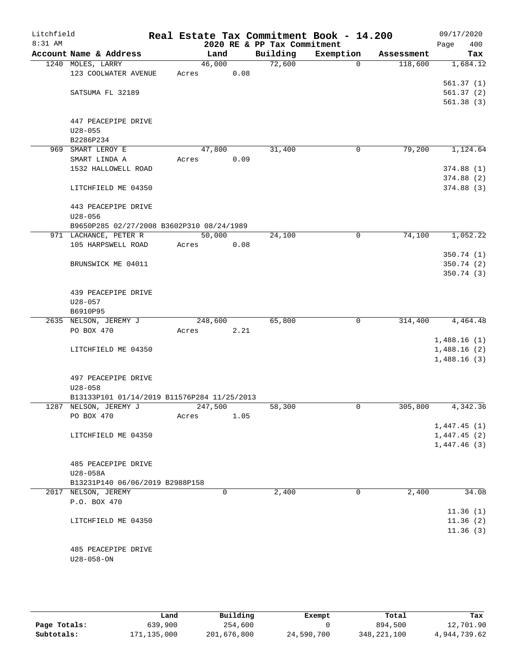| Litchfield<br>8:31 AM |                                             |         |      | 2020 RE & PP Tax Commitment | Real Estate Tax Commitment Book - 14.200 |            | 09/17/2020<br>400<br>Page |
|-----------------------|---------------------------------------------|---------|------|-----------------------------|------------------------------------------|------------|---------------------------|
|                       | Account Name & Address                      | Land    |      | Building                    | Exemption                                | Assessment | Tax                       |
|                       | 1240 MOLES, LARRY                           | 46,000  |      | 72,600                      | $\Omega$                                 | 118,600    | 1,684.12                  |
|                       | 123 COOLWATER AVENUE                        | Acres   | 0.08 |                             |                                          |            |                           |
|                       |                                             |         |      |                             |                                          |            | 561.37(1)                 |
|                       | SATSUMA FL 32189                            |         |      |                             |                                          |            | 561.37(2)                 |
|                       |                                             |         |      |                             |                                          |            | 561.38(3)                 |
|                       |                                             |         |      |                             |                                          |            |                           |
|                       | 447 PEACEPIPE DRIVE                         |         |      |                             |                                          |            |                           |
|                       | $U28 - 055$                                 |         |      |                             |                                          |            |                           |
|                       | B2286P234                                   |         |      |                             |                                          |            |                           |
| 969                   | SMART LEROY E                               | 47,800  |      | 31,400                      | 0                                        | 79,200     | 1,124.64                  |
|                       | SMART LINDA A                               | Acres   | 0.09 |                             |                                          |            |                           |
|                       | 1532 HALLOWELL ROAD                         |         |      |                             |                                          |            | 374.88(1)                 |
|                       |                                             |         |      |                             |                                          |            | 374.88(2)                 |
|                       | LITCHFIELD ME 04350                         |         |      |                             |                                          |            | 374.88 (3)                |
|                       | 443 PEACEPIPE DRIVE                         |         |      |                             |                                          |            |                           |
|                       | $U28 - 056$                                 |         |      |                             |                                          |            |                           |
|                       | B9650P285 02/27/2008 B3602P310 08/24/1989   |         |      |                             |                                          |            |                           |
|                       | 971 LACHANCE, PETER R                       | 50,000  |      | 24,100                      | 0                                        | 74,100     | 1,052.22                  |
|                       | 105 HARPSWELL ROAD                          | Acres   | 0.08 |                             |                                          |            |                           |
|                       |                                             |         |      |                             |                                          |            | 350.74(1)                 |
|                       | BRUNSWICK ME 04011                          |         |      |                             |                                          |            | 350.74 (2)                |
|                       |                                             |         |      |                             |                                          |            | 350.74(3)                 |
|                       | 439 PEACEPIPE DRIVE                         |         |      |                             |                                          |            |                           |
|                       | $U28 - 057$                                 |         |      |                             |                                          |            |                           |
|                       | B6910P95                                    |         |      |                             |                                          |            |                           |
|                       | 2635 NELSON, JEREMY J                       | 248,600 |      | 65,800                      | 0                                        | 314,400    | 4,464.48                  |
|                       | PO BOX 470                                  | Acres   | 2.21 |                             |                                          |            |                           |
|                       |                                             |         |      |                             |                                          |            | 1,488.16(1)               |
|                       | LITCHFIELD ME 04350                         |         |      |                             |                                          |            | 1,488.16(2)               |
|                       |                                             |         |      |                             |                                          |            | 1,488.16(3)               |
|                       |                                             |         |      |                             |                                          |            |                           |
|                       | 497 PEACEPIPE DRIVE<br>$U28 - 058$          |         |      |                             |                                          |            |                           |
|                       | B13133P101 01/14/2019 B11576P284 11/25/2013 |         |      |                             |                                          |            |                           |
|                       | 1287 NELSON, JEREMY J                       | 247,500 |      | 58,300                      | 0                                        | 305,800    | 4,342.36                  |
|                       | PO BOX 470                                  | Acres   | 1.05 |                             |                                          |            |                           |
|                       |                                             |         |      |                             |                                          |            | 1,447.45(1)               |
|                       | LITCHFIELD ME 04350                         |         |      |                             |                                          |            | 1,447.45(2)               |
|                       |                                             |         |      |                             |                                          |            | 1,447.46(3)               |
|                       |                                             |         |      |                             |                                          |            |                           |
|                       | 485 PEACEPIPE DRIVE                         |         |      |                             |                                          |            |                           |
|                       | U28-058A<br>B13231P140 06/06/2019 B2988P158 |         |      |                             |                                          |            |                           |
|                       | 2017 NELSON, JEREMY                         | 0       |      | 2,400                       | 0                                        | 2,400      | 34.08                     |
|                       | P.O. BOX 470                                |         |      |                             |                                          |            |                           |
|                       |                                             |         |      |                             |                                          |            | 11.36(1)                  |
|                       | LITCHFIELD ME 04350                         |         |      |                             |                                          |            | 11.36(2)                  |
|                       |                                             |         |      |                             |                                          |            | 11.36(3)                  |
|                       |                                             |         |      |                             |                                          |            |                           |
|                       | 485 PEACEPIPE DRIVE                         |         |      |                             |                                          |            |                           |
|                       | $U28 - 058 - ON$                            |         |      |                             |                                          |            |                           |
|                       |                                             |         |      |                             |                                          |            |                           |

|              | Land        | Building    | Exempt     | Total         | Tax          |
|--------------|-------------|-------------|------------|---------------|--------------|
| Page Totals: | 639,900     | 254,600     |            | 894,500       | 12,701.90    |
| Subtotals:   | 171,135,000 | 201,676,800 | 24,590,700 | 348, 221, 100 | 4,944,739.62 |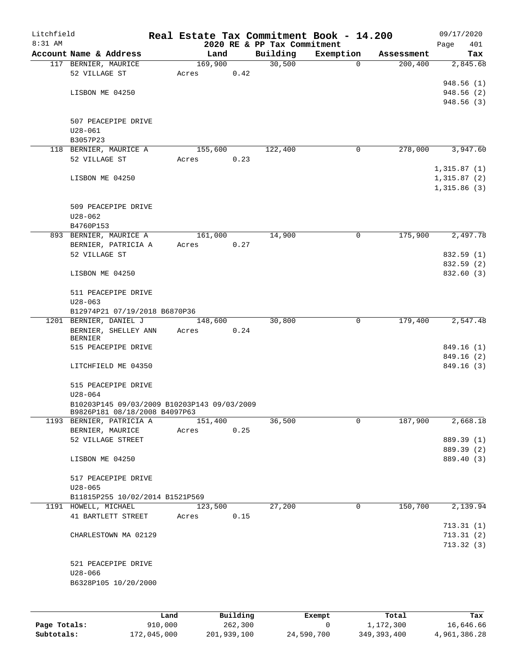| Litchfield |                                              |      |       |          |      |                                         | Real Estate Tax Commitment Book - 14.200 |                        | 09/17/2020      |
|------------|----------------------------------------------|------|-------|----------|------|-----------------------------------------|------------------------------------------|------------------------|-----------------|
| 8:31 AM    | Account Name & Address                       |      |       | Land     |      | 2020 RE & PP Tax Commitment<br>Building | Exemption                                |                        | Page<br>401     |
|            |                                              |      |       | 169,900  |      | 30,500                                  | $\mathbf 0$                              | Assessment<br>200, 400 | Tax<br>2,845.68 |
|            | 117 BERNIER, MAURICE<br>52 VILLAGE ST        |      |       |          | 0.42 |                                         |                                          |                        |                 |
|            |                                              |      | Acres |          |      |                                         |                                          |                        | 948.56(1)       |
|            |                                              |      |       |          |      |                                         |                                          |                        |                 |
|            | LISBON ME 04250                              |      |       |          |      |                                         |                                          |                        | 948.56 (2)      |
|            |                                              |      |       |          |      |                                         |                                          |                        | 948.56(3)       |
|            |                                              |      |       |          |      |                                         |                                          |                        |                 |
|            | 507 PEACEPIPE DRIVE<br>$U28 - 061$           |      |       |          |      |                                         |                                          |                        |                 |
|            |                                              |      |       |          |      |                                         |                                          |                        |                 |
|            | B3057P23                                     |      |       |          |      |                                         |                                          |                        |                 |
|            | 118 BERNIER, MAURICE A<br>52 VILLAGE ST      |      |       | 155,600  |      | 122,400                                 | 0                                        | 278,000                | 3,947.60        |
|            |                                              |      | Acres |          | 0.23 |                                         |                                          |                        |                 |
|            |                                              |      |       |          |      |                                         |                                          |                        | 1,315.87(1)     |
|            | LISBON ME 04250                              |      |       |          |      |                                         |                                          |                        | 1,315.87(2)     |
|            |                                              |      |       |          |      |                                         |                                          |                        | 1,315.86(3)     |
|            |                                              |      |       |          |      |                                         |                                          |                        |                 |
|            | 509 PEACEPIPE DRIVE                          |      |       |          |      |                                         |                                          |                        |                 |
|            | $U28 - 062$                                  |      |       |          |      |                                         |                                          |                        |                 |
|            | B4760P153                                    |      |       | 161,000  |      | 14,900                                  | 0                                        | 175,900                | 2,497.78        |
|            | 893 BERNIER, MAURICE A                       |      |       |          |      |                                         |                                          |                        |                 |
|            | BERNIER, PATRICIA A                          |      | Acres |          | 0.27 |                                         |                                          |                        |                 |
|            | 52 VILLAGE ST                                |      |       |          |      |                                         |                                          |                        | 832.59 (1)      |
|            |                                              |      |       |          |      |                                         |                                          |                        | 832.59 (2)      |
|            | LISBON ME 04250                              |      |       |          |      |                                         |                                          |                        | 832.60 (3)      |
|            |                                              |      |       |          |      |                                         |                                          |                        |                 |
|            | 511 PEACEPIPE DRIVE                          |      |       |          |      |                                         |                                          |                        |                 |
|            | $U28 - 063$<br>B12974P21 07/19/2018 B6870P36 |      |       |          |      |                                         |                                          |                        |                 |
|            | 1201 BERNIER, DANIEL J                       |      |       |          |      | 30,800                                  | 0                                        | 179,400                | 2,547.48        |
|            |                                              |      |       | 148,600  | 0.24 |                                         |                                          |                        |                 |
|            | BERNIER, SHELLEY ANN<br><b>BERNIER</b>       |      | Acres |          |      |                                         |                                          |                        |                 |
|            | 515 PEACEPIPE DRIVE                          |      |       |          |      |                                         |                                          |                        | 849.16 (1)      |
|            |                                              |      |       |          |      |                                         |                                          |                        | 849.16 (2)      |
|            | LITCHFIELD ME 04350                          |      |       |          |      |                                         |                                          |                        | 849.16 (3)      |
|            |                                              |      |       |          |      |                                         |                                          |                        |                 |
|            | 515 PEACEPIPE DRIVE                          |      |       |          |      |                                         |                                          |                        |                 |
|            | $U28 - 064$                                  |      |       |          |      |                                         |                                          |                        |                 |
|            | B10203P145 09/03/2009 B10203P143 09/03/2009  |      |       |          |      |                                         |                                          |                        |                 |
|            | B9826P181 08/18/2008 B4097P63                |      |       |          |      |                                         |                                          |                        |                 |
|            | 1193 BERNIER, PATRICIA A                     |      |       | 151,400  |      | 36,500                                  | 0                                        | 187,900                | 2,668.18        |
|            | BERNIER, MAURICE                             |      | Acres |          | 0.25 |                                         |                                          |                        |                 |
|            | 52 VILLAGE STREET                            |      |       |          |      |                                         |                                          |                        | 889.39 (1)      |
|            |                                              |      |       |          |      |                                         |                                          |                        | 889.39 (2)      |
|            | LISBON ME 04250                              |      |       |          |      |                                         |                                          |                        | 889.40 (3)      |
|            |                                              |      |       |          |      |                                         |                                          |                        |                 |
|            | 517 PEACEPIPE DRIVE                          |      |       |          |      |                                         |                                          |                        |                 |
|            | $U28 - 065$                                  |      |       |          |      |                                         |                                          |                        |                 |
|            | B11815P255 10/02/2014 B1521P569              |      |       |          |      |                                         |                                          |                        |                 |
|            | 1191 HOWELL, MICHAEL                         |      |       | 123,500  |      | 27,200                                  | 0                                        | 150,700                | 2,139.94        |
|            | 41 BARTLETT STREET                           |      | Acres |          | 0.15 |                                         |                                          |                        |                 |
|            |                                              |      |       |          |      |                                         |                                          |                        | 713.31(1)       |
|            | CHARLESTOWN MA 02129                         |      |       |          |      |                                         |                                          |                        | 713.31(2)       |
|            |                                              |      |       |          |      |                                         |                                          |                        | 713.32(3)       |
|            |                                              |      |       |          |      |                                         |                                          |                        |                 |
|            | 521 PEACEPIPE DRIVE                          |      |       |          |      |                                         |                                          |                        |                 |
|            | $U28 - 066$                                  |      |       |          |      |                                         |                                          |                        |                 |
|            | B6328P105 10/20/2000                         |      |       |          |      |                                         |                                          |                        |                 |
|            |                                              |      |       |          |      |                                         |                                          |                        |                 |
|            |                                              |      |       |          |      |                                         |                                          |                        |                 |
|            |                                              | Land |       | Building |      |                                         | Exempt                                   | Total                  | Tax             |
|            |                                              |      |       |          |      |                                         |                                          |                        |                 |

| Page Totals: | 910,000     | 262,300     |            | 1,172,300   | 16,646.66    |
|--------------|-------------|-------------|------------|-------------|--------------|
| Subtotals:   | 172,045,000 | 201,939,100 | 24,590,700 | 349,393,400 | 4,961,386.28 |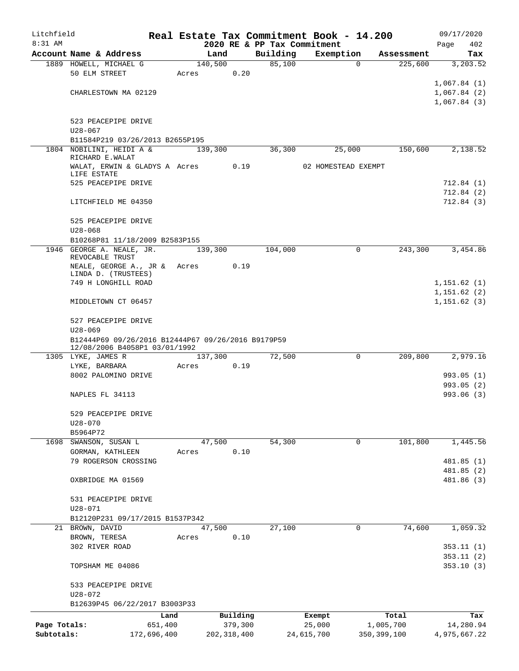| Litchfield   |                                                     |         |               |      |                             | Real Estate Tax Commitment Book - 14.200 |               |            | 09/17/2020   |
|--------------|-----------------------------------------------------|---------|---------------|------|-----------------------------|------------------------------------------|---------------|------------|--------------|
| 8:31 AM      |                                                     |         |               |      | 2020 RE & PP Tax Commitment |                                          |               |            | 402<br>Page  |
|              | Account Name & Address                              |         | Land          |      | Building                    | Exemption                                |               | Assessment | Tax          |
|              | 1889 HOWELL, MICHAEL G<br>50 ELM STREET             | Acres   | 140,500       | 0.20 | 85,100                      |                                          | $\mathbf 0$   | 225,600    | 3,203.52     |
|              |                                                     |         |               |      |                             |                                          |               |            | 1,067.84(1)  |
|              | CHARLESTOWN MA 02129                                |         |               |      |                             |                                          |               |            | 1,067.84(2)  |
|              |                                                     |         |               |      |                             |                                          |               |            | 1,067.84(3)  |
|              | 523 PEACEPIPE DRIVE                                 |         |               |      |                             |                                          |               |            |              |
|              | $U28 - 067$                                         |         |               |      |                             |                                          |               |            |              |
|              | B11584P219 03/26/2013 B2655P195                     |         |               |      |                             |                                          |               |            |              |
|              | 1804 NOBILINI, HEIDI A &<br>RICHARD E.WALAT         |         | 139,300       |      | 36,300                      | 25,000                                   |               | 150,600    | 2,138.52     |
|              | WALAT, ERWIN & GLADYS A Acres                       |         |               | 0.19 |                             | 02 HOMESTEAD EXEMPT                      |               |            |              |
|              | LIFE ESTATE<br>525 PEACEPIPE DRIVE                  |         |               |      |                             |                                          |               |            | 712.84 (1)   |
|              |                                                     |         |               |      |                             |                                          |               |            | 712.84(2)    |
|              | LITCHFIELD ME 04350                                 |         |               |      |                             |                                          |               |            | 712.84(3)    |
|              | 525 PEACEPIPE DRIVE                                 |         |               |      |                             |                                          |               |            |              |
|              | $U28 - 068$                                         |         |               |      |                             |                                          |               |            |              |
|              | B10268P81 11/18/2009 B2583P155                      |         |               |      |                             |                                          |               |            |              |
|              | 1946 GEORGE A. NEALE, JR.<br>REVOCABLE TRUST        |         | 139,300       |      | 104,000                     |                                          | $\Omega$      | 243,300    | 3,454.86     |
|              | NEALE, GEORGE A., JR & Acres                        |         |               | 0.19 |                             |                                          |               |            |              |
|              | LINDA D. (TRUSTEES)<br>749 H LONGHILL ROAD          |         |               |      |                             |                                          |               |            | 1,151.62(1)  |
|              |                                                     |         |               |      |                             |                                          |               |            | 1, 151.62(2) |
|              | MIDDLETOWN CT 06457                                 |         |               |      |                             |                                          |               |            | 1, 151.62(3) |
|              | 527 PEACEPIPE DRIVE                                 |         |               |      |                             |                                          |               |            |              |
|              | $U28 - 069$                                         |         |               |      |                             |                                          |               |            |              |
|              | B12444P69 09/26/2016 B12444P67 09/26/2016 B9179P59  |         |               |      |                             |                                          |               |            |              |
|              | 12/08/2006 B4058P1 03/01/1992<br>1305 LYKE, JAMES R |         | 137,300       |      | 72,500                      |                                          | $\mathbf 0$   | 209,800    | 2,979.16     |
|              | LYKE, BARBARA                                       | Acres   |               | 0.19 |                             |                                          |               |            |              |
|              | 8002 PALOMINO DRIVE                                 |         |               |      |                             |                                          |               |            | 993.05(1)    |
|              |                                                     |         |               |      |                             |                                          |               |            | 993.05(2)    |
|              | NAPLES FL 34113                                     |         |               |      |                             |                                          |               |            | 993.06 (3)   |
|              | 529 PEACEPIPE DRIVE                                 |         |               |      |                             |                                          |               |            |              |
|              | $U28 - 070$                                         |         |               |      |                             |                                          |               |            |              |
|              | B5964P72                                            |         |               |      |                             |                                          |               |            |              |
|              | 1698 SWANSON, SUSAN L                               |         | 47,500        |      | 54,300                      |                                          | 0             | 101,800    | 1,445.56     |
|              | GORMAN, KATHLEEN<br>79 ROGERSON CROSSING            | Acres   |               | 0.10 |                             |                                          |               |            | 481.85 (1)   |
|              |                                                     |         |               |      |                             |                                          |               |            | 481.85 (2)   |
|              | OXBRIDGE MA 01569                                   |         |               |      |                             |                                          |               |            | 481.86 (3)   |
|              | 531 PEACEPIPE DRIVE                                 |         |               |      |                             |                                          |               |            |              |
|              | $U28 - 071$                                         |         |               |      |                             |                                          |               |            |              |
|              | B12120P231 09/17/2015 B1537P342                     |         |               |      |                             |                                          |               |            |              |
|              | 21 BROWN, DAVID                                     |         | 47,500        |      | 27,100                      |                                          | 0             | 74,600     | 1,059.32     |
|              | BROWN, TERESA<br>302 RIVER ROAD                     | Acres   |               | 0.10 |                             |                                          |               |            | 353.11(1)    |
|              |                                                     |         |               |      |                             |                                          |               |            | 353.11(2)    |
|              | TOPSHAM ME 04086                                    |         |               |      |                             |                                          |               |            | 353.10(3)    |
|              | 533 PEACEPIPE DRIVE                                 |         |               |      |                             |                                          |               |            |              |
|              | U28-072                                             |         |               |      |                             |                                          |               |            |              |
|              | B12639P45 06/22/2017 B3003P33                       |         |               |      |                             |                                          |               |            |              |
|              |                                                     | Land    | Building      |      |                             | Exempt                                   |               | Total      | Tax          |
| Page Totals: |                                                     | 651,400 | 379,300       |      |                             | 25,000                                   | 1,005,700     |            | 14,280.94    |
| Subtotals:   | 172,696,400                                         |         | 202, 318, 400 |      |                             | 24,615,700                               | 350, 399, 100 |            | 4,975,667.22 |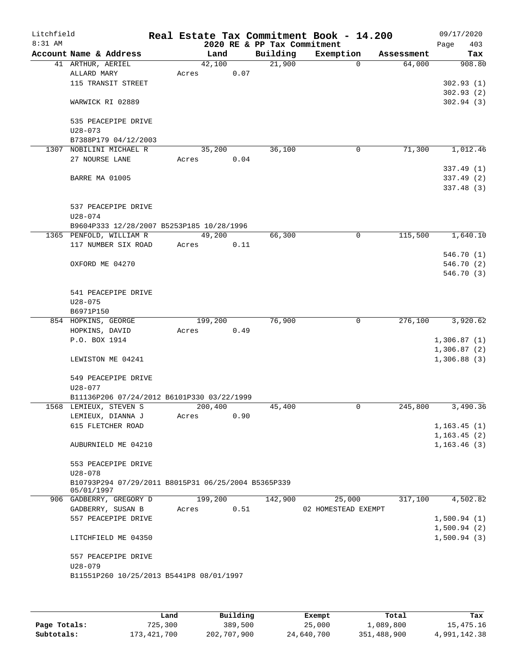| Litchfield<br>8:31 AM |                                                     |         |      | 2020 RE & PP Tax Commitment | Real Estate Tax Commitment Book - 14.200 |            | 09/17/2020<br>403<br>Page |
|-----------------------|-----------------------------------------------------|---------|------|-----------------------------|------------------------------------------|------------|---------------------------|
|                       | Account Name & Address                              | Land    |      | Building                    | Exemption                                | Assessment | Tax                       |
|                       | 41 ARTHUR, AERIEL                                   | 42,100  |      | 21,900                      | 0                                        | 64,000     | 908.80                    |
|                       | ALLARD MARY                                         | Acres   | 0.07 |                             |                                          |            |                           |
|                       | 115 TRANSIT STREET                                  |         |      |                             |                                          |            | 302.93(1)                 |
|                       |                                                     |         |      |                             |                                          |            | 302.93(2)                 |
|                       | WARWICK RI 02889                                    |         |      |                             |                                          |            | 302.94(3)                 |
|                       | 535 PEACEPIPE DRIVE                                 |         |      |                             |                                          |            |                           |
|                       | $U28 - 073$                                         |         |      |                             |                                          |            |                           |
|                       | B7388P179 04/12/2003                                |         |      |                             |                                          |            |                           |
| 1307                  | NOBILINI MICHAEL R                                  | 35,200  |      | 36,100                      | $\mathbf 0$                              | 71,300     | 1,012.46                  |
|                       | 27 NOURSE LANE                                      | Acres   | 0.04 |                             |                                          |            |                           |
|                       |                                                     |         |      |                             |                                          |            | 337.49(1)                 |
|                       | BARRE MA 01005                                      |         |      |                             |                                          |            | 337.49 (2)                |
|                       |                                                     |         |      |                             |                                          |            | 337.48 (3)                |
|                       | 537 PEACEPIPE DRIVE                                 |         |      |                             |                                          |            |                           |
|                       | $U28 - 074$                                         |         |      |                             |                                          |            |                           |
|                       | B9604P333 12/28/2007 B5253P185 10/28/1996           |         |      |                             |                                          |            |                           |
|                       | 1365 PENFOLD, WILLIAM R                             | 49,200  |      | 66,300                      | 0                                        | 115,500    | 1,640.10                  |
|                       | 117 NUMBER SIX ROAD                                 | Acres   | 0.11 |                             |                                          |            |                           |
|                       |                                                     |         |      |                             |                                          |            | 546.70(1)                 |
|                       | OXFORD ME 04270                                     |         |      |                             |                                          |            | 546.70 (2)                |
|                       |                                                     |         |      |                             |                                          |            | 546.70 (3)                |
|                       |                                                     |         |      |                             |                                          |            |                           |
|                       | 541 PEACEPIPE DRIVE                                 |         |      |                             |                                          |            |                           |
|                       | $U28 - 075$                                         |         |      |                             |                                          |            |                           |
|                       | B6971P150                                           |         |      |                             |                                          |            |                           |
|                       | 854 HOPKINS, GEORGE                                 | 199,200 |      | 76,900                      | 0                                        | 276,100    | 3,920.62                  |
|                       | HOPKINS, DAVID                                      | Acres   | 0.49 |                             |                                          |            |                           |
|                       | P.O. BOX 1914                                       |         |      |                             |                                          |            | 1,306.87(1)               |
|                       |                                                     |         |      |                             |                                          |            | 1,306.87(2)               |
|                       | LEWISTON ME 04241                                   |         |      |                             |                                          |            | 1,306.88(3)               |
|                       | 549 PEACEPIPE DRIVE                                 |         |      |                             |                                          |            |                           |
|                       | U28-077                                             |         |      |                             |                                          |            |                           |
|                       | B11136P206 07/24/2012 B6101P330 03/22/1999          |         |      |                             |                                          |            |                           |
|                       | 1568 LEMIEUX, STEVEN S                              | 200,400 |      | 45,400                      | 0                                        | 245,800    | 3,490.36                  |
|                       | LEMIEUX, DIANNA J                                   | Acres   | 0.90 |                             |                                          |            |                           |
|                       | 615 FLETCHER ROAD                                   |         |      |                             |                                          |            | 1, 163.45(1)              |
|                       |                                                     |         |      |                             |                                          |            | 1, 163.45(2)              |
|                       | AUBURNIELD ME 04210                                 |         |      |                             |                                          |            | 1, 163.46(3)              |
|                       | 553 PEACEPIPE DRIVE                                 |         |      |                             |                                          |            |                           |
|                       | $U28 - 078$                                         |         |      |                             |                                          |            |                           |
|                       | B10793P294 07/29/2011 B8015P31 06/25/2004 B5365P339 |         |      |                             |                                          |            |                           |
|                       | 05/01/1997                                          |         |      |                             |                                          |            |                           |
|                       | 906 GADBERRY, GREGORY D                             | 199,200 |      | 142,900                     | 25,000                                   | 317,100    | 4,502.82                  |
|                       | GADBERRY, SUSAN B                                   | Acres   | 0.51 |                             | 02 HOMESTEAD EXEMPT                      |            |                           |
|                       | 557 PEACEPIPE DRIVE                                 |         |      |                             |                                          |            | 1,500.94(1)               |
|                       |                                                     |         |      |                             |                                          |            | 1,500.94(2)               |
|                       | LITCHFIELD ME 04350                                 |         |      |                             |                                          |            | 1,500.94(3)               |
|                       | 557 PEACEPIPE DRIVE                                 |         |      |                             |                                          |            |                           |
|                       | $U28 - 079$                                         |         |      |                             |                                          |            |                           |
|                       | B11551P260 10/25/2013 B5441P8 08/01/1997            |         |      |                             |                                          |            |                           |
|                       |                                                     |         |      |                             |                                          |            |                           |
|                       |                                                     |         |      |                             |                                          |            |                           |
|                       |                                                     |         |      |                             |                                          |            |                           |

|              | Land        | Building    | Exempt     | Total       | Tax          |
|--------------|-------------|-------------|------------|-------------|--------------|
| Page Totals: | 725,300     | 389,500     | 25,000     | 1,089,800   | 15,475.16    |
| Subtotals:   | 173,421,700 | 202,707,900 | 24,640,700 | 351,488,900 | 4,991,142.38 |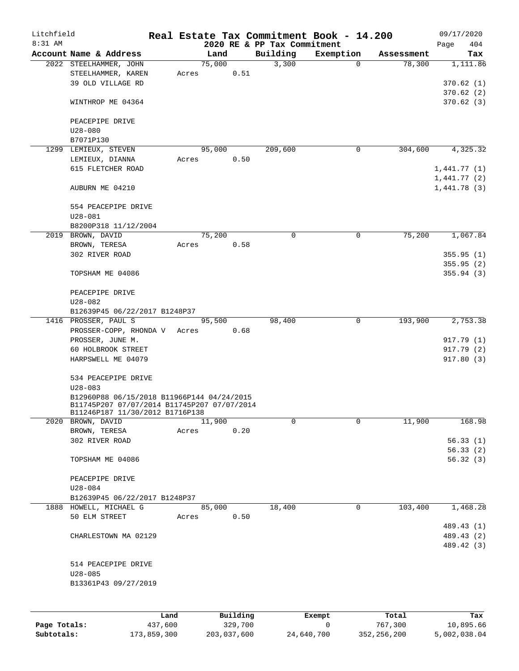| Litchfield<br>8:31 AM |                                             |       |        |      | 2020 RE & PP Tax Commitment | Real Estate Tax Commitment Book - 14.200 |            | 09/17/2020<br>Page<br>404 |
|-----------------------|---------------------------------------------|-------|--------|------|-----------------------------|------------------------------------------|------------|---------------------------|
|                       | Account Name & Address                      |       | Land   |      | Building                    | Exemption                                | Assessment | Tax                       |
|                       | 2022 STEELHAMMER, JOHN                      |       | 75,000 |      | 3,300                       | $\Omega$                                 | 78,300     | 1,111.86                  |
|                       | STEELHAMMER, KAREN                          | Acres |        | 0.51 |                             |                                          |            |                           |
|                       | 39 OLD VILLAGE RD                           |       |        |      |                             |                                          |            | 370.62 (1)                |
|                       |                                             |       |        |      |                             |                                          |            | 370.62(2)                 |
|                       | WINTHROP ME 04364                           |       |        |      |                             |                                          |            | 370.62(3)                 |
|                       | PEACEPIPE DRIVE                             |       |        |      |                             |                                          |            |                           |
|                       | $U28 - 080$                                 |       |        |      |                             |                                          |            |                           |
|                       | B7071P130                                   |       |        |      |                             |                                          |            |                           |
|                       | 1299 LEMIEUX, STEVEN                        |       | 95,000 |      | 209,600                     | 0                                        | 304,600    | 4,325.32                  |
|                       | LEMIEUX, DIANNA                             | Acres |        | 0.50 |                             |                                          |            |                           |
|                       | 615 FLETCHER ROAD                           |       |        |      |                             |                                          |            | 1,441.77(1)               |
|                       |                                             |       |        |      |                             |                                          |            | 1,441.77(2)               |
|                       | AUBURN ME 04210                             |       |        |      |                             |                                          |            | 1,441.78(3)               |
|                       | 554 PEACEPIPE DRIVE                         |       |        |      |                             |                                          |            |                           |
|                       | $U28 - 081$                                 |       |        |      |                             |                                          |            |                           |
|                       | B8200P318 11/12/2004                        |       |        |      |                             |                                          |            |                           |
|                       | 2019 BROWN, DAVID                           |       | 75,200 |      | 0                           | 0                                        | 75,200     | 1,067.84                  |
|                       | BROWN, TERESA                               | Acres |        | 0.58 |                             |                                          |            |                           |
|                       | 302 RIVER ROAD                              |       |        |      |                             |                                          |            | 355.95(1)                 |
|                       |                                             |       |        |      |                             |                                          |            | 355.95(2)                 |
|                       | TOPSHAM ME 04086                            |       |        |      |                             |                                          |            | 355.94(3)                 |
|                       | PEACEPIPE DRIVE                             |       |        |      |                             |                                          |            |                           |
|                       | $U28 - 082$                                 |       |        |      |                             |                                          |            |                           |
|                       | B12639P45 06/22/2017 B1248P37               |       |        |      |                             |                                          |            |                           |
|                       | 1416 PROSSER, PAUL S                        |       | 95,500 |      | 98,400                      | 0                                        | 193,900    | 2,753.38                  |
|                       | PROSSER-COPP, RHONDA V Acres                |       |        | 0.68 |                             |                                          |            |                           |
|                       | PROSSER, JUNE M.                            |       |        |      |                             |                                          |            | 917.79 (1)                |
|                       | 60 HOLBROOK STREET                          |       |        |      |                             |                                          |            | 917.79 (2)                |
|                       | HARPSWELL ME 04079                          |       |        |      |                             |                                          |            | 917.80 (3)                |
|                       |                                             |       |        |      |                             |                                          |            |                           |
|                       | 534 PEACEPIPE DRIVE                         |       |        |      |                             |                                          |            |                           |
|                       | $U28 - 083$                                 |       |        |      |                             |                                          |            |                           |
|                       | B12960P88 06/15/2018 B11966P144 04/24/2015  |       |        |      |                             |                                          |            |                           |
|                       | B11745P207 07/07/2014 B11745P207 07/07/2014 |       |        |      |                             |                                          |            |                           |
|                       | B11246P187 11/30/2012 B1716P138             |       |        |      |                             |                                          |            |                           |
|                       | 2020 BROWN, DAVID                           |       | 11,900 |      | 0                           | $\Omega$                                 | 11,900     | 168.98                    |
|                       | BROWN, TERESA                               | Acres |        | 0.20 |                             |                                          |            |                           |
|                       | 302 RIVER ROAD                              |       |        |      |                             |                                          |            | 56.33(1)                  |
|                       |                                             |       |        |      |                             |                                          |            | 56.33(2)                  |
|                       | TOPSHAM ME 04086                            |       |        |      |                             |                                          |            | 56.32(3)                  |
|                       |                                             |       |        |      |                             |                                          |            |                           |
|                       | PEACEPIPE DRIVE                             |       |        |      |                             |                                          |            |                           |
|                       | $U28 - 084$                                 |       |        |      |                             |                                          |            |                           |
|                       | B12639P45 06/22/2017 B1248P37               |       |        |      |                             |                                          |            |                           |
|                       | 1888 HOWELL, MICHAEL G                      |       | 85,000 |      | 18,400                      | 0                                        | 103,400    | 1,468.28                  |
|                       | 50 ELM STREET                               | Acres |        | 0.50 |                             |                                          |            |                           |
|                       |                                             |       |        |      |                             |                                          |            | 489.43 (1)                |
|                       | CHARLESTOWN MA 02129                        |       |        |      |                             |                                          |            | 489.43 (2)                |
|                       |                                             |       |        |      |                             |                                          |            | 489.42 (3)                |
|                       |                                             |       |        |      |                             |                                          |            |                           |
|                       | 514 PEACEPIPE DRIVE                         |       |        |      |                             |                                          |            |                           |
|                       | $U28 - 085$                                 |       |        |      |                             |                                          |            |                           |
|                       | B13361P43 09/27/2019                        |       |        |      |                             |                                          |            |                           |
|                       |                                             |       |        |      |                             |                                          |            |                           |
|                       |                                             |       |        |      |                             |                                          |            |                           |
|                       |                                             |       |        |      |                             |                                          |            |                           |

|              | Land        | Building    | Exempt     | Total         | Tax          |
|--------------|-------------|-------------|------------|---------------|--------------|
| Page Totals: | 437,600     | 329,700     |            | 767,300       | 10,895.66    |
| Subtotals:   | 173,859,300 | 203,037,600 | 24,640,700 | 352, 256, 200 | 5,002,038.04 |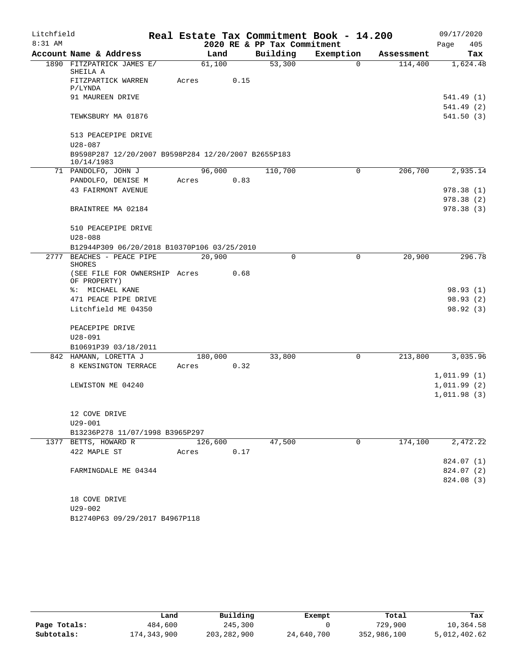| Litchfield |                                                                   |         |      |                             | Real Estate Tax Commitment Book - 14.200 |            | 09/17/2020             |
|------------|-------------------------------------------------------------------|---------|------|-----------------------------|------------------------------------------|------------|------------------------|
| 8:31 AM    |                                                                   |         |      | 2020 RE & PP Tax Commitment |                                          |            | 405<br>Page            |
|            | Account Name & Address                                            | Land    |      | Building                    | Exemption                                | Assessment | Tax                    |
|            | 1890 FITZPATRICK JAMES E/<br>SHEILA A                             | 61,100  |      | 53,300                      | $\Omega$                                 | 114,400    | 1,624.48               |
|            | FITZPARTICK WARREN<br>P/LYNDA                                     | Acres   | 0.15 |                             |                                          |            |                        |
|            | 91 MAUREEN DRIVE                                                  |         |      |                             |                                          |            | 541.49(1)<br>541.49(2) |
|            | TEWKSBURY MA 01876                                                |         |      |                             |                                          |            | 541.50(3)              |
|            | 513 PEACEPIPE DRIVE                                               |         |      |                             |                                          |            |                        |
|            | $U28 - 087$                                                       |         |      |                             |                                          |            |                        |
|            | B9598P287 12/20/2007 B9598P284 12/20/2007 B2655P183<br>10/14/1983 |         |      |                             |                                          |            |                        |
|            | 71 PANDOLFO, JOHN J                                               | 96,000  |      | 110,700                     | $\mathbf 0$                              | 206,700    | 2,935.14               |
|            | PANDOLFO, DENISE M                                                | Acres   | 0.83 |                             |                                          |            |                        |
|            | <b>43 FAIRMONT AVENUE</b>                                         |         |      |                             |                                          |            | 978.38(1)              |
|            |                                                                   |         |      |                             |                                          |            | 978.38(2)              |
|            | BRAINTREE MA 02184                                                |         |      |                             |                                          |            | 978.38(3)              |
|            | 510 PEACEPIPE DRIVE                                               |         |      |                             |                                          |            |                        |
|            | $U28 - 088$                                                       |         |      |                             |                                          |            |                        |
|            | B12944P309 06/20/2018 B10370P106 03/25/2010                       |         |      |                             |                                          |            |                        |
|            | 2777 BEACHES - PEACE PIPE<br><b>SHORES</b>                        | 20,900  |      | $\mathbf 0$                 | $\mathbf 0$                              | 20,900     | 296.78                 |
|            | (SEE FILE FOR OWNERSHIP Acres<br>OF PROPERTY)                     |         | 0.68 |                             |                                          |            |                        |
|            | %: MICHAEL KANE                                                   |         |      |                             |                                          |            | 98.93 (1)              |
|            | 471 PEACE PIPE DRIVE                                              |         |      |                             |                                          |            | 98.93(2)               |
|            | Litchfield ME 04350                                               |         |      |                             |                                          |            | 98.92(3)               |
|            | PEACEPIPE DRIVE                                                   |         |      |                             |                                          |            |                        |
|            | $U28 - 091$                                                       |         |      |                             |                                          |            |                        |
|            | B10691P39 03/18/2011                                              |         |      |                             |                                          |            |                        |
|            | 842 HAMANN, LORETTA J                                             | 180,000 |      | 33,800                      | 0                                        | 213,800    | 3,035.96               |
|            | 8 KENSINGTON TERRACE                                              | Acres   | 0.32 |                             |                                          |            |                        |
|            |                                                                   |         |      |                             |                                          |            | 1,011.99(1)            |
|            | LEWISTON ME 04240                                                 |         |      |                             |                                          |            | 1,011.99(2)            |
|            |                                                                   |         |      |                             |                                          |            | 1,011.98(3)            |
|            | 12 COVE DRIVE                                                     |         |      |                             |                                          |            |                        |
|            | $U29 - 001$                                                       |         |      |                             |                                          |            |                        |
|            | B13236P278 11/07/1998 B3965P297                                   |         |      |                             |                                          |            |                        |
|            | 1377 BETTS, HOWARD R                                              | 126,600 |      | 47,500                      | 0                                        | 174,100    | 2,472.22               |
|            | 422 MAPLE ST                                                      | Acres   | 0.17 |                             |                                          |            |                        |
|            |                                                                   |         |      |                             |                                          |            | 824.07 (1)             |
|            | FARMINGDALE ME 04344                                              |         |      |                             |                                          |            | 824.07 (2)             |
|            |                                                                   |         |      |                             |                                          |            | 824.08 (3)             |
|            | 18 COVE DRIVE                                                     |         |      |                             |                                          |            |                        |
|            | $U29 - 002$                                                       |         |      |                             |                                          |            |                        |

B12740P63 09/29/2017 B4967P118

|              | Land        | Building    | Exempt     | Total       | Tax          |
|--------------|-------------|-------------|------------|-------------|--------------|
| Page Totals: | 484,600     | 245,300     |            | 729,900     | 10,364.58    |
| Subtotals:   | 174,343,900 | 203,282,900 | 24,640,700 | 352,986,100 | 5,012,402.62 |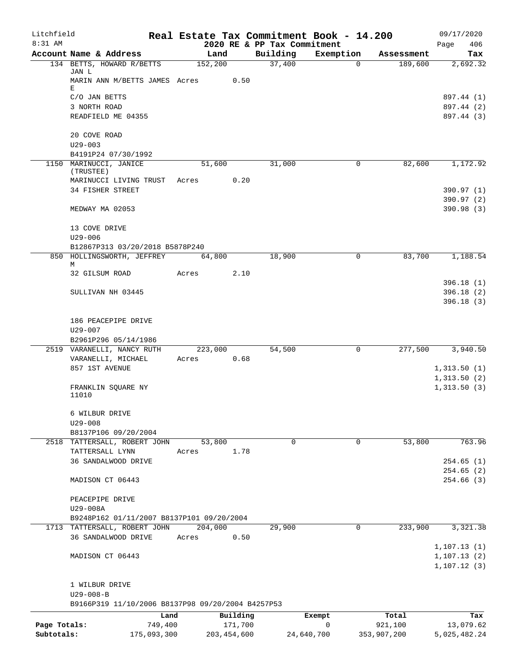| Litchfield   |                                                       |             |         |               |                                         | Real Estate Tax Commitment Book - 14.200 |             | 09/17/2020                  |
|--------------|-------------------------------------------------------|-------------|---------|---------------|-----------------------------------------|------------------------------------------|-------------|-----------------------------|
| 8:31 AM      | Account Name & Address                                |             | Land    |               | 2020 RE & PP Tax Commitment<br>Building | Exemption                                | Assessment  | 406<br>Page<br>Tax          |
|              | 134 BETTS, HOWARD R/BETTS                             |             | 152,200 |               | 37,400                                  | $\mathbf 0$                              | 189,600     | 2,692.32                    |
|              | JAN L<br>MARIN ANN M/BETTS JAMES Acres                |             |         | 0.50          |                                         |                                          |             |                             |
|              | Ε<br>C/O JAN BETTS                                    |             |         |               |                                         |                                          |             | 897.44 (1)                  |
|              | 3 NORTH ROAD                                          |             |         |               |                                         |                                          |             | 897.44 (2)                  |
|              | READFIELD ME 04355                                    |             |         |               |                                         |                                          |             | 897.44 (3)                  |
|              | 20 COVE ROAD<br>$U29 - 003$                           |             |         |               |                                         |                                          |             |                             |
|              | B4191P24 07/30/1992                                   |             |         |               |                                         |                                          |             |                             |
|              | 1150 MARINUCCI, JANICE<br>(TRUSTEE)                   |             | 51,600  | 0.20          | 31,000                                  | 0                                        | 82,600      | 1,172.92                    |
|              | MARINUCCI LIVING TRUST<br>34 FISHER STREET            |             | Acres   |               |                                         |                                          |             | 390.97 (1)                  |
|              |                                                       |             |         |               |                                         |                                          |             | 390.97 (2)                  |
|              | MEDWAY MA 02053                                       |             |         |               |                                         |                                          |             | 390.98(3)                   |
|              | 13 COVE DRIVE<br>$U29 - 006$                          |             |         |               |                                         |                                          |             |                             |
|              | B12867P313 03/20/2018 B5878P240                       |             |         |               |                                         |                                          |             |                             |
|              | 850 HOLLINGSWORTH, JEFFREY                            |             | 64,800  |               | 18,900                                  | $\mathbf 0$                              | 83,700      | 1,188.54                    |
|              | М                                                     |             |         |               |                                         |                                          |             |                             |
|              | 32 GILSUM ROAD                                        |             | Acres   | 2.10          |                                         |                                          |             |                             |
|              | SULLIVAN NH 03445                                     |             |         |               |                                         |                                          |             | 396.18(1)<br>396.18(2)      |
|              |                                                       |             |         |               |                                         |                                          |             | 396.18(3)                   |
|              | 186 PEACEPIPE DRIVE                                   |             |         |               |                                         |                                          |             |                             |
|              | $U29 - 007$                                           |             |         |               |                                         |                                          |             |                             |
|              | B2961P296 05/14/1986                                  |             |         |               |                                         |                                          |             |                             |
|              | 2519 VARANELLI, NANCY RUTH                            |             | 223,000 | 0.68          | 54,500                                  | $\mathbf 0$                              | 277,500     | 3,940.50                    |
|              | VARANELLI, MICHAEL<br>857 1ST AVENUE                  |             | Acres   |               |                                         |                                          |             | 1,313.50(1)                 |
|              |                                                       |             |         |               |                                         |                                          |             | 1,313.50(2)                 |
|              | FRANKLIN SQUARE NY<br>11010                           |             |         |               |                                         |                                          |             | 1,313.50(3)                 |
|              | 6 WILBUR DRIVE                                        |             |         |               |                                         |                                          |             |                             |
|              | $U29 - 008$                                           |             |         |               |                                         |                                          |             |                             |
|              | B8137P106 09/20/2004<br>2518 TATTERSALL, ROBERT JOHN  |             | 53,800  |               | 0                                       | 0                                        | 53,800      | 763.96                      |
|              | TATTERSALL LYNN                                       |             | Acres   | 1.78          |                                         |                                          |             |                             |
|              | 36 SANDALWOOD DRIVE                                   |             |         |               |                                         |                                          |             | 254.65(1)                   |
|              |                                                       |             |         |               |                                         |                                          |             | 254.65(2)                   |
|              | MADISON CT 06443                                      |             |         |               |                                         |                                          |             | 254.66(3)                   |
|              | PEACEPIPE DRIVE                                       |             |         |               |                                         |                                          |             |                             |
|              | U29-008A<br>B9248P162 01/11/2007 B8137P101 09/20/2004 |             |         |               |                                         |                                          |             |                             |
|              | 1713 TATTERSALL, ROBERT JOHN                          |             | 204,000 |               | 29,900                                  | 0                                        | 233,900     | 3,321.38                    |
|              | 36 SANDALWOOD DRIVE                                   |             | Acres   | 0.50          |                                         |                                          |             |                             |
|              |                                                       |             |         |               |                                         |                                          |             | 1,107.13(1)                 |
|              | MADISON CT 06443                                      |             |         |               |                                         |                                          |             | 1, 107.13(2)<br>1,107.12(3) |
|              | 1 WILBUR DRIVE                                        |             |         |               |                                         |                                          |             |                             |
|              | $U29 - 008 - B$                                       |             |         |               |                                         |                                          |             |                             |
|              | B9166P319 11/10/2006 B8137P98 09/20/2004 B4257P53     |             |         |               |                                         |                                          |             |                             |
|              |                                                       | Land        |         | Building      |                                         | Exempt                                   | Total       | Tax                         |
| Page Totals: |                                                       | 749,400     |         | 171,700       |                                         | 0                                        | 921,100     | 13,079.62                   |
| Subtotals:   |                                                       | 175,093,300 |         | 203, 454, 600 |                                         | 24,640,700                               | 353,907,200 | 5,025,482.24                |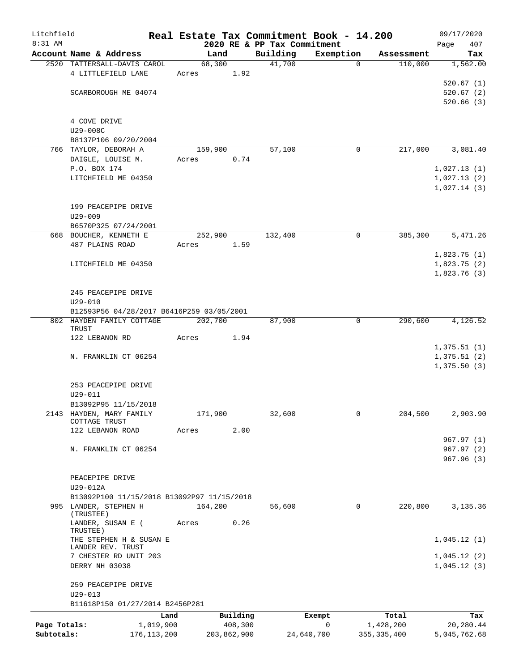| Litchfield   |                                                                     |                   |         |                     |                             | Real Estate Tax Commitment Book - 14.200 |                     | 09/17/2020                 |
|--------------|---------------------------------------------------------------------|-------------------|---------|---------------------|-----------------------------|------------------------------------------|---------------------|----------------------------|
| 8:31 AM      |                                                                     |                   |         |                     | 2020 RE & PP Tax Commitment |                                          |                     | 407<br>Page                |
|              | Account Name & Address                                              |                   |         | Land                | Building                    | Exemption                                | Assessment          | Tax                        |
|              | 2520 TATTERSALL-DAVIS CAROL<br>4 LITTLEFIELD LANE                   |                   | Acres   | 68,300<br>1.92      | 41,700                      |                                          | 110,000<br>$\Omega$ | 1,562.00                   |
|              |                                                                     |                   |         |                     |                             |                                          |                     | 520.67(1)                  |
|              | SCARBOROUGH ME 04074                                                |                   |         |                     |                             |                                          |                     | 520.67(2)                  |
|              |                                                                     |                   |         |                     |                             |                                          |                     | 520.66(3)                  |
|              |                                                                     |                   |         |                     |                             |                                          |                     |                            |
|              | 4 COVE DRIVE                                                        |                   |         |                     |                             |                                          |                     |                            |
|              | U29-008C                                                            |                   |         |                     |                             |                                          |                     |                            |
|              | B8137P106 09/20/2004                                                |                   |         |                     |                             |                                          |                     |                            |
|              | 766 TAYLOR, DEBORAH A                                               |                   | 159,900 |                     | 57,100                      |                                          | 217,000<br>0        | 3,081.40                   |
|              | DAIGLE, LOUISE M.                                                   |                   | Acres   | 0.74                |                             |                                          |                     |                            |
|              | P.O. BOX 174<br>LITCHFIELD ME 04350                                 |                   |         |                     |                             |                                          |                     | 1,027.13(1)<br>1,027.13(2) |
|              |                                                                     |                   |         |                     |                             |                                          |                     | 1,027.14(3)                |
|              |                                                                     |                   |         |                     |                             |                                          |                     |                            |
|              | 199 PEACEPIPE DRIVE                                                 |                   |         |                     |                             |                                          |                     |                            |
|              | $U29 - 009$                                                         |                   |         |                     |                             |                                          |                     |                            |
|              | B6570P325 07/24/2001                                                |                   |         |                     |                             |                                          |                     |                            |
|              | 668 BOUCHER, KENNETH E                                              |                   | 252,900 |                     | 132,400                     |                                          | 385,300<br>0        | 5,471.26                   |
|              | 487 PLAINS ROAD                                                     |                   | Acres   | 1.59                |                             |                                          |                     |                            |
|              |                                                                     |                   |         |                     |                             |                                          |                     | 1,823.75(1)                |
|              | LITCHFIELD ME 04350                                                 |                   |         |                     |                             |                                          |                     | 1,823.75(2)                |
|              |                                                                     |                   |         |                     |                             |                                          |                     | 1,823.76(3)                |
|              | 245 PEACEPIPE DRIVE                                                 |                   |         |                     |                             |                                          |                     |                            |
|              | $U29 - 010$                                                         |                   |         |                     |                             |                                          |                     |                            |
|              | B12593P56 04/28/2017 B6416P259 03/05/2001                           |                   |         |                     |                             |                                          |                     |                            |
|              | 802 HAYDEN FAMILY COTTAGE                                           |                   | 202,700 |                     | 87,900                      |                                          | 290,600<br>0        | 4,126.52                   |
|              | TRUST                                                               |                   |         |                     |                             |                                          |                     |                            |
|              | 122 LEBANON RD                                                      |                   | Acres   | 1.94                |                             |                                          |                     |                            |
|              | N. FRANKLIN CT 06254                                                |                   |         |                     |                             |                                          |                     | 1,375.51(1)<br>1,375.51(2) |
|              |                                                                     |                   |         |                     |                             |                                          |                     | 1,375.50(3)                |
|              |                                                                     |                   |         |                     |                             |                                          |                     |                            |
|              | 253 PEACEPIPE DRIVE                                                 |                   |         |                     |                             |                                          |                     |                            |
|              | $U29 - 011$                                                         |                   |         |                     |                             |                                          |                     |                            |
|              | B13092P95 11/15/2018                                                |                   |         |                     |                             |                                          |                     |                            |
|              | 2143 HAYDEN, MARY FAMILY                                            |                   | 171,900 |                     | 32,600                      |                                          | 0<br>204,500        | 2,903.90                   |
|              | COTTAGE TRUST<br>122 LEBANON ROAD                                   |                   | Acres   | 2.00                |                             |                                          |                     |                            |
|              |                                                                     |                   |         |                     |                             |                                          |                     | 967.97(1)                  |
|              | N. FRANKLIN CT 06254                                                |                   |         |                     |                             |                                          |                     | 967.97 (2)                 |
|              |                                                                     |                   |         |                     |                             |                                          |                     | 967.96(3)                  |
|              |                                                                     |                   |         |                     |                             |                                          |                     |                            |
|              | PEACEPIPE DRIVE                                                     |                   |         |                     |                             |                                          |                     |                            |
|              | U29-012A                                                            |                   |         |                     |                             |                                          |                     |                            |
|              | B13092P100 11/15/2018 B13092P97 11/15/2018<br>995 LANDER, STEPHEN H |                   | 164,200 |                     | 56,600                      |                                          | 220,800<br>$\Omega$ | 3,135.36                   |
|              | (TRUSTEE)                                                           |                   |         |                     |                             |                                          |                     |                            |
|              | LANDER, SUSAN E (<br>TRUSTEE)                                       |                   | Acres   | 0.26                |                             |                                          |                     |                            |
|              | THE STEPHEN H & SUSAN E<br>LANDER REV. TRUST                        |                   |         |                     |                             |                                          |                     | 1,045.12(1)                |
|              | 7 CHESTER RD UNIT 203                                               |                   |         |                     |                             |                                          |                     | 1,045.12(2)                |
|              | DERRY NH 03038                                                      |                   |         |                     |                             |                                          |                     | 1,045.12(3)                |
|              |                                                                     |                   |         |                     |                             |                                          |                     |                            |
|              | 259 PEACEPIPE DRIVE                                                 |                   |         |                     |                             |                                          |                     |                            |
|              | $U29 - 013$<br>B11618P150 01/27/2014 B2456P281                      |                   |         |                     |                             |                                          |                     |                            |
|              |                                                                     |                   |         |                     |                             |                                          |                     |                            |
| Page Totals: |                                                                     | Land<br>1,019,900 |         | Building<br>408,300 |                             | Exempt<br>0                              | Total<br>1,428,200  | Tax<br>20,280.44           |
| Subtotals:   |                                                                     | 176, 113, 200     |         | 203,862,900         |                             | 24,640,700                               | 355, 335, 400       | 5,045,762.68               |
|              |                                                                     |                   |         |                     |                             |                                          |                     |                            |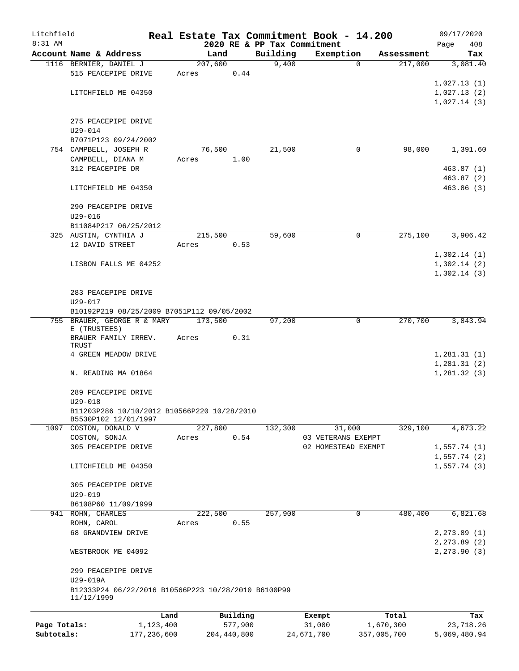| Litchfield   |                                                       |           |         |          |                   | Real Estate Tax Commitment Book - 14.200 |             |                       | 09/17/2020                  |
|--------------|-------------------------------------------------------|-----------|---------|----------|-------------------|------------------------------------------|-------------|-----------------------|-----------------------------|
| 8:31 AM      |                                                       |           |         |          |                   | 2020 RE & PP Tax Commitment              |             |                       | 408<br>Page                 |
|              | Account Name & Address<br>1116 BERNIER, DANIEL J      |           | 207,600 | Land     | Building<br>9,400 | Exemption                                | 0           | Assessment<br>217,000 | Tax<br>3,081.40             |
|              | 515 PEACEPIPE DRIVE                                   |           | Acres   | 0.44     |                   |                                          |             |                       |                             |
|              |                                                       |           |         |          |                   |                                          |             |                       | 1,027.13(1)                 |
|              | LITCHFIELD ME 04350                                   |           |         |          |                   |                                          |             |                       | 1,027.13(2)                 |
|              |                                                       |           |         |          |                   |                                          |             |                       | 1,027.14(3)                 |
|              |                                                       |           |         |          |                   |                                          |             |                       |                             |
|              | 275 PEACEPIPE DRIVE                                   |           |         |          |                   |                                          |             |                       |                             |
|              | $U29 - 014$                                           |           |         |          |                   |                                          |             |                       |                             |
|              | B7071P123 09/24/2002                                  |           |         |          |                   |                                          |             |                       |                             |
|              | 754 CAMPBELL, JOSEPH R                                |           |         | 76,500   | 21,500            |                                          | 0           | 98,000                | 1,391.60                    |
|              | CAMPBELL, DIANA M                                     |           | Acres   | 1.00     |                   |                                          |             |                       |                             |
|              | 312 PEACEPIPE DR                                      |           |         |          |                   |                                          |             |                       | 463.87(1)                   |
|              | LITCHFIELD ME 04350                                   |           |         |          |                   |                                          |             |                       | 463.87(2)<br>463.86(3)      |
|              |                                                       |           |         |          |                   |                                          |             |                       |                             |
|              | 290 PEACEPIPE DRIVE                                   |           |         |          |                   |                                          |             |                       |                             |
|              | $U29 - 016$                                           |           |         |          |                   |                                          |             |                       |                             |
|              | B11084P217 06/25/2012                                 |           |         |          |                   |                                          |             |                       |                             |
|              | 325 AUSTIN, CYNTHIA J                                 |           | 215,500 |          | 59,600            |                                          | 0           | 275,100               | 3,906.42                    |
|              | 12 DAVID STREET                                       |           | Acres   | 0.53     |                   |                                          |             |                       |                             |
|              |                                                       |           |         |          |                   |                                          |             |                       | 1,302.14(1)                 |
|              | LISBON FALLS ME 04252                                 |           |         |          |                   |                                          |             |                       | 1,302.14(2)                 |
|              |                                                       |           |         |          |                   |                                          |             |                       | 1,302.14(3)                 |
|              |                                                       |           |         |          |                   |                                          |             |                       |                             |
|              | 283 PEACEPIPE DRIVE                                   |           |         |          |                   |                                          |             |                       |                             |
|              | U29-017<br>B10192P219 08/25/2009 B7051P112 09/05/2002 |           |         |          |                   |                                          |             |                       |                             |
|              | 755 BRAUER, GEORGE R & MARY                           |           | 173,500 |          | 97,200            |                                          | $\mathbf 0$ | 270,700               | 3,843.94                    |
|              | E (TRUSTEES)                                          |           |         |          |                   |                                          |             |                       |                             |
|              | BRAUER FAMILY IRREV.                                  |           | Acres   | 0.31     |                   |                                          |             |                       |                             |
|              | TRUST                                                 |           |         |          |                   |                                          |             |                       |                             |
|              | 4 GREEN MEADOW DRIVE                                  |           |         |          |                   |                                          |             |                       | 1,281.31(1)                 |
|              | N. READING MA 01864                                   |           |         |          |                   |                                          |             |                       | 1,281.31(2)<br>1, 281.32(3) |
|              |                                                       |           |         |          |                   |                                          |             |                       |                             |
|              | 289 PEACEPIPE DRIVE                                   |           |         |          |                   |                                          |             |                       |                             |
|              | $U29 - 018$                                           |           |         |          |                   |                                          |             |                       |                             |
|              | B11203P286 10/10/2012 B10566P220 10/28/2010           |           |         |          |                   |                                          |             |                       |                             |
|              | B5530P102 12/01/1997                                  |           |         |          |                   |                                          |             |                       |                             |
|              | 1097 COSTON, DONALD V                                 |           | 227,800 |          | 132,300           | 31,000                                   |             | 329,100               | 4,673.22                    |
|              | COSTON, SONJA                                         |           | Acres   | 0.54     |                   | 03 VETERANS EXEMPT                       |             |                       |                             |
|              | 305 PEACEPIPE DRIVE                                   |           |         |          |                   | 02 HOMESTEAD EXEMPT                      |             |                       | 1,557.74(1)<br>1,557.74(2)  |
|              | LITCHFIELD ME 04350                                   |           |         |          |                   |                                          |             |                       | 1,557.74(3)                 |
|              |                                                       |           |         |          |                   |                                          |             |                       |                             |
|              | 305 PEACEPIPE DRIVE                                   |           |         |          |                   |                                          |             |                       |                             |
|              | $U29 - 019$                                           |           |         |          |                   |                                          |             |                       |                             |
|              | B6108P60 11/09/1999                                   |           |         |          |                   |                                          |             |                       |                             |
|              | 941 ROHN, CHARLES                                     |           | 222,500 |          | 257,900           |                                          | 0           | 480,400               | 6,821.68                    |
|              | ROHN, CAROL                                           |           | Acres   | 0.55     |                   |                                          |             |                       |                             |
|              | 68 GRANDVIEW DRIVE                                    |           |         |          |                   |                                          |             |                       | 2, 273.89(1)                |
|              |                                                       |           |         |          |                   |                                          |             |                       | 2, 273.89 (2)               |
|              | WESTBROOK ME 04092                                    |           |         |          |                   |                                          |             |                       | 2, 273.90(3)                |
|              |                                                       |           |         |          |                   |                                          |             |                       |                             |
|              | 299 PEACEPIPE DRIVE<br>U29-019A                       |           |         |          |                   |                                          |             |                       |                             |
|              | B12333P24 06/22/2016 B10566P223 10/28/2010 B6100P99   |           |         |          |                   |                                          |             |                       |                             |
|              | 11/12/1999                                            |           |         |          |                   |                                          |             |                       |                             |
|              |                                                       |           |         |          |                   |                                          |             |                       |                             |
|              |                                                       | Land      |         | Building |                   | Exempt                                   |             | Total                 | Tax                         |
| Page Totals: |                                                       | 1,123,400 |         | 577,900  |                   | 31,000                                   | 1,670,300   |                       | 23,718.26                   |

**Subtotals:** 177,236,600 204,440,800 24,671,700 357,005,700 5,069,480.94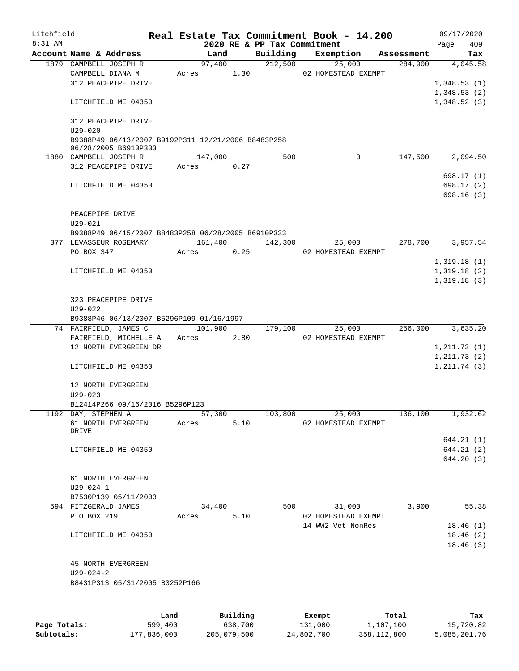| Litchfield |                                                                   |       |         |                     |                             | Real Estate Tax Commitment Book - 14.200 |            | 09/17/2020   |       |
|------------|-------------------------------------------------------------------|-------|---------|---------------------|-----------------------------|------------------------------------------|------------|--------------|-------|
| $8:31$ AM  |                                                                   |       |         |                     | 2020 RE & PP Tax Commitment |                                          |            | Page         | 409   |
|            | Account Name & Address                                            |       | Land    |                     | Building<br>212,500         | Exemption                                | Assessment |              | Tax   |
|            | 1879 CAMPBELL JOSEPH R<br>CAMPBELL DIANA M                        | Acres | 97,400  | 1.30                |                             | 25,000<br>02 HOMESTEAD EXEMPT            | 284,900    | 4,045.58     |       |
|            | 312 PEACEPIPE DRIVE                                               |       |         |                     |                             |                                          |            | 1,348.53(1)  |       |
|            |                                                                   |       |         |                     |                             |                                          |            | 1,348.53(2)  |       |
|            | LITCHFIELD ME 04350                                               |       |         |                     |                             |                                          |            | 1,348.52(3)  |       |
|            | 312 PEACEPIPE DRIVE                                               |       |         |                     |                             |                                          |            |              |       |
|            | $U29 - 020$<br>B9388P49 06/13/2007 B9192P311 12/21/2006 B8483P258 |       |         |                     |                             |                                          |            |              |       |
|            | 06/28/2005 B6910P333                                              |       |         |                     |                             |                                          |            |              |       |
|            | 1880 CAMPBELL JOSEPH R                                            |       | 147,000 |                     | 500                         | 0                                        | 147,500    | 2,094.50     |       |
|            | 312 PEACEPIPE DRIVE                                               | Acres |         | 0.27                |                             |                                          |            |              |       |
|            |                                                                   |       |         |                     |                             |                                          |            | 698.17(1)    |       |
|            | LITCHFIELD ME 04350                                               |       |         |                     |                             |                                          |            | 698.17(2)    |       |
|            |                                                                   |       |         |                     |                             |                                          |            | 698.16(3)    |       |
|            | PEACEPIPE DRIVE                                                   |       |         |                     |                             |                                          |            |              |       |
|            | $U29 - 021$                                                       |       |         |                     |                             |                                          |            |              |       |
|            | B9388P49 06/15/2007 B8483P258 06/28/2005 B6910P333                |       |         |                     |                             |                                          |            |              |       |
|            | 377 LEVASSEUR ROSEMARY                                            |       | 161,400 |                     | 142,300                     | 25,000                                   | 278,700    | 3,957.54     |       |
|            | PO BOX 347                                                        | Acres |         | 0.25                |                             | 02 HOMESTEAD EXEMPT                      |            |              |       |
|            |                                                                   |       |         |                     |                             |                                          |            | 1,319.18(1)  |       |
|            | LITCHFIELD ME 04350                                               |       |         |                     |                             |                                          |            | 1,319.18(2)  |       |
|            |                                                                   |       |         |                     |                             |                                          |            | 1,319.18(3)  |       |
|            |                                                                   |       |         |                     |                             |                                          |            |              |       |
|            | 323 PEACEPIPE DRIVE                                               |       |         |                     |                             |                                          |            |              |       |
|            | $U29 - 022$                                                       |       |         |                     |                             |                                          |            |              |       |
|            | B9388P46 06/13/2007 B5296P109 01/16/1997                          |       |         |                     |                             |                                          |            |              |       |
|            | 74 FAIRFIELD, JAMES C                                             |       | 101,900 |                     | 179,100                     | 25,000                                   | 256,000    | 3,635.20     |       |
|            | FAIRFIELD, MICHELLE A                                             | Acres |         | 2.80                |                             | 02 HOMESTEAD EXEMPT                      |            |              |       |
|            | 12 NORTH EVERGREEN DR                                             |       |         |                     |                             |                                          |            | 1, 211.73(1) |       |
|            |                                                                   |       |         |                     |                             |                                          |            | 1, 211.73(2) |       |
|            | LITCHFIELD ME 04350                                               |       |         |                     |                             |                                          |            | 1, 211.74(3) |       |
|            |                                                                   |       |         |                     |                             |                                          |            |              |       |
|            | 12 NORTH EVERGREEN                                                |       |         |                     |                             |                                          |            |              |       |
|            | $U29 - 023$                                                       |       |         |                     |                             |                                          |            |              |       |
|            | B12414P266 09/16/2016 B5296P123                                   |       |         |                     |                             |                                          |            |              |       |
|            | 1192 DAY, STEPHEN A                                               |       | 57,300  |                     | 103,800                     | 25,000                                   | 136,100    | 1,932.62     |       |
|            | 61 NORTH EVERGREEN                                                | Acres |         | 5.10                |                             | 02 HOMESTEAD EXEMPT                      |            |              |       |
|            | DRIVE                                                             |       |         |                     |                             |                                          |            |              |       |
|            |                                                                   |       |         |                     |                             |                                          |            | 644.21(1)    |       |
|            | LITCHFIELD ME 04350                                               |       |         |                     |                             |                                          |            | 644.21(2)    |       |
|            |                                                                   |       |         |                     |                             |                                          |            | 644.20 (3)   |       |
|            |                                                                   |       |         |                     |                             |                                          |            |              |       |
|            | 61 NORTH EVERGREEN                                                |       |         |                     |                             |                                          |            |              |       |
|            | $U29 - 024 - 1$                                                   |       |         |                     |                             |                                          |            |              |       |
|            | B7530P139 05/11/2003                                              |       |         |                     |                             |                                          |            |              |       |
|            | 594 FITZGERALD JAMES                                              |       | 34,400  |                     | 500                         | 31,000                                   | 3,900      |              | 55.38 |
|            | P O BOX 219                                                       | Acres |         | 5.10                |                             | 02 HOMESTEAD EXEMPT                      |            |              |       |
|            |                                                                   |       |         |                     |                             | 14 WW2 Vet NonRes                        |            | 18.46(1)     |       |
|            | LITCHFIELD ME 04350                                               |       |         |                     |                             |                                          |            | 18.46(2)     |       |
|            |                                                                   |       |         |                     |                             |                                          |            | 18.46(3)     |       |
|            |                                                                   |       |         |                     |                             |                                          |            |              |       |
|            | 45 NORTH EVERGREEN                                                |       |         |                     |                             |                                          |            |              |       |
|            | U29-024-2                                                         |       |         |                     |                             |                                          |            |              |       |
|            | B8431P313 05/31/2005 B3252P166                                    |       |         |                     |                             |                                          |            |              |       |
|            |                                                                   |       |         |                     |                             |                                          |            |              |       |
|            |                                                                   |       |         |                     |                             |                                          |            |              |       |
|            |                                                                   |       |         | <b>D.,;;,,;,,</b> , |                             |                                          |            |              |       |

|              | Land        | Building    | Exempt     | Total       | Tax          |
|--------------|-------------|-------------|------------|-------------|--------------|
| Page Totals: | 599,400     | 638,700     | 131,000    | 1,107,100   | 15,720.82    |
| Subtotals:   | 177,836,000 | 205,079,500 | 24,802,700 | 358,112,800 | 5,085,201.76 |